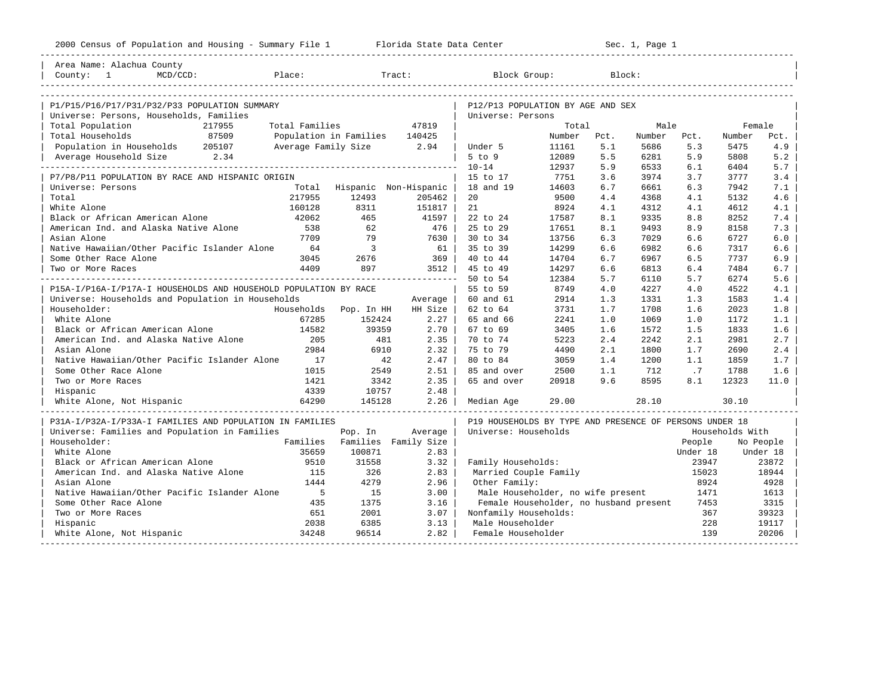| Area Name: Alachua County                                                                                                                                                                                                                                                                                                                                                                                                                                                               |                               |                               |                       |                                                         |             |       |             |          |                 |             |
|-----------------------------------------------------------------------------------------------------------------------------------------------------------------------------------------------------------------------------------------------------------------------------------------------------------------------------------------------------------------------------------------------------------------------------------------------------------------------------------------|-------------------------------|-------------------------------|-----------------------|---------------------------------------------------------|-------------|-------|-------------|----------|-----------------|-------------|
| $\begin{tabular}{ l l } \hline County: & 1 & MCD/CCD: & \textcolor{red}{Place:} & \textcolor{red}{Trace:} & \textcolor{blue}{Block:} & \textcolor{blue}{Block:} \\ \hline \textcolor{blue}{\textbf{13.2:}} & \textcolor{blue}{25.2:} & \textcolor{blue}{26.2:} & \textcolor{blue}{27.2:} & \textcolor{blue}{28.2:} & \textcolor{blue}{28.2:} & \textcolor{blue}{28.2:} & \textcolor{blue}{28.2:} & \textcolor{blue}{28.2:} & \textcolor{blue}{28.2:} & \textcolor{blue}{28.2:} & \text$ |                               |                               |                       |                                                         |             |       |             |          |                 |             |
|                                                                                                                                                                                                                                                                                                                                                                                                                                                                                         |                               |                               |                       |                                                         |             |       |             |          |                 |             |
|                                                                                                                                                                                                                                                                                                                                                                                                                                                                                         |                               |                               |                       |                                                         |             |       |             |          |                 |             |
| P1/P15/P16/P17/P31/P32/P33 POPULATION SUMMARY                                                                                                                                                                                                                                                                                                                                                                                                                                           |                               |                               |                       | P12/P13 POPULATION BY AGE AND SEX<br>Universe: Persons  |             |       |             |          |                 |             |
| Universe: Persons, Households, Families<br>Total Population<br>217955                                                                                                                                                                                                                                                                                                                                                                                                                   | Total Families                |                               | 47819                 |                                                         | Total       |       | Male        |          | Female          |             |
| 87509                                                                                                                                                                                                                                                                                                                                                                                                                                                                                   | Population in Families 140425 |                               |                       |                                                         | Number Pct. |       |             |          |                 |             |
| Total Households                                                                                                                                                                                                                                                                                                                                                                                                                                                                        |                               |                               |                       |                                                         |             |       | Number Pct. |          | Number          | Pct.<br>4.9 |
| Population in Households 205107                                                                                                                                                                                                                                                                                                                                                                                                                                                         | Average Family Size 2.94      |                               |                       | Under 5                                                 | 11161       | 5.1   | 5686        | 5.3      | 5475            |             |
| Average Household Size 2.34                                                                                                                                                                                                                                                                                                                                                                                                                                                             |                               |                               |                       | $5$ to $9$                                              | 12089       | 5.5   | 6281        | 5.9      | 5808            | 5.2         |
|                                                                                                                                                                                                                                                                                                                                                                                                                                                                                         |                               |                               |                       | $10 - 14$                                               | 12937       | 5.9   | 6533        | 6.1      | 6404            | 5.7         |
| P7/P8/P11 POPULATION BY RACE AND HISPANIC ORIGIN                                                                                                                                                                                                                                                                                                                                                                                                                                        |                               |                               |                       | 15 to 17                                                | 7751        | 3.6   | 3974        | 3.7      | 3777            | 3.4         |
| Universe: Persons                                                                                                                                                                                                                                                                                                                                                                                                                                                                       | Total                         |                               | Hispanic Non-Hispanic | 18 and 19                                               | 14603       | 6.7   | 6661        | 6.3      | 7942            | 7.1         |
| Total                                                                                                                                                                                                                                                                                                                                                                                                                                                                                   | 217955                        | 12493                         | 205462                | 20                                                      | 9500        | 4.4   | 4368        | 4.1      | 5132            | 4.6         |
| White Alone                                                                                                                                                                                                                                                                                                                                                                                                                                                                             | 160128                        | 8311                          | 151817                | 21                                                      | 8924        | 4.1   | 4312        | 4.1      | 4612            | 4.1         |
| Black or African American Alone                                                                                                                                                                                                                                                                                                                                                                                                                                                         | 42062                         | 465                           | 41597  <br>  476      | 22 to 24                                                | 17587       | 8.1   | 9335        | 8.8      | 8252            | 7.4         |
| American Ind. and Alaska Native Alone                                                                                                                                                                                                                                                                                                                                                                                                                                                   | 538                           | 62                            |                       | 25 to 29                                                | 17651       | 8.1   | 9493        | 8.9      | 8158            | 7.3         |
|                                                                                                                                                                                                                                                                                                                                                                                                                                                                                         |                               |                               |                       | 30 to 34                                                | 13756       | 6.3   | 7029        | 6.6      | 6727            | 6.0         |
|                                                                                                                                                                                                                                                                                                                                                                                                                                                                                         |                               |                               |                       | 35 to 39                                                | 14299       | 6.6   | 6982        | 6.6      | 7317            | 6.6         |
| Some Other Race Alone                                                                                                                                                                                                                                                                                                                                                                                                                                                                   |                               | 3045 2676                     | 369                   | 40 to 44                                                | 14704       | 6.7   | 6967        | 6.5      | 7737            | 6.9         |
| Two or More Races                                                                                                                                                                                                                                                                                                                                                                                                                                                                       |                               | 4409 897                      | 3512                  | 45 to 49                                                | 14297       | 6.6   | 6813        | 6.4      | 7484            | 6.7         |
|                                                                                                                                                                                                                                                                                                                                                                                                                                                                                         |                               |                               |                       | 50 to 54                                                | 12384       | 5.7   | 6110        | 5.7      | 6274            | 5.6         |
| P15A-I/P16A-I/P17A-I HOUSEHOLDS AND HOUSEHOLD POPULATION BY RACE                                                                                                                                                                                                                                                                                                                                                                                                                        |                               |                               |                       | 55 to 59                                                | 8749        | 4.0   | 4227        | 4.0      | 4522            | 4.1         |
| Universe: Households and Population in Households                                                                                                                                                                                                                                                                                                                                                                                                                                       |                               |                               | Average               | 60 and 61                                               | 2914        | 1.3   | 1331        | 1.3      | 1583            | 1.4         |
| Householder:                                                                                                                                                                                                                                                                                                                                                                                                                                                                            |                               | Households Pop. In HH         | HH Size               | 62 to 64                                                | 3731        | 1.7   | 1708        | 1.6      | 2023            | 1.8         |
| White Alone                                                                                                                                                                                                                                                                                                                                                                                                                                                                             | 67285                         | 152424                        | 2.27                  | 65 and 66                                               | 2241        | 1.0   | 1069        | 1.0      | 1172            | 1.1         |
| Black or African American Alone                                                                                                                                                                                                                                                                                                                                                                                                                                                         | 14582                         | 39359                         | $2.70$                | 67 to 69                                                | 3405        | 1.6   | 1572        | 1.5      | 1833            | 1.6         |
| American Ind. and Alaska Native Alone                                                                                                                                                                                                                                                                                                                                                                                                                                                   | 205                           | 481                           | $2.35$                | 70 to 74                                                | 5223        | 2.4   | 2242        | 2.1      | 2981            | 2.7         |
| Asian Alone                                                                                                                                                                                                                                                                                                                                                                                                                                                                             | 2984                          | 6910                          | $2.32$                | 75 to 79                                                | 4490        | 2.1   | 1800        | 1.7      | 2690            | 2.4         |
| Native Hawaiian/Other Pacific Islander Alone                                                                                                                                                                                                                                                                                                                                                                                                                                            | 17                            | $-911$<br>$-42$<br>$251$      | 2.47                  | 80 to 84                                                | 3059        | 1.4   | 1200        | 1.1      | 1859            | 1.7         |
| Some Other Race Alone                                                                                                                                                                                                                                                                                                                                                                                                                                                                   | 1015                          |                               | $2.51$                | 85 and over                                             | 2500        | 1.1   | 712         | .7       | 1788            | 1.6         |
| Two or More Races                                                                                                                                                                                                                                                                                                                                                                                                                                                                       | 1421                          | 3342                          | 2.35                  | 65 and over                                             | 20918       | 9.6   | 8595        | 8.1      | 12323           | 11.0        |
| Hispanic                                                                                                                                                                                                                                                                                                                                                                                                                                                                                | 4339                          | 10757                         | 2.48                  |                                                         |             |       |             |          |                 |             |
| White Alone, Not Hispanic                                                                                                                                                                                                                                                                                                                                                                                                                                                               | 64290                         | 145128                        | 2.26                  | Median Age                                              |             | 29.00 | 28.10       |          | 30.10           |             |
|                                                                                                                                                                                                                                                                                                                                                                                                                                                                                         |                               |                               |                       |                                                         |             |       |             |          |                 |             |
| P31A-I/P32A-I/P33A-I FAMILIES AND POPULATION IN FAMILIES                                                                                                                                                                                                                                                                                                                                                                                                                                |                               |                               |                       | P19 HOUSEHOLDS BY TYPE AND PRESENCE OF PERSONS UNDER 18 |             |       |             |          |                 |             |
| Universe: Families and Population in Families                                                                                                                                                                                                                                                                                                                                                                                                                                           |                               | Pop. In                       | Average               | Universe: Households                                    |             |       |             |          | Households With |             |
| Householder:                                                                                                                                                                                                                                                                                                                                                                                                                                                                            |                               | Families Families Family Size |                       |                                                         |             |       |             | People   |                 | No People   |
| White Alone                                                                                                                                                                                                                                                                                                                                                                                                                                                                             | 35659                         | 100871                        | 2.83                  |                                                         |             |       |             | Under 18 |                 | Under 18    |
| Black or African American Alone                                                                                                                                                                                                                                                                                                                                                                                                                                                         | 9510                          | 31558                         | 3.32                  | Family Households:                                      |             |       |             | 23947    |                 | 23872       |
| American Ind. and Alaska Native Alone 115                                                                                                                                                                                                                                                                                                                                                                                                                                               |                               | 326                           | 2.83                  | Married Couple Family                                   |             |       |             | 15023    |                 | 18944       |
| Asian Alone                                                                                                                                                                                                                                                                                                                                                                                                                                                                             | 1444                          | 4279                          | 2.96                  | Other Family:                                           |             |       |             | 8924     |                 | 4928        |
| Native Hawaiian/Other Pacific Islander Alone                                                                                                                                                                                                                                                                                                                                                                                                                                            | $5^{\circ}$                   | 15                            | 3.00                  | Male Householder, no wife present                       |             |       |             | 1471     |                 | 1613        |
| Some Other Race Alone                                                                                                                                                                                                                                                                                                                                                                                                                                                                   | 435                           | 1375                          | 3.16                  | Female Householder, no husband present                  |             |       |             | 7453     |                 | 3315        |
| Two or More Races                                                                                                                                                                                                                                                                                                                                                                                                                                                                       | 651                           | 2001                          | 3.07                  | Nonfamily Households:                                   |             |       |             | 367      |                 | 39323       |
| Hispanic                                                                                                                                                                                                                                                                                                                                                                                                                                                                                | 2038                          | 6385                          | 3.13                  | Male Householder                                        |             |       |             | 228      |                 | 19117       |
| White Alone, Not Hispanic                                                                                                                                                                                                                                                                                                                                                                                                                                                               | 34248                         | 96514                         | 2.82                  | Female Householder                                      |             |       |             | 139      |                 | 20206       |
|                                                                                                                                                                                                                                                                                                                                                                                                                                                                                         |                               |                               |                       |                                                         |             |       |             |          |                 |             |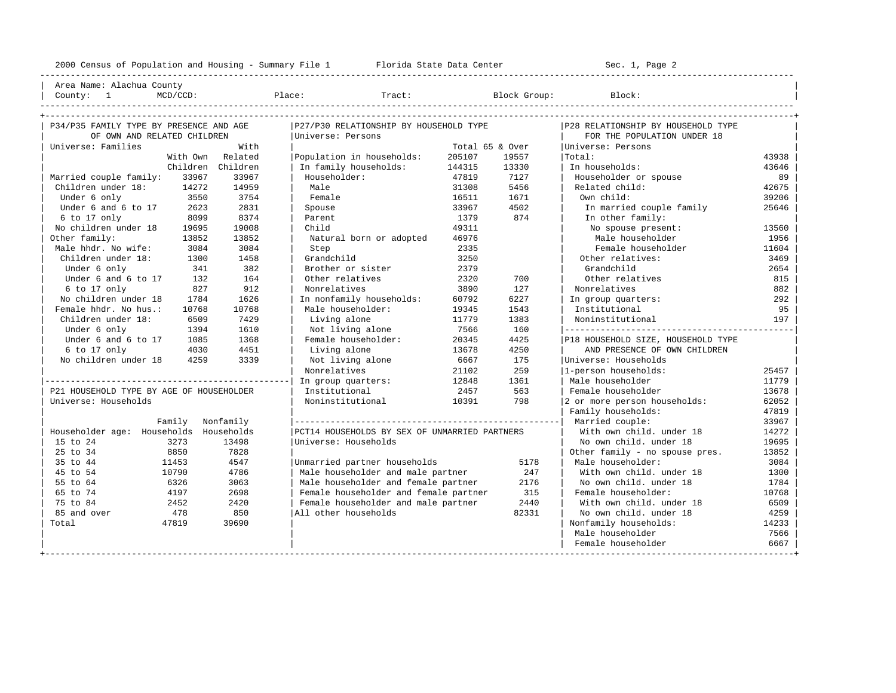----------------------------------------------------------------------------------------------------------------------------------------------------

| Area Name: Alachua County | | County: 1 MCD/CCD: Place: Tract: Block Group: Block: |

| P34/P35 FAMILY TYPE BY PRESENCE AND AGE  |          |                   | P27/P30 RELATIONSHIP BY HOUSEHOLD TYPE        |                 |       | P28 RELATIONSHIP BY HOUSEHOLD TYPE |       |
|------------------------------------------|----------|-------------------|-----------------------------------------------|-----------------|-------|------------------------------------|-------|
| OF OWN AND RELATED CHILDREN              |          |                   | Universe: Persons                             |                 |       | FOR THE POPULATION UNDER 18        |       |
| Universe: Families                       |          | With              |                                               | Total 65 & Over |       | Universe: Persons                  |       |
|                                          | With Own | Related           | Population in households:                     | 205107          | 19557 | Total:                             | 43938 |
|                                          |          | Children Children | In family households:                         | 144315          | 13330 | In households:                     | 43646 |
| Married couple family:                   | 33967    | 33967             | Householder:                                  | 47819           | 7127  | Householder or spouse              | 89    |
| Children under 18:                       | 14272    | 14959             | Male                                          | 31308           | 5456  | Related child:                     | 42675 |
| Under 6 only                             | 3550     | 3754              | Female                                        | 16511           | 1671  | Own child:                         | 39206 |
| Under 6 and 6 to 17                      | 2623     | 2831              | Spouse                                        | 33967           | 4502  | In married couple family           | 25646 |
| 6 to 17 only                             | 8099     | 8374              | Parent                                        | 1379            | 874   | In other family:                   |       |
| No children under 18                     | 19695    | 19008             | Child                                         | 49311           |       | No spouse present:                 | 13560 |
| Other family:                            | 13852    | 13852             | Natural born or adopted                       | 46976           |       | Male householder                   | 1956  |
| Male hhdr. No wife:                      | 3084     | 3084              | Step                                          | 2335            |       | Female householder                 | 11604 |
| Children under 18:                       | 1300     | 1458              | Grandchild                                    | 3250            |       | Other relatives:                   | 3469  |
| Under 6 only                             | 341      | 382               | Brother or sister                             | 2379            |       | Grandchild                         | 2654  |
| Under 6 and 6 to 17                      | 132      | 164               | Other relatives                               | 2320            | 700   | Other relatives                    | 815   |
| $6$ to 17 only                           | 827      | 912               | Nonrelatives                                  | 3890            | 127   | Nonrelatives                       | 882   |
| No children under 18                     | 1784     | 1626              | In nonfamily households:                      | 60792           | 6227  | In group quarters:                 | 292   |
| Female hhdr. No hus.:                    | 10768    | 10768             | Male householder:                             | 19345           | 1543  | Institutional                      | 95    |
| Children under 18:                       | 6509     | 7429              | Living alone                                  | 11779           | 1383  | Noninstitutional                   | 197   |
| Under 6 only                             | 1394     | 1610              | Not living alone                              | 7566            | 160   |                                    |       |
| Under 6 and 6 to 17                      | 1085     | 1368              | Female householder:                           | 20345           | 4425  | P18 HOUSEHOLD SIZE, HOUSEHOLD TYPE |       |
| 6 to 17 only                             | 4030     | 4451              | Living alone                                  | 13678           | 4250  | AND PRESENCE OF OWN CHILDREN       |       |
| No children under 18                     | 4259     | 3339              | Not living alone                              | 6667            | 175   | Universe: Households               |       |
|                                          |          |                   | Nonrelatives                                  | 21102           | 259   | 1-person households:               | 25457 |
|                                          |          |                   | In group quarters:                            | 12848           | 1361  | Male householder                   | 11779 |
| P21 HOUSEHOLD TYPE BY AGE OF HOUSEHOLDER |          |                   | Institutional                                 | 2457            | 563   | Female householder                 | 13678 |
| Universe: Households                     |          |                   | Noninstitutional                              | 10391           | 798   | 2 or more person households:       | 62052 |
|                                          |          |                   |                                               |                 |       | Family households:                 | 47819 |
|                                          | Family   | Nonfamily         |                                               |                 |       |                                    | 33967 |
| Householder age: Households Households   |          |                   | PCT14 HOUSEHOLDS BY SEX OF UNMARRIED PARTNERS |                 |       | With own child, under 18           | 14272 |
| 15 to 24                                 | 3273     | 13498             | Universe: Households                          |                 |       | No own child, under 18             | 19695 |
| 25 to 34                                 | 8850     | 7828              |                                               |                 |       | Other family - no spouse pres.     | 13852 |
| 35 to 44                                 | 11453    | 4547              | Unmarried partner households                  |                 | 5178  | Male householder:                  | 3084  |
| 45 to 54                                 | 10790    | 4786              | Male householder and male partner             |                 | 247   | With own child, under 18           | 1300  |
| 55 to 64                                 | 6326     | 3063              | Male householder and female partner           |                 | 2176  | No own child, under 18             | 1784  |
| 65 to 74                                 | 4197     | 2698              | Female householder and female partner         |                 | 315   | Female householder:                | 10768 |
| 75 to 84                                 | 2452     | 2420              | Female householder and male partner           |                 | 2440  | With own child, under 18           | 6509  |
| 85 and over                              | 478      | 850               | All other households                          |                 | 82331 | No own child, under 18             | 4259  |
| Total                                    | 47819    | 39690             |                                               |                 |       | Nonfamily households:              | 14233 |
|                                          |          |                   |                                               |                 |       | Male householder                   | 7566  |
|                                          |          |                   |                                               |                 |       | Female householder                 | 6667  |
|                                          |          |                   |                                               |                 |       |                                    |       |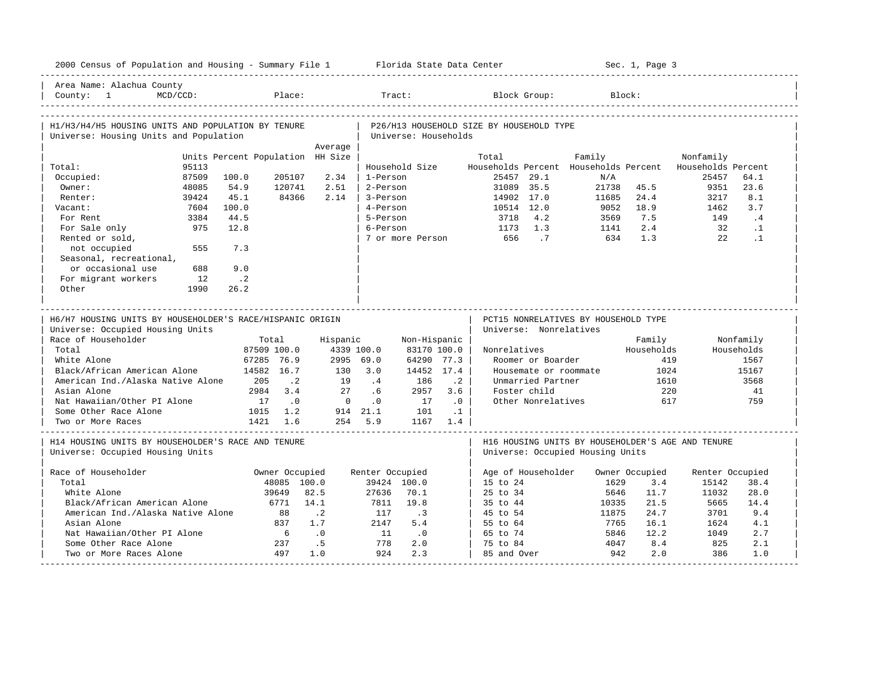| 2000 Census of Population and Housing - Summary File 1 Florida State Data Center                                                                                                                                                                                               |             |                                  |                |                |                 |                      |           |                                          |                        |                                      | Sec. 1, Page 3 |                                                          |            |
|--------------------------------------------------------------------------------------------------------------------------------------------------------------------------------------------------------------------------------------------------------------------------------|-------------|----------------------------------|----------------|----------------|-----------------|----------------------|-----------|------------------------------------------|------------------------|--------------------------------------|----------------|----------------------------------------------------------|------------|
| Area Name: Alachua County<br>County: 1<br>  COMICY 1<br>  COMICY 1990 - PIC COMICY - FIGURE - FIGURE - HALL - HALL - HUGH - HOUNG - HOUNG - HOUNG - HOUNG - HOUNG - HO<br>  COMICY - PIC COMIC - PIC COMIC - PIC COMIC - PIC COMIC - PIC COMIC - PIC COMIC - PIC COMIC - PIC C | $MCD/CCD$ : |                                  | Place:         |                |                 | Tract:               |           |                                          | Block Group:           |                                      | Block:         |                                                          |            |
| H1/H3/H4/H5 HOUSING UNITS AND POPULATION BY TENURE<br>Universe: Housing Units and Population                                                                                                                                                                                   |             |                                  |                |                |                 | Universe: Households |           | P26/H13 HOUSEHOLD SIZE BY HOUSEHOLD TYPE |                        |                                      |                |                                                          |            |
|                                                                                                                                                                                                                                                                                |             |                                  |                | Average        |                 |                      |           |                                          |                        |                                      |                |                                                          |            |
|                                                                                                                                                                                                                                                                                |             | Units Percent Population HH Size |                |                |                 |                      |           | Total                                    |                        | Family                               |                | Nonfamily                                                |            |
| Total:                                                                                                                                                                                                                                                                         | 95113       |                                  |                |                |                 | Household Size       |           |                                          |                        |                                      |                | Households Percent Households Percent Households Percent |            |
| Occupied:                                                                                                                                                                                                                                                                      | 87509       | 100.0                            | 205107         | 2.34           | 1-Person        |                      |           |                                          | 25457 29.1             | N/A                                  |                | 25457                                                    | 64.1       |
| Owner:                                                                                                                                                                                                                                                                         | 48085       | 54.9                             | 120741         | 2.51           | 2-Person        |                      |           | 31089 35.5                               |                        | 21738                                | 45.5           | 9351                                                     | 23.6       |
| Renter:                                                                                                                                                                                                                                                                        | 39424       | 45.1                             | 84366          | 2.14           | 3-Person        |                      |           | 14902 17.0                               |                        | 11685                                | 24.4           | 3217                                                     | 8.1        |
| Vacant:                                                                                                                                                                                                                                                                        | 7604        | 100.0                            |                |                | 4-Person        |                      |           | 10514 12.0                               |                        | 9052                                 | 18.9           | 1462                                                     | 3.7        |
| For Rent                                                                                                                                                                                                                                                                       | 3384        | 44.5                             |                |                | 5-Person        |                      |           | 3718                                     | 4.2                    | 3569                                 | 7.5            | 149                                                      | .4         |
| For Sale only                                                                                                                                                                                                                                                                  | 975         | 12.8                             |                |                | 6-Person        |                      |           | 1173                                     | 1.3                    | 1141                                 | 2.4            | 32                                                       | $\cdot$ 1  |
| Rented or sold,                                                                                                                                                                                                                                                                |             |                                  |                |                |                 | 7 or more Person     |           | 656                                      | $\cdot$ 7              | 634                                  | 1.3            | 22                                                       | $\cdot$ 1  |
| not occupied                                                                                                                                                                                                                                                                   | 555         | 7.3                              |                |                |                 |                      |           |                                          |                        |                                      |                |                                                          |            |
| Seasonal, recreational,                                                                                                                                                                                                                                                        |             |                                  |                |                |                 |                      |           |                                          |                        |                                      |                |                                                          |            |
| or occasional use                                                                                                                                                                                                                                                              | 688         | 9.0                              |                |                |                 |                      |           |                                          |                        |                                      |                |                                                          |            |
| For migrant workers                                                                                                                                                                                                                                                            | 12          | $\cdot$ . 2                      |                |                |                 |                      |           |                                          |                        |                                      |                |                                                          |            |
| Other                                                                                                                                                                                                                                                                          | 1990        | 26.2                             |                |                |                 |                      |           |                                          |                        |                                      |                |                                                          |            |
|                                                                                                                                                                                                                                                                                |             |                                  |                |                |                 |                      |           |                                          |                        |                                      |                |                                                          |            |
|                                                                                                                                                                                                                                                                                |             |                                  |                |                |                 |                      |           |                                          |                        |                                      |                |                                                          |            |
|                                                                                                                                                                                                                                                                                |             |                                  |                |                |                 |                      |           |                                          |                        |                                      |                |                                                          |            |
| H6/H7 HOUSING UNITS BY HOUSEHOLDER'S RACE/HISPANIC ORIGIN                                                                                                                                                                                                                      |             |                                  |                |                |                 |                      |           |                                          |                        | PCT15 NONRELATIVES BY HOUSEHOLD TYPE |                |                                                          |            |
| Universe: Occupied Housing Units                                                                                                                                                                                                                                               |             |                                  |                |                |                 |                      |           |                                          | Universe: Nonrelatives |                                      |                |                                                          |            |
| Race of Householder                                                                                                                                                                                                                                                            |             |                                  | Total          | Hispanic       |                 | Non-Hispanic         |           |                                          |                        |                                      | Family         |                                                          | Nonfamily  |
| Total                                                                                                                                                                                                                                                                          |             |                                  | 87509 100.0    |                | 4339 100.0      | 83170 100.0          |           | Nonrelatives                             |                        |                                      | Households     |                                                          | Households |
| White Alone                                                                                                                                                                                                                                                                    |             |                                  | 67285 76.9     |                | 2995 69.0       | 64290 77.3           |           |                                          | Roomer or Boarder      |                                      | 419            |                                                          | 1567       |
| Black/African American Alone                                                                                                                                                                                                                                                   |             |                                  | 14582 16.7     | 130            | 3.0             | 14452 17.4           |           |                                          |                        | Housemate or roommate                | 1024           |                                                          | 15167      |
| American Ind./Alaska Native Alone                                                                                                                                                                                                                                              |             | 205                              | $\cdot$ 2      | 19             | .4              | 186                  | $\cdot$ 2 |                                          | Unmarried Partner      |                                      | 1610           |                                                          | 3568       |
| Asian Alone                                                                                                                                                                                                                                                                    |             | 2984                             | 3.4            | 2.7            | .6              | 2957                 | 3.6       |                                          | Foster child           |                                      | 220            |                                                          | 41         |
| Nat Hawaiian/Other PI Alone                                                                                                                                                                                                                                                    |             | 17                               | $\cdot$ 0      | $\overline{0}$ | .0              | 17                   | $\cdot$ 0 |                                          | Other Nonrelatives     |                                      | 617            |                                                          | 759        |
| Some Other Race Alone                                                                                                                                                                                                                                                          |             |                                  | 1015 1.2       |                | 914 21.1        | 101                  | $\cdot$ 1 |                                          |                        |                                      |                |                                                          |            |
| Two or More Races                                                                                                                                                                                                                                                              |             |                                  | 1421 1.6       |                | 254 5.9         |                      | 1167 1.4  |                                          |                        |                                      |                |                                                          |            |
|                                                                                                                                                                                                                                                                                |             |                                  |                |                |                 |                      |           |                                          |                        |                                      |                |                                                          |            |
| H14 HOUSING UNITS BY HOUSEHOLDER'S RACE AND TENURE                                                                                                                                                                                                                             |             |                                  |                |                |                 |                      |           |                                          |                        |                                      |                | H16 HOUSING UNITS BY HOUSEHOLDER'S AGE AND TENURE        |            |
| Universe: Occupied Housing Units                                                                                                                                                                                                                                               |             |                                  |                |                |                 |                      |           |                                          |                        | Universe: Occupied Housing Units     |                |                                                          |            |
|                                                                                                                                                                                                                                                                                |             |                                  |                |                |                 |                      |           |                                          |                        |                                      |                |                                                          |            |
| Race of Householder                                                                                                                                                                                                                                                            |             |                                  | Owner Occupied |                | Renter Occupied |                      |           |                                          | Age of Householder     |                                      | Owner Occupied | Renter Occupied                                          |            |
| Total                                                                                                                                                                                                                                                                          |             |                                  | 48085 100.0    |                |                 | 39424 100.0          |           | 15 to 24                                 |                        | 1629                                 | 3.4            | 15142                                                    | 38.4       |
| White Alone                                                                                                                                                                                                                                                                    |             |                                  | 39649          | 82.5           | 27636           | 70.1                 |           | 25 to 34                                 |                        | 5646                                 | 11.7           | 11032                                                    | 28.0       |
| Black/African American Alone                                                                                                                                                                                                                                                   |             |                                  | 6771           | 14.1           | 7811            | 19.8                 |           | 35 to 44                                 |                        | 10335                                | 21.5           | 5665                                                     | 14.4       |
| American Ind./Alaska Native Alone                                                                                                                                                                                                                                              |             |                                  | 88             | $\cdot$ . 2    | 117             | $\cdot$ 3            |           | 45 to 54                                 |                        | 11875                                | 24.7           | 3701                                                     | 9.4        |
| Asian Alone                                                                                                                                                                                                                                                                    |             |                                  | 837            | 1.7            | 2147            | 5.4                  |           | 55 to 64                                 |                        | 7765                                 | 16.1           | 1624                                                     | 4.1        |
| Nat Hawaiian/Other PI Alone                                                                                                                                                                                                                                                    |             |                                  | 6              | .0             | 11              | $\cdot$ 0            |           | 65 to 74                                 |                        | 5846                                 | 12.2           | 1049                                                     | 2.7        |
| Some Other Race Alone<br>Two or More Races Alone                                                                                                                                                                                                                               |             |                                  | 237<br>497     | .5<br>1.0      | 778<br>924      | 2.0<br>2.3           |           | 75 to 84<br>85 and Over                  |                        | 4047<br>942                          | 8.4<br>2.0     | 825<br>386                                               | 2.1<br>1.0 |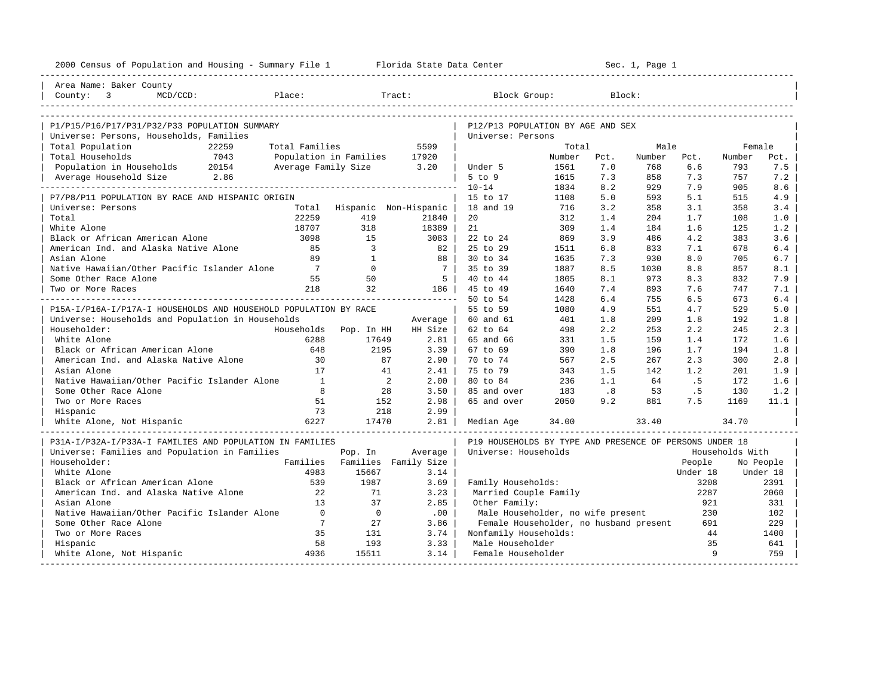| 2000 Census of Population and Housing - Summary File 1 Florida State Data Center |                 |                              |                               |                                                         | ----------------------- |        | Sec. 1, Page 1 |              |                 |           |
|----------------------------------------------------------------------------------|-----------------|------------------------------|-------------------------------|---------------------------------------------------------|-------------------------|--------|----------------|--------------|-----------------|-----------|
| Area Name: Baker County                                                          |                 |                              |                               |                                                         |                         |        |                |              |                 |           |
| County: $3$<br>Place:<br>$MCD/CCD$ :                                             |                 |                              | Tract:                        | Block Group:                                            |                         | Block: |                |              |                 |           |
| P1/P15/P16/P17/P31/P32/P33 POPULATION SUMMARY                                    |                 |                              |                               | P12/P13 POPULATION BY AGE AND SEX                       |                         |        |                |              |                 |           |
| Universe: Persons, Households, Families                                          |                 |                              |                               | Universe: Persons                                       |                         |        |                |              |                 |           |
| Total Population<br>22259                                                        | Total Families  |                              | 5599                          |                                                         | Total                   |        | Male           |              | Female          |           |
| 7043<br>Total Households                                                         |                 | Population in Families 17920 |                               |                                                         | Number                  | Pct.   | Number         | Pct.         | Number          | Pct.      |
| Population in Households 20154                                                   |                 | Average Family Size 3.20     |                               | Under 5                                                 | 1561                    | 7.0    | 768            | 6.6          | 793             | 7.5       |
| Average Household Size 2.86                                                      |                 |                              |                               | $5$ to $9$                                              | 1615                    | 7.3    | 858            | 7.3          | 757             | 7.2       |
|                                                                                  |                 |                              |                               | $10 - 14$                                               | 1834                    | 8.2    | 929            | 7.9          | 905             | 8.6       |
| P7/P8/P11 POPULATION BY RACE AND HISPANIC ORIGIN                                 |                 |                              |                               | 15 to 17                                                | 1108                    | 5.0    | 593            | 5.1          | 515             | 4.9       |
| Universe: Persons                                                                |                 |                              | Total Hispanic Non-Hispanic   | 18 and 19                                               | 716                     | 3.2    | 358            | 3.1          | 358             | 3.4       |
| Total                                                                            | 22259           | 419                          | 21840                         | 20                                                      | 312                     | 1.4    | 204            | 1.7          | 108             | 1.0       |
| White Alone                                                                      | 18707           | 318                          | 18389                         | 21                                                      | 309                     | 1.4    | 184            | 1.6          | 125             | 1.2       |
| Black or African American Alone                                                  | 3098            | 1.5                          | 3083                          | 22 to 24                                                | 869                     | 3.9    | 486            | 4.2          | 383             | 3.6       |
| American Ind. and Alaska Native Alone                                            | 85              | $\overline{\mathbf{3}}$      | 82                            | 25 to 29                                                | 1511                    | 6.8    | 833            | 7.1          | 678             | 6.4       |
| Asian Alone                                                                      | 89              | $\overline{1}$               | 88                            | 30 to 34                                                | 1635                    | 7.3    | 930            | 8.0          | 705             | 6.7       |
| Native Hawaiian/Other Pacific Islander Alone                                     | $7\phantom{0}$  | $\overline{0}$               | 7 I                           | 35 to 39                                                | 1887                    | 8.5    | 1030           | 8.8          | 857             | 8.1       |
| Some Other Race Alone                                                            | 55              | 50                           | 5 <sup>1</sup>                | 40 to 44                                                | 1805                    | 8.1    | 973            | 8.3          | 832             | 7.9       |
| Two or More Races                                                                | 218             | 32                           | 186                           | 45 to 49                                                | 1640                    | 7.4    | 893            | 7.6          | 747             | 7.1       |
|                                                                                  |                 |                              | ----------------------        | 50 to 54                                                | 1428                    | 6.4    | 755            | 6.5          | 673             | 6.4       |
| P15A-I/P16A-I/P17A-I HOUSEHOLDS AND HOUSEHOLD POPULATION BY RACE                 |                 |                              |                               | 55 to 59                                                | 1080                    | 4.9    | 551            | 4.7          | 529             | 5.0       |
| Universe: Households and Population in Households                                |                 |                              | Average                       | 60 and 61                                               | 401                     | 1.8    | 209            | 1.8          | 192             | 1.8       |
| Householder:                                                                     | Households      | Pop. In HH                   | HH Size                       | 62 to 64                                                | 498                     | 2.2    | 253            | 2.2          | 245             | 2.3       |
| White Alone                                                                      | 6288            | 17649                        | 2.81                          | 65 and 66                                               | 331                     | 1.5    | 159            | 1.4          | 172             | 1.6       |
| Black or African American Alone                                                  | 648             | 2195                         | $3.39$                        | 67 to 69                                                | 390                     | 1.8    | 196            | 1.7          | 194             | 1.8       |
| American Ind. and Alaska Native Alone                                            | 30              | 87                           | $2.90$                        | 70 to 74                                                | 567                     | 2.5    | 267            | 2.3          | 300             | 2.8       |
| Asian Alone                                                                      | 17              | 41                           | 2.41                          | 75 to 79                                                | 343                     | 1.5    | 142            | 1.2          | 201             | 1.9       |
| Native Hawaiian/Other Pacific Islander Alone                                     | $\overline{1}$  |                              | 2<br>2.00                     | 80 to 84                                                | 236                     | 1.1    | 64             | . 5          | 172             | 1.6       |
| Some Other Race Alone                                                            | 8               | 28                           | 3.50                          | 85 and over                                             | 183                     | .8     | 53             | .5           | 130             | 1.2       |
| Two or More Races                                                                | 51              | 152                          | 2.98                          | 65 and over                                             | 2050                    | 9.2    | 881            | 7.5          | 1169            | 11.1      |
| Hispanic                                                                         | 73              | 218                          | $2.99$                        |                                                         |                         |        |                |              |                 |           |
| White Alone, Not Hispanic                                                        | 6227            | 17470                        | 2.81                          | Median Age                                              | 34.00                   |        | 33.40          |              | 34.70           |           |
| P31A-I/P32A-I/P33A-I FAMILIES AND POPULATION IN FAMILIES                         |                 |                              |                               | P19 HOUSEHOLDS BY TYPE AND PRESENCE OF PERSONS UNDER 18 |                         |        |                |              |                 |           |
| Universe: Families and Population in Families                                    |                 | Pop. In                      | Average                       | Universe: Households                                    |                         |        |                |              | Households With |           |
| Householder:                                                                     |                 |                              | Families Families Family Size |                                                         |                         |        |                | People       |                 | No People |
| White Alone                                                                      | 4983            | 15667                        | 3.14                          |                                                         |                         |        |                | Under 18     |                 | Under 18  |
| Black or African American Alone                                                  | 539             | 1987                         | 3.69                          | Family Households:                                      |                         |        |                | 3208         |                 | 2391      |
| American Ind. and Alaska Native Alone                                            | 22              | 71                           | 3.23                          | Married Couple Family                                   |                         |        |                | 2287         |                 | 2060      |
| Asian Alone                                                                      | 13              | 37                           | 2.85                          | Other Family:                                           |                         |        |                | 921          |                 | 331       |
| Native Hawaiian/Other Pacific Islander Alone                                     | $\overline{0}$  | $\overline{0}$               | .00                           | Male Householder, no wife present                       |                         |        |                | 230          |                 | 102       |
| Some Other Race Alone                                                            | $7\overline{ }$ | 27                           | 3.86                          | Female Householder, no husband present                  |                         |        |                | 691          |                 | 229       |
| Two or More Races                                                                | 35              | 131                          | 3.74                          | Nonfamily Households:                                   |                         |        |                | 44           |                 | 1400      |
| Hispanic                                                                         | 58              | 193                          | 3.33                          | Male Householder                                        |                         |        |                | 35           |                 | 641       |
| White Alone, Not Hispanic                                                        | 4936            | 15511                        | $3.14$                        | Female Householder                                      |                         |        |                | $\mathsf{Q}$ |                 | 759       |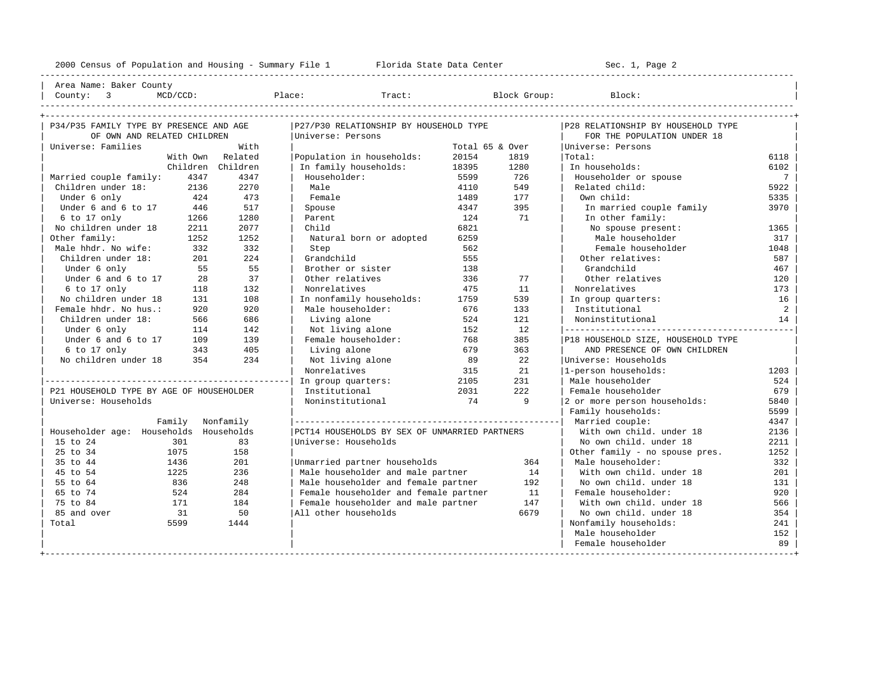2000 Census of Population and Housing - Summary File 1 Florida State Data Center Sec. 1, Page 2 ---------------------------------------------------------------------------------------------------------------------------------------------------- Area Name: Baker County | County: 3 MCD/CCD: Place: Tract: Block Group: Block: | ---------------------------------------------------------------------------------------------------------------------------------------------------- +---------------------------------------------------------------------------------------------------------------------------------------------------+ | P34/P35 FAMILY TYPE BY PRESENCE AND AGE |P27/P30 RELATIONSHIP BY HOUSEHOLD TYPE |P28 RELATIONSHIP BY HOUSEHOLD TYPE | | OF OWN AND RELATED CHILDREN |Universe: Persons | FOR THE POPULATION UNDER 18 | | Universe: Families With | Total 65 & Over |Universe: Persons | | With Own Related |Population in households: 20154 1819 |Total: 6118 | | Children Children | In family households: 18395 1280 | In households: 6102 | | Married couple family: 4347 4347 | Householder: 5599 726 | Householder or spouse 7 | | Children under 18: 2136 2270 | Male 4110 549 | Related child: 5922<br>| Under 6 only 424 473 | Female 428 5335 5922 | Cwn child: 5335 | Under 6 only 424 473 | Female 1489 177 | Own child: 5335 | | Under 6 and 6 to 17 | 446 | 517 | Spouse | 4347 | 4347 | 395 | In married couple family | 3970<br>| 6 to 17 only | 1266 | 1280 | Parent | 124 | 71 | In other family: % 6 to 17 only 126 1266 1280 | Parent 124 124 71 | In other family:<br>No children under 18 2211 2077 | Child 120 1 6821 | No spouse present: No children under 18 2211 2077 | Child 6821 6821 No spouse present: 1365 0ther family: 1252 1252 | Natural born or adopted 6259 | Male householder 317 | Male hhdr. No wife: 332 332 | Step 562 | Female householder 1048 | | Children under 18: 201 224 | Grandchild 555 | Other relatives: 587 | | Under 6 only 55 55 | Brother or sister 138 | Grandchild 467 | | Under 6 and 6 to 17 28 37 | Other relatives 336 77 | Other relatives 120 | | 6 to 17 only 118 132 | Nonrelatives 475 11 | Nonrelatives 173 | | No children under 18 131 108 | In nonfamily households: 1759 539 | In group quarters: 16 | | Female hhdr. No hus.: 920 920 | Male householder: 676 133 | Institutional 2 | | Children under 18: 566 686 | Living alone 524 121 | Noninstitutional 14 | | Under 6 only 114 142 | Not living alone 152 12 |---------------------------------------------| Under 6 and 6 to 17 109 139 | Female householder: 768 385 | P18 HOUSEHOLD SIZE, HOUSEHOLD TYPE<br>6 to 17 only 343 405 | Living alone 679 363 | AND PRESENCE OF OWN CHILDREN  $\begin{array}{ccccccccccccc} 6 & \text{to} & 17 & \text{only} & & & 343 & & 405 & | & & \text{Living alone} & & & 679 & & 363 & | & & \text{AND PRESENCE OF OWN CHILDREN} \\ \text{No children under 18} & & & 354 & & 234 & | & & \text{Not living alone} & & & 89 & & 22 & | \text{Universe: Households} & & & & \end{array}$ No children under 18 354 234 | Not living alone 89 22 | Universe: Households | Nonrelatives | 89 22 | Universe: Households | | | Nonrelatives 315 21 |1-person households: 1203 | |------------------------------------------------| In group quarters: 2105 231 | Male householder 524 | P21 HOUSEHOLD TYPE BY AGE OF HOUSEHOLDER | Institutional  $\begin{array}{cccc} 79 & 2031 & 222 & | \text{ Female householder} \\ 1 \text{Moinstitutional} & 74 & 9 & | \text{2 or more person households} \end{array}$  5840 | The Community of the Community of the Community of the Community of the Community of the Community of the Community of the Community of the Community of the Community of the Community of the Community of the Community of  $Family$  households: 5599 | Family Nonfamily |----------------------------------------------------| Married couple: 4347 | | Householder age: Households Households |PCT14 HOUSEHOLDS BY SEX OF UNMARRIED PARTNERS | With own child. under 18 2136 | | 15 to 24 301 83 |Universe: Households | No own child. under 18 2211 | | 25 to 34 1075 158 | | Other family - no spouse pres. 1252 | % 195 to 44 1436 201 | Unmarried partner households 364 | Male householder: 332<br>15 to 54 1225 236 | Male householder and male partner 14 | With own child. under 18 201

| 45 to 54 1225 236 | Male householder and male partner 14 | With own child. under 18 201 | | 55 to 64 836 248 | Male householder and female partner 192 | No own child. under 18 131 | | 6524 524 | Female householder and female partner 11 | Female householder: 920<br>| 184 | Female householder and male partner 147 | With own child. under 18 566<br>| 1854 | So | All other households 6679 | No own child. under 1 | 75 to 84 171 184 | Female householder and male partner 147 | With own child. under 18 566 | | 85 and over 31 50 |All other households 6679 | No own child. under 18 354 | | Total 5599 1444 | | Nonfamily households: 241 |

+---------------------------------------------------------------------------------------------------------------------------------------------------+

| Male householder 152 | Female householder 89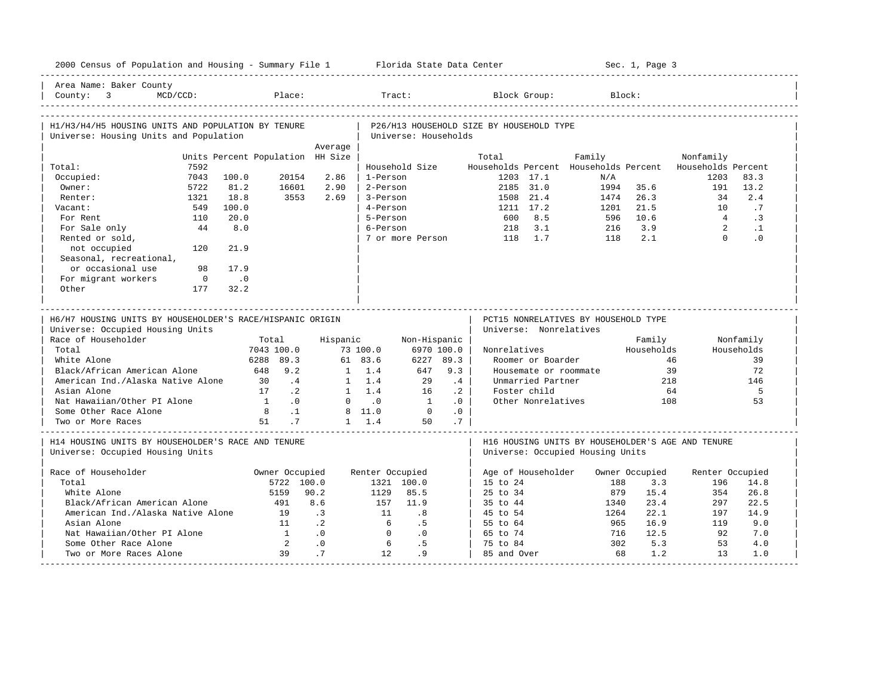| 2000 Census of Population and Housing - Summary File 1 Florida State Data Center              |                                  |                 |                 |                      |           |                                                                |                       |        |            | Sec. 1, Page 3 |                                                          |              |
|-----------------------------------------------------------------------------------------------|----------------------------------|-----------------|-----------------|----------------------|-----------|----------------------------------------------------------------|-----------------------|--------|------------|----------------|----------------------------------------------------------|--------------|
| Area Name: Baker County<br>Country: 3<br>$MCD/CCD$ :                                          | Place:                           |                 | Tract:          |                      |           |                                                                | Block Group:          |        | Block:     |                |                                                          |              |
| H1/H3/H4/H5 HOUSING UNITS AND POPULATION BY TENURE<br>Universe: Housing Units and Population  |                                  |                 |                 | Universe: Households |           | P26/H13 HOUSEHOLD SIZE BY HOUSEHOLD TYPE                       |                       |        |            |                |                                                          |              |
|                                                                                               |                                  | Average         |                 |                      |           |                                                                |                       |        |            |                |                                                          |              |
|                                                                                               | Units Percent Population HH Size |                 |                 |                      |           | Total                                                          |                       | Family |            |                | Nonfamily                                                |              |
| 7592<br>Total:                                                                                |                                  |                 |                 | Household Size       |           |                                                                |                       |        |            |                | Households Percent Households Percent Households Percent |              |
| Occupied:<br>7043                                                                             | 100.0<br>20154                   | 2.86            | 1-Person        |                      |           |                                                                | 1203 17.1             |        | N/A        |                | 1203                                                     | 83.3         |
| Owner:<br>5722                                                                                | 81.2<br>16601                    | 2.90            | 2-Person        |                      |           |                                                                | 2185 31.0             |        | 1994       | 35.6           | 191                                                      | 13.2         |
| 1321<br>Renter:                                                                               | 18.8<br>3553                     | 2.69            | 3-Person        |                      |           | 1508                                                           | 21.4                  |        | 1474       | 26.3           | 34                                                       | 2.4          |
| 549<br>Vacant:                                                                                | 100.0                            |                 | 4-Person        |                      |           |                                                                | 1211 17.2             |        | 1201       | 21.5           | 10                                                       | .7           |
| For Rent<br>110                                                                               | 20.0                             |                 | 5-Person        |                      |           | 600                                                            | 8.5                   |        | 596        | 10.6           | $\overline{4}$                                           | $\cdot$ 3    |
| For Sale only<br>44                                                                           | 8.0                              |                 | 6-Person        |                      |           | 218                                                            | 3.1                   |        | 216        | 3.9            | $\overline{2}$                                           | $\cdot$ 1    |
| Rented or sold,                                                                               |                                  |                 |                 | 7 or more Person     |           | 118                                                            | 1.7                   |        | 118        | 2.1            | $\Omega$                                                 | .0           |
| not occupied<br>120                                                                           | 21.9                             |                 |                 |                      |           |                                                                |                       |        |            |                |                                                          |              |
| Seasonal, recreational,                                                                       |                                  |                 |                 |                      |           |                                                                |                       |        |            |                |                                                          |              |
| or occasional use<br>98                                                                       | 17.9                             |                 |                 |                      |           |                                                                |                       |        |            |                |                                                          |              |
| For migrant workers<br>$\overline{\phantom{0}}$                                               | $\overline{\phantom{0}}$ .0      |                 |                 |                      |           |                                                                |                       |        |            |                |                                                          |              |
| Other<br>177                                                                                  | 32.2                             |                 |                 |                      |           |                                                                |                       |        |            |                |                                                          |              |
|                                                                                               |                                  |                 |                 |                      |           |                                                                |                       |        |            |                |                                                          |              |
| H6/H7 HOUSING UNITS BY HOUSEHOLDER'S RACE/HISPANIC ORIGIN<br>Universe: Occupied Housing Units |                                  |                 |                 |                      |           | PCT15 NONRELATIVES BY HOUSEHOLD TYPE<br>Universe: Nonrelatives |                       |        |            |                |                                                          |              |
| Race of Householder                                                                           | Total                            | Hispanic        |                 | Non-Hispanic         |           |                                                                |                       |        |            | Family         |                                                          | Nonfamily    |
| Total                                                                                         | 7043 100.0                       |                 | 73 100.0        | 6970 100.0           |           | Nonrelatives                                                   |                       |        |            | Households     |                                                          | Households   |
| White Alone                                                                                   | 6288 89.3                        |                 | 61 83.6         | 6227 89.3            |           |                                                                | Roomer or Boarder     |        |            |                | 46                                                       | 39           |
| Black/African American Alone                                                                  | 648 9.2                          |                 | $1 \quad 1.4$   | 647                  | 9.3       |                                                                | Housemate or roommate |        |            |                | 39                                                       | 72           |
| American Ind./Alaska Native Alone                                                             | .4<br>30                         |                 | $1 \quad 1.4$   | 29                   | .4        |                                                                | Unmarried Partner     |        |            |                | 218                                                      | 146          |
| Asian Alone                                                                                   | $\cdot$ . 2<br>17                |                 | $1 \quad 1.4$   | 16                   | $\cdot$ 2 |                                                                | Foster child          |        |            |                | 64                                                       | 5            |
| Nat Hawaiian/Other PI Alone                                                                   | $\overline{1}$<br>.0             |                 | $0 \qquad .0$   | $\overline{1}$       | .0        |                                                                | Other Nonrelatives    |        |            |                | 108                                                      | 53           |
| Some Other Race Alone                                                                         | 8 <sup>8</sup><br>$\cdot$ 1      |                 | 8 11.0          | $\overline{0}$       | .0        |                                                                |                       |        |            |                |                                                          |              |
| Two or More Races                                                                             | 51<br>$\cdot$ 7                  |                 | $1 \quad 1.4$   | 50                   | .7        |                                                                |                       |        |            |                |                                                          |              |
| H14 HOUSING UNITS BY HOUSEHOLDER'S RACE AND TENURE<br>Universe: Occupied Housing Units        |                                  |                 |                 |                      |           | Universe: Occupied Housing Units                               |                       |        |            |                | H16 HOUSING UNITS BY HOUSEHOLDER'S AGE AND TENURE        |              |
|                                                                                               |                                  |                 |                 |                      |           |                                                                |                       |        |            |                |                                                          |              |
| Race of Householder                                                                           | Owner Occupied                   |                 | Renter Occupied |                      |           | Age of Householder                                             |                       |        |            | Owner Occupied | Renter Occupied                                          |              |
| Total<br>White Alone                                                                          | 5722 100.0<br>5159               | 90.2            | 1129            | 1321 100.0<br>85.5   |           | $15$ to $24$<br>$25 \text{ to } 34$                            |                       |        | 188<br>879 | 3.3<br>15.4    | 196<br>354                                               | 14.8<br>26.8 |
|                                                                                               |                                  |                 |                 | 11.9                 |           |                                                                |                       |        |            |                |                                                          |              |
| Black/African American Alone                                                                  | 491<br>19                        | 8.6             | 157<br>11       |                      |           | 35 to 44                                                       |                       |        | 1340       | 23.4           | 297                                                      | 22.5         |
| American Ind./Alaska Native Alone                                                             |                                  | $\cdot$ 3       |                 | .8                   |           | 45 to 54                                                       |                       |        | 1264       | 22.1           | 197                                                      | 14.9         |
| Asian Alone                                                                                   | 11                               | $\cdot$ 2       | 6               | .5                   |           | 55 to 64                                                       |                       |        | 965        | 16.9           | 119                                                      | 9.0          |
| Nat Hawaiian/Other PI Alone                                                                   | $\sim$ 1                         | .0              | $\Omega$        | .0                   |           | 65 to 74                                                       |                       |        | 716<br>302 | 12.5           | 92<br>53                                                 | 7.0          |
| Some Other Race Alone<br>Two or More Races Alone                                              | $\overline{2}$<br>39             | $\cdot$ 0<br>.7 | 6<br>12.        | .5<br>.9             |           | 75 to 84<br>85 and Over                                        |                       |        | 68         | 5.3<br>1.2     | 13                                                       | 4.0<br>1.0   |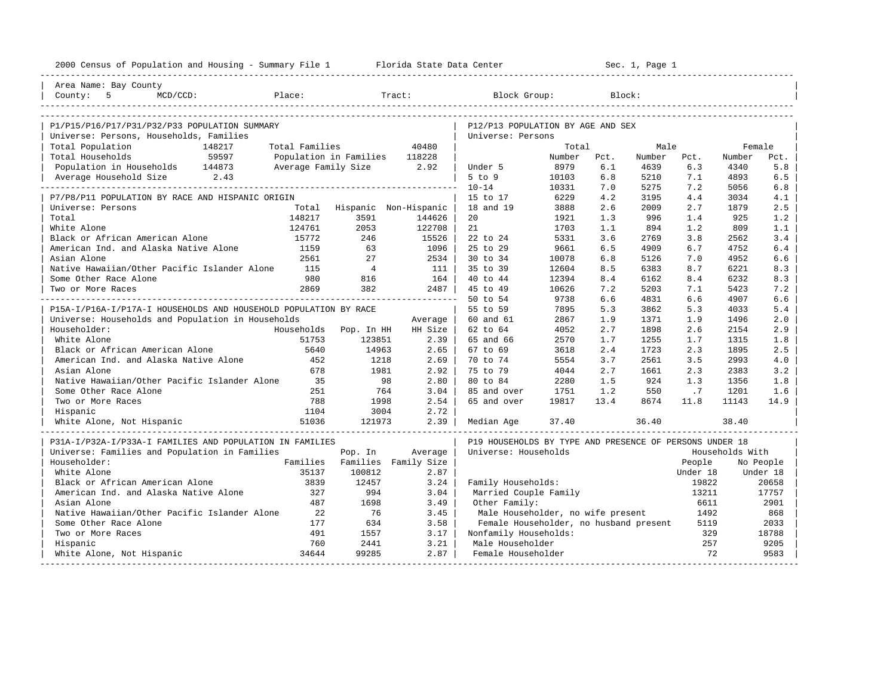| 2000 Census of Population and Housing - Summary File 1 Florida State Data Center |                |                               |                       |                                                         |        |      | Sec. 1, Page 1 |          |                 |           |
|----------------------------------------------------------------------------------|----------------|-------------------------------|-----------------------|---------------------------------------------------------|--------|------|----------------|----------|-----------------|-----------|
| Area Name: Bay County                                                            |                |                               |                       |                                                         |        |      |                |          |                 |           |
| County: 5<br>Place:<br>$MCD/CCD$ :                                               |                |                               | Tract:                | Block Group:                                            |        |      | Block:         |          |                 |           |
|                                                                                  |                |                               |                       |                                                         |        |      |                |          |                 |           |
| P1/P15/P16/P17/P31/P32/P33 POPULATION SUMMARY                                    |                |                               |                       | P12/P13 POPULATION BY AGE AND SEX                       |        |      |                |          |                 |           |
| Universe: Persons, Households, Families                                          |                |                               |                       | Universe: Persons                                       |        |      |                |          |                 |           |
| Total Population<br>148217                                                       | Total Families |                               | 40480                 |                                                         | Total  |      | Male           |          | Female          |           |
| 59597<br>Total Households                                                        |                | Population in Families 118228 |                       |                                                         | Number | Pct. | Number         | Pct.     | Number          | Pct.      |
| Population in Households 144873                                                  |                | Average Family Size 2.92      |                       | Under 5                                                 | 8979   | 6.1  | 4639           | 6.3      | 4340            | 5.8       |
| Average Household Size 2.43                                                      |                |                               |                       | $5$ to $9$                                              | 10103  | 6.8  | 5210           | 7.1      | 4893            | 6.5       |
|                                                                                  |                |                               |                       | $10 - 14$                                               | 10331  | 7.0  | 5275           | 7.2      | 5056            | 6.8       |
| P7/P8/P11 POPULATION BY RACE AND HISPANIC ORIGIN                                 |                |                               |                       | 15 to 17                                                | 6229   | 4.2  | 3195           | 4.4      | 3034            | 4.1       |
| Universe: Persons                                                                | Total          |                               | Hispanic Non-Hispanic | 18 and 19                                               | 3888   | 2.6  | 2009           | 2.7      | 1879            | 2.5       |
| Total                                                                            | 148217         | 3591                          | 144626                | 20                                                      | 1921   | 1.3  | 996            | 1.4      | 925             | 1.2       |
| White Alone                                                                      | 124761         | 2053                          | 122708                | 21                                                      | 1703   | 1.1  | 894            | 1.2      | 809             | 1.1       |
| Black or African American Alone                                                  | 15772          | 246                           | 15526                 | 22 to 24                                                | 5331   | 3.6  | 2769           | 3.8      | 2562            | 3.4       |
| American Ind. and Alaska Native Alone                                            | 1159           | 63                            | 1096                  | 25 to 29                                                | 9661   | 6.5  | 4909           | 6.7      | 4752            | 6.4       |
| Asian Alone                                                                      | 2561           | 27                            | 2534                  | 30 to 34                                                | 10078  | 6.8  | 5126           | 7.0      | 4952            | 6.6       |
| Native Hawaiian/Other Pacific Islander Alone                                     | 115            | $\overline{4}$                | - 111                 | 35 to 39                                                | 12604  | 8.5  | 6383           | 8.7      | 6221            | 8.3       |
| Some Other Race Alone                                                            | 980            | 816                           | 164                   | 40 to 44                                                | 12394  | 8.4  | 6162           | 8.4      | 6232            | 8.3       |
| Two or More Races                                                                | 2869           | 382                           | $2487$                | 45 to 49                                                | 10626  | 7.2  | 5203           | 7.1      | 5423            | 7.2       |
|                                                                                  |                |                               |                       | 50 to 54                                                | 9738   | 6.6  | 4831           | 6.6      | 4907            | 6.6       |
| P15A-I/P16A-I/P17A-I HOUSEHOLDS AND HOUSEHOLD POPULATION BY RACE                 |                |                               |                       | 55 to 59                                                | 7895   | 5.3  | 3862           | 5.3      | 4033            | 5.4       |
| Universe: Households and Population in Households                                |                |                               | Average               | 60 and 61                                               | 2867   | 1.9  | 1371           | 1.9      | 1496            | 2.0       |
| Householder:                                                                     |                | Households Pop. In HH         | HH Size               | 62 to 64                                                | 4052   | 2.7  | 1898           | 2.6      | 2154            | 2.9       |
| White Alone                                                                      | 51753          | 123851                        | 2.39                  | 65 and 66                                               | 2570   | 1.7  | 1255           | 1.7      | 1315            | 1.8       |
| Black or African American Alone                                                  | 5640           | 14963                         | $2.65$                | 67 to 69                                                | 3618   | 2.4  | 1723           | 2.3      | 1895            | 2.5       |
| American Ind. and Alaska Native Alone                                            | 452            | 1218                          | 2.69                  | 70 to 74                                                | 5554   | 3.7  | 2561           | 3.5      | 2993            | 4.0       |
| Asian Alone                                                                      | 678            | 1981                          | 2.92                  | 75 to 79                                                | 4044   | 2.7  | 1661           | 2.3      | 2383            | 3.2       |
| Native Hawaiian/Other Pacific Islander Alone                                     | 35             | 98                            | 2.80                  | 80 to 84                                                | 2280   | 1.5  | 924            | 1.3      | 1356            | 1.8       |
| Some Other Race Alone                                                            | 251            | 764                           | 3.04                  | 85 and over                                             | 1751   | 1.2  | 550            | .7       | 1201            | 1.6       |
| Two or More Races                                                                | 788            | 1998                          | 2.54                  | 65 and over                                             | 19817  | 13.4 | 8674           | 11.8     | 11143           | 14.9      |
| Hispanic                                                                         | 1104           | 3004                          | 2.72                  |                                                         |        |      |                |          |                 |           |
| White Alone, Not Hispanic                                                        |                |                               | 2.39                  | Median Age                                              | 37.40  |      | 36.40          |          | 38.40           |           |
| P31A-I/P32A-I/P33A-I FAMILIES AND POPULATION IN FAMILIES                         |                |                               |                       | P19 HOUSEHOLDS BY TYPE AND PRESENCE OF PERSONS UNDER 18 |        |      |                |          |                 |           |
| Universe: Families and Population in Families                                    |                | Pop. In                       | Average               | Universe: Households                                    |        |      |                |          | Households With |           |
| Householder:                                                                     |                | Families Families Family Size |                       |                                                         |        |      |                | People   |                 | No People |
| White Alone                                                                      | 35137          | 100812                        | 2.87                  |                                                         |        |      |                | Under 18 |                 | Under 18  |
| Black or African American Alone                                                  | 3839           | 12457                         | 3.24                  | Family Households:                                      |        |      |                | 19822    |                 | 20658     |
| American Ind. and Alaska Native Alone                                            | 327            | 994                           | 3.04                  | Married Couple Family                                   |        |      |                | 13211    |                 | 17757     |
| Asian Alone                                                                      | 487            | 1698                          | 3.49                  | Other Family:                                           |        |      |                | 6611     |                 | 2901      |
| Native Hawaiian/Other Pacific Islander Alone                                     | 22             | 76                            | 3.45                  | Male Householder, no wife present                       |        |      |                | 1492     |                 | 868       |
| Some Other Race Alone                                                            | 177            | 634                           | 3.58                  | Female Householder, no husband present                  |        |      |                | 5119     |                 | 2033      |
| Two or More Races                                                                | 491            | 1557                          | 3.17                  | Nonfamily Households:                                   |        |      |                | 329      |                 | 18788     |
| Hispanic                                                                         | 760            | 2441                          | 3.21                  | Male Householder                                        |        |      |                | 257      |                 | 9205      |
| White Alone, Not Hispanic                                                        | 34644          | 99285                         | $2.87$                | Female Householder                                      |        |      |                | 72       |                 | 9583      |
|                                                                                  |                |                               |                       |                                                         |        |      |                |          |                 |           |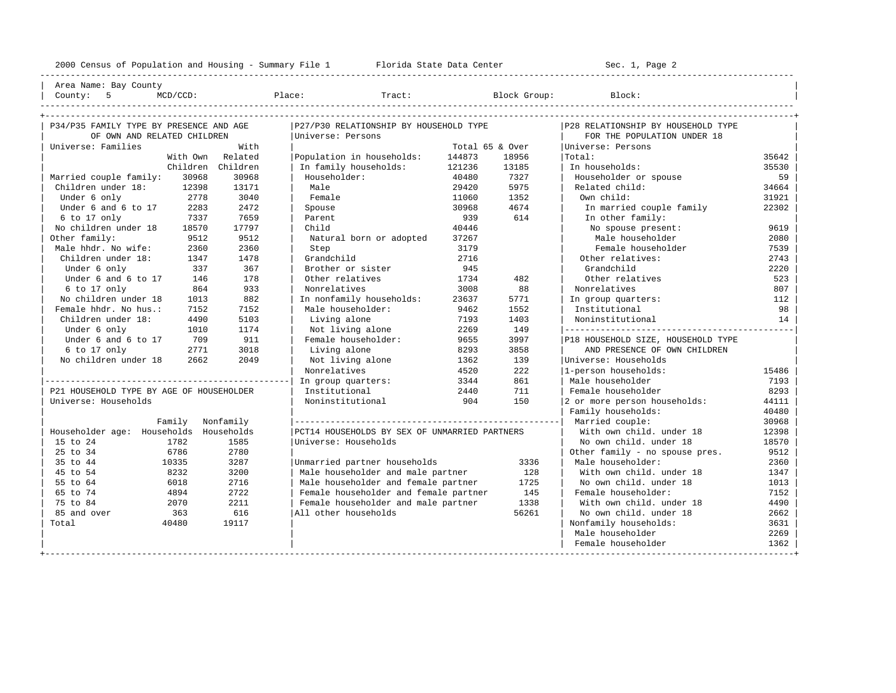| Male householder 2269 | Female householder | 1362

2000 Census of Population and Housing - Summary File 1 Florida State Data Center Sec. 1, Page 2 ---------------------------------------------------------------------------------------------------------------------------------------------------- Area Name: Bay County | County: 5 MCD/CCD: Place: Tract: Block Group: Block: | ---------------------------------------------------------------------------------------------------------------------------------------------------- +---------------------------------------------------------------------------------------------------------------------------------------------------+ | P34/P35 FAMILY TYPE BY PRESENCE AND AGE |P27/P30 RELATIONSHIP BY HOUSEHOLD TYPE |P28 RELATIONSHIP BY HOUSEHOLD TYPE | | OF OWN AND RELATED CHILDREN |Universe: Persons | FOR THE POPULATION UNDER 18 | | Universe: Families With | Total 65 & Over |Universe: Persons | With Own Related | Population in households: 144873 18956 | Total: 35642<br>Children Children | In family households: 121236 13185 | In households: 35530 | Children Children | In family households: 121236 13185 | In households: 35530 | | Married couple family: 30968 30968 | Householder: 40480 7327 | Householder or spouse 59 | | Children under 18: 12398 13171 | Male 29420 5975 | Related child: 34664<br>| Under 6 only 2778 2010 | Female 2010 11060 1352 | Own child: 31921 | Under 6 only 2778 3040 | Female 11060 1352 | Own child: 31921 | | Under 6 and 6 to 17 2283 2472 | Spouse 30968 4674 | In married couple family 22302 | | 6 to 17 only 7337 7659 | Parent 939 614 | In other family: | | No children under 18 18570 17797 | Child 40446 | No spouse present: 9619 | | Other family: 9512 9512 | Natural born or adopted 37267 | Male householder 2080 | Male hhdr. No wife: 2360 2360 | Step 3179 | Female householder 7539<br>Children under 18: 1347 1478 | Grandchild 2716 | Other relatives: 2743 | Children under 18: 1347 1478 | Grandchild 2716 | Other relatives: 2743<br>| Under 6 only 337 367 | Brother or sister 2945 | Grandchild 2220 | Under 6 only 337 367 | Brother or sister 945 | Grandchild 2220 | Under 6 and 6 to 17 146 178 | Other relatives 1734 482 | Other relatives 523 | 6 to 17 only 864 933 | Nonrelatives 3008 88 | Nonrelatives 807 | 882 | In nonfamily households: 23637 5771 | In group quarters: | Female hhdr. No hus.: 7152 7152 | Male householder: 9462 1552 | Institutional 98 | | Children under 18: 4490 5103 | Living alone 7193 1403 | Noninstitutional 14 | | Under 6 only 1010 1174 | Not living alone 2269 149 |---------------------------------------------| Under 6 and 6 to 17 709 911 | Female householder: 9655 3997 |P18 HOUSEHOLD SIZE, HOUSEHOLD TYPE<br>6 to 17 only 2771 3018 | Living alone 8293 3858 | AND PRESENCE OF OWN CHILDREN | 6 to 17 only 2771 3018 | Living alone 8293 3858 | AND PRESENCE OF OWN CHILDREN | No children under 18 2662 2049 | Not living alone 1362 139 | Universe: Households | Nonrelatives | Nonrelatives | 1362 | 1-person households | Nonrelatives | 1362 | 1-person households | Nonrelatives | 1362 | 1-person hous | | Nonrelatives 4520 222 |1-person households: 15486 | |------------------------------------------------| In group quarters: 3344 861 | Male householder 7193 | | P21 HOUSEHOLD TYPE BY AGE OF HOUSEHOLDER | Institutional 2440 711 | Female householder 8293 | Universe: Households | Noninstitutional 904 150 | 2 or more person households: 44111 Family households: 40480 | Family Nonfamily |----------------------------------------------------| Married couple: 30968 | | Householder age: Households Households |PCT14 HOUSEHOLDS BY SEX OF UNMARRIED PARTNERS | With own child. under 18 12398 | | 15 to 24 1782 1585 | Universe: Households | No own child. under 18 18570<br>| 18570 | 18570 | 18570 | 18570 | 19512 | 25 to 34 6786 2780 | | Other family - no spouse pres. 9512 | % 10335 3287 |Unmarried partner households 3336 | Male householder: 2360 | 2360<br>1347 3286 1347 3200 | Male householder and male partner 328 | With own child. under 18 1347 | 45 to 54 8232 3200 | Male householder and male partner 128 | With own child. under 18 1347 | | 55 to 64 6018 2716 | Male householder and female partner 1725 | No own child. under 18 1013 | | 65 to 74 4894 2722 | Female householder and female partner 145 | Female householder: 7152 | % 75 to 84 2070 2211 | Female householder and male partner 2008 | With own child. under 18 2662<br>2662 | 85 and over 2663 2662 | All other households 2662 56261 | No own child. under 18 | 85 and over 363 616 |All other households 56261 | No own child. under 18 2662 | | Total 40480 19117 | | Nonfamily households: 3631 |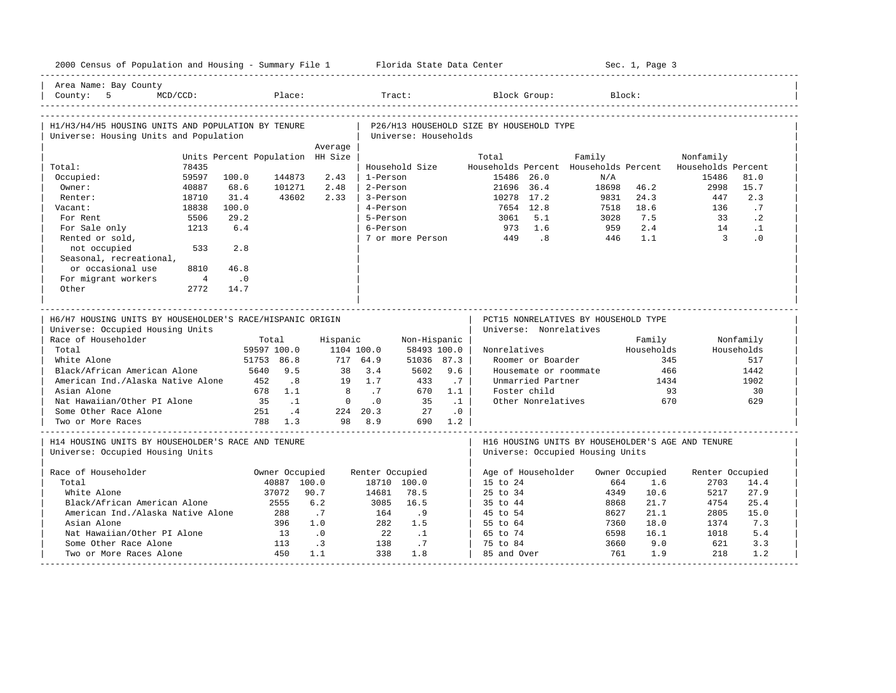| 2000 Census of Population and Housing - Summary File 1 Florida State Data Center             |            |                  |                                             |                 |                                                                  |            |                      |                        |                                       | Sec. 1, Page 3 |                                                   |            |
|----------------------------------------------------------------------------------------------|------------|------------------|---------------------------------------------|-----------------|------------------------------------------------------------------|------------|----------------------|------------------------|---------------------------------------|----------------|---------------------------------------------------|------------|
| Area Name: Bay County<br>County: $5$<br>$MCD/CCD$ :                                          |            | Place:           |                                             |                 | Tract:                                                           |            |                      | Block Group:           |                                       | Block:         |                                                   |            |
| H1/H3/H4/H5 HOUSING UNITS AND POPULATION BY TENURE<br>Universe: Housing Units and Population |            |                  |                                             |                 | P26/H13 HOUSEHOLD SIZE BY HOUSEHOLD TYPE<br>Universe: Households |            |                      |                        |                                       |                |                                                   |            |
|                                                                                              |            |                  | Average<br>Units Percent Population HH Size |                 |                                                                  |            | Total                |                        | Family                                |                | Nonfamily                                         |            |
| Total:<br>78435                                                                              |            |                  |                                             |                 | Household Size                                                   |            |                      |                        | Households Percent Households Percent |                | Households Percent                                |            |
| 59597<br>Occupied:                                                                           | 100.0      | 144873           | 2.43                                        | 1-Person        |                                                                  |            | 15486 26.0           |                        | N/A                                   |                | 15486                                             | 81.0       |
| Owner:<br>40887                                                                              | 68.6       | 101271           | 2.48                                        | 2-Person        |                                                                  |            | 21696 36.4           |                        | 18698                                 | 46.2           | 2998                                              | 15.7       |
| 18710<br>Renter:                                                                             | 31.4       | 43602            | 2.33                                        | 3-Person        |                                                                  |            | 10278 17.2           |                        | 9831                                  | 24.3           | 447                                               | 2.3        |
| 18838<br>Vacant:                                                                             | 100.0      |                  |                                             | 4-Person        |                                                                  |            |                      | 7654 12.8              | 7518                                  | 18.6           | 136                                               | .7         |
| 5506<br>For Rent                                                                             | 29.2       |                  |                                             | 5-Person        |                                                                  |            | 3061                 | 5.1                    | 3028                                  | 7.5            | 33                                                | $\cdot$ 2  |
| For Sale only<br>1213                                                                        | 6.4        |                  |                                             | 6-Person        |                                                                  |            | 973                  | 1.6                    | 959                                   | 2.4            | 14                                                | $\cdot$ 1  |
| Rented or sold,                                                                              |            |                  |                                             |                 | 7 or more Person                                                 |            | 449                  | 8 <sup>1</sup>         | 446                                   | 1.1            | $\overline{3}$                                    | $\cdot$ 0  |
| not occupied<br>533                                                                          | 2.8        |                  |                                             |                 |                                                                  |            |                      |                        |                                       |                |                                                   |            |
| Seasonal, recreational,                                                                      |            |                  |                                             |                 |                                                                  |            |                      |                        |                                       |                |                                                   |            |
| or occasional use<br>8810                                                                    | 46.8       |                  |                                             |                 |                                                                  |            |                      |                        |                                       |                |                                                   |            |
| For migrant workers<br>$\overline{4}$                                                        | $\cdot$ .0 |                  |                                             |                 |                                                                  |            |                      |                        |                                       |                |                                                   |            |
| Other<br>2772                                                                                | 14.7       |                  |                                             |                 |                                                                  |            |                      |                        |                                       |                |                                                   |            |
|                                                                                              |            |                  |                                             |                 |                                                                  |            |                      |                        |                                       |                |                                                   |            |
| ____________________________                                                                 |            |                  |                                             |                 |                                                                  |            |                      |                        |                                       |                |                                                   |            |
| H6/H7 HOUSING UNITS BY HOUSEHOLDER'S RACE/HISPANIC ORIGIN                                    |            |                  |                                             |                 |                                                                  |            |                      |                        | PCT15 NONRELATIVES BY HOUSEHOLD TYPE  |                |                                                   |            |
| Universe: Occupied Housing Units                                                             |            |                  |                                             |                 |                                                                  |            |                      | Universe: Nonrelatives |                                       |                |                                                   |            |
| Race of Householder                                                                          |            | Total            | Hispanic                                    |                 | Non-Hispanic                                                     |            |                      |                        |                                       | Family         |                                                   | Nonfamily  |
| Total                                                                                        |            | 59597 100.0      |                                             | 1104 100.0      | 58493 100.0                                                      |            | Nonrelatives         |                        |                                       | Households     |                                                   | Households |
| White Alone                                                                                  |            | 51753 86.8       |                                             | 717 64.9        | 51036 87.3                                                       |            |                      | Roomer or Boarder      |                                       | 345            |                                                   | 517        |
| Black/African American Alone                                                                 |            | 5640<br>9.5      | 38                                          | 3.4             | 5602                                                             | 9.6        |                      |                        | Housemate or roommate                 | 466            |                                                   | 1442       |
| American Ind./Alaska Native Alone                                                            |            | .8<br>452        | 19                                          | 1.7             | 433                                                              | .7         |                      | Unmarried Partner      |                                       | 1434           |                                                   | 1902       |
| Asian Alone                                                                                  |            | 678 1.1          | $_{\rm 8}$                                  | .7              | 670                                                              | 1.1        |                      | Foster child           |                                       | 93             |                                                   | 30         |
| Nat Hawaiian/Other PI Alone                                                                  |            | $\ldots$ 1<br>35 | $\mathbf{0}$                                | $\cdot$ 0       | 35                                                               | $\ldots$ 1 |                      | Other Nonrelatives     |                                       | 670            |                                                   | 629        |
| Some Other Race Alone                                                                        |            | 251<br>$\cdot$ 4 |                                             | 224 20.3        | 27                                                               | $\cdot$ 0  |                      |                        |                                       |                |                                                   |            |
| Two or More Races                                                                            |            | 788 1.3          |                                             | 98 8.9          | 690 1.2                                                          |            |                      |                        |                                       |                |                                                   |            |
| H14 HOUSING UNITS BY HOUSEHOLDER'S RACE AND TENURE<br>Universe: Occupied Housing Units       |            |                  |                                             |                 |                                                                  |            |                      |                        | Universe: Occupied Housing Units      |                | H16 HOUSING UNITS BY HOUSEHOLDER'S AGE AND TENURE |            |
|                                                                                              |            |                  |                                             |                 |                                                                  |            |                      |                        |                                       |                |                                                   |            |
| Race of Householder                                                                          |            | Owner Occupied   |                                             | Renter Occupied |                                                                  |            | Age of Householder   |                        |                                       | Owner Occupied | Renter Occupied                                   |            |
| Total                                                                                        |            | 40887 100.0      |                                             |                 | 18710 100.0                                                      |            | 15 to 24             |                        | 664                                   | 1.6            | 2703                                              | 14.4       |
| White Alone                                                                                  |            | 37072            | 90.7                                        | 14681           | 78.5                                                             |            | 25 to 34             |                        | 4349                                  | 10.6           | 5217                                              | 27.9       |
| Black/African American Alone                                                                 |            | 2555             | 6.2                                         | 3085            | 16.5                                                             |            | 35 to 44             |                        | 8868                                  | 21.7           | 4754                                              | 25.4       |
| American Ind./Alaska Native Alone                                                            |            | 288              | $\cdot$ 7                                   | 164             | .9                                                               |            | 45 to 54             |                        | 8627                                  | 21.1           | 2805                                              | 15.0       |
| Asian Alone<br>Nat Hawaiian/Other PI Alone                                                   |            | 396<br>13        | 1.0                                         | 282<br>22       | 1.5<br>$\cdot$ 1                                                 |            | 55 to 64<br>65 to 74 |                        | 7360<br>6598                          | 18.0<br>16.1   | 1374<br>1018                                      | 7.3<br>5.4 |
| Some Other Race Alone                                                                        |            | 113              | $\cdot$ 0<br>$\cdot$ 3                      | 138             | .7                                                               |            | 75 to 84             |                        | 3660                                  | 9.0            | 621                                               | 3.3        |
| Two or More Races Alone                                                                      |            | 450              | 1.1                                         | 338             | 1.8                                                              |            | 85 and Over          |                        | 761                                   | 1.9            | 218                                               | 1.2        |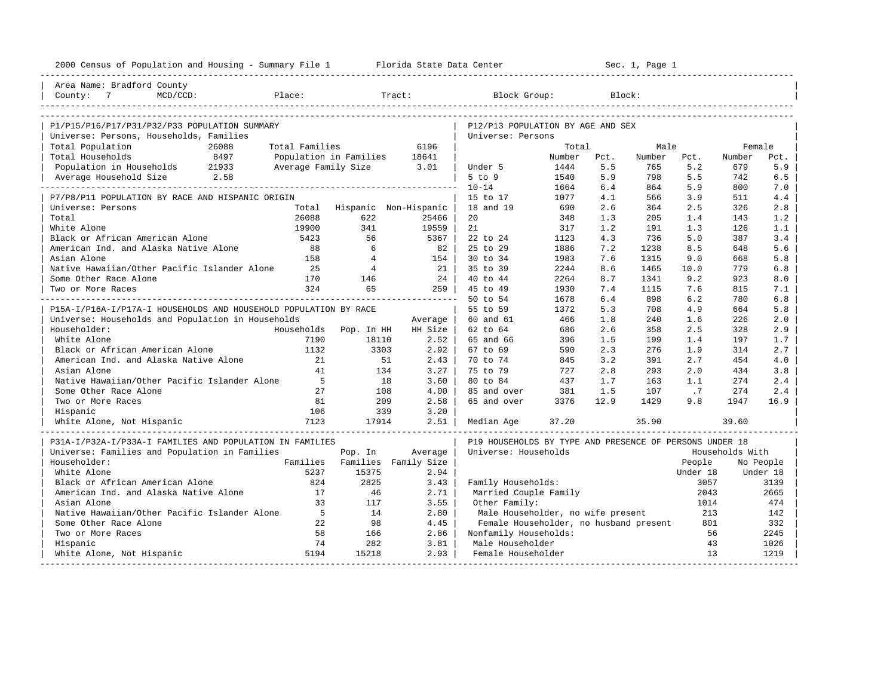| Area Name: Bradford County<br>County: 7<br>MCD/CCD:<br>explorer in the Place:<br>Tract:<br>Block Group:<br>Block:<br>P12/P13 POPULATION BY AGE AND SEX<br>P1/P15/P16/P17/P31/P32/P33 POPULATION SUMMARY<br>Universe: Persons, Households, Families<br>Universe: Persons<br>Total Population<br>26088<br>Total Families<br>6196<br>Total<br>Male<br>Female<br>Total Households<br>8497<br>Population in Families<br>18641<br>Number<br>Pct.<br>Number<br>Pct.<br>Number<br>Pct.<br>5.2<br>5.9<br>Population in Households 21933<br>Average Family Size 3.01<br>5.5<br>765<br>679<br>Under 5<br>1444<br>Average Household Size 2.58<br>5 to 9<br>5.9<br>5.5<br>6.5<br>1540<br>798<br>742<br>. _ _ _ _ _ _ _ _ _ _ _ _ _ _ _ _ _ _<br>$10 - 14$<br>6.4<br>5.9<br>7.0<br>1664<br>864<br>800<br>1077<br>4.1<br>3.9<br>511<br>4.4<br>P7/P8/P11 POPULATION BY RACE AND HISPANIC ORIGIN<br>15 to 17<br>566<br>Total Hispanic Non-Hispanic<br>18 and 19<br>2.6<br>2.5<br>2.8<br>Universe: Persons<br>690<br>364<br>326<br>Total<br>26088<br>20<br>622<br>25466<br>348<br>1.3<br>205<br>1.4<br>143<br>1.2<br>White Alone<br>19900<br>341<br>21<br>1.2<br>19559<br>317<br>191<br>1.3<br>126<br>1.1<br>Black or African American Alone<br>56<br>4.3<br>5.0<br>3.4<br>5423<br>5367<br>22 to 24<br>1123<br>736<br>387<br>American Ind. and Alaska Native Alone<br>6<br>25 to 29<br>5.6<br>88<br>82<br>1886<br>7.2<br>1238<br>8.5<br>648<br>30 to 34<br>Asian Alone<br>158<br>$\overline{4}$<br>154<br>1983<br>7.6<br>1315<br>9.0<br>668<br>5.8<br>$\overline{4}$<br>Native Hawaiian/Other Pacific Islander Alone<br>25<br>21<br>35 to 39<br>2244<br>8.6<br>1465<br>10.0<br>779<br>6.8<br>24  <br>40 to 44<br>Some Other Race Alone<br>170<br>146<br>2264<br>8.7<br>1341<br>9.2<br>923<br>8.0<br>324<br>65<br>259<br>45 to 49<br>7.4<br>1115<br>7.6<br>815<br>Two or More Races<br>1930<br>7.1<br>50 to 54<br>6.4<br>898<br>6.2<br>6.8<br>1678<br>780<br>P15A-I/P16A-I/P17A-I HOUSEHOLDS AND HOUSEHOLD POPULATION BY RACE<br>55 to 59<br>5.3<br>708<br>4.9<br>664<br>5.8<br>1372<br>Universe: Households and Population in Households<br>60 and 61<br>1.8<br>240<br>226<br>2.0<br>466<br>1.6<br>Average<br>Households Pop. In HH<br>62 to 64<br>2.6<br>2.5<br>2.9<br>Householder:<br>HH Size<br>686<br>358<br>328<br>White Alone<br>7190<br>18110<br>2.52<br>65 and 66<br>396<br>1.5<br>199<br>1.4<br>197<br>1.7<br>Black or African American Alone<br>1132<br>3303<br>2.92<br>67 to 69<br>590<br>2.3<br>276<br>1.9<br>314<br>2.7<br>American Ind. and Alaska Native Alone<br>21<br>70 to 74<br>3.2<br>51<br>2.43<br>845<br>391<br>2.7<br>454<br>4.0<br>41<br>75 to 79<br>Asian Alone<br>134<br>3.27<br>727<br>2.8<br>293<br>2.0<br>434<br>3.8<br>Native Hawaiian/Other Pacific Islander Alone<br>$5^{\circ}$<br>80 to 84<br>18<br>3.60<br>437<br>1.7<br>163<br>1.1<br>274<br>2.4<br>Some Other Race Alone<br>27<br>108<br>4.00<br>85 and over<br>381<br>1.5<br>107<br>.7<br>274<br>2.4<br>81<br>Two or More Races<br>209<br>2.58<br>65 and over<br>3376<br>12.9<br>1429<br>9.8<br>1947<br>16.9<br>106<br>339<br>3.20<br>Hispanic<br>7123<br>White Alone, Not Hispanic<br>17914<br>2.51<br>Median Age<br>37.20<br>35.90<br>39.60<br>P31A-I/P32A-I/P33A-I FAMILIES AND POPULATION IN FAMILIES<br>P19 HOUSEHOLDS BY TYPE AND PRESENCE OF PERSONS UNDER 18<br>Universe: Families and Population in Families<br>Universe: Households<br>Pop. In<br>Average<br>Households With<br>Families<br>Families Family Size<br>Householder:<br>People<br>No People<br>White Alone<br>5237<br>15375<br>2.94<br>Under 18<br>Under 18<br>Black or African American Alone<br>824<br>2825<br>3.43<br>Family Households:<br>3057<br>3139<br>American Ind. and Alaska Native Alone<br>17<br>46<br>2.71<br>Married Couple Family<br>2665<br>2043<br>Asian Alone<br>33<br>117<br>3.55<br>Other Family:<br>1014<br>474<br>Native Hawaiian/Other Pacific Islander Alone<br>$5^{\circ}$<br>14<br>2.80<br>Male Householder, no wife present<br>213<br>142 | Some Other Race Alone<br>22<br>98<br>4.45<br>Female Householder, no husband present<br>801<br>332<br>58<br>166<br>2.86<br>Nonfamily Households:<br>56<br>2245<br>Two or More Races<br>74<br>282<br>3.81<br>43<br>Hispanic<br>Male Householder<br>1026<br>2.93<br>13<br>1219<br>White Alone, Not Hispanic<br>5194<br>15218<br>Female Householder | 2000 Census of Population and Housing - Summary File 1 Florida State Data Center |  |  |  | Sec. 1, Page 1 |  |  |
|-----------------------------------------------------------------------------------------------------------------------------------------------------------------------------------------------------------------------------------------------------------------------------------------------------------------------------------------------------------------------------------------------------------------------------------------------------------------------------------------------------------------------------------------------------------------------------------------------------------------------------------------------------------------------------------------------------------------------------------------------------------------------------------------------------------------------------------------------------------------------------------------------------------------------------------------------------------------------------------------------------------------------------------------------------------------------------------------------------------------------------------------------------------------------------------------------------------------------------------------------------------------------------------------------------------------------------------------------------------------------------------------------------------------------------------------------------------------------------------------------------------------------------------------------------------------------------------------------------------------------------------------------------------------------------------------------------------------------------------------------------------------------------------------------------------------------------------------------------------------------------------------------------------------------------------------------------------------------------------------------------------------------------------------------------------------------------------------------------------------------------------------------------------------------------------------------------------------------------------------------------------------------------------------------------------------------------------------------------------------------------------------------------------------------------------------------------------------------------------------------------------------------------------------------------------------------------------------------------------------------------------------------------------------------------------------------------------------------------------------------------------------------------------------------------------------------------------------------------------------------------------------------------------------------------------------------------------------------------------------------------------------------------------------------------------------------------------------------------------------------------------------------------------------------------------------------------------------------------------------------------------------------------------------------------------------------------------------------------------------------------------------------------------------------------------------------------------------------------------------------------------------------------------------------------------------------------------------------------------------------------------------------------------------------------------------------------------------------------------------------------------------------------------------------------------------------------------------------------------------------------------------------------------------------------------------------------------------------------------------------------------------|-------------------------------------------------------------------------------------------------------------------------------------------------------------------------------------------------------------------------------------------------------------------------------------------------------------------------------------------------|----------------------------------------------------------------------------------|--|--|--|----------------|--|--|
|                                                                                                                                                                                                                                                                                                                                                                                                                                                                                                                                                                                                                                                                                                                                                                                                                                                                                                                                                                                                                                                                                                                                                                                                                                                                                                                                                                                                                                                                                                                                                                                                                                                                                                                                                                                                                                                                                                                                                                                                                                                                                                                                                                                                                                                                                                                                                                                                                                                                                                                                                                                                                                                                                                                                                                                                                                                                                                                                                                                                                                                                                                                                                                                                                                                                                                                                                                                                                                                                                                                                                                                                                                                                                                                                                                                                                                                                                                                                                                                                                 |                                                                                                                                                                                                                                                                                                                                                 |                                                                                  |  |  |  |                |  |  |
|                                                                                                                                                                                                                                                                                                                                                                                                                                                                                                                                                                                                                                                                                                                                                                                                                                                                                                                                                                                                                                                                                                                                                                                                                                                                                                                                                                                                                                                                                                                                                                                                                                                                                                                                                                                                                                                                                                                                                                                                                                                                                                                                                                                                                                                                                                                                                                                                                                                                                                                                                                                                                                                                                                                                                                                                                                                                                                                                                                                                                                                                                                                                                                                                                                                                                                                                                                                                                                                                                                                                                                                                                                                                                                                                                                                                                                                                                                                                                                                                                 |                                                                                                                                                                                                                                                                                                                                                 |                                                                                  |  |  |  |                |  |  |
|                                                                                                                                                                                                                                                                                                                                                                                                                                                                                                                                                                                                                                                                                                                                                                                                                                                                                                                                                                                                                                                                                                                                                                                                                                                                                                                                                                                                                                                                                                                                                                                                                                                                                                                                                                                                                                                                                                                                                                                                                                                                                                                                                                                                                                                                                                                                                                                                                                                                                                                                                                                                                                                                                                                                                                                                                                                                                                                                                                                                                                                                                                                                                                                                                                                                                                                                                                                                                                                                                                                                                                                                                                                                                                                                                                                                                                                                                                                                                                                                                 |                                                                                                                                                                                                                                                                                                                                                 |                                                                                  |  |  |  |                |  |  |
|                                                                                                                                                                                                                                                                                                                                                                                                                                                                                                                                                                                                                                                                                                                                                                                                                                                                                                                                                                                                                                                                                                                                                                                                                                                                                                                                                                                                                                                                                                                                                                                                                                                                                                                                                                                                                                                                                                                                                                                                                                                                                                                                                                                                                                                                                                                                                                                                                                                                                                                                                                                                                                                                                                                                                                                                                                                                                                                                                                                                                                                                                                                                                                                                                                                                                                                                                                                                                                                                                                                                                                                                                                                                                                                                                                                                                                                                                                                                                                                                                 |                                                                                                                                                                                                                                                                                                                                                 |                                                                                  |  |  |  |                |  |  |
|                                                                                                                                                                                                                                                                                                                                                                                                                                                                                                                                                                                                                                                                                                                                                                                                                                                                                                                                                                                                                                                                                                                                                                                                                                                                                                                                                                                                                                                                                                                                                                                                                                                                                                                                                                                                                                                                                                                                                                                                                                                                                                                                                                                                                                                                                                                                                                                                                                                                                                                                                                                                                                                                                                                                                                                                                                                                                                                                                                                                                                                                                                                                                                                                                                                                                                                                                                                                                                                                                                                                                                                                                                                                                                                                                                                                                                                                                                                                                                                                                 |                                                                                                                                                                                                                                                                                                                                                 |                                                                                  |  |  |  |                |  |  |
|                                                                                                                                                                                                                                                                                                                                                                                                                                                                                                                                                                                                                                                                                                                                                                                                                                                                                                                                                                                                                                                                                                                                                                                                                                                                                                                                                                                                                                                                                                                                                                                                                                                                                                                                                                                                                                                                                                                                                                                                                                                                                                                                                                                                                                                                                                                                                                                                                                                                                                                                                                                                                                                                                                                                                                                                                                                                                                                                                                                                                                                                                                                                                                                                                                                                                                                                                                                                                                                                                                                                                                                                                                                                                                                                                                                                                                                                                                                                                                                                                 |                                                                                                                                                                                                                                                                                                                                                 |                                                                                  |  |  |  |                |  |  |
|                                                                                                                                                                                                                                                                                                                                                                                                                                                                                                                                                                                                                                                                                                                                                                                                                                                                                                                                                                                                                                                                                                                                                                                                                                                                                                                                                                                                                                                                                                                                                                                                                                                                                                                                                                                                                                                                                                                                                                                                                                                                                                                                                                                                                                                                                                                                                                                                                                                                                                                                                                                                                                                                                                                                                                                                                                                                                                                                                                                                                                                                                                                                                                                                                                                                                                                                                                                                                                                                                                                                                                                                                                                                                                                                                                                                                                                                                                                                                                                                                 |                                                                                                                                                                                                                                                                                                                                                 |                                                                                  |  |  |  |                |  |  |
|                                                                                                                                                                                                                                                                                                                                                                                                                                                                                                                                                                                                                                                                                                                                                                                                                                                                                                                                                                                                                                                                                                                                                                                                                                                                                                                                                                                                                                                                                                                                                                                                                                                                                                                                                                                                                                                                                                                                                                                                                                                                                                                                                                                                                                                                                                                                                                                                                                                                                                                                                                                                                                                                                                                                                                                                                                                                                                                                                                                                                                                                                                                                                                                                                                                                                                                                                                                                                                                                                                                                                                                                                                                                                                                                                                                                                                                                                                                                                                                                                 |                                                                                                                                                                                                                                                                                                                                                 |                                                                                  |  |  |  |                |  |  |
|                                                                                                                                                                                                                                                                                                                                                                                                                                                                                                                                                                                                                                                                                                                                                                                                                                                                                                                                                                                                                                                                                                                                                                                                                                                                                                                                                                                                                                                                                                                                                                                                                                                                                                                                                                                                                                                                                                                                                                                                                                                                                                                                                                                                                                                                                                                                                                                                                                                                                                                                                                                                                                                                                                                                                                                                                                                                                                                                                                                                                                                                                                                                                                                                                                                                                                                                                                                                                                                                                                                                                                                                                                                                                                                                                                                                                                                                                                                                                                                                                 |                                                                                                                                                                                                                                                                                                                                                 |                                                                                  |  |  |  |                |  |  |
|                                                                                                                                                                                                                                                                                                                                                                                                                                                                                                                                                                                                                                                                                                                                                                                                                                                                                                                                                                                                                                                                                                                                                                                                                                                                                                                                                                                                                                                                                                                                                                                                                                                                                                                                                                                                                                                                                                                                                                                                                                                                                                                                                                                                                                                                                                                                                                                                                                                                                                                                                                                                                                                                                                                                                                                                                                                                                                                                                                                                                                                                                                                                                                                                                                                                                                                                                                                                                                                                                                                                                                                                                                                                                                                                                                                                                                                                                                                                                                                                                 |                                                                                                                                                                                                                                                                                                                                                 |                                                                                  |  |  |  |                |  |  |
|                                                                                                                                                                                                                                                                                                                                                                                                                                                                                                                                                                                                                                                                                                                                                                                                                                                                                                                                                                                                                                                                                                                                                                                                                                                                                                                                                                                                                                                                                                                                                                                                                                                                                                                                                                                                                                                                                                                                                                                                                                                                                                                                                                                                                                                                                                                                                                                                                                                                                                                                                                                                                                                                                                                                                                                                                                                                                                                                                                                                                                                                                                                                                                                                                                                                                                                                                                                                                                                                                                                                                                                                                                                                                                                                                                                                                                                                                                                                                                                                                 |                                                                                                                                                                                                                                                                                                                                                 |                                                                                  |  |  |  |                |  |  |
|                                                                                                                                                                                                                                                                                                                                                                                                                                                                                                                                                                                                                                                                                                                                                                                                                                                                                                                                                                                                                                                                                                                                                                                                                                                                                                                                                                                                                                                                                                                                                                                                                                                                                                                                                                                                                                                                                                                                                                                                                                                                                                                                                                                                                                                                                                                                                                                                                                                                                                                                                                                                                                                                                                                                                                                                                                                                                                                                                                                                                                                                                                                                                                                                                                                                                                                                                                                                                                                                                                                                                                                                                                                                                                                                                                                                                                                                                                                                                                                                                 |                                                                                                                                                                                                                                                                                                                                                 |                                                                                  |  |  |  |                |  |  |
|                                                                                                                                                                                                                                                                                                                                                                                                                                                                                                                                                                                                                                                                                                                                                                                                                                                                                                                                                                                                                                                                                                                                                                                                                                                                                                                                                                                                                                                                                                                                                                                                                                                                                                                                                                                                                                                                                                                                                                                                                                                                                                                                                                                                                                                                                                                                                                                                                                                                                                                                                                                                                                                                                                                                                                                                                                                                                                                                                                                                                                                                                                                                                                                                                                                                                                                                                                                                                                                                                                                                                                                                                                                                                                                                                                                                                                                                                                                                                                                                                 |                                                                                                                                                                                                                                                                                                                                                 |                                                                                  |  |  |  |                |  |  |
|                                                                                                                                                                                                                                                                                                                                                                                                                                                                                                                                                                                                                                                                                                                                                                                                                                                                                                                                                                                                                                                                                                                                                                                                                                                                                                                                                                                                                                                                                                                                                                                                                                                                                                                                                                                                                                                                                                                                                                                                                                                                                                                                                                                                                                                                                                                                                                                                                                                                                                                                                                                                                                                                                                                                                                                                                                                                                                                                                                                                                                                                                                                                                                                                                                                                                                                                                                                                                                                                                                                                                                                                                                                                                                                                                                                                                                                                                                                                                                                                                 |                                                                                                                                                                                                                                                                                                                                                 |                                                                                  |  |  |  |                |  |  |
|                                                                                                                                                                                                                                                                                                                                                                                                                                                                                                                                                                                                                                                                                                                                                                                                                                                                                                                                                                                                                                                                                                                                                                                                                                                                                                                                                                                                                                                                                                                                                                                                                                                                                                                                                                                                                                                                                                                                                                                                                                                                                                                                                                                                                                                                                                                                                                                                                                                                                                                                                                                                                                                                                                                                                                                                                                                                                                                                                                                                                                                                                                                                                                                                                                                                                                                                                                                                                                                                                                                                                                                                                                                                                                                                                                                                                                                                                                                                                                                                                 |                                                                                                                                                                                                                                                                                                                                                 |                                                                                  |  |  |  |                |  |  |
|                                                                                                                                                                                                                                                                                                                                                                                                                                                                                                                                                                                                                                                                                                                                                                                                                                                                                                                                                                                                                                                                                                                                                                                                                                                                                                                                                                                                                                                                                                                                                                                                                                                                                                                                                                                                                                                                                                                                                                                                                                                                                                                                                                                                                                                                                                                                                                                                                                                                                                                                                                                                                                                                                                                                                                                                                                                                                                                                                                                                                                                                                                                                                                                                                                                                                                                                                                                                                                                                                                                                                                                                                                                                                                                                                                                                                                                                                                                                                                                                                 |                                                                                                                                                                                                                                                                                                                                                 |                                                                                  |  |  |  |                |  |  |
|                                                                                                                                                                                                                                                                                                                                                                                                                                                                                                                                                                                                                                                                                                                                                                                                                                                                                                                                                                                                                                                                                                                                                                                                                                                                                                                                                                                                                                                                                                                                                                                                                                                                                                                                                                                                                                                                                                                                                                                                                                                                                                                                                                                                                                                                                                                                                                                                                                                                                                                                                                                                                                                                                                                                                                                                                                                                                                                                                                                                                                                                                                                                                                                                                                                                                                                                                                                                                                                                                                                                                                                                                                                                                                                                                                                                                                                                                                                                                                                                                 |                                                                                                                                                                                                                                                                                                                                                 |                                                                                  |  |  |  |                |  |  |
|                                                                                                                                                                                                                                                                                                                                                                                                                                                                                                                                                                                                                                                                                                                                                                                                                                                                                                                                                                                                                                                                                                                                                                                                                                                                                                                                                                                                                                                                                                                                                                                                                                                                                                                                                                                                                                                                                                                                                                                                                                                                                                                                                                                                                                                                                                                                                                                                                                                                                                                                                                                                                                                                                                                                                                                                                                                                                                                                                                                                                                                                                                                                                                                                                                                                                                                                                                                                                                                                                                                                                                                                                                                                                                                                                                                                                                                                                                                                                                                                                 |                                                                                                                                                                                                                                                                                                                                                 |                                                                                  |  |  |  |                |  |  |
|                                                                                                                                                                                                                                                                                                                                                                                                                                                                                                                                                                                                                                                                                                                                                                                                                                                                                                                                                                                                                                                                                                                                                                                                                                                                                                                                                                                                                                                                                                                                                                                                                                                                                                                                                                                                                                                                                                                                                                                                                                                                                                                                                                                                                                                                                                                                                                                                                                                                                                                                                                                                                                                                                                                                                                                                                                                                                                                                                                                                                                                                                                                                                                                                                                                                                                                                                                                                                                                                                                                                                                                                                                                                                                                                                                                                                                                                                                                                                                                                                 |                                                                                                                                                                                                                                                                                                                                                 |                                                                                  |  |  |  |                |  |  |
|                                                                                                                                                                                                                                                                                                                                                                                                                                                                                                                                                                                                                                                                                                                                                                                                                                                                                                                                                                                                                                                                                                                                                                                                                                                                                                                                                                                                                                                                                                                                                                                                                                                                                                                                                                                                                                                                                                                                                                                                                                                                                                                                                                                                                                                                                                                                                                                                                                                                                                                                                                                                                                                                                                                                                                                                                                                                                                                                                                                                                                                                                                                                                                                                                                                                                                                                                                                                                                                                                                                                                                                                                                                                                                                                                                                                                                                                                                                                                                                                                 |                                                                                                                                                                                                                                                                                                                                                 |                                                                                  |  |  |  |                |  |  |
|                                                                                                                                                                                                                                                                                                                                                                                                                                                                                                                                                                                                                                                                                                                                                                                                                                                                                                                                                                                                                                                                                                                                                                                                                                                                                                                                                                                                                                                                                                                                                                                                                                                                                                                                                                                                                                                                                                                                                                                                                                                                                                                                                                                                                                                                                                                                                                                                                                                                                                                                                                                                                                                                                                                                                                                                                                                                                                                                                                                                                                                                                                                                                                                                                                                                                                                                                                                                                                                                                                                                                                                                                                                                                                                                                                                                                                                                                                                                                                                                                 |                                                                                                                                                                                                                                                                                                                                                 |                                                                                  |  |  |  |                |  |  |
|                                                                                                                                                                                                                                                                                                                                                                                                                                                                                                                                                                                                                                                                                                                                                                                                                                                                                                                                                                                                                                                                                                                                                                                                                                                                                                                                                                                                                                                                                                                                                                                                                                                                                                                                                                                                                                                                                                                                                                                                                                                                                                                                                                                                                                                                                                                                                                                                                                                                                                                                                                                                                                                                                                                                                                                                                                                                                                                                                                                                                                                                                                                                                                                                                                                                                                                                                                                                                                                                                                                                                                                                                                                                                                                                                                                                                                                                                                                                                                                                                 |                                                                                                                                                                                                                                                                                                                                                 |                                                                                  |  |  |  |                |  |  |
|                                                                                                                                                                                                                                                                                                                                                                                                                                                                                                                                                                                                                                                                                                                                                                                                                                                                                                                                                                                                                                                                                                                                                                                                                                                                                                                                                                                                                                                                                                                                                                                                                                                                                                                                                                                                                                                                                                                                                                                                                                                                                                                                                                                                                                                                                                                                                                                                                                                                                                                                                                                                                                                                                                                                                                                                                                                                                                                                                                                                                                                                                                                                                                                                                                                                                                                                                                                                                                                                                                                                                                                                                                                                                                                                                                                                                                                                                                                                                                                                                 |                                                                                                                                                                                                                                                                                                                                                 |                                                                                  |  |  |  |                |  |  |
|                                                                                                                                                                                                                                                                                                                                                                                                                                                                                                                                                                                                                                                                                                                                                                                                                                                                                                                                                                                                                                                                                                                                                                                                                                                                                                                                                                                                                                                                                                                                                                                                                                                                                                                                                                                                                                                                                                                                                                                                                                                                                                                                                                                                                                                                                                                                                                                                                                                                                                                                                                                                                                                                                                                                                                                                                                                                                                                                                                                                                                                                                                                                                                                                                                                                                                                                                                                                                                                                                                                                                                                                                                                                                                                                                                                                                                                                                                                                                                                                                 |                                                                                                                                                                                                                                                                                                                                                 |                                                                                  |  |  |  |                |  |  |
|                                                                                                                                                                                                                                                                                                                                                                                                                                                                                                                                                                                                                                                                                                                                                                                                                                                                                                                                                                                                                                                                                                                                                                                                                                                                                                                                                                                                                                                                                                                                                                                                                                                                                                                                                                                                                                                                                                                                                                                                                                                                                                                                                                                                                                                                                                                                                                                                                                                                                                                                                                                                                                                                                                                                                                                                                                                                                                                                                                                                                                                                                                                                                                                                                                                                                                                                                                                                                                                                                                                                                                                                                                                                                                                                                                                                                                                                                                                                                                                                                 |                                                                                                                                                                                                                                                                                                                                                 |                                                                                  |  |  |  |                |  |  |
|                                                                                                                                                                                                                                                                                                                                                                                                                                                                                                                                                                                                                                                                                                                                                                                                                                                                                                                                                                                                                                                                                                                                                                                                                                                                                                                                                                                                                                                                                                                                                                                                                                                                                                                                                                                                                                                                                                                                                                                                                                                                                                                                                                                                                                                                                                                                                                                                                                                                                                                                                                                                                                                                                                                                                                                                                                                                                                                                                                                                                                                                                                                                                                                                                                                                                                                                                                                                                                                                                                                                                                                                                                                                                                                                                                                                                                                                                                                                                                                                                 |                                                                                                                                                                                                                                                                                                                                                 |                                                                                  |  |  |  |                |  |  |
|                                                                                                                                                                                                                                                                                                                                                                                                                                                                                                                                                                                                                                                                                                                                                                                                                                                                                                                                                                                                                                                                                                                                                                                                                                                                                                                                                                                                                                                                                                                                                                                                                                                                                                                                                                                                                                                                                                                                                                                                                                                                                                                                                                                                                                                                                                                                                                                                                                                                                                                                                                                                                                                                                                                                                                                                                                                                                                                                                                                                                                                                                                                                                                                                                                                                                                                                                                                                                                                                                                                                                                                                                                                                                                                                                                                                                                                                                                                                                                                                                 |                                                                                                                                                                                                                                                                                                                                                 |                                                                                  |  |  |  |                |  |  |
|                                                                                                                                                                                                                                                                                                                                                                                                                                                                                                                                                                                                                                                                                                                                                                                                                                                                                                                                                                                                                                                                                                                                                                                                                                                                                                                                                                                                                                                                                                                                                                                                                                                                                                                                                                                                                                                                                                                                                                                                                                                                                                                                                                                                                                                                                                                                                                                                                                                                                                                                                                                                                                                                                                                                                                                                                                                                                                                                                                                                                                                                                                                                                                                                                                                                                                                                                                                                                                                                                                                                                                                                                                                                                                                                                                                                                                                                                                                                                                                                                 |                                                                                                                                                                                                                                                                                                                                                 |                                                                                  |  |  |  |                |  |  |
|                                                                                                                                                                                                                                                                                                                                                                                                                                                                                                                                                                                                                                                                                                                                                                                                                                                                                                                                                                                                                                                                                                                                                                                                                                                                                                                                                                                                                                                                                                                                                                                                                                                                                                                                                                                                                                                                                                                                                                                                                                                                                                                                                                                                                                                                                                                                                                                                                                                                                                                                                                                                                                                                                                                                                                                                                                                                                                                                                                                                                                                                                                                                                                                                                                                                                                                                                                                                                                                                                                                                                                                                                                                                                                                                                                                                                                                                                                                                                                                                                 |                                                                                                                                                                                                                                                                                                                                                 |                                                                                  |  |  |  |                |  |  |
|                                                                                                                                                                                                                                                                                                                                                                                                                                                                                                                                                                                                                                                                                                                                                                                                                                                                                                                                                                                                                                                                                                                                                                                                                                                                                                                                                                                                                                                                                                                                                                                                                                                                                                                                                                                                                                                                                                                                                                                                                                                                                                                                                                                                                                                                                                                                                                                                                                                                                                                                                                                                                                                                                                                                                                                                                                                                                                                                                                                                                                                                                                                                                                                                                                                                                                                                                                                                                                                                                                                                                                                                                                                                                                                                                                                                                                                                                                                                                                                                                 |                                                                                                                                                                                                                                                                                                                                                 |                                                                                  |  |  |  |                |  |  |
|                                                                                                                                                                                                                                                                                                                                                                                                                                                                                                                                                                                                                                                                                                                                                                                                                                                                                                                                                                                                                                                                                                                                                                                                                                                                                                                                                                                                                                                                                                                                                                                                                                                                                                                                                                                                                                                                                                                                                                                                                                                                                                                                                                                                                                                                                                                                                                                                                                                                                                                                                                                                                                                                                                                                                                                                                                                                                                                                                                                                                                                                                                                                                                                                                                                                                                                                                                                                                                                                                                                                                                                                                                                                                                                                                                                                                                                                                                                                                                                                                 |                                                                                                                                                                                                                                                                                                                                                 |                                                                                  |  |  |  |                |  |  |
|                                                                                                                                                                                                                                                                                                                                                                                                                                                                                                                                                                                                                                                                                                                                                                                                                                                                                                                                                                                                                                                                                                                                                                                                                                                                                                                                                                                                                                                                                                                                                                                                                                                                                                                                                                                                                                                                                                                                                                                                                                                                                                                                                                                                                                                                                                                                                                                                                                                                                                                                                                                                                                                                                                                                                                                                                                                                                                                                                                                                                                                                                                                                                                                                                                                                                                                                                                                                                                                                                                                                                                                                                                                                                                                                                                                                                                                                                                                                                                                                                 |                                                                                                                                                                                                                                                                                                                                                 |                                                                                  |  |  |  |                |  |  |
|                                                                                                                                                                                                                                                                                                                                                                                                                                                                                                                                                                                                                                                                                                                                                                                                                                                                                                                                                                                                                                                                                                                                                                                                                                                                                                                                                                                                                                                                                                                                                                                                                                                                                                                                                                                                                                                                                                                                                                                                                                                                                                                                                                                                                                                                                                                                                                                                                                                                                                                                                                                                                                                                                                                                                                                                                                                                                                                                                                                                                                                                                                                                                                                                                                                                                                                                                                                                                                                                                                                                                                                                                                                                                                                                                                                                                                                                                                                                                                                                                 |                                                                                                                                                                                                                                                                                                                                                 |                                                                                  |  |  |  |                |  |  |
|                                                                                                                                                                                                                                                                                                                                                                                                                                                                                                                                                                                                                                                                                                                                                                                                                                                                                                                                                                                                                                                                                                                                                                                                                                                                                                                                                                                                                                                                                                                                                                                                                                                                                                                                                                                                                                                                                                                                                                                                                                                                                                                                                                                                                                                                                                                                                                                                                                                                                                                                                                                                                                                                                                                                                                                                                                                                                                                                                                                                                                                                                                                                                                                                                                                                                                                                                                                                                                                                                                                                                                                                                                                                                                                                                                                                                                                                                                                                                                                                                 |                                                                                                                                                                                                                                                                                                                                                 |                                                                                  |  |  |  |                |  |  |
|                                                                                                                                                                                                                                                                                                                                                                                                                                                                                                                                                                                                                                                                                                                                                                                                                                                                                                                                                                                                                                                                                                                                                                                                                                                                                                                                                                                                                                                                                                                                                                                                                                                                                                                                                                                                                                                                                                                                                                                                                                                                                                                                                                                                                                                                                                                                                                                                                                                                                                                                                                                                                                                                                                                                                                                                                                                                                                                                                                                                                                                                                                                                                                                                                                                                                                                                                                                                                                                                                                                                                                                                                                                                                                                                                                                                                                                                                                                                                                                                                 |                                                                                                                                                                                                                                                                                                                                                 |                                                                                  |  |  |  |                |  |  |
|                                                                                                                                                                                                                                                                                                                                                                                                                                                                                                                                                                                                                                                                                                                                                                                                                                                                                                                                                                                                                                                                                                                                                                                                                                                                                                                                                                                                                                                                                                                                                                                                                                                                                                                                                                                                                                                                                                                                                                                                                                                                                                                                                                                                                                                                                                                                                                                                                                                                                                                                                                                                                                                                                                                                                                                                                                                                                                                                                                                                                                                                                                                                                                                                                                                                                                                                                                                                                                                                                                                                                                                                                                                                                                                                                                                                                                                                                                                                                                                                                 |                                                                                                                                                                                                                                                                                                                                                 |                                                                                  |  |  |  |                |  |  |
|                                                                                                                                                                                                                                                                                                                                                                                                                                                                                                                                                                                                                                                                                                                                                                                                                                                                                                                                                                                                                                                                                                                                                                                                                                                                                                                                                                                                                                                                                                                                                                                                                                                                                                                                                                                                                                                                                                                                                                                                                                                                                                                                                                                                                                                                                                                                                                                                                                                                                                                                                                                                                                                                                                                                                                                                                                                                                                                                                                                                                                                                                                                                                                                                                                                                                                                                                                                                                                                                                                                                                                                                                                                                                                                                                                                                                                                                                                                                                                                                                 |                                                                                                                                                                                                                                                                                                                                                 |                                                                                  |  |  |  |                |  |  |
|                                                                                                                                                                                                                                                                                                                                                                                                                                                                                                                                                                                                                                                                                                                                                                                                                                                                                                                                                                                                                                                                                                                                                                                                                                                                                                                                                                                                                                                                                                                                                                                                                                                                                                                                                                                                                                                                                                                                                                                                                                                                                                                                                                                                                                                                                                                                                                                                                                                                                                                                                                                                                                                                                                                                                                                                                                                                                                                                                                                                                                                                                                                                                                                                                                                                                                                                                                                                                                                                                                                                                                                                                                                                                                                                                                                                                                                                                                                                                                                                                 |                                                                                                                                                                                                                                                                                                                                                 |                                                                                  |  |  |  |                |  |  |
|                                                                                                                                                                                                                                                                                                                                                                                                                                                                                                                                                                                                                                                                                                                                                                                                                                                                                                                                                                                                                                                                                                                                                                                                                                                                                                                                                                                                                                                                                                                                                                                                                                                                                                                                                                                                                                                                                                                                                                                                                                                                                                                                                                                                                                                                                                                                                                                                                                                                                                                                                                                                                                                                                                                                                                                                                                                                                                                                                                                                                                                                                                                                                                                                                                                                                                                                                                                                                                                                                                                                                                                                                                                                                                                                                                                                                                                                                                                                                                                                                 |                                                                                                                                                                                                                                                                                                                                                 |                                                                                  |  |  |  |                |  |  |
|                                                                                                                                                                                                                                                                                                                                                                                                                                                                                                                                                                                                                                                                                                                                                                                                                                                                                                                                                                                                                                                                                                                                                                                                                                                                                                                                                                                                                                                                                                                                                                                                                                                                                                                                                                                                                                                                                                                                                                                                                                                                                                                                                                                                                                                                                                                                                                                                                                                                                                                                                                                                                                                                                                                                                                                                                                                                                                                                                                                                                                                                                                                                                                                                                                                                                                                                                                                                                                                                                                                                                                                                                                                                                                                                                                                                                                                                                                                                                                                                                 |                                                                                                                                                                                                                                                                                                                                                 |                                                                                  |  |  |  |                |  |  |
|                                                                                                                                                                                                                                                                                                                                                                                                                                                                                                                                                                                                                                                                                                                                                                                                                                                                                                                                                                                                                                                                                                                                                                                                                                                                                                                                                                                                                                                                                                                                                                                                                                                                                                                                                                                                                                                                                                                                                                                                                                                                                                                                                                                                                                                                                                                                                                                                                                                                                                                                                                                                                                                                                                                                                                                                                                                                                                                                                                                                                                                                                                                                                                                                                                                                                                                                                                                                                                                                                                                                                                                                                                                                                                                                                                                                                                                                                                                                                                                                                 |                                                                                                                                                                                                                                                                                                                                                 |                                                                                  |  |  |  |                |  |  |
|                                                                                                                                                                                                                                                                                                                                                                                                                                                                                                                                                                                                                                                                                                                                                                                                                                                                                                                                                                                                                                                                                                                                                                                                                                                                                                                                                                                                                                                                                                                                                                                                                                                                                                                                                                                                                                                                                                                                                                                                                                                                                                                                                                                                                                                                                                                                                                                                                                                                                                                                                                                                                                                                                                                                                                                                                                                                                                                                                                                                                                                                                                                                                                                                                                                                                                                                                                                                                                                                                                                                                                                                                                                                                                                                                                                                                                                                                                                                                                                                                 |                                                                                                                                                                                                                                                                                                                                                 |                                                                                  |  |  |  |                |  |  |
|                                                                                                                                                                                                                                                                                                                                                                                                                                                                                                                                                                                                                                                                                                                                                                                                                                                                                                                                                                                                                                                                                                                                                                                                                                                                                                                                                                                                                                                                                                                                                                                                                                                                                                                                                                                                                                                                                                                                                                                                                                                                                                                                                                                                                                                                                                                                                                                                                                                                                                                                                                                                                                                                                                                                                                                                                                                                                                                                                                                                                                                                                                                                                                                                                                                                                                                                                                                                                                                                                                                                                                                                                                                                                                                                                                                                                                                                                                                                                                                                                 |                                                                                                                                                                                                                                                                                                                                                 |                                                                                  |  |  |  |                |  |  |
|                                                                                                                                                                                                                                                                                                                                                                                                                                                                                                                                                                                                                                                                                                                                                                                                                                                                                                                                                                                                                                                                                                                                                                                                                                                                                                                                                                                                                                                                                                                                                                                                                                                                                                                                                                                                                                                                                                                                                                                                                                                                                                                                                                                                                                                                                                                                                                                                                                                                                                                                                                                                                                                                                                                                                                                                                                                                                                                                                                                                                                                                                                                                                                                                                                                                                                                                                                                                                                                                                                                                                                                                                                                                                                                                                                                                                                                                                                                                                                                                                 |                                                                                                                                                                                                                                                                                                                                                 |                                                                                  |  |  |  |                |  |  |
|                                                                                                                                                                                                                                                                                                                                                                                                                                                                                                                                                                                                                                                                                                                                                                                                                                                                                                                                                                                                                                                                                                                                                                                                                                                                                                                                                                                                                                                                                                                                                                                                                                                                                                                                                                                                                                                                                                                                                                                                                                                                                                                                                                                                                                                                                                                                                                                                                                                                                                                                                                                                                                                                                                                                                                                                                                                                                                                                                                                                                                                                                                                                                                                                                                                                                                                                                                                                                                                                                                                                                                                                                                                                                                                                                                                                                                                                                                                                                                                                                 |                                                                                                                                                                                                                                                                                                                                                 |                                                                                  |  |  |  |                |  |  |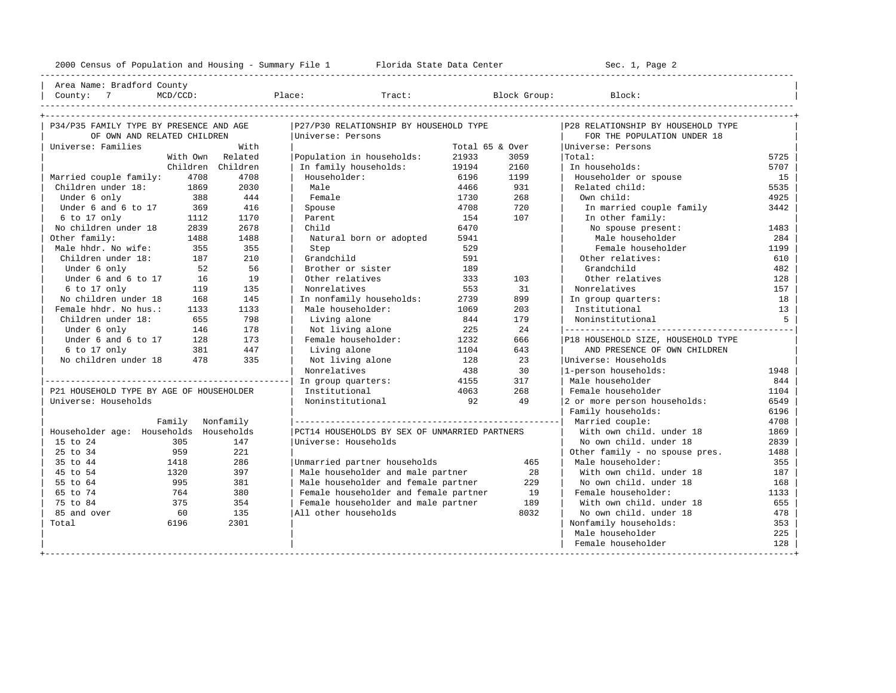| Area Name: Bradford County | | County: 7 MCD/CCD: Place: Tract: Block Group: Block: |

----------------------------------------------------------------------------------------------------------------------------------------------------

| P34/P35 FAMILY TYPE BY PRESENCE AND AGE  |                   | P27/P30 RELATIONSHIP BY HOUSEHOLD TYPE        |                 |      | P28 RELATIONSHIP BY HOUSEHOLD TYPE |      |
|------------------------------------------|-------------------|-----------------------------------------------|-----------------|------|------------------------------------|------|
| OF OWN AND RELATED CHILDREN              |                   | Universe: Persons                             |                 |      | FOR THE POPULATION UNDER 18        |      |
| Universe: Families                       | With              |                                               | Total 65 & Over |      | Universe: Persons                  |      |
|                                          | With Own Related  | Population in households:                     | 21933           | 3059 | Total:                             | 5725 |
|                                          | Children Children | In family households:                         | 19194           | 2160 | In households:                     | 5707 |
| Married couple family:<br>4708           | 4708              | Householder:                                  | 6196            | 1199 | Householder or spouse              | 15   |
| Children under 18:<br>1869               | 2030              | Male                                          | 4466            | 931  | Related child:                     | 5535 |
| Under 6 only<br>388                      | 444               | Female                                        | 1730            | 268  | Own child:                         | 4925 |
| Under 6 and 6 to 17<br>369               | 416               | Spouse                                        | 4708            | 720  | In married couple family           | 3442 |
| $6$ to 17 only<br>1112                   | 1170              | Parent                                        | 154             | 107  | In other family:                   |      |
| No children under 18<br>2839             | 2678              | Child                                         | 6470            |      | No spouse present:                 | 1483 |
| Other family:<br>1488                    | 1488              | Natural born or adopted                       | 5941            |      | Male householder                   | 284  |
| Male hhdr. No wife:<br>355               | 355               | Step                                          | 529             |      | Female householder                 | 1199 |
| Children under 18:<br>187                | 210               | Grandchild                                    | 591             |      | Other relatives:                   | 610  |
| Under 6 only<br>52                       | 56                | Brother or sister                             | 189             |      | Grandchild                         | 482  |
| Under 6 and 6 to 17<br>16                | 19                | Other relatives                               | 333             | 103  | Other relatives                    | 128  |
| $6$ to $17$ only<br>119                  | 135               | Nonrelatives                                  | 553             | 31   | Nonrelatives                       | 157  |
| No children under 18<br>168              | 145               | In nonfamily households:                      | 2739            | 899  | In group quarters:                 | 18   |
| Female hhdr. No hus.:<br>1133            | 1133              | Male householder:                             | 1069            | 203  | Institutional                      | 13   |
| Children under 18:<br>655                | 798               | Living alone                                  | 844             | 179  | Noninstitutional                   | 5    |
| Under 6 only<br>146                      | 178               | Not living alone                              | 225             | 2.4  |                                    |      |
| Under 6 and 6 to 17<br>128               | 173               | Female householder:                           | 1232            | 666  | P18 HOUSEHOLD SIZE, HOUSEHOLD TYPE |      |
| $6$ to 17 only<br>381                    | 447               | Living alone                                  | 1104            | 643  | AND PRESENCE OF OWN CHILDREN       |      |
| No children under 18 478                 | 335               | Not living alone                              | 128             | 23   | Universe: Households               |      |
|                                          |                   | Nonrelatives                                  | 438             | 30   | 1-person households:               | 1948 |
|                                          |                   | In group quarters:                            | 4155            | 317  | Male householder                   | 844  |
| P21 HOUSEHOLD TYPE BY AGE OF HOUSEHOLDER |                   | Institutional                                 | 4063            | 268  | Female householder                 | 1104 |
| Universe: Households                     |                   | Noninstitutional                              | 92              | 49   | 2 or more person households:       | 6549 |
|                                          |                   |                                               |                 |      | Family households:                 | 6196 |
| Family Nonfamily                         |                   |                                               |                 |      | Married couple:                    | 4708 |
| Householder age: Households Households   |                   | PCT14 HOUSEHOLDS BY SEX OF UNMARRIED PARTNERS |                 |      | With own child, under 18           | 1869 |
| 305<br>15 to 24                          | 147               | Universe: Households                          |                 |      | No own child, under 18             | 2839 |
| 25 to 34<br>959                          | 221               |                                               |                 |      | Other family - no spouse pres.     | 1488 |
| 35 to 44<br>1418                         | 286               | Unmarried partner households                  |                 | 465  | Male householder:                  | 355  |
| 45 to 54<br>1320                         | 397               | Male householder and male partner             |                 | 28   | With own child, under 18           | 187  |
| 55 to 64<br>995                          | 381               | Male householder and female partner           |                 | 229  | No own child. under 18             | 168  |
| 65 to 74<br>764                          | 380               | Female householder and female partner         |                 | 19   | Female householder:                | 1133 |
| 75 to 84<br>375                          | 354               | Female householder and male partner           |                 | 189  | With own child, under 18           | 655  |
| 85 and over<br>60                        | 135               | All other households                          |                 | 8032 | No own child, under 18             | 478  |
| Total<br>6196                            | 2301              |                                               |                 |      | Nonfamily households:              | 353  |
|                                          |                   |                                               |                 |      | Male householder                   | 225  |
|                                          |                   |                                               |                 |      | Female householder                 | 128  |
|                                          |                   |                                               |                 |      |                                    |      |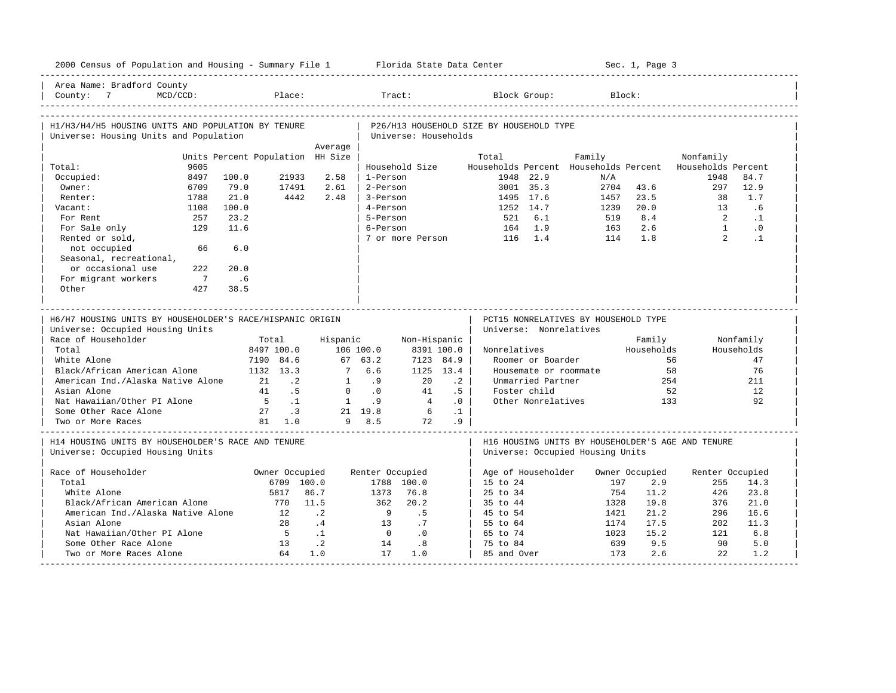| 2000 Census of Population and Housing - Summary File 1 Florida State Data Center              |                                  |                  |                 |                      |           |                                                                |                       |        |            | Sec. 1, Page 3 |                                                                  |                        |
|-----------------------------------------------------------------------------------------------|----------------------------------|------------------|-----------------|----------------------|-----------|----------------------------------------------------------------|-----------------------|--------|------------|----------------|------------------------------------------------------------------|------------------------|
| Area Name: Bradford County<br>$MCD/CCD$ :<br>County: 7                                        | Place:                           |                  | Tract:          |                      |           |                                                                | Block Group:          |        | Block:     |                |                                                                  |                        |
| H1/H3/H4/H5 HOUSING UNITS AND POPULATION BY TENURE<br>Universe: Housing Units and Population  |                                  |                  |                 | Universe: Households |           | P26/H13 HOUSEHOLD SIZE BY HOUSEHOLD TYPE                       |                       |        |            |                |                                                                  |                        |
|                                                                                               |                                  | Average          |                 |                      |           |                                                                |                       |        |            |                |                                                                  |                        |
|                                                                                               | Units Percent Population HH Size |                  |                 |                      |           | Total                                                          |                       | Family |            |                | Nonfamily                                                        |                        |
| 9605<br>Total:<br>Occupied:<br>8497                                                           | 100.0<br>21933                   | 2.58             | 1-Person        | Household Size       |           |                                                                | 1948 22.9             |        | N/A        |                | Households Percent Households Percent Households Percent<br>1948 | 84.7                   |
| Owner:<br>6709                                                                                | 79.0<br>17491                    | 2.61             | 2-Person        |                      |           |                                                                | 3001 35.3             |        | 2704       | 43.6           | 297                                                              | 12.9                   |
| 1788<br>Renter:                                                                               | 21.0<br>4442                     | 2.48             | 3-Person        |                      |           | 1495 17.6                                                      |                       |        | 1457       | 23.5           | 38                                                               | 1.7                    |
| 1108                                                                                          | 100.0                            |                  | 4-Person        |                      |           | 1252 14.7                                                      |                       |        | 1239       | 20.0           | 13                                                               | .6                     |
| Vacant:<br>For Rent<br>257                                                                    | 23.2                             |                  | 5-Person        |                      |           |                                                                | 6.1                   |        | 519        | 8.4            | $\overline{2}$                                                   | $\cdot$ 1              |
|                                                                                               |                                  |                  |                 |                      |           | 521                                                            | 1.9                   |        |            | 2.6            | $\overline{1}$                                                   |                        |
| For Sale only<br>129<br>Rented or sold,                                                       | 11.6                             |                  | 6-Person        | 7 or more Person     |           | 164<br>116                                                     | 1.4                   |        | 163<br>114 | 1.8            | $2^{\circ}$                                                      | $\cdot$ 0<br>$\cdot$ 1 |
| not occupied<br>66                                                                            | 6.0                              |                  |                 |                      |           |                                                                |                       |        |            |                |                                                                  |                        |
| Seasonal, recreational,                                                                       |                                  |                  |                 |                      |           |                                                                |                       |        |            |                |                                                                  |                        |
| or occasional use<br>222                                                                      | 20.0                             |                  |                 |                      |           |                                                                |                       |        |            |                |                                                                  |                        |
| For migrant workers<br>$\overline{7}$                                                         | .6                               |                  |                 |                      |           |                                                                |                       |        |            |                |                                                                  |                        |
| Other<br>427                                                                                  | 38.5                             |                  |                 |                      |           |                                                                |                       |        |            |                |                                                                  |                        |
|                                                                                               |                                  |                  |                 |                      |           |                                                                |                       |        |            |                |                                                                  |                        |
| H6/H7 HOUSING UNITS BY HOUSEHOLDER'S RACE/HISPANIC ORIGIN<br>Universe: Occupied Housing Units |                                  |                  |                 |                      |           | PCT15 NONRELATIVES BY HOUSEHOLD TYPE<br>Universe: Nonrelatives |                       |        |            |                |                                                                  |                        |
| Race of Householder                                                                           | Total                            | Hispanic         |                 | Non-Hispanic         |           |                                                                |                       |        |            | Family         |                                                                  | Nonfamily              |
| Total                                                                                         | 8497 100.0                       |                  | 106 100.0       | 8391 100.0           |           | Nonrelatives                                                   |                       |        |            | Households     |                                                                  | Households             |
| White Alone                                                                                   | 7190 84.6                        |                  | 67 63.2         | 7123 84.9            |           |                                                                | Roomer or Boarder     |        |            |                | 56                                                               | 47                     |
| Black/African American Alone                                                                  | 1132 13.3                        | 7                | 6.6             | 1125 13.4            |           |                                                                | Housemate or roommate |        |            |                | 58                                                               | 76                     |
| American Ind./Alaska Native Alone                                                             | 21<br>$\cdot$ 2                  | 1                | .9              | 20                   | $\cdot$ 2 |                                                                | Unmarried Partner     |        |            | 254            |                                                                  | 211                    |
| Asian Alone                                                                                   | 41<br>$\overline{5}$             | $\mathbf{0}$     | $\cdot$ 0       | 41                   | .5        |                                                                | Foster child          |        |            | 52             |                                                                  | 12                     |
| Nat Hawaiian/Other PI Alone                                                                   | $5^{\circ}$<br>$\ldots$          | $\overline{1}$   | .9              | $\overline{4}$       | $\cdot$ 0 |                                                                | Other Nonrelatives    |        |            | 133            |                                                                  | 92                     |
| Some Other Race Alone                                                                         | 27 .3                            |                  | 21 19.8         | $6\overline{6}$      | $\cdot$ 1 |                                                                |                       |        |            |                |                                                                  |                        |
| Two or More Races                                                                             | 81 1.0                           |                  | 9 8.5           | 72                   | .9        |                                                                |                       |        |            |                |                                                                  |                        |
| H14 HOUSING UNITS BY HOUSEHOLDER'S RACE AND TENURE<br>Universe: Occupied Housing Units        |                                  |                  |                 |                      |           | Universe: Occupied Housing Units                               |                       |        |            |                | H16 HOUSING UNITS BY HOUSEHOLDER'S AGE AND TENURE                |                        |
|                                                                                               |                                  |                  |                 |                      |           |                                                                |                       |        |            |                |                                                                  |                        |
| Race of Householder                                                                           | Owner Occupied                   |                  | Renter Occupied |                      |           | Age of Householder                                             |                       |        |            | Owner Occupied | Renter Occupied                                                  |                        |
| Total                                                                                         | 6709 100.0                       |                  |                 | 1788 100.0           |           | 15 to 24                                                       |                       |        | 197        | 2.9            | 255                                                              | 14.3                   |
| White Alone                                                                                   | 5817                             | 86.7             | 1373            | 76.8                 |           | $25$ to $34$                                                   |                       |        | 754        | 11.2           | 426                                                              | 23.8                   |
| Black/African American Alone                                                                  | 770                              | 11.5             | 362             | 20.2                 |           | 35 to 44                                                       |                       |        | 1328       | 19.8           | 376                                                              | 21.0                   |
| American Ind./Alaska Native Alone                                                             | 12                               | $\cdot$ 2        | - 9             | .5                   |           | 45 to 54                                                       |                       |        | 1421       | 21.2           | 296                                                              | 16.6                   |
| Asian Alone                                                                                   | 2.8                              | .4               | 13              | .7                   |           | 55 to 64                                                       |                       |        | 1174       | 17.5           | 202                                                              | 11.3                   |
| Nat Hawaiian/Other PI Alone                                                                   | $5^{\circ}$                      | $\cdot$ 1        | $\bigcirc$      | .0                   |           | 65 to 74                                                       |                       |        | 1023       | 15.2           | 121                                                              | 6.8                    |
| Some Other Race Alone<br>Two or More Races Alone                                              | 13<br>64                         | $\cdot$ 2<br>1.0 | 14<br>17        | .8<br>1.0            |           | 75 to 84<br>85 and Over                                        |                       |        | 639<br>173 | 9.5<br>2.6     | 90<br>2.2                                                        | 5.0<br>1.2             |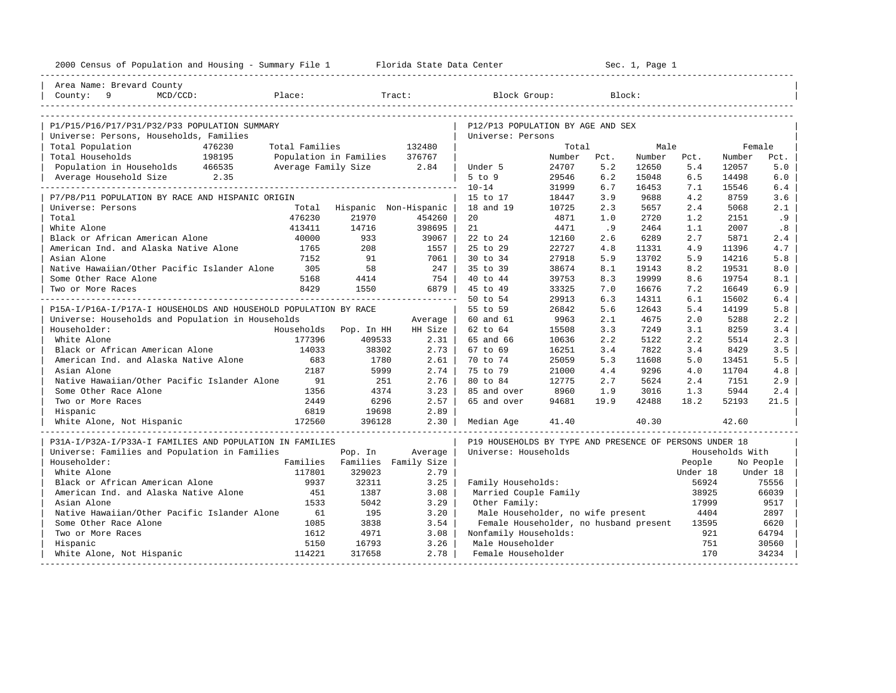| 2000 Census of Population and Housing - Summary File 1 Florida State Data Center |                |                                          |         |                                                         | ______________________ |      | Sec. 1, Page 1 |                    |                 |                       |
|----------------------------------------------------------------------------------|----------------|------------------------------------------|---------|---------------------------------------------------------|------------------------|------|----------------|--------------------|-----------------|-----------------------|
| Area Name: Brevard County                                                        |                |                                          |         |                                                         |                        |      |                |                    |                 |                       |
| County: 9<br>MCD/CCD:                                                            | Place:         |                                          | Tract:  | Block Group:                                            |                        |      | Block:         |                    |                 |                       |
|                                                                                  |                |                                          |         |                                                         |                        |      |                |                    |                 |                       |
| P1/P15/P16/P17/P31/P32/P33 POPULATION SUMMARY                                    |                |                                          |         | P12/P13 POPULATION BY AGE AND SEX                       |                        |      |                |                    |                 |                       |
| Universe: Persons, Households, Families                                          |                |                                          |         | Universe: Persons                                       |                        |      |                |                    |                 |                       |
| Total Population<br>476230                                                       | Total Families |                                          | 132480  |                                                         | Total                  |      | Male           |                    | Female          |                       |
| 198195<br>Total Households                                                       |                | Population in Families                   | 376767  |                                                         | Number                 | Pct. | Number         | Pct.               | Number          | Pct.                  |
| Population in Households 466535                                                  |                | Average Family Size 2.84                 |         | Under 5                                                 | 24707                  | 5.2  | 12650          | 5.4                | 12057           | 5.0                   |
| Average Household Size 2.35                                                      |                |                                          |         | $5$ to $9$                                              | 29546                  | 6.2  | 15048          | 6.5                | 14498           | 6.0                   |
|                                                                                  |                |                                          |         | $10 - 14$                                               | 31999                  | 6.7  | 16453          | 7.1                | 15546           | 6.4                   |
| P7/P8/P11 POPULATION BY RACE AND HISPANIC ORIGIN                                 |                |                                          |         | 15 to 17                                                | 18447                  | 3.9  | 9688           | 4.2                | 8759            | 3.6                   |
| Universe: Persons                                                                |                | Total Hispanic Non-Hispanic              |         | 18 and 19                                               | 10725                  | 2.3  | 5657           | 2.4                | 5068            | 2.1                   |
| Total                                                                            | 476230         | 21970                                    | 454260  | 20                                                      | 4871                   | 1.0  | 2720           | 1.2                | 2151            | .9                    |
| White Alone                                                                      | 413411         | 14716                                    | 398695  | 21                                                      | 4471                   | .9   | 2464           | 1.1                | 2007            | .8                    |
| Black or African American Alone                                                  | 40000          | 933                                      | 39067   | 22 to 24                                                | 12160                  | 2.6  | 6289           | 2.7                | 5871            | 2.4                   |
| American Ind. and Alaska Native Alone                                            | 1765           | 208                                      | 1557    | 25 to 29                                                | 22727                  | 4.8  | 11331          | 4.9                | 11396           | 4.7                   |
| Asian Alone                                                                      | 7152           | 91                                       | 7061    | 30 to 34                                                | 27918                  | 5.9  | 13702          | 5.9                | 14216           | 5.8                   |
| Native Hawaiian/Other Pacific Islander Alone                                     | 305            | 58                                       | $247$   | 35 to 39                                                | 38674                  | 8.1  | 19143          | 8.2                | 19531           | 8.0                   |
| Some Other Race Alone                                                            | 5168           | 4414                                     | 754     | 40 to 44                                                | 39753                  | 8.3  | 19999          | 8.6                | 19754           | 8.1                   |
| Two or More Races                                                                | 8429           | 1550                                     | 6879    | 45 to 49                                                | 33325                  | 7.0  | 16676          | 7.2                | 16649           | 6.9                   |
|                                                                                  |                |                                          |         | 50 to 54                                                | 29913                  | 6.3  | 14311          | 6.1                | 15602           | 6.4                   |
| P15A-I/P16A-I/P17A-I HOUSEHOLDS AND HOUSEHOLD POPULATION BY RACE                 |                |                                          |         | 55 to 59                                                | 26842                  | 5.6  | 12643          | 5.4                | 14199           | 5.8                   |
| Universe: Households and Population in Households                                |                |                                          | Average | 60 and 61                                               | 9963                   | 2.1  | 4675           | 2.0                | 5288            | 2.2                   |
| Householder:                                                                     | Households     | Pop. In HH                               | HH Size | 62 to 64                                                | 15508                  | 3.3  | 7249           | 3.1                | 8259            | 3.4                   |
| White Alone                                                                      | 177396         | 409533                                   | $2.31$  | 65 and 66                                               | 10636                  | 2.2  | 5122           | 2.2                | 5514            | 2.3                   |
| Black or African American Alone                                                  | 14033          | 38302                                    | 2.73    | 67 to 69                                                | 16251                  | 3.4  | 7822           | 3.4                | 8429            | 3.5                   |
| American Ind. and Alaska Native Alone                                            | 683            | 1780                                     | 2.61    | 70 to 74                                                | 25059                  | 5.3  | 11608          | 5.0                | 13451           | 5.5                   |
| Asian Alone                                                                      | 2187           | 5999                                     | 2.74    | 75 to 79                                                | 21000                  | 4.4  | 9296           | 4.0                | 11704           | 4.8                   |
| Native Hawaiian/Other Pacific Islander Alone                                     | 91             | 251                                      | 2.76    | 80 to 84                                                | 12775                  | 2.7  | 5624           | 2.4                | 7151            | 2.9                   |
| Some Other Race Alone                                                            | 1356           | 4374                                     | $3.23$  | 85 and over                                             | 8960                   | 1.9  | 3016           | 1.3                | 5944            | 2.4                   |
| Two or More Races                                                                | 2449           | 6296                                     | $2.57$  | 65 and over                                             | 94681                  | 19.9 | 42488          | 18.2               | 52193           | 21.5                  |
| Hispanic                                                                         | 6819           | 19698                                    | 2.89    |                                                         |                        |      |                |                    |                 |                       |
| White Alone, Not Hispanic                                                        | 172560         | 396128                                   | $2.30$  | Median Age                                              | 41.40                  |      | 40.30          |                    | 42.60           |                       |
|                                                                                  |                |                                          |         |                                                         |                        |      |                |                    |                 |                       |
| P31A-I/P32A-I/P33A-I FAMILIES AND POPULATION IN FAMILIES                         |                |                                          |         | P19 HOUSEHOLDS BY TYPE AND PRESENCE OF PERSONS UNDER 18 |                        |      |                |                    |                 |                       |
| Universe: Families and Population in Families<br>Householder:                    |                | Pop. In<br>Families Families Family Size | Average | Universe: Households                                    |                        |      |                |                    | Households With |                       |
| White Alone                                                                      | 117801         | 329023                                   | 2.79    |                                                         |                        |      |                | People<br>Under 18 |                 | No People<br>Under 18 |
| Black or African American Alone                                                  | 9937           | 32311                                    | 3.25    | Family Households:                                      |                        |      |                | 56924              |                 | 75556                 |
| American Ind. and Alaska Native Alone                                            | 451            | 1387                                     | 3.08    | Married Couple Family                                   |                        |      |                | 38925              |                 | 66039                 |
| Asian Alone                                                                      | 1533           | 5042                                     | 3.29    | Other Family:                                           |                        |      |                | 17999              |                 | 9517                  |
| Native Hawaiian/Other Pacific Islander Alone                                     | 61             | 195                                      | 3.20    | Male Householder, no wife present                       |                        |      |                | 4404               |                 | 2897                  |
| Some Other Race Alone                                                            | 1085           | 3838                                     | 3.54    | Female Householder, no husband present                  |                        |      |                | 13595              |                 | 6620                  |
| Two or More Races                                                                | 1612           | 4971                                     | 3.08    | Nonfamily Households:                                   |                        |      |                | 921                |                 | 64794                 |
| Hispanic                                                                         | 5150           | 16793                                    | 3.26    | Male Householder                                        |                        |      |                | 751                |                 | 30560                 |
| White Alone, Not Hispanic                                                        | 114221         | 317658                                   | 2.78    | Female Householder                                      |                        |      |                | 170                |                 | 34234                 |
|                                                                                  |                |                                          |         |                                                         |                        |      |                |                    |                 |                       |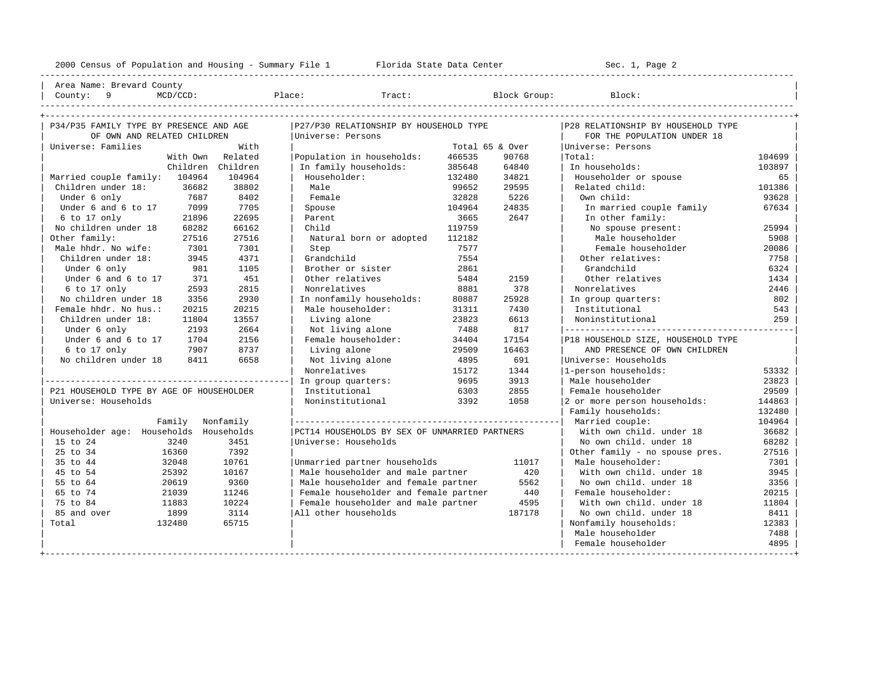----------------------------------------------------------------------------------------------------------------------------------------------------

| Area Name: Brevard County | | County: 9 MCD/CCD: Place: Tract: Block Group: Block: |

| P34/P35 FAMILY TYPE BY PRESENCE AND AGE  |                   | P27/P30 RELATIONSHIP BY HOUSEHOLD TYPE        |                 |        | P28 RELATIONSHIP BY HOUSEHOLD TYPE |        |
|------------------------------------------|-------------------|-----------------------------------------------|-----------------|--------|------------------------------------|--------|
| OF OWN AND RELATED CHILDREN              |                   | Universe: Persons                             |                 |        | FOR THE POPULATION UNDER 18        |        |
| Universe: Families                       | With              |                                               | Total 65 & Over |        | Universe: Persons                  |        |
|                                          | With Own Related  | Population in households:                     | 466535          | 90768  | Total:                             | 104699 |
|                                          | Children Children | In family households:                         | 385648          | 64840  | In households:                     | 103897 |
| Married couple family: 104964            | 104964            | Householder:                                  | 132480          | 34821  | Householder or spouse              | 65     |
| Children under 18:<br>36682              | 38802             | Male                                          | 99652           | 29595  | Related child:                     | 101386 |
| 7687<br>Under 6 only                     | 8402              | Female                                        | 32828           | 5226   | Own child:                         | 93628  |
| Under 6 and 6 to 17<br>7099              | 7705              | Spouse                                        | 104964          | 24835  | In married couple family           | 67634  |
| 6 to 17 only<br>21896                    | 22695             | Parent                                        | 3665            | 2647   | In other family:                   |        |
| No children under 18<br>68282            | 66162             | Child                                         | 119759          |        | No spouse present:                 | 25994  |
| Other family:<br>27516                   | 27516             | Natural born or adopted                       | 112182          |        | Male householder                   | 5908   |
| Male hhdr. No wife:<br>7301              | 7301              | Step                                          | 7577            |        | Female householder                 | 20086  |
| Children under 18:<br>3945               | 4371              | Grandchild                                    | 7554            |        | Other relatives:                   | 7758   |
| Under 6 only<br>981                      | 1105              | Brother or sister                             | 2861            |        | Grandchild                         | 6324   |
| Under 6 and 6 to 17<br>371               | 451               | Other relatives                               | 5484            | 2159   | Other relatives                    | 1434   |
| 6 to 17 only<br>2593                     | 2815              | Nonrelatives                                  | 8881            | 378    | Nonrelatives                       | 2446   |
| No children under 18<br>3356             | 2930              | In nonfamily households:                      | 80887           | 25928  | In group quarters:                 | 802    |
| Female hhdr. No hus.:<br>20215           | 20215             | Male householder:                             | 31311           | 7430   | Institutional                      | 543    |
| Children under 18:<br>11804              | 13557             | Living alone                                  | 23823           | 6613   | Noninstitutional                   | 259    |
| 2193<br>Under 6 only                     | 2664              | Not living alone                              | 7488            | 817    |                                    |        |
| Under 6 and 6 to 17<br>1704              | 2156              | Female householder:                           | 34404           | 17154  | P18 HOUSEHOLD SIZE, HOUSEHOLD TYPE |        |
| 6 to 17 only<br>7907                     | 8737              | Living alone                                  | 29509           | 16463  | AND PRESENCE OF OWN CHILDREN       |        |
| No children under 18<br>8411             | 6658              | Not living alone                              | 4895            | 691    | Winiverse: Households              |        |
|                                          |                   | Nonrelatives                                  | 15172           | 1344   | 1-person households:               | 53332  |
|                                          |                   | In group quarters:                            | 9695            | 3913   | Male householder                   | 23823  |
| P21 HOUSEHOLD TYPE BY AGE OF HOUSEHOLDER |                   | Institutional                                 | 6303            | 2855   | Female householder                 | 29509  |
| Universe: Households                     |                   | Noninstitutional                              | 3392            | 1058   | 2 or more person households:       | 144863 |
|                                          |                   |                                               |                 |        | Family households:                 | 132480 |
| Family Nonfamily                         |                   |                                               |                 |        | Married couple:                    | 104964 |
| Householder age: Households Households   |                   | PCT14 HOUSEHOLDS BY SEX OF UNMARRIED PARTNERS |                 |        | With own child, under 18           | 36682  |
| 3240<br>15 to 24                         | 3451              | Universe: Households                          |                 |        | No own child, under 18             | 68282  |
| 25 to 34<br>16360                        | 7392              |                                               |                 |        | Other family - no spouse pres.     | 27516  |
| 35 to 44<br>32048                        | 10761             | Unmarried partner households                  |                 | 11017  | Male householder:                  | 7301   |
| 45 to 54<br>25392                        | 10167             | Male householder and male partner             |                 | 420    | With own child, under 18           | 3945   |
| 55 to 64<br>20619                        | 9360              | Male householder and female partner           |                 | 5562   | No own child, under 18             | 3356   |
| 65 to 74<br>21039                        | 11246             | Female householder and female partner         |                 | 440    | Female householder:                | 20215  |
| 75 to 84<br>11883                        | 10224             | Female householder and male partner           |                 | 4595   | With own child. under 18           | 11804  |
| 85 and over<br>1899                      | 3114              | All other households                          |                 | 187178 | No own child, under 18             | 8411   |
| 132480<br>Total                          | 65715             |                                               |                 |        | Nonfamily households:              | 12383  |
|                                          |                   |                                               |                 |        | Male householder                   | 7488   |
|                                          |                   |                                               |                 |        | Female householder                 | 4895   |
|                                          |                   |                                               |                 |        |                                    |        |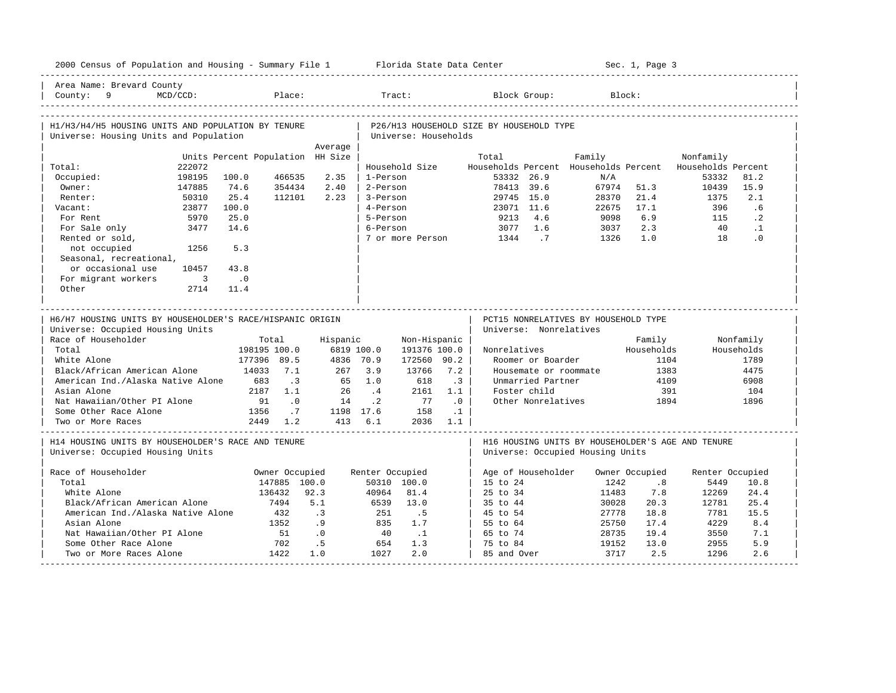| 2000 Census of Population and Housing - Summary File 1 Florida State Data Center                                                                                                                                                                                                                                       |                                                                                                                                                            |                                                                                       |                                                                      |                                                                          |                                                                      |                                                                                                               |                                        |                                                                                     | Sec. 1, Page 3                                              |                                                                                                                           |                                                                  |
|------------------------------------------------------------------------------------------------------------------------------------------------------------------------------------------------------------------------------------------------------------------------------------------------------------------------|------------------------------------------------------------------------------------------------------------------------------------------------------------|---------------------------------------------------------------------------------------|----------------------------------------------------------------------|--------------------------------------------------------------------------|----------------------------------------------------------------------|---------------------------------------------------------------------------------------------------------------|----------------------------------------|-------------------------------------------------------------------------------------|-------------------------------------------------------------|---------------------------------------------------------------------------------------------------------------------------|------------------------------------------------------------------|
| Area Name: Brevard County<br>$MCD/CCD$ :<br>County: 9                                                                                                                                                                                                                                                                  | Place:                                                                                                                                                     |                                                                                       | Tract:                                                               |                                                                          |                                                                      | Block Group:                                                                                                  |                                        | Block:                                                                              |                                                             |                                                                                                                           |                                                                  |
| H1/H3/H4/H5 HOUSING UNITS AND POPULATION BY TENURE<br>Universe: Housing Units and Population                                                                                                                                                                                                                           |                                                                                                                                                            |                                                                                       |                                                                      | Universe: Households                                                     |                                                                      | P26/H13 HOUSEHOLD SIZE BY HOUSEHOLD TYPE                                                                      |                                        |                                                                                     |                                                             |                                                                                                                           |                                                                  |
| Total:<br>222072<br>198195<br>Occupied:<br>Owner:<br>147885<br>Renter:<br>50310<br>23877<br>Vacant:<br>5970<br>For Rent<br>3477<br>For Sale only<br>Rented or sold,<br>1256<br>not occupied<br>Seasonal, recreational,<br>or occasional use<br>10457<br>For migrant workers<br>$\overline{\phantom{a}}$ 3<br>2714      | Units Percent Population HH Size<br>100.0<br>466535<br>74.6<br>354434<br>25.4<br>112101<br>100.0<br>25.0<br>14.6<br>5.3<br>43.8<br>$\ddot{\phantom{0}}$ .0 | Average<br>2.35<br>2.40<br>2.23                                                       | 1-Person<br>2-Person<br>3-Person<br>4-Person<br>5-Person<br>6-Person | Household Size                                                           |                                                                      | Total<br>53332 26.9<br>78413 39.6<br>29745 15.0<br>23071 11.6<br>9213<br>3077 1.6<br>7 or more Person 1344 .7 | 4.6                                    | Family<br>N/A<br>67974<br>28370<br>22675<br>9098<br>3037<br>1326                    | 51.3<br>21.4<br>17.1<br>6.9<br>2.3<br>1.0                   | Nonfamily<br>Households Percent Households Percent Households Percent<br>53332<br>10439<br>1375<br>396<br>115<br>40<br>18 | 81.2<br>15.9<br>2.1<br>.6<br>$\cdot$ 2<br>$\cdot$ 1<br>$\cdot$ 0 |
| Other<br>H6/H7 HOUSING UNITS BY HOUSEHOLDER'S RACE/HISPANIC ORIGIN<br>Universe: Occupied Housing Units<br>Race of Householder<br>Total<br>White Alone<br>Black/African American Alone<br>American Ind./Alaska Native Alone<br>Asian Alone<br>Nat Hawaiian/Other PI Alone<br>Some Other Race Alone<br>Two or More Races | 11.4<br>Total<br>198195 100.0<br>177396 89.5<br>14033 7.1<br>683<br>$\cdot$ 3<br>2187 1.1<br>91<br>$\cdot$ 0<br>.7<br>1356<br>2449 1.2                     | Hispanic<br>6819 100.0<br>4836 70.9<br>65 1.0<br>2.6<br>14 .2<br>1198 17.6<br>413 6.1 | $267$ 3.9<br>$\cdot$ 4                                               | Non-Hispanic<br>191376 100.0<br>172560 90.2<br>13766<br>618<br>77<br>158 | 7.2<br>$\cdot$ 3<br>$2161$ 1.1<br>$\cdot$ 0<br>$\cdot$ 1<br>2036 1.1 | Universe: Nonrelatives<br>Nonrelatives<br>Foster child                                                        | Roomer or Boarder<br>Unmarried Partner | PCT15 NONRELATIVES BY HOUSEHOLD TYPE<br>Housemate or roommate<br>Other Nonrelatives | Family<br>Households<br>1104<br>1383<br>4109<br>391<br>1894 |                                                                                                                           | Nonfamily<br>Households<br>1789<br>4475<br>6908<br>104<br>1896   |
| H14 HOUSING UNITS BY HOUSEHOLDER'S RACE AND TENURE<br>Universe: Occupied Housing Units<br>Race of Householder<br>Total<br>White Alone<br>Black/African American Alone                                                                                                                                                  | Owner Occupied<br>147885 100.0<br>136432<br>7494                                                                                                           | 92.3<br>5.1                                                                           | Renter Occupied<br>40964<br>6539                                     | 50310 100.0<br>81.4<br>13.0                                              |                                                                      | Age of Householder<br>15 to 24<br>25 to 34<br>35 to 44                                                        |                                        | Universe: Occupied Housing Units<br>1242<br>11483<br>30028                          | Owner Occupied<br>.8<br>7.8<br>20.3                         | H16 HOUSING UNITS BY HOUSEHOLDER'S AGE AND TENURE<br>Renter Occupied<br>5449<br>12269<br>12781                            | 10.8<br>24.4<br>25.4                                             |
| American Ind./Alaska Native Alone<br>Asian Alone<br>Nat Hawaiian/Other PI Alone<br>Some Other Race Alone<br>Two or More Races Alone                                                                                                                                                                                    | 432<br>1352<br>51<br>702<br>1422                                                                                                                           | $\overline{\phantom{a}}$<br>.9<br>.0<br>.5<br>1.0                                     | 251<br>835<br>40<br>654<br>1027                                      | .5<br>1.7<br>$\ldots$ 1<br>1.3<br>2.0                                    |                                                                      | 45 to 54<br>55 to 64<br>65 to 74<br>75 to 84<br>85 and Over                                                   |                                        | 27778<br>25750<br>28735<br>19152<br>3717                                            | 18.8<br>17.4<br>19.4<br>13.0<br>2.5                         | 7781<br>4229<br>3550<br>2955<br>1296                                                                                      | 15.5<br>8.4<br>7.1<br>5.9<br>2.6                                 |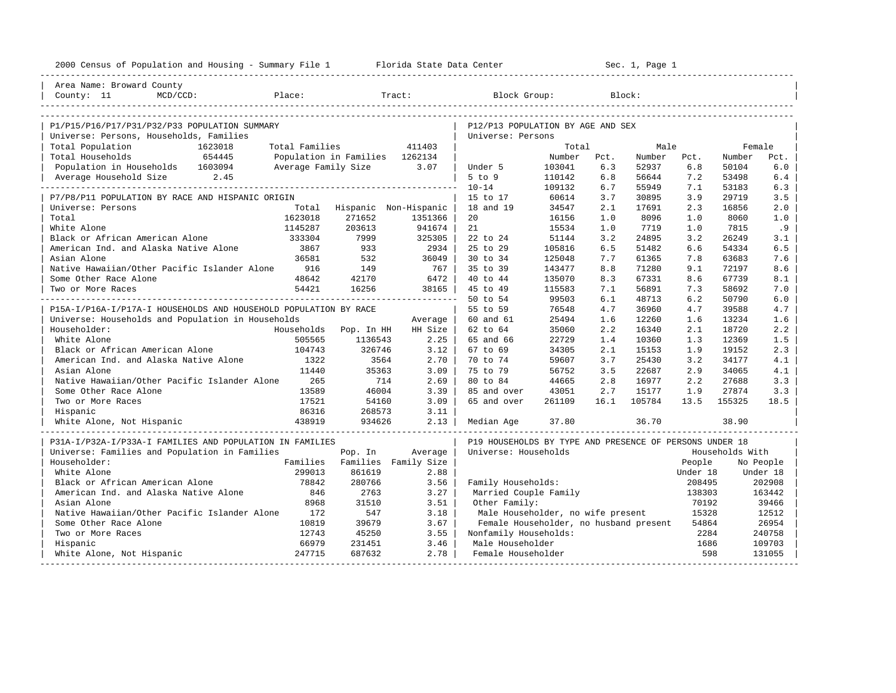| 2000 Census of Population and Housing - Summary File 1 Florida State Data Center |               |                                |                 |                                                         |                  |            | Sec. 1, Page 1 |            |                 |            |
|----------------------------------------------------------------------------------|---------------|--------------------------------|-----------------|---------------------------------------------------------|------------------|------------|----------------|------------|-----------------|------------|
| Area Name: Broward County<br>$MCD/CCD$ :<br>County: 11                           | Place:        |                                | Tract:          | Block Group:                                            |                  |            | Block:         |            |                 |            |
|                                                                                  |               |                                |                 |                                                         |                  |            |                |            |                 |            |
| P1/P15/P16/P17/P31/P32/P33 POPULATION SUMMARY                                    |               |                                |                 | P12/P13 POPULATION BY AGE AND SEX                       |                  |            |                |            |                 |            |
| Universe: Persons, Households, Families                                          |               |                                |                 | Universe: Persons                                       |                  |            |                |            |                 |            |
| Total Population<br>1623018                                                      |               | Total Families 411403          |                 |                                                         | Total            |            | Male           |            |                 | Female     |
| Total Households<br>654445                                                       |               | Population in Families 1262134 |                 |                                                         | Number Pct.      |            | Number Pct.    |            | Number          | Pct.       |
| Population in Households 1603094                                                 |               | Average Family Size            | 3.07            | Under 5                                                 | 103041           | 6.3        | 52937          | 6.8        | 50104           | 6.0        |
| Average Household Size 2.45                                                      |               |                                |                 | $5$ to $9$                                              | 110142           | 6.8        | 56644          | 7.2        | 53498           | 6.4        |
|                                                                                  |               |                                |                 | $10 - 14$                                               | 109132           | 6.7        | 55949          | 7.1        | 53183           | 6.3        |
| P7/P8/P11 POPULATION BY RACE AND HISPANIC ORIGIN                                 |               |                                |                 | 15 to 17                                                | 60614            | 3.7        | 30895          | 3.9        | 29719           | 3.5        |
| Universe: Persons                                                                |               | Total Hispanic Non-Hispanic    |                 | 18 and 19                                               | 34547            | 2.1        | 17691          | 2.3        | 16856           | 2.0        |
| Total                                                                            | 1623018       | 271652                         | 1351366         | 20                                                      | 16156            | 1.0        | 8096           | 1.0        | 8060            | 1.0        |
| White Alone                                                                      | 1145287       | 203613                         | 941674          | 21                                                      | 15534            | 1.0        | 7719           | 1.0        | 7815            | .9         |
| Black or African American Alone<br>American Ind. and Alaska Native Alone         | 333304        | 7999                           | 325305          | 22 to 24<br>25 to 29                                    | 51144            | 3.2        | 24895          | 3.2        | 26249           | 3.1<br>6.5 |
|                                                                                  | 3867<br>36581 | 933                            | 2934<br>36049   | 30 to 34                                                | 105816<br>125048 | 6.5<br>7.7 | 51482          | 6.6        | 54334           | 7.6        |
| Asian Alone<br>Native Hawaiian/Other Pacific Islander Alone                      | 916           | 532<br>149                     | 767             | 35 to 39                                                | 143477           | 8.8        | 61365<br>71280 | 7.8        | 63683<br>72197  | 8.6        |
| Some Other Race Alone                                                            | 48642         | 42170                          | 6472            | 40 to 44                                                | 135070           | 8.3        | 67331          | 9.1<br>8.6 | 67739           | 8.1        |
| Two or More Races                                                                | 54421         | 16256                          | 38165           | 45 to 49                                                | 115583           | 7.1        | 56891          | 7.3        | 58692           | 7.0        |
|                                                                                  |               |                                | --------------- | 50 to 54                                                | 99503            | 6.1        | 48713          | 6.2        | 50790           | 6.0        |
| P15A-I/P16A-I/P17A-I HOUSEHOLDS AND HOUSEHOLD POPULATION BY RACE                 |               |                                |                 | 55 to 59                                                | 76548            | 4.7        | 36960          | 4.7        | 39588           | 4.7        |
| Universe: Households and Population in Households                                |               |                                | Average         | 60 and 61                                               | 25494            | 1.6        | 12260          | 1.6        | 13234           | 1.6        |
| Householder:                                                                     | Households    | Pop. In HH                     | HH Size         | 62 to 64                                                | 35060            | 2.2        | 16340          | 2.1        | 18720           | 2.2        |
| White Alone                                                                      | 505565        | 1136543                        | 2.25            | 65 and 66                                               | 22729            | 1.4        | 10360          | 1.3        | 12369           | 1.5        |
| Black or African American Alone                                                  | 104743        | 326746                         | 3.12            | 67 to 69                                                | 34305            | 2.1        | 15153          | 1.9        | 19152           | 2.3        |
| American Ind. and Alaska Native Alone                                            | 1322          | 3564                           | 2.70            | 70 to 74                                                | 59607            | 3.7        | 25430          | 3.2        | 34177           | 4.1        |
| Asian Alone                                                                      | 11440         | 35363                          | 3.09            | 75 to 79                                                | 56752            | 3.5        | 22687          | 2.9        | 34065           | 4.1        |
| Native Hawaiian/Other Pacific Islander Alone                                     | 265           | 714                            | 2.69            | 80 to 84                                                | 44665            | 2.8        | 16977          | 2.2        | 27688           | 3.3        |
| Some Other Race Alone                                                            | 13589         | 46004                          | 3.39            | 85 and over                                             | 43051            | 2.7        | 15177          | 1.9        | 27874           | 3.3        |
| Two or More Races                                                                | 17521         | 54160                          | 3.09            | 65 and over                                             | 261109           | 16.1       | 105784         | 13.5       | 155325          | 18.5       |
| Hispanic                                                                         | 86316         | 268573                         | 3.11            |                                                         |                  |            |                |            |                 |            |
| White Alone, Not Hispanic                                                        | 438919        | 934626                         | 2.13            | Median Age                                              | 37.80            |            | 36.70          |            | 38.90           |            |
| P31A-I/P32A-I/P33A-I FAMILIES AND POPULATION IN FAMILIES                         |               |                                |                 | P19 HOUSEHOLDS BY TYPE AND PRESENCE OF PERSONS UNDER 18 |                  |            |                |            |                 |            |
| Universe: Families and Population in Families                                    |               | Pop. In                        | Average         | Universe: Households                                    |                  |            |                |            | Households With |            |
| Householder:                                                                     |               | Families Families Family Size  |                 |                                                         |                  |            |                | People     |                 | No People  |
| White Alone                                                                      | 299013        | 861619                         | 2.88            |                                                         |                  |            |                | Under 18   |                 | Under 18   |
| Black or African American Alone                                                  | 78842         | 280766                         | 3.56            | Family Households:                                      |                  |            |                | 208495     |                 | 202908     |
| American Ind. and Alaska Native Alone                                            | 846           | 2763                           | 3.27            | Married Couple Family                                   |                  |            |                | 138303     |                 | 163442     |
| Asian Alone                                                                      | 8968          | 31510                          | 3.51            | Other Family:                                           |                  |            |                | 70192      |                 | 39466      |
| Native Hawaiian/Other Pacific Islander Alone                                     | 172           | 547                            | 3.18            | Male Householder, no wife present                       |                  |            |                | 15328      |                 | 12512      |
| Some Other Race Alone                                                            | 10819         | 39679                          | 3.67            | Female Householder, no husband present                  |                  |            |                | 54864      |                 | 26954      |
| Two or More Races                                                                | 12743         | 45250                          | 3.55            | Nonfamily Households:                                   |                  |            |                | 2284       |                 | 240758     |
| Hispanic                                                                         | 66979         | 231451                         | 3.46            | Male Householder                                        |                  |            |                | 1686       |                 | 109703     |
| White Alone, Not Hispanic                                                        | 247715        | 687632                         | 2.78            | Female Householder                                      |                  |            |                | 598        |                 | 131055     |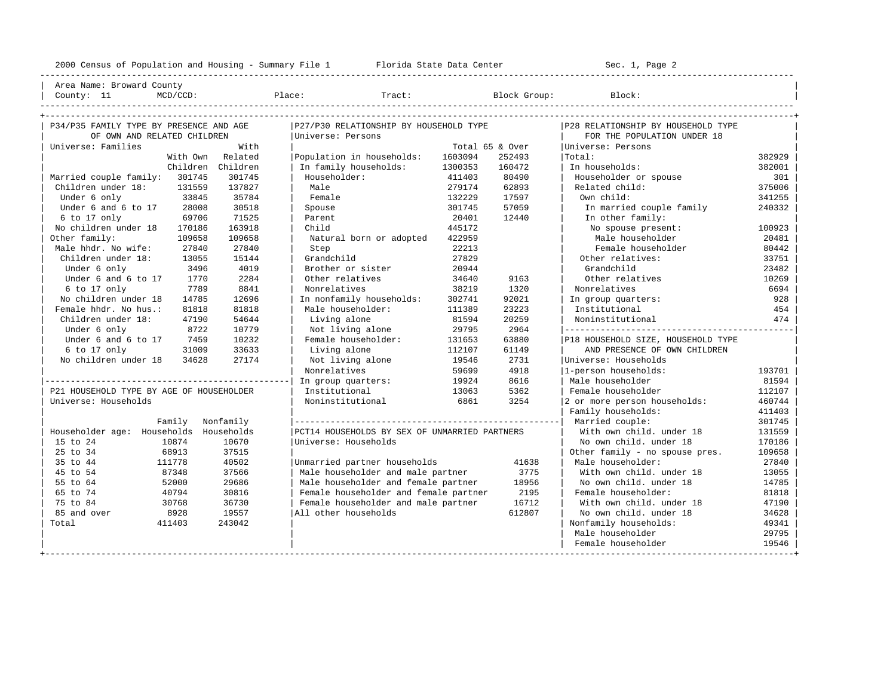| Area Name: Broward County | | County: 11 MCD/CCD: Place: Tract: Block Group: Block: |

----------------------------------------------------------------------------------------------------------------------------------------------------

| P34/P35 FAMILY TYPE BY PRESENCE AND AGE   | P27/P30 RELATIONSHIP BY HOUSEHOLD TYPE        |         |                 | P28 RELATIONSHIP BY HOUSEHOLD TYPE |        |
|-------------------------------------------|-----------------------------------------------|---------|-----------------|------------------------------------|--------|
| OF OWN AND RELATED CHILDREN               | Universe: Persons                             |         |                 | FOR THE POPULATION UNDER 18        |        |
| With<br>Universe: Families                |                                               |         | Total 65 & Over | Universe: Persons                  |        |
| Related<br>With Own                       | Population in households:                     | 1603094 | 252493          | Total:                             | 382929 |
| Children Children                         | In family households:                         | 1300353 | 160472          | In households:                     | 382001 |
| Married couple family: 301745<br>301745   | Householder:                                  | 411403  | 80490           | Householder or spouse              | 301    |
| Children under 18:<br>131559<br>137827    | Male                                          | 279174  | 62893           | Related child:                     | 375006 |
| 35784<br>Under 6 only<br>33845            | Female                                        | 132229  | 17597           | Own child:                         | 341255 |
| 28008<br>30518<br>Under 6 and 6 to 17     | Spouse                                        | 301745  | 57059           | In married couple family           | 240332 |
| 71525<br>$6$ to 17 only<br>69706          | Parent                                        | 20401   | 12440           | In other family:                   |        |
| 163918<br>No children under 18<br>170186  | Child                                         | 445172  |                 | No spouse present:                 | 100923 |
| Other family:<br>109658<br>109658         | Natural born or adopted                       | 422959  |                 | Male householder                   | 20481  |
| Male hhdr. No wife:<br>27840<br>27840     | Step                                          | 22213   |                 | Female householder                 | 80442  |
| Children under 18:<br>13055<br>15144      | Grandchild                                    | 27829   |                 | Other relatives:                   | 33751  |
| 4019<br>3496<br>Under 6 only              | Brother or sister                             | 20944   |                 | Grandchild                         | 23482  |
| Under 6 and 6 to 17<br>1770<br>2284       | Other relatives                               | 34640   | 9163            | Other relatives                    | 10269  |
| 7789<br>8841<br>6 to 17 only              | Nonrelatives                                  | 38219   | 1320            | Nonrelatives                       | 6694   |
| No children under 18<br>14785<br>12696    | In nonfamily households:                      | 302741  | 92021           | In group quarters:                 | 928    |
| Female hhdr. No hus.:<br>81818<br>81818   | Male householder:                             | 111389  | 23223           | Institutional                      | 454    |
| Children under 18:<br>47190<br>54644      | Living alone                                  | 81594   | 20259           | Noninstitutional                   | 474    |
| 8722<br>10779<br>Under 6 only             | Not living alone                              | 29795   | 2964            |                                    |        |
| Under 6 and 6 to 17<br>10232<br>7459      | Female householder:                           | 131653  | 63880           | P18 HOUSEHOLD SIZE, HOUSEHOLD TYPE |        |
| 33633<br>6 to 17 only<br>31009            | Living alone                                  | 112107  | 61149           | AND PRESENCE OF OWN CHILDREN       |        |
| No children under 18<br>34628<br>27174    | Not living alone                              | 19546   | 2731            | Universe: Households               |        |
|                                           | Nonrelatives                                  | 59699   | 4918            | 1-person households:               | 193701 |
|                                           | In group quarters:                            | 19924   | 8616            | Male householder                   | 81594  |
| P21 HOUSEHOLD TYPE BY AGE OF HOUSEHOLDER  | Institutional                                 | 13063   | 5362            | Female householder                 | 112107 |
| Universe: Households                      | Noninstitutional                              | 6861    | 3254            | 2 or more person households:       | 460744 |
|                                           |                                               |         |                 | Family households:                 | 411403 |
| Family<br>Nonfamily                       |                                               |         |                 |                                    | 301745 |
| Householder age: Households<br>Households | PCT14 HOUSEHOLDS BY SEX OF UNMARRIED PARTNERS |         |                 | With own child, under 18           | 131559 |
| 15 to 24<br>10874<br>10670                | Universe: Households                          |         |                 | No own child, under 18             | 170186 |
| 68913<br>37515<br>25 to 34                |                                               |         |                 | Other family - no spouse pres.     | 109658 |
| 40502<br>35 to 44<br>111778               | Unmarried partner households                  |         | 41638           | Male householder:                  | 27840  |
| 87348<br>37566<br>45 to 54                | Male householder and male partner             |         | 3775            | With own child, under 18           | 13055  |
| 29686<br>55 to 64<br>52000                | Male householder and female partner           |         | 18956           | No own child, under 18             | 14785  |
| 65 to 74<br>40794<br>30816                | Female householder and female partner         |         | 2195            | Female householder:                | 81818  |
| 75 to 84<br>30768<br>36730                | Female householder and male partner           |         | 16712           | With own child, under 18           | 47190  |
| 85 and over<br>8928<br>19557              | All other households                          |         | 612807          | No own child, under 18             | 34628  |
| 243042<br>Total<br>411403                 |                                               |         |                 | Nonfamily households:              | 49341  |
|                                           |                                               |         |                 | Male householder                   | 29795  |
|                                           |                                               |         |                 | Female householder                 | 19546  |
|                                           |                                               |         |                 |                                    |        |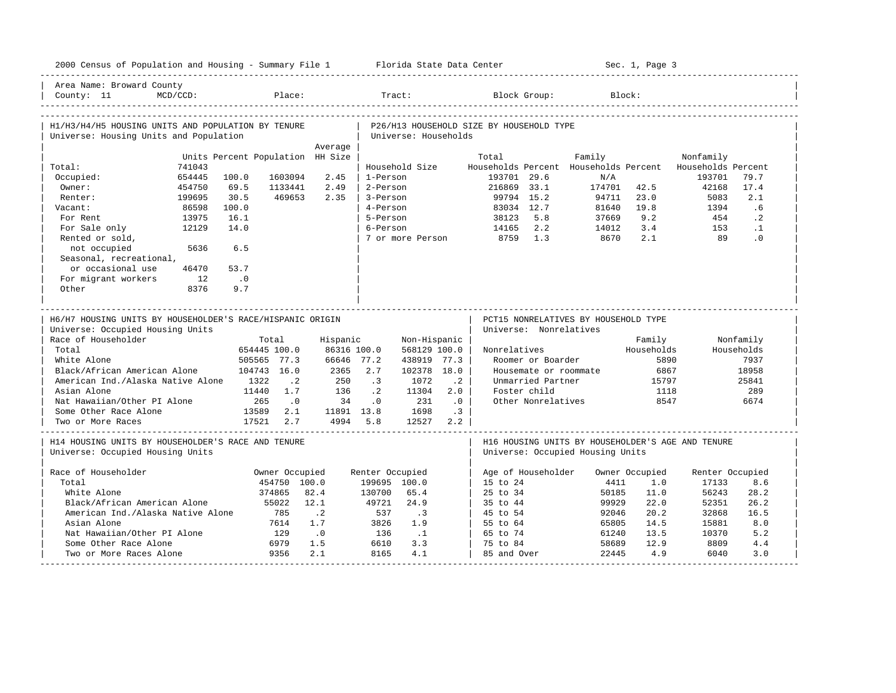| 2000 Census of Population and Housing - Summary File 1 Florida State Data Center             |                  |                                  |                             |                           |                        |                             |           |                                          |                    |                                              | Sec. 1, Page 3 |                                                   |                    |
|----------------------------------------------------------------------------------------------|------------------|----------------------------------|-----------------------------|---------------------------|------------------------|-----------------------------|-----------|------------------------------------------|--------------------|----------------------------------------------|----------------|---------------------------------------------------|--------------------|
| Area Name: Broward County<br>County: 11                                                      | MCD/CCD:         |                                  | Place:                      |                           |                        | Tract:                      |           |                                          | Block Group:       |                                              | Block:         |                                                   |                    |
| H1/H3/H4/H5 HOUSING UNITS AND POPULATION BY TENURE<br>Universe: Housing Units and Population |                  |                                  |                             |                           |                        | Universe: Households        |           | P26/H13 HOUSEHOLD SIZE BY HOUSEHOLD TYPE |                    |                                              |                |                                                   |                    |
|                                                                                              |                  |                                  |                             | Average                   |                        |                             |           |                                          |                    |                                              |                |                                                   |                    |
|                                                                                              |                  | Units Percent Population HH Size |                             |                           |                        |                             |           | Total                                    |                    | Family                                       |                | Nonfamily                                         |                    |
| Total:<br>Occupied:                                                                          | 741043<br>654445 | 100.0                            | 1603094                     | 2.45                      | 1-Person               | Household Size              |           | 193701 29.6                              |                    | Households Percent Households Percent<br>N/A |                | Households Percent<br>193701                      | 79.7               |
| Owner:                                                                                       | 454750           | 69.5                             | 1133441                     | 2.49                      | 2-Person               |                             |           | 216869 33.1                              |                    | 174701                                       | 42.5           | 42168                                             | 17.4               |
| Renter:                                                                                      | 199695           | 30.5                             | 469653                      | 2.35                      | 3-Person               |                             |           | 99794 15.2                               |                    | 94711                                        | 23.0           | 5083                                              | 2.1                |
| Vacant:                                                                                      | 86598            | 100.0                            |                             |                           | 4-Person               |                             |           | 83034 12.7                               |                    | 81640                                        | 19.8           | 1394                                              | .6                 |
| For Rent                                                                                     | 13975            | 16.1                             |                             |                           | 5-Person               |                             |           | 38123                                    | 5.8                | 37669                                        | 9.2            | 454                                               | $\cdot$ 2          |
| For Sale only                                                                                | 12129            | 14.0                             |                             |                           | 6-Person               |                             |           | 14165                                    | 2.2                | 14012                                        | 3.4            | 153                                               | $\cdot$ 1          |
| Rented or sold,                                                                              |                  |                                  |                             |                           |                        | 7 or more Person            |           | 8759                                     | 1.3                | 8670                                         | 2.1            | 89                                                | .0                 |
| not occupied                                                                                 | 5636             | 6.5                              |                             |                           |                        |                             |           |                                          |                    |                                              |                |                                                   |                    |
| Seasonal, recreational,                                                                      |                  |                                  |                             |                           |                        |                             |           |                                          |                    |                                              |                |                                                   |                    |
| or occasional use                                                                            | 46470            | 53.7                             |                             |                           |                        |                             |           |                                          |                    |                                              |                |                                                   |                    |
| For migrant workers                                                                          | 12               | $\cdot$ .0                       |                             |                           |                        |                             |           |                                          |                    |                                              |                |                                                   |                    |
| Other                                                                                        | 8376             | 9.7                              |                             |                           |                        |                             |           |                                          |                    |                                              |                |                                                   |                    |
|                                                                                              |                  |                                  |                             |                           |                        |                             |           |                                          |                    |                                              |                |                                                   |                    |
|                                                                                              |                  |                                  |                             |                           |                        |                             |           |                                          |                    |                                              |                |                                                   |                    |
| H6/H7 HOUSING UNITS BY HOUSEHOLDER'S RACE/HISPANIC ORIGIN                                    |                  |                                  |                             |                           |                        |                             |           |                                          |                    | PCT15 NONRELATIVES BY HOUSEHOLD TYPE         |                |                                                   |                    |
| Universe: Occupied Housing Units                                                             |                  |                                  |                             |                           |                        |                             |           | Universe: Nonrelatives                   |                    |                                              |                |                                                   |                    |
| Race of Householder<br>Total                                                                 |                  |                                  | Total                       | Hispanic                  |                        | Non-Hispanic                |           |                                          |                    |                                              | Family         |                                                   | Nonfamily          |
| White Alone                                                                                  |                  |                                  | 654445 100.0<br>505565 77.3 | 86316 100.0<br>66646 77.2 |                        | 568129 100.0<br>438919 77.3 |           | Nonrelatives                             | Roomer or Boarder  |                                              | Households     | 5890                                              | Households<br>7937 |
|                                                                                              |                  |                                  |                             |                           | 2.7                    |                             |           |                                          |                    |                                              |                |                                                   |                    |
| Black/African American Alone<br>American Ind./Alaska Native Alone                            |                  | 1322                             | 104743 16.0<br>$\cdot$ 2    | 2365<br>250               | $\cdot$ 3              | 102378 18.0<br>1072         | $\cdot$ 2 |                                          | Unmarried Partner  | Housemate or roommate                        | 15797          | 6867                                              | 18958<br>25841     |
| Asian Alone                                                                                  |                  | 11440                            | 1.7                         | 136                       | $\cdot$ 2              | 11304                       | 2.0       |                                          | Foster child       |                                              |                | 1118                                              | 289                |
| Nat Hawaiian/Other PI Alone                                                                  |                  | 265                              | $\cdot$ 0                   | 34                        | .0                     | 231                         | .0        |                                          | Other Nonrelatives |                                              |                | 8547                                              | 6674               |
| Some Other Race Alone                                                                        |                  | 13589                            | 2.1                         | 11891 13.8                |                        | 1698                        | $\cdot$ 3 |                                          |                    |                                              |                |                                                   |                    |
| Two or More Races                                                                            |                  | 17521                            | 2.7                         | 4994 5.8                  |                        | 12527                       | 2.2       |                                          |                    |                                              |                |                                                   |                    |
| H14 HOUSING UNITS BY HOUSEHOLDER'S RACE AND TENURE<br>Universe: Occupied Housing Units       |                  |                                  |                             |                           |                        |                             |           |                                          |                    | Universe: Occupied Housing Units             |                | H16 HOUSING UNITS BY HOUSEHOLDER'S AGE AND TENURE |                    |
|                                                                                              |                  |                                  |                             |                           |                        |                             |           |                                          |                    |                                              |                |                                                   |                    |
| Race of Householder                                                                          |                  |                                  | Owner Occupied              |                           | Renter Occupied        |                             |           | Age of Householder                       |                    |                                              | Owner Occupied | Renter Occupied                                   |                    |
| Total<br>White Alone                                                                         |                  |                                  | 454750 100.0                | 82.4                      | 199695 100.0<br>130700 | 65.4                        |           | 15 to 24<br>$25 \text{ to } 34$          |                    | 4411                                         | 1.0<br>11.0    | 17133<br>56243                                    | 8.6                |
|                                                                                              |                  |                                  | 374865                      |                           |                        |                             |           |                                          |                    | 50185                                        |                |                                                   | 28.2               |
| Black/African American Alone                                                                 |                  |                                  | 55022<br>785                | 12.1                      | 49721<br>537           | 24.9                        |           | 35 to 44<br>45 to 54                     |                    | 99929<br>92046                               | 22.0<br>20.2   | 52351<br>32868                                    | 26.2<br>16.5       |
| American Ind./Alaska Native Alone<br>Asian Alone                                             |                  |                                  | 7614                        | $\cdot$ . 2<br>1.7        | 3826                   | $\cdot$ 3<br>1.9            |           | 55 to 64                                 |                    | 65805                                        | 14.5           | 15881                                             | 8.0                |
| Nat Hawaiian/Other PI Alone                                                                  |                  |                                  | 129                         | $\cdot$ 0                 | 136                    | $\cdot$ 1                   |           | 65 to 74                                 |                    | 61240                                        | 13.5           | 10370                                             | 5.2                |
| Some Other Race Alone                                                                        |                  |                                  | 6979                        | 1.5                       | 6610                   | 3.3                         |           | 75 to 84                                 |                    | 58689                                        | 12.9           | 8809                                              | 4.4                |
| Two or More Races Alone                                                                      |                  |                                  | 9356                        | 2.1                       | 8165                   | 4.1                         |           | 85 and Over                              |                    | 22445                                        | 4.9            | 6040                                              | 3.0                |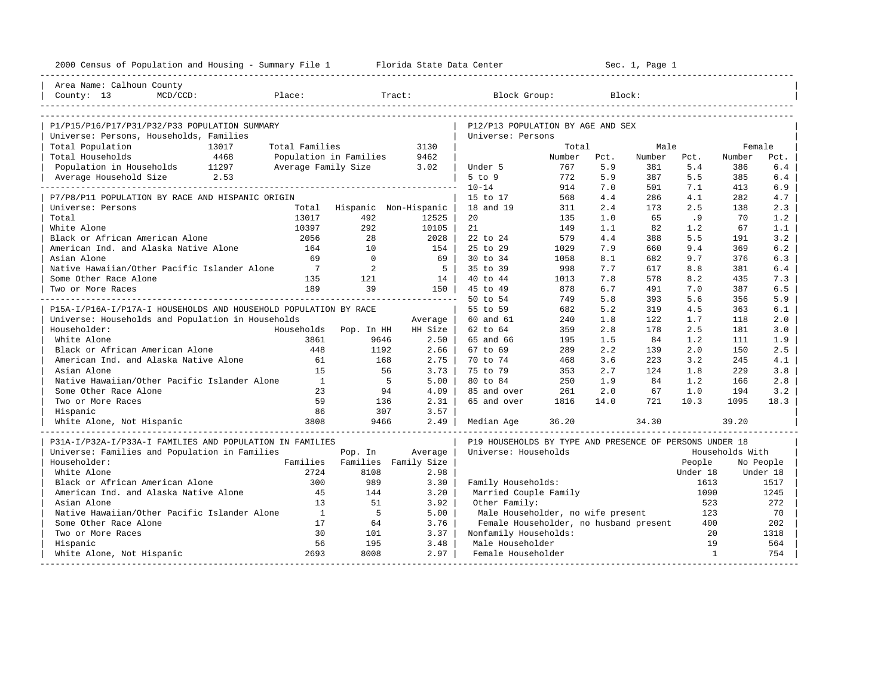| 2000 Census of Population and Housing - Summary File 1 Florida State Data Center |                |                        |                                      |                                                         |            |            | Sec. 1, Page 1 |              |                 |            |
|----------------------------------------------------------------------------------|----------------|------------------------|--------------------------------------|---------------------------------------------------------|------------|------------|----------------|--------------|-----------------|------------|
| Area Name: Calhoun County                                                        |                |                        |                                      |                                                         |            |            |                |              |                 |            |
| County: 13<br>MCD/CCD:<br>Place:                                                 |                |                        | Tract:                               | Block Group:                                            |            |            | Block:         |              |                 |            |
|                                                                                  |                |                        |                                      |                                                         |            |            |                |              |                 |            |
| P1/P15/P16/P17/P31/P32/P33 POPULATION SUMMARY                                    |                |                        |                                      | P12/P13 POPULATION BY AGE AND SEX                       |            |            |                |              |                 |            |
| Universe: Persons, Households, Families                                          |                |                        |                                      | Universe: Persons                                       |            |            |                |              |                 |            |
| Total Population<br>13017                                                        | Total Families |                        | 3130                                 |                                                         | Total      |            | Male           |              | Female          |            |
| Total Households<br>4468                                                         |                | Population in Families | 9462                                 |                                                         | Number     | Pct.       | Number         | Pct.         | Number          | Pct.       |
| Population in Households 11297                                                   |                | Average Family Size    | 3.02                                 | Under 5                                                 | 767        | 5.9        | 381            | 5.4          | 386             | $6.4$      |
| Average Household Size 2.53                                                      |                |                        |                                      | 5 to 9                                                  | 772        | 5.9        | 387            | 5.5          | 385             | 6.4        |
|                                                                                  |                |                        |                                      | $10 - 14$                                               | 914        | 7.0        | 501            | 7.1          | 413             | 6.9        |
| P7/P8/P11 POPULATION BY RACE AND HISPANIC ORIGIN<br>Universe: Persons            |                |                        |                                      | 15 to 17<br>18 and 19                                   | 568<br>311 | 4.4<br>2.4 | 286<br>173     | 4.1<br>2.5   | 282<br>138      | 4.7<br>2.3 |
| Total                                                                            | 13017          | 492                    | Total Hispanic Non-Hispanic<br>12525 | 20                                                      | 135        | 1.0        | 65             | .9           | 70              | 1.2        |
| White Alone                                                                      | 10397          | 292                    | 10105                                | 21                                                      | 149        | 1.1        | 82             | 1.2          | 67              | 1.1        |
| Black or African American Alone                                                  | 2056           | 28                     | 2028                                 | 22 to 24                                                | 579        | 4.4        | 388            | 5.5          | 191             | 3.2        |
| American Ind. and Alaska Native Alone                                            | 164            | 10                     | 154                                  | 25 to 29                                                | 1029       | 7.9        | 660            | 9.4          | 369             | 6.2        |
| Asian Alone                                                                      | 69             | $\overline{0}$         | 69                                   | 30 to 34                                                | 1058       | 8.1        | 682            | 9.7          | 376             | 6.3        |
| Native Hawaiian/Other Pacific Islander Alone                                     | $7\phantom{0}$ | 2                      | $5^{\circ}$                          | 35 to 39                                                | 998        | 7.7        | 617            | 8.8          | 381             | 6.4        |
| Some Other Race Alone                                                            | 135            | 121                    | 14                                   | 40 to 44                                                | 1013       | 7.8        | 578            | 8.2          | 435             | 7.3        |
| Two or More Races                                                                | 189            | 39                     | 150                                  | 45 to 49                                                | 878        | 6.7        | 491            | 7.0          | 387             | 6.5        |
|                                                                                  |                |                        |                                      | 50 to 54                                                | 749        | 5.8        | 393            | 5.6          | 356             | 5.9        |
| P15A-I/P16A-I/P17A-I HOUSEHOLDS AND HOUSEHOLD POPULATION BY RACE                 |                |                        |                                      | 55 to 59                                                | 682        | 5.2        | 319            | 4.5          | 363             | 6.1        |
| Universe: Households and Population in Households                                |                |                        | Average                              | 60 and 61                                               | 240        | 1.8        | 122            | 1.7          | 118             | 2.0        |
| Householder:                                                                     | Households     | Pop. In HH             | HH Size                              | 62 to 64                                                | 359        | 2.8        | 178            | 2.5          | 181             | 3.0        |
| White Alone                                                                      | 3861           | 9646                   | 2.50                                 | 65 and 66                                               | 195        | 1.5        | 84             | 1.2          | 111             | 1.9        |
| Black or African American Alone                                                  | 448            | 1192                   | 2.66                                 | 67 to 69                                                | 289        | 2.2        | 139            | 2.0          | 150             | 2.5        |
| American Ind. and Alaska Native Alone                                            | 61             | 168                    | 2.75                                 | 70 to 74                                                | 468        | 3.6        | 223            | 3.2          | 245             | 4.1        |
| Asian Alone                                                                      | 15             | 56                     | 3.73                                 | 75 to 79                                                | 353        | 2.7        | 124            | 1.8          | 229             | 3.8        |
| Native Hawaiian/Other Pacific Islander Alone                                     | $\mathbf{1}$   | -5                     | 5.00                                 | 80 to 84                                                | 250        | 1.9        | 84             | 1.2          | 166             | 2.8        |
| Some Other Race Alone                                                            | 23             | 94                     | 4.09                                 | 85 and over                                             | 261        | 2.0        | 67             | 1.0          | 194             | 3.2        |
| Two or More Races                                                                | 59             | 136                    | 2.31                                 | 65 and over                                             | 1816       | 14.0       | 721            | 10.3         | 1095            | 18.3       |
| Hispanic                                                                         | 86             | 307                    | 3.57                                 |                                                         |            |            |                |              |                 |            |
| White Alone, Not Hispanic                                                        | 3808           | 9466                   | 2.49                                 | Median Age                                              | 36.20      |            | 34.30          |              | 39.20           |            |
| P31A-I/P32A-I/P33A-I FAMILIES AND POPULATION IN FAMILIES                         |                |                        |                                      | P19 HOUSEHOLDS BY TYPE AND PRESENCE OF PERSONS UNDER 18 |            |            |                |              |                 |            |
| Universe: Families and Population in Families                                    |                | Pop. In                | Average                              | Universe: Households                                    |            |            |                |              | Households With |            |
| Householder:                                                                     |                |                        | Families Families Family Size        |                                                         |            |            |                | People       |                 | No People  |
| White Alone                                                                      | 2724           | 8108                   | 2.98                                 |                                                         |            |            |                | Under 18     |                 | Under 18   |
| Black or African American Alone                                                  | 300            | 989                    | 3.30                                 | Family Households:                                      |            |            |                | 1613         |                 | 1517       |
| American Ind. and Alaska Native Alone                                            | 45             | 144                    | 3.20                                 | Married Couple Family                                   |            |            |                | 1090         |                 | 1245       |
| Asian Alone                                                                      | 13             | 51                     | 3.92                                 | Other Family:                                           |            |            |                | 523          |                 | 272        |
| Native Hawaiian/Other Pacific Islander Alone                                     | $\mathbf{1}$   | $5^{\circ}$            | 5.00                                 | Male Householder, no wife present                       |            |            |                | 123          |                 | 70         |
| Some Other Race Alone                                                            | 17             | 64                     | 3.76                                 | Female Householder, no husband present                  |            |            |                | 400          |                 | 202        |
| Two or More Races                                                                | 30             | 101                    | 3.37                                 | Nonfamily Households:                                   |            |            |                | 20           |                 | 1318       |
| Hispanic                                                                         | 56             | 195                    | 3.48                                 | Male Householder                                        |            |            |                | 19           |                 | 564        |
| White Alone, Not Hispanic                                                        | 2693           | 8008                   | 2.97                                 | Female Householder                                      |            |            |                | $\mathbf{1}$ |                 | 754        |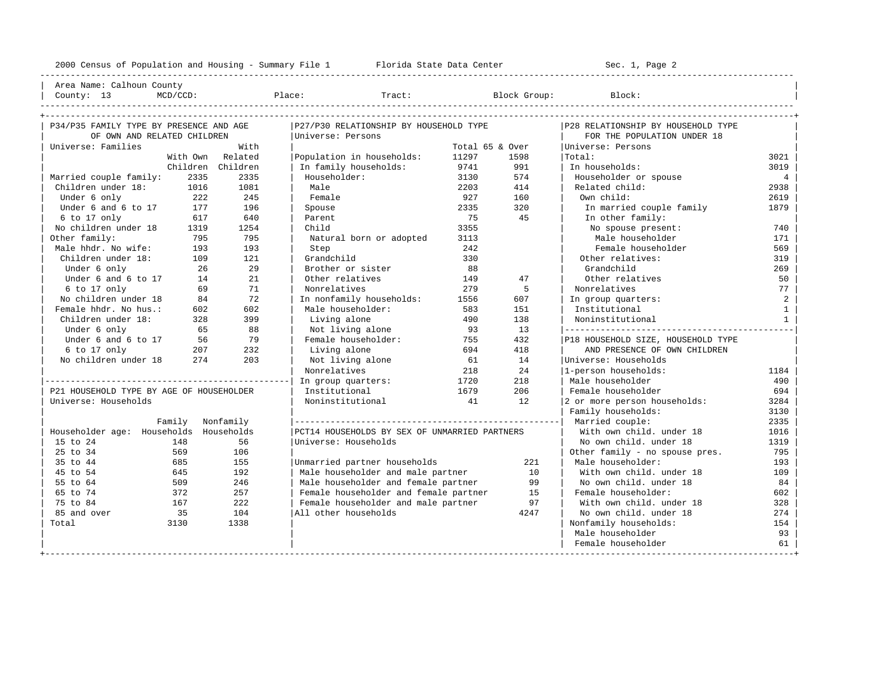----------------------------------------------------------------------------------------------------------------------------------------------------

| Area Name: Calhoun County | | County: 13 MCD/CCD: Place: Tract: Block Group: Block: |

| P34/P35 FAMILY TYPE BY PRESENCE AND AGE  |                  |                   | P27/P30 RELATIONSHIP BY HOUSEHOLD TYPE        |                 |      | P28 RELATIONSHIP BY HOUSEHOLD TYPE |              |
|------------------------------------------|------------------|-------------------|-----------------------------------------------|-----------------|------|------------------------------------|--------------|
| OF OWN AND RELATED CHILDREN              |                  |                   | Universe: Persons                             |                 |      | FOR THE POPULATION UNDER 18        |              |
| Universe: Families                       |                  | With              |                                               | Total 65 & Over |      | Universe: Persons                  |              |
|                                          |                  | With Own Related  | Population in households:                     | 11297           | 1598 | Total:                             | 3021         |
|                                          |                  | Children Children | In family households:                         | 9741            | 991  | In households:                     | 3019         |
| Married couple family:                   | 2335             | 2335              | Householder:                                  | 3130            | 574  | Householder or spouse              | 4            |
| Children under 18:                       | 1016             | 1081              | Male                                          | 2203            | 414  | Related child:                     | 2938         |
| Under 6 only                             | 222              | 245               | Female                                        | 927             | 160  | Own child:                         | 2619         |
| Under 6 and 6 to 17                      | 177              | 196               | Spouse                                        | 2335            | 320  | In married couple family           | 1879         |
| 6 to 17 only                             | 617              | 640               | Parent                                        | 75              | 45   | In other family:                   |              |
| No children under 18                     | 1319             | 1254              | Child                                         | 3355            |      | No spouse present:                 | 740          |
| Other family:                            | 795              | 795               | Natural born or adopted                       | 3113            |      | Male householder                   | 171          |
| Male hhdr. No wife:                      | 193              | 193               | Step                                          | 242             |      | Female householder                 | 569          |
| Children under 18:                       | 109              | 121               | Grandchild                                    | 330             |      | Other relatives:                   | 319          |
| Under 6 only                             | 26               | 29                | Brother or sister                             | 88              |      | Grandchild                         | 269          |
| Under 6 and 6 to 17                      | 14               | 21                | Other relatives                               | 149             | 47   | Other relatives                    | 50           |
| $6$ to 17 only                           | 69               | 71                | Nonrelatives                                  | 279             | 5    | Nonrelatives                       | 77           |
| No children under 18                     | 84               | 72                | In nonfamily households:                      | 1556            | 607  | In group quarters:                 | 2            |
| Female hhdr. No hus.:                    | 602              | 602               | Male householder:                             | 583             | 151  | Institutional                      | $\mathbf{1}$ |
| Children under 18:                       | 328              | 399               | Living alone                                  | 490             | 138  | Noninstitutional                   | 1            |
| Under 6 only                             | 65               | 88                | Not living alone                              | 93              | 13   |                                    |              |
| Under 6 and 6 to 17                      | 56               | 79                | Female householder:                           | 755             | 432  | P18 HOUSEHOLD SIZE, HOUSEHOLD TYPE |              |
| 6 to 17 only                             | 207              | 232               | Living alone                                  | 694             | 418  | AND PRESENCE OF OWN CHILDREN       |              |
| No children under 18                     | 274              | 203               | Not living alone                              | 61              | 14   | Universe: Households               |              |
|                                          |                  |                   | Nonrelatives                                  | 218             | 24   | 1-person households:               | 1184         |
|                                          |                  |                   | In group quarters:                            | 1720            | 218  | Male householder                   | 490          |
| P21 HOUSEHOLD TYPE BY AGE OF HOUSEHOLDER |                  |                   | Institutional                                 | 1679            | 206  | Female householder                 | 694          |
| Universe: Households                     |                  |                   | Noninstitutional                              | 41              | 12   | 2 or more person households:       | 3284         |
|                                          |                  |                   |                                               |                 |      | Family households:                 | 3130         |
|                                          | Family Nonfamily |                   |                                               |                 |      |                                    | 2335         |
| Householder age: Households Households   |                  |                   | PCT14 HOUSEHOLDS BY SEX OF UNMARRIED PARTNERS |                 |      | With own child, under 18           | 1016         |
| 15 to 24                                 | 148              | 56                | Universe: Households                          |                 |      | No own child. under 18             | 1319         |
| 25 to 34                                 | 569              | 106               |                                               |                 |      | Other family - no spouse pres.     | 795          |
| 35 to 44                                 | 685              | 155               | Unmarried partner households                  |                 | 221  | Male householder:                  | 193          |
| 45 to 54                                 | 645              | 192               | Male householder and male partner             |                 | 10   | With own child, under 18           | 109          |
| 55 to 64                                 | 509              | 246               | Male householder and female partner           |                 | 99   | No own child, under 18             | 84           |
| 65 to 74                                 | 372              | 257               | Female householder and female partner         |                 | 1.5  | Female householder:                | 602          |
| 75 to 84                                 | 167              | 222               | Female householder and male partner           |                 | 97   | With own child, under 18           | 328          |
| 85 and over                              | 35               | 104               | All other households                          |                 | 4247 | No own child, under 18             | 274          |
| Total                                    | 3130             | 1338              |                                               |                 |      | Nonfamily households:              | 154          |
|                                          |                  |                   |                                               |                 |      | Male householder                   | 93           |
|                                          |                  |                   |                                               |                 |      | Female householder                 | 61           |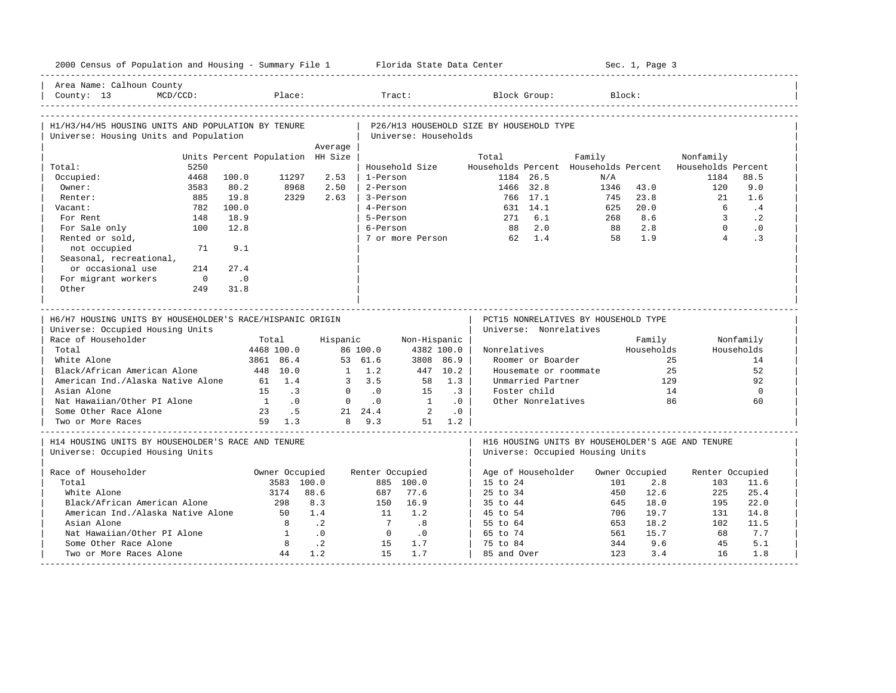| 2000 Census of Population and Housing - Summary File 1 Florida State Data Center              |                                  |                              |                                                           |                 |                                    |            |                                          |                                                                |        |          | Sec. 1, Page 3        |                                                                  |                        |
|-----------------------------------------------------------------------------------------------|----------------------------------|------------------------------|-----------------------------------------------------------|-----------------|------------------------------------|------------|------------------------------------------|----------------------------------------------------------------|--------|----------|-----------------------|------------------------------------------------------------------|------------------------|
| Area Name: Calhoun County<br>$MCD/CCD$ :<br>County: $13$                                      |                                  | Place:                       |                                                           |                 | Tract:                             |            |                                          | Block Group:                                                   |        | Block:   |                       |                                                                  |                        |
| H1/H3/H4/H5 HOUSING UNITS AND POPULATION BY TENURE<br>Universe: Housing Units and Population  |                                  |                              |                                                           |                 | Universe: Households               |            | P26/H13 HOUSEHOLD SIZE BY HOUSEHOLD TYPE |                                                                |        |          |                       |                                                                  |                        |
|                                                                                               |                                  |                              | Average                                                   |                 |                                    |            |                                          |                                                                |        |          |                       |                                                                  |                        |
|                                                                                               | Units Percent Population HH Size |                              |                                                           |                 |                                    |            | Total                                    |                                                                | Family |          |                       | Nonfamily                                                        |                        |
| 5250<br>Total:<br>4468                                                                        | 100.0                            | 11297                        | 2.53                                                      | 1-Person        | Household Size                     |            |                                          | 1184 26.5                                                      |        | N/A      |                       | Households Percent Households Percent Households Percent<br>1184 | 88.5                   |
| Occupied:<br>Owner:                                                                           | 80.2                             | 8968                         | 2.50                                                      | 2-Person        |                                    |            |                                          | 1466 32.8                                                      |        | 1346     | 43.0                  |                                                                  | 9.0                    |
| 3583<br>885<br>Renter:                                                                        | 19.8                             | 2329                         | 2.63                                                      | 3-Person        |                                    |            |                                          | 766 17.1                                                       |        | 745      | 23.8                  | 120<br>21                                                        | 1.6                    |
| 782                                                                                           | 100.0                            |                              |                                                           | 4-Person        |                                    |            |                                          | 631 14.1                                                       |        | 625      | 20.0                  | 6                                                                | .4                     |
| Vacant:<br>For Rent<br>148                                                                    | 18.9                             |                              |                                                           | 5-Person        |                                    |            |                                          | 271 6.1                                                        |        | 268      | 8.6                   | $\mathbf{3}$                                                     | $\cdot$ 2              |
| 100                                                                                           |                                  |                              |                                                           | 6-Person        |                                    |            |                                          | 88 2.0                                                         |        |          | 2.8                   | $\Omega$                                                         |                        |
| For Sale only<br>Rented or sold,                                                              | 12.8                             |                              |                                                           |                 | 7 or more Person                   |            |                                          | 62 1.4                                                         |        | 88<br>58 | 1.9                   | $\overline{4}$                                                   | $\cdot$ 0<br>$\cdot$ 3 |
| not occupied<br>71                                                                            | 9.1                              |                              |                                                           |                 |                                    |            |                                          |                                                                |        |          |                       |                                                                  |                        |
| Seasonal, recreational,                                                                       |                                  |                              |                                                           |                 |                                    |            |                                          |                                                                |        |          |                       |                                                                  |                        |
| or occasional use<br>214                                                                      | 27.4                             |                              |                                                           |                 |                                    |            |                                          |                                                                |        |          |                       |                                                                  |                        |
| For migrant workers<br>$\overline{0}$                                                         | $\overline{\phantom{0}}$ .0      |                              |                                                           |                 |                                    |            |                                          |                                                                |        |          |                       |                                                                  |                        |
| Other<br>249                                                                                  | 31.8                             |                              |                                                           |                 |                                    |            |                                          |                                                                |        |          |                       |                                                                  |                        |
|                                                                                               |                                  |                              |                                                           |                 |                                    |            |                                          |                                                                |        |          |                       |                                                                  |                        |
|                                                                                               |                                  |                              |                                                           |                 |                                    |            |                                          |                                                                |        |          |                       |                                                                  |                        |
| H6/H7 HOUSING UNITS BY HOUSEHOLDER'S RACE/HISPANIC ORIGIN<br>Universe: Occupied Housing Units |                                  |                              |                                                           |                 |                                    |            |                                          | PCT15 NONRELATIVES BY HOUSEHOLD TYPE<br>Universe: Nonrelatives |        |          |                       |                                                                  |                        |
| Race of Householder                                                                           |                                  | Total                        | Hispanic                                                  |                 | Non-Hispanic                       |            |                                          |                                                                |        |          | Family                |                                                                  | Nonfamily              |
| Total                                                                                         |                                  | 4468 100.0                   |                                                           | 86 100.0        |                                    | 4382 100.0 | Nonrelatives                             |                                                                |        |          | Households            |                                                                  | Households             |
| White Alone                                                                                   |                                  | 3861 86.4                    |                                                           | 53 61.6         |                                    | 3808 86.9  |                                          | Roomer or Boarder                                              |        |          |                       | 2.5                                                              | 14                     |
| Black/African American Alone                                                                  | 448 10.0                         |                              |                                                           | $1 \quad 1.2$   |                                    | 447 10.2   |                                          | Housemate or roommate                                          |        |          |                       | 2.5                                                              | 52                     |
| American Ind./Alaska Native Alone                                                             |                                  | 61 1.4                       |                                                           | 3, 3.5          |                                    | 58 1.3     |                                          | Unmarried Partner                                              |        |          | 129                   |                                                                  | 92                     |
| Asian Alone                                                                                   |                                  | 15 .3                        |                                                           | $0 \qquad .0$   | 15                                 | $\cdot$ 3  |                                          | Foster child                                                   |        |          | 14                    |                                                                  | $\overline{0}$         |
| Nat Hawaiian/Other PI Alone                                                                   |                                  | $1 \qquad .0$                |                                                           | $0 \qquad .0$   | $\overline{1}$                     | $\cdot$ 0  |                                          | Other Nonrelatives                                             |        |          |                       | 86                                                               | 60                     |
| Some Other Race Alone                                                                         |                                  | 23 .5                        |                                                           | 21 24.4         | $\overline{\phantom{a}}$ 2         | $\cdot$ 0  |                                          |                                                                |        |          |                       |                                                                  |                        |
| Two or More Races                                                                             |                                  | 59 1.3                       |                                                           | 8 9.3           |                                    | 51 1.2     |                                          |                                                                |        |          |                       |                                                                  |                        |
| H14 HOUSING UNITS BY HOUSEHOLDER'S RACE AND TENURE<br>Universe: Occupied Housing Units        |                                  |                              |                                                           |                 |                                    |            |                                          | Universe: Occupied Housing Units                               |        |          |                       | H16 HOUSING UNITS BY HOUSEHOLDER'S AGE AND TENURE                |                        |
|                                                                                               |                                  |                              |                                                           |                 |                                    |            |                                          |                                                                |        |          |                       |                                                                  |                        |
| Race of Householder<br>Total                                                                  |                                  | Owner Occupied<br>3583 100.0 |                                                           | Renter Occupied |                                    |            | Age of Householder<br>$15$ to $24$       |                                                                |        | 101      | Owner Occupied<br>2.8 | Renter Occupied<br>103                                           | 11.6                   |
| White Alone                                                                                   |                                  | 3174                         | 88.6                                                      | 687             | 885 100.0<br>77.6                  |            | $25 \text{ to } 34$                      |                                                                |        | 450      | 12.6                  | 225                                                              |                        |
| Black/African American Alone                                                                  |                                  | 298                          | 8.3                                                       |                 | 150 16.9                           |            | 35 to 44                                 |                                                                |        | 645      | 18.0                  | 195                                                              | 25.4                   |
|                                                                                               |                                  | 50                           | 1.4                                                       | 11              | 1.2                                |            | 45 to 54                                 |                                                                |        | 706      | 19.7                  | 131                                                              | 22.0<br>14.8           |
| American Ind./Alaska Native Alone<br>Asian Alone                                              |                                  | 8                            |                                                           | $\overline{7}$  |                                    |            |                                          |                                                                |        | 653      |                       |                                                                  |                        |
| Nat Hawaiian/Other PI Alone                                                                   |                                  | $\overline{1}$               | $\overline{\phantom{0}}$ .<br>$\overline{\phantom{0}}$ .0 | $\overline{0}$  | .8                                 |            | 55 to 64<br>65 to 74                     |                                                                |        | 561      | 18.2<br>15.7          | 102<br>68                                                        | 11.5<br>7.7            |
| Some Other Race Alone                                                                         |                                  | 8 <sup>8</sup>               | $\overline{\phantom{0}}$ . 2                              | 15              | $\overline{\phantom{0}}$ .0<br>1.7 |            |                                          |                                                                |        | 344      | 9.6                   | 45                                                               | 5.1                    |
| Two or More Races Alone                                                                       |                                  | 44                           | 1.2                                                       | 1.5             | 1.7                                |            | 75 to 84<br>85 and Over                  |                                                                |        | 123      | 3.4                   | 16                                                               | 1.8                    |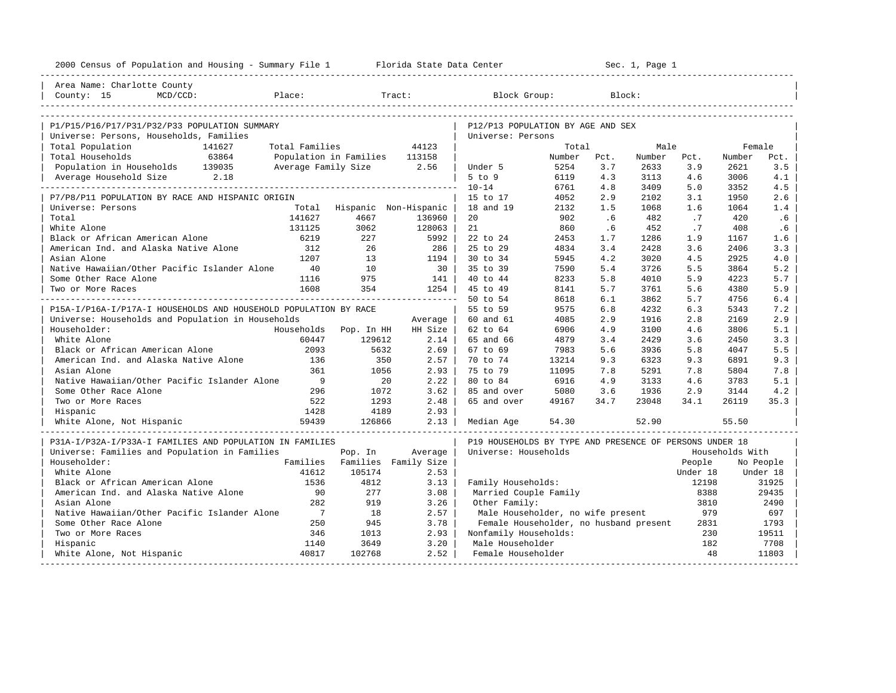| Area Name: Charlotte County                                      |                                          |                               |                 |                                                         |        |      |        |          |                  |           |
|------------------------------------------------------------------|------------------------------------------|-------------------------------|-----------------|---------------------------------------------------------|--------|------|--------|----------|------------------|-----------|
| $MCD/CCD$ :<br>County: 15                                        | Place:                                   |                               | Tract:          | Block Group:                                            |        |      | Block: |          |                  |           |
|                                                                  |                                          |                               |                 |                                                         |        |      |        |          |                  |           |
|                                                                  |                                          |                               |                 |                                                         |        |      |        |          |                  |           |
| P1/P15/P16/P17/P31/P32/P33 POPULATION SUMMARY                    |                                          |                               |                 | P12/P13 POPULATION BY AGE AND SEX                       |        |      |        |          |                  |           |
| Universe: Persons, Households, Families                          |                                          |                               |                 | Universe: Persons                                       | Total  |      | Male   |          |                  |           |
| Total Population<br>141627<br>Total Households<br>63864          | Total Families<br>Population in Families |                               | 44123<br>113158 |                                                         | Number | Pct. | Number | Pct.     | Female<br>Number | Pct.      |
| Population in Households 139035                                  | Average Family Size                      |                               | 2.56            | Under 5                                                 | 5254   | 3.7  | 2633   | 3.9      | 2621             | 3.5       |
| Average Household Size 2.18                                      |                                          |                               |                 | $5$ to $9$                                              | 6119   | 4.3  | 3113   | 4.6      | 3006             | 4.1       |
|                                                                  |                                          |                               |                 | $10 - 14$                                               | 6761   | 4.8  | 3409   | 5.0      | 3352             | 4.5       |
| P7/P8/P11 POPULATION BY RACE AND HISPANIC ORIGIN                 |                                          |                               |                 | 15 to 17                                                | 4052   | 2.9  | 2102   | 3.1      | 1950             | 2.6       |
| Universe: Persons                                                | Total                                    | Hispanic Non-Hispanic         |                 | 18 and 19                                               | 2132   | 1.5  | 1068   | 1.6      | 1064             | 1.4       |
| Total                                                            | 141627                                   | 4667                          | 136960          | 20                                                      | 902    | .6   | 482    | .7       | 420              | .6        |
| White Alone                                                      | 131125                                   | 3062                          | 128063          | 21                                                      | 860    | .6   | 452    | .7       | 408              | .6        |
| Black or African American Alone                                  | 6219                                     | 227                           | 5992            | 22 to 24                                                | 2453   | 1.7  | 1286   | 1.9      | 1167             | 1.6       |
| American Ind. and Alaska Native Alone                            | 312                                      | 26                            | 286             | 25 to 29                                                | 4834   | 3.4  | 2428   | 3.6      | 2406             | 3.3       |
| Asian Alone                                                      | 1207                                     | 13                            | 1194            | 30 to 34                                                | 5945   | 4.2  | 3020   | 4.5      | 2925             | 4.0       |
| Native Hawaiian/Other Pacific Islander Alone                     | 40                                       | 10                            | 30              | 35 to 39                                                | 7590   | 5.4  | 3726   | 5.5      | 3864             | 5.2       |
| Some Other Race Alone                                            | 1116                                     | 975                           | 141             | 40 to 44                                                | 8233   | 5.8  | 4010   | 5.9      | 4223             | 5.7       |
| Two or More Races                                                | 1608                                     | 354                           | 1254            | 45 to 49                                                | 8141   | 5.7  | 3761   | 5.6      | 4380             | 5.9       |
|                                                                  |                                          |                               |                 | 50 to 54                                                | 8618   | 6.1  | 3862   | 5.7      | 4756             | 6.4       |
| P15A-I/P16A-I/P17A-I HOUSEHOLDS AND HOUSEHOLD POPULATION BY RACE |                                          |                               |                 | 55 to 59                                                | 9575   | 6.8  | 4232   | 6.3      | 5343             | 7.2       |
| Universe: Households and Population in Households                |                                          |                               | Average         | 60 and 61                                               | 4085   | 2.9  | 1916   | 2.8      | 2169             | 2.9       |
| Householder:                                                     |                                          | Households Pop. In HH         | HH Size         | 62 to 64                                                | 6906   | 4.9  | 3100   | 4.6      | 3806             | 5.1       |
| White Alone                                                      | 60447                                    | 129612                        | 2.14            | 65 and 66                                               | 4879   | 3.4  | 2429   | 3.6      | 2450             | 3.3       |
| Black or African American Alone                                  | 2093                                     | 5632                          | 2.69            | 67 to 69                                                | 7983   | 5.6  | 3936   | 5.8      | 4047             | 5.5       |
| American Ind. and Alaska Native Alone                            | 136                                      | 350                           | 2.57            | 70 to 74                                                | 13214  | 9.3  | 6323   | 9.3      | 6891             | 9.3       |
| Asian Alone                                                      | 361                                      | 1056                          | 2.93            | 75 to 79                                                | 11095  | 7.8  | 5291   | 7.8      | 5804             | 7.8       |
| Native Hawaiian/Other Pacific Islander Alone                     | 9                                        | 20                            | 2.22            | 80 to 84                                                | 6916   | 4.9  | 3133   | 4.6      | 3783             | 5.1       |
| Some Other Race Alone                                            | 296                                      | 1072                          | 3.62            | 85 and over                                             | 5080   | 3.6  | 1936   | 2.9      | 3144             | 4.2       |
| Two or More Races                                                | 522                                      | 1293                          | 2.48            | 65 and over                                             | 49167  | 34.7 | 23048  | 34.1     | 26119            | 35.3      |
| Hispanic                                                         | 1428                                     | 4189                          | 2.93            |                                                         |        |      |        |          |                  |           |
| White Alone, Not Hispanic                                        | 59439                                    | 126866                        | 2.13            | Median Age                                              | 54.30  |      | 52.90  |          | 55.50            |           |
| P31A-I/P32A-I/P33A-I FAMILIES AND POPULATION IN FAMILIES         |                                          |                               |                 | P19 HOUSEHOLDS BY TYPE AND PRESENCE OF PERSONS UNDER 18 |        |      |        |          |                  |           |
| Universe: Families and Population in Families                    |                                          | Pop. In                       | Average         | Universe: Households                                    |        |      |        |          | Households With  |           |
| Householder:                                                     |                                          | Families Families Family Size |                 |                                                         |        |      |        | People   |                  | No People |
| White Alone                                                      | 41612                                    | 105174                        | 2.53            |                                                         |        |      |        | Under 18 |                  | Under 18  |
| Black or African American Alone                                  | 1536                                     | 4812                          | 3.13            | Family Households:                                      |        |      |        | 12198    |                  | 31925     |
| American Ind. and Alaska Native Alone                            | 90                                       | 277                           | 3.08            | Married Couple Family                                   |        |      |        | 8388     |                  | 29435     |
| Asian Alone                                                      | 282                                      | 919                           | 3.26            | Other Family:                                           |        |      |        | 3810     |                  | 2490      |
| Native Hawaiian/Other Pacific Islander Alone                     | $7\overline{7}$                          | 18                            | 2.57            | Male Householder, no wife present                       |        |      |        | 979      |                  | 697       |
| Some Other Race Alone                                            | 250                                      | 945                           | 3.78            | Female Householder, no husband present                  |        |      |        | 2831     |                  | 1793      |
| Two or More Races                                                | 346                                      | 1013                          | 2.93            | Nonfamily Households:                                   |        |      |        | 230      |                  | 19511     |
| Hispanic                                                         | 1140                                     | 3649                          | 3.20            | Male Householder                                        |        |      |        | 182      |                  | 7708      |
| White Alone, Not Hispanic                                        | 40817                                    | 102768                        | 2.52            | Female Householder                                      |        |      |        | 48       |                  | 11803     |
| --------------------                                             |                                          |                               |                 |                                                         |        |      |        |          |                  |           |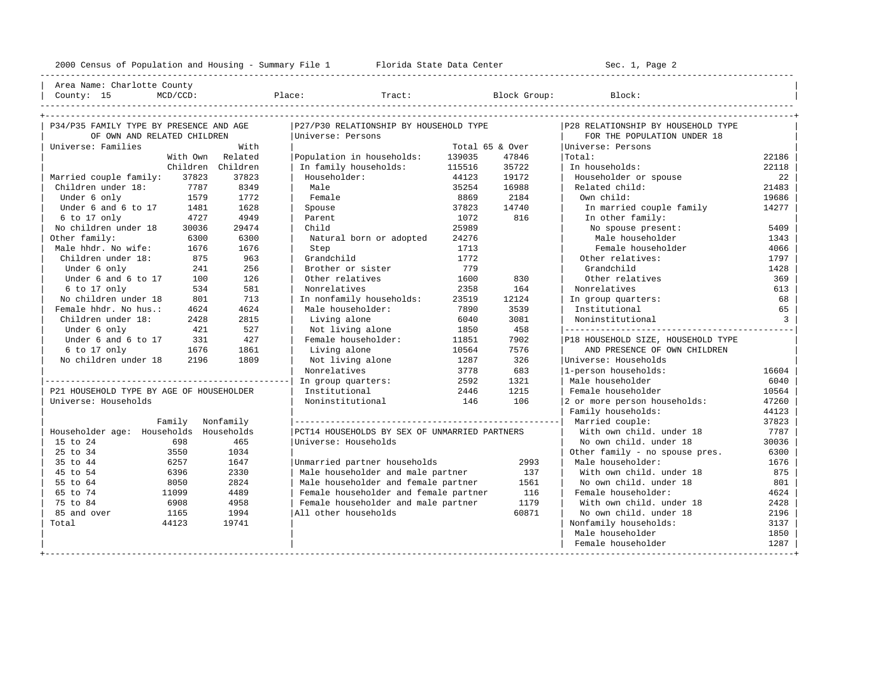---------------------------------------------------------------------------------------------------------------------------------------------------- | Area Name: Charlotte County | | County: 15 MCD/CCD: Place: Tract: Block Group: Block: | ----------------------------------------------------------------------------------------------------------------------------------------------------

| OF OWN AND RELATED CHILDREN<br>Universe: Persons<br>FOR THE POPULATION UNDER 18<br>With<br>Universe: Families<br>Total 65 & Over<br>Universe: Persons<br>With Own Related<br>Population in households:<br>139035<br>47846<br> Total:<br>Children Children<br>In family households:<br>115516<br>35722<br>In households:<br>22118<br>Married couple family:<br>37823<br>37823<br>Householder:<br>44123<br>19172<br>Householder or spouse<br>Children under 18:<br>7787<br>8349<br>Male<br>35254<br>16988<br>Related child:<br>1772<br>Female<br>2184<br>Under 6 only<br>1579<br>8869<br>Own child:<br>19686<br>Under 6 and 6 to 17<br>1628<br>37823<br>Spouse<br>14740<br>In married couple family<br>14277<br>1481<br>6 to 17 only<br>4727<br>4949<br>Parent<br>1072<br>816<br>In other family:<br>No children under 18<br>29474<br>Child<br>25989<br>No spouse present:<br>5409<br>30036<br>Other family:<br>6300<br>Male householder<br>6300<br>Natural born or adopted<br>24276<br>Male hhdr. No wife:<br>1676<br>Female householder<br>1676<br>Step<br>1713<br>Children under 18:<br>875<br>963<br>Grandchild<br>1772<br>Other relatives:<br>1797<br>256<br>779<br>Under 6 only<br>241<br>Brother or sister<br>Grandchild<br>1428<br>126<br>Under 6 and 6 to 17<br>Other relatives<br>1600<br>830<br>100<br>Other relatives<br>369<br>581<br>Nonrelatives<br>164<br>6 to 17 only<br>534<br>2358<br>Nonrelatives<br>713<br>No children under 18<br>801<br>In nonfamily households:<br>23519<br>12124<br>68<br>In group quarters:<br>Female hhdr. No hus.:<br>4624<br>Male householder:<br>7890<br>3539<br>Institutional<br>4624<br>65<br>3081<br>Children under 18:<br>2428<br>2815<br>Living alone<br>6040<br>Noninstitutional<br>458<br>527<br>1850<br>Under 6 only<br>421<br>Not living alone<br>Under 6 and 6 to 17<br>427<br>Female householder:<br>7902<br>331<br>11851<br>P18 HOUSEHOLD SIZE, HOUSEHOLD TYPE<br>7576<br>6 to 17 only<br>1676<br>1861<br>10564<br>AND PRESENCE OF OWN CHILDREN<br>Living alone<br>No children under 18<br>2196<br>1809<br>326<br>Not living alone<br>1287<br>Universe: Households<br>683<br>1-person households:<br>Nonrelatives<br>3778<br>2592<br>1321<br>Male householder<br>6040<br>In group quarters:<br>1215<br>P21 HOUSEHOLD TYPE BY AGE OF HOUSEHOLDER<br>Institutional<br>2446<br>Female householder<br>106<br>Universe: Households<br>Noninstitutional<br>146<br>2 or more person households:<br>47260<br>Family households:<br>44123<br>Married couple:<br>Family Nonfamily<br>37823<br>Householder age: Households Households<br>PCT14 HOUSEHOLDS BY SEX OF UNMARRIED PARTNERS<br>With own child, under 18<br>7787<br>698<br>465<br>Universe: Households<br>No own child, under 18<br>15 to 24<br>30036<br>3550<br>1034 | P34/P35 FAMILY TYPE BY PRESENCE AND AGE |  | P27/P30 RELATIONSHIP BY HOUSEHOLD TYPE |  | P28 RELATIONSHIP BY HOUSEHOLD TYPE |                |
|------------------------------------------------------------------------------------------------------------------------------------------------------------------------------------------------------------------------------------------------------------------------------------------------------------------------------------------------------------------------------------------------------------------------------------------------------------------------------------------------------------------------------------------------------------------------------------------------------------------------------------------------------------------------------------------------------------------------------------------------------------------------------------------------------------------------------------------------------------------------------------------------------------------------------------------------------------------------------------------------------------------------------------------------------------------------------------------------------------------------------------------------------------------------------------------------------------------------------------------------------------------------------------------------------------------------------------------------------------------------------------------------------------------------------------------------------------------------------------------------------------------------------------------------------------------------------------------------------------------------------------------------------------------------------------------------------------------------------------------------------------------------------------------------------------------------------------------------------------------------------------------------------------------------------------------------------------------------------------------------------------------------------------------------------------------------------------------------------------------------------------------------------------------------------------------------------------------------------------------------------------------------------------------------------------------------------------------------------------------------------------------------------------------------------------------------------------------------------------------------------------------------------------------------------------------------------------------------------------------------------------------------------------------------------------------------------------------------------------------------------------------------------|-----------------------------------------|--|----------------------------------------|--|------------------------------------|----------------|
|                                                                                                                                                                                                                                                                                                                                                                                                                                                                                                                                                                                                                                                                                                                                                                                                                                                                                                                                                                                                                                                                                                                                                                                                                                                                                                                                                                                                                                                                                                                                                                                                                                                                                                                                                                                                                                                                                                                                                                                                                                                                                                                                                                                                                                                                                                                                                                                                                                                                                                                                                                                                                                                                                                                                                                              |                                         |  |                                        |  |                                    |                |
|                                                                                                                                                                                                                                                                                                                                                                                                                                                                                                                                                                                                                                                                                                                                                                                                                                                                                                                                                                                                                                                                                                                                                                                                                                                                                                                                                                                                                                                                                                                                                                                                                                                                                                                                                                                                                                                                                                                                                                                                                                                                                                                                                                                                                                                                                                                                                                                                                                                                                                                                                                                                                                                                                                                                                                              |                                         |  |                                        |  |                                    |                |
|                                                                                                                                                                                                                                                                                                                                                                                                                                                                                                                                                                                                                                                                                                                                                                                                                                                                                                                                                                                                                                                                                                                                                                                                                                                                                                                                                                                                                                                                                                                                                                                                                                                                                                                                                                                                                                                                                                                                                                                                                                                                                                                                                                                                                                                                                                                                                                                                                                                                                                                                                                                                                                                                                                                                                                              |                                         |  |                                        |  |                                    | 22186          |
|                                                                                                                                                                                                                                                                                                                                                                                                                                                                                                                                                                                                                                                                                                                                                                                                                                                                                                                                                                                                                                                                                                                                                                                                                                                                                                                                                                                                                                                                                                                                                                                                                                                                                                                                                                                                                                                                                                                                                                                                                                                                                                                                                                                                                                                                                                                                                                                                                                                                                                                                                                                                                                                                                                                                                                              |                                         |  |                                        |  |                                    |                |
|                                                                                                                                                                                                                                                                                                                                                                                                                                                                                                                                                                                                                                                                                                                                                                                                                                                                                                                                                                                                                                                                                                                                                                                                                                                                                                                                                                                                                                                                                                                                                                                                                                                                                                                                                                                                                                                                                                                                                                                                                                                                                                                                                                                                                                                                                                                                                                                                                                                                                                                                                                                                                                                                                                                                                                              |                                         |  |                                        |  |                                    | 22             |
|                                                                                                                                                                                                                                                                                                                                                                                                                                                                                                                                                                                                                                                                                                                                                                                                                                                                                                                                                                                                                                                                                                                                                                                                                                                                                                                                                                                                                                                                                                                                                                                                                                                                                                                                                                                                                                                                                                                                                                                                                                                                                                                                                                                                                                                                                                                                                                                                                                                                                                                                                                                                                                                                                                                                                                              |                                         |  |                                        |  |                                    | 21483          |
|                                                                                                                                                                                                                                                                                                                                                                                                                                                                                                                                                                                                                                                                                                                                                                                                                                                                                                                                                                                                                                                                                                                                                                                                                                                                                                                                                                                                                                                                                                                                                                                                                                                                                                                                                                                                                                                                                                                                                                                                                                                                                                                                                                                                                                                                                                                                                                                                                                                                                                                                                                                                                                                                                                                                                                              |                                         |  |                                        |  |                                    |                |
|                                                                                                                                                                                                                                                                                                                                                                                                                                                                                                                                                                                                                                                                                                                                                                                                                                                                                                                                                                                                                                                                                                                                                                                                                                                                                                                                                                                                                                                                                                                                                                                                                                                                                                                                                                                                                                                                                                                                                                                                                                                                                                                                                                                                                                                                                                                                                                                                                                                                                                                                                                                                                                                                                                                                                                              |                                         |  |                                        |  |                                    |                |
|                                                                                                                                                                                                                                                                                                                                                                                                                                                                                                                                                                                                                                                                                                                                                                                                                                                                                                                                                                                                                                                                                                                                                                                                                                                                                                                                                                                                                                                                                                                                                                                                                                                                                                                                                                                                                                                                                                                                                                                                                                                                                                                                                                                                                                                                                                                                                                                                                                                                                                                                                                                                                                                                                                                                                                              |                                         |  |                                        |  |                                    |                |
|                                                                                                                                                                                                                                                                                                                                                                                                                                                                                                                                                                                                                                                                                                                                                                                                                                                                                                                                                                                                                                                                                                                                                                                                                                                                                                                                                                                                                                                                                                                                                                                                                                                                                                                                                                                                                                                                                                                                                                                                                                                                                                                                                                                                                                                                                                                                                                                                                                                                                                                                                                                                                                                                                                                                                                              |                                         |  |                                        |  |                                    |                |
|                                                                                                                                                                                                                                                                                                                                                                                                                                                                                                                                                                                                                                                                                                                                                                                                                                                                                                                                                                                                                                                                                                                                                                                                                                                                                                                                                                                                                                                                                                                                                                                                                                                                                                                                                                                                                                                                                                                                                                                                                                                                                                                                                                                                                                                                                                                                                                                                                                                                                                                                                                                                                                                                                                                                                                              |                                         |  |                                        |  |                                    | 1343           |
|                                                                                                                                                                                                                                                                                                                                                                                                                                                                                                                                                                                                                                                                                                                                                                                                                                                                                                                                                                                                                                                                                                                                                                                                                                                                                                                                                                                                                                                                                                                                                                                                                                                                                                                                                                                                                                                                                                                                                                                                                                                                                                                                                                                                                                                                                                                                                                                                                                                                                                                                                                                                                                                                                                                                                                              |                                         |  |                                        |  |                                    | 4066           |
|                                                                                                                                                                                                                                                                                                                                                                                                                                                                                                                                                                                                                                                                                                                                                                                                                                                                                                                                                                                                                                                                                                                                                                                                                                                                                                                                                                                                                                                                                                                                                                                                                                                                                                                                                                                                                                                                                                                                                                                                                                                                                                                                                                                                                                                                                                                                                                                                                                                                                                                                                                                                                                                                                                                                                                              |                                         |  |                                        |  |                                    |                |
|                                                                                                                                                                                                                                                                                                                                                                                                                                                                                                                                                                                                                                                                                                                                                                                                                                                                                                                                                                                                                                                                                                                                                                                                                                                                                                                                                                                                                                                                                                                                                                                                                                                                                                                                                                                                                                                                                                                                                                                                                                                                                                                                                                                                                                                                                                                                                                                                                                                                                                                                                                                                                                                                                                                                                                              |                                         |  |                                        |  |                                    |                |
|                                                                                                                                                                                                                                                                                                                                                                                                                                                                                                                                                                                                                                                                                                                                                                                                                                                                                                                                                                                                                                                                                                                                                                                                                                                                                                                                                                                                                                                                                                                                                                                                                                                                                                                                                                                                                                                                                                                                                                                                                                                                                                                                                                                                                                                                                                                                                                                                                                                                                                                                                                                                                                                                                                                                                                              |                                         |  |                                        |  |                                    |                |
|                                                                                                                                                                                                                                                                                                                                                                                                                                                                                                                                                                                                                                                                                                                                                                                                                                                                                                                                                                                                                                                                                                                                                                                                                                                                                                                                                                                                                                                                                                                                                                                                                                                                                                                                                                                                                                                                                                                                                                                                                                                                                                                                                                                                                                                                                                                                                                                                                                                                                                                                                                                                                                                                                                                                                                              |                                         |  |                                        |  |                                    | 613            |
|                                                                                                                                                                                                                                                                                                                                                                                                                                                                                                                                                                                                                                                                                                                                                                                                                                                                                                                                                                                                                                                                                                                                                                                                                                                                                                                                                                                                                                                                                                                                                                                                                                                                                                                                                                                                                                                                                                                                                                                                                                                                                                                                                                                                                                                                                                                                                                                                                                                                                                                                                                                                                                                                                                                                                                              |                                         |  |                                        |  |                                    |                |
|                                                                                                                                                                                                                                                                                                                                                                                                                                                                                                                                                                                                                                                                                                                                                                                                                                                                                                                                                                                                                                                                                                                                                                                                                                                                                                                                                                                                                                                                                                                                                                                                                                                                                                                                                                                                                                                                                                                                                                                                                                                                                                                                                                                                                                                                                                                                                                                                                                                                                                                                                                                                                                                                                                                                                                              |                                         |  |                                        |  |                                    |                |
|                                                                                                                                                                                                                                                                                                                                                                                                                                                                                                                                                                                                                                                                                                                                                                                                                                                                                                                                                                                                                                                                                                                                                                                                                                                                                                                                                                                                                                                                                                                                                                                                                                                                                                                                                                                                                                                                                                                                                                                                                                                                                                                                                                                                                                                                                                                                                                                                                                                                                                                                                                                                                                                                                                                                                                              |                                         |  |                                        |  |                                    | $\overline{3}$ |
|                                                                                                                                                                                                                                                                                                                                                                                                                                                                                                                                                                                                                                                                                                                                                                                                                                                                                                                                                                                                                                                                                                                                                                                                                                                                                                                                                                                                                                                                                                                                                                                                                                                                                                                                                                                                                                                                                                                                                                                                                                                                                                                                                                                                                                                                                                                                                                                                                                                                                                                                                                                                                                                                                                                                                                              |                                         |  |                                        |  |                                    |                |
|                                                                                                                                                                                                                                                                                                                                                                                                                                                                                                                                                                                                                                                                                                                                                                                                                                                                                                                                                                                                                                                                                                                                                                                                                                                                                                                                                                                                                                                                                                                                                                                                                                                                                                                                                                                                                                                                                                                                                                                                                                                                                                                                                                                                                                                                                                                                                                                                                                                                                                                                                                                                                                                                                                                                                                              |                                         |  |                                        |  |                                    |                |
|                                                                                                                                                                                                                                                                                                                                                                                                                                                                                                                                                                                                                                                                                                                                                                                                                                                                                                                                                                                                                                                                                                                                                                                                                                                                                                                                                                                                                                                                                                                                                                                                                                                                                                                                                                                                                                                                                                                                                                                                                                                                                                                                                                                                                                                                                                                                                                                                                                                                                                                                                                                                                                                                                                                                                                              |                                         |  |                                        |  |                                    |                |
|                                                                                                                                                                                                                                                                                                                                                                                                                                                                                                                                                                                                                                                                                                                                                                                                                                                                                                                                                                                                                                                                                                                                                                                                                                                                                                                                                                                                                                                                                                                                                                                                                                                                                                                                                                                                                                                                                                                                                                                                                                                                                                                                                                                                                                                                                                                                                                                                                                                                                                                                                                                                                                                                                                                                                                              |                                         |  |                                        |  |                                    |                |
|                                                                                                                                                                                                                                                                                                                                                                                                                                                                                                                                                                                                                                                                                                                                                                                                                                                                                                                                                                                                                                                                                                                                                                                                                                                                                                                                                                                                                                                                                                                                                                                                                                                                                                                                                                                                                                                                                                                                                                                                                                                                                                                                                                                                                                                                                                                                                                                                                                                                                                                                                                                                                                                                                                                                                                              |                                         |  |                                        |  |                                    | 16604          |
|                                                                                                                                                                                                                                                                                                                                                                                                                                                                                                                                                                                                                                                                                                                                                                                                                                                                                                                                                                                                                                                                                                                                                                                                                                                                                                                                                                                                                                                                                                                                                                                                                                                                                                                                                                                                                                                                                                                                                                                                                                                                                                                                                                                                                                                                                                                                                                                                                                                                                                                                                                                                                                                                                                                                                                              |                                         |  |                                        |  |                                    |                |
|                                                                                                                                                                                                                                                                                                                                                                                                                                                                                                                                                                                                                                                                                                                                                                                                                                                                                                                                                                                                                                                                                                                                                                                                                                                                                                                                                                                                                                                                                                                                                                                                                                                                                                                                                                                                                                                                                                                                                                                                                                                                                                                                                                                                                                                                                                                                                                                                                                                                                                                                                                                                                                                                                                                                                                              |                                         |  |                                        |  |                                    | 10564          |
|                                                                                                                                                                                                                                                                                                                                                                                                                                                                                                                                                                                                                                                                                                                                                                                                                                                                                                                                                                                                                                                                                                                                                                                                                                                                                                                                                                                                                                                                                                                                                                                                                                                                                                                                                                                                                                                                                                                                                                                                                                                                                                                                                                                                                                                                                                                                                                                                                                                                                                                                                                                                                                                                                                                                                                              |                                         |  |                                        |  |                                    |                |
|                                                                                                                                                                                                                                                                                                                                                                                                                                                                                                                                                                                                                                                                                                                                                                                                                                                                                                                                                                                                                                                                                                                                                                                                                                                                                                                                                                                                                                                                                                                                                                                                                                                                                                                                                                                                                                                                                                                                                                                                                                                                                                                                                                                                                                                                                                                                                                                                                                                                                                                                                                                                                                                                                                                                                                              |                                         |  |                                        |  |                                    |                |
|                                                                                                                                                                                                                                                                                                                                                                                                                                                                                                                                                                                                                                                                                                                                                                                                                                                                                                                                                                                                                                                                                                                                                                                                                                                                                                                                                                                                                                                                                                                                                                                                                                                                                                                                                                                                                                                                                                                                                                                                                                                                                                                                                                                                                                                                                                                                                                                                                                                                                                                                                                                                                                                                                                                                                                              |                                         |  |                                        |  |                                    |                |
|                                                                                                                                                                                                                                                                                                                                                                                                                                                                                                                                                                                                                                                                                                                                                                                                                                                                                                                                                                                                                                                                                                                                                                                                                                                                                                                                                                                                                                                                                                                                                                                                                                                                                                                                                                                                                                                                                                                                                                                                                                                                                                                                                                                                                                                                                                                                                                                                                                                                                                                                                                                                                                                                                                                                                                              |                                         |  |                                        |  |                                    |                |
|                                                                                                                                                                                                                                                                                                                                                                                                                                                                                                                                                                                                                                                                                                                                                                                                                                                                                                                                                                                                                                                                                                                                                                                                                                                                                                                                                                                                                                                                                                                                                                                                                                                                                                                                                                                                                                                                                                                                                                                                                                                                                                                                                                                                                                                                                                                                                                                                                                                                                                                                                                                                                                                                                                                                                                              |                                         |  |                                        |  |                                    |                |
|                                                                                                                                                                                                                                                                                                                                                                                                                                                                                                                                                                                                                                                                                                                                                                                                                                                                                                                                                                                                                                                                                                                                                                                                                                                                                                                                                                                                                                                                                                                                                                                                                                                                                                                                                                                                                                                                                                                                                                                                                                                                                                                                                                                                                                                                                                                                                                                                                                                                                                                                                                                                                                                                                                                                                                              | 25 to 34                                |  |                                        |  | Other family - no spouse pres.     | 6300           |
| 35 to 44<br>1647<br>2993<br>6257<br>Unmarried partner households<br>Male householder:                                                                                                                                                                                                                                                                                                                                                                                                                                                                                                                                                                                                                                                                                                                                                                                                                                                                                                                                                                                                                                                                                                                                                                                                                                                                                                                                                                                                                                                                                                                                                                                                                                                                                                                                                                                                                                                                                                                                                                                                                                                                                                                                                                                                                                                                                                                                                                                                                                                                                                                                                                                                                                                                                        |                                         |  |                                        |  |                                    | 1676           |
| 45 to 54<br>6396<br>2330<br>Male householder and male partner<br>137<br>With own child, under 18<br>875                                                                                                                                                                                                                                                                                                                                                                                                                                                                                                                                                                                                                                                                                                                                                                                                                                                                                                                                                                                                                                                                                                                                                                                                                                                                                                                                                                                                                                                                                                                                                                                                                                                                                                                                                                                                                                                                                                                                                                                                                                                                                                                                                                                                                                                                                                                                                                                                                                                                                                                                                                                                                                                                      |                                         |  |                                        |  |                                    |                |
| 55 to 64<br>Male householder and female partner<br>1561<br>8050<br>2824<br>No own child, under 18<br>801                                                                                                                                                                                                                                                                                                                                                                                                                                                                                                                                                                                                                                                                                                                                                                                                                                                                                                                                                                                                                                                                                                                                                                                                                                                                                                                                                                                                                                                                                                                                                                                                                                                                                                                                                                                                                                                                                                                                                                                                                                                                                                                                                                                                                                                                                                                                                                                                                                                                                                                                                                                                                                                                     |                                         |  |                                        |  |                                    |                |
| 65 to 74<br>11099<br>4489<br>Female householder and female partner<br>116<br>Female householder:                                                                                                                                                                                                                                                                                                                                                                                                                                                                                                                                                                                                                                                                                                                                                                                                                                                                                                                                                                                                                                                                                                                                                                                                                                                                                                                                                                                                                                                                                                                                                                                                                                                                                                                                                                                                                                                                                                                                                                                                                                                                                                                                                                                                                                                                                                                                                                                                                                                                                                                                                                                                                                                                             |                                         |  |                                        |  |                                    | 4624           |
| 75 to 84<br>4958<br>1179<br>6908<br>Female householder and male partner<br>With own child, under 18<br>2428                                                                                                                                                                                                                                                                                                                                                                                                                                                                                                                                                                                                                                                                                                                                                                                                                                                                                                                                                                                                                                                                                                                                                                                                                                                                                                                                                                                                                                                                                                                                                                                                                                                                                                                                                                                                                                                                                                                                                                                                                                                                                                                                                                                                                                                                                                                                                                                                                                                                                                                                                                                                                                                                  |                                         |  |                                        |  |                                    |                |
| 85 and over<br>1165<br>1994<br>All other households<br>60871<br>No own child, under 18                                                                                                                                                                                                                                                                                                                                                                                                                                                                                                                                                                                                                                                                                                                                                                                                                                                                                                                                                                                                                                                                                                                                                                                                                                                                                                                                                                                                                                                                                                                                                                                                                                                                                                                                                                                                                                                                                                                                                                                                                                                                                                                                                                                                                                                                                                                                                                                                                                                                                                                                                                                                                                                                                       |                                         |  |                                        |  |                                    | 2196           |
| 44123<br>19741<br>Total<br>Nonfamily households:                                                                                                                                                                                                                                                                                                                                                                                                                                                                                                                                                                                                                                                                                                                                                                                                                                                                                                                                                                                                                                                                                                                                                                                                                                                                                                                                                                                                                                                                                                                                                                                                                                                                                                                                                                                                                                                                                                                                                                                                                                                                                                                                                                                                                                                                                                                                                                                                                                                                                                                                                                                                                                                                                                                             |                                         |  |                                        |  |                                    | 3137           |
| Male householder                                                                                                                                                                                                                                                                                                                                                                                                                                                                                                                                                                                                                                                                                                                                                                                                                                                                                                                                                                                                                                                                                                                                                                                                                                                                                                                                                                                                                                                                                                                                                                                                                                                                                                                                                                                                                                                                                                                                                                                                                                                                                                                                                                                                                                                                                                                                                                                                                                                                                                                                                                                                                                                                                                                                                             |                                         |  |                                        |  |                                    | 1850           |
| Female householder                                                                                                                                                                                                                                                                                                                                                                                                                                                                                                                                                                                                                                                                                                                                                                                                                                                                                                                                                                                                                                                                                                                                                                                                                                                                                                                                                                                                                                                                                                                                                                                                                                                                                                                                                                                                                                                                                                                                                                                                                                                                                                                                                                                                                                                                                                                                                                                                                                                                                                                                                                                                                                                                                                                                                           |                                         |  |                                        |  |                                    | 1287           |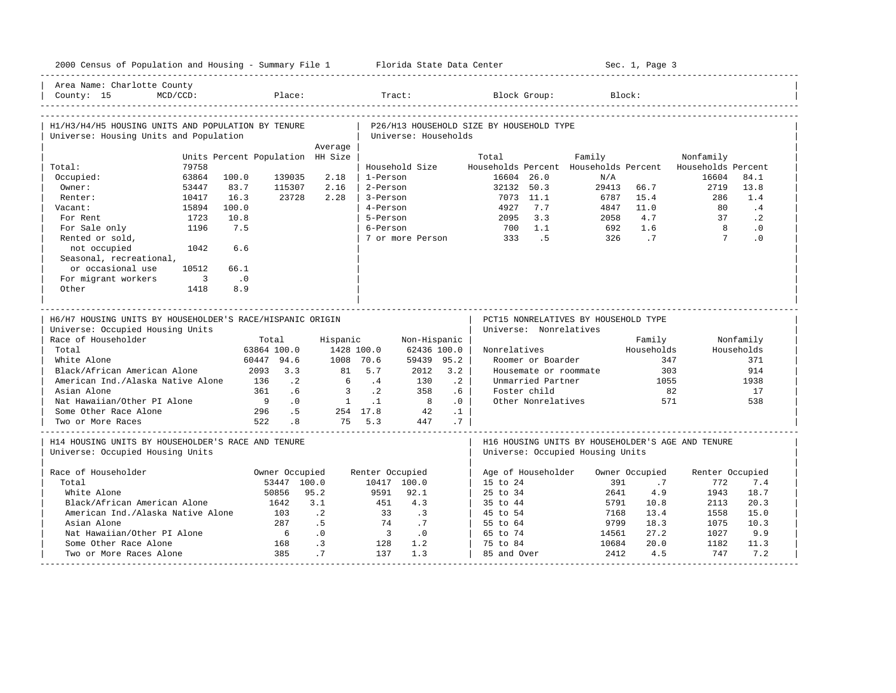| 2000 Census of Population and Housing - Summary File 1 Florida State Data Center              |                            |                                  |                        |                |                           |                             |                 |                                          |                        |                                                                                       | Sec. 1, Page 3 |                    |            |
|-----------------------------------------------------------------------------------------------|----------------------------|----------------------------------|------------------------|----------------|---------------------------|-----------------------------|-----------------|------------------------------------------|------------------------|---------------------------------------------------------------------------------------|----------------|--------------------|------------|
| Area Name: Charlotte County<br>County: 15                                                     | $MCD/CCD$ :                |                                  | Place:                 |                | Tract:                    |                             |                 |                                          | Block Group:           | Block:                                                                                |                |                    |            |
| H1/H3/H4/H5 HOUSING UNITS AND POPULATION BY TENURE<br>Universe: Housing Units and Population  |                            |                                  |                        |                |                           | Universe: Households        |                 | P26/H13 HOUSEHOLD SIZE BY HOUSEHOLD TYPE |                        |                                                                                       |                |                    |            |
|                                                                                               |                            |                                  |                        | Average        |                           |                             |                 |                                          |                        |                                                                                       |                |                    |            |
|                                                                                               |                            | Units Percent Population HH Size |                        |                |                           |                             |                 | Total                                    |                        | Family                                                                                |                | Nonfamily          |            |
| Total:                                                                                        | 79758                      |                                  |                        |                |                           | Household Size              |                 |                                          |                        | Households Percent Households Percent                                                 |                | Households Percent |            |
| Occupied:                                                                                     | 63864                      | 100.0                            | 139035                 | 2.18           | 1-Person                  |                             |                 |                                          | 16604 26.0             | N/A                                                                                   |                | 16604              | 84.1       |
| Owner:                                                                                        | 53447                      | 83.7                             | 115307                 | 2.16           | 2-Person                  |                             |                 |                                          | 32132 50.3             | 29413                                                                                 | 66.7           | 2719               | 13.8       |
| Renter:                                                                                       | 10417                      | 16.3                             | 23728                  | 2.28           | 3-Person                  |                             |                 |                                          | 7073 11.1              | 6787                                                                                  | 15.4           | 286                | 1.4        |
| Vacant:                                                                                       | 15894                      | 100.0                            |                        |                | 4-Person                  |                             |                 | 4927                                     | 7.7                    | 4847                                                                                  | 11.0           | 80                 | $\cdot$ 4  |
| For Rent                                                                                      | 1723                       | 10.8                             |                        |                | 5-Person                  |                             |                 | 2095                                     | 3.3                    | 2058                                                                                  | 4.7            | 37                 | $\cdot$ 2  |
| For Sale only                                                                                 | 1196                       | 7.5                              |                        |                | 6-Person                  |                             |                 | 700                                      | 1.1                    | 692                                                                                   | 1.6            | $\overline{8}$     | $\cdot$ 0  |
| Rented or sold,                                                                               |                            |                                  |                        |                |                           |                             |                 | 7 or more Person 333                     | $\overline{5}$         | 326                                                                                   | $\overline{1}$ | $7\phantom{0}$     | $\cdot$ 0  |
| not occupied                                                                                  | 1042                       | 6.6                              |                        |                |                           |                             |                 |                                          |                        |                                                                                       |                |                    |            |
| Seasonal, recreational,                                                                       |                            |                                  |                        |                |                           |                             |                 |                                          |                        |                                                                                       |                |                    |            |
| or occasional use                                                                             | 10512                      | 66.1                             |                        |                |                           |                             |                 |                                          |                        |                                                                                       |                |                    |            |
| For migrant workers                                                                           | $\overline{\phantom{a}}$ 3 | $\cdot$ 0                        |                        |                |                           |                             |                 |                                          |                        |                                                                                       |                |                    |            |
| Other                                                                                         | 1418                       | 8.9                              |                        |                |                           |                             |                 |                                          |                        |                                                                                       |                |                    |            |
| H6/H7 HOUSING UNITS BY HOUSEHOLDER'S RACE/HISPANIC ORIGIN<br>Universe: Occupied Housing Units |                            |                                  |                        |                |                           |                             |                 |                                          | Universe: Nonrelatives | PCT15 NONRELATIVES BY HOUSEHOLD TYPE                                                  |                |                    |            |
| Race of Householder                                                                           |                            |                                  | Total                  | Hispanic       |                           | Non-Hispanic                |                 |                                          |                        |                                                                                       | Family         |                    | Nonfamily  |
| Total                                                                                         |                            |                                  | 63864 100.0            |                | 1428 100.0                | 62436 100.0                 |                 | Nonrelatives                             |                        |                                                                                       | Households     |                    | Households |
| White Alone                                                                                   |                            |                                  | 60447 94.6             |                | 1008 70.6                 | 59439 95.2                  |                 |                                          | Roomer or Boarder      |                                                                                       | 347            |                    | 371        |
| Black/African American Alone                                                                  |                            |                                  | 2093 3.3               |                | 81 5.7                    | 2012                        | 3.2             |                                          |                        | Housemate or roommate                                                                 | 303            |                    | 914        |
| American Ind./Alaska Native Alone                                                             |                            | 136                              | $\cdot$ 2              | 6              | $\cdot$ 4                 | 130                         | .2              |                                          | Unmarried Partner      |                                                                                       | 1055           |                    | 1938       |
| Asian Alone                                                                                   |                            | 361                              | .6                     | $\overline{3}$ | $\cdot$ . 2               | 358                         | $.6-1$          |                                          | Foster child           |                                                                                       |                | 82                 | 17         |
| Nat Hawaiian/Other PI Alone                                                                   |                            | 9 <sup>1</sup>                   | $\overline{0}$ .       |                | $1 \quad .1$              |                             | .0 <sub>1</sub> |                                          | Other Nonrelatives     |                                                                                       |                | 571                | 538        |
| Some Other Race Alone                                                                         |                            |                                  | .5<br>296 .5<br>522 .8 |                | 254 17.8                  | 42                          | $\cdot$ 1       |                                          |                        |                                                                                       |                |                    |            |
| Two or More Races                                                                             |                            |                                  |                        |                | 75 5.3                    | 447                         | $.7-1$          |                                          |                        |                                                                                       |                |                    |            |
| H14 HOUSING UNITS BY HOUSEHOLDER'S RACE AND TENURE<br>Universe: Occupied Housing Units        |                            |                                  |                        |                |                           |                             |                 |                                          |                        | H16 HOUSING UNITS BY HOUSEHOLDER'S AGE AND TENURE<br>Universe: Occupied Housing Units |                |                    |            |
| Race of Householder                                                                           |                            |                                  | Owner Occupied         |                | Renter Occupied           |                             |                 | Age of Householder                       |                        |                                                                                       | Owner Occupied | Renter Occupied    |            |
| Total                                                                                         |                            |                                  | 53447 100.0            |                |                           | 10417 100.0                 |                 | 15 to 24                                 |                        | 391                                                                                   | .7             | 772                | 7.4        |
| White Alone                                                                                   |                            |                                  | 50856                  | 95.2           | 9591                      | 92.1                        |                 | 25 to 34                                 |                        | 2641                                                                                  | 4.9            | 1943               | 18.7       |
| Black/African American Alone                                                                  |                            |                                  | 1642                   | 3.1            | 451                       | 4.3                         |                 | 35 to 44                                 |                        | 5791                                                                                  | 10.8           | 2113               | 20.3       |
| American Ind./Alaska Native Alone                                                             |                            |                                  | 103                    | $\cdot$ 2      | 33                        | $\overline{\phantom{a}}$    |                 | 45 to 54                                 |                        | 7168                                                                                  | 13.4           | 1558               | 15.0       |
| Asian Alone                                                                                   |                            |                                  | 287                    | .5             | 74                        | $\cdot$ 7                   |                 | 55 to 64                                 |                        | 9799                                                                                  | 18.3           | 1075               | 10.3       |
| Nat Hawaiian/Other PI Alone                                                                   |                            |                                  | 6                      | .0             | $\overline{\phantom{a}3}$ | $\overline{\phantom{0}}$ .0 |                 | 65 to 74                                 |                        | 14561                                                                                 | 27.2           | 1027               | 9.9        |
| Some Other Race Alone                                                                         |                            |                                  | 168                    | $\cdot$ 3      | 128                       | 1.2                         |                 | 75 to 84                                 |                        | 10684                                                                                 | 20.0           | 1182               | 11.3       |
| Two or More Races Alone                                                                       |                            |                                  | 385                    | .7             | 137                       | 1.3                         |                 | 85 and Over                              |                        | 2412                                                                                  | 4.5            | 747                | 7.2        |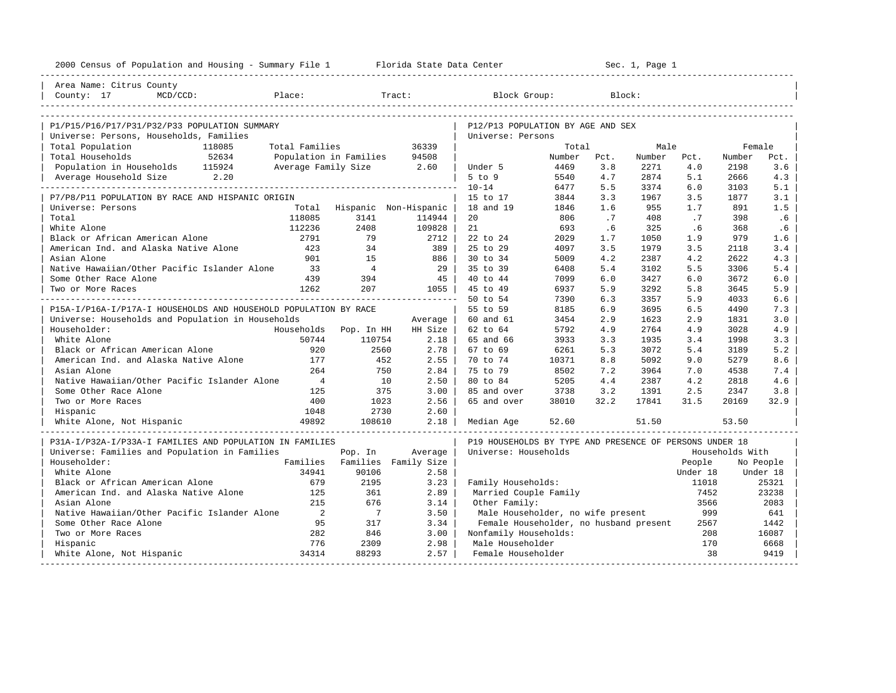| 2000 Census of Population and Housing - Summary File 1 Florida State Data Center |                          |                          |                               |                                                         |              |                 | Sec. 1, Page 1 |            |                 |           |
|----------------------------------------------------------------------------------|--------------------------|--------------------------|-------------------------------|---------------------------------------------------------|--------------|-----------------|----------------|------------|-----------------|-----------|
| Area Name: Citrus County                                                         |                          |                          |                               |                                                         |              |                 |                |            |                 |           |
| Place:<br>County: 17<br>MCD/CCD:                                                 |                          |                          | Tract:                        | Block Group:                                            |              |                 | Block:         |            |                 |           |
|                                                                                  |                          |                          |                               |                                                         |              |                 |                |            |                 |           |
| P1/P15/P16/P17/P31/P32/P33 POPULATION SUMMARY                                    |                          |                          |                               | P12/P13 POPULATION BY AGE AND SEX                       |              |                 |                |            |                 |           |
| Universe: Persons, Households, Families                                          |                          |                          |                               | Universe: Persons                                       |              |                 |                |            |                 |           |
| Total Population<br>118085                                                       | Total Families           |                          | 36339                         |                                                         | Total        |                 | Male           |            | Female          |           |
| 52634<br>Total Households                                                        |                          | Population in Families   | 94508                         |                                                         | Number       | Pct.            | Number         | Pct.       | Number          | Pct.      |
| Population in Households 115924                                                  |                          | Average Family Size 2.60 |                               | Under 5                                                 | 4469         | 3.8             | 2271           | 4.0        | 2198            | 3.6       |
| Average Household Size 2.20                                                      |                          |                          |                               | $5$ to $9$                                              | 5540         | 4.7             | 2874           | 5.1        | 2666            | 4.3       |
|                                                                                  |                          |                          |                               | $10 - 14$                                               | 6477         | 5.5             | 3374           | 6.0        | 3103            | 5.1       |
| P7/P8/P11 POPULATION BY RACE AND HISPANIC ORIGIN                                 |                          |                          |                               | 15 to 17                                                | 3844<br>1846 | 3.3             | 1967<br>955    | 3.5<br>1.7 | 1877            | 3.1       |
| Universe: Persons<br>Total                                                       | Total<br>118085          |                          | Hispanic Non-Hispanic         | 18 and 19                                               | 806          | 1.6             | 408            |            | 891<br>398      | 1.5       |
| White Alone                                                                      | 112236                   | 3141<br>2408             | 114944<br>109828              | 20<br>21                                                | 693          | $\cdot$ 7<br>.6 | 325            | .7<br>.6   | 368             | .6<br>.6  |
| Black or African American Alone                                                  | 2791                     | 79                       | 2712                          | 22 to 24                                                | 2029         | 1.7             | 1050           | 1.9        | 979             | 1.6       |
| American Ind. and Alaska Native Alone                                            | 423                      | 34                       | 389 I                         | 25 to 29                                                | 4097         | 3.5             | 1979           | 3.5        | 2118            | 3.4       |
| Asian Alone                                                                      | 901                      | 1.5                      | 886                           | 30 to 34                                                | 5009         | 4.2             | 2387           | 4.2        | 2622            | 4.3       |
| Native Hawaiian/Other Pacific Islander Alone                                     | 33                       | $\overline{4}$           | 29 I                          | 35 to 39                                                | 6408         | 5.4             | 3102           | 5.5        | 3306            | 5.4       |
| Some Other Race Alone                                                            | 439                      | 394                      | 45                            | 40 to 44                                                | 7099         | 6.0             | 3427           | 6.0        | 3672            | 6.0       |
| Two or More Races                                                                | 1262                     | 207                      | $1055$                        | 45 to 49                                                | 6937         | 5.9             | 3292           | 5.8        | 3645            | 5.9       |
|                                                                                  |                          |                          |                               | 50 to 54                                                | 7390         | 6.3             | 3357           | 5.9        | 4033            | 6.6       |
| P15A-I/P16A-I/P17A-I HOUSEHOLDS AND HOUSEHOLD POPULATION BY RACE                 |                          |                          |                               | 55 to 59                                                | 8185         | 6.9             | 3695           | 6.5        | 4490            | 7.3       |
| Universe: Households and Population in Households                                |                          |                          | Average                       | 60 and 61                                               | 3454         | 2.9             | 1623           | 2.9        | 1831            | 3.0       |
| Householder:                                                                     |                          | Households Pop. In HH    | HH Size                       | 62 to 64                                                | 5792         | 4.9             | 2764           | 4.9        | 3028            | 4.9       |
| White Alone                                                                      | 50744                    | 110754                   | 2.18                          | 65 and 66                                               | 3933         | 3.3             | 1935           | 3.4        | 1998            | 3.3       |
| Black or African American Alone                                                  | 920                      | 2560                     | 2.78                          | 67 to 69                                                | 6261         | 5.3             | 3072           | 5.4        | 3189            | 5.2       |
| American Ind. and Alaska Native Alone                                            | 177                      | 452                      | $2.55$                        | 70 to 74                                                | 10371        | 8.8             | 5092           | 9.0        | 5279            | 8.6       |
| Asian Alone                                                                      | 264                      | 750                      | 2.84                          | 75 to 79                                                | 8502         | 7.2             | 3964           | 7.0        | 4538            | 7.4       |
| Native Hawaiian/Other Pacific Islander Alone                                     | $\frac{4}{3}$            | 10                       | 2.50                          | 80 to 84                                                | 5205         | 4.4             | 2387           | 4.2        | 2818            | 4.6       |
| Some Other Race Alone                                                            | 125                      | 375                      | 3.00                          | 85 and over                                             | 3738         | 3.2             | 1391           | 2.5        | 2347            | 3.8       |
| Two or More Races                                                                | 400                      | 1023                     | 2.56                          | 65 and over                                             | 38010        | 32.2            | 17841          | 31.5       | 20169           | 32.9      |
| Hispanic                                                                         | 1048                     | 2730                     | 2.60                          |                                                         |              |                 |                |            |                 |           |
| White Alone, Not Hispanic                                                        | 49892                    | 108610                   | 2.18                          | Median Age                                              | 52.60        |                 | 51.50          |            | 53.50           |           |
| P31A-I/P32A-I/P33A-I FAMILIES AND POPULATION IN FAMILIES                         |                          |                          |                               | P19 HOUSEHOLDS BY TYPE AND PRESENCE OF PERSONS UNDER 18 |              |                 |                |            |                 |           |
| Universe: Families and Population in Families                                    |                          | Pop. In                  | Average                       | Universe: Households                                    |              |                 |                |            | Households With |           |
| Householder:                                                                     |                          |                          | Families Families Family Size |                                                         |              |                 |                | People     |                 | No People |
| White Alone                                                                      | 34941                    | 90106                    | 2.58                          |                                                         |              |                 |                | Under 18   |                 | Under 18  |
| Black or African American Alone                                                  | 679                      | 2195                     | 3.23                          | Family Households:                                      |              |                 |                | 11018      |                 | 25321     |
| American Ind. and Alaska Native Alone                                            | 125                      | 361                      | 2.89                          | Married Couple Family                                   |              |                 |                | 7452       |                 | 23238     |
| Asian Alone                                                                      | 215                      | 676                      | 3.14                          | Other Family:                                           |              |                 |                | 3566       |                 | 2083      |
| Native Hawaiian/Other Pacific Islander Alone                                     | $\overline{\phantom{a}}$ | $\overline{7}$           | 3.50                          | Male Householder, no wife present                       |              |                 |                | 999        |                 | 641       |
| Some Other Race Alone                                                            | 95                       | 317                      | 3.34                          | Female Householder, no husband present                  |              |                 |                | 2567       |                 | 1442      |
| Two or More Races                                                                | 282                      | 846                      | 3.00                          | Nonfamily Households:                                   |              |                 |                | 208        |                 | 16087     |
| Hispanic                                                                         | 776                      | 2309                     | 2.98                          | Male Householder                                        |              |                 |                | 170        |                 | 6668      |
| White Alone, Not Hispanic                                                        | 34314                    | 88293                    | 2.57                          | Female Householder                                      |              |                 |                | 38         |                 | 9419      |
|                                                                                  |                          |                          |                               |                                                         |              |                 |                |            |                 |           |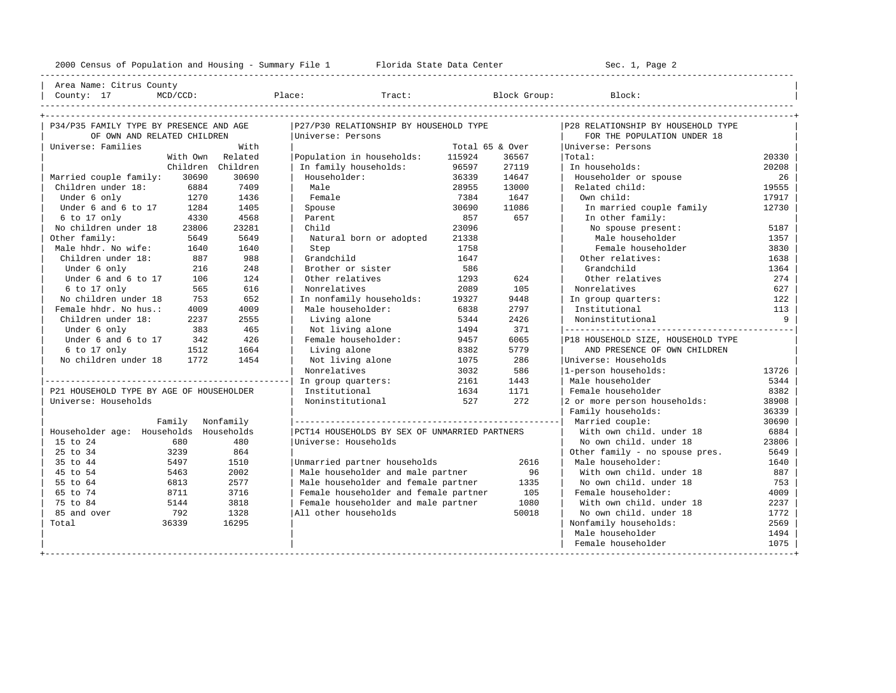----------------------------------------------------------------------------------------------------------------------------------------------------

| Area Name: Citrus County | | County: 17 MCD/CCD: Place: Tract: Block Group: Block: |

| P34/P35 FAMILY TYPE BY PRESENCE AND AGE  |        |                   | P27/P30 RELATIONSHIP BY HOUSEHOLD TYPE        |        |                 | P28 RELATIONSHIP BY HOUSEHOLD TYPE |       |
|------------------------------------------|--------|-------------------|-----------------------------------------------|--------|-----------------|------------------------------------|-------|
| OF OWN AND RELATED CHILDREN              |        |                   | Universe: Persons                             |        |                 | FOR THE POPULATION UNDER 18        |       |
| Universe: Families                       |        | With              |                                               |        | Total 65 & Over | Universe: Persons                  |       |
|                                          |        | With Own Related  | Population in households:                     | 115924 | 36567           | Total:                             | 20330 |
|                                          |        | Children Children | In family households:                         | 96597  | 27119           | In households:                     | 20208 |
| Married couple family:                   | 30690  | 30690             | Householder:                                  | 36339  | 14647           | Householder or spouse              | 26    |
| Children under 18:                       | 6884   | 7409              | Male                                          | 28955  | 13000           | Related child:                     | 19555 |
| Under 6 only                             | 1270   | 1436              | Female                                        | 7384   | 1647            | Own child:                         | 17917 |
| Under 6 and 6 to 17                      | 1284   | 1405              | Spouse                                        | 30690  | 11086           | In married couple family           | 12730 |
| 6 to 17 only                             | 4330   | 4568              | Parent                                        | 857    | 657             | In other family:                   |       |
| No children under 18                     | 23806  | 23281             | Child                                         | 23096  |                 | No spouse present:                 | 5187  |
| Other family:                            | 5649   | 5649              | Natural born or adopted                       | 21338  |                 | Male householder                   | 1357  |
| Male hhdr. No wife:                      | 1640   | 1640              | Step                                          | 1758   |                 | Female householder                 | 3830  |
| Children under 18:                       | 887    | 988               | Grandchild                                    | 1647   |                 | Other relatives:                   | 1638  |
| Under 6 only                             | 216    | 248               | Brother or sister                             | 586    |                 | Grandchild                         | 1364  |
| Under 6 and 6 to 17                      | 106    | 124               | Other relatives                               | 1293   | 624             | Other relatives                    | 274   |
| 6 to 17 only                             | 565    | 616               | Nonrelatives                                  | 2089   | 105             | Nonrelatives                       | 627   |
| No children under 18                     | 753    | 652               | In nonfamily households:                      | 19327  | 9448            | In group quarters:                 | 122   |
| Female hhdr. No hus.:                    | 4009   | 4009              | Male householder:                             | 6838   | 2797            | Institutional                      | 113   |
| Children under 18:                       | 2237   | 2555              | Living alone                                  | 5344   | 2426            | Noninstitutional                   | Q     |
| Under 6 only                             | 383    | 465               | Not living alone                              | 1494   | 371             |                                    |       |
| Under 6 and 6 to 17                      | 342    | 426               | Female householder:                           | 9457   | 6065            | P18 HOUSEHOLD SIZE, HOUSEHOLD TYPE |       |
| $6$ to 17 only                           | 1512   | 1664              | Living alone                                  | 8382   | 5779            | AND PRESENCE OF OWN CHILDREN       |       |
| No children under 18                     | 1772   | 1454              | Not living alone                              | 1075   | 286             | Universe: Households               |       |
|                                          |        |                   | Nonrelatives                                  | 3032   | 586             | 1-person households:               | 13726 |
|                                          |        |                   | In group quarters:                            | 2161   | 1443            | Male householder                   | 5344  |
| P21 HOUSEHOLD TYPE BY AGE OF HOUSEHOLDER |        |                   | Institutional                                 | 1634   | 1171            | Female householder                 | 8382  |
| Universe: Households                     |        |                   | Noninstitutional                              | 527    | 2.72            | 2 or more person households:       | 38908 |
|                                          |        |                   |                                               |        |                 | Family households:                 | 36339 |
|                                          | Family | Nonfamily         |                                               |        |                 |                                    | 30690 |
| Householder age: Households Households   |        |                   | PCT14 HOUSEHOLDS BY SEX OF UNMARRIED PARTNERS |        |                 | With own child, under 18           | 6884  |
| 15 to 24                                 | 680    | 480               | Universe: Households                          |        |                 | No own child, under 18             | 23806 |
| 25 to 34                                 | 3239   | 864               |                                               |        |                 | Other family - no spouse pres.     | 5649  |
| 35 to 44                                 | 5497   | 1510              | Unmarried partner households                  |        | 2616            | Male householder:                  | 1640  |
| 45 to 54                                 | 5463   | 2002              | Male householder and male partner             |        | 96              | With own child, under 18           | 887   |
| 55 to 64                                 | 6813   | 2577              | Male householder and female partner           |        | 1335            | No own child, under 18             | 753   |
| 65 to 74                                 | 8711   | 3716              | Female householder and female partner         |        | 105             | Female householder:                | 4009  |
| 75 to 84                                 | 5144   | 3818              | Female householder and male partner           |        | 1080            | With own child, under 18           | 2237  |
| 85 and over                              | 792    | 1328              | All other households                          |        | 50018           | No own child, under 18             | 1772  |
| Total                                    | 36339  | 16295             |                                               |        |                 | Nonfamily households:              | 2569  |
|                                          |        |                   |                                               |        |                 | Male householder                   | 1494  |
|                                          |        |                   |                                               |        |                 | Female householder                 | 1075  |
|                                          |        |                   |                                               |        |                 |                                    |       |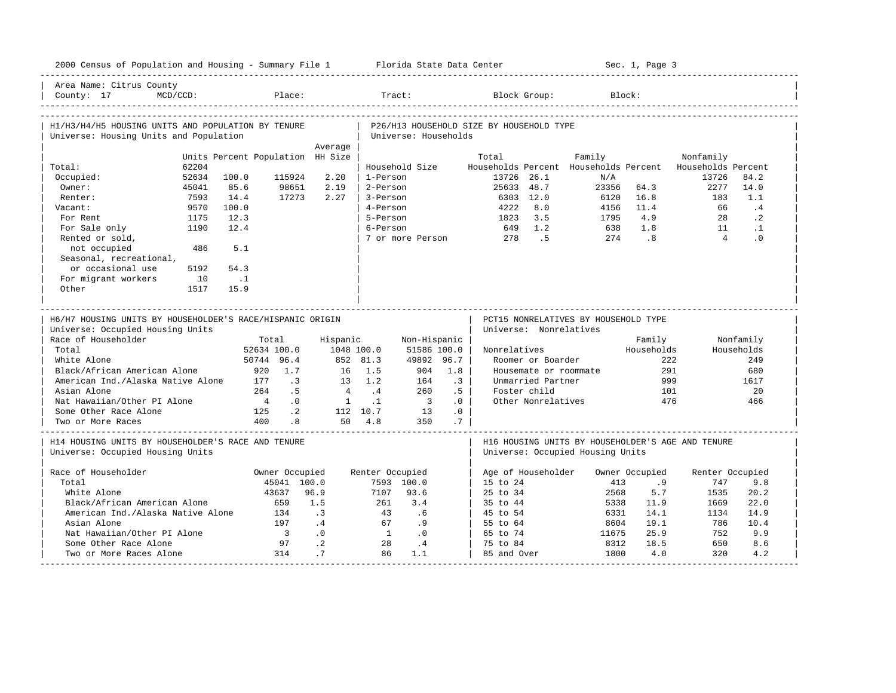| 2000 Census of Population and Housing - Summary File 1 Florida State Data Center             |             |                                  |                               |                |                 |                          |           |                                          |                        |                                       | Sec. 1, Page 3              |                                                   |            |
|----------------------------------------------------------------------------------------------|-------------|----------------------------------|-------------------------------|----------------|-----------------|--------------------------|-----------|------------------------------------------|------------------------|---------------------------------------|-----------------------------|---------------------------------------------------|------------|
| Area Name: Citrus County<br>County: 17                                                       | $MCD/CCD$ : |                                  | Place:                        |                |                 | Tract:                   |           |                                          | Block Group:           |                                       | Block:                      |                                                   |            |
| H1/H3/H4/H5 HOUSING UNITS AND POPULATION BY TENURE<br>Universe: Housing Units and Population |             |                                  |                               |                |                 | Universe: Households     |           | P26/H13 HOUSEHOLD SIZE BY HOUSEHOLD TYPE |                        |                                       |                             |                                                   |            |
|                                                                                              |             |                                  |                               | Average        |                 |                          |           |                                          |                        |                                       |                             |                                                   |            |
|                                                                                              |             | Units Percent Population HH Size |                               |                |                 |                          |           | Total                                    |                        | Family                                |                             | Nonfamily                                         |            |
| Total:                                                                                       | 62204       |                                  |                               |                |                 | Household Size           |           |                                          |                        | Households Percent Households Percent |                             | Households Percent                                |            |
| Occupied:                                                                                    | 52634       | 100.0                            | 115924                        | 2.20           | 1-Person        |                          |           |                                          | 13726 26.1             | N/A                                   |                             | 13726                                             | 84.2       |
| Owner:                                                                                       | 45041       | 85.6                             | 98651                         | 2.19           | 2-Person        |                          |           |                                          | 25633 48.7             | 23356                                 | 64.3                        | 2277                                              | 14.0       |
| Renter:                                                                                      | 7593        | 14.4                             | 17273                         | 2.27           | 3-Person        |                          |           |                                          | 6303 12.0              | 6120                                  | 16.8                        | 183                                               | 1.1        |
| Vacant:                                                                                      | 9570        | 100.0                            |                               |                | 4-Person        |                          |           | 4222                                     | 8.0                    | 4156                                  | 11.4                        | 66                                                | .4         |
| For Rent                                                                                     | 1175        | 12.3                             |                               |                | 5-Person        |                          |           | 1823                                     | 3.5                    | 1795                                  | 4.9                         | 28                                                | $\cdot$ 2  |
| For Sale only                                                                                | 1190        | 12.4                             |                               |                | 6-Person        |                          |           | 649                                      | 1.2                    | 638                                   | 1.8                         | 11                                                | $\cdot$ 1  |
| Rented or sold,                                                                              |             |                                  |                               |                |                 | 7 or more Person         |           | 278                                      | .5                     | 274                                   | $\overline{\phantom{0}}$ .8 | $\overline{4}$                                    | $\cdot$ 0  |
| not occupied                                                                                 | 486         | 5.1                              |                               |                |                 |                          |           |                                          |                        |                                       |                             |                                                   |            |
| Seasonal, recreational,                                                                      |             |                                  |                               |                |                 |                          |           |                                          |                        |                                       |                             |                                                   |            |
| or occasional use                                                                            | 5192        | 54.3                             |                               |                |                 |                          |           |                                          |                        |                                       |                             |                                                   |            |
| For migrant workers                                                                          | 10          | $\ldots$ 1                       |                               |                |                 |                          |           |                                          |                        |                                       |                             |                                                   |            |
| Other                                                                                        | 1517        | 15.9                             |                               |                |                 |                          |           |                                          |                        |                                       |                             |                                                   |            |
|                                                                                              |             |                                  |                               |                |                 |                          |           |                                          |                        |                                       |                             |                                                   |            |
|                                                                                              |             |                                  |                               |                |                 |                          |           |                                          |                        |                                       |                             |                                                   |            |
|                                                                                              |             |                                  |                               |                |                 |                          |           |                                          |                        |                                       |                             |                                                   |            |
| H6/H7 HOUSING UNITS BY HOUSEHOLDER'S RACE/HISPANIC ORIGIN                                    |             |                                  |                               |                |                 |                          |           |                                          |                        | PCT15 NONRELATIVES BY HOUSEHOLD TYPE  |                             |                                                   |            |
| Universe: Occupied Housing Units                                                             |             |                                  |                               |                |                 |                          |           |                                          | Universe: Nonrelatives |                                       |                             |                                                   |            |
| Race of Householder                                                                          |             |                                  | Total                         | Hispanic       |                 | Non-Hispanic             |           |                                          |                        |                                       | Family                      |                                                   | Nonfamily  |
| Total                                                                                        |             |                                  | 52634 100.0                   | 1048 100.0     |                 | 51586 100.0              |           | Nonrelatives                             |                        |                                       | Households                  |                                                   | Households |
| White Alone                                                                                  |             |                                  | 50744 96.4                    |                | 852 81.3        | 49892 96.7               |           |                                          | Roomer or Boarder      |                                       |                             | 222                                               | 249        |
| Black/African American Alone                                                                 |             |                                  | 920 1.7                       |                | 16 1.5          | 904                      | 1.8       |                                          |                        | Housemate or roommate                 |                             | 291                                               | 680        |
| American Ind./Alaska Native Alone                                                            |             | 177                              | $\cdot$ 3                     |                | $13 \t 1.2$     | 164                      | $\cdot$ 3 |                                          | Unmarried Partner      |                                       | 999                         |                                                   | 1617       |
| Asian Alone                                                                                  |             | 264                              | .5                            | $\overline{4}$ | $\cdot$ 4       | 260                      | .5        |                                          | Foster child           |                                       | 101                         |                                                   | 20         |
| Nat Hawaiian/Other PI Alone                                                                  |             | $\frac{4}{3}$                    | .0                            | $\overline{1}$ | $\cdot$ 1       | $\overline{\phantom{a}}$ | .0        |                                          | Other Nonrelatives     |                                       | 476                         |                                                   | 466        |
| Some Other Race Alone                                                                        |             | 125                              | $\cdot$ 2                     |                | 112 10.7        | 13                       | .0        |                                          |                        |                                       |                             |                                                   |            |
| Two or More Races                                                                            |             | 400                              | .8                            |                | 50 4.8          | 350                      | .7        |                                          |                        |                                       |                             |                                                   |            |
|                                                                                              |             |                                  |                               |                |                 |                          |           |                                          |                        |                                       |                             |                                                   |            |
| H14 HOUSING UNITS BY HOUSEHOLDER'S RACE AND TENURE                                           |             |                                  |                               |                |                 |                          |           |                                          |                        |                                       |                             | H16 HOUSING UNITS BY HOUSEHOLDER'S AGE AND TENURE |            |
| Universe: Occupied Housing Units                                                             |             |                                  |                               |                |                 |                          |           |                                          |                        | Universe: Occupied Housing Units      |                             |                                                   |            |
| Race of Householder                                                                          |             |                                  |                               |                |                 |                          |           |                                          | Age of Householder     |                                       | Owner Occupied              |                                                   |            |
| Total                                                                                        |             |                                  | Owner Occupied<br>45041 100.0 |                | Renter Occupied | 7593 100.0               |           | 15 to 24                                 |                        | 413                                   | .9                          | Renter Occupied<br>747                            | 9.8        |
| White Alone                                                                                  |             |                                  | 43637                         | 96.9           | 7107            | 93.6                     |           | 25 to 34                                 |                        | 2568                                  | 5.7                         | 1535                                              | 20.2       |
| Black/African American Alone                                                                 |             |                                  | 659                           | 1.5            | 261             | 3.4                      |           | 35 to 44                                 |                        | 5338                                  | 11.9                        | 1669                                              | 22.0       |
| American Ind./Alaska Native Alone                                                            |             |                                  | 134                           | $\cdot$ 3      | 43              | .6                       |           | 45 to 54                                 |                        | 6331                                  | 14.1                        | 1134                                              | 14.9       |
| Asian Alone                                                                                  |             |                                  | 197                           | .4             | 67              | .9                       |           | 55 to 64                                 |                        | 8604                                  | 19.1                        | 786                                               | 10.4       |
| Nat Hawaiian/Other PI Alone                                                                  |             |                                  | $\overline{\phantom{a}}$      | .0             | $\sim$ 1        | $\cdot$ 0                |           | 65 to 74                                 |                        | 11675                                 | 25.9                        | 752                                               | 9.9        |
| Some Other Race Alone                                                                        |             |                                  | 97                            | $\cdot$ 2      | 28              | $\cdot$ 4                |           | 75 to 84                                 |                        | 8312                                  | 18.5                        | 650                                               | 8.6        |
| Two or More Races Alone                                                                      |             |                                  | 314                           | .7             | 86              | 1.1                      |           | 85 and Over                              |                        | 1800                                  | 4.0                         | 320                                               | 4.2        |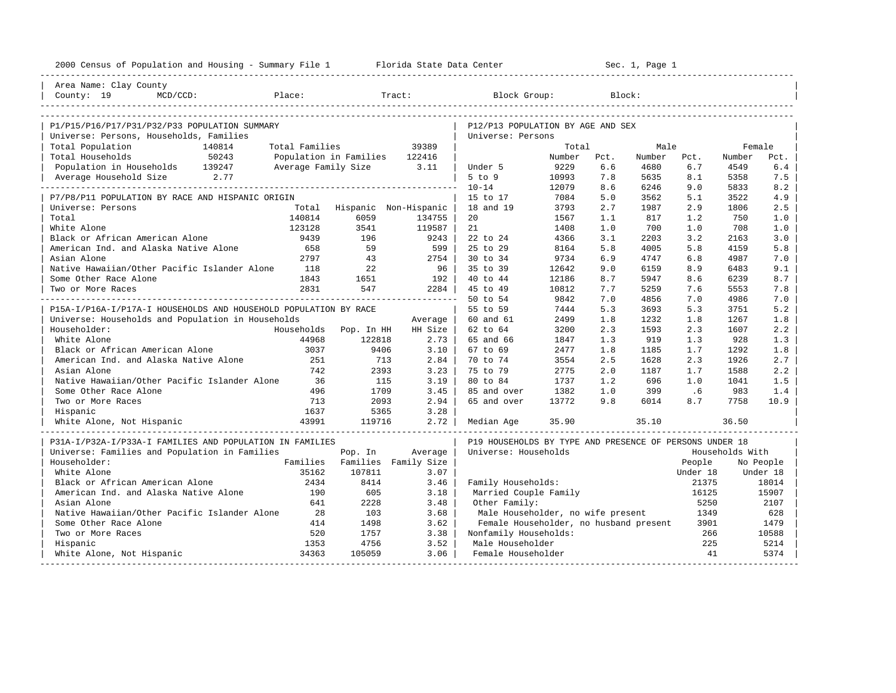| 2000 Census of Population and Housing - Summary File 1 Florida State Data Center |                |                               |                       |                                                         |        |      | Sec. 1, Page 1 |          |                 |           |
|----------------------------------------------------------------------------------|----------------|-------------------------------|-----------------------|---------------------------------------------------------|--------|------|----------------|----------|-----------------|-----------|
| Area Name: Clay County                                                           |                |                               |                       |                                                         |        |      |                |          |                 |           |
| County: 19<br>Place:<br>$MCD/CCD$ :                                              |                |                               | Tract:                | Block Group:                                            |        |      | Block:         |          |                 |           |
|                                                                                  |                |                               |                       |                                                         |        |      |                |          |                 |           |
| P1/P15/P16/P17/P31/P32/P33 POPULATION SUMMARY                                    |                |                               |                       | P12/P13 POPULATION BY AGE AND SEX                       |        |      |                |          |                 |           |
| Universe: Persons, Households, Families                                          |                |                               |                       | Universe: Persons                                       |        |      |                |          |                 |           |
| Total Population<br>140814                                                       | Total Families |                               | 39389                 |                                                         | Total  |      | Male           |          | Female          |           |
| 50243<br>Total Households                                                        |                | Population in Families 122416 |                       |                                                         | Number | Pct. | Number         | Pct.     | Number          | Pct.      |
| Population in Households 139247                                                  |                | Average Family Size 3.11      |                       | Under 5                                                 | 9229   | 6.6  | 4680           | 6.7      | 4549            | 6.4       |
| Average Household Size 2.77                                                      |                |                               |                       | $5$ to $9$                                              | 10993  | 7.8  | 5635           | 8.1      | 5358            | 7.5       |
|                                                                                  |                |                               |                       | $10 - 14$                                               | 12079  | 8.6  | 6246           | 9.0      | 5833            | 8.2       |
| P7/P8/P11 POPULATION BY RACE AND HISPANIC ORIGIN                                 |                |                               |                       | 15 to 17                                                | 7084   | 5.0  | 3562           | 5.1      | 3522            | 4.9       |
| Universe: Persons                                                                | Total          |                               | Hispanic Non-Hispanic | 18 and 19                                               | 3793   | 2.7  | 1987           | 2.9      | 1806            | 2.5       |
| Total                                                                            | 140814         | 6059                          | 134755                | 20                                                      | 1567   | 1.1  | 817            | 1.2      | 750             | 1.0       |
| White Alone                                                                      | 123128         | 3541                          | 119587                | 21                                                      | 1408   | 1.0  | 700            | 1.0      | 708             | 1.0       |
| Black or African American Alone                                                  | 9439           | 196                           | 9243                  | 22 to 24                                                | 4366   | 3.1  | 2203           | 3.2      | 2163            | 3.0       |
| American Ind. and Alaska Native Alone                                            | 658            | 59                            | 599                   | 25 to 29                                                | 8164   | 5.8  | 4005           | 5.8      | 4159            | 5.8       |
| Asian Alone                                                                      | 2797           | 43                            | $2754$                | 30 to 34                                                | 9734   | 6.9  | 4747           | 6.8      | 4987            | 7.0       |
| Native Hawaiian/Other Pacific Islander Alone                                     | 118            | 22                            | $96 \mid$             | 35 to 39                                                | 12642  | 9.0  | 6159           | 8.9      | 6483            | 9.1       |
| Some Other Race Alone                                                            | 1843           | 1651                          | 192                   | 40 to 44                                                | 12186  | 8.7  | 5947           | 8.6      | 6239            | 8.7       |
| Two or More Races                                                                | 2831           | 547                           | 2284                  | 45 to 49                                                | 10812  | 7.7  | 5259           | 7.6      | 5553            | 7.8       |
|                                                                                  |                |                               |                       | 50 to 54                                                | 9842   | 7.0  | 4856           | 7.0      | 4986            | 7.0       |
| P15A-I/P16A-I/P17A-I HOUSEHOLDS AND HOUSEHOLD POPULATION BY RACE                 |                |                               |                       | 55 to 59                                                | 7444   | 5.3  | 3693           | 5.3      | 3751            | 5.2       |
| Universe: Households and Population in Households                                |                |                               | Average               | 60 and 61                                               | 2499   | 1.8  | 1232           | 1.8      | 1267            | 1.8       |
| Householder:                                                                     |                | Households Pop. In HH         | HH Size               | 62 to 64                                                | 3200   | 2.3  | 1593           | 2.3      | 1607            | 2.2       |
| White Alone                                                                      | 44968          | 122818                        | $2.73$                | 65 and 66                                               | 1847   | 1.3  | 919            | 1.3      | 928             | 1.3       |
| Black or African American Alone                                                  | 3037           | 9406                          | $3.10$                | 67 to 69                                                | 2477   | 1.8  | 1185           | 1.7      | 1292            | 1.8       |
| American Ind. and Alaska Native Alone                                            | 251            | 713                           | 2.84                  | 70 to 74                                                | 3554   | 2.5  | 1628           | 2.3      | 1926            | 2.7       |
| Asian Alone                                                                      | 742            | 2393                          | 3.23                  | 75 to 79                                                | 2775   | 2.0  | 1187           | 1.7      | 1588            | 2.2       |
| Native Hawaiian/Other Pacific Islander Alone                                     | 36             | 115                           | 3.19                  | 80 to 84                                                | 1737   | 1.2  | 696            | 1.0      | 1041            | 1.5       |
| Some Other Race Alone                                                            | 496            | 1709                          | 3.45                  | 85 and over                                             | 1382   | 1.0  | 399            | .6       | 983             | 1.4       |
| Two or More Races                                                                | 713            | 2093                          | 2.94                  | 65 and over                                             | 13772  | 9.8  | 6014           | 8.7      | 7758            | 10.9      |
| Hispanic                                                                         | 1637           | 5365                          | 3.28                  |                                                         |        |      |                |          |                 |           |
| White Alone, Not Hispanic                                                        | 43991          | 119716                        | $2.72$                | Median Age                                              | 35.90  |      | 35.10          |          | 36.50           |           |
| P31A-I/P32A-I/P33A-I FAMILIES AND POPULATION IN FAMILIES                         |                |                               |                       | P19 HOUSEHOLDS BY TYPE AND PRESENCE OF PERSONS UNDER 18 |        |      |                |          |                 |           |
| Universe: Families and Population in Families                                    |                | Pop. In                       | Average               | Universe: Households                                    |        |      |                |          | Households With |           |
| Householder:                                                                     |                | Families Families Family Size |                       |                                                         |        |      |                | People   |                 | No People |
| White Alone                                                                      | 35162          | 107811                        | 3.07                  |                                                         |        |      |                | Under 18 |                 | Under 18  |
| Black or African American Alone                                                  | 2434           | 8414                          | 3.46                  | Family Households:                                      |        |      |                | 21375    |                 | 18014     |
| American Ind. and Alaska Native Alone                                            | 190            | 605                           | 3.18                  | Married Couple Family                                   |        |      |                | 16125    |                 | 15907     |
| Asian Alone                                                                      | 641            | 2228                          | 3.48                  | Other Family:                                           |        |      |                | 5250     |                 | 2107      |
| Native Hawaiian/Other Pacific Islander Alone                                     | 28             | 103                           | 3.68                  | Male Householder, no wife present                       |        |      |                | 1349     |                 | 628       |
| Some Other Race Alone                                                            | 414            | 1498                          | 3.62                  | Female Householder, no husband present                  |        |      |                | 3901     |                 | 1479      |
| Two or More Races                                                                | 520            | 1757                          | 3.38                  | Nonfamily Households:                                   |        |      |                | 266      |                 | 10588     |
| Hispanic                                                                         | 1353           | 4756                          | 3.52                  | Male Householder                                        |        |      |                | 225      |                 | 5214      |
| White Alone, Not Hispanic                                                        | 34363          | 105059                        | 3.06                  | Female Householder                                      |        |      |                | 41       |                 | 5374      |
|                                                                                  |                |                               |                       |                                                         |        |      |                |          |                 |           |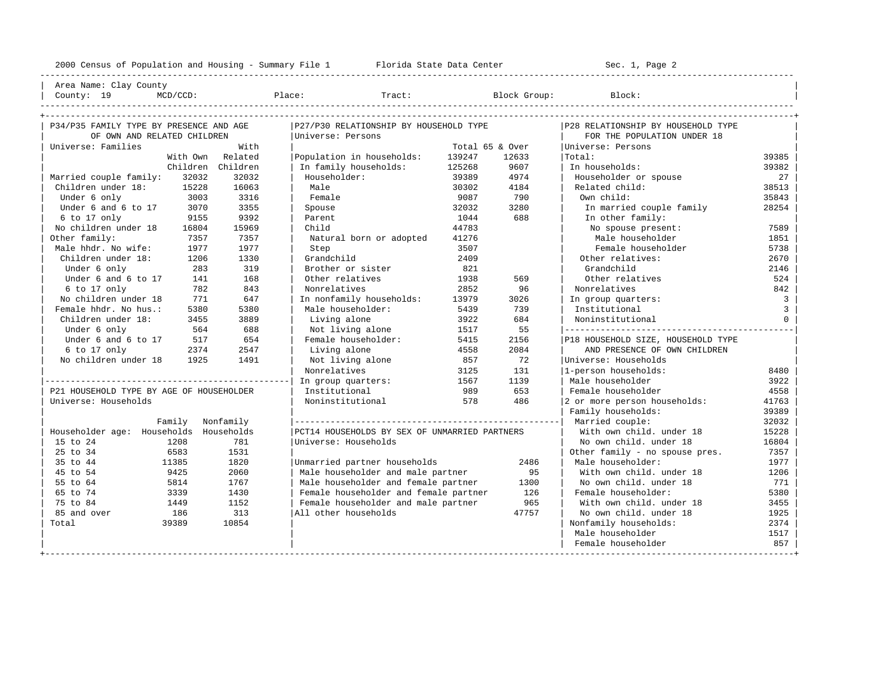---------------------------------------------------------------------------------------------------------------------------------------------------- | Area Name: Clay County | | County: 19 MCD/CCD: Place: Tract: Block Group: Block: | ---------------------------------------------------------------------------------------------------------------------------------------------------- +---------------------------------------------------------------------------------------------------------------------------------------------------+ | P34/P35 FAMILY TYPE BY PRESENCE AND AGE |P27/P30 RELATIONSHIP BY HOUSEHOLD TYPE |P28 RELATIONSHIP BY HOUSEHOLD TYPE | | OF OWN AND RELATED CHILDREN |Universe: Persons | FOR THE POPULATION UNDER 18 | | Universe: Families With | Total 65 & Over |Universe: Persons | | With Own Related |Population in households: 139247 12633 |Total: 39385 |

|                                          | With Own | кетатеа           | Population in nousenoids:                     | 139247 | 12633 | тота⊥∶                             | 39385          |
|------------------------------------------|----------|-------------------|-----------------------------------------------|--------|-------|------------------------------------|----------------|
|                                          |          | Children Children | In family households:                         | 125268 | 9607  | In households:                     | 39382          |
| Married couple family:                   | 32032    | 32032             | Householder:                                  | 39389  | 4974  | Householder or spouse              | 27             |
| Children under 18:                       | 15228    | 16063             | Male                                          | 30302  | 4184  | Related child:                     | 38513          |
| Under 6 only                             | 3003     | 3316              | Female                                        | 9087   | 790   | Own child:                         | 35843          |
| Under 6 and 6 to 17                      | 3070     | 3355              | Spouse                                        | 32032  | 3280  | In married couple family           | 28254          |
| 6 to 17 only                             | 9155     | 9392              | Parent                                        | 1044   | 688   | In other family:                   |                |
| No children under 18                     | 16804    | 15969             | Child                                         | 44783  |       | No spouse present:                 | 7589           |
| Other family:                            | 7357     | 7357              | Natural born or adopted                       | 41276  |       | Male householder                   | 1851           |
| Male hhdr. No wife:                      | 1977     | 1977              | Step                                          | 3507   |       | Female householder                 | 5738           |
| Children under 18:                       | 1206     | 1330              | Grandchild                                    | 2409   |       | Other relatives:                   | 2670           |
| Under 6 only                             | 283      | 319               | Brother or sister                             | 821    |       | Grandchild                         | 2146           |
| Under 6 and 6 to 17                      | 141      | 168               | Other relatives                               | 1938   | 569   | Other relatives                    | 524            |
| 6 to 17 only                             | 782      | 843               | Nonrelatives                                  | 2852   | 96    | Nonrelatives                       | 842            |
| No children under 18                     | 771      | 647               | In nonfamily households:                      | 13979  | 3026  | In group quarters:                 | $\overline{3}$ |
| Female hhdr. No hus.:                    | 5380     | 5380              | Male householder:                             | 5439   | 739   | Institutional                      | 3              |
| Children under 18:                       | 3455     | 3889              | Living alone                                  | 3922   | 684   | Noninstitutional                   | $\Omega$       |
| Under 6 only                             | 564      | 688               | Not living alone                              | 1517   | 55    |                                    |                |
| Under 6 and 6 to 17                      | 517      | 654               | Female householder:                           | 5415   | 2156  | P18 HOUSEHOLD SIZE, HOUSEHOLD TYPE |                |
| 6 to 17 only                             | 2374     | 2547              | Living alone                                  | 4558   | 2084  | AND PRESENCE OF OWN CHILDREN       |                |
| No children under 18                     | 1925     | 1491              | Not living alone                              | 857    | 72    | Universe: Households               |                |
|                                          |          |                   | Nonrelatives                                  | 3125   | 131   | 1-person households:               | 8480           |
|                                          |          |                   | In group quarters:                            | 1567   | 1139  | Male householder                   | 3922           |
| P21 HOUSEHOLD TYPE BY AGE OF HOUSEHOLDER |          |                   | Institutional                                 | 989    | 653   | Female householder                 | 4558           |
| Universe: Households                     |          |                   | Noninstitutional                              | 578    | 486   | 2 or more person households:       | 41763          |
|                                          |          |                   |                                               |        |       | Family households:                 | 39389          |
|                                          | Family   | Nonfamily         |                                               |        |       | Married couple:                    | 32032          |
| Householder age: Households              |          | Households        | PCT14 HOUSEHOLDS BY SEX OF UNMARRIED PARTNERS |        |       | With own child. under 18           | 15228          |
| 15 to 24                                 | 1208     | 781               | Universe: Households                          |        |       | No own child. under 18             | 16804          |
| 25 to 34                                 | 6583     | 1531              |                                               |        |       | Other family - no spouse pres.     | 7357           |
| 35 to 44                                 | 11385    | 1820              | Unmarried partner households                  |        | 2486  | Male householder:                  | 1977           |
| 45 to 54                                 | 9425     | 2060              | Male householder and male partner             |        | 95    | With own child, under 18           | 1206           |
| 55 to 64                                 | 5814     | 1767              | Male householder and female partner           |        | 1300  | No own child, under 18             | 771            |
| 65 to 74                                 | 3339     | 1430              | Female householder and female partner         |        | 126   | Female householder:                | 5380           |
| 75 to 84                                 | 1449     | 1152              | Female householder and male partner           |        | 965   | With own child, under 18           | 3455           |
| 85 and over                              | 186      | 313               | All other households                          |        | 47757 | No own child, under 18             | 1925           |
| Total                                    | 39389    | 10854             |                                               |        |       | Nonfamily households:              | 2374           |
|                                          |          |                   |                                               |        |       | Male householder                   | 1517           |
|                                          |          |                   |                                               |        |       | Female householder                 | 857            |
|                                          |          |                   |                                               |        |       |                                    |                |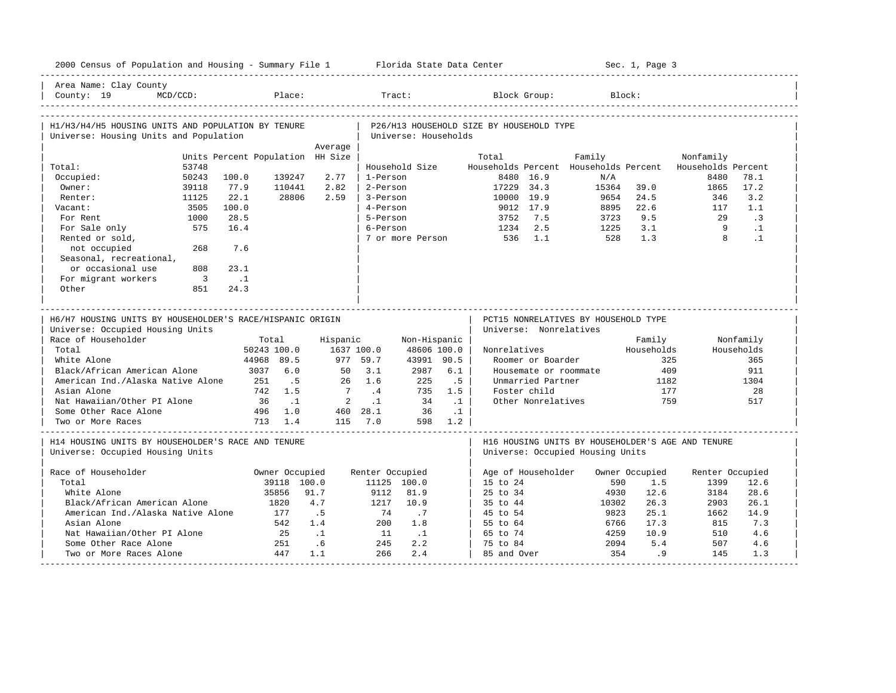| 2000 Census of Population and Housing - Summary File 1 Florida State Data Center |                                  |                |                                    |                      |            |                                          |                                   |                                      | Sec. 1, Page 3 |                                                                       |            |
|----------------------------------------------------------------------------------|----------------------------------|----------------|------------------------------------|----------------------|------------|------------------------------------------|-----------------------------------|--------------------------------------|----------------|-----------------------------------------------------------------------|------------|
| Area Name: Clay County<br>$MCD/CCD$ :<br>County: 19                              |                                  | Place:         |                                    | Tract:               |            |                                          | Block Group:                      |                                      | Block:         |                                                                       |            |
| H1/H3/H4/H5 HOUSING UNITS AND POPULATION BY TENURE                               |                                  |                |                                    |                      |            | P26/H13 HOUSEHOLD SIZE BY HOUSEHOLD TYPE |                                   |                                      |                |                                                                       |            |
| Universe: Housing Units and Population                                           |                                  |                |                                    | Universe: Households |            |                                          |                                   |                                      |                |                                                                       |            |
|                                                                                  |                                  | Average        |                                    |                      |            |                                          |                                   |                                      |                |                                                                       |            |
| 53748                                                                            | Units Percent Population HH Size |                |                                    | Household Size       |            | Total                                    |                                   | Family                               |                | Nonfamily<br>Households Percent Households Percent Households Percent |            |
| Total:<br>50243<br>Occupied:                                                     | 100.0                            | 139247<br>2.77 | 1-Person                           |                      |            |                                          | 8480 16.9                         | N/A                                  |                | 8480                                                                  | 78.1       |
| Owner:<br>39118                                                                  | 77.9                             | 110441<br>2.82 | 2-Person                           |                      |            | 17229 34.3                               |                                   | 15364                                | 39.0           | 1865                                                                  | 17.2       |
| 11125<br>Renter:                                                                 | 22.1                             | 28806<br>2.59  | 3-Person                           |                      |            | 10000 19.9                               |                                   | 9654                                 | 24.5           | 346                                                                   | 3.2        |
| 3505<br>Vacant:                                                                  | 100.0                            |                | 4-Person                           |                      |            |                                          | 9012 17.9                         | 8895                                 | 22.6           | 117                                                                   | 1.1        |
| 1000<br>For Rent                                                                 | 28.5                             |                | 5-Person                           |                      |            | 3752                                     | 7.5                               | 3723                                 | 9.5            | 29                                                                    | $\cdot$ 3  |
| 575<br>For Sale only                                                             | 16.4                             |                | 6-Person                           |                      |            | 1234                                     | 2.5                               | 1225                                 | 3.1            | - 9                                                                   | $\cdot$ 1  |
| Rented or sold,                                                                  |                                  |                |                                    | 7 or more Person     |            | 536                                      | 1.1                               | 528                                  | 1.3            | 8                                                                     | $\cdot$ 1  |
| not occupied<br>268                                                              | 7.6                              |                |                                    |                      |            |                                          |                                   |                                      |                |                                                                       |            |
| Seasonal, recreational,                                                          |                                  |                |                                    |                      |            |                                          |                                   |                                      |                |                                                                       |            |
| or occasional use<br>808                                                         | 23.1                             |                |                                    |                      |            |                                          |                                   |                                      |                |                                                                       |            |
| For migrant workers<br>$\overline{\mathbf{3}}$                                   | $\cdot$ .1                       |                |                                    |                      |            |                                          |                                   |                                      |                |                                                                       |            |
| Other<br>851                                                                     | 24.3                             |                |                                    |                      |            |                                          |                                   |                                      |                |                                                                       |            |
|                                                                                  |                                  |                |                                    |                      |            |                                          |                                   |                                      |                |                                                                       |            |
|                                                                                  |                                  |                |                                    |                      |            |                                          |                                   |                                      |                |                                                                       |            |
|                                                                                  |                                  |                |                                    |                      |            |                                          |                                   |                                      |                |                                                                       |            |
| H6/H7 HOUSING UNITS BY HOUSEHOLDER'S RACE/HISPANIC ORIGIN                        |                                  |                |                                    |                      |            |                                          |                                   | PCT15 NONRELATIVES BY HOUSEHOLD TYPE |                |                                                                       |            |
| Universe: Occupied Housing Units                                                 |                                  |                |                                    |                      |            | Universe: Nonrelatives                   |                                   |                                      |                |                                                                       |            |
| Race of Householder                                                              | Total                            |                | Hispanic                           | Non-Hispanic         |            |                                          |                                   |                                      | Family         |                                                                       | Nonfamily  |
| Total                                                                            | 50243 100.0                      |                | 1637 100.0                         | 48606 100.0          |            | Nonrelatives                             |                                   |                                      | Households     |                                                                       | Households |
| White Alone                                                                      | 44968 89.5                       |                | 977 59.7                           | 43991 90.5           |            |                                          | Roomer or Boarder                 |                                      |                | 325                                                                   | 365        |
| Black/African American Alone                                                     | 3037                             | 6.0            | 3.1<br>50<br>26                    | 2987                 | 6.1        |                                          | Housemate or roommate             |                                      | 409            |                                                                       | 911        |
| American Ind./Alaska Native Alone<br>Asian Alone                                 | 251<br>742 1.5                   | .5             | 1.6<br>$7\phantom{0}$<br>$\cdot$ 4 | 225<br>735           | .5<br>1.5  |                                          | Unmarried Partner<br>Foster child |                                      | 1182<br>177    |                                                                       | 1304<br>28 |
| Nat Hawaiian/Other PI Alone                                                      | 36                               | $\ldots$       | $\overline{2}$<br>$\cdot$ 1        | 34                   | $\ldots$ 1 |                                          | Other Nonrelatives                |                                      |                | 759                                                                   | 517        |
| Some Other Race Alone                                                            | 496 1.0                          |                | 460 28.1                           | 36                   | $\ldots$   |                                          |                                   |                                      |                |                                                                       |            |
| Two or More Races                                                                | 713 1.4                          |                | 115 7.0                            |                      | 598 1.2    |                                          |                                   |                                      |                |                                                                       |            |
| H14 HOUSING UNITS BY HOUSEHOLDER'S RACE AND TENURE                               |                                  |                |                                    |                      |            |                                          |                                   |                                      |                | H16 HOUSING UNITS BY HOUSEHOLDER'S AGE AND TENURE                     |            |
| Universe: Occupied Housing Units                                                 |                                  |                |                                    |                      |            |                                          |                                   | Universe: Occupied Housing Units     |                |                                                                       |            |
| Race of Householder                                                              |                                  | Owner Occupied | Renter Occupied                    |                      |            | Age of Householder                       |                                   |                                      | Owner Occupied | Renter Occupied                                                       |            |
| Total                                                                            |                                  | 39118 100.0    |                                    | 11125 100.0          |            | 15 to 24                                 |                                   | 590                                  | 1.5            | 1399                                                                  | 12.6       |
| White Alone                                                                      | 35856                            | 91.7           | 9112                               | 81.9                 |            | 25 to 34                                 |                                   | 4930                                 | 12.6           | 3184                                                                  | 28.6       |
| Black/African American Alone                                                     | 1820                             | 4.7            | 1217                               | 10.9                 |            | 35 to 44                                 |                                   | 10302                                | 26.3           | 2903                                                                  | 26.1       |
| American Ind./Alaska Native Alone                                                | 177                              | .5             | 74                                 | $\cdot$ 7            |            | 45 to 54                                 |                                   | 9823                                 | 25.1           | 1662                                                                  | 14.9       |
| Asian Alone                                                                      | 542                              | 1.4            | 200                                | 1.8                  |            | 55 to 64                                 |                                   | 6766                                 | 17.3           | 815                                                                   | 7.3        |
| Nat Hawaiian/Other PI Alone                                                      | 25                               | $\cdot$ 1      | 11                                 | $\cdots$             |            | 65 to 74                                 |                                   | 4259                                 | 10.9           | 510                                                                   | 4.6        |
| Some Other Race Alone<br>Two or More Races Alone                                 | 251<br>447                       | .6<br>1.1      | 245<br>266                         | 2.2<br>2.4           |            | 75 to 84<br>85 and Over                  |                                   | 2094<br>354                          | 5.4<br>.9      | 507<br>145                                                            | 4.6<br>1.3 |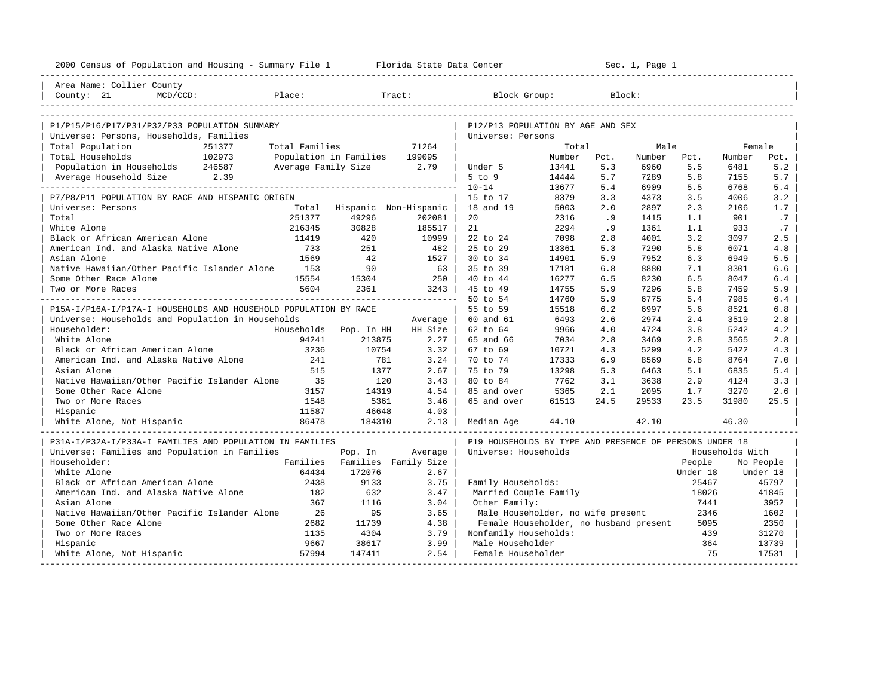| 2000 Census of Population and Housing - Summary File 1 Florida State Data Center |                |                               |                                 |                                                         | ---------------------- |      | Sec. 1, Page 1 |                |                 |                       |
|----------------------------------------------------------------------------------|----------------|-------------------------------|---------------------------------|---------------------------------------------------------|------------------------|------|----------------|----------------|-----------------|-----------------------|
| Area Name: Collier County                                                        |                |                               |                                 |                                                         |                        |      |                |                |                 |                       |
| County: 21<br>$MCD/CCD$ :                                                        | Place:         |                               | Tract:                          | Block Group:                                            |                        |      | Block:         |                |                 |                       |
|                                                                                  |                |                               |                                 |                                                         |                        |      |                |                |                 |                       |
| P1/P15/P16/P17/P31/P32/P33 POPULATION SUMMARY                                    |                |                               |                                 | P12/P13 POPULATION BY AGE AND SEX                       |                        |      |                |                |                 |                       |
| Universe: Persons, Households, Families                                          |                |                               |                                 | Universe: Persons                                       |                        |      |                |                |                 |                       |
| Total Population<br>251377                                                       | Total Families |                               | 71264                           |                                                         | Total                  |      | Male           |                | Female          |                       |
| 102973<br>Total Households                                                       |                | Population in Families 199095 |                                 |                                                         | Number                 | Pct. | Number         | Pct.           | Number          | Pct.                  |
| Population in Households 246587                                                  |                | Average Family Size 2.79      |                                 | Under 5                                                 | 13441                  | 5.3  | 6960           | 5.5            | 6481            | 5.2                   |
| Average Household Size 2.39                                                      |                |                               |                                 | $5$ to $9$                                              | 14444                  | 5.7  | 7289           | 5.8            | 7155            | 5.7                   |
|                                                                                  |                |                               |                                 | $10 - 14$                                               | 13677                  | 5.4  | 6909           | 5.5            | 6768            | 5.4                   |
| P7/P8/P11 POPULATION BY RACE AND HISPANIC ORIGIN                                 |                |                               |                                 | 15 to 17                                                | 8379                   | 3.3  | 4373           | 3.5            | 4006            | 3.2                   |
| Universe: Persons                                                                | Total          | Hispanic Non-Hispanic         |                                 | 18 and 19                                               | 5003                   | 2.0  | 2897           | 2.3            | 2106            | 1.7                   |
| Total                                                                            | 251377         | 49296                         | 202081                          | 20                                                      | 2316                   | .9   | 1415           | 1.1            | 901             | .7                    |
| White Alone                                                                      | 216345         | 30828                         | 185517                          | 21                                                      | 2294                   | .9   | 1361           | 1.1            | 933             | .7                    |
| Black or African American Alone                                                  | 11419          | 420                           | 10999                           | 22 to 24                                                | 7098                   | 2.8  | 4001           | 3.2            | 3097            | 2.5                   |
| American Ind. and Alaska Native Alone                                            | 733            | 251                           | 482                             | 25 to 29                                                | 13361                  | 5.3  | 7290           | 5.8            | 6071            | 4.8                   |
| Asian Alone                                                                      | 1569           | 42                            | 1527                            | 30 to 34                                                | 14901                  | 5.9  | 7952           | 6.3            | 6949            | 5.5                   |
| Native Hawaiian/Other Pacific Islander Alone                                     | 1.53           | 90                            | 63                              | 35 to 39                                                | 17181                  | 6.8  | 8880           | 7.1            | 8301            | 6.6                   |
| Some Other Race Alone                                                            | 15554          | 15304                         | 250                             | 40 to 44                                                | 16277                  | 6.5  | 8230           | 6.5            | 8047            | 6.4                   |
| Two or More Races                                                                | 5604           | 2361                          | 3243                            | 45 to 49                                                | 14755                  | 5.9  | 7296           | 5.8            | 7459            | 5.9                   |
|                                                                                  |                |                               |                                 | 50 to 54                                                | 14760                  | 5.9  | 6775           | 5.4            | 7985            | 6.4                   |
| P15A-I/P16A-I/P17A-I HOUSEHOLDS AND HOUSEHOLD POPULATION BY RACE                 |                |                               |                                 | 55 to 59                                                | 15518                  | 6.2  | 6997           | 5.6            | 8521            | 6.8                   |
| Universe: Households and Population in Households                                |                |                               | Average                         | 60 and 61                                               | 6493                   | 2.6  | 2974           | 2.4            | 3519            | 2.8                   |
| Householder:                                                                     | Households     | Pop. In HH                    | HH Size                         | 62 to 64                                                | 9966                   | 4.0  | 4724           | 3.8            | 5242            | 4.2                   |
| White Alone                                                                      | 94241          | 213875                        | 2.27                            | 65 and 66                                               | 7034                   | 2.8  | 3469           | 2.8            | 3565            | 2.8                   |
| Black or African American Alone                                                  | 3236           | 10754                         | 3.32                            | 67 to 69                                                | 10721                  | 4.3  | 5299           | 4.2            | 5422            | 4.3                   |
| American Ind. and Alaska Native Alone                                            | 241            | 781                           | 3.24                            | 70 to 74                                                | 17333                  | 6.9  | 8569           | 6.8            | 8764            | 7.0                   |
| Asian Alone                                                                      | 515            | 1377                          | 2.67                            | 75 to 79                                                | 13298                  | 5.3  | 6463           | 5.1            | 6835            | 5.4                   |
| Native Hawaiian/Other Pacific Islander Alone                                     | 35             | 120                           | 3.43                            | 80 to 84                                                | 7762                   | 3.1  | 3638           | 2.9            | 4124            | 3.3                   |
| Some Other Race Alone                                                            | 3157           | 14319                         | 4.54                            | 85 and over                                             | 5365                   | 2.1  | 2095           | 1.7            | 3270            | 2.6                   |
| Two or More Races                                                                | 1548           | 5361                          | 3.46                            | 65 and over                                             | 61513                  | 24.5 | 29533          | 23.5           | 31980           | 25.5                  |
| Hispanic                                                                         | 11587          | 46648                         | 4.03                            |                                                         |                        |      |                |                |                 |                       |
| White Alone, Not Hispanic                                                        |                |                               |                                 | Median Age                                              | 44.10                  |      | 42.10          |                | 46.30           |                       |
|                                                                                  |                |                               |                                 |                                                         |                        |      |                |                |                 |                       |
| P31A-I/P32A-I/P33A-I FAMILIES AND POPULATION IN FAMILIES                         |                |                               |                                 | P19 HOUSEHOLDS BY TYPE AND PRESENCE OF PERSONS UNDER 18 |                        |      |                |                |                 |                       |
| Universe: Families and Population in Families<br>Householder:                    | Families       | Pop. In                       | Average<br>Families Family Size | Universe: Households                                    |                        |      |                | People         | Households With |                       |
| White Alone                                                                      | 64434          | 172076                        | 2.67                            |                                                         |                        |      |                | Under 18       |                 | No People<br>Under 18 |
| Black or African American Alone                                                  | 2438           | 9133                          |                                 |                                                         |                        |      |                |                |                 |                       |
| American Ind. and Alaska Native Alone                                            | 182            | 632                           | 3.75<br>3.47                    | Family Households:<br>Married Couple Family             |                        |      |                | 25467<br>18026 |                 | 45797<br>41845        |
| Asian Alone                                                                      | 367            | 1116                          | 3.04                            | Other Family:                                           |                        |      |                | 7441           |                 | 3952                  |
| Native Hawaiian/Other Pacific Islander Alone                                     | 26             | 95                            | 3.65                            | Male Householder, no wife present                       |                        |      |                | 2346           |                 | 1602                  |
| Some Other Race Alone                                                            | 2682           | 11739                         | 4.38                            | Female Householder, no husband present                  |                        |      |                | 5095           |                 | 2350                  |
| Two or More Races                                                                | 1135           | 4304                          | 3.79                            | Nonfamily Households:                                   |                        |      |                | 439            |                 | 31270                 |
| Hispanic                                                                         | 9667           | 38617                         | 3.99                            | Male Householder                                        |                        |      |                | 364            |                 | 13739                 |
| White Alone, Not Hispanic                                                        | 57994          | 147411                        | 2.54                            | Female Householder                                      |                        |      |                | 75             |                 | 17531                 |
|                                                                                  |                |                               |                                 |                                                         |                        |      |                |                |                 |                       |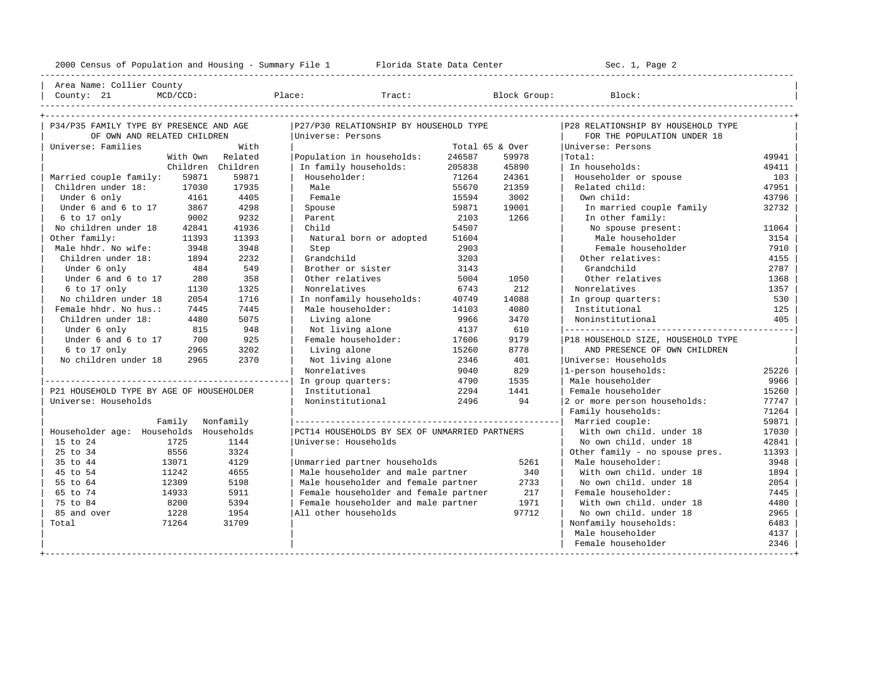----------------------------------------------------------------------------------------------------------------------------------------------------

| Area Name: Collier County | | County: 21 MCD/CCD: Place: Tract: Block Group: Block: |

| lace: | Τ٦ |  |
|-------|----|--|
|       |    |  |

| P34/P35 FAMILY TYPE BY PRESENCE AND AGE  |          |                   | P27/P30 RELATIONSHIP BY HOUSEHOLD TYPE        |                 |       | P28 RELATIONSHIP BY HOUSEHOLD TYPE |       |
|------------------------------------------|----------|-------------------|-----------------------------------------------|-----------------|-------|------------------------------------|-------|
| OF OWN AND RELATED CHILDREN              |          |                   | Universe: Persons                             |                 |       | FOR THE POPULATION UNDER 18        |       |
| Universe: Families                       |          | With              |                                               | Total 65 & Over |       | Universe: Persons                  |       |
|                                          | With Own | Related           | Population in households:                     | 246587          | 59978 | Total:                             | 49941 |
|                                          |          | Children Children | In family households:                         | 205838          | 45890 | In households:                     | 49411 |
| Married couple family:                   | 59871    | 59871             | Householder:                                  | 71264           | 24361 | Householder or spouse              | 103   |
| Children under 18:                       | 17030    | 17935             | Male                                          | 55670           | 21359 | Related child:                     | 47951 |
| Under 6 only                             | 4161     | 4405              | Female                                        | 15594           | 3002  | Own child:                         | 43796 |
| Under 6 and 6 to 17                      | 3867     | 4298              | Spouse                                        | 59871           | 19001 | In married couple family           | 32732 |
| 6 to 17 only                             | 9002     | 9232              | Parent                                        | 2103            | 1266  | In other family:                   |       |
| No children under 18                     | 42841    | 41936             | Child                                         | 54507           |       | No spouse present:                 | 11064 |
| Other family:                            | 11393    | 11393             | Natural born or adopted                       | 51604           |       | Male householder                   | 3154  |
| Male hhdr. No wife:                      | 3948     | 3948              | Step                                          | 2903            |       | Female householder                 | 7910  |
| Children under 18:                       | 1894     | 2232              | Grandchild                                    | 3203            |       | Other relatives:                   | 4155  |
| Under 6 only                             | 484      | 549               | Brother or sister                             | 3143            |       | Grandchild                         | 2787  |
| Under 6 and 6 to 17                      | 280      | 358               | Other relatives                               | 5004            | 1050  | Other relatives                    | 1368  |
| 6 to 17 only                             | 1130     | 1325              | Nonrelatives                                  | 6743            | 212   | Nonrelatives                       | 1357  |
| No children under 18                     | 2054     | 1716              | In nonfamily households:                      | 40749           | 14088 | In group quarters:                 | 530   |
| Female hhdr. No hus.:                    | 7445     | 7445              | Male householder:                             | 14103           | 4080  | Institutional                      | 125   |
| Children under 18:                       | 4480     | 5075              | Living alone                                  | 9966            | 3470  | Noninstitutional                   | 405   |
| Under 6 only                             | 815      | 948               | Not living alone                              | 4137            | 610   |                                    |       |
| Under 6 and 6 to 17                      | 700      | 925               | Female householder:                           | 17606           | 9179  | P18 HOUSEHOLD SIZE, HOUSEHOLD TYPE |       |
| 6 to 17 only                             | 2965     | 3202              | Living alone                                  | 15260           | 8778  | AND PRESENCE OF OWN CHILDREN       |       |
| No children under 18                     | 2965     | 2370              | Not living alone                              | 2346            | 401   | Universe: Households               |       |
|                                          |          |                   | Nonrelatives                                  | 9040            | 829   | 1-person households:               | 25226 |
|                                          |          |                   | In group quarters:                            | 4790            | 1535  | Male householder                   | 9966  |
| P21 HOUSEHOLD TYPE BY AGE OF HOUSEHOLDER |          |                   | Institutional                                 | 2294            | 1441  | Female householder                 | 15260 |
| Universe: Households                     |          |                   | Noninstitutional                              | 2496            | 94    | 2 or more person households:       | 77747 |
|                                          |          |                   |                                               |                 |       | Family households:                 | 71264 |
|                                          | Family   | Nonfamily         |                                               |                 |       | Married couple:                    | 59871 |
| Householder age: Households Households   |          |                   | PCT14 HOUSEHOLDS BY SEX OF UNMARRIED PARTNERS |                 |       | With own child, under 18           | 17030 |
| 15 to 24                                 | 1725     | 1144              | Universe: Households                          |                 |       | No own child, under 18             | 42841 |
| 25 to 34                                 | 8556     | 3324              |                                               |                 |       | Other family - no spouse pres.     | 11393 |
| 35 to 44                                 | 13071    | 4129              | Unmarried partner households                  |                 | 5261  | Male householder:                  | 3948  |
| 45 to 54                                 | 11242    | 4655              | Male householder and male partner             |                 | 340   | With own child, under 18           | 1894  |
| 55 to 64                                 | 12309    | 5198              | Male householder and female partner           |                 | 2733  | No own child. under 18             | 2054  |
| 65 to 74                                 | 14933    | 5911              | Female householder and female partner         |                 | 217   | Female householder:                | 7445  |
| 75 to 84                                 | 8200     | 5394              | Female householder and male partner           |                 | 1971  | With own child, under 18           | 4480  |
| 85 and over                              | 1228     | 1954              | All other households                          |                 | 97712 | No own child, under 18             | 2965  |
| Total                                    | 71264    | 31709             |                                               |                 |       | Nonfamily households:              | 6483  |
|                                          |          |                   |                                               |                 |       | Male householder                   | 4137  |
|                                          |          |                   |                                               |                 |       | Female householder                 | 2346  |
|                                          |          |                   |                                               |                 |       |                                    |       |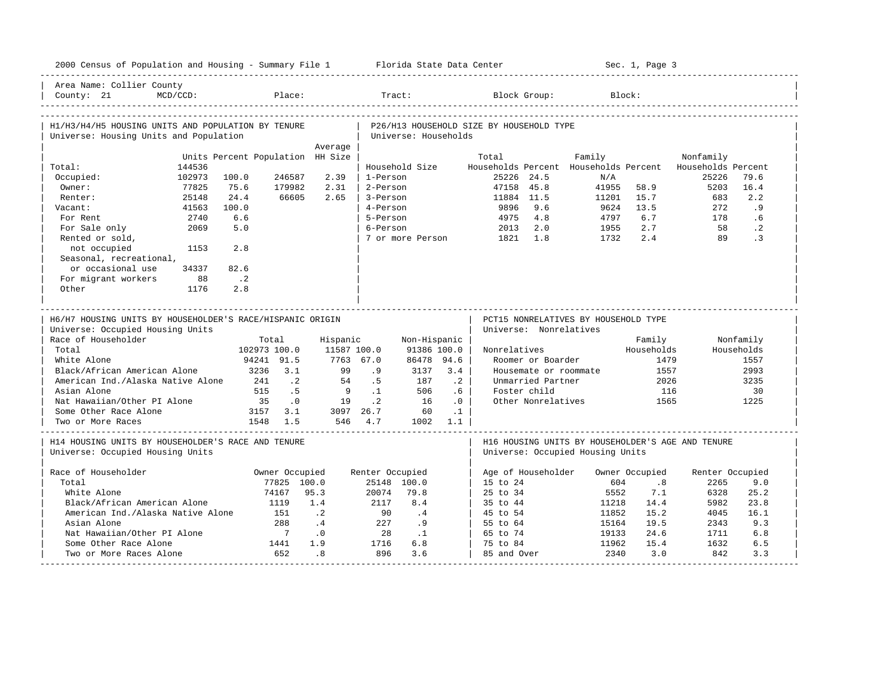| 2000 Census of Population and Housing - Summary File 1 Florida State Data Center |                                  |             |                 |                      |                  |                                          |                                            |                                              | Sec. 1, Page 3 |                                                   |              |
|----------------------------------------------------------------------------------|----------------------------------|-------------|-----------------|----------------------|------------------|------------------------------------------|--------------------------------------------|----------------------------------------------|----------------|---------------------------------------------------|--------------|
| Area Name: Collier County<br>MCD/CCD:<br>County: 21                              | Place:                           |             | Tract:          |                      |                  |                                          | Block Group:                               |                                              | Block:         |                                                   |              |
| H1/H3/H4/H5 HOUSING UNITS AND POPULATION BY TENURE                               |                                  |             |                 |                      |                  | P26/H13 HOUSEHOLD SIZE BY HOUSEHOLD TYPE |                                            |                                              |                |                                                   |              |
| Universe: Housing Units and Population                                           |                                  |             |                 | Universe: Households |                  |                                          |                                            |                                              |                |                                                   |              |
|                                                                                  |                                  | Average     |                 |                      |                  |                                          |                                            |                                              |                |                                                   |              |
|                                                                                  | Units Percent Population HH Size |             |                 |                      |                  | Total                                    |                                            | Family                                       |                | Nonfamily                                         |              |
| 144536<br>Total:<br>102973                                                       | 100.0<br>246587                  | 2.39        | 1-Person        | Household Size       |                  | 25226 24.5                               |                                            | Households Percent Households Percent<br>N/A |                | Households Percent<br>25226                       | 79.6         |
| Occupied:<br>Owner:<br>77825                                                     | 75.6<br>179982                   | 2.31        | 2-Person        |                      |                  | 47158 45.8                               |                                            | 41955                                        | 58.9           | 5203                                              | 16.4         |
| 25148<br>Renter:                                                                 | 24.4<br>66605                    | 2.65        | 3-Person        |                      |                  | 11884 11.5                               |                                            | 11201                                        | 15.7           | 683                                               | 2.2          |
| 41563<br>Vacant:                                                                 | 100.0                            |             | 4-Person        |                      |                  | 9896                                     | 9.6                                        | 9624                                         | 13.5           | 272                                               | .9           |
| 2740<br>For Rent                                                                 | 6.6                              |             | 5-Person        |                      |                  | 4975                                     | 4.8                                        | 4797                                         | 6.7            | 178                                               | .6           |
| 2069<br>For Sale only                                                            | 5.0                              |             | 6-Person        |                      |                  | 2013                                     | 2.0                                        | 1955                                         | 2.7            | 58                                                | $\cdot$ 2    |
| Rented or sold,                                                                  |                                  |             |                 | 7 or more Person     |                  | 1821                                     | 1.8                                        | 1732                                         | 2.4            | 89                                                | $\cdot$ 3    |
| not occupied<br>1153                                                             | 2.8                              |             |                 |                      |                  |                                          |                                            |                                              |                |                                                   |              |
| Seasonal, recreational,                                                          |                                  |             |                 |                      |                  |                                          |                                            |                                              |                |                                                   |              |
| or occasional use<br>34337                                                       | 82.6                             |             |                 |                      |                  |                                          |                                            |                                              |                |                                                   |              |
| For migrant workers<br>88                                                        | $\cdot$ . 2                      |             |                 |                      |                  |                                          |                                            |                                              |                |                                                   |              |
| Other<br>1176                                                                    | 2.8                              |             |                 |                      |                  |                                          |                                            |                                              |                |                                                   |              |
|                                                                                  |                                  |             |                 |                      |                  |                                          |                                            |                                              |                |                                                   |              |
|                                                                                  |                                  |             |                 |                      |                  |                                          |                                            | PCT15 NONRELATIVES BY HOUSEHOLD TYPE         |                |                                                   |              |
| H6/H7 HOUSING UNITS BY HOUSEHOLDER'S RACE/HISPANIC ORIGIN                        |                                  |             |                 |                      |                  |                                          |                                            |                                              |                |                                                   |              |
|                                                                                  |                                  |             |                 |                      |                  |                                          |                                            |                                              |                |                                                   |              |
| Universe: Occupied Housing Units                                                 |                                  |             |                 |                      |                  |                                          | Universe: Nonrelatives                     |                                              |                |                                                   |              |
| Race of Householder                                                              | Total                            | Hispanic    |                 | Non-Hispanic         |                  |                                          |                                            |                                              | Family         |                                                   | Nonfamily    |
| Total                                                                            | 102973 100.0                     | 11587 100.0 |                 | 91386 100.0          |                  | Nonrelatives                             |                                            |                                              | Households     |                                                   | Households   |
| White Alone                                                                      | 94241 91.5                       | 7763 67.0   |                 | 86478 94.6           |                  |                                          | Roomer or Boarder                          |                                              | 1479           |                                                   | 1557         |
| Black/African American Alone<br>American Ind./Alaska Native Alone                | 3236 3.1<br>241<br>$\cdot$ . 2   | 99<br>54    | .9<br>.5        | 3137<br>187          | 3.4<br>$\cdot$ 2 |                                          | Housemate or roommate<br>Unmarried Partner |                                              | 1557<br>2026   |                                                   | 2993<br>3235 |
| Asian Alone                                                                      | .5<br>515                        | 9           | $\cdot$ 1       | 506                  | .6               |                                          | Foster child                               |                                              | 116            |                                                   | 30           |
| Nat Hawaiian/Other PI Alone                                                      | 35<br>$\cdot$ 0                  | 19          | $\cdot$ 2       | 16                   | .0               |                                          | Other Nonrelatives                         |                                              | 1565           |                                                   | 1225         |
| Some Other Race Alone                                                            | 3157 3.1                         | 3097 26.7   |                 | 60                   | $\cdot$ 1        |                                          |                                            |                                              |                |                                                   |              |
| Two or More Races                                                                | 1548 1.5                         |             | 546 4.7         | 1002 1.1             |                  |                                          |                                            |                                              |                |                                                   |              |
| H14 HOUSING UNITS BY HOUSEHOLDER'S RACE AND TENURE                               |                                  |             |                 |                      |                  |                                          |                                            |                                              |                | H16 HOUSING UNITS BY HOUSEHOLDER'S AGE AND TENURE |              |
| Universe: Occupied Housing Units                                                 |                                  |             |                 |                      |                  |                                          |                                            | Universe: Occupied Housing Units             |                |                                                   |              |
| Race of Householder                                                              | Owner Occupied                   |             |                 |                      |                  | Age of Householder                       |                                            |                                              | Owner Occupied |                                                   |              |
| Total                                                                            | 77825 100.0                      |             | Renter Occupied | 25148 100.0          |                  | 15 to 24                                 |                                            | 604                                          | .8             | Renter Occupied<br>2265                           | 9.0          |
| White Alone                                                                      | 74167                            | 95.3        | 20074           | 79.8                 |                  | 25 to 34                                 |                                            | 5552                                         | 7.1            | 6328                                              | 25.2         |
| Black/African American Alone                                                     | 1119                             | 1.4         | 2117            | 8.4                  |                  | 35 to 44                                 |                                            | 11218                                        | 14.4           | 5982                                              | 23.8         |
| American Ind./Alaska Native Alone                                                | 151                              | $\cdot$ 2   | 90              | .4                   |                  | 45 to 54                                 |                                            | 11852                                        | 15.2           | 4045                                              | 16.1         |
| Asian Alone                                                                      | 288                              | $\cdot$ 4   | 227             | .9                   |                  | 55 to 64                                 |                                            | 15164                                        | 19.5           | 2343                                              | 9.3          |
| Nat Hawaiian/Other PI Alone                                                      | $7\phantom{0}$                   | $\cdot$ 0   | 28              | $\cdot$ 1            |                  | 65 to 74                                 |                                            | 19133                                        | 24.6           | 1711                                              | 6.8          |
| Some Other Race Alone<br>Two or More Races Alone                                 | 1441<br>652                      | 1.9<br>.8   | 1716<br>896     | 6.8<br>3.6           |                  | 75 to 84<br>85 and Over                  |                                            | 11962<br>2340                                | 15.4<br>3.0    | 1632<br>842                                       | 6.5<br>3.3   |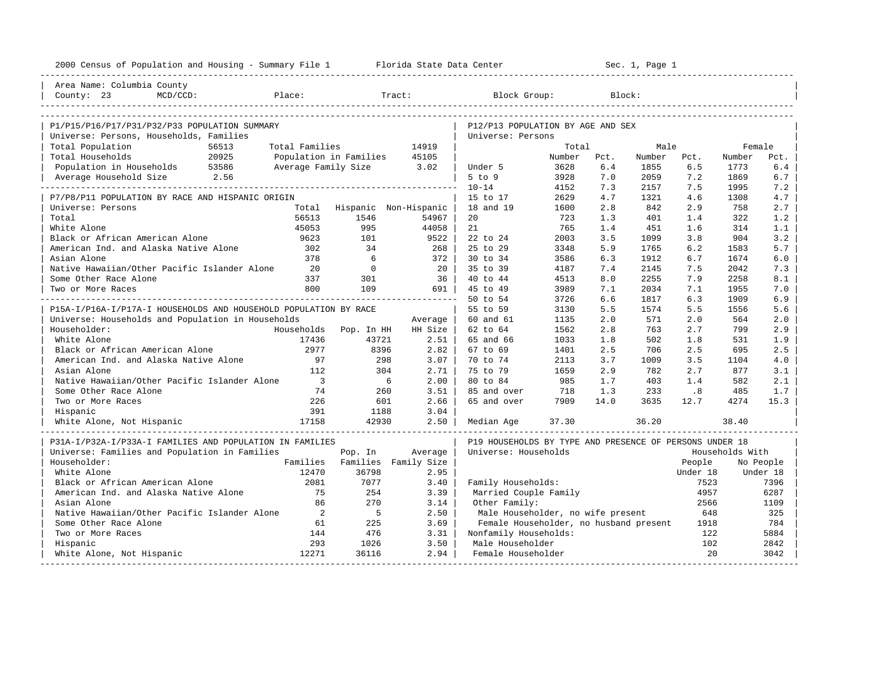| 2000 Census of Population and Housing - Summary File 1 Florida State Data Center |                          |                               |                       |                                                         |        |      | Sec. 1, Page 1 |          |                 |           |
|----------------------------------------------------------------------------------|--------------------------|-------------------------------|-----------------------|---------------------------------------------------------|--------|------|----------------|----------|-----------------|-----------|
| Area Name: Columbia County                                                       |                          |                               |                       |                                                         |        |      |                |          |                 |           |
| County: 23<br>$MCD/CCD$ :                                                        | Place:                   |                               | Tract:                | Block Group:                                            |        |      | Block:         |          |                 |           |
|                                                                                  |                          |                               |                       |                                                         |        |      |                |          |                 |           |
| P1/P15/P16/P17/P31/P32/P33 POPULATION SUMMARY                                    |                          |                               |                       | P12/P13 POPULATION BY AGE AND SEX                       |        |      |                |          |                 |           |
| Universe: Persons, Households, Families                                          |                          |                               |                       | Universe: Persons                                       |        |      |                |          |                 |           |
| Total Population<br>56513                                                        | Total Families           |                               | 14919                 |                                                         | Total  |      | Male           |          | Female          |           |
| Total Households<br>20925                                                        | Population in Families   |                               | 45105                 |                                                         | Number | Pct. | Number         | Pct.     | Number          | Pct.      |
| Population in Households 53586                                                   | Average Family Size 3.02 |                               |                       | Under 5                                                 | 3628   | 6.4  | 1855           | 6.5      | 1773            | 6.4       |
| Average Household Size 2.56                                                      |                          |                               |                       | $5$ to $9$                                              | 3928   | 7.0  | 2059           | 7.2      | 1869            | 6.7       |
|                                                                                  |                          |                               |                       | $10 - 14$                                               | 4152   | 7.3  | 2157           | 7.5      | 1995            | 7.2       |
| P7/P8/P11 POPULATION BY RACE AND HISPANIC ORIGIN                                 |                          |                               |                       | 15 to 17                                                | 2629   | 4.7  | 1321           | 4.6      | 1308            | 4.7       |
| Universe: Persons                                                                | Total                    |                               | Hispanic Non-Hispanic | 18 and 19                                               | 1600   | 2.8  | 842            | 2.9      | 758             | 2.7       |
| Total                                                                            | 56513                    | 1546                          | 54967                 | 20                                                      | 723    | 1.3  | 401            | 1.4      | 322             | 1.2       |
| White Alone                                                                      | 45053                    | 995                           | 44058                 | 21                                                      | 765    | 1.4  | 451            | 1.6      | 314             | 1.1       |
| Black or African American Alone                                                  | 9623                     | 101                           | 9522                  | 22 to 24                                                | 2003   | 3.5  | 1099           | 3.8      | 904             | 3.2       |
| American Ind. and Alaska Native Alone                                            | 302                      | 34                            | 268 l                 | 25 to 29                                                | 3348   | 5.9  | 1765           | 6.2      | 1583            | 5.7       |
| Asian Alone                                                                      | 378                      | 6                             | $372$                 | 30 to 34                                                | 3586   | 6.3  | 1912           | 6.7      | 1674            | 6.0       |
| Native Hawaiian/Other Pacific Islander Alone                                     | 20                       | $\mathbf{0}$                  | 20 I                  | 35 to 39                                                | 4187   | 7.4  | 2145           | 7.5      | 2042            | 7.3       |
| Some Other Race Alone                                                            | 337                      | 301                           | 36                    | 40 to 44                                                | 4513   | 8.0  | 2255           | 7.9      | 2258            | 8.1       |
| Two or More Races                                                                | 800                      | 109                           | 691                   | 45 to 49                                                | 3989   | 7.1  | 2034           | 7.1      | 1955            | 7.0       |
|                                                                                  |                          |                               |                       | 50 to 54                                                | 3726   | 6.6  | 1817           | 6.3      | 1909            | 6.9       |
| P15A-I/P16A-I/P17A-I HOUSEHOLDS AND HOUSEHOLD POPULATION BY RACE                 |                          |                               |                       | 55 to 59                                                | 3130   | 5.5  | 1574           | 5.5      | 1556            | 5.6       |
| Universe: Households and Population in Households                                |                          |                               | Average               | 60 and 61                                               | 1135   | 2.0  | 571            | 2.0      | 564             | 2.0       |
| Householder:                                                                     |                          | Households Pop. In HH         | HH Size               | 62 to 64                                                | 1562   | 2.8  | 763            | 2.7      | 799             | 2.9       |
| White Alone                                                                      | 17436                    | 43721                         | $2.51$                | 65 and 66                                               | 1033   | 1.8  | 502            | 1.8      | 531             | 1.9       |
| Black or African American Alone                                                  | 2977                     | 8396                          | $2.82$                | 67 to 69                                                | 1401   | 2.5  | 706            | 2.5      | 695             | 2.5       |
| American Ind. and Alaska Native Alone                                            | 97                       | 298                           | $3.07 \mid$           | 70 to 74                                                | 2113   | 3.7  | 1009           | 3.5      | 1104            | 4.0       |
| Asian Alone                                                                      | 112                      | 304                           | 2.71                  | 75 to 79                                                | 1659   | 2.9  | 782            | 2.7      | 877             | 3.1       |
| Native Hawaiian/Other Pacific Islander Alone                                     | $\overline{\phantom{a}}$ | $6\overline{6}$               | 2.00                  | 80 to 84                                                | 985    | 1.7  | 403            | 1.4      | 582             | 2.1       |
| Some Other Race Alone                                                            | 74                       | 260                           | 3.51                  | 85 and over                                             | 718    | 1.3  | 233            | .8       | 485             | 1.7       |
| Two or More Races                                                                | 226                      | 601                           | 2.66                  | 65 and over                                             | 7909   | 14.0 | 3635           | 12.7     | 4274            | 15.3      |
| Hispanic                                                                         | 391                      | 1188                          | 3.04                  |                                                         |        |      |                |          |                 |           |
| White Alone, Not Hispanic                                                        | 17158                    | 42930                         | $2.50$                | Median Age                                              | 37.30  |      | 36.20          |          | 38.40           |           |
| P31A-I/P32A-I/P33A-I FAMILIES AND POPULATION IN FAMILIES                         |                          |                               |                       | P19 HOUSEHOLDS BY TYPE AND PRESENCE OF PERSONS UNDER 18 |        |      |                |          |                 |           |
| Universe: Families and Population in Families                                    |                          | Pop. In                       | Average               | Universe: Households                                    |        |      |                |          | Households With |           |
| Householder:                                                                     |                          | Families Families Family Size |                       |                                                         |        |      |                | People   |                 | No People |
| White Alone                                                                      | 12470                    | 36798                         | 2.95                  |                                                         |        |      |                | Under 18 |                 | Under 18  |
| Black or African American Alone                                                  | 2081                     | 7077                          | 3.40                  | Family Households:                                      |        |      |                | 7523     |                 | 7396      |
| American Ind. and Alaska Native Alone                                            | 75                       | 254                           | 3.39                  | Married Couple Family                                   |        |      |                | 4957     |                 | 6287      |
| Asian Alone                                                                      | 86                       | 270                           | 3.14                  | Other Family:                                           |        |      |                | 2566     |                 | 1109      |
| Native Hawaiian/Other Pacific Islander Alone                                     | 2                        | $-5$                          | 2.50                  | Male Householder, no wife present                       |        |      |                | 648      |                 | 325       |
| Some Other Race Alone                                                            | 61                       | 225                           | 3.69                  | Female Householder, no husband present                  |        |      |                | 1918     |                 | 784       |
| Two or More Races                                                                | 144                      | 476                           | 3.31                  | Nonfamily Households:                                   |        |      |                | 122      |                 | 5884      |
| Hispanic                                                                         | 293                      | 1026                          | 3.50                  | Male Householder                                        |        |      |                | 102      |                 | 2842      |
| White Alone, Not Hispanic                                                        | 12271                    | 36116                         | 2.94                  | Female Householder                                      |        |      |                | 2.0      |                 | 3042      |
|                                                                                  |                          |                               |                       |                                                         |        |      |                |          |                 |           |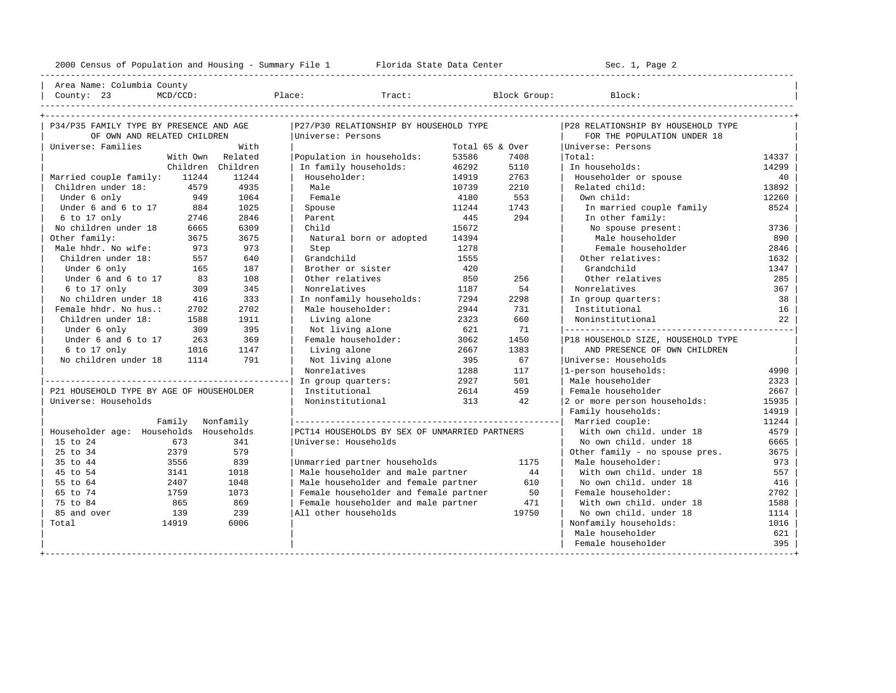| Area Name: Columbia County | | County: 23 MCD/CCD: Place: Tract: Block Group: Block: |

----------------------------------------------------------------------------------------------------------------------------------------------------

| P34/P35 FAMILY TYPE BY PRESENCE AND AGE  |                   | P27/P30 RELATIONSHIP BY HOUSEHOLD TYPE        |                 |       | P28 RELATIONSHIP BY HOUSEHOLD TYPE |       |
|------------------------------------------|-------------------|-----------------------------------------------|-----------------|-------|------------------------------------|-------|
| OF OWN AND RELATED CHILDREN              |                   | Universe: Persons                             |                 |       | FOR THE POPULATION UNDER 18        |       |
| Universe: Families                       | With              |                                               | Total 65 & Over |       | Universe: Persons                  |       |
|                                          | With Own Related  | Population in households:                     | 53586           | 7408  | Total:                             | 14337 |
|                                          | Children Children | In family households:                         | 46292           | 5110  | In households:                     | 14299 |
| Married couple family: 11244             | 11244             | Householder:                                  | 14919           | 2763  | Householder or spouse              | 40    |
| Children under 18:<br>4579               | 4935              | Male                                          | 10739           | 2210  | Related child:                     | 13892 |
| Under 6 only<br>949                      | 1064              | Female                                        | 4180            | 553   | Own child:                         | 12260 |
| Under 6 and 6 to 17<br>884               | 1025              | Spouse                                        | 11244           | 1743  | In married couple family           | 8524  |
| 6 to 17 only<br>2746                     | 2846              | Parent                                        | 445             | 294   | In other family:                   |       |
| No children under 18<br>6665             | 6309              | Child                                         | 15672           |       | No spouse present:                 | 3736  |
| Other family:<br>3675                    | 3675              | Natural born or adopted                       | 14394           |       | Male householder                   | 890   |
| Male hhdr. No wife:<br>973               | 973               | Step                                          | 1278            |       | Female householder                 | 2846  |
| Children under 18:<br>557                | 640               | Grandchild                                    | 1555            |       | Other relatives:                   | 1632  |
| Under 6 only<br>165                      | 187               | Brother or sister                             | 420             |       | Grandchild                         | 1347  |
| Under 6 and 6 to 17<br>83                | 108               | Other relatives                               | 850             | 256   | Other relatives                    | 285   |
| $6$ to 17 only<br>309                    | 345               | Nonrelatives                                  | 1187            | 54    | Nonrelatives                       | 367   |
| No children under 18<br>416              | 333               | In nonfamily households:                      | 7294            | 2298  | In group quarters:                 | 38    |
| Female hhdr. No hus.:<br>2702            | 2702              | Male householder:                             | 2944            | 731   | Institutional                      | 16    |
| Children under 18:<br>1588               | 1911              | Living alone                                  | 2323            | 660   | Noninstitutional                   | 22    |
| Under 6 only<br>309                      | 395               | Not living alone                              | 621             | 71    |                                    |       |
| Under 6 and 6 to 17<br>263               | 369               | Female householder:                           | 3062            | 1450  | P18 HOUSEHOLD SIZE, HOUSEHOLD TYPE |       |
| 6 to 17 only<br>1016                     | 1147              | Living alone                                  | 2667            | 1383  | AND PRESENCE OF OWN CHILDREN       |       |
| No children under 18<br>1114             | 791               | Not living alone                              | 395             | 67    | Universe: Households               |       |
|                                          |                   | Nonrelatives                                  | 1288            | 117   | 1-person households:               | 4990  |
|                                          |                   | In group quarters:                            | 2927            | 501   | Male householder                   | 2323  |
| P21 HOUSEHOLD TYPE BY AGE OF HOUSEHOLDER |                   | Institutional                                 | 2614            | 459   | Female householder                 | 2667  |
| Universe: Households                     |                   | Noninstitutional                              | 313             | 42.   | 2 or more person households:       | 15935 |
|                                          |                   |                                               |                 |       | Family households:                 | 14919 |
| Family Nonfamily                         |                   |                                               |                 |       |                                    | 11244 |
| Householder age: Households Households   |                   | PCT14 HOUSEHOLDS BY SEX OF UNMARRIED PARTNERS |                 |       | With own child, under 18           | 4579  |
| 15 to 24<br>673                          | 341               | Universe: Households                          |                 |       | No own child, under 18             | 6665  |
| 25 to 34<br>2379                         | 579               |                                               |                 |       | Other family - no spouse pres.     | 3675  |
| 35 to 44<br>3556                         | 839               | Unmarried partner households                  |                 | 1175  | Male householder:                  | 973   |
| 45 to 54<br>3141                         | 1018              | Male householder and male partner             |                 | 44    | With own child, under 18           | 557   |
| 55 to 64<br>2407                         | 1048              | Male householder and female partner           |                 | 610   | No own child. under 18             | 416   |
| 1759<br>65 to 74                         | 1073              | Female householder and female partner         |                 | 50    | Female householder:                | 2702  |
| 75 to 84<br>865                          | 869               | Female householder and male partner           |                 | 471   | With own child, under 18           | 1588  |
| 85 and over<br>139                       | 239               | All other households                          |                 | 19750 | No own child, under 18             | 1114  |
| 14919<br>Total                           | 6006              |                                               |                 |       | Nonfamily households:              | 1016  |
|                                          |                   |                                               |                 |       | Male householder                   | 621   |
|                                          |                   |                                               |                 |       | Female householder                 | 395   |
|                                          |                   |                                               |                 |       |                                    |       |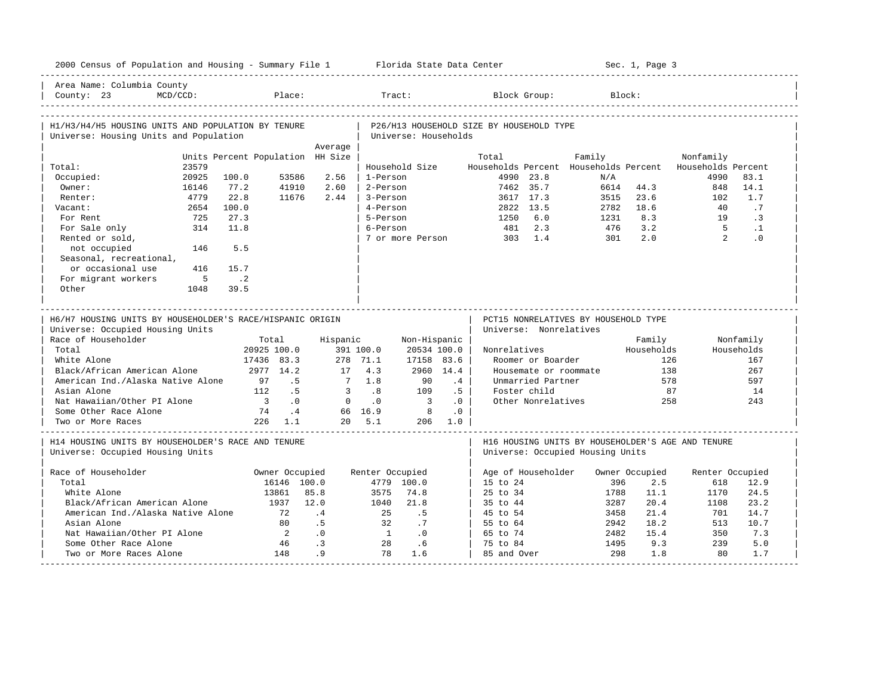| 2000 Census of Population and Housing - Summary File 1 Florida State Data Center              |                |                            |                      |                                  |                             |                         |           |                                           |                        |                                      |              | Sec. 1, Page 3        |                                                                  |                 |
|-----------------------------------------------------------------------------------------------|----------------|----------------------------|----------------------|----------------------------------|-----------------------------|-------------------------|-----------|-------------------------------------------|------------------------|--------------------------------------|--------------|-----------------------|------------------------------------------------------------------|-----------------|
| Area Name: Columbia County<br>$MCD/CCD$ :<br>County: $23$                                     |                |                            | Place:               |                                  |                             | Tract:                  |           |                                           | Block Group:           |                                      | Block:       |                       |                                                                  |                 |
| H1/H3/H4/H5 HOUSING UNITS AND POPULATION BY TENURE<br>Universe: Housing Units and Population  |                |                            |                      |                                  |                             | Universe: Households    |           | P26/H13 HOUSEHOLD SIZE BY HOUSEHOLD TYPE  |                        |                                      |              |                       |                                                                  |                 |
|                                                                                               |                |                            |                      | Average                          |                             |                         |           |                                           |                        |                                      |              |                       |                                                                  |                 |
|                                                                                               |                |                            |                      | Units Percent Population HH Size |                             |                         |           | Total                                     |                        | Family                               |              |                       | Nonfamily                                                        |                 |
| Total:<br>Occupied:                                                                           | 23579<br>20925 | 100.0                      | 53586                | 2.56                             | 1-Person                    | Household Size          |           |                                           | 4990 23.8              | N/A                                  |              |                       | Households Percent Households Percent Households Percent<br>4990 | 83.1            |
| Owner:                                                                                        |                | 77.2                       | 41910                | 2.60                             | 2-Person                    |                         |           |                                           | 7462 35.7              |                                      | 6614         |                       | 848                                                              | 14.1            |
| Renter:                                                                                       | 16146<br>4779  | 22.8                       | 11676                | 2.44                             | 3-Person                    |                         |           |                                           | 3617 17.3              |                                      | 3515         | 44.3<br>23.6          | 102                                                              | 1.7             |
|                                                                                               | 2654           | 100.0                      |                      |                                  | 4-Person                    |                         |           |                                           | 2822 13.5              |                                      | 2782         | 18.6                  | 40                                                               | .7              |
| Vacant:                                                                                       |                |                            |                      |                                  | 5-Person                    |                         |           |                                           |                        |                                      |              | 8.3                   | 19                                                               |                 |
| For Rent                                                                                      | 725<br>314     | 27.3                       |                      |                                  | 6-Person                    |                         |           | 1250<br>481                               | 6.0<br>2.3             | 476                                  | 1231         | 3.2                   | $5^{\circ}$                                                      | $\cdot$ 3       |
| For Sale only<br>Rented or sold,                                                              |                | 11.8                       |                      |                                  |                             | 7 or more Person        |           | 303                                       | 1.4                    |                                      | 301          | 2.0                   | $\overline{2}$                                                   | $\cdot$ 1<br>.0 |
| not occupied                                                                                  | 146            | 5.5                        |                      |                                  |                             |                         |           |                                           |                        |                                      |              |                       |                                                                  |                 |
| Seasonal, recreational,                                                                       |                |                            |                      |                                  |                             |                         |           |                                           |                        |                                      |              |                       |                                                                  |                 |
| or occasional use                                                                             | 416            | 15.7                       |                      |                                  |                             |                         |           |                                           |                        |                                      |              |                       |                                                                  |                 |
| For migrant workers                                                                           | $5^{\circ}$    | $\cdot$ . 2                |                      |                                  |                             |                         |           |                                           |                        |                                      |              |                       |                                                                  |                 |
| Other                                                                                         | 1048           | 39.5                       |                      |                                  |                             |                         |           |                                           |                        |                                      |              |                       |                                                                  |                 |
|                                                                                               |                |                            |                      |                                  |                             |                         |           |                                           |                        |                                      |              |                       |                                                                  |                 |
|                                                                                               |                |                            |                      |                                  |                             |                         |           |                                           |                        |                                      |              |                       |                                                                  |                 |
| H6/H7 HOUSING UNITS BY HOUSEHOLDER'S RACE/HISPANIC ORIGIN<br>Universe: Occupied Housing Units |                |                            |                      |                                  |                             |                         |           |                                           | Universe: Nonrelatives | PCT15 NONRELATIVES BY HOUSEHOLD TYPE |              |                       |                                                                  |                 |
| Race of Householder                                                                           |                |                            | Total                | Hispanic                         |                             | Non-Hispanic            |           |                                           |                        |                                      |              | Family                |                                                                  | Nonfamily       |
| Total                                                                                         |                |                            | 20925 100.0          |                                  | 391 100.0                   | 20534 100.0             |           | Nonrelatives                              |                        |                                      |              | Households            |                                                                  | Households      |
| White Alone                                                                                   |                |                            | 17436 83.3           |                                  | 278 71.1                    | 17158 83.6              |           |                                           | Roomer or Boarder      |                                      |              | 126                   |                                                                  | 167             |
| Black/African American Alone                                                                  |                |                            | 2977 14.2            | 17                               | 4.3                         |                         | 2960 14.4 |                                           |                        | Housemate or roommate                |              | 138                   |                                                                  | 267             |
| American Ind./Alaska Native Alone                                                             |                | 97                         | .5                   | $\overline{7}$                   | 1.8                         | 90                      | .4        |                                           | Unmarried Partner      |                                      |              | 578                   |                                                                  | 597             |
| Asian Alone                                                                                   |                | 112                        | .5                   | $\overline{3}$                   | $\overline{\phantom{0}}$ .8 | 109                     | .5        |                                           | Foster child           |                                      |              | 87                    |                                                                  | 14              |
| Nat Hawaiian/Other PI Alone                                                                   |                | $\overline{\phantom{a}}$ 3 | $\overline{0}$       | $\mathbf{0}$                     | $\cdot$ 0                   | $\overline{\mathbf{3}}$ | .0        |                                           | Other Nonrelatives     |                                      |              | 258                   |                                                                  | 243             |
| Some Other Race Alone                                                                         |                | 74                         | $\cdot$ 4            |                                  | 66 16.9                     | 8                       | $\cdot$ 0 |                                           |                        |                                      |              |                       |                                                                  |                 |
| Two or More Races                                                                             |                |                            | 226 1.1              |                                  | $20 \quad 5.1$              |                         | 206 1.0   |                                           |                        |                                      |              |                       |                                                                  |                 |
| H14 HOUSING UNITS BY HOUSEHOLDER'S RACE AND TENURE<br>Universe: Occupied Housing Units        |                |                            |                      |                                  |                             |                         |           |                                           |                        | Universe: Occupied Housing Units     |              |                       | H16 HOUSING UNITS BY HOUSEHOLDER'S AGE AND TENURE                |                 |
| Race of Householder                                                                           |                |                            |                      |                                  |                             |                         |           |                                           |                        |                                      |              |                       |                                                                  |                 |
| Total                                                                                         |                |                            | Owner Occupied       |                                  | Renter Occupied             |                         |           | Age of Householder<br>$15 \text{ to } 24$ |                        |                                      | 396          | Owner Occupied<br>2.5 | Renter Occupied                                                  |                 |
| White Alone                                                                                   |                |                            | 16146 100.0<br>13861 | 85.8                             | 3575                        | 4779 100.0<br>74.8      |           | $25 \text{ to } 34$                       |                        |                                      | 1788         | 11.1                  | 618<br>1170                                                      | 12.9<br>24.5    |
| Black/African American Alone                                                                  |                |                            |                      | 12.0                             | 1040                        | 21.8                    |           |                                           |                        |                                      | 3287         |                       |                                                                  |                 |
|                                                                                               |                |                            | 1937<br>72           | .4                               | 25                          | .5                      |           | 35 to 44<br>45 to 54                      |                        |                                      | 3458         | 20.4                  | 1108<br>701                                                      | 23.2            |
| American Ind./Alaska Native Alone                                                             |                |                            | 80                   |                                  |                             |                         |           |                                           |                        |                                      |              | 21.4                  | 513                                                              | 14.7            |
| Asian Alone                                                                                   |                |                            |                      | .5                               | 32<br>$\sim$ 1              | $\cdot$ 7               |           | 55 to 64                                  |                        |                                      | 2942         | 18.2                  |                                                                  | 10.7            |
| Nat Hawaiian/Other PI Alone<br>Some Other Race Alone                                          |                |                            | $\overline{2}$<br>46 | .0<br>$\cdot$ 3                  | 28                          | .0                      |           | 65 to 74<br>75 to 84                      |                        |                                      | 2482<br>1495 | 15.4<br>9.3           | 350<br>239                                                       | 7.3<br>5.0      |
| Two or More Races Alone                                                                       |                |                            | 148                  | .9                               | 78                          | .6<br>1.6               |           | 85 and Over                               |                        |                                      | 298          | 1.8                   | 80                                                               | 1.7             |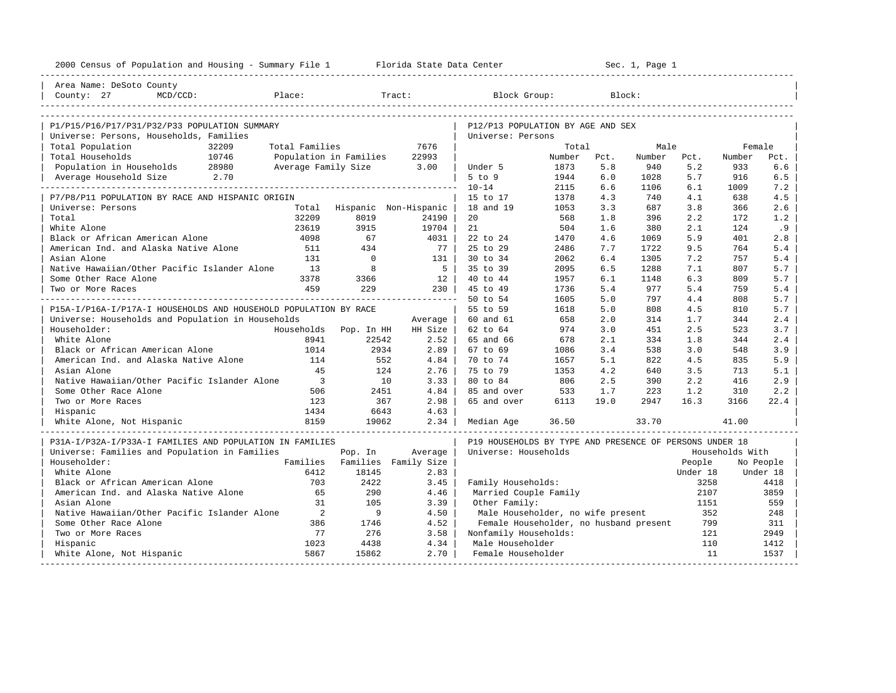| 2000 Census of Population and Housing - Summary File 1 Florida State Data Center |                          |          |                               | --------------------------------------                  |        |      | Sec. 1, Page 1 |          |                 |           |
|----------------------------------------------------------------------------------|--------------------------|----------|-------------------------------|---------------------------------------------------------|--------|------|----------------|----------|-----------------|-----------|
| Area Name: DeSoto County                                                         |                          |          |                               |                                                         |        |      |                |          |                 |           |
| County: 27<br>$MCD/CCD$ :                                                        | Place:                   |          | Tract:                        | Block Group:                                            |        |      | Block:         |          |                 |           |
|                                                                                  |                          |          |                               |                                                         |        |      |                |          |                 |           |
| P1/P15/P16/P17/P31/P32/P33 POPULATION SUMMARY                                    |                          |          |                               | P12/P13 POPULATION BY AGE AND SEX                       |        |      |                |          |                 |           |
| Universe: Persons, Households, Families                                          |                          |          |                               | Universe: Persons                                       |        |      |                |          |                 |           |
| Total Population<br>32209                                                        | Total Families           |          | 7676                          |                                                         | Total  |      | Male           |          | Female          |           |
| 10746<br>Total Households                                                        | Population in Families   |          | 22993                         |                                                         | Number | Pct. | Number         | Pct.     | Number          | Pct.      |
| Population in Households 28980                                                   | Average Family Size      |          | 3.00                          | Under 5                                                 | 1873   | 5.8  | 940            | 5.2      | 933             | 6.6       |
| 2.70<br>Average Household Size                                                   |                          |          |                               | $5$ to $9$                                              | 1944   | 6.0  | 1028           | 5.7      | 916             | 6.5       |
|                                                                                  |                          |          |                               | $10 - 14$                                               | 2115   | 6.6  | 1106           | 6.1      | 1009            | 7.2       |
| P7/P8/P11 POPULATION BY RACE AND HISPANIC ORIGIN                                 |                          |          |                               | 15 to 17                                                | 1378   | 4.3  | 740            | 4.1      | 638             | 4.5       |
| Universe: Persons                                                                | Total                    |          | Hispanic Non-Hispanic         | 18 and 19                                               | 1053   | 3.3  | 687            | 3.8      | 366             | 2.6       |
| Total                                                                            | 32209                    | 8019     | 24190                         | 20                                                      | 568    | 1.8  | 396            | 2.2      | 172             | 1.2       |
| White Alone                                                                      | 23619                    | 3915     | 19704                         | 21                                                      | 504    | 1.6  | 380            | 2.1      | 124             | .9        |
| Black or African American Alone                                                  | 4098                     | 67       | 4031                          | 22 to 24                                                | 1470   | 4.6  | 1069           | 5.9      | 401             | 2.8       |
| American Ind. and Alaska Native Alone                                            | 511                      | 434      | 77 I                          | 25 to 29                                                | 2486   | 7.7  | 1722           | 9.5      | 764             | 5.4       |
| Asian Alone                                                                      | 131                      | $\Omega$ | $131 \quad  $                 | 30 to 34                                                | 2062   | 6.4  | 1305           | 7.2      | 757             | 5.4       |
| Native Hawaiian/Other Pacific Islander Alone                                     | 13                       | 8        | 5 <sub>1</sub>                | 35 to 39                                                | 2095   | 6.5  | 1288           | 7.1      | 807             | 5.7       |
| Some Other Race Alone                                                            | 3378                     | 3366     | 12                            | 40 to 44                                                | 1957   | 6.1  | 1148           | 6.3      | 809             | 5.7       |
| Two or More Races                                                                | 459                      | 229      | $230$                         | 45 to 49                                                | 1736   | 5.4  | 977            | 5.4      | 759             | 5.4       |
|                                                                                  |                          |          | -----------------------       | 50 to 54                                                | 1605   | 5.0  | 797            | 4.4      | 808             | 5.7       |
| P15A-I/P16A-I/P17A-I HOUSEHOLDS AND HOUSEHOLD POPULATION BY RACE                 |                          |          |                               | 55 to 59                                                | 1618   | 5.0  | 808            | 4.5      | 810             | 5.7       |
| Universe: Households and Population in Households                                |                          |          | Average                       | 60 and 61                                               | 658    | 2.0  | 314            | 1.7      | 344             | 2.4       |
| Householder:                                                                     | Households Pop. In HH    |          | HH Size                       | 62 to 64                                                | 974    | 3.0  | 451            | 2.5      | 523             | 3.7       |
| White Alone                                                                      | 8941                     | 22542    | $2.52$                        | 65 and 66                                               | 678    | 2.1  | 334            | 1.8      | 344             | 2.4       |
| Black or African American Alone                                                  | 1014                     | 2934     | $2.89$                        | 67 to 69                                                | 1086   | 3.4  | 538            | 3.0      | 548             | 3.9       |
| American Ind. and Alaska Native Alone                                            | 114                      | 552      | 4.84                          | 70 to 74                                                | 1657   | 5.1  | 822            | 4.5      | 835             | 5.9       |
| Asian Alone                                                                      | 45                       | 124      | 2.76                          | 75 to 79                                                | 1353   | 4.2  | 640            | 3.5      | 713             | 5.1       |
| Native Hawaiian/Other Pacific Islander Alone                                     | $\overline{\phantom{a}}$ | 10       | 3.33                          | 80 to 84                                                | 806    | 2.5  | 390            | 2.2      | 416             | 2.9       |
| Some Other Race Alone                                                            | 506                      | 2451     | 4.84                          | 85 and over                                             | 533    | 1.7  | 223            | 1.2      | 310             | 2.2       |
| Two or More Races                                                                | 123                      | 367      | 2.98                          | 65 and over                                             | 6113   | 19.0 | 2947           | 16.3     | 3166            | 22.4      |
| Hispanic                                                                         | 1434                     | 6643     | 4.63                          |                                                         |        |      |                |          |                 |           |
| White Alone, Not Hispanic                                                        | 8159                     | 19062    | 2.34                          | Median Age                                              | 36.50  |      | 33.70          |          | 41.00           |           |
| P31A-I/P32A-I/P33A-I FAMILIES AND POPULATION IN FAMILIES                         |                          |          |                               | P19 HOUSEHOLDS BY TYPE AND PRESENCE OF PERSONS UNDER 18 |        |      |                |          |                 |           |
| Universe: Families and Population in Families                                    |                          | Pop. In  | Average                       | Universe: Households                                    |        |      |                |          | Households With |           |
| Householder:                                                                     |                          |          | Families Families Family Size |                                                         |        |      |                | People   |                 | No People |
| White Alone                                                                      | 6412                     | 18145    | 2.83                          |                                                         |        |      |                | Under 18 |                 | Under 18  |
| Black or African American Alone                                                  | 703                      | 2422     | 3.45                          | Family Households:                                      |        |      |                | 3258     |                 | 4418      |
| American Ind. and Alaska Native Alone                                            | 65                       | 290      | 4.46                          | Married Couple Family                                   |        |      |                | 2107     |                 | 3859      |
| Asian Alone                                                                      | 31                       | 105      | 3.39                          | Other Family:                                           |        |      |                | 1151     |                 | 559       |
| Native Hawaiian/Other Pacific Islander Alone                                     | 2                        | 9        | 4.50                          | Male Householder, no wife present                       |        |      |                | 352      |                 | 248       |
| Some Other Race Alone                                                            | 386                      | 1746     | 4.52                          | Female Householder, no husband present                  |        |      |                | 799      |                 | 311       |
| Two or More Races                                                                | 77                       | 276      | 3.58                          | Nonfamily Households:                                   |        |      |                | 121      |                 | 2949      |
| Hispanic                                                                         | 1023                     | 4438     | 4.34                          | Male Householder                                        |        |      |                | 110      |                 | 1412      |
| White Alone, Not Hispanic                                                        | 5867                     | 15862    | $2.70$                        | Female Householder                                      |        |      |                | 11       |                 | 1537      |
|                                                                                  |                          |          |                               |                                                         |        |      |                |          |                 |           |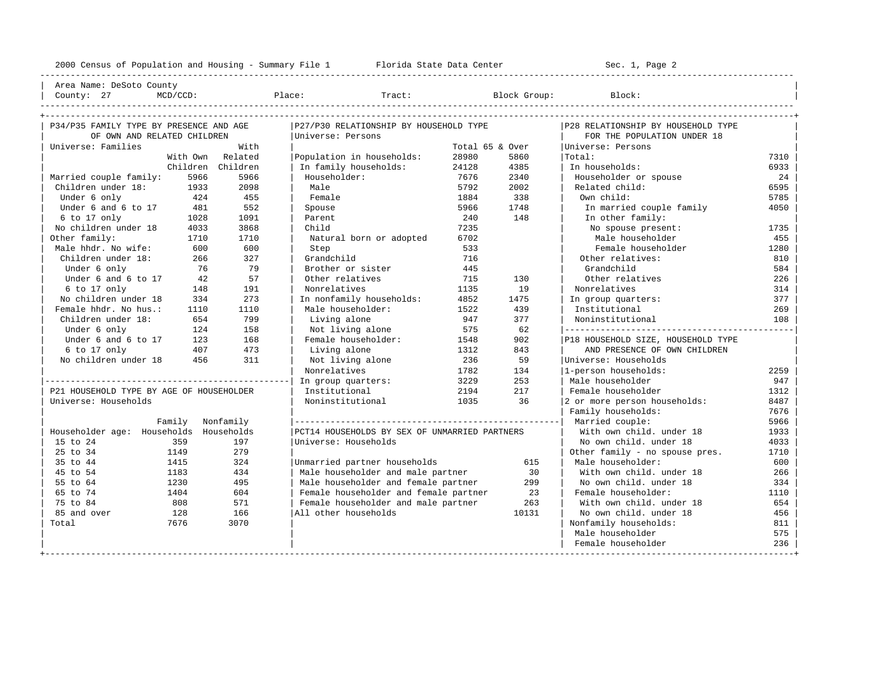----------------------------------------------------------------------------------------------------------------------------------------------------

| Area Name: DeSoto County | | County: 27 MCD/CCD: Place: Tract: Block Group: Block: |

| P34/P35 FAMILY TYPE BY PRESENCE AND AGE  |         | P27/P30 RELATIONSHIP BY HOUSEHOLD TYPE        |                 |       | P28 RELATIONSHIP BY HOUSEHOLD TYPE |      |
|------------------------------------------|---------|-----------------------------------------------|-----------------|-------|------------------------------------|------|
| OF OWN AND RELATED CHILDREN              |         | Universe: Persons                             |                 |       | FOR THE POPULATION UNDER 18        |      |
| Universe: Families                       | With    |                                               | Total 65 & Over |       | Universe: Persons                  |      |
| With Own                                 | Related | Population in households:                     | 28980           | 5860  | Total:                             | 7310 |
| Children Children                        |         | In family households:                         | 24128           | 4385  | In households:                     | 6933 |
| Married couple family:<br>5966           | 5966    | Householder:                                  | 7676            | 2340  | Householder or spouse              | 24   |
| Children under 18:<br>1933               | 2098    | Male                                          | 5792            | 2002  | Related child:                     | 6595 |
| Under 6 only<br>424                      | 455     | Female                                        | 1884            | 338   | Own child:                         | 5785 |
| Under 6 and 6 to 17<br>481               | 552     | Spouse                                        | 5966            | 1748  | In married couple family           | 4050 |
| 6 to 17 only<br>1028                     | 1091    | Parent                                        | 240             | 148   | In other family:                   |      |
| No children under 18<br>4033             | 3868    | Child                                         | 7235            |       | No spouse present:                 | 1735 |
| Other family:<br>1710                    | 1710    | Natural born or adopted                       | 6702            |       | Male householder                   | 455  |
| Male hhdr. No wife:<br>600               | 600     | Step                                          | 533             |       | Female householder                 | 1280 |
| Children under 18:<br>266                | 327     | Grandchild                                    | 716             |       | Other relatives:                   | 810  |
| Under 6 only<br>76                       | 79      | Brother or sister                             | 445             |       | Grandchild                         | 584  |
| Under 6 and 6 to 17<br>42                | 57      | Other relatives                               | 715             | 130   | Other relatives                    | 226  |
| 6 to 17 only<br>148                      | 191     | Nonrelatives                                  | 1135            | 19    | Nonrelatives                       | 314  |
| No children under 18<br>334              | 273     | In nonfamily households:                      | 4852            | 1475  | In group quarters:                 | 377  |
| Female hhdr. No hus.:<br>1110            | 1110    | Male householder:                             | 1522            | 439   | Institutional                      | 269  |
| Children under 18:<br>654                | 799     | Living alone                                  | 947             | 377   | Noninstitutional                   | 108  |
| Under 6 only<br>124                      | 158     | Not living alone                              | 575             | 62    |                                    |      |
| Under 6 and 6 to 17<br>123               | 168     | Female householder:                           | 1548            | 902   | P18 HOUSEHOLD SIZE, HOUSEHOLD TYPE |      |
| $6$ to 17 only<br>407                    | 473     | Living alone                                  | 1312            | 843   | AND PRESENCE OF OWN CHILDREN       |      |
| 456<br>No children under 18              | 311     | Not living alone                              | 236             | 59    | Universe: Households               |      |
|                                          |         | Nonrelatives                                  | 1782            | 134   | l1-person households:              | 2259 |
|                                          |         | In group quarters:                            | 3229            | 253   | Male householder                   | 947  |
| P21 HOUSEHOLD TYPE BY AGE OF HOUSEHOLDER |         | Institutional                                 | 2194            | 217   | Female householder                 | 1312 |
| Universe: Households                     |         | Noninstitutional                              | 1035            | 36    | 2 or more person households:       | 8487 |
|                                          |         |                                               |                 |       | Family households:                 | 7676 |
| Family Nonfamily                         |         |                                               |                 |       |                                    | 5966 |
| Householder age: Households Households   |         | PCT14 HOUSEHOLDS BY SEX OF UNMARRIED PARTNERS |                 |       | With own child, under 18           | 1933 |
| 15 to 24<br>359                          | 197     | Universe: Households                          |                 |       | No own child. under 18             | 4033 |
| 25 to 34<br>1149                         | 279     |                                               |                 |       | Other family - no spouse pres.     | 1710 |
| 35 to 44<br>1415                         | 324     | Unmarried partner households                  |                 | 615   | Male householder:                  | 600  |
| 45 to 54<br>1183                         | 434     | Male householder and male partner             |                 | 30    | With own child, under 18           | 266  |
| 55 to 64<br>1230                         | 495     | Male householder and female partner           |                 | 299   | No own child. under 18             | 334  |
| 65 to 74<br>1404                         | 604     | Female householder and female partner         |                 | 23    | Female householder:                | 1110 |
| 75 to 84<br>808                          | 571     | Female householder and male partner           |                 | 263   | With own child, under 18           | 654  |
| 85 and over<br>128                       | 166     | All other households                          |                 | 10131 | No own child, under 18             | 456  |
| Total<br>7676                            | 3070    |                                               |                 |       | Nonfamily households:              | 811  |
|                                          |         |                                               |                 |       | Male householder                   | 575  |
|                                          |         |                                               |                 |       | Female householder                 | 236  |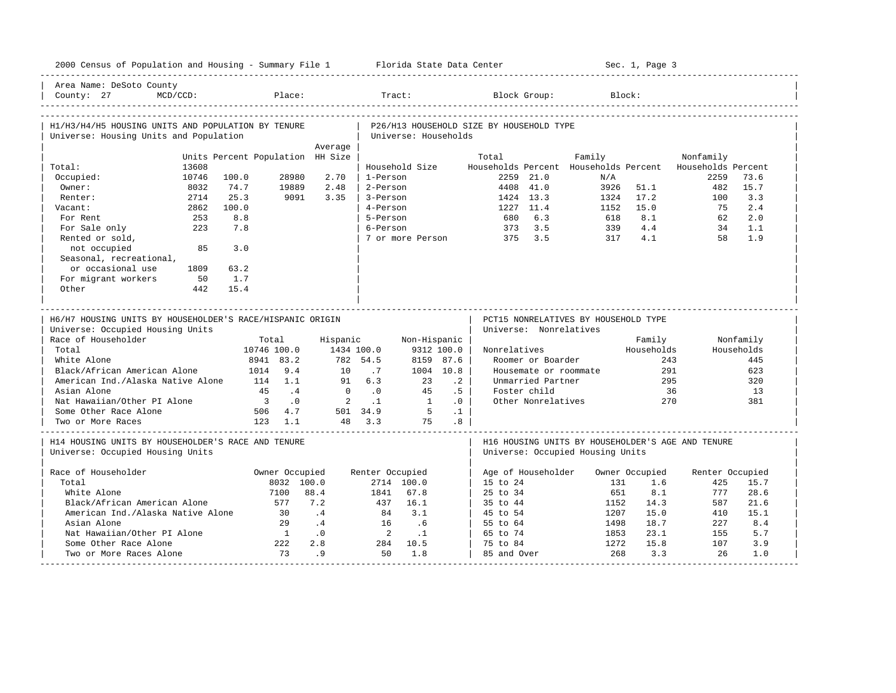| 2000 Census of Population and Housing - Summary File 1 Florida State Data Center              |                                  |                        |                            |                         |           |                                          |                        |                                                                                       | Sec. 1, Page 3    |                    |                   |
|-----------------------------------------------------------------------------------------------|----------------------------------|------------------------|----------------------------|-------------------------|-----------|------------------------------------------|------------------------|---------------------------------------------------------------------------------------|-------------------|--------------------|-------------------|
| Area Name: DeSoto County<br>County: 27<br>$MCD/CCD$ :                                         | Place:                           |                        | Tract:                     |                         |           |                                          | Block Group:           |                                                                                       | Block:            |                    |                   |
| H1/H3/H4/H5 HOUSING UNITS AND POPULATION BY TENURE<br>Universe: Housing Units and Population  |                                  |                        | Universe: Households       |                         |           | P26/H13 HOUSEHOLD SIZE BY HOUSEHOLD TYPE |                        |                                                                                       |                   |                    |                   |
|                                                                                               |                                  | Average                |                            |                         |           |                                          |                        |                                                                                       |                   |                    |                   |
|                                                                                               | Units Percent Population HH Size |                        |                            |                         |           | Total                                    |                        | Family                                                                                |                   | Nonfamily          |                   |
| Total:<br>13608                                                                               |                                  |                        | Household Size             |                         |           |                                          |                        | Households Percent Households Percent                                                 |                   | Households Percent |                   |
| Occupied:<br>10746                                                                            | 28980<br>100.0                   | 2.70                   | 1-Person                   |                         |           |                                          | $2259$ $21.0$          | N/A                                                                                   |                   | 2259               | 73.6              |
| Owner:<br>8032                                                                                | 74.7<br>19889                    | 2.48                   | 2-Person                   |                         |           |                                          | 4408 41.0              | 3926                                                                                  | 51.1              | 482                | 15.7              |
| 2714<br>Renter:                                                                               | 25.3<br>9091                     | 3.35                   | 3-Person                   |                         |           |                                          | 1424 13.3              | 1324                                                                                  | 17.2              | 100                | 3.3<br>2.4        |
| Vacant:<br>2862                                                                               | 100.0                            |                        | 4-Person                   |                         |           |                                          | 1227 11.4              | 1152                                                                                  | 15.0<br>8.1       | 75                 |                   |
| For Rent<br>253                                                                               | 8.8                              |                        | 5-Person                   |                         |           | 680                                      | 6.3                    | 618                                                                                   |                   | 62                 | 2.0               |
| 223<br>For Sale only                                                                          | 7.8                              |                        | 6-Person                   |                         |           | 373<br>375                               | 3.5<br>3.5             | 339<br>317                                                                            | 4.4<br>4.1        | 34<br>58           | 1.1<br>1.9        |
| Rented or sold,<br>not occupied<br>85<br>Seasonal, recreational,                              | 3.0                              |                        | 7 or more Person           |                         |           |                                          |                        |                                                                                       |                   |                    |                   |
| or occasional use<br>1809                                                                     | 63.2                             |                        |                            |                         |           |                                          |                        |                                                                                       |                   |                    |                   |
| For migrant workers<br>50                                                                     | 1.7                              |                        |                            |                         |           |                                          |                        |                                                                                       |                   |                    |                   |
| Other<br>442                                                                                  | 15.4                             |                        |                            |                         |           |                                          |                        |                                                                                       |                   |                    |                   |
| H6/H7 HOUSING UNITS BY HOUSEHOLDER'S RACE/HISPANIC ORIGIN<br>Universe: Occupied Housing Units |                                  |                        |                            |                         |           |                                          | Universe: Nonrelatives | PCT15 NONRELATIVES BY HOUSEHOLD TYPE                                                  |                   |                    |                   |
| Race of Householder                                                                           | Total                            | Hispanic               |                            | Non-Hispanic            |           |                                          |                        |                                                                                       | Family            |                    | Nonfamily         |
| Total<br>White Alone                                                                          | 10746 100.0<br>8941 83.2         | 1434 100.0<br>782 54.5 |                            | 9312 100.0<br>8159 87.6 |           | Nonrelatives                             | Roomer or Boarder      |                                                                                       | Households<br>243 |                    | Households<br>445 |
| Black/African American Alone                                                                  | 9.4<br>1014                      | 10                     | .7                         | 1004 10.8               |           |                                          | Housemate or roommate  |                                                                                       | 291               |                    | 623               |
| American Ind./Alaska Native Alone                                                             | 114 1.1                          | 91                     | 6.3                        | 23                      | $\cdot$ 2 |                                          | Unmarried Partner      |                                                                                       | 295               |                    | 320               |
| Asian Alone                                                                                   | $\cdot$ 4<br>45                  | $\overline{0}$         | $\cdot$ 0                  | 45                      | .5        |                                          | Foster child           |                                                                                       | 36                |                    | 13                |
| Nat Hawaiian/Other PI Alone                                                                   | $\overline{\phantom{a}}$<br>.0   | 2                      | $\cdot$ 1                  | $\overline{1}$          | .0        |                                          | Other Nonrelatives     |                                                                                       | 270               |                    | 381               |
| Some Other Race Alone                                                                         | 506 4.7                          | 501 34.9               |                            | $5^{\circ}$             | $\cdot$ 1 |                                          |                        |                                                                                       |                   |                    |                   |
| Two or More Races                                                                             | $123 \quad 1.1$                  | 48 3.3                 |                            | 75                      | .8        |                                          |                        |                                                                                       |                   |                    |                   |
| H14 HOUSING UNITS BY HOUSEHOLDER'S RACE AND TENURE<br>Universe: Occupied Housing Units        |                                  |                        |                            |                         |           |                                          |                        | H16 HOUSING UNITS BY HOUSEHOLDER'S AGE AND TENURE<br>Universe: Occupied Housing Units |                   |                    |                   |
| Race of Householder                                                                           | Owner Occupied                   |                        | Renter Occupied            |                         |           |                                          | Age of Householder     |                                                                                       | Owner Occupied    | Renter Occupied    |                   |
| Total                                                                                         | 8032 100.0                       |                        | 2714 100.0                 |                         |           | 15 to 24                                 |                        | 131                                                                                   | 1.6               | 425                | 15.7              |
| White Alone                                                                                   | 7100                             | 88.4                   | 1841                       | 67.8                    |           | 25 to 34                                 |                        | 651                                                                                   | 8.1               | 777                | 28.6              |
| Black/African American Alone                                                                  | 577                              | 7.2                    | 437                        | 16.1                    |           | 35 to 44                                 |                        | 1152                                                                                  | 14.3              | 587                | 21.6              |
| American Ind./Alaska Native Alone                                                             | 30                               | .4                     | 84                         | 3.1                     |           | 45 to 54                                 |                        | 1207                                                                                  | 15.0              | 410                | 15.1              |
| Asian Alone                                                                                   | 2.9                              | $\cdot$ 4              | 16                         | .6                      |           | 55 to 64                                 |                        | 1498                                                                                  | 18.7              | 227                | 8.4               |
| Nat Hawaiian/Other PI Alone                                                                   | $\overline{1}$                   | $\ddotsc 0$            | $\overline{\phantom{0}}^2$ | $\cdot$ 1               |           | 65 to 74                                 |                        | 1853                                                                                  | 23.1              | 155                | 5.7               |
| Some Other Race Alone                                                                         |                                  |                        |                            |                         |           |                                          |                        |                                                                                       |                   |                    |                   |
|                                                                                               | 222                              | 2.8                    | 284                        | 10.5                    |           | 75 to 84                                 |                        | 1272                                                                                  | 15.8              | 107                | 3.9               |
| Two or More Races Alone                                                                       | 73                               | .9                     | 50                         | 1.8                     |           | 85 and Over                              |                        | 268                                                                                   | 3.3               | 26                 | 1.0               |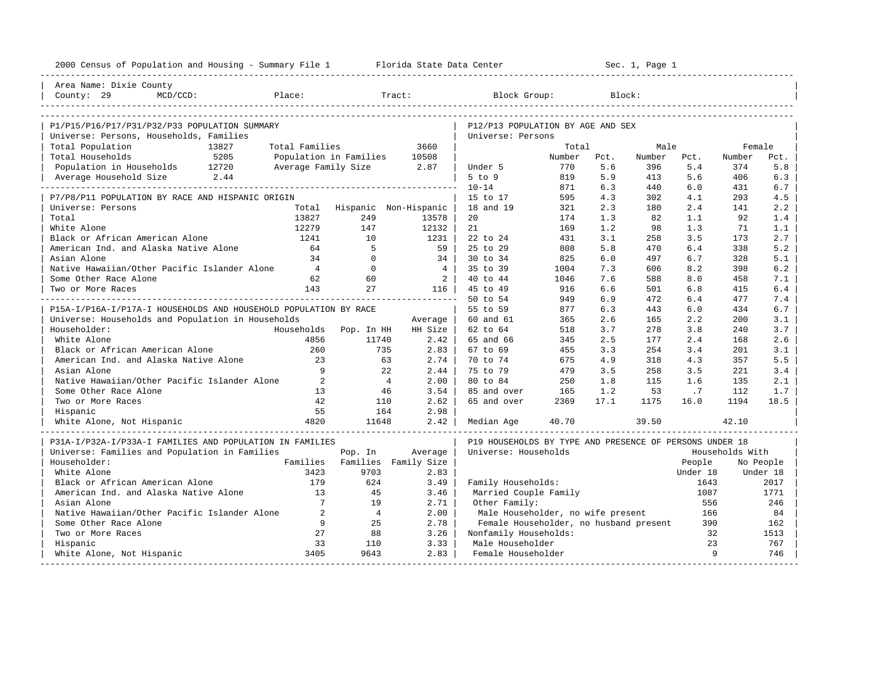| 2000 Census of Population and Housing - Summary File 1 Florida State Data Center |                 |                |                              |                                                         | Sec. 1, Page 1 |      |        |          |                 |           |
|----------------------------------------------------------------------------------|-----------------|----------------|------------------------------|---------------------------------------------------------|----------------|------|--------|----------|-----------------|-----------|
| Area Name: Dixie County                                                          |                 |                |                              |                                                         |                |      |        |          |                 |           |
| Place:<br>County: 29<br>$MCD/CCD$ :                                              |                 |                | Tract:                       | Block Group:                                            |                |      | Block: |          |                 |           |
| P1/P15/P16/P17/P31/P32/P33 POPULATION SUMMARY                                    |                 |                |                              | P12/P13 POPULATION BY AGE AND SEX                       |                |      |        |          |                 |           |
| Universe: Persons, Households, Families                                          |                 |                |                              | Universe: Persons                                       |                |      |        |          |                 |           |
| Total Population<br>13827                                                        | Total Families  |                | 3660                         |                                                         | Total          |      | Male   |          | Female          |           |
| Total Households<br>5205                                                         |                 |                | Population in Families 10508 |                                                         | Number         | Pct. | Number | Pct.     | Number          | Pct.      |
| Population in Households 12720                                                   |                 |                | Average Family Size 2.87     | Under 5                                                 | 770            | 5.6  | 396    | 5.4      | 374             | 5.8       |
| 2.44<br>Average Household Size                                                   |                 |                |                              | $5$ to $9$                                              | 819            | 5.9  | 413    | 5.6      | 406             | 6.3       |
|                                                                                  |                 |                |                              | $10 - 14$                                               | 871            | 6.3  | 440    | 6.0      | 431             | 6.7       |
| P7/P8/P11 POPULATION BY RACE AND HISPANIC ORIGIN                                 |                 |                |                              | 15 to 17                                                | 595            | 4.3  | 302    | 4.1      | 293             | 4.5       |
| Universe: Persons                                                                |                 |                | Total Hispanic Non-Hispanic  | 18 and 19                                               | 321            | 2.3  | 180    | 2.4      | 141             | 2.2       |
| Total                                                                            | 13827           | 249            | 13578                        | 20                                                      | 174            | 1.3  | 82     | 1.1      | 92              | 1.4       |
| White Alone                                                                      | 12279           | 147            | 12132                        | 21                                                      | 169            | 1.2  | 98     | 1.3      | 71              | 1.1       |
| Black or African American Alone                                                  | 1241            | 10             | 1231                         | 22 to 24                                                | 431            | 3.1  | 258    | 3.5      | 173             | 2.7       |
| American Ind. and Alaska Native Alone                                            | 64              | -5             | 59                           | 25 to 29                                                | 808            | 5.8  | 470    | 6.4      | 338             | 5.2       |
| Asian Alone                                                                      | 34              | $\Omega$       | 34 l                         | $30 \text{ to } 34$                                     | 825            | 6.0  | 497    | 6.7      | 328             | 5.1       |
| Native Hawaiian/Other Pacific Islander Alone                                     | 4               | $\overline{0}$ | 4                            | 35 to 39                                                | 1004           | 7.3  | 606    | 8.2      | 398             | 6.2       |
| Some Other Race Alone                                                            | 62              | 60             | $\overline{2}$               | 40 to 44                                                | 1046           | 7.6  | 588    | 8.0      | 458             | 7.1       |
| Two or More Races                                                                | 143             | 27             | 116 l                        | 45 to 49                                                | 916            | 6.6  | 501    | 6.8      | 415             | 6.4       |
|                                                                                  |                 |                | ----------------------       | 50 to 54                                                | 949            | 6.9  | 472    | 6.4      | 477             | 7.4       |
| P15A-I/P16A-I/P17A-I HOUSEHOLDS AND HOUSEHOLD POPULATION BY RACE                 |                 |                |                              | 55 to 59                                                | 877            | 6.3  | 443    | 6.0      | 434             | 6.7       |
| Universe: Households and Population in Households                                |                 |                | Average                      | 60 and 61                                               | 365            | 2.6  | 165    | 2.2      | 200             | 3.1       |
| Householder:                                                                     | Households      | Pop. In HH     | HH Size                      | 62 to 64                                                | 518            | 3.7  | 278    | 3.8      | 240             | 3.7       |
| White Alone                                                                      | 4856            | 11740          | 2.42                         | 65 and 66                                               | 345            | 2.5  | 177    | 2.4      | 168             | 2.6       |
| Black or African American Alone                                                  | 260             | 735            | 2.83                         | 67 to 69                                                | 455            | 3.3  | 254    | 3.4      | 201             | 3.1       |
| American Ind. and Alaska Native Alone                                            | 23              |                | 2.74<br>63                   | 70 to 74                                                | 675            | 4.9  | 318    | 4.3      | 357             | 5.5       |
| Asian Alone                                                                      | 9               |                | 22<br>2.44                   | 75 to 79                                                | 479            | 3.5  | 258    | 3.5      | 221             | 3.4       |
| Native Hawaiian/Other Pacific Islander Alone                                     | $\overline{2}$  | $\overline{4}$ | 2.00                         | 80 to 84                                                | 250            | 1.8  | 115    | 1.6      | 135             | 2.1       |
| Some Other Race Alone                                                            | 13              |                | 3.54<br>46                   | 85 and over                                             | 165            | 1.2  | 53     | .7       | 112             | 1.7       |
| Two or More Races                                                                | 42              | 110            | 2.62                         | 65 and over                                             | 2369           | 17.1 | 1175   | 16.0     | 1194            | 18.5      |
| Hispanic                                                                         | 55              | 164            | 2.98                         |                                                         |                |      |        |          |                 |           |
| White Alone, Not Hispanic                                                        | 4820            | 11648          | 2.42                         | Median Age                                              | 40.70          |      | 39.50  |          | 42.10           |           |
| P31A-I/P32A-I/P33A-I FAMILIES AND POPULATION IN FAMILIES                         |                 |                |                              | P19 HOUSEHOLDS BY TYPE AND PRESENCE OF PERSONS UNDER 18 |                |      |        |          |                 |           |
| Universe: Families and Population in Families                                    |                 | Pop. In        | Average                      | Universe: Households                                    |                |      |        |          | Households With |           |
| Householder:                                                                     | Families        |                | Families Family Size         |                                                         |                |      |        | People   |                 | No People |
| White Alone                                                                      | 3423            | 9703           | 2.83                         |                                                         |                |      |        | Under 18 |                 | Under 18  |
| Black or African American Alone                                                  | 179             | 624            | 3.49                         | Family Households:                                      |                |      |        | 1643     |                 | 2017      |
| American Ind. and Alaska Native Alone                                            | 13              | 45             | 3.46                         | Married Couple Family                                   |                |      |        | 1087     |                 | 1771      |
| Asian Alone                                                                      | $7\phantom{.0}$ | 19             | 2.71                         | Other Family:                                           |                |      |        | 556      |                 | 246       |
| Native Hawaiian/Other Pacific Islander Alone                                     | 2               | $\overline{4}$ | 2.00                         | Male Householder, no wife present                       |                |      |        | 166      |                 | 84        |
| Some Other Race Alone                                                            | 9               | 25             | 2.78                         | Female Householder, no husband present                  |                |      |        | 390      |                 | 162       |
| Two or More Races                                                                | 27              | 88             | 3.26                         | Nonfamily Households:                                   |                |      |        | 32       |                 | 1513      |
| Hispanic                                                                         | 33              | 110            | 3.33                         | Male Householder                                        |                |      |        | 23       |                 | 767       |
| White Alone, Not Hispanic                                                        | 3405            | 9643           | 2.83                         | Female Householder                                      |                |      |        | 9        |                 | 746       |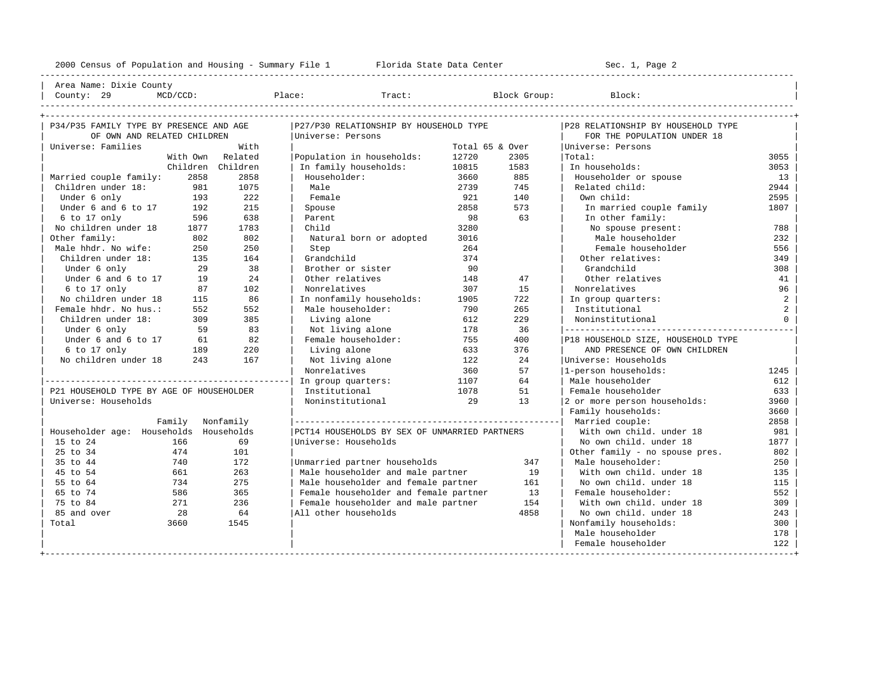| Area Name: Dixie County | | County: 29 MCD/CCD: Place: Tract: Block Group: Block: |

----------------------------------------------------------------------------------------------------------------------------------------------------

| P34/P35 FAMILY TYPE BY PRESENCE AND AGE  |                  | P27/P30 RELATIONSHIP BY HOUSEHOLD TYPE |                                               | P28 RELATIONSHIP BY HOUSEHOLD TYPE |      |                                    |                |
|------------------------------------------|------------------|----------------------------------------|-----------------------------------------------|------------------------------------|------|------------------------------------|----------------|
| OF OWN AND RELATED CHILDREN              |                  |                                        | Universe: Persons                             |                                    |      | FOR THE POPULATION UNDER 18        |                |
| Universe: Families                       |                  | With                                   |                                               | Total 65 & Over                    |      | Universe: Persons                  |                |
|                                          |                  | With Own Related                       | Population in households:                     | 12720                              | 2305 | Total:                             | 3055           |
|                                          |                  | Children Children                      | In family households:                         | 10815                              | 1583 | In households:                     | 3053           |
| Married couple family:                   | 2858             | 2858                                   | Householder:                                  | 3660                               | 885  | Householder or spouse              | 13             |
| Children under 18:                       | 981              | 1075                                   | Male                                          | 2739                               | 745  | Related child:                     | 2944           |
| Under 6 only                             | 193              | 222                                    | Female                                        | 921                                | 140  | Own child:                         | 2595           |
| Under 6 and 6 to 17                      | 192              | 215                                    | Spouse                                        | 2858                               | 573  | In married couple family           | 1807           |
| 6 to 17 only                             | 596              | 638                                    | Parent                                        | 98                                 | 63   | In other family:                   |                |
| No children under 18                     | 1877             | 1783                                   | Child                                         | 3280                               |      | No spouse present:                 | 788            |
| Other family:                            | 802              | 802                                    | Natural born or adopted                       | 3016                               |      | Male householder                   | 232            |
| Male hhdr. No wife:                      | 250              | 250                                    | Step                                          | 264                                |      | Female householder                 | 556            |
| Children under 18:                       | 135              | 164                                    | Grandchild                                    | 374                                |      | Other relatives:                   | 349            |
| Under 6 only                             | 29               | 38                                     | Brother or sister                             | 90                                 |      | Grandchild                         | 308            |
| Under 6 and 6 to 17                      | 19               | 24                                     | Other relatives                               | 148                                | 47   | Other relatives                    | 41             |
| 6 to 17 only                             | 87               | 102                                    | Nonrelatives                                  | 307                                | 15   | Nonrelatives                       | 96             |
| No children under 18                     | 115              | 86                                     | In nonfamily households:                      | 1905                               | 722  | In group quarters:                 | $\overline{a}$ |
| Female hhdr. No hus.:                    | 552              | 552                                    | Male householder:                             | 790                                | 265  | Institutional                      | 2              |
| Children under 18:                       | 309              | 385                                    | Living alone                                  | 612                                | 229  | Noninstitutional                   | $\Omega$       |
| Under 6 only                             | 59               | 83                                     | Not living alone                              | 178                                | 36   |                                    |                |
| Under 6 and 6 to 17                      | 61               | 82                                     | Female householder:                           | 755                                | 400  | P18 HOUSEHOLD SIZE, HOUSEHOLD TYPE |                |
| 6 to 17 only                             | 189              | 220                                    | Living alone                                  | 633                                | 376  | AND PRESENCE OF OWN CHILDREN       |                |
| No children under 18                     | 243              | 167                                    | Not living alone                              | 122                                | 2.4  | Universe: Households               |                |
|                                          |                  |                                        | Nonrelatives                                  | 360                                | 57   | 1-person households:               | 1245           |
|                                          |                  |                                        | In group quarters:                            | 1107                               | 64   | Male householder                   | 612            |
| P21 HOUSEHOLD TYPE BY AGE OF HOUSEHOLDER |                  |                                        | Institutional                                 | 1078                               | 51   | Female householder                 | 633            |
| Universe: Households                     |                  |                                        | Noninstitutional                              | 29                                 | 13   | 2 or more person households:       | 3960           |
|                                          |                  |                                        |                                               |                                    |      | Family households:                 | 3660           |
|                                          | Family Nonfamily |                                        |                                               |                                    |      |                                    | 2858           |
| Householder age: Households Households   |                  |                                        | PCT14 HOUSEHOLDS BY SEX OF UNMARRIED PARTNERS |                                    |      | With own child, under 18           | 981            |
| 15 to 24                                 | 166              | 69                                     | Universe: Households                          |                                    |      | No own child, under 18             | 1877           |
| 25 to 34                                 | 474              | 101                                    |                                               |                                    |      | Other family - no spouse pres.     | 802            |
| 35 to 44                                 | 740              | 172                                    | Unmarried partner households                  |                                    | 347  | Male householder:                  | 250            |
| 45 to 54                                 | 661              | 263                                    | Male householder and male partner             |                                    | 19   | With own child, under 18           | 135            |
| 55 to 64                                 | 734              | 275                                    | Male householder and female partner           |                                    | 161  | No own child, under 18             | 115            |
| 65 to 74                                 | 586              | 365                                    | Female householder and female partner         |                                    | 13   | Female householder:                | 552            |
| 75 to 84                                 | 271              | 236                                    | Female householder and male partner           |                                    | 154  | With own child, under 18           | 309            |
| 85 and over                              | 28               | 64                                     | All other households                          |                                    | 4858 | No own child, under 18             | 243            |
| Total                                    | 3660             | 1545                                   |                                               |                                    |      | Nonfamily households:              | 300            |
|                                          |                  |                                        |                                               |                                    |      | Male householder                   | 178            |
|                                          |                  |                                        |                                               |                                    |      | Female householder                 | 122            |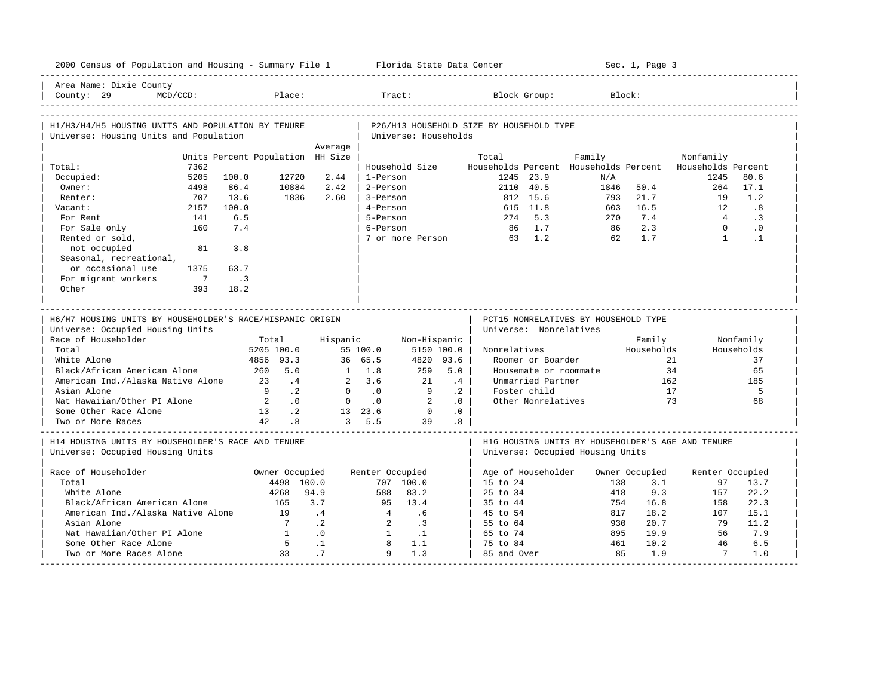| 2000 Census of Population and Housing - Summary File 1 Florida State Data Center       |                                          |                 |                                      |                      |                 |                                          |                                   |                                      |           | Sec. 1, Page 3 |                                                          |              |
|----------------------------------------------------------------------------------------|------------------------------------------|-----------------|--------------------------------------|----------------------|-----------------|------------------------------------------|-----------------------------------|--------------------------------------|-----------|----------------|----------------------------------------------------------|--------------|
| Area Name: Dixie County<br>County: 29<br>$MCD/CCD$ :                                   | Place:                                   |                 |                                      | Tract:               |                 |                                          | Block Group:                      |                                      | Block:    |                |                                                          |              |
| H1/H3/H4/H5 HOUSING UNITS AND POPULATION BY TENURE                                     |                                          |                 |                                      |                      |                 | P26/H13 HOUSEHOLD SIZE BY HOUSEHOLD TYPE |                                   |                                      |           |                |                                                          |              |
| Universe: Housing Units and Population                                                 |                                          |                 |                                      | Universe: Households |                 |                                          |                                   |                                      |           |                |                                                          |              |
|                                                                                        |                                          | Average         |                                      |                      |                 |                                          |                                   |                                      |           |                |                                                          |              |
|                                                                                        | Units Percent Population HH Size         |                 |                                      |                      |                 | Total                                    |                                   | Family                               |           |                | Nonfamily                                                |              |
| 7362<br>Total:                                                                         |                                          |                 |                                      | Household Size       |                 |                                          |                                   |                                      |           |                | Households Percent Households Percent Households Percent |              |
| 5205<br>Occupied:<br>4498                                                              | 100.0<br>12720<br>86.4<br>10884          | 2.44<br>2.42    | 1-Person<br>2-Person                 |                      |                 |                                          | 1245 23.9<br>2110 40.5            | N/A<br>1846                          |           | 50.4           | 1245<br>264                                              | 80.6<br>17.1 |
| Owner:<br>707<br>Renter:                                                               | 1836<br>13.6                             | 2.60            | 3-Person                             |                      |                 |                                          | 812 15.6                          |                                      | 793       | 21.7           | 19                                                       | 1.2          |
| 2157<br>Vacant:                                                                        | 100.0                                    |                 | 4-Person                             |                      |                 |                                          | 615 11.8                          |                                      | 603       | 16.5           | 12                                                       | .8           |
| For Rent<br>141                                                                        | 6.5                                      |                 | 5-Person                             |                      |                 |                                          | 274 5.3                           |                                      | 2.70      | 7.4            | 4                                                        | $\cdot$ 3    |
| 160<br>For Sale only                                                                   | 7.4                                      |                 | 6-Person                             |                      |                 |                                          | 86 1.7                            |                                      | 86        | 2.3            | $\Omega$                                                 | $\cdot$ 0    |
| Rented or sold,                                                                        |                                          |                 |                                      | 7 or more Person     |                 |                                          | 63 1.2                            |                                      | 62        | 1.7            | $\mathbf{1}$                                             | $\cdot$ 1    |
| not occupied<br>81                                                                     | 3.8                                      |                 |                                      |                      |                 |                                          |                                   |                                      |           |                |                                                          |              |
| Seasonal, recreational,                                                                |                                          |                 |                                      |                      |                 |                                          |                                   |                                      |           |                |                                                          |              |
| or occasional use<br>1375                                                              | 63.7                                     |                 |                                      |                      |                 |                                          |                                   |                                      |           |                |                                                          |              |
| For migrant workers<br>$\overline{7}$                                                  | $\cdot$ 3                                |                 |                                      |                      |                 |                                          |                                   |                                      |           |                |                                                          |              |
| Other<br>393                                                                           | 18.2                                     |                 |                                      |                      |                 |                                          |                                   |                                      |           |                |                                                          |              |
|                                                                                        |                                          |                 |                                      |                      |                 |                                          |                                   |                                      |           |                |                                                          |              |
|                                                                                        |                                          |                 |                                      |                      |                 |                                          |                                   |                                      |           |                |                                                          |              |
|                                                                                        |                                          |                 |                                      |                      |                 |                                          |                                   |                                      |           |                |                                                          |              |
| H6/H7 HOUSING UNITS BY HOUSEHOLDER'S RACE/HISPANIC ORIGIN                              |                                          |                 |                                      |                      |                 |                                          |                                   | PCT15 NONRELATIVES BY HOUSEHOLD TYPE |           |                |                                                          |              |
| Universe: Occupied Housing Units                                                       |                                          |                 |                                      |                      |                 |                                          | Universe: Nonrelatives            |                                      |           |                |                                                          |              |
| Race of Householder                                                                    | Total                                    | Hispanic        |                                      | Non-Hispanic         |                 |                                          |                                   |                                      |           | Family         |                                                          | Nonfamily    |
| Total                                                                                  | 5205 100.0                               |                 | 55 100.0                             | 5150 100.0           |                 | Nonrelatives                             |                                   |                                      |           | Households     |                                                          | Households   |
| White Alone                                                                            | 4856 93.3                                |                 | 36 65.5                              | 4820 93.6            |                 |                                          | Roomer or Boarder                 |                                      |           |                | 21                                                       | 37           |
| Black/African American Alone                                                           | 5.0<br>260<br>2.3                        |                 | $1 \t1.8$                            | 259<br>2.1           | 5.0             |                                          | Housemate or roommate             |                                      |           |                | 34                                                       | 65           |
| American Ind./Alaska Native Alone<br>Asian Alone                                       | $\cdot$ 4<br>$\mathsf{q}$<br>$\cdot$ . 2 | $\Omega$        | 2, 3.6<br>$\overline{\phantom{0}}$ . | 9                    | .4<br>$\cdot$ 2 |                                          | Unmarried Partner<br>Foster child |                                      |           | 162<br>17      |                                                          | 185<br>5     |
| Nat Hawaiian/Other PI Alone                                                            | $\overline{2}$<br>$\overline{0}$ .       | $\mathbf{0}$    | $\cdot$ 0                            | $\overline{2}$       | .0              |                                          | Other Nonrelatives                |                                      |           | 73             |                                                          | 68           |
| Some Other Race Alone                                                                  | 13 .2                                    |                 | 13 23.6                              | $\overline{0}$       | .0              |                                          |                                   |                                      |           |                |                                                          |              |
| Two or More Races                                                                      | 42<br>.8                                 |                 | 3, 5.5                               | 39                   | .8 <sub>0</sub> |                                          |                                   |                                      |           |                |                                                          |              |
| H14 HOUSING UNITS BY HOUSEHOLDER'S RACE AND TENURE<br>Universe: Occupied Housing Units |                                          |                 |                                      |                      |                 |                                          |                                   | Universe: Occupied Housing Units     |           |                | H16 HOUSING UNITS BY HOUSEHOLDER'S AGE AND TENURE        |              |
|                                                                                        |                                          |                 |                                      |                      |                 |                                          |                                   |                                      |           |                |                                                          |              |
| Race of Householder                                                                    | Owner Occupied                           |                 | Renter Occupied                      |                      |                 |                                          | Age of Householder                |                                      |           | Owner Occupied | Renter Occupied                                          |              |
| Total                                                                                  | 4498 100.0                               |                 |                                      | 707 100.0            |                 | 15 to 24                                 |                                   |                                      | 138       | 3.1            | 97                                                       | 13.7         |
| White Alone                                                                            | 4268                                     | 94.9            | 588                                  | 83.2                 |                 | $25 \text{ to } 34$                      |                                   |                                      | 418       | 9.3            | 157                                                      | 22.2         |
| Black/African American Alone                                                           | 165                                      | 3.7             | 95                                   | 13.4                 |                 | 35 to 44                                 |                                   |                                      | 754       | 16.8           | 158                                                      | 22.3         |
| American Ind./Alaska Native Alone                                                      | 19                                       | .4              | 4                                    | .6                   |                 | 45 to 54                                 |                                   |                                      | 817       | 18.2           | 107                                                      | 15.1         |
| Asian Alone                                                                            | $\overline{7}$                           | $\cdot$ 2       | 2                                    | $\cdot$ 3            |                 | 55 to 64                                 |                                   |                                      | 930       | 20.7           | 79                                                       | 11.2         |
| Nat Hawaiian/Other PI Alone                                                            | $\overline{1}$                           | .0              | $\overline{1}$                       | $\ldots$             |                 | 65 to 74                                 |                                   |                                      | 895       | 19.9           | 56                                                       | 7.9          |
| Some Other Race Alone<br>Two or More Races Alone                                       | $5^{\circ}$<br>33                        | $\cdot$ 1<br>.7 | 8<br>$\mathbf{Q}$                    | 1.1<br>1.3           |                 | 75 to 84<br>85 and Over                  |                                   |                                      | 461<br>85 | 10.2<br>1.9    | 46<br>$7\overline{ }$                                    | 6.5<br>1.0   |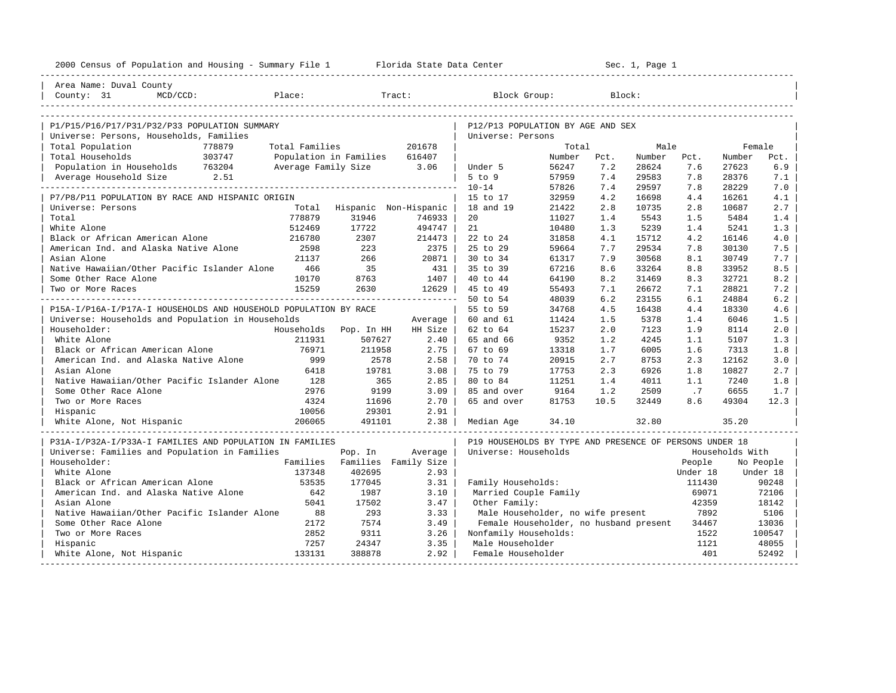| 2000 Census of Population and Housing - Summary File 1 Florida State Data Center |                               |                               | Sec. 1, Page 1 |                                                         |        |        |        |          |                 |           |
|----------------------------------------------------------------------------------|-------------------------------|-------------------------------|----------------|---------------------------------------------------------|--------|--------|--------|----------|-----------------|-----------|
| Area Name: Duval County                                                          |                               |                               |                |                                                         |        |        |        |          |                 |           |
| County: 31<br>$MCD/CCD$ :                                                        | Place:                        |                               | Tract:         | Block Group:                                            |        | Block: |        |          |                 |           |
|                                                                                  |                               |                               |                |                                                         |        |        |        |          |                 |           |
| P1/P15/P16/P17/P31/P32/P33 POPULATION SUMMARY                                    |                               |                               |                | P12/P13 POPULATION BY AGE AND SEX                       |        |        |        |          |                 |           |
| Universe: Persons, Households, Families                                          |                               |                               |                | Universe: Persons                                       |        |        |        |          |                 |           |
| Total Population<br>778879                                                       | Total Families                |                               | 201678         |                                                         | Total  |        | Male   |          | Female          |           |
| 303747<br>Total Households                                                       | Population in Families 616407 |                               |                |                                                         | Number | Pct.   | Number | Pct.     | Number          | Pct.      |
| Population in Households 763204                                                  |                               | Average Family Size 3.06      |                | Under 5                                                 | 56247  | 7.2    | 28624  | 7.6      | 27623           | 6.9       |
| Average Household Size 2.51                                                      |                               |                               |                | $5$ to $9$                                              | 57959  | 7.4    | 29583  | 7.8      | 28376           | 7.1       |
|                                                                                  |                               |                               |                | $10 - 14$                                               | 57826  | 7.4    | 29597  | 7.8      | 28229           | 7.0       |
| P7/P8/P11 POPULATION BY RACE AND HISPANIC ORIGIN                                 |                               |                               |                | 15 to 17                                                | 32959  | 4.2    | 16698  | 4.4      | 16261           | 4.1       |
| Universe: Persons                                                                | Total                         | Hispanic Non-Hispanic         |                | 18 and 19                                               | 21422  | 2.8    | 10735  | 2.8      | 10687           | 2.7       |
| Total                                                                            | 778879                        | 31946                         | 746933         | 20                                                      | 11027  | 1.4    | 5543   | 1.5      | 5484            | 1.4       |
| White Alone                                                                      | 512469                        | 17722                         | 494747         | 21                                                      | 10480  | 1.3    | 5239   | 1.4      | 5241            | 1.3       |
| Black or African American Alone                                                  | 216780                        | 2307                          | 214473         | 22 to 24                                                | 31858  | 4.1    | 15712  | 4.2      | 16146           | 4.0       |
| American Ind. and Alaska Native Alone                                            | 2598                          | 223                           | 2375           | 25 to 29                                                | 59664  | 7.7    | 29534  | 7.8      | 30130           | 7.5       |
| Asian Alone                                                                      | 21137                         | 266                           | 20871          | 30 to 34                                                | 61317  | 7.9    | 30568  | 8.1      | 30749           | 7.7       |
| Native Hawaiian/Other Pacific Islander Alone                                     | 466                           | 35                            | 431            | 35 to 39                                                | 67216  | 8.6    | 33264  | 8.8      | 33952           | 8.5       |
| Some Other Race Alone                                                            | 10170                         | 8763                          | 1407           | 40 to 44                                                | 64190  | 8.2    | 31469  | 8.3      | 32721           | 8.2       |
| Two or More Races                                                                | 15259                         | 2630                          | 12629          | 45 to 49                                                | 55493  | 7.1    | 26672  | 7.1      | 28821           | 7.2       |
|                                                                                  |                               |                               |                | 50 to 54                                                | 48039  | 6.2    | 23155  | 6.1      | 24884           | 6.2       |
| P15A-I/P16A-I/P17A-I HOUSEHOLDS AND HOUSEHOLD POPULATION BY RACE                 |                               |                               |                | 55 to 59                                                | 34768  | 4.5    | 16438  | 4.4      | 18330           | 4.6       |
| Universe: Households and Population in Households                                |                               |                               | Average        | 60 and 61                                               | 11424  | 1.5    | 5378   | 1.4      | 6046            | 1.5       |
| Householder:                                                                     |                               | Households Pop. In HH         | HH Size        | 62 to 64                                                | 15237  | 2.0    | 7123   | 1.9      | 8114            | 2.0       |
| White Alone                                                                      | 211931                        | 507627                        | 2.40           | 65 and 66                                               | 9352   | 1.2    | 4245   | 1.1      | 5107            | 1.3       |
| Black or African American Alone                                                  | 76971                         | 211958                        | 2.75           | 67 to 69                                                | 13318  | 1.7    | 6005   | 1.6      | 7313            | 1.8       |
| American Ind. and Alaska Native Alone                                            | 999                           | 2578                          | 2.58           | 70 to 74                                                | 20915  | 2.7    | 8753   | 2.3      | 12162           | 3.0       |
| Asian Alone                                                                      | 6418                          | 19781                         | 3.08           | 75 to 79                                                | 17753  | 2.3    | 6926   | 1.8      | 10827           | 2.7       |
| Native Hawaiian/Other Pacific Islander Alone                                     | 128                           | 365                           | 2.85           | 80 to 84                                                | 11251  | 1.4    | 4011   | 1.1      | 7240            | 1.8       |
| Some Other Race Alone                                                            | 2976                          | 9199                          | 3.09           | 85 and over                                             | 9164   | 1.2    | 2509   | .7       | 6655            | 1.7       |
| Two or More Races                                                                | 4324                          | 11696                         | 2.70           | 65 and over                                             | 81753  | 10.5   | 32449  | 8.6      | 49304           | 12.3      |
| Hispanic                                                                         | 10056                         | 29301                         | 2.91           |                                                         |        |        |        |          |                 |           |
| White Alone, Not Hispanic                                                        | 206065                        | 491101                        | 2.38           | Median Age                                              | 34.10  |        | 32.80  |          | 35.20           |           |
| P31A-I/P32A-I/P33A-I FAMILIES AND POPULATION IN FAMILIES                         |                               |                               |                | P19 HOUSEHOLDS BY TYPE AND PRESENCE OF PERSONS UNDER 18 |        |        |        |          |                 |           |
| Universe: Families and Population in Families                                    |                               | Pop. In                       | Average        | Universe: Households                                    |        |        |        |          | Households With |           |
| Householder:                                                                     |                               | Families Families Family Size |                |                                                         |        |        |        | People   |                 | No People |
| White Alone                                                                      | 137348                        | 402695                        | 2.93           |                                                         |        |        |        | Under 18 |                 | Under 18  |
| Black or African American Alone                                                  | 53535                         | 177045                        | 3.31           | Family Households:                                      |        |        |        | 111430   |                 | 90248     |
| American Ind. and Alaska Native Alone                                            | 642                           | 1987                          | 3.10           | Married Couple Family                                   |        |        |        | 69071    |                 | 72106     |
| Asian Alone                                                                      | 5041                          | 17502                         | 3.47           | Other Family:                                           |        |        |        | 42359    |                 | 18142     |
| Native Hawaiian/Other Pacific Islander Alone                                     | 88                            | 293                           | 3.33           | Male Householder, no wife present                       |        |        |        | 7892     |                 | 5106      |
| Some Other Race Alone                                                            | 2172                          | 7574                          | 3.49           | Female Householder, no husband present                  |        |        |        | 34467    |                 | 13036     |
| Two or More Races                                                                | 2852                          | 9311                          | 3.26           | Nonfamily Households:                                   |        |        |        | 1522     |                 | 100547    |
| Hispanic                                                                         | 7257                          | 24347                         | 3.35           | Male Householder                                        |        |        |        | 1121     |                 | 48055     |
| White Alone, Not Hispanic                                                        | 133131                        | 388878                        | 2.92           | Female Householder                                      |        |        |        | 401      |                 | 52492     |
|                                                                                  |                               |                               |                |                                                         |        |        |        |          |                 |           |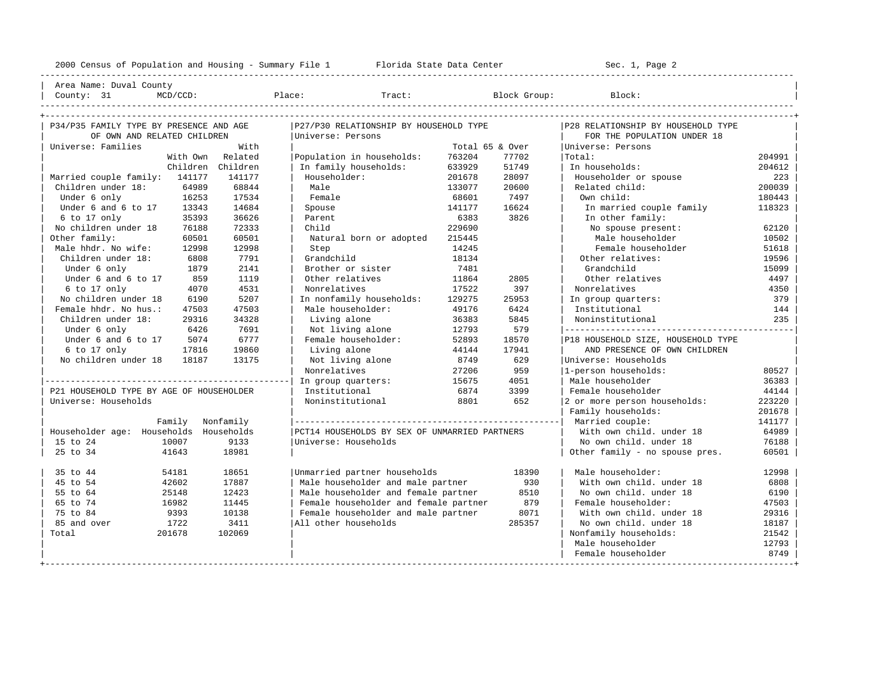----------------------------------------------------------------------------------------------------------------------------------------------------

| Area Name: Duval County | | County: 31 MCD/CCD: Place: Tract: Block Group: Block: |

| P34/P35 FAMILY TYPE BY PRESENCE AND AGE  |          |                   | P27/P30 RELATIONSHIP BY HOUSEHOLD TYPE        |        |                 | P28 RELATIONSHIP BY HOUSEHOLD TYPE   |        |
|------------------------------------------|----------|-------------------|-----------------------------------------------|--------|-----------------|--------------------------------------|--------|
| OF OWN AND RELATED CHILDREN              |          |                   | Universe: Persons                             |        |                 | FOR THE POPULATION UNDER 18          |        |
| Universe: Families                       |          | With              |                                               |        | Total 65 & Over | Universe: Persons                    |        |
|                                          | With Own | Related           | Population in households:                     | 763204 | 77702           | Total:                               | 204991 |
|                                          |          | Children Children | In family households:                         | 633929 | 51749           | In households:                       | 204612 |
| Married couple family: 141177            |          | 141177            | Householder:                                  | 201678 | 28097           | Householder or spouse                | 223    |
| Children under 18:                       | 64989    | 68844             | Male                                          | 133077 | 20600           | Related child:                       | 200039 |
| Under 6 only                             | 16253    | 17534             | Female                                        | 68601  | 7497            | Own child:                           | 180443 |
| Under 6 and 6 to 17                      | 13343    | 14684             | Spouse                                        | 141177 | 16624           | In married couple family             | 118323 |
| 6 to 17 only                             | 35393    | 36626             | Parent                                        | 6383   | 3826            | In other family:                     |        |
| No children under 18                     | 76188    | 72333             | Child                                         | 229690 |                 | No spouse present:                   | 62120  |
| Other family:                            | 60501    | 60501             | Natural born or adopted                       | 215445 |                 | Male householder                     | 10502  |
| Male hhdr. No wife:                      | 12998    | 12998             | Step                                          | 14245  |                 | Female householder                   | 51618  |
| Children under 18:                       | 6808     | 7791              | Grandchild                                    | 18134  |                 | Other relatives:                     | 19596  |
| Under 6 only                             | 1879     | 2141              | Brother or sister                             | 7481   |                 | Grandchild                           | 15099  |
| Under 6 and 6 to 17                      | 859      | 1119              | Other relatives                               | 11864  | 2805            | Other relatives                      | 4497   |
| 6 to 17 only                             | 4070     | 4531              | Nonrelatives                                  | 17522  | 397             | Nonrelatives                         | 4350   |
| No children under 18                     | 6190     | 5207              | In nonfamily households:                      | 129275 | 25953           | In group quarters:                   | 379    |
| Female hhdr. No hus.:                    | 47503    | 47503             | Male householder:                             | 49176  | 6424            | Institutional                        | 144    |
| Children under 18:                       | 29316    | 34328             | Living alone                                  | 36383  | 5845            | Noninstitutional                     | 235    |
| Under 6 only                             | 6426     | 7691              | Not living alone                              | 12793  | 579             | ------------------------------------ |        |
| Under 6 and 6 to 17                      | 5074     | 6777              | Female householder:                           | 52893  | 18570           | P18 HOUSEHOLD SIZE, HOUSEHOLD TYPE   |        |
| 6 to 17 only                             | 17816    | 19860             | Living alone                                  | 44144  | 17941           | AND PRESENCE OF OWN CHILDREN         |        |
| No children under 18                     | 18187    | 13175             | Not living alone                              | 8749   | 629             | Universe: Households                 |        |
|                                          |          |                   | Nonrelatives                                  | 27206  | 959             | 1-person households:                 | 80527  |
|                                          |          |                   | In group quarters:                            | 15675  | 4051            | Male householder                     | 36383  |
| P21 HOUSEHOLD TYPE BY AGE OF HOUSEHOLDER |          |                   | Institutional                                 | 6874   | 3399            | Female householder                   | 44144  |
| Universe: Households                     |          |                   | Noninstitutional                              | 8801   | 652             | 2 or more person households:         | 223220 |
|                                          |          |                   |                                               |        |                 | Family households:                   | 201678 |
|                                          | Family   | Nonfamily         |                                               |        |                 | Married couple:                      | 141177 |
| Householder age: Households Households   |          |                   | PCT14 HOUSEHOLDS BY SEX OF UNMARRIED PARTNERS |        |                 | With own child, under 18             | 64989  |
| 15 to 24                                 | 10007    | 9133              | Universe: Households                          |        |                 | No own child, under 18               | 76188  |
| 25 to 34                                 | 41643    | 18981             |                                               |        |                 | Other family - no spouse pres.       | 60501  |
| 35 to 44                                 | 54181    | 18651             | Unmarried partner households                  |        | 18390           | Male householder:                    | 12998  |
| 45 to 54                                 | 42602    | 17887             | Male householder and male partner             |        | 930             | With own child, under 18             | 6808   |
| 55 to 64                                 | 25148    | 12423             | Male householder and female partner           |        | 8510            | No own child, under 18               | 6190   |
| 65 to 74                                 | 16982    | 11445             | Female householder and female partner         |        | 879             | Female householder:                  | 47503  |
| 75 to 84                                 | 9393     | 10138             | Female householder and male partner           |        | 8071            | With own child, under 18             | 29316  |
| 85 and over                              | 1722     | 3411              | All other households                          |        | 285357          | No own child, under 18               | 18187  |
| Total                                    | 201678   | 102069            |                                               |        |                 | Nonfamily households:                | 21542  |
|                                          |          |                   |                                               |        |                 | Male householder                     | 12793  |
|                                          |          |                   |                                               |        |                 | Female householder                   | 8749   |
|                                          |          |                   |                                               |        |                 |                                      |        |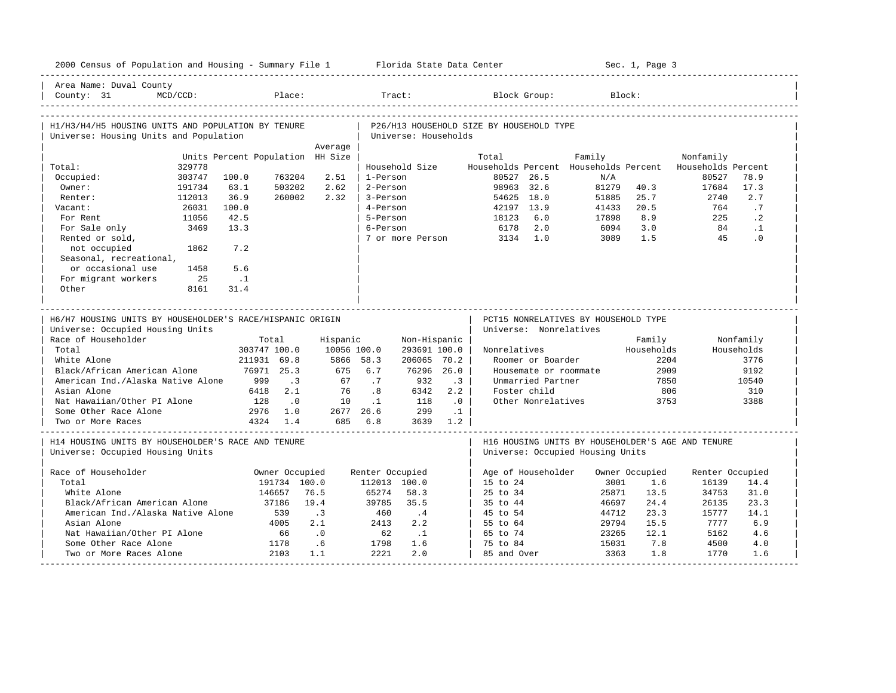|                                                                                              | 2000 Census of Population and Housing - Summary File 1 Florida State Data Center |                                  |                        |                  |                       |                      |                |                                          |                    |                                       | Sec. 1, Page 3        |                                                   |                 |
|----------------------------------------------------------------------------------------------|----------------------------------------------------------------------------------|----------------------------------|------------------------|------------------|-----------------------|----------------------|----------------|------------------------------------------|--------------------|---------------------------------------|-----------------------|---------------------------------------------------|-----------------|
| Area Name: Duval County<br>County: 31                                                        | $MCD/CCD$ :                                                                      |                                  | Place:                 |                  |                       | Tract:               |                |                                          | Block Group:       |                                       | Block:                |                                                   |                 |
| H1/H3/H4/H5 HOUSING UNITS AND POPULATION BY TENURE<br>Universe: Housing Units and Population |                                                                                  |                                  |                        |                  |                       | Universe: Households |                | P26/H13 HOUSEHOLD SIZE BY HOUSEHOLD TYPE |                    |                                       |                       |                                                   |                 |
|                                                                                              |                                                                                  |                                  |                        | Average          |                       |                      |                |                                          |                    |                                       |                       |                                                   |                 |
|                                                                                              |                                                                                  | Units Percent Population HH Size |                        |                  |                       |                      |                | Total                                    |                    | Family                                |                       | Nonfamily                                         |                 |
| Total:                                                                                       | 329778<br>303747                                                                 |                                  | 763204                 | 2.51             |                       | Household Size       |                | 80527 26.5                               |                    | Households Percent Households Percent |                       | Households Percent<br>80527                       |                 |
| Occupied:<br>Owner:                                                                          |                                                                                  | 100.0                            |                        | 2.62             | 1-Person<br>2-Person  |                      |                | 98963 32.6                               |                    | N/A<br>81279                          |                       |                                                   | 78.9<br>17.3    |
| Renter:                                                                                      | 191734<br>112013                                                                 | 63.1<br>36.9                     | 503202<br>260002       | 2.32             | 3-Person              |                      |                | 54625 18.0                               |                    | 51885                                 | 40.3<br>25.7          | 17684<br>2740                                     | 2.7             |
| Vacant:                                                                                      | 26031                                                                            | 100.0                            |                        |                  | 4-Person              |                      |                | 42197 13.9                               |                    | 41433                                 | 20.5                  | 764                                               | .7              |
| For Rent                                                                                     | 11056                                                                            | 42.5                             |                        |                  | 5-Person              |                      |                | 18123                                    | 6.0                | 17898                                 | 8.9                   | 225                                               | $\cdot$ 2       |
|                                                                                              | 3469                                                                             | 13.3                             |                        |                  | 6-Person              |                      |                |                                          | 2.0                | 6094                                  | 3.0                   | 84                                                |                 |
| For Sale only<br>Rented or sold,                                                             |                                                                                  |                                  |                        |                  |                       | 7 or more Person     |                | 6178<br>3134                             | 1.0                | 3089                                  | 1.5                   | 45                                                | $\cdot$ 1<br>.0 |
| not occupied                                                                                 | 1862                                                                             | 7.2                              |                        |                  |                       |                      |                |                                          |                    |                                       |                       |                                                   |                 |
| Seasonal, recreational,                                                                      |                                                                                  |                                  |                        |                  |                       |                      |                |                                          |                    |                                       |                       |                                                   |                 |
| or occasional use                                                                            | 1458                                                                             | 5.6                              |                        |                  |                       |                      |                |                                          |                    |                                       |                       |                                                   |                 |
| For migrant workers                                                                          | 25                                                                               | $\ldots$ 1                       |                        |                  |                       |                      |                |                                          |                    |                                       |                       |                                                   |                 |
| Other                                                                                        | 8161                                                                             | 31.4                             |                        |                  |                       |                      |                |                                          |                    |                                       |                       |                                                   |                 |
|                                                                                              |                                                                                  |                                  |                        |                  |                       |                      |                |                                          |                    |                                       |                       |                                                   |                 |
| H6/H7 HOUSING UNITS BY HOUSEHOLDER'S RACE/HISPANIC ORIGIN                                    |                                                                                  |                                  |                        |                  |                       |                      |                |                                          |                    |                                       |                       |                                                   |                 |
| Universe: Occupied Housing Units                                                             |                                                                                  |                                  |                        |                  |                       |                      |                | Universe: Nonrelatives                   |                    | PCT15 NONRELATIVES BY HOUSEHOLD TYPE  |                       |                                                   |                 |
| Race of Householder                                                                          |                                                                                  |                                  | Total                  | Hispanic         |                       | Non-Hispanic         |                |                                          |                    |                                       | Family                |                                                   | Nonfamily       |
| Total                                                                                        |                                                                                  | 303747 100.0                     |                        | 10056 100.0      |                       | 293691 100.0         |                | Nonrelatives                             |                    |                                       | Households            |                                                   | Households      |
| White Alone                                                                                  |                                                                                  | 211931 69.8                      |                        | 5866 58.3        |                       | 206065 70.2          |                |                                          | Roomer or Boarder  |                                       | 2204                  |                                                   | 3776            |
| Black/African American Alone                                                                 |                                                                                  |                                  | 76971 25.3             | 675              | 6.7                   | 76296 26.0           |                |                                          |                    | Housemate or roommate                 | 2909                  |                                                   | 9192            |
| American Ind./Alaska Native Alone                                                            |                                                                                  | 999                              | $\cdot$ 3              | 67               | .7                    | 932                  | $\cdot$ 3      |                                          | Unmarried Partner  |                                       | 7850                  |                                                   | 10540           |
| Asian Alone                                                                                  |                                                                                  | 6418                             | 2.1                    | 76               | .8                    | 6342                 | 2.2            |                                          | Foster child       |                                       | 806                   |                                                   | 310             |
| Nat Hawaiian/Other PI Alone                                                                  |                                                                                  | 128                              | $\cdot$ 0              | 10               | $\cdot$ 1             | 118                  | $\overline{0}$ |                                          | Other Nonrelatives |                                       | 3753                  |                                                   | 3388            |
| Some Other Race Alone                                                                        |                                                                                  |                                  | 2976 1.0               | 2677 26.6        |                       | 299                  | $\ldots$ 1     |                                          |                    |                                       |                       |                                                   |                 |
| Two or More Races                                                                            |                                                                                  |                                  | 4324 1.4               |                  | 685 6.8               | 3639 1.2             |                |                                          |                    |                                       |                       |                                                   |                 |
| H14 HOUSING UNITS BY HOUSEHOLDER'S RACE AND TENURE<br>Universe: Occupied Housing Units       |                                                                                  |                                  |                        |                  |                       |                      |                |                                          |                    | Universe: Occupied Housing Units      |                       | H16 HOUSING UNITS BY HOUSEHOLDER'S AGE AND TENURE |                 |
| Race of Householder                                                                          |                                                                                  |                                  |                        |                  |                       |                      |                |                                          |                    |                                       |                       |                                                   |                 |
| Total                                                                                        |                                                                                  |                                  | Owner Occupied         |                  | Renter Occupied       |                      |                | Age of Householder                       |                    | 3001                                  | Owner Occupied<br>1.6 | Renter Occupied                                   |                 |
| White Alone                                                                                  |                                                                                  |                                  | 191734 100.0<br>146657 | 76.5             | 112013 100.0<br>65274 | 58.3                 |                | 15 to 24<br>25 to 34                     |                    | 25871                                 | 13.5                  | 16139<br>34753                                    | 14.4<br>31.0    |
| Black/African American Alone                                                                 |                                                                                  |                                  | 37186                  | 19.4             | 39785                 | 35.5                 |                |                                          |                    |                                       | 24.4                  |                                                   | 23.3            |
|                                                                                              |                                                                                  |                                  | 539                    |                  |                       |                      |                | 35 to 44                                 |                    | 46697                                 | 23.3                  | 26135                                             | 14.1            |
| American Ind./Alaska Native Alone<br>Asian Alone                                             |                                                                                  |                                  | 4005                   | $\cdot$ 3<br>2.1 | 460<br>2413           | $\cdot$ 4<br>2.2     |                | 45 to 54                                 |                    | 44712                                 | 15.5                  | 15777<br>7777                                     | 6.9             |
| Nat Hawaiian/Other PI Alone                                                                  |                                                                                  |                                  | 66                     |                  | 62                    | $\cdot$ 1            |                | 55 to 64<br>65 to 74                     |                    | 29794<br>23265                        | 12.1                  | 5162                                              | 4.6             |
| Some Other Race Alone                                                                        |                                                                                  |                                  | 1178                   | $\cdot$ 0<br>.6  | 1798                  | 1.6                  |                | 75 to 84                                 |                    | 15031                                 | 7.8                   | 4500                                              | 4.0             |
| Two or More Races Alone                                                                      |                                                                                  |                                  | 2103                   | 1.1              | 2221                  | 2.0                  |                | 85 and Over                              |                    | 3363                                  | 1.8                   | 1770                                              | 1.6             |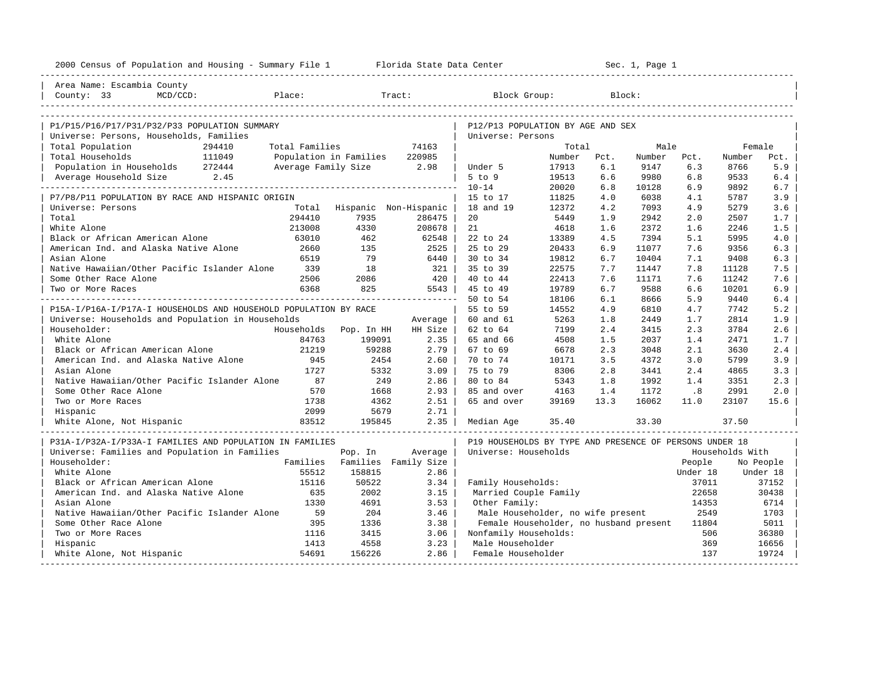| 2000 Census of Population and Housing - Summary File 1 Florida State Data Center |                |                          |                      | ----------------------                                  | Sec. 1, Page 1 |      |        |          |                 |           |
|----------------------------------------------------------------------------------|----------------|--------------------------|----------------------|---------------------------------------------------------|----------------|------|--------|----------|-----------------|-----------|
| Area Name: Escambia County                                                       |                |                          |                      |                                                         |                |      |        |          |                 |           |
| County: $33$<br>$MCD/CCD$ :                                                      | Place:         |                          | Tract:               | Block Group:                                            |                |      | Block: |          |                 |           |
|                                                                                  |                |                          |                      |                                                         |                |      |        |          |                 |           |
| P1/P15/P16/P17/P31/P32/P33 POPULATION SUMMARY                                    |                |                          |                      | P12/P13 POPULATION BY AGE AND SEX                       |                |      |        |          |                 |           |
| Universe: Persons, Households, Families                                          |                |                          |                      | Universe: Persons                                       |                |      |        |          |                 |           |
| Total Population<br>294410                                                       | Total Families |                          | 74163                |                                                         | Total          |      | Male   |          | Female          |           |
| 111049<br>Total Households                                                       |                | Population in Families   | 220985               |                                                         | Number         | Pct. | Number | Pct.     | Number          | Pct.      |
| Population in Households 272444                                                  |                | Average Family Size 2.98 |                      | Under 5                                                 | 17913          | 6.1  | 9147   | 6.3      | 8766            | 5.9       |
| Average Household Size 2.45                                                      |                |                          |                      | $5$ to $9$                                              | 19513          | 6.6  | 9980   | 6.8      | 9533            | 6.4       |
|                                                                                  |                |                          |                      | $10 - 14$                                               | 20020          | 6.8  | 10128  | 6.9      | 9892            | 6.7       |
| P7/P8/P11 POPULATION BY RACE AND HISPANIC ORIGIN                                 |                |                          |                      | 15 to 17                                                | 11825          | 4.0  | 6038   | 4.1      | 5787            | 3.9       |
| Universe: Persons                                                                | Total          | Hispanic Non-Hispanic    |                      | 18 and 19                                               | 12372          | 4.2  | 7093   | 4.9      | 5279            | 3.6       |
| Total                                                                            | 294410         | 7935                     | 286475               | 20                                                      | 5449           | 1.9  | 2942   | 2.0      | 2507            | 1.7       |
| White Alone                                                                      | 213008         | 4330                     | 208678               | 21                                                      | 4618           | 1.6  | 2372   | 1.6      | 2246            | 1.5       |
| Black or African American Alone                                                  | 63010          | 462                      | 62548                | 22 to 24                                                | 13389          | 4.5  | 7394   | 5.1      | 5995            | 4.0       |
| American Ind. and Alaska Native Alone                                            | 2660           | 135                      | 2525                 | 25 to 29                                                | 20433          | 6.9  | 11077  | 7.6      | 9356            | 6.3       |
| Asian Alone                                                                      | 6519           | 79                       | 6440                 | 30 to 34                                                | 19812          | 6.7  | 10404  | 7.1      | 9408            | 6.3       |
| Native Hawaiian/Other Pacific Islander Alone                                     | 339            | 18                       | 321                  | 35 to 39                                                | 22575          | 7.7  | 11447  | 7.8      | 11128           | 7.5       |
| Some Other Race Alone                                                            | 2506           | 2086                     | 420                  | 40 to 44                                                | 22413          | 7.6  | 11171  | 7.6      | 11242           | 7.6       |
| Two or More Races                                                                | 6368           | 825                      | 5543                 | 45 to 49                                                | 19789          | 6.7  | 9588   | 6.6      | 10201           | 6.9       |
|                                                                                  |                |                          |                      | 50 to 54                                                | 18106          | 6.1  | 8666   | 5.9      | 9440            | 6.4       |
| P15A-I/P16A-I/P17A-I HOUSEHOLDS AND HOUSEHOLD POPULATION BY RACE                 |                |                          |                      | 55 to 59                                                | 14552          | 4.9  | 6810   | 4.7      | 7742            | 5.2       |
| Universe: Households and Population in Households                                |                |                          | Average              | 60 and 61                                               | 5263           | 1.8  | 2449   | 1.7      | 2814            | 1.9       |
| Householder:                                                                     | Households     | Pop. In HH               | HH Size              | 62 to 64                                                | 7199           | 2.4  | 3415   | 2.3      | 3784            | 2.6       |
| White Alone                                                                      | 84763          | 199091                   | 2.35                 | 65 and 66                                               | 4508           | 1.5  | 2037   | 1.4      | 2471            | 1.7       |
| Black or African American Alone                                                  | 21219          | 59288                    | 2.79                 | 67 to 69                                                | 6678           | 2.3  | 3048   | 2.1      | 3630            | 2.4       |
| American Ind. and Alaska Native Alone                                            | 945            | 2454                     | 2.60                 | 70 to 74                                                | 10171          | 3.5  | 4372   | 3.0      | 5799            | 3.9       |
| Asian Alone                                                                      | 1727           | 5332                     | 3.09                 | 75 to 79                                                | 8306           | 2.8  | 3441   | 2.4      | 4865            | 3.3       |
| Native Hawaiian/Other Pacific Islander Alone                                     | 87             | 249                      | 2.86                 | 80 to 84                                                | 5343           | 1.8  | 1992   | 1.4      | 3351            | 2.3       |
| Some Other Race Alone                                                            | 570            | 1668                     | 2.93                 | 85 and over                                             | 4163           | 1.4  | 1172   | .8       | 2991            | 2.0       |
| Two or More Races                                                                | 1738           | 4362                     | 2.51                 | 65 and over                                             | 39169          | 13.3 | 16062  | 11.0     | 23107           | 15.6      |
| Hispanic                                                                         | 2099           | 5679                     | 2.71                 |                                                         |                |      |        |          |                 |           |
| White Alone, Not Hispanic                                                        | 83512          | 195845                   | 2.35                 | Median Age                                              | 35.40          |      | 33.30  |          | 37.50           |           |
| P31A-I/P32A-I/P33A-I FAMILIES AND POPULATION IN FAMILIES                         |                |                          |                      | P19 HOUSEHOLDS BY TYPE AND PRESENCE OF PERSONS UNDER 18 |                |      |        |          |                 |           |
| Universe: Families and Population in Families                                    |                | Pop. In                  | Average              | Universe: Households                                    |                |      |        |          | Households With |           |
| Householder:                                                                     | Families       |                          | Families Family Size |                                                         |                |      |        | People   |                 | No People |
| White Alone                                                                      | 55512          | 158815                   | 2.86                 |                                                         |                |      |        | Under 18 |                 | Under 18  |
| Black or African American Alone                                                  | 15116          | 50522                    | 3.34                 | Family Households:                                      |                |      |        | 37011    |                 | 37152     |
| American Ind. and Alaska Native Alone                                            | 635            | 2002                     | 3.15                 | Married Couple Family                                   |                |      |        | 22658    |                 | 30438     |
| Asian Alone                                                                      | 1330           | 4691                     | 3.53                 | Other Family:                                           |                |      |        | 14353    |                 | 6714      |
| Native Hawaiian/Other Pacific Islander Alone                                     | 59             | 204                      | 3.46                 | Male Householder, no wife present                       |                |      |        | 2549     |                 | 1703      |
| Some Other Race Alone                                                            | 395            | 1336                     | 3.38                 | Female Householder, no husband present                  |                |      |        | 11804    |                 | 5011      |
| Two or More Races                                                                | 1116           | 3415                     | 3.06                 | Nonfamily Households:                                   |                |      |        | 506      |                 | 36380     |
| Hispanic                                                                         | 1413           | 4558                     | 3.23                 | Male Householder                                        |                |      |        | 369      |                 | 16656     |
| White Alone, Not Hispanic                                                        | 54691          | 156226                   | 2.86                 | Female Householder                                      |                |      |        | 137      |                 | 19724     |
|                                                                                  |                |                          |                      |                                                         |                |      |        |          |                 |           |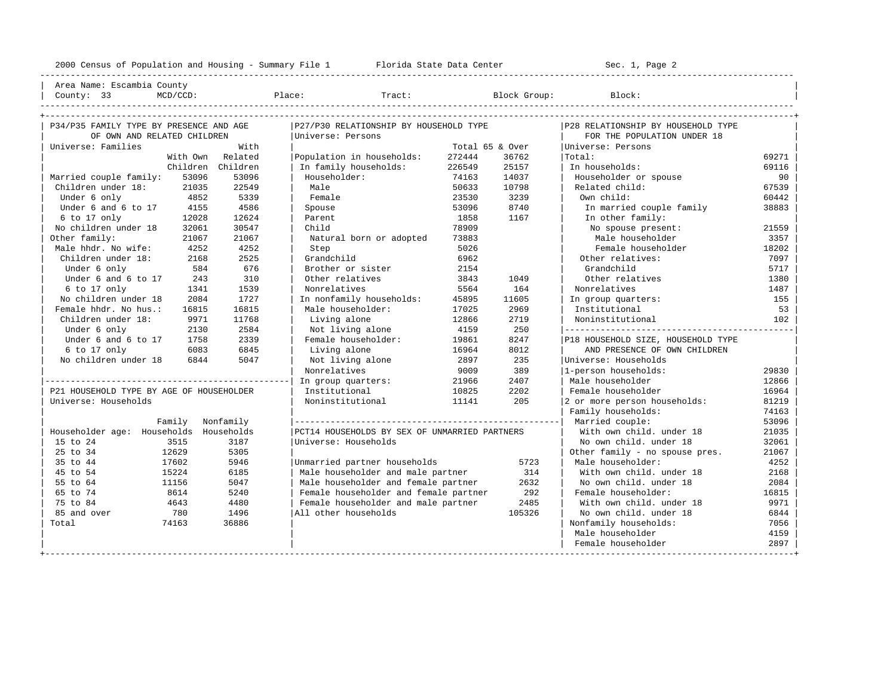----------------------------------------------------------------------------------------------------------------------------------------------------

| Area Name: Escambia County | | County: 33 MCD/CCD: Place: Tract: Block Group: Block: |

| Tract:<br>$\sim$<br>$-$ |
|-------------------------|
|                         |

| P34/P35 FAMILY TYPE BY PRESENCE AND AGE  |           | P27/P30 RELATIONSHIP BY HOUSEHOLD TYPE        |                 |        | P28 RELATIONSHIP BY HOUSEHOLD TYPE |       |
|------------------------------------------|-----------|-----------------------------------------------|-----------------|--------|------------------------------------|-------|
| OF OWN AND RELATED CHILDREN              |           | Universe: Persons                             |                 |        | FOR THE POPULATION UNDER 18        |       |
| Universe: Families                       | With      |                                               | Total 65 & Over |        | Universe: Persons                  |       |
| With Own                                 | Related   | Population in households:                     | 272444          | 36762  | Total:                             | 69271 |
| Children                                 | Children  | In family households:                         | 226549          | 25157  | In households:                     | 69116 |
| 53096<br>Married couple family:          | 53096     | Householder:                                  | 74163           | 14037  | Householder or spouse              | 90    |
| Children under 18:<br>21035              | 22549     | Male                                          | 50633           | 10798  | Related child:                     | 67539 |
| Under 6 only<br>4852                     | 5339      | Female                                        | 23530           | 3239   | Own child:                         | 60442 |
| Under 6 and 6 to 17<br>4155              | 4586      | Spouse                                        | 53096           | 8740   | In married couple family           | 38883 |
| 12028<br>6 to 17 only                    | 12624     | Parent                                        | 1858            | 1167   | In other family:                   |       |
| No children under 18<br>32061            | 30547     | Child                                         | 78909           |        | No spouse present:                 | 21559 |
| Other family:<br>21067                   | 21067     | Natural born or adopted                       | 73883           |        | Male householder                   | 3357  |
| Male hhdr. No wife:<br>4252              | 4252      | Step                                          | 5026            |        | Female householder                 | 18202 |
| Children under 18:<br>2168               | 2525      | Grandchild                                    | 6962            |        | Other relatives:                   | 7097  |
| Under 6 only<br>584                      | 676       | Brother or sister                             | 2154            |        | Grandchild                         | 5717  |
| Under 6 and 6 to 17<br>243               | 310       | Other relatives                               | 3843            | 1049   | Other relatives                    | 1380  |
| 6 to 17 only<br>1341                     | 1539      | Nonrelatives                                  | 5564            | 164    | Nonrelatives                       | 1487  |
| No children under 18<br>2084             | 1727      | In nonfamily households:                      | 45895           | 11605  | In group quarters:                 | 155   |
| Female hhdr. No hus.:<br>16815           | 16815     | Male householder:                             | 17025           | 2969   | Institutional                      | 53    |
| Children under 18:<br>9971               | 11768     | Living alone                                  | 12866           | 2719   | Noninstitutional                   | 102   |
| Under 6 only<br>2130                     | 2584      | Not living alone                              | 4159            | 250    |                                    |       |
| Under 6 and 6 to 17<br>1758              | 2339      | Female householder:                           | 19861           | 8247   | P18 HOUSEHOLD SIZE, HOUSEHOLD TYPE |       |
| $6$ to 17 only<br>6083                   | 6845      | Living alone                                  | 16964           | 8012   | AND PRESENCE OF OWN CHILDREN       |       |
| No children under 18<br>6844             | 5047      | Not living alone                              | 2897            | 235    | Universe: Households               |       |
|                                          |           | Nonrelatives                                  | 9009            | 389    | 1-person households:               | 29830 |
|                                          |           | In group quarters:                            | 21966           | 2407   | Male householder                   | 12866 |
| P21 HOUSEHOLD TYPE BY AGE OF HOUSEHOLDER |           | Institutional                                 | 10825           | 2202   | Female householder                 | 16964 |
| Universe: Households                     |           | Noninstitutional                              | 11141           | 205    | 2 or more person households:       | 81219 |
|                                          |           |                                               |                 |        | Family households:                 | 74163 |
| Family                                   | Nonfamily |                                               |                 |        | Married couple:                    | 53096 |
| Householder age: Households Households   |           | PCT14 HOUSEHOLDS BY SEX OF UNMARRIED PARTNERS |                 |        | With own child, under 18           | 21035 |
| 15 to 24<br>3515                         | 3187      | Universe: Households                          |                 |        | No own child, under 18             | 32061 |
| 25 to 34<br>12629                        | 5305      |                                               |                 |        | Other family - no spouse pres.     | 21067 |
| 35 to 44<br>17602                        | 5946      | Unmarried partner households                  |                 | 5723   | Male householder:                  | 4252  |
| 45 to 54<br>15224                        | 6185      | Male householder and male partner             |                 | 314    | With own child, under 18           | 2168  |
| 55 to 64<br>11156                        | 5047      | Male householder and female partner           |                 | 2632   | No own child, under 18             | 2084  |
| 65 to 74<br>8614                         | 5240      | Female householder and female partner         |                 | 292    | Female householder:                | 16815 |
| 75 to 84<br>4643                         | 4480      | Female householder and male partner           |                 | 2485   | With own child, under 18           | 9971  |
| 85 and over<br>780                       | 1496      | All other households                          |                 | 105326 | No own child, under 18             | 6844  |
| Total<br>74163                           | 36886     |                                               |                 |        | Nonfamily households:              | 7056  |
|                                          |           |                                               |                 |        | Male householder                   | 4159  |
|                                          |           |                                               |                 |        | Female householder                 | 2897  |
|                                          |           |                                               |                 |        |                                    |       |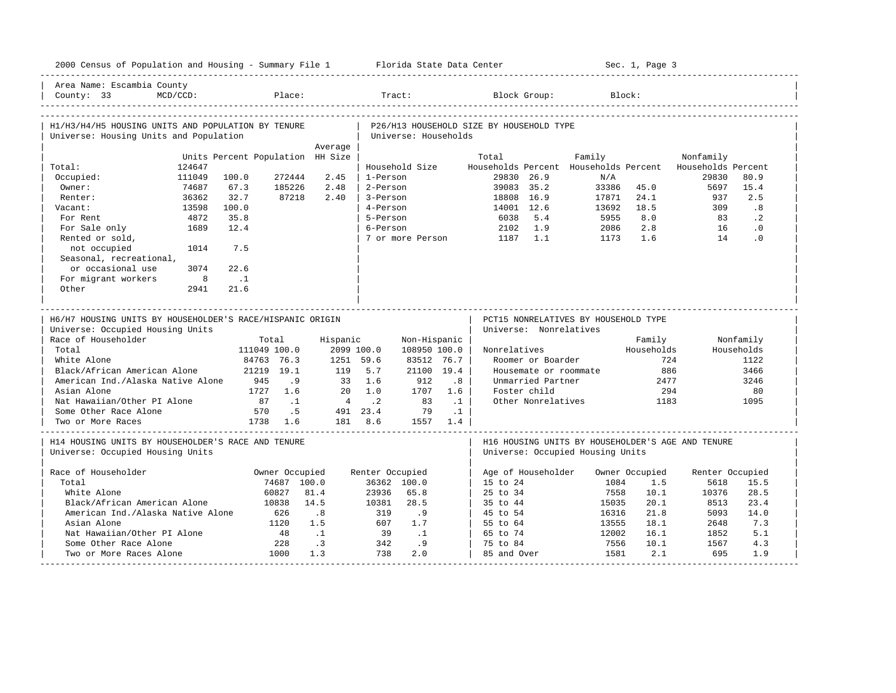|                                                                                               | 2000 Census of Population and Housing - Summary File 1 Florida State Data Center |                                  |                |            |                 |                      |              |                                          |                        |                                                                                       | Sec. 1, Page 3       |                             |                         |
|-----------------------------------------------------------------------------------------------|----------------------------------------------------------------------------------|----------------------------------|----------------|------------|-----------------|----------------------|--------------|------------------------------------------|------------------------|---------------------------------------------------------------------------------------|----------------------|-----------------------------|-------------------------|
| Area Name: Escambia County<br>County: $33$                                                    | $MCD/CCD$ :                                                                      |                                  | Place:         |            |                 | Tract:               |              |                                          | Block Group:           |                                                                                       | Block:               |                             |                         |
| H1/H3/H4/H5 HOUSING UNITS AND POPULATION BY TENURE<br>Universe: Housing Units and Population  |                                                                                  |                                  |                |            |                 | Universe: Households |              | P26/H13 HOUSEHOLD SIZE BY HOUSEHOLD TYPE |                        |                                                                                       |                      |                             |                         |
|                                                                                               |                                                                                  |                                  |                | Average    |                 |                      |              |                                          |                        |                                                                                       |                      |                             |                         |
|                                                                                               |                                                                                  | Units Percent Population HH Size |                |            |                 |                      |              | Total                                    |                        | Family                                                                                |                      | Nonfamily                   |                         |
| Total:<br>Occupied:                                                                           | 124647<br>111049                                                                 | 100.0                            | 272444         | 2.45       | 1-Person        | Household Size       |              | 29830 26.9                               |                        | Households Percent Households Percent<br>N/A                                          |                      | Households Percent<br>29830 | 80.9                    |
| Owner:                                                                                        | 74687                                                                            | 67.3                             | 185226         | 2.48       | 2-Person        |                      |              | 39083 35.2                               |                        | 33386                                                                                 | 45.0                 | 5697                        | 15.4                    |
| Renter:                                                                                       | 36362                                                                            | 32.7                             | 87218          | 2.40       | 3-Person        |                      |              | 18808 16.9                               |                        | 17871                                                                                 | 24.1                 | 937                         | 2.5                     |
| Vacant:                                                                                       | 13598                                                                            | 100.0                            |                |            | 4-Person        |                      |              | 14001 12.6                               |                        | 13692                                                                                 | 18.5                 | 309                         | .8                      |
| For Rent                                                                                      | 4872                                                                             | 35.8                             |                |            | 5-Person        |                      |              | 6038                                     | 5.4                    | 5955                                                                                  | 8.0                  | 83                          | $\cdot$ 2               |
| For Sale only                                                                                 | 1689                                                                             | 12.4                             |                |            | 6-Person        |                      |              | 2102                                     | 1.9                    | 2086                                                                                  | 2.8                  | 16                          | $\cdot$ 0               |
| Rented or sold,                                                                               |                                                                                  |                                  |                |            |                 | 7 or more Person     |              | 1187                                     | 1.1                    | 1173                                                                                  | 1.6                  | 14                          | .0                      |
| not occupied                                                                                  | 1014                                                                             | 7.5                              |                |            |                 |                      |              |                                          |                        |                                                                                       |                      |                             |                         |
| Seasonal, recreational,                                                                       |                                                                                  |                                  |                |            |                 |                      |              |                                          |                        |                                                                                       |                      |                             |                         |
| or occasional use                                                                             | 3074                                                                             | 22.6                             |                |            |                 |                      |              |                                          |                        |                                                                                       |                      |                             |                         |
| For migrant workers                                                                           | 8                                                                                | $\ldots$ 1                       |                |            |                 |                      |              |                                          |                        |                                                                                       |                      |                             |                         |
| Other                                                                                         | 2941                                                                             | 21.6                             |                |            |                 |                      |              |                                          |                        |                                                                                       |                      |                             |                         |
|                                                                                               |                                                                                  |                                  |                |            |                 |                      |              |                                          |                        |                                                                                       |                      |                             |                         |
| H6/H7 HOUSING UNITS BY HOUSEHOLDER'S RACE/HISPANIC ORIGIN<br>Universe: Occupied Housing Units |                                                                                  |                                  |                |            |                 |                      |              |                                          | Universe: Nonrelatives | PCT15 NONRELATIVES BY HOUSEHOLD TYPE                                                  |                      |                             |                         |
| Race of Householder                                                                           |                                                                                  |                                  | Total          | Hispanic   |                 |                      |              |                                          |                        |                                                                                       |                      |                             |                         |
|                                                                                               |                                                                                  |                                  |                |            |                 |                      |              |                                          |                        |                                                                                       |                      |                             |                         |
| Total                                                                                         |                                                                                  |                                  | 111049 100.0   | 2099 100.0 |                 | 108950 100.0         | Non-Hispanic | Nonrelatives                             |                        |                                                                                       | Family<br>Households |                             | Nonfamily<br>Households |
| White Alone                                                                                   |                                                                                  |                                  | 84763 76.3     | 1251 59.6  |                 | 83512 76.7           |              |                                          | Roomer or Boarder      |                                                                                       | 724                  |                             | 1122                    |
| Black/African American Alone                                                                  |                                                                                  |                                  | 21219 19.1     | 119        | 5.7             | 21100 19.4           |              |                                          |                        | Housemate or roommate                                                                 | 886                  |                             | 3466                    |
| American Ind./Alaska Native Alone                                                             |                                                                                  | 945                              | .9             |            | 33 1.6          | 912                  | .8           |                                          | Unmarried Partner      |                                                                                       | 2477                 |                             | 3246                    |
| Asian Alone                                                                                   |                                                                                  |                                  | 1727 1.6       | 20         | 1.0             | 1707                 | 1.6          |                                          | Foster child           |                                                                                       | 294                  |                             | 80                      |
| Nat Hawaiian/Other PI Alone                                                                   |                                                                                  | 87                               | $\ldots$ 1     |            | 4.2             | 83                   | $\ldots$ 1   |                                          | Other Nonrelatives     |                                                                                       | 1183                 |                             | 1095                    |
| Some Other Race Alone                                                                         |                                                                                  | 570                              | .5             |            | 491 23.4        | 79                   | $\ldots$ 1   |                                          |                        |                                                                                       |                      |                             |                         |
| Two or More Races                                                                             |                                                                                  |                                  | 1738 1.6       |            | 181 8.6         |                      | 1557 1.4     |                                          |                        |                                                                                       |                      |                             |                         |
| H14 HOUSING UNITS BY HOUSEHOLDER'S RACE AND TENURE<br>Universe: Occupied Housing Units        |                                                                                  |                                  |                |            |                 |                      |              |                                          |                        | H16 HOUSING UNITS BY HOUSEHOLDER'S AGE AND TENURE<br>Universe: Occupied Housing Units |                      |                             |                         |
| Race of Householder                                                                           |                                                                                  |                                  | Owner Occupied |            | Renter Occupied |                      |              | Age of Householder                       |                        |                                                                                       | Owner Occupied       | Renter Occupied             |                         |
| Total                                                                                         |                                                                                  |                                  | 74687 100.0    |            |                 | 36362 100.0          |              | 15 to 24                                 |                        | 1084                                                                                  | 1.5                  | 5618                        | 15.5                    |
| White Alone                                                                                   |                                                                                  |                                  | 60827          | 81.4       | 23936           | 65.8                 |              | $25$ to $34$                             |                        | 7558                                                                                  | 10.1                 | 10376                       | 28.5                    |
| Black/African American Alone                                                                  |                                                                                  |                                  | 10838          | 14.5       | 10381           | 28.5                 |              | 35 to 44                                 |                        | 15035                                                                                 | 20.1                 | 8513                        | 23.4                    |
| American Ind./Alaska Native Alone                                                             |                                                                                  |                                  | 626            | .8         | 319             | .9                   |              | 45 to 54                                 |                        | 16316                                                                                 | 21.8                 | 5093                        | 14.0                    |
| Asian Alone                                                                                   |                                                                                  |                                  | 1120           | 1.5        | 607             | 1.7                  |              | 55 to 64                                 |                        | 13555                                                                                 | 18.1                 | 2648                        | 7.3                     |
| Nat Hawaiian/Other PI Alone                                                                   |                                                                                  |                                  | 48             | $\cdot$ 1  | 39              | $\cdot$ 1            |              | 65 to 74                                 |                        | 12002                                                                                 | 16.1                 | 1852                        | 5.1                     |
| Some Other Race Alone                                                                         |                                                                                  |                                  | 228            | $\cdot$ 3  | 342             | .9                   |              | 75 to 84                                 |                        | 7556                                                                                  | 10.1                 | 1567                        | 4.3                     |
| Two or More Races Alone                                                                       |                                                                                  |                                  | 1000           | 1.3        | 738             | 2.0                  |              | 85 and Over                              |                        | 1581                                                                                  | 2.1                  | 695                         | 1.9                     |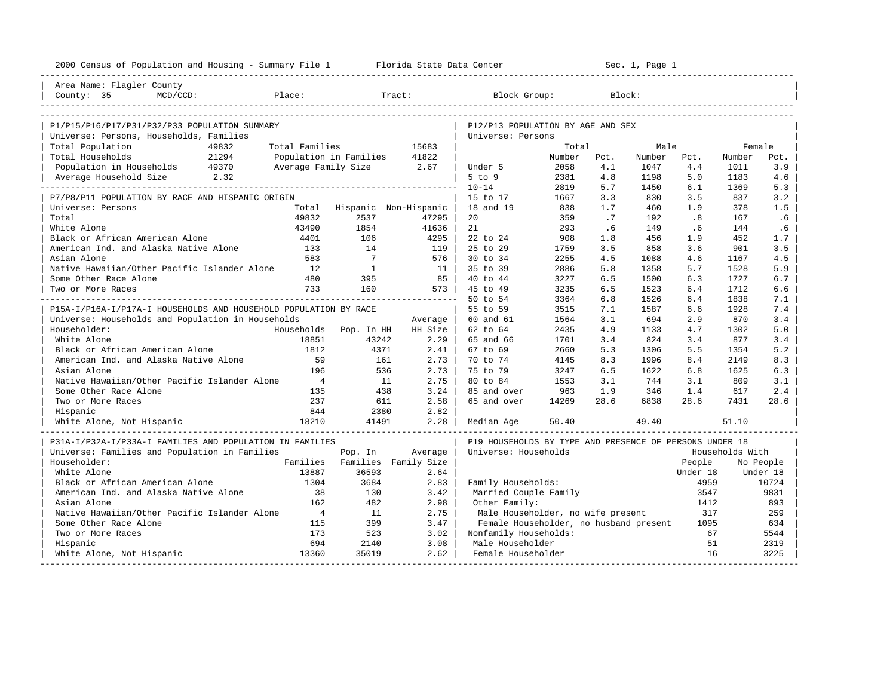| 2000 Census of Population and Housing - Summary File 1 Florida State Data Center |                          |                 |                               |                                                         |        |      | Sec. 1, Page 1 |          |                 |           |
|----------------------------------------------------------------------------------|--------------------------|-----------------|-------------------------------|---------------------------------------------------------|--------|------|----------------|----------|-----------------|-----------|
| Area Name: Flagler County                                                        |                          |                 |                               |                                                         |        |      |                |          |                 |           |
| County: 35<br>$MCD/CCD$ :                                                        | Place:                   |                 | Tract:                        | Block Group:                                            |        |      | Block:         |          |                 |           |
|                                                                                  |                          |                 |                               |                                                         |        |      |                |          |                 |           |
| P1/P15/P16/P17/P31/P32/P33 POPULATION SUMMARY                                    |                          |                 |                               | P12/P13 POPULATION BY AGE AND SEX                       |        |      |                |          |                 |           |
| Universe: Persons, Households, Families                                          |                          |                 |                               | Universe: Persons                                       |        |      |                |          |                 |           |
| Total Population<br>49832                                                        | Total Families           |                 | 15683                         |                                                         | Total  |      | Male           |          | Female          |           |
| 21294<br>Total Households                                                        | Population in Families   |                 | 41822                         |                                                         | Number | Pct. | Number         | Pct.     | Number          | Pct.      |
| Population in Households 49370                                                   | Average Family Size 2.67 |                 |                               | Under 5                                                 | 2058   | 4.1  | 1047           | 4.4      | 1011            | 3.9       |
| Average Household Size 2.32                                                      |                          |                 |                               | $5$ to $9$                                              | 2381   | 4.8  | 1198           | 5.0      | 1183            | 4.6       |
|                                                                                  |                          |                 |                               | $10 - 14$                                               | 2819   | 5.7  | 1450           | 6.1      | 1369            | 5.3       |
| P7/P8/P11 POPULATION BY RACE AND HISPANIC ORIGIN                                 |                          |                 |                               | 15 to 17                                                | 1667   | 3.3  | 830            | 3.5      | 837             | 3.2       |
| Universe: Persons                                                                | Total                    |                 | Hispanic Non-Hispanic         | 18 and 19                                               | 838    | 1.7  | 460            | 1.9      | 378             | 1.5       |
| Total                                                                            | 49832                    | 2537            | 47295                         | 20                                                      | 359    | .7   | 192            | .8       | 167             | .6        |
| White Alone                                                                      | 43490                    | 1854            | 41636                         | 21                                                      | 293    | .6   | 149            | .6       | 144             | .6        |
| Black or African American Alone                                                  | 4401                     | 106             | 4295                          | 22 to 24                                                | 908    | 1.8  | 456            | 1.9      | 452             | 1.7       |
| American Ind. and Alaska Native Alone                                            | 133                      | 14              | 119 l                         | 25 to 29                                                | 1759   | 3.5  | 858            | 3.6      | 901             | 3.5       |
| Asian Alone                                                                      | 583                      | $7\overline{ }$ | 576                           | 30 to 34                                                | 2255   | 4.5  | 1088           | 4.6      | 1167            | 4.5       |
| Native Hawaiian/Other Pacific Islander Alone                                     | 12                       | $\mathbf{1}$    | 11                            | 35 to 39                                                | 2886   | 5.8  | 1358           | 5.7      | 1528            | 5.9       |
| Some Other Race Alone                                                            | 480                      | 395             | 85                            | 40 to 44                                                | 3227   | 6.5  | 1500           | 6.3      | 1727            | 6.7       |
| Two or More Races                                                                | 733                      | 160             | 573                           | 45 to 49                                                | 3235   | 6.5  | 1523           | 6.4      | 1712            | 6.6       |
|                                                                                  |                          |                 |                               | 50 to 54                                                | 3364   | 6.8  | 1526           | 6.4      | 1838            | 7.1       |
| P15A-I/P16A-I/P17A-I HOUSEHOLDS AND HOUSEHOLD POPULATION BY RACE                 |                          |                 |                               | 55 to 59                                                | 3515   | 7.1  | 1587           | 6.6      | 1928            | 7.4       |
| Universe: Households and Population in Households                                |                          |                 | Average                       | 60 and 61                                               | 1564   | 3.1  | 694            | 2.9      | 870             | 3.4       |
| Householder:                                                                     | Households Pop. In HH    |                 | HH Size                       | 62 to 64                                                | 2435   | 4.9  | 1133           | 4.7      | 1302            | 5.0       |
| White Alone                                                                      | 18851                    | 43242           | $2.29$                        | 65 and 66                                               | 1701   | 3.4  | 824            | 3.4      | 877             | 3.4       |
| Black or African American Alone                                                  | 1812                     | 4371            | $2.41$                        | 67 to 69                                                | 2660   | 5.3  | 1306           | 5.5      | 1354            | 5.2       |
| American Ind. and Alaska Native Alone                                            | 59                       | 161             | $2.73$                        | 70 to 74                                                | 4145   | 8.3  | 1996           | 8.4      | 2149            | 8.3       |
| Asian Alone                                                                      | 196                      | 536             | 2.73                          | 75 to 79                                                | 3247   | 6.5  | 1622           | 6.8      | 1625            | 6.3       |
| Native Hawaiian/Other Pacific Islander Alone                                     | $\overline{4}$           | 11              | 2.75                          | 80 to 84                                                | 1553   | 3.1  | 744            | 3.1      | 809             | 3.1       |
| Some Other Race Alone                                                            | 135                      | 438             | 3.24                          | 85 and over                                             | 963    | 1.9  | 346            | 1.4      | 617             | 2.4       |
| Two or More Races                                                                | 237                      | 611             | 2.58                          | 65 and over                                             | 14269  | 28.6 | 6838           | 28.6     | 7431            | 28.6      |
| Hispanic                                                                         | 844                      | 2380            | 2.82                          |                                                         |        |      |                |          |                 |           |
| White Alone, Not Hispanic                                                        | 18210                    | 41491           | 2.28                          | Median Age                                              | 50.40  |      | 49.40          |          | 51.10           |           |
| P31A-I/P32A-I/P33A-I FAMILIES AND POPULATION IN FAMILIES                         |                          |                 |                               | P19 HOUSEHOLDS BY TYPE AND PRESENCE OF PERSONS UNDER 18 |        |      |                |          |                 |           |
| Universe: Families and Population in Families                                    |                          | Pop. In         | Average                       | Universe: Households                                    |        |      |                |          | Households With |           |
| Householder:                                                                     |                          |                 | Families Families Family Size |                                                         |        |      |                | People   |                 | No People |
| White Alone                                                                      | 13887                    | 36593           | 2.64                          |                                                         |        |      |                | Under 18 |                 | Under 18  |
| Black or African American Alone                                                  | 1304                     | 3684            | 2.83                          | Family Households:                                      |        |      |                | 4959     |                 | 10724     |
| American Ind. and Alaska Native Alone                                            | 38                       | 130             | 3.42                          | Married Couple Family                                   |        |      |                | 3547     |                 | 9831      |
| Asian Alone                                                                      | 162                      | 482             | 2.98                          | Other Family:                                           |        |      |                | 1412     |                 | 893       |
| Native Hawaiian/Other Pacific Islander Alone                                     | $\overline{4}$           | 11              | 2.75                          | Male Householder, no wife present                       |        |      |                | 317      |                 | 259       |
| Some Other Race Alone                                                            | 115                      | 399             | 3.47                          | Female Householder, no husband present                  |        |      |                | 1095     |                 | 634       |
| Two or More Races                                                                | 173                      | 523             | 3.02                          | Nonfamily Households:                                   |        |      |                | 67       |                 | 5544      |
| Hispanic                                                                         | 694                      | 2140            | 3.08                          | Male Householder                                        |        |      |                | 51       |                 | 2319      |
| White Alone, Not Hispanic                                                        | 13360                    | 35019           | 2.62                          | Female Householder                                      |        |      |                | 16       |                 | 3225      |
|                                                                                  |                          |                 |                               |                                                         |        |      |                |          |                 |           |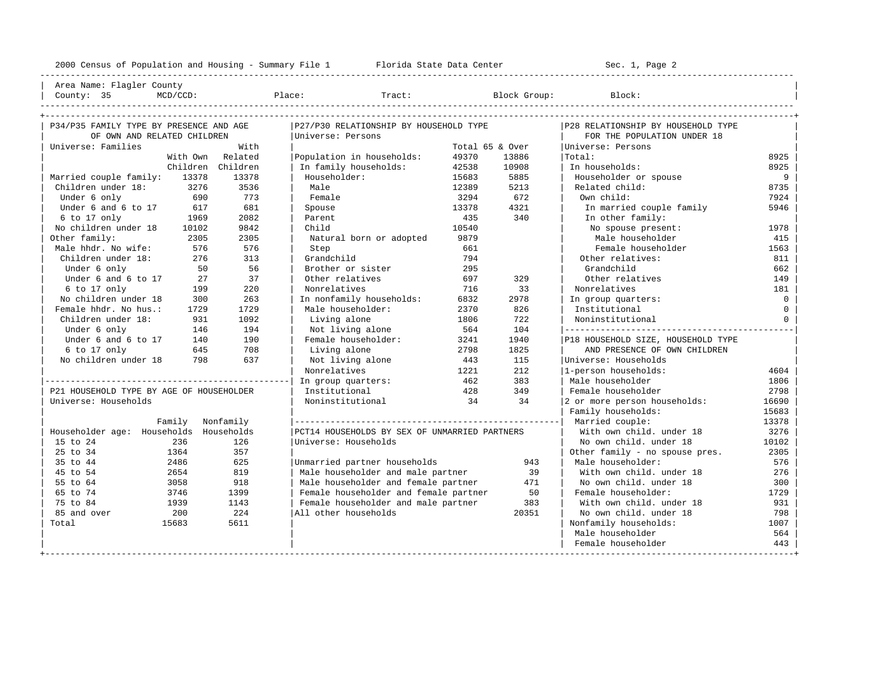---------------------------------------------------------------------------------------------------------------------------------------------------- | Area Name: Flagler County | | County: 35 MCD/CCD: Place: Tract: Block Group: Block: | ---------------------------------------------------------------------------------------------------------------------------------------------------- +---------------------------------------------------------------------------------------------------------------------------------------------------+

| P34/P35 FAMILY TYPE BY PRESENCE AND AGE  |              | P27/P30 RELATIONSHIP BY HOUSEHOLD TYPE        |       | P28 RELATIONSHIP BY HOUSEHOLD TYPE |                                    |              |
|------------------------------------------|--------------|-----------------------------------------------|-------|------------------------------------|------------------------------------|--------------|
| OF OWN AND RELATED CHILDREN              |              | Universe: Persons                             |       |                                    | FOR THE POPULATION UNDER 18        |              |
| Universe: Families                       | With         |                                               |       | Total 65 & Over                    | Universe: Persons                  |              |
| With Own                                 | Related      | Population in households:                     | 49370 | 13886                              | Total:                             | 8925         |
| Children                                 | Children     | In family households:                         | 42538 | 10908                              | In households:                     | 8925         |
| Married couple family:<br>13378          | 13378        | Householder:                                  | 15683 | 5885                               | Householder or spouse              | 9            |
| 3276<br>Children under 18:               | 3536         | Male                                          | 12389 | 5213                               | Related child:                     | 8735         |
| Under 6 only                             | 773<br>690   | Female                                        | 3294  | 672                                | Own child:                         | 7924         |
| Under 6 and 6 to 17                      | 681<br>617   | Spouse                                        | 13378 | 4321                               | In married couple family           | 5946         |
| 6 to 17 only                             | 1969<br>2082 | Parent                                        | 435   | 340                                | In other family:                   |              |
| No children under 18<br>10102            | 9842         | Child                                         | 10540 |                                    | No spouse present:                 | 1978         |
| Other family:                            | 2305<br>2305 | Natural born or adopted                       | 9879  |                                    | Male householder                   | 415          |
| Male hhdr. No wife:                      | 576<br>576   | Step                                          | 661   |                                    | Female householder                 | 1563         |
| Children under 18:                       | 313<br>276   | Grandchild                                    | 794   |                                    | Other relatives:                   | 811          |
| Under 6 only                             | 56<br>50     | Brother or sister                             | 295   |                                    | Grandchild                         | 662          |
| Under 6 and 6 to 17                      | 37<br>27     | Other relatives                               | 697   | 329                                | Other relatives                    | 149          |
| 6 to 17 only                             | 220<br>199   | Nonrelatives                                  | 716   | 33                                 | Nonrelatives                       | 181          |
| No children under 18                     | 263<br>300   | In nonfamily households:                      | 6832  | 2978                               | In group quarters:                 | $\circ$      |
| Female hhdr. No hus.:                    | 1729<br>1729 | Male householder:                             | 2370  | 826                                | Institutional                      | $\circ$      |
| Children under 18:                       | 931<br>1092  | Living alone                                  | 1806  | 722                                | Noninstitutional                   | $\mathbf{0}$ |
| Under 6 only                             | 194<br>146   | Not living alone                              | 564   | 104                                |                                    |              |
| Under 6 and 6 to 17                      | 190<br>140   | Female householder:                           | 3241  | 1940                               | P18 HOUSEHOLD SIZE, HOUSEHOLD TYPE |              |
| 6 to 17 only                             | 645<br>708   | Living alone                                  | 2798  | 1825                               | AND PRESENCE OF OWN CHILDREN       |              |
| No children under 18                     | 637<br>798   | Not living alone                              | 443   | 115                                | Universe: Households               |              |
|                                          |              | Nonrelatives                                  | 1221  | 212                                | 1-person households:               | 4604         |
|                                          |              | In group quarters:                            | 462   | 383                                | Male householder                   | 1806         |
| P21 HOUSEHOLD TYPE BY AGE OF HOUSEHOLDER |              | Institutional                                 | 428   | 349                                | Female householder                 | 2798         |
| Universe: Households                     |              | Noninstitutional                              | 34    | 34                                 | 2 or more person households:       | 16690        |
|                                          |              |                                               |       |                                    | Family households:                 | 15683        |
| Family                                   | Nonfamily    |                                               |       |                                    | Married couple:                    | 13378        |
| Householder age: Households Households   |              | PCT14 HOUSEHOLDS BY SEX OF UNMARRIED PARTNERS |       |                                    | With own child. under 18           | 3276         |
| 15 to 24<br>236                          | 126          | Universe: Households                          |       |                                    | No own child, under 18             | 10102        |
| 25 to 34<br>1364                         | 357          |                                               |       |                                    | Other family - no spouse pres.     | 2305         |
| 35 to 44<br>2486                         | 625          | Unmarried partner households                  |       | 943                                | Male householder:                  | 576          |
| 45 to 54<br>2654                         | 819          | Male householder and male partner             |       | 39                                 | With own child. under 18           | 276          |
| 55 to 64<br>3058                         | 918          | Male householder and female partner           |       | 471                                | No own child. under 18             | 300          |
| 65 to 74<br>3746                         | 1399         | Female householder and female partner         |       | 50                                 | Female householder:                | 1729         |
| 75 to 84<br>1939                         | 1143         | Female householder and male partner           |       | 383                                | With own child, under 18           | 931          |
| 85 and over<br>200                       | 224          | All other households                          |       | 20351                              | No own child. under 18             | 798          |
| 15683<br>Total                           | 5611         |                                               |       |                                    | Nonfamily households:              | 1007         |
|                                          |              |                                               |       |                                    | Male householder                   | 564          |
|                                          |              |                                               |       |                                    | Female householder                 | 443          |
|                                          |              |                                               |       |                                    |                                    |              |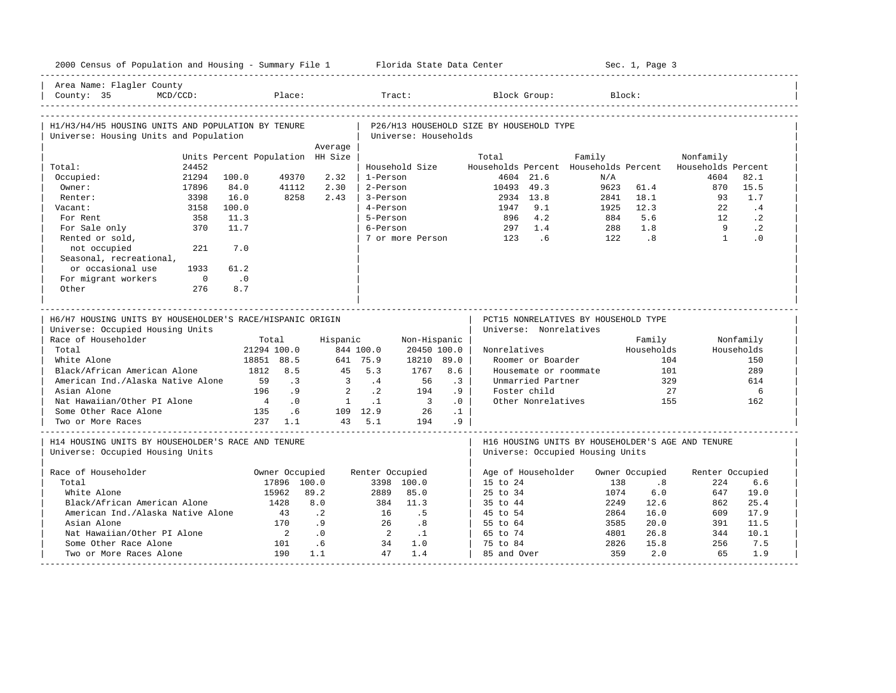| 2000 Census of Population and Housing - Summary File 1 Florida State Data Center             |                                  |                |                              |                                |                                          |                       |                                              | Sec. 1, Page 3               |                                                   |                 |
|----------------------------------------------------------------------------------------------|----------------------------------|----------------|------------------------------|--------------------------------|------------------------------------------|-----------------------|----------------------------------------------|------------------------------|---------------------------------------------------|-----------------|
| Area Name: Flagler County<br>County: 35<br>$MCD/CCD$ :                                       | Place:                           |                | Tract:                       |                                |                                          | Block Group:          |                                              | Block:                       |                                                   |                 |
| H1/H3/H4/H5 HOUSING UNITS AND POPULATION BY TENURE<br>Universe: Housing Units and Population |                                  |                | Universe: Households         |                                | P26/H13 HOUSEHOLD SIZE BY HOUSEHOLD TYPE |                       |                                              |                              |                                                   |                 |
|                                                                                              |                                  | Average        |                              |                                |                                          |                       |                                              |                              |                                                   |                 |
|                                                                                              | Units Percent Population HH Size |                |                              |                                | Total                                    |                       | Family                                       |                              | Nonfamily                                         |                 |
| 24452<br>Total:<br>Occupied:<br>21294                                                        | 49370<br>100.0                   | 2.32           | Household Size<br>1-Person   |                                |                                          | 4604 21.6             | Households Percent Households Percent<br>N/A |                              | Households Percent<br>4604                        | 82.1            |
| Owner:                                                                                       | 84.0                             | 2.30           | 2-Person                     |                                |                                          | 49.3                  | 9623                                         | 61.4                         | 870                                               | 15.5            |
| 17896<br>Renter:<br>3398                                                                     | 41112<br>16.0<br>8258            | 2.43           | 3-Person                     |                                | 10493                                    | 13.8                  | 2841                                         | 18.1                         | 93                                                | 1.7             |
| Vacant:<br>3158                                                                              | 100.0                            |                | 4-Person                     |                                | 2934                                     | 9.1                   | 1925                                         | 12.3                         | 2.2                                               | .4              |
|                                                                                              |                                  |                | 5-Person                     |                                | 1947                                     |                       | 884                                          | 5.6                          | 12                                                | $\cdot$ 2       |
| For Rent<br>358<br>370                                                                       | 11.3<br>11.7                     |                |                              |                                | 896                                      | 4.2<br>1.4            |                                              | 1.8                          | $\overline{9}$                                    |                 |
| For Sale only<br>Rented or sold,                                                             |                                  |                | 6-Person<br>7 or more Person |                                | 297<br>123                               | 6 <sup>6</sup>        | 288<br>122                                   | $\overline{\phantom{0}}$ . 8 | $\overline{1}$                                    | $\cdot$ 2<br>.0 |
| not occupied<br>221<br>Seasonal, recreational,                                               | 7.0                              |                |                              |                                |                                          |                       |                                              |                              |                                                   |                 |
| or occasional use<br>1933                                                                    | 61.2                             |                |                              |                                |                                          |                       |                                              |                              |                                                   |                 |
| For migrant workers<br>$\overline{0}$                                                        | $\cdot$ 0                        |                |                              |                                |                                          |                       |                                              |                              |                                                   |                 |
| Other<br>276                                                                                 | 8.7                              |                |                              |                                |                                          |                       |                                              |                              |                                                   |                 |
|                                                                                              |                                  |                |                              |                                |                                          |                       |                                              |                              |                                                   |                 |
| H6/H7 HOUSING UNITS BY HOUSEHOLDER'S RACE/HISPANIC ORIGIN                                    |                                  |                |                              |                                |                                          |                       | PCT15 NONRELATIVES BY HOUSEHOLD TYPE         |                              |                                                   |                 |
| Universe: Occupied Housing Units                                                             |                                  |                |                              |                                | Universe: Nonrelatives                   |                       |                                              |                              |                                                   |                 |
| Race of Householder                                                                          | Total                            | Hispanic       |                              | Non-Hispanic                   |                                          |                       |                                              | Family                       |                                                   | Nonfamily       |
| Total                                                                                        | 21294 100.0                      | 844 100.0      |                              | 20450 100.0                    | Nonrelatives                             |                       |                                              | Households                   |                                                   | Households      |
| White Alone                                                                                  | 18851 88.5                       | 641 75.9       |                              | 18210 89.0                     |                                          | Roomer or Boarder     |                                              | 104                          |                                                   | 150             |
| Black/African American Alone                                                                 | 1812<br>8.5                      | 45             | 5.3                          | 8.6<br>1767                    |                                          | Housemate or roommate |                                              | 101                          |                                                   | 289             |
| American Ind./Alaska Native Alone                                                            | 59<br>$\cdot$ 3                  | $\overline{3}$ | .4                           | 56<br>$\cdot$ 3                |                                          | Unmarried Partner     |                                              | 329                          |                                                   | 614             |
| Asian Alone                                                                                  | 196<br>.9                        | 2              | $\cdot$ 2                    | 194<br>.9                      |                                          | Foster child          |                                              | 27                           |                                                   | 6               |
| Nat Hawaiian/Other PI Alone                                                                  | $\overline{4}$<br>$\cdot$ 0      | $\overline{1}$ | $\cdot$ 1                    | $\overline{\phantom{a}}$<br>.0 |                                          | Other Nonrelatives    |                                              | 155                          |                                                   | 162             |
| Some Other Race Alone                                                                        | 135<br>.6                        |                | 109 12.9                     | 26<br>$\cdot$ 1                |                                          |                       |                                              |                              |                                                   |                 |
| Two or More Races                                                                            | $237 \quad 1.1$                  |                | 43, 5.1                      | .9<br>194                      |                                          |                       |                                              |                              |                                                   |                 |
| H14 HOUSING UNITS BY HOUSEHOLDER'S RACE AND TENURE<br>Universe: Occupied Housing Units       |                                  |                |                              |                                |                                          |                       |                                              |                              | H16 HOUSING UNITS BY HOUSEHOLDER'S AGE AND TENURE |                 |
|                                                                                              |                                  |                |                              |                                |                                          |                       | Universe: Occupied Housing Units             |                              |                                                   |                 |
|                                                                                              |                                  |                |                              |                                |                                          |                       |                                              |                              |                                                   |                 |
| Race of Householder                                                                          | Owner Occupied                   |                | Renter Occupied              |                                | Age of Householder                       |                       |                                              | Owner Occupied               | Renter Occupied                                   |                 |
| Total                                                                                        | 17896 100.0                      |                | 3398 100.0                   |                                | 15 to 24                                 |                       | 138                                          | .8                           | 224                                               | 6.6             |
| White Alone                                                                                  | 15962                            | 89.2           | 85.0<br>2889                 |                                | 25 to 34                                 |                       | 1074                                         | 6.0                          | 647                                               | 19.0            |
| Black/African American Alone                                                                 | 1428                             | 8.0            | 384<br>11.3                  |                                | 35 to 44                                 |                       | 2249                                         | 12.6                         | 862                                               | 25.4            |
| American Ind./Alaska Native Alone                                                            | 43                               | $\cdot$ 2      | 16                           | .5                             | 45 to 54                                 |                       | 2864                                         | 16.0                         | 609                                               | 17.9            |
| Asian Alone                                                                                  | 170                              | .9             | 26                           | .8                             | 55 to 64                                 |                       | 3585                                         | 20.0                         | 391                                               | 11.5            |
| Nat Hawaiian/Other PI Alone                                                                  | $\overline{\phantom{0}}$         | .0             | 2                            | $\cdot$ 1                      | 65 to 74                                 |                       | 4801                                         | 26.8                         | 344                                               | 10.1            |
| Some Other Race Alone<br>Two or More Races Alone                                             | 101<br>190                       | .6<br>1.1      | 34<br>1.0<br>47<br>1.4       |                                | 75 to 84<br>85 and Over                  |                       | 2826<br>359                                  | 15.8<br>2.0                  | 256<br>65                                         | 7.5<br>1.9      |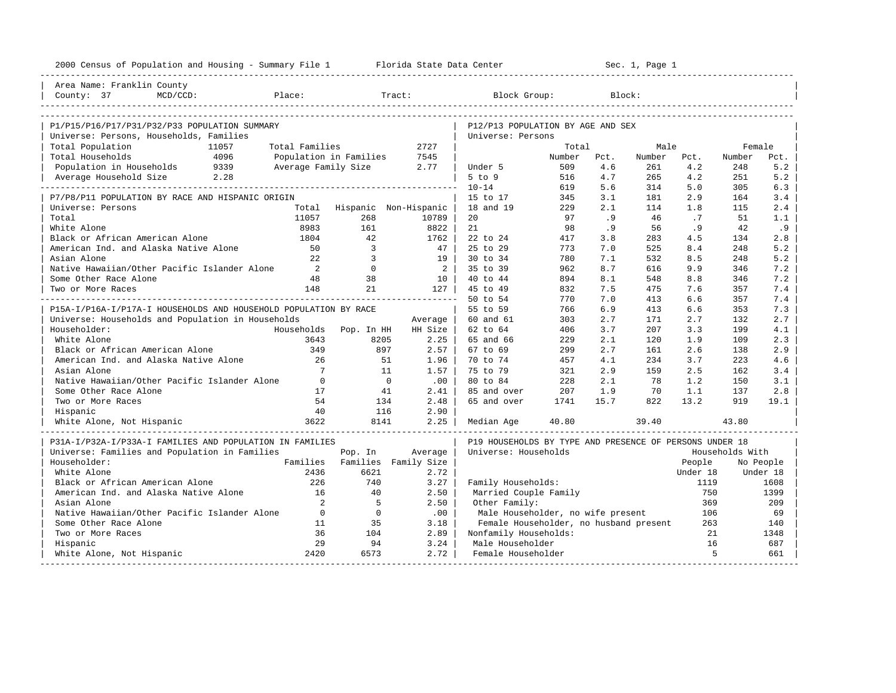| Area Name: Franklin County<br>Place:<br>Tract:<br>Block Group:<br>Block:<br>County: 37<br>$MCD/CCD$ :<br>P1/P15/P16/P17/P31/P32/P33 POPULATION SUMMARY<br>P12/P13 POPULATION BY AGE AND SEX<br>Universe: Persons, Households, Families<br>Universe: Persons<br>Total Population<br>11057<br>Total Families<br>2727<br>Total<br>Male<br>Female<br>Total Households<br>4096<br>Population in Families<br>7545<br>Number<br>Pct.<br>Number<br>Pct.<br>Number<br>Pct.<br>5.2<br>Population in Households<br>9339<br>Average Family Size<br>4.6<br>261<br>4.2<br>248<br>2.77<br>Under 5<br>509<br>Average Household Size 2.28<br>4.7<br>4.2<br>5.2<br>$5$ to $9$<br>265<br>251<br>516<br>$10 - 14$<br>314<br>5.0<br>6.3<br>619<br>5.6<br>305<br>2.9<br>P7/P8/P11 POPULATION BY RACE AND HISPANIC ORIGIN<br>3.1<br>181<br>3.4<br>15 to 17<br>345<br>164<br>2.4<br>Universe: Persons<br>Hispanic Non-Hispanic<br>18 and 19<br>229<br>2.1<br>1.8<br>Total<br>114<br>115<br>Total<br>11057<br>268<br>20<br>97<br>.9<br>46<br>.7<br>51<br>1.1<br>10789<br>56<br>.9<br>White Alone<br>8983<br>161<br>8822  <br>21<br>98<br>.9<br>.9<br>42<br>42<br>2.8<br>Black or African American Alone<br>1804<br>1762<br>22 to 24<br>417<br>3.8<br>283<br>4.5<br>134<br>5.2<br>American Ind. and Alaska Native Alone<br>$\mathbf{3}$<br>25 to 29<br>7.0<br>525<br>8.4<br>50<br>47  <br>773<br>248<br>5.2<br>Asian Alone<br>2.2<br>$\overline{3}$<br>30 to 34<br>7.1<br>8.5<br>248<br>19 <sup>1</sup><br>780<br>532<br>$\overline{0}$<br>$2 \vert$<br>7.2<br>Native Hawaiian/Other Pacific Islander Alone<br>2<br>35 to 39<br>8.7<br>9.9<br>962<br>616<br>346<br>7.2<br>Some Other Race Alone<br>48<br>38<br>40 to 44<br>894<br>8.1<br>548<br>8.8<br>346<br>10 l<br>21<br>148<br>$127$  <br>45 to 49<br>832<br>7.5<br>475<br>7.6<br>357<br>7.4<br>Two or More Races<br>______________________<br>50 to 54<br>770<br>7.0<br>413<br>6.6<br>357<br>7.4<br>7.3<br>P15A-I/P16A-I/P17A-I HOUSEHOLDS AND HOUSEHOLD POPULATION BY RACE<br>55 to 59<br>766<br>6.9<br>413<br>6.6<br>353<br>Universe: Households and Population in Households<br>171<br>2.7<br>2.7<br>60 and 61<br>303<br>2.7<br>132<br>Average<br>207<br>3.3<br>Householder:<br>Households<br>Pop. In HH<br>HH Size I<br>62 to 64<br>406<br>3.7<br>199<br>4.1<br>White Alone<br>2.3<br>3643<br>8205<br>$2.25$  <br>65 and 66<br>229<br>2.1<br>120<br>1.9<br>109<br>Black or African American Alone<br>349<br>897<br>2.7<br>2.6<br>2.9<br>$2.57 \;  $<br>67 to 69<br>299<br>161<br>138<br>American Ind. and Alaska Native Alone<br>26<br>4.1<br>234<br>3.7<br>223<br>51<br>1.96<br>70 to 74<br>457<br>4.6<br>$7\overline{ }$<br>321<br>2.9<br>2.5<br>3.4<br>Asian Alone<br>11<br>$1.57$  <br>75 to 79<br>159<br>162<br>Native Hawaiian/Other Pacific Islander Alone<br>$\overline{0}$<br>$\overline{0}$<br>228<br>2.1<br>1.2<br>3.1<br>.00<br>80 to 84<br>78<br>150<br>Some Other Race Alone<br>17<br>41<br>2.41<br>207<br>1.9<br>70<br>1.1<br>2.8<br>85 and over<br>137<br>54<br>2.48<br>65 and over<br>1741<br>15.7<br>822<br>13.2<br>919<br>19.1<br>Two or More Races<br>134<br>40<br>116<br>2.90<br>Hispanic<br>3622<br>39.40<br>White Alone, Not Hispanic<br>8141<br>2.25<br>40.80<br>43.80<br>Median Age<br>P31A-I/P32A-I/P33A-I FAMILIES AND POPULATION IN FAMILIES<br>P19 HOUSEHOLDS BY TYPE AND PRESENCE OF PERSONS UNDER 18<br>Universe: Families and Population in Families<br>Average<br>Universe: Households<br>Households With<br>Pop. In<br>Householder:<br>Families<br>Families Family Size<br>People<br>No People<br>White Alone<br>2436<br>6621<br>2.72<br>Under 18<br>Under 18<br>Black or African American Alone<br>226<br>740<br>Family Households:<br>3.27<br>1119<br>1608<br>American Ind. and Alaska Native Alone<br>16<br>40<br>Married Couple Family<br>1399<br>2.50<br>750<br>2<br>Asian Alone<br>5<br>Other Family:<br>369<br>209<br>2.50<br>Native Hawaiian/Other Pacific Islander Alone<br>$\overline{0}$<br>$\overline{0}$<br>.00<br>Male Householder, no wife present<br>106<br>69<br>Some Other Race Alone<br>11<br>35<br>3.18<br>Female Householder, no husband present<br>263<br>140<br>Two or More Races<br>36<br>104<br>2.89<br>Nonfamily Households:<br>21<br>1348<br>29<br>94<br>3.24<br>Male Householder<br>16<br>687 | 2000 Census of Population and Housing - Summary File 1 Florida State Data Center |  | Sec. 1, Page 1<br>----------------------- |  |  |  |  |  |  |
|--------------------------------------------------------------------------------------------------------------------------------------------------------------------------------------------------------------------------------------------------------------------------------------------------------------------------------------------------------------------------------------------------------------------------------------------------------------------------------------------------------------------------------------------------------------------------------------------------------------------------------------------------------------------------------------------------------------------------------------------------------------------------------------------------------------------------------------------------------------------------------------------------------------------------------------------------------------------------------------------------------------------------------------------------------------------------------------------------------------------------------------------------------------------------------------------------------------------------------------------------------------------------------------------------------------------------------------------------------------------------------------------------------------------------------------------------------------------------------------------------------------------------------------------------------------------------------------------------------------------------------------------------------------------------------------------------------------------------------------------------------------------------------------------------------------------------------------------------------------------------------------------------------------------------------------------------------------------------------------------------------------------------------------------------------------------------------------------------------------------------------------------------------------------------------------------------------------------------------------------------------------------------------------------------------------------------------------------------------------------------------------------------------------------------------------------------------------------------------------------------------------------------------------------------------------------------------------------------------------------------------------------------------------------------------------------------------------------------------------------------------------------------------------------------------------------------------------------------------------------------------------------------------------------------------------------------------------------------------------------------------------------------------------------------------------------------------------------------------------------------------------------------------------------------------------------------------------------------------------------------------------------------------------------------------------------------------------------------------------------------------------------------------------------------------------------------------------------------------------------------------------------------------------------------------------------------------------------------------------------------------------------------------------------------------------------------------------------------------------------------------------------------------------------------------------------------------------------------------------------------------------------------------------------------------------------------------------------------------------------------------------------------------------------------------------------------------------------------------------------------------------------------------------------------------------------------------------------------------------------------------------------------------------------|----------------------------------------------------------------------------------|--|-------------------------------------------|--|--|--|--|--|--|
|                                                                                                                                                                                                                                                                                                                                                                                                                                                                                                                                                                                                                                                                                                                                                                                                                                                                                                                                                                                                                                                                                                                                                                                                                                                                                                                                                                                                                                                                                                                                                                                                                                                                                                                                                                                                                                                                                                                                                                                                                                                                                                                                                                                                                                                                                                                                                                                                                                                                                                                                                                                                                                                                                                                                                                                                                                                                                                                                                                                                                                                                                                                                                                                                                                                                                                                                                                                                                                                                                                                                                                                                                                                                                                                                                                                                                                                                                                                                                                                                                                                                                                                                                                                                                                                                                            |                                                                                  |  |                                           |  |  |  |  |  |  |
|                                                                                                                                                                                                                                                                                                                                                                                                                                                                                                                                                                                                                                                                                                                                                                                                                                                                                                                                                                                                                                                                                                                                                                                                                                                                                                                                                                                                                                                                                                                                                                                                                                                                                                                                                                                                                                                                                                                                                                                                                                                                                                                                                                                                                                                                                                                                                                                                                                                                                                                                                                                                                                                                                                                                                                                                                                                                                                                                                                                                                                                                                                                                                                                                                                                                                                                                                                                                                                                                                                                                                                                                                                                                                                                                                                                                                                                                                                                                                                                                                                                                                                                                                                                                                                                                                            |                                                                                  |  |                                           |  |  |  |  |  |  |
|                                                                                                                                                                                                                                                                                                                                                                                                                                                                                                                                                                                                                                                                                                                                                                                                                                                                                                                                                                                                                                                                                                                                                                                                                                                                                                                                                                                                                                                                                                                                                                                                                                                                                                                                                                                                                                                                                                                                                                                                                                                                                                                                                                                                                                                                                                                                                                                                                                                                                                                                                                                                                                                                                                                                                                                                                                                                                                                                                                                                                                                                                                                                                                                                                                                                                                                                                                                                                                                                                                                                                                                                                                                                                                                                                                                                                                                                                                                                                                                                                                                                                                                                                                                                                                                                                            |                                                                                  |  |                                           |  |  |  |  |  |  |
|                                                                                                                                                                                                                                                                                                                                                                                                                                                                                                                                                                                                                                                                                                                                                                                                                                                                                                                                                                                                                                                                                                                                                                                                                                                                                                                                                                                                                                                                                                                                                                                                                                                                                                                                                                                                                                                                                                                                                                                                                                                                                                                                                                                                                                                                                                                                                                                                                                                                                                                                                                                                                                                                                                                                                                                                                                                                                                                                                                                                                                                                                                                                                                                                                                                                                                                                                                                                                                                                                                                                                                                                                                                                                                                                                                                                                                                                                                                                                                                                                                                                                                                                                                                                                                                                                            |                                                                                  |  |                                           |  |  |  |  |  |  |
|                                                                                                                                                                                                                                                                                                                                                                                                                                                                                                                                                                                                                                                                                                                                                                                                                                                                                                                                                                                                                                                                                                                                                                                                                                                                                                                                                                                                                                                                                                                                                                                                                                                                                                                                                                                                                                                                                                                                                                                                                                                                                                                                                                                                                                                                                                                                                                                                                                                                                                                                                                                                                                                                                                                                                                                                                                                                                                                                                                                                                                                                                                                                                                                                                                                                                                                                                                                                                                                                                                                                                                                                                                                                                                                                                                                                                                                                                                                                                                                                                                                                                                                                                                                                                                                                                            |                                                                                  |  |                                           |  |  |  |  |  |  |
|                                                                                                                                                                                                                                                                                                                                                                                                                                                                                                                                                                                                                                                                                                                                                                                                                                                                                                                                                                                                                                                                                                                                                                                                                                                                                                                                                                                                                                                                                                                                                                                                                                                                                                                                                                                                                                                                                                                                                                                                                                                                                                                                                                                                                                                                                                                                                                                                                                                                                                                                                                                                                                                                                                                                                                                                                                                                                                                                                                                                                                                                                                                                                                                                                                                                                                                                                                                                                                                                                                                                                                                                                                                                                                                                                                                                                                                                                                                                                                                                                                                                                                                                                                                                                                                                                            |                                                                                  |  |                                           |  |  |  |  |  |  |
|                                                                                                                                                                                                                                                                                                                                                                                                                                                                                                                                                                                                                                                                                                                                                                                                                                                                                                                                                                                                                                                                                                                                                                                                                                                                                                                                                                                                                                                                                                                                                                                                                                                                                                                                                                                                                                                                                                                                                                                                                                                                                                                                                                                                                                                                                                                                                                                                                                                                                                                                                                                                                                                                                                                                                                                                                                                                                                                                                                                                                                                                                                                                                                                                                                                                                                                                                                                                                                                                                                                                                                                                                                                                                                                                                                                                                                                                                                                                                                                                                                                                                                                                                                                                                                                                                            |                                                                                  |  |                                           |  |  |  |  |  |  |
|                                                                                                                                                                                                                                                                                                                                                                                                                                                                                                                                                                                                                                                                                                                                                                                                                                                                                                                                                                                                                                                                                                                                                                                                                                                                                                                                                                                                                                                                                                                                                                                                                                                                                                                                                                                                                                                                                                                                                                                                                                                                                                                                                                                                                                                                                                                                                                                                                                                                                                                                                                                                                                                                                                                                                                                                                                                                                                                                                                                                                                                                                                                                                                                                                                                                                                                                                                                                                                                                                                                                                                                                                                                                                                                                                                                                                                                                                                                                                                                                                                                                                                                                                                                                                                                                                            |                                                                                  |  |                                           |  |  |  |  |  |  |
|                                                                                                                                                                                                                                                                                                                                                                                                                                                                                                                                                                                                                                                                                                                                                                                                                                                                                                                                                                                                                                                                                                                                                                                                                                                                                                                                                                                                                                                                                                                                                                                                                                                                                                                                                                                                                                                                                                                                                                                                                                                                                                                                                                                                                                                                                                                                                                                                                                                                                                                                                                                                                                                                                                                                                                                                                                                                                                                                                                                                                                                                                                                                                                                                                                                                                                                                                                                                                                                                                                                                                                                                                                                                                                                                                                                                                                                                                                                                                                                                                                                                                                                                                                                                                                                                                            |                                                                                  |  |                                           |  |  |  |  |  |  |
|                                                                                                                                                                                                                                                                                                                                                                                                                                                                                                                                                                                                                                                                                                                                                                                                                                                                                                                                                                                                                                                                                                                                                                                                                                                                                                                                                                                                                                                                                                                                                                                                                                                                                                                                                                                                                                                                                                                                                                                                                                                                                                                                                                                                                                                                                                                                                                                                                                                                                                                                                                                                                                                                                                                                                                                                                                                                                                                                                                                                                                                                                                                                                                                                                                                                                                                                                                                                                                                                                                                                                                                                                                                                                                                                                                                                                                                                                                                                                                                                                                                                                                                                                                                                                                                                                            |                                                                                  |  |                                           |  |  |  |  |  |  |
|                                                                                                                                                                                                                                                                                                                                                                                                                                                                                                                                                                                                                                                                                                                                                                                                                                                                                                                                                                                                                                                                                                                                                                                                                                                                                                                                                                                                                                                                                                                                                                                                                                                                                                                                                                                                                                                                                                                                                                                                                                                                                                                                                                                                                                                                                                                                                                                                                                                                                                                                                                                                                                                                                                                                                                                                                                                                                                                                                                                                                                                                                                                                                                                                                                                                                                                                                                                                                                                                                                                                                                                                                                                                                                                                                                                                                                                                                                                                                                                                                                                                                                                                                                                                                                                                                            |                                                                                  |  |                                           |  |  |  |  |  |  |
|                                                                                                                                                                                                                                                                                                                                                                                                                                                                                                                                                                                                                                                                                                                                                                                                                                                                                                                                                                                                                                                                                                                                                                                                                                                                                                                                                                                                                                                                                                                                                                                                                                                                                                                                                                                                                                                                                                                                                                                                                                                                                                                                                                                                                                                                                                                                                                                                                                                                                                                                                                                                                                                                                                                                                                                                                                                                                                                                                                                                                                                                                                                                                                                                                                                                                                                                                                                                                                                                                                                                                                                                                                                                                                                                                                                                                                                                                                                                                                                                                                                                                                                                                                                                                                                                                            |                                                                                  |  |                                           |  |  |  |  |  |  |
|                                                                                                                                                                                                                                                                                                                                                                                                                                                                                                                                                                                                                                                                                                                                                                                                                                                                                                                                                                                                                                                                                                                                                                                                                                                                                                                                                                                                                                                                                                                                                                                                                                                                                                                                                                                                                                                                                                                                                                                                                                                                                                                                                                                                                                                                                                                                                                                                                                                                                                                                                                                                                                                                                                                                                                                                                                                                                                                                                                                                                                                                                                                                                                                                                                                                                                                                                                                                                                                                                                                                                                                                                                                                                                                                                                                                                                                                                                                                                                                                                                                                                                                                                                                                                                                                                            |                                                                                  |  |                                           |  |  |  |  |  |  |
|                                                                                                                                                                                                                                                                                                                                                                                                                                                                                                                                                                                                                                                                                                                                                                                                                                                                                                                                                                                                                                                                                                                                                                                                                                                                                                                                                                                                                                                                                                                                                                                                                                                                                                                                                                                                                                                                                                                                                                                                                                                                                                                                                                                                                                                                                                                                                                                                                                                                                                                                                                                                                                                                                                                                                                                                                                                                                                                                                                                                                                                                                                                                                                                                                                                                                                                                                                                                                                                                                                                                                                                                                                                                                                                                                                                                                                                                                                                                                                                                                                                                                                                                                                                                                                                                                            |                                                                                  |  |                                           |  |  |  |  |  |  |
|                                                                                                                                                                                                                                                                                                                                                                                                                                                                                                                                                                                                                                                                                                                                                                                                                                                                                                                                                                                                                                                                                                                                                                                                                                                                                                                                                                                                                                                                                                                                                                                                                                                                                                                                                                                                                                                                                                                                                                                                                                                                                                                                                                                                                                                                                                                                                                                                                                                                                                                                                                                                                                                                                                                                                                                                                                                                                                                                                                                                                                                                                                                                                                                                                                                                                                                                                                                                                                                                                                                                                                                                                                                                                                                                                                                                                                                                                                                                                                                                                                                                                                                                                                                                                                                                                            |                                                                                  |  |                                           |  |  |  |  |  |  |
|                                                                                                                                                                                                                                                                                                                                                                                                                                                                                                                                                                                                                                                                                                                                                                                                                                                                                                                                                                                                                                                                                                                                                                                                                                                                                                                                                                                                                                                                                                                                                                                                                                                                                                                                                                                                                                                                                                                                                                                                                                                                                                                                                                                                                                                                                                                                                                                                                                                                                                                                                                                                                                                                                                                                                                                                                                                                                                                                                                                                                                                                                                                                                                                                                                                                                                                                                                                                                                                                                                                                                                                                                                                                                                                                                                                                                                                                                                                                                                                                                                                                                                                                                                                                                                                                                            |                                                                                  |  |                                           |  |  |  |  |  |  |
|                                                                                                                                                                                                                                                                                                                                                                                                                                                                                                                                                                                                                                                                                                                                                                                                                                                                                                                                                                                                                                                                                                                                                                                                                                                                                                                                                                                                                                                                                                                                                                                                                                                                                                                                                                                                                                                                                                                                                                                                                                                                                                                                                                                                                                                                                                                                                                                                                                                                                                                                                                                                                                                                                                                                                                                                                                                                                                                                                                                                                                                                                                                                                                                                                                                                                                                                                                                                                                                                                                                                                                                                                                                                                                                                                                                                                                                                                                                                                                                                                                                                                                                                                                                                                                                                                            |                                                                                  |  |                                           |  |  |  |  |  |  |
|                                                                                                                                                                                                                                                                                                                                                                                                                                                                                                                                                                                                                                                                                                                                                                                                                                                                                                                                                                                                                                                                                                                                                                                                                                                                                                                                                                                                                                                                                                                                                                                                                                                                                                                                                                                                                                                                                                                                                                                                                                                                                                                                                                                                                                                                                                                                                                                                                                                                                                                                                                                                                                                                                                                                                                                                                                                                                                                                                                                                                                                                                                                                                                                                                                                                                                                                                                                                                                                                                                                                                                                                                                                                                                                                                                                                                                                                                                                                                                                                                                                                                                                                                                                                                                                                                            |                                                                                  |  |                                           |  |  |  |  |  |  |
|                                                                                                                                                                                                                                                                                                                                                                                                                                                                                                                                                                                                                                                                                                                                                                                                                                                                                                                                                                                                                                                                                                                                                                                                                                                                                                                                                                                                                                                                                                                                                                                                                                                                                                                                                                                                                                                                                                                                                                                                                                                                                                                                                                                                                                                                                                                                                                                                                                                                                                                                                                                                                                                                                                                                                                                                                                                                                                                                                                                                                                                                                                                                                                                                                                                                                                                                                                                                                                                                                                                                                                                                                                                                                                                                                                                                                                                                                                                                                                                                                                                                                                                                                                                                                                                                                            |                                                                                  |  |                                           |  |  |  |  |  |  |
|                                                                                                                                                                                                                                                                                                                                                                                                                                                                                                                                                                                                                                                                                                                                                                                                                                                                                                                                                                                                                                                                                                                                                                                                                                                                                                                                                                                                                                                                                                                                                                                                                                                                                                                                                                                                                                                                                                                                                                                                                                                                                                                                                                                                                                                                                                                                                                                                                                                                                                                                                                                                                                                                                                                                                                                                                                                                                                                                                                                                                                                                                                                                                                                                                                                                                                                                                                                                                                                                                                                                                                                                                                                                                                                                                                                                                                                                                                                                                                                                                                                                                                                                                                                                                                                                                            |                                                                                  |  |                                           |  |  |  |  |  |  |
|                                                                                                                                                                                                                                                                                                                                                                                                                                                                                                                                                                                                                                                                                                                                                                                                                                                                                                                                                                                                                                                                                                                                                                                                                                                                                                                                                                                                                                                                                                                                                                                                                                                                                                                                                                                                                                                                                                                                                                                                                                                                                                                                                                                                                                                                                                                                                                                                                                                                                                                                                                                                                                                                                                                                                                                                                                                                                                                                                                                                                                                                                                                                                                                                                                                                                                                                                                                                                                                                                                                                                                                                                                                                                                                                                                                                                                                                                                                                                                                                                                                                                                                                                                                                                                                                                            |                                                                                  |  |                                           |  |  |  |  |  |  |
|                                                                                                                                                                                                                                                                                                                                                                                                                                                                                                                                                                                                                                                                                                                                                                                                                                                                                                                                                                                                                                                                                                                                                                                                                                                                                                                                                                                                                                                                                                                                                                                                                                                                                                                                                                                                                                                                                                                                                                                                                                                                                                                                                                                                                                                                                                                                                                                                                                                                                                                                                                                                                                                                                                                                                                                                                                                                                                                                                                                                                                                                                                                                                                                                                                                                                                                                                                                                                                                                                                                                                                                                                                                                                                                                                                                                                                                                                                                                                                                                                                                                                                                                                                                                                                                                                            |                                                                                  |  |                                           |  |  |  |  |  |  |
|                                                                                                                                                                                                                                                                                                                                                                                                                                                                                                                                                                                                                                                                                                                                                                                                                                                                                                                                                                                                                                                                                                                                                                                                                                                                                                                                                                                                                                                                                                                                                                                                                                                                                                                                                                                                                                                                                                                                                                                                                                                                                                                                                                                                                                                                                                                                                                                                                                                                                                                                                                                                                                                                                                                                                                                                                                                                                                                                                                                                                                                                                                                                                                                                                                                                                                                                                                                                                                                                                                                                                                                                                                                                                                                                                                                                                                                                                                                                                                                                                                                                                                                                                                                                                                                                                            |                                                                                  |  |                                           |  |  |  |  |  |  |
|                                                                                                                                                                                                                                                                                                                                                                                                                                                                                                                                                                                                                                                                                                                                                                                                                                                                                                                                                                                                                                                                                                                                                                                                                                                                                                                                                                                                                                                                                                                                                                                                                                                                                                                                                                                                                                                                                                                                                                                                                                                                                                                                                                                                                                                                                                                                                                                                                                                                                                                                                                                                                                                                                                                                                                                                                                                                                                                                                                                                                                                                                                                                                                                                                                                                                                                                                                                                                                                                                                                                                                                                                                                                                                                                                                                                                                                                                                                                                                                                                                                                                                                                                                                                                                                                                            |                                                                                  |  |                                           |  |  |  |  |  |  |
|                                                                                                                                                                                                                                                                                                                                                                                                                                                                                                                                                                                                                                                                                                                                                                                                                                                                                                                                                                                                                                                                                                                                                                                                                                                                                                                                                                                                                                                                                                                                                                                                                                                                                                                                                                                                                                                                                                                                                                                                                                                                                                                                                                                                                                                                                                                                                                                                                                                                                                                                                                                                                                                                                                                                                                                                                                                                                                                                                                                                                                                                                                                                                                                                                                                                                                                                                                                                                                                                                                                                                                                                                                                                                                                                                                                                                                                                                                                                                                                                                                                                                                                                                                                                                                                                                            |                                                                                  |  |                                           |  |  |  |  |  |  |
|                                                                                                                                                                                                                                                                                                                                                                                                                                                                                                                                                                                                                                                                                                                                                                                                                                                                                                                                                                                                                                                                                                                                                                                                                                                                                                                                                                                                                                                                                                                                                                                                                                                                                                                                                                                                                                                                                                                                                                                                                                                                                                                                                                                                                                                                                                                                                                                                                                                                                                                                                                                                                                                                                                                                                                                                                                                                                                                                                                                                                                                                                                                                                                                                                                                                                                                                                                                                                                                                                                                                                                                                                                                                                                                                                                                                                                                                                                                                                                                                                                                                                                                                                                                                                                                                                            |                                                                                  |  |                                           |  |  |  |  |  |  |
|                                                                                                                                                                                                                                                                                                                                                                                                                                                                                                                                                                                                                                                                                                                                                                                                                                                                                                                                                                                                                                                                                                                                                                                                                                                                                                                                                                                                                                                                                                                                                                                                                                                                                                                                                                                                                                                                                                                                                                                                                                                                                                                                                                                                                                                                                                                                                                                                                                                                                                                                                                                                                                                                                                                                                                                                                                                                                                                                                                                                                                                                                                                                                                                                                                                                                                                                                                                                                                                                                                                                                                                                                                                                                                                                                                                                                                                                                                                                                                                                                                                                                                                                                                                                                                                                                            |                                                                                  |  |                                           |  |  |  |  |  |  |
|                                                                                                                                                                                                                                                                                                                                                                                                                                                                                                                                                                                                                                                                                                                                                                                                                                                                                                                                                                                                                                                                                                                                                                                                                                                                                                                                                                                                                                                                                                                                                                                                                                                                                                                                                                                                                                                                                                                                                                                                                                                                                                                                                                                                                                                                                                                                                                                                                                                                                                                                                                                                                                                                                                                                                                                                                                                                                                                                                                                                                                                                                                                                                                                                                                                                                                                                                                                                                                                                                                                                                                                                                                                                                                                                                                                                                                                                                                                                                                                                                                                                                                                                                                                                                                                                                            |                                                                                  |  |                                           |  |  |  |  |  |  |
|                                                                                                                                                                                                                                                                                                                                                                                                                                                                                                                                                                                                                                                                                                                                                                                                                                                                                                                                                                                                                                                                                                                                                                                                                                                                                                                                                                                                                                                                                                                                                                                                                                                                                                                                                                                                                                                                                                                                                                                                                                                                                                                                                                                                                                                                                                                                                                                                                                                                                                                                                                                                                                                                                                                                                                                                                                                                                                                                                                                                                                                                                                                                                                                                                                                                                                                                                                                                                                                                                                                                                                                                                                                                                                                                                                                                                                                                                                                                                                                                                                                                                                                                                                                                                                                                                            |                                                                                  |  |                                           |  |  |  |  |  |  |
|                                                                                                                                                                                                                                                                                                                                                                                                                                                                                                                                                                                                                                                                                                                                                                                                                                                                                                                                                                                                                                                                                                                                                                                                                                                                                                                                                                                                                                                                                                                                                                                                                                                                                                                                                                                                                                                                                                                                                                                                                                                                                                                                                                                                                                                                                                                                                                                                                                                                                                                                                                                                                                                                                                                                                                                                                                                                                                                                                                                                                                                                                                                                                                                                                                                                                                                                                                                                                                                                                                                                                                                                                                                                                                                                                                                                                                                                                                                                                                                                                                                                                                                                                                                                                                                                                            |                                                                                  |  |                                           |  |  |  |  |  |  |
|                                                                                                                                                                                                                                                                                                                                                                                                                                                                                                                                                                                                                                                                                                                                                                                                                                                                                                                                                                                                                                                                                                                                                                                                                                                                                                                                                                                                                                                                                                                                                                                                                                                                                                                                                                                                                                                                                                                                                                                                                                                                                                                                                                                                                                                                                                                                                                                                                                                                                                                                                                                                                                                                                                                                                                                                                                                                                                                                                                                                                                                                                                                                                                                                                                                                                                                                                                                                                                                                                                                                                                                                                                                                                                                                                                                                                                                                                                                                                                                                                                                                                                                                                                                                                                                                                            |                                                                                  |  |                                           |  |  |  |  |  |  |
|                                                                                                                                                                                                                                                                                                                                                                                                                                                                                                                                                                                                                                                                                                                                                                                                                                                                                                                                                                                                                                                                                                                                                                                                                                                                                                                                                                                                                                                                                                                                                                                                                                                                                                                                                                                                                                                                                                                                                                                                                                                                                                                                                                                                                                                                                                                                                                                                                                                                                                                                                                                                                                                                                                                                                                                                                                                                                                                                                                                                                                                                                                                                                                                                                                                                                                                                                                                                                                                                                                                                                                                                                                                                                                                                                                                                                                                                                                                                                                                                                                                                                                                                                                                                                                                                                            |                                                                                  |  |                                           |  |  |  |  |  |  |
|                                                                                                                                                                                                                                                                                                                                                                                                                                                                                                                                                                                                                                                                                                                                                                                                                                                                                                                                                                                                                                                                                                                                                                                                                                                                                                                                                                                                                                                                                                                                                                                                                                                                                                                                                                                                                                                                                                                                                                                                                                                                                                                                                                                                                                                                                                                                                                                                                                                                                                                                                                                                                                                                                                                                                                                                                                                                                                                                                                                                                                                                                                                                                                                                                                                                                                                                                                                                                                                                                                                                                                                                                                                                                                                                                                                                                                                                                                                                                                                                                                                                                                                                                                                                                                                                                            |                                                                                  |  |                                           |  |  |  |  |  |  |
|                                                                                                                                                                                                                                                                                                                                                                                                                                                                                                                                                                                                                                                                                                                                                                                                                                                                                                                                                                                                                                                                                                                                                                                                                                                                                                                                                                                                                                                                                                                                                                                                                                                                                                                                                                                                                                                                                                                                                                                                                                                                                                                                                                                                                                                                                                                                                                                                                                                                                                                                                                                                                                                                                                                                                                                                                                                                                                                                                                                                                                                                                                                                                                                                                                                                                                                                                                                                                                                                                                                                                                                                                                                                                                                                                                                                                                                                                                                                                                                                                                                                                                                                                                                                                                                                                            |                                                                                  |  |                                           |  |  |  |  |  |  |
|                                                                                                                                                                                                                                                                                                                                                                                                                                                                                                                                                                                                                                                                                                                                                                                                                                                                                                                                                                                                                                                                                                                                                                                                                                                                                                                                                                                                                                                                                                                                                                                                                                                                                                                                                                                                                                                                                                                                                                                                                                                                                                                                                                                                                                                                                                                                                                                                                                                                                                                                                                                                                                                                                                                                                                                                                                                                                                                                                                                                                                                                                                                                                                                                                                                                                                                                                                                                                                                                                                                                                                                                                                                                                                                                                                                                                                                                                                                                                                                                                                                                                                                                                                                                                                                                                            |                                                                                  |  |                                           |  |  |  |  |  |  |
|                                                                                                                                                                                                                                                                                                                                                                                                                                                                                                                                                                                                                                                                                                                                                                                                                                                                                                                                                                                                                                                                                                                                                                                                                                                                                                                                                                                                                                                                                                                                                                                                                                                                                                                                                                                                                                                                                                                                                                                                                                                                                                                                                                                                                                                                                                                                                                                                                                                                                                                                                                                                                                                                                                                                                                                                                                                                                                                                                                                                                                                                                                                                                                                                                                                                                                                                                                                                                                                                                                                                                                                                                                                                                                                                                                                                                                                                                                                                                                                                                                                                                                                                                                                                                                                                                            |                                                                                  |  |                                           |  |  |  |  |  |  |
|                                                                                                                                                                                                                                                                                                                                                                                                                                                                                                                                                                                                                                                                                                                                                                                                                                                                                                                                                                                                                                                                                                                                                                                                                                                                                                                                                                                                                                                                                                                                                                                                                                                                                                                                                                                                                                                                                                                                                                                                                                                                                                                                                                                                                                                                                                                                                                                                                                                                                                                                                                                                                                                                                                                                                                                                                                                                                                                                                                                                                                                                                                                                                                                                                                                                                                                                                                                                                                                                                                                                                                                                                                                                                                                                                                                                                                                                                                                                                                                                                                                                                                                                                                                                                                                                                            |                                                                                  |  |                                           |  |  |  |  |  |  |
|                                                                                                                                                                                                                                                                                                                                                                                                                                                                                                                                                                                                                                                                                                                                                                                                                                                                                                                                                                                                                                                                                                                                                                                                                                                                                                                                                                                                                                                                                                                                                                                                                                                                                                                                                                                                                                                                                                                                                                                                                                                                                                                                                                                                                                                                                                                                                                                                                                                                                                                                                                                                                                                                                                                                                                                                                                                                                                                                                                                                                                                                                                                                                                                                                                                                                                                                                                                                                                                                                                                                                                                                                                                                                                                                                                                                                                                                                                                                                                                                                                                                                                                                                                                                                                                                                            |                                                                                  |  |                                           |  |  |  |  |  |  |
|                                                                                                                                                                                                                                                                                                                                                                                                                                                                                                                                                                                                                                                                                                                                                                                                                                                                                                                                                                                                                                                                                                                                                                                                                                                                                                                                                                                                                                                                                                                                                                                                                                                                                                                                                                                                                                                                                                                                                                                                                                                                                                                                                                                                                                                                                                                                                                                                                                                                                                                                                                                                                                                                                                                                                                                                                                                                                                                                                                                                                                                                                                                                                                                                                                                                                                                                                                                                                                                                                                                                                                                                                                                                                                                                                                                                                                                                                                                                                                                                                                                                                                                                                                                                                                                                                            |                                                                                  |  |                                           |  |  |  |  |  |  |
|                                                                                                                                                                                                                                                                                                                                                                                                                                                                                                                                                                                                                                                                                                                                                                                                                                                                                                                                                                                                                                                                                                                                                                                                                                                                                                                                                                                                                                                                                                                                                                                                                                                                                                                                                                                                                                                                                                                                                                                                                                                                                                                                                                                                                                                                                                                                                                                                                                                                                                                                                                                                                                                                                                                                                                                                                                                                                                                                                                                                                                                                                                                                                                                                                                                                                                                                                                                                                                                                                                                                                                                                                                                                                                                                                                                                                                                                                                                                                                                                                                                                                                                                                                                                                                                                                            |                                                                                  |  |                                           |  |  |  |  |  |  |
|                                                                                                                                                                                                                                                                                                                                                                                                                                                                                                                                                                                                                                                                                                                                                                                                                                                                                                                                                                                                                                                                                                                                                                                                                                                                                                                                                                                                                                                                                                                                                                                                                                                                                                                                                                                                                                                                                                                                                                                                                                                                                                                                                                                                                                                                                                                                                                                                                                                                                                                                                                                                                                                                                                                                                                                                                                                                                                                                                                                                                                                                                                                                                                                                                                                                                                                                                                                                                                                                                                                                                                                                                                                                                                                                                                                                                                                                                                                                                                                                                                                                                                                                                                                                                                                                                            |                                                                                  |  |                                           |  |  |  |  |  |  |
|                                                                                                                                                                                                                                                                                                                                                                                                                                                                                                                                                                                                                                                                                                                                                                                                                                                                                                                                                                                                                                                                                                                                                                                                                                                                                                                                                                                                                                                                                                                                                                                                                                                                                                                                                                                                                                                                                                                                                                                                                                                                                                                                                                                                                                                                                                                                                                                                                                                                                                                                                                                                                                                                                                                                                                                                                                                                                                                                                                                                                                                                                                                                                                                                                                                                                                                                                                                                                                                                                                                                                                                                                                                                                                                                                                                                                                                                                                                                                                                                                                                                                                                                                                                                                                                                                            |                                                                                  |  |                                           |  |  |  |  |  |  |
|                                                                                                                                                                                                                                                                                                                                                                                                                                                                                                                                                                                                                                                                                                                                                                                                                                                                                                                                                                                                                                                                                                                                                                                                                                                                                                                                                                                                                                                                                                                                                                                                                                                                                                                                                                                                                                                                                                                                                                                                                                                                                                                                                                                                                                                                                                                                                                                                                                                                                                                                                                                                                                                                                                                                                                                                                                                                                                                                                                                                                                                                                                                                                                                                                                                                                                                                                                                                                                                                                                                                                                                                                                                                                                                                                                                                                                                                                                                                                                                                                                                                                                                                                                                                                                                                                            | Hispanic                                                                         |  |                                           |  |  |  |  |  |  |
| 5<br>White Alone, Not Hispanic<br>2420<br>6573<br>2.72<br>Female Householder<br>661                                                                                                                                                                                                                                                                                                                                                                                                                                                                                                                                                                                                                                                                                                                                                                                                                                                                                                                                                                                                                                                                                                                                                                                                                                                                                                                                                                                                                                                                                                                                                                                                                                                                                                                                                                                                                                                                                                                                                                                                                                                                                                                                                                                                                                                                                                                                                                                                                                                                                                                                                                                                                                                                                                                                                                                                                                                                                                                                                                                                                                                                                                                                                                                                                                                                                                                                                                                                                                                                                                                                                                                                                                                                                                                                                                                                                                                                                                                                                                                                                                                                                                                                                                                                        |                                                                                  |  |                                           |  |  |  |  |  |  |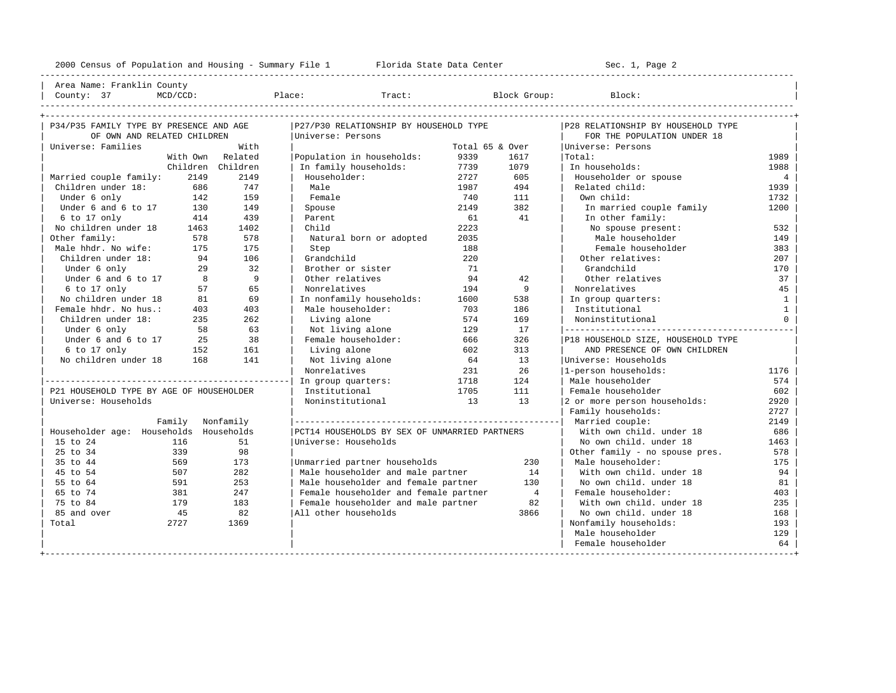| Area Name: Franklin County | | County: 37 MCD/CCD: Place: Tract: Block Group: Block: |

----------------------------------------------------------------------------------------------------------------------------------------------------

| P34/P35 FAMILY TYPE BY PRESENCE AND AGE  |                  |                   | P27/P30 RELATIONSHIP BY HOUSEHOLD TYPE        |                 | P28 RELATIONSHIP BY HOUSEHOLD TYPE |                                    |                 |
|------------------------------------------|------------------|-------------------|-----------------------------------------------|-----------------|------------------------------------|------------------------------------|-----------------|
| OF OWN AND RELATED CHILDREN              |                  |                   | Universe: Persons                             |                 |                                    | FOR THE POPULATION UNDER 18        |                 |
| Universe: Families                       |                  | With              |                                               | Total 65 & Over |                                    | Universe: Persons                  |                 |
|                                          |                  | With Own Related  | Population in households:                     | 9339            | 1617                               | Total:                             | 1989            |
|                                          |                  | Children Children | In family households:                         | 7739            | 1079                               | In households:                     | 1988            |
| Married couple family:                   | 2149             | 2149              | Householder:                                  | 2727            | 605                                | Householder or spouse              | $4\overline{ }$ |
| Children under 18:                       | 686              | 747               | Male                                          | 1987            | 494                                | Related child:                     | 1939            |
| Under 6 only                             | 142              | 159               | Female                                        | 740             | 111                                | Own child:                         | 1732            |
| Under 6 and 6 to 17                      | 130              | 149               | Spouse                                        | 2149            | 382                                | In married couple family           | 1200            |
| 6 to 17 only                             | 414              | 439               | Parent                                        | 61              | 41                                 | In other family:                   |                 |
| No children under 18 1463                |                  | 1402              | Child                                         | 2223            |                                    | No spouse present:                 | 532             |
| Other family:                            | 578              | 578               | Natural born or adopted                       | 2035            |                                    | Male householder                   | 149             |
| Male hhdr. No wife:                      | 175              | 175               | Step                                          | 188             |                                    | Female householder                 | 383             |
| Children under 18:                       | 94               | 106               | Grandchild                                    | 220             |                                    | Other relatives:                   | 207             |
| Under 6 only                             | 29               | 32                | Brother or sister                             | 71              |                                    | Grandchild                         | 170             |
| Under 6 and 6 to 17                      | 8 <sup>8</sup>   | $\overline{9}$    | Other relatives                               | 94              | 42                                 | Other relatives                    | 37              |
| $6$ to 17 only                           | 57               | 65                | Nonrelatives                                  | 194             | $\overline{9}$                     | Nonrelatives                       | 45              |
| No children under 18                     | 81               | 69                | In nonfamily households:                      | 1600            | 538                                | In group quarters:                 | $\mathbf{1}$    |
| Female hhdr. No hus.:                    | 403              | 403               | Male householder:                             | 703             | 186                                | Institutional                      | $\mathbf{1}$    |
| Children under 18:                       | 235              | 262               | Living alone                                  | 574             | 169                                | Noninstitutional                   | $\Omega$        |
| Under 6 only                             | 58               | 63                | Not living alone                              | 129             | 17                                 |                                    |                 |
| Under 6 and 6 to 17                      | 25               | 38                | Female householder:                           | 666             | 326                                | P18 HOUSEHOLD SIZE, HOUSEHOLD TYPE |                 |
| 6 to 17 only                             | 152              | 161               | Living alone                                  | 602             | 313                                | AND PRESENCE OF OWN CHILDREN       |                 |
| No children under 18                     | 168              | 141               | Not living alone                              | 64              | 13                                 | Universe: Households               |                 |
|                                          |                  |                   | Nonrelatives                                  | 231             | 26                                 | 1-person households:               | 1176            |
|                                          |                  |                   | In group quarters:                            | 1718            | 124                                | Male householder                   | 574             |
| P21 HOUSEHOLD TYPE BY AGE OF HOUSEHOLDER |                  |                   | Institutional                                 | 1705            | 111                                | Female householder                 | 602             |
| Universe: Households                     |                  |                   | Noninstitutional                              | $\sim$ 13       | 13                                 | 2 or more person households:       | 2920            |
|                                          |                  |                   |                                               |                 |                                    | Family households:                 | 2727            |
|                                          | Family Nonfamily |                   |                                               |                 |                                    | Married couple:                    | 2149            |
| Householder age: Households Households   |                  |                   | PCT14 HOUSEHOLDS BY SEX OF UNMARRIED PARTNERS |                 |                                    | With own child, under 18           | 686             |
| 15 to 24                                 | 116              | 51                | Universe: Households                          |                 |                                    | No own child. under 18             | 1463            |
| 25 to 34                                 | 339              | 98                |                                               |                 |                                    | Other family - no spouse pres.     | 578             |
| 35 to 44                                 | 569              | 173               | Unmarried partner households                  |                 | 230                                | Male householder:                  | 175             |
| 45 to 54                                 | 507              | 282               | Male householder and male partner             |                 | 14                                 | With own child, under 18           | 94              |
| 55 to 64                                 | 591              | 253               | Male householder and female partner           |                 | 130                                | No own child. under 18             | 81              |
| 65 to 74                                 | 381              | 247               | Female householder and female partner         |                 | $\overline{4}$                     | Female householder:                | 403             |
| 75 to 84                                 | 179              | 183               | Female householder and male partner           |                 | 82                                 | With own child, under 18           | 235             |
| 85 and over                              | 45               | 82                | All other households                          |                 | 3866                               | No own child. under 18             | 168             |
| Total                                    | 2727             | 1369              |                                               |                 |                                    | Nonfamily households:              | 193             |
|                                          |                  |                   |                                               |                 |                                    | Male householder                   | 129             |
|                                          |                  |                   |                                               |                 |                                    | Female householder                 | 64              |
|                                          |                  |                   |                                               |                 |                                    |                                    |                 |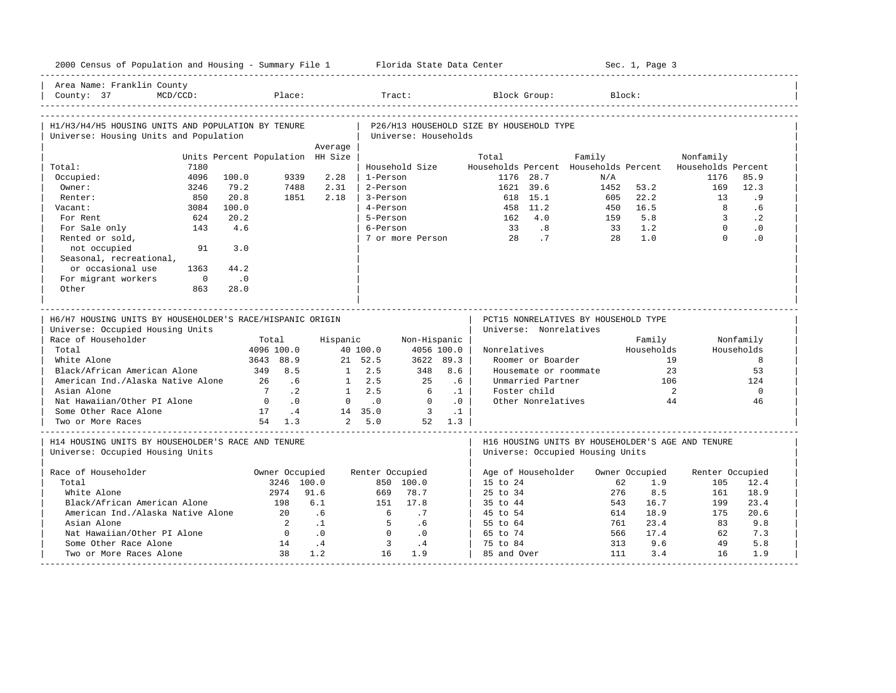| 2000 Census of Population and Housing - Summary File 1 Florida State Data Center              |                                  |                        |                 |                            |           |                                                                                       |            | Sec. 1, Page 3 |                            |                 |
|-----------------------------------------------------------------------------------------------|----------------------------------|------------------------|-----------------|----------------------------|-----------|---------------------------------------------------------------------------------------|------------|----------------|----------------------------|-----------------|
| Area Name: Franklin County<br>$MCD/CCD$ :<br>County: 37                                       |                                  | Place:                 |                 | Tract:                     |           | Block Group:                                                                          | Block:     |                |                            |                 |
| H1/H3/H4/H5 HOUSING UNITS AND POPULATION BY TENURE<br>Universe: Housing Units and Population  |                                  |                        |                 | Universe: Households       |           | P26/H13 HOUSEHOLD SIZE BY HOUSEHOLD TYPE                                              |            |                |                            |                 |
|                                                                                               |                                  | Average                |                 |                            |           |                                                                                       |            |                |                            |                 |
|                                                                                               | Units Percent Population HH Size |                        |                 |                            | Total     |                                                                                       | Family     |                | Nonfamily                  |                 |
| 7180<br>Total:                                                                                |                                  |                        |                 | Household Size             |           | Households Percent Households Percent Households Percent                              |            |                |                            |                 |
| Occupied:<br>4096                                                                             | 100.0                            | 9339<br>2.28           | 1-Person        |                            |           | 1176 28.7                                                                             | N/A        |                | 1176                       | 85.9            |
| Owner:<br>3246                                                                                | 79.2                             | 2.31<br>7488           | 2-Person        |                            |           | 1621 39.6                                                                             | 1452       | 53.2           | 169                        | 12.3            |
| 850<br>Renter:                                                                                | 20.8                             | 1851<br>2.18           | 3-Person        |                            |           | 618 15.1                                                                              | 605        | 22.2           | 13                         | . 9             |
| 3084<br>Vacant:                                                                               | 100.0                            |                        | 4-Person        |                            |           | 458 11.2                                                                              | 450        | 16.5           | $\overline{8}$             | .6              |
| For Rent<br>624                                                                               | 20.2                             |                        | 5-Person        |                            |           | 162 4.0                                                                               | 159        | 5.8<br>1.2     | $\overline{3}$<br>$\Omega$ | $\cdot$ 2       |
| For Sale only<br>143                                                                          | 4.6                              |                        | 6-Person        |                            |           | 33 .8<br>$\overline{7}$                                                               | 33<br>2.8  | 1.0            | $\Omega$                   | $\cdot$ 0<br>.0 |
| Rented or sold,<br>not occupied<br>91<br>Seasonal, recreational,                              | 3.0                              |                        |                 | 7 or more Person           |           | 28                                                                                    |            |                |                            |                 |
| or occasional use<br>1363                                                                     | 44.2                             |                        |                 |                            |           |                                                                                       |            |                |                            |                 |
| For migrant workers<br>$\overline{0}$                                                         | $\cdot$ .0                       |                        |                 |                            |           |                                                                                       |            |                |                            |                 |
| Other<br>863                                                                                  | 28.0                             |                        |                 |                            |           |                                                                                       |            |                |                            |                 |
|                                                                                               |                                  |                        |                 |                            |           |                                                                                       |            |                |                            |                 |
| H6/H7 HOUSING UNITS BY HOUSEHOLDER'S RACE/HISPANIC ORIGIN<br>Universe: Occupied Housing Units |                                  |                        |                 |                            |           | PCT15 NONRELATIVES BY HOUSEHOLD TYPE<br>Universe: Nonrelatives                        |            |                |                            |                 |
| Race of Householder                                                                           | Total                            |                        | Hispanic        | Non-Hispanic               |           |                                                                                       |            | Family         |                            | Nonfamily       |
| Total                                                                                         | 4096 100.0                       |                        | 40 100.0        | 4056 100.0                 |           | Nonrelatives                                                                          |            | Households     |                            | Households      |
| White Alone                                                                                   | 3643 88.9                        |                        | 21 52.5         | 3622 89.3                  |           | Roomer or Boarder                                                                     |            | 19             |                            | 8               |
| Black/African American Alone                                                                  | 349 8.5                          |                        | $1 \t 2.5$      | 348                        | 8.6       | Housemate or roommate                                                                 |            | 23             |                            | 53              |
| American Ind./Alaska Native Alone                                                             | 26                               | .6                     | $1 \quad 2.5$   | 25                         | .6        | Unmarried Partner                                                                     |            | 106            |                            | 124             |
| Asian Alone                                                                                   | 7.2                              |                        | $1 \quad 2.5$   | 6                          | $\cdot$ 1 | Foster child                                                                          |            |                | 2                          | $\mathbf 0$     |
| Nat Hawaiian/Other PI Alone                                                                   | $\bigcirc$                       | $\overline{0}$ .       | $0 \qquad .0$   | $\Omega$                   | .0        | Other Nonrelatives                                                                    |            | 44             |                            | 46              |
| Some Other Race Alone                                                                         | 17 .4                            |                        | 14 35.0         | $\overline{\phantom{a}}$ 3 | $\cdot$ 1 |                                                                                       |            |                |                            |                 |
| Two or More Races                                                                             | 54 1.3                           |                        | 2, 5.0          | 52 1.3                     |           |                                                                                       |            |                |                            |                 |
| H14 HOUSING UNITS BY HOUSEHOLDER'S RACE AND TENURE<br>Universe: Occupied Housing Units        |                                  |                        |                 |                            |           | H16 HOUSING UNITS BY HOUSEHOLDER'S AGE AND TENURE<br>Universe: Occupied Housing Units |            |                |                            |                 |
|                                                                                               |                                  |                        |                 |                            |           |                                                                                       |            |                |                            |                 |
| Race of Householder                                                                           |                                  | Owner Occupied         | Renter Occupied |                            |           | Age of Householder                                                                    |            | Owner Occupied | Renter Occupied            |                 |
| Total                                                                                         |                                  | 3246 100.0             | 669             | 850 100.0                  |           | $15$ to $24$                                                                          | 62         | 1.9            | 105                        | 12.4            |
| White Alone                                                                                   | 2974                             | 91.6                   |                 | 78.7                       |           | $25 \text{ to } 34$                                                                   | 276        | 8.5            | 161                        | 18.9            |
| Black/African American Alone                                                                  | 198<br>2.0                       | 6.1                    | 151             | 17.8                       |           | 35 to 44                                                                              | 543        | 16.7           | 199                        | 23.4            |
| American Ind./Alaska Native Alone<br>Asian Alone                                              |                                  | .6<br>$\overline{2}$   | 6<br>5          | .7                         |           | 45 to 54                                                                              | 614<br>761 | 18.9           | 175                        | 20.6            |
|                                                                                               | $\overline{0}$                   | $\cdot$ .1             | $\Omega$        | .6                         |           | 55 to 64                                                                              | 566        | 23.4<br>17.4   | 83                         | 9.8<br>7.3      |
| Nat Hawaiian/Other PI Alone<br>Some Other Race Alone                                          | 14                               | $\cdot$ 0<br>$\cdot$ 4 | $\overline{3}$  | $\cdot$ 0<br>$\cdot$ 4     |           | 65 to 74                                                                              | 313        | 9.6            | 62<br>49                   | 5.8             |
| Two or More Races Alone                                                                       | 38                               | 1.2                    | 16              | 1.9                        |           | 75 to 84<br>85 and Over                                                               | 111        | 3.4            | 16                         | 1.9             |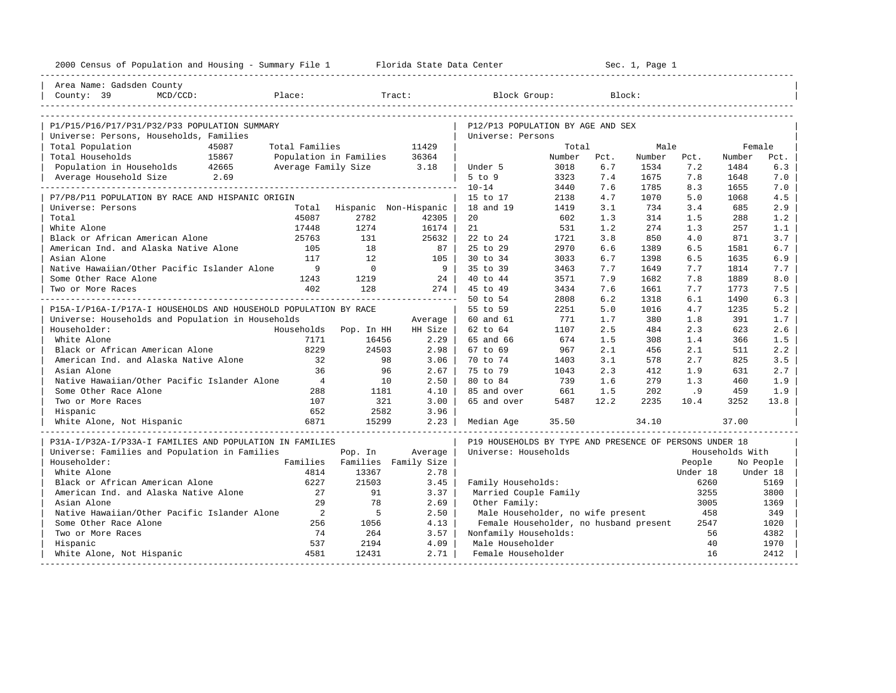| 2000 Census of Population and Housing - Summary File 1 Florida State Data Center |                            |                |                               |                                                         |        |      | Sec. 1, Page 1 |          |                 |           |
|----------------------------------------------------------------------------------|----------------------------|----------------|-------------------------------|---------------------------------------------------------|--------|------|----------------|----------|-----------------|-----------|
| Area Name: Gadsden County                                                        |                            |                |                               |                                                         |        |      |                |          |                 |           |
| $MCD/CCD$ :<br>County: 39                                                        | Place:                     |                | Tract:                        | Block Group:                                            |        |      | Block:         |          |                 |           |
|                                                                                  |                            |                |                               |                                                         |        |      |                |          |                 |           |
| P1/P15/P16/P17/P31/P32/P33 POPULATION SUMMARY                                    |                            |                |                               | P12/P13 POPULATION BY AGE AND SEX                       |        |      |                |          |                 |           |
| Universe: Persons, Households, Families                                          |                            |                |                               | Universe: Persons                                       |        |      |                |          |                 |           |
| Total Population<br>45087                                                        | Total Families             |                | 11429                         |                                                         | Total  |      | Male           |          | Female          |           |
| Total Households<br>15867                                                        | Population in Families     |                | 36364                         |                                                         | Number | Pct. | Number         | Pct.     | Number          | Pct.      |
| Population in Households 42665                                                   | Average Family Size 3.18   |                |                               | Under 5                                                 | 3018   | 6.7  | 1534           | 7.2      | 1484            | 6.3       |
| 2.69<br>Average Household Size                                                   |                            |                |                               | $5$ to $9$                                              | 3323   | 7.4  | 1675           | 7.8      | 1648            | 7.0       |
|                                                                                  |                            |                |                               | $10 - 14$                                               | 3440   | 7.6  | 1785           | 8.3      | 1655            | 7.0       |
| P7/P8/P11 POPULATION BY RACE AND HISPANIC ORIGIN                                 |                            |                |                               | 15 to 17                                                | 2138   | 4.7  | 1070           | 5.0      | 1068            | 4.5       |
| Universe: Persons                                                                |                            |                | Total Hispanic Non-Hispanic   | 18 and 19                                               | 1419   | 3.1  | 734            | 3.4      | 685             | 2.9       |
| Total                                                                            | 45087                      | 2782           | 42305                         | 20                                                      | 602    | 1.3  | 314            | 1.5      | 288             | 1.2       |
| White Alone                                                                      | 17448                      | 1274           | 16174                         | 21                                                      | 531    | 1.2  | 274            | 1.3      | 257             | 1.1       |
| Black or African American Alone                                                  | 25763                      | 131            | 25632                         | 22 to 24                                                | 1721   | 3.8  | 850            | 4.0      | 871             | 3.7       |
| American Ind. and Alaska Native Alone                                            | 105                        | 18             | 87                            | 25 to 29                                                | 2970   | 6.6  | 1389           | 6.5      | 1581            | 6.7       |
| Asian Alone                                                                      | 117                        | 12.            | 105 l                         | 30 to 34                                                | 3033   | 6.7  | 1398           | 6.5      | 1635            | 6.9       |
| Native Hawaiian/Other Pacific Islander Alone                                     | 9                          | $\overline{0}$ | 9 <sup>1</sup>                | 35 to 39                                                | 3463   | 7.7  | 1649           | 7.7      | 1814            | 7.7       |
| Some Other Race Alone                                                            | 1243                       | 1219           | 24                            | 40 to 44                                                | 3571   | 7.9  | 1682           | 7.8      | 1889            | 8.0       |
| Two or More Races                                                                | 402                        | 128            | $274$                         | 45 to 49                                                | 3434   | 7.6  | 1661           | 7.7      | 1773            | 7.5       |
|                                                                                  |                            |                | ______________________        | 50 to 54                                                | 2808   | 6.2  | 1318           | 6.1      | 1490            | 6.3       |
| P15A-I/P16A-I/P17A-I HOUSEHOLDS AND HOUSEHOLD POPULATION BY RACE                 |                            |                |                               | 55 to 59                                                | 2251   | 5.0  | 1016           | 4.7      | 1235            | 5.2       |
| Universe: Households and Population in Households                                |                            |                | Average                       | 60 and 61                                               | 771    | 1.7  | 380            | 1.8      | 391             | 1.7       |
| Householder:                                                                     | Households                 | Pop. In HH     | HH Size                       | 62 to 64                                                | 1107   | 2.5  | 484            | 2.3      | 623             | 2.6       |
| White Alone                                                                      | 7171                       | 16456          | 2.29                          | 65 and 66                                               | 674    | 1.5  | 308            | 1.4      | 366             | 1.5       |
| Black or African American Alone                                                  | 8229                       | 24503          | 2.98                          | 67 to 69                                                | 967    | 2.1  | 456            | 2.1      | 511             | 2.2       |
| American Ind. and Alaska Native Alone                                            | 32                         | 98             | 3.06                          | 70 to 74                                                | 1403   | 3.1  | 578            | 2.7      | 825             | 3.5       |
| Asian Alone                                                                      | 36                         | 96             | 2.67                          | 75 to 79                                                | 1043   | 2.3  | 412            | 1.9      | 631             | 2.7       |
| Native Hawaiian/Other Pacific Islander Alone                                     | $\overline{4}$             | 10             | 2.50                          | 80 to 84                                                | 739    | 1.6  | 279            | 1.3      | 460             | 1.9       |
| Some Other Race Alone                                                            | 288                        | 1181           | 4.10                          | 85 and over                                             | 661    | 1.5  | 202            | .9       | 459             | 1.9       |
| Two or More Races                                                                | 107                        | 321            | 3.00                          | 65 and over                                             | 5487   | 12.2 | 2235           | 10.4     | 3252            | 13.8      |
| Hispanic                                                                         | 652                        | 2582           | 3.96                          |                                                         |        |      |                |          |                 |           |
| White Alone, Not Hispanic                                                        | 6871                       | 15299          | 2.23                          | Median Age                                              | 35.50  |      | 34.10          |          | 37.00           |           |
| P31A-I/P32A-I/P33A-I FAMILIES AND POPULATION IN FAMILIES                         |                            |                |                               | P19 HOUSEHOLDS BY TYPE AND PRESENCE OF PERSONS UNDER 18 |        |      |                |          |                 |           |
| Universe: Families and Population in Families                                    |                            | Pop. In        | Average                       | Universe: Households                                    |        |      |                |          | Households With |           |
| Householder:                                                                     |                            |                | Families Families Family Size |                                                         |        |      |                | People   |                 | No People |
| White Alone                                                                      | 4814                       | 13367          | 2.78                          |                                                         |        |      |                | Under 18 |                 | Under 18  |
| Black or African American Alone                                                  | 6227                       | 21503          | 3.45                          | Family Households:                                      |        |      |                | 6260     |                 | 5169      |
| American Ind. and Alaska Native Alone                                            | 27                         | 91             | 3.37                          | Married Couple Family                                   |        |      |                | 3255     |                 | 3800      |
| Asian Alone                                                                      | 29                         | 78             | 2.69                          | Other Family:                                           |        |      |                | 3005     |                 | 1369      |
| Native Hawaiian/Other Pacific Islander Alone                                     | $\overline{\phantom{0}}^2$ | - 5            | 2.50                          | Male Householder, no wife present                       |        |      |                | 458      |                 | 349       |
| Some Other Race Alone                                                            | 256                        | 1056           | 4.13                          | Female Householder, no husband present                  |        |      |                | 2547     |                 | 1020      |
| Two or More Races                                                                | 74                         | 264            | 3.57                          | Nonfamily Households:                                   |        |      |                | 56       |                 | 4382      |
| Hispanic                                                                         | 537                        | 2194           | 4.09                          | Male Householder                                        |        |      |                | 40       |                 | 1970      |
| White Alone, Not Hispanic                                                        | 4581                       | 12431          | 2.71                          | Female Householder                                      |        |      |                | 16       |                 | 2412      |
|                                                                                  |                            |                |                               |                                                         |        |      |                |          |                 |           |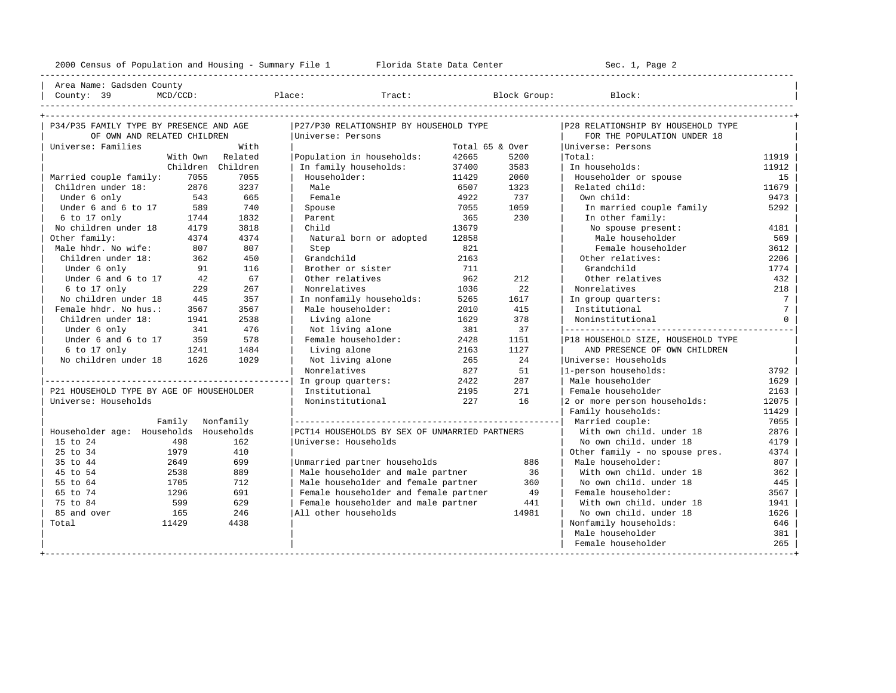----------------------------------------------------------------------------------------------------------------------------------------------------

| Area Name: Gadsden County | | County: 39 MCD/CCD: Place: Tract: Block Group: Block: |

| P34/P35 FAMILY TYPE BY PRESENCE AND AGE  |                  |                   | P27/P30 RELATIONSHIP BY HOUSEHOLD TYPE        |                 |       | P28 RELATIONSHIP BY HOUSEHOLD TYPE |                 |
|------------------------------------------|------------------|-------------------|-----------------------------------------------|-----------------|-------|------------------------------------|-----------------|
| OF OWN AND RELATED CHILDREN              |                  |                   | Universe: Persons                             |                 |       | FOR THE POPULATION UNDER 18        |                 |
| Universe: Families                       |                  | With              |                                               | Total 65 & Over |       | Universe: Persons                  |                 |
|                                          |                  | With Own Related  | Population in households:                     | 42665           | 5200  | Total:                             | 11919           |
|                                          |                  | Children Children | In family households:                         | 37400           | 3583  | In households:                     | 11912           |
| Married couple family:                   | 7055             | 7055              | Householder:                                  | 11429           | 2060  | Householder or spouse              | 15              |
| Children under 18:                       | 2876             | 3237              | Male                                          | 6507            | 1323  | Related child:                     | 11679           |
| Under 6 only                             | 543              | 665               | Female                                        | 4922            | 737   | Own child:                         | 9473            |
| Under 6 and 6 to 17                      | 589              | 740               | Spouse                                        | 7055            | 1059  | In married couple family           | 5292            |
| 6 to 17 only                             | 1744             | 1832              | Parent                                        | 365             | 230   | In other family:                   |                 |
| No children under 18                     | 4179             | 3818              | Child                                         | 13679           |       | No spouse present:                 | 4181            |
| Other family:                            | 4374             | 4374              | Natural born or adopted                       | 12858           |       | Male householder                   | 569             |
| Male hhdr. No wife:                      | 807              | 807               | Step                                          | 821             |       | Female householder                 | 3612            |
| Children under 18:                       | 362              | 450               | Grandchild                                    | 2163            |       | Other relatives:                   | 2206            |
| Under 6 only                             | 91               | 116               | Brother or sister                             | 711             |       | Grandchild                         | 1774            |
| Under 6 and 6 to 17                      | 42               | 67                | Other relatives                               | 962             | 212   | Other relatives                    | 432             |
| 6 to 17 only                             | 229              | 267               | Nonrelatives                                  | 1036            | 22    | Nonrelatives                       | 218             |
| No children under 18                     | 445              | 357               | In nonfamily households:                      | 5265            | 1617  | In group quarters:                 | $7\phantom{.0}$ |
| Female hhdr. No hus.:                    | 3567             | 3567              | Male householder:                             | 2010            | 415   | Institutional                      | $7\overline{ }$ |
| Children under 18:                       | 1941             | 2538              | Living alone                                  | 1629            | 378   | Noninstitutional                   | $\circ$         |
| Under 6 only                             | 341              | 476               | Not living alone                              | 381             | 37    |                                    |                 |
| Under 6 and 6 to 17                      | 359              | 578               | Female householder:                           | 2428            | 1151  | P18 HOUSEHOLD SIZE, HOUSEHOLD TYPE |                 |
| 6 to 17 only                             | 1241             | 1484              | Living alone                                  | 2163            | 1127  | AND PRESENCE OF OWN CHILDREN       |                 |
| No children under 18                     | 1626             | 1029              | Not living alone                              | 265             | 2.4   | Universe: Households               |                 |
|                                          |                  |                   | Nonrelatives                                  | 827             | 51    | 1-person households:               | 3792            |
|                                          |                  |                   | In group quarters:                            | 2422            | 287   | Male householder                   | 1629            |
| P21 HOUSEHOLD TYPE BY AGE OF HOUSEHOLDER |                  |                   | Institutional                                 | 2195            | 271   | Female householder                 | 2163            |
| Universe: Households                     |                  |                   | Noninstitutional                              | 227             | 16    | 2 or more person households:       | 12075           |
|                                          |                  |                   |                                               |                 |       | Family households:                 | 11429           |
|                                          | Family Nonfamily |                   |                                               |                 |       | Married couple:                    | 7055            |
| Householder age: Households Households   |                  |                   | PCT14 HOUSEHOLDS BY SEX OF UNMARRIED PARTNERS |                 |       | With own child. under 18           | 2876            |
| 15 to 24                                 | 498              | 162               | Universe: Households                          |                 |       | No own child, under 18             | 4179            |
| 25 to 34                                 | 1979             | 410               |                                               |                 |       | Other family - no spouse pres.     | 4374            |
| 35 to 44                                 | 2649             | 699               | Unmarried partner households                  |                 | 886   | Male householder:                  | 807             |
| 45 to 54                                 | 2538             | 889               | Male householder and male partner             |                 | 36    | With own child, under 18           | 362             |
| 55 to 64                                 | 1705             | 712               | Male householder and female partner           |                 | 360   | No own child. under 18             | 445             |
| 65 to 74                                 | 1296             | 691               | Female householder and female partner         |                 | 49    | Female householder:                | 3567            |
| 75 to 84                                 | 599              | 629               | Female householder and male partner           |                 | 441   | With own child, under 18           | 1941            |
| 85 and over                              | 165              | 246               | All other households                          |                 | 14981 | No own child, under 18             | 1626            |
| Total                                    | 11429            | 4438              |                                               |                 |       | Nonfamily households:              | 646             |
|                                          |                  |                   |                                               |                 |       | Male householder                   | 381             |
|                                          |                  |                   |                                               |                 |       | Female householder                 | 265             |
|                                          |                  |                   |                                               |                 |       |                                    |                 |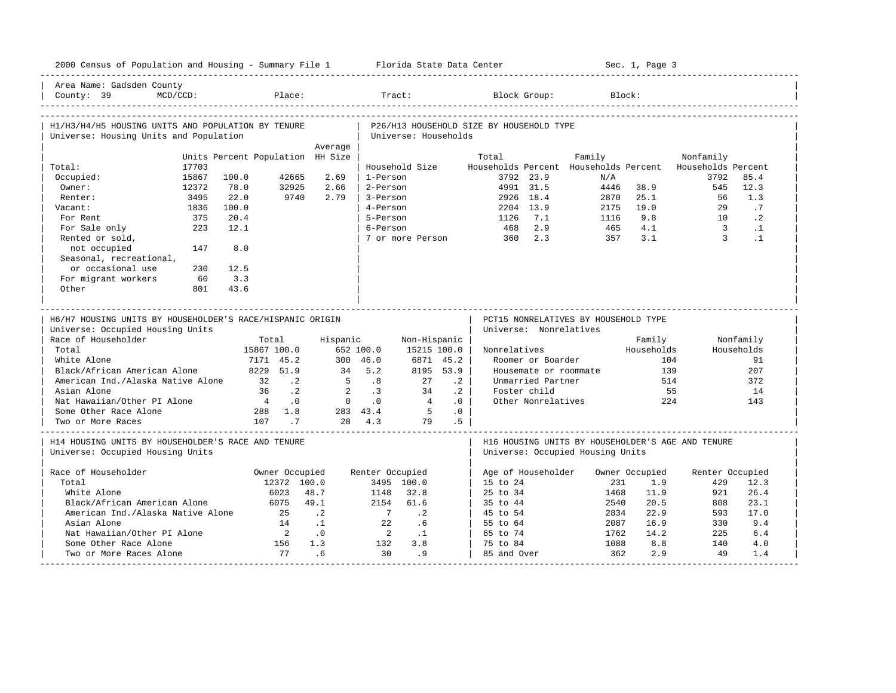| Households Percent<br>85.4 |
|----------------------------|
| 12.3                       |
| 1.3                        |
| $\cdot$ 7                  |
| $\cdot$ 2                  |
| $\cdot$ 1                  |
| $\cdot$ 1                  |
|                            |
|                            |
|                            |
|                            |
|                            |
|                            |
| Nonfamily                  |
| Households                 |
| 91                         |
| 207                        |
| 372                        |
| 14                         |
| 143                        |
|                            |
|                            |
|                            |
| Renter Occupied            |
|                            |
| 12.3                       |
| 26.4                       |
| 23.1                       |
| 17.0                       |
| 9.4                        |
| 6.4                        |
| 4.0                        |
|                            |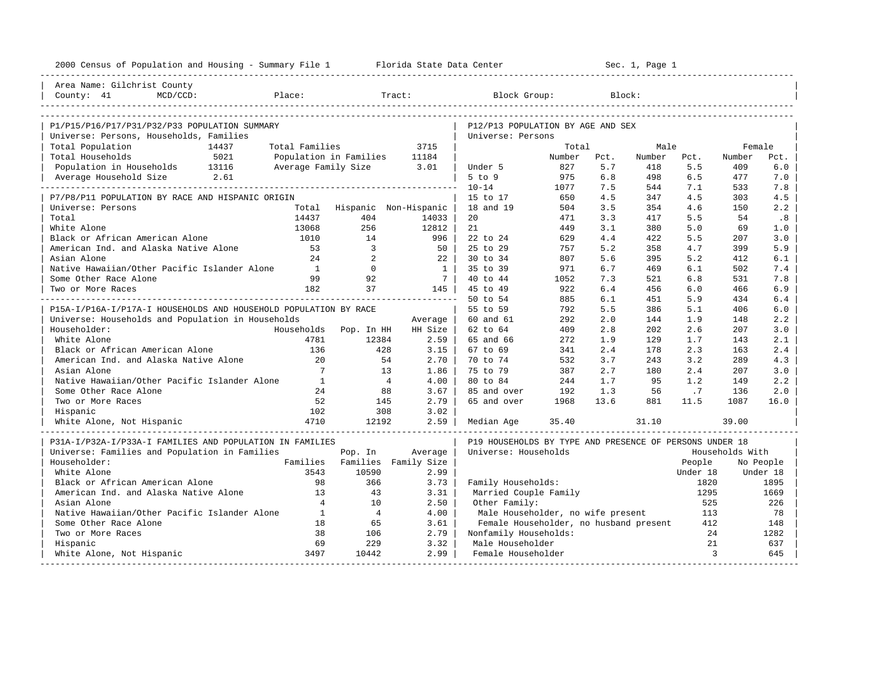| 2000 Census of Population and Housing - Summary File 1 Florida State Data Center |                        |                          |              |                                                         |        |      | Sec. 1, Page 1 |              |                 |           |
|----------------------------------------------------------------------------------|------------------------|--------------------------|--------------|---------------------------------------------------------|--------|------|----------------|--------------|-----------------|-----------|
| Area Name: Gilchrist County                                                      |                        |                          |              |                                                         |        |      |                |              |                 |           |
| County: 41<br>$MCD/CCD$ :                                                        | Place:                 |                          | Tract:       | Block Group:                                            |        |      | Block:         |              |                 |           |
|                                                                                  |                        |                          |              |                                                         |        |      |                |              |                 |           |
| P1/P15/P16/P17/P31/P32/P33 POPULATION SUMMARY                                    |                        |                          |              | P12/P13 POPULATION BY AGE AND SEX                       |        |      |                |              |                 |           |
| Universe: Persons, Households, Families                                          |                        |                          |              | Universe: Persons                                       |        |      |                |              |                 |           |
| Total Population<br>14437                                                        | Total Families         |                          | 3715         |                                                         | Total  |      | Male           |              | Female          |           |
| Total Households<br>5021                                                         | Population in Families |                          | 11184        |                                                         | Number | Pct. | Number         | Pct.         | Number          | Pct.      |
| Population in Households 13116                                                   |                        | Average Family Size 3.01 |              | Under 5                                                 | 827    | 5.7  | 418            | 5.5          | 409             | 6.0       |
| 2.61<br>Average Household Size                                                   |                        |                          |              | $5$ to $9$                                              | 975    | 6.8  | 498            | 6.5          | 477             | 7.0       |
|                                                                                  |                        |                          |              | $10 - 14$                                               | 1077   | 7.5  | 544            | 7.1          | 533             | 7.8       |
| P7/P8/P11 POPULATION BY RACE AND HISPANIC ORIGIN                                 |                        |                          |              | 15 to 17                                                | 650    | 4.5  | 347            | 4.5          | 303             | 4.5       |
| Universe: Persons                                                                | Total                  | Hispanic Non-Hispanic    |              | 18 and 19                                               | 504    | 3.5  | 354            | 4.6          | 150             | 2.2       |
| Total                                                                            | 14437                  | 404                      | 14033        | 20                                                      | 471    | 3.3  | 417            | 5.5          | 54              | .8        |
| White Alone                                                                      | 13068                  | 256                      | 12812        | 21                                                      | 449    | 3.1  | 380            | 5.0          | 69              | 1.0       |
| Black or African American Alone                                                  | 1010                   | 14                       | 996          | 22 to 24                                                | 629    | 4.4  | 422            | 5.5          | 207             | 3.0       |
| American Ind. and Alaska Native Alone                                            | 53                     | $\overline{3}$           | 50           | 25 to 29                                                | 757    | 5.2  | 358            | 4.7          | 399             | 5.9       |
| Asian Alone                                                                      | 24                     | 2                        | 22           | 30 to 34                                                | 807    | 5.6  | 395            | 5.2          | 412             | 6.1       |
| Native Hawaiian/Other Pacific Islander Alone                                     | $\frac{1}{2}$          | $\Omega$                 | $\mathbf{1}$ | 35 to 39                                                | 971    | 6.7  | 469            | 6.1          | 502             | 7.4       |
| Some Other Race Alone                                                            | 99                     | 92                       | 7 I          | 40 to 44                                                | 1052   | 7.3  | 521            | 6.8          | 531             | 7.8       |
| Two or More Races                                                                | 182                    | 37                       | 145 l        | 45 to 49                                                | 922    | 6.4  | 456            | 6.0          | 466             | 6.9       |
|                                                                                  |                        |                          |              | 50 to 54                                                | 885    | 6.1  | 451            | 5.9          | 434             | 6.4       |
| P15A-I/P16A-I/P17A-I HOUSEHOLDS AND HOUSEHOLD POPULATION BY RACE                 |                        |                          |              | 55 to 59                                                | 792    | 5.5  | 386            | 5.1          | 406             | 6.0       |
| Universe: Households and Population in Households                                |                        |                          | Average      | 60 and 61                                               | 292    | 2.0  | 144            | 1.9          | 148             | 2.2       |
| Householder:                                                                     | Households             | Pop. In HH               | HH Size      | 62 to 64                                                | 409    | 2.8  | 2.02           | 2.6          | 207             | 3.0       |
| White Alone                                                                      | 4781                   | 12384                    | 2.59         | 65 and 66                                               | 272    | 1.9  | 129            | 1.7          | 143             | 2.1       |
| Black or African American Alone                                                  | 136                    | 428                      | 3.15         | 67 to 69                                                | 341    | 2.4  | 178            | 2.3          | 163             | 2.4       |
| American Ind. and Alaska Native Alone                                            | 20                     | 54                       | 2.70         | 70 to 74                                                | 532    | 3.7  | 243            | 3.2          | 289             | 4.3       |
| Asian Alone                                                                      | $7\overline{ }$        | 13                       | 1.86         | 75 to 79                                                | 387    | 2.7  | 180            | 2.4          | 207             | 3.0       |
| Native Hawaiian/Other Pacific Islander Alone                                     | $\overline{1}$         | $\overline{4}$           | 4.00         | 80 to 84                                                | 244    | 1.7  | 95             | 1.2          | 149             | 2.2       |
| Some Other Race Alone                                                            | 24                     | 88                       | 3.67         | 85 and over                                             | 192    | 1.3  | 56             | .7           | 136             | 2.0       |
| Two or More Races                                                                | 52                     | 145                      | 2.79         | 65 and over                                             | 1968   | 13.6 | 881            | 11.5         | 1087            | 16.0      |
| Hispanic                                                                         | 102                    | 308                      | 3.02         |                                                         |        |      |                |              |                 |           |
| White Alone, Not Hispanic                                                        | 4710                   | 12192                    | 2.59         | Median Age                                              | 35.40  |      | 31.10          |              | 39.00           |           |
|                                                                                  |                        |                          |              |                                                         |        |      |                |              |                 |           |
| P31A-I/P32A-I/P33A-I FAMILIES AND POPULATION IN FAMILIES                         |                        |                          |              | P19 HOUSEHOLDS BY TYPE AND PRESENCE OF PERSONS UNDER 18 |        |      |                |              |                 |           |
| Universe: Families and Population in Families                                    |                        | Pop. In                  | Average      | Universe: Households                                    |        |      |                |              | Households With |           |
| Householder:                                                                     | Families               | Families Family Size     |              |                                                         |        |      |                | People       |                 | No People |
| White Alone                                                                      | 3543                   | 10590                    | 2.99         |                                                         |        |      |                | Under 18     |                 | Under 18  |
| Black or African American Alone                                                  | 98                     | 366                      | 3.73         | Family Households:                                      |        |      |                | 1820         |                 | 1895      |
| American Ind. and Alaska Native Alone                                            | 13                     | 43                       | 3.31         | Married Couple Family                                   |        |      |                | 1295         |                 | 1669      |
| Asian Alone                                                                      | $\overline{4}$         | 10                       | 2.50         | Other Family:                                           |        |      |                | 525          |                 | 226       |
| Native Hawaiian/Other Pacific Islander Alone                                     | 1                      | $\overline{4}$           | 4.00         | Male Householder, no wife present                       |        |      |                | 113          |                 | 78        |
| Some Other Race Alone                                                            | 18                     | 65                       | 3.61         | Female Householder, no husband present                  |        |      |                | 412          |                 | 148       |
| Two or More Races                                                                | 38                     | 106                      | 2.79         | Nonfamily Households:                                   |        |      |                | 24           |                 | 1282      |
| Hispanic                                                                         | 69                     | 229                      | 3.32         | Male Householder                                        |        |      |                | 21           |                 | 637       |
| White Alone, Not Hispanic                                                        | 3497                   | 10442                    | 2.99         | Female Householder                                      |        |      |                | $\mathbf{3}$ |                 | 645       |
|                                                                                  |                        |                          |              |                                                         |        |      |                |              |                 |           |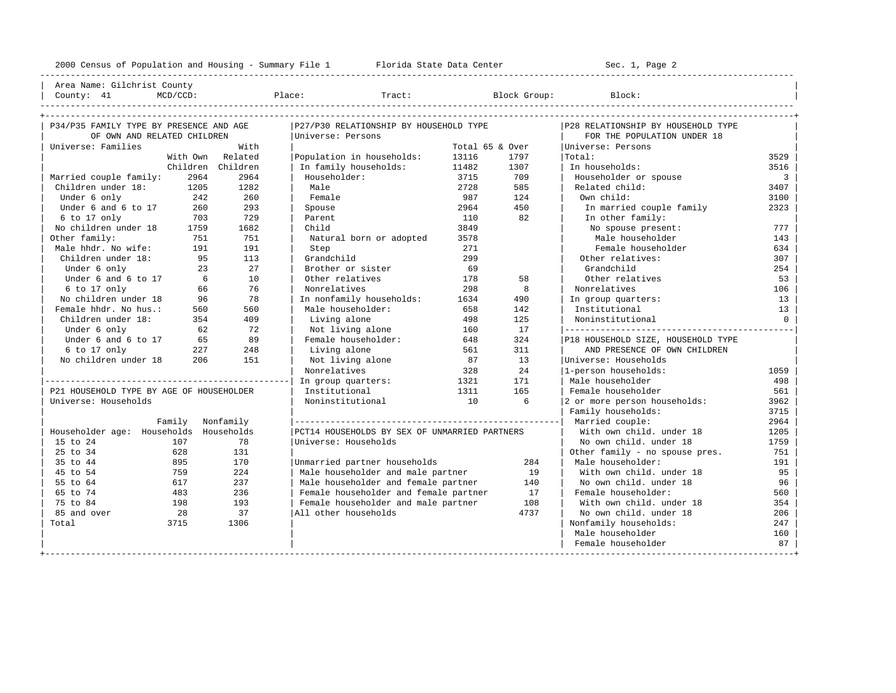| Area Name: Gilchrist County<br>| Counter 41 | MCD (COD) | Pla

| - הצרת ועברה |  | סמישים תזר | <b>TVDF</b> |  |
|--------------|--|------------|-------------|--|

| P34/P35 FAMILY TYPE BY PRESENCE AND AGE  | P27/P30 RELATIONSHIP BY HOUSEHOLD TYPE        |                 | P28 RELATIONSHIP BY HOUSEHOLD TYPE |                                    |                |
|------------------------------------------|-----------------------------------------------|-----------------|------------------------------------|------------------------------------|----------------|
| OF OWN AND RELATED CHILDREN              | Universe: Persons                             |                 |                                    | FOR THE POPULATION UNDER 18        |                |
| Universe: Families<br>With               |                                               | Total 65 & Over |                                    | Universe: Persons                  |                |
| With Own Related                         | Population in households:                     | 13116           | 1797                               | Total:                             | 3529           |
| Children Children                        | In family households:                         | 11482           | 1307                               | In households:                     | 3516           |
| 2964<br>Married couple family:<br>2964   | Householder:                                  | 3715            | 709                                | Householder or spouse              | $\overline{3}$ |
| Children under 18: 1205<br>1282          | Male                                          | 2728            | 585                                | Related child:                     | 3407           |
| 242<br>260<br>Under 6 only               | Female                                        | 987             | 124                                | Own child:                         | 3100           |
| Under $6$ and $6$ to $17$<br>260<br>293  | Spouse                                        | 2964            | 450                                | In married couple family           | 2323           |
| 729<br>6 to 17 only<br>703               | Parent                                        | 110             | 82                                 | In other family:                   |                |
| No children under 18<br>1682<br>1759     | Child                                         | 3849            |                                    | No spouse present:                 | 777            |
| Other family:<br>751<br>751              | Natural born or adopted                       | 3578            |                                    | Male householder                   | 143            |
| Male hhdr. No wife:<br>191<br>191        | Step                                          | 271             |                                    | Female householder                 | 634            |
| Children under 18:<br>113<br>95          | Grandchild                                    | 299             |                                    | Other relatives:                   | 307            |
| 27<br>Under 6 only<br>23                 | Brother or sister                             | 69              |                                    | Grandchild                         | 254            |
| Under 6 and 6 to 17<br>10<br>$6^{\circ}$ | Other relatives                               | 178             | 58                                 | Other relatives                    | 53             |
| 76<br>6 to 17 only<br>66                 | Nonrelatives                                  | 298             | 8                                  | Nonrelatives                       | 106            |
| No children under 18<br>96<br>78         | In nonfamily households:                      | 1634            | 490                                | In group quarters:                 | 13             |
| Female hhdr. No hus.:<br>560<br>560      | Male householder:                             | 658             | 142                                | Institutional                      | 13             |
| 409<br>Children under 18:<br>354         | Living alone                                  | 498             | 125                                | Noninstitutional                   | $\circ$        |
| 72<br>Under 6 only<br>62                 | Not living alone                              | 160             | 17                                 |                                    |                |
| Under 6 and 6 to 17 65<br>89             | Female householder:                           | 648             | 324                                | P18 HOUSEHOLD SIZE, HOUSEHOLD TYPE |                |
| 248<br>6 to 17 only<br>227               | Living alone                                  | 561             | 311                                | AND PRESENCE OF OWN CHILDREN       |                |
| 206<br>No children under 18<br>151       | Not living alone                              | 87              | 13                                 | Universe: Households               |                |
|                                          | Nonrelatives                                  | 328             | 24                                 | 1-person households:               | 1059           |
|                                          | In group quarters:                            | 1321            | 171                                | Male householder                   | 498            |
| P21 HOUSEHOLD TYPE BY AGE OF HOUSEHOLDER | Institutional                                 | 1311            | 165                                | Female householder                 | 561            |
| Universe: Households                     | Noninstitutional                              | 10              | $6\overline{6}$                    | 2 or more person households:       | 3962           |
|                                          |                                               |                 |                                    | Family households:                 | 3715           |
| Family Nonfamily                         |                                               |                 |                                    | Married couple:                    | 2964           |
| Householder age: Households Households   | PCT14 HOUSEHOLDS BY SEX OF UNMARRIED PARTNERS |                 |                                    | With own child, under 18           | 1205           |
| 78<br>15 to 24<br>107                    | Universe: Households                          |                 |                                    | No own child. under 18             | 1759           |
| 628<br>131<br>25 to 34                   |                                               |                 |                                    | Other family - no spouse pres.     | 751            |
| 895<br>170<br>35 to 44                   | Unmarried partner households                  |                 | 284                                | Male householder:                  | 191            |
| 224<br>45 to 54<br>759                   | Male householder and male partner             |                 | 19                                 | With own child. under 18           | 95             |
| 237<br>55 to 64<br>617                   | Male householder and female partner           |                 | 140                                | No own child. under 18             | 96             |
| 65 to 74<br>483<br>236                   | Female householder and female partner         |                 | 17                                 | Female householder:                | 560            |
| 75 to 84<br>193<br>198                   | Female householder and male partner           |                 | 108                                | With own child, under 18           | 354            |
| 85 and over<br>28<br>37                  | All other households                          |                 | 4737                               | No own child. under 18             | 206            |
| 3715<br>1306<br>Total                    |                                               |                 |                                    | Nonfamily households:              | 247            |
|                                          |                                               |                 |                                    | Male householder                   | 160            |
|                                          |                                               |                 |                                    | Female householder                 | 87             |
|                                          |                                               |                 |                                    |                                    |                |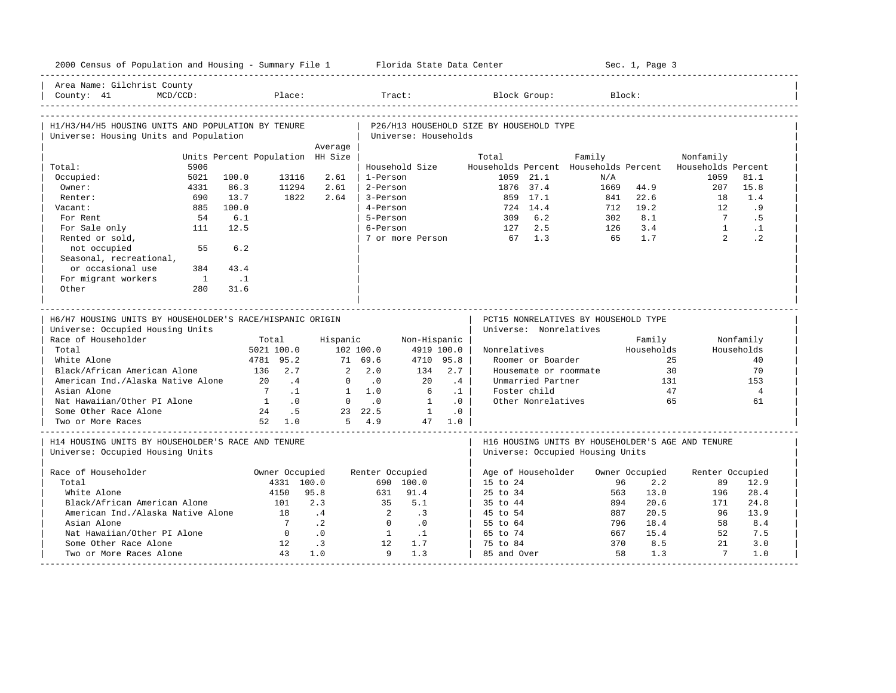| 2000 Census of Population and Housing - Summary File 1 Florida State Data Center              |                                  |                              |             |                             |                             |           |                                           |                    |                                      |           | Sec. 1, Page 3        |                                                          |                        |
|-----------------------------------------------------------------------------------------------|----------------------------------|------------------------------|-------------|-----------------------------|-----------------------------|-----------|-------------------------------------------|--------------------|--------------------------------------|-----------|-----------------------|----------------------------------------------------------|------------------------|
| Area Name: Gilchrist County<br>MCD/CCD:<br>County: $41$                                       |                                  | Place:                       |             |                             | Tract:                      |           |                                           | Block Group:       |                                      | Block:    |                       |                                                          |                        |
| H1/H3/H4/H5 HOUSING UNITS AND POPULATION BY TENURE<br>Universe: Housing Units and Population  |                                  |                              |             |                             | Universe: Households        |           | P26/H13 HOUSEHOLD SIZE BY HOUSEHOLD TYPE  |                    |                                      |           |                       |                                                          |                        |
|                                                                                               |                                  |                              | Average     |                             |                             |           |                                           |                    |                                      |           |                       |                                                          |                        |
|                                                                                               | Units Percent Population HH Size |                              |             |                             |                             |           | Total                                     |                    | Family                               |           |                       | Nonfamily                                                |                        |
| 5906<br>Total:                                                                                |                                  |                              |             |                             | Household Size              |           |                                           |                    |                                      |           |                       | Households Percent Households Percent Households Percent |                        |
| Occupied:<br>5021                                                                             | 100.0                            | 13116                        | 2.61        | 1-Person                    |                             |           |                                           | 1059 21.1          |                                      | N/A       |                       | 1059                                                     | 81.1                   |
| Owner:<br>4331                                                                                | 86.3                             | 11294                        | 2.61        | 2-Person                    |                             |           |                                           | 1876 37.4          |                                      | 1669      | 44.9                  | 207                                                      | 15.8                   |
| 690<br>Renter:                                                                                | 13.7                             | 1822                         | 2.64        | 3-Person                    |                             |           |                                           | 859 17.1           |                                      |           | 841 22.6              | 18                                                       | 1.4                    |
| Vacant:<br>885                                                                                | 100.0                            |                              |             | 4-Person                    |                             |           |                                           | 724 14.4           |                                      | 712       | 19.2<br>8.1           | 12<br>7                                                  | .9                     |
| For Rent<br>54                                                                                | 6.1                              |                              |             | 5-Person                    |                             |           | 309                                       | 6.2<br>2.5         |                                      | 302       | 3.4                   | $\sqrt{1}$                                               | . 5                    |
| For Sale only<br>111<br>Rented or sold,                                                       | 12.5                             |                              |             | 6-Person                    | 7 or more Person            |           | 127<br>67 1.3                             |                    |                                      | 126<br>65 | 1.7                   | $2^{\circ}$                                              | $\cdot$ 1<br>$\cdot$ 2 |
| not occupied<br>55<br>Seasonal, recreational,                                                 | 6.2                              |                              |             |                             |                             |           |                                           |                    |                                      |           |                       |                                                          |                        |
| or occasional use<br>384                                                                      | 43.4                             |                              |             |                             |                             |           |                                           |                    |                                      |           |                       |                                                          |                        |
| For migrant workers<br>$\overline{1}$                                                         | $\ldots$ 1                       |                              |             |                             |                             |           |                                           |                    |                                      |           |                       |                                                          |                        |
| Other<br>280                                                                                  | 31.6                             |                              |             |                             |                             |           |                                           |                    |                                      |           |                       |                                                          |                        |
|                                                                                               |                                  |                              |             |                             |                             |           |                                           |                    |                                      |           |                       |                                                          |                        |
| H6/H7 HOUSING UNITS BY HOUSEHOLDER'S RACE/HISPANIC ORIGIN<br>Universe: Occupied Housing Units |                                  |                              |             |                             |                             |           | Universe: Nonrelatives                    |                    | PCT15 NONRELATIVES BY HOUSEHOLD TYPE |           |                       |                                                          |                        |
| Race of Householder                                                                           |                                  | Total                        | Hispanic    |                             | Non-Hispanic                |           |                                           |                    |                                      |           | Family                |                                                          | Nonfamily              |
| Total                                                                                         |                                  | 5021 100.0                   |             | 102 100.0                   | 4919 100.0                  |           | Nonrelatives                              |                    |                                      |           | Households            |                                                          | Households             |
| White Alone                                                                                   |                                  | 4781 95.2                    |             | 71 69.6                     | 4710 95.8                   |           |                                           | Roomer or Boarder  |                                      |           |                       | 25                                                       | 40                     |
| Black/African American Alone                                                                  | 136 2.7                          |                              |             | 2, 2, 0                     | 134                         | 2.7       |                                           |                    | Housemate or roommate                |           |                       | 30                                                       | 70                     |
| American Ind./Alaska Native Alone                                                             | 20                               | $\cdot$ 4                    | $\Omega$    | $\overline{\phantom{0}}$ .0 | 20                          | .4        |                                           | Unmarried Partner  |                                      |           | 131                   |                                                          | 153                    |
| Asian Alone                                                                                   |                                  | 7.1                          |             | $1 \quad 1.0$               | 6                           | $\cdot$ 1 |                                           | Foster child       |                                      |           |                       | 47                                                       | $\overline{4}$         |
| Nat Hawaiian/Other PI Alone                                                                   | $\overline{1}$                   | $\overline{0}$ .             |             | $0 \qquad .0$               | $\overline{1}$              | .0        |                                           | Other Nonrelatives |                                      |           |                       | 65                                                       | 61                     |
| Some Other Race Alone                                                                         |                                  | 24 .5                        |             | 23 22.5                     | $\sim$ 1                    | $\cdot$ 0 |                                           |                    |                                      |           |                       |                                                          |                        |
| Two or More Races                                                                             |                                  | 52 1.0                       |             | $5 \t 4.9$                  |                             | 47 1.0    |                                           |                    |                                      |           |                       |                                                          |                        |
| H14 HOUSING UNITS BY HOUSEHOLDER'S RACE AND TENURE<br>Universe: Occupied Housing Units        |                                  |                              |             |                             |                             |           |                                           |                    | Universe: Occupied Housing Units     |           |                       | H16 HOUSING UNITS BY HOUSEHOLDER'S AGE AND TENURE        |                        |
|                                                                                               |                                  |                              |             |                             |                             |           |                                           |                    |                                      |           |                       |                                                          |                        |
| Race of Householder<br>Total                                                                  |                                  | Owner Occupied<br>4331 100.0 |             | Renter Occupied             | 690 100.0                   |           | Age of Householder<br>$15 \text{ to } 24$ |                    |                                      | 96        | Owner Occupied<br>2.2 | Renter Occupied<br>89                                    | 12.9                   |
| White Alone                                                                                   |                                  | 4150                         | 95.8        | 631                         | 91.4                        |           | $25 \text{ to } 34$                       |                    |                                      | 563       | 13.0                  | 196                                                      |                        |
| Black/African American Alone                                                                  |                                  | 101                          | 2.3         | 35                          | 5.1                         |           | 35 to 44                                  |                    |                                      | 894       | 20.6                  | 171                                                      | 28.4                   |
|                                                                                               |                                  | 18                           | .4          | 2                           | $\cdot$ 3                   |           | 45 to 54                                  |                    |                                      | 887       | 20.5                  | 96                                                       | 24.8<br>13.9           |
| American Ind./Alaska Native Alone<br>Asian Alone                                              |                                  | $\overline{7}$               | $\cdot$ . 2 | $\bigcirc$                  | $\overline{\phantom{0}}$ .0 |           | 55 to 64                                  |                    |                                      | 796       | 18.4                  | 58                                                       | 8.4                    |
| Nat Hawaiian/Other PI Alone                                                                   |                                  | $\overline{0}$               | $\cdot$ 0   | $\overline{1}$              | $\cdot$ 1                   |           | 65 to 74                                  |                    |                                      | 667       | 15.4                  | 52                                                       | 7.5                    |
| Some Other Race Alone                                                                         |                                  | 12                           | $\cdot$ 3   | 12                          | 1.7                         |           | 75 to 84                                  |                    |                                      | 370       | 8.5                   | 21                                                       | 3.0                    |
| Two or More Races Alone                                                                       |                                  | 43                           | 1.0         | 9                           | 1.3                         |           | 85 and Over                               |                    |                                      | 58        | 1.3                   | $\overline{7}$                                           | 1.0                    |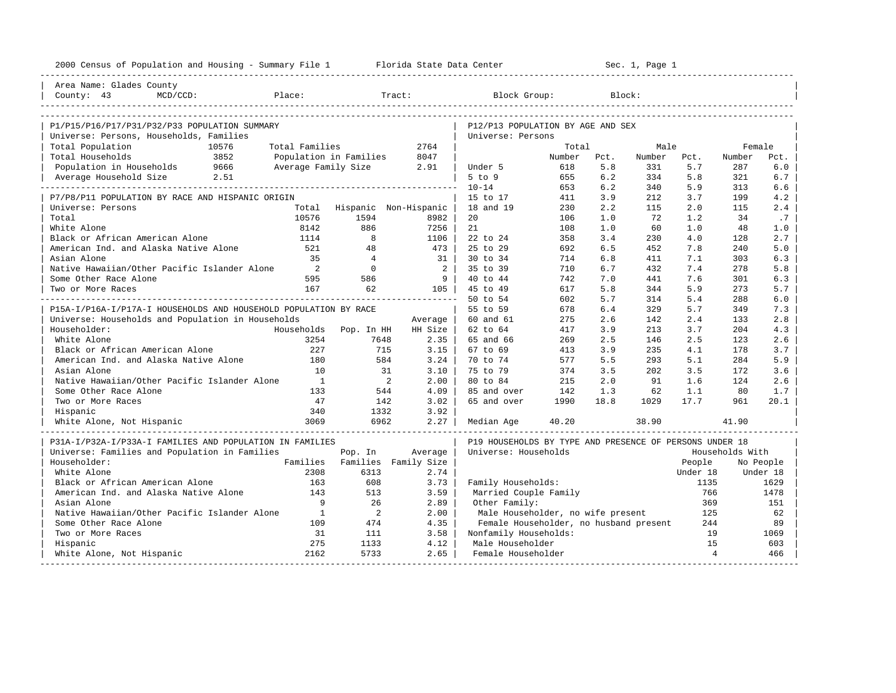| Area Name: Glades County                                                                   |                |                                                         |        |        |        |                |                 |           |
|--------------------------------------------------------------------------------------------|----------------|---------------------------------------------------------|--------|--------|--------|----------------|-----------------|-----------|
|                                                                                            |                |                                                         |        |        |        |                |                 |           |
| Place:<br>Tract:<br>County: 43<br>$MCD/CCD$ :                                              |                | Block Group:                                            |        | Block: |        |                |                 |           |
|                                                                                            |                |                                                         |        |        |        |                |                 |           |
| P1/P15/P16/P17/P31/P32/P33 POPULATION SUMMARY                                              |                | P12/P13 POPULATION BY AGE AND SEX                       |        |        |        |                |                 |           |
| Universe: Persons, Households, Families                                                    |                | Universe: Persons                                       |        |        |        |                |                 |           |
| Total Population<br>10576<br>Total Families                                                | 2764           |                                                         | Total  |        | Male   |                | Female          |           |
| 3852<br>Total Households<br>Population in Families                                         | 8047           |                                                         | Number | Pct.   | Number | Pct.           | Number          | Pct.      |
| Population in Households<br>9666<br>Average Family Size                                    | 2.91           | Under 5                                                 | 618    | 5.8    | 331    | 5.7            | 287             | 6.0       |
| Average Household Size<br>2.51                                                             |                | $5$ to $9$                                              | 655    | 6.2    | 334    | 5.8            | 321             | 6.7       |
|                                                                                            |                | $10 - 14$                                               | 653    | 6.2    | 340    | 5.9            | 313             | 6.6       |
| P7/P8/P11 POPULATION BY RACE AND HISPANIC ORIGIN                                           |                | 15 to 17                                                | 411    | 3.9    | 212    | 3.7            | 199             | 4.2       |
| Total Hispanic Non-Hispanic<br>Universe: Persons                                           |                | 18 and 19                                               | 230    | 2.2    | 115    | 2.0            | 115             | 2.4       |
| 10576<br>Total<br>1594                                                                     | 8982           | 20                                                      | 106    | 1.0    | 72     | 1.2            | 34              | .7        |
| 886<br>White Alone<br>8142                                                                 | 7256           | 21                                                      | 108    | 1.0    | 60     | 1.0            | 48              | 1.0       |
| Black or African American Alone<br>8<br>1114                                               | 1106           | 22 to 24                                                | 358    | 3.4    | 230    | 4.0            | 128             | 2.7       |
| American Ind. and Alaska Native Alone<br>521<br>48                                         | 473            | 25 to 29                                                | 692    | 6.5    | 452    | 7.8            | 240             | 5.0       |
| Asian Alone<br>35<br>$\overline{4}$                                                        | $-31$          | $30 \text{ to } 34$                                     | 714    | 6.8    | 411    | 7.1            | 303             | 6.3       |
| Native Hawaiian/Other Pacific Islander Alone<br>$\overline{\phantom{a}}$<br>$\overline{0}$ | 2 <sup>1</sup> | 35 to 39                                                | 710    | 6.7    | 432    | 7.4            | 278             | 5.8       |
| Some Other Race Alone<br>595<br>586                                                        | 9 <sup>1</sup> | 40 to 44                                                | 742    | 7.0    | 441    | 7.6            | 301             | 6.3       |
| 167<br>62<br>Two or More Races                                                             | $105$          | 45 to 49                                                | 617    | 5.8    | 344    | 5.9            | 273             | 5.7       |
|                                                                                            |                | 50 to 54                                                | 602    | 5.7    | 314    | 5.4            | 288             | 6.0       |
| P15A-I/P16A-I/P17A-I HOUSEHOLDS AND HOUSEHOLD POPULATION BY RACE                           |                | 55 to 59                                                | 678    | 6.4    | 329    | 5.7            | 349             | 7.3       |
| Universe: Households and Population in Households                                          | Average        | 60 and 61                                               | 275    | 2.6    | 142    | 2.4            | 133             | 2.8       |
| Householder:<br>Households<br>Pop. In HH                                                   | HH Size        | 62 to 64                                                | 417    | 3.9    | 213    | 3.7            | 204             | 4.3       |
| White Alone<br>3254<br>7648                                                                | 2.35           | 65 and 66                                               | 269    | 2.5    | 146    | 2.5            | 123             | 2.6       |
| Black or African American Alone<br>227<br>715                                              | $3.15$         | 67 to 69                                                | 413    | 3.9    | 235    | 4.1            | 178             | 3.7       |
| American Ind. and Alaska Native Alone<br>180<br>584                                        | 3.24           | 70 to 74                                                | 577    | 5.5    | 293    | 5.1            | 284             | 5.9       |
| 10<br>Asian Alone<br>31                                                                    | 3.10           | 75 to 79                                                | 374    | 3.5    | 202    | 3.5            | 172             | 3.6       |
| Native Hawaiian/Other Pacific Islander Alone<br>$\overline{1}$<br>$\overline{\phantom{a}}$ | 2.00           | 80 to 84                                                | 215    | 2.0    | 91     | 1.6            | 124             | 2.6       |
| Some Other Race Alone<br>133<br>544                                                        | 4.09           | 85 and over                                             | 142    | 1.3    | 62     | 1.1            | 80              | 1.7       |
| Two or More Races<br>47<br>142                                                             | 3.02           | 65 and over                                             | 1990   | 18.8   | 1029   | 17.7           | 961             | 20.1      |
| 340<br>1332<br>Hispanic                                                                    | 3.92           |                                                         |        |        |        |                |                 |           |
| White Alone, Not Hispanic<br>3069<br>6962                                                  | $2.27 \;  $    | Median Age                                              | 40.20  |        | 38.90  |                | 41.90           |           |
| P31A-I/P32A-I/P33A-I FAMILIES AND POPULATION IN FAMILIES                                   |                | P19 HOUSEHOLDS BY TYPE AND PRESENCE OF PERSONS UNDER 18 |        |        |        |                |                 |           |
| Universe: Families and Population in Families<br>Pop. In                                   | Average        | Universe: Households                                    |        |        |        |                | Households With |           |
| Families<br>Householder:<br>Families Family Size                                           |                |                                                         |        |        |        | People         |                 | No People |
| White Alone<br>2308<br>6313                                                                | 2.74           |                                                         |        |        |        | Under 18       |                 | Under 18  |
| Black or African American Alone<br>163<br>608                                              | 3.73           | Family Households:                                      |        |        |        | 1135           |                 | 1629      |
| American Ind. and Alaska Native Alone<br>143<br>513                                        | 3.59           | Married Couple Family                                   |        |        |        | 766            |                 | 1478      |
| Asian Alone<br>9<br>26                                                                     | 2.89           | Other Family:                                           |        |        |        | 369            |                 | 151       |
| Native Hawaiian/Other Pacific Islander Alone<br>$\mathbf{1}$<br>2                          | 2.00           | Male Householder, no wife present                       |        |        |        | 125            |                 | 62        |
| Some Other Race Alone<br>109<br>474                                                        | 4.35           | Female Householder, no husband present                  |        |        |        | 244            |                 | 89        |
| Two or More Races<br>31<br>111                                                             | 3.58           | Nonfamily Households:                                   |        |        |        | 19             |                 | 1069      |
| 275<br>1133<br>Hispanic                                                                    | 4.12           | Male Householder                                        |        |        |        | 15             |                 | 603       |
| White Alone, Not Hispanic<br>2162<br>5733                                                  | 2.65           | Female Householder                                      |        |        |        | $\overline{4}$ |                 | 466       |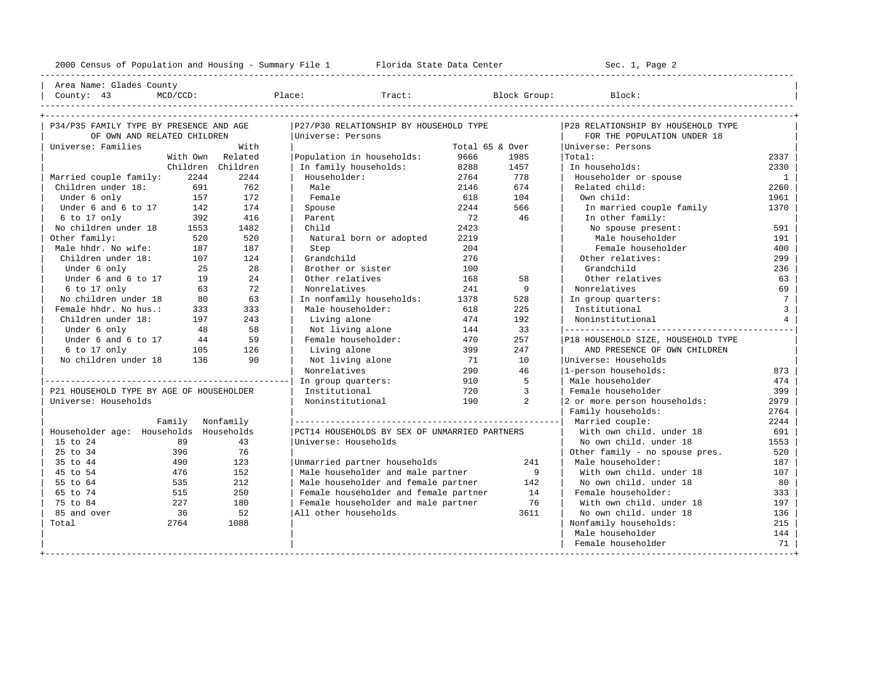| Area Name: Glades County |

----------------------------------------------------------------------------------------------------------------------------------------------------

| P34/P35 FAMILY TYPE BY PRESENCE AND AGE  |          |                   | P27/P30 RELATIONSHIP BY HOUSEHOLD TYPE        |                 |      | P28 RELATIONSHIP BY HOUSEHOLD TYPE |                 |
|------------------------------------------|----------|-------------------|-----------------------------------------------|-----------------|------|------------------------------------|-----------------|
| OF OWN AND RELATED CHILDREN              |          |                   | Universe: Persons                             |                 |      | FOR THE POPULATION UNDER 18        |                 |
| Universe: Families                       |          | With              |                                               | Total 65 & Over |      | Universe: Persons                  |                 |
|                                          | With Own | Related           | Population in households:                     | 9666            | 1985 | Total:                             | 2337            |
|                                          |          | Children Children | In family households:                         | 8288            | 1457 | In households:                     | 2330            |
| Married couple family:                   | 2244     | 2244              | Householder:                                  | 2764            | 778  | Householder or spouse              | $\mathbf{1}$    |
| Children under 18:                       | 691      | 762               | Male                                          | 2146            | 674  | Related child:                     | 2260            |
| Under 6 only                             | 157      | 172               | Female                                        | 618             | 104  | Own child:                         | 1961            |
| Under 6 and 6 to 17                      | 142      | 174               | Spouse                                        | 2244            | 566  | In married couple family           | 1370            |
| 6 to 17 only                             | 392      | 416               | Parent                                        | 72              | 46   | In other family:                   |                 |
| No children under 18                     | 1553     | 1482              | Child                                         | 2423            |      | No spouse present:                 | 591             |
| Other family:                            | 520      | 520               | Natural born or adopted                       | 2219            |      | Male householder                   | 191             |
| Male hhdr. No wife:                      | 187      | 187               | Step                                          | 204             |      | Female householder                 | 400             |
| Children under 18:                       | 107      | 124               | Grandchild                                    | 276             |      | Other relatives:                   | 299             |
| Under 6 only                             | 25       | 28                | Brother or sister                             | 100             |      | Grandchild                         | 236             |
| Under 6 and 6 to 17                      | 19       | 24                | Other relatives                               | 168             | 58   | Other relatives                    | 63              |
| 6 to 17 only                             | 63       | 72                | Nonrelatives                                  | 241             | 9    | Nonrelatives                       | 69              |
| No children under 18                     | 80       | 63                | In nonfamily households:                      | 1378            | 528  | In group quarters:                 | $7\phantom{.0}$ |
| Female hhdr. No hus.:                    | 333      | 333               | Male householder:                             | 618             | 225  | Institutional                      | $\overline{3}$  |
| Children under 18:                       | 197      | 243               | Living alone                                  | 474             | 192  | Noninstitutional                   | $\overline{4}$  |
| Under 6 only                             | 48       | 58                | Not living alone                              | 144             | 33   | ------------------------------     |                 |
| Under 6 and 6 to 17                      | 44       | 59                | Female householder:                           | 470             | 257  | P18 HOUSEHOLD SIZE, HOUSEHOLD TYPE |                 |
| 6 to 17 only                             | 105      | 126               | Living alone                                  | 399             | 247  | AND PRESENCE OF OWN CHILDREN       |                 |
| No children under 18                     | 136      | 90                | Not living alone                              | 71              | 10   | Universe: Households               |                 |
|                                          |          |                   | Nonrelatives                                  | 290             | 46   | 1-person households:               | 873             |
|                                          |          |                   | In group quarters:                            | 910             | 5    | Male householder                   | 474             |
| P21 HOUSEHOLD TYPE BY AGE OF HOUSEHOLDER |          |                   | Institutional                                 | 720             | 3    | Female householder                 | 399             |
| Universe: Households                     |          |                   | Noninstitutional                              | 190             | 2    | 2 or more person households:       | 2979            |
|                                          |          |                   |                                               |                 |      | Family households:                 | 2764            |
|                                          | Family   | Nonfamily         |                                               |                 |      | Married couple:                    | 2244            |
| Householder age: Households              |          | Households        | PCT14 HOUSEHOLDS BY SEX OF UNMARRIED PARTNERS |                 |      | With own child, under 18           | 691             |
| 15 to 24                                 | 89       | 43                | Universe: Households                          |                 |      | No own child. under 18             | 1553            |
| 25 to 34                                 | 396      | 76                |                                               |                 |      | Other family - no spouse pres.     | 520             |
| 35 to 44                                 | 490      | 123               | Unmarried partner households                  |                 | 241  | Male householder:                  | 187             |
| 45 to 54                                 | 476      | 152               | Male householder and male partner             |                 | 9    | With own child, under 18           | 107             |
| 55 to 64                                 | 535      | 212               | Male householder and female partner           |                 | 142  | No own child. under 18             | 80              |
| 65 to 74                                 | 515      | 250               | Female householder and female partner         |                 | 14   | Female householder:                | 333             |
| 75 to 84                                 | 227      | 180               | Female householder and male partner           |                 | 76   | With own child, under 18           | 197             |
| 85 and over                              | 36       | 52                | All other households                          |                 | 3611 | No own child, under 18             | 136             |
| Total                                    | 2764     | 1088              |                                               |                 |      | Nonfamily households:              | 215             |
|                                          |          |                   |                                               |                 |      | Male householder                   | 144             |
|                                          |          |                   |                                               |                 |      | Female householder                 | 71              |
|                                          |          |                   |                                               |                 |      |                                    |                 |

## | County: 43 MCD/CCD: Place: Tract: Block Group: Block: |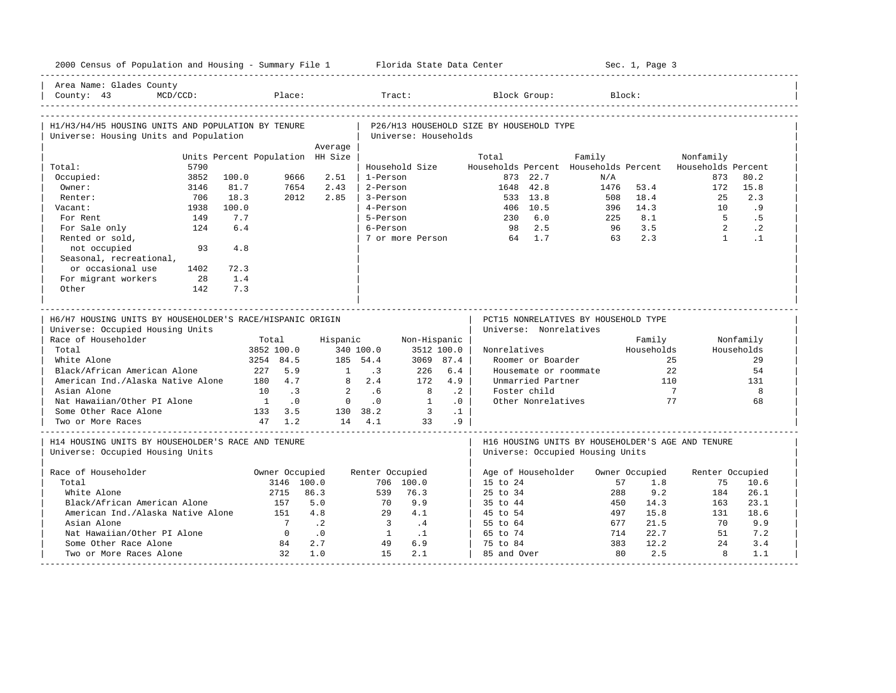|                                                                                               | 2000 Census of Population and Housing - Summary File 1 Florida State Data Center |                |                         |                               |                 |                                          |                        |                                      | Sec. 1, Page 3 |                                                          |                        |
|-----------------------------------------------------------------------------------------------|----------------------------------------------------------------------------------|----------------|-------------------------|-------------------------------|-----------------|------------------------------------------|------------------------|--------------------------------------|----------------|----------------------------------------------------------|------------------------|
| Area Name: Glades County<br>$MCD/CCD$ :<br>County: $43$                                       | Place:                                                                           |                | Tract:                  |                               |                 |                                          | Block Group:           |                                      | Block:         |                                                          |                        |
| H1/H3/H4/H5 HOUSING UNITS AND POPULATION BY TENURE                                            |                                                                                  |                |                         |                               |                 | P26/H13 HOUSEHOLD SIZE BY HOUSEHOLD TYPE |                        |                                      |                |                                                          |                        |
| Universe: Housing Units and Population                                                        |                                                                                  |                |                         | Universe: Households          |                 |                                          |                        |                                      |                |                                                          |                        |
|                                                                                               |                                                                                  | Average        |                         |                               |                 |                                          |                        |                                      |                |                                                          |                        |
|                                                                                               | Units Percent Population HH Size                                                 |                |                         |                               |                 | Total                                    |                        | Family                               |                | Nonfamily                                                |                        |
| 5790<br>Total:                                                                                |                                                                                  |                |                         | Household Size                |                 |                                          |                        |                                      |                | Households Percent Households Percent Households Percent |                        |
| 3852<br>Occupied:                                                                             | 100.0<br>9666                                                                    | 2.51           | 1-Person                |                               |                 |                                          | 873 22.7               | N/A                                  |                | 873                                                      | 80.2                   |
| Owner:<br>3146                                                                                | 81.7<br>7654                                                                     | 2.43           | 2-Person                |                               |                 | 1648 42.8                                |                        | 1476                                 | 53.4           | 172                                                      | 15.8                   |
| 706<br>Renter:                                                                                | 18.3<br>2012                                                                     | 2.85           | 3-Person                |                               |                 |                                          | 533 13.8               | 508                                  | 18.4           | 25                                                       | 2.3                    |
| 1938<br>Vacant:                                                                               | 100.0                                                                            |                | 4-Person                |                               |                 |                                          | 406 10.5               | 396                                  | 14.3           | 10                                                       | .9                     |
| For Rent<br>149                                                                               | 7.7                                                                              |                | 5-Person                |                               |                 |                                          | 230 6.0                | 225                                  | 8.1            | $5^{\circ}$                                              | .5                     |
| 124<br>For Sale only                                                                          | 6.4                                                                              |                | 6-Person                |                               |                 |                                          | 98 2.5                 | 96                                   | 3.5<br>2.3     | 2<br>$\overline{1}$                                      | $\cdot$ 2<br>$\cdot$ 1 |
| Rented or sold,<br>not occupied<br>93                                                         | 4.8                                                                              |                |                         | 7 or more Person              |                 | 64 1.7                                   |                        | 63                                   |                |                                                          |                        |
| Seasonal, recreational,                                                                       |                                                                                  |                |                         |                               |                 |                                          |                        |                                      |                |                                                          |                        |
| or occasional use<br>1402                                                                     | 72.3                                                                             |                |                         |                               |                 |                                          |                        |                                      |                |                                                          |                        |
| For migrant workers<br>28                                                                     | 1.4                                                                              |                |                         |                               |                 |                                          |                        |                                      |                |                                                          |                        |
| Other<br>142                                                                                  | 7.3                                                                              |                |                         |                               |                 |                                          |                        |                                      |                |                                                          |                        |
|                                                                                               |                                                                                  |                |                         |                               |                 |                                          |                        |                                      |                |                                                          |                        |
| H6/H7 HOUSING UNITS BY HOUSEHOLDER'S RACE/HISPANIC ORIGIN<br>Universe: Occupied Housing Units |                                                                                  |                |                         |                               |                 |                                          | Universe: Nonrelatives | PCT15 NONRELATIVES BY HOUSEHOLD TYPE |                |                                                          |                        |
| Race of Householder                                                                           |                                                                                  | Hispanic       |                         |                               |                 |                                          |                        |                                      |                |                                                          |                        |
|                                                                                               | Total                                                                            |                |                         |                               | Non-Hispanic    |                                          |                        |                                      | Family         |                                                          | Nonfamily              |
| Total                                                                                         | 3852 100.0                                                                       |                | 340 100.0               |                               | 3512 100.0      | Nonrelatives                             |                        |                                      | Households     |                                                          | Households             |
| White Alone                                                                                   | 3254 84.5                                                                        |                | 185 54.4                |                               | 3069 87.4       |                                          | Roomer or Boarder      |                                      |                | 25                                                       | 29                     |
| Black/African American Alone                                                                  | 227<br>5.9                                                                       | 1              | $\cdot$ 3               | 226                           | 6.4             |                                          |                        | Housemate or roommate                |                | 22                                                       | 54                     |
| American Ind./Alaska Native Alone                                                             | 180 4.7                                                                          |                | $8 \t 2.4$              | 172                           | 4.9             |                                          | Unmarried Partner      |                                      | 110            |                                                          | 131                    |
| Asian Alone                                                                                   | 10<br>$\overline{\phantom{a}}$                                                   | $\overline{2}$ | .6                      | 8                             | $\cdot$ 2       |                                          | Foster child           |                                      | $\overline{7}$ |                                                          | 8                      |
| Nat Hawaiian/Other PI Alone                                                                   | $\overline{1}$<br>$\overline{\phantom{0}}$ .0                                    | $\overline{0}$ | $\cdot$ 0               | $\overline{1}$                | $\cdot$ 0       |                                          | Other Nonrelatives     |                                      | 77             |                                                          | 68                     |
| Some Other Race Alone<br>Two or More Races                                                    | 133 3.5<br>$47 \quad 1.2$                                                        |                | 130 38.2<br>14 4.1      | $\overline{\mathbf{3}}$<br>33 | $\cdot$ 1<br>.9 |                                          |                        |                                      |                |                                                          |                        |
| H14 HOUSING UNITS BY HOUSEHOLDER'S RACE AND TENURE<br>Universe: Occupied Housing Units        |                                                                                  |                |                         |                               |                 |                                          |                        | Universe: Occupied Housing Units     |                | H16 HOUSING UNITS BY HOUSEHOLDER'S AGE AND TENURE        |                        |
| Race of Householder                                                                           | Owner Occupied                                                                   |                | Renter Occupied         |                               |                 |                                          | Age of Householder     |                                      | Owner Occupied | Renter Occupied                                          |                        |
| Total                                                                                         | 3146 100.0                                                                       |                |                         | 706 100.0                     |                 | 15 to 24                                 |                        | 57                                   | 1.8            | 75                                                       | 10.6                   |
| White Alone                                                                                   | 2715                                                                             | 86.3           | 539                     | 76.3                          |                 | 25 to 34                                 |                        | 288                                  | 9.2            | 184                                                      | 26.1                   |
| Black/African American Alone                                                                  | 157                                                                              | 5.0            | 70                      | 9.9                           |                 | 35 to 44                                 |                        | 450                                  | 14.3           | 163                                                      | 23.1                   |
| American Ind./Alaska Native Alone                                                             | 151                                                                              | 4.8            | 29                      | 4.1                           |                 | 45 to 54                                 |                        | 497                                  | 15.8           | 131                                                      | 18.6                   |
| Asian Alone                                                                                   | $7\phantom{0}$                                                                   | $\cdot$ . 2    | $\overline{\mathbf{3}}$ | $\cdot$ 4                     |                 | 55 to 64                                 |                        | 677                                  | 21.5           | 70                                                       | 9.9                    |
| Nat Hawaiian/Other PI Alone                                                                   | $\overline{0}$                                                                   | $\cdot$ 0      | $\overline{1}$          | $\cdot$ 1                     |                 | 65 to 74                                 |                        | 714                                  | 22.7           | 51                                                       | 7.2                    |
| Some Other Race Alone<br>Two or More Races Alone                                              | 84<br>32                                                                         | 2.7<br>1.0     | 49<br>1.5               | 6.9<br>2.1                    |                 | 75 to 84<br>85 and Over                  |                        | 383<br>80                            | 12.2<br>2.5    | 2.4<br>8                                                 | 3.4<br>1.1             |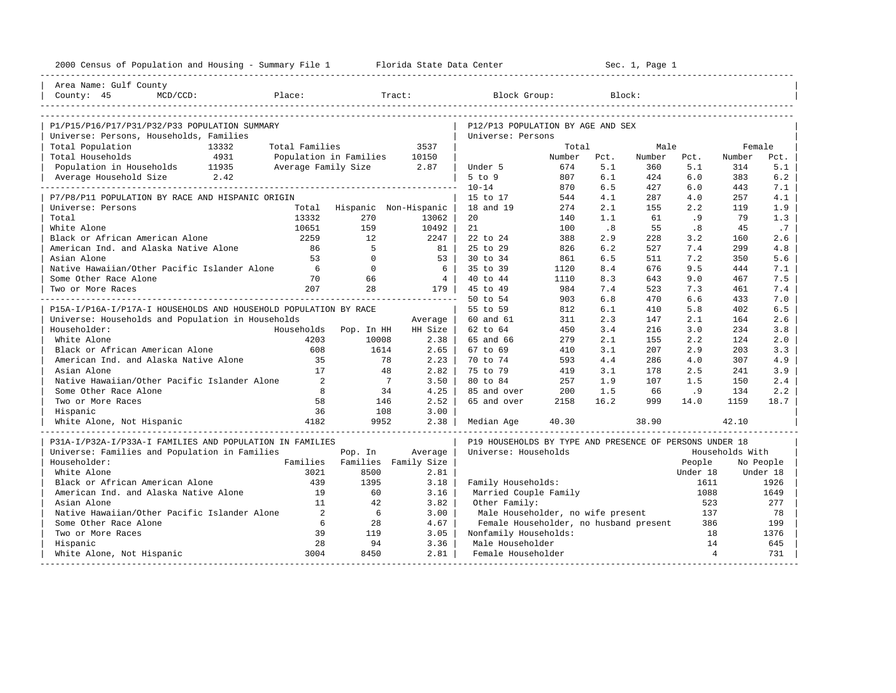| 2000 Census of Population and Housing - Summary File 1 Florida State Data Center |                          |                                    |                        |                                                         |            |                             | Sec. 1, Page 1 |                |                 |            |
|----------------------------------------------------------------------------------|--------------------------|------------------------------------|------------------------|---------------------------------------------------------|------------|-----------------------------|----------------|----------------|-----------------|------------|
| Area Name: Gulf County                                                           |                          |                                    |                        |                                                         |            |                             |                |                |                 |            |
| County: 45<br>$MCD/CCD$ :                                                        | Place:                   |                                    | Tract:                 | Block Group:                                            |            |                             | Block:         |                |                 |            |
|                                                                                  |                          |                                    |                        |                                                         |            |                             |                |                |                 |            |
| P1/P15/P16/P17/P31/P32/P33 POPULATION SUMMARY                                    |                          |                                    |                        | P12/P13 POPULATION BY AGE AND SEX                       |            |                             |                |                |                 |            |
| Universe: Persons, Households, Families                                          |                          |                                    |                        | Universe: Persons                                       |            |                             |                |                |                 |            |
| Total Population<br>13332                                                        | Total Families           |                                    | 3537                   |                                                         | Total      |                             | Male           |                | Female          |            |
| Total Households<br>4931                                                         |                          | Population in Families             | 10150                  |                                                         | Number     | Pct.                        | Number         | Pct.           | Number          | Pct.       |
| Population in Households 11935                                                   | Average Family Size 2.87 |                                    |                        | Under 5                                                 | 674        | 5.1                         | 360            | 5.1            | 314             | 5.1        |
| 2.42<br>Average Household Size                                                   |                          |                                    |                        | $5$ to $9$                                              | 807        | 6.1                         | 424            | 6.0            | 383             | 6.2        |
|                                                                                  |                          |                                    |                        | $10 - 14$                                               | 870        | 6.5                         | 427            | 6.0            | 443             | 7.1        |
| P7/P8/P11 POPULATION BY RACE AND HISPANIC ORIGIN                                 |                          |                                    |                        | 15 to 17<br>18 and 19                                   | 544<br>274 | 4.1<br>2.1                  | 287<br>155     | 4.0<br>2.2     | 257<br>119      | 4.1<br>1.9 |
| Universe: Persons<br>Total                                                       | 13332                    | Total Hispanic Non-Hispanic<br>270 |                        | 20                                                      |            | 1.1                         | 61             |                | 79              | 1.3        |
| White Alone                                                                      | 10651                    | 159                                | 13062<br>10492         | 21                                                      | 140<br>100 | $\overline{\phantom{0}}$ .8 | 55             | .9<br>.8       | 45              | .7         |
| Black or African American Alone                                                  | 2259                     | 12.                                | 2247                   | 22 to 24                                                | 388        | 2.9                         | 228            | 3.2            | 160             | 2.6        |
| American Ind. and Alaska Native Alone                                            | 86                       | -5                                 | 81                     | 25 to 29                                                | 826        | 6.2                         | 527            | 7.4            | 299             | 4.8        |
| Asian Alone                                                                      | 53                       | $\Omega$                           | $53 \text{ }$          | $30 \text{ to } 34$                                     | 861        | 6.5                         | 511            | 7.2            | 350             | 5.6        |
| Native Hawaiian/Other Pacific Islander Alone                                     | 6                        | $\overline{0}$                     | 6                      | 35 to 39                                                | 1120       | 8.4                         | 676            | 9.5            | 444             | 7.1        |
| Some Other Race Alone                                                            | 70                       | 66                                 | $\frac{4}{3}$          | 40 to 44                                                | 1110       | 8.3                         | 643            | 9.0            | 467             | 7.5        |
| Two or More Races                                                                | 207                      | 28                                 | 179                    | 45 to 49                                                | 984        | 7.4                         | 523            | 7.3            | 461             | 7.4        |
|                                                                                  |                          |                                    | ______________________ | 50 to 54                                                | 903        | 6.8                         | 470            | 6.6            | 433             | 7.0        |
| P15A-I/P16A-I/P17A-I HOUSEHOLDS AND HOUSEHOLD POPULATION BY RACE                 |                          |                                    |                        | 55 to 59                                                | 812        | 6.1                         | 410            | 5.8            | 402             | 6.5        |
| Universe: Households and Population in Households                                |                          |                                    | Average                | 60 and 61                                               | 311        | 2.3                         | 147            | 2.1            | 164             | 2.6        |
| Householder:                                                                     | Households               | Pop. In HH                         | HH Size                | 62 to 64                                                | 450        | 3.4                         | 216            | 3.0            | 234             | 3.8        |
| White Alone                                                                      | 4203                     | 10008                              | 2.38                   | 65 and 66                                               | 279        | 2.1                         | 155            | 2.2            | 124             | 2.0        |
| Black or African American Alone                                                  | 608                      | 1614                               | $2.65$                 | 67 to 69                                                | 410        | 3.1                         | 207            | 2.9            | 203             | 3.3        |
| American Ind. and Alaska Native Alone                                            | 35                       | 78                                 | 2.23                   | 70 to 74                                                | 593        | 4.4                         | 286            | 4.0            | 307             | 4.9        |
| Asian Alone                                                                      | 17                       | 48                                 | 2.82                   | 75 to 79                                                | 419        | 3.1                         | 178            | 2.5            | 241             | 3.9        |
| Native Hawaiian/Other Pacific Islander Alone                                     | $\overline{2}$           | $\overline{7}$                     | 3.50                   | 80 to 84                                                | 257        | 1.9                         | 107            | 1.5            | 150             | 2.4        |
| Some Other Race Alone                                                            | 8                        | 34                                 | 4.25                   | 85 and over                                             | 200        | 1.5                         | 66             | .9             | 134             | 2.2        |
| Two or More Races                                                                | 58                       | 146                                | 2.52                   | 65 and over                                             | 2158       | 16.2                        | 999            | 14.0           | 1159            | 18.7       |
| Hispanic                                                                         | 36                       | 108                                | 3.00                   |                                                         |            |                             |                |                |                 |            |
| White Alone, Not Hispanic                                                        | 4182                     | 9952                               | 2.38                   | Median Age                                              | 40.30      |                             | 38.90          |                | 42.10           |            |
| P31A-I/P32A-I/P33A-I FAMILIES AND POPULATION IN FAMILIES                         |                          |                                    |                        | P19 HOUSEHOLDS BY TYPE AND PRESENCE OF PERSONS UNDER 18 |            |                             |                |                |                 |            |
| Universe: Families and Population in Families                                    |                          | Pop. In                            | Average                | Universe: Households                                    |            |                             |                |                | Households With |            |
| Householder:                                                                     | Families                 |                                    | Families Family Size   |                                                         |            |                             |                | People         |                 | No People  |
| White Alone                                                                      | 3021                     | 8500                               | 2.81                   |                                                         |            |                             |                | Under 18       |                 | Under 18   |
| Black or African American Alone                                                  | 439                      | 1395                               | 3.18                   | Family Households:                                      |            |                             |                | 1611           |                 | 1926       |
| American Ind. and Alaska Native Alone                                            | 19                       | 60                                 | 3.16                   | Married Couple Family                                   |            |                             |                | 1088           |                 | 1649       |
| Asian Alone                                                                      | 11                       | 42                                 | 3.82                   | Other Family:                                           |            |                             |                | 523            |                 | 277        |
| Native Hawaiian/Other Pacific Islander Alone                                     | 2                        | 6                                  | 3.00                   | Male Householder, no wife present                       |            |                             |                | 137            |                 | 78         |
| Some Other Race Alone                                                            | 6                        | 28                                 | 4.67                   | Female Householder, no husband present                  |            |                             |                | 386            |                 | 199        |
| Two or More Races                                                                | 39                       | 119                                | 3.05                   | Nonfamily Households:                                   |            |                             |                | 18             |                 | 1376       |
| Hispanic                                                                         | 28                       | 94                                 | 3.36                   | Male Householder                                        |            |                             |                | 14             |                 | 645        |
| White Alone, Not Hispanic                                                        | 3004                     | 8450                               | 2.81                   | Female Householder                                      |            |                             |                | $\overline{4}$ |                 | 731        |
|                                                                                  |                          |                                    |                        |                                                         |            |                             |                |                |                 |            |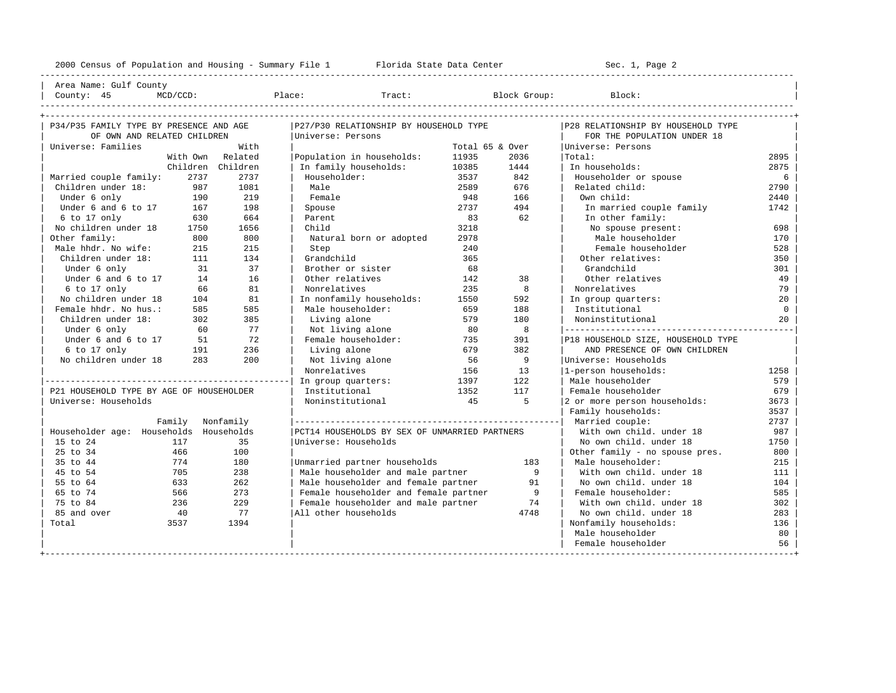---------------------------------------------------------------------------------------------------------------------------------------------------- | Area Name: Gulf County | | County: 45 MCD/CCD: Place: Tract: Block Group: Block: | ---------------------------------------------------------------------------------------------------------------------------------------------------- +---------------------------------------------------------------------------------------------------------------------------------------------------+ | P34/P35 FAMILY TYPE BY PRESENCE AND AGE |P27/P30 RELATIONSHIP BY HOUSEHOLD TYPE |P28 RELATIONSHIP BY HOUSEHOLD TYPE | | OF OWN AND RELATED CHILDREN |Universe: Persons | FOR THE POPULATION UNDER 18 | | Universe: Families With | Total 65 & Over |Universe: Persons | | With Own Related |Population in households: 11935 2036 |Total: 2895 | | Children Children | In family households: 10385 1444 | In households: 2875 |

| Married couple family:                   | 2737             | 2737 | Householder:                                  | 3537 | 842            | Householder or spouse              | 6        |
|------------------------------------------|------------------|------|-----------------------------------------------|------|----------------|------------------------------------|----------|
| Children under 18:                       | 987              | 1081 | Male                                          | 2589 | 676            | Related child:                     | 2790     |
| Under 6 only                             | 190              | 219  | Female                                        | 948  | 166            | Own child:                         | 2440     |
| Under 6 and 6 to 17                      | 167              | 198  | Spouse                                        | 2737 | 494            | In married couple family           | 1742     |
| $6$ to 17 only                           | 630              | 664  | Parent                                        | 83   | 62             | In other family:                   |          |
| No children under 18                     | 1750             | 1656 | Child                                         | 3218 |                | No spouse present:                 | 698      |
| Other family:                            | 800              | 800  | Natural born or adopted                       | 2978 |                | Male householder                   | 170      |
| Male hhdr. No wife:                      | 215              | 215  | Step                                          | 240  |                | Female householder                 | 528      |
| Children under 18:                       | 111              | 134  | Grandchild                                    | 365  |                | Other relatives:                   | 350      |
| Under 6 only                             | 31               | 37   | Brother or sister                             | 68   |                | Grandchild                         | 301      |
| Under 6 and 6 to 17                      | 14               | 16   | Other relatives                               | 142  | 38             | Other relatives                    | 49       |
| 6 to 17 only                             | 66               | 81   | Nonrelatives                                  | 235  | 8              | Nonrelatives                       | 79       |
| No children under 18                     | 104              | 81   | In nonfamily households:                      | 1550 | 592            | In group quarters:                 | 20       |
| Female hhdr. No hus.:                    | 585              | 585  | Male householder:                             | 659  | 188            | Institutional                      | $\Omega$ |
| Children under 18:                       | 302              | 385  | Living alone                                  | 579  | 180            | Noninstitutional                   | 20       |
| Under 6 only                             | 60               | 77   | Not living alone                              | 80   | 8              |                                    |          |
| Under 6 and 6 to 17                      | 51               | 72   | Female householder:                           | 735  | 391            | P18 HOUSEHOLD SIZE, HOUSEHOLD TYPE |          |
| $6$ to 17 only                           | 191              | 236  | Living alone                                  | 679  | 382            | AND PRESENCE OF OWN CHILDREN       |          |
| No children under 18                     | 283              | 200  | Not living alone                              | 56   | 9              | Universe: Households               |          |
|                                          |                  |      | Nonrelatives                                  | 156  | 13             | 1-person households:               | 1258     |
|                                          |                  |      | In group quarters:                            | 1397 | 122            | Male householder                   | 579      |
| P21 HOUSEHOLD TYPE BY AGE OF HOUSEHOLDER |                  |      | Institutional                                 | 1352 | 117            | Female householder                 | 679      |
| Universe: Households                     |                  |      | Noninstitutional                              | 45   | 5              | 2 or more person households:       | 3673     |
|                                          |                  |      |                                               |      |                | Family households:                 | 3537     |
|                                          | Family Nonfamily |      |                                               |      |                | Married couple:                    | 2737     |
| Householder age: Households Households   |                  |      | PCT14 HOUSEHOLDS BY SEX OF UNMARRIED PARTNERS |      |                | With own child, under 18           | 987      |
| 15 to 24                                 | 117              | 35   | Universe: Households                          |      |                | No own child, under 18             | 1750     |
| 25 to 34                                 | 466              | 100  |                                               |      |                | Other family - no spouse pres.     | 800      |
| 35 to 44                                 | 774              | 180  | Unmarried partner households                  |      | 183            | Male householder:                  | 215      |
| 45 to 54                                 | 705              | 238  | Male householder and male partner             |      | - 9            | With own child. under 18           | 111      |
| 55 to 64                                 | 633              | 262  | Male householder and female partner           |      | 91             | No own child, under 18             | 104      |
| 65 to 74                                 | 566              | 273  | Female householder and female partner         |      | $\overline{9}$ | Female householder:                | 585      |
| 75 to 84                                 | 236              | 229  | Female householder and male partner           |      | 74             | With own child, under 18           | 302      |
| 85 and over                              | 40               | 77   | All other households                          |      | 4748           | No own child, under 18             | 283      |
| Total                                    | 3537             | 1394 |                                               |      |                | Nonfamily households:              | 136      |
|                                          |                  |      |                                               |      |                | Male householder                   | 80       |
|                                          |                  |      |                                               |      |                | Female householder                 | 56       |
|                                          |                  |      |                                               |      |                |                                    |          |
|                                          |                  |      |                                               |      |                |                                    |          |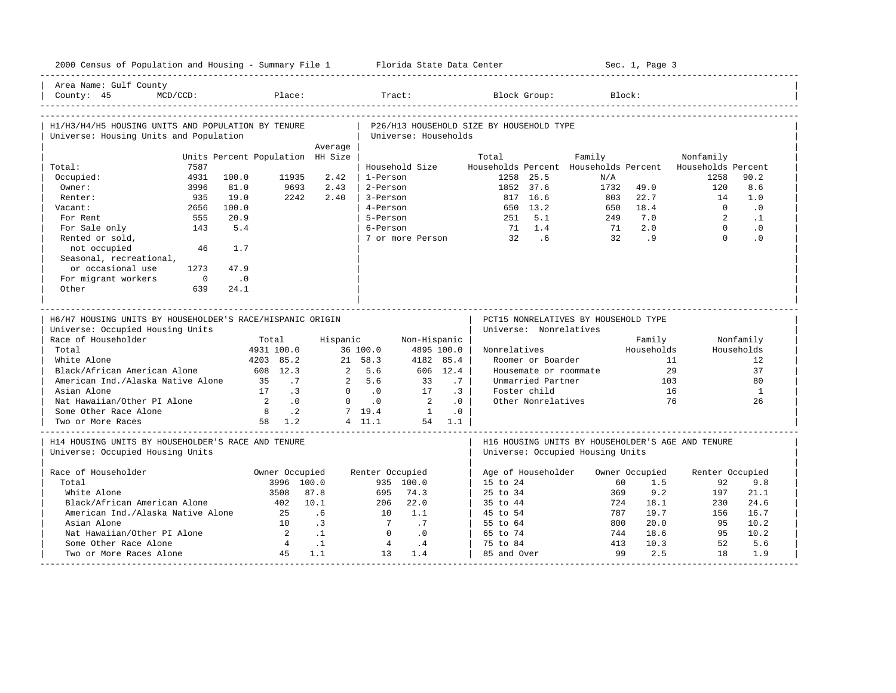| 2000 Census of Population and Housing - Summary File 1 Florida State Data Center              |                                  |                   |                      |                      |           |                                          |                                                                |        |           | Sec. 1, Page 3 |                                                                  |                        |
|-----------------------------------------------------------------------------------------------|----------------------------------|-------------------|----------------------|----------------------|-----------|------------------------------------------|----------------------------------------------------------------|--------|-----------|----------------|------------------------------------------------------------------|------------------------|
| Area Name: Gulf County<br>County: 45<br>$MCD/CCD$ :                                           | Place:                           |                   |                      | Tract:               |           |                                          | Block Group:                                                   |        | Block:    |                |                                                                  |                        |
| H1/H3/H4/H5 HOUSING UNITS AND POPULATION BY TENURE<br>Universe: Housing Units and Population  |                                  |                   |                      | Universe: Households |           | P26/H13 HOUSEHOLD SIZE BY HOUSEHOLD TYPE |                                                                |        |           |                |                                                                  |                        |
|                                                                                               |                                  | Average           |                      |                      |           |                                          |                                                                |        |           |                |                                                                  |                        |
|                                                                                               | Units Percent Population HH Size |                   |                      |                      |           | Total                                    |                                                                | Family |           |                | Nonfamily                                                        |                        |
| 7587<br>Total:<br>Occupied:<br>4931                                                           | 100.0<br>11935                   | 2.42              | 1-Person             | Household Size       |           |                                          | 1258 25.5                                                      |        | N/A       |                | Households Percent Households Percent Households Percent<br>1258 | 90.2                   |
| Owner:<br>3996                                                                                | 9693                             | 2.43              | 2-Person             |                      |           |                                          |                                                                |        | 1732      | 49.0           |                                                                  | 8.6                    |
| 935                                                                                           | 81.0<br>19.0<br>2.242            | 2.40              | 3-Person             |                      |           |                                          | 1852 37.6<br>817 16.6                                          |        | 803       | 22.7           | 120<br>14                                                        | 1.0                    |
| Renter:<br>2656                                                                               | 100.0                            |                   | 4-Person             |                      |           |                                          | 650 13.2                                                       |        | 650       | 18.4           | $\bigcap$                                                        | $\cdot$ 0              |
| Vacant:                                                                                       |                                  |                   | 5-Person             |                      |           |                                          |                                                                |        | 249       | 7.0            | $\overline{2}$                                                   |                        |
| For Rent<br>555                                                                               | 20.9                             |                   |                      |                      |           |                                          | $251$ 5.1                                                      |        |           |                | $\Omega$                                                         | $\cdot$ 1              |
| For Sale only<br>143<br>Rented or sold,                                                       | 5.4                              |                   | 6-Person             | 7 or more Person     |           |                                          | 71 1.4<br>6 <sup>6</sup>                                       |        | 71<br>32  | 2.0<br>.9      | $\Omega$                                                         | $\cdot$ 0<br>$\cdot$ 0 |
| not occupied<br>46<br>Seasonal, recreational,                                                 | 1.7                              |                   |                      |                      |           | 32                                       |                                                                |        |           |                |                                                                  |                        |
| or occasional use<br>1273                                                                     | 47.9                             |                   |                      |                      |           |                                          |                                                                |        |           |                |                                                                  |                        |
| For migrant workers<br>$\overline{0}$                                                         | $\overline{0}$                   |                   |                      |                      |           |                                          |                                                                |        |           |                |                                                                  |                        |
| Other<br>639                                                                                  | 24.1                             |                   |                      |                      |           |                                          |                                                                |        |           |                |                                                                  |                        |
|                                                                                               |                                  |                   |                      |                      |           |                                          |                                                                |        |           |                |                                                                  |                        |
|                                                                                               |                                  |                   |                      |                      |           |                                          |                                                                |        |           |                |                                                                  |                        |
| H6/H7 HOUSING UNITS BY HOUSEHOLDER'S RACE/HISPANIC ORIGIN<br>Universe: Occupied Housing Units |                                  |                   |                      |                      |           |                                          | PCT15 NONRELATIVES BY HOUSEHOLD TYPE<br>Universe: Nonrelatives |        |           |                |                                                                  |                        |
| Race of Householder                                                                           | Total                            | Hispanic          |                      | Non-Hispanic         |           |                                          |                                                                |        |           | Family         |                                                                  | Nonfamily              |
| Total                                                                                         | 4931 100.0                       |                   | 36 100.0             | 4895 100.0           |           | Nonrelatives                             |                                                                |        |           | Households     |                                                                  | Households             |
| White Alone                                                                                   | 4203 85.2                        |                   | 21 58.3              | $4182$ $85.4$        |           |                                          | Roomer or Boarder                                              |        |           | 11             |                                                                  | 12.                    |
| Black/African American Alone                                                                  | 608 12.3                         |                   | 2, 5.6               |                      | 606 12.4  |                                          | Housemate or roommate                                          |        |           |                | 2.9                                                              | 37                     |
| American Ind./Alaska Native Alone                                                             | $\cdot$ 7<br>35                  |                   | 2, 5.6               | 33                   | .7        |                                          | Unmarried Partner                                              |        |           | 103            |                                                                  | 80                     |
| Asian Alone                                                                                   | 17 .3                            |                   | $0 \qquad .0$        | 17                   | $\cdot$ 3 |                                          | Foster child                                                   |        |           | 16             |                                                                  | 1                      |
| Nat Hawaiian/Other PI Alone                                                                   | $\overline{2}$<br>$\cdot$ 0      |                   | $0 \qquad .0$        | $\overline{2}$       | .0        |                                          | Other Nonrelatives                                             |        |           |                | 76                                                               | 26                     |
| Some Other Race Alone                                                                         | $\cdot$ . 2<br>8                 |                   | 7 19.4               | $\overline{1}$       | $\cdot$ 0 |                                          |                                                                |        |           |                |                                                                  |                        |
| Two or More Races                                                                             | 58 1.2                           |                   | $4$ 11.1             |                      | 54 1.1    |                                          |                                                                |        |           |                |                                                                  |                        |
| H14 HOUSING UNITS BY HOUSEHOLDER'S RACE AND TENURE<br>Universe: Occupied Housing Units        |                                  |                   |                      |                      |           |                                          | Universe: Occupied Housing Units                               |        |           |                | H16 HOUSING UNITS BY HOUSEHOLDER'S AGE AND TENURE                |                        |
|                                                                                               |                                  |                   |                      |                      |           |                                          |                                                                |        |           |                |                                                                  |                        |
| Race of Householder                                                                           | Owner Occupied                   |                   | Renter Occupied      |                      |           | Age of Householder                       |                                                                |        |           | Owner Occupied | Renter Occupied                                                  |                        |
| Total                                                                                         | 3996 100.0                       |                   | 695                  | 935 100.0            |           | 15 to 24                                 |                                                                |        | 60        | 1.5            | 92                                                               | 9.8                    |
| White Alone                                                                                   | 3508                             | 87.8              |                      | 74.3                 |           | $25 \text{ to } 34$                      |                                                                |        | 369       | 9.2            | 197                                                              | 21.1                   |
| Black/African American Alone                                                                  | 402                              | 10.1              | 206                  | 22.0                 |           | 35 to 44                                 |                                                                |        | 724       | 18.1           | 230                                                              | 24.6                   |
| American Ind./Alaska Native Alone                                                             | 25                               | .6                | 10                   | 1.1                  |           | 45 to 54                                 |                                                                |        | 787       | 19.7           | 156                                                              | 16.7                   |
| Asian Alone                                                                                   | 10                               | $\cdot$ 3         | $\overline{7}$       | .7                   |           | 55 to 64                                 |                                                                |        | 800       | 20.0           | 95                                                               | 10.2                   |
| Nat Hawaiian/Other PI Alone                                                                   | $\overline{2}$                   | $\cdot$ 1         | $\Omega$             | $\cdot$ 0            |           | 65 to 74                                 |                                                                |        | 744       | 18.6           | 95                                                               | 10.2                   |
| Some Other Race Alone<br>Two or More Races Alone                                              | $\overline{4}$<br>45             | $\cdot$ .1<br>1.1 | $\overline{4}$<br>13 | .4<br>1.4            |           | 75 to 84<br>85 and Over                  |                                                                |        | 413<br>99 | 10.3<br>2.5    | 52<br>18                                                         | 5.6<br>1.9             |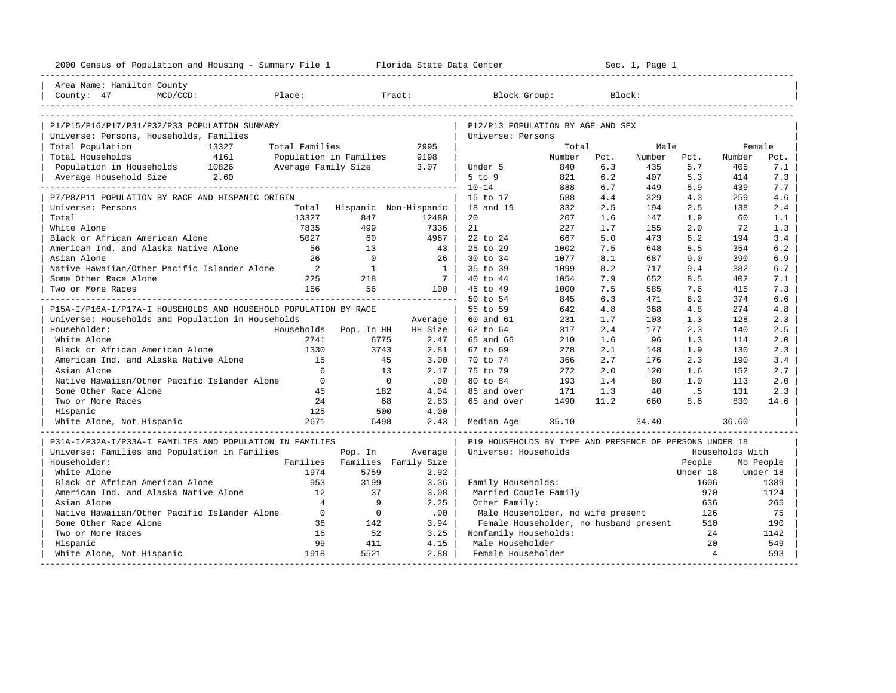| 2000 Census of Population and Housing - Summary File 1 Florida State Data Center |                        |                       |                      |                                                         | ---------------------- |      | Sec. 1, Page 1 |                |                 |           |
|----------------------------------------------------------------------------------|------------------------|-----------------------|----------------------|---------------------------------------------------------|------------------------|------|----------------|----------------|-----------------|-----------|
| Area Name: Hamilton County                                                       |                        |                       |                      |                                                         |                        |      |                |                |                 |           |
| County: $47$<br>$MCD/CCD$ :                                                      | Place:                 |                       | Tract:               | Block Group:                                            |                        |      | Block:         |                |                 |           |
|                                                                                  |                        |                       |                      |                                                         |                        |      |                |                |                 |           |
| P1/P15/P16/P17/P31/P32/P33 POPULATION SUMMARY                                    |                        |                       |                      | P12/P13 POPULATION BY AGE AND SEX                       |                        |      |                |                |                 |           |
| Universe: Persons, Households, Families                                          |                        |                       |                      | Universe: Persons                                       |                        |      |                |                |                 |           |
| Total Population<br>13327                                                        | Total Families         |                       | 2995                 |                                                         | Total                  |      | Male           |                | Female          |           |
| Total Households<br>4161                                                         | Population in Families |                       | 9198                 |                                                         | Number                 | Pct. | Number         | Pct.           | Number          | Pct.      |
| Population in Households 10826                                                   | Average Family Size    |                       | 3.07                 | Under 5                                                 | 840                    | 6.3  | 435            | 5.7            | 405             | 7.1       |
| 2.60<br>Average Household Size                                                   |                        |                       |                      | $5$ to $9$                                              | 821                    | 6.2  | 407            | 5.3            | 414             | 7.3       |
|                                                                                  |                        |                       |                      | $10 - 14$                                               | 888                    | 6.7  | 449            | 5.9            | 439             | 7.7       |
| P7/P8/P11 POPULATION BY RACE AND HISPANIC ORIGIN                                 |                        |                       |                      | 15 to 17                                                | 588                    | 4.4  | 329            | 4.3            | 259             | 4.6       |
| Universe: Persons                                                                | Total                  | Hispanic Non-Hispanic |                      | 18 and 19                                               | 332                    | 2.5  | 194            | 2.5            | 138             | 2.4       |
| Total                                                                            | 13327                  | 847                   | 12480                | 20                                                      | 207                    | 1.6  | 147            | 1.9            | 60              | 1.1       |
| White Alone                                                                      | 7835                   | 499                   | 7336                 | 21                                                      | 227                    | 1.7  | 155            | 2.0            | 72              | 1.3       |
| Black or African American Alone                                                  | 5027                   | 60                    | 4967                 | 22 to 24                                                | 667                    | 5.0  | 473            | 6.2            | 194             | 3.4       |
| American Ind. and Alaska Native Alone                                            | 56                     | 13                    | 43                   | 25 to 29                                                | 1002                   | 7.5  | 648            | 8.5            | 354             | 6.2       |
| Asian Alone                                                                      | 26                     | $\overline{0}$        | 26                   | 30 to 34                                                | 1077                   | 8.1  | 687            | 9.0            | 390             | 6.9       |
| Native Hawaiian/Other Pacific Islander Alone                                     | 2                      | <sup>1</sup>          | <sup>1</sup>         | 35 to 39                                                | 1099                   | 8.2  | 717            | 9.4            | 382             | 6.7       |
| Some Other Race Alone                                                            | 225                    | 218                   | 7 <sup>1</sup>       | 40 to 44                                                | 1054                   | 7.9  | 652            | 8.5            | 402             | 7.1       |
| Two or More Races                                                                | 156                    | 56                    | 100 <sub>1</sub>     | 45 to 49                                                | 1000                   | 7.5  | 585            | 7.6            | 415             | 7.3       |
|                                                                                  |                        |                       |                      | 50 to 54                                                | 845                    | 6.3  | 471            | 6.2            | 374             | 6.6       |
| P15A-I/P16A-I/P17A-I HOUSEHOLDS AND HOUSEHOLD POPULATION BY RACE                 |                        |                       |                      | 55 to 59                                                | 642                    | 4.8  | 368            | 4.8            | 274             | 4.8       |
| Universe: Households and Population in Households                                |                        |                       | Average              | 60 and 61                                               | 231                    | 1.7  | 103            | 1.3            | 128             | 2.3       |
| Householder:                                                                     | Households             | Pop. In HH            | HH Size              | 62 to 64                                                | 317                    | 2.4  | 177            | 2.3            | 140             | 2.5       |
| White Alone                                                                      | 2741                   | 6775                  | 2.47                 | 65 and 66                                               | 210                    | 1.6  | 96             | 1.3            | 114             | 2.0       |
| Black or African American Alone                                                  | 1330                   | 3743                  | 2.81                 | 67 to 69                                                | 278                    | 2.1  | 148            | 1.9            | 130             | 2.3       |
| American Ind. and Alaska Native Alone                                            | 15                     | 45                    | 3.00                 | 70 to 74                                                | 366                    | 2.7  | 176            | 2.3            | 190             | 3.4       |
| Asian Alone                                                                      | 6                      | 13                    | 2.17                 | 75 to 79                                                | 272                    | 2.0  | 120            | 1.6            | 152             | 2.7       |
| Native Hawaiian/Other Pacific Islander Alone                                     | $\Omega$               | $\overline{0}$        | .00                  | 80 to 84                                                | 193                    | 1.4  | 80             | 1.0            | 113             | 2.0       |
| Some Other Race Alone                                                            | 45                     | 182                   | 4.04                 | 85 and over                                             | 171                    | 1.3  | 40             | . 5            | 131             | 2.3       |
| Two or More Races                                                                | 24                     | 68                    | 2.83                 | 65 and over                                             | 1490                   | 11.2 | 660            | 8.6            | 830             | 14.6      |
| Hispanic                                                                         | 125                    | 500                   | 4.00                 |                                                         |                        |      |                |                |                 |           |
| White Alone, Not Hispanic                                                        | 2671                   | 6498                  | 2.43                 | Median Age                                              | 35.10                  |      | 34.40          |                | 36.60           |           |
|                                                                                  |                        |                       |                      |                                                         |                        |      |                |                |                 |           |
| P31A-I/P32A-I/P33A-I FAMILIES AND POPULATION IN FAMILIES                         |                        |                       |                      | P19 HOUSEHOLDS BY TYPE AND PRESENCE OF PERSONS UNDER 18 |                        |      |                |                |                 |           |
| Universe: Families and Population in Families                                    |                        | Pop. In               | Average              | Universe: Households                                    |                        |      |                |                | Households With |           |
| Householder:                                                                     | Families               |                       | Families Family Size |                                                         |                        |      |                | People         |                 | No People |
| White Alone                                                                      | 1974                   | 5759                  | 2.92                 |                                                         |                        |      |                | Under 18       |                 | Under 18  |
| Black or African American Alone                                                  | 953                    | 3199                  | 3.36                 | Family Households:                                      |                        |      |                | 1606           |                 | 1389      |
| American Ind. and Alaska Native Alone                                            | 12                     | 37                    | 3.08                 | Married Couple Family                                   |                        |      |                | 970            |                 | 1124      |
| Asian Alone                                                                      | $\overline{4}$         | 9                     | 2.25                 | Other Family:                                           |                        |      |                | 636            |                 | 265       |
| Native Hawaiian/Other Pacific Islander Alone                                     | $\overline{0}$         | $\overline{0}$        | .00                  | Male Householder, no wife present                       |                        |      |                | 126            |                 | 75        |
| Some Other Race Alone                                                            | 36                     | 142                   | 3.94                 | Female Householder, no husband present                  |                        |      |                | 510            |                 | 190       |
| Two or More Races                                                                | 16                     | 52                    | 3.25                 | Nonfamily Households:                                   |                        |      |                | 24             |                 | 1142      |
| Hispanic                                                                         | 99                     | 411                   | 4.15                 | Male Householder                                        |                        |      |                | 20             |                 | 549       |
| White Alone, Not Hispanic                                                        | 1918                   | 5521                  | 2.88                 | Female Householder                                      |                        |      |                | $\overline{4}$ |                 | 593       |
|                                                                                  |                        |                       |                      |                                                         |                        |      |                |                |                 |           |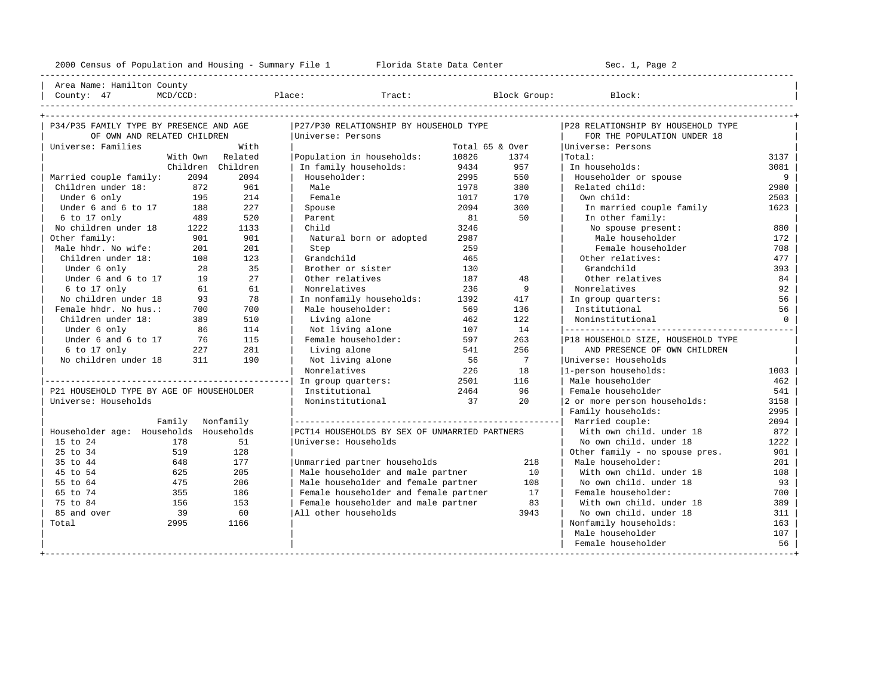---------------------------------------------------------------------------------------------------------------------------------------------------- | Area Name: Hamilton County | | County: 47 MCD/CCD: Place: Tract: Block Group: Block: | ----------------------------------------------------------------------------------------------------------------------------------------------------

| P34/P35 FAMILY TYPE BY PRESENCE AND AGE  |                  |                   | P27/P30 RELATIONSHIP BY HOUSEHOLD TYPE        |                 | P28 RELATIONSHIP BY HOUSEHOLD TYPE |                                    |         |
|------------------------------------------|------------------|-------------------|-----------------------------------------------|-----------------|------------------------------------|------------------------------------|---------|
| OF OWN AND RELATED CHILDREN              |                  |                   | Universe: Persons                             |                 |                                    | FOR THE POPULATION UNDER 18        |         |
| Universe: Families                       |                  | With              |                                               | Total 65 & Over |                                    | Universe: Persons                  |         |
|                                          |                  | With Own Related  | Population in households:                     | 10826           | 1374                               | Total:                             | 3137    |
|                                          |                  | Children Children | In family households:                         | 9434            | 957                                | In households:                     | 3081    |
| Married couple family:                   | 2094             | 2094              | Householder:                                  | 2995            | 550                                | Householder or spouse              | 9       |
| Children under 18:                       | 872              | 961               | Male                                          | 1978            | 380                                | Related child:                     | 2980    |
| Under 6 only                             | 195              | 214               | Female                                        | 1017            | 170                                | Own child:                         | 2503    |
| Under 6 and 6 to 17                      | 188              | 227               | Spouse                                        | 2094            | 300                                | In married couple family           | 1623    |
| 6 to 17 only                             | 489              | 520               | Parent                                        | 81              | 50                                 | In other family:                   |         |
| No children under 18                     | 1222             | 1133              | Child                                         | 3246            |                                    | No spouse present:                 | 880     |
| Other family:                            | 901              | 901               | Natural born or adopted                       | 2987            |                                    | Male householder                   | 172     |
| Male hhdr. No wife:                      | 201              | 201               | Step                                          | 259             |                                    | Female householder                 | 708     |
| Children under 18:                       | 108              | 123               | Grandchild                                    | 465             |                                    | Other relatives:                   | 477     |
| Under 6 only                             | 28               | 35                | Brother or sister                             | 130             |                                    | Grandchild                         | 393     |
| Under 6 and 6 to 17                      | 19               | 27                | Other relatives                               | 187             | 48                                 | Other relatives                    | 84      |
| 6 to 17 only                             | 61               | 61                | Nonrelatives                                  | 236             | 9                                  | Nonrelatives                       | 92      |
| No children under 18                     | 93               | 78                | In nonfamily households:                      | 1392            | 417                                | In group quarters:                 | 56      |
| Female hhdr. No hus.:                    | 700              | 700               | Male householder:                             | 569             | 136                                | Institutional                      | 56      |
| Children under 18:                       | 389              | 510               | Living alone                                  | 462             | 122                                | Noninstitutional                   | $\circ$ |
| Under 6 only                             | 86               | 114               | Not living alone                              | 107             | 14                                 |                                    |         |
| Under 6 and 6 to 17                      | 76               | 115               | Female householder:                           | 597             | 263                                | P18 HOUSEHOLD SIZE, HOUSEHOLD TYPE |         |
| 6 to 17 only                             | 227              | 281               | Living alone                                  | 541             | 256                                | AND PRESENCE OF OWN CHILDREN       |         |
| No children under 18                     | 311              | 190               | Not living alone                              | 56              | $\overline{7}$                     | Universe: Households               |         |
|                                          |                  |                   | Nonrelatives                                  | 226             | 18                                 | 1-person households:               | 1003    |
|                                          |                  |                   | In group quarters:                            | 2501            | 116                                | Male householder                   | 462     |
| P21 HOUSEHOLD TYPE BY AGE OF HOUSEHOLDER |                  |                   | Institutional                                 | 2464            | 96                                 | Female householder                 | 541     |
| Universe: Households                     |                  |                   | Noninstitutional                              | 37              | 20                                 | 2 or more person households:       | 3158    |
|                                          |                  |                   |                                               |                 |                                    | Family households:                 | 2995    |
|                                          | Family Nonfamily |                   |                                               |                 |                                    | Married couple:                    | 2094    |
| Householder age: Households Households   |                  |                   | PCT14 HOUSEHOLDS BY SEX OF UNMARRIED PARTNERS |                 |                                    | With own child, under 18           | 872     |
| 15 to 24                                 | 178              | 51                | Universe: Households                          |                 |                                    | No own child, under 18             | 1222    |
| 25 to 34                                 | 519              | 128               |                                               |                 |                                    | Other family - no spouse pres.     | 901     |
| 35 to 44                                 | 648              | 177               | Unmarried partner households                  |                 | 218                                | Male householder:                  | 201     |
| 45 to 54                                 | 625              | 205               | Male householder and male partner             |                 | 10                                 | With own child, under 18           | 108     |
| 55 to 64                                 | 475              | 206               | Male householder and female partner           |                 | 108                                | No own child, under 18             | 93      |
| 65 to 74                                 | 355              | 186               | Female householder and female partner         |                 | 17                                 | Female householder:                | 700     |
| 75 to 84                                 | 156              | 153               | Female householder and male partner           |                 | 83                                 | With own child, under 18           | 389     |
| 85 and over                              | 39               | 60                | All other households                          |                 | 3943                               | No own child, under 18             | 311     |
| Total                                    | 2995             | 1166              |                                               |                 |                                    | Nonfamily households:              | 163     |
|                                          |                  |                   |                                               |                 |                                    | Male householder                   | 107     |
|                                          |                  |                   |                                               |                 |                                    | Female householder                 | 56      |
|                                          |                  |                   |                                               |                 |                                    |                                    |         |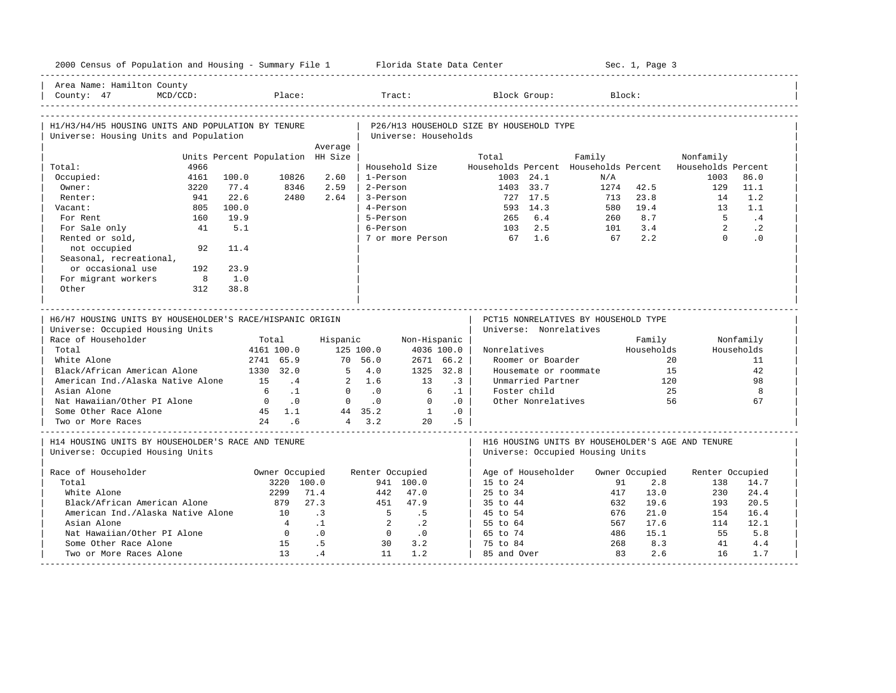| 2000 Census of Population and Housing - Summary File 1 Florida State Data Center              |           |             |                                    |                                  |                                     |                      |            |                                          |                        |                                      |            | Sec. 1, Page 3 |                                                          |                        |
|-----------------------------------------------------------------------------------------------|-----------|-------------|------------------------------------|----------------------------------|-------------------------------------|----------------------|------------|------------------------------------------|------------------------|--------------------------------------|------------|----------------|----------------------------------------------------------|------------------------|
| Area Name: Hamilton County<br>$MCD/CCD$ :<br>County: 47                                       |           |             | Place:                             |                                  |                                     | Tract:               |            |                                          | Block Group:           |                                      | Block:     |                |                                                          |                        |
| H1/H3/H4/H5 HOUSING UNITS AND POPULATION BY TENURE<br>Universe: Housing Units and Population  |           |             |                                    |                                  |                                     | Universe: Households |            | P26/H13 HOUSEHOLD SIZE BY HOUSEHOLD TYPE |                        |                                      |            |                |                                                          |                        |
|                                                                                               |           |             |                                    | Average                          |                                     |                      |            |                                          |                        |                                      |            |                |                                                          |                        |
|                                                                                               |           |             |                                    | Units Percent Population HH Size |                                     |                      |            | Total                                    |                        | Family                               |            |                | Nonfamily                                                |                        |
| Total:                                                                                        | 4966      |             |                                    |                                  |                                     | Household Size       |            |                                          |                        |                                      |            |                | Households Percent Households Percent Households Percent |                        |
| Occupied:                                                                                     | 4161      | 100.0       | 10826                              | 2.60                             | 1-Person                            |                      |            |                                          | $1003$ 24.1            | N/A                                  |            |                | 1003                                                     | 86.0                   |
| Owner:                                                                                        | 3220      | 77.4        | 8346                               | 2.59                             | 2-Person                            |                      |            |                                          | 1403 33.7              | 1274                                 |            | 42.5           | 129                                                      | 11.1                   |
| Renter:                                                                                       | 941       | 22.6        | 2480                               | 2.64                             | 3-Person                            |                      |            |                                          | 727 17.5               | 713                                  |            | 23.8           | 14                                                       | 1.2                    |
| Vacant:                                                                                       | 805       | 100.0       |                                    |                                  | 4-Person<br>5-Person                |                      |            | 265                                      | 593 14.3               | 580                                  |            | 19.4<br>8.7    | 1.3<br>- 5                                               | 1.1<br>.4              |
| For Rent                                                                                      | 160<br>41 | 19.9<br>5.1 |                                    |                                  | 6-Person                            |                      |            |                                          | 6.4<br>2.5             | 260<br>101                           |            | 3.4            | $\overline{2}$                                           |                        |
| For Sale only<br>Rented or sold,                                                              |           |             |                                    |                                  |                                     | 7 or more Person     |            | 103<br>67 1.6                            |                        | 67                                   |            | 2.2            | $\Omega$                                                 | $\cdot$ 2<br>$\cdot$ 0 |
| not occupied<br>Seasonal, recreational,                                                       | 92        | 11.4        |                                    |                                  |                                     |                      |            |                                          |                        |                                      |            |                |                                                          |                        |
| or occasional use                                                                             | 192       | 23.9        |                                    |                                  |                                     |                      |            |                                          |                        |                                      |            |                |                                                          |                        |
| For migrant workers                                                                           | 8         | 1.0         |                                    |                                  |                                     |                      |            |                                          |                        |                                      |            |                |                                                          |                        |
| Other                                                                                         | 312       | 38.8        |                                    |                                  |                                     |                      |            |                                          |                        |                                      |            |                |                                                          |                        |
|                                                                                               |           |             |                                    |                                  |                                     |                      |            |                                          |                        |                                      |            |                |                                                          |                        |
| H6/H7 HOUSING UNITS BY HOUSEHOLDER'S RACE/HISPANIC ORIGIN<br>Universe: Occupied Housing Units |           |             |                                    |                                  |                                     |                      |            |                                          | Universe: Nonrelatives | PCT15 NONRELATIVES BY HOUSEHOLD TYPE |            |                |                                                          |                        |
| Race of Householder                                                                           |           |             | Total                              |                                  | Hispanic                            | Non-Hispanic         |            |                                          |                        |                                      |            | Family         |                                                          | Nonfamily              |
| Total                                                                                         |           |             | 4161 100.0                         |                                  | 125 100.0                           |                      | 4036 100.0 | Nonrelatives                             |                        |                                      |            | Households     |                                                          | Households             |
| White Alone                                                                                   |           |             | 2741 65.9                          |                                  | 70 56.0                             |                      | 2671 66.2  |                                          | Roomer or Boarder      |                                      |            | $20^{\circ}$   |                                                          | 11                     |
| Black/African American Alone                                                                  |           |             | 1330 32.0                          |                                  | $5^{\circ}$<br>4.0                  |                      | 1325 32.8  |                                          |                        | Housemate or roommate                |            | 15             |                                                          | 42                     |
| American Ind./Alaska Native Alone                                                             |           |             | 15<br>.4                           |                                  | 2, 1.6                              | 13                   | $\cdot$ 3  |                                          | Unmarried Partner      |                                      |            | 120            |                                                          | 98                     |
| Asian Alone                                                                                   |           |             | $\ldots$<br>6                      |                                  | $\circ$<br>$\overline{\phantom{0}}$ | 6                    | $\cdot$ 1  |                                          | Foster child           |                                      |            | 25             |                                                          | 8                      |
| Nat Hawaiian/Other PI Alone                                                                   |           |             | $\overline{0}$<br>$\overline{0}$ . |                                  | $\mathbf{0}$<br>$\cdot$ 0           | $\Omega$             | .0         |                                          | Other Nonrelatives     |                                      |            | 56             |                                                          | 67                     |
| Some Other Race Alone                                                                         |           |             | 45 1.1                             |                                  | 44 35.2                             | 1                    | .0         |                                          |                        |                                      |            |                |                                                          |                        |
| Two or More Races                                                                             |           |             | 24 .6                              |                                  | $4 \quad 3.2$                       | 20                   | .5         |                                          |                        |                                      |            |                |                                                          |                        |
| H14 HOUSING UNITS BY HOUSEHOLDER'S RACE AND TENURE<br>Universe: Occupied Housing Units        |           |             |                                    |                                  |                                     |                      |            |                                          |                        | Universe: Occupied Housing Units     |            |                | H16 HOUSING UNITS BY HOUSEHOLDER'S AGE AND TENURE        |                        |
|                                                                                               |           |             |                                    |                                  |                                     |                      |            |                                          |                        |                                      |            |                |                                                          |                        |
| Race of Householder                                                                           |           |             | Owner Occupied                     |                                  | Renter Occupied                     |                      |            |                                          | Age of Householder     |                                      |            | Owner Occupied | Renter Occupied                                          |                        |
| Total                                                                                         |           |             | 3220 100.0                         |                                  |                                     | 941 100.0            |            | $15 \text{ to } 24$                      |                        |                                      | 91         | 2.8            | 138                                                      | 14.7                   |
| White Alone                                                                                   |           |             | 2299                               | 71.4                             | 442                                 | 47.0                 |            | $25 \text{ to } 34$                      |                        |                                      | 417        | 13.0           | 230                                                      | 24.4                   |
| Black/African American Alone                                                                  |           |             | 879                                | 27.3                             | 451                                 | 47.9                 |            | 35 to 44                                 |                        |                                      | 632        | 19.6           | 193                                                      | 20.5                   |
| American Ind./Alaska Native Alone                                                             |           |             | 10                                 | $\overline{3}$                   | $5^{\circ}$                         | .5                   |            | 45 to 54                                 |                        |                                      | 676        | 21.0           | 154                                                      | 16.4                   |
| Asian Alone                                                                                   |           |             | $\overline{4}$                     | $\cdot$ 1                        | 2                                   | $\cdot$ 2            |            | 55 to 64                                 |                        |                                      | 567        | 17.6           | 114                                                      | 12.1                   |
| Nat Hawaiian/Other PI Alone                                                                   |           |             | $\overline{0}$                     | .0                               | $\overline{0}$                      | $\cdot$ 0            |            | 65 to 74                                 |                        |                                      | 486<br>268 | 15.1<br>8.3    | 55<br>41                                                 | 5.8                    |
| Some Other Race Alone<br>Two or More Races Alone                                              |           |             | 15<br>13                           | .5<br>.4                         | 30<br>11                            | 3.2<br>1.2           |            | 75 to 84<br>85 and Over                  |                        |                                      | 83         | 2.6            | 16                                                       | 4.4<br>1.7             |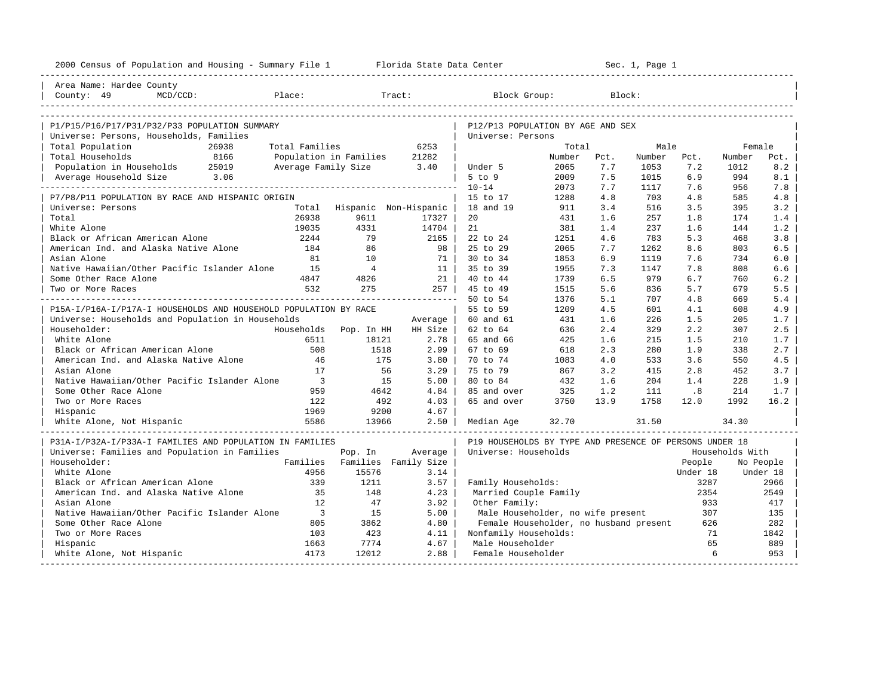| 2000 Census of Population and Housing - Summary File 1 Florida State Data Center |                          |                       |                      |                                                         | _____________________ |      | Sec. 1, Page 1 |          |                 |           |
|----------------------------------------------------------------------------------|--------------------------|-----------------------|----------------------|---------------------------------------------------------|-----------------------|------|----------------|----------|-----------------|-----------|
| Area Name: Hardee County                                                         |                          |                       |                      |                                                         |                       |      |                |          |                 |           |
| County: 49<br>$MCD/CCD$ :                                                        | Place:                   |                       | Tract:               | Block Group:                                            |                       |      | Block:         |          |                 |           |
|                                                                                  |                          |                       |                      |                                                         |                       |      |                |          |                 |           |
| P1/P15/P16/P17/P31/P32/P33 POPULATION SUMMARY                                    |                          |                       |                      | P12/P13 POPULATION BY AGE AND SEX                       |                       |      |                |          |                 |           |
| Universe: Persons, Households, Families                                          |                          |                       |                      | Universe: Persons                                       |                       |      |                |          |                 |           |
| Total Population<br>26938                                                        | Total Families           |                       | 6253                 |                                                         | Total                 |      | Male           |          | Female          |           |
| Total Households<br>8166                                                         | Population in Families   |                       | 21282                |                                                         | Number                | Pct. | Number         | Pct.     | Number          | Pct.      |
| Population in Households 25019                                                   | Average Family Size      |                       | 3.40                 | Under 5                                                 | 2065                  | 7.7  | 1053           | 7.2      | 1012            | 8.2       |
| 3.06<br>Average Household Size                                                   |                          |                       |                      | $5$ to $9$                                              | 2009                  | 7.5  | 1015           | 6.9      | 994             | 8.1       |
|                                                                                  |                          |                       |                      | $10 - 14$                                               | 2073                  | 7.7  | 1117           | 7.6      | 956             | 7.8       |
| P7/P8/P11 POPULATION BY RACE AND HISPANIC ORIGIN                                 |                          |                       |                      | 15 to 17                                                | 1288                  | 4.8  | 703            | 4.8      | 585             | 4.8       |
| Universe: Persons                                                                | Total                    | Hispanic Non-Hispanic |                      | 18 and 19                                               | 911                   | 3.4  | 516            | 3.5      | 395             | 3.2       |
| Total                                                                            | 26938                    | 9611                  | 17327                | 20                                                      | 431                   | 1.6  | 257            | 1.8      | 174             | 1.4       |
| White Alone                                                                      | 19035                    | 4331                  | 14704                | 21                                                      | 381                   | 1.4  | 237            | 1.6      | 144             | 1.2       |
| Black or African American Alone                                                  | 2244                     | 79                    | 2165                 | 22 to 24                                                | 1251                  | 4.6  | 783            | 5.3      | 468             | 3.8       |
| American Ind. and Alaska Native Alone                                            | 184                      | 86                    | 98                   | 25 to 29                                                | 2065                  | 7.7  | 1262           | 8.6      | 803             | 6.5       |
| Asian Alone                                                                      | 81                       | 10                    | 71                   | 30 to 34                                                | 1853                  | 6.9  | 1119           | 7.6      | 734             | 6.0       |
| Native Hawaiian/Other Pacific Islander Alone                                     | 1.5                      | $\overline{4}$        | 11                   | 35 to 39                                                | 1955                  | 7.3  | 1147           | 7.8      | 808             | 6.6       |
| Some Other Race Alone                                                            | 4847                     | 4826                  | 21                   | 40 to 44                                                | 1739                  | 6.5  | 979            | 6.7      | 760             | 6.2       |
| Two or More Races                                                                | 532                      | 275                   | 257                  | 45 to 49                                                | 1515                  | 5.6  | 836            | 5.7      | 679             | 5.5       |
|                                                                                  |                          |                       |                      | 50 to 54                                                | 1376                  | 5.1  | 707            | 4.8      | 669             | 5.4       |
| P15A-I/P16A-I/P17A-I HOUSEHOLDS AND HOUSEHOLD POPULATION BY RACE                 |                          |                       |                      | 55 to 59                                                | 1209                  | 4.5  | 601            | 4.1      | 608             | 4.9       |
| Universe: Households and Population in Households                                |                          |                       | Average              | 60 and 61                                               | 431                   | 1.6  | 226            | 1.5      | 205             | 1.7       |
| Householder:                                                                     | Households               | Pop. In HH            | HH Size              | 62 to 64                                                | 636                   | 2.4  | 329            | 2.2      | 307             | 2.5       |
| White Alone                                                                      | 6511                     | 18121                 | 2.78                 | 65 and 66                                               | 425                   | 1.6  | 215            | 1.5      | 210             | 1.7       |
| Black or African American Alone                                                  | 508                      | 1518                  | 2.99                 | 67 to 69                                                | 618                   | 2.3  | 280            | 1.9      | 338             | 2.7       |
| American Ind. and Alaska Native Alone                                            | 46                       | 175                   | 3.80                 | 70 to 74                                                | 1083                  | 4.0  | 533            | 3.6      | 550             | 4.5       |
| Asian Alone                                                                      | 17                       | 56                    | 3.29                 | 75 to 79                                                | 867                   | 3.2  | 415            | 2.8      | 452             | 3.7       |
| Native Hawaiian/Other Pacific Islander Alone                                     | $\overline{\phantom{a}}$ | 15                    | 5.00                 | 80 to 84                                                | 432                   | 1.6  | 204            | 1.4      | 228             | 1.9       |
| Some Other Race Alone                                                            | 959                      | 4642                  | 4.84                 | 85 and over                                             | 325                   | 1.2  | 111            | .8       | 214             | 1.7       |
| Two or More Races                                                                | 122                      | 492                   | 4.03                 | 65 and over                                             | 3750                  | 13.9 | 1758           | 12.0     | 1992            | 16.2      |
| Hispanic                                                                         | 1969                     | 9200                  | 4.67                 |                                                         |                       |      |                |          |                 |           |
| White Alone, Not Hispanic                                                        | 5586                     | 13966                 | 2.50                 | Median Age                                              | 32.70                 |      | 31.50          |          | 34.30           |           |
| P31A-I/P32A-I/P33A-I FAMILIES AND POPULATION IN FAMILIES                         |                          |                       |                      | P19 HOUSEHOLDS BY TYPE AND PRESENCE OF PERSONS UNDER 18 |                       |      |                |          |                 |           |
| Universe: Families and Population in Families                                    |                          | Pop. In               | Average              | Universe: Households                                    |                       |      |                |          | Households With |           |
| Householder:                                                                     | Families                 |                       | Families Family Size |                                                         |                       |      |                | People   |                 | No People |
| White Alone                                                                      | 4956                     | 15576                 | 3.14                 |                                                         |                       |      |                | Under 18 |                 | Under 18  |
| Black or African American Alone                                                  | 339                      | 1211                  | 3.57                 | Family Households:                                      |                       |      |                | 3287     |                 | 2966      |
| American Ind. and Alaska Native Alone                                            | 35                       | 148                   | 4.23                 | Married Couple Family                                   |                       |      |                | 2354     |                 | 2549      |
| Asian Alone                                                                      | 12                       | 47                    | 3.92                 | Other Family:                                           |                       |      |                | 933      |                 | 417       |
| Native Hawaiian/Other Pacific Islander Alone                                     | $\overline{\mathbf{3}}$  | 15                    | 5.00                 | Male Householder, no wife present                       |                       |      |                | 307      |                 | 135       |
| Some Other Race Alone                                                            | 805                      | 3862                  | 4.80                 | Female Householder, no husband present                  |                       |      |                | 626      |                 | 282       |
| Two or More Races                                                                | 103                      | 423                   | 4.11                 | Nonfamily Households:                                   |                       |      |                | 71       |                 | 1842      |
| Hispanic                                                                         | 1663                     | 7774                  | 4.67                 | Male Householder                                        |                       |      |                | 65       |                 | 889       |
| White Alone, Not Hispanic                                                        | 4173                     | 12012                 | 2.88                 | Female Householder                                      |                       |      |                | 6        |                 | 953       |
|                                                                                  |                          |                       |                      |                                                         |                       |      |                |          |                 |           |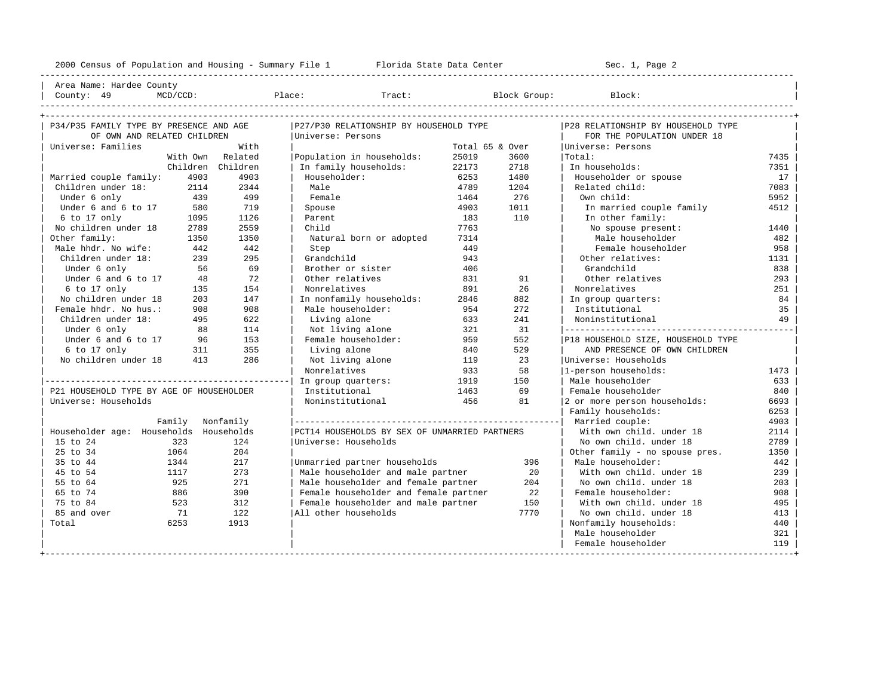---------------------------------------------------------------------------------------------------------------------------------------------------- | Area Name: Hardee County | | County: 49 MCD/CCD: Place: Tract: Block Group: Block: |

| P34/P35 FAMILY TYPE BY PRESENCE AND AGE  |      |                   | P27/P30 RELATIONSHIP BY HOUSEHOLD TYPE        |                   | P28 RELATIONSHIP BY HOUSEHOLD TYPE |                                    |      |  |
|------------------------------------------|------|-------------------|-----------------------------------------------|-------------------|------------------------------------|------------------------------------|------|--|
| OF OWN AND RELATED CHILDREN              |      |                   | Universe: Persons                             |                   | FOR THE POPULATION UNDER 18        |                                    |      |  |
| With<br>Universe: Families               |      |                   | Total 65 & Over                               | Universe: Persons |                                    |                                    |      |  |
|                                          |      | With Own Related  | Population in households:                     | 25019             | 3600                               | Total:                             | 7435 |  |
|                                          |      | Children Children | In family households:                         | 22173             | 2718                               | In households:                     | 7351 |  |
| Married couple family:                   | 4903 | 4903              | Householder:                                  | 6253              | 1480                               | Householder or spouse              | 17   |  |
| Children under 18:                       | 2114 | 2344              | Male                                          | 4789              | 1204                               | Related child:                     | 7083 |  |
| Under 6 only                             | 439  | 499               | Female                                        | 1464              | 276                                | Own child:                         | 5952 |  |
| Under 6 and 6 to 17                      | 580  | 719               | Spouse                                        | 4903              | 1011                               | In married couple family           | 4512 |  |
| 6 to 17 only                             | 1095 | 1126              | Parent                                        | 183               | 110                                | In other family:                   |      |  |
| No children under 18                     | 2789 | 2559              | Child                                         | 7763              |                                    | No spouse present:                 | 1440 |  |
| Other family:                            | 1350 | 1350              | Natural born or adopted                       | 7314              |                                    | Male householder                   | 482  |  |
| Male hhdr. No wife:                      | 442  | 442               | Step                                          | 449               |                                    | Female householder                 | 958  |  |
| Children under 18:                       | 239  | 295               | Grandchild                                    | 943               |                                    | Other relatives:                   | 1131 |  |
| Under 6 only                             | 56   | 69                | Brother or sister                             | 406               |                                    | Grandchild                         | 838  |  |
| Under 6 and 6 to 17                      | 48   | 72                | Other relatives                               | 831               | 91                                 | Other relatives                    | 293  |  |
| 6 to 17 only                             | 135  | 154               | Nonrelatives                                  | 891               | 2.6                                | Nonrelatives                       | 251  |  |
| No children under 18                     | 203  | 147               | In nonfamily households:                      | 2846              | 882                                | In group quarters:                 | 84   |  |
| Female hhdr. No hus.:                    | 908  | 908               | Male householder:                             | 954               | 272                                | Institutional                      | 35   |  |
| Children under 18:                       | 495  | 622               | Living alone                                  | 633               | 241                                | Noninstitutional                   | 49   |  |
| Under 6 only                             | 88   | 114               | Not living alone                              | 321               | 31                                 |                                    |      |  |
| Under 6 and 6 to 17                      | 96   | 153               | Female householder:                           | 959               | 552                                | P18 HOUSEHOLD SIZE, HOUSEHOLD TYPE |      |  |
| 6 to 17 only                             | 311  | 355               | Living alone                                  | 840               | 529                                | AND PRESENCE OF OWN CHILDREN       |      |  |
| No children under 18                     | 413  | 286               | Not living alone                              | 119               | 23                                 | Universe: Households               |      |  |
|                                          |      |                   | Nonrelatives                                  | 933               | 58                                 | 1-person households:               | 1473 |  |
|                                          |      |                   | In group quarters:                            | 1919              | 150                                | Male householder                   | 633  |  |
| P21 HOUSEHOLD TYPE BY AGE OF HOUSEHOLDER |      |                   | Institutional                                 | 1463              | 69                                 | Female householder                 | 840  |  |
| Universe: Households                     |      |                   | Noninstitutional                              | 456               | 81                                 | 2 or more person households:       | 6693 |  |
|                                          |      |                   |                                               |                   |                                    | Family households:                 | 6253 |  |
|                                          |      | Family Nonfamily  |                                               |                   |                                    | Married couple:                    | 4903 |  |
| Householder age: Households Households   |      |                   | PCT14 HOUSEHOLDS BY SEX OF UNMARRIED PARTNERS |                   | With own child, under 18           | 2114                               |      |  |
| 15 to 24<br>323                          |      | 124               | Universe: Households                          |                   |                                    | No own child, under 18             | 2789 |  |
| 25 to 34<br>1064                         |      | 204               |                                               |                   |                                    | Other family - no spouse pres.     | 1350 |  |
| 35 to 44<br>1344                         |      | 217               | Unmarried partner households                  |                   | 396                                | Male householder:                  | 442  |  |
| 45 to 54<br>1117                         |      | 273               | Male householder and male partner             |                   | 20                                 | With own child, under 18           | 239  |  |
| 55 to 64<br>925                          |      | 271               | Male householder and female partner           |                   | 204                                | No own child, under 18             | 203  |  |
| 65 to 74                                 | 886  | 390               | Female householder and female partner         |                   | 22                                 | Female householder:                | 908  |  |
| 75 to 84                                 | 523  | 312               | Female householder and male partner<br>150    |                   | With own child, under 18           | 495                                |      |  |
| 85 and over<br>71                        |      | 122               | All other households                          |                   | No own child, under 18<br>413      |                                    |      |  |
| Total                                    | 6253 | 1913              |                                               |                   |                                    | Nonfamily households:              | 440  |  |
|                                          |      |                   |                                               |                   |                                    | Male householder                   | 321  |  |
|                                          |      |                   |                                               |                   |                                    | Female householder                 | 119  |  |
|                                          |      |                   |                                               |                   |                                    |                                    |      |  |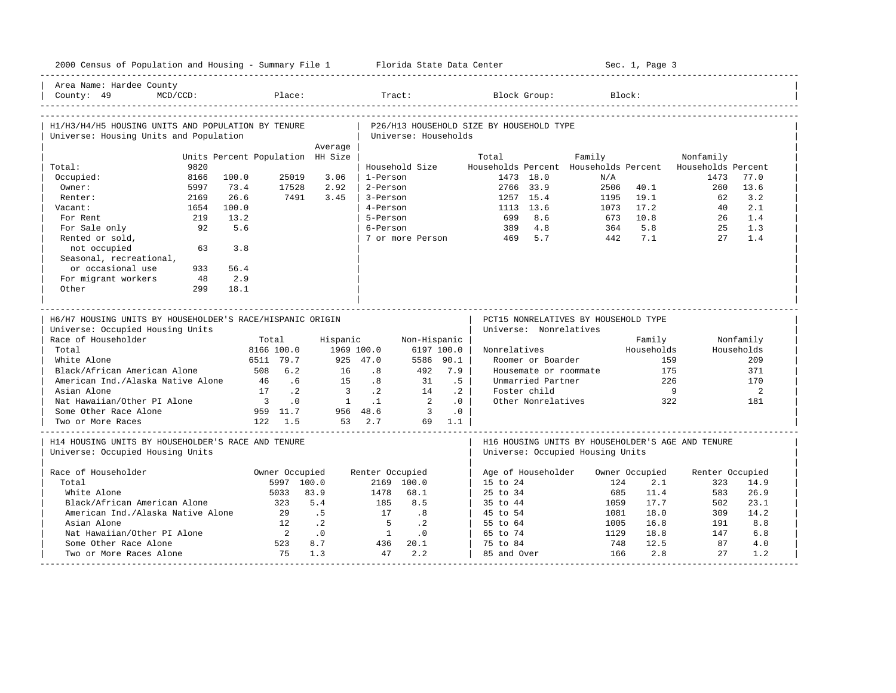| 2000 Census of Population and Housing - Summary File 1 Florida State Data Center              |                                  |                   |                         |                 |                                     |            |                                          |                        |                                                                          |             | Sec. 1, Page 3 |                                                          |            |
|-----------------------------------------------------------------------------------------------|----------------------------------|-------------------|-------------------------|-----------------|-------------------------------------|------------|------------------------------------------|------------------------|--------------------------------------------------------------------------|-------------|----------------|----------------------------------------------------------|------------|
| Area Name: Hardee County<br>$MCD/CCD$ :<br>County: 49                                         |                                  | Place:            |                         | Tract:          |                                     |            |                                          | Block Group:           |                                                                          | Block:      |                |                                                          |            |
| H1/H3/H4/H5 HOUSING UNITS AND POPULATION BY TENURE<br>Universe: Housing Units and Population  |                                  |                   |                         |                 | Universe: Households                |            | P26/H13 HOUSEHOLD SIZE BY HOUSEHOLD TYPE |                        |                                                                          |             |                |                                                          |            |
|                                                                                               |                                  |                   | Average                 |                 |                                     |            |                                          |                        |                                                                          |             |                |                                                          |            |
|                                                                                               | Units Percent Population HH Size |                   |                         |                 |                                     |            | Total                                    |                        | Family                                                                   |             |                | Nonfamily                                                |            |
| 9820<br>Total:                                                                                |                                  |                   |                         |                 | Household Size                      |            |                                          |                        |                                                                          |             |                | Households Percent Households Percent Households Percent |            |
| Occupied:<br>8166                                                                             | 100.0                            | 25019             | 3.06                    | 1-Person        |                                     |            |                                          | 1473 18.0              |                                                                          | N/A         |                | 1473                                                     | 77.0       |
| Owner:<br>5997                                                                                | 73.4                             | 17528             | 2.92                    | 2-Person        |                                     |            |                                          | 2766 33.9              |                                                                          | 2506        | 40.1           | 260                                                      | 13.6       |
| 2169<br>Renter:                                                                               | 26.6                             | 7491              | 3.45                    | 3-Person        |                                     |            |                                          | 1257 15.4              |                                                                          | 1195        | 19.1           | 62                                                       | 3.2        |
| Vacant:<br>1654                                                                               | 100.0                            |                   |                         | 4-Person        |                                     |            |                                          | 1113 13.6              |                                                                          | 1073        | 17.2<br>10.8   | 40                                                       | 2.1        |
| For Rent<br>219                                                                               | 13.2                             |                   |                         | 5-Person        |                                     |            | 699                                      | 8.6                    |                                                                          | 673         | 5.8            | 26                                                       | 1.4        |
| 92<br>For Sale only                                                                           | 5.6                              |                   |                         | 6-Person        |                                     |            | 389                                      | 4.8<br>5.7             |                                                                          | 364         | 7.1            | $25 -$<br>27                                             | 1.3<br>1.4 |
| Rented or sold,<br>not occupied<br>63<br>Seasonal, recreational,                              | 3.8                              |                   |                         |                 | 7 or more Person                    |            | 469                                      |                        |                                                                          | 442         |                |                                                          |            |
| or occasional use<br>933                                                                      | 56.4                             |                   |                         |                 |                                     |            |                                          |                        |                                                                          |             |                |                                                          |            |
| For migrant workers<br>48                                                                     | 2.9                              |                   |                         |                 |                                     |            |                                          |                        |                                                                          |             |                |                                                          |            |
| Other<br>299                                                                                  | 18.1                             |                   |                         |                 |                                     |            |                                          |                        |                                                                          |             |                |                                                          |            |
|                                                                                               |                                  |                   |                         |                 |                                     |            |                                          |                        |                                                                          |             |                |                                                          |            |
| H6/H7 HOUSING UNITS BY HOUSEHOLDER'S RACE/HISPANIC ORIGIN<br>Universe: Occupied Housing Units |                                  |                   |                         |                 |                                     |            |                                          | Universe: Nonrelatives | ________________________________<br>PCT15 NONRELATIVES BY HOUSEHOLD TYPE |             |                |                                                          |            |
| Race of Householder                                                                           | Total                            |                   | Hispanic                |                 | Non-Hispanic                        |            |                                          |                        |                                                                          |             | Family         |                                                          | Nonfamily  |
| Total                                                                                         | 8166 100.0                       |                   | 1969 100.0              |                 |                                     | 6197 100.0 | Nonrelatives                             |                        |                                                                          |             | Households     |                                                          | Households |
| White Alone                                                                                   | 6511 79.7                        |                   |                         | 925 47.0        |                                     | 5586 90.1  |                                          | Roomer or Boarder      |                                                                          |             | 159            |                                                          | 209        |
| Black/African American Alone                                                                  | 508 6.2                          |                   | 16                      | .8              | 492                                 | 7.9        |                                          |                        | Housemate or roommate                                                    |             | 175            |                                                          | 371        |
| American Ind./Alaska Native Alone                                                             | 46                               | .6                | 15                      | .8              | 31                                  | .5         |                                          | Unmarried Partner      |                                                                          |             | 226            |                                                          | 170        |
| Asian Alone                                                                                   | 17 .2                            |                   | $\overline{\mathbf{3}}$ | $\cdot$ 2       | 14                                  | $\cdot$ 2  |                                          | Foster child           |                                                                          |             | - 9            |                                                          | 2          |
| Nat Hawaiian/Other PI Alone                                                                   | $\overline{\mathbf{3}}$          | .0                | $\overline{1}$          | $\cdot$ 1       | $\overline{2}$                      | .0         |                                          | Other Nonrelatives     |                                                                          |             | 322            |                                                          | 181        |
| Some Other Race Alone                                                                         | 959 11.7                         |                   |                         | 956 48.6        | $\overline{\phantom{a}}$ 3          | $\cdot$ 0  |                                          |                        |                                                                          |             |                |                                                          |            |
| Two or More Races                                                                             | 122 1.5                          |                   |                         | 53 2.7          |                                     | 69 1.1     |                                          |                        |                                                                          |             |                |                                                          |            |
| H14 HOUSING UNITS BY HOUSEHOLDER'S RACE AND TENURE<br>Universe: Occupied Housing Units        |                                  |                   |                         |                 |                                     |            |                                          |                        | Universe: Occupied Housing Units                                         |             |                | H16 HOUSING UNITS BY HOUSEHOLDER'S AGE AND TENURE        |            |
|                                                                                               |                                  |                   |                         |                 |                                     |            |                                          |                        |                                                                          |             |                |                                                          |            |
| Race of Householder                                                                           |                                  | Owner Occupied    |                         | Renter Occupied |                                     |            |                                          | Age of Householder     |                                                                          |             | Owner Occupied | Renter Occupied                                          |            |
| Total                                                                                         |                                  | 5997 100.0        |                         |                 | 2169 100.0                          |            | $15 \text{ to } 24$                      |                        |                                                                          | 124         | 2.1            | 323                                                      | 14.9       |
| White Alone                                                                                   |                                  | 5033<br>83.9      |                         | 1478            | 68.1                                |            | $25 \text{ to } 34$                      |                        |                                                                          | 685         | 11.4           | 583                                                      | 26.9       |
| Black/African American Alone                                                                  |                                  | 323               | 5.4                     | 185             | 8.5                                 |            | 35 to 44                                 |                        |                                                                          | 1059        | 17.7           | 502                                                      | 23.1       |
| American Ind./Alaska Native Alone                                                             |                                  | 2.9               | .5                      | 17              | .8                                  |            | 45 to 54                                 |                        |                                                                          | 1081        | 18.0           | 309                                                      | 14.2       |
| Asian Alone                                                                                   |                                  | $\cdot$ . 2<br>12 |                         | $5^{\circ}$     | $\cdot$ . 2                         |            | 55 to 64                                 |                        |                                                                          | 1005        | 16.8           | 191                                                      | 8.8        |
| Nat Hawaiian/Other PI Alone                                                                   |                                  | $\overline{2}$    | $\cdot$ 0<br>8.7        | $\overline{1}$  | $\overline{\phantom{0}}$ .0<br>20.1 |            | 65 to 74                                 |                        |                                                                          | 1129<br>748 | 18.8           | 147<br>87                                                | 6.8        |
| Some Other Race Alone<br>Two or More Races Alone                                              |                                  | 523<br>75         | 1.3                     | 436<br>47       | 2.2                                 |            | 75 to 84<br>85 and Over                  |                        |                                                                          | 166         | 12.5<br>2.8    | 27                                                       | 4.0<br>1.2 |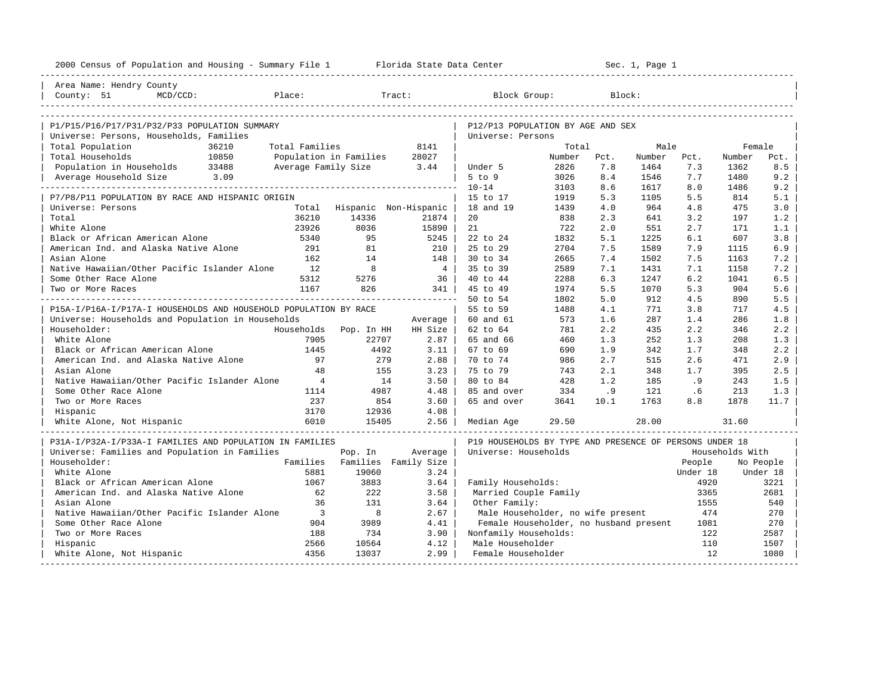| Area Name: Hendry County<br>Place:<br>County: 51<br>$MCD/CCD$ :                      |                               |                             |                                                         |            |            |            |            |                 |            |
|--------------------------------------------------------------------------------------|-------------------------------|-----------------------------|---------------------------------------------------------|------------|------------|------------|------------|-----------------|------------|
|                                                                                      |                               |                             |                                                         |            |            |            |            |                 |            |
|                                                                                      |                               | Tract:                      | Block Group:                                            |            | Block:     |            |            |                 |            |
| P1/P15/P16/P17/P31/P32/P33 POPULATION SUMMARY                                        |                               |                             | P12/P13 POPULATION BY AGE AND SEX                       |            |            |            |            |                 |            |
| Universe: Persons, Households, Families                                              |                               |                             | Universe: Persons                                       |            |            |            |            |                 |            |
| Total Population<br>36210<br>Total Families                                          |                               | 8141                        |                                                         | Total      |            | Male       |            | Female          |            |
| Total Households<br>Population in Families                                           |                               | 28027                       |                                                         | Number     | Pct.       | Number     | Pct.       | Number          | Pct.       |
| Total Households 10850<br>Population in Households 33488<br>Average Family Size 3.44 |                               |                             | Under 5                                                 | 2826       | 7.8        | 1464       | 7.3        | 1362            | 8.5        |
| Average Household Size 3.09                                                          |                               |                             | $5$ to $9$                                              | 3026       | 8.4        | 1546       | 7.7        | 1480            | 9.2        |
|                                                                                      |                               |                             | $10 - 14$                                               | 3103       | 8.6        | 1617       | 8.0        | 1486            | 9.2        |
| P7/P8/P11 POPULATION BY RACE AND HISPANIC ORIGIN                                     |                               |                             | 15 to 17                                                | 1919       | 5.3        | 1105       | 5.5        | 814             | 5.1        |
| Universe: Persons                                                                    |                               | Total Hispanic Non-Hispanic | 18 and 19                                               | 1439       | 4.0        | 964        | 4.8        | 475             | 3.0        |
| 36210<br>Total                                                                       | 14336                         | 21874                       | 20                                                      | 838        | 2.3        | 641        | 3.2        | 197             | 1.2        |
| 23926<br>White Alone                                                                 | 8036                          | 15890                       | 21                                                      | 722        | 2.0        | 551        | 2.7        | 171             | 1.1        |
| Black or African American Alone<br>5340                                              | 95                            | 5245                        | 22 to 24                                                | 1832       | 5.1        | 1225       | 6.1        | 607             | 3.8        |
| American Ind. and Alaska Native Alone<br>291                                         | 81                            | 210 l                       | 25 to 29                                                | 2704       | 7.5        | 1589       | 7.9        | 1115            | 6.9        |
| Asian Alone<br>162                                                                   | 14                            | 148                         | $30 \text{ to } 34$                                     | 2665       | 7.4        | 1502       | 7.5        | 1163            | 7.2        |
| Native Hawaiian/Other Pacific Islander Alone<br>12                                   | 8                             | $4 \vert$                   | 35 to 39                                                | 2589       | 7.1        | 1431       | 7.1        | 1158            | 7.2        |
| Some Other Race Alone<br>5312                                                        | 5276                          | 36                          | 40 to 44                                                | 2288       | 6.3        | 1247       | 6.2        | 1041            | 6.5        |
| 1167<br>Two or More Races                                                            | 826                           | 341                         | 45 to 49                                                | 1974       | 5.5        | 1070       | 5.3        | 904             | 5.6        |
|                                                                                      |                               |                             | 50 to 54                                                | 1802       | 5.0        | 912        | 4.5        | 890             | 5.5        |
| P15A-I/P16A-I/P17A-I HOUSEHOLDS AND HOUSEHOLD POPULATION BY RACE                     |                               |                             | 55 to 59                                                | 1488       | 4.1        | 771        | 3.8        | 717             | 4.5        |
| Universe: Households and Population in Households                                    |                               | Average                     | 60 and 61                                               | 573        | 1.6        | 287        | 1.4        | 286             | 1.8        |
| Householder:<br>Households Pop. In HH                                                |                               | HH Size                     | 62 to 64                                                | 781        | 2.2        | 435        | 2.2        | 346             | 2.2        |
| White Alone<br>7905<br>1445                                                          | 22707                         | $2.87 \text{ }$             | 65 and 66                                               | 460        | 1.3        | 252        | 1.3        | 208             | 1.3        |
| Black or African American Alone<br>American Ind. and Alaska Native Alone<br>97       | 4492<br>279                   | $3.11$  <br>2.88            | 67 to 69<br>70 to 74                                    | 690<br>986 | 1.9<br>2.7 | 342<br>515 | 1.7<br>2.6 | 348<br>471      | 2.2<br>2.9 |
| 48                                                                                   |                               | 3.23                        | 75 to 79                                                |            | 2.1        | 348        | 1.7        | 395             | 2.5        |
| Asian Alone<br>Native Hawaiian/Other Pacific Islander Alone<br>$\overline{4}$        | 155<br>14                     | 3.50                        | 80 to 84                                                | 743<br>428 | 1.2        | 185        | .9         | 243             | 1.5        |
| Some Other Race Alone<br>1114                                                        | 4987                          | 4.48                        | 85 and over                                             | 334        | .9         | 121        | .6         | 213             | 1.3        |
| Two or More Races<br>237                                                             | 854                           | 3.60                        | 65 and over                                             | 3641       | 10.1       | 1763       | 8.8        | 1878            | 11.7       |
| 3170<br>Hispanic                                                                     | 12936                         | 4.08                        |                                                         |            |            |            |            |                 |            |
| White Alone, Not Hispanic<br>6010                                                    | 15405                         | 2.56                        | Median Age                                              | 29.50      |            | 28.00      |            | 31.60           |            |
| P31A-I/P32A-I/P33A-I FAMILIES AND POPULATION IN FAMILIES                             |                               |                             | P19 HOUSEHOLDS BY TYPE AND PRESENCE OF PERSONS UNDER 18 |            |            |            |            |                 |            |
| Universe: Families and Population in Families                                        | Pop. In                       | Average                     | Universe: Households                                    |            |            |            |            | Households With |            |
| Householder:                                                                         | Families Families Family Size |                             |                                                         |            |            |            | People     |                 | No People  |
| White Alone<br>5881                                                                  | 19060                         | 3.24                        |                                                         |            |            |            | Under 18   |                 | Under 18   |
| Black or African American Alone<br>1067                                              | 3883                          | 3.64                        | Family Households:                                      |            |            |            | 4920       |                 | 3221       |
| American Ind. and Alaska Native Alone<br>62                                          | 222                           | 3.58                        | Married Couple Family                                   |            |            |            | 3365       |                 | 2681       |
| Asian Alone<br>36                                                                    | 131                           | 3.64                        | Other Family:                                           |            |            |            | 1555       |                 | 540        |
| $\overline{\phantom{a}}$<br>Native Hawaiian/Other Pacific Islander Alone             | 8                             | 2.67                        | Male Householder, no wife present                       |            |            |            | 474        |                 | 270        |
| Some Other Race Alone<br>904                                                         | 3989                          | 4.41                        | Female Householder, no husband present                  |            |            |            | 1081       |                 | 270        |
| Two or More Races<br>188                                                             | 734                           | 3.90                        | Nonfamily Households:                                   |            |            |            | 122        |                 | 2587       |
| Hispanic<br>2566                                                                     | 10564                         | 4.12                        | Male Householder                                        |            |            |            | 110        |                 | 1507       |
| 4356<br>White Alone, Not Hispanic                                                    | 13037                         | 2.99                        | Female Householder                                      |            |            |            | 12.        |                 | 1080       |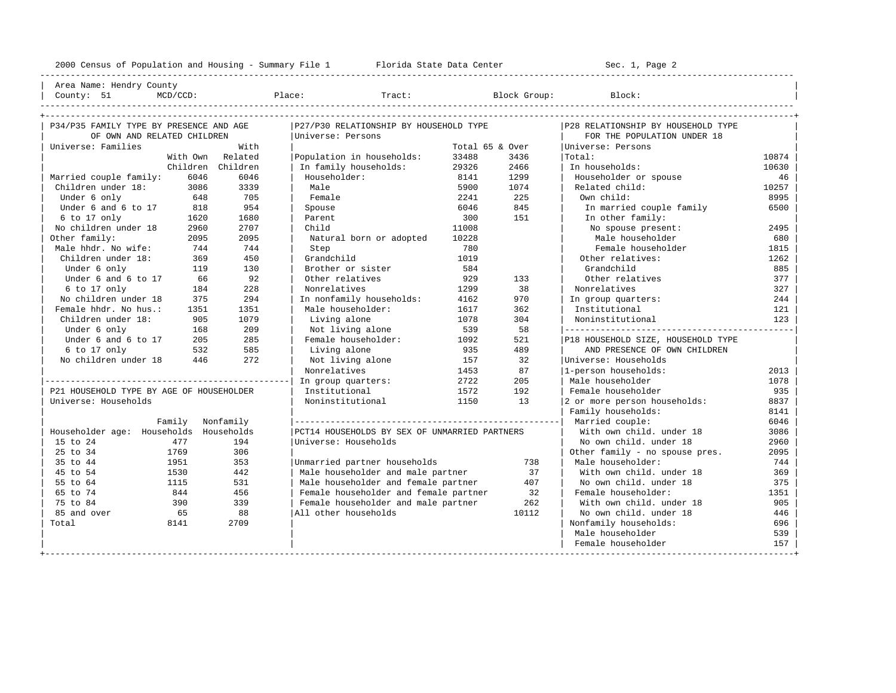| Area Name: Hendry County | | County: 51 MCD/CCD: Place: Tract: Block Group: Block: |

----------------------------------------------------------------------------------------------------------------------------------------------------

| P34/P35 FAMILY TYPE BY PRESENCE AND AGE  |        |                   | P27/P30 RELATIONSHIP BY HOUSEHOLD TYPE        |                 |            | P28 RELATIONSHIP BY HOUSEHOLD TYPE |       |
|------------------------------------------|--------|-------------------|-----------------------------------------------|-----------------|------------|------------------------------------|-------|
| OF OWN AND RELATED CHILDREN              |        |                   | Universe: Persons                             |                 |            | FOR THE POPULATION UNDER 18        |       |
| Universe: Families                       |        | With              |                                               | Total 65 & Over |            | Universe: Persons                  |       |
|                                          |        | With Own Related  | Population in households:                     | 33488           | 3436       | Total:                             | 10874 |
|                                          |        | Children Children | In family households:                         | 29326           | 2466       | In households:                     | 10630 |
| Married couple family:                   | 6046   | 6046              | Householder:                                  | 8141            | 1299       | Householder or spouse              | 46    |
| Children under 18:                       | 3086   | 3339              | Male                                          | 5900            | 1074       | Related child:                     | 10257 |
| Under 6 only                             | 648    | 705               | Female                                        | 2241            | Own child: | 8995                               |       |
| Under 6 and 6 to 17                      | 818    | 954               | Spouse                                        | 6046            | 845        | In married couple family           | 6500  |
| 6 to 17 only                             | 1620   | 1680              | Parent                                        | 300             | 151        | In other family:                   |       |
| No children under 18                     | 2960   | 2707              | Child                                         | 11008           |            | No spouse present:                 | 2495  |
| Other family:                            | 2095   | 2095              | Natural born or adopted                       | 10228           |            | Male householder                   | 680   |
| Male hhdr. No wife:                      | 744    | 744               | Step                                          | 780             |            | Female householder                 | 1815  |
| Children under 18:                       | 369    | 450               | Grandchild                                    | 1019            |            | Other relatives:                   | 1262  |
| Under 6 only                             | 119    | 130               | Brother or sister                             | 584             |            | Grandchild                         | 885   |
| Under 6 and 6 to 17                      | 66     | 92                | Other relatives                               | 929             | 133        | Other relatives                    | 377   |
| 6 to 17 only                             | 184    | 228               | Nonrelatives                                  | 1299            | 38         | Nonrelatives                       | 327   |
| No children under 18                     | 375    | 294               | In nonfamily households:                      | 4162            | 970        | In group quarters:                 | 244   |
| Female hhdr. No hus.:                    | 1351   | 1351              | Male householder:                             | 1617            | 362        | Institutional                      | 121   |
| Children under 18:                       | 905    | 1079              | Living alone                                  | 1078            | 304        | Noninstitutional                   | 123   |
| Under 6 only                             | 168    | 209               | Not living alone                              | 539             | 58         |                                    |       |
| Under 6 and 6 to 17                      | 205    | 285               | Female householder:                           | 1092            | 521        | P18 HOUSEHOLD SIZE, HOUSEHOLD TYPE |       |
| $6$ to 17 only                           | 532    | 585               | Living alone                                  | 935             | 489        | AND PRESENCE OF OWN CHILDREN       |       |
| No children under 18                     | 446    | 272               | Not living alone                              | 157             | 32         | Universe: Households               |       |
|                                          |        |                   | Nonrelatives                                  | 1453            | 87         | 1-person households:               | 2013  |
|                                          |        |                   | In group quarters:                            | 2722            | 205        | Male householder                   | 1078  |
| P21 HOUSEHOLD TYPE BY AGE OF HOUSEHOLDER |        |                   | Institutional                                 | 1572            | 192        | Female householder                 | 935   |
| Universe: Households                     |        |                   | Noninstitutional                              | 1150            | 1.3        | 2 or more person households:       | 8837  |
|                                          |        |                   |                                               |                 |            | Family households:                 | 8141  |
|                                          | Family | Nonfamily         |                                               |                 |            |                                    | 6046  |
| Householder age: Households              |        | Households        | PCT14 HOUSEHOLDS BY SEX OF UNMARRIED PARTNERS |                 |            | With own child, under 18           | 3086  |
| 15 to 24                                 | 477    | 194               | Universe: Households                          |                 |            | No own child, under 18             | 2960  |
| 25 to 34                                 | 1769   | 306               |                                               |                 |            | Other family - no spouse pres.     | 2095  |
| 35 to 44                                 | 1951   | 353               | Unmarried partner households                  |                 | 738        | Male householder:                  | 744   |
| 45 to 54                                 | 1530   | 442               | Male householder and male partner             |                 | 37         | With own child, under 18           | 369   |
| 55 to 64                                 | 1115   | 531               | Male householder and female partner           |                 | 407        | No own child, under 18             | 375   |
| 65 to 74                                 | 844    | 456               | Female householder and female partner         |                 | 32         | Female householder:                | 1351  |
| 75 to 84                                 | 390    | 339               | Female householder and male partner           |                 | 262        | With own child, under 18           | 905   |
| 85 and over                              | 65     | 88                | All other households                          |                 | 10112      | No own child, under 18             | 446   |
| Total                                    | 8141   | 2709              |                                               |                 |            | Nonfamily households:              | 696   |
|                                          |        |                   |                                               |                 |            | Male householder                   | 539   |
|                                          |        |                   |                                               |                 |            | Female householder                 | 157   |
|                                          |        |                   |                                               |                 |            |                                    |       |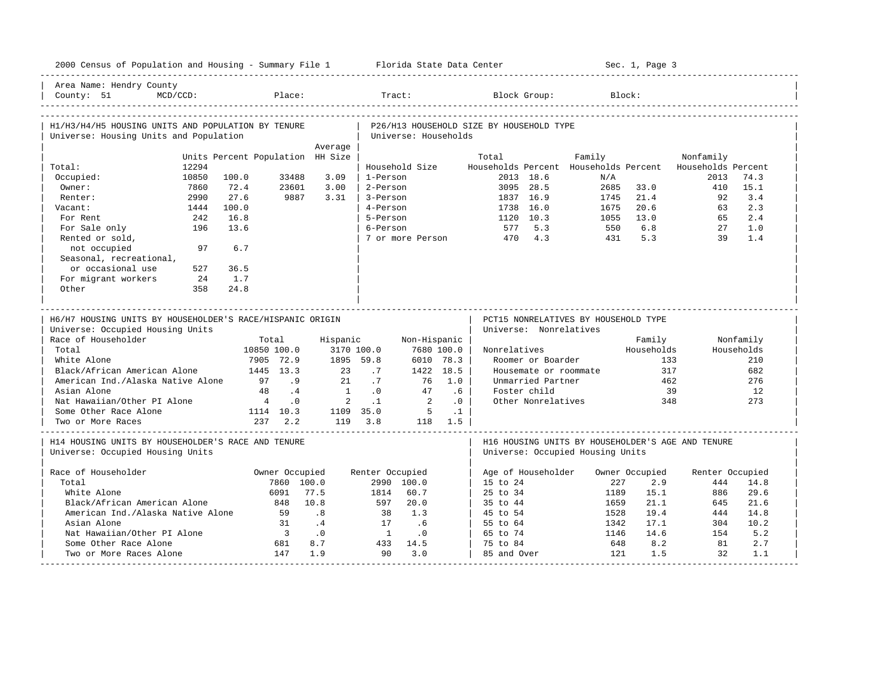| 2000 Census of Population and Housing - Summary File 1 Florida State Data Center              |                                                    |                      |                                            |                             |                                          |                                                                                       | Sec. 1, Page 3 |                    |            |
|-----------------------------------------------------------------------------------------------|----------------------------------------------------|----------------------|--------------------------------------------|-----------------------------|------------------------------------------|---------------------------------------------------------------------------------------|----------------|--------------------|------------|
| Area Name: Hendry County<br>County: 51<br>$MCD/CCD$ :                                         | Place:                                             |                      | Tract:                                     |                             | Block Group:                             |                                                                                       | Block:         |                    |            |
| H1/H3/H4/H5 HOUSING UNITS AND POPULATION BY TENURE<br>Universe: Housing Units and Population  |                                                    |                      | Universe: Households                       |                             | P26/H13 HOUSEHOLD SIZE BY HOUSEHOLD TYPE |                                                                                       |                |                    |            |
|                                                                                               |                                                    | Average              |                                            |                             |                                          |                                                                                       |                |                    |            |
|                                                                                               | Units Percent Population HH Size                   |                      |                                            |                             | Total                                    | Family                                                                                |                | Nonfamily          |            |
| 12294<br>Total:                                                                               |                                                    |                      | Household Size                             |                             |                                          | Households Percent Households Percent                                                 |                | Households Percent |            |
| 10850<br>Occupied:                                                                            | 100.0<br>33488                                     | 3.09                 | 1-Person                                   |                             | 2013 18.6                                | N/A                                                                                   |                | 2013               | 74.3       |
| Owner:<br>7860                                                                                | 72.4<br>23601                                      | 3.00                 | 2-Person                                   |                             | 3095 28.5                                | 2685                                                                                  | 33.0           | 410                | 15.1       |
| 2990<br>Renter:                                                                               | 27.6<br>9887                                       | 3.31                 | 3-Person                                   |                             | 1837 16.9                                | 1745                                                                                  | 21.4           | 92                 | 3.4        |
| Vacant:<br>1444                                                                               | 100.0                                              |                      | 4-Person                                   |                             | 1738 16.0                                | 1675                                                                                  | 20.6           | 63                 | 2.3        |
| For Rent<br>242                                                                               | 16.8<br>13.6                                       |                      | 5-Person                                   |                             | 1120 10.3<br>5.3                         | 1055                                                                                  | 13.0<br>6.8    | 65                 | 2.4<br>1.0 |
| For Sale only<br>196                                                                          |                                                    |                      | 6-Person                                   |                             | 577<br>470<br>4.3                        | 550<br>431                                                                            | 5.3            | 27<br>39           | 1.4        |
| Rented or sold,<br>not occupied<br>97<br>Seasonal, recreational,                              | 6.7                                                |                      | 7 or more Person                           |                             |                                          |                                                                                       |                |                    |            |
| or occasional use<br>527                                                                      | 36.5                                               |                      |                                            |                             |                                          |                                                                                       |                |                    |            |
| For migrant workers<br>24                                                                     | 1.7                                                |                      |                                            |                             |                                          |                                                                                       |                |                    |            |
| Other<br>358                                                                                  | 24.8                                               |                      |                                            |                             |                                          |                                                                                       |                |                    |            |
| H6/H7 HOUSING UNITS BY HOUSEHOLDER'S RACE/HISPANIC ORIGIN<br>Universe: Occupied Housing Units |                                                    |                      |                                            |                             |                                          | PCT15 NONRELATIVES BY HOUSEHOLD TYPE<br>Universe: Nonrelatives                        |                |                    |            |
| Race of Householder                                                                           | Total                                              | Hispanic             |                                            | Non-Hispanic                |                                          |                                                                                       | Family         |                    | Nonfamily  |
| Total                                                                                         | 10850 100.0                                        | 3170 100.0           |                                            | 7680 100.0                  | Nonrelatives                             |                                                                                       | Households     |                    | Households |
| White Alone                                                                                   | 7905 72.9                                          | 1895 59.8            |                                            | 6010 78.3                   | Roomer or Boarder                        |                                                                                       | 133            |                    | 210        |
| Black/African American Alone                                                                  | 1445 13.3                                          | 23                   | .7                                         | 1422 18.5                   |                                          | Housemate or roommate                                                                 | 317            |                    | 682        |
| American Ind./Alaska Native Alone<br>Asian Alone                                              | 97<br>.9<br>48<br>.4                               | 21<br>$\overline{1}$ | .7<br>$\cdot$ 0                            | 1.0<br>76<br>47<br>.6       | Unmarried Partner<br>Foster child        |                                                                                       | 462            |                    | 276        |
| Nat Hawaiian/Other PI Alone                                                                   | $\overline{4}$<br>.0                               | 2                    | $\cdot$ 1                                  | $\overline{2}$<br>$\cdot$ 0 | Other Nonrelatives                       |                                                                                       | 39<br>348      |                    | 12<br>273  |
| Some Other Race Alone                                                                         | 1114 10.3                                          | 1109 35.0            | $5^{\circ}$                                | $\cdot$ 1                   |                                          |                                                                                       |                |                    |            |
| Two or More Races                                                                             | $237$ $2.2$                                        | 119 3.8              |                                            | 118 1.5                     |                                          |                                                                                       |                |                    |            |
|                                                                                               |                                                    |                      |                                            |                             |                                          |                                                                                       |                |                    |            |
|                                                                                               |                                                    |                      |                                            |                             |                                          |                                                                                       |                |                    |            |
| Universe: Occupied Housing Units                                                              | H14 HOUSING UNITS BY HOUSEHOLDER'S RACE AND TENURE |                      |                                            |                             |                                          | H16 HOUSING UNITS BY HOUSEHOLDER'S AGE AND TENURE<br>Universe: Occupied Housing Units |                |                    |            |
|                                                                                               |                                                    |                      |                                            |                             |                                          |                                                                                       |                |                    |            |
| Race of Householder                                                                           | Owner Occupied                                     |                      | Renter Occupied                            |                             | Age of Householder                       |                                                                                       | Owner Occupied | Renter Occupied    |            |
| Total                                                                                         | 7860 100.0                                         |                      | 2990 100.0                                 |                             | 15 to 24                                 | 2.2.7                                                                                 | 2.9            | 444                | 14.8       |
| White Alone                                                                                   | 6091                                               | 77.5                 | 1814<br>60.7                               |                             | 25 to 34                                 | 1189                                                                                  | 15.1           | 886                | 29.6       |
| Black/African American Alone                                                                  | 848                                                | 10.8                 | 597<br>20.0                                |                             | 35 to 44                                 | 1659                                                                                  | 21.1           | 645                | 21.6       |
| American Ind./Alaska Native Alone                                                             | 59<br>31                                           | .8                   | 1.3<br>38<br>17                            |                             | 45 to 54                                 | 1528                                                                                  | 19.4           | 444                | 14.8       |
| Asian Alone                                                                                   |                                                    | $\cdot$ 4            | .6                                         |                             | 55 to 64                                 | 1342                                                                                  | 17.1           | 304                | 10.2       |
| Nat Hawaiian/Other PI Alone<br>Some Other Race Alone                                          | $\overline{\phantom{a}}$<br>681                    | $\cdot$ 0<br>8.7     | $\overline{1}$<br>$\cdot$ 0<br>433<br>14.5 |                             | 65 to 74<br>75 to 84                     | 1146<br>648                                                                           | 14.6<br>8.2    | 154<br>81          | 5.2<br>2.7 |
| Two or More Races Alone                                                                       | 147                                                | 1.9                  | 90<br>3.0                                  |                             | 85 and Over                              | 121                                                                                   | 1.5            | 32                 | 1.1        |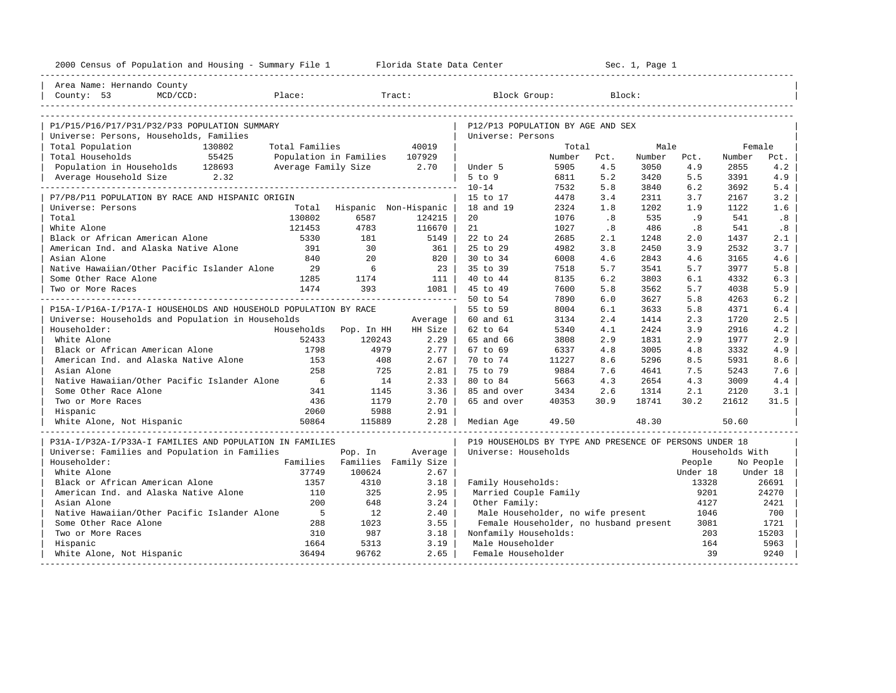| 2000 Census of Population and Housing - Summary File 1 Florida State Data Center |                 | Sec. 1, Page 1                                            |                      |                                                         |                |             |                |             |                 |             |
|----------------------------------------------------------------------------------|-----------------|-----------------------------------------------------------|----------------------|---------------------------------------------------------|----------------|-------------|----------------|-------------|-----------------|-------------|
| Area Name: Hernando County                                                       |                 |                                                           |                      |                                                         |                |             |                |             |                 |             |
| County: 53<br>MCD/CCD:<br>Place:                                                 |                 |                                                           | Tract:               | Block Group:                                            |                |             | Block:         |             |                 |             |
|                                                                                  |                 |                                                           |                      |                                                         |                |             |                |             |                 |             |
| P1/P15/P16/P17/P31/P32/P33 POPULATION SUMMARY                                    |                 |                                                           |                      | P12/P13 POPULATION BY AGE AND SEX                       |                |             |                |             |                 |             |
| Universe: Persons, Households, Families                                          |                 |                                                           |                      | Universe: Persons                                       |                |             |                |             |                 |             |
| Total Population<br>130802                                                       | Total Families  |                                                           | 40019                |                                                         | Total          |             | Male           |             | Female          |             |
| Total Households<br>55425                                                        |                 | Population in Families 107929<br>Average Family Size 2.70 |                      |                                                         | Number<br>5905 | Pct.<br>4.5 | Number<br>3050 | Pct.<br>4.9 | Number<br>2855  | Pct.<br>4.2 |
| Population in Households 128693<br>Average Household Size 2.32                   |                 |                                                           |                      | Under 5<br>5 to 9                                       | 6811           | 5.2         | 3420           | 5.5         | 3391            | 4.9         |
|                                                                                  |                 |                                                           |                      | $10 - 14$                                               | 7532           | 5.8         | 3840           | 6.2         | 3692            | 5.4         |
| P7/P8/P11 POPULATION BY RACE AND HISPANIC ORIGIN                                 |                 |                                                           |                      | 15 to 17                                                | 4478           | 3.4         | 2311           | 3.7         | 2167            | 3.2         |
| Universe: Persons                                                                |                 | Total Hispanic Non-Hispanic                               |                      | 18 and 19                                               | 2324           | 1.8         | 1202           | 1.9         | 1122            | 1.6         |
| Total                                                                            | 130802          | 6587                                                      | 124215               | 20                                                      | 1076           | .8          | 535            | .9          | 541             | .8          |
| White Alone                                                                      | 121453          | 4783                                                      | 116670               | 21                                                      | 1027           | .8          | 486            | .8          | 541             | .8          |
| Black or African American Alone                                                  | 5330            | 181                                                       | 5149                 | 22 to 24                                                | 2685           | 2.1         | 1248           | 2.0         | 1437            | 2.1         |
| American Ind. and Alaska Native Alone                                            | 391             | 30                                                        | 361                  | 25 to 29                                                | 4982           | 3.8         | 2450           | 3.9         | 2532            | 3.7         |
| Asian Alone                                                                      | 840             | 20                                                        | 820                  | 30 to 34                                                | 6008           | 4.6         | 2843           | 4.6         | 3165            | 4.6         |
| Native Hawaiian/Other Pacific Islander Alone                                     | 29              | 6                                                         | 23                   | 35 to 39                                                | 7518           | 5.7         | 3541           | 5.7         | 3977            | 5.8         |
| Some Other Race Alone                                                            | 1285            | 1174                                                      | 111                  | 40 to 44                                                | 8135           | 6.2         | 3803           | 6.1         | 4332            | 6.3         |
| Two or More Races                                                                | 1474            | 393                                                       | $1081$               | 45 to 49                                                | 7600           | 5.8         | 3562           | 5.7         | 4038            | 5.9         |
|                                                                                  |                 |                                                           |                      | 50 to 54                                                | 7890           | 6.0         | 3627           | 5.8         | 4263            | 6.2         |
| P15A-I/P16A-I/P17A-I HOUSEHOLDS AND HOUSEHOLD POPULATION BY RACE                 |                 |                                                           |                      | 55 to 59                                                | 8004           | 6.1         | 3633           | 5.8         | 4371            | 6.4         |
| Universe: Households and Population in Households                                |                 |                                                           | Average              | 60 and 61                                               | 3134           | 2.4         | 1414           | 2.3         | 1720            | 2.5         |
| Householder:                                                                     | Households      | Pop. In HH                                                | HH Size              | 62 to 64                                                | 5340           | 4.1         | 2424           | 3.9         | 2916            | 4.2         |
| White Alone                                                                      | 52433           | 120243                                                    | 2.29                 | 65 and 66                                               | 3808           | 2.9         | 1831           | 2.9         | 1977            | 2.9         |
| Black or African American Alone                                                  | 1798            | 4979                                                      | 2.77                 | 67 to 69                                                | 6337           | 4.8         | 3005           | 4.8         | 3332            | 4.9         |
| American Ind. and Alaska Native Alone                                            | 153             | 408                                                       | 2.67                 | 70 to 74                                                | 11227          | 8.6         | 5296           | 8.5         | 5931            | 8.6         |
| Asian Alone                                                                      | 258             | 725                                                       | 2.81                 | 75 to 79                                                | 9884           | 7.6         | 4641           | 7.5         | 5243            | 7.6         |
| Native Hawaiian/Other Pacific Islander Alone                                     | $6\overline{6}$ | 14                                                        | 2.33                 | 80 to 84                                                | 5663           | 4.3         | 2654           | 4.3         | 3009            | 4.4         |
| Some Other Race Alone                                                            | 341             | 1145                                                      | 3.36                 | 85 and over                                             | 3434           | 2.6         | 1314           | 2.1         | 2120            | 3.1         |
| Two or More Races                                                                | 436             | 1179                                                      | 2.70                 | 65 and over                                             | 40353          | 30.9        | 18741          | 30.2        | 21612           | 31.5        |
| Hispanic                                                                         | 2060            | 5988                                                      | 2.91                 |                                                         |                |             |                |             |                 |             |
| White Alone, Not Hispanic                                                        | 50864           | 115889                                                    | 2.28                 | Median Age                                              | 49.50          |             | 48.30          |             | 50.60           |             |
| P31A-I/P32A-I/P33A-I FAMILIES AND POPULATION IN FAMILIES                         |                 |                                                           |                      | P19 HOUSEHOLDS BY TYPE AND PRESENCE OF PERSONS UNDER 18 |                |             |                |             |                 |             |
| Universe: Families and Population in Families                                    |                 | Pop. In                                                   | Average              | Universe: Households                                    |                |             |                |             | Households With |             |
| Householder:                                                                     | Families        |                                                           | Families Family Size |                                                         |                |             |                | People      |                 | No People   |
| White Alone                                                                      | 37749           | 100624                                                    | 2.67                 |                                                         |                |             |                | Under 18    |                 | Under 18    |
| Black or African American Alone                                                  | 1357            | 4310                                                      | 3.18                 | Family Households:                                      |                |             |                | 13328       |                 | 26691       |
| American Ind. and Alaska Native Alone                                            | 110             | 325                                                       | 2.95                 | Married Couple Family                                   |                |             |                | 9201        |                 | 24270       |
| Asian Alone                                                                      | 200             | 648                                                       | 3.24                 | Other Family:                                           |                |             |                | 4127        |                 | 2421        |
| Native Hawaiian/Other Pacific Islander Alone                                     | $5^{\circ}$     | 12                                                        | 2.40                 | Male Householder, no wife present                       |                |             |                | 1046        |                 | 700         |
| Some Other Race Alone                                                            | 288             | 1023                                                      | 3.55                 | Female Householder, no husband present                  |                |             |                | 3081        |                 | 1721        |
| Two or More Races                                                                | 310             | 987                                                       | 3.18                 | Nonfamily Households:                                   |                |             |                | 203         |                 | 15203       |
| Hispanic                                                                         | 1664            | 5313                                                      | 3.19                 | Male Householder                                        |                |             |                | 164         |                 | 5963        |
| White Alone, Not Hispanic<br>-----------------------                             | 36494           | 96762                                                     | 2.65                 | Female Householder                                      |                |             |                | 39          |                 | 9240        |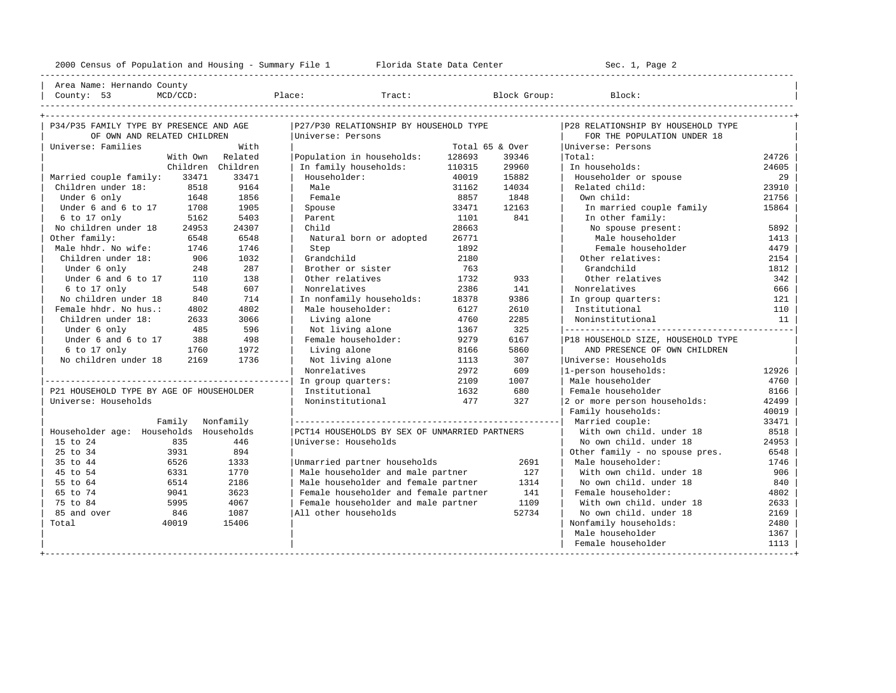----------------------------------------------------------------------------------------------------------------------------------------------------

| Area Name: Hernando County | | County: 53 MCD/CCD: Place: Tract: Block Group: Block: |

| s :<br>٠ |  | Tri |
|----------|--|-----|
|          |  |     |

| P34/P35 FAMILY TYPE BY PRESENCE AND AGE  |        |                   | P27/P30 RELATIONSHIP BY HOUSEHOLD TYPE        |        |                 | P28 RELATIONSHIP BY HOUSEHOLD TYPE |       |
|------------------------------------------|--------|-------------------|-----------------------------------------------|--------|-----------------|------------------------------------|-------|
| OF OWN AND RELATED CHILDREN              |        |                   | Universe: Persons                             |        |                 | FOR THE POPULATION UNDER 18        |       |
| Universe: Families                       |        | With              |                                               |        | Total 65 & Over | Universe: Persons                  |       |
|                                          |        | With Own Related  | Population in households:                     | 128693 | 39346           | Total:                             | 24726 |
|                                          |        | Children Children | In family households:                         | 110315 | 29960           | In households:                     | 24605 |
| Married couple family:                   | 33471  | 33471             | Householder:                                  | 40019  | 15882           | Householder or spouse              | 29    |
| Children under 18:                       | 8518   | 9164              | Male                                          | 31162  | 14034           | Related child:                     | 23910 |
| Under 6 only                             | 1648   | 1856              | Female                                        | 8857   | 1848            | Own child:                         | 21756 |
| Under 6 and 6 to 17                      | 1708   | 1905              | Spouse                                        | 33471  | 12163           | In married couple family           | 15864 |
| $6$ to 17 only                           | 5162   | 5403              | Parent                                        | 1101   | 841             | In other family:                   |       |
| No children under 18                     | 24953  | 24307             | Child                                         | 28663  |                 | No spouse present:                 | 5892  |
| Other family:                            | 6548   | 6548              | Natural born or adopted                       | 26771  |                 | Male householder                   | 1413  |
| Male hhdr. No wife:                      | 1746   | 1746              | Step                                          | 1892   |                 | Female householder                 | 4479  |
| Children under 18:                       | 906    | 1032              | Grandchild                                    | 2180   |                 | Other relatives:                   | 2154  |
| Under 6 only                             | 248    | 287               | Brother or sister                             | 763    |                 | Grandchild                         | 1812  |
| Under 6 and 6 to 17                      | 110    | 138               | Other relatives                               | 1732   | 933             | Other relatives                    | 342   |
| 6 to 17 only                             | 548    | 607               | Nonrelatives                                  | 2386   | 141             | Nonrelatives                       | 666   |
| No children under 18                     | 840    | 714               | In nonfamily households:                      | 18378  | 9386            | In group quarters:                 | 121   |
| Female hhdr. No hus.:                    | 4802   | 4802              | Male householder:                             | 6127   | 2610            | Institutional                      | 110   |
| Children under 18:                       | 2633   | 3066              | Living alone                                  | 4760   | 2285            | Noninstitutional                   | 11    |
| Under 6 only                             | 485    | 596               | Not living alone                              | 1367   | 325             |                                    |       |
| Under 6 and 6 to 17                      | 388    | 498               | Female householder:                           | 9279   | 6167            | P18 HOUSEHOLD SIZE, HOUSEHOLD TYPE |       |
| 6 to 17 only                             | 1760   | 1972              | Living alone                                  | 8166   | 5860            | AND PRESENCE OF OWN CHILDREN       |       |
| No children under 18                     | 2169   | 1736              | Not living alone                              | 1113   | 307             | Universe: Households               |       |
|                                          |        |                   | Nonrelatives                                  | 2972   | 609             | 1-person households:               | 12926 |
|                                          |        |                   | In group quarters:                            | 2109   | 1007            | Male householder                   | 4760  |
| P21 HOUSEHOLD TYPE BY AGE OF HOUSEHOLDER |        |                   | Institutional                                 | 1632   | 680             | Female householder                 | 8166  |
| Universe: Households                     |        |                   | Noninstitutional                              | 477    | 327             | 2 or more person households:       | 42499 |
|                                          |        |                   |                                               |        |                 | Family households:                 | 40019 |
|                                          | Family | Nonfamily         |                                               |        |                 | Married couple:                    | 33471 |
| Householder age: Households Households   |        |                   | PCT14 HOUSEHOLDS BY SEX OF UNMARRIED PARTNERS |        |                 | With own child, under 18           | 8518  |
| 15 to 24                                 | 835    | 446               | Universe: Households                          |        |                 | No own child, under 18             | 24953 |
| 25 to 34                                 | 3931   | 894               |                                               |        |                 | Other family - no spouse pres.     | 6548  |
| 35 to 44                                 | 6526   | 1333              | Unmarried partner households                  |        | 2691            | Male householder:                  | 1746  |
| 45 to 54                                 | 6331   | 1770              | Male householder and male partner             |        | 127             | With own child, under 18           | 906   |
| 55 to 64                                 | 6514   | 2186              | Male householder and female partner           |        | 1314            | No own child, under 18             | 840   |
| 65 to 74                                 | 9041   | 3623              | Female householder and female partner         |        | 141             | Female householder:                | 4802  |
| 75 to 84                                 | 5995   | 4067              | Female householder and male partner           |        | 1109            | With own child, under 18           | 2633  |
| 85 and over                              | 846    | 1087              | All other households                          |        | 52734           | No own child, under 18             | 2169  |
| Total                                    | 40019  | 15406             |                                               |        |                 | Nonfamily households:              | 2480  |
|                                          |        |                   |                                               |        |                 | Male householder                   | 1367  |
|                                          |        |                   |                                               |        |                 | Female householder                 | 1113  |
|                                          |        |                   |                                               |        |                 |                                    |       |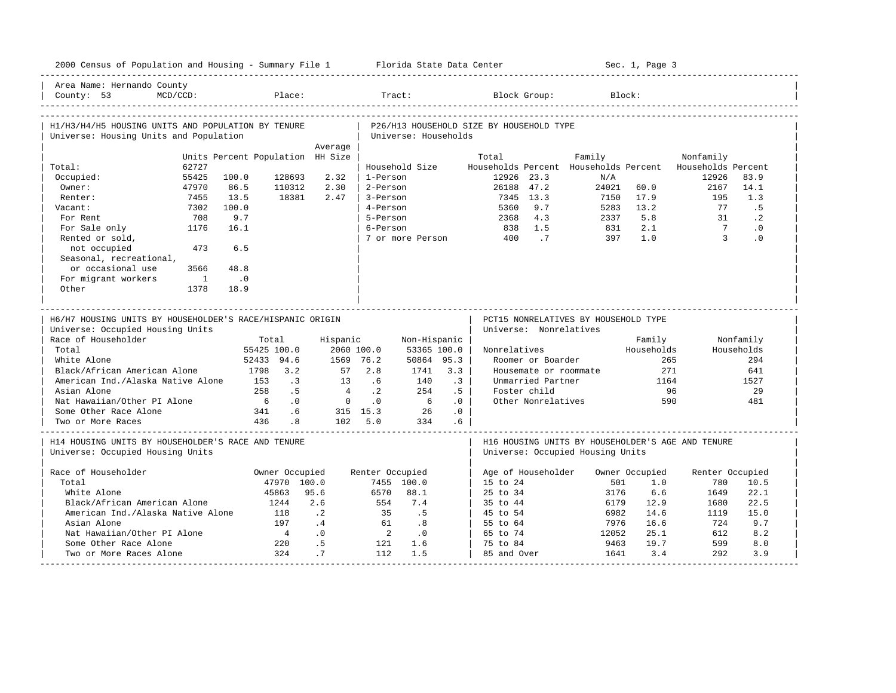| 2000 Census of Population and Housing - Summary File 1 Florida State Data Center              |                |                                  |                          |                |                  |                             |                 |                                          |                        |                                      | Sec. 1, Page 3 |                                                          |            |
|-----------------------------------------------------------------------------------------------|----------------|----------------------------------|--------------------------|----------------|------------------|-----------------------------|-----------------|------------------------------------------|------------------------|--------------------------------------|----------------|----------------------------------------------------------|------------|
| Area Name: Hernando County<br>County: 53                                                      | $MCD/CCD$ :    |                                  | Place:                   |                | Tract:           |                             |                 |                                          | Block Group:           | Block:                               |                |                                                          |            |
| H1/H3/H4/H5 HOUSING UNITS AND POPULATION BY TENURE<br>Universe: Housing Units and Population  |                |                                  |                          |                |                  | Universe: Households        |                 | P26/H13 HOUSEHOLD SIZE BY HOUSEHOLD TYPE |                        |                                      |                |                                                          |            |
|                                                                                               |                |                                  |                          | Average        |                  |                             |                 |                                          |                        |                                      |                |                                                          |            |
|                                                                                               |                | Units Percent Population HH Size |                          |                |                  |                             |                 | Total                                    |                        | Family                               |                | Nonfamily                                                |            |
| Total:                                                                                        | 62727          |                                  |                          |                |                  | Household Size              |                 |                                          |                        |                                      |                | Households Percent Households Percent Households Percent |            |
| Occupied:                                                                                     | 55425          | 100.0                            | 128693                   | 2.32           | 1-Person         |                             |                 | 12926 23.3                               |                        | N/A                                  |                | 12926                                                    | 83.9       |
| Owner:                                                                                        | 47970          | 86.5                             | 110312<br>18381          | 2.30           | 2-Person         |                             |                 | 26188 47.2                               | 7345 13.3              | 24021                                | 60.0<br>17.9   | 2167                                                     | 14.1       |
| Renter:                                                                                       | 7455           | 13.5                             |                          | 2.47           | 3-Person         |                             |                 |                                          |                        | 7150                                 |                | 195                                                      | 1.3        |
| Vacant:                                                                                       | 7302           | 100.0                            |                          |                | 4-Person         |                             |                 | 5360                                     | 9.7                    | 5283                                 | 13.2           | 77                                                       | .5         |
| For Rent                                                                                      | 708            | 9.7                              |                          |                | 5-Person         |                             |                 |                                          | 2368 4.3               | 2337                                 | 5.8            | 31                                                       | $\cdot$ 2  |
| For Sale only                                                                                 | 1176           | 16.1                             |                          |                | 6-Person         |                             |                 |                                          | 838 1.5                | 831                                  | 2.1            | $7\overline{ }$                                          | $\cdot$ 0  |
| Rented or sold,                                                                               | 473            | 6.5                              |                          |                |                  |                             |                 | 7 or more Person 400                     | $\cdot$ 7              | 397                                  | 1.0            | $\overline{\mathbf{3}}$                                  | $\cdot$ 0  |
| not occupied                                                                                  |                |                                  |                          |                |                  |                             |                 |                                          |                        |                                      |                |                                                          |            |
| Seasonal, recreational,                                                                       |                |                                  |                          |                |                  |                             |                 |                                          |                        |                                      |                |                                                          |            |
| or occasional use                                                                             | 3566           | 48.8                             |                          |                |                  |                             |                 |                                          |                        |                                      |                |                                                          |            |
| For migrant workers                                                                           | $\overline{1}$ | $\overline{\phantom{0}}$ .0      |                          |                |                  |                             |                 |                                          |                        |                                      |                |                                                          |            |
| Other                                                                                         | 1378           | 18.9                             |                          |                |                  |                             |                 |                                          |                        |                                      |                |                                                          |            |
| H6/H7 HOUSING UNITS BY HOUSEHOLDER'S RACE/HISPANIC ORIGIN<br>Universe: Occupied Housing Units |                |                                  |                          |                |                  |                             |                 |                                          | Universe: Nonrelatives | PCT15 NONRELATIVES BY HOUSEHOLD TYPE |                |                                                          |            |
| Race of Householder                                                                           |                |                                  | Total                    | Hispanic       |                  | Non-Hispanic                |                 |                                          |                        |                                      | Family         |                                                          | Nonfamily  |
| Total                                                                                         |                |                                  | 55425 100.0              |                | 2060 100.0       | 53365 100.0                 |                 | Nonrelatives                             |                        |                                      | Households     |                                                          | Households |
| White Alone                                                                                   |                |                                  | 52433 94.6               |                | 1569 76.2        | 50864 95.3                  |                 |                                          | Roomer or Boarder      |                                      |                | 265                                                      | 294        |
| Black/African American Alone                                                                  |                |                                  | 1798 3.2                 |                | 57 2.8           | 1741                        | 3.3             |                                          |                        | Housemate or roommate                | 271            |                                                          | 641        |
| American Ind./Alaska Native Alone                                                             |                | 153                              | $\overline{\phantom{a}}$ | 13             | .6               | 140                         | $\cdot$ 3       |                                          | Unmarried Partner      |                                      | 1164           |                                                          | 1527       |
| Asian Alone                                                                                   |                | 258                              | .5                       | $\overline{4}$ | $\cdot$ 2        | 254                         | $.5-1$          |                                          | Foster child           |                                      |                | 96                                                       | 29         |
| Nat Hawaiian/Other PI Alone                                                                   |                | 6 <sup>6</sup>                   | $\cdot$ 0                | $\overline{0}$ | $\overline{0}$ . | $6\overline{6}$             | .0              |                                          | Other Nonrelatives     |                                      |                | 590                                                      | 481        |
| Some Other Race Alone                                                                         |                |                                  | 341 .6                   |                | 315 15.3         | 26                          | .0              |                                          |                        |                                      |                |                                                          |            |
| Two or More Races                                                                             |                |                                  | 436 .8                   |                | 102 5.0          | 334                         | .6 <sub>5</sub> |                                          |                        |                                      |                |                                                          |            |
| H14 HOUSING UNITS BY HOUSEHOLDER'S RACE AND TENURE<br>Universe: Occupied Housing Units        |                |                                  |                          |                |                  |                             |                 |                                          |                        | Universe: Occupied Housing Units     |                | H16 HOUSING UNITS BY HOUSEHOLDER'S AGE AND TENURE        |            |
| Race of Householder                                                                           |                |                                  | Owner Occupied           |                | Renter Occupied  |                             |                 |                                          |                        | Age of Householder Owner Occupied    |                | Renter Occupied                                          |            |
| Total                                                                                         |                |                                  | 47970 100.0              |                |                  | 7455 100.0                  |                 | 15 to 24                                 |                        | 501                                  | 1.0            | 780                                                      | 10.5       |
| White Alone                                                                                   |                |                                  | 45863                    | 95.6           | 6570             | 88.1                        |                 | 25 to 34                                 |                        | 3176                                 | 6.6            | 1649                                                     | 22.1       |
| Black/African American Alone                                                                  |                |                                  | 1244                     | 2.6            | 554              | 7.4                         |                 | 35 to 44                                 |                        | 6179                                 | 12.9           | 1680                                                     | 22.5       |
| American Ind./Alaska Native Alone                                                             |                |                                  | 118                      | $\cdot$ . 2    | 35               | $\overline{5}$              |                 | 45 to 54                                 |                        | 6982                                 | 14.6           | 1119                                                     | 15.0       |
| Asian Alone                                                                                   |                |                                  | 197                      | $\cdot$ 4      | 61               | $\overline{\phantom{0}}$    |                 | 55 to 64                                 |                        | 7976                                 | 16.6           | 724                                                      | 9.7        |
| Nat Hawaiian/Other PI Alone                                                                   |                |                                  | 4                        | $\cdot$ 0      | $\overline{2}$   | $\overline{\phantom{0}}$ .0 |                 | 65 to 74                                 |                        | 12052                                | 25.1           | 612                                                      | 8.2        |
| Some Other Race Alone                                                                         |                |                                  | 220                      | .5             | 121              | 1.6                         |                 | 75 to 84                                 |                        | 9463                                 | 19.7           | 599                                                      | 8.0        |
| Two or More Races Alone                                                                       |                |                                  | 324                      | .7             | 112              | 1.5                         |                 | 85 and Over                              |                        | 1641                                 | 3.4            | 292                                                      | 3.9        |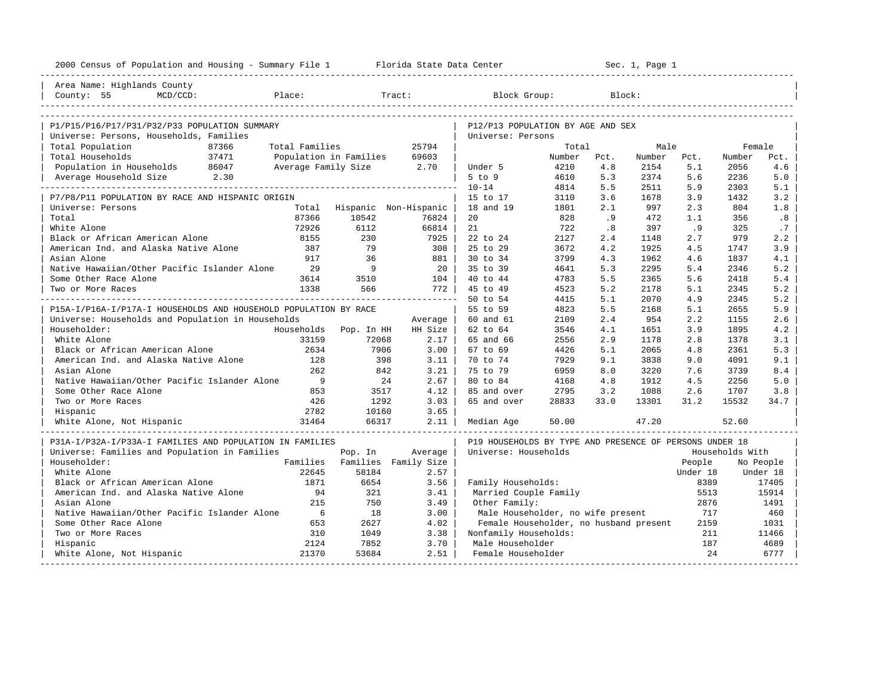| 2000 Census of Population and Housing - Summary File 1 Florida State Data Center |                          |            |                             |                                                         |        |        | Sec. 1, Page 1 |          |                 |           |
|----------------------------------------------------------------------------------|--------------------------|------------|-----------------------------|---------------------------------------------------------|--------|--------|----------------|----------|-----------------|-----------|
| Area Name: Highlands County                                                      |                          |            |                             |                                                         |        |        |                |          |                 |           |
| County: 55<br>$MCD/CCD$ :                                                        | Place:                   |            | Tract:                      | Block Group:                                            |        | Block: |                |          |                 |           |
|                                                                                  |                          |            |                             |                                                         |        |        |                |          |                 |           |
| P1/P15/P16/P17/P31/P32/P33 POPULATION SUMMARY                                    |                          |            |                             | P12/P13 POPULATION BY AGE AND SEX                       |        |        |                |          |                 |           |
| Universe: Persons, Households, Families                                          |                          |            |                             | Universe: Persons                                       |        |        |                |          |                 |           |
| Total Population<br>87366                                                        | Total Families           |            | 25794                       |                                                         | Total  |        | Male           |          | Female          |           |
| 37471<br>Total Households                                                        | Population in Families   |            | 69603                       |                                                         | Number | Pct.   | Number         | Pct.     | Number          | Pct.      |
| Population in Households 86047                                                   | Average Family Size 2.70 |            |                             | Under 5                                                 | 4210   | 4.8    | 2154           | 5.1      | 2056            | 4.6       |
| Average Household Size 2.30                                                      |                          |            |                             | $5$ to $9$                                              | 4610   | 5.3    | 2374           | 5.6      | 2236            | 5.0       |
|                                                                                  |                          |            |                             | $10 - 14$                                               | 4814   | 5.5    | 2511           | 5.9      | 2303            | 5.1       |
| P7/P8/P11 POPULATION BY RACE AND HISPANIC ORIGIN                                 |                          |            |                             | 15 to 17                                                | 3110   | 3.6    | 1678           | 3.9      | 1432            | 3.2       |
| Universe: Persons                                                                |                          |            | Total Hispanic Non-Hispanic | 18 and 19                                               | 1801   | 2.1    | 997            | 2.3      | 804             | 1.8       |
| Total                                                                            | 87366                    | 10542      | 76824                       | 20                                                      | 828    | .9     | 472            | 1.1      | 356             | .8        |
| White Alone                                                                      | 72926                    | 6112       | 66814                       | 21                                                      | 722    | .8     | 397            | .9       | 325             | .7        |
| Black or African American Alone                                                  | 8155                     | 230        | 7925                        | 22 to 24                                                | 2127   | 2.4    | 1148           | 2.7      | 979             | 2.2       |
| American Ind. and Alaska Native Alone                                            | 387                      | 79         | $308$                       | 25 to 29                                                | 3672   | 4.2    | 1925           | 4.5      | 1747            | 3.9       |
| Asian Alone                                                                      | 917                      | 36         | 881                         | 30 to 34                                                | 3799   | 4.3    | 1962           | 4.6      | 1837            | 4.1       |
| Native Hawaiian/Other Pacific Islander Alone                                     | 29                       | 9          | $20-1$                      | 35 to 39                                                | 4641   | 5.3    | 2295           | 5.4      | 2346            | 5.2       |
| Some Other Race Alone                                                            | 3614                     | 3510       | $104$                       | 40 to 44                                                | 4783   | 5.5    | 2365           | 5.6      | 2418            | 5.4       |
| Two or More Races                                                                | 1338                     | 566        | 772                         | 45 to 49                                                | 4523   | 5.2    | 2178           | 5.1      | 2345            | 5.2       |
|                                                                                  |                          |            |                             | 50 to 54                                                | 4415   | 5.1    | 2070           | 4.9      | 2345            | 5.2       |
| P15A-I/P16A-I/P17A-I HOUSEHOLDS AND HOUSEHOLD POPULATION BY RACE                 |                          |            |                             | 55 to 59                                                | 4823   | 5.5    | 2168           | 5.1      | 2655            | 5.9       |
| Universe: Households and Population in Households                                |                          |            | Average                     | 60 and 61                                               | 2109   | 2.4    | 954            | 2.2      | 1155            | 2.6       |
| Householder:                                                                     | Households               | Pop. In HH | HH Size                     | 62 to 64                                                | 3546   | 4.1    | 1651           | 3.9      | 1895            | 4.2       |
| White Alone                                                                      | 33159                    | 72068      | $2.17 \;   \;$              | 65 and 66                                               | 2556   | 2.9    | 1178           | 2.8      | 1378            | 3.1       |
| Black or African American Alone                                                  | 2634                     | 7906       | $3.00$                      | 67 to 69                                                | 4426   | 5.1    | 2065           | 4.8      | 2361            | 5.3       |
| American Ind. and Alaska Native Alone                                            | 128                      | 398        | $3.11$                      | 70 to 74                                                | 7929   | 9.1    | 3838           | 9.0      | 4091            | 9.1       |
| Asian Alone                                                                      | 262                      | 842        | 3.21                        | 75 to 79                                                | 6959   | 8.0    | 3220           | 7.6      | 3739            | 8.4       |
| Native Hawaiian/Other Pacific Islander Alone                                     | 9                        | 24         | 2.67                        | 80 to 84                                                | 4168   | 4.8    | 1912           | 4.5      | 2256            | 5.0       |
| Some Other Race Alone                                                            | 853                      | 3517       | 4.12                        | 85 and over                                             | 2795   | 3.2    | 1088           | 2.6      | 1707            | 3.8       |
| Two or More Races                                                                | 426                      | 1292       | 3.03                        | 65 and over                                             | 28833  | 33.0   | 13301          | 31.2     | 15532           | 34.7      |
| Hispanic                                                                         | 2782                     | 10160      | 3.65                        |                                                         |        |        |                |          |                 |           |
| White Alone, Not Hispanic                                                        | 31464                    | 66317      | $2.11$                      | Median Age                                              | 50.00  |        | 47.20          |          | 52.60           |           |
| P31A-I/P32A-I/P33A-I FAMILIES AND POPULATION IN FAMILIES                         |                          |            |                             | P19 HOUSEHOLDS BY TYPE AND PRESENCE OF PERSONS UNDER 18 |        |        |                |          |                 |           |
| Universe: Families and Population in Families                                    |                          | Pop. In    | Average                     | Universe: Households                                    |        |        |                |          | Households With |           |
| Householder:                                                                     | Families                 |            | Families Family Size        |                                                         |        |        |                | People   |                 | No People |
| White Alone                                                                      | 22645                    | 58184      | 2.57                        |                                                         |        |        |                | Under 18 |                 | Under 18  |
| Black or African American Alone                                                  | 1871                     | 6654       | 3.56                        | Family Households:                                      |        |        |                | 8389     |                 | 17405     |
| American Ind. and Alaska Native Alone                                            | 94                       | 321        | 3.41                        | Married Couple Family                                   |        |        |                | 5513     |                 | 15914     |
| Asian Alone                                                                      | 215                      | 750        | 3.49                        | Other Family:                                           |        |        |                | 2876     |                 | 1491      |
| Native Hawaiian/Other Pacific Islander Alone                                     | 6                        | 18         | 3.00                        | Male Householder, no wife present                       |        |        |                | 717      |                 | 460       |
| Some Other Race Alone                                                            | 653                      | 2627       | 4.02                        | Female Householder, no husband present                  |        |        |                | 2159     |                 | 1031      |
| Two or More Races                                                                | 310                      | 1049       | 3.38                        | Nonfamily Households:                                   |        |        |                | 211      |                 | 11466     |
| Hispanic                                                                         | 2124                     | 7852       | 3.70                        | Male Householder                                        |        |        |                | 187      |                 | 4689      |
| White Alone, Not Hispanic                                                        | 21370                    | 53684      | 2.51                        | Female Householder                                      |        |        |                | 2.4      |                 | 6777      |
|                                                                                  |                          |            |                             |                                                         |        |        |                |          |                 |           |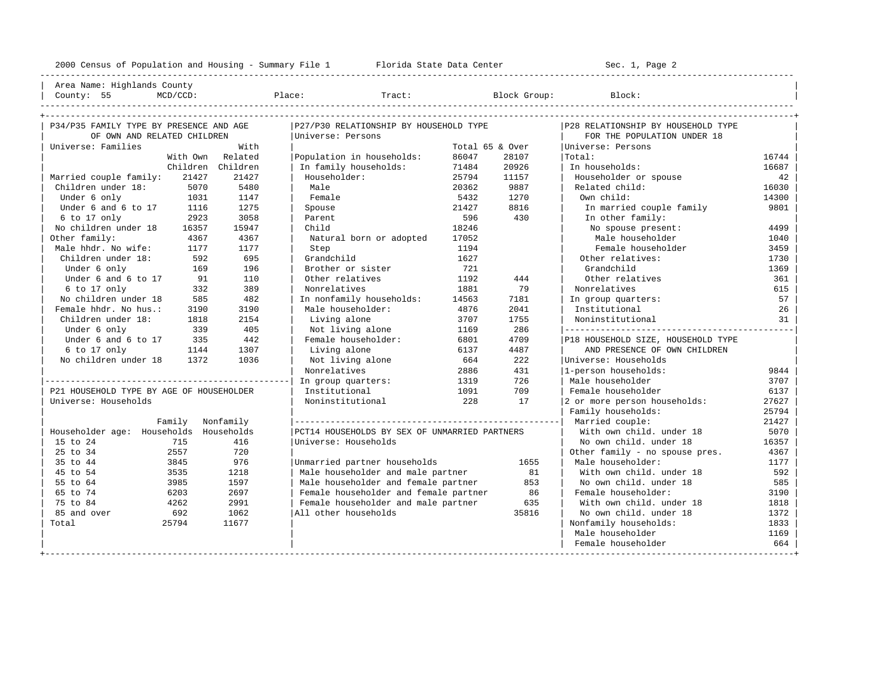---------------------------------------------------------------------------------------------------------------------------------------------------- | Area Name: Highlands County | | County: 55 MCD/CCD: Place: Tract: Block Group: Block: | ----------------------------------------------------------------------------------------------------------------------------------------------------

| P34/P35 FAMILY TYPE BY PRESENCE AND AGE  |                  |                   | P27/P30 RELATIONSHIP BY HOUSEHOLD TYPE        |                 |       | P28 RELATIONSHIP BY HOUSEHOLD TYPE |       |
|------------------------------------------|------------------|-------------------|-----------------------------------------------|-----------------|-------|------------------------------------|-------|
| OF OWN AND RELATED CHILDREN              |                  |                   | Universe: Persons                             |                 |       | FOR THE POPULATION UNDER 18        |       |
| Universe: Families                       |                  | With              |                                               | Total 65 & Over |       | Universe: Persons                  |       |
|                                          | With Own         | Related           | Population in households:                     | 86047           | 28107 | Total:                             | 16744 |
|                                          |                  | Children Children | In family households:                         | 71484           | 20926 | In households:                     | 16687 |
| Married couple family:                   | 21427            | 21427             | Householder:                                  | 25794           | 11157 | Householder or spouse              | 42    |
| Children under 18:                       | 5070             | 5480              | Male                                          | 20362           | 9887  | Related child:                     | 16030 |
| Under 6 only                             | 1031             | 1147              | Female                                        | 5432            | 1270  | Own child:                         | 14300 |
| Under 6 and 6 to 17                      | 1116             | 1275              | Spouse                                        | 21427           | 8816  | In married couple family           | 9801  |
| 6 to 17 only                             | 2923             | 3058              | Parent                                        | 596             | 430   | In other family:                   |       |
| No children under 18                     | 16357            | 15947             | Child                                         | 18246           |       | No spouse present:                 | 4499  |
| Other family:                            | 4367             | 4367              | Natural born or adopted                       | 17052           |       | Male householder                   | 1040  |
| Male hhdr. No wife:                      | 1177             | 1177              | Step                                          | 1194            |       | Female householder                 | 3459  |
| Children under 18:                       | 592              | 695               | Grandchild                                    | 1627            |       | Other relatives:                   | 1730  |
| Under 6 only                             | 169              | 196               | Brother or sister                             | 721             |       | Grandchild                         | 1369  |
| Under 6 and 6 to 17                      | 91               | 110               | Other relatives                               | 1192            | 444   | Other relatives                    | 361   |
| 6 to 17 only                             | 332              | 389               | Nonrelatives                                  | 1881            | 79    | Nonrelatives                       | 615   |
| No children under 18                     | 585              | 482               | In nonfamily households:                      | 14563           | 7181  | In group quarters:                 | 57    |
| Female hhdr. No hus.:                    | 3190             | 3190              | Male householder:                             | 4876            | 2041  | Institutional                      | 26    |
| Children under 18:                       | 1818             | 2154              | Living alone                                  | 3707            | 1755  | Noninstitutional                   | 31    |
| Under 6 only                             | 339              | 405               | Not living alone                              | 1169            | 286   |                                    |       |
| Under 6 and 6 to 17                      | 335              | 442               | Female householder:                           | 6801            | 4709  | P18 HOUSEHOLD SIZE, HOUSEHOLD TYPE |       |
| 6 to 17 only                             | 1144             | 1307              | Living alone                                  | 6137            | 4487  | AND PRESENCE OF OWN CHILDREN       |       |
| No children under 18                     | 1372             | 1036              | Not living alone                              | 664             | 222   | Universe: Households               |       |
|                                          |                  |                   | Nonrelatives                                  | 2886            | 431   | 1-person households:               | 9844  |
|                                          |                  |                   | In group quarters:                            | 1319            | 726   | Male householder                   | 3707  |
| P21 HOUSEHOLD TYPE BY AGE OF HOUSEHOLDER |                  |                   | Institutional                                 | 1091            | 709   | Female householder                 | 6137  |
| Universe: Households                     |                  |                   | Noninstitutional                              | 228             | 17    | 2 or more person households:       | 27627 |
|                                          |                  |                   |                                               |                 |       | Family households:                 | 25794 |
|                                          | Family Nonfamily |                   |                                               |                 |       | Married couple:                    | 21427 |
| Householder age: Households Households   |                  |                   | PCT14 HOUSEHOLDS BY SEX OF UNMARRIED PARTNERS |                 |       | With own child, under 18           | 5070  |
| 15 to 24                                 | 715              | 416               | Universe: Households                          |                 |       | No own child, under 18             | 16357 |
| 25 to 34                                 | 2557             | 720               |                                               |                 |       | Other family - no spouse pres.     | 4367  |
| 35 to 44                                 | 3845             | 976               | Unmarried partner households                  |                 | 1655  | Male householder:                  | 1177  |
| 45 to 54                                 | 3535             | 1218              | Male householder and male partner             |                 | 81    | With own child, under 18           | 592   |
| 55 to 64                                 | 3985             | 1597              | Male householder and female partner           |                 | 853   | No own child. under 18             | 585   |
| 65 to 74                                 | 6203             | 2697              | Female householder and female partner         |                 | 86    | Female householder:                | 3190  |
| 75 to 84                                 | 4262             | 2991              | Female householder and male partner           |                 | 635   | With own child, under 18           | 1818  |
| 85 and over                              | 692              | 1062              | All other households                          |                 | 35816 | No own child, under 18             | 1372  |
| Total                                    | 25794            | 11677             |                                               |                 |       | Nonfamily households:              | 1833  |
|                                          |                  |                   |                                               |                 |       | Male householder                   | 1169  |
|                                          |                  |                   |                                               |                 |       | Female householder                 | 664   |
|                                          |                  |                   |                                               |                 |       |                                    |       |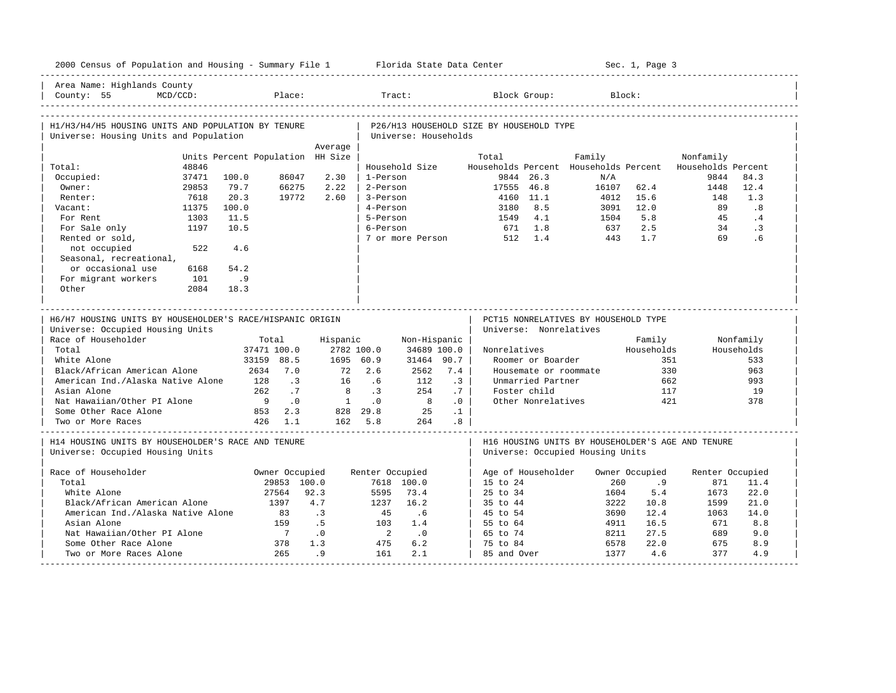| 2000 Census of Population and Housing - Summary File 1 Florida State Data Center              |             |                                  |                             |                  |                            |                      |                 |                                          |                        |                                                 | Sec. 1, Page 3 |                                                   |            |
|-----------------------------------------------------------------------------------------------|-------------|----------------------------------|-----------------------------|------------------|----------------------------|----------------------|-----------------|------------------------------------------|------------------------|-------------------------------------------------|----------------|---------------------------------------------------|------------|
| Area Name: Highlands County<br>County: 55                                                     | $MCD/CCD$ : |                                  | Place:                      |                  |                            | Tract:               |                 |                                          | Block Group:           |                                                 | Block:         |                                                   |            |
|                                                                                               |             |                                  |                             |                  |                            |                      |                 |                                          |                        |                                                 |                |                                                   |            |
| H1/H3/H4/H5 HOUSING UNITS AND POPULATION BY TENURE<br>Universe: Housing Units and Population  |             |                                  |                             |                  |                            | Universe: Households |                 | P26/H13 HOUSEHOLD SIZE BY HOUSEHOLD TYPE |                        |                                                 |                |                                                   |            |
|                                                                                               |             |                                  |                             | Average          |                            |                      |                 |                                          |                        |                                                 |                |                                                   |            |
| Total:                                                                                        | 48846       | Units Percent Population HH Size |                             |                  |                            | Household Size       |                 | Total                                    |                        | Family<br>Households Percent Households Percent |                | Nonfamily<br>Households Percent                   |            |
| Occupied:                                                                                     | 37471       | 100.0                            | 86047                       | 2.30             | 1-Person                   |                      |                 |                                          | 9844 26.3              | N/A                                             |                | 9844                                              | 84.3       |
| Owner:                                                                                        | 29853       | 79.7                             | 66275                       | 2.22             | 2-Person                   |                      |                 | 17555 46.8                               |                        | 16107                                           | 62.4           | 1448                                              | 12.4       |
| Renter:                                                                                       | 7618        | 20.3                             | 19772                       | 2.60             | 3-Person                   |                      |                 |                                          | 4160 11.1              | 4012                                            | 15.6           | 148                                               | 1.3        |
|                                                                                               | 11375       | 100.0                            |                             |                  | 4-Person                   |                      |                 |                                          | 8.5                    |                                                 | 12.0           | 89                                                | .8         |
| Vacant:<br>For Rent                                                                           | 1303        | 11.5                             |                             |                  | 5-Person                   |                      |                 | 3180<br>1549                             | 4.1                    | 3091<br>1504                                    | 5.8            | 45                                                | .4         |
|                                                                                               | 1197        | 10.5                             |                             |                  |                            |                      |                 |                                          |                        |                                                 | 2.5            | 34                                                | .3         |
| For Sale only                                                                                 |             |                                  |                             |                  | 6-Person                   |                      |                 |                                          | 671 1.8                | 637                                             | 1.7            | 69                                                |            |
| Rented or sold,                                                                               |             |                                  |                             |                  |                            |                      |                 | 7 or more Person 512 1.4                 |                        | 443                                             |                |                                                   | .6         |
| not occupied                                                                                  | 522         | 4.6                              |                             |                  |                            |                      |                 |                                          |                        |                                                 |                |                                                   |            |
| Seasonal, recreational,                                                                       |             |                                  |                             |                  |                            |                      |                 |                                          |                        |                                                 |                |                                                   |            |
| or occasional use                                                                             | 6168        | 54.2                             |                             |                  |                            |                      |                 |                                          |                        |                                                 |                |                                                   |            |
| For migrant workers                                                                           | 101         | .9                               |                             |                  |                            |                      |                 |                                          |                        |                                                 |                |                                                   |            |
| Other                                                                                         | 2084        | 18.3                             |                             |                  |                            |                      |                 |                                          |                        |                                                 |                |                                                   |            |
| H6/H7 HOUSING UNITS BY HOUSEHOLDER'S RACE/HISPANIC ORIGIN<br>Universe: Occupied Housing Units |             |                                  |                             |                  |                            |                      |                 |                                          | Universe: Nonrelatives | PCT15 NONRELATIVES BY HOUSEHOLD TYPE            |                |                                                   |            |
| Race of Householder                                                                           |             |                                  | Total                       | Hispanic         |                            | Non-Hispanic         |                 |                                          |                        |                                                 | Family         |                                                   | Nonfamily  |
| Total                                                                                         |             |                                  | 37471 100.0                 |                  | 2782 100.0                 | 34689 100.0          |                 | Nonrelatives                             |                        |                                                 | Households     |                                                   | Households |
| White Alone                                                                                   |             |                                  | 33159 88.5                  |                  | 1695 60.9                  | 31464 90.7           |                 |                                          | Roomer or Boarder      |                                                 |                | 351                                               | 533        |
| Black/African American Alone                                                                  |             |                                  | 2634 7.0                    | 72               | 2.6                        | 2562                 | 7.4             |                                          |                        | Housemate or roommate                           |                | 330                                               | 963        |
| American Ind./Alaska Native Alone                                                             |             | 128                              | $\overline{\phantom{0}}$ .3 | 16               | .6                         | 112                  | .3              |                                          | Unmarried Partner      |                                                 |                | 662                                               | 993        |
| Asian Alone                                                                                   |             | 262                              | .7                          | 8                | $\cdot$ 3                  | 254                  | .7              |                                          | Foster child           |                                                 |                | 117                                               | 19         |
| Nat Hawaiian/Other PI Alone                                                                   |             | 9                                | $\cdot$ 0                   | $\overline{1}$   | $\overline{0}$ .           | 8                    | .0              |                                          | Other Nonrelatives     |                                                 |                | 421                                               | 378        |
| Some Other Race Alone                                                                         |             |                                  | 853 2.3                     |                  | 828 29.8                   | 25                   | $\cdot$ 1       |                                          |                        |                                                 |                |                                                   |            |
| Two or More Races                                                                             |             |                                  | 426 1.1                     |                  | 162 5.8                    | 264                  | .8 <sub>1</sub> |                                          |                        |                                                 |                |                                                   |            |
| H14 HOUSING UNITS BY HOUSEHOLDER'S RACE AND TENURE                                            |             |                                  |                             |                  |                            |                      |                 |                                          |                        |                                                 |                | H16 HOUSING UNITS BY HOUSEHOLDER'S AGE AND TENURE |            |
| Universe: Occupied Housing Units                                                              |             |                                  |                             |                  |                            |                      |                 |                                          |                        | Universe: Occupied Housing Units                |                |                                                   |            |
| Race of Householder                                                                           |             |                                  | Owner Occupied              |                  | Renter Occupied            |                      |                 |                                          | Age of Householder     |                                                 | Owner Occupied | Renter Occupied                                   |            |
| Total                                                                                         |             |                                  | 29853 100.0                 |                  |                            | 7618 100.0           |                 | 15 to 24                                 |                        | 260                                             | .9             | 871                                               | 11.4       |
| White Alone                                                                                   |             |                                  | 27564                       | 92.3             | 5595                       | 73.4                 |                 | 25 to 34                                 |                        | 1604                                            | 5.4            | 1673                                              | 22.0       |
| Black/African American Alone                                                                  |             |                                  | 1397                        | 4.7              | 1237                       | 16.2                 |                 | 35 to 44                                 |                        | 3222                                            | 10.8           | 1599                                              | 21.0       |
| American Ind./Alaska Native Alone                                                             |             |                                  | 83                          | $\overline{3}$   | 45                         | .6                   |                 | 45 to 54                                 |                        | 3690                                            | 12.4           | 1063                                              | 14.0       |
| Asian Alone                                                                                   |             |                                  | 159                         | .5               | 103                        | 1.4                  |                 | 55 to 64                                 |                        | 4911                                            | 16.5           | 671                                               | 8.8        |
| Nat Hawaiian/Other PI Alone                                                                   |             |                                  | $\overline{7}$              | $\overline{0}$ . | $\overline{\phantom{0}}^2$ | $\cdot$ 0            |                 | 65 to 74                                 |                        | 8211                                            | 27.5           | 689                                               | 9.0        |
| Some Other Race Alone                                                                         |             |                                  | 378                         | 1.3              | 475                        | 6.2                  |                 | 75 to 84                                 |                        | 6578                                            | 22.0           | 675                                               | 8.9        |
| Two or More Races Alone                                                                       |             |                                  | 265                         | .9               | 161                        | 2.1                  |                 | 85 and Over                              |                        | 1377                                            | 4.6            | 377                                               | 4.9        |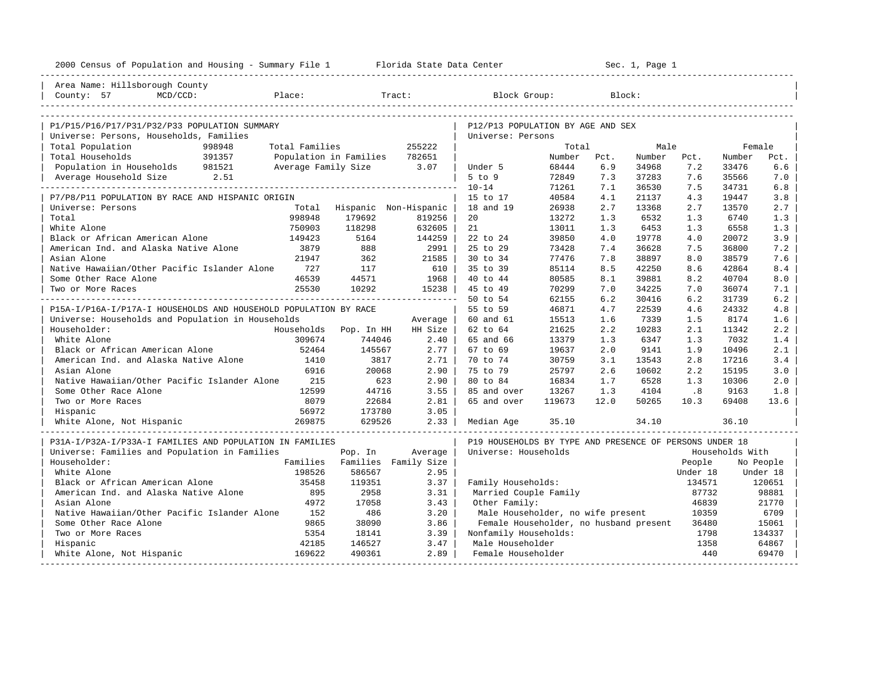| 2000 Census of Population and Housing - Summary File 1 Florida State Data Center |                             |                      |                                                         |        |        | Sec. 1, Page 1 |              |                  |                 |
|----------------------------------------------------------------------------------|-----------------------------|----------------------|---------------------------------------------------------|--------|--------|----------------|--------------|------------------|-----------------|
| Area Name: Hillsborough County                                                   |                             |                      |                                                         |        |        |                |              |                  |                 |
| Place:<br>County: 57<br>MCD/CCD:                                                 |                             | Tract:               | Block Group:                                            |        | Block: |                |              |                  |                 |
|                                                                                  |                             |                      |                                                         |        |        |                |              |                  |                 |
| P1/P15/P16/P17/P31/P32/P33 POPULATION SUMMARY                                    |                             |                      | P12/P13 POPULATION BY AGE AND SEX                       |        |        |                |              |                  |                 |
| Universe: Persons, Households, Families<br>998948<br>Total Families              |                             | 255222               | Universe: Persons                                       | Total  |        | Male           |              |                  |                 |
| Total Population<br>391357<br>Total Households<br>Population in Families         |                             | 782651               |                                                         | Number | Pct.   | Number         | Pct.         | Female<br>Number | Pct.            |
| Population in Households 981521<br>Average Family Size 3.07                      |                             |                      | Under 5                                                 | 68444  | 6.9    | 34968          | 7.2          | 33476            | 6.6             |
| Average Household Size 2.51                                                      |                             |                      | $5$ to $9$                                              | 72849  | 7.3    | 37283          | 7.6          | 35566            | 7.0             |
| . _ _ _ _ _ _ _ _ _ _ _ _ _ _ _ _ _ _                                            |                             |                      | $10 - 14$                                               | 71261  | 7.1    | 36530          | 7.5          | 34731            | 6.8             |
| P7/P8/P11 POPULATION BY RACE AND HISPANIC ORIGIN                                 |                             |                      | 15 to 17                                                | 40584  | 4.1    | 21137          | 4.3          | 19447            | 3.8             |
| Universe: Persons                                                                | Total Hispanic Non-Hispanic |                      | 18 and 19                                               | 26938  | 2.7    | 13368          | 2.7          | 13570            | 2.7             |
| Total<br>998948                                                                  | 179692                      | 819256               | 20                                                      | 13272  | 1.3    | 6532           | 1.3          | 6740             | 1.3             |
| White Alone<br>750903                                                            | 118298                      | 632605               | 21                                                      | 13011  | 1.3    | 6453           | 1.3          | 6558             | 1.3             |
| Black or African American Alone<br>149423                                        | 5164                        | 144259               | 22 to 24                                                | 39850  | 4.0    | 19778          | 4.0          | 20072            | 3.9             |
| American Ind. and Alaska Native Alone<br>3879                                    | 888                         | 2991                 | 25 to 29                                                | 73428  | 7.4    | 36628          | 7.5          | 36800            | 7.2             |
| Asian Alone<br>21947                                                             | 362                         | 21585                | 30 to 34                                                | 77476  | 7.8    | 38897          | 8.0          | 38579            | 7.6             |
| Native Hawaiian/Other Pacific Islander Alone<br>727                              | 117                         | 610                  | 35 to 39                                                | 85114  | 8.5    | 42250          | 8.6          | 42864            | 8.4             |
| 46539<br>Some Other Race Alone                                                   | 44571                       | 1968                 | 40 to 44                                                | 80585  | 8.1    | 39881          | 8.2          | 40704            | 8.0             |
| 25530<br>Two or More Races                                                       | 10292                       | 15238                | 45 to 49                                                | 70299  | 7.0    | 34225          | 7.0          | 36074            | 7.1             |
|                                                                                  |                             |                      | 50 to 54                                                | 62155  | 6.2    | 30416          | 6.2          | 31739            | 6.2             |
| P15A-I/P16A-I/P17A-I HOUSEHOLDS AND HOUSEHOLD POPULATION BY RACE                 |                             |                      | 55 to 59                                                | 46871  | 4.7    | 22539          | 4.6          | 24332            | 4.8             |
| Universe: Households and Population in Households                                |                             | Average              | 60 and 61                                               | 15513  | 1.6    | 7339           | 1.5          | 8174             | 1.6             |
| Householder:<br>Households                                                       | Pop. In HH                  | HH Size              | 62 to 64                                                | 21625  | 2.2    | 10283          | 2.1          | 11342            | 2.2             |
| White Alone<br>309674                                                            | 744046                      | 2.40                 | 65 and 66                                               | 13379  | 1.3    | 6347           | 1.3          | 7032             | 1.4             |
| Black or African American Alone<br>52464                                         | 145567                      | 2.77                 | 67 to 69                                                | 19637  | 2.0    | 9141           | 1.9          | 10496            | 2.1             |
| American Ind. and Alaska Native Alone<br>1410                                    | 3817                        | 2.71                 | 70 to 74                                                | 30759  | 3.1    | 13543          | 2.8          | 17216            | 3.4             |
| 6916<br>Asian Alone                                                              | 20068                       | 2.90                 | 75 to 79                                                | 25797  | 2.6    | 10602          | 2.2          | 15195            | 3.0             |
| Native Hawaiian/Other Pacific Islander Alone<br>215                              | 623                         | 2.90                 | 80 to 84                                                | 16834  | 1.7    | 6528           | 1.3          | 10306            | 2.0             |
| Some Other Race Alone<br>12599                                                   | 44716                       | 3.55                 | 85 and over                                             | 13267  | 1.3    | 4104           | .8           | 9163             | 1.8             |
| Two or More Races<br>8079                                                        | 22684                       | 2.81                 | 65 and over                                             | 119673 | 12.0   | 50265          | 10.3         | 69408            | 13.6            |
| 56972<br>Hispanic                                                                | 173780                      | 3.05                 |                                                         |        |        |                |              |                  |                 |
| 269875<br>White Alone, Not Hispanic                                              | 629526                      | 2.33                 | Median Age                                              | 35.10  |        | 34.10          |              | 36.10            |                 |
| P31A-I/P32A-I/P33A-I FAMILIES AND POPULATION IN FAMILIES                         |                             |                      | P19 HOUSEHOLDS BY TYPE AND PRESENCE OF PERSONS UNDER 18 |        |        |                |              |                  |                 |
| Universe: Families and Population in Families                                    | Pop. In                     | Average              | Universe: Households                                    |        |        |                |              | Households With  |                 |
| Householder:<br>Families                                                         |                             | Families Family Size |                                                         |        |        |                | People       |                  | No People       |
| White Alone<br>198526                                                            | 586567                      | 2.95                 |                                                         |        |        |                | Under 18     |                  | Under 18        |
| Black or African American Alone<br>35458                                         | 119351                      | 3.37                 | Family Households:                                      |        |        |                | 134571       |                  | 120651          |
| American Ind. and Alaska Native Alone<br>895                                     | 2958                        | 3.31                 | Married Couple Family                                   |        |        |                | 87732        |                  | 98881           |
| 4972<br>Asian Alone                                                              | 17058                       | 3.43                 | Other Family:                                           |        |        |                | 46839        |                  | 21770           |
| Native Hawaiian/Other Pacific Islander Alone<br>152                              | 486                         | 3.20                 | Male Householder, no wife present                       |        |        |                | 10359        |                  | 6709            |
| 9865<br>Some Other Race Alone                                                    | 38090                       | 3.86                 | Female Householder, no husband present                  |        |        |                | 36480        |                  | 15061           |
| 5354<br>Two or More Races<br>42185                                               | 18141                       | 3.39<br>3.47         | Nonfamily Households:<br>Male Householder               |        |        |                | 1798<br>1358 |                  | 134337<br>64867 |
| Hispanic<br>White Alone, Not Hispanic<br>169622                                  | 146527<br>490361            | 2.89                 | Female Householder                                      |        |        |                | 440          |                  | 69470           |
| ----------------------------                                                     |                             |                      |                                                         |        |        |                |              |                  |                 |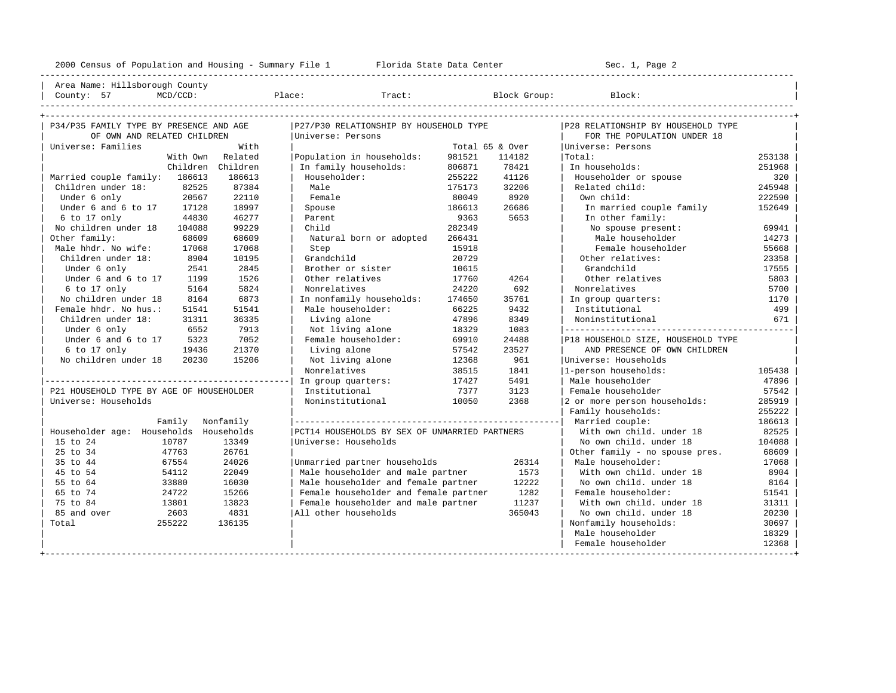----------------------------------------------------------------------------------------------------------------------------------------------------

Area Name: Hillsborough County

| County: | MCD/CD<br>๚∪∠ ∪∪ม • | Place | Tract | Block<br>Group | - -<br>Block: |
|---------|---------------------|-------|-------|----------------|---------------|

| P34/P35 FAMILY TYPE BY PRESENCE AND AGE  |           | P27/P30 RELATIONSHIP BY HOUSEHOLD TYPE        |        | P28 RELATIONSHIP BY HOUSEHOLD TYPE |                                    |        |
|------------------------------------------|-----------|-----------------------------------------------|--------|------------------------------------|------------------------------------|--------|
| OF OWN AND RELATED CHILDREN              |           | Universe: Persons                             |        |                                    | FOR THE POPULATION UNDER 18        |        |
| Universe: Families                       | With      |                                               |        | Total 65 & Over                    | Universe: Persons                  |        |
| With Own                                 | Related   | Population in households:                     | 981521 | 114182                             | Total:                             | 253138 |
| Children                                 | Children  | In family households:                         | 806871 | 78421                              | In households:                     | 251968 |
| Married couple family: 186613            | 186613    | Householder:                                  | 255222 | 41126                              | Householder or spouse              | 320    |
| Children under 18:<br>82525              | 87384     | Male                                          | 175173 | 32206                              | Related child:                     | 245948 |
| 20567<br>Under 6 only                    | 22110     | Female                                        | 80049  | 8920                               | Own child:                         | 222590 |
| Under 6 and 6 to 17<br>17128             | 18997     | Spouse                                        | 186613 | 26686                              | In married couple family           | 152649 |
| $6$ to 17 only<br>44830                  | 46277     | Parent                                        | 9363   | 5653                               | In other family:                   |        |
| No children under 18<br>104088           | 99229     | Child                                         | 282349 |                                    | No spouse present:                 | 69941  |
| Other family:<br>68609                   | 68609     | Natural born or adopted                       | 266431 |                                    | Male householder                   | 14273  |
| Male hhdr. No wife:<br>17068             | 17068     | Step                                          | 15918  |                                    | Female householder                 | 55668  |
| Children under 18:<br>8904               | 10195     | Grandchild                                    | 20729  |                                    | Other relatives:                   | 23358  |
| Under 6 only<br>2541                     | 2845      | Brother or sister                             | 10615  |                                    | Grandchild                         | 17555  |
| Under 6 and 6 to 17<br>1199              | 1526      | Other relatives                               | 17760  | 4264                               | Other relatives                    | 5803   |
| 6 to 17 only<br>5164                     | 5824      | Nonrelatives                                  | 24220  | 692                                | Nonrelatives                       | 5700   |
| No children under 18<br>8164             | 6873      | In nonfamily households:                      | 174650 | 35761                              | In group quarters:                 | 1170   |
| Female hhdr. No hus.:<br>51541           | 51541     | Male householder:                             | 66225  | 9432                               | Institutional                      | 499    |
| Children under 18:<br>31311              | 36335     | Living alone                                  | 47896  | 8349                               | Noninstitutional                   | 671    |
| Under 6 only<br>6552                     | 7913      | Not living alone                              | 18329  | 1083                               |                                    |        |
| Under 6 and 6 to 17<br>5323              | 7052      | Female householder:                           | 69910  | 24488                              | P18 HOUSEHOLD SIZE, HOUSEHOLD TYPE |        |
| 6 to 17 only<br>19436                    | 21370     | Living alone                                  | 57542  | 23527                              | AND PRESENCE OF OWN CHILDREN       |        |
| No children under 18<br>20230            | 15206     | Not living alone                              | 12368  | 961                                | Universe: Households               |        |
|                                          |           | Nonrelatives                                  | 38515  | 1841                               | 1-person households:               | 105438 |
|                                          |           | In group quarters:                            | 17427  | 5491                               | Male householder                   | 47896  |
| P21 HOUSEHOLD TYPE BY AGE OF HOUSEHOLDER |           | Institutional                                 | 7377   | 3123                               | Female householder                 | 57542  |
| Universe: Households                     |           | Noninstitutional                              | 10050  | 2368                               | 2 or more person households:       | 285919 |
|                                          |           |                                               |        |                                    | Family households:                 | 255222 |
| Family                                   | Nonfamily |                                               |        |                                    | Married couple:                    | 186613 |
| Householder age: Households Households   |           | PCT14 HOUSEHOLDS BY SEX OF UNMARRIED PARTNERS |        |                                    | With own child, under 18           | 82525  |
| 15 to 24<br>10787                        | 13349     | Universe: Households                          |        |                                    | No own child, under 18             | 104088 |
| 25 to 34<br>47763                        | 26761     |                                               |        |                                    | Other family - no spouse pres.     | 68609  |
| 67554<br>35 to 44                        | 24026     | Unmarried partner households                  |        | 26314                              | Male householder:                  | 17068  |
| 45 to 54<br>54112                        | 22049     | Male householder and male partner             |        | 1573                               | With own child, under 18           | 8904   |
| 55 to 64<br>33880                        | 16030     | Male householder and female partner           |        | 12222                              | No own child, under 18             | 8164   |
| 65 to 74<br>24722                        | 15266     | Female householder and female partner         |        | 1282                               | Female householder:                | 51541  |
| 75 to 84<br>13801                        | 13823     | Female householder and male partner           |        | 11237                              | With own child, under 18           | 31311  |
| 85 and over<br>2603                      | 4831      | All other households                          |        | 365043                             | No own child, under 18             | 20230  |
| Total<br>255222                          | 136135    |                                               |        |                                    | Nonfamily households:              | 30697  |
|                                          |           |                                               |        |                                    | Male householder                   | 18329  |
|                                          |           |                                               |        |                                    | Female householder                 | 12368  |
|                                          |           |                                               |        |                                    |                                    |        |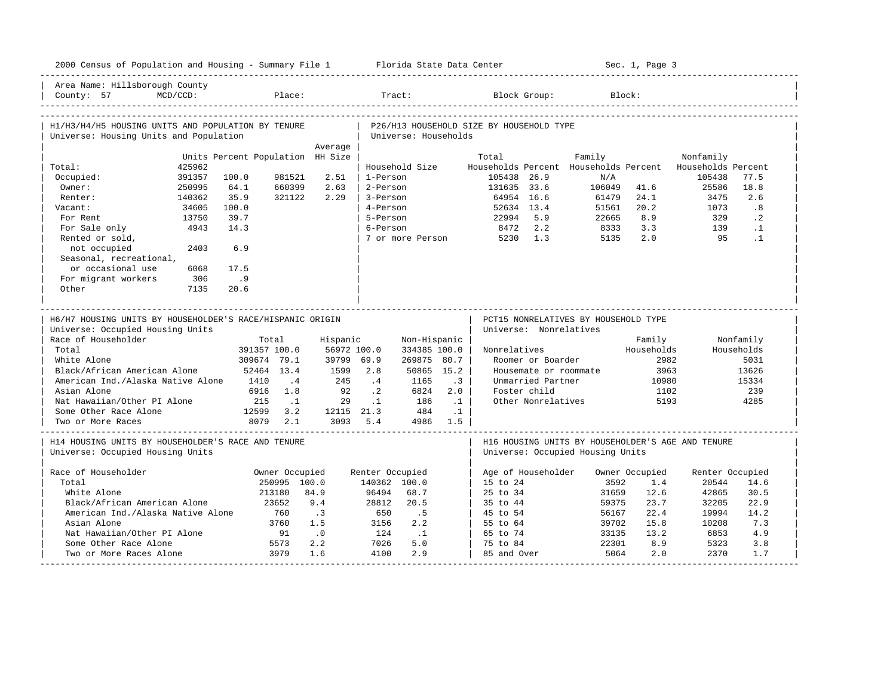|                                                                                                                                                                                                              |                                  |                             |                                                                                                        |                                                                  |                                                          |                                                                                                                                          | 2000 Census of Population and Housing - Summary File 1 Florida State Data Center |                                                        |                                             | Sec. 1, Page 3                                                |                                                   |                                                                  |
|--------------------------------------------------------------------------------------------------------------------------------------------------------------------------------------------------------------|----------------------------------|-----------------------------|--------------------------------------------------------------------------------------------------------|------------------------------------------------------------------|----------------------------------------------------------|------------------------------------------------------------------------------------------------------------------------------------------|----------------------------------------------------------------------------------|--------------------------------------------------------|---------------------------------------------|---------------------------------------------------------------|---------------------------------------------------|------------------------------------------------------------------|
| Area Name: Hillsborough County<br>County: 57                                                                                                                                                                 | $MCD/CCD$ :                      |                             |                                                                                                        | Place:                                                           |                                                          | Tract:                                                                                                                                   | Block Group:                                                                     |                                                        |                                             | Block:                                                        |                                                   |                                                                  |
|                                                                                                                                                                                                              |                                  |                             |                                                                                                        |                                                                  |                                                          |                                                                                                                                          |                                                                                  |                                                        |                                             |                                                               |                                                   |                                                                  |
| H1/H3/H4/H5 HOUSING UNITS AND POPULATION BY TENURE                                                                                                                                                           |                                  |                             |                                                                                                        |                                                                  |                                                          |                                                                                                                                          | P26/H13 HOUSEHOLD SIZE BY HOUSEHOLD TYPE                                         |                                                        |                                             |                                                               |                                                   |                                                                  |
| Universe: Housing Units and Population                                                                                                                                                                       |                                  |                             |                                                                                                        |                                                                  |                                                          | Universe: Households                                                                                                                     |                                                                                  |                                                        |                                             |                                                               |                                                   |                                                                  |
|                                                                                                                                                                                                              |                                  |                             |                                                                                                        | Average<br>Units Percent Population HH Size                      |                                                          |                                                                                                                                          | Total                                                                            |                                                        | Family                                      |                                                               | Nonfamily                                         |                                                                  |
| Total:                                                                                                                                                                                                       | 425962                           |                             |                                                                                                        |                                                                  |                                                          | Household Size                                                                                                                           |                                                                                  |                                                        | Households Percent Households Percent       |                                                               | Households Percent                                |                                                                  |
| Occupied:                                                                                                                                                                                                    | 391357                           | 100.0                       | 981521                                                                                                 | 2.51                                                             | 1-Person                                                 |                                                                                                                                          | 105438 26.9                                                                      |                                                        | N/A                                         |                                                               | 105438                                            | 77.5                                                             |
| Owner:                                                                                                                                                                                                       | 250995                           | 64.1                        | 660399                                                                                                 | 2.63                                                             | 2-Person                                                 |                                                                                                                                          | 131635 33.6                                                                      |                                                        | 106049                                      | 41.6                                                          | 25586                                             | 18.8                                                             |
| Renter:                                                                                                                                                                                                      | 140362                           | 35.9                        | 321122                                                                                                 | 2.29                                                             | 3-Person                                                 |                                                                                                                                          | 64954 16.6                                                                       |                                                        | 61479                                       | 24.1                                                          | 3475                                              | 2.6                                                              |
| Vacant:                                                                                                                                                                                                      | 34605                            | 100.0                       |                                                                                                        |                                                                  | 4-Person                                                 |                                                                                                                                          | 52634 13.4                                                                       |                                                        | 51561                                       | 20.2                                                          | 1073                                              | .8                                                               |
| For Rent                                                                                                                                                                                                     | 13750                            | 39.7                        |                                                                                                        |                                                                  | 5-Person                                                 |                                                                                                                                          | 22994 5.9                                                                        |                                                        | 22665                                       | 8.9                                                           | 329                                               | $\cdot$ 2                                                        |
| For Sale only                                                                                                                                                                                                | 4943                             | 14.3                        |                                                                                                        |                                                                  | 6-Person                                                 |                                                                                                                                          | 8472 2.2                                                                         |                                                        | 8333                                        | 3.3                                                           | 139                                               | $\cdot$ 1                                                        |
|                                                                                                                                                                                                              |                                  |                             |                                                                                                        |                                                                  |                                                          |                                                                                                                                          |                                                                                  |                                                        |                                             | 2.0                                                           | 95                                                | $\cdot$ 1                                                        |
| Rented or sold,                                                                                                                                                                                              |                                  |                             |                                                                                                        |                                                                  |                                                          |                                                                                                                                          | 7 or more Person 5230 1.3                                                        |                                                        | 5135                                        |                                                               |                                                   |                                                                  |
| not occupied                                                                                                                                                                                                 | 2403                             | 6.9                         |                                                                                                        |                                                                  |                                                          |                                                                                                                                          |                                                                                  |                                                        |                                             |                                                               |                                                   |                                                                  |
| Seasonal, recreational,                                                                                                                                                                                      |                                  |                             |                                                                                                        |                                                                  |                                                          |                                                                                                                                          |                                                                                  |                                                        |                                             |                                                               |                                                   |                                                                  |
| or occasional use                                                                                                                                                                                            | 6068                             | 17.5                        |                                                                                                        |                                                                  |                                                          |                                                                                                                                          |                                                                                  |                                                        |                                             |                                                               |                                                   |                                                                  |
| For migrant workers                                                                                                                                                                                          | 306                              | .9                          |                                                                                                        |                                                                  |                                                          |                                                                                                                                          |                                                                                  |                                                        |                                             |                                                               |                                                   |                                                                  |
| Other                                                                                                                                                                                                        | 7135                             | 20.6                        |                                                                                                        |                                                                  |                                                          |                                                                                                                                          |                                                                                  |                                                        |                                             |                                                               |                                                   |                                                                  |
|                                                                                                                                                                                                              | Universe: Occupied Housing Units |                             |                                                                                                        |                                                                  |                                                          |                                                                                                                                          |                                                                                  | Universe: Nonrelatives                                 |                                             |                                                               |                                                   |                                                                  |
| Race of Householder<br>Total<br>White Alone<br>Black/African American Alone<br>American Ind./Alaska Native Alone<br>Asian Alone<br>Nat Hawaiian/Other PI Alone<br>Some Other Race Alone<br>Two or More Races |                                  | 1410<br>6916<br>215<br>8079 | Total<br>391357 100.0<br>309674 79.1<br>52464 13.4<br>$\cdot$ 4<br>1.8<br>$\ldots$<br>12599 3.2<br>2.1 | Hispanic<br>56972 100.0<br>39799 69.9<br>1599<br>245<br>92<br>29 | 2.8<br>$\cdot$ 4<br>$\cdot$ . 2<br>$\cdot$ 1<br>3093 5.4 | Non-Hispanic<br>334385 100.0<br>269875 80.7<br>50865 15.2<br>1165<br>6824<br>186<br>$\ldots$ 1<br>12115 21.3 484<br>$\ldots$<br>4986 1.5 | Nonrelatives<br>$\cdot$ 3<br>2.0                                                 | Roomer or Boarder<br>Unmarried Partner<br>Foster child | Housemate or roommate<br>Other Nonrelatives | Family<br>Households<br>2982<br>3963<br>10980<br>1102<br>5193 |                                                   | Nonfamily<br>Households<br>5031<br>13626<br>15334<br>239<br>4285 |
| H14 HOUSING UNITS BY HOUSEHOLDER'S RACE AND TENURE                                                                                                                                                           |                                  |                             |                                                                                                        |                                                                  |                                                          |                                                                                                                                          |                                                                                  |                                                        |                                             |                                                               | H16 HOUSING UNITS BY HOUSEHOLDER'S AGE AND TENURE |                                                                  |
| Universe: Occupied Housing Units                                                                                                                                                                             |                                  |                             |                                                                                                        |                                                                  |                                                          |                                                                                                                                          |                                                                                  |                                                        | Universe: Occupied Housing Units            |                                                               |                                                   |                                                                  |
|                                                                                                                                                                                                              |                                  |                             | Owner Occupied                                                                                         |                                                                  | Renter Occupied                                          |                                                                                                                                          | Age of Householder                                                               |                                                        |                                             | Owner Occupied                                                | Renter Occupied                                   |                                                                  |
| Total                                                                                                                                                                                                        |                                  |                             | 250995 100.0                                                                                           |                                                                  | 140362 100.0                                             |                                                                                                                                          | $15$ to $24$                                                                     |                                                        | 3592                                        | 1.4                                                           | 20544                                             | 14.6                                                             |
| White Alone                                                                                                                                                                                                  |                                  |                             | 213180                                                                                                 | 84.9                                                             | 96494                                                    | 68.7                                                                                                                                     | 25 to 34                                                                         |                                                        | 31659                                       | 12.6                                                          | 42865                                             | 30.5                                                             |
| Black/African American Alone                                                                                                                                                                                 |                                  |                             | 23652                                                                                                  | 9.4                                                              | 28812                                                    | 20.5                                                                                                                                     | 35 to 44                                                                         |                                                        | 59375                                       | 23.7                                                          | 32205                                             | 22.9                                                             |
| American Ind./Alaska Native Alone                                                                                                                                                                            |                                  |                             | 760                                                                                                    | $\cdot$ 3                                                        | 650                                                      | .5                                                                                                                                       | 45 to 54                                                                         |                                                        | 56167                                       | 22.4                                                          | 19994                                             | 14.2                                                             |
| Asian Alone                                                                                                                                                                                                  |                                  |                             | 3760                                                                                                   | 1.5                                                              | 3156                                                     | 2.2                                                                                                                                      | 55 to 64                                                                         |                                                        | 39702                                       | 15.8                                                          | 10208                                             | 7.3                                                              |
| Nat Hawaiian/Other PI Alone                                                                                                                                                                                  |                                  |                             | 91                                                                                                     | $\overline{0}$ .                                                 | 124                                                      | $\ldots$ 1                                                                                                                               | 65 to 74                                                                         |                                                        | 33135                                       | 13.2                                                          | 6853                                              | 4.9                                                              |
| Race of Householder<br>Some Other Race Alone                                                                                                                                                                 |                                  |                             | 5573                                                                                                   | 2.2                                                              | 7026                                                     | 5.0                                                                                                                                      | 75 to 84                                                                         |                                                        | 22301                                       | 8.9                                                           | 5323                                              | 3.8                                                              |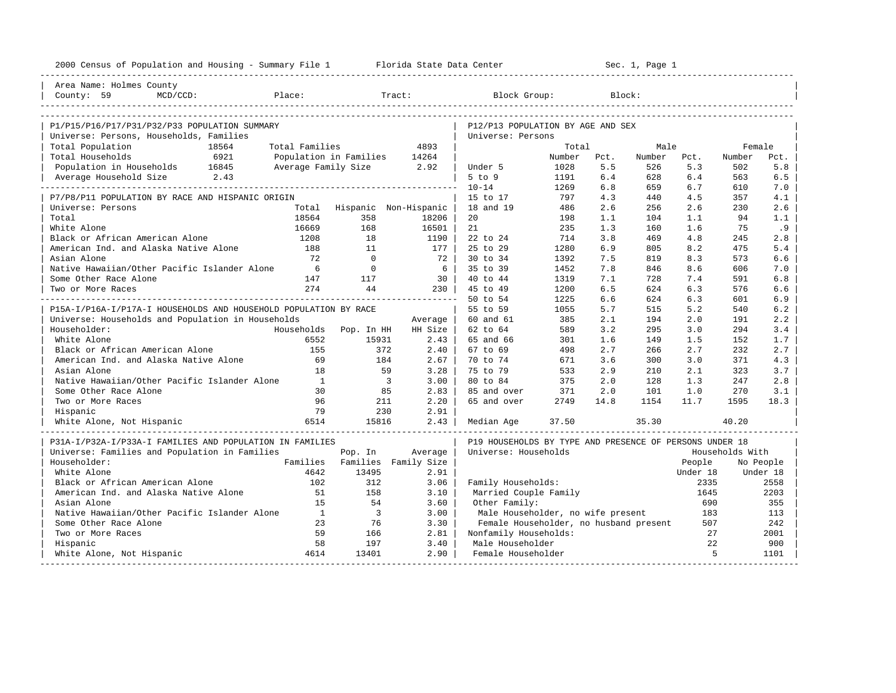| 2000 Census of Population and Housing - Summary File 1 Florida State Data Center |                     | Sec. 1, Page 1<br>------------------------------------ |                |                                                         |                 |             |               |             |                 |               |
|----------------------------------------------------------------------------------|---------------------|--------------------------------------------------------|----------------|---------------------------------------------------------|-----------------|-------------|---------------|-------------|-----------------|---------------|
| Area Name: Holmes County                                                         |                     |                                                        |                |                                                         |                 |             |               |             |                 |               |
| MCD/CCD:<br>County: 59                                                           | Place:              |                                                        | Tract:         | Block Group:                                            |                 |             | Block:        |             |                 |               |
|                                                                                  |                     |                                                        |                |                                                         |                 |             |               |             |                 |               |
|                                                                                  |                     |                                                        |                |                                                         |                 |             |               |             |                 |               |
| P1/P15/P16/P17/P31/P32/P33 POPULATION SUMMARY                                    |                     |                                                        |                | P12/P13 POPULATION BY AGE AND SEX                       |                 |             |               |             |                 |               |
| Universe: Persons, Households, Families                                          |                     |                                                        | 4893           | Universe: Persons                                       |                 |             |               |             |                 |               |
| Total Population<br>18564<br>Total Households<br>6921                            | Total Families      |                                                        |                |                                                         | Total<br>Number |             | Male          |             | Female          |               |
| Population in Households 16845                                                   | Average Family Size | Population in Families                                 | 14264          | Under 5                                                 | 1028            | Pct.<br>5.5 | Number<br>526 | Pct.<br>5.3 | Number<br>502   | Pct.<br>$5.8$ |
| 2.43<br>Average Household Size                                                   |                     |                                                        | 2.92           | $5$ to $9$                                              | 1191            | 6.4         | 628           | 6.4         | 563             | 6.5           |
|                                                                                  |                     |                                                        |                | $10 - 14$                                               | 1269            | 6.8         | 659           | 6.7         | 610             | 7.0           |
| P7/P8/P11 POPULATION BY RACE AND HISPANIC ORIGIN                                 |                     |                                                        |                | 15 to 17                                                | 797             | 4.3         | 440           | 4.5         | 357             | 4.1           |
| Universe: Persons                                                                | Total               | Hispanic Non-Hispanic                                  |                | 18 and 19                                               | 486             | 2.6         | 256           | 2.6         | 230             | 2.6           |
| Total                                                                            | 18564               | 358                                                    | 18206          | 20                                                      | 198             | 1.1         | 104           | 1.1         | 94              | 1.1           |
| White Alone                                                                      | 16669               | 168                                                    | 16501          | 21                                                      | 235             | 1.3         | 160           | 1.6         | 75              | .9            |
| Black or African American Alone                                                  | 1208                | 18                                                     | 1190           | 22 to 24                                                | 714             | 3.8         | 469           | 4.8         | 245             | 2.8           |
| American Ind. and Alaska Native Alone                                            | 188                 | 11                                                     | 177            | 25 to 29                                                | 1280            | 6.9         | 805           | 8.2         | 475             | 5.4           |
| Asian Alone                                                                      | 72                  | $\Omega$                                               | 72             | 30 to 34                                                | 1392            | 7.5         | 819           | 8.3         | 573             | 6.6           |
| Native Hawaiian/Other Pacific Islander Alone                                     | 6                   | $\Omega$                                               | 6 <sup>1</sup> | 35 to 39                                                | 1452            | 7.8         | 846           | 8.6         | 606             | 7.0           |
| Some Other Race Alone                                                            | 147                 | 117                                                    | $30-1$         | 40 to 44                                                | 1319            | 7.1         | 728           | 7.4         | 591             | 6.8           |
| Two or More Races                                                                | 274                 | 44                                                     | 230 I          | 45 to 49                                                | 1200            | 6.5         | 624           | 6.3         | 576             | 6.6           |
|                                                                                  |                     |                                                        |                | 50 to 54                                                | 1225            | 6.6         | 624           | 6.3         | 601             | 6.9           |
| P15A-I/P16A-I/P17A-I HOUSEHOLDS AND HOUSEHOLD POPULATION BY RACE                 |                     |                                                        |                | 55 to 59                                                | 1055            | 5.7         | 515           | 5.2         | 540             | 6.2           |
| Universe: Households and Population in Households                                |                     |                                                        | Average        | 60 and 61                                               | 385             | 2.1         | 194           | 2.0         | 191             | 2.2           |
| Householder:                                                                     | Households          | Pop. In HH                                             | HH Size        | 62 to 64                                                | 589             | 3.2         | 295           | 3.0         | 294             | 3.4           |
| White Alone                                                                      | 6552                | 15931                                                  | 2.43           | 65 and 66                                               | 301             | 1.6         | 149           | 1.5         | 152             | 1.7           |
| Black or African American Alone                                                  | 155                 | 372                                                    | $2.40$         | 67 to 69                                                | 498             | 2.7         | 266           | 2.7         | 232             | 2.7           |
| American Ind. and Alaska Native Alone                                            | 69                  | 184                                                    | 2.67           | 70 to 74                                                | 671             | 3.6         | 300           | 3.0         | 371             | 4.3           |
| Asian Alone                                                                      | 18                  | 59                                                     | 3.28           | 75 to 79                                                | 533             | 2.9         | 210           | 2.1         | 323             | 3.7           |
| Native Hawaiian/Other Pacific Islander Alone                                     | $\mathbf{1}$        | $\overline{\phantom{a}}$                               | 3.00           | 80 to 84                                                | 375             | 2.0         | 128           | 1.3         | 247             | 2.8           |
| Some Other Race Alone                                                            | 30                  | 85                                                     | 2.83           | 85 and over                                             | 371             | 2.0         | 101           | 1.0         | 270             | 3.1           |
| Two or More Races                                                                | 96                  | 211                                                    | 2.20           | 65 and over                                             | 2749            | 14.8        | 1154          | 11.7        | 1595            | 18.3          |
| Hispanic                                                                         | 79                  | 230                                                    | 2.91           |                                                         |                 |             |               |             |                 |               |
| White Alone, Not Hispanic                                                        | 6514                | 15816                                                  | 2.43           | Median Age                                              | 37.50           |             | 35.30         |             | 40.20           |               |
|                                                                                  |                     |                                                        |                |                                                         |                 |             |               |             |                 |               |
| P31A-I/P32A-I/P33A-I FAMILIES AND POPULATION IN FAMILIES                         |                     |                                                        |                | P19 HOUSEHOLDS BY TYPE AND PRESENCE OF PERSONS UNDER 18 |                 |             |               |             |                 |               |
| Universe: Families and Population in Families                                    |                     | Pop. In                                                | Average        | Universe: Households                                    |                 |             |               |             | Households With |               |
| Householder:                                                                     |                     | Families Families Family Size                          |                |                                                         |                 |             |               | People      |                 | No People     |
| White Alone                                                                      | 4642                | 13495                                                  | 2.91           |                                                         |                 |             |               | Under 18    |                 | Under 18      |
| Black or African American Alone                                                  | 102                 | 312                                                    | 3.06           | Family Households:                                      |                 |             |               | 2335        |                 | 2558          |
| American Ind. and Alaska Native Alone                                            | 51                  | 158                                                    | 3.10           | Married Couple Family                                   |                 |             |               | 1645        |                 | 2203          |
| Asian Alone                                                                      | 15                  | 54                                                     | 3.60           | Other Family:                                           |                 |             |               | 690         |                 | 355           |
| Native Hawaiian/Other Pacific Islander Alone                                     | $\overline{1}$      | $\overline{\mathbf{3}}$                                | 3.00           | Male Householder, no wife present                       |                 |             |               | 183         |                 | 113           |
| Some Other Race Alone                                                            | 23                  | 76                                                     | 3.30           | Female Householder, no husband present                  |                 |             |               | 507         |                 | 242           |
| Two or More Races                                                                | 59                  | 166                                                    | 2.81           | Nonfamily Households:                                   |                 |             |               | 27          |                 | 2001          |
| Hispanic                                                                         | 58                  | 197                                                    | 3.40           | Male Householder                                        |                 |             |               | 22          |                 | 900           |
| White Alone, Not Hispanic                                                        | 4614                | 13401                                                  | 2.90           | Female Householder                                      |                 |             |               | 5           |                 | 1101          |
|                                                                                  |                     |                                                        |                |                                                         |                 |             |               |             |                 |               |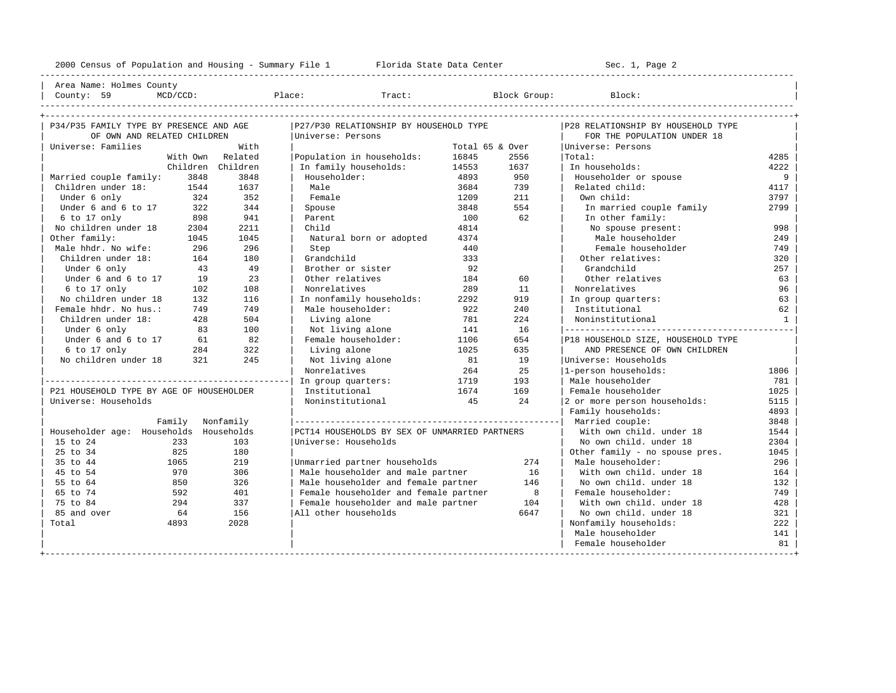---------------------------------------------------------------------------------------------------------------------------------------------------- | Area Name: Holmes County | | County: 59 MCD/CCD: Place: Tract: Block Group: Block: |

| P34/P35 FAMILY TYPE BY PRESENCE AND AGE  |                   | P27/P30 RELATIONSHIP BY HOUSEHOLD TYPE        |                 | P28 RELATIONSHIP BY HOUSEHOLD TYPE |                                    |              |  |
|------------------------------------------|-------------------|-----------------------------------------------|-----------------|------------------------------------|------------------------------------|--------------|--|
| OF OWN AND RELATED CHILDREN              |                   | Universe: Persons                             |                 |                                    | FOR THE POPULATION UNDER 18        |              |  |
| Universe: Families                       | With              |                                               | Total 65 & Over |                                    | Universe: Persons                  |              |  |
|                                          | With Own Related  | Population in households:                     | 16845           | 2556                               | Total:                             | 4285         |  |
|                                          | Children Children | In family households:                         | 14553           | 1637                               | In households:                     | 4222         |  |
| Married couple family:<br>3848           | 3848              | Householder:                                  | 4893            | 950                                | Householder or spouse              | 9            |  |
| Children under 18:<br>1544               | 1637              | Male                                          | 3684            | 739                                | Related child:                     | 4117         |  |
| Under 6 only<br>324                      | 352               | Female                                        | 1209            | 211                                | Own child:                         | 3797         |  |
| Under 6 and 6 to 17<br>322               | 344               | Spouse                                        | 3848            | 554                                | In married couple family           | 2799         |  |
| 898<br>6 to 17 only                      | 941               | Parent                                        | 100             | 62                                 | In other family:                   |              |  |
| No children under 18<br>2304             | 2211              | Child                                         | 4814            |                                    | No spouse present:                 | 998          |  |
| Other family:<br>1045                    | 1045              | Natural born or adopted                       | 4374            |                                    | Male householder                   | 249          |  |
| Male hhdr. No wife:<br>296               | 296               | Step                                          | 440             |                                    | Female householder                 | 749          |  |
| Children under 18:<br>164                | 180               | Grandchild                                    | 333             |                                    | Other relatives:                   | 320          |  |
| Under 6 only<br>43                       | 49                | Brother or sister                             | 92              |                                    | Grandchild                         | 257          |  |
| Under 6 and 6 to 17<br>19                | 23                | Other relatives                               | 184             | 60                                 | Other relatives                    | 63           |  |
| 6 to 17 only<br>102                      | 108               | Nonrelatives                                  | 289             | 11                                 | Nonrelatives                       | 96           |  |
| No children under 18<br>132              | 116               | In nonfamily households:                      | 2292            | 919                                | In group quarters:                 | 63           |  |
| Female hhdr. No hus.:<br>749             | 749               | Male householder:                             | 922             | 240                                | Institutional                      | 62           |  |
| Children under 18:<br>428                | 504               | Living alone                                  | 781             | 224                                | Noninstitutional                   | <sup>1</sup> |  |
| 83<br>Under 6 only                       | 100               | Not living alone                              | 141             | 16                                 |                                    |              |  |
| Under 6 and 6 to 17<br>61                | 82                | Female householder:                           | 1106            | 654                                | P18 HOUSEHOLD SIZE, HOUSEHOLD TYPE |              |  |
| 6 to 17 only<br>284                      | 322               | Living alone                                  | 1025            | 635                                | AND PRESENCE OF OWN CHILDREN       |              |  |
| 321<br>No children under 18              | 245               | Not living alone                              | 81              | 19                                 | Universe: Households               |              |  |
|                                          |                   | Nonrelatives                                  | 264             | 25                                 | 1-person households:               | 1806         |  |
|                                          |                   | In group quarters:                            | 1719            | 193                                | Male householder                   | 781          |  |
| P21 HOUSEHOLD TYPE BY AGE OF HOUSEHOLDER |                   | Institutional                                 | 1674            | 169                                | Female householder                 | 1025         |  |
| Universe: Households                     |                   | Noninstitutional                              | 45              | 24                                 | 2 or more person households:       | 5115         |  |
|                                          |                   |                                               |                 |                                    | Family households:                 | 4893         |  |
|                                          | Family Nonfamily  |                                               |                 |                                    |                                    | 3848         |  |
| Householder age: Households Households   |                   | PCT14 HOUSEHOLDS BY SEX OF UNMARRIED PARTNERS |                 |                                    | With own child, under 18           | 1544         |  |
| 15 to 24<br>233                          | 103               | Universe: Households                          |                 |                                    | No own child, under 18             | 2304         |  |
| 25 to 34<br>825                          | 180               |                                               |                 |                                    | Other family - no spouse pres.     | 1045         |  |
| 35 to 44<br>1065                         | 219               | Unmarried partner households                  |                 | 274                                | Male householder:                  | 296          |  |
| 45 to 54<br>970                          | 306               | Male householder and male partner             |                 | 16                                 | With own child, under 18           | 164          |  |
| 55 to 64<br>850                          | 326               | Male householder and female partner           |                 | 146                                | No own child. under 18             | 132          |  |
| 65 to 74<br>592                          | 401               | Female householder and female partner         |                 | 8                                  | Female householder:                | 749          |  |
| 75 to 84<br>294                          | 337               | Female householder and male partner           |                 | 104                                | With own child, under 18           | 428          |  |
| 85 and over<br>64                        | 156               | All other households                          |                 | 6647                               | No own child, under 18             | 321          |  |
| Total<br>4893                            | 2028              |                                               |                 |                                    | Nonfamily households:              | 222          |  |
|                                          |                   |                                               |                 |                                    | Male householder                   | 141          |  |
|                                          |                   |                                               |                 |                                    | Female householder                 | 81           |  |
|                                          |                   |                                               |                 |                                    |                                    |              |  |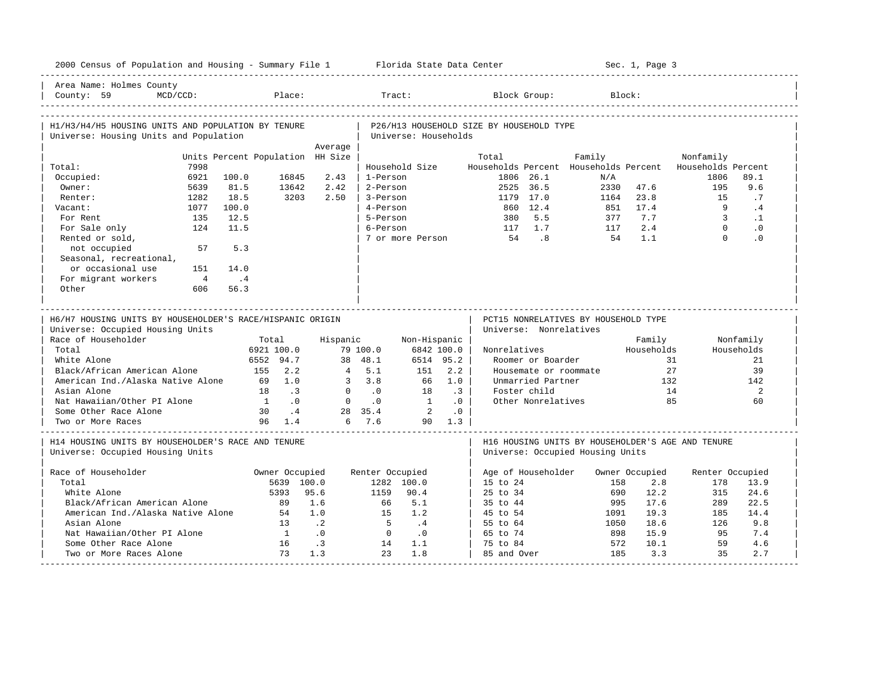| Area Name: Holmes County<br>County: 59<br>$MCD/CCD$ :<br>Block Group:<br>Place:<br>Tract:<br>Block:<br>H1/H3/H4/H5 HOUSING UNITS AND POPULATION BY TENURE<br>P26/H13 HOUSEHOLD SIZE BY HOUSEHOLD TYPE<br>Universe: Housing Units and Population<br>Universe: Households<br>Average |
|------------------------------------------------------------------------------------------------------------------------------------------------------------------------------------------------------------------------------------------------------------------------------------|
|                                                                                                                                                                                                                                                                                    |
|                                                                                                                                                                                                                                                                                    |
|                                                                                                                                                                                                                                                                                    |
|                                                                                                                                                                                                                                                                                    |
| Units Percent Population HH Size<br>Total<br>Family<br>Nonfamily                                                                                                                                                                                                                   |
| 7998<br>Household Size<br>Households Percent Households Percent Households Percent<br>Total:                                                                                                                                                                                       |
| 6921<br>100.0<br>16845<br>2.43<br>1-Person<br>1806 26.1<br>1806<br>89.1<br>Occupied:<br>N/A                                                                                                                                                                                        |
| Owner:<br>5639<br>81.5<br>13642<br>2.42<br>2-Person<br>2525 36.5<br>2330<br>47.6<br>195<br>9.6                                                                                                                                                                                     |
| 3203<br>1282<br>18.5<br>2.50<br>3-Person<br>1179 17.0<br>23.8<br>15<br>.7<br>Renter:<br>1164                                                                                                                                                                                       |
| 860 12.4<br>$\overline{9}$<br>1077<br>100.0<br>4-Person<br>851<br>17.4<br>.4<br>Vacant:                                                                                                                                                                                            |
| 12.5<br>5.5<br>7.7<br>$\mathbf{3}$<br>For Rent<br>135<br>5-Person<br>380<br>377<br>$\cdot$ 1<br>$\Omega$                                                                                                                                                                           |
| 124<br>11.5<br>6-Person<br>117 1.7<br>2.4<br>$\cdot$ 0<br>For Sale only<br>117<br>8 <sup>1</sup><br>$\Omega$<br>7 or more Person<br>54<br>1.1<br>$\cdot$ 0                                                                                                                         |
| Rented or sold,<br>54<br>not occupied<br>57<br>5.3                                                                                                                                                                                                                                 |
| Seasonal, recreational,                                                                                                                                                                                                                                                            |
| or occasional use<br>151<br>14.0                                                                                                                                                                                                                                                   |
| For migrant workers<br>$\overline{4}$<br>$\cdot$ 4                                                                                                                                                                                                                                 |
| Other<br>606<br>56.3                                                                                                                                                                                                                                                               |
|                                                                                                                                                                                                                                                                                    |
| H6/H7 HOUSING UNITS BY HOUSEHOLDER'S RACE/HISPANIC ORIGIN<br>PCT15 NONRELATIVES BY HOUSEHOLD TYPE<br>Universe: Occupied Housing Units<br>Universe: Nonrelatives                                                                                                                    |
| Race of Householder<br>Total<br>Hispanic<br>Non-Hispanic<br>Family<br>Nonfamily                                                                                                                                                                                                    |
| Households<br>Total<br>6921 100.0<br>79 100.0<br>6842 100.0<br>Nonrelatives<br>Households                                                                                                                                                                                          |
| 6552 94.7<br>38 48.1<br>6514 95.2<br>31<br>White Alone<br>Roomer or Boarder<br>21<br>Black/African American Alone<br>4, 5.1<br>2.2<br>27<br>39                                                                                                                                     |
| 155 2.2<br>151<br>Housemate or roommate<br>American Ind./Alaska Native Alone<br>69 1.0<br>$3 \quad 3.8$<br>1.0<br>Unmarried Partner<br>132<br>142<br>66                                                                                                                            |
| Asian Alone<br>$\cdot$ 3<br>Foster child<br>14<br>2<br>18<br>$\overline{\phantom{a}}$<br>$0 \qquad .0$<br>18                                                                                                                                                                       |
| Nat Hawaiian/Other PI Alone<br>$1 \qquad .0$<br>$\overline{0}$<br>$\cdot$ 0<br>$\overline{1}$<br>Other Nonrelatives<br>85<br>.0<br>60                                                                                                                                              |
| $\overline{\phantom{a}}$ 2<br>Some Other Race Alone<br>30<br>$\cdot$ 4<br>28 35.4<br>$\cdot$ 0                                                                                                                                                                                     |
| 6 7.6<br>Two or More Races<br>96 1.4<br>90 1.3                                                                                                                                                                                                                                     |
| H14 HOUSING UNITS BY HOUSEHOLDER'S RACE AND TENURE<br>H16 HOUSING UNITS BY HOUSEHOLDER'S AGE AND TENURE<br>Universe: Occupied Housing Units<br>Universe: Occupied Housing Units                                                                                                    |
| Race of Householder<br>Owner Occupied<br>Renter Occupied<br>Age of Householder<br>Owner Occupied<br>Renter Occupied                                                                                                                                                                |
| 5639 100.0<br>1282 100.0<br>15 to 24<br>158<br>2.8<br>178<br>13.9<br>Total                                                                                                                                                                                                         |
| White Alone<br>5393<br>95.6<br>90.4<br>25 to 34<br>690<br>12.2<br>24.6<br>1159<br>315                                                                                                                                                                                              |
| Black/African American Alone<br>1.6<br>5.1<br>35 to 44<br>17.6<br>89<br>66<br>995<br>289<br>22.5                                                                                                                                                                                   |
| American Ind./Alaska Native Alone<br>1.0<br>1.2<br>45 to 54<br>19.3<br>14.4<br>54<br>15<br>1091<br>185                                                                                                                                                                             |
| $\cdot$ . 2<br>$5^{\circ}$<br>$\cdot$ 4<br>Asian Alone<br>55 to 64<br>18.6<br>126<br>9.8<br>13<br>1050                                                                                                                                                                             |
| $\cdot$ 0<br>$\overline{\phantom{0}}$ .0<br>15.9<br>Nat Hawaiian/Other PI Alone<br>$\overline{1}$<br>$\overline{0}$<br>65 to 74<br>898<br>95<br>7.4                                                                                                                                |
| $\cdot$ 3                                                                                                                                                                                                                                                                          |
| Some Other Race Alone<br>16<br>14<br>1.1<br>75 to 84<br>572<br>10.1<br>59<br>4.6<br>73<br>1.3<br>23<br>1.8<br>3.3<br>185<br>35<br>2.7<br>Two or More Races Alone<br>85 and Over                                                                                                    |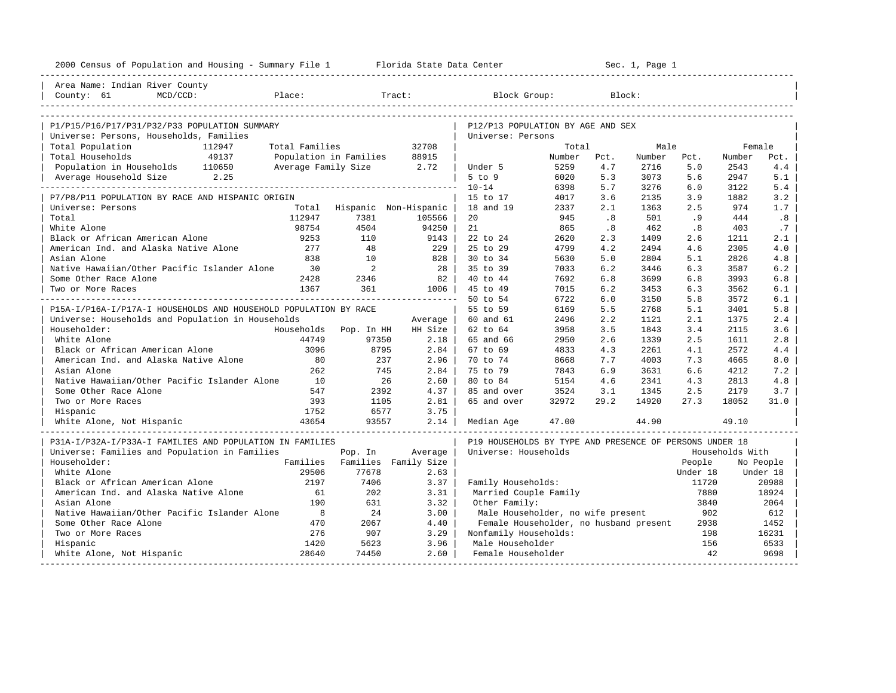| 2000 Census of Population and Housing - Summary File 1 Florida State Data Center |                |                                          | Sec. 1, Page 1<br>-------------------------- |                                                         |              |            |              |                   |                 |                   |
|----------------------------------------------------------------------------------|----------------|------------------------------------------|----------------------------------------------|---------------------------------------------------------|--------------|------------|--------------|-------------------|-----------------|-------------------|
| Area Name: Indian River County                                                   |                |                                          |                                              |                                                         |              |            |              |                   |                 |                   |
| County: 61<br>Place:                                                             |                |                                          |                                              |                                                         |              |            |              |                   |                 |                   |
|                                                                                  |                |                                          |                                              |                                                         |              |            |              |                   |                 |                   |
|                                                                                  |                |                                          |                                              |                                                         |              |            |              |                   |                 |                   |
| P1/P15/P16/P17/P31/P32/P33 POPULATION SUMMARY                                    |                |                                          |                                              | P12/P13 POPULATION BY AGE AND SEX                       |              |            |              |                   |                 |                   |
| Universe: Persons, Households, Families                                          |                |                                          |                                              | Universe: Persons                                       |              |            |              |                   |                 |                   |
| Total Population<br>112947                                                       | Total Families |                                          | 32708                                        |                                                         | Total        |            | Male         |                   | Female          |                   |
| Total Households<br>49137                                                        |                | Population in Families                   | 88915                                        |                                                         | Number       | Pct.       | Number       | Pct.              | Number          | Pct.              |
| Population in Households 110650                                                  |                | Average Family Size 2.72                 |                                              | Under 5<br>5 to 9                                       | 5259         | 4.7<br>5.3 | 2716<br>3073 | 5.0<br>5.6        | 2543<br>2947    | 4.4<br>5.1        |
| Average Household Size 2.25                                                      |                |                                          |                                              | $10 - 14$                                               | 6020<br>6398 | 5.7        | 3276         | 6.0               | 3122            | 5.4               |
| P7/P8/P11 POPULATION BY RACE AND HISPANIC ORIGIN                                 |                |                                          |                                              | 15 to 17                                                | 4017         | 3.6        | 2135         | 3.9               | 1882            | 3.2               |
| Universe: Persons                                                                |                | Total Hispanic Non-Hispanic              |                                              | 18 and 19                                               | 2337         | 2.1        | 1363         | 2.5               | 974             | 1.7               |
| Total                                                                            | 112947         | 7381                                     | 105566                                       | 20                                                      | 945          | .8         | 501          | .9                | 444             | .8                |
| White Alone                                                                      | 98754          | 4504                                     | 94250                                        | 21                                                      | 865          | .8         | 462          | .8                | 403             | .7                |
| Black or African American Alone                                                  | 9253           | 110                                      | 9143                                         | 22 to 24                                                | 2620         | 2.3        | 1409         | 2.6               | 1211            | 2.1               |
| American Ind. and Alaska Native Alone                                            | 277            | 48                                       | 229                                          | 25 to 29                                                | 4799         | 4.2        | 2494         | 4.6               | 2305            | 4.0               |
| Asian Alone                                                                      | 838            | 10                                       | 828                                          | 30 to 34                                                | 5630         | 5.0        | 2804         | 5.1               | 2826            | 4.8               |
| Native Hawaiian/Other Pacific Islander Alone                                     | 30             | 2                                        | 28                                           | 35 to 39                                                | 7033         | 6.2        | 3446         | 6.3               | 3587            | 6.2               |
| Some Other Race Alone                                                            | 2428           | 2346                                     | 82                                           | 40 to 44                                                | 7692         | 6.8        | 3699         | 6.8               | 3993            | 6.8               |
| Two or More Races                                                                | 1367           | 361                                      | 1006                                         | 45 to 49                                                | 7015         | 6.2        | 3453         | 6.3               | 3562            | 6.1               |
|                                                                                  |                |                                          |                                              | 50 to 54                                                | 6722         | 6.0        | 3150         | 5.8               | 3572            | 6.1               |
| P15A-I/P16A-I/P17A-I HOUSEHOLDS AND HOUSEHOLD POPULATION BY RACE                 |                |                                          |                                              | 55 to 59                                                | 6169         | 5.5        | 2768         | 5.1               | 3401            | 5.8               |
| Universe: Households and Population in Households                                |                |                                          | Average                                      | 60 and 61                                               | 2496         | 2.2        | 1121         | 2.1               | 1375            | 2.4               |
| Householder:                                                                     | Households     | Pop. In HH                               | HH Size                                      | 62 to 64                                                | 3958         | 3.5        | 1843         | 3.4               | 2115            | 3.6               |
| White Alone                                                                      | 44749          | 97350                                    | 2.18                                         | 65 and 66                                               | 2950         | 2.6        | 1339         | 2.5               | 1611            | 2.8               |
| Black or African American Alone                                                  | 3096           | 8795                                     | 2.84                                         | 67 to 69                                                | 4833         | 4.3        | 2261         | 4.1               | 2572            | 4.4               |
| American Ind. and Alaska Native Alone                                            | 80             | 237                                      | 2.96                                         | 70 to 74                                                | 8668         | 7.7        | 4003         | 7.3               | 4665            | 8.0               |
| Asian Alone                                                                      | 262            | 745                                      | 2.84                                         | 75 to 79                                                | 7843         | 6.9        | 3631         | 6.6               | 4212            | 7.2               |
| Native Hawaiian/Other Pacific Islander Alone                                     | 10             | 26                                       | 2.60                                         | 80 to 84                                                | 5154         | 4.6        | 2341         | 4.3               | 2813            | 4.8               |
| Some Other Race Alone                                                            | 547            | 2392                                     | 4.37                                         | 85 and over                                             | 3524         | 3.1        | 1345         | 2.5               | 2179            | 3.7               |
| Two or More Races                                                                | 393            | 1105                                     | 2.81                                         | 65 and over                                             | 32972        | 29.2       | 14920        | 27.3              | 18052           | 31.0              |
| Hispanic                                                                         | 1752           | 6577                                     | 3.75                                         |                                                         |              |            |              |                   |                 |                   |
| White Alone, Not Hispanic                                                        | 43654          | 93557                                    | 2.14                                         | Median Age                                              | 47.00        |            | 44.90        |                   | 49.10           |                   |
|                                                                                  |                |                                          |                                              |                                                         |              |            |              |                   |                 |                   |
| P31A-I/P32A-I/P33A-I FAMILIES AND POPULATION IN FAMILIES                         |                |                                          |                                              | P19 HOUSEHOLDS BY TYPE AND PRESENCE OF PERSONS UNDER 18 |              |            |              |                   |                 |                   |
| Universe: Families and Population in Families<br>Householder:                    |                | Pop. In<br>Families Families Family Size | Average                                      | Universe: Households                                    |              |            |              |                   | Households With |                   |
| White Alone                                                                      | 29506          | 77678                                    |                                              |                                                         |              |            |              | People            |                 | No People         |
| Black or African American Alone                                                  | 2197           | 7406                                     | 2.63<br>3.37                                 | Family Households:                                      |              |            |              | Under 18<br>11720 |                 | Under 18<br>20988 |
| American Ind. and Alaska Native Alone                                            | 61             | 202                                      | 3.31                                         | Married Couple Family                                   |              |            |              | 7880              |                 | 18924             |
| Asian Alone                                                                      | 190            | 631                                      | 3.32                                         | Other Family:                                           |              |            |              | 3840              |                 | 2064              |
| Native Hawaiian/Other Pacific Islander Alone                                     | $_{\rm 8}$     | 24                                       | 3.00                                         | Male Householder, no wife present                       |              |            |              | 902               |                 | 612               |
| Some Other Race Alone                                                            | 470            | 2067                                     | 4.40                                         | Female Householder, no husband present                  |              |            |              | 2938              |                 | 1452              |
| Two or More Races                                                                | 276            | 907                                      | 3.29                                         | Nonfamily Households:                                   |              |            |              | 198               |                 | 16231             |
| Hispanic                                                                         | 1420           | 5623                                     | 3.96                                         | Male Householder                                        |              |            |              | 156               |                 | 6533              |
| White Alone, Not Hispanic                                                        | 28640          | 74450                                    | 2.60                                         | Female Householder                                      |              |            |              | 42                |                 | 9698              |
| ---------------------<br>----------------------------                            |                |                                          |                                              |                                                         |              |            |              |                   |                 |                   |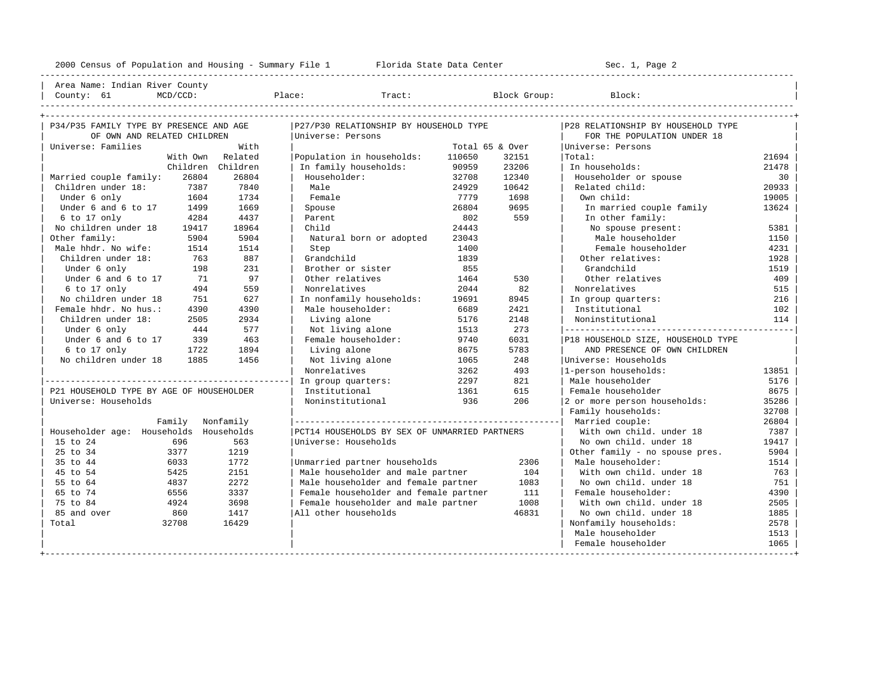----------------------------------------------------------------------------------------------------------------------------------------------------

| Area Name: Indian River County | | County: 61 MCD/CCD: Place: Tract: Block Group: Block: |

| P34/P35 FAMILY TYPE BY PRESENCE AND AGE  |                  | P27/P30 RELATIONSHIP BY HOUSEHOLD TYPE |                                               |                 | P28 RELATIONSHIP BY HOUSEHOLD TYPE |                                    |       |  |
|------------------------------------------|------------------|----------------------------------------|-----------------------------------------------|-----------------|------------------------------------|------------------------------------|-------|--|
| OF OWN AND RELATED CHILDREN              |                  |                                        | Universe: Persons                             |                 |                                    | FOR THE POPULATION UNDER 18        |       |  |
| Universe: Families                       |                  | With                                   |                                               | Total 65 & Over |                                    | Universe: Persons                  |       |  |
|                                          | With Own         | Related                                | Population in households:                     | 110650          | 32151                              | Total:                             | 21694 |  |
|                                          | Children         | Children                               | In family households:                         | 90959           | 23206                              | In households:                     | 21478 |  |
| Married couple family:                   | 26804            | 26804                                  | Householder:                                  | 32708           | 12340                              | Householder or spouse              | 30    |  |
| Children under 18:                       | 7387             | 7840                                   | Male                                          | 24929           | 10642                              | Related child:                     | 20933 |  |
| Under 6 only                             | 1604             | 1734                                   | Female                                        | 7779            | 1698                               | Own child:                         | 19005 |  |
| Under 6 and 6 to 17                      | 1499             | 1669                                   | Spouse                                        | 26804           | 9695                               | In married couple family           | 13624 |  |
| 6 to 17 only                             | 4284             | 4437                                   | Parent                                        | 802             | 559                                | In other family:                   |       |  |
| No children under 18                     | 19417            | 18964                                  | Child                                         | 24443           |                                    | No spouse present:                 | 5381  |  |
| Other family:                            | 5904             | 5904                                   | Natural born or adopted                       | 23043           |                                    | Male householder                   | 1150  |  |
| Male hhdr. No wife:                      | 1514             | 1514                                   | Step                                          | 1400            |                                    | Female householder                 | 4231  |  |
| Children under 18:                       | 763              | 887                                    | Grandchild                                    | 1839            |                                    | Other relatives:                   | 1928  |  |
| Under 6 only                             | 198              | 231                                    | Brother or sister                             | 855             |                                    | Grandchild                         | 1519  |  |
| Under 6 and 6 to 17                      | 71               | 97                                     | Other relatives                               | 1464            | 530                                | Other relatives                    | 409   |  |
| 6 to 17 only                             | 494              | 559                                    | Nonrelatives                                  | 2044            | 82                                 | Nonrelatives                       | 515   |  |
| No children under 18                     | 751              | 627                                    | In nonfamily households:                      | 19691           | 8945                               | In group quarters:                 | 216   |  |
| Female hhdr. No hus.:                    | 4390             | 4390                                   | Male householder:                             | 6689            | 2421                               | Institutional                      | 102   |  |
| Children under 18:                       | 2505             | 2934                                   | Living alone                                  | 5176            | 2148                               | Noninstitutional                   | 114   |  |
| Under 6 only                             | 444              | 577                                    | Not living alone                              | 1513            | 273                                |                                    |       |  |
| Under 6 and 6 to 17                      | 339              | 463                                    | Female householder:                           | 9740            | 6031                               | P18 HOUSEHOLD SIZE, HOUSEHOLD TYPE |       |  |
| 6 to 17 only                             | 1722             | 1894                                   | Living alone                                  | 8675            | 5783                               | AND PRESENCE OF OWN CHILDREN       |       |  |
| No children under 18                     | 1885             | 1456                                   | Not living alone                              | 1065            | 248                                | Universe: Households               |       |  |
|                                          |                  |                                        | Nonrelatives                                  | 3262            | 493                                | 1-person households:               | 13851 |  |
|                                          |                  |                                        | In group quarters:                            | 2297            | 821                                | Male householder                   | 5176  |  |
| P21 HOUSEHOLD TYPE BY AGE OF HOUSEHOLDER |                  |                                        | Institutional                                 | 1361            | 615                                | Female householder                 | 8675  |  |
| Universe: Households                     |                  |                                        | Noninstitutional                              | 936             | 206                                | 2 or more person households:       | 35286 |  |
|                                          |                  |                                        |                                               |                 |                                    | Family households:                 | 32708 |  |
|                                          | Family Nonfamily |                                        |                                               |                 |                                    | Married couple:                    | 26804 |  |
| Householder age: Households Households   |                  |                                        | PCT14 HOUSEHOLDS BY SEX OF UNMARRIED PARTNERS |                 |                                    | With own child, under 18           | 7387  |  |
| 15 to 24                                 | 696              | 563                                    | Universe: Households                          |                 |                                    | No own child, under 18             | 19417 |  |
| 25 to 34                                 | 3377             | 1219                                   |                                               |                 |                                    | Other family - no spouse pres.     | 5904  |  |
| 35 to 44                                 | 6033             | 1772                                   | Unmarried partner households                  |                 | 2306                               | Male householder:                  | 1514  |  |
| 45 to 54                                 | 5425             | 2151                                   | Male householder and male partner             |                 | 104                                | With own child, under 18           | 763   |  |
| 55 to 64                                 | 4837             | 2272                                   | Male householder and female partner           |                 | 1083                               | No own child, under 18             | 751   |  |
| 65 to 74                                 | 6556             | 3337                                   | Female householder and female partner         |                 | 111                                | Female householder:                | 4390  |  |
| 75 to 84                                 | 4924             | 3698                                   | Female householder and male partner           |                 | 1008                               | With own child, under 18           | 2505  |  |
| 85 and over                              | 860              | 1417                                   | All other households                          |                 | 46831                              | No own child, under 18             | 1885  |  |
| Total                                    | 32708            | 16429                                  |                                               |                 |                                    | Nonfamily households:              | 2578  |  |
|                                          |                  |                                        |                                               |                 |                                    | Male householder                   | 1513  |  |
|                                          |                  |                                        |                                               |                 |                                    | Female householder                 | 1065  |  |
|                                          |                  |                                        |                                               |                 |                                    |                                    |       |  |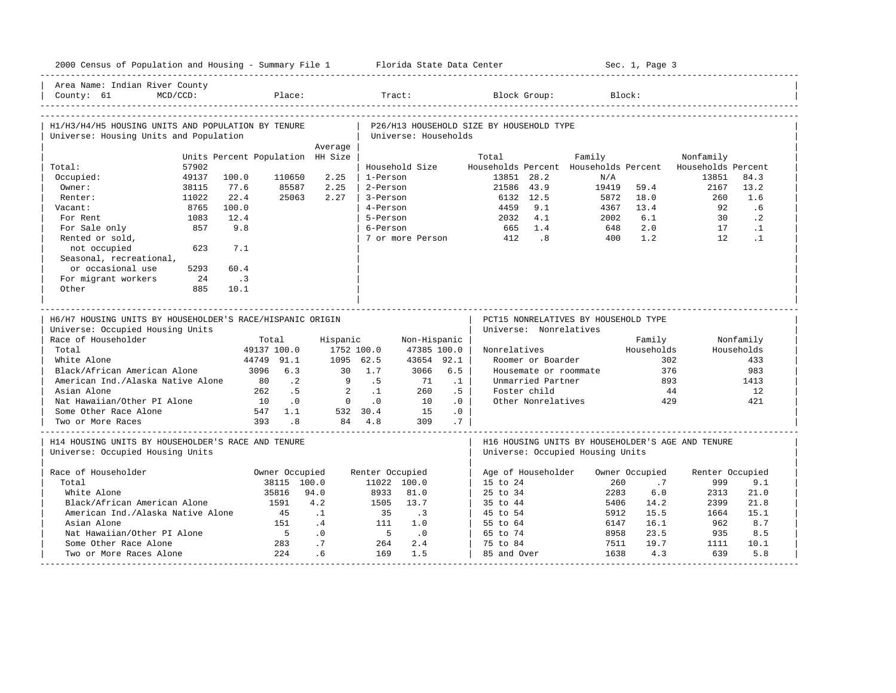| Area Name: Indian River County<br>MCD/CCD:<br>County: 61<br>H1/H3/H4/H5 HOUSING UNITS AND POPULATION BY TENURE                                                                                                                                   | Place:                                                                                                                                                   |                                                                                                   |                      |                                                                                             |                                                      |                                          |                                                                              |                                  |                             |                                                          |                                                            |
|--------------------------------------------------------------------------------------------------------------------------------------------------------------------------------------------------------------------------------------------------|----------------------------------------------------------------------------------------------------------------------------------------------------------|---------------------------------------------------------------------------------------------------|----------------------|---------------------------------------------------------------------------------------------|------------------------------------------------------|------------------------------------------|------------------------------------------------------------------------------|----------------------------------|-----------------------------|----------------------------------------------------------|------------------------------------------------------------|
|                                                                                                                                                                                                                                                  |                                                                                                                                                          |                                                                                                   |                      | Tract:                                                                                      |                                                      |                                          | Block Group:                                                                 |                                  | Block:                      |                                                          |                                                            |
|                                                                                                                                                                                                                                                  |                                                                                                                                                          |                                                                                                   |                      |                                                                                             |                                                      |                                          |                                                                              |                                  |                             |                                                          |                                                            |
| Universe: Housing Units and Population                                                                                                                                                                                                           |                                                                                                                                                          |                                                                                                   |                      | Universe: Households                                                                        |                                                      | P26/H13 HOUSEHOLD SIZE BY HOUSEHOLD TYPE |                                                                              |                                  |                             |                                                          |                                                            |
|                                                                                                                                                                                                                                                  |                                                                                                                                                          | Average                                                                                           |                      |                                                                                             |                                                      |                                          |                                                                              |                                  |                             |                                                          |                                                            |
|                                                                                                                                                                                                                                                  | Units Percent Population HH Size                                                                                                                         |                                                                                                   |                      |                                                                                             |                                                      | Total                                    |                                                                              | Family                           |                             | Nonfamily                                                |                                                            |
| 57902<br>Total:                                                                                                                                                                                                                                  |                                                                                                                                                          |                                                                                                   |                      | Household Size                                                                              |                                                      |                                          |                                                                              |                                  |                             | Households Percent Households Percent Households Percent |                                                            |
| 49137<br>Occupied:                                                                                                                                                                                                                               | 100.0<br>110650                                                                                                                                          | 2.25                                                                                              | 1-Person             |                                                                                             |                                                      | 13851 28.2                               |                                                                              | N/A                              |                             | 13851                                                    | 84.3                                                       |
| Owner:<br>38115                                                                                                                                                                                                                                  | 77.6<br>85587                                                                                                                                            | 2.25                                                                                              | 2-Person             |                                                                                             |                                                      | 21586 43.9                               |                                                                              | 19419                            | 59.4                        | 2167                                                     | 13.2                                                       |
| 11022<br>Renter:                                                                                                                                                                                                                                 | 22.4<br>25063                                                                                                                                            | 2.27                                                                                              | 3-Person             |                                                                                             |                                                      |                                          | 6132 12.5                                                                    | 5872                             | 18.0                        | 260                                                      | 1.6                                                        |
| Vacant:<br>8765                                                                                                                                                                                                                                  | 100.0                                                                                                                                                    |                                                                                                   | 4-Person             |                                                                                             |                                                      | 4459                                     | 9.1                                                                          | 4367                             | 13.4                        | 92                                                       | .6                                                         |
| 1083<br>For Rent                                                                                                                                                                                                                                 | 12.4                                                                                                                                                     |                                                                                                   | 5-Person             |                                                                                             |                                                      |                                          | 2032 4.1                                                                     | 2002                             | 6.1                         | 30                                                       | $\cdot$ 2                                                  |
| For Sale only<br>857                                                                                                                                                                                                                             | 9.8                                                                                                                                                      |                                                                                                   | 6-Person             |                                                                                             |                                                      | 665 1.4                                  |                                                                              | 648                              | 2.0                         | 17                                                       | $\cdot$ 1                                                  |
| Rented or sold,                                                                                                                                                                                                                                  |                                                                                                                                                          |                                                                                                   |                      |                                                                                             |                                                      | 7 or more Person 412 .8                  |                                                                              | 400                              | 1.2                         | 12                                                       | $\cdot$ 1                                                  |
| not occupied<br>623                                                                                                                                                                                                                              | 7.1                                                                                                                                                      |                                                                                                   |                      |                                                                                             |                                                      |                                          |                                                                              |                                  |                             |                                                          |                                                            |
| Seasonal, recreational,                                                                                                                                                                                                                          |                                                                                                                                                          |                                                                                                   |                      |                                                                                             |                                                      |                                          |                                                                              |                                  |                             |                                                          |                                                            |
| or occasional use<br>5293                                                                                                                                                                                                                        | 60.4                                                                                                                                                     |                                                                                                   |                      |                                                                                             |                                                      |                                          |                                                                              |                                  |                             |                                                          |                                                            |
| For migrant workers<br>24                                                                                                                                                                                                                        | $\overline{\phantom{a}}$                                                                                                                                 |                                                                                                   |                      |                                                                                             |                                                      |                                          |                                                                              |                                  |                             |                                                          |                                                            |
| Other<br>885                                                                                                                                                                                                                                     | 10.1                                                                                                                                                     |                                                                                                   |                      |                                                                                             |                                                      |                                          |                                                                              |                                  |                             |                                                          |                                                            |
| Universe: Occupied Housing Units<br>Race of Householder<br>Total<br>White Alone<br>Black/African American Alone<br>American Ind./Alaska Native Alone<br>Asian Alone<br>Nat Hawaiian/Other PI Alone<br>Some Other Race Alone<br>Two or More Races | Total<br>49137 100.0<br>44749 91.1<br>3096 6.3<br>80.2<br>262<br>.5<br>10<br>$\overline{\phantom{0}}$ .<br>547 1.1<br>393<br>$\overline{\phantom{0}}$ .8 | 1752 100.0<br>1095 62.5<br>30 1.7<br>9.5<br>$\overline{2}$<br>$0 \qquad .0$<br>532 30.4<br>84 4.8 | Hispanic<br>$\ldots$ | Non-Hispanic  <br>47385 100.0  <br>43654 92.1<br>$3066$ 6.5<br>71<br>260<br>10<br>15<br>309 | .1<br>.5 <sup>1</sup><br>.0 <sub>1</sub><br>.0<br>.7 | Universe: Nonrelatives<br>Nonrelatives   | Roomer or Boarder<br>Unmarried Partner<br>Foster child<br>Other Nonrelatives | Housemate or roommate            | Family<br>Households<br>376 | 302<br>893<br>44<br>429                                  | Nonfamily<br>Households<br>433<br>983<br>1413<br>12<br>421 |
| H14 HOUSING UNITS BY HOUSEHOLDER'S RACE AND TENURE<br>Universe: Occupied Housing Units                                                                                                                                                           |                                                                                                                                                          |                                                                                                   |                      |                                                                                             |                                                      |                                          |                                                                              | Universe: Occupied Housing Units |                             | H16 HOUSING UNITS BY HOUSEHOLDER'S AGE AND TENURE        |                                                            |
| Race of Householder                                                                                                                                                                                                                              | Owner Occupied                                                                                                                                           |                                                                                                   | Renter Occupied      |                                                                                             |                                                      | Age of Householder                       |                                                                              |                                  | Owner Occupied              | Renter Occupied                                          |                                                            |
| Total                                                                                                                                                                                                                                            | 38115 100.0                                                                                                                                              |                                                                                                   |                      | 11022 100.0                                                                                 |                                                      | 15 to 24                                 |                                                                              | 260                              | .7                          | 999                                                      | 9.1                                                        |
| White Alone                                                                                                                                                                                                                                      | 35816                                                                                                                                                    | 94.0                                                                                              | 8933                 | 81.0                                                                                        |                                                      | 25 to 34                                 |                                                                              | 2283                             | 6.0                         | 2313                                                     | 21.0                                                       |
| Black/African American Alone                                                                                                                                                                                                                     | 1591                                                                                                                                                     | 4.2                                                                                               | 1505                 | 13.7                                                                                        |                                                      | 35 to 44                                 |                                                                              | 5406                             | 14.2                        | 2399                                                     | 21.8                                                       |
| American Ind./Alaska Native Alone                                                                                                                                                                                                                | 45                                                                                                                                                       | $\cdot$ 1                                                                                         | 35                   | $\cdot$ 3                                                                                   |                                                      | 45 to 54                                 |                                                                              | 5912                             | 15.5                        | 1664                                                     | 15.1                                                       |
| Asian Alone                                                                                                                                                                                                                                      | 151                                                                                                                                                      | $\cdot$ 4                                                                                         | 111                  | 1.0                                                                                         |                                                      | 55 to 64                                 |                                                                              | 6147                             | 16.1                        | 962                                                      | 8.7                                                        |
|                                                                                                                                                                                                                                                  |                                                                                                                                                          | $\cdot$ 0                                                                                         | $5^{\circ}$          | $\cdot$ 0                                                                                   |                                                      | 65 to 74                                 |                                                                              | 8958                             | 23.5                        | 935                                                      | 8.5                                                        |
|                                                                                                                                                                                                                                                  |                                                                                                                                                          |                                                                                                   |                      |                                                                                             |                                                      |                                          |                                                                              |                                  |                             |                                                          |                                                            |
| Nat Hawaiian/Other PI Alone<br>Some Other Race Alone                                                                                                                                                                                             | $5^{\circ}$<br>283                                                                                                                                       | .7                                                                                                | 264                  | 2.4                                                                                         |                                                      | 75 to 84                                 |                                                                              | 7511                             | 19.7                        | 1111                                                     | 10.1                                                       |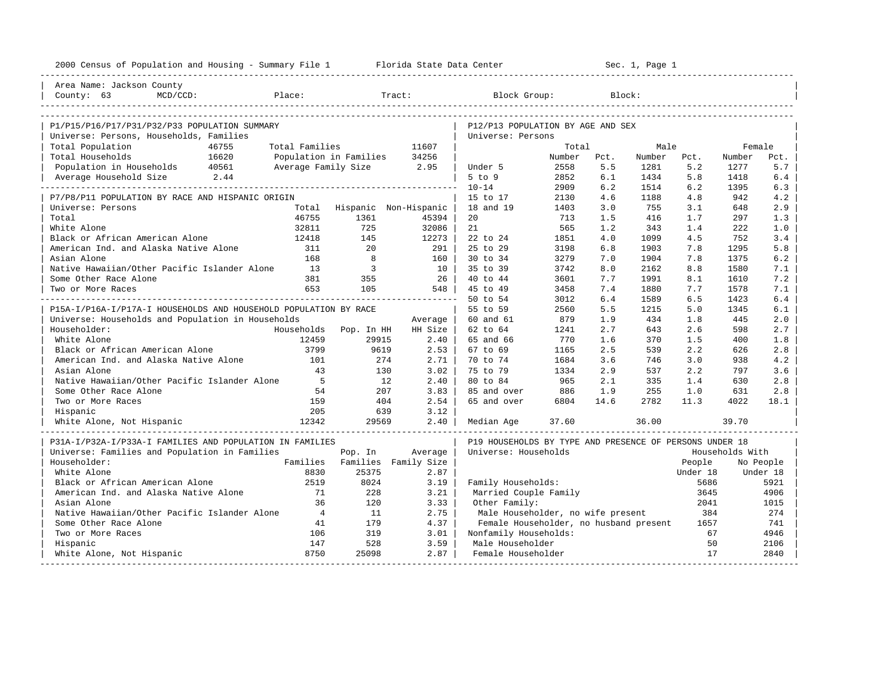| 2000 Census of Population and Housing - Summary File 1 Florida State Data Center |                          |                |                             |                                                         |        | Sec. 1, Page 1 |        |          |                 |           |
|----------------------------------------------------------------------------------|--------------------------|----------------|-----------------------------|---------------------------------------------------------|--------|----------------|--------|----------|-----------------|-----------|
| Area Name: Jackson County                                                        |                          |                |                             |                                                         |        |                |        |          |                 |           |
| County: 63<br>MCD/CCD:<br>Place:                                                 |                          |                | Tract:                      | Block Group:                                            |        |                | Block: |          |                 |           |
|                                                                                  |                          |                |                             |                                                         |        |                |        |          |                 |           |
| P1/P15/P16/P17/P31/P32/P33 POPULATION SUMMARY                                    |                          |                |                             | P12/P13 POPULATION BY AGE AND SEX                       |        |                |        |          |                 |           |
| Universe: Persons, Households, Families                                          |                          |                |                             | Universe: Persons                                       |        |                |        |          |                 |           |
| Total Population<br>46755                                                        | Total Families           |                | 11607                       |                                                         | Total  |                | Male   |          | Female          |           |
| Total Households<br>16620                                                        | Population in Families   |                | 34256                       |                                                         | Number | Pct.           | Number | Pct.     | Number          | Pct.      |
| Population in Households 40561                                                   | Average Family Size 2.95 |                |                             | Under 5                                                 | 2558   | 5.5            | 1281   | 5.2      | 1277            | 5.7       |
| Average Household Size 2.44                                                      |                          |                |                             | 5 to 9                                                  | 2852   | 6.1            | 1434   | 5.8      | 1418            | 6.4       |
|                                                                                  |                          |                |                             | $10 - 14$                                               | 2909   | 6.2            | 1514   | 6.2      | 1395            | 6.3       |
| P7/P8/P11 POPULATION BY RACE AND HISPANIC ORIGIN                                 |                          |                |                             | 15 to 17                                                | 2130   | 4.6            | 1188   | 4.8      | 942             | 4.2       |
| Universe: Persons                                                                |                          |                | Total Hispanic Non-Hispanic | 18 and 19                                               | 1403   | 3.0            | 755    | 3.1      | 648             | 2.9       |
| Total                                                                            | 46755                    | 1361           | 45394                       | 20                                                      | 713    | 1.5            | 416    | 1.7      | 297             | 1.3       |
| White Alone                                                                      | 32811                    | 725            | 32086                       | 21                                                      | 565    | 1.2            | 343    | 1.4      | 222             | 1.0       |
| Black or African American Alone                                                  | 12418                    | 145            | 12273                       | 22 to 24                                                | 1851   | 4.0            | 1099   | 4.5      | 752             | 3.4       |
| American Ind. and Alaska Native Alone                                            | 311                      | 20             | 291                         | 25 to 29                                                | 3198   | 6.8            | 1903   | 7.8      | 1295            | $5.8$     |
| Asian Alone                                                                      | 168                      | $\overline{8}$ | 160                         | 30 to 34                                                | 3279   | 7.0            | 1904   | 7.8      | 1375            | 6.2       |
| Native Hawaiian/Other Pacific Islander Alone                                     | 13                       | $\overline{3}$ | 10                          | 35 to 39                                                | 3742   | 8.0            | 2162   | 8.8      | 1580            | 7.1       |
| Some Other Race Alone                                                            | 381                      | 355            | 26                          | 40 to 44                                                | 3601   | 7.7            | 1991   | 8.1      | 1610            | 7.2       |
| Two or More Races                                                                | 653                      | 105            | 548                         | 45 to 49                                                | 3458   | 7.4            | 1880   | 7.7      | 1578            | 7.1       |
|                                                                                  |                          |                |                             | 50 to 54                                                | 3012   | 6.4            | 1589   | 6.5      | 1423            | 6.4       |
| P15A-I/P16A-I/P17A-I HOUSEHOLDS AND HOUSEHOLD POPULATION BY RACE                 |                          |                |                             | 55 to 59                                                | 2560   | 5.5            | 1215   | 5.0      | 1345            | 6.1       |
| Universe: Households and Population in Households                                |                          |                | Average                     | 60 and 61                                               | 879    | 1.9            | 434    | 1.8      | 445             | 2.0       |
| Householder:                                                                     | Households               | Pop. In HH     | HH Size                     | 62 to 64                                                | 1241   | 2.7            | 643    | 2.6      | 598             | 2.7       |
| White Alone                                                                      | 12459                    | 29915          | 2.40                        | 65 and 66                                               | 770    | 1.6            | 370    | 1.5      | 400             | 1.8       |
| Black or African American Alone                                                  | 3799                     | 9619           | 2.53                        | 67 to 69                                                | 1165   | 2.5            | 539    | 2.2      | 626             | 2.8       |
| American Ind. and Alaska Native Alone                                            | 101                      | 274            | 2.71                        | 70 to 74                                                | 1684   | 3.6            | 746    | 3.0      | 938             | 4.2       |
| Asian Alone                                                                      | 43                       | 130            | 3.02                        | 75 to 79                                                | 1334   | 2.9            | 537    | 2.2      | 797             | 3.6       |
| Native Hawaiian/Other Pacific Islander Alone                                     | $5^{\circ}$              | 12             | 2.40                        | 80 to 84                                                | 965    | 2.1            | 335    | 1.4      | 630             | 2.8       |
| Some Other Race Alone                                                            | 54                       | 207            | 3.83                        | 85 and over                                             | 886    | 1.9            | 255    | 1.0      | 631             | 2.8       |
| Two or More Races                                                                | 159                      | 404            | 2.54                        | 65 and over                                             | 6804   | 14.6           | 2782   | 11.3     | 4022            | 18.1      |
| Hispanic                                                                         | 205<br>12342             | 639            | 3.12                        |                                                         |        |                |        |          |                 |           |
| White Alone, Not Hispanic                                                        |                          | 29569          | 2.40                        | Median Age                                              | 37.60  |                | 36.00  |          | 39.70           |           |
| P31A-I/P32A-I/P33A-I FAMILIES AND POPULATION IN FAMILIES                         |                          |                |                             | P19 HOUSEHOLDS BY TYPE AND PRESENCE OF PERSONS UNDER 18 |        |                |        |          |                 |           |
| Universe: Families and Population in Families                                    |                          | Pop. In        | Average                     | Universe: Households                                    |        |                |        |          | Households With |           |
| Householder:                                                                     | Families                 |                | Families Family Size        |                                                         |        |                |        | People   |                 | No People |
| White Alone                                                                      | 8830                     | 25375          | 2.87                        |                                                         |        |                |        | Under 18 |                 | Under 18  |
| Black or African American Alone                                                  | 2519                     | 8024           | 3.19                        | Family Households:                                      |        |                |        | 5686     |                 | 5921      |
| American Ind. and Alaska Native Alone                                            | 71                       | 228            | 3.21                        | Married Couple Family                                   |        |                |        | 3645     |                 | 4906      |
| Asian Alone                                                                      | 36                       | 120            | 3.33                        | Other Family:                                           |        |                |        | 2041     |                 | 1015      |
| Native Hawaiian/Other Pacific Islander Alone                                     | $\overline{4}$           | 11             | 2.75                        | Male Householder, no wife present                       |        |                |        | 384      |                 | 274       |
| Some Other Race Alone                                                            | 41                       | 179            | 4.37                        | Female Householder, no husband present                  |        |                |        | 1657     |                 | 741       |
| Two or More Races                                                                | 106                      | 319            | 3.01                        | Nonfamily Households:                                   |        |                |        | 67       |                 | 4946      |
| Hispanic                                                                         | 147                      | 528            | 3.59                        | Male Householder                                        |        |                |        | 50       |                 | 2106      |
| White Alone, Not Hispanic<br>-----------------------                             | 8750                     | 25098          | 2.87                        | Female Householder                                      |        |                |        | 17       |                 | 2840      |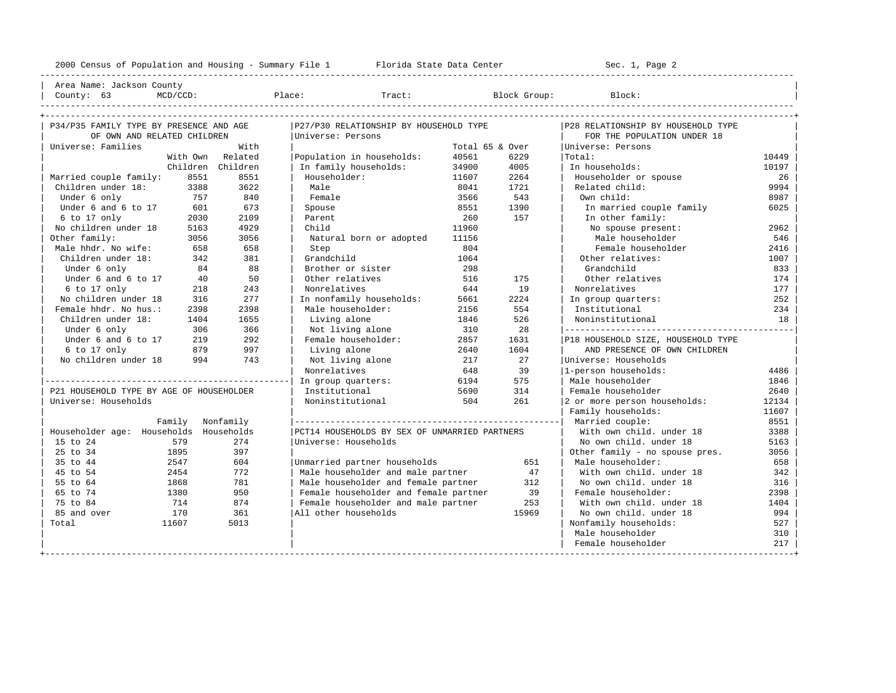| Area Name: Jackson County | | County: 63 MCD/CCD: Place: Tract: Block Group: Block: |

----------------------------------------------------------------------------------------------------------------------------------------------------

| P34/P35 FAMILY TYPE BY PRESENCE AND AGE  |      | P27/P30 RELATIONSHIP BY HOUSEHOLD TYPE |                                               |                 | P28 RELATIONSHIP BY HOUSEHOLD TYPE |                                    |       |
|------------------------------------------|------|----------------------------------------|-----------------------------------------------|-----------------|------------------------------------|------------------------------------|-------|
| OF OWN AND RELATED CHILDREN              |      |                                        | Universe: Persons                             |                 |                                    | FOR THE POPULATION UNDER 18        |       |
| Universe: Families                       |      | With                                   |                                               | Total 65 & Over |                                    | Universe: Persons                  |       |
|                                          |      | With Own Related                       | Population in households:                     | 40561           | 6229                               | Total:                             | 10449 |
|                                          |      | Children Children                      | In family households:                         | 34900           | 4005                               | In households:                     | 10197 |
| Married couple family:                   | 8551 | 8551                                   | Householder:                                  | 11607           | 2264                               | Householder or spouse              | 26    |
| Children under 18:                       | 3388 | 3622                                   | Male                                          | 8041            | 1721                               | Related child:                     | 9994  |
| Under 6 only<br>757                      |      | 840                                    | Female                                        | 3566            | 543                                | Own child:                         | 8987  |
| Under 6 and 6 to 17                      | 601  | 673                                    | Spouse                                        | 8551            | 1390                               | In married couple family           | 6025  |
| 6 to 17 only                             | 2030 | 2109                                   | Parent                                        | 260             | 157                                | In other family:                   |       |
| No children under 18                     | 5163 | 4929                                   | Child                                         | 11960           |                                    | No spouse present:                 | 2962  |
| Other family:                            | 3056 | 3056                                   | Natural born or adopted                       | 11156           |                                    | Male householder                   | 546   |
| Male hhdr. No wife:                      | 658  | 658                                    | Step                                          | 804             |                                    | Female householder                 | 2416  |
| Children under 18:                       | 342  | 381                                    | Grandchild                                    | 1064            |                                    | Other relatives:                   | 1007  |
| Under 6 only                             | 84   | 88                                     | Brother or sister                             | 298             |                                    | Grandchild                         | 833   |
| Under 6 and 6 to 17                      | 40   | 50                                     | Other relatives                               | 516             | 175                                | Other relatives                    | 174   |
| 6 to 17 only                             | 218  | 243                                    | Nonrelatives                                  | 644             | 19                                 | Nonrelatives                       | 177   |
| No children under 18                     | 316  | 277                                    | In nonfamily households:                      | 5661            | 2224                               | In group quarters:                 | 252   |
| Female hhdr. No hus.:                    | 2398 | 2398                                   | Male householder:                             | 2156            | 554                                | Institutional                      | 234   |
| Children under 18:                       | 1404 | 1655                                   | Living alone                                  | 1846            | 526                                | Noninstitutional                   | 18    |
| Under 6 only                             | 306  | 366                                    | Not living alone                              | 310             | 28                                 |                                    |       |
| Under 6 and 6 to 17                      | 219  | 292                                    | Female householder:                           | 2857            | 1631                               | P18 HOUSEHOLD SIZE, HOUSEHOLD TYPE |       |
| 6 to 17 only                             | 879  | 997                                    | Living alone                                  | 2640            | 1604                               | AND PRESENCE OF OWN CHILDREN       |       |
| No children under 18                     | 994  | 743                                    | Not living alone                              | 217             | 2.7                                | Universe: Households               |       |
|                                          |      |                                        | Nonrelatives                                  | 648             | 39                                 | 1-person households:               | 4486  |
|                                          |      |                                        | In group quarters:                            | 6194            | 575                                | Male householder                   | 1846  |
| P21 HOUSEHOLD TYPE BY AGE OF HOUSEHOLDER |      |                                        | Institutional                                 | 5690            | 314                                | Female householder                 | 2640  |
| Universe: Households                     |      |                                        | Noninstitutional                              | 504             | 261                                | 2 or more person households:       | 12134 |
|                                          |      |                                        |                                               |                 |                                    | Family households:                 | 11607 |
|                                          |      | Family Nonfamily                       |                                               |                 |                                    |                                    | 8551  |
| Householder age: Households Households   |      |                                        | PCT14 HOUSEHOLDS BY SEX OF UNMARRIED PARTNERS |                 |                                    | With own child. under 18           | 3388  |
| 15 to 24                                 | 579  | 274                                    | Universe: Households                          |                 |                                    | No own child, under 18             | 5163  |
| 25 to 34<br>1895                         |      | 397                                    |                                               |                 |                                    | Other family - no spouse pres.     | 3056  |
| 35 to 44<br>2547                         |      | 604                                    | Unmarried partner households                  |                 | 651                                | Male householder:                  | 658   |
| 2454<br>45 to 54                         |      | 772                                    | Male householder and male partner             |                 | 47                                 | With own child, under 18           | 342   |
| 55 to 64<br>1868                         |      | 781                                    | Male householder and female partner           |                 | 312                                | No own child, under 18             | 316   |
| 65 to 74<br>1380                         |      | 950                                    | Female householder and female partner         |                 | 39                                 | Female householder:                | 2398  |
| 75 to 84<br>714                          |      | 874                                    | Female householder and male partner           |                 | 253                                | With own child, under 18           | 1404  |
| 85 and over<br>170                       |      | 361                                    | All other households                          |                 | 15969                              | No own child, under 18             | 994   |
| 11607<br>Total                           |      | 5013                                   |                                               |                 |                                    | Nonfamily households:              | 527   |
|                                          |      |                                        |                                               |                 |                                    | Male householder                   | 310   |
|                                          |      |                                        |                                               |                 |                                    | Female householder                 | 217   |
|                                          |      |                                        |                                               |                 |                                    |                                    |       |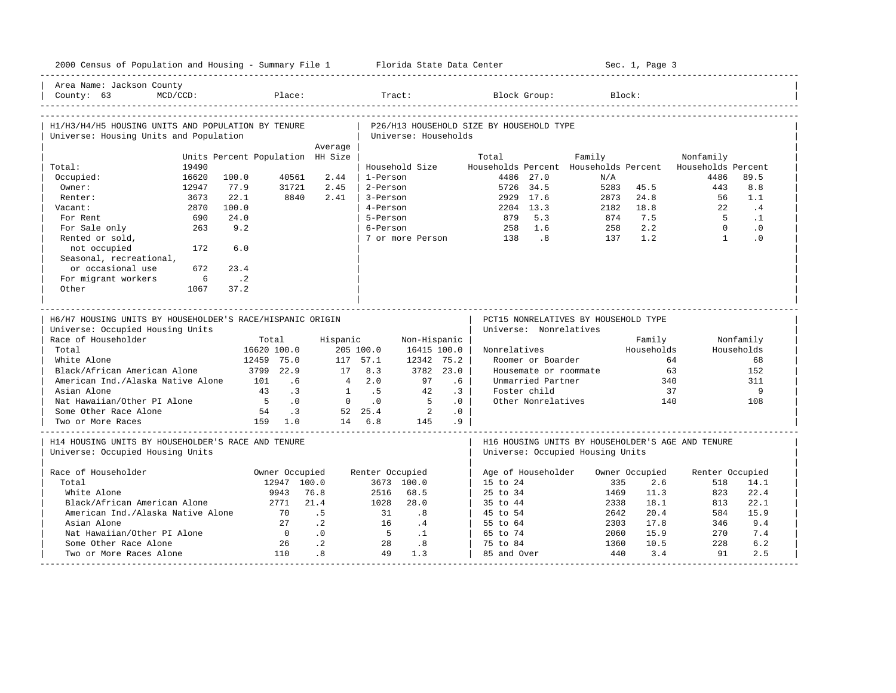|                                                                                              |                | 2000 Census of Population and Housing - Summary File 1 Florida State Data Center |                               |                |                           |                          | Sec. 1, Page 3         |                                          |                                    |                                      |                |                                                                  |            |
|----------------------------------------------------------------------------------------------|----------------|----------------------------------------------------------------------------------|-------------------------------|----------------|---------------------------|--------------------------|------------------------|------------------------------------------|------------------------------------|--------------------------------------|----------------|------------------------------------------------------------------|------------|
| Area Name: Jackson County<br>County: $63$                                                    | MCD/CCD:       |                                                                                  | Place:                        |                |                           | Tract:                   |                        |                                          | Block Group:                       |                                      | Block:         |                                                                  |            |
| H1/H3/H4/H5 HOUSING UNITS AND POPULATION BY TENURE<br>Universe: Housing Units and Population |                |                                                                                  |                               |                |                           | Universe: Households     |                        | P26/H13 HOUSEHOLD SIZE BY HOUSEHOLD TYPE |                                    |                                      |                |                                                                  |            |
|                                                                                              |                |                                                                                  |                               | Average        |                           |                          |                        |                                          |                                    |                                      |                |                                                                  |            |
|                                                                                              |                | Units Percent Population HH Size                                                 |                               |                |                           |                          |                        | Total                                    |                                    | Family                               |                | Nonfamily                                                        |            |
| Total:<br>Occupied:                                                                          | 19490<br>16620 | 100.0                                                                            | 40561                         | 2.44           | 1-Person                  | Household Size           |                        |                                          | 4486 27.0                          | N/A                                  |                | Households Percent Households Percent Households Percent<br>4486 | 89.5       |
| Owner:                                                                                       | 12947          | 77.9                                                                             | 31721                         | 2.45           | 2-Person                  |                          |                        |                                          | 5726 34.5                          | 5283                                 | 45.5           | 443                                                              | 8.8        |
| Renter:                                                                                      | 3673           | 22.1                                                                             | 8840                          | 2.41           | 3-Person                  |                          |                        |                                          | 2929 17.6                          | 2873                                 | 24.8           | 56                                                               | 1.1        |
| Vacant:                                                                                      | 2870           | 100.0                                                                            |                               |                | 4-Person                  |                          |                        |                                          | 2204 13.3                          | 2182                                 | 18.8           | 22                                                               | .4         |
| For Rent                                                                                     | 690            | 24.0                                                                             |                               |                | 5-Person                  |                          |                        | 879                                      | 5.3                                | 874                                  | 7.5            | 5 <sub>1</sub>                                                   | $\cdot$ 1  |
| For Sale only                                                                                | 263            | 9.2                                                                              |                               |                | 6-Person                  |                          |                        | 258                                      | 1.6                                | 258                                  | 2.2            | $\Omega$                                                         | $\cdot$ 0  |
| Rented or sold,                                                                              |                |                                                                                  |                               |                |                           | 7 or more Person         |                        | 138                                      | $\overline{\phantom{0}}$           | 137                                  | 1.2            | $\overline{1}$                                                   | .0         |
| not occupied<br>Seasonal, recreational,                                                      | 172            | 6.0                                                                              |                               |                |                           |                          |                        |                                          |                                    |                                      |                |                                                                  |            |
| or occasional use                                                                            | 672            | 23.4                                                                             |                               |                |                           |                          |                        |                                          |                                    |                                      |                |                                                                  |            |
| For migrant workers                                                                          | 6              | $\cdot$ . 2                                                                      |                               |                |                           |                          |                        |                                          |                                    |                                      |                |                                                                  |            |
| Other                                                                                        | 1067           | 37.2                                                                             |                               |                |                           |                          |                        |                                          |                                    |                                      |                |                                                                  |            |
| H6/H7 HOUSING UNITS BY HOUSEHOLDER'S RACE/HISPANIC ORIGIN                                    |                |                                                                                  |                               |                |                           |                          |                        |                                          |                                    |                                      |                |                                                                  |            |
| Universe: Occupied Housing Units                                                             |                |                                                                                  |                               |                |                           |                          |                        |                                          | Universe: Nonrelatives             | PCT15 NONRELATIVES BY HOUSEHOLD TYPE |                |                                                                  |            |
| Race of Householder                                                                          |                |                                                                                  | Total                         | Hispanic       |                           | Non-Hispanic             |                        |                                          |                                    |                                      | Family         |                                                                  | Nonfamily  |
| Total                                                                                        |                |                                                                                  | 16620 100.0                   |                | 205 100.0                 | 16415 100.0              |                        | Nonrelatives                             |                                    |                                      | Households     |                                                                  | Households |
| White Alone                                                                                  |                |                                                                                  | 12459 75.0                    |                | 117 57.1                  | 12342 75.2               |                        |                                          | Roomer or Boarder                  |                                      |                | 64                                                               | 68         |
| Black/African American Alone                                                                 |                | 3799 22.9                                                                        |                               | 17             | 8.3                       |                          | 3782 23.0              |                                          |                                    | Housemate or roommate                | 63             |                                                                  | 152        |
| American Ind./Alaska Native Alone                                                            |                | 101                                                                              | .6                            | $\overline{4}$ | 2.0                       | 97                       | $.6\,$                 |                                          | Unmarried Partner                  |                                      | 340            |                                                                  | 311        |
| Asian Alone                                                                                  |                | 43<br>$5^{\circ}$                                                                | $\cdot$ 3<br>$\overline{0}$ . | $\mathbf{0}$   | $1 \quad .5$<br>$\cdot$ 0 | 42<br>$5^{\circ}$        | $\cdot$ 3<br>$\cdot$ 0 |                                          | Foster child<br>Other Nonrelatives |                                      | 37<br>140      |                                                                  | 9<br>108   |
| Nat Hawaiian/Other PI Alone<br>Some Other Race Alone                                         |                | 54                                                                               | $\overline{\phantom{a}}$      |                | 52 25.4                   | $\overline{\phantom{a}}$ | .0                     |                                          |                                    |                                      |                |                                                                  |            |
| Two or More Races                                                                            |                |                                                                                  | 159 1.0                       |                | 14 6.8                    | 145                      | .9                     |                                          |                                    |                                      |                |                                                                  |            |
| H14 HOUSING UNITS BY HOUSEHOLDER'S RACE AND TENURE<br>Universe: Occupied Housing Units       |                |                                                                                  |                               |                |                           |                          |                        |                                          |                                    | Universe: Occupied Housing Units     |                | H16 HOUSING UNITS BY HOUSEHOLDER'S AGE AND TENURE                |            |
| Race of Householder                                                                          |                |                                                                                  | Owner Occupied                |                | Renter Occupied           |                          |                        |                                          |                                    |                                      | Owner Occupied | Renter Occupied                                                  |            |
| Total                                                                                        |                |                                                                                  | 12947 100.0                   |                |                           | 3673 100.0               |                        | $15$ to $24$                             | Age of Householder                 | 335                                  | 2.6            | 518                                                              | 14.1       |
| White Alone                                                                                  |                |                                                                                  | 9943                          | 76.8           | 2516                      | 68.5                     |                        | $25 \text{ to } 34$                      |                                    | 1469                                 | 11.3           | 823                                                              | 22.4       |
| Black/African American Alone                                                                 |                |                                                                                  | 2771                          | 21.4           | 1028                      | 28.0                     |                        | 35 to 44                                 |                                    | 2338                                 | 18.1           | 813                                                              | 22.1       |
| American Ind./Alaska Native Alone                                                            |                |                                                                                  | 70                            | .5             | 31                        | .8                       |                        | 45 to 54                                 |                                    | 2642                                 | 20.4           | 584                                                              | 15.9       |
| Asian Alone                                                                                  |                |                                                                                  | 27                            | $\cdot$ 2      | 16                        | .4                       |                        | 55 to 64                                 |                                    | 2303                                 | 17.8           | 346                                                              | 9.4        |
| Nat Hawaiian/Other PI Alone                                                                  |                |                                                                                  | $\overline{0}$                | .0             | $5^{\circ}$               | $\cdot$ 1                |                        | 65 to 74                                 |                                    | 2060                                 | 15.9           | 270                                                              | 7.4        |
| Some Other Race Alone                                                                        |                |                                                                                  | 26                            | $\cdot$ 2      | 28                        | .8                       |                        | 75 to 84                                 |                                    | 1360                                 | 10.5           | 228                                                              | 6.2        |
| Two or More Races Alone                                                                      |                |                                                                                  | 110                           | .8             | 49                        | 1.3                      |                        | 85 and Over                              |                                    | 440                                  | 3.4            | 91                                                               | 2.5        |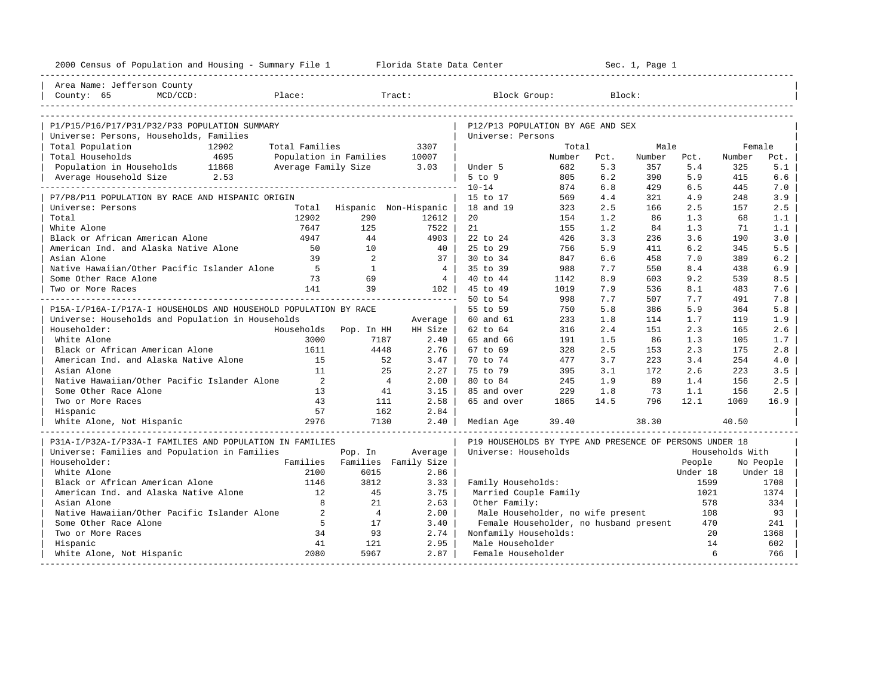| 2000 Census of Population and Housing - Summary File 1 Florida State Data Center |                          |                               | Sec. 1, Page 1 |                                                         |        |      |        |          |                 |           |
|----------------------------------------------------------------------------------|--------------------------|-------------------------------|----------------|---------------------------------------------------------|--------|------|--------|----------|-----------------|-----------|
| Area Name: Jefferson County                                                      |                          |                               |                |                                                         |        |      |        |          |                 |           |
| County: 65<br>MCD/CCD:                                                           | Place:                   |                               | Tract:         | Block Group:                                            |        |      | Block: |          |                 |           |
|                                                                                  |                          |                               |                |                                                         |        |      |        |          |                 |           |
| P1/P15/P16/P17/P31/P32/P33 POPULATION SUMMARY                                    |                          |                               |                | P12/P13 POPULATION BY AGE AND SEX                       |        |      |        |          |                 |           |
| Universe: Persons, Households, Families<br>Total Population<br>12902             | Total Families           |                               | 3307           | Universe: Persons                                       | Total  |      | Male   |          | Female          |           |
| Total Households<br>4695                                                         | Population in Families   |                               | 10007          |                                                         | Number | Pct. | Number | Pct.     | Number          | Pct.      |
| Population in Households 11868                                                   | Average Family Size 3.03 |                               |                | Under 5                                                 | 682    | 5.3  | 357    | 5.4      | 325             | 5.1       |
| Average Household Size 2.53                                                      |                          |                               |                | 5 to 9                                                  | 805    | 6.2  | 390    | 5.9      | 415             | 6.6       |
|                                                                                  |                          |                               |                | $10 - 14$                                               | 874    | 6.8  | 429    | 6.5      | 445             | 7.0       |
| P7/P8/P11 POPULATION BY RACE AND HISPANIC ORIGIN                                 |                          |                               |                | 15 to 17                                                | 569    | 4.4  | 321    | 4.9      | 248             | 3.9       |
| Universe: Persons                                                                |                          | Total Hispanic Non-Hispanic   |                | 18 and 19                                               | 323    | 2.5  | 166    | 2.5      | 157             | 2.5       |
| Total                                                                            | 12902                    | 290                           | 12612          | 20                                                      | 154    | 1.2  | 86     | 1.3      | 68              | 1.1       |
| White Alone                                                                      | 7647                     | 125                           | 7522           | 21                                                      | 155    | 1.2  | 84     | 1.3      | 71              | 1.1       |
| Black or African American Alone                                                  | 4947                     | 44                            | 4903           | 22 to 24                                                | 426    | 3.3  | 236    | 3.6      | 190             | 3.0       |
| American Ind. and Alaska Native Alone                                            | 50                       | 10                            | 40             | 25 to 29                                                | 756    | 5.9  | 411    | 6.2      | 345             | 5.5       |
| Asian Alone                                                                      | 39                       | $\overline{2}$                | 37             | 30 to 34                                                | 847    | 6.6  | 458    | 7.0      | 389             | 6.2       |
| Native Hawaiian/Other Pacific Islander Alone                                     | $5^{\circ}$              | $\mathbf{1}$                  | $\overline{4}$ | 35 to 39                                                | 988    | 7.7  | 550    | 8.4      | 438             | 6.9       |
| Some Other Race Alone                                                            | 73                       | 69                            | $\frac{4}{3}$  | 40 to 44                                                | 1142   | 8.9  | 603    | 9.2      | 539             | 8.5       |
| Two or More Races                                                                | 141                      | 39                            | 102 l          | 45 to 49                                                | 1019   | 7.9  | 536    | 8.1      | 483             | 7.6       |
|                                                                                  |                          |                               |                | 50 to 54                                                | 998    | 7.7  | 507    | 7.7      | 491             | 7.8       |
| P15A-I/P16A-I/P17A-I HOUSEHOLDS AND HOUSEHOLD POPULATION BY RACE                 |                          |                               |                | 55 to 59                                                | 750    | 5.8  | 386    | 5.9      | 364             | 5.8       |
| Universe: Households and Population in Households                                |                          |                               | Average        | 60 and 61                                               | 233    | 1.8  | 114    | 1.7      | 119             | 1.9       |
| Householder:                                                                     |                          | Households Pop. In HH         | HH Size        | 62 to 64                                                | 316    | 2.4  | 151    | 2.3      | 165             | 2.6       |
| White Alone                                                                      | 3000                     | 7187                          | 2.40           | 65 and 66                                               | 191    | 1.5  | 86     | 1.3      | 105             | 1.7       |
| Black or African American Alone                                                  | 1611                     | 4448                          | 2.76           | 67 to 69                                                | 328    | 2.5  | 153    | 2.3      | 175             | 2.8       |
| American Ind. and Alaska Native Alone                                            | 15                       | 52                            | 3.47           | 70 to 74                                                | 477    | 3.7  | 223    | 3.4      | 254             | 4.0       |
| Asian Alone                                                                      | 11                       | 25                            | 2.27           | 75 to 79                                                | 395    | 3.1  | 172    | 2.6      | 223             | 3.5       |
| Native Hawaiian/Other Pacific Islander Alone                                     | $\overline{2}$           | $\overline{4}$                | 2.00           | 80 to 84                                                | 245    | 1.9  | 89     | 1.4      | 156             | 2.5       |
| Some Other Race Alone                                                            | 13                       | 41                            | 3.15           | 85 and over                                             | 229    | 1.8  | 73     | 1.1      | 156             | 2.5       |
| Two or More Races                                                                | 43                       | 111                           | 2.58           | 65 and over                                             | 1865   | 14.5 | 796    | 12.1     | 1069            | 16.9      |
| Hispanic                                                                         | 57                       | 162                           | 2.84           |                                                         |        |      |        |          |                 |           |
| White Alone, Not Hispanic                                                        | 2976                     | 7130                          | 2.40           | Median Age                                              | 39.40  |      | 38.30  |          | 40.50           |           |
| P31A-I/P32A-I/P33A-I FAMILIES AND POPULATION IN FAMILIES                         |                          |                               |                | P19 HOUSEHOLDS BY TYPE AND PRESENCE OF PERSONS UNDER 18 |        |      |        |          |                 |           |
| Universe: Families and Population in Families                                    |                          | Pop. In                       | Average        | Universe: Households                                    |        |      |        |          | Households With |           |
| Householder:                                                                     |                          | Families Families Family Size |                |                                                         |        |      |        | People   |                 | No People |
| White Alone                                                                      | 2100                     | 6015                          | 2.86           |                                                         |        |      |        | Under 18 |                 | Under 18  |
| Black or African American Alone                                                  | 1146                     | 3812                          | 3.33           | Family Households:                                      |        |      |        | 1599     |                 | 1708      |
| American Ind. and Alaska Native Alone                                            | 12                       | 45                            | 3.75           | Married Couple Family                                   |        |      |        | 1021     |                 | 1374      |
| Asian Alone                                                                      | 8                        | 21                            | 2.63           | Other Family:                                           |        |      |        | 578      |                 | 334       |
| Native Hawaiian/Other Pacific Islander Alone                                     | 2                        | $\overline{4}$                | 2.00           | Male Householder, no wife present                       |        |      |        | 108      |                 | 93        |
| Some Other Race Alone                                                            | 5                        | 17                            | 3.40           | Female Householder, no husband present                  |        |      |        | 470      |                 | 241       |
| Two or More Races                                                                | 34                       | 93                            | 2.74           | Nonfamily Households:                                   |        |      |        | 20       |                 | 1368      |
| Hispanic                                                                         | 41                       | 121                           | 2.95           | Male Householder                                        |        |      |        | 14       |                 | 602       |
| White Alone, Not Hispanic<br>-----------------------                             | 2080                     | 5967                          | 2.87           | Female Householder                                      |        |      |        | 6        |                 | 766       |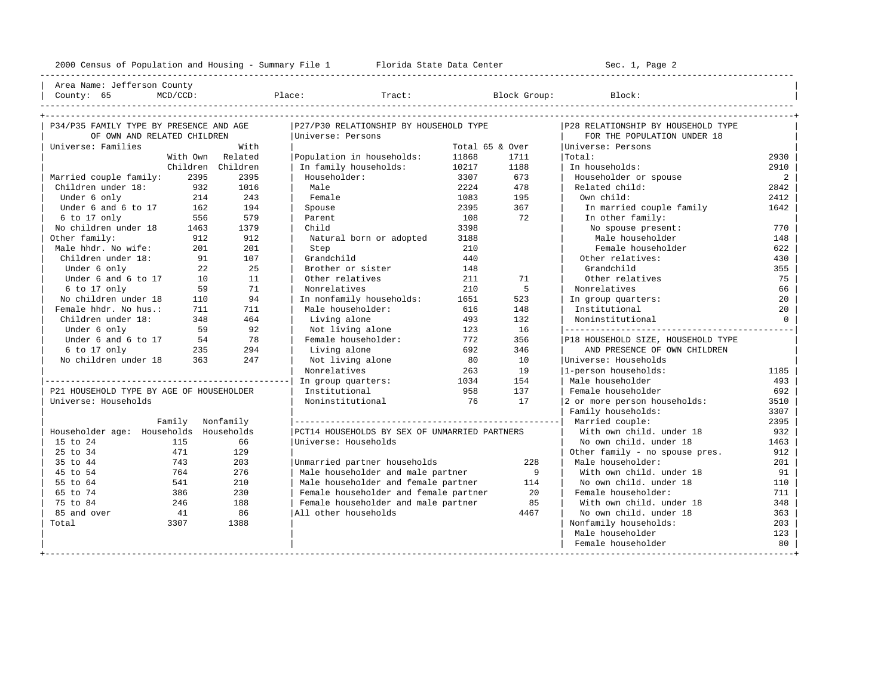---------------------------------------------------------------------------------------------------------------------------------------------------- | Area Name: Jefferson County | | County: 65 MCD/CCD: Place: Tract: Block Group: Block: | ---------------------------------------------------------------------------------------------------------------------------------------------------- +---------------------------------------------------------------------------------------------------------------------------------------------------+

| P34/P35 FAMILY TYPE BY PRESENCE AND AGE  |          |           | P27/P30 RELATIONSHIP BY HOUSEHOLD TYPE        |                 |      | P28 RELATIONSHIP BY HOUSEHOLD TYPE |                |
|------------------------------------------|----------|-----------|-----------------------------------------------|-----------------|------|------------------------------------|----------------|
| OF OWN AND RELATED CHILDREN              |          |           | Universe: Persons                             |                 |      | FOR THE POPULATION UNDER 18        |                |
| Universe: Families                       |          | With      |                                               | Total 65 & Over |      | Universe: Persons                  |                |
|                                          | With Own | Related   | Population in households:                     | 11868           | 1711 | Total:                             | 2930           |
|                                          | Children | Children  | In family households:                         | 10217           | 1188 | In households:                     | 2910           |
| Married couple family:                   | 2395     | 2395      | Householder:                                  | 3307            | 673  | Householder or spouse              | $\overline{a}$ |
| Children under 18:                       | 932      | 1016      | Male                                          | 2224            | 478  | Related child:                     | 2842           |
| Under 6 only                             | 214      | 243       | Female                                        | 1083            | 195  | Own child:                         | 2412           |
| Under 6 and 6 to 17                      | 162      | 194       | Spouse                                        | 2395            | 367  | In married couple family           | 1642           |
| 6 to 17 only                             | 556      | 579       | Parent                                        | 108             | 72   | In other family:                   |                |
| No children under 18                     | 1463     | 1379      | Child                                         | 3398            |      | No spouse present:                 | 770            |
| Other family:                            | 912      | 912       | Natural born or adopted                       | 3188            |      | Male householder                   | 148            |
| Male hhdr. No wife:                      | 201      | 201       | Step                                          | 210             |      | Female householder                 | 622            |
| Children under 18:                       | 91       | 107       | Grandchild                                    | 440             |      | Other relatives:                   | 430            |
| Under 6 only                             | 22       | 25        | Brother or sister                             | 148             |      | Grandchild                         | 355            |
| Under 6 and 6 to 17                      | 10       | 11        | Other relatives                               | 211             | 71   | Other relatives                    | 75             |
| 6 to 17 only                             | 59       | 71        | Nonrelatives                                  | 210             | 5    | Nonrelatives                       | 66             |
| No children under 18                     | 110      | 94        | In nonfamily households:                      | 1651            | 523  | In group quarters:                 | 20             |
| Female hhdr. No hus.:                    | 711      | 711       | Male householder:                             | 616             | 148  | Institutional                      | 20             |
| Children under 18:                       | 348      | 464       | Living alone                                  | 493             | 132  | Noninstitutional                   | $\Omega$       |
| Under 6 only                             | 59       | 92        | Not living alone                              | 123             | 16   |                                    |                |
| Under 6 and 6 to 17                      | 54       | 78        | Female householder:                           | 772             | 356  | P18 HOUSEHOLD SIZE, HOUSEHOLD TYPE |                |
| 6 to 17 only                             | 235      | 294       | Living alone                                  | 692             | 346  | AND PRESENCE OF OWN CHILDREN       |                |
| No children under 18                     | 363      | 247       | Not living alone                              | 80              | 10   | Universe: Households               |                |
|                                          |          |           | Nonrelatives                                  | 263             | 19   | 1-person households:               | 1185           |
|                                          |          |           | In group quarters:                            | 1034            | 154  | Male householder                   | 493            |
| P21 HOUSEHOLD TYPE BY AGE OF HOUSEHOLDER |          |           | Institutional                                 | 958             | 137  | Female householder                 | 692            |
| Universe: Households                     |          |           | Noninstitutional                              | 76              | 17   | 2 or more person households:       | 3510           |
|                                          |          |           |                                               |                 |      | Family households:                 | 3307           |
| Family                                   |          | Nonfamily |                                               |                 |      | Married couple:                    | 2395           |
| Householder age: Households Households   |          |           | PCT14 HOUSEHOLDS BY SEX OF UNMARRIED PARTNERS |                 |      | With own child, under 18           | 932            |
| 15 to 24                                 | 115      | 66        | Universe: Households                          |                 |      | No own child, under 18             | 1463           |
| 25 to 34                                 | 471      | 129       |                                               |                 |      | Other family - no spouse pres.     | 912            |
| 35 to 44                                 | 743      | 203       | Unmarried partner households                  |                 | 228  | Male householder:                  | 201            |
| 45 to 54                                 | 764      | 276       | Male householder and male partner             |                 | - 9  | With own child. under 18           | 91             |
| 55 to 64                                 | 541      | 210       | Male householder and female partner           |                 | 114  | No own child. under 18             | 110            |
| 65 to 74                                 | 386      | 230       | Female householder and female partner         |                 | 20   | Female householder:                | 711            |
| 75 to 84                                 | 246      | 188       | Female householder and male partner           |                 | 85   | With own child, under 18           | 348            |
| 85 and over                              | 41       | 86        | All other households                          |                 | 4467 | No own child. under 18             | 363            |
| Total<br>3307                            |          | 1388      |                                               |                 |      | Nonfamily households:              | 203            |
|                                          |          |           |                                               |                 |      | Male householder                   | 123            |
|                                          |          |           |                                               |                 |      | Female householder                 | 80             |
|                                          |          |           |                                               |                 |      |                                    |                |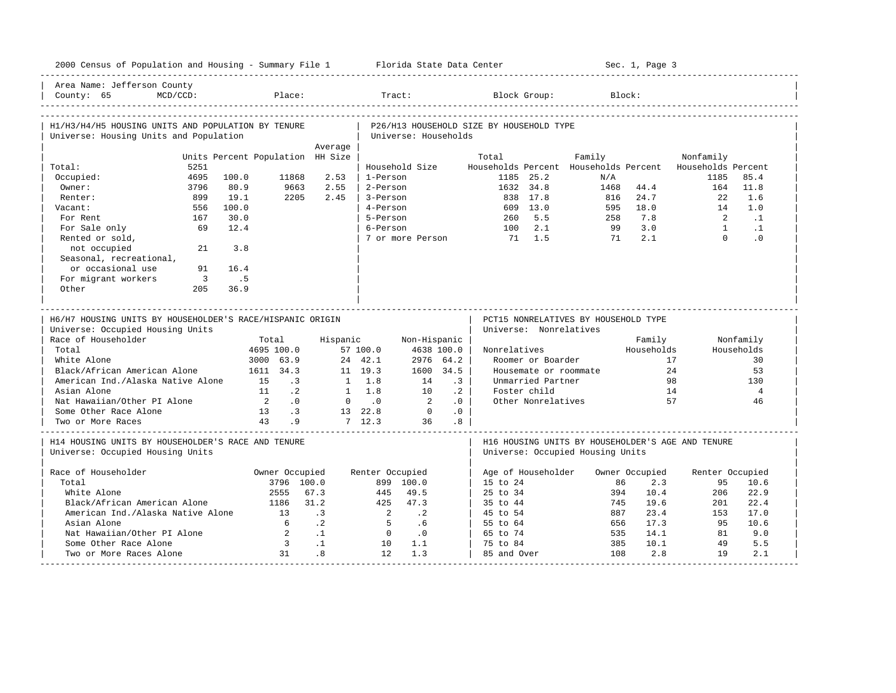| 2000 Census of Population and Housing - Summary File 1 Florida State Data Center              |                          |                                                         |                          |                                  |                                   |                             |                            |                                          |                        |                                      | Sec. 1, Page 3 |                                                          |                |
|-----------------------------------------------------------------------------------------------|--------------------------|---------------------------------------------------------|--------------------------|----------------------------------|-----------------------------------|-----------------------------|----------------------------|------------------------------------------|------------------------|--------------------------------------|----------------|----------------------------------------------------------|----------------|
| Area Name: Jefferson County<br>County: 65                                                     | $MCD/CCD$ :              |                                                         | Place:                   |                                  | Tract:                            |                             |                            |                                          | Block Group:           |                                      | Block:         |                                                          |                |
|                                                                                               |                          |                                                         |                          |                                  |                                   |                             |                            |                                          |                        |                                      |                |                                                          |                |
| H1/H3/H4/H5 HOUSING UNITS AND POPULATION BY TENURE                                            |                          |                                                         |                          |                                  |                                   | Universe: Households        |                            | P26/H13 HOUSEHOLD SIZE BY HOUSEHOLD TYPE |                        |                                      |                |                                                          |                |
| Universe: Housing Units and Population                                                        |                          |                                                         |                          | Average                          |                                   |                             |                            |                                          |                        |                                      |                |                                                          |                |
|                                                                                               |                          |                                                         |                          | Units Percent Population HH Size |                                   |                             |                            | Total                                    |                        | Family                               |                | Nonfamily                                                |                |
| Total:                                                                                        | 5251                     |                                                         |                          |                                  |                                   | Household Size              |                            |                                          |                        |                                      |                | Households Percent Households Percent Households Percent |                |
| Occupied:                                                                                     | 4695                     | 100.0                                                   | 11868                    | 2.53                             | 1-Person                          |                             |                            |                                          | 1185 25.2              | N/A                                  |                | 1185                                                     | 85.4           |
| Owner:                                                                                        | 3796                     | 80.9                                                    | 9663                     | 2.55                             | 2-Person                          |                             |                            |                                          | 1632 34.8              | 1468                                 | 44.4           | 164                                                      | 11.8           |
| Renter:                                                                                       | 899                      | 19.1                                                    | 2205                     | 2.45                             | 3-Person                          |                             |                            |                                          | 838 17.8               | 816                                  | 24.7           | 22                                                       | 1.6            |
| Vacant:                                                                                       | 556                      | 100.0                                                   |                          |                                  | 4-Person                          |                             |                            |                                          | 609 13.0               | 595                                  | 18.0           | 14                                                       | 1.0            |
| For Rent                                                                                      | 167                      | 30.0                                                    |                          |                                  | 5-Person                          |                             |                            |                                          | 260 5.5                | 258                                  | 7.8            | $\overline{2}$                                           | $\cdot$ 1      |
| For Sale only                                                                                 | 69                       | 12.4                                                    |                          |                                  | 6-Person                          |                             |                            |                                          | 100 2.1                | 99                                   | 3.0            | $\overline{1}$                                           | $\cdot$ 1      |
| Rented or sold,                                                                               |                          |                                                         |                          |                                  |                                   |                             |                            | 7 or more Person 71 1.5                  |                        | 71                                   | 2.1            | $\Omega$                                                 | $\cdot$ 0      |
| not occupied                                                                                  | 21                       | 3.8                                                     |                          |                                  |                                   |                             |                            |                                          |                        |                                      |                |                                                          |                |
| Seasonal, recreational,                                                                       |                          |                                                         |                          |                                  |                                   |                             |                            |                                          |                        |                                      |                |                                                          |                |
| or occasional use                                                                             | 91                       | 16.4                                                    |                          |                                  |                                   |                             |                            |                                          |                        |                                      |                |                                                          |                |
| For migrant workers                                                                           | $\overline{\phantom{a}}$ | .5                                                      |                          |                                  |                                   |                             |                            |                                          |                        |                                      |                |                                                          |                |
| Other                                                                                         | 205                      | 36.9                                                    |                          |                                  |                                   |                             |                            |                                          |                        |                                      |                |                                                          |                |
| H6/H7 HOUSING UNITS BY HOUSEHOLDER'S RACE/HISPANIC ORIGIN<br>Universe: Occupied Housing Units |                          |                                                         |                          |                                  | _________________________________ |                             |                            |                                          | Universe: Nonrelatives | PCT15 NONRELATIVES BY HOUSEHOLD TYPE |                |                                                          |                |
| Race of Householder                                                                           |                          |                                                         | Total                    | Hispanic                         |                                   | Non-Hispanic                |                            |                                          |                        |                                      | Family         |                                                          | Nonfamily      |
| Total                                                                                         |                          |                                                         | 4695 100.0               |                                  | 57 100.0                          |                             | 4638 100.0                 | Nonrelatives                             |                        |                                      | Households     |                                                          | Households     |
| White Alone                                                                                   |                          |                                                         | 3000 63.9                |                                  | 24 42.1                           |                             | 2976 64.2                  |                                          | Roomer or Boarder      |                                      |                | 17                                                       | 30             |
| Black/African American Alone                                                                  |                          |                                                         | 1611 34.3                |                                  | 11 19.3                           |                             | 1600 34.5                  |                                          |                        | Housemate or roommate                |                | 24                                                       | 53             |
| American Ind./Alaska Native Alone                                                             |                          |                                                         | 15 .3                    |                                  | 1 1.8                             | 14                          | .3                         |                                          | Unmarried Partner      |                                      |                | 98                                                       | 130            |
| Asian Alone                                                                                   |                          |                                                         | $\cdot$ 2<br>11          |                                  | 1 1.8                             | 10                          | $\cdot$ 2                  |                                          | Foster child           |                                      |                | 14                                                       | $\overline{4}$ |
| Nat Hawaiian/Other PI Alone                                                                   |                          | $\overline{\mathbf{c}}$                                 | $\cdot$ 0                |                                  | $0 \qquad .0$                     | $\overline{\phantom{a}}$    | $\overline{\phantom{0}}$ . |                                          | Other Nonrelatives     |                                      |                | 57                                                       | 46             |
| Some Other Race Alone                                                                         |                          |                                                         | 13 .3                    |                                  | 13 22.8                           | $\overline{0}$              | .0                         |                                          |                        |                                      |                |                                                          |                |
| Two or More Races                                                                             |                          | $\begin{array}{ccc} 1 & 0 & 0 \\ 4 & 3 & 0 \end{array}$ |                          |                                  | 7 12.3                            | 36                          | .8                         |                                          |                        |                                      |                |                                                          |                |
| H14 HOUSING UNITS BY HOUSEHOLDER'S RACE AND TENURE                                            |                          |                                                         |                          |                                  |                                   |                             |                            |                                          |                        |                                      |                | H16 HOUSING UNITS BY HOUSEHOLDER'S AGE AND TENURE        |                |
| Universe: Occupied Housing Units                                                              |                          |                                                         |                          |                                  |                                   |                             |                            |                                          |                        | Universe: Occupied Housing Units     |                |                                                          |                |
| Race of Householder                                                                           |                          |                                                         | Owner Occupied           |                                  | Renter Occupied                   |                             |                            |                                          | Age of Householder     |                                      | Owner Occupied | Renter Occupied                                          |                |
| Total                                                                                         |                          |                                                         | 3796 100.0               |                                  |                                   | 899 100.0                   |                            | 15 to 24                                 |                        | 86                                   | 2.3            | 95                                                       | 10.6           |
| White Alone                                                                                   |                          |                                                         | 2555                     | 67.3                             | 445                               | 49.5                        |                            | 25 to 34                                 |                        | 394                                  | 10.4           | 206                                                      | 22.9           |
| Black/African American Alone                                                                  |                          |                                                         | 1186 31.2                |                                  |                                   | 425 47.3                    |                            | 35 to 44                                 |                        | 745                                  | 19.6           | 201                                                      | 22.4           |
| American Ind./Alaska Native Alone                                                             |                          |                                                         | 13                       | $\overline{3}$                   | $\overline{2}$                    | $\cdot$ 2                   |                            | 45 to 54                                 |                        | 887                                  | 23.4           | 153                                                      | 17.0           |
| Asian Alone                                                                                   |                          |                                                         | 6                        | $\overline{\phantom{0}}$         | $5^{\circ}$                       | .6                          |                            | 55 to 64                                 |                        | 656                                  | 17.3           | 95                                                       | 10.6           |
| Nat Hawaiian/Other PI Alone                                                                   |                          |                                                         | $\overline{\phantom{a}}$ | $\overline{1}$                   | $\overline{0}$                    | $\overline{\phantom{0}}$ .0 |                            | 65 to 74                                 |                        | 535                                  | 14.1           | 81                                                       | 9.0            |
| Some Other Race Alone                                                                         |                          |                                                         | $\overline{3}$           | $\cdot$ 1                        | 10                                | 1.1                         |                            | 75 to 84                                 |                        | 385                                  | 10.1           | 49                                                       | 5.5            |
| Two or More Races Alone                                                                       |                          |                                                         | 31                       | .8                               | 12                                | 1.3                         |                            | 85 and Over                              |                        | 108                                  | 2.8            | 19                                                       | 2.1            |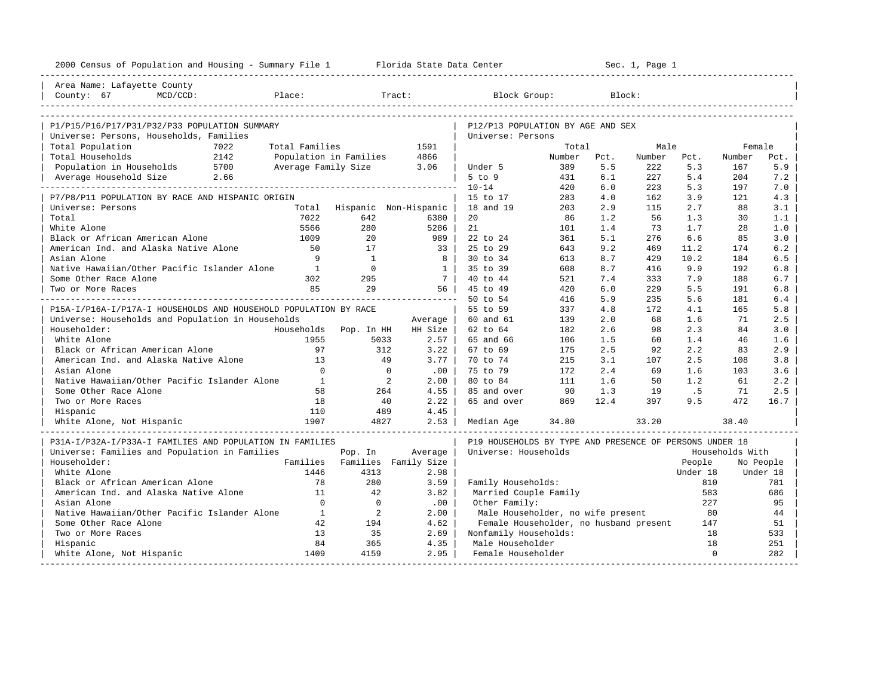| 2000 Census of Population and Housing - Summary File 1 Florida State Data Center         |                                 |                             |              |                                                         |        |      | Sec. 1, Page 1 |             |                 |           |
|------------------------------------------------------------------------------------------|---------------------------------|-----------------------------|--------------|---------------------------------------------------------|--------|------|----------------|-------------|-----------------|-----------|
| Area Name: Lafayette County                                                              |                                 |                             |              |                                                         |        |      |                |             |                 |           |
| County: 67<br>MCD/CCD:                                                                   | Place:                          | Tract:                      |              | Block Group:                                            |        |      | Block:         |             |                 |           |
|                                                                                          |                                 |                             |              |                                                         |        |      |                |             |                 |           |
| P1/P15/P16/P17/P31/P32/P33 POPULATION SUMMARY<br>Universe: Persons, Households, Families |                                 |                             |              | P12/P13 POPULATION BY AGE AND SEX<br>Universe: Persons  |        |      |                |             |                 |           |
| Total Population                                                                         | 7022<br>Total Families          |                             | 1591         |                                                         | Total  |      | Male           |             | Female          |           |
| Total Households<br>2142                                                                 | Population in Families          |                             | 4866         |                                                         | Number | Pct. | Number         | Pct.        | Number          | Pct.      |
| Population in Households 5700                                                            | Average Family Size             |                             | 3.06         | Under 5                                                 | 389    | 5.5  | 222            | 5.3         | 167             | 5.9       |
| Average Household Size 2.66                                                              |                                 |                             |              | $5$ to $9$                                              | 431    | 6.1  | 227            | 5.4         | 204             | 7.2       |
|                                                                                          |                                 |                             |              | $10 - 14$                                               | 420    | 6.0  | 223            | 5.3         | 197             | 7.0       |
| P7/P8/P11 POPULATION BY RACE AND HISPANIC ORIGIN                                         |                                 |                             |              | 15 to 17                                                | 283    | 4.0  | 162            | 3.9         | 121             | 4.3       |
| Universe: Persons                                                                        |                                 | Total Hispanic Non-Hispanic |              | 18 and 19                                               | 203    | 2.9  | 115            | 2.7         | 88              | 3.1       |
| Total                                                                                    | 7022                            | 642                         | 6380         | 20                                                      | 86     | 1.2  | 56             | 1.3         | 30              | 1.1       |
| White Alone                                                                              | 5566                            | 280                         | 5286         | 21                                                      | 101    | 1.4  | 73             | 1.7         | 28              | 1.0       |
| Black or African American Alone                                                          | 1009                            | 20                          | 989          | 22 to 24                                                | 361    | 5.1  | 276            | 6.6         | 85              | 3.0       |
| American Ind. and Alaska Native Alone                                                    | 50                              | 17                          | 33           | 25 to 29                                                | 643    | 9.2  | 469            | 11.2        | 174             | 6.2       |
| Asian Alone                                                                              | 9                               | $\overline{1}$              | $_{\rm 8}$   | 30 to 34                                                | 613    | 8.7  | 429            | 10.2        | 184             | 6.5       |
| Native Hawaiian/Other Pacific Islander Alone                                             | $\overline{1}$                  | $\Omega$                    | $\mathbf{1}$ | 35 to 39                                                | 608    | 8.7  | 416            | 9.9         | 192             | 6.8       |
| Some Other Race Alone                                                                    | 302                             | 295                         | - 7 I        | 40 to 44                                                | 521    | 7.4  | 333            | 7.9         | 188             | 6.7       |
| Two or More Races                                                                        | 85                              | 29                          | 56           | 45 to 49                                                | 420    | 6.0  | 229            | 5.5         | 191             | 6.8       |
|                                                                                          |                                 |                             |              | 50 to 54                                                | 416    | 5.9  | 235            | 5.6         | 181             | 6.4       |
| P15A-I/P16A-I/P17A-I HOUSEHOLDS AND HOUSEHOLD POPULATION BY RACE                         |                                 |                             |              | 55 to 59                                                | 337    | 4.8  | 172            | 4.1         | 165             | 5.8       |
| Universe: Households and Population in Households                                        |                                 |                             | Average      | 60 and 61                                               | 139    | 2.0  | 68             | 1.6         | 71              | 2.5       |
| Householder:                                                                             | Households                      | Pop. In HH                  | HH Size      | 62 to 64                                                | 182    | 2.6  | 98             | 2.3         | 84              | 3.0       |
| White Alone                                                                              | 1955                            | 5033                        | 2.57         | 65 and 66                                               | 106    | 1.5  | 60             | 1.4         | 46              | 1.6       |
| Black or African American Alone                                                          | 97                              | 312                         | 3.22         | 67 to 69                                                | 175    | 2.5  | 92             | 2.2         | 83              | 2.9       |
| American Ind. and Alaska Native Alone                                                    | 13                              | 49                          | 3.77         | 70 to 74                                                | 215    | 3.1  | 107            | 2.5         | 108             | 3.8       |
| Asian Alone                                                                              | $\Omega$                        | $\mathbf 0$                 | .00          | 75 to 79                                                | 172    | 2.4  | 69             | 1.6         | 103             | 3.6       |
| Native Hawaiian/Other Pacific Islander Alone                                             | $\mathbf{1}$                    | 2                           | 2.00         | 80 to 84                                                | 111    | 1.6  | 50             | 1.2         | 61              | 2.2       |
| Some Other Race Alone                                                                    | 58                              | 264                         | 4.55         | 85 and over                                             | 90     | 1.3  | 19             | .5          | 71              | 2.5       |
| Two or More Races                                                                        | 18                              | 40                          | 2.22         | 65 and over                                             | 869    | 12.4 | 397            | 9.5         | 472             | 16.7      |
| Hispanic                                                                                 | 110                             | 489                         | 4.45         |                                                         |        |      |                |             |                 |           |
| White Alone, Not Hispanic                                                                | 1907                            | 4827                        | 2.53         | Median Age                                              | 34.80  |      | 33.20          |             | 38.40           |           |
| P31A-I/P32A-I/P33A-I FAMILIES AND POPULATION IN FAMILIES                                 |                                 |                             |              | P19 HOUSEHOLDS BY TYPE AND PRESENCE OF PERSONS UNDER 18 |        |      |                |             |                 |           |
| Universe: Families and Population in Families                                            |                                 | Pop. In                     | Average      | Universe: Households                                    |        |      |                |             | Households With |           |
| Householder:                                                                             | Families                        | Families Family Size        |              |                                                         |        |      |                | People      |                 | No People |
| White Alone                                                                              | 1446                            | 4313                        | 2.98         |                                                         |        |      |                | Under 18    |                 | Under 18  |
| Black or African American Alone                                                          | 78                              | 280                         | 3.59         | Family Households:                                      |        |      |                | 810         |                 | 781       |
| American Ind. and Alaska Native Alone                                                    | 11                              | 42                          | 3.82         | Married Couple Family                                   |        |      |                | 583         |                 | 686       |
| Asian Alone                                                                              | $\Omega$                        | $\mathbf 0$                 | .00          | Other Family:                                           |        |      |                | 227         |                 | 95        |
| Native Hawaiian/Other Pacific Islander Alone                                             | $\mathbf{1}$                    | 2                           | 2.00         | Male Householder, no wife present                       |        |      |                | 80          |                 | 44        |
| Some Other Race Alone                                                                    | 42                              | 194                         | 4.62         | Female Householder, no husband present                  |        |      |                | 147         |                 | 51        |
| Two or More Races                                                                        | 13                              | 35                          | 2.69         | Nonfamily Households:                                   |        |      |                | 18          |                 | 533       |
| Hispanic                                                                                 | 84                              | 365                         | 4.35         | Male Householder                                        |        |      |                | 18          |                 | 251       |
| White Alone, Not Hispanic                                                                | 1409<br>----------------------- | 4159                        | 2.95         | Female Householder                                      |        |      |                | $\mathbf 0$ |                 | 282       |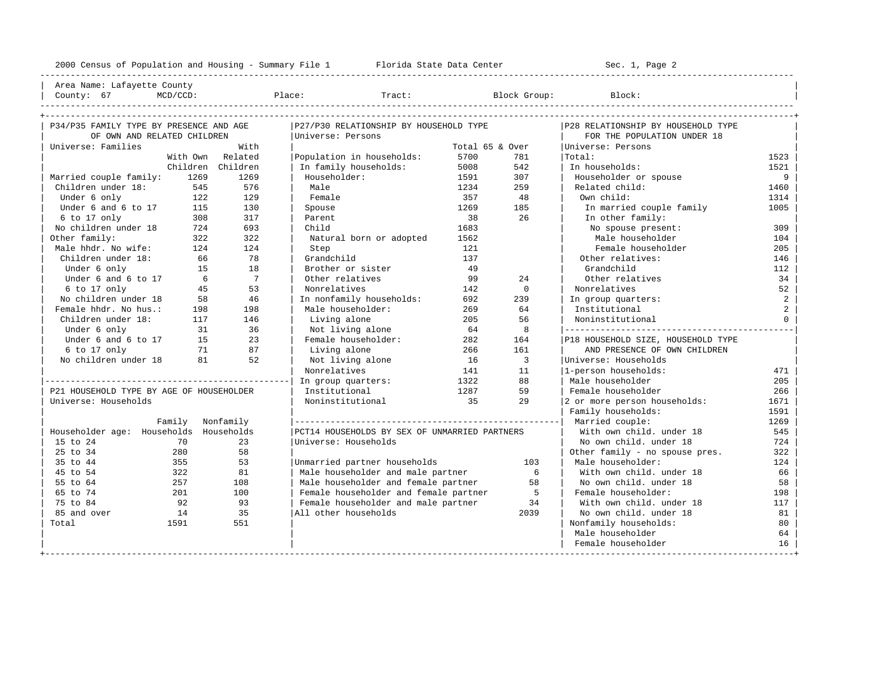---------------------------------------------------------------------------------------------------------------------------------------------------- Area Name: Lafayette County | County: 67 MCD/CCD: Place: Tract: Block Group: Block: | ----------------------------------------------------------------------------------------------------------------------------------------------------

| P34/P35 FAMILY TYPE BY PRESENCE AND AGE  |          |                 | P27/P30 RELATIONSHIP BY HOUSEHOLD TYPE        |                 |                | P28 RELATIONSHIP BY HOUSEHOLD TYPE |                |
|------------------------------------------|----------|-----------------|-----------------------------------------------|-----------------|----------------|------------------------------------|----------------|
| OF OWN AND RELATED CHILDREN              |          |                 | Universe: Persons                             |                 |                | FOR THE POPULATION UNDER 18        |                |
| Universe: Families                       |          | With            |                                               | Total 65 & Over |                | Universe: Persons                  |                |
|                                          | With Own | Related         | Population in households:                     | 5700            | 781            | Total:                             | 1523           |
|                                          | Children | Children        | In family households:                         | 5008            | 542            | In households:                     | 1521           |
| Married couple family:                   | 1269     | 1269            | Householder:                                  | 1591            | 307            | Householder or spouse              | 9              |
| Children under 18:                       | 545      | 576             | Male                                          | 1234            | 259            | Related child:                     | 1460           |
| Under 6 only                             | 122      | 129             | Female                                        | 357             | 48             | Own child:                         | 1314           |
| Under 6 and 6 to 17                      | 115      | 130             | Spouse                                        | 1269            | 185            | In married couple family           | 1005           |
| 6 to 17 only                             | 308      | 317             | Parent                                        | 38              | 26             | In other family:                   |                |
| No children under 18                     | 724      | 693             | Child                                         | 1683            |                | No spouse present:                 | 309            |
| Other family:                            | 322      | 322             | Natural born or adopted                       | 1562            |                | Male householder                   | 104            |
| Male hhdr. No wife:                      | 124      | 124             | Step                                          | 121             |                | Female householder                 | 205            |
| Children under 18:                       | 66       | 78              | Grandchild                                    | 137             |                | Other relatives:                   | 146            |
| Under 6 only                             | 15       | 18              | Brother or sister                             | 49              |                | Grandchild                         | 112            |
| Under 6 and 6 to 17                      | 6        | $7\overline{ }$ | Other relatives                               | 99              | 24             | Other relatives                    | 34             |
| $6$ to 17 only                           | 45       | 53              | Nonrelatives                                  | 142             | $\Omega$       | Nonrelatives                       | 52             |
| No children under 18                     | 58       | 46              | In nonfamily households:                      | 692             | 239            | In group quarters:                 | $\overline{a}$ |
| Female hhdr. No hus.:                    | 198      | 198             | Male householder:                             | 269             | 64             | Institutional                      | 2              |
| Children under 18:                       | 117      | 146             | Living alone                                  | 205             | 56             | Noninstitutional                   | $\Omega$       |
| Under 6 only                             | 31       | 36              | Not living alone                              | 64              | 8              |                                    |                |
| Under 6 and 6 to 17                      | 15       | 23              | Female householder:                           | 282             | 164            | P18 HOUSEHOLD SIZE, HOUSEHOLD TYPE |                |
| 6 to 17 only                             | 71       | 87              | Living alone                                  | 266             | 161            | AND PRESENCE OF OWN CHILDREN       |                |
| No children under 18                     | 81       | 52              | Not living alone                              | 16              | $\overline{3}$ | Universe: Households               |                |
|                                          |          |                 | Nonrelatives                                  | 141             | 11             | l-person households:               | 471            |
|                                          |          |                 | In group quarters:                            | 1322            | 88             | Male householder                   | 205            |
| P21 HOUSEHOLD TYPE BY AGE OF HOUSEHOLDER |          |                 | Institutional                                 | 1287            | 59             | Female householder                 | 266            |
| Universe: Households                     |          |                 | Noninstitutional                              | 35              | 2.9            | 2 or more person households:       | 1671           |
|                                          |          |                 |                                               |                 |                | Family households:                 | 1591           |
|                                          | Family   | Nonfamily       |                                               |                 |                | Married couple:                    | 1269           |
| Householder age: Households Households   |          |                 | PCT14 HOUSEHOLDS BY SEX OF UNMARRIED PARTNERS |                 |                | With own child, under 18           | 545            |
| 15 to 24                                 | 70       | 23              | Universe: Households                          |                 |                | No own child, under 18             | 724            |
| 25 to 34                                 | 280      | 58              |                                               |                 |                | Other family - no spouse pres.     | 322            |
| 35 to 44                                 | 355      | 53              | Unmarried partner households                  |                 | 103            | Male householder:                  | 124            |
| 45 to 54                                 | 322      | 81              | Male householder and male partner             |                 | 6              | With own child. under 18           | 66             |
| 55 to 64                                 | 257      | 108             | Male householder and female partner           |                 | 58             | No own child, under 18             | 58             |
| 65 to 74                                 | 201      | 100             | Female householder and female partner         |                 | 5              | Female householder:                | 198            |
| 75 to 84                                 | 92       | 93              | Female householder and male partner           |                 | 34             | With own child, under 18           | 117            |
| 85 and over                              | 14       | 35              | All other households                          |                 | 2039           | No own child, under 18             | 81             |
| Total                                    | 1591     | 551             |                                               |                 |                | Nonfamily households:              | 80             |
|                                          |          |                 |                                               |                 |                | Male householder                   | 64             |
|                                          |          |                 |                                               |                 |                | Female householder                 | 16             |
|                                          |          |                 |                                               |                 |                |                                    |                |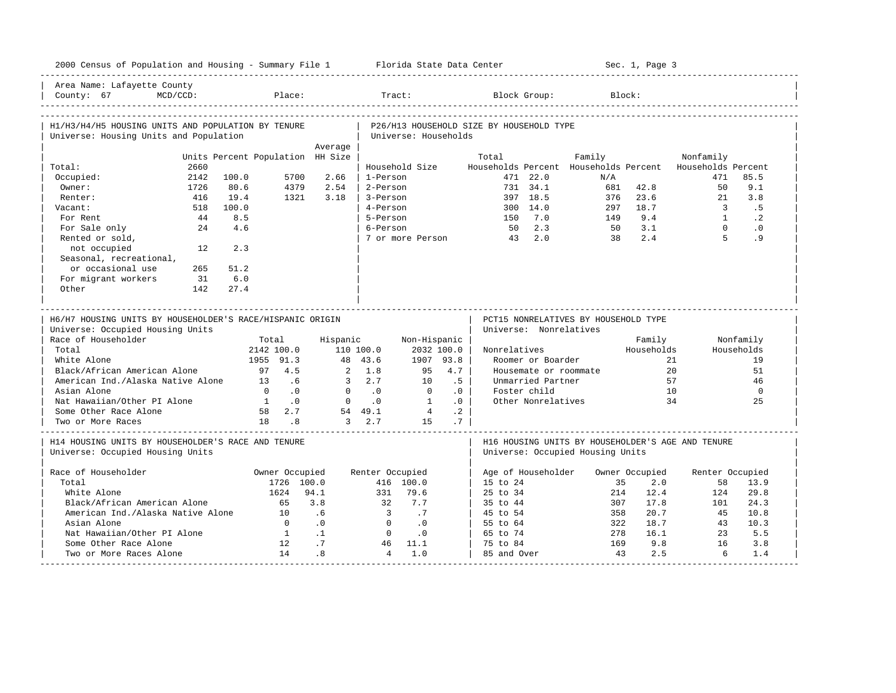| 2000 Census of Population and Housing - Summary File 1 Florida State Data Center              |      |       |                                         |                                  |                                 |                             |             |                                          |                    |                                                                | Sec. 1, Page 3 |                                                   |            |
|-----------------------------------------------------------------------------------------------|------|-------|-----------------------------------------|----------------------------------|---------------------------------|-----------------------------|-------------|------------------------------------------|--------------------|----------------------------------------------------------------|----------------|---------------------------------------------------|------------|
| Area Name: Lafayette County<br>County: 67                                                     |      |       |                                         |                                  |                                 |                             |             |                                          |                    |                                                                |                |                                                   |            |
| H1/H3/H4/H5 HOUSING UNITS AND POPULATION BY TENURE                                            |      |       |                                         |                                  |                                 |                             |             | P26/H13 HOUSEHOLD SIZE BY HOUSEHOLD TYPE |                    |                                                                |                |                                                   |            |
| Universe: Housing Units and Population                                                        |      |       |                                         |                                  |                                 | Universe: Households        |             |                                          |                    |                                                                |                |                                                   |            |
|                                                                                               |      |       |                                         | Average                          |                                 |                             |             |                                          |                    |                                                                |                |                                                   |            |
|                                                                                               |      |       |                                         | Units Percent Population HH Size |                                 |                             |             | Total                                    |                    | Family                                                         |                | Nonfamily                                         |            |
| Total:                                                                                        | 2660 |       |                                         |                                  |                                 | Household Size              |             |                                          |                    | Households Percent Households Percent                          |                | Households Percent                                |            |
| Occupied:                                                                                     | 2142 | 100.0 | 5700                                    | 2.66                             | 1-Person                        |                             |             |                                          | 471 22.0           | N/A                                                            |                | 471                                               | 85.5       |
| Owner:                                                                                        | 1726 | 80.6  | 4379                                    | 2.54                             | 2-Person                        |                             |             |                                          | 731 34.1           |                                                                | 681 42.8       | 50                                                | 9.1        |
| Renter:                                                                                       | 416  | 19.4  | 1321                                    | 3.18                             | 3-Person                        |                             |             |                                          | 397 18.5           | 376                                                            | 23.6           | 21                                                | 3.8        |
| Vacant:                                                                                       | 518  | 100.0 |                                         |                                  | 4-Person                        |                             |             |                                          | 300 14.0           |                                                                | 297 18.7       | $\overline{\mathbf{3}}$                           | .5         |
| For Rent                                                                                      | 44   | 8.5   |                                         |                                  | 5-Person                        |                             |             | 150 7.0                                  |                    |                                                                | 149 9.4        | 1                                                 | $\cdot$ 2  |
| For Sale only                                                                                 | 24   | 4.6   |                                         |                                  | 6-Person                        |                             |             |                                          | 50 2.3             |                                                                | 50 3.1         | $\overline{0}$                                    | $\cdot$ 0  |
| Rented or sold,                                                                               |      |       |                                         |                                  |                                 |                             |             | 7 or more Person 43 2.0                  |                    | 38                                                             | 2.4            | $5^{\circ}$                                       | .9         |
| not occupied                                                                                  | 12   | 2.3   |                                         |                                  |                                 |                             |             |                                          |                    |                                                                |                |                                                   |            |
| Seasonal, recreational,                                                                       |      |       |                                         |                                  |                                 |                             |             |                                          |                    |                                                                |                |                                                   |            |
| or occasional use                                                                             | 265  | 51.2  |                                         |                                  |                                 |                             |             |                                          |                    |                                                                |                |                                                   |            |
| For migrant workers                                                                           | 31   | 6.0   |                                         |                                  |                                 |                             |             |                                          |                    |                                                                |                |                                                   |            |
| Other                                                                                         | 142  | 27.4  |                                         |                                  |                                 |                             |             |                                          |                    |                                                                |                |                                                   |            |
| H6/H7 HOUSING UNITS BY HOUSEHOLDER'S RACE/HISPANIC ORIGIN<br>Universe: Occupied Housing Units |      |       |                                         |                                  | ------------------------------- |                             |             |                                          |                    | PCT15 NONRELATIVES BY HOUSEHOLD TYPE<br>Universe: Nonrelatives |                |                                                   |            |
| Race of Householder                                                                           |      |       | Total                                   |                                  | Hispanic                        | Non-Hispanic                |             |                                          |                    |                                                                | Family         |                                                   | Nonfamily  |
| Total                                                                                         |      |       | 2142 100.0                              |                                  | 110 100.0                       |                             | 2032 100.0  | Nonrelatives                             |                    |                                                                | Households     |                                                   | Households |
| White Alone                                                                                   |      |       | 1955 91.3                               |                                  | 48 43.6                         | 1907 93.8                   |             |                                          | Roomer or Boarder  |                                                                |                | 21                                                | 19         |
| Black/African American Alone                                                                  |      |       | 97 4.5                                  |                                  | $2 \t1.8$                       | 95                          | 4.7         |                                          |                    | Housemate or roommate                                          |                | 20                                                | 51         |
| American Ind./Alaska Native Alone                                                             |      |       | 13 .6                                   |                                  | $3 \t 2.7$                      | 10                          | .5          |                                          | Unmarried Partner  |                                                                |                | 57                                                | 46         |
| Asian Alone                                                                                   |      |       | $0 \qquad .0$                           |                                  | $0 \qquad .0$                   | $\Omega$                    | $\cdot$ 0   |                                          | Foster child       |                                                                |                | 10                                                | $\Omega$   |
| Nat Hawaiian/Other PI Alone 1 0                                                               |      |       |                                         |                                  | $0 \qquad 0 \qquad 1$           |                             | $\cdot$ 0   |                                          | Other Nonrelatives |                                                                |                | 34                                                | 25         |
| Some Other Race Alone                                                                         |      |       | 58 2.7                                  | $54$ 49.1                        |                                 | $\frac{1}{4}$               | $\cdot$ . 2 |                                          |                    |                                                                |                |                                                   |            |
| Two or More Races                                                                             |      |       | $\begin{array}{c} 10 \\ 18 \end{array}$ |                                  | $3 \t 2.7$                      | 15                          | .7          |                                          |                    |                                                                |                |                                                   |            |
| H14 HOUSING UNITS BY HOUSEHOLDER'S RACE AND TENURE                                            |      |       |                                         |                                  |                                 |                             |             |                                          |                    |                                                                |                | H16 HOUSING UNITS BY HOUSEHOLDER'S AGE AND TENURE |            |
| Universe: Occupied Housing Units                                                              |      |       |                                         |                                  |                                 |                             |             |                                          |                    | Universe: Occupied Housing Units                               |                |                                                   |            |
| Race of Householder                                                                           |      |       | Owner Occupied                          |                                  | Renter Occupied                 |                             |             | Age of Householder                       |                    |                                                                | Owner Occupied | Renter Occupied                                   |            |
| Total                                                                                         |      |       | 1726 100.0                              |                                  |                                 | 416 100.0                   |             | 15 to 24                                 |                    |                                                                | 35<br>2.0      | 58                                                | 13.9       |
| White Alone                                                                                   |      |       | 1624                                    | 94.1                             |                                 | 331 79.6                    |             | 25 to 34                                 |                    |                                                                | 12.4<br>214    | 124                                               | 29.8       |
| Black/African American Alone                                                                  |      |       | 65                                      | 3.8                              | 32                              | 7.7                         |             | 35 to 44                                 |                    |                                                                | 307<br>17.8    | 101                                               | 24.3       |
| American Ind./Alaska Native Alone 10                                                          |      |       |                                         | $6 \overline{6}$                 | $\overline{\mathbf{3}}$         | $\overline{7}$              |             | 45 to 54                                 |                    | 358                                                            | 20.7           | 45                                                | 10.8       |
| Asian Alone                                                                                   |      |       | $\overline{0}$                          | $\overline{0}$ .                 | $\overline{0}$                  | $\overline{\phantom{0}}$ .0 |             | 55 to 64                                 |                    |                                                                | 322<br>18.7    | 43                                                | 10.3       |
| Nat Hawaiian/Other PI Alone                                                                   |      |       | $\overline{1}$                          | $\overline{1}$                   | $\bigcirc$                      | $\overline{\phantom{0}}$ .0 |             | 65 to 74                                 |                    | 278                                                            | 16.1           | 23                                                | 5.5        |
| Some Other Race Alone                                                                         |      |       | 12                                      | .7                               |                                 | 46 11.1                     |             | 75 to 84                                 |                    | 169                                                            | 9.8            | 16                                                | 3.8        |
| Two or More Races Alone                                                                       |      |       | 14                                      | .8                               | $\overline{4}$                  | 1.0                         |             | 85 and Over                              |                    | 43                                                             | 2.5            | 6                                                 | 1.4        |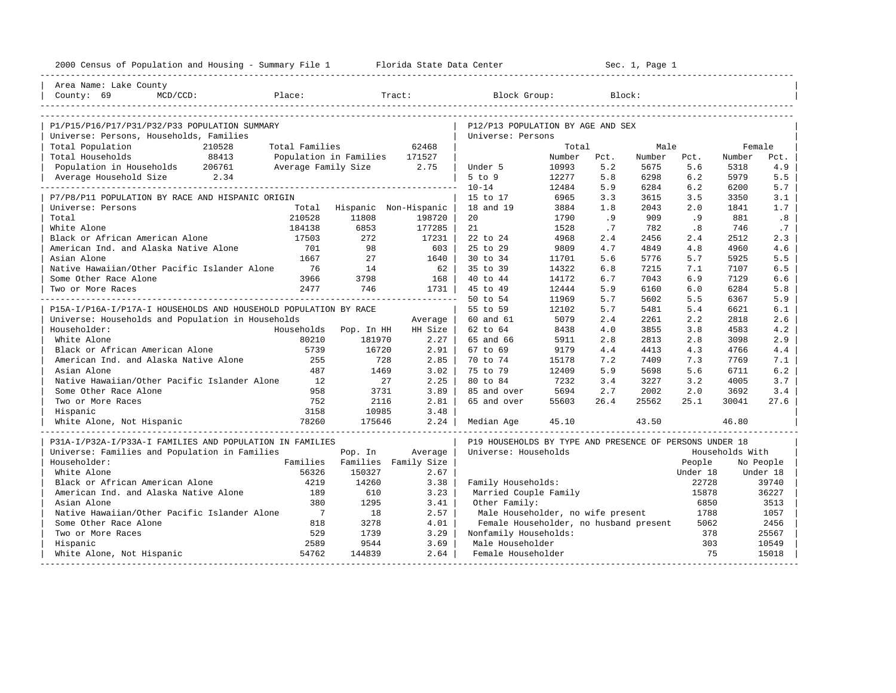| 2000 Census of Population and Housing - Summary File 1 Florida State Data Center |                |                               |             |                                                         |        |      | Sec. 1, Page 1 |          |                 |           |
|----------------------------------------------------------------------------------|----------------|-------------------------------|-------------|---------------------------------------------------------|--------|------|----------------|----------|-----------------|-----------|
| Area Name: Lake County                                                           |                |                               |             |                                                         |        |      |                |          |                 |           |
| County: 69<br>Place:<br>$MCD/CCD$ :                                              |                |                               | Tract:      | Block Group:                                            |        |      | Block:         |          |                 |           |
|                                                                                  |                |                               |             |                                                         |        |      |                |          |                 |           |
| P1/P15/P16/P17/P31/P32/P33 POPULATION SUMMARY                                    |                |                               |             | P12/P13 POPULATION BY AGE AND SEX                       |        |      |                |          |                 |           |
| Universe: Persons, Households, Families                                          |                |                               |             | Universe: Persons                                       |        |      |                |          |                 |           |
| Total Population<br>210528                                                       | Total Families |                               | 62468       |                                                         | Total  |      | Male           |          | Female          |           |
| 88413<br>Total Households                                                        |                | Population in Families 171527 |             |                                                         | Number | Pct. | Number         | Pct.     | Number          | Pct.      |
| Population in Households 206761                                                  |                | Average Family Size 2.75      |             | Under 5                                                 | 10993  | 5.2  | 5675           | 5.6      | 5318            | 4.9       |
| Average Household Size 2.34                                                      |                |                               |             | $5$ to $9$                                              | 12277  | 5.8  | 6298           | 6.2      | 5979            | 5.5       |
|                                                                                  |                |                               |             | $10 - 14$                                               | 12484  | 5.9  | 6284           | 6.2      | 6200            | 5.7       |
| P7/P8/P11 POPULATION BY RACE AND HISPANIC ORIGIN                                 |                |                               |             | 15 to 17                                                | 6965   | 3.3  | 3615           | 3.5      | 3350            | 3.1       |
| Universe: Persons                                                                |                | Total Hispanic Non-Hispanic   |             | 18 and 19                                               | 3884   | 1.8  | 2043           | 2.0      | 1841            | 1.7       |
| Total                                                                            | 210528         | 11808                         | 198720      | 20                                                      | 1790   | .9   | 909            | .9       | 881             | .8        |
| White Alone                                                                      | 184138         | 6853                          | 177285      | 21                                                      | 1528   | .7   | 782            | .8       | 746             | .7        |
| Black or African American Alone                                                  | 17503          | 272                           | 17231       | 22 to 24                                                | 4968   | 2.4  | 2456           | 2.4      | 2512            | 2.3       |
| American Ind. and Alaska Native Alone                                            | 701            | 98                            | 603         | 25 to 29                                                | 9809   | 4.7  | 4849           | 4.8      | 4960            | 4.6       |
| Asian Alone                                                                      | 1667           | 27                            | $1640$      | 30 to 34                                                | 11701  | 5.6  | 5776           | 5.7      | 5925            | 5.5       |
| Native Hawaiian/Other Pacific Islander Alone                                     | 76             | 14                            | 62          | 35 to 39                                                | 14322  | 6.8  | 7215           | 7.1      | 7107            | 6.5       |
| Some Other Race Alone                                                            | 3966           | 3798                          | 168         | 40 to 44                                                | 14172  | 6.7  | 7043           | 6.9      | 7129            | 6.6       |
| Two or More Races                                                                | 2477           | 746                           | 1731        | 45 to 49                                                | 12444  | 5.9  | 6160           | 6.0      | 6284            | 5.8       |
|                                                                                  |                |                               |             | 50 to 54                                                | 11969  | 5.7  | 5602           | 5.5      | 6367            | 5.9       |
| P15A-I/P16A-I/P17A-I HOUSEHOLDS AND HOUSEHOLD POPULATION BY RACE                 |                |                               |             | 55 to 59                                                | 12102  | 5.7  | 5481           | 5.4      | 6621            | 6.1       |
| Universe: Households and Population in Households                                |                |                               | Average     | 60 and 61                                               | 5079   | 2.4  | 2261           | 2.2      | 2818            | 2.6       |
| Householder:                                                                     |                | Households Pop. In HH         | HH Size     | 62 to 64                                                | 8438   | 4.0  | 3855           | 3.8      | 4583            | 4.2       |
| White Alone                                                                      | 80210          | 181970                        | $2.27 \;  $ | 65 and 66                                               | 5911   | 2.8  | 2813           | 2.8      | 3098            | 2.9       |
| Black or African American Alone                                                  | 5739           | 16720                         | 2.91        | 67 to 69                                                | 9179   | 4.4  | 4413           | 4.3      | 4766            | 4.4       |
| American Ind. and Alaska Native Alone                                            | 255            | 728                           | 2.85        | 70 to 74                                                | 15178  | 7.2  | 7409           | 7.3      | 7769            | 7.1       |
| Asian Alone                                                                      | 487            | 1469                          | 3.02        | 75 to 79                                                | 12409  | 5.9  | 5698           | 5.6      | 6711            | 6.2       |
| Native Hawaiian/Other Pacific Islander Alone                                     | 12             | 27                            | 2.25        | 80 to 84                                                | 7232   | 3.4  | 3227           | 3.2      | 4005            | 3.7       |
| Some Other Race Alone                                                            | 958            | 3731                          | 3.89        | 85 and over                                             | 5694   | 2.7  | 2002           | 2.0      | 3692            | 3.4       |
| Two or More Races                                                                | 752            | 2116                          | 2.81        | 65 and over                                             | 55603  | 26.4 | 25562          | 25.1     | 30041           | 27.6      |
| Hispanic                                                                         | 3158           | 10985                         | 3.48        |                                                         |        |      |                |          |                 |           |
| White Alone, Not Hispanic                                                        |                |                               | 2.24        | Median Age                                              | 45.10  |      | 43.50          |          | 46.80           |           |
| P31A-I/P32A-I/P33A-I FAMILIES AND POPULATION IN FAMILIES                         |                |                               |             | P19 HOUSEHOLDS BY TYPE AND PRESENCE OF PERSONS UNDER 18 |        |      |                |          |                 |           |
| Universe: Families and Population in Families                                    |                | Pop. In                       | Average     | Universe: Households                                    |        |      |                |          | Households With |           |
| Householder:                                                                     |                | Families Families Family Size |             |                                                         |        |      |                | People   |                 | No People |
| White Alone                                                                      | 56326          | 150327                        | 2.67        |                                                         |        |      |                | Under 18 |                 | Under 18  |
| Black or African American Alone                                                  | 4219           | 14260                         | 3.38        | Family Households:                                      |        |      |                | 22728    |                 | 39740     |
| American Ind. and Alaska Native Alone                                            | 189            | 610                           | 3.23        | Married Couple Family                                   |        |      |                | 15878    |                 | 36227     |
| Asian Alone                                                                      | 380            | 1295                          | 3.41        | Other Family:                                           |        |      |                | 6850     |                 | 3513      |
| Native Hawaiian/Other Pacific Islander Alone                                     | $\overline{7}$ | 18                            | 2.57        | Male Householder, no wife present                       |        |      |                | 1788     |                 | 1057      |
| Some Other Race Alone                                                            | 818            | 3278                          | 4.01        | Female Householder, no husband present                  |        |      |                | 5062     |                 | 2456      |
| Two or More Races                                                                | 529            | 1739                          | 3.29        | Nonfamily Households:                                   |        |      |                | 378      |                 | 25567     |
| Hispanic                                                                         | 2589           | 9544                          | 3.69        | Male Householder                                        |        |      |                | 303      |                 | 10549     |
| White Alone, Not Hispanic                                                        | 54762          | 144839                        | 2.64        | Female Householder                                      |        |      |                | 75       |                 | 15018     |
|                                                                                  |                |                               |             |                                                         |        |      |                |          |                 |           |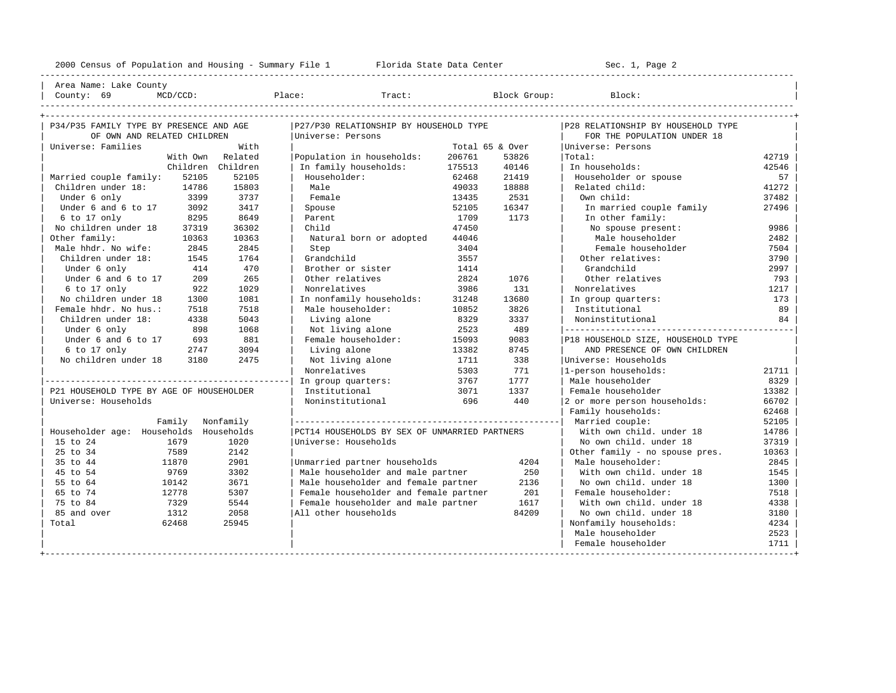2000 Census of Population and Housing - Summary File 1 Florida State Data Center Sec. 1, Page 2 ---------------------------------------------------------------------------------------------------------------------------------------------------- Area Name: Lake County | County: 69 MCD/CCD: Place: Tract: Block Group: Block: | ---------------------------------------------------------------------------------------------------------------------------------------------------- +---------------------------------------------------------------------------------------------------------------------------------------------------+ | P34/P35 FAMILY TYPE BY PRESENCE AND AGE |P27/P30 RELATIONSHIP BY HOUSEHOLD TYPE |P28 RELATIONSHIP BY HOUSEHOLD TYPE | | OF OWN AND RELATED CHILDREN |Universe: Persons | FOR THE POPULATION UNDER 18 | | Universe: Families With | Total 65 & Over |Universe: Persons | | With Own Related |Population in households: 206761 53826 |Total: 42719 | | Children Children | In family households: 175513 40146 | In households: 42546 | Married couple family: 52105 52105 | Householder: 62468 21419 | Householder or spouse 57<br>Children under 18: 14786 15803 | Male 49033 1888 | Related child: 41272 | Children under 18: 14786 15803 | Male 49033 18888 | Related child: 41272 | | Under 6 only 3399 3737 | Female 13435 2531 | Own child: 37482 | | Under 6 and 6 to 17 3092 3417 | Spouse 52105 16347 | In married couple family 27496 | | 6 to 17 only 8295 8649 | Parent 1709 1173 | In other family: | No children under 18 37319 36302 | Child 47450 | No spouse present: 9986 | Other family: 10363 10363 | Natural born or adopted 44046 | Male householder 2482 | Male hhdr. No wife: 2845 2845 | Step 3404 3404 | Female householder 7504 | Children under 18: 1545 1764 | Grandchild 3557 | Other relatives: 3790 | Under 6 only 144 470 l Brother or sister 1414 and child 3997 Under 6 and 6 to 17 209 265 | Other relatives 2824 1076 | Other relatives 793 | 6 to 17 only 922 1029 | Nonrelatives 3986 131 | Nonrelatives 1217 | 1081 | In nonfamily households: 31248 13680 | In group quarters: 173 | 173 | Female hhdr. No hus.: 7518 7518 | Male householder: 10852 3826 | Institutional 89 | | Children under 18: 4338 5043 | Living alone 8329 3337 | Noninstitutional 84 | | Under 6 only 898 1068 | Not living alone 2523 489 |---------------------------------------------| Under 6 and 6 to 17 and 881 | Female householder: 15093 9083 | P18 HOUSEHOLD SIZE, HOUSEHOLD TYPE | 6 to 17 only<br>13382 8745 | AND PRESENCE OF OWN CHILDREN % to 17 only 12747 3094 | Living alone 13382 8745 | AND PRESENCE OF OWN CHILDREN | CHILDREN | CHILDREN | CHILDREN | CHILDREN | CHILDREN | CHILDREN | CHILDREN | CHILDREN | CHILDREN | CHILDREN | CHILDREN | CHILDREN | CHILDRE | No children under 18 3180 2475 | Not living alone 1711 338 |Universe: Households | | | Nonrelatives 5303 771 |1-person households: 21711 | |------------------------------------------------| In group quarters: 3767 1777 | Male householder 8329 | P21 HOUSEHOLD TYPE BY AGE OF HOUSEHOLDER | Institutional 13071 1337 | Female householder 13382<br>Universe: Households | Institutional 13071 1337 | Female households: 13382 Universe: Households | Noninstitutional 696 440 |2 or more person households: 66702 Family households: 62468 | Family Nonfamily |----------------------------------------------------| Married couple: 52105 | | Householder age: Households Households |PCT14 HOUSEHOLDS BY SEX OF UNMARRIED PARTNERS | With own child. under 18 14786 | | 15 to 24 1679 1020 | Universe: Households | No own child. under 18 37319<br>| 15 to 34 37589 2142 | 2006 | 10363 | 25 to 34 7589 2142 | | Other family - no spouse pres. 10363 | | 35 to 44 11870 2901 |Unmarried partner households 4204 | Male householder: 2845 | | 45 to 54 9769 3302 | Male householder and male partner 250 | With own child. under 18 1545 | | 55 to 64 10142 3671 | Male householder and female partner 2136 | No own child. under 18 1300 | 12778 5307 | Female householder and female partner 201 | Female householder: 7518<br>1329 5544 | Female householder and male partner 1617 | With own child. under 18 4338<br>1312 2058 | All other households 84209 | No own child. | 75 to 84 7329 5544 | Female householder and male partner 1617 | With own child. under 18 4338 | | 85 and over 1312 2058 |All other households 84209 | No own child. under 18 3180 | | Total 62468 25945 | | Nonfamily households: 4234 | | Male householder 2523

+---------------------------------------------------------------------------------------------------------------------------------------------------+

| Female householder | 1711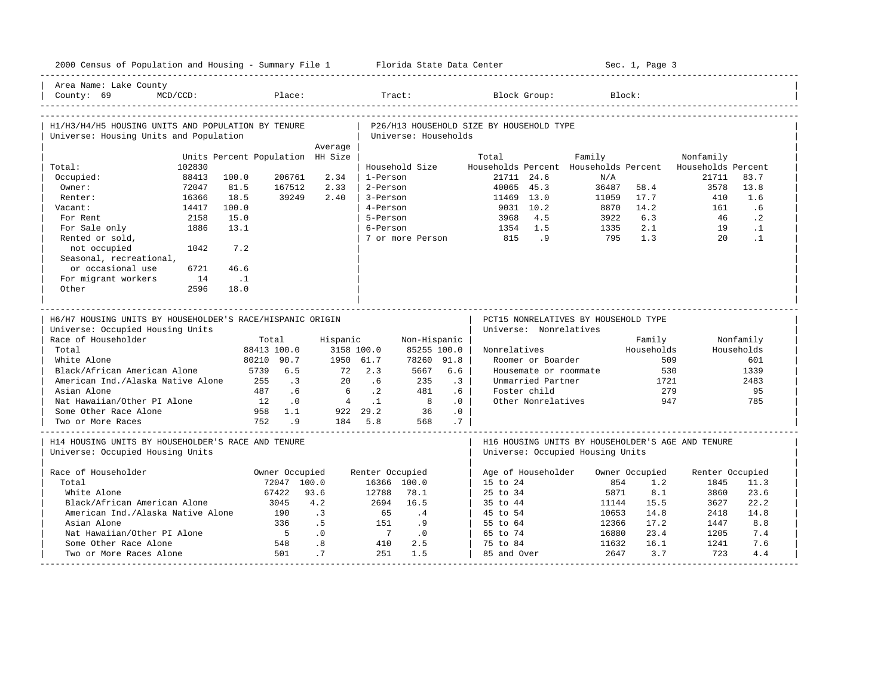| 2000 Census of Population and Housing - Summary File 1 Florida State Data Center |                 |                                  |                  |                 |                        |                      |                 |                                          |                        |                                              | Sec. 1, Page 3 |                                                   |            |
|----------------------------------------------------------------------------------|-----------------|----------------------------------|------------------|-----------------|------------------------|----------------------|-----------------|------------------------------------------|------------------------|----------------------------------------------|----------------|---------------------------------------------------|------------|
| Area Name: Lake County<br>County: 69                                             | $MCD/CCD$ :     |                                  | Place:           |                 | Tract:                 |                      |                 |                                          | Block Group:           |                                              | Block:         |                                                   |            |
| H1/H3/H4/H5 HOUSING UNITS AND POPULATION BY TENURE                               |                 |                                  |                  |                 |                        |                      |                 | P26/H13 HOUSEHOLD SIZE BY HOUSEHOLD TYPE |                        |                                              |                |                                                   |            |
| Universe: Housing Units and Population                                           |                 |                                  |                  |                 |                        | Universe: Households |                 |                                          |                        |                                              |                |                                                   |            |
|                                                                                  |                 |                                  |                  | Average         |                        |                      |                 |                                          |                        |                                              |                |                                                   |            |
|                                                                                  |                 | Units Percent Population HH Size |                  |                 |                        |                      |                 | Total                                    |                        | Family                                       |                | Nonfamily                                         |            |
| Total:                                                                           | 102830<br>88413 | 100.0                            | 206761           | 2.34            | 1-Person               | Household Size       |                 |                                          | 21711 24.6             | Households Percent Households Percent<br>N/A |                | Households Percent<br>21711                       | 83.7       |
| Occupied:<br>Owner:                                                              | 72047           | 81.5                             | 167512           | 2.33            | 2-Person               |                      |                 |                                          | 40065 45.3             | 36487                                        | 58.4           | 3578                                              | 13.8       |
| Renter:                                                                          | 16366           | 18.5                             | 39249            | 2.40            | 3-Person               |                      |                 | 11469 13.0                               |                        | 11059                                        | 17.7           | 410                                               | 1.6        |
| Vacant:                                                                          | 14417           | 100.0                            |                  |                 | 4-Person               |                      |                 |                                          | 9031 10.2              | 8870                                         | 14.2           | 161                                               | .6         |
| For Rent                                                                         | 2158            | 15.0                             |                  |                 | 5-Person               |                      |                 | 3968                                     | 4.5                    | 3922                                         | 6.3            | 46                                                | $\cdot$ 2  |
| For Sale only                                                                    | 1886            | 13.1                             |                  |                 | 6-Person               |                      |                 | 1354                                     | 1.5                    | 1335                                         | 2.1            | 19                                                | $\cdot$ 1  |
| Rented or sold,                                                                  |                 |                                  |                  |                 |                        | 7 or more Person     |                 | 815                                      | .9                     | 795                                          | 1.3            | $20^{\circ}$                                      | $\cdot$ 1  |
| not occupied                                                                     | 1042            | 7.2                              |                  |                 |                        |                      |                 |                                          |                        |                                              |                |                                                   |            |
| Seasonal, recreational,                                                          |                 |                                  |                  |                 |                        |                      |                 |                                          |                        |                                              |                |                                                   |            |
| or occasional use                                                                | 6721            | 46.6                             |                  |                 |                        |                      |                 |                                          |                        |                                              |                |                                                   |            |
| For migrant workers                                                              | 14              | $\ldots$ 1                       |                  |                 |                        |                      |                 |                                          |                        |                                              |                |                                                   |            |
| Other                                                                            | 2596            | 18.0                             |                  |                 |                        |                      |                 |                                          |                        |                                              |                |                                                   |            |
|                                                                                  |                 |                                  |                  |                 |                        |                      |                 |                                          |                        |                                              |                |                                                   |            |
|                                                                                  |                 |                                  |                  |                 |                        |                      |                 |                                          |                        |                                              |                |                                                   |            |
|                                                                                  |                 |                                  |                  |                 |                        |                      |                 |                                          |                        | _________________________________            |                |                                                   |            |
| H6/H7 HOUSING UNITS BY HOUSEHOLDER'S RACE/HISPANIC ORIGIN                        |                 |                                  |                  |                 |                        |                      |                 |                                          |                        | PCT15 NONRELATIVES BY HOUSEHOLD TYPE         |                |                                                   |            |
| Universe: Occupied Housing Units                                                 |                 |                                  |                  |                 |                        |                      |                 |                                          | Universe: Nonrelatives |                                              |                |                                                   |            |
| Race of Householder                                                              |                 |                                  | Total            | Hispanic        |                        | Non-Hispanic         |                 |                                          |                        |                                              | Family         |                                                   | Nonfamily  |
| Total                                                                            |                 |                                  | 88413 100.0      | 3158 100.0      |                        | 85255 100.0          |                 | Nonrelatives                             |                        |                                              | Households     |                                                   | Households |
| White Alone                                                                      |                 |                                  | 80210 90.7       | 1950 61.7       |                        | 78260 91.8           |                 |                                          | Roomer or Boarder      |                                              | 509            |                                                   | 601        |
| Black/African American Alone                                                     |                 | 5739                             | 6.5              | 72              | 2.3                    | 5667                 | 6.6             |                                          |                        | Housemate or roommate                        |                | 530                                               | 1339       |
| American Ind./Alaska Native Alone<br>Asian Alone                                 |                 | 255<br>487                       | $\cdot$ 3        | 2.0             | .6                     | 235                  | $\cdot$ 3       |                                          | Unmarried Partner      |                                              | 1721<br>279    |                                                   | 2483       |
|                                                                                  |                 | 12                               | .6               | 6               | $\cdot$ 2<br>$\cdot$ 1 | 481<br>$_{\rm 8}$    | .6<br>$\cdot$ 0 |                                          | Foster child           |                                              |                | 947                                               | 95<br>785  |
| Nat Hawaiian/Other PI Alone<br>Some Other Race Alone                             |                 | 958                              | $\cdot$ 0<br>1.1 | $4\overline{ }$ | 922 29.2               | 36                   | .0              |                                          | Other Nonrelatives     |                                              |                |                                                   |            |
| Two or More Races                                                                |                 | 752                              | 9 <sup>1</sup>   |                 | 184 5.8                | 568                  | .7              |                                          |                        |                                              |                |                                                   |            |
|                                                                                  |                 |                                  |                  |                 |                        |                      |                 |                                          |                        |                                              |                |                                                   |            |
| H14 HOUSING UNITS BY HOUSEHOLDER'S RACE AND TENURE                               |                 |                                  |                  |                 |                        |                      |                 |                                          |                        |                                              |                | H16 HOUSING UNITS BY HOUSEHOLDER'S AGE AND TENURE |            |
| Universe: Occupied Housing Units                                                 |                 |                                  |                  |                 |                        |                      |                 |                                          |                        | Universe: Occupied Housing Units             |                |                                                   |            |
|                                                                                  |                 |                                  |                  |                 |                        |                      |                 |                                          |                        |                                              |                |                                                   |            |
| Race of Householder                                                              |                 |                                  | Owner Occupied   |                 | Renter Occupied        |                      |                 |                                          | Age of Householder     |                                              | Owner Occupied | Renter Occupied                                   |            |
| Total                                                                            |                 |                                  | 72047 100.0      |                 |                        | 16366 100.0          |                 | 15 to 24                                 |                        | 854                                          | 1.2            | 1845                                              | 11.3       |
| White Alone                                                                      |                 |                                  | 67422            | 93.6            | 12788                  | 78.1                 |                 | 25 to 34                                 |                        | 5871                                         | 8.1            | 3860                                              | 23.6       |
| Black/African American Alone                                                     |                 |                                  | 3045             | 4.2             | 2694                   | 16.5                 |                 | 35 to 44                                 |                        | 11144                                        | 15.5           | 3627                                              | 22.2       |
| American Ind./Alaska Native Alone                                                |                 |                                  | 190              | $\cdot$ 3       | 65                     | .4                   |                 | 45 to 54                                 |                        | 10653                                        | 14.8           | 2418                                              | 14.8       |
| Asian Alone                                                                      |                 |                                  | 336              | .5              | 151                    | .9                   |                 | 55 to 64                                 |                        | 12366                                        | 17.2           | 1447                                              | 8.8        |
| Nat Hawaiian/Other PI Alone                                                      |                 |                                  | $-5$             | .0              | $\overline{7}$         | $\cdot$ 0            |                 | 65 to 74                                 |                        | 16880                                        | 23.4           | 1205                                              | 7.4        |
| Some Other Race Alone<br>Two or More Races Alone                                 |                 |                                  | 548<br>501       | .8<br>.7        | 410<br>251             | 2.5<br>1.5           |                 | 75 to 84<br>85 and Over                  |                        | 11632<br>2647                                | 16.1<br>3.7    | 1241<br>723                                       | 7.6<br>4.4 |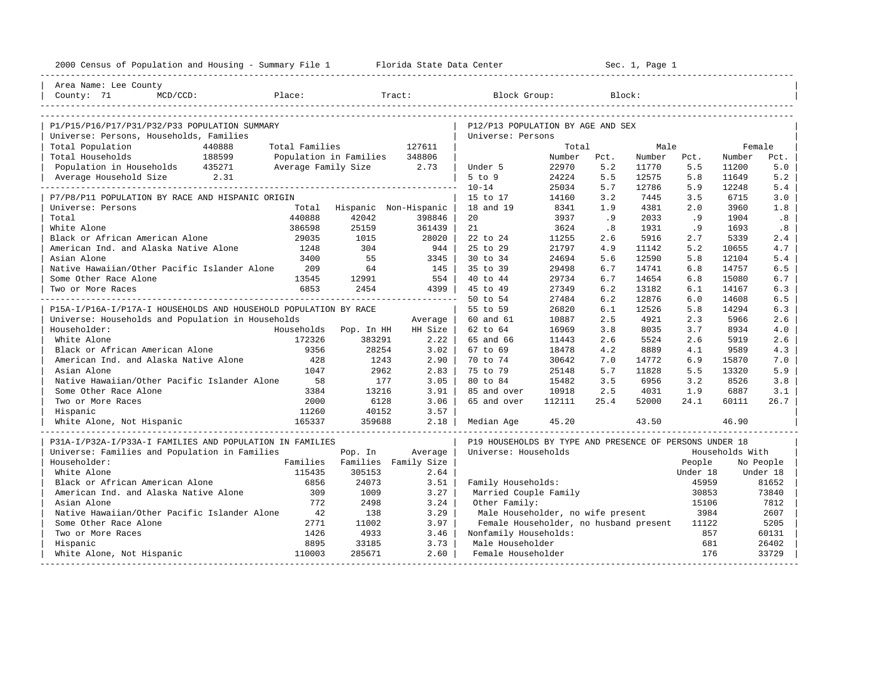| Area Name: Lee County<br>Place:<br>Tract:<br>Block Group:<br>County: 71<br>$MCD/CCD$ :<br>Block:<br>P1/P15/P16/P17/P31/P32/P33 POPULATION SUMMARY<br>P12/P13 POPULATION BY AGE AND SEX<br>Universe: Persons, Households, Families<br>Universe: Persons<br>Total Population<br>440888<br>Total Families<br>127611<br>Total<br>Male<br>Female<br>188599<br>Total Households<br>Population in Families<br>348806<br>Number<br>Number<br>Number<br>Pct.<br>Pct.<br>Pct.<br>Population in Households 435271<br>Average Family Size 2.73<br>22970<br>5.2<br>5.0<br>Under 5<br>11770<br>5.5<br>11200<br>Average Household Size 2.31<br>$5$ to $9$<br>5.5<br>5.8<br>11649<br>5.2<br>24224<br>12575<br>25034<br>5.7<br>$10 - 14$<br>12786<br>5.9<br>12248<br>5.4<br>14160<br>3.2<br>3.5<br>3.0<br>P7/P8/P11 POPULATION BY RACE AND HISPANIC ORIGIN<br>15 to 17<br>7445<br>6715<br>Hispanic Non-Hispanic<br>8341<br>1.8<br>Universe: Persons<br>Total<br>18 and 19<br>1.9<br>4381<br>2.0<br>3960<br>440888<br>Total<br>42042<br>3937<br>.9<br>2033<br>.9<br>1904<br>.8<br>398846<br>20<br>386598<br>25159<br>White Alone<br>361439<br>21<br>3624<br>.8<br>1931<br>. 9<br>1693<br>.8<br>11255<br>Black or African American Alone<br>29035<br>1015<br>28020<br>22 to 24<br>2.6<br>5916<br>2.7<br>5339<br>2.4<br>American Ind. and Alaska Native Alone<br>1248<br>304<br>21797<br>5.2<br>4.7<br>944 l<br>25 to 29<br>4.9<br>11142<br>10655<br>Asian Alone<br>3400<br>55<br>24694<br>12590<br>5.8<br>12104<br>5.4<br>3345<br>30 to 34<br>5.6<br>Native Hawaiian/Other Pacific Islander Alone<br>209<br>64<br>29498<br>6.7<br>6.8<br>14757<br>6.5<br>145  <br>35 to 39<br>14741<br>29734<br>Some Other Race Alone<br>13545<br>12991<br>554<br>40 to 44<br>6.7<br>14654<br>6.8<br>15080<br>6.7<br>6853<br>2454<br>4399  <br>45 to 49<br>27349<br>6.2<br>13182<br>6.1<br>14167<br>6.3<br>Two or More Races<br>50 to 54<br>27484<br>6.2<br>12876<br>6.0<br>14608<br>6.5<br>26820<br>P15A-I/P16A-I/P17A-I HOUSEHOLDS AND HOUSEHOLD POPULATION BY RACE<br>55 to 59<br>6.1<br>12526<br>5.8<br>14294<br>6.3<br>Universe: Households and Population in Households<br>2.3<br>60 and 61<br>10887<br>2.5<br>4921<br>5966<br>2.6<br>Average<br>16969<br>Householder:<br>Households Pop. In HH<br>HH Size<br>62 to 64<br>3.8<br>8035<br>3.7<br>8934<br>4.0<br>White Alone<br>172326<br>5524<br>383291<br>$2.22$  <br>65 and 66<br>11443<br>2.6<br>2.6<br>5919<br>2.6<br>Black or African American Alone<br>9356<br>28254<br>$3.02$  <br>18478<br>8889<br>67 to 69<br>4.2<br>4.1<br>9589<br>4.3 |
|--------------------------------------------------------------------------------------------------------------------------------------------------------------------------------------------------------------------------------------------------------------------------------------------------------------------------------------------------------------------------------------------------------------------------------------------------------------------------------------------------------------------------------------------------------------------------------------------------------------------------------------------------------------------------------------------------------------------------------------------------------------------------------------------------------------------------------------------------------------------------------------------------------------------------------------------------------------------------------------------------------------------------------------------------------------------------------------------------------------------------------------------------------------------------------------------------------------------------------------------------------------------------------------------------------------------------------------------------------------------------------------------------------------------------------------------------------------------------------------------------------------------------------------------------------------------------------------------------------------------------------------------------------------------------------------------------------------------------------------------------------------------------------------------------------------------------------------------------------------------------------------------------------------------------------------------------------------------------------------------------------------------------------------------------------------------------------------------------------------------------------------------------------------------------------------------------------------------------------------------------------------------------------------------------------------------------------------------------------------------------------------------------------------------------------------------------------------------------------------------------------------------------------------------------------------------|
|                                                                                                                                                                                                                                                                                                                                                                                                                                                                                                                                                                                                                                                                                                                                                                                                                                                                                                                                                                                                                                                                                                                                                                                                                                                                                                                                                                                                                                                                                                                                                                                                                                                                                                                                                                                                                                                                                                                                                                                                                                                                                                                                                                                                                                                                                                                                                                                                                                                                                                                                                                    |
|                                                                                                                                                                                                                                                                                                                                                                                                                                                                                                                                                                                                                                                                                                                                                                                                                                                                                                                                                                                                                                                                                                                                                                                                                                                                                                                                                                                                                                                                                                                                                                                                                                                                                                                                                                                                                                                                                                                                                                                                                                                                                                                                                                                                                                                                                                                                                                                                                                                                                                                                                                    |
|                                                                                                                                                                                                                                                                                                                                                                                                                                                                                                                                                                                                                                                                                                                                                                                                                                                                                                                                                                                                                                                                                                                                                                                                                                                                                                                                                                                                                                                                                                                                                                                                                                                                                                                                                                                                                                                                                                                                                                                                                                                                                                                                                                                                                                                                                                                                                                                                                                                                                                                                                                    |
|                                                                                                                                                                                                                                                                                                                                                                                                                                                                                                                                                                                                                                                                                                                                                                                                                                                                                                                                                                                                                                                                                                                                                                                                                                                                                                                                                                                                                                                                                                                                                                                                                                                                                                                                                                                                                                                                                                                                                                                                                                                                                                                                                                                                                                                                                                                                                                                                                                                                                                                                                                    |
|                                                                                                                                                                                                                                                                                                                                                                                                                                                                                                                                                                                                                                                                                                                                                                                                                                                                                                                                                                                                                                                                                                                                                                                                                                                                                                                                                                                                                                                                                                                                                                                                                                                                                                                                                                                                                                                                                                                                                                                                                                                                                                                                                                                                                                                                                                                                                                                                                                                                                                                                                                    |
|                                                                                                                                                                                                                                                                                                                                                                                                                                                                                                                                                                                                                                                                                                                                                                                                                                                                                                                                                                                                                                                                                                                                                                                                                                                                                                                                                                                                                                                                                                                                                                                                                                                                                                                                                                                                                                                                                                                                                                                                                                                                                                                                                                                                                                                                                                                                                                                                                                                                                                                                                                    |
|                                                                                                                                                                                                                                                                                                                                                                                                                                                                                                                                                                                                                                                                                                                                                                                                                                                                                                                                                                                                                                                                                                                                                                                                                                                                                                                                                                                                                                                                                                                                                                                                                                                                                                                                                                                                                                                                                                                                                                                                                                                                                                                                                                                                                                                                                                                                                                                                                                                                                                                                                                    |
|                                                                                                                                                                                                                                                                                                                                                                                                                                                                                                                                                                                                                                                                                                                                                                                                                                                                                                                                                                                                                                                                                                                                                                                                                                                                                                                                                                                                                                                                                                                                                                                                                                                                                                                                                                                                                                                                                                                                                                                                                                                                                                                                                                                                                                                                                                                                                                                                                                                                                                                                                                    |
|                                                                                                                                                                                                                                                                                                                                                                                                                                                                                                                                                                                                                                                                                                                                                                                                                                                                                                                                                                                                                                                                                                                                                                                                                                                                                                                                                                                                                                                                                                                                                                                                                                                                                                                                                                                                                                                                                                                                                                                                                                                                                                                                                                                                                                                                                                                                                                                                                                                                                                                                                                    |
|                                                                                                                                                                                                                                                                                                                                                                                                                                                                                                                                                                                                                                                                                                                                                                                                                                                                                                                                                                                                                                                                                                                                                                                                                                                                                                                                                                                                                                                                                                                                                                                                                                                                                                                                                                                                                                                                                                                                                                                                                                                                                                                                                                                                                                                                                                                                                                                                                                                                                                                                                                    |
|                                                                                                                                                                                                                                                                                                                                                                                                                                                                                                                                                                                                                                                                                                                                                                                                                                                                                                                                                                                                                                                                                                                                                                                                                                                                                                                                                                                                                                                                                                                                                                                                                                                                                                                                                                                                                                                                                                                                                                                                                                                                                                                                                                                                                                                                                                                                                                                                                                                                                                                                                                    |
|                                                                                                                                                                                                                                                                                                                                                                                                                                                                                                                                                                                                                                                                                                                                                                                                                                                                                                                                                                                                                                                                                                                                                                                                                                                                                                                                                                                                                                                                                                                                                                                                                                                                                                                                                                                                                                                                                                                                                                                                                                                                                                                                                                                                                                                                                                                                                                                                                                                                                                                                                                    |
|                                                                                                                                                                                                                                                                                                                                                                                                                                                                                                                                                                                                                                                                                                                                                                                                                                                                                                                                                                                                                                                                                                                                                                                                                                                                                                                                                                                                                                                                                                                                                                                                                                                                                                                                                                                                                                                                                                                                                                                                                                                                                                                                                                                                                                                                                                                                                                                                                                                                                                                                                                    |
|                                                                                                                                                                                                                                                                                                                                                                                                                                                                                                                                                                                                                                                                                                                                                                                                                                                                                                                                                                                                                                                                                                                                                                                                                                                                                                                                                                                                                                                                                                                                                                                                                                                                                                                                                                                                                                                                                                                                                                                                                                                                                                                                                                                                                                                                                                                                                                                                                                                                                                                                                                    |
|                                                                                                                                                                                                                                                                                                                                                                                                                                                                                                                                                                                                                                                                                                                                                                                                                                                                                                                                                                                                                                                                                                                                                                                                                                                                                                                                                                                                                                                                                                                                                                                                                                                                                                                                                                                                                                                                                                                                                                                                                                                                                                                                                                                                                                                                                                                                                                                                                                                                                                                                                                    |
|                                                                                                                                                                                                                                                                                                                                                                                                                                                                                                                                                                                                                                                                                                                                                                                                                                                                                                                                                                                                                                                                                                                                                                                                                                                                                                                                                                                                                                                                                                                                                                                                                                                                                                                                                                                                                                                                                                                                                                                                                                                                                                                                                                                                                                                                                                                                                                                                                                                                                                                                                                    |
|                                                                                                                                                                                                                                                                                                                                                                                                                                                                                                                                                                                                                                                                                                                                                                                                                                                                                                                                                                                                                                                                                                                                                                                                                                                                                                                                                                                                                                                                                                                                                                                                                                                                                                                                                                                                                                                                                                                                                                                                                                                                                                                                                                                                                                                                                                                                                                                                                                                                                                                                                                    |
|                                                                                                                                                                                                                                                                                                                                                                                                                                                                                                                                                                                                                                                                                                                                                                                                                                                                                                                                                                                                                                                                                                                                                                                                                                                                                                                                                                                                                                                                                                                                                                                                                                                                                                                                                                                                                                                                                                                                                                                                                                                                                                                                                                                                                                                                                                                                                                                                                                                                                                                                                                    |
|                                                                                                                                                                                                                                                                                                                                                                                                                                                                                                                                                                                                                                                                                                                                                                                                                                                                                                                                                                                                                                                                                                                                                                                                                                                                                                                                                                                                                                                                                                                                                                                                                                                                                                                                                                                                                                                                                                                                                                                                                                                                                                                                                                                                                                                                                                                                                                                                                                                                                                                                                                    |
|                                                                                                                                                                                                                                                                                                                                                                                                                                                                                                                                                                                                                                                                                                                                                                                                                                                                                                                                                                                                                                                                                                                                                                                                                                                                                                                                                                                                                                                                                                                                                                                                                                                                                                                                                                                                                                                                                                                                                                                                                                                                                                                                                                                                                                                                                                                                                                                                                                                                                                                                                                    |
|                                                                                                                                                                                                                                                                                                                                                                                                                                                                                                                                                                                                                                                                                                                                                                                                                                                                                                                                                                                                                                                                                                                                                                                                                                                                                                                                                                                                                                                                                                                                                                                                                                                                                                                                                                                                                                                                                                                                                                                                                                                                                                                                                                                                                                                                                                                                                                                                                                                                                                                                                                    |
|                                                                                                                                                                                                                                                                                                                                                                                                                                                                                                                                                                                                                                                                                                                                                                                                                                                                                                                                                                                                                                                                                                                                                                                                                                                                                                                                                                                                                                                                                                                                                                                                                                                                                                                                                                                                                                                                                                                                                                                                                                                                                                                                                                                                                                                                                                                                                                                                                                                                                                                                                                    |
|                                                                                                                                                                                                                                                                                                                                                                                                                                                                                                                                                                                                                                                                                                                                                                                                                                                                                                                                                                                                                                                                                                                                                                                                                                                                                                                                                                                                                                                                                                                                                                                                                                                                                                                                                                                                                                                                                                                                                                                                                                                                                                                                                                                                                                                                                                                                                                                                                                                                                                                                                                    |
|                                                                                                                                                                                                                                                                                                                                                                                                                                                                                                                                                                                                                                                                                                                                                                                                                                                                                                                                                                                                                                                                                                                                                                                                                                                                                                                                                                                                                                                                                                                                                                                                                                                                                                                                                                                                                                                                                                                                                                                                                                                                                                                                                                                                                                                                                                                                                                                                                                                                                                                                                                    |
|                                                                                                                                                                                                                                                                                                                                                                                                                                                                                                                                                                                                                                                                                                                                                                                                                                                                                                                                                                                                                                                                                                                                                                                                                                                                                                                                                                                                                                                                                                                                                                                                                                                                                                                                                                                                                                                                                                                                                                                                                                                                                                                                                                                                                                                                                                                                                                                                                                                                                                                                                                    |
| American Ind. and Alaska Native Alone<br>428<br>1243<br>$2.90$  <br>70 to 74<br>30642<br>7.0<br>14772<br>6.9<br>7.0                                                                                                                                                                                                                                                                                                                                                                                                                                                                                                                                                                                                                                                                                                                                                                                                                                                                                                                                                                                                                                                                                                                                                                                                                                                                                                                                                                                                                                                                                                                                                                                                                                                                                                                                                                                                                                                                                                                                                                                                                                                                                                                                                                                                                                                                                                                                                                                                                                                |
| 15870                                                                                                                                                                                                                                                                                                                                                                                                                                                                                                                                                                                                                                                                                                                                                                                                                                                                                                                                                                                                                                                                                                                                                                                                                                                                                                                                                                                                                                                                                                                                                                                                                                                                                                                                                                                                                                                                                                                                                                                                                                                                                                                                                                                                                                                                                                                                                                                                                                                                                                                                                              |
| 1047<br>2962<br>2.83<br>75 to 79<br>25148<br>5.9<br>Asian Alone<br>5.7<br>11828<br>5.5<br>13320                                                                                                                                                                                                                                                                                                                                                                                                                                                                                                                                                                                                                                                                                                                                                                                                                                                                                                                                                                                                                                                                                                                                                                                                                                                                                                                                                                                                                                                                                                                                                                                                                                                                                                                                                                                                                                                                                                                                                                                                                                                                                                                                                                                                                                                                                                                                                                                                                                                                    |
| Native Hawaiian/Other Pacific Islander Alone<br>177<br>3.05<br>15482<br>6956<br>3.8<br>58<br>80 to 84<br>3.5<br>3.2<br>8526<br>Some Other Race Alone                                                                                                                                                                                                                                                                                                                                                                                                                                                                                                                                                                                                                                                                                                                                                                                                                                                                                                                                                                                                                                                                                                                                                                                                                                                                                                                                                                                                                                                                                                                                                                                                                                                                                                                                                                                                                                                                                                                                                                                                                                                                                                                                                                                                                                                                                                                                                                                                               |
| 3384<br>13216<br>3.91<br>10918<br>2.5<br>4031<br>1.9<br>6887<br>3.1<br>85 and over                                                                                                                                                                                                                                                                                                                                                                                                                                                                                                                                                                                                                                                                                                                                                                                                                                                                                                                                                                                                                                                                                                                                                                                                                                                                                                                                                                                                                                                                                                                                                                                                                                                                                                                                                                                                                                                                                                                                                                                                                                                                                                                                                                                                                                                                                                                                                                                                                                                                                 |
| Two or More Races<br>2000<br>6128<br>3.06<br>112111<br>25.4<br>52000<br>24.1<br>60111<br>26.7<br>65 and over                                                                                                                                                                                                                                                                                                                                                                                                                                                                                                                                                                                                                                                                                                                                                                                                                                                                                                                                                                                                                                                                                                                                                                                                                                                                                                                                                                                                                                                                                                                                                                                                                                                                                                                                                                                                                                                                                                                                                                                                                                                                                                                                                                                                                                                                                                                                                                                                                                                       |
| 11260<br>40152<br>3.57<br>Hispanic<br>165337<br>White Alone, Not Hispanic<br>359688<br>2.18<br>45.20<br>43.50<br>46.90                                                                                                                                                                                                                                                                                                                                                                                                                                                                                                                                                                                                                                                                                                                                                                                                                                                                                                                                                                                                                                                                                                                                                                                                                                                                                                                                                                                                                                                                                                                                                                                                                                                                                                                                                                                                                                                                                                                                                                                                                                                                                                                                                                                                                                                                                                                                                                                                                                             |
| Median Age<br>----------------------------                                                                                                                                                                                                                                                                                                                                                                                                                                                                                                                                                                                                                                                                                                                                                                                                                                                                                                                                                                                                                                                                                                                                                                                                                                                                                                                                                                                                                                                                                                                                                                                                                                                                                                                                                                                                                                                                                                                                                                                                                                                                                                                                                                                                                                                                                                                                                                                                                                                                                                                         |
| P19 HOUSEHOLDS BY TYPE AND PRESENCE OF PERSONS UNDER 18<br>P31A-I/P32A-I/P33A-I FAMILIES AND POPULATION IN FAMILIES                                                                                                                                                                                                                                                                                                                                                                                                                                                                                                                                                                                                                                                                                                                                                                                                                                                                                                                                                                                                                                                                                                                                                                                                                                                                                                                                                                                                                                                                                                                                                                                                                                                                                                                                                                                                                                                                                                                                                                                                                                                                                                                                                                                                                                                                                                                                                                                                                                                |
| Universe: Families and Population in Families<br>Average<br>Universe: Households<br>Households With<br>Pop. In                                                                                                                                                                                                                                                                                                                                                                                                                                                                                                                                                                                                                                                                                                                                                                                                                                                                                                                                                                                                                                                                                                                                                                                                                                                                                                                                                                                                                                                                                                                                                                                                                                                                                                                                                                                                                                                                                                                                                                                                                                                                                                                                                                                                                                                                                                                                                                                                                                                     |
| Householder:<br>Families Families Family Size<br>People<br>No People                                                                                                                                                                                                                                                                                                                                                                                                                                                                                                                                                                                                                                                                                                                                                                                                                                                                                                                                                                                                                                                                                                                                                                                                                                                                                                                                                                                                                                                                                                                                                                                                                                                                                                                                                                                                                                                                                                                                                                                                                                                                                                                                                                                                                                                                                                                                                                                                                                                                                               |
| 115435<br>White Alone<br>305153<br>2.64<br>Under 18<br>Under 18                                                                                                                                                                                                                                                                                                                                                                                                                                                                                                                                                                                                                                                                                                                                                                                                                                                                                                                                                                                                                                                                                                                                                                                                                                                                                                                                                                                                                                                                                                                                                                                                                                                                                                                                                                                                                                                                                                                                                                                                                                                                                                                                                                                                                                                                                                                                                                                                                                                                                                    |
| Black or African American Alone<br>6856<br>Family Households:<br>24073<br>3.51<br>45959<br>81652                                                                                                                                                                                                                                                                                                                                                                                                                                                                                                                                                                                                                                                                                                                                                                                                                                                                                                                                                                                                                                                                                                                                                                                                                                                                                                                                                                                                                                                                                                                                                                                                                                                                                                                                                                                                                                                                                                                                                                                                                                                                                                                                                                                                                                                                                                                                                                                                                                                                   |
| American Ind. and Alaska Native Alone<br>309<br>1009<br>Married Couple Family<br>3.27<br>30853<br>73840                                                                                                                                                                                                                                                                                                                                                                                                                                                                                                                                                                                                                                                                                                                                                                                                                                                                                                                                                                                                                                                                                                                                                                                                                                                                                                                                                                                                                                                                                                                                                                                                                                                                                                                                                                                                                                                                                                                                                                                                                                                                                                                                                                                                                                                                                                                                                                                                                                                            |
| Asian Alone<br>772<br>3.24<br>Other Family:<br>15106<br>7812<br>2498                                                                                                                                                                                                                                                                                                                                                                                                                                                                                                                                                                                                                                                                                                                                                                                                                                                                                                                                                                                                                                                                                                                                                                                                                                                                                                                                                                                                                                                                                                                                                                                                                                                                                                                                                                                                                                                                                                                                                                                                                                                                                                                                                                                                                                                                                                                                                                                                                                                                                               |
| Native Hawaiian/Other Pacific Islander Alone<br>42<br>138<br>3.29<br>Male Householder, no wife present<br>3984<br>2607                                                                                                                                                                                                                                                                                                                                                                                                                                                                                                                                                                                                                                                                                                                                                                                                                                                                                                                                                                                                                                                                                                                                                                                                                                                                                                                                                                                                                                                                                                                                                                                                                                                                                                                                                                                                                                                                                                                                                                                                                                                                                                                                                                                                                                                                                                                                                                                                                                             |
| Some Other Race Alone<br>2771<br>3.97<br>Female Householder, no husband present<br>11122<br>5205<br>11002                                                                                                                                                                                                                                                                                                                                                                                                                                                                                                                                                                                                                                                                                                                                                                                                                                                                                                                                                                                                                                                                                                                                                                                                                                                                                                                                                                                                                                                                                                                                                                                                                                                                                                                                                                                                                                                                                                                                                                                                                                                                                                                                                                                                                                                                                                                                                                                                                                                          |
| Two or More Races<br>1426<br>4933<br>3.46<br>Nonfamily Households:<br>857<br>60131                                                                                                                                                                                                                                                                                                                                                                                                                                                                                                                                                                                                                                                                                                                                                                                                                                                                                                                                                                                                                                                                                                                                                                                                                                                                                                                                                                                                                                                                                                                                                                                                                                                                                                                                                                                                                                                                                                                                                                                                                                                                                                                                                                                                                                                                                                                                                                                                                                                                                 |
| Hispanic<br>8895<br>33185<br>3.73<br>Male Householder<br>681<br>26402                                                                                                                                                                                                                                                                                                                                                                                                                                                                                                                                                                                                                                                                                                                                                                                                                                                                                                                                                                                                                                                                                                                                                                                                                                                                                                                                                                                                                                                                                                                                                                                                                                                                                                                                                                                                                                                                                                                                                                                                                                                                                                                                                                                                                                                                                                                                                                                                                                                                                              |
| 176<br>White Alone, Not Hispanic<br>110003<br>285671<br>$2.60$  <br>Female Householder<br>33729                                                                                                                                                                                                                                                                                                                                                                                                                                                                                                                                                                                                                                                                                                                                                                                                                                                                                                                                                                                                                                                                                                                                                                                                                                                                                                                                                                                                                                                                                                                                                                                                                                                                                                                                                                                                                                                                                                                                                                                                                                                                                                                                                                                                                                                                                                                                                                                                                                                                    |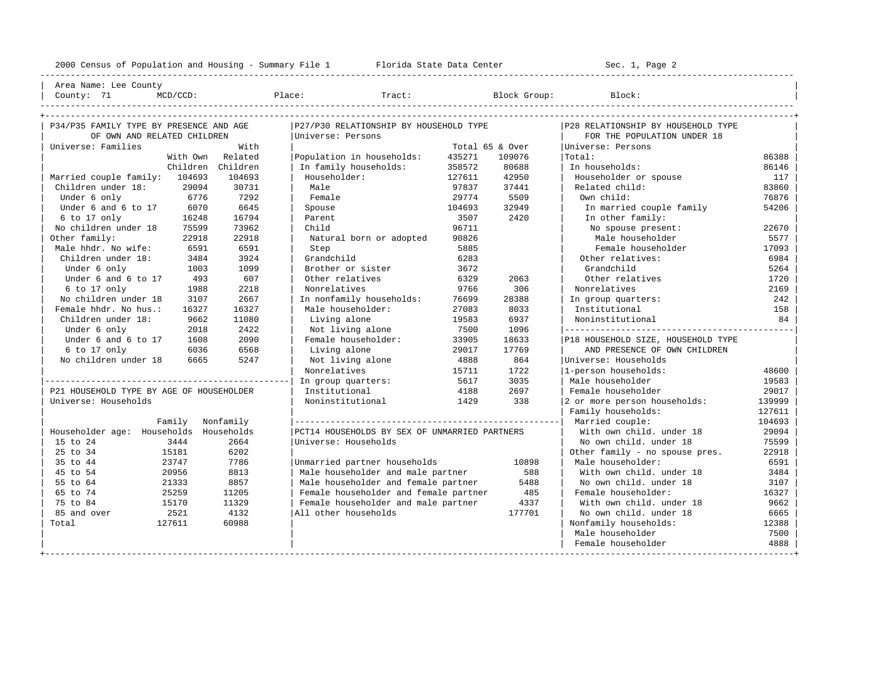2000 Census of Population and Housing - Summary File 1 Florida State Data Center Sec. 1, Page 2 ---------------------------------------------------------------------------------------------------------------------------------------------------- Area Name: Lee County | County: 71 MCD/CCD: Place: Tract: Block Group: Block: | ---------------------------------------------------------------------------------------------------------------------------------------------------- +---------------------------------------------------------------------------------------------------------------------------------------------------+ | P34/P35 FAMILY TYPE BY PRESENCE AND AGE |P27/P30 RELATIONSHIP BY HOUSEHOLD TYPE |P28 RELATIONSHIP BY HOUSEHOLD TYPE | | OF OWN AND RELATED CHILDREN |Universe: Persons | FOR THE POPULATION UNDER 18 | | Universe: Families With | Total 65 & Over |Universe: Persons | With Own Related | Population in households: 435271 109076 | Total: 35838 | The Children Children | In family households: 358572 80688 | In households: 86146 | Children Children | In family households: 358572 80688 | In households: 86146 | | Married couple family: 104693 104693 | Householder: 127611 42950 | Householder or spouse 117 | | Children under 18: 29094 30731 | Male 97837 37441 | Related child: 83860 | | Under 6 only 6776 7292 | Female 29774 5509 | Own child: 76876 | | Under 6 and 6 to 17  $\,$  6070  $\,$  6645  $\,$  | Spouse  $\,$   $\,$  104693  $\,$  32949  $\,$  | In married couple family  $\,$  54206  $\,$  6 to 17 only  $\,$  16248  $\,$  16794  $\,$  | Parent  $\,$  3507  $\,$  2420  $\,$  |  $\,$  In other | 6 to 17 only 16248 16794 | Parent 3507 2420 | In other family: | | No children under 18 75599 73962 | Child 96711 | No spouse present: 22670 | | Other family: 22918 22918 | Natural born or adopted 90826 | Male householder 5577 | | Male hhdr. No wife: 6591 6591 | Step 5885 | Female householder 17093 | | Children under 18: 3484 3924 | Grandchild 6283 | Other relatives: 6984 | Under 6 only 1003 1099 | Brother or sister 3672 | Grandchild 5264 5264 | Under 6 and 6 to 17 493 607 | Other relatives 6329 2063 | Other relatives 1720 | | 6 to 17 only 1988 2218 | Nonrelatives 9766 306 | Nonrelatives 2169 | | No children under 18 3107 2667 | In nonfamily households: 76699 28388 | In group quarters: 242 | | Female hhdr. No hus.: 16327 16327 | Male householder: 27083 8033 | Institutional 158 | Children under 18: 9662 11080 | Living alone 19583 6937 | Under 6 only 2018 2422 | Not living alone 7500 1096 |---------------------------------------------|

| Universe: Households |            |            | Noninstitutional                              | 1429 | 338    | 2 or more person households:   | 139999 |
|----------------------|------------|------------|-----------------------------------------------|------|--------|--------------------------------|--------|
|                      |            |            |                                               |      |        | Family households:             | 127611 |
|                      | Family     | Nonfamily  |                                               |      |        | Married couple:                | 104693 |
| Householder age:     | Households | Households | PCT14 HOUSEHOLDS BY SEX OF UNMARRIED PARTNERS |      |        | With own child, under 18       | 29094  |
| 15 to 24             | 3444       | 2664       | Universe: Households                          |      |        | No own child, under 18         | 75599  |
| 25 to 34             | 15181      | 6202       |                                               |      |        | Other family - no spouse pres. | 22918  |
| 35 to 44             | 23747      | 7786       | Unmarried partner households                  |      | 10898  | Male householder:              | 6591   |
| 45 to 54             | 20956      | 8813       | Male householder and male partner             |      | 588    | With own child, under 18       | 3484   |
| 55 to 64             | 21333      | 8857       | Male householder and female partner           |      | 5488   | No own child, under 18         | 3107   |
| 65 to 74             | 25259      | 11205      | Female householder and female partner         |      | 485    | Female householder:            | 16327  |
| 75 to 84             | 15170      | 11329      | Female householder and male partner           |      | 4337   | With own child, under 18       | 9662   |
| 85 and over          | 2521       | 4132       | All other households                          |      | 177701 | No own child, under 18         | 6665   |
| Total                | 127611     | 60988      |                                               |      |        | Nonfamily households:          | 12388  |
|                      |            |            |                                               |      |        | Male householder               | 7500   |
|                      |            |            |                                               |      |        | Female householder             | 4888   |
|                      |            |            |                                               |      |        |                                |        |

|------------------------------------------------| In group quarters: 5617 3035 | Male householder 19583 | | P21 HOUSEHOLD TYPE BY AGE OF HOUSEHOLDER | Institutional 4188 2697 | Female householder 29017 |

| Under 6 and 6 to 17 1608 2090 | Female householder: 33905 18633 |P18 HOUSEHOLD SIZE, HOUSEHOLD TYPE | | 6 to 17 only 6036 6568 | Living alone 29017 17769 | AND PRESENCE OF OWN CHILDREN |

| | Nonrelatives 15711 1722 |1-person households: 48600 |

No children under 18 6665 5247 | Not living alone 4888 864 |Universe: Households | Nonrelatives | Nonrelatives | 15711 1722 | 1-person households | Nonrelatives | Nonrelatives | 15711 1722 | 1-person households | 15711 172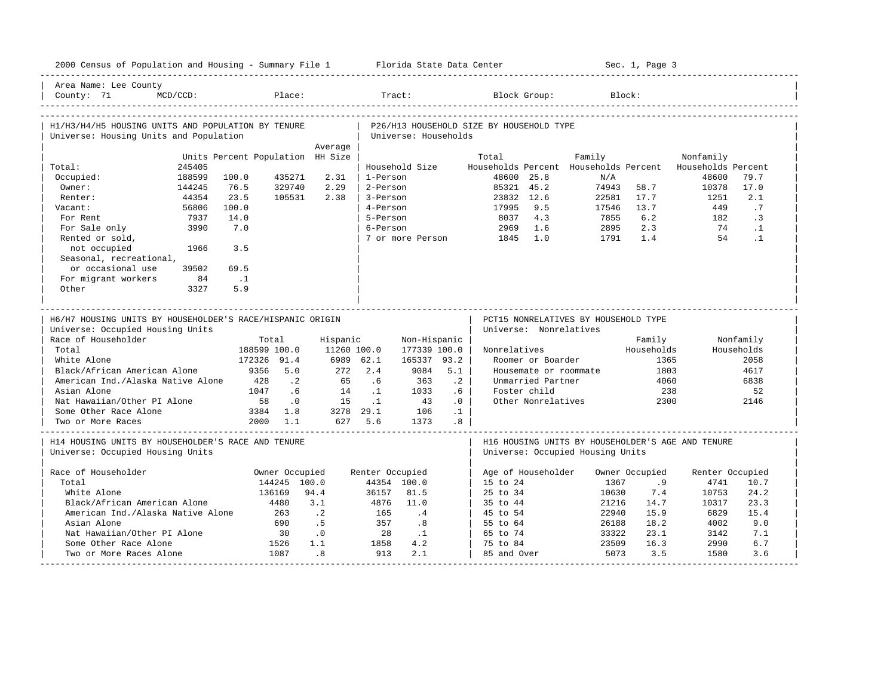| 2000 Census of Population and Housing - Summary File 1 Florida State Data Center             |          |                                  |                                |             |                 |                      |                 |                                          |                        |                                       | Sec. 1, Page 3       |                                                   |            |
|----------------------------------------------------------------------------------------------|----------|----------------------------------|--------------------------------|-------------|-----------------|----------------------|-----------------|------------------------------------------|------------------------|---------------------------------------|----------------------|---------------------------------------------------|------------|
| Area Name: Lee County<br>County: 71                                                          | MCD/CCD: |                                  | Place:                         |             | Tract:          |                      |                 |                                          | Block Group:           |                                       | Block:               |                                                   |            |
| H1/H3/H4/H5 HOUSING UNITS AND POPULATION BY TENURE<br>Universe: Housing Units and Population |          |                                  |                                |             |                 | Universe: Households |                 | P26/H13 HOUSEHOLD SIZE BY HOUSEHOLD TYPE |                        |                                       |                      |                                                   |            |
|                                                                                              |          |                                  |                                | Average     |                 |                      |                 |                                          |                        |                                       |                      |                                                   |            |
|                                                                                              |          | Units Percent Population HH Size |                                |             |                 |                      |                 | Total                                    |                        | Family                                |                      | Nonfamily                                         |            |
| Total:                                                                                       | 245405   |                                  |                                |             |                 | Household Size       |                 |                                          |                        | Households Percent Households Percent |                      | Households Percent                                |            |
| Occupied:                                                                                    | 188599   | 100.0                            | 435271                         | 2.31        | 1-Person        |                      |                 | 48600 25.8                               |                        | N/A                                   |                      | 48600                                             | 79.7       |
| Owner:                                                                                       | 144245   | 76.5                             | 329740                         | 2.29        | 2-Person        |                      |                 | 85321 45.2                               |                        | 74943                                 | 58.7                 | 10378                                             | 17.0       |
| Renter:                                                                                      | 44354    | 23.5                             | 105531                         | 2.38        | 3-Person        |                      |                 | 23832 12.6                               |                        | 22581                                 | 17.7                 | 1251                                              | 2.1        |
| Vacant:                                                                                      | 56806    | 100.0                            |                                |             | 4-Person        |                      |                 | 17995                                    | 9.5                    | 17546                                 | 13.7                 | 449                                               | .7         |
| For Rent                                                                                     | 7937     | 14.0                             |                                |             | 5-Person        |                      |                 | 8037                                     | 4.3                    | 7855                                  | 6.2                  | 182                                               | .3         |
| For Sale only                                                                                | 3990     | 7.0                              |                                |             | 6-Person        |                      |                 | 2969                                     | 1.6                    | 2895                                  | 2.3                  | 74                                                | $\cdot$ 1  |
| Rented or sold,                                                                              |          |                                  |                                |             |                 | 7 or more Person     |                 | 1845                                     | 1.0                    | 1791                                  | 1.4                  | 54                                                | $\cdot$ 1  |
| not occupied                                                                                 | 1966     | 3.5                              |                                |             |                 |                      |                 |                                          |                        |                                       |                      |                                                   |            |
| Seasonal, recreational,                                                                      |          |                                  |                                |             |                 |                      |                 |                                          |                        |                                       |                      |                                                   |            |
| or occasional use                                                                            | 39502    | 69.5                             |                                |             |                 |                      |                 |                                          |                        |                                       |                      |                                                   |            |
| For migrant workers                                                                          | 84       | $\ldots$ 1                       |                                |             |                 |                      |                 |                                          |                        |                                       |                      |                                                   |            |
| Other                                                                                        | 3327     | 5.9                              |                                |             |                 |                      |                 |                                          |                        |                                       |                      |                                                   |            |
|                                                                                              |          |                                  |                                |             |                 |                      |                 |                                          |                        |                                       |                      |                                                   |            |
|                                                                                              |          |                                  |                                |             |                 |                      |                 |                                          |                        |                                       |                      |                                                   |            |
| H6/H7 HOUSING UNITS BY HOUSEHOLDER'S RACE/HISPANIC ORIGIN                                    |          |                                  |                                |             |                 |                      |                 |                                          |                        |                                       |                      |                                                   |            |
|                                                                                              |          |                                  |                                |             |                 |                      |                 |                                          |                        | PCT15 NONRELATIVES BY HOUSEHOLD TYPE  |                      |                                                   |            |
| Universe: Occupied Housing Units                                                             |          |                                  |                                |             |                 |                      |                 |                                          | Universe: Nonrelatives |                                       |                      |                                                   |            |
| Race of Householder                                                                          |          |                                  | Total                          | Hispanic    |                 | Non-Hispanic         |                 |                                          |                        |                                       | Family               |                                                   | Nonfamily  |
| Total                                                                                        |          | 188599 100.0                     |                                | 11260 100.0 |                 | 177339 100.0         |                 | Nonrelatives                             |                        |                                       | Households           |                                                   | Households |
| White Alone                                                                                  |          | 172326 91.4                      |                                | 6989 62.1   |                 | 165337 93.2          |                 |                                          | Roomer or Boarder      |                                       | 1365                 |                                                   | 2058       |
| Black/African American Alone                                                                 |          | 9356                             | 5.0                            | 272         | 2.4             | 9084                 | 5.1             |                                          | Housemate or roommate  |                                       | 1803                 |                                                   | 4617       |
| American Ind./Alaska Native Alone                                                            |          | 428                              | $\cdot$ 2                      | 65          | .6              | 363                  | $\cdot$ 2       |                                          | Unmarried Partner      |                                       | 4060                 |                                                   | 6838       |
| Asian Alone                                                                                  |          | 1047                             | .6                             | 14          | $\cdot$ 1       | 1033                 | .6              |                                          | Foster child           |                                       | 238                  |                                                   | 52         |
| Nat Hawaiian/Other PI Alone                                                                  |          | 58                               | .0                             | 15          | $\cdot$ 1       | 43                   | .0              |                                          | Other Nonrelatives     |                                       | 2300                 |                                                   | 2146       |
| Some Other Race Alone                                                                        |          | 3384                             | 1.8                            | 3278 29.1   |                 | 106                  | $\cdot$ 1       |                                          |                        |                                       |                      |                                                   |            |
| Two or More Races                                                                            |          |                                  | 2000 1.1                       |             | 627 5.6         | 1373                 | .8 <sub>0</sub> |                                          |                        |                                       |                      |                                                   |            |
|                                                                                              |          |                                  |                                |             |                 |                      |                 |                                          |                        |                                       |                      |                                                   |            |
| H14 HOUSING UNITS BY HOUSEHOLDER'S RACE AND TENURE                                           |          |                                  |                                |             |                 |                      |                 |                                          |                        |                                       |                      | H16 HOUSING UNITS BY HOUSEHOLDER'S AGE AND TENURE |            |
| Universe: Occupied Housing Units                                                             |          |                                  |                                |             |                 |                      |                 |                                          |                        | Universe: Occupied Housing Units      |                      |                                                   |            |
|                                                                                              |          |                                  |                                |             |                 |                      |                 |                                          |                        |                                       |                      |                                                   |            |
| Race of Householder<br>Total                                                                 |          |                                  | Owner Occupied<br>144245 100.0 |             | Renter Occupied | 44354 100.0          |                 | 15 to 24                                 | Age of Householder     | 1367                                  | Owner Occupied<br>.9 | Renter Occupied<br>4741                           | 10.7       |
| White Alone                                                                                  |          |                                  | 136169                         | 94.4        | 36157           | 81.5                 |                 | 25 to 34                                 |                        | 10630                                 | 7.4                  | 10753                                             | 24.2       |
| Black/African American Alone                                                                 |          |                                  | 4480                           | 3.1         | 4876            | 11.0                 |                 | 35 to 44                                 |                        | 21216                                 | 14.7                 | 10317                                             | 23.3       |
| American Ind./Alaska Native Alone                                                            |          |                                  | 263                            | $\cdot$ 2   | 165             | .4                   |                 | 45 to 54                                 |                        | 22940                                 | 15.9                 | 6829                                              | 15.4       |
| Asian Alone                                                                                  |          |                                  | 690                            | .5          | 357             | .8                   |                 | 55 to 64                                 |                        | 26188                                 | 18.2                 | 4002                                              | 9.0        |
| Nat Hawaiian/Other PI Alone                                                                  |          |                                  | 30                             | $\cdot$ 0   | 28              | $\cdot$ 1            |                 | 65 to 74                                 |                        | 33322                                 | 23.1                 | 3142                                              | 7.1        |
| Some Other Race Alone                                                                        |          |                                  | 1526                           | 1.1         | 1858            | 4.2                  |                 | 75 to 84                                 |                        | 23509                                 | 16.3                 | 2990                                              | 6.7        |
| Two or More Races Alone                                                                      |          |                                  | 1087                           | .8          | 913             | 2.1                  |                 | 85 and Over                              |                        | 5073                                  | 3.5                  | 1580                                              | 3.6        |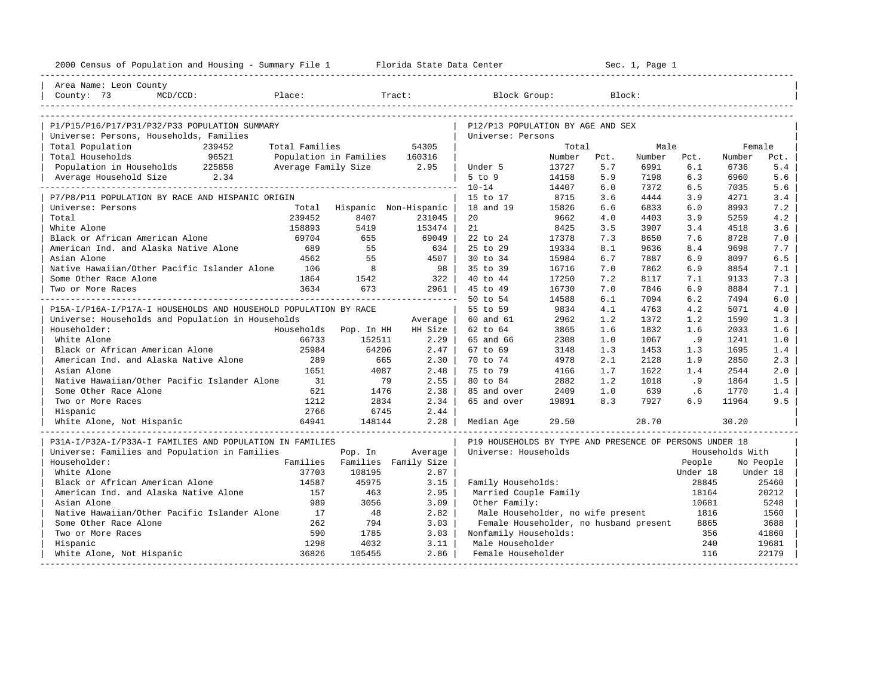| 2000 Census of Population and Housing - Summary File 1 Florida State Data Center |                |                               |                |                                                         |        |      | Sec. 1, Page 1 |          |                 |           |
|----------------------------------------------------------------------------------|----------------|-------------------------------|----------------|---------------------------------------------------------|--------|------|----------------|----------|-----------------|-----------|
| Area Name: Leon County                                                           |                |                               |                |                                                         |        |      |                |          |                 |           |
| Place:<br>County: 73<br>$MCD/CCD$ :                                              |                |                               | Tract:         | Block Group:                                            |        |      | Block:         |          |                 |           |
|                                                                                  |                |                               |                |                                                         |        |      |                |          |                 |           |
| P1/P15/P16/P17/P31/P32/P33 POPULATION SUMMARY                                    |                |                               |                | P12/P13 POPULATION BY AGE AND SEX                       |        |      |                |          |                 |           |
| Universe: Persons, Households, Families                                          |                |                               |                | Universe: Persons                                       |        |      |                |          |                 |           |
| Total Population<br>239452                                                       | Total Families |                               | 54305          |                                                         | Total  |      | Male           |          | Female          |           |
| 96521<br>Total Households                                                        |                | Population in Families 160316 |                |                                                         | Number | Pct. | Number         | Pct.     | Number          | Pct.      |
| Population in Households 225858                                                  |                | Average Family Size 2.95      |                | Under 5                                                 | 13727  | 5.7  | 6991           | 6.1      | 6736            | 5.4       |
| Average Household Size 2.34                                                      |                |                               |                | $5$ to $9$                                              | 14158  | 5.9  | 7198           | 6.3      | 6960            | 5.6       |
|                                                                                  |                |                               |                | $10 - 14$                                               | 14407  | 6.0  | 7372           | 6.5      | 7035            | 5.6       |
| P7/P8/P11 POPULATION BY RACE AND HISPANIC ORIGIN                                 |                |                               |                | 15 to 17                                                | 8715   | 3.6  | 4444           | 3.9      | 4271            | 3.4       |
| Universe: Persons                                                                |                | Total Hispanic Non-Hispanic   |                | 18 and 19                                               | 15826  | 6.6  | 6833           | 6.0      | 8993            | 7.2       |
| Total                                                                            | 239452         | 8407                          | 231045         | 20                                                      | 9662   | 4.0  | 4403           | 3.9      | 5259            | 4.2       |
| White Alone                                                                      | 158893         | 5419                          | 153474         | 21                                                      | 8425   | 3.5  | 3907           | 3.4      | 4518            | 3.6       |
| Black or African American Alone                                                  | 69704          | 655                           | 69049          | 22 to 24                                                | 17378  | 7.3  | 8650           | 7.6      | 8728            | 7.0       |
| American Ind. and Alaska Native Alone                                            | 689            | 55                            | 634            | 25 to 29                                                | 19334  | 8.1  | 9636           | 8.4      | 9698            | 7.7       |
| Asian Alone                                                                      | 4562           | 55                            | $4507$         | 30 to 34                                                | 15984  | 6.7  | 7887           | 6.9      | 8097            | 6.5       |
| Native Hawaiian/Other Pacific Islander Alone                                     | 106            | 8                             | 98             | 35 to 39                                                | 16716  | 7.0  | 7862           | 6.9      | 8854            | 7.1       |
| Some Other Race Alone                                                            | 1864           | 1542                          | 322            | 40 to 44                                                | 17250  | 7.2  | 8117           | 7.1      | 9133            | 7.3       |
| Two or More Races                                                                | 3634           | 673                           | $2961$         | 45 to 49                                                | 16730  | 7.0  | 7846           | 6.9      | 8884            | 7.1       |
|                                                                                  |                |                               |                | 50 to 54                                                | 14588  | 6.1  | 7094           | 6.2      | 7494            | 6.0       |
| P15A-I/P16A-I/P17A-I HOUSEHOLDS AND HOUSEHOLD POPULATION BY RACE                 |                |                               |                | 55 to 59                                                | 9834   | 4.1  | 4763           | 4.2      | 5071            | 4.0       |
| Universe: Households and Population in Households                                |                |                               | Average        | 60 and 61                                               | 2962   | 1.2  | 1372           | 1.2      | 1590            | 1.3       |
| Householder:                                                                     |                | Households Pop. In HH         | HH Size        | 62 to 64                                                | 3865   | 1.6  | 1832           | 1.6      | 2033            | 1.6       |
| White Alone                                                                      | 66733          | 152511                        | 2.29           | 65 and 66                                               | 2308   | 1.0  | 1067           | .9       | 1241            | 1.0       |
| Black or African American Alone                                                  | 25984          | 64206                         | $2.47 \;   \;$ | 67 to 69                                                | 3148   | 1.3  | 1453           | 1.3      | 1695            | 1.4       |
| American Ind. and Alaska Native Alone                                            | 289            | 665                           | $2.30$         | 70 to 74                                                | 4978   | 2.1  | 2128           | 1.9      | 2850            | 2.3       |
| Asian Alone                                                                      | 1651           | 4087                          | 2.48           | 75 to 79                                                | 4166   | 1.7  | 1622           | 1.4      | 2544            | 2.0       |
| Native Hawaiian/Other Pacific Islander Alone                                     | 31             | 79                            | 2.55           | 80 to 84                                                | 2882   | 1.2  | 1018           | .9       | 1864            | 1.5       |
| Some Other Race Alone                                                            | 621            | 1476                          | 2.38           | 85 and over                                             | 2409   | 1.0  | 639            | .6       | 1770            | 1.4       |
| Two or More Races                                                                | 1212           | 2834                          | 2.34           | 65 and over                                             | 19891  | 8.3  | 7927           | 6.9      | 11964           | 9.5       |
| Hispanic                                                                         | 2766           | 6745                          | 2.44           |                                                         |        |      |                |          |                 |           |
| White Alone, Not Hispanic                                                        | 64941          | 148144                        | 2.28           | Median Age                                              | 29.50  |      | 28.70          |          | 30.20           |           |
| P31A-I/P32A-I/P33A-I FAMILIES AND POPULATION IN FAMILIES                         |                |                               |                | P19 HOUSEHOLDS BY TYPE AND PRESENCE OF PERSONS UNDER 18 |        |      |                |          |                 |           |
| Universe: Families and Population in Families                                    |                | Pop. In                       | Average        | Universe: Households                                    |        |      |                |          | Households With |           |
| Householder:                                                                     |                | Families Families Family Size |                |                                                         |        |      |                | People   |                 | No People |
| White Alone                                                                      | 37703          | 108195                        | 2.87           |                                                         |        |      |                | Under 18 |                 | Under 18  |
| Black or African American Alone                                                  | 14587          | 45975                         | 3.15           | Family Households:                                      |        |      |                | 28845    |                 | 25460     |
| American Ind. and Alaska Native Alone                                            | 157            | 463                           | 2.95           | Married Couple Family                                   |        |      |                | 18164    |                 | 20212     |
| Asian Alone                                                                      | 989            | 3056                          | 3.09           | Other Family:                                           |        |      |                | 10681    |                 | 5248      |
| Native Hawaiian/Other Pacific Islander Alone                                     | 17             | 48                            | 2.82           | Male Householder, no wife present                       |        |      |                | 1816     |                 | 1560      |
| Some Other Race Alone                                                            | 262            | 794                           | 3.03           | Female Householder, no husband present                  |        |      |                | 8865     |                 | 3688      |
| Two or More Races                                                                | 590            | 1785                          | 3.03           | Nonfamily Households:                                   |        |      |                | 356      |                 | 41860     |
| Hispanic                                                                         | 1298           | 4032                          | 3.11           | Male Householder                                        |        |      |                | 240      |                 | 19681     |
| White Alone, Not Hispanic                                                        | 36826          | 105455                        | 2.86           | Female Householder                                      |        |      |                | 116      |                 | 22179     |
|                                                                                  |                |                               |                |                                                         |        |      |                |          |                 |           |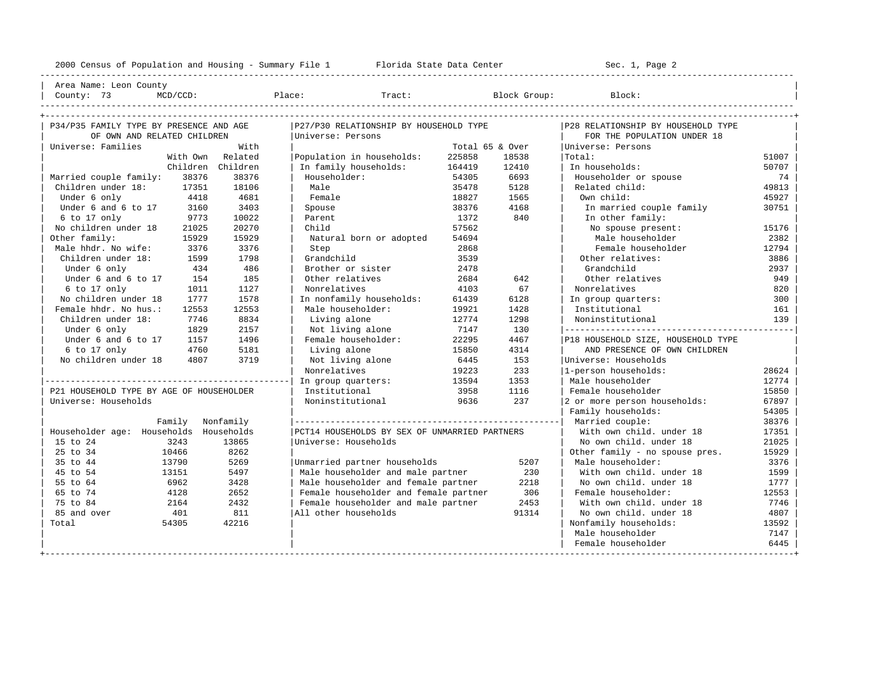2000 Census of Population and Housing - Summary File 1 Florida State Data Center Sec. 1, Page 2 ---------------------------------------------------------------------------------------------------------------------------------------------------- Area Name: Leon County | County: 73 MCD/CCD: Place: Tract: Block Group: Block: | ---------------------------------------------------------------------------------------------------------------------------------------------------- +---------------------------------------------------------------------------------------------------------------------------------------------------+ | P34/P35 FAMILY TYPE BY PRESENCE AND AGE |P27/P30 RELATIONSHIP BY HOUSEHOLD TYPE |P28 RELATIONSHIP BY HOUSEHOLD TYPE | | OF OWN AND RELATED CHILDREN |Universe: Persons | FOR THE POPULATION UNDER 18 | | Universe: Families With | Total 65 & Over |Universe: Persons | With Own Related | Population in households: 225858 18538 | Total: 51007<br>Children Children | Infamily households: 164419 12410 | Infhouseholds: 50707 | Children Children | In family households: 164419 12410 | In households: 50707 | | Married couple family: 38376 38376 | Householder: 54305 6693 | Householder or spouse 74 | | Children under 18: 17351 18106 | Male 35478 5128 | Related child: 49813<br>| Under 6 only 4418 4681 | Female 35478 18827 1565 | Own child: 45927 45927 | Under 6 only 4418 4681 | Female 18827 1565 | Own child: 45927 | Under 6 and 6 to 17 and 160 3403 | Spouse 38376 4168 | In married couple family 30751<br>1972 | Social America 1372 440 | In other family: | 6 to 17 only 9773 10022 | Parent 1372 840 | In other family: | | No children under 18 21025 20270 | Child 57562 | No spouse present: 15176 | 0ther family: 15929 15929 | Natural born or adopted 54694 | Male householder 2382 | Male hhdr. No wife: 3376 3376 | Step 2868 | Female householder 12794<br>| Children under 18: 1599 1798 | Grandchild 3539 | Other relatives: 3886 | Children under 18: 1599 1798 | Grandchild 3539 | Other relatives: 3886 | | Under 6 only 434 486 | Brother or sister 2478 | Grandchild 2937 | Under 6 and 6 to 17 154 185 | Other relatives 2684 642 | Other relatives 949 | 6 to 17 only 1011 1127 | Nonrelatives 4103 67 | Nonrelatives 820 | In nonfamily households: 61439 6128 | In group quarters: | Female hhdr. No hus.: 12553 12553 | Male householder: 19921 1428 | Institutional 161 | 161 | 161 | 161 | 162<br>| Children under 18: 1746 18834 | Living alone 12774 1298 | Noninstitutional 139 | Children under 18: 7746 8834 | Living alone 12774 1298 | Noninstitutional 139 | | Under 6 only 1829 2157 | Not living alone 7147 130 |---------------------------------------------| Under 6 and 6 to 17 1157 1496 | Female householder: 22295 4467 | P18 HOUSEHOLD SIZE, HOUSEHOLD TYPE<br>6 to 17 only 1760 5181 | Living alone 15850 4314 | AND PRESENCE OF OWN CHILDREN % to 17 only 1760 5181 | Living alone 15850 4314 | AND PRESENCE OF OWN CHILDREN | CHILDREN | CHILDREN | CHILDREN | CHILDREN | CHILDREN | CHILDREN | NOC CHILDREN | NOC CHILDREN | STATE | NOC LIVING alone 16445 153 | Univers No children under 18 4807 3719 | Not living alone 6445 153 | Universe: Households<br>| Nonrelatives | 19223 233 | 1-person households: | | Nonrelatives 19223 233 |1-person households: 28624 | |------------------------------------------------| In group quarters: 13594 1353 | Male householder 12774 | | P21 HOUSEHOLD TYPE BY AGE OF HOUSEHOLDER | Institutional 3958 1116 | Female householder 15850 | Universe: Households | Noninstitutional 9636 237 | 2 or more person households: 67897 Family households: 54305 | Family Nonfamily |----------------------------------------------------| Married couple: 38376 | | Householder age: Households Households |PCT14 HOUSEHOLDS BY SEX OF UNMARRIED PARTNERS | With own child. under 18 17351 | | 15 to 24 3243 13865 |Universe: Households | No own child. under 18 21025 |

% 35 to 44 13790 5269 |Unmarried partner households 5207 | Male householder: 3376 3376<br>13151 5497 | Male householder and male partner 330 | With own child. under 18 1599 | 45 to 54 13151 5497 | Male householder and male partner 230 | With own child. under 18 1599 | | 55 to 64 6962 3428 | Male householder and female partner 2218 | No own child. under 18 1777 | | 652 | Female householder and female partner 1306 | Female householder: 12553 | Female householder and male partner 1453 | With own child. under 18 17746<br>| 12573 | Female householder and male partner 1453 | With own child | 75 to 84 2164 2432 | Female householder and male partner 2453 | With own child. under 18 7746 | | 85 and over 401 811 |All other households 91314 | No own child. under 18 4807 | | Total 54305 42216 | | Nonfamily households: 13592 |

| 25 to 34 10466 8262 | | Other family - no spouse pres. 15929 |

+---------------------------------------------------------------------------------------------------------------------------------------------------+

| Male householder 7147 | Female householder 6445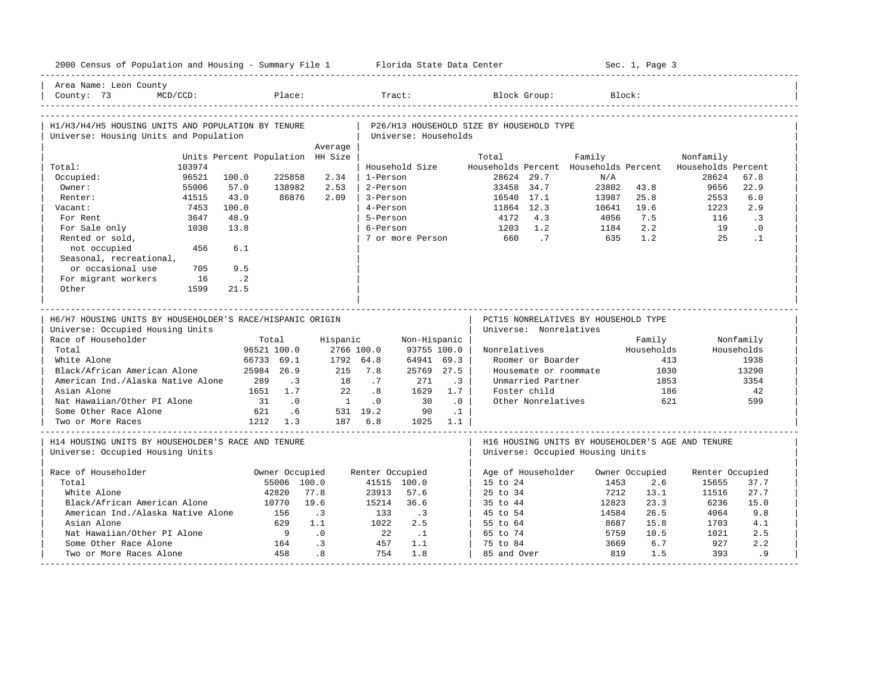| 2000 Census of Population and Housing - Summary File 1 Florida State Data Center |             |                                  |                          |                 |                 |                          |           |                                          |                                            |                                       | Sec. 1, Page 3 |                                                   |               |
|----------------------------------------------------------------------------------|-------------|----------------------------------|--------------------------|-----------------|-----------------|--------------------------|-----------|------------------------------------------|--------------------------------------------|---------------------------------------|----------------|---------------------------------------------------|---------------|
| Area Name: Leon County<br>County: 73                                             | $MCD/CCD$ : |                                  | Place:                   |                 |                 | Tract:                   |           |                                          | Block Group:                               |                                       | Block:         |                                                   |               |
|                                                                                  |             |                                  |                          |                 |                 |                          |           |                                          |                                            |                                       |                |                                                   |               |
| H1/H3/H4/H5 HOUSING UNITS AND POPULATION BY TENURE                               |             |                                  |                          |                 |                 | Universe: Households     |           | P26/H13 HOUSEHOLD SIZE BY HOUSEHOLD TYPE |                                            |                                       |                |                                                   |               |
| Universe: Housing Units and Population                                           |             |                                  |                          | Average         |                 |                          |           |                                          |                                            |                                       |                |                                                   |               |
|                                                                                  |             | Units Percent Population HH Size |                          |                 |                 |                          |           | Total                                    |                                            | Family                                |                | Nonfamily                                         |               |
| Total:                                                                           | 103974      |                                  |                          |                 |                 | Household Size           |           |                                          |                                            | Households Percent Households Percent |                | Households Percent                                |               |
| Occupied:                                                                        | 96521       | 100.0                            | 225858                   | 2.34            | 1-Person        |                          |           |                                          | 28624 29.7                                 | N/A                                   |                | 28624                                             | 67.8          |
| Owner:                                                                           | 55006       | 57.0                             | 138982                   | 2.53            | 2-Person        |                          |           |                                          | 33458 34.7                                 | 23802                                 | 43.8           | 9656                                              | 22.9          |
| Renter:                                                                          | 41515       | 43.0                             | 86876                    | 2.09            | 3-Person        |                          |           |                                          | 16540 17.1                                 | 13987                                 | 25.8           | 2553                                              | 6.0           |
| Vacant:                                                                          | 7453        | 100.0                            |                          |                 | 4-Person        |                          |           |                                          | 11864 12.3                                 | 10641                                 | 19.6           | 1223                                              | 2.9           |
| For Rent                                                                         | 3647        | 48.9                             |                          |                 | 5-Person        |                          |           | 4172                                     | 4.3                                        | 4056                                  | 7.5            | 116                                               | $\cdot$ 3     |
| For Sale only                                                                    | 1030        | 13.8                             |                          |                 | 6-Person        |                          |           | 1203                                     | 1.2                                        | 1184                                  | 2.2            | 19                                                | $\cdot$ 0     |
| Rented or sold,                                                                  |             |                                  |                          |                 |                 | 7 or more Person         |           | 660                                      | $\cdot$ 7                                  | 635                                   | 1.2            | 25                                                | $\cdot$ 1     |
| not occupied                                                                     | 456         | 6.1                              |                          |                 |                 |                          |           |                                          |                                            |                                       |                |                                                   |               |
| Seasonal, recreational,                                                          |             |                                  |                          |                 |                 |                          |           |                                          |                                            |                                       |                |                                                   |               |
| or occasional use                                                                | 705         | 9.5                              |                          |                 |                 |                          |           |                                          |                                            |                                       |                |                                                   |               |
| For migrant workers                                                              | 16          | $\cdot$ . 2                      |                          |                 |                 |                          |           |                                          |                                            |                                       |                |                                                   |               |
| Other                                                                            | 1599        | 21.5                             |                          |                 |                 |                          |           |                                          |                                            |                                       |                |                                                   |               |
|                                                                                  |             |                                  |                          |                 |                 |                          |           |                                          |                                            |                                       |                |                                                   |               |
|                                                                                  |             |                                  |                          |                 |                 |                          |           |                                          |                                            |                                       |                |                                                   |               |
|                                                                                  |             |                                  |                          |                 |                 |                          |           |                                          |                                            |                                       |                |                                                   |               |
| H6/H7 HOUSING UNITS BY HOUSEHOLDER'S RACE/HISPANIC ORIGIN                        |             |                                  |                          |                 |                 |                          |           |                                          |                                            | PCT15 NONRELATIVES BY HOUSEHOLD TYPE  |                |                                                   |               |
| Universe: Occupied Housing Units                                                 |             |                                  |                          |                 |                 |                          |           |                                          | Universe: Nonrelatives                     |                                       |                |                                                   |               |
| Race of Householder                                                              |             |                                  | Total                    | Hispanic        |                 | Non-Hispanic             |           |                                          |                                            |                                       | Family         |                                                   | Nonfamily     |
| Total                                                                            |             |                                  | 96521 100.0              | 2766 100.0      |                 | 93755 100.0              |           | Nonrelatives                             |                                            |                                       | Households     | 413                                               | Households    |
| White Alone<br>Black/African American Alone                                      |             |                                  | 66733 69.1<br>25984 26.9 | 1792 64.8       | 215 7.8         | 64941 69.3<br>25769 27.5 |           |                                          | Roomer or Boarder<br>Housemate or roommate |                                       | 1030           |                                                   | 1938<br>13290 |
| American Ind./Alaska Native Alone                                                |             | 289                              | $\cdot$ 3                | 18              | .7              | 271                      | $\cdot$ 3 |                                          | Unmarried Partner                          |                                       | 1853           |                                                   | 3354          |
| Asian Alone                                                                      |             |                                  | 1651 1.7                 | 2.2             | .8              | 1629                     | 1.7       |                                          | Foster child                               |                                       | 186            |                                                   | 42            |
| Nat Hawaiian/Other PI Alone                                                      |             | 31                               | $\overline{0}$ .         | $\overline{1}$  | $\cdot$ 0       | 30                       | $\cdot$ 0 |                                          | Other Nonrelatives                         |                                       |                | 621                                               | 599           |
| Some Other Race Alone                                                            |             | 621                              | .6                       |                 | 531 19.2        | 90                       | $\cdot$ 1 |                                          |                                            |                                       |                |                                                   |               |
| Two or More Races                                                                |             |                                  | 1212 1.3                 |                 | 187 6.8         | 1025                     | 1.1       |                                          |                                            |                                       |                |                                                   |               |
|                                                                                  |             |                                  |                          |                 |                 |                          |           |                                          |                                            |                                       |                |                                                   |               |
| H14 HOUSING UNITS BY HOUSEHOLDER'S RACE AND TENURE                               |             |                                  |                          |                 |                 |                          |           |                                          |                                            |                                       |                | H16 HOUSING UNITS BY HOUSEHOLDER'S AGE AND TENURE |               |
| Universe: Occupied Housing Units                                                 |             |                                  |                          |                 |                 |                          |           |                                          |                                            | Universe: Occupied Housing Units      |                |                                                   |               |
|                                                                                  |             |                                  |                          |                 |                 |                          |           |                                          |                                            |                                       |                |                                                   |               |
| Race of Householder                                                              |             |                                  | Owner Occupied           |                 | Renter Occupied |                          |           |                                          | Age of Householder                         |                                       | Owner Occupied | Renter Occupied                                   |               |
| Total                                                                            |             |                                  | 55006 100.0              |                 |                 | 41515 100.0              |           | 15 to 24                                 |                                            | 1453                                  | 2.6            | 15655                                             | 37.7          |
| White Alone                                                                      |             |                                  | 42820                    | 77.8            | 23913           | 57.6                     |           | 25 to 34                                 |                                            | 7212                                  | 13.1           | 11516                                             | 27.7          |
| Black/African American Alone                                                     |             |                                  | 10770                    | 19.6            | 15214           | 36.6                     |           | 35 to 44                                 |                                            | 12823                                 | 23.3           | 6236                                              | 15.0          |
| American Ind./Alaska Native Alone                                                |             |                                  | 156                      | $\cdot$ 3       | 133             | $\cdot$ 3                |           | 45 to 54                                 |                                            | 14584                                 | 26.5           | 4064                                              | 9.8           |
| Asian Alone                                                                      |             |                                  | 629                      | 1.1             | 1022            | 2.5                      |           | 55 to 64                                 |                                            | 8687                                  | 15.8           | 1703                                              | 4.1           |
| Nat Hawaiian/Other PI Alone                                                      |             |                                  | 9                        | .0              | 22              | $\cdot$ 1                |           | 65 to 74                                 |                                            | 5759                                  | 10.5           | 1021                                              | 2.5           |
| Some Other Race Alone<br>Two or More Races Alone                                 |             |                                  | 164<br>458               | $\cdot$ 3<br>.8 | 457<br>754      | 1.1<br>1.8               |           | 75 to 84<br>85 and Over                  |                                            | 3669<br>819                           | 6.7<br>1.5     | 927<br>393                                        | 2.2<br>.9     |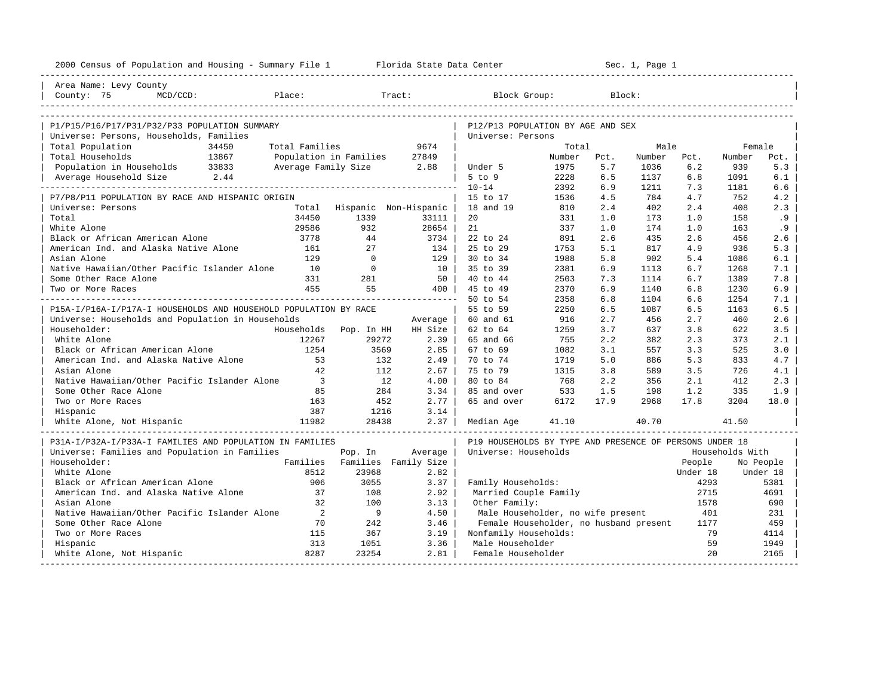| 2000 Census of Population and Housing - Summary File 1 Florida State Data Center |                          |                          |                             |                                                         |        |        | Sec. 1, Page 1 |          |                 |           |
|----------------------------------------------------------------------------------|--------------------------|--------------------------|-----------------------------|---------------------------------------------------------|--------|--------|----------------|----------|-----------------|-----------|
| Area Name: Levy County                                                           |                          |                          |                             |                                                         |        |        |                |          |                 |           |
| Place:<br>County: 75<br>$MCD/CCD$ :                                              |                          |                          | Tract:                      | Block Group:                                            |        | Block: |                |          |                 |           |
|                                                                                  |                          |                          |                             |                                                         |        |        |                |          |                 |           |
| P1/P15/P16/P17/P31/P32/P33 POPULATION SUMMARY                                    |                          |                          |                             | P12/P13 POPULATION BY AGE AND SEX                       |        |        |                |          |                 |           |
| Universe: Persons, Households, Families                                          |                          |                          |                             | Universe: Persons                                       |        |        |                |          |                 |           |
| Total Population<br>34450                                                        | Total Families           |                          | 9674                        |                                                         | Total  |        | Male           |          | Female          |           |
| Total Households<br>13867                                                        |                          | Population in Families   | 27849                       |                                                         | Number | Pct.   | Number         | Pct.     | Number          | Pct.      |
| Population in Households 33833                                                   |                          | Average Family Size 2.88 |                             | Under 5                                                 | 1975   | 5.7    | 1036           | 6.2      | 939             | 5.3       |
| 2.44<br>Average Household Size                                                   |                          |                          |                             | $5$ to $9$                                              | 2228   | 6.5    | 1137           | 6.8      | 1091            | 6.1       |
|                                                                                  |                          |                          |                             | $10 - 14$                                               | 2392   | 6.9    | 1211           | 7.3      | 1181            | 6.6       |
| P7/P8/P11 POPULATION BY RACE AND HISPANIC ORIGIN                                 |                          |                          |                             | 15 to 17                                                | 1536   | 4.5    | 784            | 4.7      | 752             | 4.2       |
| Universe: Persons                                                                |                          |                          | Total Hispanic Non-Hispanic | 18 and 19                                               | 810    | 2.4    | 402            | 2.4      | 408             | 2.3       |
| Total                                                                            | 34450                    | 1339                     | 33111                       | 20                                                      | 331    | 1.0    | 173            | 1.0      | 158             | .9        |
| White Alone                                                                      | 29586                    | 932                      | 28654                       | 21                                                      | 337    | 1.0    | 174            | 1.0      | 163             | .9        |
| Black or African American Alone                                                  | 3778                     | 44                       | 3734                        | 22 to 24                                                | 891    | 2.6    | 435            | 2.6      | 456             | 2.6       |
| American Ind. and Alaska Native Alone                                            | 161                      | 2.7                      | 134                         | 25 to 29                                                | 1753   | 5.1    | 817            | 4.9      | 936             | 5.3       |
| Asian Alone                                                                      | 129                      | $\Omega$                 | $129$                       | 30 to 34                                                | 1988   | 5.8    | 902            | 5.4      | 1086            | 6.1       |
| Native Hawaiian/Other Pacific Islander Alone                                     | 10                       | $\overline{0}$           | 10 <sup>1</sup>             | 35 to 39                                                | 2381   | 6.9    | 1113           | 6.7      | 1268            | 7.1       |
| Some Other Race Alone                                                            | 331                      | 281                      | 50                          | 40 to 44                                                | 2503   | 7.3    | 1114           | 6.7      | 1389            | 7.8       |
| Two or More Races                                                                | 455                      | 55                       | 400 l                       | 45 to 49                                                | 2370   | 6.9    | 1140           | 6.8      | 1230            | 6.9       |
|                                                                                  |                          |                          | ______________________      | 50 to 54                                                | 2358   | 6.8    | 1104           | 6.6      | 1254            | 7.1       |
| P15A-I/P16A-I/P17A-I HOUSEHOLDS AND HOUSEHOLD POPULATION BY RACE                 |                          |                          |                             | 55 to 59                                                | 2250   | 6.5    | 1087           | 6.5      | 1163            | 6.5       |
| Universe: Households and Population in Households                                |                          |                          | Average                     | 60 and 61                                               | 916    | 2.7    | 456            | 2.7      | 460             | 2.6       |
| Householder:                                                                     | Households               | Pop. In HH               | HH Size                     | 62 to 64                                                | 1259   | 3.7    | 637            | 3.8      | 622             | 3.5       |
| White Alone                                                                      | 12267                    | 29272                    | 2.39                        | 65 and 66                                               | 755    | 2.2    | 382            | 2.3      | 373             | 2.1       |
| Black or African American Alone                                                  | 1254                     | 3569                     | $2.85$                      | 67 to 69                                                | 1082   | 3.1    | 557            | 3.3      | 525             | 3.0       |
| American Ind. and Alaska Native Alone                                            | 53                       | 132                      | 2.49                        | 70 to 74                                                | 1719   | 5.0    | 886            | 5.3      | 833             | 4.7       |
| Asian Alone                                                                      | 42                       | 112                      | 2.67                        | 75 to 79                                                | 1315   | 3.8    | 589            | 3.5      | 726             | 4.1       |
| Native Hawaiian/Other Pacific Islander Alone                                     | $\overline{\phantom{a}}$ | 12                       | 4.00                        | 80 to 84                                                | 768    | 2.2    | 356            | 2.1      | 412             | 2.3       |
| Some Other Race Alone                                                            | 85                       | 284                      | 3.34                        | 85 and over                                             | 533    | 1.5    | 198            | 1.2      | 335             | 1.9       |
| Two or More Races                                                                | 163                      | 452                      | $2.77$                      | 65 and over                                             | 6172   | 17.9   | 2968           | 17.8     | 3204            | 18.0      |
| Hispanic                                                                         | 387                      | 1216                     | 3.14                        |                                                         |        |        |                |          |                 |           |
| White Alone, Not Hispanic                                                        | 11982                    | 28438                    | $2.37 \;  $                 | Median Age                                              | 41.10  |        | 40.70          |          | 41.50           |           |
| P31A-I/P32A-I/P33A-I FAMILIES AND POPULATION IN FAMILIES                         |                          |                          |                             | P19 HOUSEHOLDS BY TYPE AND PRESENCE OF PERSONS UNDER 18 |        |        |                |          |                 |           |
| Universe: Families and Population in Families                                    |                          | Pop. In                  | Average                     | Universe: Households                                    |        |        |                |          | Households With |           |
| Householder:                                                                     | Families                 |                          | Families Family Size        |                                                         |        |        |                | People   |                 | No People |
| White Alone                                                                      | 8512                     | 23968                    | 2.82                        |                                                         |        |        |                | Under 18 |                 | Under 18  |
| Black or African American Alone                                                  | 906                      | 3055                     | 3.37                        | Family Households:                                      |        |        |                | 4293     |                 | 5381      |
| American Ind. and Alaska Native Alone                                            | 37                       | 108                      | 2.92                        | Married Couple Family                                   |        |        |                | 2715     |                 | 4691      |
| Asian Alone                                                                      | 32                       | 100                      | 3.13                        | Other Family:                                           |        |        |                | 1578     |                 | 690       |
| Native Hawaiian/Other Pacific Islander Alone                                     | 2                        | 9                        | 4.50                        | Male Householder, no wife present                       |        |        |                | 401      |                 | 231       |
| Some Other Race Alone                                                            | 70                       | 242                      | 3.46                        | Female Householder, no husband present                  |        |        |                | 1177     |                 | 459       |
| Two or More Races                                                                | 115                      | 367                      | 3.19                        | Nonfamily Households:                                   |        |        |                | 79       |                 | 4114      |
| Hispanic                                                                         | 313                      | 1051                     | 3.36                        | Male Householder                                        |        |        |                | 59       |                 | 1949      |
| White Alone, Not Hispanic                                                        | 8287                     | 23254                    | 2.81                        | Female Householder                                      |        |        |                | 2.0      |                 | 2165      |
|                                                                                  |                          |                          |                             |                                                         |        |        |                |          |                 |           |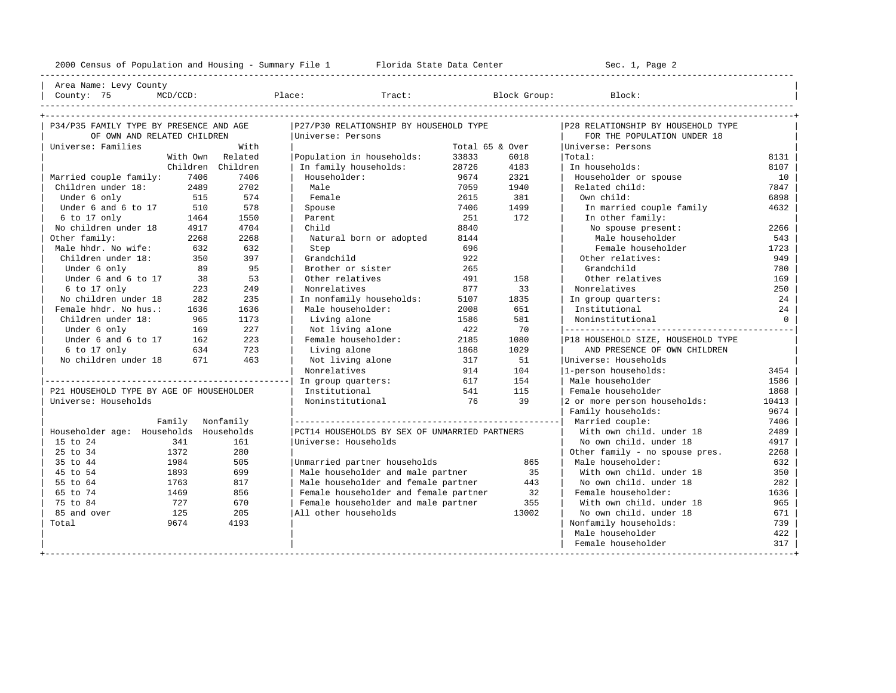---------------------------------------------------------------------------------------------------------------------------------------------------- | Area Name: Levy County | | County: 75 MCD/CCD: Place: Tract: Block Group: Block: | ---------------------------------------------------------------------------------------------------------------------------------------------------- +---------------------------------------------------------------------------------------------------------------------------------------------------+ | P34/P35 FAMILY TYPE BY PRESENCE AND AGE |P27/P30 RELATIONSHIP BY HOUSEHOLD TYPE |P28 RELATIONSHIP BY HOUSEHOLD TYPE | | OF OWN AND RELATED CHILDREN |Universe: Persons | FOR THE POPULATION UNDER 18 | | Universe: Families With | Total 65 & Over |Universe: Persons | | With Own Related |Population in households: 33833 6018 |Total: 8131 | | Children Children | In family households: 28726 4183 | In households: 8107 |

| Universe: Families                       |          | With              |                                               | Total 65 & Over |       | Universe: Persons                  |          |
|------------------------------------------|----------|-------------------|-----------------------------------------------|-----------------|-------|------------------------------------|----------|
|                                          | With Own | Related           | Population in households:                     | 33833           | 6018  | Total:                             | 8131     |
|                                          |          | Children Children | In family households:                         | 28726           | 4183  | In households:                     | 8107     |
| Married couple family:                   | 7406     | 7406              | Householder:                                  | 9674            | 2321  | Householder or spouse              | 10       |
| Children under 18:                       | 2489     | 2702              | Male                                          | 7059            | 1940  | Related child:                     | 7847     |
| Under 6 only                             | 515      | 574               | Female                                        | 2615            | 381   | Own child:                         | 6898     |
| Under 6 and 6 to 17 510                  |          | 578               | Spouse                                        | 7406            | 1499  | In married couple family           | 4632     |
| $6$ to 17 only                           | 1464     | 1550              | Parent                                        | 251             | 172   | In other family:                   |          |
| No children under 18                     | 4917     | 4704              | Child                                         | 8840            |       | No spouse present:                 | 2266     |
| Other family:                            | 2268     | 2268              | Natural born or adopted                       | 8144            |       | Male householder                   | 543      |
| Male hhdr. No wife: 632                  |          | 632               | Step                                          | 696             |       | Female householder                 | 1723     |
| Children under 18:                       | 350      | 397               | Grandchild                                    | 922             |       | Other relatives:                   | 949      |
| Under 6 only                             | 89       | 95                | Brother or sister                             | 265             |       | Grandchild                         | 780      |
| Under 6 and 6 to 17                      | 38       | 53                | Other relatives                               | 491             | 158   | Other relatives                    | 169      |
| 6 to 17 only                             | 223      | 249               | Nonrelatives                                  | 877             | 33    | Nonrelatives                       | 250      |
| No children under 18                     | 282      | 235               | In nonfamily households:                      | 5107            | 1835  | In group quarters:                 | 24       |
| Female hhdr. No hus.:                    | 1636     | 1636              | Male householder:                             | 2008            | 651   | Institutional                      | 24       |
| Children under 18:                       | 965      | 1173              | Living alone                                  | 1586            | 581   | Noninstitutional                   | $\Omega$ |
| Under 6 only                             | 169      | 227               | Not living alone                              | 422             | 70    |                                    |          |
| Under 6 and 6 to 17 162                  |          | 223               | Female householder:                           | 2185            | 1080  | P18 HOUSEHOLD SIZE, HOUSEHOLD TYPE |          |
| 6 to 17 only                             | 634      | 723               | Living alone                                  | 1868            | 1029  | AND PRESENCE OF OWN CHILDREN       |          |
| No children under 18 671                 |          | 463               | Not living alone                              | 317             | 51    | Universe: Households               |          |
|                                          |          |                   | Nonrelatives                                  | 914             | 104   | 1-person households:               | 3454     |
|                                          |          |                   | In group quarters:                            | 617             | 154   | Male householder                   | 1586     |
| P21 HOUSEHOLD TYPE BY AGE OF HOUSEHOLDER |          |                   | Institutional                                 | 541             | 115   | Female householder                 | 1868     |
| Universe: Households                     |          |                   | Noninstitutional                              | 76              | 39    | 2 or more person households:       | 10413    |
|                                          |          |                   |                                               |                 |       | Family households:                 | 9674     |
|                                          | Family   | Nonfamily         |                                               |                 |       |                                    | 7406     |
| Householder age: Households Households   |          |                   | PCT14 HOUSEHOLDS BY SEX OF UNMARRIED PARTNERS |                 |       | With own child, under 18           | 2489     |
| 15 to 24                                 | 341      | 161               | Universe: Households                          |                 |       | No own child. under 18             | 4917     |
| 25 to 34                                 | 1372     | 280               |                                               |                 |       | Other family - no spouse pres.     | 2268     |
| 35 to 44                                 | 1984     | 505               | Unmarried partner households                  |                 | 865   | Male householder:                  | 632      |
| 45 to 54                                 | 1893     | 699               | Male householder and male partner             |                 | 35    | With own child, under 18           | 350      |
| 55 to 64                                 | 1763     | 817               | Male householder and female partner           |                 | 443   | No own child. under 18             | 282      |
| 65 to 74                                 | 1469     | 856               | Female householder and female partner         |                 | 32    | Female householder:                | 1636     |
| 75 to 84                                 | 727      | 670               | Female householder and male partner           |                 | 355   | With own child, under 18           | 965      |
| 85 and over                              | 125      | 205               | All other households                          |                 | 13002 | No own child. under 18             | 671      |
| Total                                    | 9674     | 4193              |                                               |                 |       | Nonfamily households:              | 739      |
|                                          |          |                   |                                               |                 |       | Male householder                   | 422      |
|                                          |          |                   |                                               |                 |       | Female householder                 | 317      |
|                                          |          |                   | --------------------------------              |                 |       |                                    |          |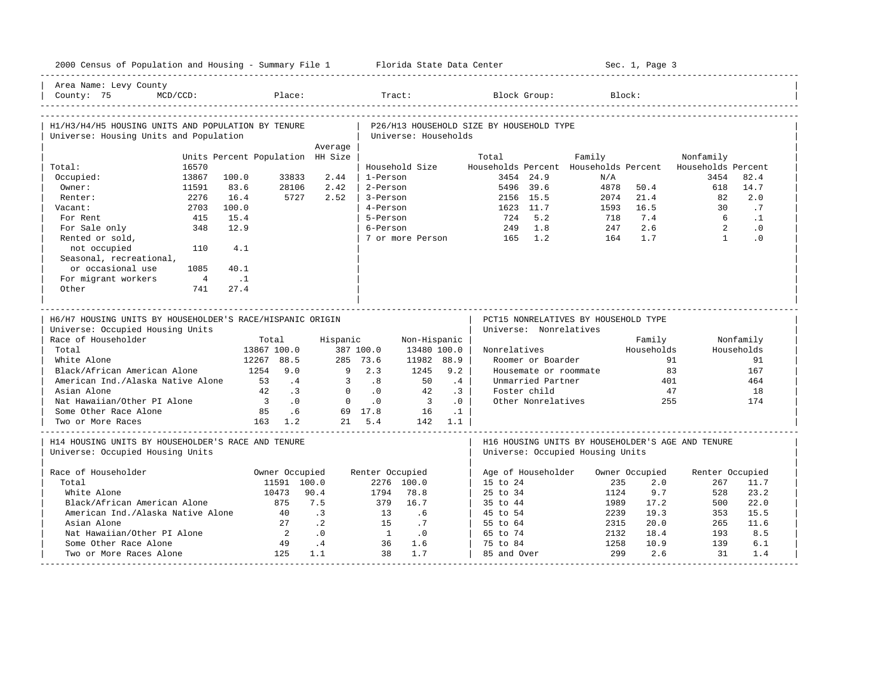| 2000 Census of Population and Housing - Summary File 1 Florida State Data Center              |                |                                  |                             |              |                      |                          |           |                                          |                        |                                      |        | Sec. 1, Page 3        |                                                          |              |
|-----------------------------------------------------------------------------------------------|----------------|----------------------------------|-----------------------------|--------------|----------------------|--------------------------|-----------|------------------------------------------|------------------------|--------------------------------------|--------|-----------------------|----------------------------------------------------------|--------------|
| Area Name: Levy County<br>County: 75                                                          | $MCD/CCD$ :    |                                  | Place:                      |              |                      | Tract:                   |           |                                          | Block Group:           |                                      | Block: |                       |                                                          |              |
| H1/H3/H4/H5 HOUSING UNITS AND POPULATION BY TENURE                                            |                |                                  |                             |              |                      |                          |           | P26/H13 HOUSEHOLD SIZE BY HOUSEHOLD TYPE |                        |                                      |        |                       |                                                          |              |
| Universe: Housing Units and Population                                                        |                |                                  |                             |              |                      | Universe: Households     |           |                                          |                        |                                      |        |                       |                                                          |              |
|                                                                                               |                |                                  |                             | Average      |                      |                          |           |                                          |                        |                                      |        |                       |                                                          |              |
|                                                                                               |                | Units Percent Population HH Size |                             |              |                      |                          |           | Total                                    |                        | Family                               |        |                       | Nonfamily                                                |              |
| Total:                                                                                        | 16570          |                                  |                             |              |                      | Household Size           |           |                                          |                        |                                      |        |                       | Households Percent Households Percent Households Percent |              |
| Occupied:                                                                                     | 13867          | 100.0                            | 33833                       | 2.44<br>2.42 | 1-Person             |                          |           |                                          | 3454 24.9              | N/A                                  |        |                       | 3454                                                     | 82.4         |
| Owner:                                                                                        | 11591<br>2276  | 83.6<br>16.4                     | 28106<br>5727               | 2.52         | 2-Person<br>3-Person |                          |           |                                          | 5496 39.6<br>2156 15.5 | 4878<br>2074                         |        | 50.4<br>21.4          | 618<br>82                                                | 14.7<br>2.0  |
| Renter:<br>Vacant:                                                                            | 2703           | 100.0                            |                             |              | 4-Person             |                          |           |                                          | 1623 11.7              | 1593                                 |        | 16.5                  | 30                                                       | .7           |
| For Rent                                                                                      | 415            | 15.4                             |                             |              | 5-Person             |                          |           | 724                                      | 5.2                    | 718                                  |        | 7.4                   | 6                                                        | $\cdot$ 1    |
| For Sale only                                                                                 | 348            | 12.9                             |                             |              | 6-Person             |                          |           | 249                                      | 1.8                    | 247                                  |        | 2.6                   | $\overline{2}$                                           | $\cdot$ 0    |
| Rented or sold,                                                                               |                |                                  |                             |              |                      | 7 or more Person         |           | $165$ 1.2                                |                        |                                      | 164    | 1.7                   | $\overline{1}$                                           | $\cdot$ 0    |
| not occupied                                                                                  | 110            | 4.1                              |                             |              |                      |                          |           |                                          |                        |                                      |        |                       |                                                          |              |
| Seasonal, recreational,                                                                       |                |                                  |                             |              |                      |                          |           |                                          |                        |                                      |        |                       |                                                          |              |
| or occasional use                                                                             | 1085           | 40.1                             |                             |              |                      |                          |           |                                          |                        |                                      |        |                       |                                                          |              |
| For migrant workers                                                                           | $\overline{4}$ | $\ldots$ 1                       |                             |              |                      |                          |           |                                          |                        |                                      |        |                       |                                                          |              |
| Other                                                                                         | 741            | 27.4                             |                             |              |                      |                          |           |                                          |                        |                                      |        |                       |                                                          |              |
|                                                                                               |                |                                  |                             |              |                      |                          |           |                                          |                        |                                      |        |                       |                                                          |              |
|                                                                                               |                |                                  |                             |              |                      |                          |           |                                          |                        |                                      |        |                       |                                                          |              |
| H6/H7 HOUSING UNITS BY HOUSEHOLDER'S RACE/HISPANIC ORIGIN<br>Universe: Occupied Housing Units |                |                                  |                             |              |                      |                          |           |                                          | Universe: Nonrelatives | PCT15 NONRELATIVES BY HOUSEHOLD TYPE |        |                       |                                                          |              |
| Race of Householder                                                                           |                |                                  | Total                       | Hispanic     |                      | Non-Hispanic             |           |                                          |                        |                                      |        | Family                |                                                          | Nonfamily    |
| Total                                                                                         |                |                                  | 13867 100.0                 |              | 387 100.0            | 13480 100.0              |           | Nonrelatives                             |                        |                                      |        | Households            |                                                          | Households   |
| White Alone                                                                                   |                |                                  | 12267 88.5                  |              | 285 73.6             | 11982 88.9               |           |                                          | Roomer or Boarder      |                                      |        | 91                    |                                                          | 91           |
| Black/African American Alone                                                                  |                | 1254                             | 9.0                         | 9            | 2.3                  | 1245                     | 9.2       |                                          |                        | Housemate or roommate                |        | 83                    |                                                          | 167          |
| American Ind./Alaska Native Alone                                                             |                | 53                               | $\cdot$ 4                   | 3            | .8                   | 50                       | .4        |                                          | Unmarried Partner      |                                      |        | 401                   |                                                          | 464          |
| Asian Alone                                                                                   |                | 42                               | $\overline{\phantom{0}}$ .3 | $\Omega$     | $\cdot$ 0            | 42                       | .3        |                                          | Foster child           |                                      |        | 47                    |                                                          | 18           |
| Nat Hawaiian/Other PI Alone                                                                   |                | $\overline{\phantom{a}}$ 3       | $\overline{0}$ .            | $\circ$      | $\cdot$ 0            | $\overline{\phantom{a}}$ | .0        |                                          | Other Nonrelatives     |                                      |        | 255                   |                                                          | 174          |
| Some Other Race Alone                                                                         |                | 85                               | .6                          |              | 69 17.8              | 16                       | $\cdot$ 1 |                                          |                        |                                      |        |                       |                                                          |              |
| Two or More Races                                                                             |                |                                  | 163 1.2                     |              | 21 5.4               |                          | 142 1.1   |                                          |                        |                                      |        |                       |                                                          |              |
| H14 HOUSING UNITS BY HOUSEHOLDER'S RACE AND TENURE<br>Universe: Occupied Housing Units        |                |                                  |                             |              |                      |                          |           |                                          |                        | Universe: Occupied Housing Units     |        |                       | H16 HOUSING UNITS BY HOUSEHOLDER'S AGE AND TENURE        |              |
|                                                                                               |                |                                  |                             |              |                      |                          |           |                                          |                        |                                      |        |                       |                                                          |              |
| Race of Householder<br>Total                                                                  |                |                                  | Owner Occupied              |              | Renter Occupied      |                          |           |                                          | Age of Householder     |                                      | 235    | Owner Occupied<br>2.0 | Renter Occupied                                          |              |
| White Alone                                                                                   |                |                                  | 11591 100.0<br>10473        | 90.4         | 1794                 | 2276 100.0<br>78.8       |           | 15 to 24<br>25 to 34                     |                        |                                      | 1124   | 9.7                   | 267<br>528                                               | 11.7<br>23.2 |
| Black/African American Alone                                                                  |                |                                  | 875                         | 7.5          | 379                  | 16.7                     |           | 35 to 44                                 |                        |                                      | 1989   | 17.2                  | 500                                                      | 22.0         |
| American Ind./Alaska Native Alone                                                             |                |                                  | 40                          | $\cdot$ 3    | 13                   | .6                       |           | 45 to 54                                 |                        |                                      | 2239   | 19.3                  | 353                                                      | 15.5         |
| Asian Alone                                                                                   |                |                                  | 27                          | $\cdot$ 2    | 15                   | .7                       |           | 55 to 64                                 |                        |                                      | 2315   | 20.0                  | 265                                                      | 11.6         |
| Nat Hawaiian/Other PI Alone                                                                   |                |                                  | $\overline{2}$              | $\cdot$ 0    | $\sim$ 1             |                          |           | 65 to 74                                 |                        |                                      | 2132   | 18.4                  | 193                                                      | 8.5          |
| Some Other Race Alone                                                                         |                |                                  | 49                          | $\cdot$ 4    | 36                   | $\cdot$ 0<br>1.6         |           | 75 to 84                                 |                        |                                      | 1258   | 10.9                  | 139                                                      | 6.1          |
| Two or More Races Alone                                                                       |                |                                  | 125                         | 1.1          | 38                   | 1.7                      |           | 85 and Over                              |                        |                                      | 299    | 2.6                   | 31                                                       | 1.4          |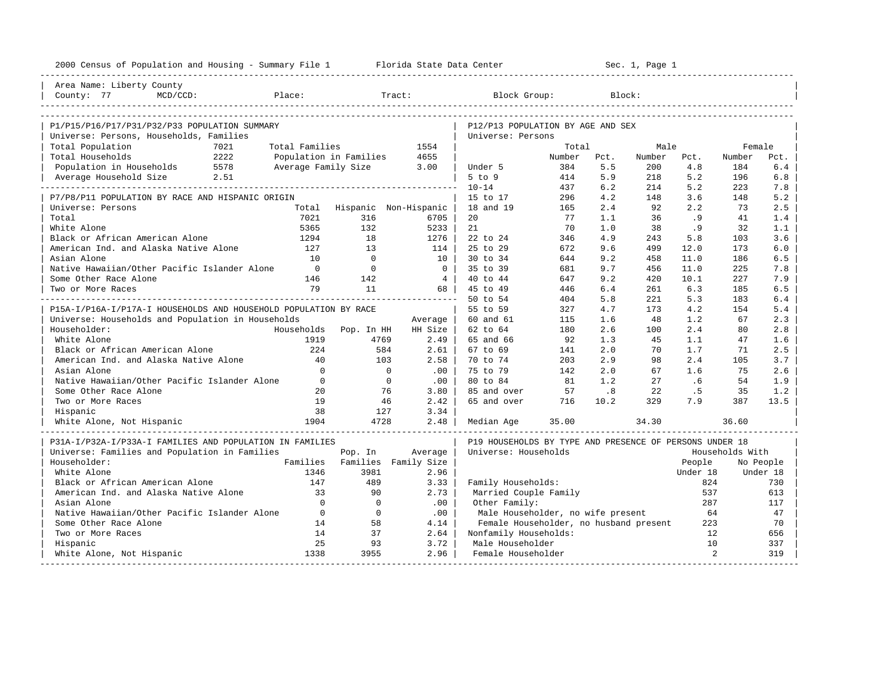| 2000 Census of Population and Housing - Summary File 1 Florida State Data Center |                                                                                                                                                                                                                                |                |                       |                                                         |            |                             | Sec. 1, Page 1 |                |                 |            |
|----------------------------------------------------------------------------------|--------------------------------------------------------------------------------------------------------------------------------------------------------------------------------------------------------------------------------|----------------|-----------------------|---------------------------------------------------------|------------|-----------------------------|----------------|----------------|-----------------|------------|
| Area Name: Liberty County                                                        |                                                                                                                                                                                                                                |                |                       |                                                         |            |                             |                |                |                 |            |
| County: 77<br>$MCD/CCD$ :                                                        | Place: The contract of the contract of the contract of the contract of the contract of the contract of the contract of the contract of the contract of the contract of the contract of the contract of the contract of the con |                | Tract:                | Block Group:                                            |            |                             | Block:         |                |                 |            |
|                                                                                  |                                                                                                                                                                                                                                |                |                       |                                                         |            |                             |                |                |                 |            |
| P1/P15/P16/P17/P31/P32/P33 POPULATION SUMMARY                                    |                                                                                                                                                                                                                                |                |                       | P12/P13 POPULATION BY AGE AND SEX                       |            |                             |                |                |                 |            |
| Universe: Persons, Households, Families                                          |                                                                                                                                                                                                                                |                |                       | Universe: Persons                                       |            |                             |                |                |                 |            |
| Total Population<br>7021                                                         | Total Families                                                                                                                                                                                                                 |                | 1554                  |                                                         | Total      |                             | Male           |                | Female          |            |
| Total Households<br>2222                                                         | Population in Families                                                                                                                                                                                                         |                | 4655                  |                                                         | Number     | Pct.                        | Number         | Pct.           | Number          | Pct.       |
| 5578<br>Population in Households<br>Average Household Size                       | Average Family Size                                                                                                                                                                                                            |                | 3.00                  | Under 5                                                 | 384        | 5.5                         | 200            | 4.8<br>5.2     | 184             | 6.4        |
| 2.51                                                                             |                                                                                                                                                                                                                                |                |                       | $5$ to $9$<br>$10 - 14$                                 | 414<br>437 | 5.9<br>6.2                  | 218<br>214     | 5.2            | 196<br>223      | 6.8<br>7.8 |
| P7/P8/P11 POPULATION BY RACE AND HISPANIC ORIGIN                                 |                                                                                                                                                                                                                                |                |                       | 15 to 17                                                | 296        | 4.2                         | 148            | 3.6            | 148             | 5.2        |
| Universe: Persons                                                                | Total                                                                                                                                                                                                                          |                | Hispanic Non-Hispanic | 18 and 19                                               | 165        | 2.4                         | 92             | 2.2            | 73              | 2.5        |
| Total                                                                            | 7021                                                                                                                                                                                                                           | 316            | 6705                  | 20                                                      | 77         | 1.1                         | 36             | .9             | 41              | 1.4        |
| White Alone                                                                      | 5365                                                                                                                                                                                                                           | 132            | $5233$                | 21                                                      | 70         | 1.0                         | 38             | . 9            | 32              | 1.1        |
| Black or African American Alone                                                  | 1294                                                                                                                                                                                                                           | 18             | 1276                  | 22 to 24                                                | 346        | 4.9                         | 243            | 5.8            | 103             | 3.6        |
| American Ind. and Alaska Native Alone                                            | 127                                                                                                                                                                                                                            | 13             | 114                   | 25 to 29                                                | 672        | 9.6                         | 499            | 12.0           | 173             | 6.0        |
| Asian Alone                                                                      | 10                                                                                                                                                                                                                             | $\overline{0}$ | $10-1$                | $30 \text{ to } 34$                                     | 644        | 9.2                         | 458            | 11.0           | 186             | 6.5        |
| Native Hawaiian/Other Pacific Islander Alone                                     | $\overline{0}$                                                                                                                                                                                                                 | $\mathbf{0}$   | 0 <sup>1</sup>        | 35 to 39                                                | 681        | 9.7                         | 456            | 11.0           | 225             | 7.8        |
| Some Other Race Alone                                                            | 146                                                                                                                                                                                                                            | 142            | $4 \vert$             | 40 to 44                                                | 647        | 9.2                         | 420            | 10.1           | 227             | 7.9        |
| Two or More Races                                                                | 79                                                                                                                                                                                                                             | 11             | 68                    | 45 to 49                                                | 446        | 6.4                         | 261            | 6.3            | 185             | 6.5        |
|                                                                                  |                                                                                                                                                                                                                                |                | _____________________ | 50 to 54                                                | 404        | 5.8                         | 221            | 5.3            | 183             | 6.4        |
| P15A-I/P16A-I/P17A-I HOUSEHOLDS AND HOUSEHOLD POPULATION BY RACE                 |                                                                                                                                                                                                                                |                |                       | 55 to 59                                                | 327        | 4.7                         | 173            | 4.2            | 154             | 5.4        |
| Universe: Households and Population in Households                                |                                                                                                                                                                                                                                |                | Average               | 60 and 61                                               | 115        | 1.6                         | 48             | 1.2            | 67              | 2.3        |
| Householder:                                                                     | Households                                                                                                                                                                                                                     | Pop. In HH     | HH Size               | 62 to 64                                                | 180        | 2.6                         | 100            | 2.4            | 80              | 2.8        |
| White Alone                                                                      | 1919                                                                                                                                                                                                                           | 4769           | 2.49                  | 65 and 66                                               | 92         | 1.3                         | 45             | 1.1            | 47              | 1.6        |
| Black or African American Alone                                                  | 224                                                                                                                                                                                                                            | 584            | $2.61$                | 67 to 69                                                | 141        | 2.0                         | 70             | 1.7            | 71              | 2.5        |
| American Ind. and Alaska Native Alone                                            | 40                                                                                                                                                                                                                             | 103            | 2.58                  | 70 to 74                                                | 203        | 2.9                         | 98             | 2.4            | 105             | 3.7        |
| Asian Alone                                                                      | $\Omega$                                                                                                                                                                                                                       |                | $\circ$<br>.00        | 75 to 79                                                | 142        | 2.0                         | 67             | 1.6            | 75              | 2.6        |
| Native Hawaiian/Other Pacific Islander Alone                                     | $\overline{0}$                                                                                                                                                                                                                 |                | $\mathbf{0}$<br>.00   | 80 to 84                                                | 81         | 1.2                         | 27             | .6             | 54              | 1.9        |
| Some Other Race Alone                                                            | 20                                                                                                                                                                                                                             | 76             | 3.80                  | 85 and over                                             | 57         | $\overline{\phantom{0}}$ .8 | 22             | .5             | 35              | 1.2        |
| Two or More Races                                                                | 19                                                                                                                                                                                                                             | 46             | 2.42                  | 65 and over                                             | 716        | 10.2                        | 329            | 7.9            | 387             | 13.5       |
| Hispanic                                                                         | 38                                                                                                                                                                                                                             | 127            | 3.34                  |                                                         |            |                             |                |                |                 |            |
| White Alone, Not Hispanic                                                        | 1904                                                                                                                                                                                                                           | 4728           | 2.48                  | Median Age                                              | 35.00      |                             | 34.30          |                | 36.60           |            |
| P31A-I/P32A-I/P33A-I FAMILIES AND POPULATION IN FAMILIES                         |                                                                                                                                                                                                                                |                |                       | P19 HOUSEHOLDS BY TYPE AND PRESENCE OF PERSONS UNDER 18 |            |                             |                |                |                 |            |
| Universe: Families and Population in Families                                    |                                                                                                                                                                                                                                | Pop. In        | Average               | Universe: Households                                    |            |                             |                |                | Households With |            |
| Householder:                                                                     | Families                                                                                                                                                                                                                       |                | Families Family Size  |                                                         |            |                             |                | People         |                 | No People  |
| White Alone                                                                      | 1346                                                                                                                                                                                                                           | 3981           | 2.96                  |                                                         |            |                             |                | Under 18       |                 | Under 18   |
| Black or African American Alone                                                  | 147                                                                                                                                                                                                                            | 489            | 3.33                  | Family Households:                                      |            |                             |                | 824            |                 | 730        |
| American Ind. and Alaska Native Alone                                            | 33                                                                                                                                                                                                                             | 90             | 2.73                  | Married Couple Family                                   |            |                             |                | 537            |                 | 613        |
| Asian Alone                                                                      | $\circ$                                                                                                                                                                                                                        | $\overline{0}$ | .00                   | Other Family:                                           |            |                             |                | 287            |                 | 117        |
| Native Hawaiian/Other Pacific Islander Alone                                     | $\circ$                                                                                                                                                                                                                        | $\overline{0}$ | .00                   | Male Householder, no wife present                       |            |                             |                | 64             |                 | 47         |
| Some Other Race Alone                                                            | 14                                                                                                                                                                                                                             | 58             | 4.14                  | Female Householder, no husband present                  |            |                             |                | 223            |                 | 70         |
| Two or More Races                                                                | 14                                                                                                                                                                                                                             | 37             | 2.64                  | Nonfamily Households:                                   |            |                             |                | 12             |                 | 656        |
| Hispanic                                                                         | 25                                                                                                                                                                                                                             | 93             | 3.72                  | Male Householder                                        |            |                             |                | 10             |                 | 337        |
| White Alone, Not Hispanic                                                        | 1338                                                                                                                                                                                                                           | 3955           | 2.96                  | Female Householder                                      |            |                             |                | $\overline{2}$ |                 | 319        |
|                                                                                  |                                                                                                                                                                                                                                |                |                       |                                                         |            |                             |                |                |                 |            |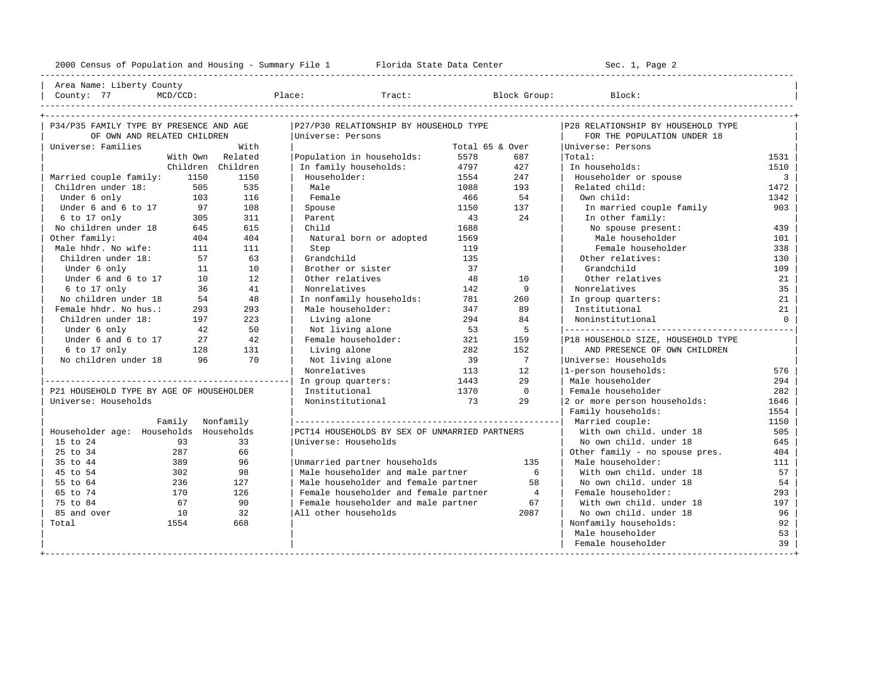---------------------------------------------------------------------------------------------------------------------------------------------------- | Area Name: Liberty County | | County: 77 MCD/CCD: Place: Tract: Block Group: Block: | ----------------------------------------------------------------------------------------------------------------------------------------------------

| P34/P35 FAMILY TYPE BY PRESENCE AND AGE  |                  |                   | P27/P30 RELATIONSHIP BY HOUSEHOLD TYPE        |                 |                | P28 RELATIONSHIP BY HOUSEHOLD TYPE |                |
|------------------------------------------|------------------|-------------------|-----------------------------------------------|-----------------|----------------|------------------------------------|----------------|
| OF OWN AND RELATED CHILDREN              |                  |                   | Universe: Persons                             |                 |                | FOR THE POPULATION UNDER 18        |                |
| Universe: Families                       |                  | With              |                                               | Total 65 & Over |                | Universe: Persons                  |                |
|                                          |                  | With Own Related  | Population in households:                     | 5578            | 687            | Total:                             | 1531           |
|                                          |                  | Children Children | In family households:                         | 4797            | 427            | In households:                     | 1510           |
| Married couple family:                   | 1150             | 1150              | Householder:                                  | 1554            | 247            | Householder or spouse              | $\overline{3}$ |
| Children under 18:                       | 505              | 535               | Male                                          | 1088            | 193            | Related child:                     | 1472           |
| Under 6 only                             | 103              | 116               | Female                                        | 466             | 54             | Own child:                         | 1342           |
| Under 6 and 6 to 17                      | 97               | 108               | Spouse                                        | 1150            | 137            | In married couple family           | 903            |
| 6 to 17 only                             | 305              | 311               | Parent                                        | 43              | 24             | In other family:                   |                |
| No children under 18                     | 645              | 615               | Child                                         | 1688            |                | No spouse present:                 | 439            |
| Other family:                            | 404              | 404               | Natural born or adopted                       | 1569            |                | Male householder                   | 101            |
| Male hhdr. No wife:                      | 111              | 111               | Step                                          | 119             |                | Female householder                 | 338            |
| Children under 18:                       | 57<br>63         |                   | Grandchild<br>135                             |                 |                | Other relatives:                   | 130            |
| Under 6 only                             | 11               | 10                | Brother or sister                             | 37              |                | Grandchild                         | 109            |
| Under 6 and 6 to 17                      | 10               | 12.               | Other relatives                               | 48              | 10             | Other relatives                    | 21             |
| $6$ to $17$ only                         | 36               | 41                | Nonrelatives                                  | 142             | 9              | Nonrelatives                       | 35             |
| No children under 18                     | 54               | 48                | In nonfamily households:                      | 781             | 260            | In group quarters:                 | 21             |
| Female hhdr. No hus.:                    | 293              | 293               | Male householder:                             | 347             | 89             | Institutional                      | 21             |
| Children under 18:                       | 197              | 223               | Living alone                                  | 294             | 84             | Noninstitutional                   | $\overline{0}$ |
| Under 6 only                             | 42               | 50                | Not living alone                              | 53              | 5              |                                    |                |
| Under 6 and 6 to 17                      | 27               | 42                | Female householder:                           | 321             | 159            | P18 HOUSEHOLD SIZE, HOUSEHOLD TYPE |                |
| 6 to 17 only                             | 128              | 131               | Living alone                                  | 282             | 152            | AND PRESENCE OF OWN CHILDREN       |                |
| No children under 18                     | 96               | 70                | Not living alone                              | 39              | $\overline{7}$ | Universe: Households               |                |
|                                          |                  |                   | Nonrelatives                                  | 113             | 12             | 1-person households:               | 576            |
|                                          |                  |                   | In group quarters:                            | 1443            | 29             | Male householder                   | 294            |
| P21 HOUSEHOLD TYPE BY AGE OF HOUSEHOLDER |                  |                   | Institutional                                 | 1370            | $\bigcirc$     | Female householder                 | 282            |
| Universe: Households                     |                  |                   | Noninstitutional                              | 73              | 2.9            | 2 or more person households:       | 1646           |
|                                          |                  |                   |                                               |                 |                | Family households:                 | 1554           |
|                                          | Family Nonfamily |                   |                                               |                 |                | Married couple:                    | 1150           |
| Householder age: Households Households   |                  |                   | PCT14 HOUSEHOLDS BY SEX OF UNMARRIED PARTNERS |                 |                | With own child, under 18           | 505            |
| 15 to 24                                 | 93               | 33                | Universe: Households                          |                 |                | No own child, under 18             | 645            |
| 25 to 34                                 | 287              | 66                |                                               |                 |                | Other family - no spouse pres.     | 404            |
| 35 to 44                                 | 389              | 96                | Unmarried partner households                  |                 | 135            | Male householder:                  | 111            |
| 45 to 54                                 | 302              | 98                | Male householder and male partner             |                 | 6              | With own child, under 18           | 57             |
| 55 to 64                                 | 236              | 127               | Male householder and female partner           |                 | 58             | No own child. under 18             | 54             |
| 65 to 74                                 | 170              | 126               | Female householder and female partner         |                 | $\overline{4}$ | Female householder:                | 293            |
| 75 to 84                                 | 67               | 90                | Female householder and male partner           |                 | 67             | With own child. under 18           | 197            |
| 85 and over                              | 10               | 32                | All other households                          |                 | 2087           | No own child, under 18             | 96             |
| Total                                    | 1554             | 668               |                                               |                 |                | Nonfamily households:              | 92             |
|                                          |                  |                   |                                               |                 |                | Male householder                   | 53             |
|                                          |                  |                   |                                               |                 |                | Female householder                 | 39             |
|                                          |                  |                   |                                               |                 |                |                                    |                |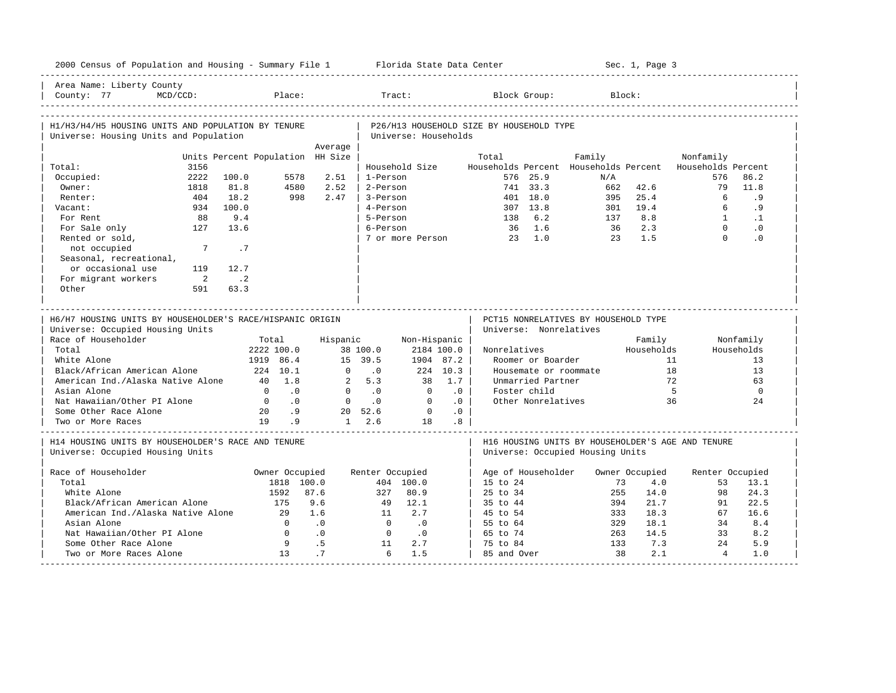| 2000 Census of Population and Housing - Summary File 1 Florida State Data Center             |                                  |                                      |                                                         |                            |                        |                                          |                                    |                                      | Sec. 1, Page 3 |                                                          |                       |                   |
|----------------------------------------------------------------------------------------------|----------------------------------|--------------------------------------|---------------------------------------------------------|----------------------------|------------------------|------------------------------------------|------------------------------------|--------------------------------------|----------------|----------------------------------------------------------|-----------------------|-------------------|
| Area Name: Liberty County<br>$MCD/CCD$ :<br>County: 77                                       |                                  | Place:                               |                                                         | Tract:                     |                        |                                          | Block Group:                       |                                      | Block:         |                                                          |                       |                   |
| H1/H3/H4/H5 HOUSING UNITS AND POPULATION BY TENURE<br>Universe: Housing Units and Population |                                  |                                      |                                                         | Universe: Households       |                        | P26/H13 HOUSEHOLD SIZE BY HOUSEHOLD TYPE |                                    |                                      |                |                                                          |                       |                   |
|                                                                                              |                                  | Average                              |                                                         |                            |                        |                                          |                                    |                                      |                |                                                          |                       |                   |
|                                                                                              | Units Percent Population HH Size |                                      |                                                         |                            |                        | Total                                    |                                    | Family                               |                | Nonfamily                                                |                       |                   |
| 3156<br>Total:<br>2222                                                                       | 100.0                            | 5578<br>2.51                         | 1-Person                                                | Household Size             |                        |                                          | 576 25.9                           | N/A                                  |                | Households Percent Households Percent Households Percent | 576                   | 86.2              |
| Occupied:<br>Owner:                                                                          |                                  | 4580<br>2.52                         | 2-Person                                                |                            |                        |                                          | 741 33.3                           | 662                                  | 42.6           |                                                          | 79                    | 11.8              |
| 1818<br>404<br>Renter:                                                                       | 81.8<br>18.2                     | 998<br>2.47                          | 3-Person                                                |                            |                        |                                          | 401 18.0                           | 395                                  | 25.4           |                                                          | 6                     | . 9               |
|                                                                                              |                                  |                                      | 4-Person                                                |                            |                        |                                          |                                    |                                      |                |                                                          | 6                     |                   |
| Vacant:<br>934<br>For Rent<br>88                                                             | 100.0<br>9.4                     |                                      | 5-Person                                                |                            |                        | 138                                      | 307 13.8<br>6.2                    | 301<br>137                           | 19.4<br>8.8    |                                                          | $\mathbf{1}$          | . 9<br>$\cdot$ 1  |
| 127                                                                                          | 13.6                             |                                      | 6-Person                                                |                            |                        |                                          |                                    |                                      | 2.3            |                                                          | $\Omega$              | $\cdot$ 0         |
| For Sale only<br>Rented or sold,                                                             |                                  |                                      |                                                         | 7 or more Person           |                        |                                          | 36 1.6<br>$23 \t1.0$               | 36<br>23                             | 1.5            |                                                          | $\Omega$              | .0                |
| not occupied<br>$7\phantom{.0}$<br>Seasonal, recreational,                                   | .7                               |                                      |                                                         |                            |                        |                                          |                                    |                                      |                |                                                          |                       |                   |
| or occasional use<br>119                                                                     | 12.7                             |                                      |                                                         |                            |                        |                                          |                                    |                                      |                |                                                          |                       |                   |
| For migrant workers<br>$\overline{\phantom{0}}$                                              | $\cdot$ . 2                      |                                      |                                                         |                            |                        |                                          |                                    |                                      |                |                                                          |                       |                   |
| Other<br>591                                                                                 | 63.3                             |                                      |                                                         |                            |                        |                                          |                                    |                                      |                |                                                          |                       |                   |
|                                                                                              |                                  |                                      |                                                         |                            |                        |                                          |                                    |                                      |                |                                                          |                       |                   |
|                                                                                              |                                  |                                      |                                                         |                            |                        |                                          |                                    |                                      |                |                                                          |                       |                   |
| H6/H7 HOUSING UNITS BY HOUSEHOLDER'S RACE/HISPANIC ORIGIN                                    |                                  |                                      |                                                         |                            |                        |                                          |                                    | PCT15 NONRELATIVES BY HOUSEHOLD TYPE |                |                                                          |                       |                   |
| Universe: Occupied Housing Units                                                             |                                  |                                      |                                                         |                            |                        |                                          | Universe: Nonrelatives             |                                      |                |                                                          |                       |                   |
| Race of Householder                                                                          | Total                            |                                      | Hispanic                                                | Non-Hispanic               |                        |                                          |                                    |                                      | Family         |                                                          | Nonfamily             |                   |
| Total                                                                                        | 2222 100.0                       |                                      | 38 100.0                                                | 2184 100.0                 |                        | Nonrelatives                             |                                    |                                      | Households     |                                                          | Households            |                   |
| White Alone                                                                                  | 1919 86.4                        |                                      | 15 39.5                                                 | 1904 87.2                  |                        |                                          | Roomer or Boarder                  |                                      |                | 11                                                       |                       | 13                |
| Black/African American Alone                                                                 | 224 10.1                         |                                      | $\Omega$<br>$\overline{0}$                              |                            | 224 10.3               |                                          |                                    | Housemate or roommate                |                | 18                                                       |                       | 13                |
| American Ind./Alaska Native Alone                                                            | 40 1.8<br>$\Omega$               |                                      | 2, 5.3<br>$\Omega$                                      | 38                         | 1.7                    |                                          | Unmarried Partner                  |                                      |                | 72                                                       |                       | 63                |
| Asian Alone                                                                                  | $\overline{0}$                   | $\overline{0}$ .<br>$\overline{0}$ . | $\overline{\phantom{0}}$<br>$\overline{0}$<br>$\cdot$ 0 | $\overline{0}$<br>$\Omega$ | $\cdot$ 0<br>$\cdot$ 0 |                                          | Foster child<br>Other Nonrelatives |                                      |                | $5^{\circ}$<br>36                                        |                       | $\mathbf 0$<br>24 |
| Nat Hawaiian/Other PI Alone<br>Some Other Race Alone                                         | 20                               | .9                                   | 20 52.6                                                 | $\overline{0}$             | .0                     |                                          |                                    |                                      |                |                                                          |                       |                   |
| Two or More Races                                                                            | 19                               | .9                                   | $1 \quad 2.6$                                           | 18                         | .8                     |                                          |                                    |                                      |                |                                                          |                       |                   |
| H14 HOUSING UNITS BY HOUSEHOLDER'S RACE AND TENURE<br>Universe: Occupied Housing Units       |                                  |                                      |                                                         |                            |                        |                                          |                                    | Universe: Occupied Housing Units     |                | H16 HOUSING UNITS BY HOUSEHOLDER'S AGE AND TENURE        |                       |                   |
|                                                                                              |                                  |                                      |                                                         |                            |                        |                                          |                                    |                                      |                |                                                          |                       |                   |
| Race of Householder                                                                          |                                  | Owner Occupied                       | Renter Occupied                                         |                            |                        |                                          | Age of Householder                 |                                      | Owner Occupied |                                                          | Renter Occupied       |                   |
| Total                                                                                        |                                  | 1818 100.0                           |                                                         | 404 100.0                  |                        | 15 to 24                                 |                                    |                                      | 73             | 4.0                                                      | 53                    | 13.1              |
| White Alone                                                                                  | 1592                             | 87.6                                 | 327                                                     | 80.9                       |                        | $25 \text{ to } 34$                      |                                    |                                      | 255<br>14.0    |                                                          | 98                    | 24.3              |
| Black/African American Alone                                                                 | 175                              | 9.6                                  | 49                                                      | 12.1                       |                        | 35 to 44                                 |                                    |                                      | 21.7<br>394    |                                                          | 91                    | 22.5              |
| American Ind./Alaska Native Alone                                                            | 2.9                              | 1.6                                  | $\overline{11}$                                         | 2.7                        |                        | 45 to 54                                 |                                    |                                      | 18.3<br>333    |                                                          | 67                    | 16.6              |
| Asian Alone                                                                                  | $\Omega$                         | $\overline{\phantom{0}}$ .0          | $\bigcirc$                                              | $\overline{\phantom{0}}$   |                        | 55 to 64                                 |                                    |                                      | 329<br>18.1    |                                                          | 34                    | 8.4               |
| Nat Hawaiian/Other PI Alone                                                                  | $\Omega$                         | $\cdot$ 0                            | $\bigcirc$                                              | $\cdot$ 0                  |                        | 65 to 74                                 |                                    |                                      | 14.5<br>263    |                                                          | 33                    | 8.2               |
| Some Other Race Alone<br>Two or More Races Alone                                             | 9<br>1.3                         | $\overline{5}$<br>.7                 | 11<br>6                                                 | 2.7<br>1.5                 |                        | 75 to 84<br>85 and Over                  |                                    |                                      | 133<br>38      | 7.3<br>2.1                                               | 2.4<br>$\overline{4}$ | 5.9<br>1.0        |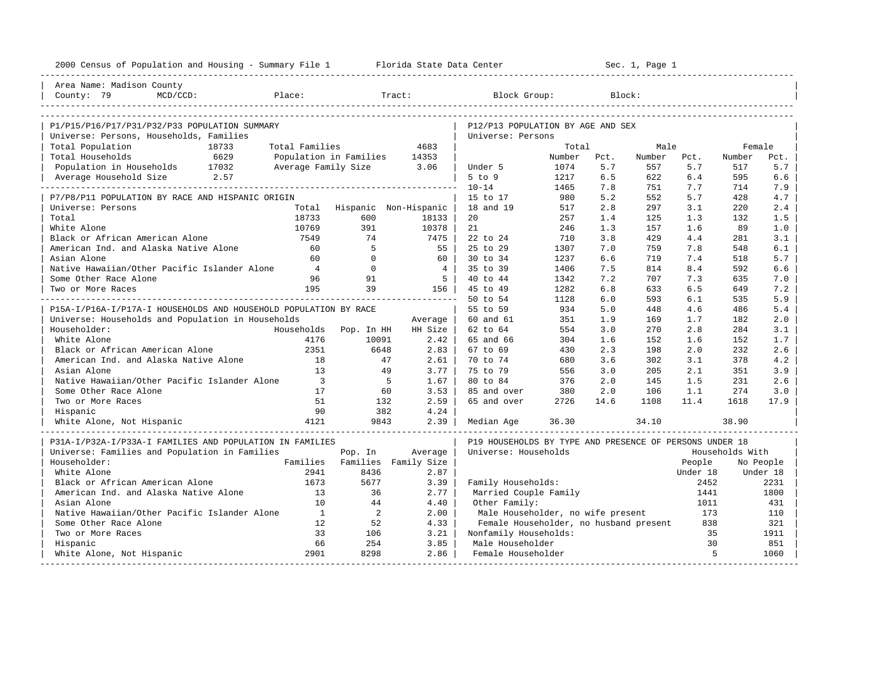| Area Name: Madison County<br>MCD/CCD:<br>Place:<br>Tract:<br>Block Group:<br>Block:<br>County: 79<br>P1/P15/P16/P17/P31/P32/P33 POPULATION SUMMARY<br>P12/P13 POPULATION BY AGE AND SEX<br>Universe: Persons, Households, Families<br>Universe: Persons<br>Total Population<br>18733<br>Total Families<br>4683<br>Total<br>Male<br>Female<br>Total Households<br>6629<br>Population in Families<br>14353<br>Number<br>Number<br>Pct.<br>Number<br>Pct.<br>Pct.<br>Average Family Size 3.06<br>5.7<br>5.7<br>5.7<br>Population in Households 17032<br>Under 5<br>1074<br>557<br>517<br>2.57<br>$5$ to $9$<br>6.5<br>6.4<br>6.6<br>Average Household Size<br>1217<br>622<br>595<br>$10 - 14$<br>1465<br>7.7<br>7.9<br>7.8<br>751<br>714<br>980<br>5.2<br>552<br>5.7<br>428<br>4.7<br>P7/P8/P11 POPULATION BY RACE AND HISPANIC ORIGIN<br>15 to 17<br>Total Hispanic Non-Hispanic<br>18 and 19<br>517<br>2.8<br>3.1<br>2.4<br>Universe: Persons<br>297<br>220<br>18733<br>Total<br>600<br>20<br>257<br>1.3<br>132<br>1.5<br>18133<br>1.4<br>125<br>10769<br>White Alone<br>391<br>10378  <br>21<br>246<br>1.3<br>157<br>1.6<br>89<br>1.0<br>Black or African American Alone<br>3.8<br>429<br>4.4<br>281<br>3.1<br>7549<br>74<br>7475<br>22 to 24<br>710<br>American Ind. and Alaska Native Alone<br>-5<br>25 to 29<br>7.8<br>6.1<br>60<br>55  <br>1307<br>7.0<br>759<br>548<br>Asian Alone<br>$\Omega$<br>$30 \text{ to } 34$<br>7.4<br>5.7<br>60<br>60 l<br>1237<br>6.6<br>719<br>518<br>Native Hawaiian/Other Pacific Islander Alone<br>$\overline{4}$<br>$\mathbf{0}$<br>4<br>8.4<br>6.6<br>35 to 39<br>1406<br>7.5<br>814<br>592<br>Some Other Race Alone<br>96<br>91<br>5 <sub>1</sub><br>40 to 44<br>7.2<br>707<br>7.3<br>635<br>7.0<br>1342<br>195<br>39<br>156  <br>1282<br>6.8<br>6.5<br>7.2<br>Two or More Races<br>45 to 49<br>633<br>649<br>5.9<br>50 to 54<br>1128<br>6.0<br>593<br>6.1<br>535<br>P15A-I/P16A-I/P17A-I HOUSEHOLDS AND HOUSEHOLD POPULATION BY RACE<br>55 to 59<br>934<br>5.0<br>5.4<br>448<br>4.6<br>486<br>Universe: Households and Population in Households<br>2.0<br>60 and 61<br>351<br>1.9<br>169<br>1.7<br>182<br>Average<br>Householder:<br>Households<br>HH Size<br>62 to 64<br>554<br>3.0<br>270<br>2.8<br>284<br>3.1<br>Pop. In HH<br>1.7<br>White Alone<br>4176<br>10091<br>2.42<br>65 and 66<br>304<br>1.6<br>152<br>1.6<br>152<br>Black or African American Alone<br>2351<br>6648<br>2.83<br>2.3<br>2.0<br>232<br>2.6<br>67 to 69<br>430<br>198<br>American Ind. and Alaska Native Alone<br>1.8<br>70 to 74<br>3.6<br>302<br>3.1<br>378<br>4.2<br>47<br>2.61<br>680<br>13<br>3.77<br>75 to 79<br>556<br>3.0<br>205<br>2.1<br>3.9<br>Asian Alone<br>49<br>351<br>Native Hawaiian/Other Pacific Islander Alone<br>$\overline{\phantom{a}}$<br>$5^{\circ}$<br>1.67<br>80 to 84<br>376<br>2.0<br>1.5<br>231<br>2.6<br>145<br>Some Other Race Alone<br>17<br>60<br>3.53<br>380<br>2.0<br>106<br>1.1<br>274<br>3.0<br>85 and over<br>Two or More Races<br>51<br>132<br>2.59<br>65 and over<br>2726<br>14.6<br>1108<br>11.4<br>1618<br>17.9<br>90<br>382<br>4.24<br>Hispanic<br>White Alone, Not Hispanic<br>4121<br>36.30<br>9843<br>$2.39$  <br>34.10<br>38.90<br>Median Age<br>P31A-I/P32A-I/P33A-I FAMILIES AND POPULATION IN FAMILIES<br>P19 HOUSEHOLDS BY TYPE AND PRESENCE OF PERSONS UNDER 18<br>Universe: Families and Population in Families<br>Average<br>Universe: Households<br>Households With<br>Pop. In<br>Householder:<br>Families Families Family Size<br>People<br>No People<br>White Alone<br>2941<br>8436<br>2.87<br>Under 18<br>Under 18<br>Black or African American Alone<br>1673<br>5677<br>Family Households:<br>3.39<br>2452<br>2231<br>American Ind. and Alaska Native Alone<br>13<br>36<br>Married Couple Family<br>2.77<br>1441<br>1800<br>10<br>Other Family:<br>Asian Alone<br>44<br>4.40<br>1011<br>431<br>Native Hawaiian/Other Pacific Islander Alone<br>$\mathbf{1}$<br>2<br>2.00<br>Male Householder, no wife present<br>173<br>110<br>Some Other Race Alone<br>12<br>52<br>4.33<br>Female Householder, no husband present<br>838<br>321<br>33<br>106<br>3.21<br>Nonfamily Households:<br>35<br>1911<br>Two or More Races<br>66<br>254<br>3.85<br>Male Householder<br>30<br>851<br>Hispanic<br>5<br>White Alone, Not Hispanic<br>2901<br>8298<br>2.86<br>Female Householder<br>1060 | 2000 Census of Population and Housing - Summary File 1 Florida State Data Center |  |  |  | Sec. 1, Page 1 |  |  |
|----------------------------------------------------------------------------------------------------------------------------------------------------------------------------------------------------------------------------------------------------------------------------------------------------------------------------------------------------------------------------------------------------------------------------------------------------------------------------------------------------------------------------------------------------------------------------------------------------------------------------------------------------------------------------------------------------------------------------------------------------------------------------------------------------------------------------------------------------------------------------------------------------------------------------------------------------------------------------------------------------------------------------------------------------------------------------------------------------------------------------------------------------------------------------------------------------------------------------------------------------------------------------------------------------------------------------------------------------------------------------------------------------------------------------------------------------------------------------------------------------------------------------------------------------------------------------------------------------------------------------------------------------------------------------------------------------------------------------------------------------------------------------------------------------------------------------------------------------------------------------------------------------------------------------------------------------------------------------------------------------------------------------------------------------------------------------------------------------------------------------------------------------------------------------------------------------------------------------------------------------------------------------------------------------------------------------------------------------------------------------------------------------------------------------------------------------------------------------------------------------------------------------------------------------------------------------------------------------------------------------------------------------------------------------------------------------------------------------------------------------------------------------------------------------------------------------------------------------------------------------------------------------------------------------------------------------------------------------------------------------------------------------------------------------------------------------------------------------------------------------------------------------------------------------------------------------------------------------------------------------------------------------------------------------------------------------------------------------------------------------------------------------------------------------------------------------------------------------------------------------------------------------------------------------------------------------------------------------------------------------------------------------------------------------------------------------------------------------------------------------------------------------------------------------------------------------------------------------------------------------------------------------------------------------------------------------------------------------------------------------------------------------------------------------------------------------------------------------------------------------------------------------------------------------------------------------------------------------------------------------------------------------------------------------------------------------------------------------------|----------------------------------------------------------------------------------|--|--|--|----------------|--|--|
|                                                                                                                                                                                                                                                                                                                                                                                                                                                                                                                                                                                                                                                                                                                                                                                                                                                                                                                                                                                                                                                                                                                                                                                                                                                                                                                                                                                                                                                                                                                                                                                                                                                                                                                                                                                                                                                                                                                                                                                                                                                                                                                                                                                                                                                                                                                                                                                                                                                                                                                                                                                                                                                                                                                                                                                                                                                                                                                                                                                                                                                                                                                                                                                                                                                                                                                                                                                                                                                                                                                                                                                                                                                                                                                                                                                                                                                                                                                                                                                                                                                                                                                                                                                                                                                                                                                                                          |                                                                                  |  |  |  |                |  |  |
|                                                                                                                                                                                                                                                                                                                                                                                                                                                                                                                                                                                                                                                                                                                                                                                                                                                                                                                                                                                                                                                                                                                                                                                                                                                                                                                                                                                                                                                                                                                                                                                                                                                                                                                                                                                                                                                                                                                                                                                                                                                                                                                                                                                                                                                                                                                                                                                                                                                                                                                                                                                                                                                                                                                                                                                                                                                                                                                                                                                                                                                                                                                                                                                                                                                                                                                                                                                                                                                                                                                                                                                                                                                                                                                                                                                                                                                                                                                                                                                                                                                                                                                                                                                                                                                                                                                                                          |                                                                                  |  |  |  |                |  |  |
|                                                                                                                                                                                                                                                                                                                                                                                                                                                                                                                                                                                                                                                                                                                                                                                                                                                                                                                                                                                                                                                                                                                                                                                                                                                                                                                                                                                                                                                                                                                                                                                                                                                                                                                                                                                                                                                                                                                                                                                                                                                                                                                                                                                                                                                                                                                                                                                                                                                                                                                                                                                                                                                                                                                                                                                                                                                                                                                                                                                                                                                                                                                                                                                                                                                                                                                                                                                                                                                                                                                                                                                                                                                                                                                                                                                                                                                                                                                                                                                                                                                                                                                                                                                                                                                                                                                                                          |                                                                                  |  |  |  |                |  |  |
|                                                                                                                                                                                                                                                                                                                                                                                                                                                                                                                                                                                                                                                                                                                                                                                                                                                                                                                                                                                                                                                                                                                                                                                                                                                                                                                                                                                                                                                                                                                                                                                                                                                                                                                                                                                                                                                                                                                                                                                                                                                                                                                                                                                                                                                                                                                                                                                                                                                                                                                                                                                                                                                                                                                                                                                                                                                                                                                                                                                                                                                                                                                                                                                                                                                                                                                                                                                                                                                                                                                                                                                                                                                                                                                                                                                                                                                                                                                                                                                                                                                                                                                                                                                                                                                                                                                                                          |                                                                                  |  |  |  |                |  |  |
|                                                                                                                                                                                                                                                                                                                                                                                                                                                                                                                                                                                                                                                                                                                                                                                                                                                                                                                                                                                                                                                                                                                                                                                                                                                                                                                                                                                                                                                                                                                                                                                                                                                                                                                                                                                                                                                                                                                                                                                                                                                                                                                                                                                                                                                                                                                                                                                                                                                                                                                                                                                                                                                                                                                                                                                                                                                                                                                                                                                                                                                                                                                                                                                                                                                                                                                                                                                                                                                                                                                                                                                                                                                                                                                                                                                                                                                                                                                                                                                                                                                                                                                                                                                                                                                                                                                                                          |                                                                                  |  |  |  |                |  |  |
|                                                                                                                                                                                                                                                                                                                                                                                                                                                                                                                                                                                                                                                                                                                                                                                                                                                                                                                                                                                                                                                                                                                                                                                                                                                                                                                                                                                                                                                                                                                                                                                                                                                                                                                                                                                                                                                                                                                                                                                                                                                                                                                                                                                                                                                                                                                                                                                                                                                                                                                                                                                                                                                                                                                                                                                                                                                                                                                                                                                                                                                                                                                                                                                                                                                                                                                                                                                                                                                                                                                                                                                                                                                                                                                                                                                                                                                                                                                                                                                                                                                                                                                                                                                                                                                                                                                                                          |                                                                                  |  |  |  |                |  |  |
|                                                                                                                                                                                                                                                                                                                                                                                                                                                                                                                                                                                                                                                                                                                                                                                                                                                                                                                                                                                                                                                                                                                                                                                                                                                                                                                                                                                                                                                                                                                                                                                                                                                                                                                                                                                                                                                                                                                                                                                                                                                                                                                                                                                                                                                                                                                                                                                                                                                                                                                                                                                                                                                                                                                                                                                                                                                                                                                                                                                                                                                                                                                                                                                                                                                                                                                                                                                                                                                                                                                                                                                                                                                                                                                                                                                                                                                                                                                                                                                                                                                                                                                                                                                                                                                                                                                                                          |                                                                                  |  |  |  |                |  |  |
|                                                                                                                                                                                                                                                                                                                                                                                                                                                                                                                                                                                                                                                                                                                                                                                                                                                                                                                                                                                                                                                                                                                                                                                                                                                                                                                                                                                                                                                                                                                                                                                                                                                                                                                                                                                                                                                                                                                                                                                                                                                                                                                                                                                                                                                                                                                                                                                                                                                                                                                                                                                                                                                                                                                                                                                                                                                                                                                                                                                                                                                                                                                                                                                                                                                                                                                                                                                                                                                                                                                                                                                                                                                                                                                                                                                                                                                                                                                                                                                                                                                                                                                                                                                                                                                                                                                                                          |                                                                                  |  |  |  |                |  |  |
|                                                                                                                                                                                                                                                                                                                                                                                                                                                                                                                                                                                                                                                                                                                                                                                                                                                                                                                                                                                                                                                                                                                                                                                                                                                                                                                                                                                                                                                                                                                                                                                                                                                                                                                                                                                                                                                                                                                                                                                                                                                                                                                                                                                                                                                                                                                                                                                                                                                                                                                                                                                                                                                                                                                                                                                                                                                                                                                                                                                                                                                                                                                                                                                                                                                                                                                                                                                                                                                                                                                                                                                                                                                                                                                                                                                                                                                                                                                                                                                                                                                                                                                                                                                                                                                                                                                                                          |                                                                                  |  |  |  |                |  |  |
|                                                                                                                                                                                                                                                                                                                                                                                                                                                                                                                                                                                                                                                                                                                                                                                                                                                                                                                                                                                                                                                                                                                                                                                                                                                                                                                                                                                                                                                                                                                                                                                                                                                                                                                                                                                                                                                                                                                                                                                                                                                                                                                                                                                                                                                                                                                                                                                                                                                                                                                                                                                                                                                                                                                                                                                                                                                                                                                                                                                                                                                                                                                                                                                                                                                                                                                                                                                                                                                                                                                                                                                                                                                                                                                                                                                                                                                                                                                                                                                                                                                                                                                                                                                                                                                                                                                                                          |                                                                                  |  |  |  |                |  |  |
|                                                                                                                                                                                                                                                                                                                                                                                                                                                                                                                                                                                                                                                                                                                                                                                                                                                                                                                                                                                                                                                                                                                                                                                                                                                                                                                                                                                                                                                                                                                                                                                                                                                                                                                                                                                                                                                                                                                                                                                                                                                                                                                                                                                                                                                                                                                                                                                                                                                                                                                                                                                                                                                                                                                                                                                                                                                                                                                                                                                                                                                                                                                                                                                                                                                                                                                                                                                                                                                                                                                                                                                                                                                                                                                                                                                                                                                                                                                                                                                                                                                                                                                                                                                                                                                                                                                                                          |                                                                                  |  |  |  |                |  |  |
|                                                                                                                                                                                                                                                                                                                                                                                                                                                                                                                                                                                                                                                                                                                                                                                                                                                                                                                                                                                                                                                                                                                                                                                                                                                                                                                                                                                                                                                                                                                                                                                                                                                                                                                                                                                                                                                                                                                                                                                                                                                                                                                                                                                                                                                                                                                                                                                                                                                                                                                                                                                                                                                                                                                                                                                                                                                                                                                                                                                                                                                                                                                                                                                                                                                                                                                                                                                                                                                                                                                                                                                                                                                                                                                                                                                                                                                                                                                                                                                                                                                                                                                                                                                                                                                                                                                                                          |                                                                                  |  |  |  |                |  |  |
|                                                                                                                                                                                                                                                                                                                                                                                                                                                                                                                                                                                                                                                                                                                                                                                                                                                                                                                                                                                                                                                                                                                                                                                                                                                                                                                                                                                                                                                                                                                                                                                                                                                                                                                                                                                                                                                                                                                                                                                                                                                                                                                                                                                                                                                                                                                                                                                                                                                                                                                                                                                                                                                                                                                                                                                                                                                                                                                                                                                                                                                                                                                                                                                                                                                                                                                                                                                                                                                                                                                                                                                                                                                                                                                                                                                                                                                                                                                                                                                                                                                                                                                                                                                                                                                                                                                                                          |                                                                                  |  |  |  |                |  |  |
|                                                                                                                                                                                                                                                                                                                                                                                                                                                                                                                                                                                                                                                                                                                                                                                                                                                                                                                                                                                                                                                                                                                                                                                                                                                                                                                                                                                                                                                                                                                                                                                                                                                                                                                                                                                                                                                                                                                                                                                                                                                                                                                                                                                                                                                                                                                                                                                                                                                                                                                                                                                                                                                                                                                                                                                                                                                                                                                                                                                                                                                                                                                                                                                                                                                                                                                                                                                                                                                                                                                                                                                                                                                                                                                                                                                                                                                                                                                                                                                                                                                                                                                                                                                                                                                                                                                                                          |                                                                                  |  |  |  |                |  |  |
|                                                                                                                                                                                                                                                                                                                                                                                                                                                                                                                                                                                                                                                                                                                                                                                                                                                                                                                                                                                                                                                                                                                                                                                                                                                                                                                                                                                                                                                                                                                                                                                                                                                                                                                                                                                                                                                                                                                                                                                                                                                                                                                                                                                                                                                                                                                                                                                                                                                                                                                                                                                                                                                                                                                                                                                                                                                                                                                                                                                                                                                                                                                                                                                                                                                                                                                                                                                                                                                                                                                                                                                                                                                                                                                                                                                                                                                                                                                                                                                                                                                                                                                                                                                                                                                                                                                                                          |                                                                                  |  |  |  |                |  |  |
|                                                                                                                                                                                                                                                                                                                                                                                                                                                                                                                                                                                                                                                                                                                                                                                                                                                                                                                                                                                                                                                                                                                                                                                                                                                                                                                                                                                                                                                                                                                                                                                                                                                                                                                                                                                                                                                                                                                                                                                                                                                                                                                                                                                                                                                                                                                                                                                                                                                                                                                                                                                                                                                                                                                                                                                                                                                                                                                                                                                                                                                                                                                                                                                                                                                                                                                                                                                                                                                                                                                                                                                                                                                                                                                                                                                                                                                                                                                                                                                                                                                                                                                                                                                                                                                                                                                                                          |                                                                                  |  |  |  |                |  |  |
|                                                                                                                                                                                                                                                                                                                                                                                                                                                                                                                                                                                                                                                                                                                                                                                                                                                                                                                                                                                                                                                                                                                                                                                                                                                                                                                                                                                                                                                                                                                                                                                                                                                                                                                                                                                                                                                                                                                                                                                                                                                                                                                                                                                                                                                                                                                                                                                                                                                                                                                                                                                                                                                                                                                                                                                                                                                                                                                                                                                                                                                                                                                                                                                                                                                                                                                                                                                                                                                                                                                                                                                                                                                                                                                                                                                                                                                                                                                                                                                                                                                                                                                                                                                                                                                                                                                                                          |                                                                                  |  |  |  |                |  |  |
|                                                                                                                                                                                                                                                                                                                                                                                                                                                                                                                                                                                                                                                                                                                                                                                                                                                                                                                                                                                                                                                                                                                                                                                                                                                                                                                                                                                                                                                                                                                                                                                                                                                                                                                                                                                                                                                                                                                                                                                                                                                                                                                                                                                                                                                                                                                                                                                                                                                                                                                                                                                                                                                                                                                                                                                                                                                                                                                                                                                                                                                                                                                                                                                                                                                                                                                                                                                                                                                                                                                                                                                                                                                                                                                                                                                                                                                                                                                                                                                                                                                                                                                                                                                                                                                                                                                                                          |                                                                                  |  |  |  |                |  |  |
|                                                                                                                                                                                                                                                                                                                                                                                                                                                                                                                                                                                                                                                                                                                                                                                                                                                                                                                                                                                                                                                                                                                                                                                                                                                                                                                                                                                                                                                                                                                                                                                                                                                                                                                                                                                                                                                                                                                                                                                                                                                                                                                                                                                                                                                                                                                                                                                                                                                                                                                                                                                                                                                                                                                                                                                                                                                                                                                                                                                                                                                                                                                                                                                                                                                                                                                                                                                                                                                                                                                                                                                                                                                                                                                                                                                                                                                                                                                                                                                                                                                                                                                                                                                                                                                                                                                                                          |                                                                                  |  |  |  |                |  |  |
|                                                                                                                                                                                                                                                                                                                                                                                                                                                                                                                                                                                                                                                                                                                                                                                                                                                                                                                                                                                                                                                                                                                                                                                                                                                                                                                                                                                                                                                                                                                                                                                                                                                                                                                                                                                                                                                                                                                                                                                                                                                                                                                                                                                                                                                                                                                                                                                                                                                                                                                                                                                                                                                                                                                                                                                                                                                                                                                                                                                                                                                                                                                                                                                                                                                                                                                                                                                                                                                                                                                                                                                                                                                                                                                                                                                                                                                                                                                                                                                                                                                                                                                                                                                                                                                                                                                                                          |                                                                                  |  |  |  |                |  |  |
|                                                                                                                                                                                                                                                                                                                                                                                                                                                                                                                                                                                                                                                                                                                                                                                                                                                                                                                                                                                                                                                                                                                                                                                                                                                                                                                                                                                                                                                                                                                                                                                                                                                                                                                                                                                                                                                                                                                                                                                                                                                                                                                                                                                                                                                                                                                                                                                                                                                                                                                                                                                                                                                                                                                                                                                                                                                                                                                                                                                                                                                                                                                                                                                                                                                                                                                                                                                                                                                                                                                                                                                                                                                                                                                                                                                                                                                                                                                                                                                                                                                                                                                                                                                                                                                                                                                                                          |                                                                                  |  |  |  |                |  |  |
|                                                                                                                                                                                                                                                                                                                                                                                                                                                                                                                                                                                                                                                                                                                                                                                                                                                                                                                                                                                                                                                                                                                                                                                                                                                                                                                                                                                                                                                                                                                                                                                                                                                                                                                                                                                                                                                                                                                                                                                                                                                                                                                                                                                                                                                                                                                                                                                                                                                                                                                                                                                                                                                                                                                                                                                                                                                                                                                                                                                                                                                                                                                                                                                                                                                                                                                                                                                                                                                                                                                                                                                                                                                                                                                                                                                                                                                                                                                                                                                                                                                                                                                                                                                                                                                                                                                                                          |                                                                                  |  |  |  |                |  |  |
|                                                                                                                                                                                                                                                                                                                                                                                                                                                                                                                                                                                                                                                                                                                                                                                                                                                                                                                                                                                                                                                                                                                                                                                                                                                                                                                                                                                                                                                                                                                                                                                                                                                                                                                                                                                                                                                                                                                                                                                                                                                                                                                                                                                                                                                                                                                                                                                                                                                                                                                                                                                                                                                                                                                                                                                                                                                                                                                                                                                                                                                                                                                                                                                                                                                                                                                                                                                                                                                                                                                                                                                                                                                                                                                                                                                                                                                                                                                                                                                                                                                                                                                                                                                                                                                                                                                                                          |                                                                                  |  |  |  |                |  |  |
|                                                                                                                                                                                                                                                                                                                                                                                                                                                                                                                                                                                                                                                                                                                                                                                                                                                                                                                                                                                                                                                                                                                                                                                                                                                                                                                                                                                                                                                                                                                                                                                                                                                                                                                                                                                                                                                                                                                                                                                                                                                                                                                                                                                                                                                                                                                                                                                                                                                                                                                                                                                                                                                                                                                                                                                                                                                                                                                                                                                                                                                                                                                                                                                                                                                                                                                                                                                                                                                                                                                                                                                                                                                                                                                                                                                                                                                                                                                                                                                                                                                                                                                                                                                                                                                                                                                                                          |                                                                                  |  |  |  |                |  |  |
|                                                                                                                                                                                                                                                                                                                                                                                                                                                                                                                                                                                                                                                                                                                                                                                                                                                                                                                                                                                                                                                                                                                                                                                                                                                                                                                                                                                                                                                                                                                                                                                                                                                                                                                                                                                                                                                                                                                                                                                                                                                                                                                                                                                                                                                                                                                                                                                                                                                                                                                                                                                                                                                                                                                                                                                                                                                                                                                                                                                                                                                                                                                                                                                                                                                                                                                                                                                                                                                                                                                                                                                                                                                                                                                                                                                                                                                                                                                                                                                                                                                                                                                                                                                                                                                                                                                                                          |                                                                                  |  |  |  |                |  |  |
|                                                                                                                                                                                                                                                                                                                                                                                                                                                                                                                                                                                                                                                                                                                                                                                                                                                                                                                                                                                                                                                                                                                                                                                                                                                                                                                                                                                                                                                                                                                                                                                                                                                                                                                                                                                                                                                                                                                                                                                                                                                                                                                                                                                                                                                                                                                                                                                                                                                                                                                                                                                                                                                                                                                                                                                                                                                                                                                                                                                                                                                                                                                                                                                                                                                                                                                                                                                                                                                                                                                                                                                                                                                                                                                                                                                                                                                                                                                                                                                                                                                                                                                                                                                                                                                                                                                                                          |                                                                                  |  |  |  |                |  |  |
|                                                                                                                                                                                                                                                                                                                                                                                                                                                                                                                                                                                                                                                                                                                                                                                                                                                                                                                                                                                                                                                                                                                                                                                                                                                                                                                                                                                                                                                                                                                                                                                                                                                                                                                                                                                                                                                                                                                                                                                                                                                                                                                                                                                                                                                                                                                                                                                                                                                                                                                                                                                                                                                                                                                                                                                                                                                                                                                                                                                                                                                                                                                                                                                                                                                                                                                                                                                                                                                                                                                                                                                                                                                                                                                                                                                                                                                                                                                                                                                                                                                                                                                                                                                                                                                                                                                                                          |                                                                                  |  |  |  |                |  |  |
|                                                                                                                                                                                                                                                                                                                                                                                                                                                                                                                                                                                                                                                                                                                                                                                                                                                                                                                                                                                                                                                                                                                                                                                                                                                                                                                                                                                                                                                                                                                                                                                                                                                                                                                                                                                                                                                                                                                                                                                                                                                                                                                                                                                                                                                                                                                                                                                                                                                                                                                                                                                                                                                                                                                                                                                                                                                                                                                                                                                                                                                                                                                                                                                                                                                                                                                                                                                                                                                                                                                                                                                                                                                                                                                                                                                                                                                                                                                                                                                                                                                                                                                                                                                                                                                                                                                                                          |                                                                                  |  |  |  |                |  |  |
|                                                                                                                                                                                                                                                                                                                                                                                                                                                                                                                                                                                                                                                                                                                                                                                                                                                                                                                                                                                                                                                                                                                                                                                                                                                                                                                                                                                                                                                                                                                                                                                                                                                                                                                                                                                                                                                                                                                                                                                                                                                                                                                                                                                                                                                                                                                                                                                                                                                                                                                                                                                                                                                                                                                                                                                                                                                                                                                                                                                                                                                                                                                                                                                                                                                                                                                                                                                                                                                                                                                                                                                                                                                                                                                                                                                                                                                                                                                                                                                                                                                                                                                                                                                                                                                                                                                                                          |                                                                                  |  |  |  |                |  |  |
|                                                                                                                                                                                                                                                                                                                                                                                                                                                                                                                                                                                                                                                                                                                                                                                                                                                                                                                                                                                                                                                                                                                                                                                                                                                                                                                                                                                                                                                                                                                                                                                                                                                                                                                                                                                                                                                                                                                                                                                                                                                                                                                                                                                                                                                                                                                                                                                                                                                                                                                                                                                                                                                                                                                                                                                                                                                                                                                                                                                                                                                                                                                                                                                                                                                                                                                                                                                                                                                                                                                                                                                                                                                                                                                                                                                                                                                                                                                                                                                                                                                                                                                                                                                                                                                                                                                                                          |                                                                                  |  |  |  |                |  |  |
|                                                                                                                                                                                                                                                                                                                                                                                                                                                                                                                                                                                                                                                                                                                                                                                                                                                                                                                                                                                                                                                                                                                                                                                                                                                                                                                                                                                                                                                                                                                                                                                                                                                                                                                                                                                                                                                                                                                                                                                                                                                                                                                                                                                                                                                                                                                                                                                                                                                                                                                                                                                                                                                                                                                                                                                                                                                                                                                                                                                                                                                                                                                                                                                                                                                                                                                                                                                                                                                                                                                                                                                                                                                                                                                                                                                                                                                                                                                                                                                                                                                                                                                                                                                                                                                                                                                                                          |                                                                                  |  |  |  |                |  |  |
|                                                                                                                                                                                                                                                                                                                                                                                                                                                                                                                                                                                                                                                                                                                                                                                                                                                                                                                                                                                                                                                                                                                                                                                                                                                                                                                                                                                                                                                                                                                                                                                                                                                                                                                                                                                                                                                                                                                                                                                                                                                                                                                                                                                                                                                                                                                                                                                                                                                                                                                                                                                                                                                                                                                                                                                                                                                                                                                                                                                                                                                                                                                                                                                                                                                                                                                                                                                                                                                                                                                                                                                                                                                                                                                                                                                                                                                                                                                                                                                                                                                                                                                                                                                                                                                                                                                                                          |                                                                                  |  |  |  |                |  |  |
|                                                                                                                                                                                                                                                                                                                                                                                                                                                                                                                                                                                                                                                                                                                                                                                                                                                                                                                                                                                                                                                                                                                                                                                                                                                                                                                                                                                                                                                                                                                                                                                                                                                                                                                                                                                                                                                                                                                                                                                                                                                                                                                                                                                                                                                                                                                                                                                                                                                                                                                                                                                                                                                                                                                                                                                                                                                                                                                                                                                                                                                                                                                                                                                                                                                                                                                                                                                                                                                                                                                                                                                                                                                                                                                                                                                                                                                                                                                                                                                                                                                                                                                                                                                                                                                                                                                                                          |                                                                                  |  |  |  |                |  |  |
|                                                                                                                                                                                                                                                                                                                                                                                                                                                                                                                                                                                                                                                                                                                                                                                                                                                                                                                                                                                                                                                                                                                                                                                                                                                                                                                                                                                                                                                                                                                                                                                                                                                                                                                                                                                                                                                                                                                                                                                                                                                                                                                                                                                                                                                                                                                                                                                                                                                                                                                                                                                                                                                                                                                                                                                                                                                                                                                                                                                                                                                                                                                                                                                                                                                                                                                                                                                                                                                                                                                                                                                                                                                                                                                                                                                                                                                                                                                                                                                                                                                                                                                                                                                                                                                                                                                                                          |                                                                                  |  |  |  |                |  |  |
|                                                                                                                                                                                                                                                                                                                                                                                                                                                                                                                                                                                                                                                                                                                                                                                                                                                                                                                                                                                                                                                                                                                                                                                                                                                                                                                                                                                                                                                                                                                                                                                                                                                                                                                                                                                                                                                                                                                                                                                                                                                                                                                                                                                                                                                                                                                                                                                                                                                                                                                                                                                                                                                                                                                                                                                                                                                                                                                                                                                                                                                                                                                                                                                                                                                                                                                                                                                                                                                                                                                                                                                                                                                                                                                                                                                                                                                                                                                                                                                                                                                                                                                                                                                                                                                                                                                                                          |                                                                                  |  |  |  |                |  |  |
|                                                                                                                                                                                                                                                                                                                                                                                                                                                                                                                                                                                                                                                                                                                                                                                                                                                                                                                                                                                                                                                                                                                                                                                                                                                                                                                                                                                                                                                                                                                                                                                                                                                                                                                                                                                                                                                                                                                                                                                                                                                                                                                                                                                                                                                                                                                                                                                                                                                                                                                                                                                                                                                                                                                                                                                                                                                                                                                                                                                                                                                                                                                                                                                                                                                                                                                                                                                                                                                                                                                                                                                                                                                                                                                                                                                                                                                                                                                                                                                                                                                                                                                                                                                                                                                                                                                                                          |                                                                                  |  |  |  |                |  |  |
|                                                                                                                                                                                                                                                                                                                                                                                                                                                                                                                                                                                                                                                                                                                                                                                                                                                                                                                                                                                                                                                                                                                                                                                                                                                                                                                                                                                                                                                                                                                                                                                                                                                                                                                                                                                                                                                                                                                                                                                                                                                                                                                                                                                                                                                                                                                                                                                                                                                                                                                                                                                                                                                                                                                                                                                                                                                                                                                                                                                                                                                                                                                                                                                                                                                                                                                                                                                                                                                                                                                                                                                                                                                                                                                                                                                                                                                                                                                                                                                                                                                                                                                                                                                                                                                                                                                                                          |                                                                                  |  |  |  |                |  |  |
|                                                                                                                                                                                                                                                                                                                                                                                                                                                                                                                                                                                                                                                                                                                                                                                                                                                                                                                                                                                                                                                                                                                                                                                                                                                                                                                                                                                                                                                                                                                                                                                                                                                                                                                                                                                                                                                                                                                                                                                                                                                                                                                                                                                                                                                                                                                                                                                                                                                                                                                                                                                                                                                                                                                                                                                                                                                                                                                                                                                                                                                                                                                                                                                                                                                                                                                                                                                                                                                                                                                                                                                                                                                                                                                                                                                                                                                                                                                                                                                                                                                                                                                                                                                                                                                                                                                                                          |                                                                                  |  |  |  |                |  |  |
|                                                                                                                                                                                                                                                                                                                                                                                                                                                                                                                                                                                                                                                                                                                                                                                                                                                                                                                                                                                                                                                                                                                                                                                                                                                                                                                                                                                                                                                                                                                                                                                                                                                                                                                                                                                                                                                                                                                                                                                                                                                                                                                                                                                                                                                                                                                                                                                                                                                                                                                                                                                                                                                                                                                                                                                                                                                                                                                                                                                                                                                                                                                                                                                                                                                                                                                                                                                                                                                                                                                                                                                                                                                                                                                                                                                                                                                                                                                                                                                                                                                                                                                                                                                                                                                                                                                                                          |                                                                                  |  |  |  |                |  |  |
|                                                                                                                                                                                                                                                                                                                                                                                                                                                                                                                                                                                                                                                                                                                                                                                                                                                                                                                                                                                                                                                                                                                                                                                                                                                                                                                                                                                                                                                                                                                                                                                                                                                                                                                                                                                                                                                                                                                                                                                                                                                                                                                                                                                                                                                                                                                                                                                                                                                                                                                                                                                                                                                                                                                                                                                                                                                                                                                                                                                                                                                                                                                                                                                                                                                                                                                                                                                                                                                                                                                                                                                                                                                                                                                                                                                                                                                                                                                                                                                                                                                                                                                                                                                                                                                                                                                                                          |                                                                                  |  |  |  |                |  |  |
|                                                                                                                                                                                                                                                                                                                                                                                                                                                                                                                                                                                                                                                                                                                                                                                                                                                                                                                                                                                                                                                                                                                                                                                                                                                                                                                                                                                                                                                                                                                                                                                                                                                                                                                                                                                                                                                                                                                                                                                                                                                                                                                                                                                                                                                                                                                                                                                                                                                                                                                                                                                                                                                                                                                                                                                                                                                                                                                                                                                                                                                                                                                                                                                                                                                                                                                                                                                                                                                                                                                                                                                                                                                                                                                                                                                                                                                                                                                                                                                                                                                                                                                                                                                                                                                                                                                                                          |                                                                                  |  |  |  |                |  |  |
|                                                                                                                                                                                                                                                                                                                                                                                                                                                                                                                                                                                                                                                                                                                                                                                                                                                                                                                                                                                                                                                                                                                                                                                                                                                                                                                                                                                                                                                                                                                                                                                                                                                                                                                                                                                                                                                                                                                                                                                                                                                                                                                                                                                                                                                                                                                                                                                                                                                                                                                                                                                                                                                                                                                                                                                                                                                                                                                                                                                                                                                                                                                                                                                                                                                                                                                                                                                                                                                                                                                                                                                                                                                                                                                                                                                                                                                                                                                                                                                                                                                                                                                                                                                                                                                                                                                                                          |                                                                                  |  |  |  |                |  |  |
|                                                                                                                                                                                                                                                                                                                                                                                                                                                                                                                                                                                                                                                                                                                                                                                                                                                                                                                                                                                                                                                                                                                                                                                                                                                                                                                                                                                                                                                                                                                                                                                                                                                                                                                                                                                                                                                                                                                                                                                                                                                                                                                                                                                                                                                                                                                                                                                                                                                                                                                                                                                                                                                                                                                                                                                                                                                                                                                                                                                                                                                                                                                                                                                                                                                                                                                                                                                                                                                                                                                                                                                                                                                                                                                                                                                                                                                                                                                                                                                                                                                                                                                                                                                                                                                                                                                                                          |                                                                                  |  |  |  |                |  |  |
|                                                                                                                                                                                                                                                                                                                                                                                                                                                                                                                                                                                                                                                                                                                                                                                                                                                                                                                                                                                                                                                                                                                                                                                                                                                                                                                                                                                                                                                                                                                                                                                                                                                                                                                                                                                                                                                                                                                                                                                                                                                                                                                                                                                                                                                                                                                                                                                                                                                                                                                                                                                                                                                                                                                                                                                                                                                                                                                                                                                                                                                                                                                                                                                                                                                                                                                                                                                                                                                                                                                                                                                                                                                                                                                                                                                                                                                                                                                                                                                                                                                                                                                                                                                                                                                                                                                                                          |                                                                                  |  |  |  |                |  |  |
|                                                                                                                                                                                                                                                                                                                                                                                                                                                                                                                                                                                                                                                                                                                                                                                                                                                                                                                                                                                                                                                                                                                                                                                                                                                                                                                                                                                                                                                                                                                                                                                                                                                                                                                                                                                                                                                                                                                                                                                                                                                                                                                                                                                                                                                                                                                                                                                                                                                                                                                                                                                                                                                                                                                                                                                                                                                                                                                                                                                                                                                                                                                                                                                                                                                                                                                                                                                                                                                                                                                                                                                                                                                                                                                                                                                                                                                                                                                                                                                                                                                                                                                                                                                                                                                                                                                                                          |                                                                                  |  |  |  |                |  |  |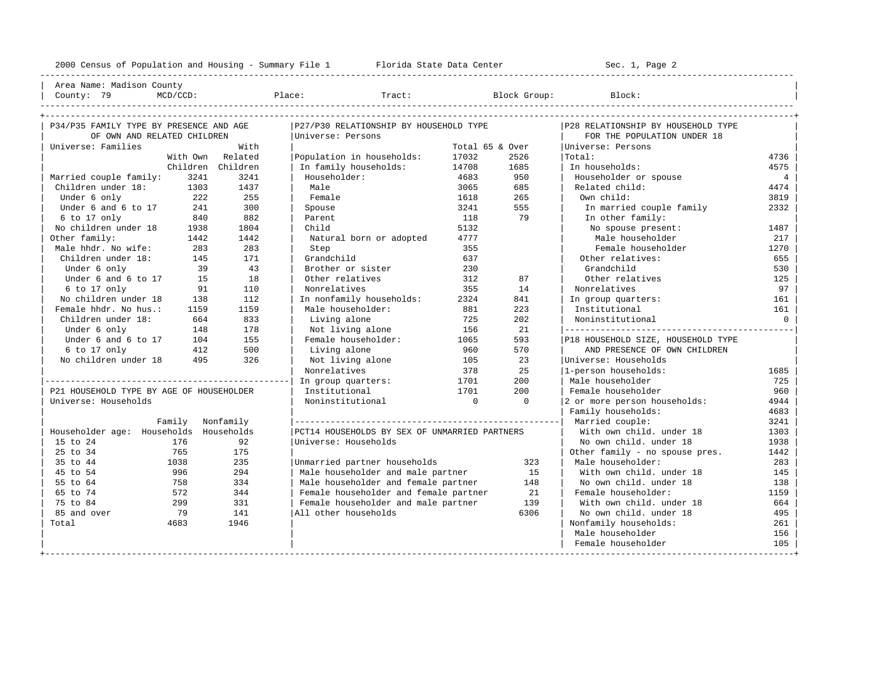2000 Census of Population and Housing - Summary File 1 Florida State Data Center Sec. 1, Page 2 ---------------------------------------------------------------------------------------------------------------------------------------------------- Area Name: Madison County | County: 79 MCD/CCD: Place: Tract: Block Group: Block: | ---------------------------------------------------------------------------------------------------------------------------------------------------- +---------------------------------------------------------------------------------------------------------------------------------------------------+ | P34/P35 FAMILY TYPE BY PRESENCE AND AGE |P27/P30 RELATIONSHIP BY HOUSEHOLD TYPE |P28 RELATIONSHIP BY HOUSEHOLD TYPE | | OF OWN AND RELATED CHILDREN |Universe: Persons | FOR THE POPULATION UNDER 18 | | Universe: Families With | Total 65 & Over |Universe: Persons | With Own Related | Population in households: 17032 2526 | Total: 4736 4736<br>Children Children | Infamily households: 14708 1685 | Infhouseholds: 4575 4575 | Children Children | In family households: 14708 1685 | In households: 4575 | | Married couple family: 3241 3241 | Householder: 4683 950 | Householder or spouse 4 | | Children under 18: 1303 1437 | Male 1613 1618 1612 1618 1612 1614<br>| Under 6 only 222 255 | Female 1618 265 | Own child: 1618 1618 1618 1619 | Under 6 only 222 255 | Female 1618 265 | Own child: 3819 | | Under 6 and 6 to 17  $\begin{array}{l|ccc} 241 & 300 & \text{pouse} & 3241 & 555 & \text{In married couple family} & 2332 \\ 6 \text{ to 17 only} & 840 & 882 & \text{Parent} & 118 & 79 & \text{In other family} \end{array}$ | 6 to 17 only 840 882 | Parent 118 79 | In other family: | No children under 18 1938 1804 | Child 187 1813 1812 | No spouse present: 1487 0ther family: 1442 1442 | Natural born or adopted 1777 | Male householder 217 | Male hhdr. No wife: 283 283 | Step 355 | Female householder 1270 | | Children under 18: 145 171 | Grandchild 637 | Other relatives: 655 | | Under 6 only 39 43 | Brother or sister 230 | Grandchild 530 | | Under 6 and 6 to 17 15 18 | Other relatives 312 87 | Other relatives 125 | | 6 to 17 only 91 110 | Nonrelatives 355 14 | Nonrelatives 97 | | No children under 18 138 112 | In nonfamily households: 2324 841 | In group quarters: 161 | | Female hhdr. No hus.: 1159 1159 | Male householder: 881 223 | Institutional 161 | | Children under 18: 664 833 | Living alone 725 202 | Noninstitutional 0 | | Under 6 only 148 178 | Not living alone 156 21 |---------------------------------------------| Under 6 and 6 to 17 104 155 | Female householder: 1065 593 | P18 HOUSEHOLD SIZE, HOUSEHOLD TYPE<br>6 to 17 only 112 500 | Living alone 960 570 | AND PRESENCE OF OWN CHILDREN | 6 to 17 only 412 500 | Living alone 960 570 | AND PRESENCE OF OWN CHILDREN | No children under 18 495 326 | Not living alone 105 23 | Universe: Households | Nonrelatives | Nonrelatives | 378 25 | 1-person households | Nonrelatives 1685 378 25 |1-person households: 1685 |------------------------------------------------| In group quarters: 1701 200 | Male householder 725 | | P21 HOUSEHOLD TYPE BY AGE OF HOUSEHOLDER | Institutional 1701 200 | Female householder 960 | | Universe: Households | Noninstitutional 0 0 |2 or more person households: 4944 | Family households: 4683 | Family Nonfamily |----------------------------------------------------| Married couple: 3241 | | Householder age: Households Households |PCT14 HOUSEHOLDS BY SEX OF UNMARRIED PARTNERS | With own child. under 18 1303 | | 15 to 24 176 92 | Universe: Households | No own child. under 18 1938<br>| 1442 165 175 | No own child. under 18 1938 | 25 to 34 765 175 | | Other family - no spouse pres. 1442 | % 1038 5 to 44 1038 35 100 Unmarried partner households 323 233 201 Male householder: 283<br>1996 294 1 Male householder and male partner 315 1 With own child. under 18 145 | 45 to 54 996 294 | Male householder and male partner 15 | With own child. under 18 145 | | 55 to 64 758 334 | Male householder and female partner 148 | No own child. under 18 138 | | 672 572 344 | Female householder and female partner 21 | Female householder: 1159<br>| 664 | Female householder and male partner 139 | With own child. under 18 664<br>| 664 | No own child. under 18 195 | 75 to 84 299 331 | Female householder and male partner 139 | With own child. under 18 664 | | 85 and over 79 141 |All other households 6306 | No own child. under 18 495 | | Total 4683 1946 | | Nonfamily households: 261 | | Male householder 156

+---------------------------------------------------------------------------------------------------------------------------------------------------+

| Female householder 105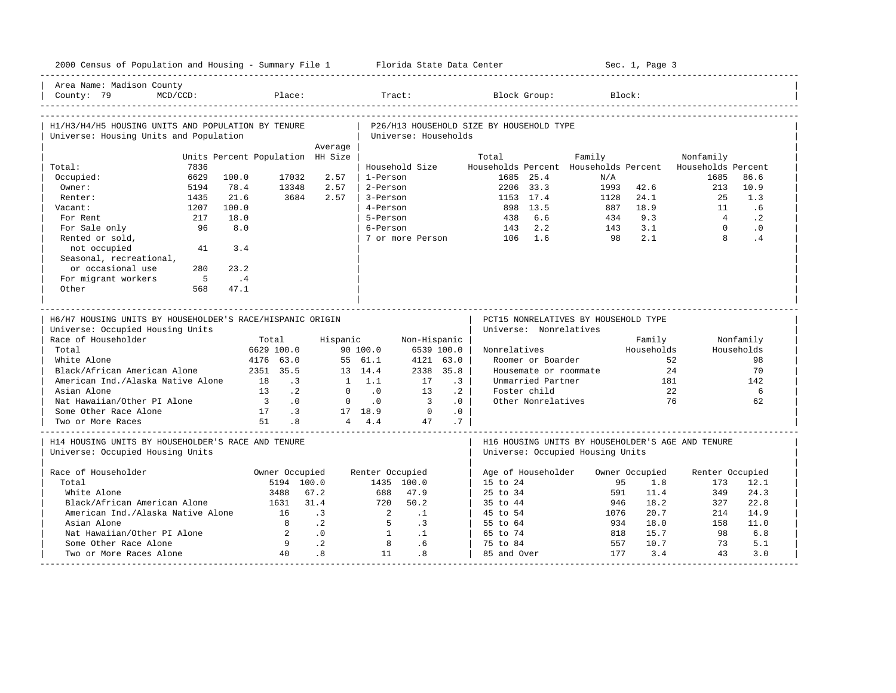| 2000 Census of Population and Housing - Summary File 1 Florida State Data Center             |                                         |              |                          |                         |            |                                          |                        |                                                          | Sec. 1, Page 3 |                 |            |
|----------------------------------------------------------------------------------------------|-----------------------------------------|--------------|--------------------------|-------------------------|------------|------------------------------------------|------------------------|----------------------------------------------------------|----------------|-----------------|------------|
| Area Name: Madison County<br>County: 79<br>$MCD/CCD$ :                                       | Place:                                  |              |                          | Tract:                  |            |                                          | Block Group:           |                                                          | Block:         |                 |            |
| H1/H3/H4/H5 HOUSING UNITS AND POPULATION BY TENURE<br>Universe: Housing Units and Population |                                         |              |                          | Universe: Households    |            | P26/H13 HOUSEHOLD SIZE BY HOUSEHOLD TYPE |                        |                                                          |                |                 |            |
|                                                                                              |                                         | Average      |                          |                         |            |                                          |                        |                                                          |                |                 |            |
|                                                                                              | Units Percent Population HH Size        |              |                          |                         |            | Total                                    |                        | Family                                                   |                | Nonfamily       |            |
| 7836<br>Total:                                                                               |                                         |              |                          | Household Size          |            |                                          |                        | Households Percent Households Percent Households Percent |                |                 |            |
| Occupied:<br>6629                                                                            | 100.0<br>17032                          | 2.57         | 1-Person                 |                         |            |                                          | 1685 25.4              | N/A                                                      |                | 1685            | 86.6       |
| Owner:<br>5194                                                                               | 78.4<br>13348                           | 2.57         | 2-Person                 |                         |            |                                          | 2206 33.3              | 1993                                                     | 42.6           | 213             | 10.9       |
| 1435<br>Renter:                                                                              | 21.6<br>3684                            | 2.57         | 3-Person                 |                         |            |                                          | 1153 17.4              | 1128                                                     | 24.1           | 25              | 1.3        |
| 1207<br>Vacant:                                                                              | 100.0                                   |              | 4-Person                 |                         |            | 898 13.5                                 |                        | 887                                                      | 18.9           | 11              | .6         |
| For Rent<br>217                                                                              | 18.0                                    |              | 5-Person                 |                         |            | 438                                      | 6.6                    | 434                                                      | 9.3            | $\overline{4}$  | $\cdot$ 2  |
| 96<br>For Sale only                                                                          | 8.0                                     |              | 6-Person                 |                         |            | 143                                      | 2.2                    | 143                                                      | 3.1            | $\Omega$        | $\cdot$ 0  |
| Rented or sold,                                                                              |                                         |              |                          | 7 or more Person        |            | 106 1.6                                  |                        | 98                                                       | 2.1            | $\mathsf{R}$    | .4         |
| not occupied<br>41                                                                           | 3.4                                     |              |                          |                         |            |                                          |                        |                                                          |                |                 |            |
| Seasonal, recreational,                                                                      |                                         |              |                          |                         |            |                                          |                        |                                                          |                |                 |            |
| or occasional use<br>280                                                                     | 23.2                                    |              |                          |                         |            |                                          |                        |                                                          |                |                 |            |
| For migrant workers<br>$5^{\circ}$                                                           | $\cdot$ 4                               |              |                          |                         |            |                                          |                        |                                                          |                |                 |            |
| Other<br>568                                                                                 | 47.1                                    |              |                          |                         |            |                                          |                        |                                                          |                |                 |            |
|                                                                                              |                                         |              |                          |                         |            |                                          |                        |                                                          |                |                 |            |
| H6/H7 HOUSING UNITS BY HOUSEHOLDER'S RACE/HISPANIC ORIGIN                                    |                                         |              |                          |                         |            |                                          |                        | PCT15 NONRELATIVES BY HOUSEHOLD TYPE                     |                |                 |            |
| Universe: Occupied Housing Units                                                             |                                         |              |                          |                         |            |                                          | Universe: Nonrelatives |                                                          |                |                 |            |
| Race of Householder                                                                          | Total                                   | Hispanic     |                          | Non-Hispanic            |            |                                          |                        |                                                          | Family         |                 | Nonfamily  |
| Total                                                                                        | 6629 100.0                              |              | 90 100.0                 |                         | 6539 100.0 | Nonrelatives                             |                        |                                                          | Households     |                 | Households |
| White Alone                                                                                  | 4176 63.0                               |              | 55 61.1                  |                         |            |                                          |                        |                                                          |                |                 |            |
|                                                                                              |                                         |              |                          |                         |            |                                          |                        |                                                          |                |                 |            |
|                                                                                              |                                         |              |                          |                         | 4121 63.0  |                                          | Roomer or Boarder      |                                                          |                | 52              | 98         |
| Black/African American Alone                                                                 | 2351 35.5                               |              | 13 14.4                  |                         | 2338 35.8  |                                          |                        | Housemate or roommate                                    |                | 2.4             | 70         |
| American Ind./Alaska Native Alone                                                            | 18<br>$\cdot$ 3                         |              | 1 1.1                    | 17                      | $\cdot$ 3  |                                          | Unmarried Partner      |                                                          | 181            |                 | 142        |
| Asian Alone                                                                                  | $\cdot$ 2<br>13                         | $\mathbf{0}$ | $\overline{\phantom{0}}$ | 13                      | $\cdot$ 2  |                                          | Foster child           |                                                          | 22             |                 | 6          |
| Nat Hawaiian/Other PI Alone                                                                  | $\overline{\phantom{a}}$ 3<br>$\cdot$ 0 | $\mathbf{0}$ | $\cdot$ 0                | $\overline{\mathbf{3}}$ | .0         |                                          | Other Nonrelatives     |                                                          | 76             |                 | 62         |
| Some Other Race Alone                                                                        | 17 .3<br>51                             |              | 17 18.9                  | $\overline{0}$          | .0         |                                          |                        |                                                          |                |                 |            |
| Two or More Races                                                                            | .8                                      |              | $4 \t 4.4$               | 47                      | .7         |                                          |                        |                                                          |                |                 |            |
| H14 HOUSING UNITS BY HOUSEHOLDER'S RACE AND TENURE                                           |                                         |              |                          |                         |            |                                          |                        | H16 HOUSING UNITS BY HOUSEHOLDER'S AGE AND TENURE        |                |                 |            |
| Universe: Occupied Housing Units                                                             |                                         |              |                          |                         |            |                                          |                        | Universe: Occupied Housing Units                         |                |                 |            |
|                                                                                              |                                         |              |                          |                         |            |                                          |                        |                                                          |                |                 |            |
| Race of Householder                                                                          | Owner Occupied                          |              | Renter Occupied          |                         |            | Age of Householder                       |                        |                                                          | Owner Occupied | Renter Occupied |            |
| Total                                                                                        | 5194 100.0                              |              |                          | 1435 100.0              |            | $15$ to $24$                             |                        | 95                                                       | 1.8            | 173             | 12.1       |
| White Alone                                                                                  | 3488                                    | 67.2         | 688                      | 47.9                    |            | $25 \text{ to } 34$                      |                        | 591                                                      | 11.4           | 349             | 24.3       |
| Black/African American Alone                                                                 | 1631                                    | 31.4         | 720                      | 50.2                    |            | 35 to 44                                 |                        | 946                                                      | 18.2           | 327             | 22.8       |
| American Ind./Alaska Native Alone                                                            | 16                                      | $\cdot$ 3    | $\overline{2}$           | $\cdot$ 1               |            | 45 to 54                                 |                        | 1076                                                     | 20.7           | 214             | 14.9       |
| Asian Alone                                                                                  | 8                                       | $\cdot$ 2    | $5^{\circ}$              | $\cdot$ 3               |            | 55 to 64                                 |                        | 934                                                      | 18.0           | 158             | 11.0       |
| Nat Hawaiian/Other PI Alone                                                                  | 2                                       | $\cdot$ 0    | $\sim$ 1                 | $\cdot$ 1               |            | 65 to 74                                 |                        | 818                                                      | 15.7           | 98              | 6.8        |
| Some Other Race Alone                                                                        | $\overline{9}$                          | $\cdot$ . 2  | 8                        | .6                      |            | 75 to 84                                 |                        | 557                                                      | 10.7           | 73              | 5.1        |
| Two or More Races Alone                                                                      | 40                                      | .8           | 11                       | .8                      |            | 85 and Over                              |                        | 177                                                      | 3.4            | 43              | 3.0        |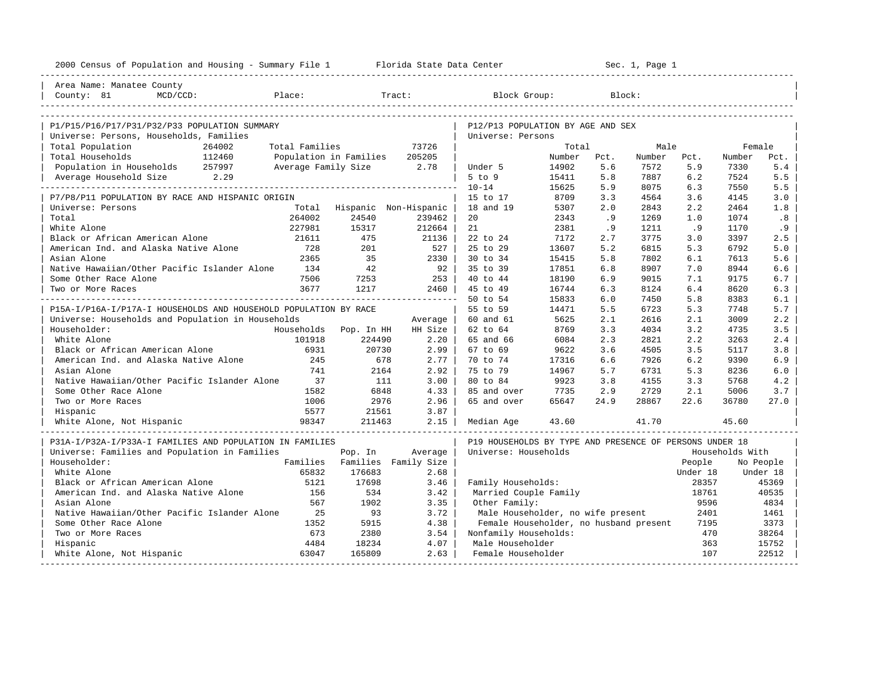| 2000 Census of Population and Housing - Summary File 1 Florida State Data Center |                |                             |                      |                                                         |        |      | Sec. 1, Page 1 |             |                 |                |
|----------------------------------------------------------------------------------|----------------|-----------------------------|----------------------|---------------------------------------------------------|--------|------|----------------|-------------|-----------------|----------------|
| Area Name: Manatee County                                                        |                |                             |                      |                                                         |        |      |                |             |                 |                |
| County: 81<br>MCD/CCD:<br>explorer in Place:                                     |                |                             | Tract:               | Block Group:                                            |        |      | Block:         |             |                 |                |
|                                                                                  |                |                             |                      |                                                         |        |      |                |             |                 |                |
| P1/P15/P16/P17/P31/P32/P33 POPULATION SUMMARY                                    |                |                             |                      | P12/P13 POPULATION BY AGE AND SEX<br>Universe: Persons  |        |      |                |             |                 |                |
| Universe: Persons, Households, Families<br>Total Population<br>264002            | Total Families |                             | 73726                |                                                         | Total  |      | Male           |             | Female          |                |
| Total Households<br>112460                                                       |                | Population in Families      | 205205               |                                                         | Number | Pct. | Number         | Pct.        | Number          | Pct.           |
| Population in Households 257997                                                  |                | Average Family Size 2.78    |                      | Under 5                                                 | 14902  | 5.6  | 7572           | 5.9         | 7330            | 5.4            |
| Average Household Size 2.29                                                      |                |                             |                      | $5$ to $9$                                              | 15411  | 5.8  | 7887           | 6.2         | 7524            | 5.5            |
| ------------------                                                               |                |                             |                      | $10 - 14$                                               | 15625  | 5.9  | 8075           | 6.3         | 7550            | 5.5            |
| P7/P8/P11 POPULATION BY RACE AND HISPANIC ORIGIN                                 |                |                             |                      | 15 to 17                                                | 8709   | 3.3  | 4564           | 3.6         | 4145            | 3.0            |
| Universe: Persons                                                                |                | Total Hispanic Non-Hispanic |                      | 18 and 19                                               | 5307   | 2.0  | 2843           | 2.2         | 2464            | 1.8            |
| Total                                                                            | 264002         | 24540                       | 239462               | 20                                                      | 2343   | .9   | 1269           | 1.0         | 1074            | .8             |
| White Alone                                                                      | 227981         | 15317                       | 212664               | 21                                                      | 2381   | .9   | 1211           | .9          | 1170            | .9             |
| Black or African American Alone                                                  | 21611          | 475                         | 21136                | 22 to 24                                                | 7172   | 2.7  | 3775           | 3.0         | 3397            | 2.5            |
| American Ind. and Alaska Native Alone                                            | 728            | 201                         | 527                  | 25 to 29                                                | 13607  | 5.2  | 6815           | 5.3         | 6792            | 5.0            |
| Asian Alone                                                                      | 2365           | 35                          | 2330                 | 30 to 34                                                | 15415  | 5.8  | 7802           | 6.1         | 7613            | 5.6            |
| Native Hawaiian/Other Pacific Islander Alone                                     | 134            | 42                          | 92                   | 35 to 39                                                | 17851  | 6.8  | 8907           | 7.0         | 8944            | 6.6            |
| Some Other Race Alone                                                            | 7506           | 7253                        | 253                  | 40 to 44                                                | 18190  | 6.9  | 9015           | 7.1         | 9175            | 6.7            |
| Two or More Races                                                                | 3677           | 1217                        | $2460$               | 45 to 49                                                | 16744  | 6.3  | 8124           | 6.4         | 8620            | 6.3            |
|                                                                                  |                |                             |                      | 50 to 54                                                | 15833  | 6.0  | 7450           | 5.8         | 8383            | 6.1            |
| P15A-I/P16A-I/P17A-I HOUSEHOLDS AND HOUSEHOLD POPULATION BY RACE                 |                |                             |                      | 55 to 59                                                | 14471  | 5.5  | 6723           | 5.3         | 7748            | 5.7            |
| Universe: Households and Population in Households                                |                |                             | Average              | 60 and 61                                               | 5625   | 2.1  | 2616           | 2.1         | 3009            | 2.2            |
| Householder:                                                                     | Households     | Pop. In HH                  | HH Size              | 62 to 64                                                | 8769   | 3.3  | 4034           | 3.2         | 4735            | 3.5            |
| White Alone                                                                      | 101918         | 224490                      | 2.20                 | 65 and 66                                               | 6084   | 2.3  | 2821           | 2.2         | 3263            | 2.4            |
| Black or African American Alone                                                  | 6931           | 20730                       | 2.99                 | 67 to 69                                                | 9622   | 3.6  | 4505           | 3.5         | 5117            | 3.8            |
| American Ind. and Alaska Native Alone                                            | 245            | 678                         | 2.77                 | 70 to 74                                                | 17316  | 6.6  | 7926           | 6.2         | 9390            | 6.9            |
| Asian Alone                                                                      | 741            | 2164                        | 2.92                 | 75 to 79                                                | 14967  | 5.7  | 6731           | 5.3         | 8236            | 6.0            |
| Native Hawaiian/Other Pacific Islander Alone                                     | 37             | 111                         | 3.00                 | 80 to 84                                                | 9923   | 3.8  | 4155           | 3.3         | 5768            | 4.2            |
| Some Other Race Alone                                                            | 1582           | 6848                        | 4.33                 | 85 and over                                             | 7735   | 2.9  | 2729           | 2.1         | 5006            | 3.7            |
| Two or More Races                                                                | 1006<br>5577   | 2976<br>21561               | 2.96<br>3.87         | 65 and over                                             | 65647  | 24.9 | 28867          | 22.6        | 36780           | 27.0           |
| Hispanic<br>White Alone, Not Hispanic                                            | 98347          | 211463                      | 2.15                 | Median Age                                              | 43.60  |      | 41.70          |             | 45.60           |                |
|                                                                                  |                |                             |                      |                                                         |        |      |                |             |                 |                |
| P31A-I/P32A-I/P33A-I FAMILIES AND POPULATION IN FAMILIES                         |                |                             |                      | P19 HOUSEHOLDS BY TYPE AND PRESENCE OF PERSONS UNDER 18 |        |      |                |             |                 |                |
| Universe: Families and Population in Families                                    |                | Pop. In                     | Average              | Universe: Households                                    |        |      |                |             | Households With |                |
| Householder:                                                                     | Families       |                             | Families Family Size |                                                         |        |      |                | People      |                 | No People      |
| White Alone                                                                      | 65832          | 176683                      | 2.68                 |                                                         |        |      |                | Under 18    |                 | Under 18       |
| Black or African American Alone                                                  | 5121           | 17698                       | 3.46                 | Family Households:                                      |        |      |                | 28357       |                 | 45369          |
| American Ind. and Alaska Native Alone                                            | 156            | 534                         | 3.42                 | Married Couple Family                                   |        |      |                | 18761       |                 | 40535          |
| Asian Alone                                                                      | 567            | 1902                        | 3.35                 | Other Family:                                           |        |      |                | 9596        |                 | 4834           |
| Native Hawaiian/Other Pacific Islander Alone                                     | 25             | 93                          | 3.72                 | Male Householder, no wife present                       |        |      |                | 2401        |                 | 1461           |
| Some Other Race Alone                                                            | 1352           | 5915                        | 4.38                 | Female Householder, no husband present                  |        |      |                | 7195<br>470 |                 | 3373           |
| Two or More Races                                                                | 673<br>4484    | 2380<br>18234               | 3.54<br>4.07         | Nonfamily Households:<br>Male Householder               |        |      |                | 363         |                 | 38264<br>15752 |
| Hispanic<br>White Alone, Not Hispanic                                            | 63047          | 165809                      | 2.63                 | Female Householder                                      |        |      |                | 107         |                 | 22512          |
| -----------------------------                                                    |                |                             |                      |                                                         |        |      |                |             |                 |                |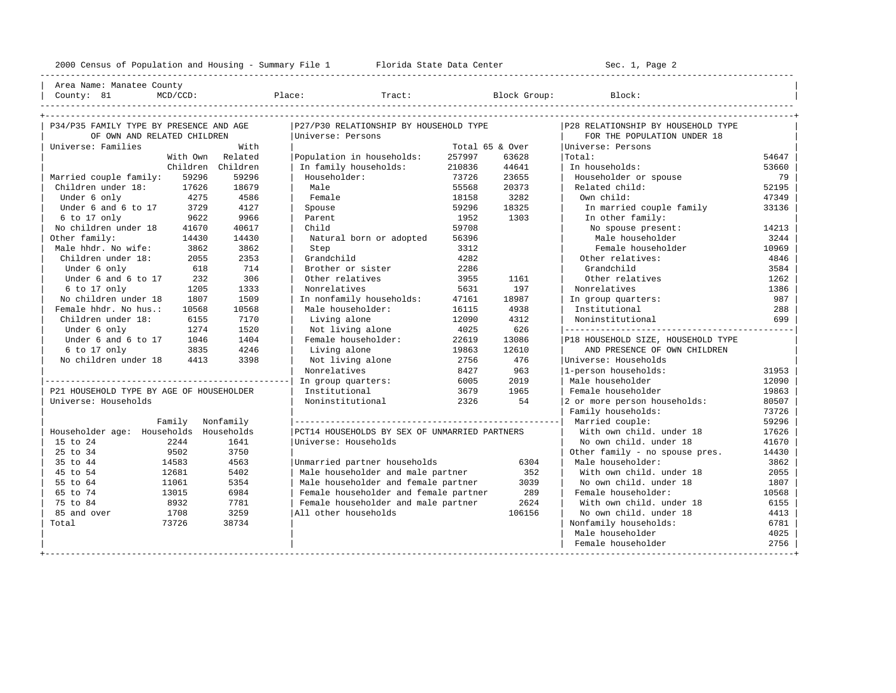----------------------------------------------------------------------------------------------------------------------------------------------------

Area Name: Manatee County | County: 81 MCD/CCD: Place: Tract: Block Group: Block: Block:

| P34/P35 FAMILY TYPE BY PRESENCE AND AGE  |          |                   | P27/P30 RELATIONSHIP BY HOUSEHOLD TYPE        |                 |                    | P28 RELATIONSHIP BY HOUSEHOLD TYPE |       |
|------------------------------------------|----------|-------------------|-----------------------------------------------|-----------------|--------------------|------------------------------------|-------|
| OF OWN AND RELATED CHILDREN              |          |                   | Universe: Persons                             |                 |                    | FOR THE POPULATION UNDER 18        |       |
| Universe: Families                       |          | With              |                                               | Total 65 & Over |                    | Universe: Persons                  |       |
|                                          | With Own | Related           | Population in households:                     | 257997          | 63628              | Total:                             | 54647 |
|                                          |          | Children Children | In family households:                         | 210836          | 44641              | In households:                     | 53660 |
| Married couple family:                   | 59296    | 59296             | Householder:                                  | 73726           | 23655              | Householder or spouse              | 79    |
| Children under 18:                       | 17626    | 18679             | Male                                          | 55568           | 20373              | Related child:                     | 52195 |
| Under 6 only                             | 4275     | 4586              | Female                                        | 18158           | 3282               | Own child:                         | 47349 |
| Under 6 and 6 to 17                      | 3729     | 4127              | Spouse                                        | 59296           | 18325              | In married couple family           | 33136 |
| 6 to 17 only                             | 9622     | 9966              | Parent                                        | 1952            | 1303               | In other family:                   |       |
| No children under 18                     | 41670    | 40617             | Child                                         | 59708           |                    | No spouse present:                 | 14213 |
| Other family:                            | 14430    | 14430             | Natural born or adopted                       | 56396           |                    | Male householder                   | 3244  |
| Male hhdr. No wife:                      | 3862     | 3862              | Step                                          | 3312            | Female householder | 10969                              |       |
| Children under 18:                       | 2055     | 2353              | Grandchild                                    | 4282            |                    | Other relatives:                   | 4846  |
| Under 6 only                             | 618      | 714               | Brother or sister                             | 2286            |                    | Grandchild                         | 3584  |
| Under 6 and 6 to 17                      | 232      | 306               | Other relatives                               | 3955            | 1161               | Other relatives                    | 1262  |
| 6 to 17 only                             | 1205     | 1333              | Nonrelatives                                  | 5631            | 197                | Nonrelatives                       | 1386  |
| No children under 18                     | 1807     | 1509              | In nonfamily households:                      | 47161           | 18987              | In group quarters:                 | 987   |
| Female hhdr. No hus.:                    | 10568    | 10568             | Male householder:                             | 16115           | 4938               | Institutional                      | 288   |
| Children under 18:                       | 6155     | 7170              | Living alone                                  | 12090           | 4312               | Noninstitutional                   | 699   |
| Under 6 only                             | 1274     | 1520              | Not living alone                              | 4025            | 626                |                                    |       |
| Under 6 and 6 to 17                      | 1046     | 1404              | Female householder:                           | 22619           | 13086              | P18 HOUSEHOLD SIZE, HOUSEHOLD TYPE |       |
| 6 to 17 only                             | 3835     | 4246              | Living alone                                  | 19863           | 12610              | AND PRESENCE OF OWN CHILDREN       |       |
| No children under 18                     | 4413     | 3398              | Not living alone                              | 2756            | 476                | Universe: Households               |       |
|                                          |          |                   | Nonrelatives                                  | 8427            | 963                | 1-person households:               | 31953 |
|                                          |          |                   | In group quarters:                            | 6005            | 2019               | Male householder                   | 12090 |
| P21 HOUSEHOLD TYPE BY AGE OF HOUSEHOLDER |          |                   | Institutional                                 | 3679            | 1965               | Female householder                 | 19863 |
| Universe: Households                     |          |                   | Noninstitutional                              | 2326            | 54                 | 2 or more person households:       | 80507 |
|                                          |          |                   |                                               |                 |                    | Family households:                 | 73726 |
|                                          | Family   | Nonfamily         |                                               |                 |                    | Married couple:                    | 59296 |
| Householder age: Households              |          | Households        | PCT14 HOUSEHOLDS BY SEX OF UNMARRIED PARTNERS |                 |                    | With own child, under 18           | 17626 |
| 15 to 24                                 | 2244     | 1641              | Universe: Households                          |                 |                    | No own child, under 18             | 41670 |
| 25 to 34                                 | 9502     | 3750              |                                               |                 |                    | Other family - no spouse pres.     | 14430 |
| 35 to 44                                 | 14583    | 4563              | Unmarried partner households                  |                 | 6304               | Male householder:                  | 3862  |
| 45 to 54                                 | 12681    | 5402              | Male householder and male partner             |                 | 352                | With own child, under 18           | 2055  |
| 55 to 64                                 | 11061    | 5354              | Male householder and female partner           |                 | 3039               | No own child, under 18             | 1807  |
| 65 to 74                                 | 13015    | 6984              | Female householder and female partner         |                 | 289                | Female householder:                | 10568 |
| 75 to 84                                 | 8932     | 7781              | Female householder and male partner           |                 | 2624               | With own child, under 18           | 6155  |
| 85 and over                              | 1708     | 3259              | All other households                          |                 | 106156             | No own child. under 18             | 4413  |
| Total                                    | 73726    | 38734             |                                               |                 |                    | Nonfamily households:              | 6781  |
|                                          |          |                   |                                               |                 |                    | Male householder                   | 4025  |
|                                          |          |                   |                                               |                 |                    | Female householder                 | 2756  |
|                                          |          |                   |                                               |                 |                    |                                    |       |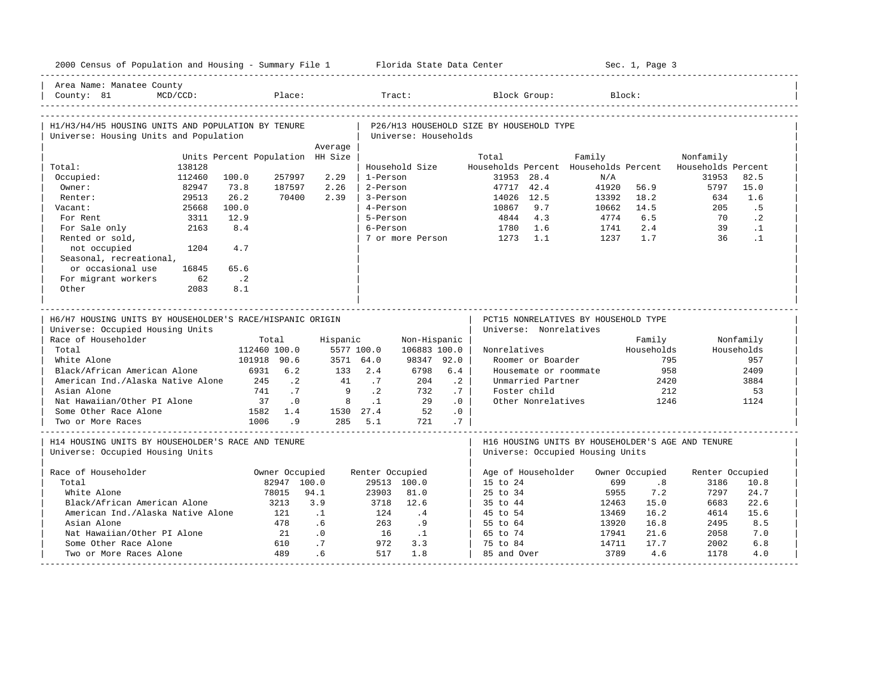| 2000 Census of Population and Housing - Summary File 1 Florida State Data Center             |              |                                  |                |                |                      |                              |           |                                          |                                                                                       | Sec. 1, Page 3 |                    |                        |
|----------------------------------------------------------------------------------------------|--------------|----------------------------------|----------------|----------------|----------------------|------------------------------|-----------|------------------------------------------|---------------------------------------------------------------------------------------|----------------|--------------------|------------------------|
| Area Name: Manatee County<br>County: 81                                                      | $MCD/CCD$ :  |                                  | Place:         |                |                      |                              |           | Block Group:                             |                                                                                       | Block:         |                    |                        |
| H1/H3/H4/H5 HOUSING UNITS AND POPULATION BY TENURE<br>Universe: Housing Units and Population |              |                                  |                |                |                      | Universe: Households         |           | P26/H13 HOUSEHOLD SIZE BY HOUSEHOLD TYPE |                                                                                       |                |                    |                        |
|                                                                                              |              |                                  |                | Average        |                      |                              |           |                                          |                                                                                       |                |                    |                        |
|                                                                                              |              | Units Percent Population HH Size |                |                |                      |                              |           | Total                                    | Family                                                                                |                | Nonfamily          |                        |
| Total:                                                                                       | 138128       |                                  |                |                |                      | Household Size               |           | Households Percent                       | Households Percent                                                                    |                | Households Percent |                        |
| Occupied:                                                                                    | 112460       | 100.0                            | 257997         | 2.29           | 1-Person             |                              |           | 31953 28.4                               | N/A                                                                                   |                | 31953              | 82.5                   |
| Owner:                                                                                       | 82947        | 73.8                             | 187597         | 2.26           | 2-Person             |                              |           | 47717 42.4                               | 41920                                                                                 | 56.9           | 5797               | 15.0                   |
| Renter:                                                                                      | 29513        | 26.2                             | 70400          | 2.39           | 3-Person             |                              |           | 14026 12.5                               | 13392                                                                                 | 18.2           | 634                | 1.6                    |
| Vacant:                                                                                      | 25668        | 100.0                            |                |                | 4-Person             |                              |           | 9.7<br>10867                             | 10662                                                                                 | 14.5           | 205<br>70          | .5                     |
| For Rent<br>For Sale only                                                                    | 3311<br>2163 | 12.9<br>8.4                      |                |                | 5-Person<br>6-Person |                              |           | 4.3<br>4844<br>1.6<br>1780               | 4774<br>1741                                                                          | 6.5<br>2.4     | 39                 | $\cdot$ 2<br>$\cdot$ 1 |
| Rented or sold,                                                                              |              |                                  |                |                |                      |                              |           | 7 or more Person 1273 1.1                | 1237                                                                                  | 1.7            | 36                 | $\cdot$ 1              |
| not occupied                                                                                 | 1204         | 4.7                              |                |                |                      |                              |           |                                          |                                                                                       |                |                    |                        |
| Seasonal, recreational,                                                                      |              |                                  |                |                |                      |                              |           |                                          |                                                                                       |                |                    |                        |
| or occasional use                                                                            | 16845        | 65.6                             |                |                |                      |                              |           |                                          |                                                                                       |                |                    |                        |
| For migrant workers                                                                          | 62           | $\cdot$ . 2                      |                |                |                      |                              |           |                                          |                                                                                       |                |                    |                        |
| Other                                                                                        | 2083         | 8.1                              |                |                |                      |                              |           |                                          |                                                                                       |                |                    |                        |
| H6/H7 HOUSING UNITS BY HOUSEHOLDER'S RACE/HISPANIC ORIGIN                                    |              |                                  |                |                |                      | ---------------------------- |           |                                          | PCT15 NONRELATIVES BY HOUSEHOLD TYPE                                                  |                |                    |                        |
| Universe: Occupied Housing Units                                                             |              |                                  |                |                |                      |                              |           | Universe: Nonrelatives                   |                                                                                       |                |                    |                        |
| Race of Householder                                                                          |              |                                  | Total          | Hispanic       |                      | Non-Hispanic                 |           |                                          |                                                                                       | Family         |                    | Nonfamily              |
| Total                                                                                        |              | 112460 100.0                     |                |                | 5577 100.0           | 106883 100.0                 |           | Nonrelatives                             |                                                                                       | Households     |                    | Households             |
| White Alone                                                                                  |              | 101918 90.6                      |                |                | 3571 64.0            | 98347 92.0                   |           | Roomer or Boarder                        |                                                                                       |                | 795                | 957                    |
| Black/African American Alone                                                                 |              |                                  | 6931 6.2       |                | 133 2.4              | 6798                         | 6.4       |                                          | Housemate or roommate                                                                 | 958            |                    | 2409                   |
| American Ind./Alaska Native Alone                                                            |              | 245                              | $\cdot$ 2      | 41             | .7                   | 204                          | $\cdot$ 2 | Unmarried Partner                        |                                                                                       | 2420           |                    | 3884                   |
| Asian Alone                                                                                  |              | 741                              | $\cdot$ 7      | $\mathsf{q}$   | $\cdot$ 2            | 732                          | .7        | Foster child                             |                                                                                       | 212            |                    | 53                     |
| Nat Hawaiian/Other PI Alone                                                                  |              |                                  | 37 .0          | $\overline{8}$ | $\ldots$             | 29                           | $\cdot$ 0 |                                          | Other Nonrelatives                                                                    | 1246           |                    | 1124                   |
| Some Other Race Alone                                                                        |              | 1582 1.4                         |                |                | 1530 27.4            | 52                           | .0        |                                          |                                                                                       |                |                    |                        |
| Two or More Races                                                                            |              |                                  | 1006.9         |                | 285 5.1              |                              |           |                                          |                                                                                       |                |                    |                        |
|                                                                                              |              |                                  |                |                |                      | 721                          | .7        |                                          |                                                                                       |                |                    |                        |
| H14 HOUSING UNITS BY HOUSEHOLDER'S RACE AND TENURE<br>Universe: Occupied Housing Units       |              |                                  |                |                |                      |                              |           |                                          | H16 HOUSING UNITS BY HOUSEHOLDER'S AGE AND TENURE<br>Universe: Occupied Housing Units |                |                    |                        |
|                                                                                              |              |                                  |                |                |                      |                              |           |                                          |                                                                                       |                |                    |                        |
| Race of Householder                                                                          |              |                                  | Owner Occupied |                | Renter Occupied      |                              |           | Age of Householder                       |                                                                                       | Owner Occupied | Renter Occupied    |                        |
| Total                                                                                        |              |                                  | 82947 100.0    |                |                      | 29513 100.0                  |           | 15 to 24                                 | 699                                                                                   | .8             | 3186               | 10.8                   |
| White Alone                                                                                  |              |                                  | 78015          | 94.1           | 23903                | 81.0                         |           | 25 to 34                                 | 5955                                                                                  | 7.2            | 7297               | 24.7                   |
| Black/African American Alone                                                                 |              |                                  | 3213           | 3.9            | 3718                 | 12.6                         |           | 35 to 44                                 | 12463                                                                                 | 15.0           | 6683               | 22.6                   |
| American Ind./Alaska Native Alone                                                            |              |                                  | 121            | $\overline{1}$ | 124                  | .4                           |           | 45 to 54                                 | 13469                                                                                 | 16.2           | 4614               | 15.6                   |
| Asian Alone                                                                                  |              |                                  | 478            | .6             | 263                  | .9                           |           | 55 to 64                                 | 13920                                                                                 | 16.8           | 2495               | 8.5                    |
| Nat Hawaiian/Other PI Alone<br>Some Other Race Alone                                         |              |                                  | 21<br>610      | .0<br>.7       | 16<br>972            | $\ldots$ 1<br>3.3            |           | 65 to 74<br>75 to 84                     | 17941<br>14711                                                                        | 21.6<br>17.7   | 2058<br>2002       | 7.0<br>6.8             |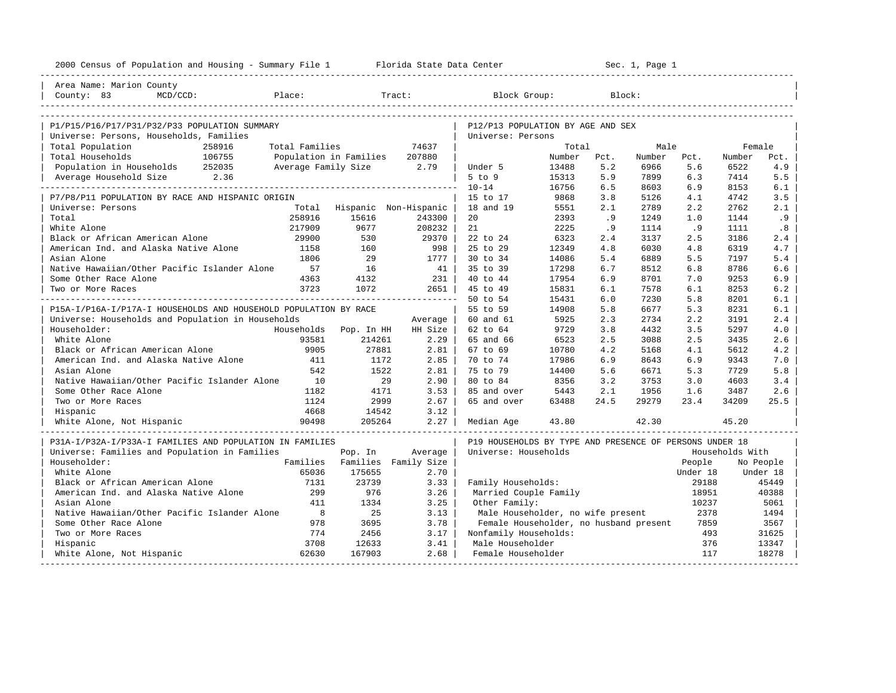|                                                                  |                |                               | 2000 Census of Population and Housing - Summary File 1 Florida State Data Center |                                                         | ______________________ |            | Sec. 1, Page 1 |            |                 |            |
|------------------------------------------------------------------|----------------|-------------------------------|----------------------------------------------------------------------------------|---------------------------------------------------------|------------------------|------------|----------------|------------|-----------------|------------|
| Area Name: Marion County                                         |                |                               |                                                                                  |                                                         |                        |            |                |            |                 |            |
| Place:<br>County: 83<br>MCD/CCD:                                 |                |                               | Tract:                                                                           | Block Group:                                            |                        | Block:     |                |            |                 |            |
|                                                                  |                |                               |                                                                                  |                                                         |                        |            |                |            |                 |            |
| P1/P15/P16/P17/P31/P32/P33 POPULATION SUMMARY                    |                |                               |                                                                                  | P12/P13 POPULATION BY AGE AND SEX                       |                        |            |                |            |                 |            |
| Universe: Persons, Households, Families                          |                |                               |                                                                                  | Universe: Persons                                       |                        |            |                |            |                 |            |
| Total Population<br>258916                                       | Total Families |                               | 74637                                                                            |                                                         | Total                  |            | Male           |            | Female          |            |
| 106755<br>Total Households                                       |                | Population in Families 207880 |                                                                                  |                                                         | Number                 | Pct.       | Number         | Pct.       | Number          | Pct.       |
| Population in Households 252035<br>Average Household Size 2.36   |                | Average Family Size 2.79      |                                                                                  | Under 5<br>$5$ to $9$                                   | 13488<br>15313         | 5.2<br>5.9 | 6966<br>7899   | 5.6<br>6.3 | 6522<br>7414    | 4.9<br>5.5 |
|                                                                  |                |                               |                                                                                  | $10 - 14$                                               | 16756                  | 6.5        | 8603           | 6.9        | 8153            | 6.1        |
| P7/P8/P11 POPULATION BY RACE AND HISPANIC ORIGIN                 |                |                               |                                                                                  | 15 to 17                                                | 9868                   | 3.8        | 5126           | 4.1        | 4742            | 3.5        |
| Universe: Persons                                                | Total          | Hispanic Non-Hispanic         |                                                                                  | 18 and 19                                               | 5551                   | 2.1        | 2789           | 2.2        | 2762            | 2.1        |
| Total                                                            | 258916         | 15616                         | 243300                                                                           | 20                                                      | 2393                   | .9         | 1249           | 1.0        | 1144            | .9         |
| White Alone                                                      | 217909         | 9677                          | 208232                                                                           | 21                                                      | 2225                   | .9         | 1114           | .9         | 1111            | .8         |
| Black or African American Alone                                  | 29900          | 530                           | 29370                                                                            | 22 to 24                                                | 6323                   | 2.4        | 3137           | 2.5        | 3186            | 2.4        |
| American Ind. and Alaska Native Alone                            | 1158           | 160                           | 998                                                                              | 25 to 29                                                | 12349                  | 4.8        | 6030           | 4.8        | 6319            | 4.7        |
| Asian Alone                                                      | 1806           | 29                            | $1777$                                                                           | 30 to 34                                                | 14086                  | 5.4        | 6889           | 5.5        | 7197            | 5.4        |
| Native Hawaiian/Other Pacific Islander Alone                     | 57             | 16                            | 41                                                                               | 35 to 39                                                | 17298                  | 6.7        | 8512           | 6.8        | 8786            | 6.6        |
| Some Other Race Alone                                            | 4363           | 4132                          | 231                                                                              | 40 to 44                                                | 17954                  | 6.9        | 8701           | 7.0        | 9253            | 6.9        |
| Two or More Races                                                | 3723           | 1072                          | 2651                                                                             | 45 to 49                                                | 15831                  | 6.1        | 7578           | 6.1        | 8253            | 6.2        |
|                                                                  |                |                               |                                                                                  | 50 to 54                                                | 15431                  | 6.0        | 7230           | 5.8        | 8201            | 6.1        |
| P15A-I/P16A-I/P17A-I HOUSEHOLDS AND HOUSEHOLD POPULATION BY RACE |                |                               |                                                                                  | 55 to 59                                                | 14908                  | 5.8        | 6677           | 5.3        | 8231            | 6.1        |
| Universe: Households and Population in Households                |                |                               | Average                                                                          | 60 and 61                                               | 5925                   | 2.3        | 2734           | 2.2        | 3191            | 2.4        |
| Householder:                                                     | Households     | Pop. In HH                    | HH Size                                                                          | 62 to 64                                                | 9729                   | 3.8        | 4432           | 3.5        | 5297            | 4.0        |
| White Alone                                                      | 93581          | 214261                        | $2.29$                                                                           | 65 and 66                                               | 6523                   | 2.5        | 3088           | 2.5        | 3435            | 2.6        |
| Black or African American Alone                                  | 9905           | 27881                         | 2.81                                                                             | 67 to 69                                                | 10780                  | 4.2        | 5168           | 4.1        | 5612            | 4.2        |
| American Ind. and Alaska Native Alone                            | 411            | 1172                          | $2.85$                                                                           | 70 to 74                                                | 17986                  | 6.9        | 8643           | 6.9        | 9343            | 7.0        |
| Asian Alone                                                      | 542            | 1522                          | 2.81                                                                             | 75 to 79                                                | 14400                  | 5.6        | 6671           | 5.3        | 7729            | 5.8        |
| Native Hawaiian/Other Pacific Islander Alone                     | 10             | 29                            | $2.90 \mid$                                                                      | 80 to 84                                                | 8356                   | 3.2        | 3753           | 3.0        | 4603            | 3.4        |
| Some Other Race Alone                                            | 1182           | 4171                          | $3.53 \text{ }$                                                                  | 85 and over                                             | 5443                   | 2.1        | 1956           | 1.6        | 3487            | 2.6        |
| Two or More Races                                                | 1124           | 2999                          | $2.67 \;   \;$                                                                   | 65 and over                                             | 63488                  | 24.5       | 29279          | 23.4       | 34209           | 25.5       |
| Hispanic                                                         | 4668           | 14542                         | 3.12                                                                             |                                                         |                        |            |                |            |                 |            |
| White Alone, Not Hispanic                                        | 90498          | 205264                        | $2.27$                                                                           | Median Age                                              | 43.80                  |            | 42.30          |            | 45.20           |            |
| P31A-I/P32A-I/P33A-I FAMILIES AND POPULATION IN FAMILIES         |                |                               |                                                                                  | P19 HOUSEHOLDS BY TYPE AND PRESENCE OF PERSONS UNDER 18 |                        |            |                |            |                 |            |
| Universe: Families and Population in Families                    |                | Pop. In                       | Average                                                                          | Universe: Households                                    |                        |            |                |            | Households With |            |
| Householder:                                                     |                | Families Families Family Size |                                                                                  |                                                         |                        |            |                | People     |                 | No People  |
| White Alone                                                      | 65036          | 175655                        | 2.70                                                                             |                                                         |                        |            |                | Under 18   |                 | Under 18   |
| Black or African American Alone                                  | 7131           | 23739                         | 3.33                                                                             | Family Households:                                      |                        |            |                | 29188      |                 | 45449      |
| American Ind. and Alaska Native Alone                            | 299            | 976                           | 3.26                                                                             | Married Couple Family                                   |                        |            |                | 18951      |                 | 40388      |
| Asian Alone                                                      | 411            | 1334                          | 3.25                                                                             | Other Family:                                           |                        |            |                | 10237      |                 | 5061       |
| Native Hawaiian/Other Pacific Islander Alone                     | 8 <sup>8</sup> | 25                            | 3.13                                                                             | Male Householder, no wife present                       |                        |            |                | 2378       |                 | 1494       |
| Some Other Race Alone                                            | 978            | 3695                          | 3.78                                                                             | Female Householder, no husband present                  |                        |            |                | 7859       |                 | 3567       |
| Two or More Races                                                | 774            | 2456                          | 3.17                                                                             | Nonfamily Households:                                   |                        |            |                | 493        |                 | 31625      |
| Hispanic                                                         | 3708           | 12633                         | 3.41                                                                             | Male Householder                                        |                        |            |                | 376        |                 | 13347      |
| White Alone, Not Hispanic                                        | 62630          | 167903                        | 2.68                                                                             | Female Householder                                      |                        |            |                | 117        |                 | 18278      |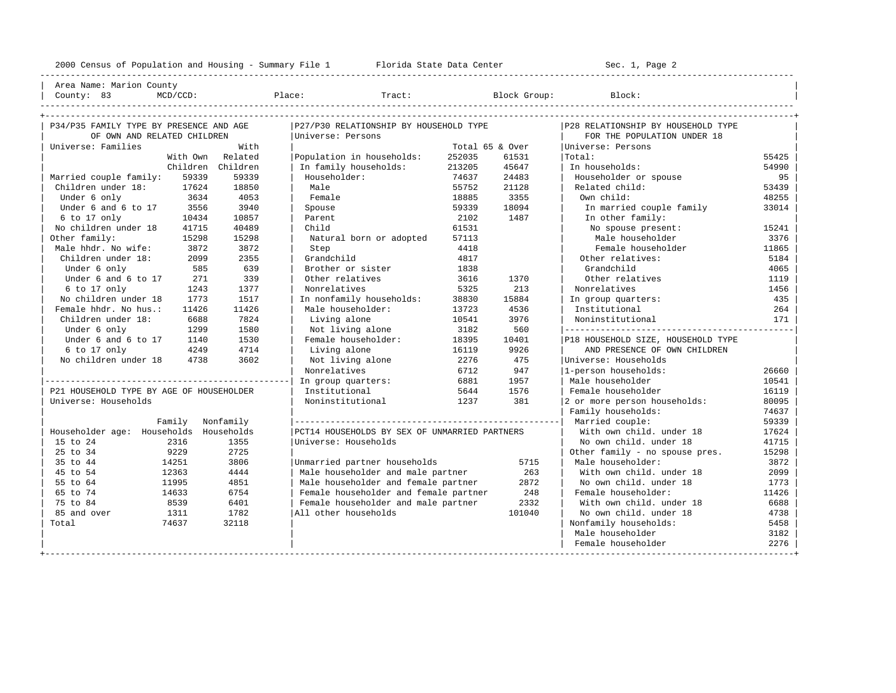----------------------------------------------------------------------------------------------------------------------------------------------------

| Area Name: Marion County | | County: 83 MCD/CCD: Place: Tract: Block Group: Block: |

| P34/P35 FAMILY TYPE BY PRESENCE AND AGE  |                  |          | P27/P30 RELATIONSHIP BY HOUSEHOLD TYPE        |                 |        | P28 RELATIONSHIP BY HOUSEHOLD TYPE |       |
|------------------------------------------|------------------|----------|-----------------------------------------------|-----------------|--------|------------------------------------|-------|
| OF OWN AND RELATED CHILDREN              |                  |          | Universe: Persons                             |                 |        | FOR THE POPULATION UNDER 18        |       |
| Universe: Families                       |                  | With     |                                               | Total 65 & Over |        | Universe: Persons                  |       |
|                                          | With Own         | Related  | Population in households:                     | 252035          | 61531  | Total:                             | 55425 |
|                                          | Children         | Children | In family households:                         | 213205          | 45647  | In households:                     | 54990 |
| Married couple family:                   | 59339            | 59339    | Householder:                                  | 74637           | 24483  | Householder or spouse              | 95    |
| Children under 18:                       | 17624            | 18850    | Male                                          | 55752           | 21128  | Related child:                     | 53439 |
| Under 6 only                             | 3634             | 4053     | Female                                        | 18885           | 3355   | Own child:                         | 48255 |
| Under 6 and 6 to 17                      | 3556             | 3940     | Spouse                                        | 59339           | 18094  | In married couple family           | 33014 |
| 6 to 17 only                             | 10434            | 10857    | Parent                                        | 2102            | 1487   | In other family:                   |       |
| No children under 18                     | 41715            | 40489    | Child                                         | 61531           |        | No spouse present:                 | 15241 |
| Other family:                            | 15298            | 15298    | Natural born or adopted                       | 57113           |        | Male householder                   | 3376  |
| Male hhdr. No wife:                      | 3872             | 3872     | Step                                          | 4418            |        | Female householder                 | 11865 |
| Children under 18:                       | 2099             | 2355     | Grandchild                                    | 4817            |        | Other relatives:                   | 5184  |
| Under 6 only                             | 585              | 639      | Brother or sister                             | 1838            |        | Grandchild                         | 4065  |
| Under 6 and 6 to 17                      | 271              | 339      | Other relatives                               | 3616            | 1370   | Other relatives                    | 1119  |
| 6 to 17 only                             | 1243             | 1377     | Nonrelatives                                  | 5325            | 213    | Nonrelatives                       | 1456  |
| No children under 18                     | 1773             | 1517     | In nonfamily households:                      | 38830           | 15884  | In group quarters:                 | 435   |
| Female hhdr. No hus.:                    | 11426            | 11426    | Male householder:                             | 13723           | 4536   | Institutional                      | 264   |
| Children under 18:                       | 6688             | 7824     | Living alone                                  | 10541           | 3976   | Noninstitutional                   | 171   |
| Under 6 only                             | 1299             | 1580     | Not living alone                              | 3182            | 560    |                                    |       |
| Under 6 and 6 to 17                      | 1140             | 1530     | Female householder:                           | 18395           | 10401  | P18 HOUSEHOLD SIZE, HOUSEHOLD TYPE |       |
| 6 to 17 only                             | 4249             | 4714     | Living alone                                  | 16119           | 9926   | AND PRESENCE OF OWN CHILDREN       |       |
| No children under 18                     | 4738             | 3602     | Not living alone                              | 2276            | 475    | Universe: Households               |       |
|                                          |                  |          | Nonrelatives                                  | 6712            | 947    | 1-person households:               | 26660 |
|                                          |                  |          | In group quarters:                            | 6881            | 1957   | Male householder                   | 10541 |
| P21 HOUSEHOLD TYPE BY AGE OF HOUSEHOLDER |                  |          | Institutional                                 | 5644            | 1576   | Female householder                 | 16119 |
| Universe: Households                     |                  |          | Noninstitutional                              | 1237            | 381    | 2 or more person households:       | 80095 |
|                                          |                  |          |                                               |                 |        | Family households:                 | 74637 |
|                                          | Family Nonfamily |          |                                               |                 |        | Married couple:                    | 59339 |
| Householder age: Households Households   |                  |          | PCT14 HOUSEHOLDS BY SEX OF UNMARRIED PARTNERS |                 |        | With own child, under 18           | 17624 |
| 15 to 24                                 | 2316             | 1355     | Universe: Households                          |                 |        | No own child, under 18             | 41715 |
| 25 to 34                                 | 9229             | 2725     |                                               |                 |        | Other family - no spouse pres.     | 15298 |
| 35 to 44                                 | 14251            | 3806     | Unmarried partner households                  |                 | 5715   | Male householder:                  | 3872  |
| 45 to 54                                 | 12363            | 4444     | Male householder and male partner             |                 | 263    | With own child, under 18           | 2099  |
| 55 to 64                                 | 11995            | 4851     | Male householder and female partner           |                 | 2872   | No own child, under 18             | 1773  |
| 65 to 74                                 | 14633            | 6754     | Female householder and female partner         |                 | 248    | Female householder:                | 11426 |
| 75 to 84                                 | 8539             | 6401     | Female householder and male partner           |                 | 2332   | With own child. under 18           | 6688  |
| 85 and over                              | 1311             | 1782     | All other households                          |                 | 101040 | No own child, under 18             | 4738  |
| Total                                    | 74637            | 32118    |                                               |                 |        | Nonfamily households:              | 5458  |
|                                          |                  |          |                                               |                 |        | Male householder                   | 3182  |
|                                          |                  |          |                                               |                 |        | Female householder                 | 2276  |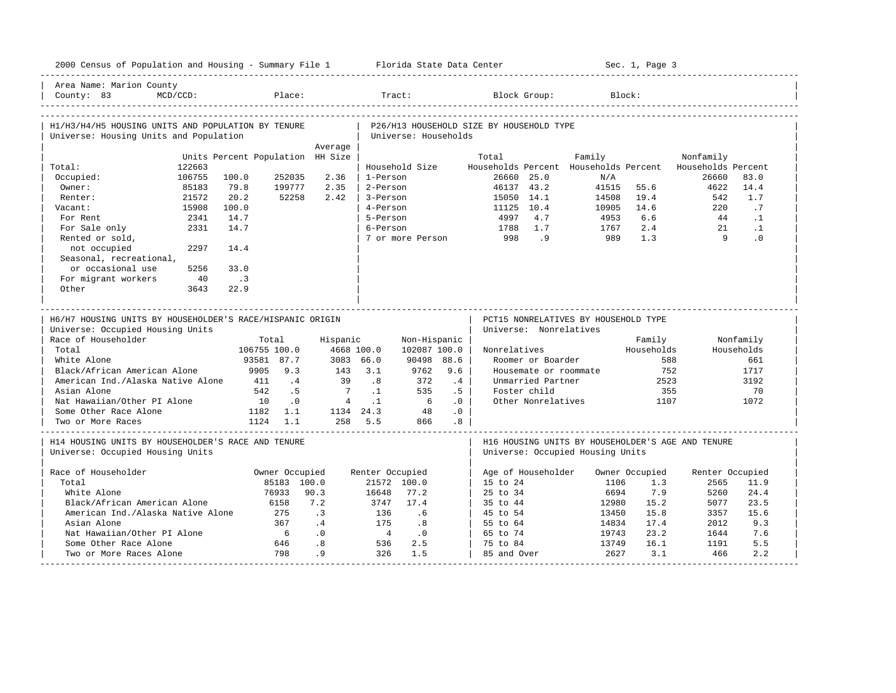| 2000 Census of Population and Housing - Summary File 1 Florida State Data Center              |             |                                  |                               |                |                 |                      |     |                                          |                    |                                       | Sec. 1, Page 3        |                                                   |            |
|-----------------------------------------------------------------------------------------------|-------------|----------------------------------|-------------------------------|----------------|-----------------|----------------------|-----|------------------------------------------|--------------------|---------------------------------------|-----------------------|---------------------------------------------------|------------|
| Area Name: Marion County<br>County: 83                                                        | $MCD/CCD$ : |                                  | Place:                        |                | Tract:          |                      |     |                                          | Block Group:       |                                       | Block:                |                                                   |            |
| H1/H3/H4/H5 HOUSING UNITS AND POPULATION BY TENURE<br>Universe: Housing Units and Population  |             |                                  |                               |                |                 | Universe: Households |     | P26/H13 HOUSEHOLD SIZE BY HOUSEHOLD TYPE |                    |                                       |                       |                                                   |            |
|                                                                                               |             |                                  |                               | Average        |                 |                      |     |                                          |                    |                                       |                       |                                                   |            |
|                                                                                               |             | Units Percent Population HH Size |                               |                |                 |                      |     | Total                                    |                    | Family                                |                       | Nonfamily                                         |            |
| Total:                                                                                        | 122663      |                                  |                               |                |                 | Household Size       |     |                                          |                    | Households Percent Households Percent |                       | Households Percent                                |            |
| Occupied:                                                                                     | 106755      | 100.0                            | 252035                        | 2.36           | 1-Person        |                      |     | 26660 25.0                               |                    | N/A                                   |                       | 26660                                             | 83.0       |
| Owner:                                                                                        | 85183       | 79.8                             | 199777                        | 2.35           | 2-Person        |                      |     | 46137 43.2                               |                    | 41515                                 | 55.6                  | 4622                                              | 14.4       |
| Renter:                                                                                       | 21572       | 20.2                             | 52258                         | 2.42           | 3-Person        |                      |     | 15050                                    | 14.1<br>10.4       | 14508                                 | 19.4                  | 542                                               | 1.7        |
| Vacant:                                                                                       | 15908       | 100.0                            |                               |                | 4-Person        |                      |     | 11125                                    |                    | 10905                                 | 14.6                  | 220                                               | .7         |
| For Rent                                                                                      | 2341        | 14.7                             |                               |                | 5-Person        |                      |     | 4997                                     | 4.7                | 4953                                  | 6.6                   | 44                                                | $\cdot$ 1  |
| For Sale only                                                                                 | 2331        | 14.7                             |                               |                | 6-Person        |                      |     | 1788                                     | 1.7                | 1767                                  | 2.4                   | 21<br>Q                                           | $\cdot$ 1  |
| Rented or sold,                                                                               |             |                                  |                               |                |                 | 7 or more Person     |     | 998                                      | .9                 | 989                                   | 1.3                   |                                                   | .0         |
| not occupied                                                                                  | 2297        | 14.4                             |                               |                |                 |                      |     |                                          |                    |                                       |                       |                                                   |            |
| Seasonal, recreational,                                                                       |             |                                  |                               |                |                 |                      |     |                                          |                    |                                       |                       |                                                   |            |
| or occasional use                                                                             | 5256        | 33.0                             |                               |                |                 |                      |     |                                          |                    |                                       |                       |                                                   |            |
| For migrant workers                                                                           | 40          | $\cdot$ .3                       |                               |                |                 |                      |     |                                          |                    |                                       |                       |                                                   |            |
| Other                                                                                         | 3643        | 22.9                             |                               |                |                 |                      |     |                                          |                    |                                       |                       |                                                   |            |
|                                                                                               |             |                                  |                               |                |                 |                      |     |                                          |                    |                                       |                       |                                                   |            |
| H6/H7 HOUSING UNITS BY HOUSEHOLDER'S RACE/HISPANIC ORIGIN<br>Universe: Occupied Housing Units |             |                                  |                               |                |                 |                      |     | Universe: Nonrelatives                   |                    | PCT15 NONRELATIVES BY HOUSEHOLD TYPE  |                       |                                                   |            |
| Race of Householder                                                                           |             |                                  | Total                         | Hispanic       |                 | Non-Hispanic         |     |                                          |                    |                                       | Family                |                                                   | Nonfamily  |
| Total                                                                                         |             |                                  | 106755 100.0                  | 4668 100.0     |                 | 102087 100.0         |     | Nonrelatives                             |                    |                                       | Households            |                                                   | Households |
| White Alone                                                                                   |             |                                  | 93581 87.7                    | 3083 66.0      |                 | 90498 88.6           |     |                                          | Roomer or Boarder  |                                       |                       | 588                                               | 661        |
| Black/African American Alone                                                                  |             | 9905                             | 9.3                           | 143            | 3.1             | 9762                 | 9.6 |                                          |                    | Housemate or roommate                 |                       | 752                                               | 1717       |
| American Ind./Alaska Native Alone                                                             |             | 411                              | .4                            | 39             | .8              | 372                  | .4  |                                          | Unmarried Partner  |                                       |                       | 2523                                              | 3192       |
| Asian Alone                                                                                   |             | 542                              | .5                            | $\overline{7}$ | $\cdot$ 1       | 535                  | .5  |                                          | Foster child       |                                       |                       | 355                                               | 70         |
| Nat Hawaiian/Other PI Alone                                                                   |             | 10                               | $\cdot$ 0                     | $\overline{4}$ | $\cdot$ 1       | 6                    | .0  |                                          | Other Nonrelatives |                                       | 1107                  |                                                   | 1072       |
| Some Other Race Alone                                                                         |             |                                  | 1182 1.1                      | 1134 24.3      |                 | 48                   | .0  |                                          |                    |                                       |                       |                                                   |            |
| Two or More Races                                                                             |             |                                  | 1124 1.1                      |                | 258 5.5         | 866                  | .8  |                                          |                    |                                       |                       |                                                   |            |
| H14 HOUSING UNITS BY HOUSEHOLDER'S RACE AND TENURE<br>Universe: Occupied Housing Units        |             |                                  |                               |                |                 |                      |     |                                          |                    | Universe: Occupied Housing Units      |                       | H16 HOUSING UNITS BY HOUSEHOLDER'S AGE AND TENURE |            |
| Race of Householder                                                                           |             |                                  |                               |                |                 |                      |     |                                          |                    |                                       |                       |                                                   |            |
| Total                                                                                         |             |                                  | Owner Occupied<br>85183 100.0 |                | Renter Occupied | 21572 100.0          |     | Age of Householder<br>15 to 24           |                    | 1106                                  | Owner Occupied<br>1.3 | Renter Occupied<br>2565                           | 11.9       |
| White Alone                                                                                   |             |                                  | 76933                         | 90.3           | 16648           | 77.2                 |     | 25 to 34                                 |                    | 6694                                  | 7.9                   | 5260                                              | 24.4       |
| Black/African American Alone                                                                  |             |                                  | 6158                          | 7.2            | 3747            | 17.4                 |     |                                          |                    |                                       |                       | 5077                                              | 23.5       |
|                                                                                               |             |                                  | 275                           | $\cdot$ 3      | 136             | . 6                  |     | 35 to 44                                 |                    | 12980                                 | 15.2<br>15.8          | 3357                                              | 15.6       |
| American Ind./Alaska Native Alone<br>Asian Alone                                              |             |                                  | 367                           | .4             | 175             |                      |     | 45 to 54                                 |                    | 13450                                 | 17.4                  | 2012                                              | 9.3        |
| Nat Hawaiian/Other PI Alone                                                                   |             |                                  | 6                             | .0             | $\frac{4}{3}$   | .8<br>$\cdot$ 0      |     | 55 to 64<br>65 to 74                     |                    | 14834<br>19743                        | 23.2                  | 1644                                              | 7.6        |
| Some Other Race Alone                                                                         |             |                                  | 646                           | .8             | 536             | 2.5                  |     | 75 to 84                                 |                    | 13749                                 | 16.1                  | 1191                                              | 5.5        |
| Two or More Races Alone                                                                       |             |                                  | 798                           | .9             | 326             | 1.5                  |     | 85 and Over                              |                    | 2627                                  | 3.1                   | 466                                               | 2.2        |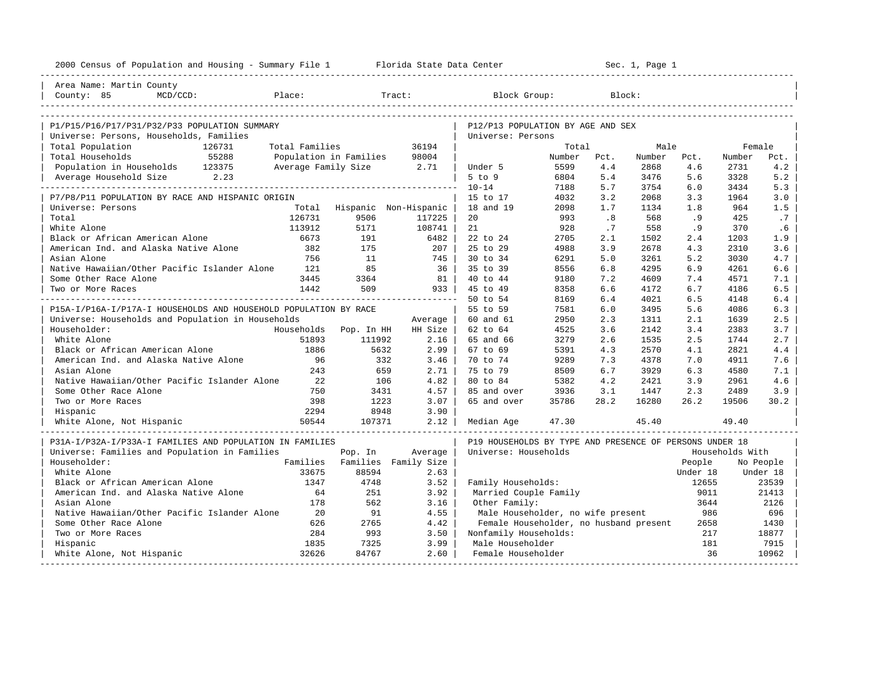| 2000 Census of Population and Housing - Summary File 1 Florida State Data Center |                |                          |                               |                                                         |        |      | Sec. 1, Page 1 |          |                 |           |
|----------------------------------------------------------------------------------|----------------|--------------------------|-------------------------------|---------------------------------------------------------|--------|------|----------------|----------|-----------------|-----------|
| Area Name: Martin County                                                         |                |                          |                               |                                                         |        |      |                |          |                 |           |
| Place:<br>County: 85<br>$MCD/CCD$ :                                              |                |                          | Tract:                        | Block Group:                                            |        |      | Block:         |          |                 |           |
|                                                                                  |                |                          |                               |                                                         |        |      |                |          |                 |           |
| P1/P15/P16/P17/P31/P32/P33 POPULATION SUMMARY                                    |                |                          |                               | P12/P13 POPULATION BY AGE AND SEX                       |        |      |                |          |                 |           |
| Universe: Persons, Households, Families                                          |                |                          |                               | Universe: Persons                                       |        |      |                |          |                 |           |
| Total Population<br>126731                                                       | Total Families |                          | 36194                         |                                                         | Total  |      | Male           |          | Female          |           |
| 55288<br>Total Households                                                        |                | Population in Families   | 98004                         |                                                         | Number | Pct. | Number         | Pct.     | Number          | Pct.      |
| Population in Households 123375                                                  |                | Average Family Size 2.71 |                               | Under 5                                                 | 5599   | 4.4  | 2868           | 4.6      | 2731            | 4.2       |
| Average Household Size 2.23                                                      |                |                          |                               | $5$ to $9$                                              | 6804   | 5.4  | 3476           | 5.6      | 3328            | 5.2       |
|                                                                                  |                |                          |                               | $10 - 14$                                               | 7188   | 5.7  | 3754           | 6.0      | 3434            | 5.3       |
| P7/P8/P11 POPULATION BY RACE AND HISPANIC ORIGIN                                 |                |                          |                               | 15 to 17                                                | 4032   | 3.2  | 2068           | 3.3      | 1964            | 3.0       |
| Universe: Persons                                                                | Total          |                          | Hispanic Non-Hispanic         | 18 and 19                                               | 2098   | 1.7  | 1134           | 1.8      | 964             | 1.5       |
| Total                                                                            | 126731         | 9506                     | 117225                        | 20                                                      | 993    | .8   | 568            | .9       | 425             | .7        |
| White Alone                                                                      | 113912         | 5171                     | 108741                        | 21                                                      | 928    | .7   | 558            | . 9      | 370             | .6        |
| Black or African American Alone                                                  | 6673           | 191                      | 6482                          | 22 to 24                                                | 2705   | 2.1  | 1502           | 2.4      | 1203            | 1.9       |
| American Ind. and Alaska Native Alone                                            | 382            | 175                      | $207 \text{ }$                | 25 to 29                                                | 4988   | 3.9  | 2678           | 4.3      | 2310            | 3.6       |
| Asian Alone                                                                      | 756            | 11                       | 745                           | 30 to 34                                                | 6291   | 5.0  | 3261           | 5.2      | 3030            | 4.7       |
| Native Hawaiian/Other Pacific Islander Alone                                     | 121            | 85                       | 36                            | 35 to 39                                                | 8556   | 6.8  | 4295           | 6.9      | 4261            | 6.6       |
| Some Other Race Alone                                                            | 3445           | 3364                     | 81                            | 40 to 44                                                | 9180   | 7.2  | 4609           | 7.4      | 4571            | 7.1       |
| Two or More Races                                                                | 1442           | 509                      | 933                           | 45 to 49                                                | 8358   | 6.6  | 4172           | 6.7      | 4186            | 6.5       |
|                                                                                  |                |                          |                               | 50 to 54                                                | 8169   | 6.4  | 4021           | 6.5      | 4148            | 6.4       |
| P15A-I/P16A-I/P17A-I HOUSEHOLDS AND HOUSEHOLD POPULATION BY RACE                 |                |                          |                               | 55 to 59                                                | 7581   | 6.0  | 3495           | 5.6      | 4086            | 6.3       |
| Universe: Households and Population in Households                                |                |                          | Average                       | 60 and 61                                               | 2950   | 2.3  | 1311           | 2.1      | 1639            | 2.5       |
| Householder:                                                                     |                | Households Pop. In HH    | HH Size                       | 62 to 64                                                | 4525   | 3.6  | 2142           | 3.4      | 2383            | 3.7       |
| White Alone                                                                      | 51893          | 111992                   | 2.16                          | 65 and 66                                               | 3279   | 2.6  | 1535           | 2.5      | 1744            | 2.7       |
| Black or African American Alone                                                  | 1886           | 5632                     | $2.99$                        | 67 to 69                                                | 5391   | 4.3  | 2570           | 4.1      | 2821            | 4.4       |
| American Ind. and Alaska Native Alone                                            | 96             | 332                      | 3.46                          | 70 to 74                                                | 9289   | 7.3  | 4378           | 7.0      | 4911            | 7.6       |
| Asian Alone                                                                      | 243            | 659                      | 2.71                          | 75 to 79                                                | 8509   | 6.7  | 3929           | 6.3      | 4580            | 7.1       |
| Native Hawaiian/Other Pacific Islander Alone                                     | 22             | 106                      | 4.82                          | 80 to 84                                                | 5382   | 4.2  | 2421           | 3.9      | 2961            | 4.6       |
| Some Other Race Alone                                                            | 750            | 3431                     | 4.57                          | 85 and over                                             | 3936   | 3.1  | 1447           | 2.3      | 2489            | 3.9       |
| Two or More Races                                                                | 398            | 1223                     | 3.07                          | 65 and over                                             | 35786  | 28.2 | 16280          | 26.2     | 19506           | 30.2      |
| Hispanic                                                                         | 2294           | 8948                     | 3.90                          |                                                         |        |      |                |          |                 |           |
| White Alone, Not Hispanic                                                        | 50544          | 107371                   | 2.12                          | Median Age                                              | 47.30  |      | 45.40          |          | 49.40           |           |
| P31A-I/P32A-I/P33A-I FAMILIES AND POPULATION IN FAMILIES                         |                |                          |                               | P19 HOUSEHOLDS BY TYPE AND PRESENCE OF PERSONS UNDER 18 |        |      |                |          |                 |           |
| Universe: Families and Population in Families                                    |                | Pop. In                  | Average                       | Universe: Households                                    |        |      |                |          | Households With |           |
| Householder:                                                                     |                |                          | Families Families Family Size |                                                         |        |      |                | People   |                 | No People |
| White Alone                                                                      | 33675          | 88594                    | 2.63                          |                                                         |        |      |                | Under 18 |                 | Under 18  |
| Black or African American Alone                                                  | 1347           | 4748                     | 3.52                          | Family Households:                                      |        |      |                | 12655    |                 | 23539     |
| American Ind. and Alaska Native Alone                                            | 64             | 251                      | 3.92                          | Married Couple Family                                   |        |      |                | 9011     |                 | 21413     |
| Asian Alone                                                                      | 178            | 562                      | 3.16                          | Other Family:                                           |        |      |                | 3644     |                 | 2126      |
| Native Hawaiian/Other Pacific Islander Alone                                     | 20             | 91                       | 4.55                          | Male Householder, no wife present                       |        |      |                | 986      |                 | 696       |
| Some Other Race Alone                                                            | 626            | 2765                     | 4.42                          | Female Householder, no husband present                  |        |      |                | 2658     |                 | 1430      |
| Two or More Races                                                                | 284            | 993                      | 3.50                          | Nonfamily Households:                                   |        |      |                | 217      |                 | 18877     |
| Hispanic                                                                         | 1835           | 7325                     | 3.99                          | Male Householder                                        |        |      |                | 181      |                 | 7915      |
| White Alone, Not Hispanic                                                        | 32626          | 84767                    | $2.60$                        | Female Householder                                      |        |      |                | 36       |                 | 10962     |
|                                                                                  |                |                          |                               |                                                         |        |      |                |          |                 |           |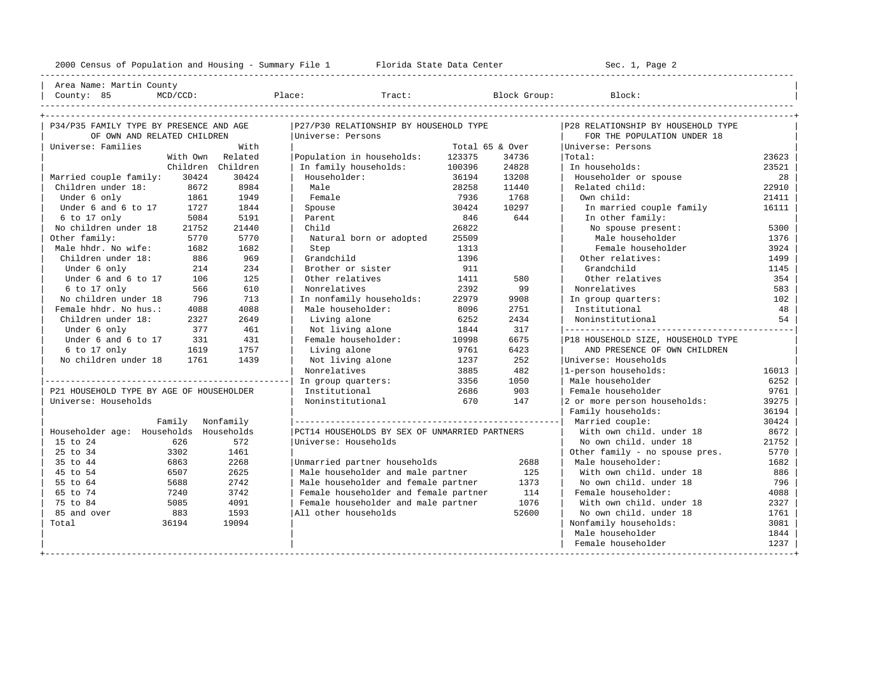----------------------------------------------------------------------------------------------------------------------------------------------------

| Area Name: Martin County | | County: 85 MCD/CCD: Place: Tract: Block Group: Block: |

| P34/P35 FAMILY TYPE BY PRESENCE AND AGE  |          |                   | P27/P30 RELATIONSHIP BY HOUSEHOLD TYPE        |                 |       | P28 RELATIONSHIP BY HOUSEHOLD TYPE |       |
|------------------------------------------|----------|-------------------|-----------------------------------------------|-----------------|-------|------------------------------------|-------|
| OF OWN AND RELATED CHILDREN              |          |                   | Universe: Persons                             |                 |       | FOR THE POPULATION UNDER 18        |       |
| Universe: Families                       |          | With              |                                               | Total 65 & Over |       | Universe: Persons                  |       |
|                                          | With Own | Related           | Population in households:                     | 123375          | 34736 | Total:                             | 23623 |
|                                          |          | Children Children | In family households:                         | 100396          | 24828 | In households:                     | 23521 |
| Married couple family:                   | 30424    | 30424             | Householder:                                  | 36194           | 13208 | Householder or spouse              | 28    |
| Children under 18:                       | 8672     | 8984              | Male                                          | 28258           | 11440 | Related child:                     | 22910 |
| Under 6 only                             | 1861     | 1949              | Female                                        | 7936            | 1768  | Own child:                         | 21411 |
| Under 6 and 6 to 17                      | 1727     | 1844              | Spouse                                        | 30424           | 10297 | In married couple family           | 16111 |
| 6 to 17 only                             | 5084     | 5191              | Parent                                        | 846             | 644   | In other family:                   |       |
| No children under 18                     | 21752    | 21440             | Child                                         | 26822           |       | No spouse present:                 | 5300  |
| Other family:                            | 5770     | 5770              | Natural born or adopted                       | 25509           |       | Male householder                   | 1376  |
| Male hhdr. No wife:                      | 1682     | 1682              | Step                                          | 1313            |       | Female householder                 | 3924  |
| Children under 18:                       | 886      | 969               | Grandchild                                    | 1396            |       | Other relatives:                   | 1499  |
| Under 6 only                             | 214      | 234               | Brother or sister                             | 911             |       | Grandchild                         | 1145  |
| Under 6 and 6 to 17                      | 106      | 125               | Other relatives                               | 1411            | 580   | Other relatives                    | 354   |
| 6 to 17 only                             | 566      | 610               | Nonrelatives                                  | 2392            | 99    | Nonrelatives                       | 583   |
| No children under 18                     | 796      | 713               | In nonfamily households:                      | 22979           | 9908  | In group quarters:                 | 102   |
| Female hhdr. No hus.:                    | 4088     | 4088              | Male householder:                             | 8096            | 2751  | Institutional                      | 48    |
| Children under 18:                       | 2327     | 2649              | Living alone                                  | 6252            | 2434  | Noninstitutional                   | 54    |
| Under 6 only                             | 377      | 461               | Not living alone                              | 1844            | 317   |                                    |       |
| Under 6 and 6 to 17                      | 331      | 431               | Female householder:                           | 10998           | 6675  | P18 HOUSEHOLD SIZE, HOUSEHOLD TYPE |       |
| 6 to 17 only                             | 1619     | 1757              | Living alone                                  | 9761            | 6423  | AND PRESENCE OF OWN CHILDREN       |       |
| No children under 18                     | 1761     | 1439              | Not living alone                              | 1237            | 252   | Universe: Households               |       |
|                                          |          |                   | Nonrelatives                                  | 3885            | 482   | 1-person households:               | 16013 |
|                                          |          |                   | In group quarters:                            | 3356            | 1050  | Male householder                   | 6252  |
| P21 HOUSEHOLD TYPE BY AGE OF HOUSEHOLDER |          |                   | Institutional                                 | 2686            | 903   | Female householder                 | 9761  |
| Universe: Households                     |          |                   | Noninstitutional                              | 670             | 147   | 2 or more person households:       | 39275 |
|                                          |          |                   |                                               |                 |       | Family households:                 | 36194 |
|                                          | Family   | Nonfamily         |                                               |                 |       | Married couple:                    | 30424 |
| Householder age: Households Households   |          |                   | PCT14 HOUSEHOLDS BY SEX OF UNMARRIED PARTNERS |                 |       | With own child, under 18           | 8672  |
| 15 to 24                                 | 626      | 572               | Universe: Households                          |                 |       | No own child, under 18             | 21752 |
| 25 to 34                                 | 3302     | 1461              |                                               |                 |       | Other family - no spouse pres.     | 5770  |
| 35 to 44                                 | 6863     | 2268              | Unmarried partner households                  |                 | 2688  | Male householder:                  | 1682  |
| 45 to 54                                 | 6507     | 2625              | Male householder and male partner             |                 | 125   | With own child, under 18           | 886   |
| 55 to 64                                 | 5688     | 2742              | Male householder and female partner           |                 | 1373  | No own child. under 18             | 796   |
| 65 to 74                                 | 7240     | 3742              | Female householder and female partner         |                 | 114   | Female householder:                | 4088  |
| 75 to 84                                 | 5085     | 4091              | Female householder and male partner           |                 | 1076  | With own child. under 18           | 2327  |
| 85 and over                              | 883      | 1593              | All other households                          |                 | 52600 | No own child, under 18             | 1761  |
| Total                                    | 36194    | 19094             |                                               |                 |       | Nonfamily households:              | 3081  |
|                                          |          |                   |                                               |                 |       | Male householder                   | 1844  |
|                                          |          |                   |                                               |                 |       | Female householder                 | 1237  |
|                                          |          |                   |                                               |                 |       |                                    |       |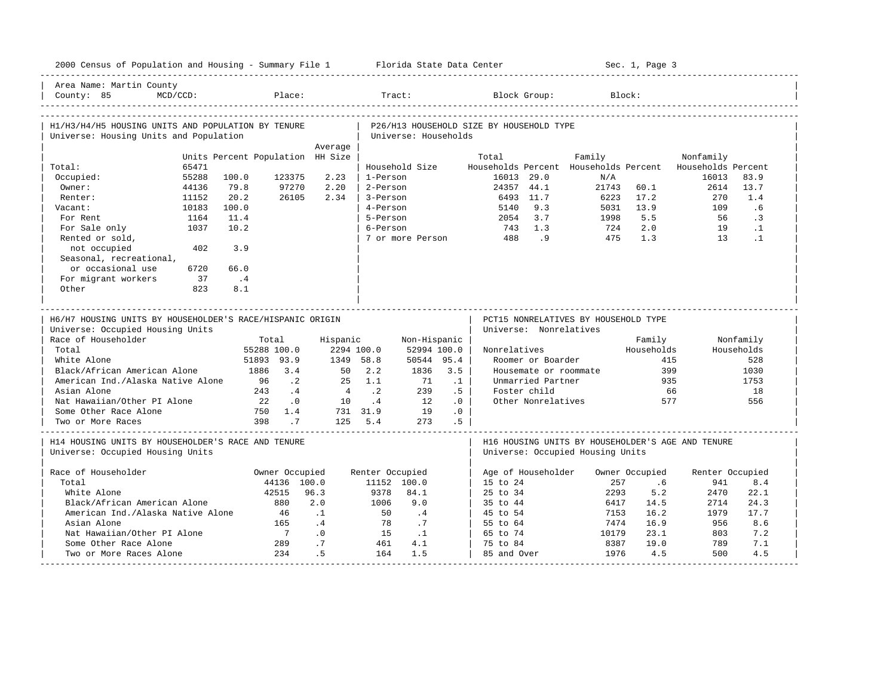| 2000 Census of Population and Housing - Summary File 1 Florida State Data Center       |                                  |                          |            |                    |                      |                 |                                          |                                   |                                              | Sec. 1, Page 3 |                                                   |            |
|----------------------------------------------------------------------------------------|----------------------------------|--------------------------|------------|--------------------|----------------------|-----------------|------------------------------------------|-----------------------------------|----------------------------------------------|----------------|---------------------------------------------------|------------|
| Area Name: Martin County<br>$MCD/CCD$ :<br>County: 85                                  |                                  | Place:                   |            |                    | Tract:               |                 |                                          | Block Group:                      |                                              | Block:         |                                                   |            |
| H1/H3/H4/H5 HOUSING UNITS AND POPULATION BY TENURE                                     |                                  |                          |            |                    |                      |                 | P26/H13 HOUSEHOLD SIZE BY HOUSEHOLD TYPE |                                   |                                              |                |                                                   |            |
| Universe: Housing Units and Population                                                 |                                  |                          |            |                    | Universe: Households |                 |                                          |                                   |                                              |                |                                                   |            |
|                                                                                        |                                  |                          | Average    |                    |                      |                 |                                          |                                   |                                              |                |                                                   |            |
|                                                                                        | Units Percent Population HH Size |                          |            |                    |                      |                 | Total                                    |                                   | Family                                       |                | Nonfamily                                         |            |
| 65471<br>Total:<br>55288                                                               | 100.0                            | 123375                   | 2.23       | 1-Person           | Household Size       |                 |                                          | 16013 29.0                        | Households Percent Households Percent<br>N/A |                | Households Percent<br>16013                       | 83.9       |
| Occupied:<br>Owner:<br>44136                                                           | 79.8                             | 97270                    | 2.20       | 2-Person           |                      |                 |                                          | 24357 44.1                        | 21743                                        | 60.1           | 2614                                              | 13.7       |
| 11152<br>Renter:                                                                       | 20.2                             | 26105                    | 2.34       | 3-Person           |                      |                 |                                          | 6493 11.7                         | 6223                                         | 17.2           | 270                                               | 1.4        |
| 10183<br>Vacant:                                                                       | 100.0                            |                          |            | 4-Person           |                      |                 | 5140                                     | 9.3                               | 5031                                         | 13.9           | 109                                               | .6         |
| 1164<br>For Rent                                                                       | 11.4                             |                          |            | 5-Person           |                      |                 | 2054                                     | 3.7                               | 1998                                         | 5.5            | 56                                                | $\cdot$ 3  |
| 1037<br>For Sale only                                                                  | 10.2                             |                          |            | 6-Person           |                      |                 | 743                                      | 1.3                               | 724                                          | 2.0            | 19                                                | $\cdot$ 1  |
| Rented or sold,                                                                        |                                  |                          |            |                    | 7 or more Person     |                 | 488                                      | 9 <sup>1</sup>                    | 475                                          | 1.3            | 13                                                | $\cdot$ 1  |
| not occupied<br>402                                                                    | 3.9                              |                          |            |                    |                      |                 |                                          |                                   |                                              |                |                                                   |            |
| Seasonal, recreational,                                                                |                                  |                          |            |                    |                      |                 |                                          |                                   |                                              |                |                                                   |            |
| or occasional use<br>6720                                                              | 66.0                             |                          |            |                    |                      |                 |                                          |                                   |                                              |                |                                                   |            |
| For migrant workers<br>37                                                              | $\cdot$ 4                        |                          |            |                    |                      |                 |                                          |                                   |                                              |                |                                                   |            |
| Other<br>823                                                                           | 8.1                              |                          |            |                    |                      |                 |                                          |                                   |                                              |                |                                                   |            |
|                                                                                        |                                  |                          |            |                    |                      |                 |                                          |                                   |                                              |                |                                                   |            |
|                                                                                        |                                  |                          |            |                    |                      |                 |                                          |                                   |                                              |                |                                                   |            |
|                                                                                        |                                  |                          |            |                    |                      |                 |                                          |                                   |                                              |                |                                                   |            |
| H6/H7 HOUSING UNITS BY HOUSEHOLDER'S RACE/HISPANIC ORIGIN                              |                                  |                          |            |                    |                      |                 |                                          |                                   | PCT15 NONRELATIVES BY HOUSEHOLD TYPE         |                |                                                   |            |
| Universe: Occupied Housing Units                                                       |                                  |                          |            |                    |                      |                 |                                          | Universe: Nonrelatives            |                                              |                |                                                   |            |
| Race of Householder                                                                    | Total                            |                          | Hispanic   |                    | Non-Hispanic         |                 |                                          |                                   |                                              | Family         |                                                   | Nonfamily  |
| Total                                                                                  | 55288 100.0                      |                          | 2294 100.0 |                    | 52994 100.0          |                 | Nonrelatives                             |                                   |                                              | Households     |                                                   | Households |
| White Alone                                                                            | 51893 93.9                       |                          | 1349 58.8  |                    | 50544 95.4           |                 |                                          | Roomer or Boarder                 |                                              |                | 415                                               | 528        |
| Black/African American Alone                                                           | 1886 3.4                         |                          | 50         | 2.2                | 1836                 | 3.5             |                                          |                                   | Housemate or roommate                        |                | 399                                               | 1030       |
| American Ind./Alaska Native Alone<br>Asian Alone                                       | 96<br>243                        | $\cdot$ . 2<br>$\cdot$ 4 | 2.5        | 1.1<br>$\cdot$ . 2 | 71<br>239            | $\cdot$ 1<br>.5 |                                          | Unmarried Partner<br>Foster child |                                              |                | 935<br>66                                         | 1753<br>18 |
| Nat Hawaiian/Other PI Alone                                                            | 22                               | $\cdot$ 0                | 10         | .4                 | 12                   | .0              |                                          | Other Nonrelatives                |                                              |                | 577                                               | 556        |
| Some Other Race Alone                                                                  | 750 1.4                          |                          |            | 731 31.9           | 19                   | .0              |                                          |                                   |                                              |                |                                                   |            |
| Two or More Races                                                                      | 398                              | $\cdot$ 7                |            | 125 5.4            | 273                  | .5              |                                          |                                   |                                              |                |                                                   |            |
| H14 HOUSING UNITS BY HOUSEHOLDER'S RACE AND TENURE<br>Universe: Occupied Housing Units |                                  |                          |            |                    |                      |                 |                                          |                                   | Universe: Occupied Housing Units             |                | H16 HOUSING UNITS BY HOUSEHOLDER'S AGE AND TENURE |            |
|                                                                                        |                                  |                          |            |                    |                      |                 |                                          |                                   |                                              |                |                                                   |            |
| Race of Householder                                                                    |                                  | Owner Occupied           |            | Renter Occupied    |                      |                 |                                          | Age of Householder                |                                              | Owner Occupied | Renter Occupied                                   |            |
| Total                                                                                  |                                  | 44136 100.0              |            |                    | 11152 100.0          |                 | 15 to 24                                 |                                   | 257                                          | .6             | 941                                               | 8.4        |
| White Alone                                                                            |                                  | 42515                    | 96.3       | 9378               | 84.1                 |                 | 25 to 34                                 |                                   | 2293                                         | 5.2            | 2470                                              | 22.1       |
| Black/African American Alone                                                           |                                  | 880                      | 2.0        | 1006               | 9.0                  |                 | 35 to 44                                 |                                   | 6417                                         | 14.5           | 2714                                              | 24.3       |
| American Ind./Alaska Native Alone                                                      |                                  | - 46                     | $\cdot$ 1  | 50                 | .4                   |                 | 45 to 54                                 |                                   | 7153                                         | 16.2           | 1979                                              | 17.7       |
| Asian Alone                                                                            |                                  | 165                      | .4         | 78                 | .7                   |                 | 55 to 64                                 |                                   | 7474                                         | 16.9           | 956                                               | 8.6        |
| Nat Hawaiian/Other PI Alone                                                            |                                  | $\overline{7}$           | .0         | 15                 | $\cdot$ 1            |                 | 65 to 74                                 |                                   | 10179                                        | 23.1           | 803                                               | 7.2        |
| Some Other Race Alone<br>Two or More Races Alone                                       |                                  | 289<br>234               | .7<br>.5   | 461<br>164         | 4.1<br>1.5           |                 | 75 to 84<br>85 and Over                  |                                   | 8387<br>1976                                 | 19.0<br>4.5    | 789<br>500                                        | 7.1<br>4.5 |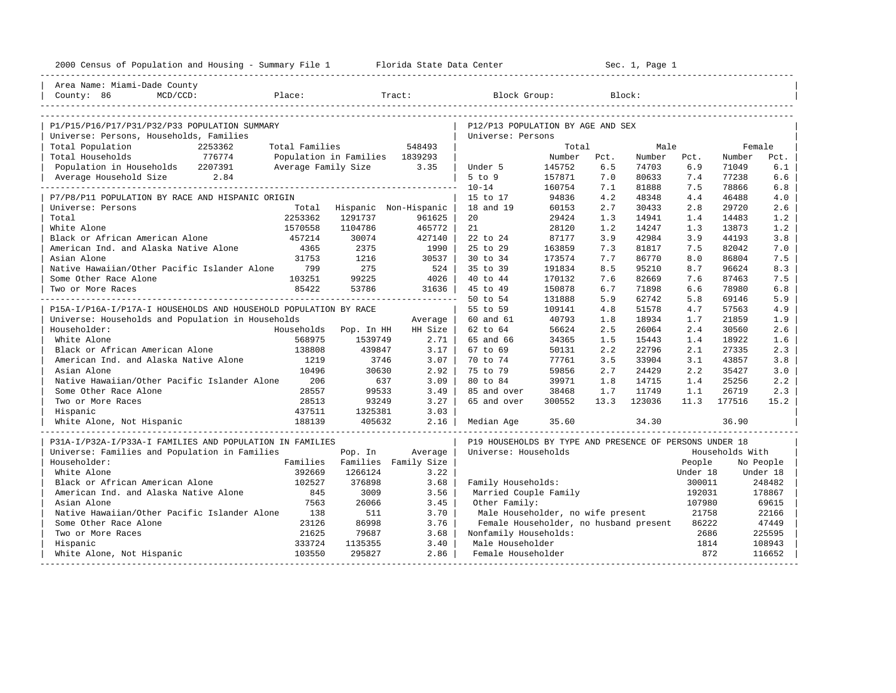| Area Name: Miami-Dade County<br>County: 86<br>$MCD/CCD$ :<br>Block Group:<br>Place:<br>Tract:<br>Block:<br>P1/P15/P16/P17/P31/P32/P33 POPULATION SUMMARY<br>P12/P13 POPULATION BY AGE AND SEX<br>Universe: Persons, Households, Families<br>Universe: Persons<br>Total Families<br>Total Population<br>2253362<br>548493<br>Total<br>Male<br>Female<br>776774<br>Total Households<br>Population in Families 1839293<br>Number Pct.<br>Number Pct.<br>Number<br>Pct.<br>Population in Households 2207391<br>145752<br>Average Family Size<br>3.35<br>6.5<br>74703<br>6.9<br>71049<br>6.1<br>Under 5<br>Average Household Size 2.84<br>5 to 9<br>7.0<br>77238<br>6.6<br>157871<br>80633<br>7.4<br>$10 - 14$<br>160754<br>7.1<br>81888<br>7.5<br>78866<br>6.8<br>94836<br>15 to 17<br>4.2<br>48348<br>46488<br>4.0<br>P7/P8/P11 POPULATION BY RACE AND HISPANIC ORIGIN<br>4.4<br>60153<br>2.7<br>2.6<br>Universe: Persons<br>Total<br>Hispanic Non-Hispanic<br>18 and 19<br>30433<br>2.8<br>29720<br>Total<br>2253362<br>1291737<br>20<br>29424<br>1.2<br>961625<br>1.3<br>14941<br>1.4<br>14483<br>White Alone<br>1570558<br>1104786<br>465772<br>21<br>28120<br>1.2<br>14247<br>13873<br>1.2<br>1.3<br>Black or African American Alone<br>457214<br>30074<br>427140<br>22 to 24<br>87177<br>3.9<br>42984<br>3.9<br>44193<br>3.8<br>American Ind. and Alaska Native Alone<br>25 to 29<br>4365<br>2375<br>1990<br>163859<br>7.3<br>81817<br>7.5<br>82042<br>7.0<br>31753<br>30 to 34<br>86804<br>Asian Alone<br>1216<br>30537<br>173574<br>7.7<br>86770<br>8.0<br>7.5<br>Native Hawaiian/Other Pacific Islander Alone 799<br>275<br>524<br>35 to 39<br>191834<br>95210<br>8.7<br>96624<br>8.3<br>8.5<br>Some Other Race Alone<br>103251<br>99225<br>$4026$  <br>40 to 44<br>170132<br>7.6<br>82669<br>7.6<br>87463<br>7.5<br>85422<br>Two or More Races<br>53786<br>31636  <br>45 to 49<br>150878<br>6.7<br>71898<br>6.6<br>78980<br>6.8<br>-----------<br>50 to 54<br>5.9<br>131888<br>5.9<br>62742<br>5.8<br>69146<br>P15A-I/P16A-I/P17A-I HOUSEHOLDS AND HOUSEHOLD POPULATION BY RACE<br>55 to 59<br>109141<br>51578<br>57563<br>4.9<br>4.8<br>4.7<br>40793<br>Universe: Households and Population in Households<br>60 and 61<br>1.8<br>18934<br>1.7<br>21859<br>1.9<br>Average<br>62 to 64<br>56624<br>2.5<br>26064<br>2.6<br>Householder:<br>Households<br>HH Size<br>2.4<br>30560<br>Pop. In HH<br>568975<br>White Alone<br>1539749<br>2.71<br>65 and 66<br>34365<br>18922<br>1.6<br>1.5<br>15443<br>1.4<br>138808<br>439847<br>50131<br>2.2<br>22796<br>Black or African American Alone<br>3.17<br>67 to 69<br>2.1<br>27335<br>2.3<br>American Ind. and Alaska Native Alone<br>1219<br>3746<br>3.07<br>77761<br>33904<br>43857<br>3.8<br>70 to 74<br>3.5<br>3.1<br>Asian Alone<br>10496<br>30630<br>2.92<br>75 to 79<br>59856<br>2.7<br>24429<br>35427<br>3.0<br>2.2<br>Native Hawaiian/Other Pacific Islander Alone<br>206<br>637<br>3.09<br>80 to 84<br>39971<br>1.8<br>14715<br>1.4<br>25256<br>2.2<br>Some Other Race Alone<br>28557<br>99533<br>26719<br>3.49<br>85 and over<br>38468<br>1.7<br>11749<br>1.1<br>2.3<br>Two or More Races<br>28513<br>93249<br>3.27<br>65 and over<br>300552<br>13.3<br>123036<br>177516<br>15.2<br>11.3<br>437511<br>1325381<br>3.03<br>Hispanic<br>White Alone, Not Hispanic<br>188139<br>2.16<br>35.60<br>34.30<br>405632<br>Median Age<br>36.90<br>P31A-I/P32A-I/P33A-I FAMILIES AND POPULATION IN FAMILIES<br>P19 HOUSEHOLDS BY TYPE AND PRESENCE OF PERSONS UNDER 18<br>Universe: Families and Population in Families<br>Universe: Households<br>Households With<br>Pop. In<br>Average<br>Householder:<br>Families<br>Families Family Size<br>People<br>No People<br>White Alone<br>392669<br>1266124<br>3.22<br>Under 18<br>Under 18<br>102527<br>3.68<br>Black or African American Alone<br>376898<br>Family Households:<br>300011<br>248482<br>American Ind. and Alaska Native Alone<br>845<br>3009<br>3.56<br>178867<br>Married Couple Family<br>192031<br>Asian Alone<br>7563<br>26066<br>3.45<br>Other Family:<br>107980<br>69615<br>Native Hawaiian/Other Pacific Islander Alone<br>138<br>511<br>3.70<br>Male Householder, no wife present<br>21758<br>22166<br>Some Other Race Alone<br>23126<br>86998<br>3.76<br>Female Householder, no husband present<br>86222<br>47449<br>2686<br>Two or More Races<br>21625<br>79687<br>3.68<br>Nonfamily Households:<br>225595<br>333724<br>1135355<br>3.40<br>Male Householder<br>1814<br>108943<br>Hispanic<br>872<br>103550<br>295827<br>2.86<br>Female Householder<br>116652<br>White Alone, Not Hispanic | 2000 Census of Population and Housing - Summary File 1 Florida State Data Center |  |  |  | Sec. 1, Page 1 |  |  |
|------------------------------------------------------------------------------------------------------------------------------------------------------------------------------------------------------------------------------------------------------------------------------------------------------------------------------------------------------------------------------------------------------------------------------------------------------------------------------------------------------------------------------------------------------------------------------------------------------------------------------------------------------------------------------------------------------------------------------------------------------------------------------------------------------------------------------------------------------------------------------------------------------------------------------------------------------------------------------------------------------------------------------------------------------------------------------------------------------------------------------------------------------------------------------------------------------------------------------------------------------------------------------------------------------------------------------------------------------------------------------------------------------------------------------------------------------------------------------------------------------------------------------------------------------------------------------------------------------------------------------------------------------------------------------------------------------------------------------------------------------------------------------------------------------------------------------------------------------------------------------------------------------------------------------------------------------------------------------------------------------------------------------------------------------------------------------------------------------------------------------------------------------------------------------------------------------------------------------------------------------------------------------------------------------------------------------------------------------------------------------------------------------------------------------------------------------------------------------------------------------------------------------------------------------------------------------------------------------------------------------------------------------------------------------------------------------------------------------------------------------------------------------------------------------------------------------------------------------------------------------------------------------------------------------------------------------------------------------------------------------------------------------------------------------------------------------------------------------------------------------------------------------------------------------------------------------------------------------------------------------------------------------------------------------------------------------------------------------------------------------------------------------------------------------------------------------------------------------------------------------------------------------------------------------------------------------------------------------------------------------------------------------------------------------------------------------------------------------------------------------------------------------------------------------------------------------------------------------------------------------------------------------------------------------------------------------------------------------------------------------------------------------------------------------------------------------------------------------------------------------------------------------------------------------------------------------------------------------------------------------------------------------------------------------------------------------------------------------------------------------------------------------------------------------------------------------------------------------------------------------------------------------------------------------------------------------------------------------------|----------------------------------------------------------------------------------|--|--|--|----------------|--|--|
|                                                                                                                                                                                                                                                                                                                                                                                                                                                                                                                                                                                                                                                                                                                                                                                                                                                                                                                                                                                                                                                                                                                                                                                                                                                                                                                                                                                                                                                                                                                                                                                                                                                                                                                                                                                                                                                                                                                                                                                                                                                                                                                                                                                                                                                                                                                                                                                                                                                                                                                                                                                                                                                                                                                                                                                                                                                                                                                                                                                                                                                                                                                                                                                                                                                                                                                                                                                                                                                                                                                                                                                                                                                                                                                                                                                                                                                                                                                                                                                                                                                                                                                                                                                                                                                                                                                                                                                                                                                                                                                                                                                                            |                                                                                  |  |  |  |                |  |  |
|                                                                                                                                                                                                                                                                                                                                                                                                                                                                                                                                                                                                                                                                                                                                                                                                                                                                                                                                                                                                                                                                                                                                                                                                                                                                                                                                                                                                                                                                                                                                                                                                                                                                                                                                                                                                                                                                                                                                                                                                                                                                                                                                                                                                                                                                                                                                                                                                                                                                                                                                                                                                                                                                                                                                                                                                                                                                                                                                                                                                                                                                                                                                                                                                                                                                                                                                                                                                                                                                                                                                                                                                                                                                                                                                                                                                                                                                                                                                                                                                                                                                                                                                                                                                                                                                                                                                                                                                                                                                                                                                                                                                            |                                                                                  |  |  |  |                |  |  |
|                                                                                                                                                                                                                                                                                                                                                                                                                                                                                                                                                                                                                                                                                                                                                                                                                                                                                                                                                                                                                                                                                                                                                                                                                                                                                                                                                                                                                                                                                                                                                                                                                                                                                                                                                                                                                                                                                                                                                                                                                                                                                                                                                                                                                                                                                                                                                                                                                                                                                                                                                                                                                                                                                                                                                                                                                                                                                                                                                                                                                                                                                                                                                                                                                                                                                                                                                                                                                                                                                                                                                                                                                                                                                                                                                                                                                                                                                                                                                                                                                                                                                                                                                                                                                                                                                                                                                                                                                                                                                                                                                                                                            |                                                                                  |  |  |  |                |  |  |
|                                                                                                                                                                                                                                                                                                                                                                                                                                                                                                                                                                                                                                                                                                                                                                                                                                                                                                                                                                                                                                                                                                                                                                                                                                                                                                                                                                                                                                                                                                                                                                                                                                                                                                                                                                                                                                                                                                                                                                                                                                                                                                                                                                                                                                                                                                                                                                                                                                                                                                                                                                                                                                                                                                                                                                                                                                                                                                                                                                                                                                                                                                                                                                                                                                                                                                                                                                                                                                                                                                                                                                                                                                                                                                                                                                                                                                                                                                                                                                                                                                                                                                                                                                                                                                                                                                                                                                                                                                                                                                                                                                                                            |                                                                                  |  |  |  |                |  |  |
|                                                                                                                                                                                                                                                                                                                                                                                                                                                                                                                                                                                                                                                                                                                                                                                                                                                                                                                                                                                                                                                                                                                                                                                                                                                                                                                                                                                                                                                                                                                                                                                                                                                                                                                                                                                                                                                                                                                                                                                                                                                                                                                                                                                                                                                                                                                                                                                                                                                                                                                                                                                                                                                                                                                                                                                                                                                                                                                                                                                                                                                                                                                                                                                                                                                                                                                                                                                                                                                                                                                                                                                                                                                                                                                                                                                                                                                                                                                                                                                                                                                                                                                                                                                                                                                                                                                                                                                                                                                                                                                                                                                                            |                                                                                  |  |  |  |                |  |  |
|                                                                                                                                                                                                                                                                                                                                                                                                                                                                                                                                                                                                                                                                                                                                                                                                                                                                                                                                                                                                                                                                                                                                                                                                                                                                                                                                                                                                                                                                                                                                                                                                                                                                                                                                                                                                                                                                                                                                                                                                                                                                                                                                                                                                                                                                                                                                                                                                                                                                                                                                                                                                                                                                                                                                                                                                                                                                                                                                                                                                                                                                                                                                                                                                                                                                                                                                                                                                                                                                                                                                                                                                                                                                                                                                                                                                                                                                                                                                                                                                                                                                                                                                                                                                                                                                                                                                                                                                                                                                                                                                                                                                            |                                                                                  |  |  |  |                |  |  |
|                                                                                                                                                                                                                                                                                                                                                                                                                                                                                                                                                                                                                                                                                                                                                                                                                                                                                                                                                                                                                                                                                                                                                                                                                                                                                                                                                                                                                                                                                                                                                                                                                                                                                                                                                                                                                                                                                                                                                                                                                                                                                                                                                                                                                                                                                                                                                                                                                                                                                                                                                                                                                                                                                                                                                                                                                                                                                                                                                                                                                                                                                                                                                                                                                                                                                                                                                                                                                                                                                                                                                                                                                                                                                                                                                                                                                                                                                                                                                                                                                                                                                                                                                                                                                                                                                                                                                                                                                                                                                                                                                                                                            |                                                                                  |  |  |  |                |  |  |
|                                                                                                                                                                                                                                                                                                                                                                                                                                                                                                                                                                                                                                                                                                                                                                                                                                                                                                                                                                                                                                                                                                                                                                                                                                                                                                                                                                                                                                                                                                                                                                                                                                                                                                                                                                                                                                                                                                                                                                                                                                                                                                                                                                                                                                                                                                                                                                                                                                                                                                                                                                                                                                                                                                                                                                                                                                                                                                                                                                                                                                                                                                                                                                                                                                                                                                                                                                                                                                                                                                                                                                                                                                                                                                                                                                                                                                                                                                                                                                                                                                                                                                                                                                                                                                                                                                                                                                                                                                                                                                                                                                                                            |                                                                                  |  |  |  |                |  |  |
|                                                                                                                                                                                                                                                                                                                                                                                                                                                                                                                                                                                                                                                                                                                                                                                                                                                                                                                                                                                                                                                                                                                                                                                                                                                                                                                                                                                                                                                                                                                                                                                                                                                                                                                                                                                                                                                                                                                                                                                                                                                                                                                                                                                                                                                                                                                                                                                                                                                                                                                                                                                                                                                                                                                                                                                                                                                                                                                                                                                                                                                                                                                                                                                                                                                                                                                                                                                                                                                                                                                                                                                                                                                                                                                                                                                                                                                                                                                                                                                                                                                                                                                                                                                                                                                                                                                                                                                                                                                                                                                                                                                                            |                                                                                  |  |  |  |                |  |  |
|                                                                                                                                                                                                                                                                                                                                                                                                                                                                                                                                                                                                                                                                                                                                                                                                                                                                                                                                                                                                                                                                                                                                                                                                                                                                                                                                                                                                                                                                                                                                                                                                                                                                                                                                                                                                                                                                                                                                                                                                                                                                                                                                                                                                                                                                                                                                                                                                                                                                                                                                                                                                                                                                                                                                                                                                                                                                                                                                                                                                                                                                                                                                                                                                                                                                                                                                                                                                                                                                                                                                                                                                                                                                                                                                                                                                                                                                                                                                                                                                                                                                                                                                                                                                                                                                                                                                                                                                                                                                                                                                                                                                            |                                                                                  |  |  |  |                |  |  |
|                                                                                                                                                                                                                                                                                                                                                                                                                                                                                                                                                                                                                                                                                                                                                                                                                                                                                                                                                                                                                                                                                                                                                                                                                                                                                                                                                                                                                                                                                                                                                                                                                                                                                                                                                                                                                                                                                                                                                                                                                                                                                                                                                                                                                                                                                                                                                                                                                                                                                                                                                                                                                                                                                                                                                                                                                                                                                                                                                                                                                                                                                                                                                                                                                                                                                                                                                                                                                                                                                                                                                                                                                                                                                                                                                                                                                                                                                                                                                                                                                                                                                                                                                                                                                                                                                                                                                                                                                                                                                                                                                                                                            |                                                                                  |  |  |  |                |  |  |
|                                                                                                                                                                                                                                                                                                                                                                                                                                                                                                                                                                                                                                                                                                                                                                                                                                                                                                                                                                                                                                                                                                                                                                                                                                                                                                                                                                                                                                                                                                                                                                                                                                                                                                                                                                                                                                                                                                                                                                                                                                                                                                                                                                                                                                                                                                                                                                                                                                                                                                                                                                                                                                                                                                                                                                                                                                                                                                                                                                                                                                                                                                                                                                                                                                                                                                                                                                                                                                                                                                                                                                                                                                                                                                                                                                                                                                                                                                                                                                                                                                                                                                                                                                                                                                                                                                                                                                                                                                                                                                                                                                                                            |                                                                                  |  |  |  |                |  |  |
|                                                                                                                                                                                                                                                                                                                                                                                                                                                                                                                                                                                                                                                                                                                                                                                                                                                                                                                                                                                                                                                                                                                                                                                                                                                                                                                                                                                                                                                                                                                                                                                                                                                                                                                                                                                                                                                                                                                                                                                                                                                                                                                                                                                                                                                                                                                                                                                                                                                                                                                                                                                                                                                                                                                                                                                                                                                                                                                                                                                                                                                                                                                                                                                                                                                                                                                                                                                                                                                                                                                                                                                                                                                                                                                                                                                                                                                                                                                                                                                                                                                                                                                                                                                                                                                                                                                                                                                                                                                                                                                                                                                                            |                                                                                  |  |  |  |                |  |  |
|                                                                                                                                                                                                                                                                                                                                                                                                                                                                                                                                                                                                                                                                                                                                                                                                                                                                                                                                                                                                                                                                                                                                                                                                                                                                                                                                                                                                                                                                                                                                                                                                                                                                                                                                                                                                                                                                                                                                                                                                                                                                                                                                                                                                                                                                                                                                                                                                                                                                                                                                                                                                                                                                                                                                                                                                                                                                                                                                                                                                                                                                                                                                                                                                                                                                                                                                                                                                                                                                                                                                                                                                                                                                                                                                                                                                                                                                                                                                                                                                                                                                                                                                                                                                                                                                                                                                                                                                                                                                                                                                                                                                            |                                                                                  |  |  |  |                |  |  |
|                                                                                                                                                                                                                                                                                                                                                                                                                                                                                                                                                                                                                                                                                                                                                                                                                                                                                                                                                                                                                                                                                                                                                                                                                                                                                                                                                                                                                                                                                                                                                                                                                                                                                                                                                                                                                                                                                                                                                                                                                                                                                                                                                                                                                                                                                                                                                                                                                                                                                                                                                                                                                                                                                                                                                                                                                                                                                                                                                                                                                                                                                                                                                                                                                                                                                                                                                                                                                                                                                                                                                                                                                                                                                                                                                                                                                                                                                                                                                                                                                                                                                                                                                                                                                                                                                                                                                                                                                                                                                                                                                                                                            |                                                                                  |  |  |  |                |  |  |
|                                                                                                                                                                                                                                                                                                                                                                                                                                                                                                                                                                                                                                                                                                                                                                                                                                                                                                                                                                                                                                                                                                                                                                                                                                                                                                                                                                                                                                                                                                                                                                                                                                                                                                                                                                                                                                                                                                                                                                                                                                                                                                                                                                                                                                                                                                                                                                                                                                                                                                                                                                                                                                                                                                                                                                                                                                                                                                                                                                                                                                                                                                                                                                                                                                                                                                                                                                                                                                                                                                                                                                                                                                                                                                                                                                                                                                                                                                                                                                                                                                                                                                                                                                                                                                                                                                                                                                                                                                                                                                                                                                                                            |                                                                                  |  |  |  |                |  |  |
|                                                                                                                                                                                                                                                                                                                                                                                                                                                                                                                                                                                                                                                                                                                                                                                                                                                                                                                                                                                                                                                                                                                                                                                                                                                                                                                                                                                                                                                                                                                                                                                                                                                                                                                                                                                                                                                                                                                                                                                                                                                                                                                                                                                                                                                                                                                                                                                                                                                                                                                                                                                                                                                                                                                                                                                                                                                                                                                                                                                                                                                                                                                                                                                                                                                                                                                                                                                                                                                                                                                                                                                                                                                                                                                                                                                                                                                                                                                                                                                                                                                                                                                                                                                                                                                                                                                                                                                                                                                                                                                                                                                                            |                                                                                  |  |  |  |                |  |  |
|                                                                                                                                                                                                                                                                                                                                                                                                                                                                                                                                                                                                                                                                                                                                                                                                                                                                                                                                                                                                                                                                                                                                                                                                                                                                                                                                                                                                                                                                                                                                                                                                                                                                                                                                                                                                                                                                                                                                                                                                                                                                                                                                                                                                                                                                                                                                                                                                                                                                                                                                                                                                                                                                                                                                                                                                                                                                                                                                                                                                                                                                                                                                                                                                                                                                                                                                                                                                                                                                                                                                                                                                                                                                                                                                                                                                                                                                                                                                                                                                                                                                                                                                                                                                                                                                                                                                                                                                                                                                                                                                                                                                            |                                                                                  |  |  |  |                |  |  |
|                                                                                                                                                                                                                                                                                                                                                                                                                                                                                                                                                                                                                                                                                                                                                                                                                                                                                                                                                                                                                                                                                                                                                                                                                                                                                                                                                                                                                                                                                                                                                                                                                                                                                                                                                                                                                                                                                                                                                                                                                                                                                                                                                                                                                                                                                                                                                                                                                                                                                                                                                                                                                                                                                                                                                                                                                                                                                                                                                                                                                                                                                                                                                                                                                                                                                                                                                                                                                                                                                                                                                                                                                                                                                                                                                                                                                                                                                                                                                                                                                                                                                                                                                                                                                                                                                                                                                                                                                                                                                                                                                                                                            |                                                                                  |  |  |  |                |  |  |
|                                                                                                                                                                                                                                                                                                                                                                                                                                                                                                                                                                                                                                                                                                                                                                                                                                                                                                                                                                                                                                                                                                                                                                                                                                                                                                                                                                                                                                                                                                                                                                                                                                                                                                                                                                                                                                                                                                                                                                                                                                                                                                                                                                                                                                                                                                                                                                                                                                                                                                                                                                                                                                                                                                                                                                                                                                                                                                                                                                                                                                                                                                                                                                                                                                                                                                                                                                                                                                                                                                                                                                                                                                                                                                                                                                                                                                                                                                                                                                                                                                                                                                                                                                                                                                                                                                                                                                                                                                                                                                                                                                                                            |                                                                                  |  |  |  |                |  |  |
|                                                                                                                                                                                                                                                                                                                                                                                                                                                                                                                                                                                                                                                                                                                                                                                                                                                                                                                                                                                                                                                                                                                                                                                                                                                                                                                                                                                                                                                                                                                                                                                                                                                                                                                                                                                                                                                                                                                                                                                                                                                                                                                                                                                                                                                                                                                                                                                                                                                                                                                                                                                                                                                                                                                                                                                                                                                                                                                                                                                                                                                                                                                                                                                                                                                                                                                                                                                                                                                                                                                                                                                                                                                                                                                                                                                                                                                                                                                                                                                                                                                                                                                                                                                                                                                                                                                                                                                                                                                                                                                                                                                                            |                                                                                  |  |  |  |                |  |  |
|                                                                                                                                                                                                                                                                                                                                                                                                                                                                                                                                                                                                                                                                                                                                                                                                                                                                                                                                                                                                                                                                                                                                                                                                                                                                                                                                                                                                                                                                                                                                                                                                                                                                                                                                                                                                                                                                                                                                                                                                                                                                                                                                                                                                                                                                                                                                                                                                                                                                                                                                                                                                                                                                                                                                                                                                                                                                                                                                                                                                                                                                                                                                                                                                                                                                                                                                                                                                                                                                                                                                                                                                                                                                                                                                                                                                                                                                                                                                                                                                                                                                                                                                                                                                                                                                                                                                                                                                                                                                                                                                                                                                            |                                                                                  |  |  |  |                |  |  |
|                                                                                                                                                                                                                                                                                                                                                                                                                                                                                                                                                                                                                                                                                                                                                                                                                                                                                                                                                                                                                                                                                                                                                                                                                                                                                                                                                                                                                                                                                                                                                                                                                                                                                                                                                                                                                                                                                                                                                                                                                                                                                                                                                                                                                                                                                                                                                                                                                                                                                                                                                                                                                                                                                                                                                                                                                                                                                                                                                                                                                                                                                                                                                                                                                                                                                                                                                                                                                                                                                                                                                                                                                                                                                                                                                                                                                                                                                                                                                                                                                                                                                                                                                                                                                                                                                                                                                                                                                                                                                                                                                                                                            |                                                                                  |  |  |  |                |  |  |
|                                                                                                                                                                                                                                                                                                                                                                                                                                                                                                                                                                                                                                                                                                                                                                                                                                                                                                                                                                                                                                                                                                                                                                                                                                                                                                                                                                                                                                                                                                                                                                                                                                                                                                                                                                                                                                                                                                                                                                                                                                                                                                                                                                                                                                                                                                                                                                                                                                                                                                                                                                                                                                                                                                                                                                                                                                                                                                                                                                                                                                                                                                                                                                                                                                                                                                                                                                                                                                                                                                                                                                                                                                                                                                                                                                                                                                                                                                                                                                                                                                                                                                                                                                                                                                                                                                                                                                                                                                                                                                                                                                                                            |                                                                                  |  |  |  |                |  |  |
|                                                                                                                                                                                                                                                                                                                                                                                                                                                                                                                                                                                                                                                                                                                                                                                                                                                                                                                                                                                                                                                                                                                                                                                                                                                                                                                                                                                                                                                                                                                                                                                                                                                                                                                                                                                                                                                                                                                                                                                                                                                                                                                                                                                                                                                                                                                                                                                                                                                                                                                                                                                                                                                                                                                                                                                                                                                                                                                                                                                                                                                                                                                                                                                                                                                                                                                                                                                                                                                                                                                                                                                                                                                                                                                                                                                                                                                                                                                                                                                                                                                                                                                                                                                                                                                                                                                                                                                                                                                                                                                                                                                                            |                                                                                  |  |  |  |                |  |  |
|                                                                                                                                                                                                                                                                                                                                                                                                                                                                                                                                                                                                                                                                                                                                                                                                                                                                                                                                                                                                                                                                                                                                                                                                                                                                                                                                                                                                                                                                                                                                                                                                                                                                                                                                                                                                                                                                                                                                                                                                                                                                                                                                                                                                                                                                                                                                                                                                                                                                                                                                                                                                                                                                                                                                                                                                                                                                                                                                                                                                                                                                                                                                                                                                                                                                                                                                                                                                                                                                                                                                                                                                                                                                                                                                                                                                                                                                                                                                                                                                                                                                                                                                                                                                                                                                                                                                                                                                                                                                                                                                                                                                            |                                                                                  |  |  |  |                |  |  |
|                                                                                                                                                                                                                                                                                                                                                                                                                                                                                                                                                                                                                                                                                                                                                                                                                                                                                                                                                                                                                                                                                                                                                                                                                                                                                                                                                                                                                                                                                                                                                                                                                                                                                                                                                                                                                                                                                                                                                                                                                                                                                                                                                                                                                                                                                                                                                                                                                                                                                                                                                                                                                                                                                                                                                                                                                                                                                                                                                                                                                                                                                                                                                                                                                                                                                                                                                                                                                                                                                                                                                                                                                                                                                                                                                                                                                                                                                                                                                                                                                                                                                                                                                                                                                                                                                                                                                                                                                                                                                                                                                                                                            |                                                                                  |  |  |  |                |  |  |
|                                                                                                                                                                                                                                                                                                                                                                                                                                                                                                                                                                                                                                                                                                                                                                                                                                                                                                                                                                                                                                                                                                                                                                                                                                                                                                                                                                                                                                                                                                                                                                                                                                                                                                                                                                                                                                                                                                                                                                                                                                                                                                                                                                                                                                                                                                                                                                                                                                                                                                                                                                                                                                                                                                                                                                                                                                                                                                                                                                                                                                                                                                                                                                                                                                                                                                                                                                                                                                                                                                                                                                                                                                                                                                                                                                                                                                                                                                                                                                                                                                                                                                                                                                                                                                                                                                                                                                                                                                                                                                                                                                                                            |                                                                                  |  |  |  |                |  |  |
|                                                                                                                                                                                                                                                                                                                                                                                                                                                                                                                                                                                                                                                                                                                                                                                                                                                                                                                                                                                                                                                                                                                                                                                                                                                                                                                                                                                                                                                                                                                                                                                                                                                                                                                                                                                                                                                                                                                                                                                                                                                                                                                                                                                                                                                                                                                                                                                                                                                                                                                                                                                                                                                                                                                                                                                                                                                                                                                                                                                                                                                                                                                                                                                                                                                                                                                                                                                                                                                                                                                                                                                                                                                                                                                                                                                                                                                                                                                                                                                                                                                                                                                                                                                                                                                                                                                                                                                                                                                                                                                                                                                                            |                                                                                  |  |  |  |                |  |  |
|                                                                                                                                                                                                                                                                                                                                                                                                                                                                                                                                                                                                                                                                                                                                                                                                                                                                                                                                                                                                                                                                                                                                                                                                                                                                                                                                                                                                                                                                                                                                                                                                                                                                                                                                                                                                                                                                                                                                                                                                                                                                                                                                                                                                                                                                                                                                                                                                                                                                                                                                                                                                                                                                                                                                                                                                                                                                                                                                                                                                                                                                                                                                                                                                                                                                                                                                                                                                                                                                                                                                                                                                                                                                                                                                                                                                                                                                                                                                                                                                                                                                                                                                                                                                                                                                                                                                                                                                                                                                                                                                                                                                            |                                                                                  |  |  |  |                |  |  |
|                                                                                                                                                                                                                                                                                                                                                                                                                                                                                                                                                                                                                                                                                                                                                                                                                                                                                                                                                                                                                                                                                                                                                                                                                                                                                                                                                                                                                                                                                                                                                                                                                                                                                                                                                                                                                                                                                                                                                                                                                                                                                                                                                                                                                                                                                                                                                                                                                                                                                                                                                                                                                                                                                                                                                                                                                                                                                                                                                                                                                                                                                                                                                                                                                                                                                                                                                                                                                                                                                                                                                                                                                                                                                                                                                                                                                                                                                                                                                                                                                                                                                                                                                                                                                                                                                                                                                                                                                                                                                                                                                                                                            |                                                                                  |  |  |  |                |  |  |
|                                                                                                                                                                                                                                                                                                                                                                                                                                                                                                                                                                                                                                                                                                                                                                                                                                                                                                                                                                                                                                                                                                                                                                                                                                                                                                                                                                                                                                                                                                                                                                                                                                                                                                                                                                                                                                                                                                                                                                                                                                                                                                                                                                                                                                                                                                                                                                                                                                                                                                                                                                                                                                                                                                                                                                                                                                                                                                                                                                                                                                                                                                                                                                                                                                                                                                                                                                                                                                                                                                                                                                                                                                                                                                                                                                                                                                                                                                                                                                                                                                                                                                                                                                                                                                                                                                                                                                                                                                                                                                                                                                                                            |                                                                                  |  |  |  |                |  |  |
|                                                                                                                                                                                                                                                                                                                                                                                                                                                                                                                                                                                                                                                                                                                                                                                                                                                                                                                                                                                                                                                                                                                                                                                                                                                                                                                                                                                                                                                                                                                                                                                                                                                                                                                                                                                                                                                                                                                                                                                                                                                                                                                                                                                                                                                                                                                                                                                                                                                                                                                                                                                                                                                                                                                                                                                                                                                                                                                                                                                                                                                                                                                                                                                                                                                                                                                                                                                                                                                                                                                                                                                                                                                                                                                                                                                                                                                                                                                                                                                                                                                                                                                                                                                                                                                                                                                                                                                                                                                                                                                                                                                                            |                                                                                  |  |  |  |                |  |  |
|                                                                                                                                                                                                                                                                                                                                                                                                                                                                                                                                                                                                                                                                                                                                                                                                                                                                                                                                                                                                                                                                                                                                                                                                                                                                                                                                                                                                                                                                                                                                                                                                                                                                                                                                                                                                                                                                                                                                                                                                                                                                                                                                                                                                                                                                                                                                                                                                                                                                                                                                                                                                                                                                                                                                                                                                                                                                                                                                                                                                                                                                                                                                                                                                                                                                                                                                                                                                                                                                                                                                                                                                                                                                                                                                                                                                                                                                                                                                                                                                                                                                                                                                                                                                                                                                                                                                                                                                                                                                                                                                                                                                            |                                                                                  |  |  |  |                |  |  |
|                                                                                                                                                                                                                                                                                                                                                                                                                                                                                                                                                                                                                                                                                                                                                                                                                                                                                                                                                                                                                                                                                                                                                                                                                                                                                                                                                                                                                                                                                                                                                                                                                                                                                                                                                                                                                                                                                                                                                                                                                                                                                                                                                                                                                                                                                                                                                                                                                                                                                                                                                                                                                                                                                                                                                                                                                                                                                                                                                                                                                                                                                                                                                                                                                                                                                                                                                                                                                                                                                                                                                                                                                                                                                                                                                                                                                                                                                                                                                                                                                                                                                                                                                                                                                                                                                                                                                                                                                                                                                                                                                                                                            |                                                                                  |  |  |  |                |  |  |
|                                                                                                                                                                                                                                                                                                                                                                                                                                                                                                                                                                                                                                                                                                                                                                                                                                                                                                                                                                                                                                                                                                                                                                                                                                                                                                                                                                                                                                                                                                                                                                                                                                                                                                                                                                                                                                                                                                                                                                                                                                                                                                                                                                                                                                                                                                                                                                                                                                                                                                                                                                                                                                                                                                                                                                                                                                                                                                                                                                                                                                                                                                                                                                                                                                                                                                                                                                                                                                                                                                                                                                                                                                                                                                                                                                                                                                                                                                                                                                                                                                                                                                                                                                                                                                                                                                                                                                                                                                                                                                                                                                                                            |                                                                                  |  |  |  |                |  |  |
|                                                                                                                                                                                                                                                                                                                                                                                                                                                                                                                                                                                                                                                                                                                                                                                                                                                                                                                                                                                                                                                                                                                                                                                                                                                                                                                                                                                                                                                                                                                                                                                                                                                                                                                                                                                                                                                                                                                                                                                                                                                                                                                                                                                                                                                                                                                                                                                                                                                                                                                                                                                                                                                                                                                                                                                                                                                                                                                                                                                                                                                                                                                                                                                                                                                                                                                                                                                                                                                                                                                                                                                                                                                                                                                                                                                                                                                                                                                                                                                                                                                                                                                                                                                                                                                                                                                                                                                                                                                                                                                                                                                                            |                                                                                  |  |  |  |                |  |  |
|                                                                                                                                                                                                                                                                                                                                                                                                                                                                                                                                                                                                                                                                                                                                                                                                                                                                                                                                                                                                                                                                                                                                                                                                                                                                                                                                                                                                                                                                                                                                                                                                                                                                                                                                                                                                                                                                                                                                                                                                                                                                                                                                                                                                                                                                                                                                                                                                                                                                                                                                                                                                                                                                                                                                                                                                                                                                                                                                                                                                                                                                                                                                                                                                                                                                                                                                                                                                                                                                                                                                                                                                                                                                                                                                                                                                                                                                                                                                                                                                                                                                                                                                                                                                                                                                                                                                                                                                                                                                                                                                                                                                            |                                                                                  |  |  |  |                |  |  |
|                                                                                                                                                                                                                                                                                                                                                                                                                                                                                                                                                                                                                                                                                                                                                                                                                                                                                                                                                                                                                                                                                                                                                                                                                                                                                                                                                                                                                                                                                                                                                                                                                                                                                                                                                                                                                                                                                                                                                                                                                                                                                                                                                                                                                                                                                                                                                                                                                                                                                                                                                                                                                                                                                                                                                                                                                                                                                                                                                                                                                                                                                                                                                                                                                                                                                                                                                                                                                                                                                                                                                                                                                                                                                                                                                                                                                                                                                                                                                                                                                                                                                                                                                                                                                                                                                                                                                                                                                                                                                                                                                                                                            |                                                                                  |  |  |  |                |  |  |
|                                                                                                                                                                                                                                                                                                                                                                                                                                                                                                                                                                                                                                                                                                                                                                                                                                                                                                                                                                                                                                                                                                                                                                                                                                                                                                                                                                                                                                                                                                                                                                                                                                                                                                                                                                                                                                                                                                                                                                                                                                                                                                                                                                                                                                                                                                                                                                                                                                                                                                                                                                                                                                                                                                                                                                                                                                                                                                                                                                                                                                                                                                                                                                                                                                                                                                                                                                                                                                                                                                                                                                                                                                                                                                                                                                                                                                                                                                                                                                                                                                                                                                                                                                                                                                                                                                                                                                                                                                                                                                                                                                                                            |                                                                                  |  |  |  |                |  |  |
|                                                                                                                                                                                                                                                                                                                                                                                                                                                                                                                                                                                                                                                                                                                                                                                                                                                                                                                                                                                                                                                                                                                                                                                                                                                                                                                                                                                                                                                                                                                                                                                                                                                                                                                                                                                                                                                                                                                                                                                                                                                                                                                                                                                                                                                                                                                                                                                                                                                                                                                                                                                                                                                                                                                                                                                                                                                                                                                                                                                                                                                                                                                                                                                                                                                                                                                                                                                                                                                                                                                                                                                                                                                                                                                                                                                                                                                                                                                                                                                                                                                                                                                                                                                                                                                                                                                                                                                                                                                                                                                                                                                                            |                                                                                  |  |  |  |                |  |  |
|                                                                                                                                                                                                                                                                                                                                                                                                                                                                                                                                                                                                                                                                                                                                                                                                                                                                                                                                                                                                                                                                                                                                                                                                                                                                                                                                                                                                                                                                                                                                                                                                                                                                                                                                                                                                                                                                                                                                                                                                                                                                                                                                                                                                                                                                                                                                                                                                                                                                                                                                                                                                                                                                                                                                                                                                                                                                                                                                                                                                                                                                                                                                                                                                                                                                                                                                                                                                                                                                                                                                                                                                                                                                                                                                                                                                                                                                                                                                                                                                                                                                                                                                                                                                                                                                                                                                                                                                                                                                                                                                                                                                            |                                                                                  |  |  |  |                |  |  |
|                                                                                                                                                                                                                                                                                                                                                                                                                                                                                                                                                                                                                                                                                                                                                                                                                                                                                                                                                                                                                                                                                                                                                                                                                                                                                                                                                                                                                                                                                                                                                                                                                                                                                                                                                                                                                                                                                                                                                                                                                                                                                                                                                                                                                                                                                                                                                                                                                                                                                                                                                                                                                                                                                                                                                                                                                                                                                                                                                                                                                                                                                                                                                                                                                                                                                                                                                                                                                                                                                                                                                                                                                                                                                                                                                                                                                                                                                                                                                                                                                                                                                                                                                                                                                                                                                                                                                                                                                                                                                                                                                                                                            |                                                                                  |  |  |  |                |  |  |
|                                                                                                                                                                                                                                                                                                                                                                                                                                                                                                                                                                                                                                                                                                                                                                                                                                                                                                                                                                                                                                                                                                                                                                                                                                                                                                                                                                                                                                                                                                                                                                                                                                                                                                                                                                                                                                                                                                                                                                                                                                                                                                                                                                                                                                                                                                                                                                                                                                                                                                                                                                                                                                                                                                                                                                                                                                                                                                                                                                                                                                                                                                                                                                                                                                                                                                                                                                                                                                                                                                                                                                                                                                                                                                                                                                                                                                                                                                                                                                                                                                                                                                                                                                                                                                                                                                                                                                                                                                                                                                                                                                                                            |                                                                                  |  |  |  |                |  |  |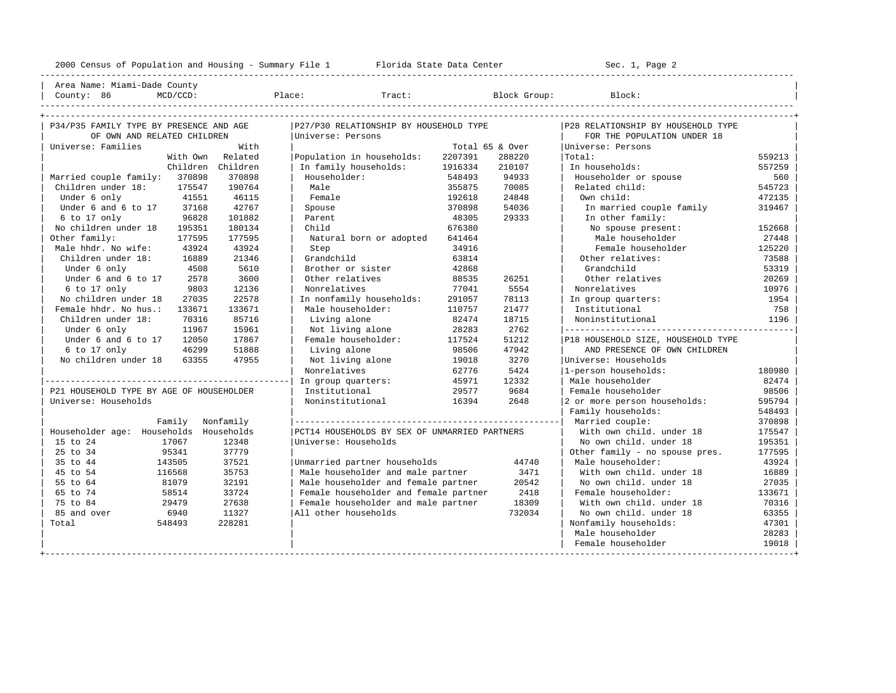----------------------------------------------------------------------------------------------------------------------------------------------------

| Area Name: Miami-Dade County | | County: 86 MCD/CCD: Place: Tract: Block Group: Block: |

| P34/P35 FAMILY TYPE BY PRESENCE AND AGE  |            | P27/P30 RELATIONSHIP BY HOUSEHOLD TYPE        |         |                 | P28 RELATIONSHIP BY HOUSEHOLD TYPE |        |
|------------------------------------------|------------|-----------------------------------------------|---------|-----------------|------------------------------------|--------|
| OF OWN AND RELATED CHILDREN              |            | Universe: Persons                             |         |                 | FOR THE POPULATION UNDER 18        |        |
| Universe: Families                       | With       |                                               |         | Total 65 & Over | Universe: Persons                  |        |
| With Own                                 | Related    | Population in households:                     | 2207391 | 288220          | Total:                             | 559213 |
| Children Children                        |            | In family households:                         | 1916334 | 210107          | In households:                     | 557259 |
| Married couple family: 370898            | 370898     | Householder:                                  | 548493  | 94933           | Householder or spouse              | 560    |
| Children under 18:<br>175547             | 190764     | Male                                          | 355875  | 70085           | Related child:                     | 545723 |
| 41551<br>Under 6 only                    | 46115      | Female                                        | 192618  | 24848           | Own child:                         | 472135 |
| Under 6 and 6 to 17<br>37168             | 42767      | Spouse                                        | 370898  | 54036           | In married couple family           | 319467 |
| $6$ to 17 only<br>96828                  | 101882     | Parent                                        | 48305   | 29333           | In other family:                   |        |
| No children under 18<br>195351           | 180134     | Child                                         | 676380  |                 | No spouse present:                 | 152668 |
| Other family:<br>177595                  | 177595     | Natural born or adopted                       | 641464  |                 | Male householder                   | 27448  |
| Male hhdr. No wife:<br>43924             | 43924      | Step                                          | 34916   |                 | Female householder                 | 125220 |
| Children under 18:<br>16889              | 21346      | Grandchild                                    | 63814   |                 | Other relatives:                   | 73588  |
| Under 6 only<br>4508                     | 5610       | Brother or sister                             | 42868   |                 | Grandchild                         | 53319  |
| 2578<br>Under 6 and 6 to 17              | 3600       | Other relatives                               | 88535   | 26251           | Other relatives                    | 20269  |
| 6 to 17 only<br>9803                     | 12136      | Nonrelatives                                  | 77041   | 5554            | Nonrelatives                       | 10976  |
| No children under 18<br>27035            | 22578      | In nonfamily households:                      | 291057  | 78113           | In group quarters:                 | 1954   |
| Female hhdr. No hus.:<br>133671          | 133671     | Male householder:                             | 110757  | 21477           | Institutional                      | 758    |
| Children under 18:<br>70316              | 85716      | Living alone                                  | 82474   | 18715           | Noninstitutional                   | 1196   |
| Under 6 only<br>11967                    | 15961      | Not living alone                              | 28283   | 2762            |                                    |        |
| Under 6 and 6 to 17<br>12050             | 17867      | Female householder:                           | 117524  | 51212           | P18 HOUSEHOLD SIZE, HOUSEHOLD TYPE |        |
| 46299<br>6 to 17 only                    | 51888      | Living alone                                  | 98506   | 47942           | AND PRESENCE OF OWN CHILDREN       |        |
| No children under 18<br>63355            | 47955      | Not living alone                              | 19018   | 3270            | Universe: Households               |        |
|                                          |            | Nonrelatives                                  | 62776   | 5424            | 1-person households:               | 180980 |
|                                          |            | In group quarters:                            | 45971   | 12332           | Male householder                   | 82474  |
| P21 HOUSEHOLD TYPE BY AGE OF HOUSEHOLDER |            | Institutional                                 | 29577   | 9684            | Female householder                 | 98506  |
| Universe: Households                     |            | Noninstitutional                              | 16394   | 2648            | 2 or more person households:       | 595794 |
|                                          |            |                                               |         |                 | Family households:                 | 548493 |
| Family                                   | Nonfamily  |                                               |         |                 | Married couple:                    | 370898 |
| Householder age: Households              | Households | PCT14 HOUSEHOLDS BY SEX OF UNMARRIED PARTNERS |         |                 | With own child, under 18           | 175547 |
| 15 to 24<br>17067                        | 12348      | Universe: Households                          |         |                 | No own child, under 18             | 195351 |
| 25 to 34<br>95341                        | 37779      |                                               |         |                 | Other family - no spouse pres.     | 177595 |
| 143505<br>35 to 44                       | 37521      | Unmarried partner households                  |         | 44740           | Male householder:                  | 43924  |
| 116568<br>45 to 54                       | 35753      | Male householder and male partner             |         | 3471            | With own child, under 18           | 16889  |
| 81079<br>55 to 64                        | 32191      | Male householder and female partner           |         | 20542           | No own child. under 18             | 27035  |
| 65 to 74<br>58514                        | 33724      | Female householder and female partner         |         | 2418            | Female householder:                | 133671 |
| 75 to 84<br>29479                        | 27638      | Female householder and male partner           |         | 18309           | With own child, under 18           | 70316  |
| 85 and over<br>6940                      | 11327      | All other households                          |         | 732034          | No own child, under 18             | 63355  |
| Total<br>548493                          | 228281     |                                               |         |                 | Nonfamily households:              | 47301  |
|                                          |            |                                               |         |                 | Male householder                   | 28283  |
|                                          |            |                                               |         |                 | Female householder                 | 19018  |
|                                          |            |                                               |         |                 |                                    |        |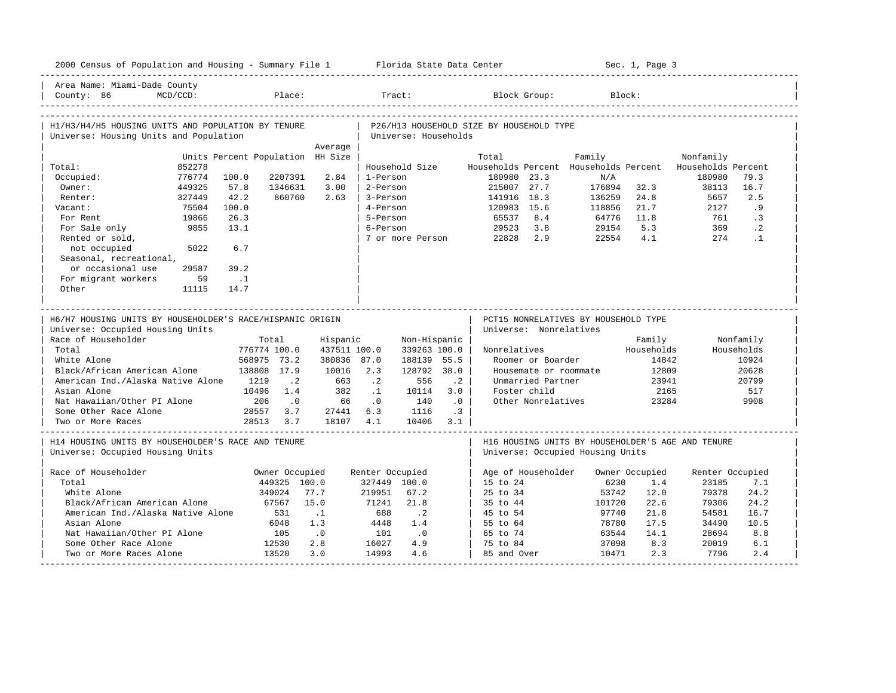|                                                                                               | 2000 Census of Population and Housing - Summary File 1 Florida State Data Center |                                  |                                |                    |                                 |                      |                                                                                       |                  | Sec. 1, Page 3        |                          |             |
|-----------------------------------------------------------------------------------------------|----------------------------------------------------------------------------------|----------------------------------|--------------------------------|--------------------|---------------------------------|----------------------|---------------------------------------------------------------------------------------|------------------|-----------------------|--------------------------|-------------|
| Area Name: Miami-Dade County<br>County: 86                                                    | MCD/CCD:                                                                         |                                  | Place:                         |                    |                                 | Tract:               | Block Group:                                                                          |                  | Block:                |                          |             |
| H1/H3/H4/H5 HOUSING UNITS AND POPULATION BY TENURE<br>Universe: Housing Units and Population  |                                                                                  |                                  |                                |                    |                                 | Universe: Households | P26/H13 HOUSEHOLD SIZE BY HOUSEHOLD TYPE                                              |                  |                       |                          |             |
|                                                                                               |                                                                                  |                                  |                                | Average            |                                 |                      |                                                                                       |                  |                       |                          |             |
|                                                                                               |                                                                                  | Units Percent Population HH Size |                                |                    |                                 |                      | Total                                                                                 | Family           |                       | Nonfamily                |             |
| Total:                                                                                        | 852278                                                                           |                                  |                                |                    |                                 | Household Size       | Households Percent Households Percent                                                 |                  |                       | Households Percent       |             |
| Occupied:                                                                                     | 776774                                                                           | 100.0                            | 2207391                        | 2.84               | 1-Person                        |                      | 180980 23.3                                                                           | N/A              |                       | 180980                   | 79.3        |
| Owner:                                                                                        | 449325                                                                           | 57.8<br>42.2                     | 1346631                        | 3.00<br>2.63       | 2-Person                        |                      | 215007 27.7                                                                           | 176894           | 32.3                  | 38113                    | 16.7<br>2.5 |
| Renter:<br>Vacant:                                                                            | 327449<br>75504                                                                  | 100.0                            | 860760                         |                    | 3-Person<br>4-Person            |                      | 141916 18.3                                                                           | 136259<br>118856 | 24.8<br>21.7          | 5657<br>2127             | . 9         |
|                                                                                               |                                                                                  | 26.3                             |                                |                    |                                 |                      | 120983 15.6<br>8.4                                                                    |                  |                       |                          | $\cdot$ 3   |
| For Rent                                                                                      | 19866<br>9855                                                                    | 13.1                             |                                |                    | 5-Person<br>6-Person            |                      | 65537<br>3.8                                                                          | 64776            | 11.8<br>5.3           | 761<br>369               | $\cdot$ 2   |
| For Sale only                                                                                 |                                                                                  |                                  |                                |                    |                                 | 7 or more Person     | 29523<br>22828<br>2.9                                                                 | 29154<br>22554   | 4.1                   | 274                      | $\cdot$ 1   |
| Rented or sold,<br>not occupied                                                               | 5022                                                                             | 6.7                              |                                |                    |                                 |                      |                                                                                       |                  |                       |                          |             |
| Seasonal, recreational,                                                                       |                                                                                  |                                  |                                |                    |                                 |                      |                                                                                       |                  |                       |                          |             |
| or occasional use                                                                             | 29587                                                                            | 39.2                             |                                |                    |                                 |                      |                                                                                       |                  |                       |                          |             |
| For migrant workers                                                                           | 59                                                                               | $\ldots$                         |                                |                    |                                 |                      |                                                                                       |                  |                       |                          |             |
| Other                                                                                         | 11115                                                                            | 14.7                             |                                |                    |                                 |                      |                                                                                       |                  |                       |                          |             |
|                                                                                               |                                                                                  |                                  |                                |                    | . 22 22 22 22 22 22 22 2        |                      |                                                                                       |                  |                       |                          |             |
| H6/H7 HOUSING UNITS BY HOUSEHOLDER'S RACE/HISPANIC ORIGIN<br>Universe: Occupied Housing Units |                                                                                  |                                  |                                |                    |                                 |                      | PCT15 NONRELATIVES BY HOUSEHOLD TYPE                                                  |                  |                       |                          |             |
|                                                                                               |                                                                                  |                                  |                                |                    |                                 |                      | Universe: Nonrelatives                                                                |                  |                       |                          |             |
| Race of Householder                                                                           |                                                                                  |                                  | Total                          | Hispanic           |                                 | Non-Hispanic         |                                                                                       |                  | Family                |                          | Nonfamily   |
| Total                                                                                         |                                                                                  | 776774 100.0                     |                                | 437511 100.0       |                                 | 339263 100.0         | Nonrelatives                                                                          |                  | Households            |                          | Households  |
| White Alone                                                                                   |                                                                                  | 568975 73.2                      |                                | 380836 87.0        |                                 | 188139 55.5          | Roomer or Boarder                                                                     |                  | 14842                 |                          | 10924       |
| Black/African American Alone                                                                  |                                                                                  | 138808 17.9                      |                                | 10016              | 2.3                             | 128792 38.0          | Housemate or roommate                                                                 |                  | 12809                 |                          | 20628       |
| American Ind./Alaska Native Alone 1219                                                        |                                                                                  |                                  | $\cdot$ 2                      | 663                | $\cdot$ 2                       | $\cdot$ 2<br>556     | Unmarried Partner                                                                     |                  | 23941                 |                          | 20799       |
| Asian Alone                                                                                   |                                                                                  | 10496                            | 1.4                            | 382                | $\cdot$ 1                       | 10114<br>3.0         | Foster child                                                                          |                  | 2165                  |                          | 517         |
| Nat Hawaiian/Other PI Alone                                                                   |                                                                                  | 206                              | $\cdot$ 0                      | 66                 | $\cdot$ 0                       | .0<br>140            | Other Nonrelatives                                                                    |                  | 23284                 |                          | 9908        |
| Some Other Race Alone<br>Two or More Races                                                    |                                                                                  | 28557<br>28513                   | 3.7<br>3.7                     | 27441 6.3<br>18107 | 4.1                             | 1116<br>10406<br>3.1 | .3 <sup>1</sup>                                                                       |                  |                       |                          |             |
| H14 HOUSING UNITS BY HOUSEHOLDER'S RACE AND TENURE<br>Universe: Occupied Housing Units        |                                                                                  |                                  |                                |                    |                                 |                      | H16 HOUSING UNITS BY HOUSEHOLDER'S AGE AND TENURE<br>Universe: Occupied Housing Units |                  |                       |                          |             |
| Race of Householder                                                                           |                                                                                  |                                  |                                |                    |                                 |                      |                                                                                       |                  |                       |                          |             |
| Total                                                                                         |                                                                                  |                                  | Owner Occupied<br>449325 100.0 |                    | Renter Occupied<br>327449 100.0 |                      | Age of Householder<br>15 to 24                                                        | 6230             | Owner Occupied<br>1.4 | Renter Occupied<br>23185 | 7.1         |
| White Alone                                                                                   |                                                                                  |                                  | 349024                         | 77.7               | 219951                          | 67.2                 | 25 to 34                                                                              | 53742            | 12.0                  | 79378                    | 24.2        |
| Black/African American Alone                                                                  |                                                                                  |                                  | 67567                          | 15.0               | 71241                           | 21.8                 | 35 to 44                                                                              | 101720           | 22.6                  | 79306                    | 24.2        |
| American Ind./Alaska Native Alone                                                             |                                                                                  |                                  | 531                            | $\cdot$ 1          | 688                             |                      | 45 to 54                                                                              | 97740            | 21.8                  | 54581                    | 16.7        |
| Asian Alone                                                                                   |                                                                                  |                                  | 6048                           | 1.3                | 4448                            | $\cdot$ 2<br>1.4     | 55 to 64                                                                              | 78780            | 17.5                  | 34490                    | 10.5        |
| Nat Hawaiian/Other PI Alone                                                                   |                                                                                  |                                  | 105                            | .0                 | 101                             | .0                   | 65 to 74                                                                              | 63544            | 14.1                  | 28694                    | 8.8         |
| Some Other Race Alone                                                                         |                                                                                  |                                  | 12530                          | 2.8                | 16027                           | 4.9                  | 75 to 84                                                                              | 37098            | 8.3                   | 20019                    | 6.1         |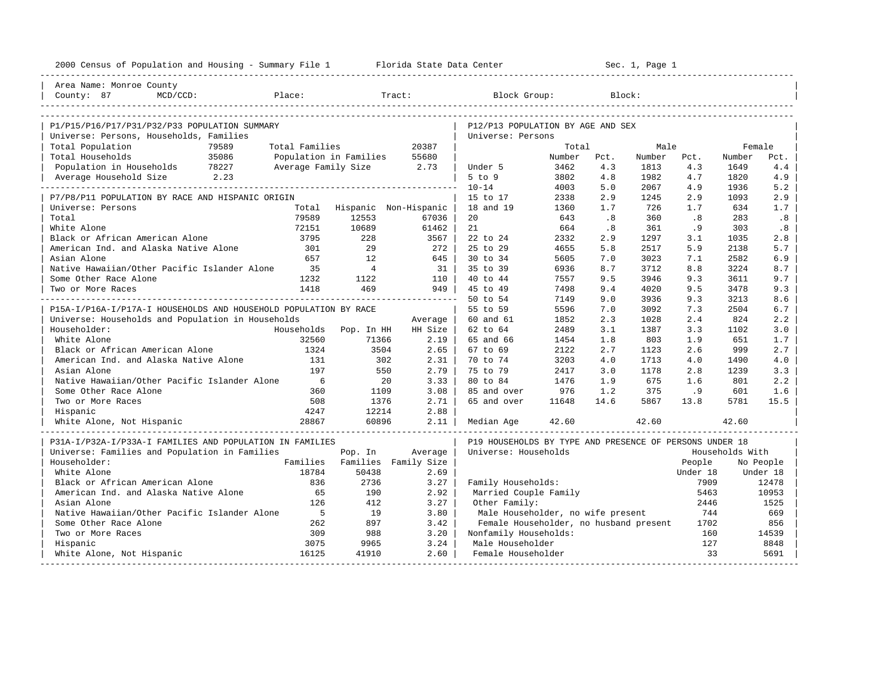| 2000 Census of Population and Housing - Summary File 1 Florida State Data Center |                          |                |                               |                                                         |        |      | Sec. 1, Page 1 |          |                 |           |
|----------------------------------------------------------------------------------|--------------------------|----------------|-------------------------------|---------------------------------------------------------|--------|------|----------------|----------|-----------------|-----------|
| Area Name: Monroe County                                                         |                          |                |                               |                                                         |        |      |                |          |                 |           |
| County: 87<br>$MCD/CCD$ :                                                        | Place:                   |                | Tract:                        | Block Group:                                            |        |      | Block:         |          |                 |           |
|                                                                                  |                          |                |                               |                                                         |        |      |                |          |                 |           |
| P1/P15/P16/P17/P31/P32/P33 POPULATION SUMMARY                                    |                          |                |                               | P12/P13 POPULATION BY AGE AND SEX                       |        |      |                |          |                 |           |
| Universe: Persons, Households, Families                                          |                          |                |                               | Universe: Persons                                       |        |      |                |          |                 |           |
| Total Population<br>79589                                                        | Total Families           |                | 20387                         |                                                         | Total  |      | Male           |          | Female          |           |
| 35086<br>Total Households                                                        | Population in Families   |                | 55680                         |                                                         | Number | Pct. | Number         | Pct.     | Number          | Pct.      |
| Population in Households 78227                                                   | Average Family Size 2.73 |                |                               | Under 5                                                 | 3462   | 4.3  | 1813           | 4.3      | 1649            | 4.4       |
| Average Household Size 2.23                                                      |                          |                |                               | $5$ to $9$                                              | 3802   | 4.8  | 1982           | 4.7      | 1820            | 4.9       |
|                                                                                  |                          |                |                               | $10 - 14$                                               | 4003   | 5.0  | 2067           | 4.9      | 1936            | 5.2       |
| P7/P8/P11 POPULATION BY RACE AND HISPANIC ORIGIN                                 |                          |                |                               | 15 to 17                                                | 2338   | 2.9  | 1245           | 2.9      | 1093            | 2.9       |
| Universe: Persons                                                                |                          |                | Total Hispanic Non-Hispanic   | 18 and 19                                               | 1360   | 1.7  | 726            | 1.7      | 634             | 1.7       |
| Total                                                                            | 79589                    | 12553          | 67036                         | 20                                                      | 643    | .8   | 360            | .8       | 283             | .8        |
| White Alone                                                                      | 72151                    | 10689          | 61462                         | 21                                                      | 664    | .8   | 361            | . 9      | 303             | .8        |
| Black or African American Alone                                                  | 3795                     | 228            | 3567                          | 22 to 24                                                | 2332   | 2.9  | 1297           | 3.1      | 1035            | 2.8       |
| American Ind. and Alaska Native Alone                                            | 301                      | 29             | $272$                         | 25 to 29                                                | 4655   | 5.8  | 2517           | 5.9      | 2138            | 5.7       |
| Asian Alone                                                                      | 657                      | 12.            | 645                           | 30 to 34                                                | 5605   | 7.0  | 3023           | 7.1      | 2582            | 6.9       |
| Native Hawaiian/Other Pacific Islander Alone                                     | 35                       | $\overline{4}$ | 31                            | 35 to 39                                                | 6936   | 8.7  | 3712           | 8.8      | 3224            | 8.7       |
| Some Other Race Alone                                                            | 1232                     | 1122           | $110$                         | 40 to 44                                                | 7557   | 9.5  | 3946           | 9.3      | 3611            | 9.7       |
| Two or More Races                                                                | 1418                     | 469            | 949                           | 45 to 49                                                | 7498   | 9.4  | 4020           | 9.5      | 3478            | 9.3       |
|                                                                                  |                          |                |                               | 50 to 54                                                | 7149   | 9.0  | 3936           | 9.3      | 3213            | 8.6       |
| P15A-I/P16A-I/P17A-I HOUSEHOLDS AND HOUSEHOLD POPULATION BY RACE                 |                          |                |                               | 55 to 59                                                | 5596   | 7.0  | 3092           | 7.3      | 2504            | 6.7       |
| Universe: Households and Population in Households                                |                          |                | Average                       | 60 and 61                                               | 1852   | 2.3  | 1028           | 2.4      | 824             | 2.2       |
| Householder:                                                                     | Households Pop. In HH    |                | HH Size                       | 62 to 64                                                | 2489   | 3.1  | 1387           | 3.3      | 1102            | 3.0       |
| White Alone                                                                      | 32560                    | 71366          | $2.19$                        | 65 and 66                                               | 1454   | 1.8  | 803            | 1.9      | 651             | 1.7       |
| Black or African American Alone                                                  | 1324                     | 3504           | $2.65$                        | 67 to 69                                                | 2122   | 2.7  | 1123           | 2.6      | 999             | 2.7       |
| American Ind. and Alaska Native Alone                                            | 131                      | 302            | 2.31                          | 70 to 74                                                | 3203   | 4.0  | 1713           | 4.0      | 1490            | 4.0       |
| Asian Alone                                                                      | 197                      | 550            | 2.79                          | 75 to 79                                                | 2417   | 3.0  | 1178           | 2.8      | 1239            | 3.3       |
| Native Hawaiian/Other Pacific Islander Alone                                     | 6                        | 20             | 3.33                          | 80 to 84                                                | 1476   | 1.9  | 675            | 1.6      | 801             | 2.2       |
| Some Other Race Alone                                                            | 360                      | 1109           | 3.08                          | 85 and over                                             | 976    | 1.2  | 375            | .9       | 601             | 1.6       |
| Two or More Races                                                                | 508                      | 1376           | 2.71                          | 65 and over                                             | 11648  | 14.6 | 5867           | 13.8     | 5781            | 15.5      |
| Hispanic                                                                         | 4247                     | 12214          | 2.88                          |                                                         |        |      |                |          |                 |           |
| White Alone, Not Hispanic                                                        | 28867                    | 60896          | $2.11$                        | Median Age                                              | 42.60  |      | 42.60          |          | 42.60           |           |
| P31A-I/P32A-I/P33A-I FAMILIES AND POPULATION IN FAMILIES                         |                          |                |                               | P19 HOUSEHOLDS BY TYPE AND PRESENCE OF PERSONS UNDER 18 |        |      |                |          |                 |           |
| Universe: Families and Population in Families                                    |                          | Pop. In        | Average                       | Universe: Households                                    |        |      |                |          | Households With |           |
| Householder:                                                                     |                          |                | Families Families Family Size |                                                         |        |      |                | People   |                 | No People |
| White Alone                                                                      | 18784                    | 50438          | 2.69                          |                                                         |        |      |                | Under 18 |                 | Under 18  |
| Black or African American Alone                                                  | 836                      | 2736           | 3.27                          | Family Households:                                      |        |      |                | 7909     |                 | 12478     |
| American Ind. and Alaska Native Alone                                            | 65                       | 190            | 2.92                          | Married Couple Family                                   |        |      |                | 5463     |                 | 10953     |
| Asian Alone                                                                      | 126                      | 412            | 3.27                          | Other Family:                                           |        |      |                | 2446     |                 | 1525      |
| Native Hawaiian/Other Pacific Islander Alone                                     | $-5$                     | 19             | 3.80                          | Male Householder, no wife present                       |        |      |                | 744      |                 | 669       |
| Some Other Race Alone                                                            | 262                      | 897            | 3.42                          | Female Householder, no husband present                  |        |      |                | 1702     |                 | 856       |
| Two or More Races                                                                | 309                      | 988            | 3.20                          | Nonfamily Households:                                   |        |      |                | 160      |                 | 14539     |
| Hispanic                                                                         | 3075                     | 9965           | 3.24                          | Male Householder                                        |        |      |                | 127      |                 | 8848      |
| White Alone, Not Hispanic                                                        | 16125                    | 41910          | $2.60$                        | Female Householder                                      |        |      |                | 33       |                 | 5691      |
|                                                                                  |                          |                |                               |                                                         |        |      |                |          |                 |           |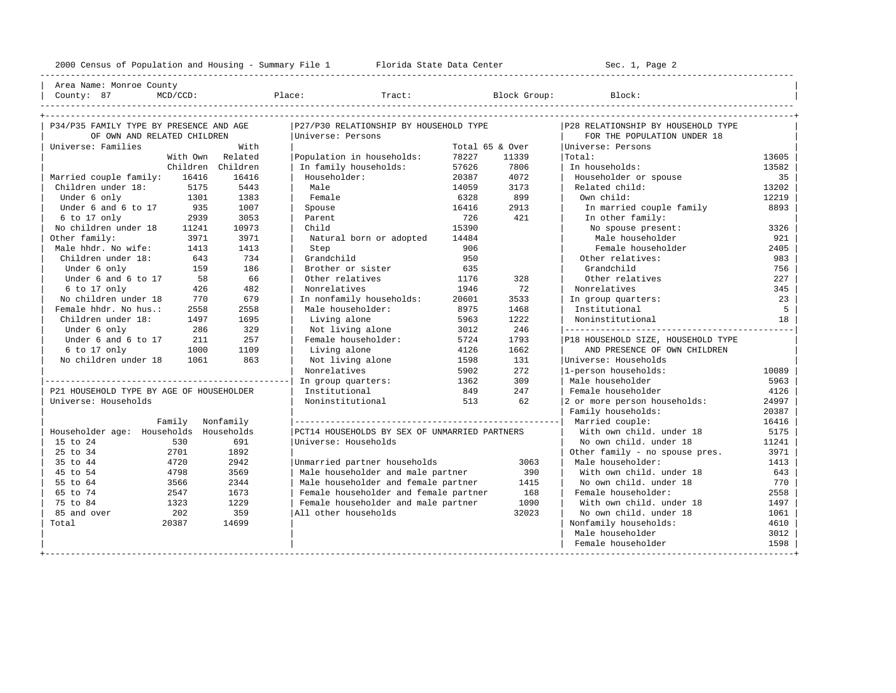----------------------------------------------------------------------------------------------------------------------------------------------------

| Area Name: Monroe County | | County: 87 MCD/CCD: Place: Tract: Block Group: Block: |

| P34/P35 FAMILY TYPE BY PRESENCE AND AGE  |                  |                  | P27/P30 RELATIONSHIP BY HOUSEHOLD TYPE        |       |                 | P28 RELATIONSHIP BY HOUSEHOLD TYPE |       |
|------------------------------------------|------------------|------------------|-----------------------------------------------|-------|-----------------|------------------------------------|-------|
| OF OWN AND RELATED CHILDREN              |                  |                  | Universe: Persons                             |       |                 | FOR THE POPULATION UNDER 18        |       |
| Universe: Families                       |                  | With             |                                               |       | Total 65 & Over | Universe: Persons                  |       |
|                                          |                  | With Own Related | Population in households:                     | 78227 | 11339           | Total:                             | 13605 |
|                                          | Children         | Children         | In family households:                         | 57626 | 7806            | In households:                     | 13582 |
| Married couple family:                   | 16416            | 16416            | Householder:                                  | 20387 | 4072            | Householder or spouse              | 35    |
| Children under 18:                       | 5175             | 5443             | Male                                          | 14059 | 3173            | Related child:                     | 13202 |
| Under 6 only                             | 1301             | 1383             | Female                                        | 6328  | 899             | Own child:                         | 12219 |
| Under 6 and 6 to 17                      | 935              | 1007             | Spouse                                        | 16416 | 2913            | In married couple family           | 8893  |
| 6 to 17 only                             | 2939             | 3053             | Parent                                        | 726   | 421             | In other family:                   |       |
| No children under 18                     | 11241            | 10973            | Child                                         | 15390 |                 | No spouse present:                 | 3326  |
| Other family:                            | 3971             | 3971             | Natural born or adopted                       | 14484 |                 | Male householder                   | 921   |
| Male hhdr. No wife:                      | 1413             | 1413             | Step                                          | 906   |                 | Female householder                 | 2405  |
| Children under 18:                       | 643              | 734              | Grandchild                                    | 950   |                 | Other relatives:                   | 983   |
| Under 6 only                             | 159              | 186              | Brother or sister                             | 635   |                 | Grandchild                         | 756   |
| Under 6 and 6 to 17                      | 58               | 66               | Other relatives                               | 1176  | 328             | Other relatives                    | 227   |
| 6 to 17 only                             | 426              | 482              | Nonrelatives                                  | 1946  | 72              | Nonrelatives                       | 345   |
| No children under 18                     | 770              | 679              | In nonfamily households:                      | 20601 | 3533            | In group quarters:                 | 23    |
| Female hhdr. No hus.:                    | 2558             | 2558             | Male householder:                             | 8975  | 1468            | Institutional                      | 5     |
| Children under 18:                       | 1497             | 1695             | Living alone                                  | 5963  | 1222            | Noninstitutional                   | 18    |
| Under 6 only                             | 286              | 329              | Not living alone                              | 3012  | 246             |                                    |       |
| Under 6 and 6 to 17                      | 211              | 257              | Female householder:                           | 5724  | 1793            | P18 HOUSEHOLD SIZE, HOUSEHOLD TYPE |       |
| 6 to 17 only                             | 1000             | 1109             | Living alone                                  | 4126  | 1662            | AND PRESENCE OF OWN CHILDREN       |       |
| No children under 18                     | 1061             | 863              | Not living alone                              | 1598  | 131             | Universe: Households               |       |
|                                          |                  |                  | Nonrelatives                                  | 5902  | 272             | 1-person households:               | 10089 |
|                                          |                  |                  | In group quarters:                            | 1362  | 309             | Male householder                   | 5963  |
| P21 HOUSEHOLD TYPE BY AGE OF HOUSEHOLDER |                  |                  | Institutional                                 | 849   | 247             | Female householder                 | 4126  |
| Universe: Households                     |                  |                  | Noninstitutional                              | 513   | 62              | 2 or more person households:       | 24997 |
|                                          |                  |                  |                                               |       |                 | Family households:                 | 20387 |
|                                          | Family Nonfamily |                  |                                               |       |                 |                                    | 16416 |
| Householder age: Households Households   |                  |                  | PCT14 HOUSEHOLDS BY SEX OF UNMARRIED PARTNERS |       |                 | With own child, under 18           | 5175  |
| 15 to 24                                 | 530              | 691              | Universe: Households                          |       |                 | No own child, under 18             | 11241 |
| 25 to 34                                 | 2701             | 1892             |                                               |       |                 | Other family - no spouse pres.     | 3971  |
| 35 to 44                                 | 4720             | 2942             | Unmarried partner households                  |       | 3063            | Male householder:                  | 1413  |
| 45 to 54                                 | 4798             | 3569             | Male householder and male partner             |       | 390             | With own child, under 18           | 643   |
| 55 to 64                                 | 3566             | 2344             | Male householder and female partner           |       | 1415            | No own child, under 18             | 770   |
| 65 to 74                                 | 2547             | 1673             | Female householder and female partner         |       | 168             | Female householder:                | 2558  |
| 75 to 84                                 | 1323             | 1229             | Female householder and male partner           |       | 1090            | With own child, under 18           | 1497  |
| 85 and over                              | 202              | 359              | All other households                          |       | 32023           | No own child, under 18             | 1061  |
| Total                                    | 20387            | 14699            |                                               |       |                 | Nonfamily households:              | 4610  |
|                                          |                  |                  |                                               |       |                 | Male householder                   | 3012  |
|                                          |                  |                  |                                               |       |                 | Female householder                 | 1598  |
|                                          |                  |                  |                                               |       |                 |                                    |       |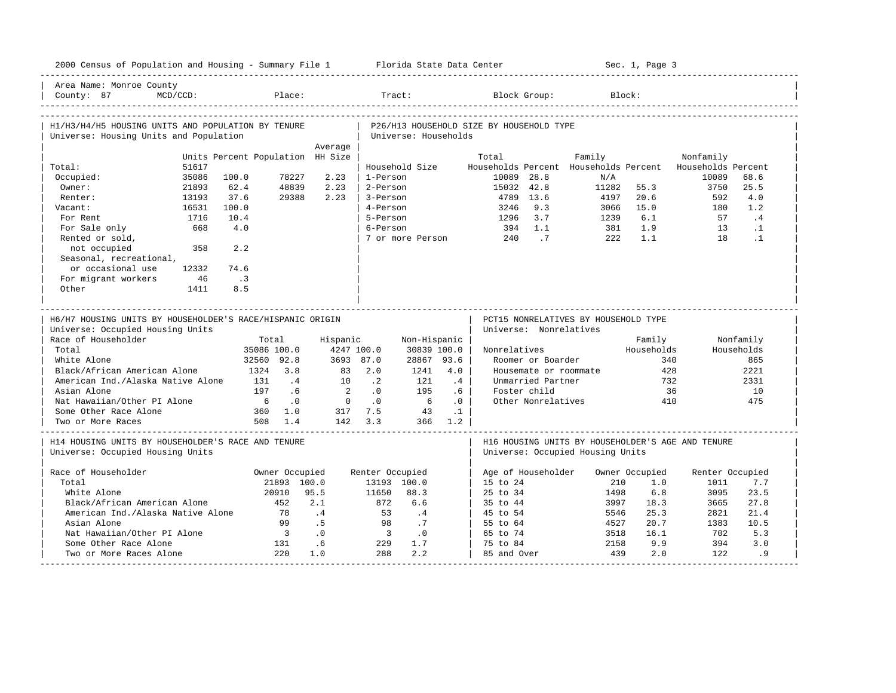| 2000 Census of Population and Housing - Summary File 1 Florida State Data Center              |                                  |                                 |                 |                                |                      |           |                                          |                       |                                      |              | Sec. 1, Page 3 |                                                   |             |
|-----------------------------------------------------------------------------------------------|----------------------------------|---------------------------------|-----------------|--------------------------------|----------------------|-----------|------------------------------------------|-----------------------|--------------------------------------|--------------|----------------|---------------------------------------------------|-------------|
| Area Name: Monroe County<br>County: 87<br>$MCD/CCD$ :                                         |                                  | Place:                          |                 | Tract:                         |                      |           |                                          | Block Group:          |                                      | Block:       |                |                                                   |             |
| H1/H3/H4/H5 HOUSING UNITS AND POPULATION BY TENURE<br>Universe: Housing Units and Population  |                                  |                                 |                 |                                | Universe: Households |           | P26/H13 HOUSEHOLD SIZE BY HOUSEHOLD TYPE |                       |                                      |              |                |                                                   |             |
|                                                                                               |                                  |                                 | Average         |                                |                      |           |                                          |                       |                                      |              |                |                                                   |             |
|                                                                                               | Units Percent Population HH Size |                                 |                 |                                |                      |           | Total                                    |                       | Family                               |              |                | Nonfamily                                         |             |
| Total:<br>51617                                                                               |                                  |                                 |                 |                                | Household Size       |           | Households Percent Households Percent    |                       |                                      |              |                | Households Percent                                |             |
| Occupied:<br>35086                                                                            | 100.0                            | 78227                           | 2.23            | 1-Person                       |                      |           | 10089 28.8                               |                       | N/A                                  |              |                | 10089                                             | 68.6        |
| Owner:<br>21893                                                                               | 62.4                             | 48839                           | 2.23            | 2-Person                       |                      |           | 15032                                    | 42.8                  | 11282                                |              | 55.3           | 3750                                              | 25.5        |
| 13193<br>Renter:                                                                              | 37.6                             | 29388                           | 2.23            | 3-Person                       |                      |           | 4789                                     | 13.6                  | 4197                                 |              | 20.6           | 592                                               | 4.0         |
| Vacant:<br>16531                                                                              | 100.0                            |                                 |                 | 4-Person                       |                      |           | 3246                                     | 9.3                   | 3066                                 |              | 15.0           | 180                                               | 1.2         |
| 1716<br>For Rent                                                                              | 10.4                             |                                 |                 | 5-Person                       |                      |           | 1296                                     | 3.7                   | 1239                                 |              | 6.1            | 57                                                | .4          |
| 668<br>For Sale only                                                                          | 4.0                              |                                 |                 | 6-Person                       |                      |           | 394                                      | 1.1                   | 381                                  |              | 1.9            | 13<br>18                                          | $\cdot$ 1   |
| Rented or sold,                                                                               |                                  |                                 |                 |                                | 7 or more Person     |           | 240                                      | .7                    |                                      | 222          | 1.1            |                                                   | $\cdot$ 1   |
| not occupied<br>358                                                                           | 2.2                              |                                 |                 |                                |                      |           |                                          |                       |                                      |              |                |                                                   |             |
| Seasonal, recreational,                                                                       |                                  |                                 |                 |                                |                      |           |                                          |                       |                                      |              |                |                                                   |             |
| or occasional use<br>12332                                                                    | 74.6                             |                                 |                 |                                |                      |           |                                          |                       |                                      |              |                |                                                   |             |
| For migrant workers<br>46                                                                     | $\cdot$ 3<br>8.5                 |                                 |                 |                                |                      |           |                                          |                       |                                      |              |                |                                                   |             |
| Other<br>1411                                                                                 |                                  |                                 |                 |                                |                      |           |                                          |                       |                                      |              |                |                                                   |             |
|                                                                                               |                                  |                                 |                 |                                |                      |           |                                          |                       |                                      |              |                |                                                   |             |
| H6/H7 HOUSING UNITS BY HOUSEHOLDER'S RACE/HISPANIC ORIGIN<br>Universe: Occupied Housing Units |                                  |                                 |                 |                                |                      |           | Universe: Nonrelatives                   |                       | PCT15 NONRELATIVES BY HOUSEHOLD TYPE |              |                |                                                   |             |
| Race of Householder                                                                           |                                  | Total                           | Hispanic        |                                | Non-Hispanic         |           |                                          |                       |                                      |              | Family         |                                                   | Nonfamily   |
| Total                                                                                         |                                  | 35086 100.0                     | 4247 100.0      |                                | 30839 100.0          |           | Nonrelatives                             |                       |                                      |              | Households     |                                                   | Households  |
| White Alone                                                                                   |                                  | 32560 92.8                      | 3693 87.0       |                                | 28867 93.6           |           |                                          | Roomer or Boarder     |                                      |              | 340            |                                                   | 865         |
| Black/African American Alone                                                                  |                                  | 1324 3.8                        | 83              | 2.0                            | 1241                 | 4.0       |                                          | Housemate or roommate |                                      |              | 428            |                                                   | 2221        |
| American Ind./Alaska Native Alone                                                             |                                  | 131<br>.4                       | 10              | $\cdot$ 2                      | 121                  | .4        |                                          | Unmarried Partner     |                                      |              | 732            |                                                   | 2331        |
| Asian Alone                                                                                   |                                  | 197<br>.6                       | $\overline{2}$  | $\cdot$ 0                      | 195                  | .6        |                                          | Foster child          |                                      |              | 36             |                                                   | 10          |
| Nat Hawaiian/Other PI Alone                                                                   |                                  | $6\overline{6}$<br>$\cdot$ 0    | $\circ$         | $\cdot$ 0                      | 6                    | $\cdot$ 0 |                                          | Other Nonrelatives    |                                      |              | 410            |                                                   | 475         |
| Some Other Race Alone                                                                         |                                  | 1.0<br>360                      |                 | 317 7.5                        | 43                   | $\cdot$ 1 |                                          |                       |                                      |              |                |                                                   |             |
| Two or More Races                                                                             |                                  | 508 1.4                         |                 | $142 \quad 3.3$                | 366 1.2              |           |                                          |                       |                                      |              |                |                                                   |             |
| H14 HOUSING UNITS BY HOUSEHOLDER'S RACE AND TENURE<br>Universe: Occupied Housing Units        |                                  |                                 |                 |                                |                      |           |                                          |                       | Universe: Occupied Housing Units     |              |                | H16 HOUSING UNITS BY HOUSEHOLDER'S AGE AND TENURE |             |
|                                                                                               |                                  |                                 |                 |                                |                      |           |                                          |                       |                                      |              |                |                                                   |             |
| Race of Householder                                                                           |                                  | Owner Occupied                  |                 | Renter Occupied                |                      |           | Age of Householder                       |                       |                                      |              | Owner Occupied | Renter Occupied                                   |             |
| Total<br>White Alone                                                                          |                                  | 21893 100.0                     | 95.5            |                                | 13193 100.0<br>88.3  |           | 15 to 24                                 |                       |                                      | 210<br>1498  | 1.0<br>6.8     | 1011<br>3095                                      | 7.7<br>23.5 |
|                                                                                               |                                  | 20910                           |                 | 11650                          |                      |           | 25 to 34                                 |                       |                                      |              |                |                                                   |             |
| Black/African American Alone                                                                  |                                  | 452<br>78                       | 2.1             | 872                            | 6.6                  |           | 35 to 44                                 |                       |                                      | 3997         | 18.3           | 3665                                              | 27.8        |
| American Ind./Alaska Native Alone                                                             |                                  | 99                              | .4              | 53<br>98                       | .4                   |           | 45 to 54                                 |                       |                                      | 5546         | 25.3           | 2821                                              | 21.4        |
| Asian Alone                                                                                   |                                  |                                 | .5              |                                | $\cdot$ . 7          |           | 55 to 64                                 |                       |                                      | 4527         | 20.7           | 1383                                              | 10.5        |
| Nat Hawaiian/Other PI Alone<br>Some Other Race Alone                                          |                                  | $\overline{\phantom{a}}$<br>131 | $\cdot$ 0<br>.6 | $\overline{\mathbf{3}}$<br>229 | $\cdot$ 0<br>1.7     |           | 65 to 74<br>75 to 84                     |                       |                                      | 3518<br>2158 | 16.1<br>9.9    | 702<br>394                                        | 5.3<br>3.0  |
| Two or More Races Alone                                                                       |                                  | 2.20                            | 1.0             | 288                            | 2.2                  |           | 85 and Over                              |                       |                                      | 439          | 2.0            | 122                                               | .9          |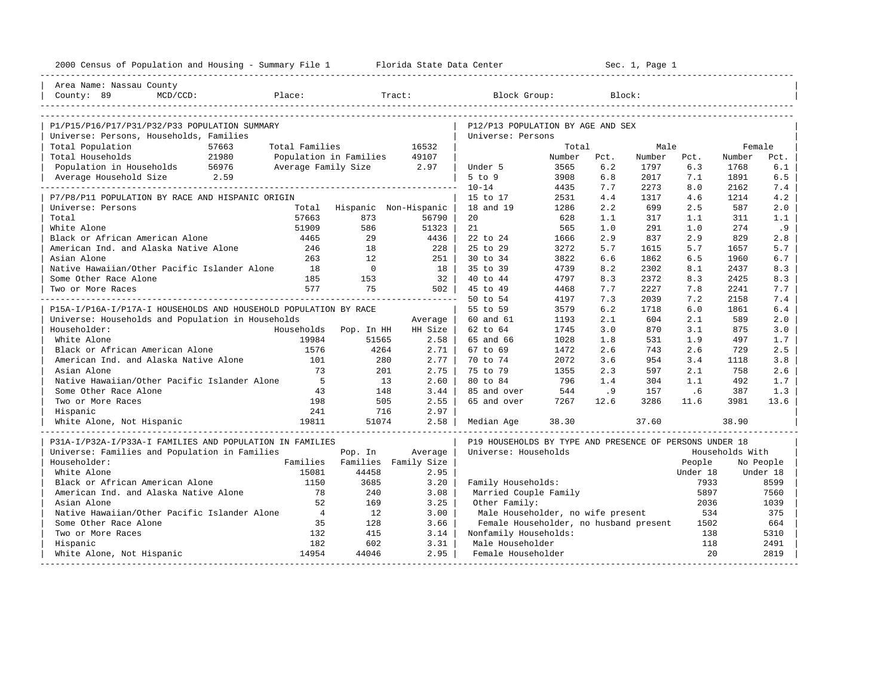| 2000 Census of Population and Housing - Summary File 1 Florida State Data Center |                |                          |                               |                                                         |        |      | Sec. 1, Page 1 |          |                 |           |
|----------------------------------------------------------------------------------|----------------|--------------------------|-------------------------------|---------------------------------------------------------|--------|------|----------------|----------|-----------------|-----------|
| Area Name: Nassau County                                                         |                |                          |                               |                                                         |        |      |                |          |                 |           |
| County: 89<br>Place:<br>$MCD/CCD$ :                                              |                |                          | Tract:                        | Block Group:                                            |        |      | Block:         |          |                 |           |
|                                                                                  |                |                          |                               |                                                         |        |      |                |          |                 |           |
| P1/P15/P16/P17/P31/P32/P33 POPULATION SUMMARY                                    |                |                          |                               | P12/P13 POPULATION BY AGE AND SEX                       |        |      |                |          |                 |           |
| Universe: Persons, Households, Families                                          |                |                          |                               | Universe: Persons                                       |        |      |                |          |                 |           |
| Total Population<br>57663                                                        | Total Families |                          | 16532                         |                                                         | Total  |      | Male           |          | Female          |           |
| Total Households<br>21980                                                        |                | Population in Families   | 49107                         |                                                         | Number | Pct. | Number         | Pct.     | Number          | Pct.      |
| Population in Households 56976                                                   |                | Average Family Size 2.97 |                               | Under 5                                                 | 3565   | 6.2  | 1797           | 6.3      | 1768            | 6.1       |
| Average Household Size 2.59                                                      |                |                          |                               | $5$ to $9$                                              | 3908   | 6.8  | 2017           | 7.1      | 1891            | 6.5       |
|                                                                                  |                |                          |                               | $10 - 14$                                               | 4435   | 7.7  | 2273           | 8.0      | 2162            | 7.4       |
| P7/P8/P11 POPULATION BY RACE AND HISPANIC ORIGIN                                 |                |                          |                               | 15 to 17                                                | 2531   | 4.4  | 1317           | 4.6      | 1214            | 4.2       |
| Universe: Persons                                                                | Total          |                          | Hispanic Non-Hispanic         | 18 and 19                                               | 1286   | 2.2  | 699            | 2.5      | 587             | 2.0       |
| Total                                                                            | 57663          | 873                      | 56790                         | 20                                                      | 628    | 1.1  | 317            | 1.1      | 311             | 1.1       |
| White Alone                                                                      | 51909          | 586                      | 51323                         | 21                                                      | 565    | 1.0  | 291            | 1.0      | 274             | .9        |
| Black or African American Alone                                                  | 4465           | 29                       | 4436                          | 22 to 24                                                | 1666   | 2.9  | 837            | 2.9      | 829             | 2.8       |
| American Ind. and Alaska Native Alone                                            | 246            | 18                       | 228                           | 25 to 29                                                | 3272   | 5.7  | 1615           | 5.7      | 1657            | 5.7       |
| Asian Alone                                                                      | 263            | 12.                      | $251$                         | 30 to 34                                                | 3822   | 6.6  | 1862           | 6.5      | 1960            | 6.7       |
| Native Hawaiian/Other Pacific Islander Alone                                     | 18             | $\overline{0}$           | 18                            | 35 to 39                                                | 4739   | 8.2  | 2302           | 8.1      | 2437            | 8.3       |
| Some Other Race Alone                                                            | 185            | 153                      | 32 <sup>1</sup>               | 40 to 44                                                | 4797   | 8.3  | 2372           | 8.3      | 2425            | 8.3       |
| Two or More Races                                                                | 577            | 75                       | 502                           | 45 to 49                                                | 4468   | 7.7  | 2227           | 7.8      | 2241            | 7.7       |
|                                                                                  |                |                          | ----------------------        | 50 to 54                                                | 4197   | 7.3  | 2039           | 7.2      | 2158            | 7.4       |
| P15A-I/P16A-I/P17A-I HOUSEHOLDS AND HOUSEHOLD POPULATION BY RACE                 |                |                          |                               | 55 to 59                                                | 3579   | 6.2  | 1718           | 6.0      | 1861            | 6.4       |
| Universe: Households and Population in Households                                |                |                          | Average                       | 60 and 61                                               | 1193   | 2.1  | 604            | 2.1      | 589             | 2.0       |
| Householder:                                                                     |                | Households Pop. In HH    | HH Size                       | 62 to 64                                                | 1745   | 3.0  | 870            | 3.1      | 875             | 3.0       |
| White Alone                                                                      | 19984          | 51565                    | 2.58                          | 65 and 66                                               | 1028   | 1.8  | 531            | 1.9      | 497             | 1.7       |
| Black or African American Alone                                                  | 1576           | 4264                     | $2.71$                        | 67 to 69                                                | 1472   | 2.6  | 743            | 2.6      | 729             | 2.5       |
| American Ind. and Alaska Native Alone                                            | 101            | 280                      | $2.77$                        | 70 to 74                                                | 2072   | 3.6  | 954            | 3.4      | 1118            | 3.8       |
| Asian Alone                                                                      | 73             | 201                      | 2.75                          | 75 to 79                                                | 1355   | 2.3  | 597            | 2.1      | 758             | 2.6       |
| Native Hawaiian/Other Pacific Islander Alone                                     | $-5$           | 13                       | 2.60                          | 80 to 84                                                | 796    | 1.4  | 304            | 1.1      | 492             | 1.7       |
| Some Other Race Alone                                                            | 43             | 148                      | 3.44                          | 85 and over                                             | 544    | .9   | 157            | .6       | 387             | 1.3       |
| Two or More Races                                                                | 198            | 505                      | 2.55                          | 65 and over                                             | 7267   | 12.6 | 3286           | 11.6     | 3981            | 13.6      |
| Hispanic                                                                         | 241            | 716                      | 2.97                          |                                                         |        |      |                |          |                 |           |
| 19811<br>White Alone, Not Hispanic                                               |                | 51074                    | 2.58                          | Median Age                                              | 38.30  |      | 37.60          |          | 38.90           |           |
| P31A-I/P32A-I/P33A-I FAMILIES AND POPULATION IN FAMILIES                         |                |                          |                               | P19 HOUSEHOLDS BY TYPE AND PRESENCE OF PERSONS UNDER 18 |        |      |                |          |                 |           |
| Universe: Families and Population in Families                                    |                | Pop. In                  | Average                       | Universe: Households                                    |        |      |                |          | Households With |           |
| Householder:                                                                     |                |                          | Families Families Family Size |                                                         |        |      |                | People   |                 | No People |
| White Alone                                                                      | 15081          | 44458                    | 2.95                          |                                                         |        |      |                | Under 18 |                 | Under 18  |
| Black or African American Alone                                                  | 1150           | 3685                     | 3.20                          | Family Households:                                      |        |      |                | 7933     |                 | 8599      |
| American Ind. and Alaska Native Alone                                            | 78             | 240                      | 3.08                          | Married Couple Family                                   |        |      |                | 5897     |                 | 7560      |
| Asian Alone                                                                      | 52             | 169                      | 3.25                          | Other Family:                                           |        |      |                | 2036     |                 | 1039      |
| Native Hawaiian/Other Pacific Islander Alone                                     | $\overline{4}$ | 12                       | 3.00                          | Male Householder, no wife present                       |        |      |                | 534      |                 | 375       |
| Some Other Race Alone                                                            | 35             | 128                      | 3.66                          | Female Householder, no husband present                  |        |      |                | 1502     |                 | 664       |
| Two or More Races                                                                | 132            | 415                      | 3.14                          | Nonfamily Households:                                   |        |      |                | 138      |                 | 5310      |
| Hispanic                                                                         | 182            | 602                      | 3.31                          | Male Householder                                        |        |      |                | 118      |                 | 2491      |
| White Alone, Not Hispanic                                                        | 14954          | 44046                    | $2.95 \;  $                   | Female Householder                                      |        |      |                | 2.0      |                 | 2819      |
|                                                                                  |                |                          |                               |                                                         |        |      |                |          |                 |           |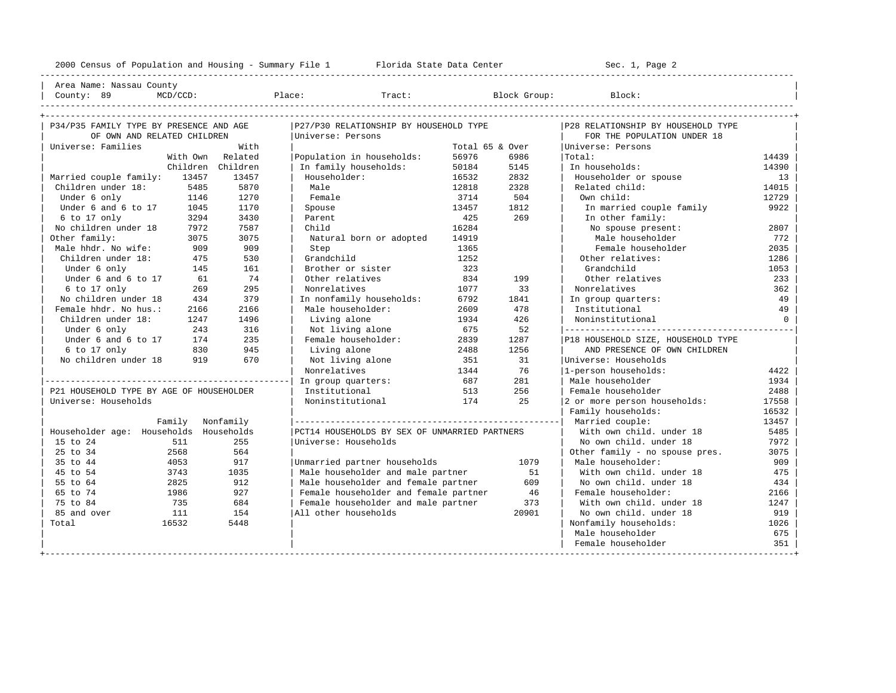----------------------------------------------------------------------------------------------------------------------------------------------------

| Area Name: Nassau County | | County: 89 MCD/CCD: Place: Tract: Block Group: Block: |

| P34/P35 FAMILY TYPE BY PRESENCE AND AGE  |                   | P27/P30 RELATIONSHIP BY HOUSEHOLD TYPE        |                 |       | P28 RELATIONSHIP BY HOUSEHOLD TYPE |          |
|------------------------------------------|-------------------|-----------------------------------------------|-----------------|-------|------------------------------------|----------|
| OF OWN AND RELATED CHILDREN              |                   | Universe: Persons                             |                 |       | FOR THE POPULATION UNDER 18        |          |
| Universe: Families                       | With              |                                               | Total 65 & Over |       | Universe: Persons                  |          |
|                                          | With Own Related  | Population in households:                     | 56976           | 6986  | Total:                             | 14439    |
|                                          | Children Children | In family households:                         | 50184           | 5145  | In households:                     | 14390    |
| Married couple family:<br>13457          | 13457             | Householder:                                  | 16532           | 2832  | Householder or spouse              | 13       |
| Children under 18:<br>5485               | 5870              | Male                                          | 12818           | 2328  | Related child:                     | 14015    |
| Under 6 only<br>1146                     | 1270              | Female                                        | 3714            | 504   | Own child:                         | 12729    |
| Under 6 and 6 to 17<br>1045              | 1170              | Spouse                                        | 13457           | 1812  | In married couple family           | 9922     |
| 6 to 17 only<br>3294                     | 3430              | Parent                                        | 425             | 269   | In other family:                   |          |
| No children under 18<br>7972             | 7587              | Child                                         | 16284           |       | No spouse present:                 | 2807     |
| Other family:<br>3075                    | 3075              | Natural born or adopted                       | 14919           |       | Male householder                   | 772      |
| Male hhdr. No wife:<br>909               | 909               | Step                                          | 1365            |       | Female householder                 | 2035     |
| Children under 18:<br>475                | 530               | Grandchild                                    | 1252            |       | Other relatives:                   | 1286     |
| Under 6 only<br>145                      | 161               | Brother or sister                             | 323             |       | Grandchild                         | 1053     |
| Under 6 and 6 to 17<br>61                | 74                | Other relatives                               | 834             | 199   | Other relatives                    | 233      |
| 6 to 17 only<br>269                      | 295               | Nonrelatives                                  | 1077            | 33    | Nonrelatives                       | 362      |
| No children under 18<br>434              | 379               | In nonfamily households:                      | 6792            | 1841  | In group quarters:                 | 49       |
| Female hhdr. No hus.:<br>2166            | 2166              | Male householder:                             | 2609            | 478   | Institutional                      | 49       |
| Children under 18:<br>1247               | 1496              | Living alone                                  | 1934            | 426   | Noninstitutional                   | $\Omega$ |
| Under 6 only<br>243                      | 316               | Not living alone                              | 675             | 52    |                                    |          |
| Under 6 and 6 to 17<br>174               | 235               | Female householder:                           | 2839            | 1287  | P18 HOUSEHOLD SIZE, HOUSEHOLD TYPE |          |
| 6 to 17 only<br>830                      | 945               | Living alone                                  | 2488            | 1256  | AND PRESENCE OF OWN CHILDREN       |          |
| No children under 18<br>919              | 670               | Not living alone                              | 351             | 31    | Universe: Households               |          |
|                                          |                   | Nonrelatives                                  | 1344            | 76    | 1-person households:               | 4422     |
|                                          |                   | In group quarters:                            | 687             | 281   | Male householder                   | 1934     |
| P21 HOUSEHOLD TYPE BY AGE OF HOUSEHOLDER |                   | Institutional                                 | 513             | 256   | Female householder                 | 2488     |
| Universe: Households                     |                   | Noninstitutional                              | 174             | 2.5   | 2 or more person households:       | 17558    |
|                                          |                   |                                               |                 |       | Family households:                 | 16532    |
| Family Nonfamily                         |                   |                                               |                 |       | Married couple:                    | 13457    |
| Householder age: Households Households   |                   | PCT14 HOUSEHOLDS BY SEX OF UNMARRIED PARTNERS |                 |       | With own child, under 18           | 5485     |
| 15 to 24<br>511                          | 255               | Universe: Households                          |                 |       | No own child. under 18             | 7972     |
| 25 to 34<br>2568                         | 564               |                                               |                 |       | Other family - no spouse pres.     | 3075     |
| 35 to 44<br>4053                         | 917               | Unmarried partner households                  |                 | 1079  | Male householder:                  | 909      |
| 45 to 54<br>3743                         | 1035              | Male householder and male partner             |                 | 51    | With own child, under 18           | 475      |
| 55 to 64<br>2825                         | 912               | Male householder and female partner           |                 | 609   | No own child. under 18             | 434      |
| 65 to 74<br>1986                         | 927               | Female householder and female partner         |                 | 46    | Female householder:                | 2166     |
| 75 to 84<br>735                          | 684               | Female householder and male partner           |                 | 373   | With own child, under 18           | 1247     |
| 85 and over<br>111                       | 154               | All other households                          |                 | 20901 | No own child, under 18             | 919      |
| 16532<br>Total                           | 5448              |                                               |                 |       | Nonfamily households:              | 1026     |
|                                          |                   |                                               |                 |       | Male householder                   | 675      |
|                                          |                   |                                               |                 |       | Female householder                 | 351      |
|                                          |                   |                                               |                 |       |                                    |          |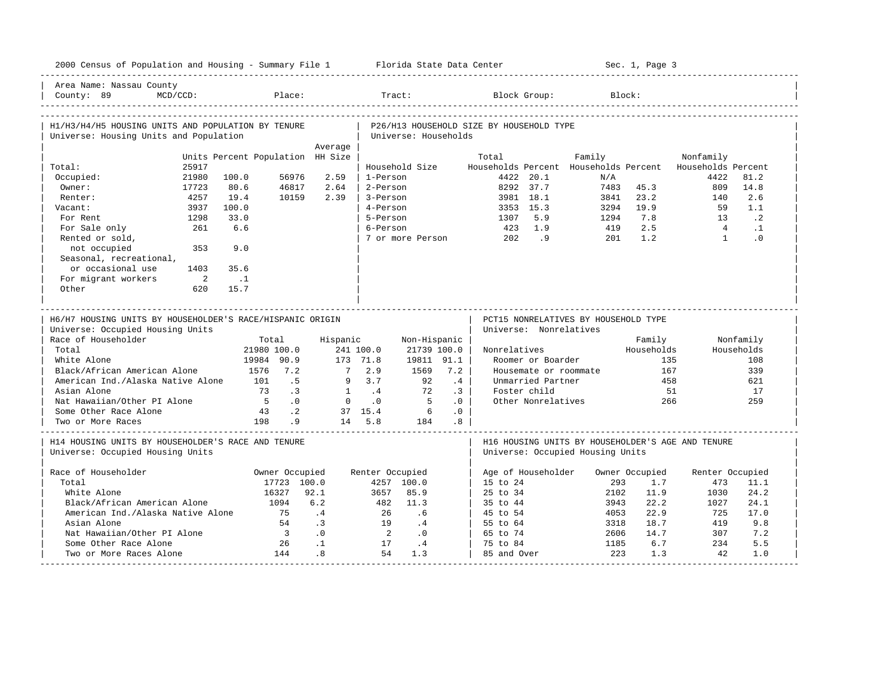|                                                                                        | 2000 Census of Population and Housing - Summary File 1 Florida State Data Center |                           |                   |                       |           |                                          |                        |                                      | Sec. 1, Page 3 |                                                          |                        |
|----------------------------------------------------------------------------------------|----------------------------------------------------------------------------------|---------------------------|-------------------|-----------------------|-----------|------------------------------------------|------------------------|--------------------------------------|----------------|----------------------------------------------------------|------------------------|
| Area Name: Nassau County<br>MCD/CCD:<br>County: 89                                     | Place:                                                                           |                           |                   | Tract:                |           |                                          | Block Group:           |                                      | Block:         |                                                          |                        |
| H1/H3/H4/H5 HOUSING UNITS AND POPULATION BY TENURE                                     |                                                                                  |                           |                   |                       |           | P26/H13 HOUSEHOLD SIZE BY HOUSEHOLD TYPE |                        |                                      |                |                                                          |                        |
| Universe: Housing Units and Population                                                 |                                                                                  |                           |                   | Universe: Households  |           |                                          |                        |                                      |                |                                                          |                        |
|                                                                                        |                                                                                  | Average                   |                   |                       |           |                                          |                        |                                      |                |                                                          |                        |
|                                                                                        | Units Percent Population HH Size                                                 |                           |                   |                       |           | Total                                    |                        | Family                               |                | Nonfamily                                                |                        |
| 25917<br>Total:                                                                        |                                                                                  |                           |                   | Household Size        |           |                                          |                        |                                      |                | Households Percent Households Percent Households Percent |                        |
| 21980<br>Occupied:                                                                     | 100.0<br>56976                                                                   | 2.59                      | 1-Person          |                       |           |                                          | 4422 20.1              | N/A                                  |                | 4422                                                     | 81.2                   |
| Owner:<br>17723                                                                        | 80.6<br>46817                                                                    | 2.64                      | 2-Person          |                       |           |                                          | 8292 37.7              | 7483                                 | 45.3           | 809                                                      | 14.8                   |
| 4257<br>Renter:                                                                        | 19.4<br>10159                                                                    | 2.39                      | 3-Person          |                       |           |                                          | 3981 18.1              | 3841                                 | 23.2           | 140                                                      | 2.6                    |
| 3937<br>Vacant:<br>1298                                                                | 100.0<br>33.0                                                                    |                           | 4-Person          |                       |           |                                          | 3353 15.3              | 3294                                 | 19.9<br>7.8    | 59<br>1.3                                                | 1.1<br>$\cdot$ 2       |
| For Rent                                                                               |                                                                                  |                           | 5-Person          |                       |           | 1307                                     | 5.9                    | 1294                                 |                |                                                          |                        |
| 261<br>For Sale only<br>Rented or sold,                                                | 6.6                                                                              |                           | 6-Person          | 7 or more Person      |           | 423<br>202                               | 1.9<br>.9              | 419<br>201                           | 2.5<br>1.2     | $\overline{4}$<br>$\mathbf{1}$                           | $\cdot$ 1<br>$\cdot$ 0 |
| not occupied<br>353                                                                    | 9.0                                                                              |                           |                   |                       |           |                                          |                        |                                      |                |                                                          |                        |
| Seasonal, recreational,                                                                |                                                                                  |                           |                   |                       |           |                                          |                        |                                      |                |                                                          |                        |
| or occasional use<br>1403                                                              | 35.6                                                                             |                           |                   |                       |           |                                          |                        |                                      |                |                                                          |                        |
| For migrant workers<br>$\overline{\phantom{0}}$                                        | $\ldots$ 1                                                                       |                           |                   |                       |           |                                          |                        |                                      |                |                                                          |                        |
| Other<br>620                                                                           | 15.7                                                                             |                           |                   |                       |           |                                          |                        |                                      |                |                                                          |                        |
|                                                                                        |                                                                                  |                           |                   |                       |           |                                          |                        |                                      |                |                                                          |                        |
| H6/H7 HOUSING UNITS BY HOUSEHOLDER'S RACE/HISPANIC ORIGIN                              |                                                                                  |                           |                   |                       |           |                                          |                        |                                      |                |                                                          |                        |
| Universe: Occupied Housing Units                                                       |                                                                                  |                           |                   |                       |           |                                          | Universe: Nonrelatives | PCT15 NONRELATIVES BY HOUSEHOLD TYPE |                |                                                          |                        |
| Race of Householder                                                                    | Total                                                                            | Hispanic                  |                   | Non-Hispanic          |           |                                          |                        |                                      | Family         |                                                          | Nonfamily              |
| Total                                                                                  | 21980 100.0                                                                      |                           | 241 100.0         | 21739 100.0           |           | Nonrelatives                             |                        |                                      | Households     |                                                          | Households             |
| White Alone                                                                            | 19984 90.9                                                                       |                           | 173 71.8          | 19811 91.1            |           |                                          | Roomer or Boarder      |                                      | 135            |                                                          | 108                    |
| Black/African American Alone                                                           | 1576 7.2                                                                         | $7^{\circ}$               | 2.9               | 1569                  | 7.2       |                                          | Housemate or roommate  |                                      | 167            |                                                          | 339                    |
| American Ind./Alaska Native Alone                                                      | 101                                                                              | .5<br>9                   | 3.7               | 92                    | .4        |                                          | Unmarried Partner      |                                      | 458            |                                                          | 621                    |
| Asian Alone                                                                            | 73                                                                               | $\cdot$ 3<br>$\mathbf{1}$ | $\cdot$ 4         | 72                    | $\cdot$ 3 |                                          | Foster child           |                                      | 51             |                                                          | 17                     |
| Nat Hawaiian/Other PI Alone                                                            | $5^{\circ}$                                                                      | .0<br>$\circ$             | $\cdot$ 0         | $5^{\circ}$           | .0        |                                          | Other Nonrelatives     |                                      | 266            |                                                          | 259                    |
| Some Other Race Alone<br>Two or More Races                                             | 43<br>198                                                                        | $\cdot$ 2<br>.9           | 37 15.4<br>14 5.8 | $\overline{6}$<br>184 | .0<br>.8  |                                          |                        |                                      |                |                                                          |                        |
| H14 HOUSING UNITS BY HOUSEHOLDER'S RACE AND TENURE<br>Universe: Occupied Housing Units |                                                                                  |                           |                   |                       |           |                                          |                        | Universe: Occupied Housing Units     |                | H16 HOUSING UNITS BY HOUSEHOLDER'S AGE AND TENURE        |                        |
| Race of Householder                                                                    | Owner Occupied                                                                   |                           | Renter Occupied   |                       |           |                                          | Age of Householder     |                                      | Owner Occupied | Renter Occupied                                          |                        |
| Total                                                                                  |                                                                                  | 17723 100.0               |                   | 4257 100.0            |           | 15 to 24                                 |                        | 293                                  | 1.7            | 473                                                      | 11.1                   |
| White Alone                                                                            | 16327                                                                            | 92.1                      | 3657              | 85.9                  |           | 25 to 34                                 |                        | 2102                                 | 11.9           | 1030                                                     | 24.2                   |
| Black/African American Alone                                                           | 1094                                                                             | 6.2                       | 482               | 11.3                  |           | 35 to 44                                 |                        | 3943                                 | 22.2           | 1027                                                     | 24.1                   |
| American Ind./Alaska Native Alone                                                      | 75                                                                               | .4                        | 26                | .6                    |           | 45 to 54                                 |                        | 4053                                 | 22.9           | 725                                                      | 17.0                   |
| Asian Alone                                                                            | 54                                                                               | $\cdot$ 3                 | 19                | .4                    |           | 55 to 64                                 |                        | 3318                                 | 18.7           | 419                                                      | 9.8                    |
| Nat Hawaiian/Other PI Alone                                                            | $\overline{\phantom{a}}$                                                         | .0                        | $\overline{2}$    | $\cdot$ 0             |           | 65 to 74                                 |                        | 2606                                 | 14.7           | 307                                                      | 7.2                    |
| Some Other Race Alone<br>Two or More Races Alone                                       | 26<br>144                                                                        | $\cdot$ 1<br>.8           | 17<br>54          | $\cdot$ 4<br>1.3      |           | 75 to 84<br>85 and Over                  |                        | 1185<br>223                          | 6.7<br>1.3     | 234<br>42                                                | 5.5<br>1.0             |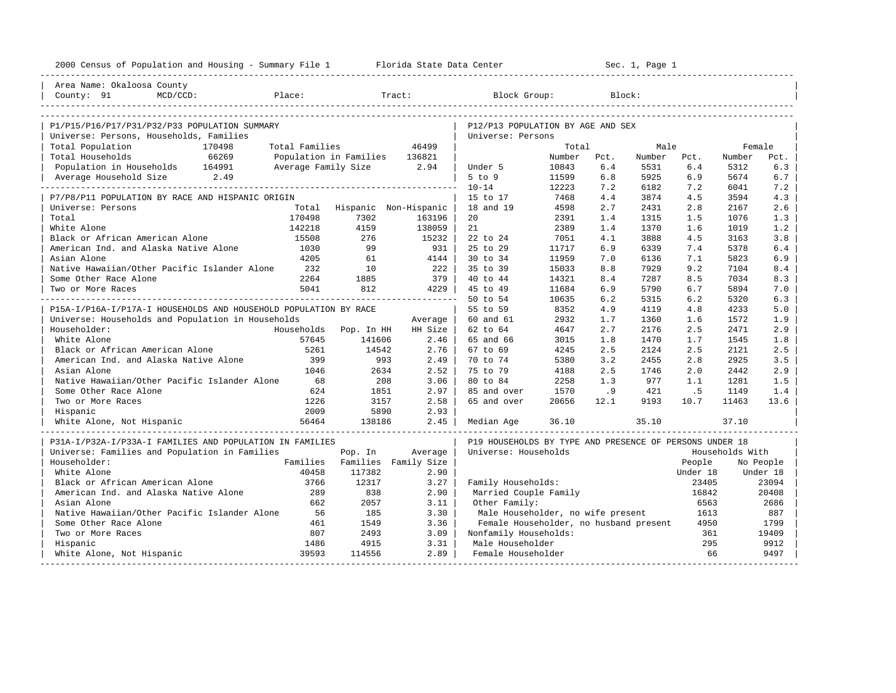| 2000 Census of Population and Housing - Summary File 1 Florida State Data Center |                |                               |         |                                                         |        |        | Sec. 1, Page 1 |          |                 |           |
|----------------------------------------------------------------------------------|----------------|-------------------------------|---------|---------------------------------------------------------|--------|--------|----------------|----------|-----------------|-----------|
| Area Name: Okaloosa County                                                       |                |                               |         |                                                         |        |        |                |          |                 |           |
| County: 91<br>Place:<br>$MCD/CCD$ :                                              |                |                               | Tract:  | Block Group:                                            |        | Block: |                |          |                 |           |
| P1/P15/P16/P17/P31/P32/P33 POPULATION SUMMARY                                    |                |                               |         | P12/P13 POPULATION BY AGE AND SEX                       |        |        |                |          |                 |           |
| Universe: Persons, Households, Families                                          |                |                               |         | Universe: Persons                                       |        |        |                |          |                 |           |
| Total Population<br>170498                                                       | Total Families |                               | 46499   |                                                         | Total  |        | Male           |          | Female          |           |
| 66269<br>Total Households                                                        |                | Population in Families 136821 |         |                                                         | Number | Pct.   | Number         | Pct.     | Number          | Pct.      |
| Population in Households 164991                                                  |                | Average Family Size 2.94      |         | Under 5                                                 | 10843  | $6.4$  | 5531           | 6.4      | 5312            | 6.3       |
| Average Household Size 2.49                                                      |                |                               |         | $5$ to $9$                                              | 11599  | 6.8    | 5925           | 6.9      | 5674            | 6.7       |
|                                                                                  |                |                               |         | $10 - 14$                                               | 12223  | 7.2    | 6182           | 7.2      | 6041            | 7.2       |
| P7/P8/P11 POPULATION BY RACE AND HISPANIC ORIGIN                                 |                |                               |         | 15 to 17                                                | 7468   | 4.4    | 3874           | 4.5      | 3594            | 4.3       |
| Universe: Persons                                                                | Total          | Hispanic Non-Hispanic         |         | 18 and 19                                               | 4598   | 2.7    | 2431           | 2.8      | 2167            | 2.6       |
| Total                                                                            | 170498         | 7302                          | 163196  | 20                                                      | 2391   | 1.4    | 1315           | 1.5      | 1076            | 1.3       |
| White Alone                                                                      | 142218         | 4159                          | 138059  | 21                                                      | 2389   | 1.4    | 1370           | 1.6      | 1019            | 1.2       |
| Black or African American Alone                                                  | 15508          | 276                           | 15232   | 22 to 24                                                | 7051   | 4.1    | 3888           | 4.5      | 3163            | 3.8       |
| American Ind. and Alaska Native Alone                                            | 1030           | 99                            | 931 l   | 25 to 29                                                | 11717  | 6.9    | 6339           | 7.4      | 5378            | 6.4       |
| Asian Alone                                                                      | 4205           | 61                            | 4144    | 30 to 34                                                | 11959  | 7.0    | 6136           | 7.1      | 5823            | 6.9       |
| Native Hawaiian/Other Pacific Islander Alone                                     | 232            | 10                            | 222     | 35 to 39                                                | 15033  | 8.8    | 7929           | 9.2      | 7104            | 8.4       |
| Some Other Race Alone                                                            | 2264           | 1885                          | 379     | 40 to 44                                                | 14321  | 8.4    | 7287           | 8.5      | 7034            | 8.3       |
| Two or More Races                                                                | 5041           | 812                           | $4229$  | 45 to 49                                                | 11684  | 6.9    | 5790           | 6.7      | 5894            | 7.0       |
|                                                                                  |                |                               |         | 50 to 54                                                | 10635  | 6.2    | 5315           | 6.2      | 5320            | 6.3       |
| P15A-I/P16A-I/P17A-I HOUSEHOLDS AND HOUSEHOLD POPULATION BY RACE                 |                |                               |         | 55 to 59                                                | 8352   | 4.9    | 4119           | 4.8      | 4233            | 5.0       |
| Universe: Households and Population in Households                                |                |                               | Average | 60 and 61                                               | 2932   | 1.7    | 1360           | 1.6      | 1572            | 1.9       |
| Householder:                                                                     |                | Households Pop. In HH         | HH Size | 62 to 64                                                | 4647   | 2.7    | 2176           | 2.5      | 2471            | 2.9       |
| White Alone                                                                      | 57645          | 141606                        | 2.46    | 65 and 66                                               | 3015   | 1.8    | 1470           | 1.7      | 1545            | 1.8       |
| Black or African American Alone                                                  | 5261           | 14542                         | 2.76    | 67 to 69                                                | 4245   | 2.5    | 2124           | 2.5      | 2121            | 2.5       |
| American Ind. and Alaska Native Alone                                            | 399            | 993                           | 2.49    | 70 to 74                                                | 5380   | 3.2    | 2455           | 2.8      | 2925            | 3.5       |
| Asian Alone                                                                      | 1046           | 2634                          | 2.52    | 75 to 79                                                | 4188   | 2.5    | 1746           | 2.0      | 2442            | 2.9       |
| Native Hawaiian/Other Pacific Islander Alone                                     | 68             | 208                           | 3.06    | 80 to 84                                                | 2258   | 1.3    | 977            | 1.1      | 1281            | 1.5       |
| Some Other Race Alone                                                            | 624            | 1851                          | 2.97    | 85 and over                                             | 1570   | .9     | 421            | .5       | 1149            | 1.4       |
| Two or More Races                                                                | 1226           | 3157                          | 2.58    | 65 and over                                             | 20656  | 12.1   | 9193           | 10.7     | 11463           | 13.6      |
| Hispanic                                                                         | 2009           | 5890                          | 2.93    |                                                         |        |        |                |          |                 |           |
| White Alone, Not Hispanic                                                        | 56464          | 138186                        | $2.45$  | Median Age                                              | 36.10  |        | 35.10          |          | 37.10           |           |
| P31A-I/P32A-I/P33A-I FAMILIES AND POPULATION IN FAMILIES                         |                |                               |         | P19 HOUSEHOLDS BY TYPE AND PRESENCE OF PERSONS UNDER 18 |        |        |                |          |                 |           |
| Universe: Families and Population in Families                                    |                | Pop. In                       | Average | Universe: Households                                    |        |        |                |          | Households With |           |
| Householder:                                                                     |                | Families Families Family Size |         |                                                         |        |        |                | People   |                 | No People |
| White Alone                                                                      | 40458          | 117382                        | 2.90    |                                                         |        |        |                | Under 18 |                 | Under 18  |
| Black or African American Alone                                                  | 3766           | 12317                         | 3.27    | Family Households:                                      |        |        |                | 23405    |                 | 23094     |
| American Ind. and Alaska Native Alone                                            | 289            | 838                           | 2.90    | Married Couple Family                                   |        |        |                | 16842    |                 | 20408     |
| Asian Alone                                                                      | 662            | 2057                          | 3.11    | Other Family:                                           |        |        |                | 6563     |                 | 2686      |
| Native Hawaiian/Other Pacific Islander Alone                                     | 56             | 185                           | 3.30    | Male Householder, no wife present                       |        |        |                | 1613     |                 | 887       |
| Some Other Race Alone                                                            | 461            | 1549                          | 3.36    | Female Householder, no husband present                  |        |        |                | 4950     |                 | 1799      |
| Two or More Races                                                                | 807            | 2493                          | 3.09    | Nonfamily Households:                                   |        |        |                | 361      |                 | 19409     |
| Hispanic                                                                         | 1486           | 4915                          | 3.31    | Male Householder                                        |        |        |                | 295      |                 | 9912      |
| White Alone, Not Hispanic                                                        | 39593          | 114556                        | 2.89    | Female Householder                                      |        |        |                | 66       |                 | 9497      |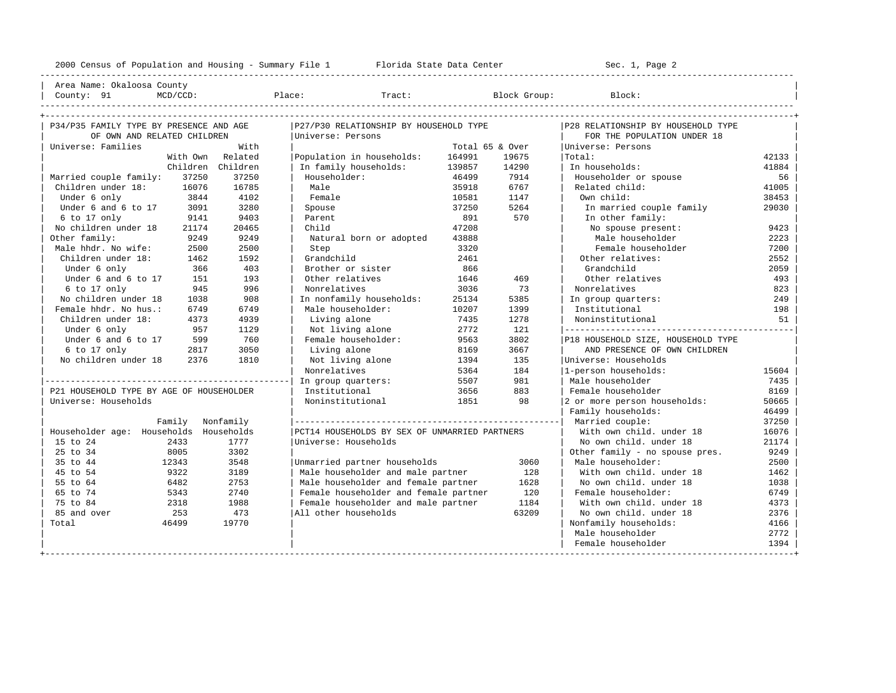---------------------------------------------------------------------------------------------------------------------------------------------------- | Area Name: Okaloosa County | | County: 91 MCD/CCD: Place: Tract: Block Group: Block: | ----------------------------------------------------------------------------------------------------------------------------------------------------

| P34/P35 FAMILY TYPE BY PRESENCE AND AGE  |                   | P27/P30 RELATIONSHIP BY HOUSEHOLD TYPE        |                 |       | P28 RELATIONSHIP BY HOUSEHOLD TYPE  |       |
|------------------------------------------|-------------------|-----------------------------------------------|-----------------|-------|-------------------------------------|-------|
| OF OWN AND RELATED CHILDREN              |                   | Universe: Persons                             |                 |       | FOR THE POPULATION UNDER 18         |       |
| Universe: Families                       | With              |                                               | Total 65 & Over |       | Universe: Persons                   |       |
| With Own                                 | Related           | Population in households:                     | 164991          | 19675 | Total:                              | 42133 |
|                                          | Children Children | In family households:                         | 139857          | 14290 | In households:                      | 41884 |
| Married couple family:<br>37250          | 37250             | Householder:                                  | 46499           | 7914  | Householder or spouse               | 56    |
| Children under 18:<br>16076              | 16785             | Male                                          | 35918           | 6767  | Related child:                      | 41005 |
| Under 6 only<br>3844                     | 4102              | Female                                        | 10581           | 1147  | Own child:                          | 38453 |
| Under 6 and 6 to 17<br>3091              | 3280              | Spouse                                        | 37250           | 5264  | In married couple family            | 29030 |
| 6 to 17 only<br>9141                     | 9403              | Parent                                        | 891             | 570   | In other family:                    |       |
| No children under 18<br>21174            | 20465             | Child                                         | 47208           |       | No spouse present:                  | 9423  |
| Other family:<br>9249                    | 9249              | Natural born or adopted                       | 43888           |       | Male householder                    | 2223  |
| Male hhdr. No wife:<br>2500              | 2500              | Step                                          | 3320            |       | Female householder                  | 7200  |
| Children under 18:<br>1462               | 1592              | Grandchild                                    | 2461            |       | Other relatives:                    | 2552  |
| Under 6 only<br>366                      | 403               | Brother or sister                             | 866             |       | Grandchild                          | 2059  |
| Under 6 and 6 to 17<br>151               | 193               | Other relatives                               | 1646            | 469   | Other relatives                     | 493   |
| 6 to 17 only<br>945                      | 996               | Nonrelatives                                  | 3036            | 73    | Nonrelatives                        | 823   |
| No children under 18<br>1038             | 908               | In nonfamily households:                      | 25134           | 5385  | In group quarters:                  | 249   |
| Female hhdr. No hus.:<br>6749            | 6749              | Male householder:                             | 10207           | 1399  | Institutional                       | 198   |
| Children under 18:<br>4373               | 4939              | Living alone                                  | 7435            | 1278  | Noninstitutional                    | 51    |
| Under 6 only<br>957                      | 1129              | Not living alone                              | 2772            | 121   | ----------------------------------- |       |
| Under 6 and 6 to 17<br>599               | 760               | Female householder:                           | 9563            | 3802  | P18 HOUSEHOLD SIZE, HOUSEHOLD TYPE  |       |
| 6 to 17 only<br>2817                     | 3050              | Living alone                                  | 8169            | 3667  | AND PRESENCE OF OWN CHILDREN        |       |
| No children under 18<br>2376             | 1810              | Not living alone                              | 1394            | 135   | Universe: Households                |       |
|                                          |                   | Nonrelatives                                  | 5364            | 184   | 1-person households:                | 15604 |
|                                          |                   | In group quarters:                            | 5507            | 981   | Male householder                    | 7435  |
| P21 HOUSEHOLD TYPE BY AGE OF HOUSEHOLDER |                   | Institutional                                 | 3656            | 883   | Female householder                  | 8169  |
| Universe: Households                     |                   | Noninstitutional                              | 1851            | 98    | 2 or more person households:        | 50665 |
|                                          |                   |                                               |                 |       | Family households:                  | 46499 |
| Family Nonfamily                         |                   |                                               |                 |       | Married couple:                     | 37250 |
| Householder age: Households Households   |                   | PCT14 HOUSEHOLDS BY SEX OF UNMARRIED PARTNERS |                 |       | With own child, under 18            | 16076 |
| 15 to 24<br>2433                         | 1777              | Universe: Households                          |                 |       | No own child, under 18              | 21174 |
| 25 to 34<br>8005                         | 3302              |                                               |                 |       | Other family - no spouse pres.      | 9249  |
| 12343<br>35 to 44                        | 3548              | Unmarried partner households                  |                 | 3060  | Male householder:                   | 2500  |
| 9322<br>45 to 54                         | 3189              | Male householder and male partner             |                 | 128   | With own child, under 18            | 1462  |
| 55 to 64<br>6482                         | 2753              | Male householder and female partner           |                 | 1628  | No own child. under 18              | 1038  |
| 65 to 74<br>5343                         | 2740              | Female householder and female partner         |                 | 120   | Female householder:                 | 6749  |
| 75 to 84<br>2318                         | 1988              | Female householder and male partner           |                 | 1184  | With own child, under 18            | 4373  |
| 85 and over<br>253                       | 473               | All other households                          |                 | 63209 | No own child, under 18              | 2376  |
| Total<br>46499                           | 19770             |                                               |                 |       | Nonfamily households:               | 4166  |
|                                          |                   |                                               |                 |       | Male householder                    | 2772  |
|                                          |                   |                                               |                 |       | Female householder                  | 1394  |
|                                          |                   |                                               |                 |       |                                     |       |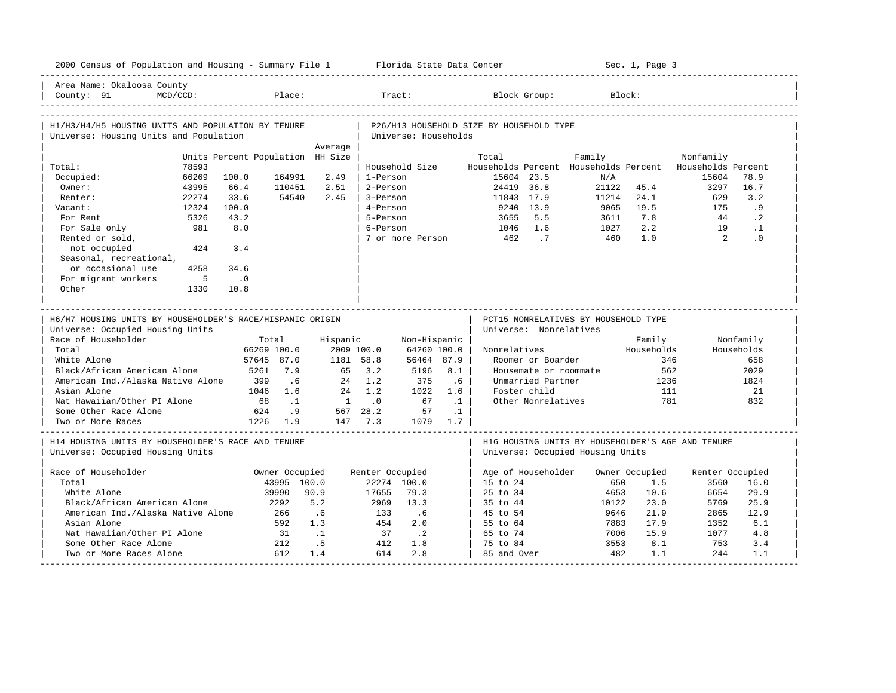| 2000 Census of Population and Housing - Summary File 1 Florida State Data Center                                                                                                                                            |             |                                  |                                                                                      |                 |                                                                                         |                                                                              |                                                  |                                          |                                                                                                        |                                       | Sec. 1, Page 3                             |                                                   |                                                              |
|-----------------------------------------------------------------------------------------------------------------------------------------------------------------------------------------------------------------------------|-------------|----------------------------------|--------------------------------------------------------------------------------------|-----------------|-----------------------------------------------------------------------------------------|------------------------------------------------------------------------------|--------------------------------------------------|------------------------------------------|--------------------------------------------------------------------------------------------------------|---------------------------------------|--------------------------------------------|---------------------------------------------------|--------------------------------------------------------------|
| Area Name: Okaloosa County<br>County: 91                                                                                                                                                                                    | MCD/CCD:    |                                  | Place:                                                                               |                 |                                                                                         | Tract:                                                                       |                                                  |                                          | Block Group:                                                                                           |                                       | Block:                                     |                                                   |                                                              |
|                                                                                                                                                                                                                             |             |                                  |                                                                                      |                 |                                                                                         |                                                                              |                                                  |                                          |                                                                                                        |                                       |                                            |                                                   |                                                              |
| H1/H3/H4/H5 HOUSING UNITS AND POPULATION BY TENURE                                                                                                                                                                          |             |                                  |                                                                                      |                 |                                                                                         |                                                                              |                                                  | P26/H13 HOUSEHOLD SIZE BY HOUSEHOLD TYPE |                                                                                                        |                                       |                                            |                                                   |                                                              |
| Universe: Housing Units and Population                                                                                                                                                                                      |             |                                  |                                                                                      | Average         |                                                                                         | Universe: Households                                                         |                                                  |                                          |                                                                                                        |                                       |                                            |                                                   |                                                              |
|                                                                                                                                                                                                                             |             | Units Percent Population HH Size |                                                                                      |                 |                                                                                         |                                                                              |                                                  | Total                                    |                                                                                                        | Family                                |                                            | Nonfamily                                         |                                                              |
| Total:                                                                                                                                                                                                                      | 78593       |                                  |                                                                                      |                 |                                                                                         | Household Size                                                               |                                                  |                                          |                                                                                                        | Households Percent Households Percent |                                            | Households Percent                                |                                                              |
| Occupied:                                                                                                                                                                                                                   | 66269       | 100.0                            | 164991                                                                               | 2.49            | 1-Person                                                                                |                                                                              |                                                  | 15604 23.5                               |                                                                                                        | N/A                                   |                                            | 15604                                             | 78.9                                                         |
| Owner:                                                                                                                                                                                                                      | 43995       | 66.4                             | 110451                                                                               | 2.51            | 2-Person                                                                                |                                                                              |                                                  | 24419 36.8                               |                                                                                                        | 21122                                 | 45.4                                       | 3297                                              | 16.7                                                         |
| Renter:                                                                                                                                                                                                                     | 22274       | 33.6                             | 54540                                                                                | 2.45            | 3-Person                                                                                |                                                                              |                                                  | 11843 17.9                               |                                                                                                        | 11214                                 | 24.1                                       | 629                                               | 3.2                                                          |
| Vacant:                                                                                                                                                                                                                     | 12324       | 100.0                            |                                                                                      |                 | 4-Person                                                                                |                                                                              |                                                  |                                          | 9240 13.9                                                                                              | 9065                                  | 19.5                                       | 175                                               | .9                                                           |
| For Rent                                                                                                                                                                                                                    | 5326        | 43.2                             |                                                                                      |                 | 5-Person                                                                                |                                                                              |                                                  | 3655                                     | 5.5                                                                                                    | 3611                                  | 7.8                                        | 44                                                | $\cdot$ 2                                                    |
| For Sale only                                                                                                                                                                                                               | 981         | 8.0                              |                                                                                      |                 | 6-Person                                                                                |                                                                              |                                                  | 1046                                     | 1.6                                                                                                    | 1027                                  | 2.2                                        | 19                                                | $\cdot$ 1                                                    |
| Rented or sold,                                                                                                                                                                                                             |             |                                  |                                                                                      |                 |                                                                                         | 7 or more Person                                                             |                                                  | 462                                      | $\cdot$ 7                                                                                              | 460                                   | 1.0                                        | $\overline{2}$                                    | $\cdot$ 0                                                    |
| not occupied                                                                                                                                                                                                                | 424         | 3.4                              |                                                                                      |                 |                                                                                         |                                                                              |                                                  |                                          |                                                                                                        |                                       |                                            |                                                   |                                                              |
| Seasonal, recreational,                                                                                                                                                                                                     |             |                                  |                                                                                      |                 |                                                                                         |                                                                              |                                                  |                                          |                                                                                                        |                                       |                                            |                                                   |                                                              |
| or occasional use                                                                                                                                                                                                           | 4258        | 34.6                             |                                                                                      |                 |                                                                                         |                                                                              |                                                  |                                          |                                                                                                        |                                       |                                            |                                                   |                                                              |
| For migrant workers                                                                                                                                                                                                         | $5^{\circ}$ | $\overline{\phantom{0}}$ .0      |                                                                                      |                 |                                                                                         |                                                                              |                                                  |                                          |                                                                                                        |                                       |                                            |                                                   |                                                              |
| Other                                                                                                                                                                                                                       | 1330        | 10.8                             |                                                                                      |                 |                                                                                         |                                                                              |                                                  |                                          |                                                                                                        |                                       |                                            |                                                   |                                                              |
| Universe: Occupied Housing Units<br>Race of Householder<br>Total<br>White Alone<br>Black/African American Alone<br>American Ind./Alaska Native Alone<br>Asian Alone<br>Nat Hawaiian/Other PI Alone<br>Some Other Race Alone |             | 399<br>68<br>624                 | Total<br>66269 100.0<br>57645 87.0<br>5261 7.9<br>.6<br>1046 1.6<br>$\ldots$ 1<br>.9 | Hispanic<br>2.4 | 2009 100.0<br>1181 58.8<br>65 3.2<br>$24 \quad 1.2$<br>1.2<br>$1 \qquad .0$<br>567 28.2 | Non-Hispanic<br>64260 100.0<br>56464 87.9<br>5196<br>375<br>1022<br>67<br>57 | 8.1<br>.6 <sub>5</sub><br>1.6<br>$\cdot$ 1<br>.1 | Nonrelatives                             | Universe: Nonrelatives<br>Roomer or Boarder<br>Unmarried Partner<br>Foster child<br>Other Nonrelatives | Housemate or roommate                 | Family<br>Households<br>562<br>1236<br>111 | 346<br>781                                        | Nonfamily<br>Households<br>658<br>2029<br>1824<br>2.1<br>832 |
| Two or More Races                                                                                                                                                                                                           |             |                                  | 1226 1.9                                                                             |                 | 147 7.3                                                                                 |                                                                              | 1079 1.7                                         |                                          |                                                                                                        |                                       |                                            |                                                   |                                                              |
| H14 HOUSING UNITS BY HOUSEHOLDER'S RACE AND TENURE<br>Universe: Occupied Housing Units                                                                                                                                      |             |                                  |                                                                                      |                 |                                                                                         |                                                                              |                                                  |                                          |                                                                                                        | Universe: Occupied Housing Units      |                                            | H16 HOUSING UNITS BY HOUSEHOLDER'S AGE AND TENURE |                                                              |
| Race of Householder                                                                                                                                                                                                         |             |                                  | Owner Occupied                                                                       |                 | Renter Occupied                                                                         |                                                                              |                                                  | Age of Householder                       |                                                                                                        |                                       | Owner Occupied                             | Renter Occupied                                   |                                                              |
| Total                                                                                                                                                                                                                       |             |                                  | 43995 100.0                                                                          |                 |                                                                                         | 22274 100.0                                                                  |                                                  | 15 to 24                                 |                                                                                                        | 650                                   | 1.5                                        | 3560                                              | 16.0                                                         |
| White Alone                                                                                                                                                                                                                 |             |                                  | 39990                                                                                | 90.9            | 17655                                                                                   | 79.3                                                                         |                                                  | 25 to 34                                 |                                                                                                        | 4653                                  | 10.6                                       | 6654                                              | 29.9                                                         |
| Black/African American Alone                                                                                                                                                                                                |             |                                  | 2292                                                                                 | 5.2             | 2969                                                                                    | 13.3                                                                         |                                                  | 35 to 44                                 |                                                                                                        | 10122                                 | 23.0                                       | 5769                                              | 25.9                                                         |
| American Ind./Alaska Native Alone                                                                                                                                                                                           |             |                                  | 266                                                                                  | .6              | 133                                                                                     | .6                                                                           |                                                  | 45 to 54                                 |                                                                                                        | 9646                                  | 21.9                                       | 2865                                              | 12.9                                                         |
| Asian Alone                                                                                                                                                                                                                 |             |                                  | 592                                                                                  | 1.3             | 454                                                                                     | 2.0                                                                          |                                                  | 55 to 64                                 |                                                                                                        | 7883                                  | 17.9                                       | 1352                                              | 6.1                                                          |
| Nat Hawaiian/Other PI Alone                                                                                                                                                                                                 |             |                                  | 31                                                                                   | $\ldots$ 1      | 37                                                                                      | $\cdot$ . 2                                                                  |                                                  | 65 to 74                                 |                                                                                                        | 7006                                  | 15.9                                       | 1077                                              | 4.8                                                          |
| Some Other Race Alone                                                                                                                                                                                                       |             |                                  | 212                                                                                  | .5              | 412                                                                                     | 1.8                                                                          |                                                  | 75 to 84                                 |                                                                                                        | 3553                                  | 8.1                                        | 753                                               | 3.4                                                          |
| Two or More Races Alone                                                                                                                                                                                                     |             |                                  | 612                                                                                  | 1.4             | 614                                                                                     | 2.8                                                                          |                                                  | 85 and Over                              |                                                                                                        | 482                                   | 1.1                                        | 244                                               | 1.1                                                          |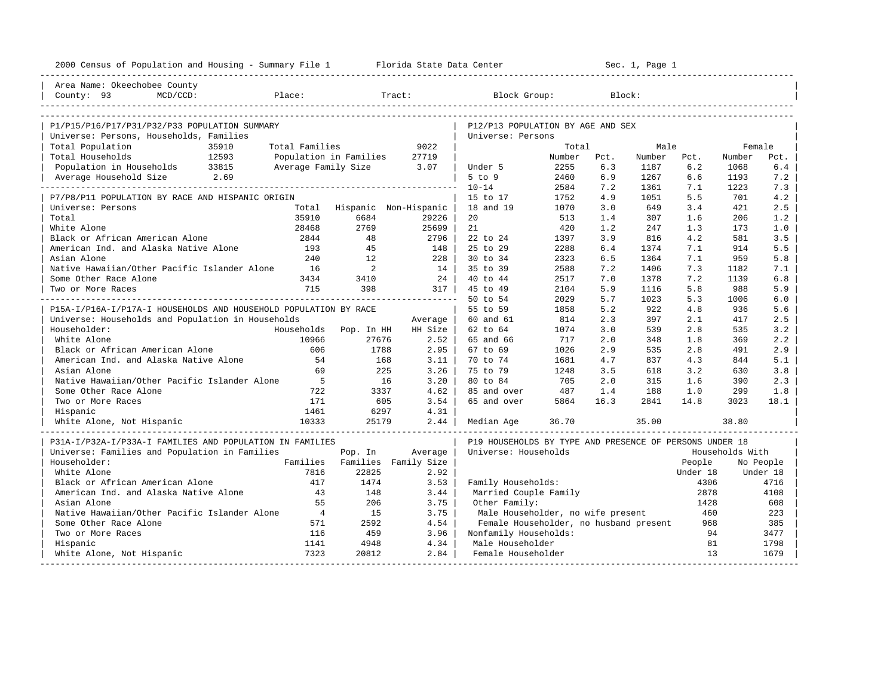| 2000 Census of Population and Housing - Summary File 1 Florida State Data Center         |                          |                             |         |                                                         |        |      | Sec. 1, Page 1 |          |                 |           |
|------------------------------------------------------------------------------------------|--------------------------|-----------------------------|---------|---------------------------------------------------------|--------|------|----------------|----------|-----------------|-----------|
| Area Name: Okeechobee County                                                             |                          |                             |         |                                                         |        |      |                |          |                 |           |
| County: 93<br>MCD/CCD:                                                                   | Place:                   |                             | Tract:  | Block Group:                                            |        |      | Block:         |          |                 |           |
|                                                                                          |                          |                             |         |                                                         |        |      |                |          |                 |           |
| P1/P15/P16/P17/P31/P32/P33 POPULATION SUMMARY<br>Universe: Persons, Households, Families |                          |                             |         | P12/P13 POPULATION BY AGE AND SEX<br>Universe: Persons  |        |      |                |          |                 |           |
| Total Population<br>35910                                                                | Total Families           |                             | 9022    |                                                         | Total  |      | Male           |          | Female          |           |
| Total Households<br>12593                                                                | Population in Families   |                             | 27719   |                                                         | Number | Pct. | Number         | Pct.     | Number          | Pct.      |
| Population in Households 33815                                                           | Average Family Size 3.07 |                             |         | Under 5                                                 | 2255   | 6.3  | 1187           | 6.2      | 1068            | $6.4$     |
| Average Household Size 2.69                                                              |                          |                             |         | 5 to 9                                                  | 2460   | 6.9  | 1267           | 6.6      | 1193            | 7.2       |
| . _ _ _ _ _ _ _ _ _ _ _ _ _ _ _ _ _ _                                                    |                          |                             |         | $10 - 14$                                               | 2584   | 7.2  | 1361           | 7.1      | 1223            | 7.3       |
| P7/P8/P11 POPULATION BY RACE AND HISPANIC ORIGIN                                         |                          |                             |         | 15 to 17                                                | 1752   | 4.9  | 1051           | 5.5      | 701             | 4.2       |
| Universe: Persons                                                                        |                          | Total Hispanic Non-Hispanic |         | 18 and 19                                               | 1070   | 3.0  | 649            | 3.4      | 421             | 2.5       |
| Total                                                                                    | 35910                    | 6684                        | 29226   | 20                                                      | 513    | 1.4  | 307            | 1.6      | 206             | 1.2       |
| White Alone                                                                              | 28468                    | 2769                        | 25699   | 21                                                      | 420    | 1.2  | 247            | 1.3      | 173             | 1.0       |
| Black or African American Alone                                                          | 2844                     | 48                          | 2796    | 22 to 24                                                | 1397   | 3.9  | 816            | 4.2      | 581             | 3.5       |
| American Ind. and Alaska Native Alone                                                    | 193                      | 45                          | 148     | 25 to 29                                                | 2288   | 6.4  | 1374           | 7.1      | 914             | 5.5       |
| Asian Alone                                                                              | 240                      | 12                          | 228     | 30 to 34                                                | 2323   | 6.5  | 1364           | 7.1      | 959             | 5.8       |
| Native Hawaiian/Other Pacific Islander Alone                                             | 16                       | 2                           | 14      | 35 to 39                                                | 2588   | 7.2  | 1406           | 7.3      | 1182            | 7.1       |
| Some Other Race Alone                                                                    | 3434                     | 3410                        | 24      | 40 to 44                                                | 2517   | 7.0  | 1378           | 7.2      | 1139            | 6.8       |
| Two or More Races                                                                        | 715                      | 398                         | 317     | 45 to 49                                                | 2104   | 5.9  | 1116           | 5.8      | 988             | 5.9       |
|                                                                                          |                          |                             |         | 50 to 54                                                | 2029   | 5.7  | 1023           | 5.3      | 1006            | 6.0       |
| P15A-I/P16A-I/P17A-I HOUSEHOLDS AND HOUSEHOLD POPULATION BY RACE                         |                          |                             |         | 55 to 59                                                | 1858   | 5.2  | 922            | 4.8      | 936             | 5.6       |
| Universe: Households and Population in Households                                        |                          |                             | Average | 60 and 61                                               | 814    | 2.3  | 397            | 2.1      | 417             | 2.5       |
| Householder:                                                                             |                          | Households Pop. In HH       | HH Size | 62 to 64                                                | 1074   | 3.0  | 539            | 2.8      | 535             | 3.2       |
| White Alone                                                                              | 10966                    | 27676                       | 2.52    | 65 and 66                                               | 717    | 2.0  | 348            | 1.8      | 369             | 2.2       |
| Black or African American Alone                                                          | 606                      | 1788                        | 2.95    | 67 to 69                                                | 1026   | 2.9  | 535            | 2.8      | 491             | 2.9       |
| American Ind. and Alaska Native Alone                                                    | 54                       | 168                         | 3.11    | 70 to 74                                                | 1681   | 4.7  | 837            | 4.3      | 844             | 5.1       |
| Asian Alone                                                                              | 69                       | 225                         | 3.26    | 75 to 79                                                | 1248   | 3.5  | 618            | 3.2      | 630             | 3.8       |
| Native Hawaiian/Other Pacific Islander Alone                                             | $5^{\circ}$              | 16                          | 3.20    | 80 to 84                                                | 705    | 2.0  | 315            | 1.6      | 390             | 2.3       |
| Some Other Race Alone                                                                    | 722                      | 3337                        | 4.62    | 85 and over                                             | 487    | 1.4  | 188            | 1.0      | 299             | 1.8       |
| Two or More Races                                                                        | 171                      | 605                         | 3.54    | 65 and over                                             | 5864   | 16.3 | 2841           | 14.8     | 3023            | 18.1      |
| Hispanic                                                                                 | 1461                     | 6297                        | 4.31    |                                                         |        |      |                |          |                 |           |
| White Alone, Not Hispanic                                                                | 10333                    | 25179                       | 2.44    | Median Age                                              | 36.70  |      | 35.00          |          | 38.80           |           |
| P31A-I/P32A-I/P33A-I FAMILIES AND POPULATION IN FAMILIES                                 |                          |                             |         | P19 HOUSEHOLDS BY TYPE AND PRESENCE OF PERSONS UNDER 18 |        |      |                |          |                 |           |
| Universe: Families and Population in Families                                            |                          | Pop. In                     | Average | Universe: Households                                    |        |      |                |          | Households With |           |
| Householder:                                                                             | Families                 | Families Family Size        |         |                                                         |        |      |                | People   |                 | No People |
| White Alone                                                                              | 7816                     | 22825                       | 2.92    |                                                         |        |      |                | Under 18 |                 | Under 18  |
| Black or African American Alone                                                          | 417                      | 1474                        | 3.53    | Family Households:                                      |        |      |                | 4306     |                 | 4716      |
| American Ind. and Alaska Native Alone                                                    | 43                       | 148                         | 3.44    | Married Couple Family                                   |        |      |                | 2878     |                 | 4108      |
| Asian Alone                                                                              | 55                       | 206                         | 3.75    | Other Family:                                           |        |      |                | 1428     |                 | 608       |
| Native Hawaiian/Other Pacific Islander Alone                                             | $\overline{4}$           | 15                          | 3.75    | Male Householder, no wife present                       |        |      |                | 460      |                 | 223       |
| Some Other Race Alone                                                                    | 571                      | 2592                        | 4.54    | Female Householder, no husband present                  |        |      |                | 968      |                 | 385       |
| Two or More Races                                                                        | 116                      | 459                         | 3.96    | Nonfamily Households:                                   |        |      |                | 94       |                 | 3477      |
| Hispanic                                                                                 | 1141                     | 4948                        | 4.34    | Male Householder                                        |        |      |                | 81<br>13 |                 | 1798      |
| White Alone, Not Hispanic                                                                | 7323                     | 20812                       | 2.84    | Female Householder                                      |        |      |                |          |                 | 1679      |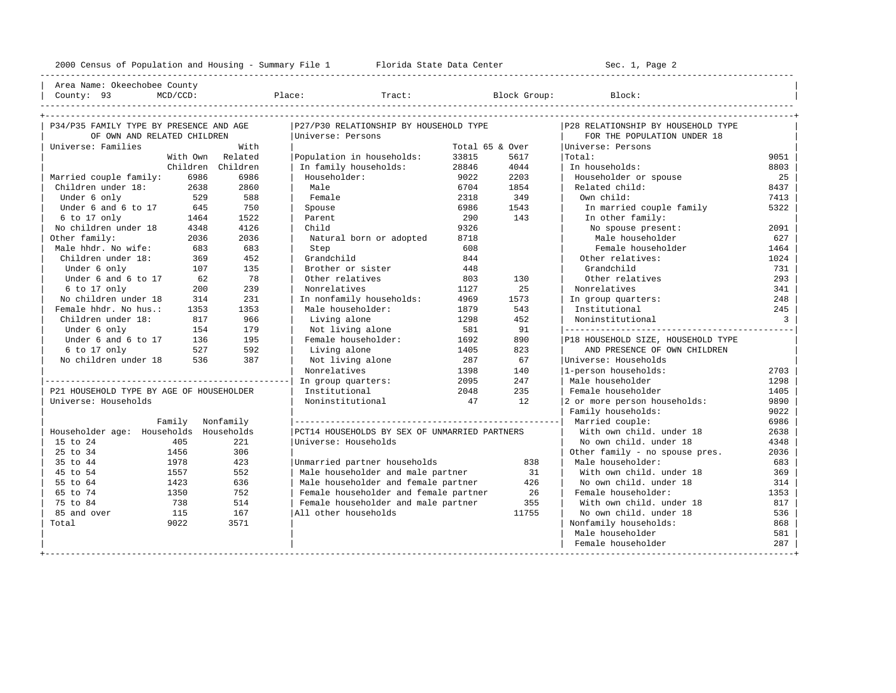---------------------------------------------------------------------------------------------------------------------------------------------------- | Area Name: Okeechobee County | | County: 93 MCD/CCD: Place: Tract: Block Group: Block: | ----------------------------------------------------------------------------------------------------------------------------------------------------

| P34/P35 FAMILY TYPE BY PRESENCE AND AGE  |      |                   | P27/P30 RELATIONSHIP BY HOUSEHOLD TYPE        |                 |       | P28 RELATIONSHIP BY HOUSEHOLD TYPE |                |
|------------------------------------------|------|-------------------|-----------------------------------------------|-----------------|-------|------------------------------------|----------------|
| OF OWN AND RELATED CHILDREN              |      |                   | Universe: Persons                             |                 |       | FOR THE POPULATION UNDER 18        |                |
| Universe: Families                       |      | With              |                                               | Total 65 & Over |       | Universe: Persons                  |                |
|                                          |      | With Own Related  | Population in households:                     | 33815           | 5617  | Total:                             | 9051           |
|                                          |      | Children Children | In family households:                         | 28846           | 4044  | In households:                     | 8803           |
| Married couple family:                   | 6986 | 6986              | Householder:                                  | 9022            | 2203  | Householder or spouse              | 25             |
| Children under 18:                       | 2638 | 2860              | Male                                          | 6704            | 1854  | Related child:                     | 8437           |
| Under 6 only                             | 529  | 588               | Female                                        | 2318            | 349   | Own child:                         | 7413           |
| Under 6 and 6 to 17                      | 645  | 750               | Spouse                                        | 6986            | 1543  | In married couple family           | 5322           |
| $6$ to 17 only                           | 1464 | 1522              | Parent                                        | 290             | 143   | In other family:                   |                |
| No children under 18                     | 4348 | 4126              | Child                                         | 9326            |       | No spouse present:                 | 2091           |
| Other family:                            | 2036 | 2036              | Natural born or adopted                       | 8718            |       | Male householder                   | 627            |
| Male hhdr. No wife:                      | 683  | 683               | Step                                          | 608             |       | Female householder                 | 1464           |
| Children under 18:                       | 369  | 452               | Grandchild                                    | 844             |       | Other relatives:                   | 1024           |
| Under 6 only                             | 107  | 135               | Brother or sister                             | 448             |       | Grandchild                         | 731            |
| Under 6 and 6 to 17                      | 62   | 78                | Other relatives                               | 803             | 130   | Other relatives                    | 293            |
| 6 to 17 only                             | 200  | 239               | Nonrelatives                                  | 1127            | 25    | Nonrelatives                       | 341            |
| No children under 18                     | 314  | 231               | In nonfamily households:                      | 4969            | 1573  | In group quarters:                 | 248            |
| Female hhdr. No hus.:                    | 1353 | 1353              | Male householder:                             | 1879            | 543   | Institutional                      | 245            |
| Children under 18:                       | 817  | 966               | Living alone                                  | 1298            | 452   | Noninstitutional                   | $\overline{3}$ |
| Under 6 only                             | 154  | 179               | Not living alone                              | 581             | 91    |                                    |                |
| Under 6 and 6 to 17                      | 136  | 195               | Female householder:                           | 1692            | 890   | P18 HOUSEHOLD SIZE, HOUSEHOLD TYPE |                |
| 6 to 17 only                             | 527  | 592               | Living alone                                  | 1405            | 823   | AND PRESENCE OF OWN CHILDREN       |                |
| No children under 18                     | 536  | 387               | Not living alone                              | 287             | 67    | Universe: Households               |                |
|                                          |      |                   | Nonrelatives                                  | 1398            | 140   | 1-person households:               | 2703           |
|                                          |      |                   | In group quarters:                            | 2095            | 247   | Male householder                   | 1298           |
| P21 HOUSEHOLD TYPE BY AGE OF HOUSEHOLDER |      |                   | Institutional                                 | 2048            | 235   | Female householder                 | 1405           |
| Universe: Households                     |      |                   | Noninstitutional                              | 47              | 12    | 2 or more person households:       | 9890           |
|                                          |      |                   |                                               |                 |       | Family households:                 | 9022           |
|                                          |      | Family Nonfamily  |                                               |                 |       | Married couple:                    | 6986           |
| Householder age: Households Households   |      |                   | PCT14 HOUSEHOLDS BY SEX OF UNMARRIED PARTNERS |                 |       | With own child, under 18           | 2638           |
| 405<br>15 to 24                          |      | 2.2.1             | Universe: Households                          |                 |       | No own child, under 18             | 4348           |
| 25 to 34<br>1456                         |      | 306               |                                               |                 |       | Other family - no spouse pres.     | 2036           |
| 35 to 44<br>1978                         |      | 423               | Unmarried partner households                  |                 | 838   | Male householder:                  | 683            |
| 45 to 54<br>1557                         |      | 552               | Male householder and male partner             |                 | 31    | With own child, under 18           | 369            |
| 55 to 64<br>1423                         |      | 636               | Male householder and female partner           |                 | 426   | No own child, under 18             | 314            |
| 65 to 74<br>1350                         |      | 752               | Female householder and female partner         |                 | 26    | Female householder:                | 1353           |
| 75 to 84<br>738                          |      | 514               | Female householder and male partner           |                 | 355   | With own child, under 18           | 817            |
| 85 and over<br>115                       |      | 167               | All other households                          |                 | 11755 | No own child, under 18             | 536            |
| Total<br>9022                            |      | 3571              |                                               |                 |       | Nonfamily households:              | 868            |
|                                          |      |                   |                                               |                 |       | Male householder                   | 581            |
|                                          |      |                   |                                               |                 |       | Female householder                 | 287            |
|                                          |      |                   |                                               |                 |       |                                    |                |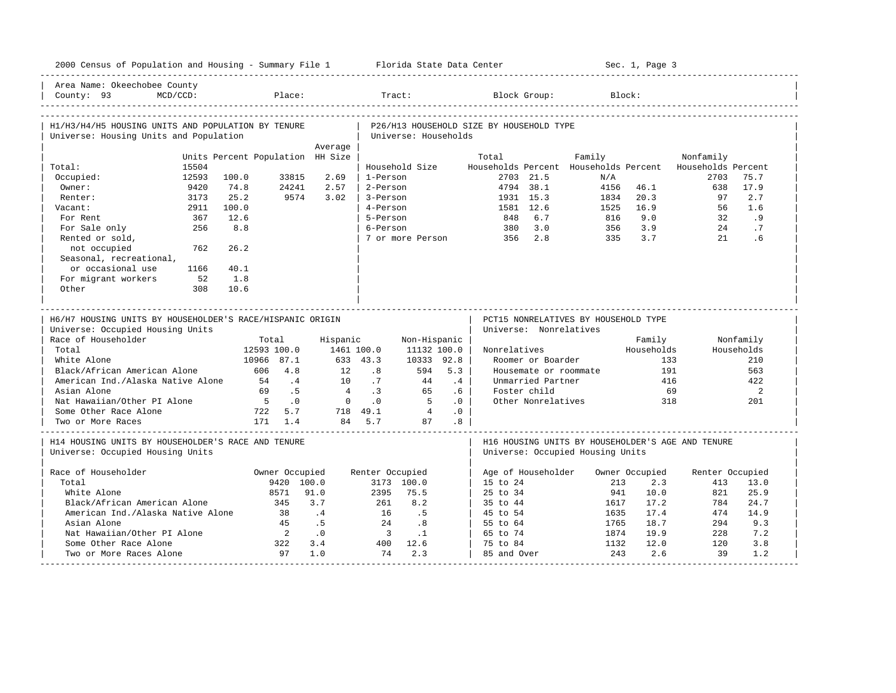|                                                                                                                                                               |             |                                  |                                                                                         |                                              |                                                               |                                                                                       | 2000 Census of Population and Housing - Summary File 1 Florida State Data Center             |                                                                                                       |                                                                                       | Sec. 1, Page 3                         |                    |                                                          |
|---------------------------------------------------------------------------------------------------------------------------------------------------------------|-------------|----------------------------------|-----------------------------------------------------------------------------------------|----------------------------------------------|---------------------------------------------------------------|---------------------------------------------------------------------------------------|----------------------------------------------------------------------------------------------|-------------------------------------------------------------------------------------------------------|---------------------------------------------------------------------------------------|----------------------------------------|--------------------|----------------------------------------------------------|
| Area Name: Okeechobee County<br>County: 93                                                                                                                    | $MCD/CCD$ : |                                  | Place:                                                                                  |                                              | Tract:                                                        |                                                                                       |                                                                                              | Block Group:                                                                                          |                                                                                       | Block:                                 |                    |                                                          |
| H1/H3/H4/H5 HOUSING UNITS AND POPULATION BY TENURE<br>Universe: Housing Units and Population                                                                  |             |                                  |                                                                                         |                                              |                                                               | Universe: Households                                                                  | P26/H13 HOUSEHOLD SIZE BY HOUSEHOLD TYPE                                                     |                                                                                                       |                                                                                       |                                        |                    |                                                          |
|                                                                                                                                                               |             |                                  |                                                                                         | Average                                      |                                                               |                                                                                       |                                                                                              |                                                                                                       |                                                                                       |                                        |                    |                                                          |
|                                                                                                                                                               |             | Units Percent Population HH Size |                                                                                         |                                              |                                                               |                                                                                       | Total                                                                                        |                                                                                                       | Family                                                                                |                                        | Nonfamily          |                                                          |
| Total:                                                                                                                                                        | 15504       |                                  |                                                                                         |                                              |                                                               | Household Size                                                                        |                                                                                              |                                                                                                       | Households Percent Households Percent                                                 |                                        | Households Percent |                                                          |
| Occupied:                                                                                                                                                     | 12593       | 100.0                            | 33815                                                                                   | 2.69                                         | 1-Person                                                      |                                                                                       |                                                                                              | 2703 21.5                                                                                             | N/A                                                                                   |                                        | 2703               | 75.7                                                     |
| Owner:                                                                                                                                                        | 9420        | 74.8                             | 24241                                                                                   | 2.57                                         | 2-Person                                                      |                                                                                       |                                                                                              | 4794 38.1                                                                                             | 4156                                                                                  | 46.1                                   | 638                | 17.9                                                     |
| Renter:                                                                                                                                                       | 3173        | 25.2                             | 9574                                                                                    | 3.02                                         | 3-Person                                                      |                                                                                       |                                                                                              | 1931 15.3                                                                                             | 1834                                                                                  | 20.3                                   | 97                 | 2.7                                                      |
| Vacant:                                                                                                                                                       | 2911        | 100.0                            |                                                                                         |                                              | 4-Person                                                      |                                                                                       |                                                                                              | 1581 12.6                                                                                             | 1525                                                                                  | 16.9                                   | 56                 | 1.6                                                      |
| For Rent                                                                                                                                                      | 367         | 12.6                             |                                                                                         |                                              | 5-Person                                                      |                                                                                       |                                                                                              | 848 6.7                                                                                               | 816                                                                                   | 9.0                                    | 32                 | .9                                                       |
| For Sale only                                                                                                                                                 | 256         | 8.8                              |                                                                                         |                                              | 6-Person                                                      |                                                                                       |                                                                                              | 380 3.0                                                                                               | 356                                                                                   | 3.9                                    | 24                 | .7                                                       |
| Rented or sold,                                                                                                                                               |             |                                  |                                                                                         |                                              |                                                               |                                                                                       | 7 or more Person 356 2.8                                                                     |                                                                                                       | 335                                                                                   | 3.7                                    | 21                 | .6                                                       |
| not occupied                                                                                                                                                  | 762         | 26.2                             |                                                                                         |                                              |                                                               |                                                                                       |                                                                                              |                                                                                                       |                                                                                       |                                        |                    |                                                          |
| Seasonal, recreational,                                                                                                                                       |             |                                  |                                                                                         |                                              |                                                               |                                                                                       |                                                                                              |                                                                                                       |                                                                                       |                                        |                    |                                                          |
| or occasional use                                                                                                                                             | 1166        | 40.1                             |                                                                                         |                                              |                                                               |                                                                                       |                                                                                              |                                                                                                       |                                                                                       |                                        |                    |                                                          |
| For migrant workers                                                                                                                                           | 52          | 1.8                              |                                                                                         |                                              |                                                               |                                                                                       |                                                                                              |                                                                                                       |                                                                                       |                                        |                    |                                                          |
| Other                                                                                                                                                         | 308         | 10.6                             |                                                                                         |                                              |                                                               |                                                                                       |                                                                                              |                                                                                                       |                                                                                       |                                        |                    |                                                          |
| Universe: Occupied Housing Units<br>Race of Householder<br>Total<br>White Alone                                                                               |             |                                  | Total<br>12593 100.0                                                                    | Hispanic<br>1461 100.0                       |                                                               | Non-Hispanic                                                                          |                                                                                              | Universe: Nonrelatives                                                                                |                                                                                       | Family                                 |                    | Nonfamily                                                |
| Black/African American Alone<br>American Ind./Alaska Native Alone<br>Asian Alone<br>Nat Hawaiian/Other PI Alone<br>Some Other Race Alone<br>Two or More Races |             | 54<br>69<br>5 <sub>5</sub>       | 10966 87.1<br>606 4.8<br>$\overline{4}$<br>.5<br>$\overline{0}$ .<br>722 5.7<br>171 1.4 | 12<br>10<br>$\overline{4}$<br>$\overline{0}$ | 633 43.3<br>.8<br>.7<br>.3<br>$\cdot$ 0<br>718 49.1<br>84 5.7 | 11132 100.0  <br>10333 92.8<br>594<br>44<br>65<br>$5^{\circ}$<br>$\overline{4}$<br>87 | Nonrelatives<br>5.3<br>.4<br>$.6-1$<br>.0 <sub>1</sub><br>.0 <sub>1</sub><br>.8 <sub>0</sub> | Roomer or Boarder<br>Housemate or roommate<br>Unmarried Partner<br>Foster child<br>Other Nonrelatives |                                                                                       | Households<br>133<br>191<br>416<br>318 | 69                 | Households<br>210<br>563<br>422<br>$\overline{a}$<br>201 |
| H14 HOUSING UNITS BY HOUSEHOLDER'S RACE AND TENURE<br>Universe: Occupied Housing Units                                                                        |             |                                  |                                                                                         |                                              |                                                               |                                                                                       |                                                                                              |                                                                                                       | H16 HOUSING UNITS BY HOUSEHOLDER'S AGE AND TENURE<br>Universe: Occupied Housing Units |                                        |                    |                                                          |
|                                                                                                                                                               |             |                                  | Owner Occupied                                                                          |                                              | Renter Occupied                                               |                                                                                       |                                                                                              | Age of Householder                                                                                    |                                                                                       | Owner Occupied                         | Renter Occupied    |                                                          |
| Total                                                                                                                                                         |             |                                  | 9420 100.0                                                                              |                                              |                                                               | 3173 100.0                                                                            | 15 to 24                                                                                     |                                                                                                       | 213                                                                                   | 2.3                                    | 413                | 13.0                                                     |
| White Alone                                                                                                                                                   |             |                                  | 8571                                                                                    | 91.0                                         | 2395                                                          | 75.5                                                                                  | 25 to 34                                                                                     |                                                                                                       | 941                                                                                   | 10.0                                   | 821                | 25.9                                                     |
| Black/African American Alone                                                                                                                                  |             |                                  | 345                                                                                     | 3.7                                          | 261                                                           | 8.2                                                                                   | 35 to 44                                                                                     |                                                                                                       | 1617                                                                                  | 17.2                                   | 784                | 24.7                                                     |
| American Ind./Alaska Native Alone                                                                                                                             |             |                                  | 38                                                                                      | .4                                           | 16                                                            | .5                                                                                    | 45 to 54                                                                                     |                                                                                                       | 1635                                                                                  | 17.4                                   | 474                | 14.9                                                     |
| Race of Householder<br>Asian Alone                                                                                                                            |             |                                  | 45                                                                                      | .5                                           | 24                                                            |                                                                                       | 55 to 64                                                                                     |                                                                                                       | 1765                                                                                  | 18.7                                   | 294                | 9.3                                                      |
| Nat Hawaiian/Other PI Alone                                                                                                                                   |             |                                  | $\overline{2}$                                                                          | .0                                           | $\overline{\mathbf{3}}$                                       | $\overline{\phantom{0}}$ .8<br>$\cdot$ 1                                              | 65 to 74                                                                                     |                                                                                                       | 1874                                                                                  | 19.9                                   | 228                | 7.2                                                      |
| Some Other Race Alone                                                                                                                                         |             |                                  | 322                                                                                     | 3.4                                          | 400                                                           | 12.6                                                                                  | 75 to 84                                                                                     |                                                                                                       | 1132                                                                                  | 12.0                                   | 120                | 3.8                                                      |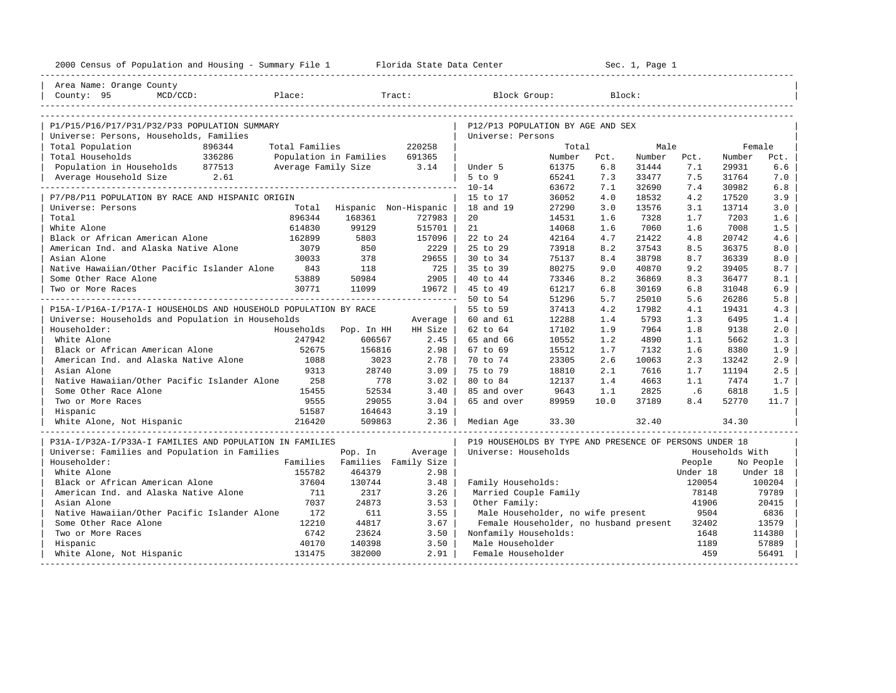| 2000 Census of Population and Housing - Summary File 1 Florida State Data Center |                |                          |         |                                                         | ---------------------- |      | Sec. 1, Page 1 |          |                 |           |
|----------------------------------------------------------------------------------|----------------|--------------------------|---------|---------------------------------------------------------|------------------------|------|----------------|----------|-----------------|-----------|
| Area Name: Orange County                                                         |                |                          |         |                                                         |                        |      |                |          |                 |           |
| County: 95<br>$MCD/CCD$ :                                                        | Place:         |                          | Tract:  | Block Group:                                            |                        |      | Block:         |          |                 |           |
|                                                                                  |                |                          |         |                                                         |                        |      |                |          |                 |           |
| P1/P15/P16/P17/P31/P32/P33 POPULATION SUMMARY                                    |                |                          |         | P12/P13 POPULATION BY AGE AND SEX                       |                        |      |                |          |                 |           |
| Universe: Persons, Households, Families                                          |                |                          |         | Universe: Persons                                       |                        |      |                |          |                 |           |
| Total Population<br>896344                                                       | Total Families |                          | 220258  |                                                         | Total                  |      | Male           |          | Female          |           |
| 336286<br>Total Households                                                       |                | Population in Families   | 691365  |                                                         | Number                 | Pct. | Number         | Pct.     | Number          | Pct.      |
| Population in Households 877513                                                  |                | Average Family Size 3.14 |         | Under 5                                                 | 61375                  | 6.8  | 31444          | 7.1      | 29931           | $6.6$     |
| Average Household Size 2.61                                                      |                |                          |         | $5$ to $9$                                              | 65241                  | 7.3  | 33477          | 7.5      | 31764           | 7.0       |
|                                                                                  |                |                          |         | $10 - 14$                                               | 63672                  | 7.1  | 32690          | 7.4      | 30982           | 6.8       |
| P7/P8/P11 POPULATION BY RACE AND HISPANIC ORIGIN                                 |                |                          |         | 15 to 17                                                | 36052                  | 4.0  | 18532          | 4.2      | 17520           | 3.9       |
| Universe: Persons                                                                | Total          | Hispanic Non-Hispanic    |         | 18 and 19                                               | 27290                  | 3.0  | 13576          | 3.1      | 13714           | 3.0       |
| Total                                                                            | 896344         | 168361                   | 727983  | 20                                                      | 14531                  | 1.6  | 7328           | 1.7      | 7203            | 1.6       |
| White Alone                                                                      | 614830         | 99129                    | 515701  | 21                                                      | 14068                  | 1.6  | 7060           | 1.6      | 7008            | 1.5       |
| Black or African American Alone                                                  | 162899         | 5803                     | 157096  | 22 to 24                                                | 42164                  | 4.7  | 21422          | 4.8      | 20742           | 4.6       |
| American Ind. and Alaska Native Alone                                            | 3079           | 850                      | 2229    | 25 to 29                                                | 73918                  | 8.2  | 37543          | 8.5      | 36375           | 8.0       |
| Asian Alone                                                                      | 30033          | 378                      | 29655   | 30 to 34                                                | 75137                  | 8.4  | 38798          | 8.7      | 36339           | 8.0       |
| Native Hawaiian/Other Pacific Islander Alone                                     | 843            | 118                      | 725     | 35 to 39                                                | 80275                  | 9.0  | 40870          | 9.2      | 39405           | 8.7       |
| Some Other Race Alone                                                            | 53889          | 50984                    | 2905    | 40 to 44                                                | 73346                  | 8.2  | 36869          | 8.3      | 36477           | 8.1       |
| Two or More Races                                                                | 30771          | 11099                    | 19672   | 45 to 49                                                | 61217                  | 6.8  | 30169          | 6.8      | 31048           | 6.9       |
|                                                                                  |                |                          |         | 50 to 54                                                | 51296                  | 5.7  | 25010          | 5.6      | 26286           | 5.8       |
| P15A-I/P16A-I/P17A-I HOUSEHOLDS AND HOUSEHOLD POPULATION BY RACE                 |                |                          |         | 55 to 59                                                | 37413                  | 4.2  | 17982          | 4.1      | 19431           | 4.3       |
| Universe: Households and Population in Households                                |                |                          | Average | 60 and 61                                               | 12288                  | 1.4  | 5793           | 1.3      | 6495            | 1.4       |
| Householder:                                                                     | Households     | Pop. In HH               | HH Size | 62 to 64                                                | 17102                  | 1.9  | 7964           | 1.8      | 9138            | 2.0       |
| White Alone                                                                      | 247942         | 606567                   | 2.45    | 65 and 66                                               | 10552                  | 1.2  | 4890           | 1.1      | 5662            | 1.3       |
| Black or African American Alone                                                  | 52675          | 156816                   | 2.98    | 67 to 69                                                | 15512                  | 1.7  | 7132           | 1.6      | 8380            | 1.9       |
| American Ind. and Alaska Native Alone                                            | 1088           | 3023                     | 2.78    | 70 to 74                                                | 23305                  | 2.6  | 10063          | 2.3      | 13242           | 2.9       |
| Asian Alone                                                                      | 9313           | 28740                    | 3.09    | 75 to 79                                                | 18810                  | 2.1  | 7616           | 1.7      | 11194           | 2.5       |
| Native Hawaiian/Other Pacific Islander Alone                                     | 258            | 778                      | 3.02    | 80 to 84                                                | 12137                  | 1.4  | 4663           | 1.1      | 7474            | 1.7       |
| Some Other Race Alone                                                            | 15455          | 52534                    | 3.40    | 85 and over                                             | 9643                   | 1.1  | 2825           | .6       | 6818            | 1.5       |
| Two or More Races                                                                | 9555           | 29055                    | 3.04    | 65 and over                                             | 89959                  | 10.0 | 37189          | 8.4      | 52770           | 11.7      |
| Hispanic                                                                         | 51587          | 164643                   | 3.19    |                                                         |                        |      |                |          |                 |           |
| White Alone, Not Hispanic                                                        | 216420         | 509863                   | 2.36    | Median Age                                              | 33.30                  |      | 32.40          |          | 34.30           |           |
| P31A-I/P32A-I/P33A-I FAMILIES AND POPULATION IN FAMILIES                         |                |                          |         | P19 HOUSEHOLDS BY TYPE AND PRESENCE OF PERSONS UNDER 18 |                        |      |                |          |                 |           |
| Universe: Families and Population in Families                                    |                | Pop. In                  | Average | Universe: Households                                    |                        |      |                |          | Households With |           |
| Householder:                                                                     | Families       | Families Family Size     |         |                                                         |                        |      |                | People   |                 | No People |
| White Alone                                                                      | 155782         | 464379                   | 2.98    |                                                         |                        |      |                | Under 18 |                 | Under 18  |
| Black or African American Alone                                                  | 37604          | 130744                   | 3.48    | Family Households:                                      |                        |      |                | 120054   |                 | 100204    |
| American Ind. and Alaska Native Alone                                            | 711            | 2317                     | 3.26    | Married Couple Family                                   |                        |      |                | 78148    |                 | 79789     |
| Asian Alone                                                                      | 7037           | 24873                    | 3.53    | Other Family:                                           |                        |      |                | 41906    |                 | 20415     |
| Native Hawaiian/Other Pacific Islander Alone                                     | 172            | 611                      | 3.55    | Male Householder, no wife present                       |                        |      |                | 9504     |                 | 6836      |
| Some Other Race Alone                                                            | 12210          | 44817                    | 3.67    | Female Householder, no husband present                  |                        |      |                | 32402    |                 | 13579     |
| Two or More Races                                                                | 6742           | 23624                    | 3.50    | Nonfamily Households:                                   |                        |      |                | 1648     |                 | 114380    |
| Hispanic                                                                         | 40170          | 140398                   | 3.50    | Male Householder                                        |                        |      |                | 1189     |                 | 57889     |
| White Alone, Not Hispanic                                                        | 131475         | 382000                   | 2.91    | Female Householder                                      |                        |      |                | 459      |                 | 56491     |
|                                                                                  |                |                          |         |                                                         |                        |      |                |          |                 |           |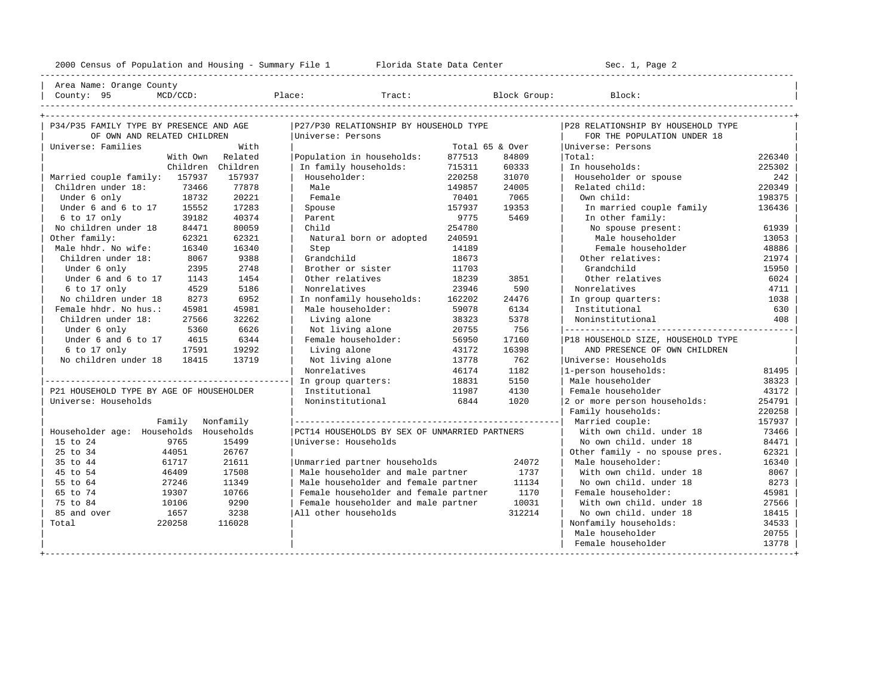----------------------------------------------------------------------------------------------------------------------------------------------------

| Area Name: Orange County |

| County: 95                               | $MCD/CCD$ :                 |              | Place:                    | Tract:                                        |        | Block Group:    | Block:                             |        |
|------------------------------------------|-----------------------------|--------------|---------------------------|-----------------------------------------------|--------|-----------------|------------------------------------|--------|
|                                          |                             |              |                           |                                               |        |                 |                                    |        |
| P34/P35 FAMILY TYPE BY PRESENCE AND AGE  |                             |              |                           | P27/P30 RELATIONSHIP BY HOUSEHOLD TYPE        |        |                 | P28 RELATIONSHIP BY HOUSEHOLD TYPE |        |
|                                          | OF OWN AND RELATED CHILDREN |              | Universe: Persons         |                                               |        |                 | FOR THE POPULATION UNDER 18        |        |
| Universe: Families                       |                             | With         |                           |                                               |        | Total 65 & Over | Universe: Persons                  |        |
|                                          | With Own                    | Related      | Population in households: |                                               | 877513 | 84809           | Total:                             | 226340 |
|                                          | Children                    | Children     | In family households:     |                                               | 715311 | 60333           | In households:                     | 225302 |
| Married couple family:                   | 157937                      | 157937       | Householder:              |                                               | 220258 | 31070           | Householder or spouse              | 242    |
| Children under 18:                       | 73466                       | 77878        | Male                      |                                               | 149857 | 24005           | Related child:                     | 220349 |
| Under 6 only                             | 18732                       | 20221        | Female                    |                                               | 70401  | 7065            | Own child:                         | 198375 |
| Under 6 and 6 to 17                      | 15552                       | 17283        | Spouse                    |                                               | 157937 | 19353           | In married couple family           | 136436 |
| 6 to 17 only                             | 39182                       | 40374        | Parent                    |                                               | 9775   | 5469            | In other family:                   |        |
| No children under 18                     | 84471                       | 80059        | Child                     |                                               | 254780 |                 | No spouse present:                 | 61939  |
| Other family:                            | 62321                       | 62321        |                           | Natural born or adopted                       | 240591 |                 | Male householder                   | 13053  |
| Male hhdr. No wife:                      | 16340                       | 16340        | Step                      |                                               | 14189  |                 | Female householder                 | 48886  |
| Children under 18:                       | 8067                        | 9388         | Grandchild                |                                               | 18673  |                 | Other relatives:                   | 21974  |
| Under 6 only                             |                             | 2395<br>2748 | Brother or sister         |                                               | 11703  |                 | Grandchild                         | 15950  |
| Under 6 and 6 to 17                      | 1143                        | 1454         | Other relatives           |                                               | 18239  | 3851            | Other relatives                    | 6024   |
| 6 to 17 only                             |                             | 5186<br>4529 | Nonrelatives              |                                               | 23946  | 590             | Nonrelatives                       | 4711   |
| No children under 18                     |                             | 6952<br>8273 | In nonfamily households:  |                                               | 162202 | 24476           | In group quarters:                 | 1038   |
| Female hhdr. No hus.:                    | 45981                       | 45981        | Male householder:         |                                               | 59078  | 6134            | Institutional                      | 630    |
| Children under 18:                       | 27566                       | 32262        | Living alone              |                                               | 38323  | 5378            | Noninstitutional                   | 408    |
| Under 6 only                             | 5360                        | 6626         | Not living alone          |                                               | 20755  | 756             |                                    |        |
| Under 6 and 6 to 17                      | 4615                        | 6344         | Female householder:       |                                               | 56950  | 17160           | P18 HOUSEHOLD SIZE, HOUSEHOLD TYPE |        |
| 6 to 17 only                             | 17591                       | 19292        | Living alone              |                                               | 43172  | 16398           | AND PRESENCE OF OWN CHILDREN       |        |
| No children under 18                     | 18415                       | 13719        | Not living alone          |                                               | 13778  | 762             | Universe: Households               |        |
|                                          |                             |              | Nonrelatives              |                                               | 46174  | 1182            | 1-person households:               | 81495  |
|                                          |                             |              | In group quarters:        |                                               | 18831  | 5150            | Male householder                   | 38323  |
| P21 HOUSEHOLD TYPE BY AGE OF HOUSEHOLDER |                             |              | Institutional             |                                               | 11987  | 4130            | Female householder                 | 43172  |
| Universe: Households                     |                             |              | Noninstitutional          |                                               | 6844   | 1020            | 2 or more person households:       | 254791 |
|                                          |                             |              |                           |                                               |        |                 | Family households:                 | 220258 |
|                                          | Family                      | Nonfamily    |                           |                                               |        |                 | Married couple:                    | 157937 |
| Householder age: Households Households   |                             |              |                           | PCT14 HOUSEHOLDS BY SEX OF UNMARRIED PARTNERS |        |                 | With own child, under 18           | 73466  |
| 15 to 24                                 | 9765                        | 15499        | Universe: Households      |                                               |        |                 | No own child. under 18             | 84471  |
| 25 to 34                                 | 44051                       | 26767        |                           |                                               |        |                 | Other family - no spouse pres.     | 62321  |
| 35 to 44                                 | 61717                       | 21611        |                           | Unmarried partner households                  |        | 24072           | Male householder:                  | 16340  |
| 45 to 54                                 | 46409                       | 17508        |                           | Male householder and male partner             |        | 1737            | With own child, under 18           | 8067   |
| 55 to 64                                 | 27246                       | 11349        |                           | Male householder and female partner           |        | 11134           | No own child. under 18             | 8273   |
| 65 to 74                                 | 19307                       | 10766        |                           | Female householder and female partner         |        | 1170            | Female householder:                | 45981  |
| 75 to 84                                 | 10106                       | 9290         |                           | Female householder and male partner           |        | 10031           | With own child, under 18           | 27566  |
| 85 and over                              | 1657                        | 3238         | All other households      |                                               |        | 312214          | No own child, under 18             | 18415  |
| Total                                    | 220258                      | 116028       |                           |                                               |        |                 | Nonfamily households:              | 34533  |
|                                          |                             |              |                           |                                               |        |                 | Male householder                   | 20755  |
|                                          |                             |              |                           |                                               |        |                 | Female householder                 | 13778  |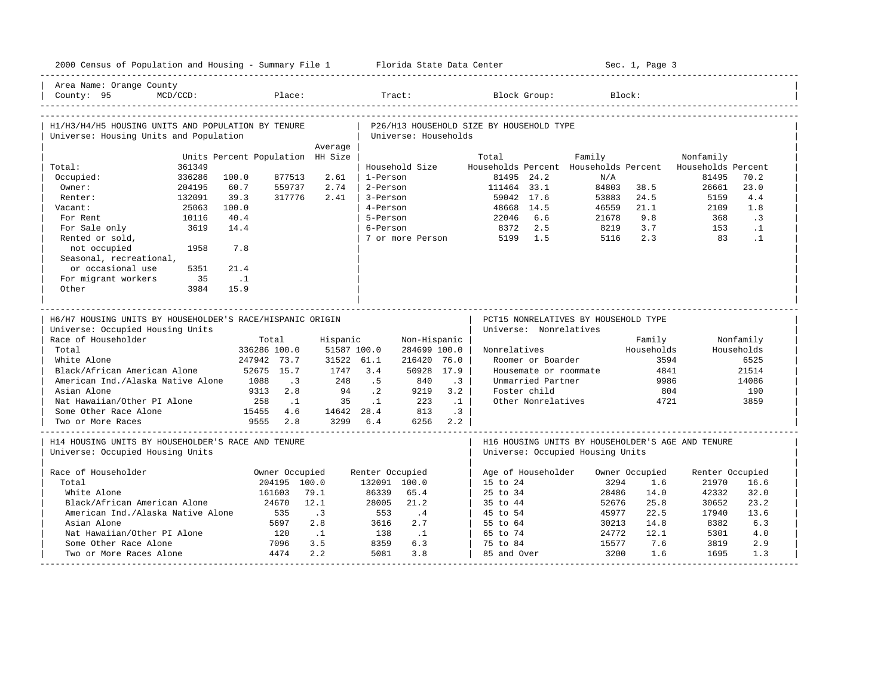| 2000 Census of Population and Housing - Summary File 1 Florida State Data Center |                                  |                  |                                      |                       |                                          |                        |                                                          | Sec. 1, Page 3 |                 |              |
|----------------------------------------------------------------------------------|----------------------------------|------------------|--------------------------------------|-----------------------|------------------------------------------|------------------------|----------------------------------------------------------|----------------|-----------------|--------------|
| Area Name: Orange County<br>$MCD/CCD$ :<br>County: 95                            |                                  | Place:           |                                      | Tract:                |                                          | Block Group:           | Block:                                                   |                |                 |              |
| H1/H3/H4/H5 HOUSING UNITS AND POPULATION BY TENURE                               |                                  |                  |                                      |                       | P26/H13 HOUSEHOLD SIZE BY HOUSEHOLD TYPE |                        |                                                          |                |                 |              |
| Universe: Housing Units and Population                                           |                                  |                  |                                      | Universe: Households  |                                          |                        |                                                          |                |                 |              |
|                                                                                  |                                  | Average          |                                      |                       |                                          |                        |                                                          |                |                 |              |
|                                                                                  | Units Percent Population HH Size |                  |                                      |                       | Total                                    |                        | Family                                                   |                | Nonfamily       |              |
| 361349<br>Total:                                                                 |                                  |                  |                                      | Household Size        |                                          |                        | Households Percent Households Percent Households Percent |                |                 |              |
| Occupied:<br>336286<br>Owner:<br>204195                                          | 100.0<br>60.7                    | 877513<br>559737 | 2.61<br>1-Person<br>2.74<br>2-Person |                       | 81495 24.2<br>111464 33.1                |                        | N/A<br>84803                                             | 38.5           | 81495<br>26661  | 70.2<br>23.0 |
| 132091<br>Renter:                                                                | 39.3                             | 317776           | 2.41<br>3-Person                     |                       | 59042 17.6                               |                        | 53883                                                    | 24.5           | 5159            | 4.4          |
| 25063<br>Vacant:                                                                 | 100.0                            |                  | 4-Person                             |                       | 48668 14.5                               |                        | 46559                                                    | 21.1           | 2109            | 1.8          |
| 10116<br>For Rent                                                                | 40.4                             |                  | 5-Person                             |                       | 22046                                    | 6.6                    | 21678                                                    | 9.8            | 368             | $\cdot$ 3    |
| 3619<br>For Sale only                                                            | 14.4                             |                  | 6-Person                             |                       | 8372                                     | 2.5                    | 8219                                                     | 3.7            | 153             | $\cdot$ 1    |
| Rented or sold,                                                                  |                                  |                  |                                      | 7 or more Person      | 5199                                     | 1.5                    | 5116                                                     | 2.3            | 83              | $\cdot$ 1    |
| not occupied<br>1958                                                             | 7.8                              |                  |                                      |                       |                                          |                        |                                                          |                |                 |              |
| Seasonal, recreational,                                                          |                                  |                  |                                      |                       |                                          |                        |                                                          |                |                 |              |
| or occasional use<br>5351                                                        | 21.4                             |                  |                                      |                       |                                          |                        |                                                          |                |                 |              |
| For migrant workers<br>35                                                        | $\ldots$ 1                       |                  |                                      |                       |                                          |                        |                                                          |                |                 |              |
| Other<br>3984                                                                    | 15.9                             |                  |                                      |                       |                                          |                        |                                                          |                |                 |              |
|                                                                                  |                                  |                  |                                      |                       |                                          |                        |                                                          |                |                 |              |
|                                                                                  |                                  |                  |                                      |                       |                                          |                        |                                                          |                |                 |              |
|                                                                                  |                                  |                  |                                      |                       |                                          |                        |                                                          |                |                 |              |
| H6/H7 HOUSING UNITS BY HOUSEHOLDER'S RACE/HISPANIC ORIGIN                        |                                  |                  |                                      |                       |                                          |                        | PCT15 NONRELATIVES BY HOUSEHOLD TYPE                     |                |                 |              |
| Universe: Occupied Housing Units                                                 |                                  |                  |                                      |                       |                                          | Universe: Nonrelatives |                                                          |                |                 |              |
| Race of Householder                                                              | Total                            |                  | Hispanic                             | Non-Hispanic          |                                          |                        |                                                          | Family         |                 | Nonfamily    |
| Total                                                                            | 336286 100.0                     |                  | 51587 100.0                          | 284699 100.0          | Nonrelatives                             |                        |                                                          | Households     |                 | Households   |
| White Alone                                                                      | 247942 73.7                      |                  | 31522 61.1                           | 216420 76.0           |                                          | Roomer or Boarder      |                                                          | 3594           |                 | 6525         |
| Black/African American Alone                                                     | 52675 15.7                       |                  | 3.4<br>1747                          | 50928 17.9            |                                          | Housemate or roommate  |                                                          | 4841           |                 | 21514        |
| American Ind./Alaska Native Alone                                                | 1088                             | $\cdot$ 3        | 248<br>.5                            | 840                   | $\overline{3}$                           | Unmarried Partner      |                                                          | 9986           |                 | 14086        |
| Asian Alone                                                                      | 9313                             | 2.8              | $\cdot$ 2<br>94                      | 9219<br>3.2           |                                          | Foster child           |                                                          | 804            |                 | 190          |
| Nat Hawaiian/Other PI Alone                                                      | 258                              | $\ldots$ 1       | 35<br>$\cdot$ 1                      | 223<br>$\ldots$ 1     |                                          | Other Nonrelatives     |                                                          | 4721           |                 | 3859         |
| Some Other Race Alone<br>Two or More Races                                       | 15455<br>9555                    | 4.6<br>2.8       | 14642 28.4 813<br>3299 6.4           | $\cdot$ 3<br>6256 2.2 |                                          |                        |                                                          |                |                 |              |
|                                                                                  |                                  |                  |                                      |                       |                                          |                        |                                                          |                |                 |              |
| H14 HOUSING UNITS BY HOUSEHOLDER'S RACE AND TENURE                               |                                  |                  |                                      |                       |                                          |                        | H16 HOUSING UNITS BY HOUSEHOLDER'S AGE AND TENURE        |                |                 |              |
| Universe: Occupied Housing Units                                                 |                                  |                  |                                      |                       |                                          |                        | Universe: Occupied Housing Units                         |                |                 |              |
|                                                                                  |                                  |                  |                                      |                       |                                          |                        |                                                          |                |                 |              |
| Race of Householder                                                              |                                  | Owner Occupied   | Renter Occupied                      |                       |                                          | Age of Householder     |                                                          | Owner Occupied | Renter Occupied |              |
| Total                                                                            |                                  | 204195 100.0     | 132091 100.0                         |                       | 15 to 24                                 |                        | 3294                                                     | 1.6            | 21970           | 16.6         |
| White Alone                                                                      | 161603                           | 79.1             | 86339                                | 65.4                  | 25 to 34                                 |                        | 28486                                                    | 14.0           | 42332           | 32.0         |
| Black/African American Alone                                                     | 24670                            | 12.1             | 28005                                | 21.2                  | 35 to 44                                 |                        | 52676                                                    | 25.8           | 30652           | 23.2         |
| American Ind./Alaska Native Alone                                                | 535                              | $\cdot$ 3        | 553                                  | $\cdot$ .4            | 45 to 54                                 |                        | 45977                                                    | 22.5           | 17940           | 13.6         |
| Asian Alone                                                                      | 5697                             | 2.8              | 3616                                 | 2.7                   | 55 to 64                                 |                        | 30213                                                    | 14.8           | 8382            | 6.3          |
| Nat Hawaiian/Other PI Alone                                                      | 120                              | $\cdot$ 1        | 138                                  | $\cdot$ 1             | 65 to 74                                 |                        | 24772                                                    | 12.1           | 5301            | 4.0          |
| Some Other Race Alone<br>Two or More Races Alone                                 | 7096<br>4474                     | 3.5<br>2.2       | 8359<br>5081                         | 6.3<br>3.8            | 75 to 84<br>85 and Over                  |                        | 15577<br>3200                                            | 7.6<br>1.6     | 3819<br>1695    | 2.9<br>1.3   |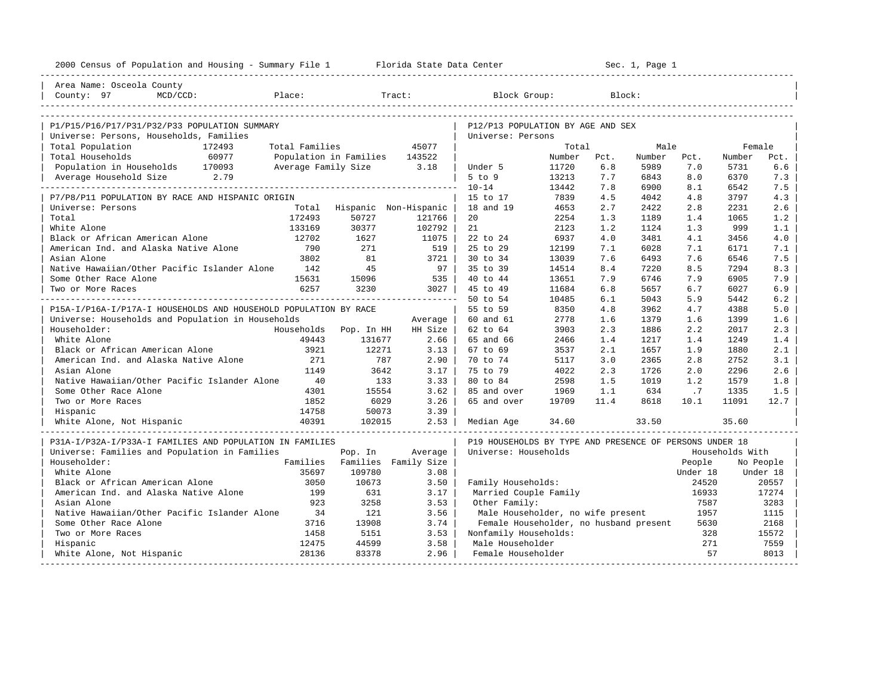| 2000 Census of Population and Housing - Summary File 1 Florida State Data Center |                |                               |                                       |                                                         |              |            | Sec. 1, Page 1 |            |                 |            |
|----------------------------------------------------------------------------------|----------------|-------------------------------|---------------------------------------|---------------------------------------------------------|--------------|------------|----------------|------------|-----------------|------------|
| Area Name: Osceola County                                                        |                |                               |                                       |                                                         |              |            |                |            |                 |            |
| MCD/CCD:<br>Place:<br>County: 97                                                 |                |                               | Tract:                                | Block Group:                                            |              | Block:     |                |            |                 |            |
|                                                                                  |                |                               |                                       |                                                         |              |            |                |            |                 |            |
| P1/P15/P16/P17/P31/P32/P33 POPULATION SUMMARY                                    |                |                               |                                       | P12/P13 POPULATION BY AGE AND SEX                       |              |            |                |            |                 |            |
| Universe: Persons, Households, Families                                          |                |                               |                                       | Universe: Persons                                       |              |            |                |            |                 |            |
| Total Population<br>172493                                                       | Total Families |                               | 45077                                 |                                                         | Total        |            | Male           |            | Female          |            |
| Total Households<br>60977                                                        |                | Population in Families 143522 |                                       |                                                         | Number       | Pct.       | Number         | Pct.       | Number          | Pct.       |
| Population in Households 170093                                                  |                | Average Family Size 3.18      |                                       | Under 5                                                 | 11720        | 6.8        | 5989           | 7.0        | 5731            | 6.6        |
| Average Household Size 2.79                                                      |                |                               |                                       | $5$ to $9$                                              | 13213        | 7.7        | 6843           | 8.0        | 6370            | 7.3        |
|                                                                                  |                |                               |                                       | $10 - 14$                                               | 13442        | 7.8        | 6900           | 8.1        | 6542            | 7.5        |
| P7/P8/P11 POPULATION BY RACE AND HISPANIC ORIGIN                                 |                |                               |                                       | 15 to 17<br>18 and 19                                   | 7839<br>4653 | 4.5<br>2.7 | 4042           | 4.8<br>2.8 | 3797<br>2231    | 4.3<br>2.6 |
| Universe: Persons<br>Total                                                       | 172493         | 50727                         | Total Hispanic Non-Hispanic<br>121766 | 20                                                      | 2254         | 1.3        | 2422<br>1189   | 1.4        | 1065            | 1.2        |
| White Alone                                                                      | 133169         | 30377                         | 102792                                | 21                                                      | 2123         | 1.2        | 1124           | 1.3        | 999             | 1.1        |
| Black or African American Alone                                                  | 12702          | 1627                          | 11075                                 | 22 to 24                                                | 6937         | 4.0        | 3481           | 4.1        | 3456            | 4.0        |
| American Ind. and Alaska Native Alone                                            | 790            | 271                           | 519                                   | 25 to 29                                                | 12199        | 7.1        | 6028           | 7.1        | 6171            | 7.1        |
| Asian Alone                                                                      | 3802           | 81                            | $3721$                                | 30 to 34                                                | 13039        | 7.6        | 6493           | 7.6        | 6546            | 7.5        |
| Native Hawaiian/Other Pacific Islander Alone                                     | 142            | 45                            | $97 \mid$                             | 35 to 39                                                | 14514        | 8.4        | 7220           | 8.5        | 7294            | 8.3        |
| Some Other Race Alone                                                            | 15631          | 15096                         | 535                                   | 40 to 44                                                | 13651        | 7.9        | 6746           | 7.9        | 6905            | 7.9        |
| Two or More Races                                                                | 6257           | 3230                          | 3027                                  | 45 to 49                                                | 11684        | 6.8        | 5657           | 6.7        | 6027            | 6.9        |
|                                                                                  |                |                               |                                       | 50 to 54                                                | 10485        | 6.1        | 5043           | 5.9        | 5442            | 6.2        |
| P15A-I/P16A-I/P17A-I HOUSEHOLDS AND HOUSEHOLD POPULATION BY RACE                 |                |                               |                                       | 55 to 59                                                | 8350         | 4.8        | 3962           | 4.7        | 4388            | 5.0        |
| Universe: Households and Population in Households                                |                |                               | Average                               | 60 and 61                                               | 2778         | 1.6        | 1379           | 1.6        | 1399            | 1.6        |
| Householder:                                                                     |                | Households Pop. In HH         | HH Size                               | 62 to 64                                                | 3903         | 2.3        | 1886           | 2.2        | 2017            | 2.3        |
| White Alone                                                                      | 49443          | 131677                        | 2.66                                  | 65 and 66                                               | 2466         | 1.4        | 1217           | 1.4        | 1249            | 1.4        |
| Black or African American Alone                                                  | 3921           | 12271                         | $3.13 \text{ }$                       | 67 to 69                                                | 3537         | 2.1        | 1657           | 1.9        | 1880            | 2.1        |
| American Ind. and Alaska Native Alone                                            | 271            | 787                           | 2.90                                  | 70 to 74                                                | 5117         | 3.0        | 2365           | 2.8        | 2752            | 3.1        |
| Asian Alone                                                                      | 1149           | 3642                          | 3.17                                  | 75 to 79                                                | 4022         | 2.3        | 1726           | 2.0        | 2296            | 2.6        |
| Native Hawaiian/Other Pacific Islander Alone                                     | 40             | 133                           | 3.33                                  | 80 to 84                                                | 2598         | 1.5        | 1019           | 1.2        | 1579            | 1.8        |
| Some Other Race Alone                                                            | 4301           | 15554                         | 3.62                                  | 85 and over                                             | 1969         | 1.1        | 634            | .7         | 1335            | 1.5        |
| Two or More Races                                                                | 1852           | 6029                          | 3.26                                  | 65 and over                                             | 19709        | 11.4       | 8618           | 10.1       | 11091           | 12.7       |
| Hispanic                                                                         | 14758          | 50073                         | 3.39                                  |                                                         |              |            |                |            |                 |            |
| White Alone, Not Hispanic                                                        | 40391          | 102015                        | $2.53 \text{ }$                       | Median Age                                              | 34.60        |            | 33.50          |            | 35.60           |            |
| P31A-I/P32A-I/P33A-I FAMILIES AND POPULATION IN FAMILIES                         |                |                               |                                       | P19 HOUSEHOLDS BY TYPE AND PRESENCE OF PERSONS UNDER 18 |              |            |                |            |                 |            |
| Universe: Families and Population in Families                                    |                | Pop. In                       | Average                               | Universe: Households                                    |              |            |                |            | Households With |            |
| Householder:                                                                     |                |                               | Families Families Family Size         |                                                         |              |            |                | People     |                 | No People  |
| White Alone                                                                      | 35697          | 109780                        | 3.08                                  |                                                         |              |            |                | Under 18   |                 | Under 18   |
| Black or African American Alone                                                  | 3050           | 10673                         | 3.50                                  | Family Households:                                      |              |            |                | 24520      |                 | 20557      |
| American Ind. and Alaska Native Alone                                            | 199            | 631                           | 3.17                                  | Married Couple Family                                   |              |            |                | 16933      |                 | 17274      |
| Asian Alone                                                                      | 923            | 3258                          | 3.53                                  | Other Family:                                           |              |            |                | 7587       |                 | 3283       |
| Native Hawaiian/Other Pacific Islander Alone                                     | 34             | 121                           | 3.56                                  | Male Householder, no wife present                       |              |            |                | 1957       |                 | 1115       |
| Some Other Race Alone                                                            | 3716           | 13908                         | 3.74                                  | Female Householder, no husband present                  |              |            |                | 5630       |                 | 2168       |
| Two or More Races                                                                | 1458           | 5151                          | 3.53                                  | Nonfamily Households:                                   |              |            |                | 328        |                 | 15572      |
| Hispanic                                                                         | 12475          | 44599                         | 3.58                                  | Male Householder                                        |              |            |                | 271        |                 | 7559       |
| White Alone, Not Hispanic                                                        | 28136          | 83378                         | 2.96                                  | Female Householder                                      |              |            |                | 57         |                 | 8013       |
|                                                                                  |                |                               |                                       |                                                         |              |            |                |            |                 |            |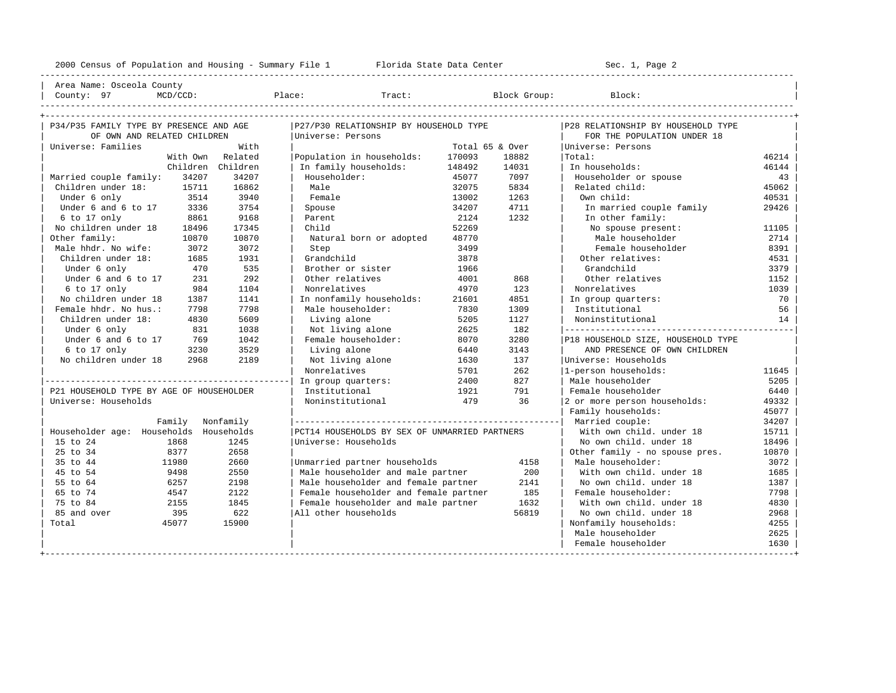---------------------------------------------------------------------------------------------------------------------------------------------------- | Area Name: Osceola County | | County: 97 MCD/CCD: Place: Tract: Block Group: Block: | ---------------------------------------------------------------------------------------------------------------------------------------------------- +---------------------------------------------------------------------------------------------------------------------------------------------------+

| P34/P35 FAMILY TYPE BY PRESENCE AND AGE  | P27/P30 RELATIONSHIP BY HOUSEHOLD TYPE        |                 |       | P28 RELATIONSHIP BY HOUSEHOLD TYPE |       |
|------------------------------------------|-----------------------------------------------|-----------------|-------|------------------------------------|-------|
| OF OWN AND RELATED CHILDREN              | Universe: Persons                             |                 |       | FOR THE POPULATION UNDER 18        |       |
| Universe: Families<br>With               |                                               | Total 65 & Over |       | Universe: Persons                  |       |
| Related<br>With Own                      | Population in households:                     | 170093          | 18882 | Total:                             | 46214 |
| Children Children                        | In family households:                         | 148492          | 14031 | In households:                     | 46144 |
| 34207<br>Married couple family:<br>34207 | Householder:                                  | 45077           | 7097  | Householder or spouse              | 43    |
| 16862<br>Children under 18: 15711        | Male                                          | 32075           | 5834  | Related child:                     | 45062 |
| Under 6 only<br>3514<br>3940             | Female                                        | 13002           | 1263  | Own child:                         | 40531 |
| Under 6 and 6 to 17<br>3754<br>3336      | Spouse                                        | 34207           | 4711  | In married couple family           | 29426 |
| 6 to 17 only<br>9168<br>8861             | Parent                                        | 2124            | 1232  | In other family:                   |       |
| No children under 18<br>17345<br>18496   | Child                                         | 52269           |       | No spouse present:                 | 11105 |
| Other family:<br>10870<br>10870          | Natural born or adopted                       | 48770           |       | Male householder                   | 2714  |
| Male hhdr. No wife:<br>3072<br>3072      | Step                                          | 3499            |       | Female householder                 | 8391  |
| Children under 18:<br>1685<br>1931       | Grandchild                                    | 3878            |       | Other relatives:                   | 4531  |
| 535<br>Under 6 only<br>470               | Brother or sister                             | 1966            |       | Grandchild                         | 3379  |
| 292<br>Under 6 and 6 to 17<br>231        | Other relatives                               | 4001            | 868   | Other relatives                    | 1152  |
| 6 to 17 only<br>984<br>1104              | Nonrelatives                                  | 4970            | 123   | Nonrelatives                       | 1039  |
| No children under 18<br>1387<br>1141     | In nonfamily households:                      | 21601           | 4851  | In group quarters:                 | 70    |
| Female hhdr. No hus.:<br>7798<br>7798    | Male householder:                             | 7830            | 1309  | Institutional                      | 56    |
| Children under 18:<br>4830<br>5609       | Living alone                                  | 5205            | 1127  | Noninstitutional                   | 14    |
| Under 6 only<br>831<br>1038              | Not living alone                              | 2625            | 182   |                                    |       |
| Under 6 and 6 to 17<br>769<br>1042       | Female householder:                           | 8070            | 3280  | P18 HOUSEHOLD SIZE, HOUSEHOLD TYPE |       |
| $6$ to 17 only<br>3529<br>3230           | Living alone                                  | 6440            | 3143  | AND PRESENCE OF OWN CHILDREN       |       |
| No children under 18<br>2968<br>2189     | Not living alone                              | 1630            | 137   | Universe: Households               |       |
|                                          | Nonrelatives                                  | 5701            | 262   | l-person households:               | 11645 |
|                                          | In group quarters:                            | 2400            | 827   | Male householder                   | 5205  |
| P21 HOUSEHOLD TYPE BY AGE OF HOUSEHOLDER | Institutional                                 | 1921            | 791   | Female householder                 | 6440  |
| Universe: Households                     | Noninstitutional                              | 479             | 36    | 2 or more person households:       | 49332 |
|                                          |                                               |                 |       | Family households:                 | 45077 |
| Nonfamily<br>Family                      |                                               |                 |       | Married couple:                    | 34207 |
| Householder age: Households Households   | PCT14 HOUSEHOLDS BY SEX OF UNMARRIED PARTNERS |                 |       | With own child, under 18           | 15711 |
| 1245<br>15 to 24<br>1868                 | Universe: Households                          |                 |       | No own child, under 18             | 18496 |
| 25 to 34<br>8377<br>2658                 |                                               |                 |       | Other family - no spouse pres.     | 10870 |
| 35 to 44<br>11980<br>2660                | Unmarried partner households                  |                 | 4158  | Male householder:                  | 3072  |
| 45 to 54<br>9498<br>2550                 | Male householder and male partner             |                 | 200   | With own child, under 18           | 1685  |
| 55 to 64<br>6257<br>2198                 | Male householder and female partner           |                 | 2141  | No own child, under 18             | 1387  |
| 65 to 74<br>4547<br>2122                 | Female householder and female partner         |                 | 185   | Female householder:                | 7798  |
| 75 to 84<br>1845<br>2155                 | Female householder and male partner           |                 | 1632  | With own child, under 18           | 4830  |
| 85 and over<br>622<br>395                | All other households                          |                 | 56819 | No own child. under 18             | 2968  |
| Total<br>45077<br>15900                  |                                               |                 |       | Nonfamily households:              | 4255  |
|                                          |                                               |                 |       | Male householder                   | 2625  |
|                                          |                                               |                 |       | Female householder                 | 1630  |
|                                          |                                               |                 |       |                                    |       |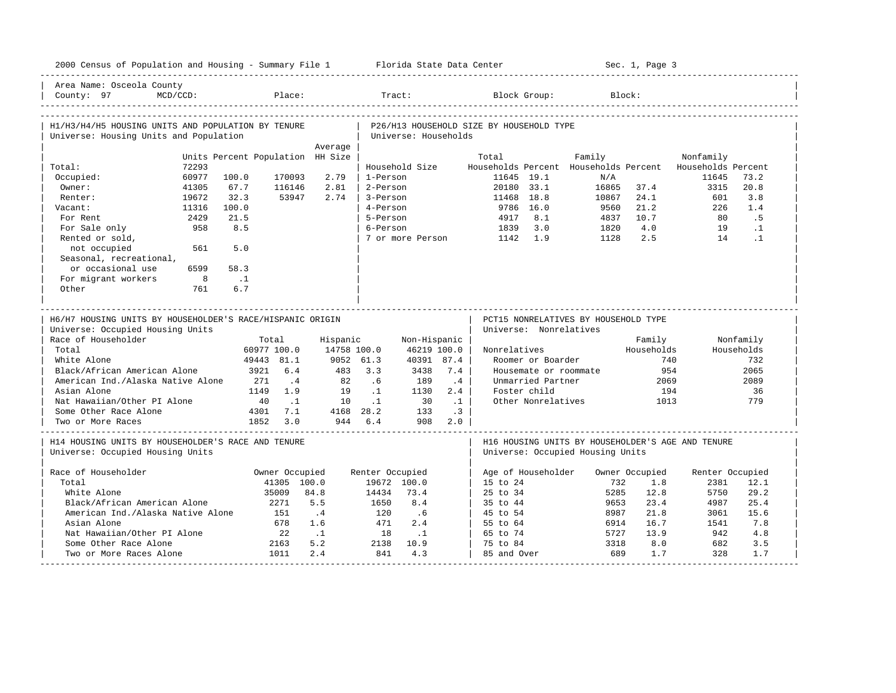| 2000 Census of Population and Housing - Summary File 1 Florida State Data Center |             |                                  |                           |                          |                 |                           |            |                                          |                        |                                      | Sec. 1, Page 3        |                                                                       |                   |
|----------------------------------------------------------------------------------|-------------|----------------------------------|---------------------------|--------------------------|-----------------|---------------------------|------------|------------------------------------------|------------------------|--------------------------------------|-----------------------|-----------------------------------------------------------------------|-------------------|
| Area Name: Osceola County<br>County: 97                                          | $MCD/CCD$ : |                                  | Place:                    |                          |                 | Tract:                    |            |                                          | Block Group:           |                                      | Block:                |                                                                       |                   |
| H1/H3/H4/H5 HOUSING UNITS AND POPULATION BY TENURE                               |             |                                  |                           |                          |                 |                           |            | P26/H13 HOUSEHOLD SIZE BY HOUSEHOLD TYPE |                        |                                      |                       |                                                                       |                   |
| Universe: Housing Units and Population                                           |             |                                  |                           |                          |                 | Universe: Households      |            |                                          |                        |                                      |                       |                                                                       |                   |
|                                                                                  |             |                                  |                           | Average                  |                 |                           |            |                                          |                        |                                      |                       |                                                                       |                   |
|                                                                                  | 72293       | Units Percent Population HH Size |                           |                          |                 | Household Size            |            | Total                                    |                        | Family                               |                       | Nonfamily<br>Households Percent Households Percent Households Percent |                   |
| Total:<br>Occupied:                                                              | 60977       | 100.0                            | 170093                    | 2.79                     | 1-Person        |                           |            |                                          | 11645 19.1             | N/A                                  |                       | 11645                                                                 | 73.2              |
| Owner:                                                                           | 41305       | 67.7                             | 116146                    | 2.81                     | 2-Person        |                           |            |                                          | 20180 33.1             | 16865                                | 37.4                  | 3315                                                                  | 20.8              |
| Renter:                                                                          | 19672       | 32.3                             | 53947                     | 2.74                     | 3-Person        |                           |            | 11468 18.8                               |                        | 10867                                | 24.1                  | 601                                                                   | 3.8               |
| Vacant:                                                                          | 11316       | 100.0                            |                           |                          | 4-Person        |                           |            |                                          | 9786 16.0              | 9560                                 | 21.2                  | 226                                                                   | 1.4               |
| For Rent                                                                         | 2429        | 21.5                             |                           |                          | 5-Person        |                           |            | 4917                                     | 8.1                    | 4837                                 | 10.7                  | 80                                                                    | .5                |
| For Sale only                                                                    | 958         | 8.5                              |                           |                          | 6-Person        |                           |            | 1839                                     | 3.0                    | 1820                                 | 4.0                   | 19                                                                    | $\cdot$ 1         |
| Rented or sold,                                                                  |             |                                  |                           |                          |                 | 7 or more Person          |            | 1142                                     | 1.9                    | 1128                                 | 2.5                   | 14                                                                    | $\cdot$ 1         |
| not occupied                                                                     | 561         | 5.0                              |                           |                          |                 |                           |            |                                          |                        |                                      |                       |                                                                       |                   |
| Seasonal, recreational,                                                          |             |                                  |                           |                          |                 |                           |            |                                          |                        |                                      |                       |                                                                       |                   |
| or occasional use                                                                | 6599        | 58.3                             |                           |                          |                 |                           |            |                                          |                        |                                      |                       |                                                                       |                   |
| For migrant workers                                                              | $_{\rm 8}$  | $\cdot$ .1                       |                           |                          |                 |                           |            |                                          |                        |                                      |                       |                                                                       |                   |
| Other                                                                            | 761         | 6.7                              |                           |                          |                 |                           |            |                                          |                        |                                      |                       |                                                                       |                   |
|                                                                                  |             |                                  |                           |                          |                 |                           |            |                                          |                        |                                      |                       |                                                                       |                   |
|                                                                                  |             |                                  |                           |                          |                 |                           |            |                                          |                        |                                      |                       |                                                                       |                   |
|                                                                                  |             |                                  |                           |                          |                 |                           |            |                                          |                        |                                      |                       |                                                                       |                   |
| H6/H7 HOUSING UNITS BY HOUSEHOLDER'S RACE/HISPANIC ORIGIN                        |             |                                  |                           |                          |                 |                           |            |                                          |                        | PCT15 NONRELATIVES BY HOUSEHOLD TYPE |                       |                                                                       |                   |
| Universe: Occupied Housing Units                                                 |             |                                  |                           |                          |                 |                           |            |                                          | Universe: Nonrelatives |                                      |                       |                                                                       |                   |
| Race of Householder                                                              |             |                                  | Total                     | Hispanic                 |                 | Non-Hispanic              |            |                                          |                        |                                      | Family                |                                                                       | Nonfamily         |
| Total<br>White Alone                                                             |             |                                  | 60977 100.0<br>49443 81.1 | 14758 100.0<br>9052 61.3 |                 | 46219 100.0<br>40391 87.4 |            | Nonrelatives                             | Roomer or Boarder      |                                      | Households<br>740     |                                                                       | Households<br>732 |
| Black/African American Alone                                                     |             | 3921                             | 6.4                       | 483                      | 3.3             | 3438                      | 7.4        |                                          |                        | Housemate or roommate                | 954                   |                                                                       | 2065              |
| American Ind./Alaska Native Alone                                                |             | 271                              | $\cdot$ 4                 | 82                       | .6              | 189                       | .4         |                                          | Unmarried Partner      |                                      | 2069                  |                                                                       | 2089              |
| Asian Alone                                                                      |             | 1149                             | 1.9                       | 19                       | $\cdot$ 1       | 1130                      | 2.4        |                                          | Foster child           |                                      | 194                   |                                                                       | 36                |
| Nat Hawaiian/Other PI Alone                                                      |             | 40                               | $\ldots$ 1                | 10                       | $\cdot$ 1       | 30                        | $\ldots$ 1 |                                          | Other Nonrelatives     |                                      | 1013                  |                                                                       | 779               |
| Some Other Race Alone                                                            |             |                                  | 4301 7.1                  |                          | 4168 28.2       | 133                       | $\cdot$ 3  |                                          |                        |                                      |                       |                                                                       |                   |
| Two or More Races                                                                |             |                                  | 1852 3.0                  |                          | 944 6.4         |                           | 908 2.0    |                                          |                        |                                      |                       |                                                                       |                   |
|                                                                                  |             |                                  |                           |                          |                 |                           |            |                                          |                        |                                      |                       |                                                                       |                   |
| H14 HOUSING UNITS BY HOUSEHOLDER'S RACE AND TENURE                               |             |                                  |                           |                          |                 |                           |            |                                          |                        |                                      |                       | H16 HOUSING UNITS BY HOUSEHOLDER'S AGE AND TENURE                     |                   |
| Universe: Occupied Housing Units                                                 |             |                                  |                           |                          |                 |                           |            |                                          |                        | Universe: Occupied Housing Units     |                       |                                                                       |                   |
|                                                                                  |             |                                  |                           |                          |                 |                           |            |                                          |                        |                                      |                       |                                                                       |                   |
| Race of Householder<br>Total                                                     |             |                                  | Owner Occupied            |                          | Renter Occupied |                           |            |                                          | Age of Householder     | 732                                  | Owner Occupied<br>1.8 | Renter Occupied                                                       |                   |
| White Alone                                                                      |             |                                  | 41305 100.0<br>35009      | 84.8                     | 14434           | 19672 100.0<br>73.4       |            | 15 to 24<br>25 to 34                     |                        | 5285                                 | 12.8                  | 2381<br>5750                                                          | 12.1<br>29.2      |
| Black/African American Alone                                                     |             |                                  | 2271                      | 5.5                      | 1650            | 8.4                       |            | 35 to 44                                 |                        | 9653                                 | 23.4                  | 4987                                                                  | 25.4              |
| American Ind./Alaska Native Alone                                                |             |                                  | 151                       | $\cdot$ 4                | 120             | .6                        |            | 45 to 54                                 |                        | 8987                                 | 21.8                  | 3061                                                                  | 15.6              |
| Asian Alone                                                                      |             |                                  | 678                       | 1.6                      | 471             | 2.4                       |            | 55 to 64                                 |                        | 6914                                 | 16.7                  | 1541                                                                  | 7.8               |
| Nat Hawaiian/Other PI Alone                                                      |             |                                  | 22                        | $\cdot$ .1               | 18              | $\cdot$ .1                |            | 65 to 74                                 |                        | 5727                                 | 13.9                  | 942                                                                   | 4.8               |
| Some Other Race Alone                                                            |             |                                  | 2163                      | 5.2                      | 2138            | 10.9                      |            | 75 to 84                                 |                        | 3318                                 | 8.0                   | 682                                                                   | 3.5               |
| Two or More Races Alone                                                          |             |                                  | 1011                      | 2.4                      | 841             | 4.3                       |            | 85 and Over                              |                        | 689                                  | 1.7                   | 328                                                                   | 1.7               |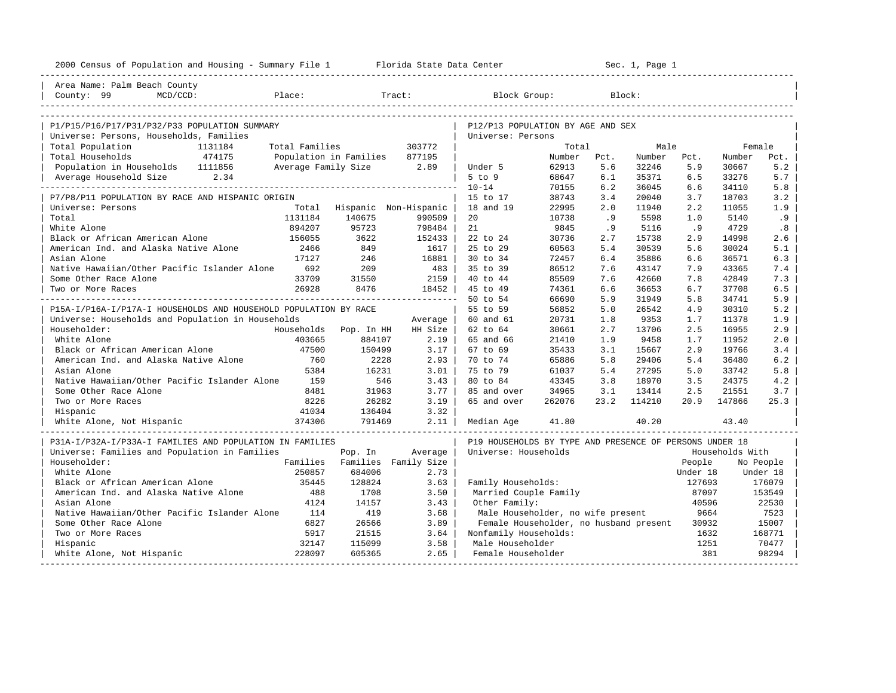| Area Name: Palm Beach County<br>County: 99<br>MCD/CCD:<br>Place:<br>Tract:<br>Block Group:<br>Block:<br>P1/P15/P16/P17/P31/P32/P33 POPULATION SUMMARY<br>P12/P13 POPULATION BY AGE AND SEX<br>Universe: Persons, Households, Families<br>Universe: Persons<br>Total Population<br>Total Families<br>303772<br>Total<br>Male<br>Female<br>1131184<br>Total Households<br>474175<br>Population in Families<br>877195<br>Number<br>Number<br>Number<br>Pct.<br>Pct.<br>Pct.<br>Population in Households 1111856<br>Average Family Size<br>2.89<br>62913<br>5.6<br>32246<br>5.9<br>30667<br>5.2<br>Under 5<br>2.34<br>$5$ to $9$<br>68647<br>6.1<br>35371<br>6.5<br>33276<br>5.7<br>Average Household Size<br>$10 - 14$<br>70155<br>6.2<br>36045<br>34110<br>5.8<br>6.6<br>P7/P8/P11 POPULATION BY RACE AND HISPANIC ORIGIN<br>38743<br>3.4<br>20040<br>3.7<br>18703<br>3.2<br>15 to 17<br>Hispanic Non-Hispanic<br>18 and 19<br>22995<br>2.0<br>11940<br>2.2<br>11055<br>1.9<br>Universe: Persons<br>Total<br>1131184<br>140675<br>990509<br>20<br>10738<br>.9<br>5598<br>5140<br>.9<br>Total<br>1.0<br>894207<br>95723<br>798484<br>21<br>9845<br>.9<br>5116<br>.9<br>4729<br>.8<br>White Alone<br>Black or African American Alone<br>156055<br>3622<br>152433<br>30736<br>2.7<br>15738<br>2.9<br>14998<br>2.6<br>22 to 24<br>American Ind. and Alaska Native Alone<br>2466<br>849<br>25 to 29<br>60563<br>5.4<br>30539<br>5.6<br>30024<br>5.1<br>1617<br>17127<br>246<br>16881<br>30 to 34<br>72457<br>35886<br>36571<br>6.3<br>Asian Alone<br>6.4<br>6.6<br>Native Hawaiian/Other Pacific Islander Alone<br>692<br>209<br>483<br>35 to 39<br>86512<br>43147<br>7.9<br>43365<br>7.4<br>7.6<br>33709<br>31550<br>2159<br>40 to 44<br>85509<br>42660<br>7.8<br>42849<br>7.3<br>Some Other Race Alone<br>7.6<br>26928<br>8476<br>18452<br>45 to 49<br>74361<br>36653<br>6.7<br>37708<br>6.5<br>6.6<br>Two or More Races<br>50 to 54<br>66690<br>5.9<br>31949<br>5.8<br>34741<br>5.9<br>P15A-I/P16A-I/P17A-I HOUSEHOLDS AND HOUSEHOLD POPULATION BY RACE<br>55 to 59<br>56852<br>5.0<br>26542<br>4.9<br>5.2<br>30310<br>60 and 61<br>20731<br>1.8<br>9353<br>1.9<br>Universe: Households and Population in Households<br>1.7<br>11378<br>Average<br>30661<br>13706<br>2.5<br>16955<br>2.9<br>Householder:<br>Households<br>HH Size<br>62 to 64<br>2.7<br>Pop. In HH<br>403665<br>884107<br>65 and 66<br>21410<br>1.9<br>9458<br>11952<br>2.0<br>White Alone<br>2.19<br>1.7<br>47500<br>150499<br>3.17<br>67 to 69<br>35433<br>15667<br>2.9<br>19766<br>Black or African American Alone<br>3.1<br>3.4<br>American Ind. and Alaska Native Alone<br>760<br>2228<br>2.93<br>70 to 74<br>65886<br>5.8<br>29406<br>5.4<br>36480<br>6.2<br>5384<br>16231<br>3.01<br>75 to 79<br>61037<br>27295<br>5.8<br>Asian Alone<br>5.4<br>5.0<br>33742<br>Native Hawaiian/Other Pacific Islander Alone<br>159<br>546<br>3.43<br>43345<br>18970<br>24375<br>80 to 84<br>3.8<br>3.5<br>4.2<br>8481<br>31963<br>3.77<br>34965<br>2.5<br>21551<br>Some Other Race Alone<br>85 and over<br>3.1<br>13414<br>3.7<br>8226<br>26282<br>262076<br>23.2<br>114210<br>147866<br>3.19<br>65 and over<br>20.9<br>25.3<br>Two or More Races<br>41034<br>136404<br>3.32<br>Hispanic<br>374306<br>791469<br>2.11<br>White Alone, Not Hispanic<br>41.80<br>40.20<br>43.40<br>Median Age<br>P31A-I/P32A-I/P33A-I FAMILIES AND POPULATION IN FAMILIES<br>P19 HOUSEHOLDS BY TYPE AND PRESENCE OF PERSONS UNDER 18<br>Universe: Families and Population in Families<br>Universe: Households<br>Households With<br>Pop. In<br>Average<br>Families<br>Householder:<br>Families Family Size<br>People<br>No People<br>250857<br>White Alone<br>684006<br>2.73<br>Under 18<br>Under 18 |
|---------------------------------------------------------------------------------------------------------------------------------------------------------------------------------------------------------------------------------------------------------------------------------------------------------------------------------------------------------------------------------------------------------------------------------------------------------------------------------------------------------------------------------------------------------------------------------------------------------------------------------------------------------------------------------------------------------------------------------------------------------------------------------------------------------------------------------------------------------------------------------------------------------------------------------------------------------------------------------------------------------------------------------------------------------------------------------------------------------------------------------------------------------------------------------------------------------------------------------------------------------------------------------------------------------------------------------------------------------------------------------------------------------------------------------------------------------------------------------------------------------------------------------------------------------------------------------------------------------------------------------------------------------------------------------------------------------------------------------------------------------------------------------------------------------------------------------------------------------------------------------------------------------------------------------------------------------------------------------------------------------------------------------------------------------------------------------------------------------------------------------------------------------------------------------------------------------------------------------------------------------------------------------------------------------------------------------------------------------------------------------------------------------------------------------------------------------------------------------------------------------------------------------------------------------------------------------------------------------------------------------------------------------------------------------------------------------------------------------------------------------------------------------------------------------------------------------------------------------------------------------------------------------------------------------------------------------------------------------------------------------------------------------------------------------------------------------------------------------------------------------------------------------------------------------------------------------------------------------------------------------------------------------------------------------------------------------------------------------------------------------------------------------------------------------------------------------------------------------------------------------------------------------------------------------------------------------------------------------------------------------------------------------------------------------------------------------------------------------------|
|                                                                                                                                                                                                                                                                                                                                                                                                                                                                                                                                                                                                                                                                                                                                                                                                                                                                                                                                                                                                                                                                                                                                                                                                                                                                                                                                                                                                                                                                                                                                                                                                                                                                                                                                                                                                                                                                                                                                                                                                                                                                                                                                                                                                                                                                                                                                                                                                                                                                                                                                                                                                                                                                                                                                                                                                                                                                                                                                                                                                                                                                                                                                                                                                                                                                                                                                                                                                                                                                                                                                                                                                                                                                                                                                       |
|                                                                                                                                                                                                                                                                                                                                                                                                                                                                                                                                                                                                                                                                                                                                                                                                                                                                                                                                                                                                                                                                                                                                                                                                                                                                                                                                                                                                                                                                                                                                                                                                                                                                                                                                                                                                                                                                                                                                                                                                                                                                                                                                                                                                                                                                                                                                                                                                                                                                                                                                                                                                                                                                                                                                                                                                                                                                                                                                                                                                                                                                                                                                                                                                                                                                                                                                                                                                                                                                                                                                                                                                                                                                                                                                       |
|                                                                                                                                                                                                                                                                                                                                                                                                                                                                                                                                                                                                                                                                                                                                                                                                                                                                                                                                                                                                                                                                                                                                                                                                                                                                                                                                                                                                                                                                                                                                                                                                                                                                                                                                                                                                                                                                                                                                                                                                                                                                                                                                                                                                                                                                                                                                                                                                                                                                                                                                                                                                                                                                                                                                                                                                                                                                                                                                                                                                                                                                                                                                                                                                                                                                                                                                                                                                                                                                                                                                                                                                                                                                                                                                       |
|                                                                                                                                                                                                                                                                                                                                                                                                                                                                                                                                                                                                                                                                                                                                                                                                                                                                                                                                                                                                                                                                                                                                                                                                                                                                                                                                                                                                                                                                                                                                                                                                                                                                                                                                                                                                                                                                                                                                                                                                                                                                                                                                                                                                                                                                                                                                                                                                                                                                                                                                                                                                                                                                                                                                                                                                                                                                                                                                                                                                                                                                                                                                                                                                                                                                                                                                                                                                                                                                                                                                                                                                                                                                                                                                       |
|                                                                                                                                                                                                                                                                                                                                                                                                                                                                                                                                                                                                                                                                                                                                                                                                                                                                                                                                                                                                                                                                                                                                                                                                                                                                                                                                                                                                                                                                                                                                                                                                                                                                                                                                                                                                                                                                                                                                                                                                                                                                                                                                                                                                                                                                                                                                                                                                                                                                                                                                                                                                                                                                                                                                                                                                                                                                                                                                                                                                                                                                                                                                                                                                                                                                                                                                                                                                                                                                                                                                                                                                                                                                                                                                       |
|                                                                                                                                                                                                                                                                                                                                                                                                                                                                                                                                                                                                                                                                                                                                                                                                                                                                                                                                                                                                                                                                                                                                                                                                                                                                                                                                                                                                                                                                                                                                                                                                                                                                                                                                                                                                                                                                                                                                                                                                                                                                                                                                                                                                                                                                                                                                                                                                                                                                                                                                                                                                                                                                                                                                                                                                                                                                                                                                                                                                                                                                                                                                                                                                                                                                                                                                                                                                                                                                                                                                                                                                                                                                                                                                       |
|                                                                                                                                                                                                                                                                                                                                                                                                                                                                                                                                                                                                                                                                                                                                                                                                                                                                                                                                                                                                                                                                                                                                                                                                                                                                                                                                                                                                                                                                                                                                                                                                                                                                                                                                                                                                                                                                                                                                                                                                                                                                                                                                                                                                                                                                                                                                                                                                                                                                                                                                                                                                                                                                                                                                                                                                                                                                                                                                                                                                                                                                                                                                                                                                                                                                                                                                                                                                                                                                                                                                                                                                                                                                                                                                       |
|                                                                                                                                                                                                                                                                                                                                                                                                                                                                                                                                                                                                                                                                                                                                                                                                                                                                                                                                                                                                                                                                                                                                                                                                                                                                                                                                                                                                                                                                                                                                                                                                                                                                                                                                                                                                                                                                                                                                                                                                                                                                                                                                                                                                                                                                                                                                                                                                                                                                                                                                                                                                                                                                                                                                                                                                                                                                                                                                                                                                                                                                                                                                                                                                                                                                                                                                                                                                                                                                                                                                                                                                                                                                                                                                       |
|                                                                                                                                                                                                                                                                                                                                                                                                                                                                                                                                                                                                                                                                                                                                                                                                                                                                                                                                                                                                                                                                                                                                                                                                                                                                                                                                                                                                                                                                                                                                                                                                                                                                                                                                                                                                                                                                                                                                                                                                                                                                                                                                                                                                                                                                                                                                                                                                                                                                                                                                                                                                                                                                                                                                                                                                                                                                                                                                                                                                                                                                                                                                                                                                                                                                                                                                                                                                                                                                                                                                                                                                                                                                                                                                       |
|                                                                                                                                                                                                                                                                                                                                                                                                                                                                                                                                                                                                                                                                                                                                                                                                                                                                                                                                                                                                                                                                                                                                                                                                                                                                                                                                                                                                                                                                                                                                                                                                                                                                                                                                                                                                                                                                                                                                                                                                                                                                                                                                                                                                                                                                                                                                                                                                                                                                                                                                                                                                                                                                                                                                                                                                                                                                                                                                                                                                                                                                                                                                                                                                                                                                                                                                                                                                                                                                                                                                                                                                                                                                                                                                       |
|                                                                                                                                                                                                                                                                                                                                                                                                                                                                                                                                                                                                                                                                                                                                                                                                                                                                                                                                                                                                                                                                                                                                                                                                                                                                                                                                                                                                                                                                                                                                                                                                                                                                                                                                                                                                                                                                                                                                                                                                                                                                                                                                                                                                                                                                                                                                                                                                                                                                                                                                                                                                                                                                                                                                                                                                                                                                                                                                                                                                                                                                                                                                                                                                                                                                                                                                                                                                                                                                                                                                                                                                                                                                                                                                       |
|                                                                                                                                                                                                                                                                                                                                                                                                                                                                                                                                                                                                                                                                                                                                                                                                                                                                                                                                                                                                                                                                                                                                                                                                                                                                                                                                                                                                                                                                                                                                                                                                                                                                                                                                                                                                                                                                                                                                                                                                                                                                                                                                                                                                                                                                                                                                                                                                                                                                                                                                                                                                                                                                                                                                                                                                                                                                                                                                                                                                                                                                                                                                                                                                                                                                                                                                                                                                                                                                                                                                                                                                                                                                                                                                       |
|                                                                                                                                                                                                                                                                                                                                                                                                                                                                                                                                                                                                                                                                                                                                                                                                                                                                                                                                                                                                                                                                                                                                                                                                                                                                                                                                                                                                                                                                                                                                                                                                                                                                                                                                                                                                                                                                                                                                                                                                                                                                                                                                                                                                                                                                                                                                                                                                                                                                                                                                                                                                                                                                                                                                                                                                                                                                                                                                                                                                                                                                                                                                                                                                                                                                                                                                                                                                                                                                                                                                                                                                                                                                                                                                       |
|                                                                                                                                                                                                                                                                                                                                                                                                                                                                                                                                                                                                                                                                                                                                                                                                                                                                                                                                                                                                                                                                                                                                                                                                                                                                                                                                                                                                                                                                                                                                                                                                                                                                                                                                                                                                                                                                                                                                                                                                                                                                                                                                                                                                                                                                                                                                                                                                                                                                                                                                                                                                                                                                                                                                                                                                                                                                                                                                                                                                                                                                                                                                                                                                                                                                                                                                                                                                                                                                                                                                                                                                                                                                                                                                       |
|                                                                                                                                                                                                                                                                                                                                                                                                                                                                                                                                                                                                                                                                                                                                                                                                                                                                                                                                                                                                                                                                                                                                                                                                                                                                                                                                                                                                                                                                                                                                                                                                                                                                                                                                                                                                                                                                                                                                                                                                                                                                                                                                                                                                                                                                                                                                                                                                                                                                                                                                                                                                                                                                                                                                                                                                                                                                                                                                                                                                                                                                                                                                                                                                                                                                                                                                                                                                                                                                                                                                                                                                                                                                                                                                       |
|                                                                                                                                                                                                                                                                                                                                                                                                                                                                                                                                                                                                                                                                                                                                                                                                                                                                                                                                                                                                                                                                                                                                                                                                                                                                                                                                                                                                                                                                                                                                                                                                                                                                                                                                                                                                                                                                                                                                                                                                                                                                                                                                                                                                                                                                                                                                                                                                                                                                                                                                                                                                                                                                                                                                                                                                                                                                                                                                                                                                                                                                                                                                                                                                                                                                                                                                                                                                                                                                                                                                                                                                                                                                                                                                       |
|                                                                                                                                                                                                                                                                                                                                                                                                                                                                                                                                                                                                                                                                                                                                                                                                                                                                                                                                                                                                                                                                                                                                                                                                                                                                                                                                                                                                                                                                                                                                                                                                                                                                                                                                                                                                                                                                                                                                                                                                                                                                                                                                                                                                                                                                                                                                                                                                                                                                                                                                                                                                                                                                                                                                                                                                                                                                                                                                                                                                                                                                                                                                                                                                                                                                                                                                                                                                                                                                                                                                                                                                                                                                                                                                       |
|                                                                                                                                                                                                                                                                                                                                                                                                                                                                                                                                                                                                                                                                                                                                                                                                                                                                                                                                                                                                                                                                                                                                                                                                                                                                                                                                                                                                                                                                                                                                                                                                                                                                                                                                                                                                                                                                                                                                                                                                                                                                                                                                                                                                                                                                                                                                                                                                                                                                                                                                                                                                                                                                                                                                                                                                                                                                                                                                                                                                                                                                                                                                                                                                                                                                                                                                                                                                                                                                                                                                                                                                                                                                                                                                       |
|                                                                                                                                                                                                                                                                                                                                                                                                                                                                                                                                                                                                                                                                                                                                                                                                                                                                                                                                                                                                                                                                                                                                                                                                                                                                                                                                                                                                                                                                                                                                                                                                                                                                                                                                                                                                                                                                                                                                                                                                                                                                                                                                                                                                                                                                                                                                                                                                                                                                                                                                                                                                                                                                                                                                                                                                                                                                                                                                                                                                                                                                                                                                                                                                                                                                                                                                                                                                                                                                                                                                                                                                                                                                                                                                       |
|                                                                                                                                                                                                                                                                                                                                                                                                                                                                                                                                                                                                                                                                                                                                                                                                                                                                                                                                                                                                                                                                                                                                                                                                                                                                                                                                                                                                                                                                                                                                                                                                                                                                                                                                                                                                                                                                                                                                                                                                                                                                                                                                                                                                                                                                                                                                                                                                                                                                                                                                                                                                                                                                                                                                                                                                                                                                                                                                                                                                                                                                                                                                                                                                                                                                                                                                                                                                                                                                                                                                                                                                                                                                                                                                       |
|                                                                                                                                                                                                                                                                                                                                                                                                                                                                                                                                                                                                                                                                                                                                                                                                                                                                                                                                                                                                                                                                                                                                                                                                                                                                                                                                                                                                                                                                                                                                                                                                                                                                                                                                                                                                                                                                                                                                                                                                                                                                                                                                                                                                                                                                                                                                                                                                                                                                                                                                                                                                                                                                                                                                                                                                                                                                                                                                                                                                                                                                                                                                                                                                                                                                                                                                                                                                                                                                                                                                                                                                                                                                                                                                       |
|                                                                                                                                                                                                                                                                                                                                                                                                                                                                                                                                                                                                                                                                                                                                                                                                                                                                                                                                                                                                                                                                                                                                                                                                                                                                                                                                                                                                                                                                                                                                                                                                                                                                                                                                                                                                                                                                                                                                                                                                                                                                                                                                                                                                                                                                                                                                                                                                                                                                                                                                                                                                                                                                                                                                                                                                                                                                                                                                                                                                                                                                                                                                                                                                                                                                                                                                                                                                                                                                                                                                                                                                                                                                                                                                       |
|                                                                                                                                                                                                                                                                                                                                                                                                                                                                                                                                                                                                                                                                                                                                                                                                                                                                                                                                                                                                                                                                                                                                                                                                                                                                                                                                                                                                                                                                                                                                                                                                                                                                                                                                                                                                                                                                                                                                                                                                                                                                                                                                                                                                                                                                                                                                                                                                                                                                                                                                                                                                                                                                                                                                                                                                                                                                                                                                                                                                                                                                                                                                                                                                                                                                                                                                                                                                                                                                                                                                                                                                                                                                                                                                       |
|                                                                                                                                                                                                                                                                                                                                                                                                                                                                                                                                                                                                                                                                                                                                                                                                                                                                                                                                                                                                                                                                                                                                                                                                                                                                                                                                                                                                                                                                                                                                                                                                                                                                                                                                                                                                                                                                                                                                                                                                                                                                                                                                                                                                                                                                                                                                                                                                                                                                                                                                                                                                                                                                                                                                                                                                                                                                                                                                                                                                                                                                                                                                                                                                                                                                                                                                                                                                                                                                                                                                                                                                                                                                                                                                       |
|                                                                                                                                                                                                                                                                                                                                                                                                                                                                                                                                                                                                                                                                                                                                                                                                                                                                                                                                                                                                                                                                                                                                                                                                                                                                                                                                                                                                                                                                                                                                                                                                                                                                                                                                                                                                                                                                                                                                                                                                                                                                                                                                                                                                                                                                                                                                                                                                                                                                                                                                                                                                                                                                                                                                                                                                                                                                                                                                                                                                                                                                                                                                                                                                                                                                                                                                                                                                                                                                                                                                                                                                                                                                                                                                       |
|                                                                                                                                                                                                                                                                                                                                                                                                                                                                                                                                                                                                                                                                                                                                                                                                                                                                                                                                                                                                                                                                                                                                                                                                                                                                                                                                                                                                                                                                                                                                                                                                                                                                                                                                                                                                                                                                                                                                                                                                                                                                                                                                                                                                                                                                                                                                                                                                                                                                                                                                                                                                                                                                                                                                                                                                                                                                                                                                                                                                                                                                                                                                                                                                                                                                                                                                                                                                                                                                                                                                                                                                                                                                                                                                       |
|                                                                                                                                                                                                                                                                                                                                                                                                                                                                                                                                                                                                                                                                                                                                                                                                                                                                                                                                                                                                                                                                                                                                                                                                                                                                                                                                                                                                                                                                                                                                                                                                                                                                                                                                                                                                                                                                                                                                                                                                                                                                                                                                                                                                                                                                                                                                                                                                                                                                                                                                                                                                                                                                                                                                                                                                                                                                                                                                                                                                                                                                                                                                                                                                                                                                                                                                                                                                                                                                                                                                                                                                                                                                                                                                       |
|                                                                                                                                                                                                                                                                                                                                                                                                                                                                                                                                                                                                                                                                                                                                                                                                                                                                                                                                                                                                                                                                                                                                                                                                                                                                                                                                                                                                                                                                                                                                                                                                                                                                                                                                                                                                                                                                                                                                                                                                                                                                                                                                                                                                                                                                                                                                                                                                                                                                                                                                                                                                                                                                                                                                                                                                                                                                                                                                                                                                                                                                                                                                                                                                                                                                                                                                                                                                                                                                                                                                                                                                                                                                                                                                       |
|                                                                                                                                                                                                                                                                                                                                                                                                                                                                                                                                                                                                                                                                                                                                                                                                                                                                                                                                                                                                                                                                                                                                                                                                                                                                                                                                                                                                                                                                                                                                                                                                                                                                                                                                                                                                                                                                                                                                                                                                                                                                                                                                                                                                                                                                                                                                                                                                                                                                                                                                                                                                                                                                                                                                                                                                                                                                                                                                                                                                                                                                                                                                                                                                                                                                                                                                                                                                                                                                                                                                                                                                                                                                                                                                       |
|                                                                                                                                                                                                                                                                                                                                                                                                                                                                                                                                                                                                                                                                                                                                                                                                                                                                                                                                                                                                                                                                                                                                                                                                                                                                                                                                                                                                                                                                                                                                                                                                                                                                                                                                                                                                                                                                                                                                                                                                                                                                                                                                                                                                                                                                                                                                                                                                                                                                                                                                                                                                                                                                                                                                                                                                                                                                                                                                                                                                                                                                                                                                                                                                                                                                                                                                                                                                                                                                                                                                                                                                                                                                                                                                       |
|                                                                                                                                                                                                                                                                                                                                                                                                                                                                                                                                                                                                                                                                                                                                                                                                                                                                                                                                                                                                                                                                                                                                                                                                                                                                                                                                                                                                                                                                                                                                                                                                                                                                                                                                                                                                                                                                                                                                                                                                                                                                                                                                                                                                                                                                                                                                                                                                                                                                                                                                                                                                                                                                                                                                                                                                                                                                                                                                                                                                                                                                                                                                                                                                                                                                                                                                                                                                                                                                                                                                                                                                                                                                                                                                       |
|                                                                                                                                                                                                                                                                                                                                                                                                                                                                                                                                                                                                                                                                                                                                                                                                                                                                                                                                                                                                                                                                                                                                                                                                                                                                                                                                                                                                                                                                                                                                                                                                                                                                                                                                                                                                                                                                                                                                                                                                                                                                                                                                                                                                                                                                                                                                                                                                                                                                                                                                                                                                                                                                                                                                                                                                                                                                                                                                                                                                                                                                                                                                                                                                                                                                                                                                                                                                                                                                                                                                                                                                                                                                                                                                       |
|                                                                                                                                                                                                                                                                                                                                                                                                                                                                                                                                                                                                                                                                                                                                                                                                                                                                                                                                                                                                                                                                                                                                                                                                                                                                                                                                                                                                                                                                                                                                                                                                                                                                                                                                                                                                                                                                                                                                                                                                                                                                                                                                                                                                                                                                                                                                                                                                                                                                                                                                                                                                                                                                                                                                                                                                                                                                                                                                                                                                                                                                                                                                                                                                                                                                                                                                                                                                                                                                                                                                                                                                                                                                                                                                       |
|                                                                                                                                                                                                                                                                                                                                                                                                                                                                                                                                                                                                                                                                                                                                                                                                                                                                                                                                                                                                                                                                                                                                                                                                                                                                                                                                                                                                                                                                                                                                                                                                                                                                                                                                                                                                                                                                                                                                                                                                                                                                                                                                                                                                                                                                                                                                                                                                                                                                                                                                                                                                                                                                                                                                                                                                                                                                                                                                                                                                                                                                                                                                                                                                                                                                                                                                                                                                                                                                                                                                                                                                                                                                                                                                       |
|                                                                                                                                                                                                                                                                                                                                                                                                                                                                                                                                                                                                                                                                                                                                                                                                                                                                                                                                                                                                                                                                                                                                                                                                                                                                                                                                                                                                                                                                                                                                                                                                                                                                                                                                                                                                                                                                                                                                                                                                                                                                                                                                                                                                                                                                                                                                                                                                                                                                                                                                                                                                                                                                                                                                                                                                                                                                                                                                                                                                                                                                                                                                                                                                                                                                                                                                                                                                                                                                                                                                                                                                                                                                                                                                       |
|                                                                                                                                                                                                                                                                                                                                                                                                                                                                                                                                                                                                                                                                                                                                                                                                                                                                                                                                                                                                                                                                                                                                                                                                                                                                                                                                                                                                                                                                                                                                                                                                                                                                                                                                                                                                                                                                                                                                                                                                                                                                                                                                                                                                                                                                                                                                                                                                                                                                                                                                                                                                                                                                                                                                                                                                                                                                                                                                                                                                                                                                                                                                                                                                                                                                                                                                                                                                                                                                                                                                                                                                                                                                                                                                       |
| Black or African American Alone<br>128824<br>3.63<br>Family Households:<br>127693<br>176079<br>35445                                                                                                                                                                                                                                                                                                                                                                                                                                                                                                                                                                                                                                                                                                                                                                                                                                                                                                                                                                                                                                                                                                                                                                                                                                                                                                                                                                                                                                                                                                                                                                                                                                                                                                                                                                                                                                                                                                                                                                                                                                                                                                                                                                                                                                                                                                                                                                                                                                                                                                                                                                                                                                                                                                                                                                                                                                                                                                                                                                                                                                                                                                                                                                                                                                                                                                                                                                                                                                                                                                                                                                                                                                  |
| American Ind. and Alaska Native Alone<br>488<br>1708<br>Married Couple Family<br>87097<br>3.50<br>153549                                                                                                                                                                                                                                                                                                                                                                                                                                                                                                                                                                                                                                                                                                                                                                                                                                                                                                                                                                                                                                                                                                                                                                                                                                                                                                                                                                                                                                                                                                                                                                                                                                                                                                                                                                                                                                                                                                                                                                                                                                                                                                                                                                                                                                                                                                                                                                                                                                                                                                                                                                                                                                                                                                                                                                                                                                                                                                                                                                                                                                                                                                                                                                                                                                                                                                                                                                                                                                                                                                                                                                                                                              |
| 4124<br>14157<br>3.43<br>Other Family:<br>40596<br>22530<br>Asian Alone                                                                                                                                                                                                                                                                                                                                                                                                                                                                                                                                                                                                                                                                                                                                                                                                                                                                                                                                                                                                                                                                                                                                                                                                                                                                                                                                                                                                                                                                                                                                                                                                                                                                                                                                                                                                                                                                                                                                                                                                                                                                                                                                                                                                                                                                                                                                                                                                                                                                                                                                                                                                                                                                                                                                                                                                                                                                                                                                                                                                                                                                                                                                                                                                                                                                                                                                                                                                                                                                                                                                                                                                                                                               |
| Native Hawaiian/Other Pacific Islander Alone<br>114<br>419<br>3.68<br>9664<br>7523<br>Male Householder, no wife present                                                                                                                                                                                                                                                                                                                                                                                                                                                                                                                                                                                                                                                                                                                                                                                                                                                                                                                                                                                                                                                                                                                                                                                                                                                                                                                                                                                                                                                                                                                                                                                                                                                                                                                                                                                                                                                                                                                                                                                                                                                                                                                                                                                                                                                                                                                                                                                                                                                                                                                                                                                                                                                                                                                                                                                                                                                                                                                                                                                                                                                                                                                                                                                                                                                                                                                                                                                                                                                                                                                                                                                                               |
| 6827<br>26566<br>3.89<br>Female Householder, no husband present<br>Some Other Race Alone<br>30932<br>15007                                                                                                                                                                                                                                                                                                                                                                                                                                                                                                                                                                                                                                                                                                                                                                                                                                                                                                                                                                                                                                                                                                                                                                                                                                                                                                                                                                                                                                                                                                                                                                                                                                                                                                                                                                                                                                                                                                                                                                                                                                                                                                                                                                                                                                                                                                                                                                                                                                                                                                                                                                                                                                                                                                                                                                                                                                                                                                                                                                                                                                                                                                                                                                                                                                                                                                                                                                                                                                                                                                                                                                                                                            |
| Two or More Races<br>5917<br>21515<br>3.64<br>Nonfamily Households:<br>1632<br>168771                                                                                                                                                                                                                                                                                                                                                                                                                                                                                                                                                                                                                                                                                                                                                                                                                                                                                                                                                                                                                                                                                                                                                                                                                                                                                                                                                                                                                                                                                                                                                                                                                                                                                                                                                                                                                                                                                                                                                                                                                                                                                                                                                                                                                                                                                                                                                                                                                                                                                                                                                                                                                                                                                                                                                                                                                                                                                                                                                                                                                                                                                                                                                                                                                                                                                                                                                                                                                                                                                                                                                                                                                                                 |
| 3.58<br>70477<br>32147<br>115099<br>Male Householder<br>1251<br>Hispanic                                                                                                                                                                                                                                                                                                                                                                                                                                                                                                                                                                                                                                                                                                                                                                                                                                                                                                                                                                                                                                                                                                                                                                                                                                                                                                                                                                                                                                                                                                                                                                                                                                                                                                                                                                                                                                                                                                                                                                                                                                                                                                                                                                                                                                                                                                                                                                                                                                                                                                                                                                                                                                                                                                                                                                                                                                                                                                                                                                                                                                                                                                                                                                                                                                                                                                                                                                                                                                                                                                                                                                                                                                                              |
| 381<br>98294<br>228097<br>605365<br>2.65<br>White Alone, Not Hispanic<br>Female Householder                                                                                                                                                                                                                                                                                                                                                                                                                                                                                                                                                                                                                                                                                                                                                                                                                                                                                                                                                                                                                                                                                                                                                                                                                                                                                                                                                                                                                                                                                                                                                                                                                                                                                                                                                                                                                                                                                                                                                                                                                                                                                                                                                                                                                                                                                                                                                                                                                                                                                                                                                                                                                                                                                                                                                                                                                                                                                                                                                                                                                                                                                                                                                                                                                                                                                                                                                                                                                                                                                                                                                                                                                                           |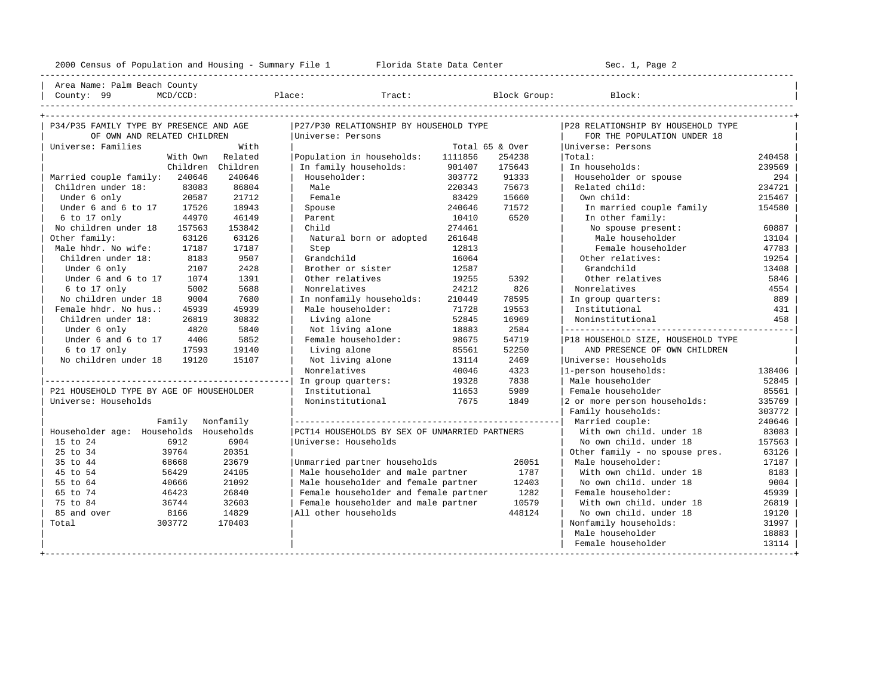----------------------------------------------------------------------------------------------------------------------------------------------------

| Area Name: Palm Beach County |

| County: 99 MCD/CCD: Place: Tract: Block Group: Block: |

| P34/P35 FAMILY TYPE BY PRESENCE AND AGE  |                   | P27/P30 RELATIONSHIP BY HOUSEHOLD TYPE        |         |                 | P28 RELATIONSHIP BY HOUSEHOLD TYPE |        |
|------------------------------------------|-------------------|-----------------------------------------------|---------|-----------------|------------------------------------|--------|
| OF OWN AND RELATED CHILDREN              |                   | Universe: Persons                             |         |                 | FOR THE POPULATION UNDER 18        |        |
| Universe: Families                       | With              |                                               |         | Total 65 & Over | Universe: Persons                  |        |
| With Own                                 | Related           | Population in households:                     | 1111856 | 254238          | Total:                             | 240458 |
|                                          | Children Children | In family households:                         | 901407  | 175643          | In households:                     | 239569 |
| Married couple family: 240646            | 240646            | Householder:                                  | 303772  | 91333           | Householder or spouse              | 294    |
| Children under 18:<br>83083              | 86804             | Male                                          | 220343  | 75673           | Related child:                     | 234721 |
| 20587<br>Under 6 only                    | 21712             | Female                                        | 83429   | 15660           | Own child:                         | 215467 |
| Under 6 and 6 to 17<br>17526             | 18943             | Spouse                                        | 240646  | 71572           | In married couple family           | 154580 |
| 44970<br>6 to 17 only                    | 46149             | Parent                                        | 10410   | 6520            | In other family:                   |        |
| No children under 18<br>157563           | 153842            | Child                                         | 274461  |                 | No spouse present:                 | 60887  |
| Other family:<br>63126                   | 63126             | Natural born or adopted                       | 261648  |                 | Male householder                   | 13104  |
| Male hhdr. No wife:<br>17187             | 17187             | Step                                          | 12813   |                 | Female householder                 | 47783  |
| Children under 18:<br>8183               | 9507              | Grandchild                                    | 16064   |                 | Other relatives:                   | 19254  |
| 2107<br>Under 6 only                     | 2428              | Brother or sister                             | 12587   |                 | Grandchild                         | 13408  |
| Under 6 and 6 to 17<br>1074              | 1391              | Other relatives                               | 19255   | 5392            | Other relatives                    | 5846   |
| $6$ to $17$ only<br>5002                 | 5688              | Nonrelatives                                  | 24212   | 826             | Nonrelatives                       | 4554   |
| No children under 18<br>9004             | 7680              | In nonfamily households:                      | 210449  | 78595           | In group quarters:                 | 889    |
| Female hhdr. No hus.:<br>45939           | 45939             | Male householder:                             | 71728   | 19553           | Institutional                      | 431    |
| Children under 18:<br>26819              | 30832             | Living alone                                  | 52845   | 16969           | Noninstitutional                   | 458    |
| Under 6 only<br>4820                     | 5840              | Not living alone                              | 18883   | 2584            |                                    |        |
| Under 6 and 6 to 17<br>4406              | 5852              | Female householder:                           | 98675   | 54719           | P18 HOUSEHOLD SIZE, HOUSEHOLD TYPE |        |
| 6 to 17 only<br>17593                    | 19140             | Living alone                                  | 85561   | 52250           | AND PRESENCE OF OWN CHILDREN       |        |
| No children under 18<br>19120            | 15107             | Not living alone                              | 13114   | 2469            | Universe: Households               |        |
|                                          |                   | Nonrelatives                                  | 40046   | 4323            | 1-person households:               | 138406 |
|                                          |                   | In group quarters:                            | 19328   | 7838            | Male householder                   | 52845  |
| P21 HOUSEHOLD TYPE BY AGE OF HOUSEHOLDER |                   | Institutional                                 | 11653   | 5989            | Female householder                 | 85561  |
| Universe: Households                     |                   | Noninstitutional                              | 7675    | 1849            | 2 or more person households:       | 335769 |
|                                          |                   |                                               |         |                 | Family households:                 | 303772 |
| Family                                   | Nonfamily         |                                               |         |                 |                                    | 240646 |
| Householder age: Households              | Households        | PCT14 HOUSEHOLDS BY SEX OF UNMARRIED PARTNERS |         |                 | With own child. under 18           | 83083  |
| 15 to 24<br>6912                         | 6904              | Universe: Households                          |         |                 | No own child. under 18             | 157563 |
| 39764<br>25 to 34                        | 20351             |                                               |         |                 | Other family - no spouse pres.     | 63126  |
| 68668<br>35 to 44                        | 23679             | Unmarried partner households                  |         | 26051           | Male householder:                  | 17187  |
| 56429<br>45 to 54                        | 24105             | Male householder and male partner             |         | 1787            | With own child. under 18           | 8183   |
| 40666<br>55 to 64                        | 21092             | Male householder and female partner           |         | 12403           | No own child. under 18             | 9004   |
| 65 to 74<br>46423                        | 26840             | Female householder and female partner         |         | 1282            | Female householder:                | 45939  |
| 75 to 84<br>36744                        | 32603             | Female householder and male partner           |         | 10579           | With own child, under 18           | 26819  |
| 8166<br>85 and over                      | 14829             | All other households                          |         | 448124          | No own child, under 18             | 19120  |
| 303772<br>Total                          | 170403            |                                               |         |                 | Nonfamily households:              | 31997  |
|                                          |                   |                                               |         |                 | Male householder                   | 18883  |
|                                          |                   |                                               |         |                 | Female householder                 | 13114  |
|                                          |                   |                                               |         |                 |                                    |        |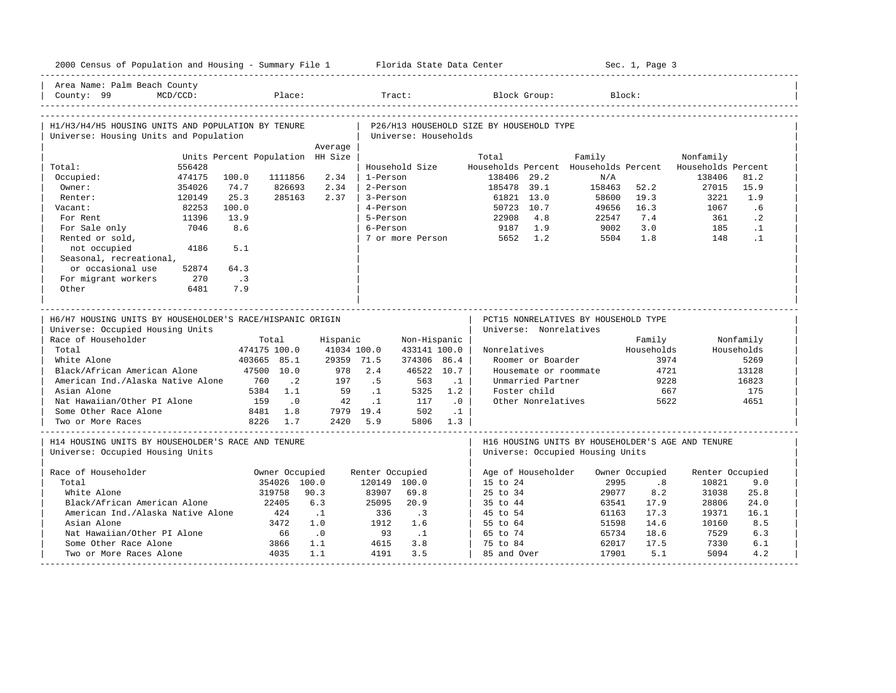| 2000 Census of Population and Housing - Summary File 1 Florida State Data Center                                                                                    |          |                                    |                                              |                              |                                                     |                                                            |                                |                                                                                                                           |                                  | Sec. 1, Page 3                                      |                               |                                                          |
|---------------------------------------------------------------------------------------------------------------------------------------------------------------------|----------|------------------------------------|----------------------------------------------|------------------------------|-----------------------------------------------------|------------------------------------------------------------|--------------------------------|---------------------------------------------------------------------------------------------------------------------------|----------------------------------|-----------------------------------------------------|-------------------------------|----------------------------------------------------------|
| Area Name: Palm Beach County<br>County: 99                                                                                                                          | MCD/CCD: |                                    | Place:                                       |                              |                                                     | Tract:                                                     |                                | Block Group:                                                                                                              |                                  | Block:                                              |                               |                                                          |
| H1/H3/H4/H5 HOUSING UNITS AND POPULATION BY TENURE<br>Universe: Housing Units and Population                                                                        |          |                                    |                                              |                              |                                                     | Universe: Households                                       |                                | P26/H13 HOUSEHOLD SIZE BY HOUSEHOLD TYPE                                                                                  |                                  |                                                     |                               |                                                          |
|                                                                                                                                                                     |          |                                    |                                              | Average                      |                                                     |                                                            |                                |                                                                                                                           |                                  |                                                     |                               |                                                          |
|                                                                                                                                                                     |          | Units Percent Population HH Size   |                                              |                              |                                                     |                                                            |                                | Total                                                                                                                     | Family                           |                                                     | Nonfamily                     |                                                          |
| Total:                                                                                                                                                              | 556428   |                                    |                                              |                              |                                                     | Household Size                                             |                                | Households Percent Households Percent                                                                                     |                                  |                                                     | Households Percent            |                                                          |
| Occupied:                                                                                                                                                           | 474175   | 100.0                              | 1111856                                      | 2.34                         | 1-Person                                            |                                                            |                                | 138406 29.2                                                                                                               | N/A                              |                                                     | 138406                        | 81.2                                                     |
| Owner:                                                                                                                                                              | 354026   | 74.7                               | 826693                                       | 2.34                         | 2-Person                                            |                                                            |                                | 185478 39.1                                                                                                               | 158463                           | 52.2                                                | 27015                         | 15.9                                                     |
| Renter:                                                                                                                                                             | 120149   | 25.3                               | 285163                                       | 2.37                         | 3-Person                                            |                                                            |                                | 61821 13.0                                                                                                                | 58600                            | 19.3                                                | 3221                          | 1.9                                                      |
| Vacant:                                                                                                                                                             | 82253    | 100.0                              |                                              |                              | 4-Person                                            |                                                            |                                | 50723 10.7                                                                                                                | 49656                            | 16.3                                                | 1067                          | .6                                                       |
| For Rent                                                                                                                                                            | 11396    | 13.9                               |                                              |                              | 5-Person                                            |                                                            |                                | 22908<br>4.8                                                                                                              | 22547                            | 7.4                                                 | 361                           | $\cdot$ 2                                                |
| For Sale only                                                                                                                                                       | 7046     | 8.6                                |                                              |                              | 6-Person                                            |                                                            |                                | 9187<br>1.9                                                                                                               | 9002                             | 3.0                                                 | 185                           | $\cdot$ 1                                                |
| Rented or sold,                                                                                                                                                     |          |                                    |                                              |                              |                                                     |                                                            |                                | 7 or more Person 5652 1.2                                                                                                 | 5504                             | 1.8                                                 | 148                           | $\cdot$ 1                                                |
| not occupied                                                                                                                                                        | 4186     | 5.1                                |                                              |                              |                                                     |                                                            |                                |                                                                                                                           |                                  |                                                     |                               |                                                          |
| Seasonal, recreational,                                                                                                                                             |          |                                    |                                              |                              |                                                     |                                                            |                                |                                                                                                                           |                                  |                                                     |                               |                                                          |
| or occasional use                                                                                                                                                   | 52874    | 64.3                               |                                              |                              |                                                     |                                                            |                                |                                                                                                                           |                                  |                                                     |                               |                                                          |
| For migrant workers                                                                                                                                                 | 270      | $\overline{\phantom{a}}$ . 3       |                                              |                              |                                                     |                                                            |                                |                                                                                                                           |                                  |                                                     |                               |                                                          |
| Other                                                                                                                                                               | 6481     | 7.9                                |                                              |                              |                                                     |                                                            |                                |                                                                                                                           |                                  |                                                     |                               |                                                          |
| Universe: Occupied Housing Units<br>Race of Householder<br>Total<br>White Alone<br>Black/African American Alone<br>American Ind./Alaska Native Alone<br>Asian Alone |          | 474175 100.0<br>403665 85.1<br>760 | Total<br>47500 10.0<br>$\cdot$ 2<br>5384 1.1 | Hispanic<br>978<br>197<br>59 | 41034 100.0<br>29359 71.5<br>2.4<br>.5<br>$\cdot$ 1 | Non-Hispanic<br>433141 100.0<br>374306 86.4<br>563<br>5325 | 46522 10.7<br>$\cdot$ 1<br>1.2 | Universe: Nonrelatives<br>Nonrelatives<br>Roomer or Boarder<br>Housemate or roommate<br>Unmarried Partner<br>Foster child |                                  | Family<br>Households<br>3974<br>4721<br>9228<br>667 |                               | Nonfamily<br>Households<br>5269<br>13128<br>16823<br>175 |
| Nat Hawaiian/Other PI Alone                                                                                                                                         |          | 159                                | $\cdot$ 0                                    | 42                           | $\cdot$ 1                                           | 117                                                        | .0                             | Other Nonrelatives                                                                                                        |                                  | 5622                                                |                               | 4651                                                     |
| Some Other Race Alone                                                                                                                                               |          |                                    | 8481 1.8                                     |                              | 7979 19.4                                           | 502                                                        | $\cdot$ 1                      |                                                                                                                           |                                  |                                                     |                               |                                                          |
| Two or More Races                                                                                                                                                   |          |                                    | 8226 1.7                                     | 2420                         | 5.9                                                 | 5806                                                       | 1.3                            |                                                                                                                           |                                  |                                                     |                               |                                                          |
| H14 HOUSING UNITS BY HOUSEHOLDER'S RACE AND TENURE<br>Universe: Occupied Housing Units                                                                              |          |                                    |                                              |                              |                                                     |                                                            |                                | H16 HOUSING UNITS BY HOUSEHOLDER'S AGE AND TENURE<br>Universe: Occupied Housing Units                                     |                                  |                                                     |                               |                                                          |
| Race of Householder                                                                                                                                                 |          |                                    | Owner Occupied                               |                              | Renter Occupied                                     |                                                            |                                | Age of Householder                                                                                                        |                                  | Owner Occupied                                      | Renter Occupied               |                                                          |
| Total                                                                                                                                                               |          |                                    | 354026 100.0                                 |                              | 120149 100.0                                        |                                                            |                                | 15 to 24                                                                                                                  | 2995                             | .8                                                  | 10821                         | 9.0                                                      |
| White Alone                                                                                                                                                         |          |                                    | 319758                                       | 90.3                         | 83907                                               | 69.8                                                       |                                | 25 to 34                                                                                                                  | 29077                            | 8.2                                                 | 31038                         | 25.8                                                     |
| Black/African American Alone                                                                                                                                        |          |                                    | 22405                                        | 6.3                          | 25095                                               | 20.9                                                       |                                | 35 to 44                                                                                                                  | 63541                            | 17.9                                                | 28806                         | 24.0                                                     |
| American Ind./Alaska Native Alone                                                                                                                                   |          |                                    | 424                                          | $\ldots$ 1                   | 336                                                 | $\overline{\phantom{a}}$                                   |                                | 45 to 54                                                                                                                  | 61163                            | 17.3                                                | 19371                         | 16.1                                                     |
|                                                                                                                                                                     |          |                                    | 3472                                         | 1.0                          | 1912                                                | 1.6                                                        |                                |                                                                                                                           |                                  |                                                     |                               |                                                          |
|                                                                                                                                                                     |          |                                    |                                              |                              |                                                     |                                                            |                                |                                                                                                                           |                                  |                                                     |                               |                                                          |
|                                                                                                                                                                     |          |                                    |                                              |                              |                                                     |                                                            |                                |                                                                                                                           |                                  |                                                     |                               |                                                          |
|                                                                                                                                                                     |          |                                    |                                              |                              |                                                     |                                                            |                                |                                                                                                                           |                                  |                                                     |                               |                                                          |
| Asian Alone<br>Nat Hawaiian/Other PI Alone<br>Some Other Race Alone<br>Two or More Races Alone                                                                      |          |                                    | 66<br>3866<br>4035                           | .0<br>1.1<br>1.1             | 93<br>4615<br>4191                                  | $\cdot$ 1<br>3.8<br>3.5                                    |                                | 55 to 64<br>65 to 74<br>75 to 84<br>85 and Over                                                                           | 51598<br>65734<br>62017<br>17901 | 14.6<br>18.6<br>17.5<br>5.1                         | 10160<br>7529<br>7330<br>5094 | 8.5<br>6.3<br>6.1<br>4.2                                 |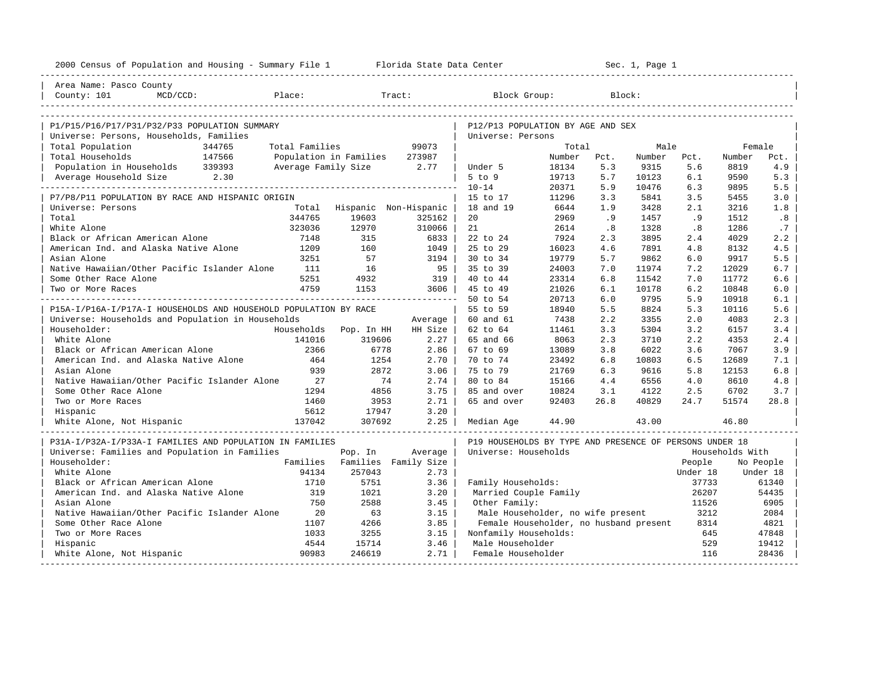| 2000 Census of Population and Housing - Summary File 1 Florida State Data Center |                |                                 |                                 |                                                         |                |            | Sec. 1, Page 1 |            |                 |            |
|----------------------------------------------------------------------------------|----------------|---------------------------------|---------------------------------|---------------------------------------------------------|----------------|------------|----------------|------------|-----------------|------------|
| Area Name: Pasco County                                                          |                |                                 |                                 |                                                         |                |            |                |            |                 |            |
| Place:<br>County: 101<br>$MCD/CCD$ :                                             |                |                                 | Tract:                          | Block Group:                                            |                |            | Block:         |            |                 |            |
|                                                                                  |                |                                 |                                 |                                                         |                |            |                |            |                 |            |
| P1/P15/P16/P17/P31/P32/P33 POPULATION SUMMARY                                    |                |                                 |                                 | P12/P13 POPULATION BY AGE AND SEX                       |                |            |                |            |                 |            |
| Universe: Persons, Households, Families                                          |                |                                 |                                 | Universe: Persons                                       |                |            |                |            |                 |            |
| Total Population<br>344765                                                       | Total Families |                                 | 99073                           |                                                         | Total          |            | Male           |            | Female          |            |
| 147566<br>Total Households                                                       |                | Population in Families          | 273987                          |                                                         | Number         | Pct.       | Number         | Pct.       | Number          | Pct.       |
| Population in Households 339393                                                  |                | Average Family Size 2.77        |                                 | Under 5                                                 | 18134          | 5.3        | 9315           | 5.6        | 8819            | 4.9        |
| Average Household Size 2.30                                                      |                |                                 |                                 | $5$ to $9$                                              | 19713          | 5.7        | 10123          | 6.1        | 9590            | 5.3        |
|                                                                                  |                |                                 |                                 | $10 - 14$                                               | 20371          | 5.9        | 10476          | 6.3        | 9895            | 5.5        |
| P7/P8/P11 POPULATION BY RACE AND HISPANIC ORIGIN                                 |                |                                 |                                 | 15 to 17                                                | 11296          | 3.3        | 5841           | 3.5        | 5455            | 3.0        |
| Universe: Persons                                                                | Total          |                                 | Hispanic Non-Hispanic           | 18 and 19                                               | 6644           | 1.9        | 3428           | 2.1        | 3216            | 1.8        |
| Total                                                                            | 344765         | 19603                           | 325162                          | 20                                                      | 2969           | .9         | 1457           | .9         | 1512            | .8         |
| White Alone                                                                      | 323036         | 12970<br>315                    | 310066                          | 21                                                      | 2614           | .8         | 1328           | .8         | 1286            | .7         |
| Black or African American Alone                                                  | 7148           | 160                             | 6833                            | 22 to 24                                                | 7924           | 2.3        | 3895           | 2.4        | 4029            | 2.2        |
| American Ind. and Alaska Native Alone<br>Asian Alone                             | 1209           |                                 | 1049                            | 25 to 29                                                | 16023          | 4.6<br>5.7 | 7891           | 4.8<br>6.0 | 8132            | 4.5        |
|                                                                                  | 3251           | 57                              | 3194                            | 30 to 34                                                | 19779          |            | 9862           |            | 9917            | 5.5        |
| Native Hawaiian/Other Pacific Islander Alone                                     | 111            | 16                              | $95 \mid$                       | 35 to 39                                                | 24003          | 7.0        | 11974          | 7.2        | 12029           | 6.7        |
| Some Other Race Alone                                                            | 5251<br>4759   | 4932                            | 319                             | 40 to 44                                                | 23314          | 6.8        | 11542          | 7.0        | 11772           | 6.6        |
| Two or More Races                                                                |                | 1153                            | 3606<br>_______________________ | 45 to 49                                                | 21026          | 6.1        | 10178          | 6.2        | 10848           | 6.0        |
| P15A-I/P16A-I/P17A-I HOUSEHOLDS AND HOUSEHOLD POPULATION BY RACE                 |                |                                 |                                 | 50 to 54<br>55 to 59                                    | 20713<br>18940 | 6.0<br>5.5 | 9795<br>8824   | 5.9<br>5.3 | 10918           | 6.1<br>5.6 |
|                                                                                  |                |                                 |                                 |                                                         | 7438           | 2.2        | 3355           | 2.0        | 10116<br>4083   | 2.3        |
| Universe: Households and Population in Households<br>Householder:                |                |                                 | Average<br>HH Size              | 60 and 61<br>62 to 64                                   | 11461          | 3.3        | 5304           | 3.2        | 6157            | 3.4        |
| White Alone                                                                      | 141016         | Households Pop. In HH<br>319606 | $2.27 \;  $                     | 65 and 66                                               | 8063           | 2.3        | 3710           | 2.2        | 4353            | 2.4        |
| Black or African American Alone                                                  | 2366           | 6778                            | 2.86                            | 67 to 69                                                | 13089          | 3.8        | 6022           | 3.6        | 7067            | 3.9        |
| American Ind. and Alaska Native Alone                                            | 464            | 1254                            | $2.70$                          | 70 to 74                                                | 23492          | 6.8        | 10803          | 6.5        | 12689           | 7.1        |
| Asian Alone                                                                      | 939            | 2872                            | 3.06                            | 75 to 79                                                | 21769          | 6.3        | 9616           | 5.8        | 12153           | 6.8        |
| Native Hawaiian/Other Pacific Islander Alone                                     | 27             | 74                              | 2.74                            | 80 to 84                                                | 15166          | 4.4        | 6556           | 4.0        | 8610            | 4.8        |
| Some Other Race Alone                                                            | 1294           | 4856                            | 3.75                            | 85 and over                                             | 10824          | 3.1        | 4122           | 2.5        | 6702            | 3.7        |
| Two or More Races                                                                | 1460           | 3953                            | 2.71                            | 65 and over                                             | 92403          | 26.8       | 40829          | 24.7       | 51574           | 28.8       |
| Hispanic                                                                         | 5612           | 17947                           | 3.20                            |                                                         |                |            |                |            |                 |            |
| 137042<br>White Alone, Not Hispanic                                              |                | 307692                          | 2.25                            | Median Age                                              | 44.90          |            | 43.00          |            | 46.80           |            |
|                                                                                  |                |                                 |                                 |                                                         |                |            |                |            |                 |            |
| P31A-I/P32A-I/P33A-I FAMILIES AND POPULATION IN FAMILIES                         |                |                                 |                                 | P19 HOUSEHOLDS BY TYPE AND PRESENCE OF PERSONS UNDER 18 |                |            |                |            |                 |            |
| Universe: Families and Population in Families                                    |                | Pop. In                         | Average                         | Universe: Households                                    |                |            |                |            | Households With |            |
| Householder:                                                                     |                | Families Families Family Size   |                                 |                                                         |                |            |                | People     |                 | No People  |
| White Alone                                                                      | 94134          | 257043                          | 2.73                            |                                                         |                |            |                | Under 18   |                 | Under 18   |
| Black or African American Alone                                                  | 1710           | 5751                            | 3.36                            | Family Households:                                      |                |            |                | 37733      |                 | 61340      |
| American Ind. and Alaska Native Alone                                            | 319            | 1021                            | 3.20                            | Married Couple Family                                   |                |            |                | 26207      |                 | 54435      |
| Asian Alone                                                                      | 750            | 2588                            | 3.45                            | Other Family:                                           |                |            |                | 11526      |                 | 6905       |
| Native Hawaiian/Other Pacific Islander Alone                                     | 20             | 63                              | 3.15                            | Male Householder, no wife present                       |                |            |                | 3212       |                 | 2084       |
| Some Other Race Alone                                                            | 1107           | 4266                            | 3.85                            | Female Householder, no husband present                  |                |            |                | 8314       |                 | 4821       |
| Two or More Races                                                                | 1033           | 3255                            | 3.15                            | Nonfamily Households:                                   |                |            |                | 645        |                 | 47848      |
| Hispanic                                                                         | 4544           | 15714                           | 3.46                            | Male Householder                                        |                |            |                | 529        |                 | 19412      |
| White Alone, Not Hispanic                                                        | 90983          | 246619                          | 2.71                            | Female Householder                                      |                |            |                | 116        |                 | 28436      |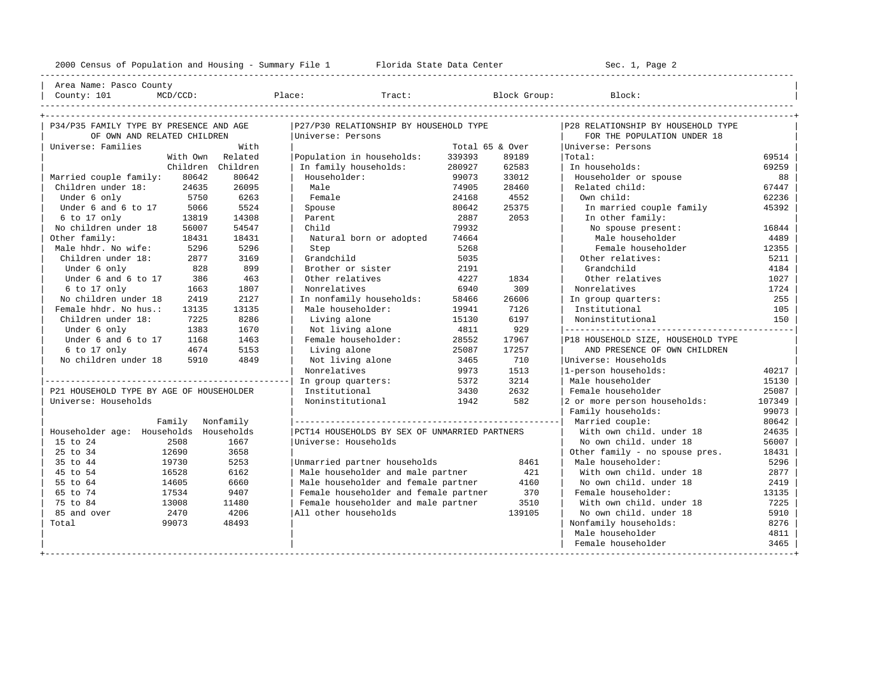---------------------------------------------------------------------------------------------------------------------------------------------------- | Area Name: Pasco County | | County: 101 MCD/CCD: Place: Tract: Block Group: Block: | ----------------------------------------------------------------------------------------------------------------------------------------------------

| P34/P35 FAMILY TYPE BY PRESENCE AND AGE  |           | P27/P30 RELATIONSHIP BY HOUSEHOLD TYPE        |                 |        | P28 RELATIONSHIP BY HOUSEHOLD TYPE |        |
|------------------------------------------|-----------|-----------------------------------------------|-----------------|--------|------------------------------------|--------|
| OF OWN AND RELATED CHILDREN              |           | Universe: Persons                             |                 |        | FOR THE POPULATION UNDER 18        |        |
| Universe: Families                       | With      |                                               | Total 65 & Over |        | Universe: Persons                  |        |
| With Own                                 | Related   | Population in households:                     | 339393          | 89189  | Total:                             | 69514  |
| Children Children                        |           | In family households:                         | 280927          | 62583  | In households:                     | 69259  |
| 80642<br>Married couple family:          | 80642     | Householder:                                  | 99073           | 33012  | Householder or spouse              | 88     |
| Children under 18:<br>24635              | 26095     | Male                                          | 74905           | 28460  | Related child:                     | 67447  |
| 5750<br>Under 6 only                     | 6263      | Female                                        | 24168           | 4552   | Own child:                         | 62236  |
| Under 6 and 6 to 17<br>5066              | 5524      | Spouse                                        | 80642           | 25375  | In married couple family           | 45392  |
| 6 to 17 only<br>13819                    | 14308     | Parent                                        | 2887            | 2053   | In other family:                   |        |
| No children under 18<br>56007            | 54547     | Child                                         | 79932           |        | No spouse present:                 | 16844  |
| Other family:<br>18431                   | 18431     | Natural born or adopted                       | 74664           |        | Male householder                   | 4489   |
| Male hhdr. No wife:<br>5296              | 5296      | Step                                          | 5268            |        | Female householder                 | 12355  |
| Children under 18:<br>2877               | 3169      | Grandchild                                    | 5035            |        | Other relatives:                   | 5211   |
| Under 6 only<br>828                      | 899       | Brother or sister                             | 2191            |        | Grandchild                         | 4184   |
| Under 6 and 6 to 17<br>386               | 463       | Other relatives                               | 4227            | 1834   | Other relatives                    | 1027   |
| 6 to 17 only<br>1663                     | 1807      | Nonrelatives                                  | 6940            | 309    | Nonrelatives                       | 1724   |
| No children under 18<br>2419             | 2127      | In nonfamily households:                      | 58466           | 26606  | In group quarters:                 | 255    |
| Female hhdr. No hus.:<br>13135           | 13135     | Male householder:                             | 19941           | 7126   | Institutional                      | 105    |
| Children under 18:<br>7225               | 8286      | Living alone                                  | 15130           | 6197   | Noninstitutional                   | 150    |
| Under 6 only<br>1383                     | 1670      | Not living alone                              | 4811            | 929    |                                    |        |
| Under 6 and 6 to 17<br>1168              | 1463      | Female householder:                           | 28552           | 17967  | P18 HOUSEHOLD SIZE, HOUSEHOLD TYPE |        |
| 6 to 17 only<br>4674                     | 5153      | Living alone                                  | 25087           | 17257  | AND PRESENCE OF OWN CHILDREN       |        |
| No children under 18<br>5910             | 4849      | Not living alone                              | 3465            | 710    | Universe: Households               |        |
|                                          |           | Nonrelatives                                  | 9973            | 1513   | 1-person households:               | 40217  |
|                                          |           | In group quarters:                            | 5372            | 3214   | Male householder                   | 15130  |
| P21 HOUSEHOLD TYPE BY AGE OF HOUSEHOLDER |           | Institutional                                 | 3430            | 2632   | Female householder                 | 25087  |
| Universe: Households                     |           | Noninstitutional                              | 1942            | 582    | 2 or more person households:       | 107349 |
|                                          |           |                                               |                 |        | Family households:                 | 99073  |
| Family                                   | Nonfamily |                                               |                 |        | Married couple:                    | 80642  |
| Householder age: Households Households   |           | PCT14 HOUSEHOLDS BY SEX OF UNMARRIED PARTNERS |                 |        | With own child, under 18           | 24635  |
| 15 to 24<br>2508                         | 1667      | Universe: Households                          |                 |        | No own child, under 18             | 56007  |
| 25 to 34<br>12690                        | 3658      |                                               |                 |        | Other family - no spouse pres.     | 18431  |
| 35 to 44<br>19730                        | 5253      | Unmarried partner households                  |                 | 8461   | Male householder:                  | 5296   |
| 16528<br>45 to 54                        | 6162      | Male householder and male partner             |                 | 421    | With own child, under 18           | 2877   |
| 55 to 64<br>14605                        | 6660      | Male householder and female partner           |                 | 4160   | No own child. under 18             | 2419   |
| 65 to 74<br>17534                        | 9407      | Female householder and female partner         |                 | 370    | Female householder:                | 13135  |
| 75 to 84<br>13008                        | 11480     | Female householder and male partner           |                 | 3510   | With own child, under 18           | 7225   |
| 85 and over<br>2470                      | 4206      | All other households                          |                 | 139105 | No own child, under 18             | 5910   |
| 99073<br>Total                           | 48493     |                                               |                 |        | Nonfamily households:              | 8276   |
|                                          |           |                                               |                 |        | Male householder                   | 4811   |
|                                          |           |                                               |                 |        | Female householder                 | 3465   |
|                                          |           |                                               |                 |        |                                    |        |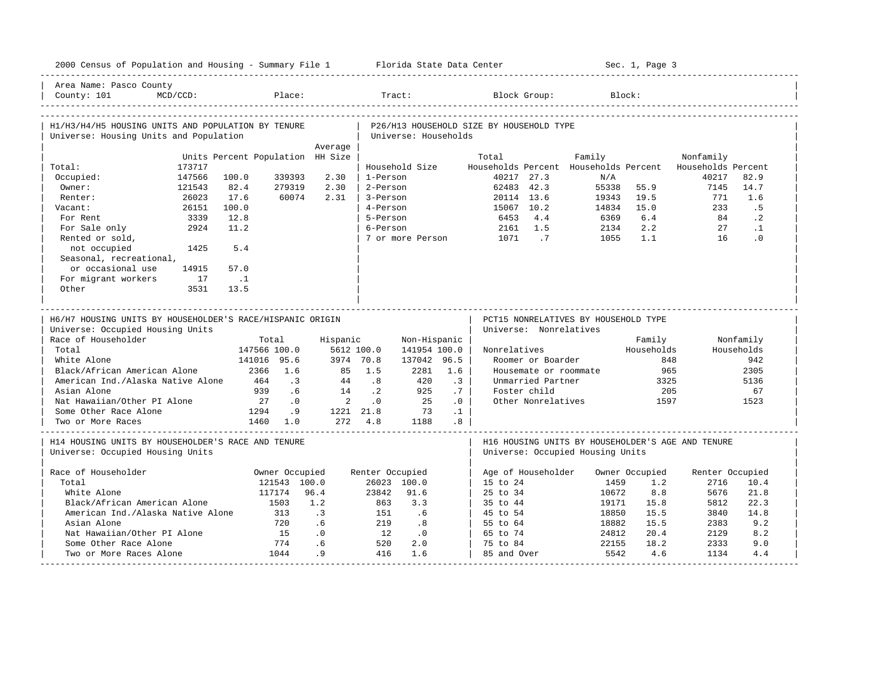| 2000 Census of Population and Housing - Summary File 1 Florida State Data Center       |                                  |                                                     |                 |                      |                 |                                          |                        |                                                   | Sec. 1, Page 3 |                             |            |
|----------------------------------------------------------------------------------------|----------------------------------|-----------------------------------------------------|-----------------|----------------------|-----------------|------------------------------------------|------------------------|---------------------------------------------------|----------------|-----------------------------|------------|
| Area Name: Pasco County<br>County: 101<br>$MCD/CCD$ :                                  | Place:                           |                                                     |                 | Tract:               |                 |                                          | Block Group:           |                                                   | Block:         |                             |            |
| H1/H3/H4/H5 HOUSING UNITS AND POPULATION BY TENURE                                     |                                  |                                                     |                 |                      |                 | P26/H13 HOUSEHOLD SIZE BY HOUSEHOLD TYPE |                        |                                                   |                |                             |            |
| Universe: Housing Units and Population                                                 |                                  |                                                     |                 | Universe: Households |                 |                                          |                        |                                                   |                |                             |            |
|                                                                                        |                                  | Average                                             |                 |                      |                 |                                          |                        |                                                   |                |                             |            |
|                                                                                        | Units Percent Population HH Size |                                                     |                 |                      |                 | Total                                    |                        | Family                                            |                | Nonfamily                   |            |
| 173717<br>Total:<br>147566                                                             | 100.0<br>339393                  | 2.30                                                | 1-Person        | Household Size       |                 |                                          | 40217 27.3             | Households Percent Households Percent<br>N/A      |                | Households Percent<br>40217 | 82.9       |
| Occupied:<br>Owner:<br>121543                                                          | 82.4<br>279319                   | 2.30                                                | 2-Person        |                      |                 | 62483 42.3                               |                        | 55338                                             | 55.9           | 7145                        | 14.7       |
| 26023<br>Renter:                                                                       | 17.6                             | 60074<br>2.31                                       | 3-Person        |                      |                 | 20114 13.6                               |                        | 19343                                             | 19.5           | 771                         | 1.6        |
| 26151<br>Vacant:                                                                       | 100.0                            |                                                     | 4-Person        |                      |                 | 15067 10.2                               |                        | 14834                                             | 15.0           | 233                         | .5         |
| 3339<br>For Rent                                                                       | 12.8                             |                                                     | 5-Person        |                      |                 | 6453                                     | 4.4                    | 6369                                              | 6.4            | 84                          | $\cdot$ 2  |
| 2924<br>For Sale only                                                                  | 11.2                             |                                                     | 6-Person        |                      |                 | 2161                                     | 1.5                    | 2134                                              | 2.2            | 27                          | $\cdot$ 1  |
| Rented or sold,                                                                        |                                  |                                                     |                 | 7 or more Person     |                 | 1071                                     | $\cdot$ 7              | 1055                                              | 1.1            | 16                          | $\cdot$ 0  |
| not occupied<br>1425                                                                   | 5.4                              |                                                     |                 |                      |                 |                                          |                        |                                                   |                |                             |            |
| Seasonal, recreational,                                                                |                                  |                                                     |                 |                      |                 |                                          |                        |                                                   |                |                             |            |
| or occasional use<br>14915                                                             | 57.0                             |                                                     |                 |                      |                 |                                          |                        |                                                   |                |                             |            |
| For migrant workers<br>17                                                              | $\ldots$                         |                                                     |                 |                      |                 |                                          |                        |                                                   |                |                             |            |
| Other<br>3531                                                                          | 13.5                             |                                                     |                 |                      |                 |                                          |                        |                                                   |                |                             |            |
|                                                                                        |                                  |                                                     |                 |                      |                 |                                          |                        |                                                   |                |                             |            |
|                                                                                        |                                  |                                                     |                 |                      |                 |                                          |                        |                                                   |                |                             |            |
|                                                                                        |                                  |                                                     |                 |                      |                 |                                          |                        |                                                   |                |                             |            |
| H6/H7 HOUSING UNITS BY HOUSEHOLDER'S RACE/HISPANIC ORIGIN                              |                                  |                                                     |                 |                      |                 |                                          |                        | PCT15 NONRELATIVES BY HOUSEHOLD TYPE              |                |                             |            |
| Universe: Occupied Housing Units                                                       |                                  |                                                     |                 |                      |                 |                                          | Universe: Nonrelatives |                                                   |                |                             |            |
| Race of Householder                                                                    | Total                            | Hispanic                                            |                 | Non-Hispanic         |                 |                                          |                        |                                                   | Family         |                             | Nonfamily  |
| Total                                                                                  | 147566 100.0                     |                                                     | 5612 100.0      | 141954 100.0         |                 | Nonrelatives                             |                        |                                                   | Households     |                             | Households |
| White Alone                                                                            | 141016 95.6                      |                                                     | 3974 70.8       | 137042 96.5          |                 |                                          | Roomer or Boarder      |                                                   | 848            |                             | 942        |
| Black/African American Alone                                                           | 2366 1.6                         | 85                                                  | 1.5             | 2281                 | 1.6             |                                          | Housemate or roommate  |                                                   | 965            |                             | 2305       |
| American Ind./Alaska Native Alone<br>Asian Alone                                       | 464<br>939                       | $\cdot$ 3<br>44                                     | .8              | 420                  | $\cdot$ 3       |                                          | Unmarried Partner      |                                                   | 3325           |                             | 5136       |
|                                                                                        | 27                               | .6<br>14<br>$\cdot$ 0<br>$\overline{\phantom{a}}$ 2 | $\cdot$ 2<br>.0 | 925<br>25            | .7              |                                          | Foster child           |                                                   | 205            |                             | 67<br>1523 |
| Nat Hawaiian/Other PI Alone<br>Some Other Race Alone                                   | 1294                             | .9                                                  | 1221 21.8       | 73                   | .0<br>$\cdot$ 1 |                                          | Other Nonrelatives     |                                                   | 1597           |                             |            |
| Two or More Races                                                                      | 1460 1.0                         |                                                     | 272 4.8         | 1188                 | .8 <sub>0</sub> |                                          |                        |                                                   |                |                             |            |
| H14 HOUSING UNITS BY HOUSEHOLDER'S RACE AND TENURE<br>Universe: Occupied Housing Units |                                  |                                                     |                 |                      |                 |                                          |                        | H16 HOUSING UNITS BY HOUSEHOLDER'S AGE AND TENURE |                |                             |            |
|                                                                                        |                                  |                                                     |                 |                      |                 |                                          |                        | Universe: Occupied Housing Units                  |                |                             |            |
| Race of Householder                                                                    | Owner Occupied                   |                                                     | Renter Occupied |                      |                 |                                          | Age of Householder     |                                                   | Owner Occupied | Renter Occupied             |            |
| Total                                                                                  | 121543 100.0                     |                                                     |                 | 26023 100.0          |                 | 15 to 24                                 |                        | 1459                                              | 1.2            | 2716                        | 10.4       |
| White Alone                                                                            | 117174                           | 96.4                                                | 23842           | 91.6                 |                 | $25 \text{ to } 34$                      |                        | 10672                                             | 8.8            | 5676                        | 21.8       |
| Black/African American Alone                                                           | 1503                             | 1.2                                                 | 863             | 3.3                  |                 | 35 to 44                                 |                        | 19171                                             | 15.8           | 5812                        | 22.3       |
| American Ind./Alaska Native Alone                                                      | 313                              | $\cdot$ 3                                           | 151             | .6                   |                 | 45 to 54                                 |                        | 18850                                             | 15.5           | 3840                        | 14.8       |
| Asian Alone                                                                            | 720                              | .6                                                  | 219             | .8                   |                 | 55 to 64                                 |                        | 18882                                             | 15.5           | 2383                        | 9.2        |
| Nat Hawaiian/Other PI Alone                                                            | 15                               | .0                                                  | 12              | $\cdot$ 0            |                 | 65 to 74                                 |                        | 24812                                             | 20.4           | 2129                        | 8.2        |
| Some Other Race Alone<br>Two or More Races Alone                                       | 774<br>1044                      | .6<br>.9                                            | 520<br>416      | 2.0<br>1.6           |                 | 75 to 84<br>85 and Over                  |                        | 22155<br>5542                                     | 18.2<br>4.6    | 2333<br>1134                | 9.0<br>4.4 |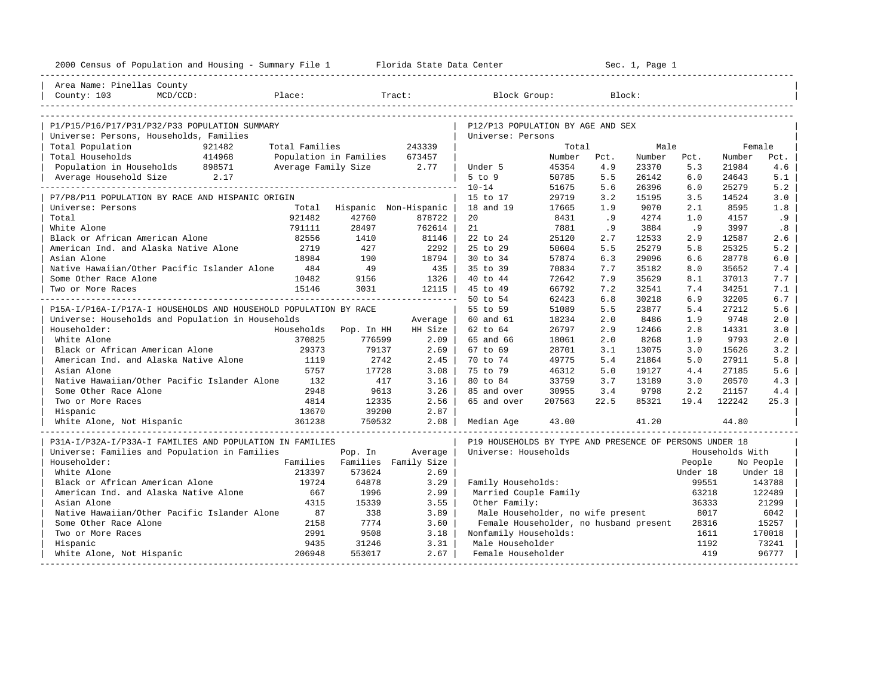| 2000 Census of Population and Housing - Summary File 1 Florida State Data Center         |                |                          |                                |                                                         |        |        | Sec. 1, Page 1 |          |                 |           |
|------------------------------------------------------------------------------------------|----------------|--------------------------|--------------------------------|---------------------------------------------------------|--------|--------|----------------|----------|-----------------|-----------|
| Area Name: Pinellas County                                                               |                |                          |                                |                                                         |        |        |                |          |                 |           |
| $MCD/CCD$ :<br>Place:<br>County: 103                                                     |                |                          | Tract:                         | Block Group:                                            |        | Block: |                |          |                 |           |
|                                                                                          |                |                          |                                |                                                         |        |        |                |          |                 |           |
| P1/P15/P16/P17/P31/P32/P33 POPULATION SUMMARY<br>Universe: Persons, Households, Families |                |                          |                                | P12/P13 POPULATION BY AGE AND SEX<br>Universe: Persons  |        |        |                |          |                 |           |
| Total Population<br>921482                                                               | Total Families |                          | 243339                         |                                                         | Total  |        | Male           |          | Female          |           |
| 414968<br>Total Households                                                               |                | Population in Families   | 673457                         |                                                         | Number | Pct.   | Number         | Pct.     | Number          | Pct.      |
| Population in Households 898571                                                          |                | Average Family Size 2.77 |                                | Under 5                                                 | 45354  | 4.9    | 23370          | 5.3      | 21984           | 4.6       |
| Average Household Size 2.17                                                              |                |                          |                                | $5$ to $9$                                              | 50785  | 5.5    | 26142          | 6.0      | 24643           | 5.1       |
|                                                                                          |                |                          |                                | $10 - 14$                                               | 51675  | 5.6    | 26396          | 6.0      | 25279           | 5.2       |
| P7/P8/P11 POPULATION BY RACE AND HISPANIC ORIGIN                                         |                |                          |                                | 15 to 17                                                | 29719  | 3.2    | 15195          | 3.5      | 14524           | 3.0       |
| Universe: Persons                                                                        |                |                          | Total Hispanic Non-Hispanic    | 18 and 19                                               | 17665  | 1.9    | 9070           | 2.1      | 8595            | 1.8       |
| Total                                                                                    | 921482         | 42760                    | 878722                         | 20                                                      | 8431   | .9     | 4274           | 1.0      | 4157            | .9        |
| White Alone                                                                              | 791111         | 28497                    | 762614                         | 21                                                      | 7881   | .9     | 3884           | .9       | 3997            | .8        |
| Black or African American Alone                                                          | 82556          | 1410                     | 81146                          | 22 to 24                                                | 25120  | 2.7    | 12533          | 2.9      | 12587           | 2.6       |
| American Ind. and Alaska Native Alone                                                    | 2719           | 427                      | 2292                           | 25 to 29                                                | 50604  | 5.5    | 25279          | 5.8      | 25325           | 5.2       |
| Asian Alone                                                                              | 18984          | 190                      | 18794                          | 30 to 34                                                | 57874  | 6.3    | 29096          | 6.6      | 28778           | 6.0       |
| Native Hawaiian/Other Pacific Islander Alone                                             | 484            | 49                       | 435                            | 35 to 39                                                | 70834  | 7.7    | 35182          | 8.0      | 35652           | 7.4       |
| Some Other Race Alone                                                                    | 10482          | 9156                     | 1326                           | 40 to 44                                                | 72642  | 7.9    | 35629          | 8.1      | 37013           | 7.7       |
| Two or More Races                                                                        | 15146          | 3031                     | 12115                          | 45 to 49                                                | 66792  | 7.2    | 32541          | 7.4      | 34251           | 7.1       |
|                                                                                          |                |                          | ------------------------------ | 50 to 54                                                | 62423  | 6.8    | 30218          | 6.9      | 32205           | 6.7       |
| P15A-I/P16A-I/P17A-I HOUSEHOLDS AND HOUSEHOLD POPULATION BY RACE                         |                |                          |                                | 55 to 59                                                | 51089  | 5.5    | 23877          | 5.4      | 27212           | 5.6       |
| Universe: Households and Population in Households                                        |                |                          | Average                        | 60 and 61                                               | 18234  | 2.0    | 8486           | 1.9      | 9748            | 2.0       |
| Householder:                                                                             | Households     | Pop. In HH               | HH Size                        | 62 to 64                                                | 26797  | 2.9    | 12466          | 2.8      | 14331           | 3.0       |
| White Alone                                                                              | 370825         | 776599                   | 2.09                           | 65 and 66                                               | 18061  | 2.0    | 8268           | 1.9      | 9793            | 2.0       |
| Black or African American Alone                                                          | 29373          | 79137                    | 2.69                           | 67 to 69                                                | 28701  | 3.1    | 13075          | 3.0      | 15626           | 3.2       |
| American Ind. and Alaska Native Alone                                                    | 1119           | 2742                     | 2.45                           | 70 to 74                                                | 49775  | 5.4    | 21864          | 5.0      | 27911           | 5.8       |
| Asian Alone                                                                              | 5757           | 17728                    | 3.08                           | 75 to 79                                                | 46312  | 5.0    | 19127          | 4.4      | 27185           | 5.6       |
| Native Hawaiian/Other Pacific Islander Alone                                             | 132            | 417                      | 3.16                           | 80 to 84                                                | 33759  | 3.7    | 13189          | 3.0      | 20570           | 4.3       |
| Some Other Race Alone                                                                    | 2948           | 9613                     | 3.26                           | 85 and over                                             | 30955  | 3.4    | 9798           | 2.2      | 21157           | 4.4       |
| Two or More Races                                                                        | 4814           | 12335                    | 2.56                           | 65 and over                                             | 207563 | 22.5   | 85321          | 19.4     | 122242          | 25.3      |
| Hispanic                                                                                 | 13670          | 39200                    | 2.87                           |                                                         |        |        |                |          |                 |           |
| White Alone, Not Hispanic                                                                | 361238         | 750532                   | 2.08                           | Median Age                                              | 43.00  |        | 41.20          |          | 44.80           |           |
| P31A-I/P32A-I/P33A-I FAMILIES AND POPULATION IN FAMILIES                                 |                |                          |                                | P19 HOUSEHOLDS BY TYPE AND PRESENCE OF PERSONS UNDER 18 |        |        |                |          |                 |           |
| Universe: Families and Population in Families                                            |                | Pop. In                  | Average                        | Universe: Households                                    |        |        |                |          | Households With |           |
| Householder:                                                                             |                |                          | Families Families Family Size  |                                                         |        |        |                | People   |                 | No People |
| White Alone                                                                              | 213397         | 573624                   | 2.69                           |                                                         |        |        |                | Under 18 |                 | Under 18  |
| Black or African American Alone                                                          | 19724          | 64878                    | 3.29                           | Family Households:                                      |        |        |                | 99551    |                 | 143788    |
| American Ind. and Alaska Native Alone                                                    | 667            | 1996                     | 2.99                           | Married Couple Family                                   |        |        |                | 63218    |                 | 122489    |
| Asian Alone                                                                              | 4315           | 15339                    | 3.55                           | Other Family:                                           |        |        |                | 36333    |                 | 21299     |
| Native Hawaiian/Other Pacific Islander Alone                                             | 87             | 338                      | 3.89                           | Male Householder, no wife present                       |        |        |                | 8017     |                 | 6042      |
| Some Other Race Alone                                                                    | 2158           | 7774                     | 3.60                           | Female Householder, no husband present                  |        |        |                | 28316    |                 | 15257     |
| Two or More Races                                                                        | 2991           | 9508                     | 3.18                           | Nonfamily Households:                                   |        |        |                | 1611     |                 | 170018    |
| Hispanic                                                                                 | 9435           | 31246                    | 3.31                           | Male Householder                                        |        |        |                | 1192     |                 | 73241     |
| White Alone, Not Hispanic                                                                | 206948         | 553017                   | 2.67                           | Female Householder                                      |        |        |                | 419      |                 | 96777     |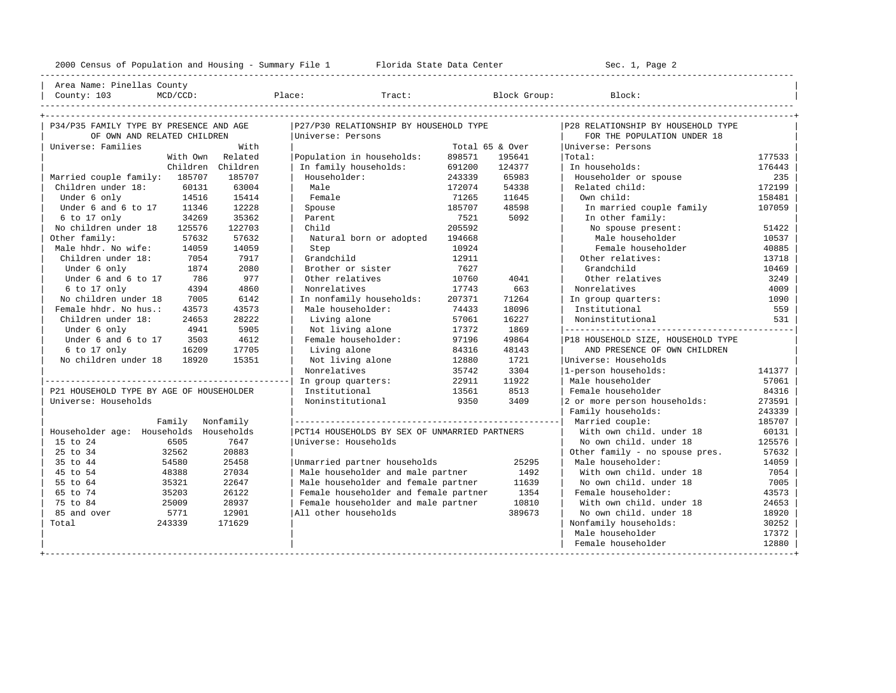----------------------------------------------------------------------------------------------------------------------------------------------------

| Area Name: Pinellas County | | County: 103 MCD/CCD: Place: Tract: Block Group: Block: |

| P34/P35 FAMILY TYPE BY PRESENCE AND AGE  |           | P27/P30 RELATIONSHIP BY HOUSEHOLD TYPE        |        |                 | P28 RELATIONSHIP BY HOUSEHOLD TYPE |        |
|------------------------------------------|-----------|-----------------------------------------------|--------|-----------------|------------------------------------|--------|
| OF OWN AND RELATED CHILDREN              |           | Universe: Persons                             |        |                 | FOR THE POPULATION UNDER 18        |        |
| Universe: Families                       | With      |                                               |        | Total 65 & Over | Universe: Persons                  |        |
| With Own                                 | Related   | Population in households:                     | 898571 | 195641          | Total:                             | 177533 |
| Children Children                        |           | In family households:                         | 691200 | 124377          | In households:                     | 176443 |
| Married couple family: 185707            | 185707    | Householder:                                  | 243339 | 65983           | Householder or spouse              | 235    |
| Children under 18:<br>60131              | 63004     | Male                                          | 172074 | 54338           | Related child:                     | 172199 |
| Under 6 only<br>14516                    | 15414     | Female                                        | 71265  | 11645           | Own child:                         | 158481 |
| Under 6 and 6 to 17<br>11346             | 12228     | Spouse                                        | 185707 | 48598           | In married couple family           | 107059 |
| 6 to 17 only<br>34269                    | 35362     | Parent                                        | 7521   | 5092            | In other family:                   |        |
| No children under 18<br>125576           | 122703    | Child                                         | 205592 |                 | No spouse present:                 | 51422  |
| Other family:<br>57632                   | 57632     | Natural born or adopted                       | 194668 |                 | Male householder                   | 10537  |
| Male hhdr. No wife:<br>14059             | 14059     | Step                                          | 10924  |                 | Female householder                 | 40885  |
| Children under 18:<br>7054               | 7917      | Grandchild                                    | 12911  |                 | Other relatives:                   | 13718  |
| Under 6 only<br>1874                     | 2080      | Brother or sister                             | 7627   |                 | Grandchild                         | 10469  |
| Under 6 and 6 to 17<br>786               | 977       | Other relatives                               | 10760  | 4041            | Other relatives                    | 3249   |
| 6 to 17 only<br>4394                     | 4860      | Nonrelatives                                  | 17743  | 663             | Nonrelatives                       | 4009   |
| No children under 18<br>7005             | 6142      | In nonfamily households:                      | 207371 | 71264           | In group quarters:                 | 1090   |
| Female hhdr. No hus.:<br>43573           | 43573     | Male householder:                             | 74433  | 18096           | Institutional                      | 559    |
| Children under 18:<br>24653              | 28222     | Living alone                                  | 57061  | 16227           | Noninstitutional                   | 531    |
| Under 6 only<br>4941                     | 5905      | Not living alone                              | 17372  | 1869            |                                    |        |
| Under 6 and 6 to 17<br>3503              | 4612      | Female householder:                           | 97196  | 49864           | P18 HOUSEHOLD SIZE, HOUSEHOLD TYPE |        |
| 6 to 17 only<br>16209                    | 17705     | Living alone                                  | 84316  | 48143           | AND PRESENCE OF OWN CHILDREN       |        |
| No children under 18<br>18920            | 15351     | Not living alone                              | 12880  | 1721            | Universe: Households               |        |
|                                          |           | Nonrelatives                                  | 35742  | 3304            | 1-person households:               | 141377 |
|                                          |           | In group quarters:                            | 22911  | 11922           | Male householder                   | 57061  |
| P21 HOUSEHOLD TYPE BY AGE OF HOUSEHOLDER |           | Institutional                                 | 13561  | 8513            | Female householder                 | 84316  |
| Universe: Households                     |           | Noninstitutional                              | 9350   | 3409            | 2 or more person households:       | 273591 |
|                                          |           |                                               |        |                 | Family households:                 | 243339 |
| Family                                   | Nonfamily |                                               |        |                 | Married couple:                    | 185707 |
| Householder age: Households Households   |           | PCT14 HOUSEHOLDS BY SEX OF UNMARRIED PARTNERS |        |                 | With own child. under 18           | 60131  |
| 15 to 24<br>6505                         | 7647      | Universe: Households                          |        |                 | No own child, under 18             | 125576 |
| 25 to 34<br>32562                        | 20883     |                                               |        |                 | Other family - no spouse pres.     | 57632  |
| 35 to 44<br>54580                        | 25458     | Unmarried partner households                  |        | 25295           | Male householder:                  | 14059  |
| 45 to 54<br>48388                        | 27034     | Male householder and male partner             |        | 1492            | With own child, under 18           | 7054   |
| 55 to 64<br>35321                        | 22647     | Male householder and female partner           |        | 11639           | No own child. under 18             | 7005   |
| 65 to 74<br>35203                        | 26122     | Female householder and female partner         |        | 1354            | Female householder:                | 43573  |
| 75 to 84<br>25009                        | 28937     | Female householder and male partner           |        | 10810           | With own child, under 18           | 24653  |
| 85 and over<br>5771                      | 12901     | All other households                          |        | 389673          | No own child, under 18             | 18920  |
| 243339<br>Total                          | 171629    |                                               |        |                 | Nonfamily households:              | 30252  |
|                                          |           |                                               |        |                 | Male householder                   | 17372  |
|                                          |           |                                               |        |                 | Female householder                 | 12880  |
|                                          |           |                                               |        |                 |                                    |        |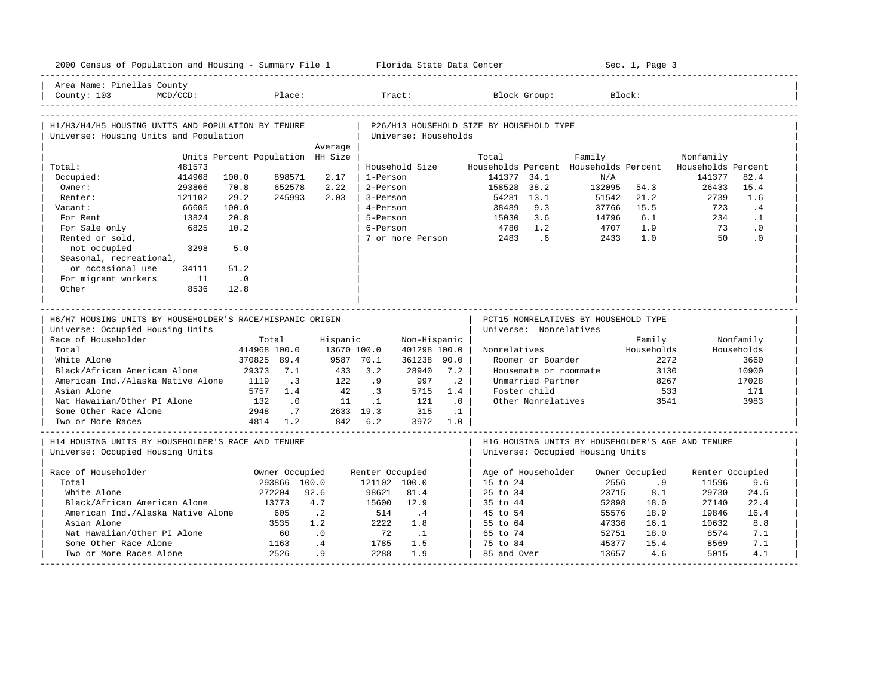| 2000 Census of Population and Housing - Summary File 1 Florida State Data Center             |          |                                  |                |             |                 |                      |           |                                          |                    |                                       | Sec. 1, Page 3 |                                                   |            |
|----------------------------------------------------------------------------------------------|----------|----------------------------------|----------------|-------------|-----------------|----------------------|-----------|------------------------------------------|--------------------|---------------------------------------|----------------|---------------------------------------------------|------------|
| Area Name: Pinellas County<br>County: 103                                                    | MCD/CCD: |                                  | Place:         |             |                 | Tract:               |           |                                          | Block Group:       |                                       | Block:         |                                                   |            |
| H1/H3/H4/H5 HOUSING UNITS AND POPULATION BY TENURE<br>Universe: Housing Units and Population |          |                                  |                |             |                 | Universe: Households |           | P26/H13 HOUSEHOLD SIZE BY HOUSEHOLD TYPE |                    |                                       |                |                                                   |            |
|                                                                                              |          |                                  |                | Average     |                 |                      |           |                                          |                    |                                       |                |                                                   |            |
|                                                                                              |          | Units Percent Population HH Size |                |             |                 |                      |           | Total                                    |                    | Family                                |                | Nonfamily                                         |            |
| Total:                                                                                       | 481573   |                                  |                |             |                 | Household Size       |           |                                          |                    | Households Percent Households Percent |                | Households Percent                                |            |
| Occupied:                                                                                    | 414968   | 100.0                            | 898571         | 2.17        | 1-Person        |                      |           | 141377 34.1                              |                    | N/A                                   |                | 141377                                            | 82.4       |
| Owner:                                                                                       | 293866   | 70.8                             | 652578         | 2.22        | 2-Person        |                      |           | 158528 38.2                              |                    | 132095                                | 54.3           | 26433                                             | 15.4       |
| Renter:                                                                                      | 121102   | 29.2                             | 245993         | 2.03        | 3-Person        |                      |           | 54281 13.1                               |                    | 51542                                 | 21.2           | 2739                                              | 1.6        |
| Vacant:                                                                                      | 66605    | 100.0                            |                |             | 4-Person        |                      |           | 38489                                    | 9.3                | 37766                                 | 15.5           | 723                                               | .4         |
| For Rent                                                                                     | 13824    | 20.8                             |                |             | 5-Person        |                      |           | 15030                                    | 3.6                | 14796                                 | 6.1            | 234                                               | $\cdot$ 1  |
| For Sale only                                                                                | 6825     | 10.2                             |                |             | 6-Person        |                      |           | 4780                                     | 1.2<br>.6          | 4707                                  | 1.9<br>1.0     | 73<br>50                                          | $\cdot$ 0  |
| Rented or sold,                                                                              |          |                                  |                |             |                 | 7 or more Person     |           | 2483                                     |                    | 2433                                  |                |                                                   | .0         |
| not occupied                                                                                 | 3298     | 5.0                              |                |             |                 |                      |           |                                          |                    |                                       |                |                                                   |            |
| Seasonal, recreational,                                                                      |          |                                  |                |             |                 |                      |           |                                          |                    |                                       |                |                                                   |            |
| or occasional use                                                                            | 34111    | 51.2                             |                |             |                 |                      |           |                                          |                    |                                       |                |                                                   |            |
| For migrant workers<br>Other                                                                 | 11       | $\overline{0}$<br>12.8           |                |             |                 |                      |           |                                          |                    |                                       |                |                                                   |            |
|                                                                                              | 8536     |                                  |                |             |                 |                      |           |                                          |                    |                                       |                |                                                   |            |
|                                                                                              |          |                                  |                |             |                 |                      |           |                                          |                    |                                       |                |                                                   |            |
|                                                                                              |          |                                  |                |             |                 |                      |           |                                          |                    |                                       |                |                                                   |            |
|                                                                                              |          |                                  |                |             |                 |                      |           |                                          |                    |                                       |                |                                                   |            |
| H6/H7 HOUSING UNITS BY HOUSEHOLDER'S RACE/HISPANIC ORIGIN                                    |          |                                  |                |             |                 |                      |           |                                          |                    | PCT15 NONRELATIVES BY HOUSEHOLD TYPE  |                |                                                   |            |
| Universe: Occupied Housing Units                                                             |          |                                  |                |             |                 |                      |           | Universe: Nonrelatives                   |                    |                                       |                |                                                   |            |
| Race of Householder                                                                          |          |                                  | Total          | Hispanic    |                 | Non-Hispanic         |           |                                          |                    |                                       | Family         |                                                   | Nonfamily  |
| Total                                                                                        |          | 414968 100.0                     |                | 13670 100.0 |                 | 401298 100.0         |           | Nonrelatives                             |                    |                                       | Households     |                                                   | Households |
| White Alone                                                                                  |          | 370825 89.4                      |                | 9587 70.1   |                 | 361238 90.0          |           |                                          | Roomer or Boarder  |                                       | 2272           |                                                   | 3660       |
| Black/African American Alone                                                                 |          |                                  | 29373 7.1      | 433         | 3.2             | 28940                | 7.2       |                                          |                    | Housemate or roommate                 | 3130           |                                                   | 10900      |
| American Ind./Alaska Native Alone                                                            |          | 1119                             | $\cdot$ 3      | 122         | .9              | 997                  | $\cdot$ 2 |                                          | Unmarried Partner  |                                       | 8267           |                                                   | 17028      |
| Asian Alone                                                                                  |          | 5757                             | 1.4            | 42          | .3              | 5715                 | 1.4       |                                          | Foster child       |                                       | 533            |                                                   | 171        |
| Nat Hawaiian/Other PI Alone                                                                  |          | 132                              | $\cdot$ 0      | 11          | $\cdot$ 1       | 121                  | $\cdot$ 0 |                                          | Other Nonrelatives |                                       | 3541           |                                                   | 3983       |
| Some Other Race Alone<br>Two or More Races                                                   |          | 2948                             | .7<br>4814 1.2 | 2633 19.3   | 842 6.2         | 315                  | $\cdot$ 1 |                                          |                    |                                       |                |                                                   |            |
|                                                                                              |          |                                  |                |             |                 |                      | 3972 1.0  |                                          |                    |                                       |                |                                                   |            |
| H14 HOUSING UNITS BY HOUSEHOLDER'S RACE AND TENURE                                           |          |                                  |                |             |                 |                      |           |                                          |                    |                                       |                | H16 HOUSING UNITS BY HOUSEHOLDER'S AGE AND TENURE |            |
| Universe: Occupied Housing Units                                                             |          |                                  |                |             |                 |                      |           |                                          |                    | Universe: Occupied Housing Units      |                |                                                   |            |
|                                                                                              |          |                                  |                |             |                 |                      |           |                                          |                    |                                       |                |                                                   |            |
| Race of Householder                                                                          |          |                                  | Owner Occupied |             | Renter Occupied |                      |           | Age of Householder                       |                    |                                       | Owner Occupied | Renter Occupied                                   |            |
| Total                                                                                        |          |                                  | 293866 100.0   |             | 121102 100.0    |                      |           | 15 to 24                                 |                    | 2556                                  | .9             | 11596                                             | 9.6        |
| White Alone                                                                                  |          |                                  | 272204         | 92.6        | 98621           | 81.4                 |           | $25 \text{ to } 34$                      |                    | 23715                                 | 8.1            | 29730                                             | 24.5       |
| Black/African American Alone                                                                 |          |                                  | 13773          | 4.7         | 15600           | 12.9                 |           | 35 to 44                                 |                    | 52898                                 | 18.0           | 27140                                             | 22.4       |
| American Ind./Alaska Native Alone                                                            |          |                                  | 605            | $\cdot$ . 2 | 514             | $\cdot$ 4            |           | 45 to 54                                 |                    | 55576                                 | 18.9           | 19846                                             | 16.4       |
| Asian Alone                                                                                  |          |                                  | 3535           | 1.2         | 2222            | 1.8                  |           | 55 to 64                                 |                    | 47336                                 | 16.1           | 10632                                             | 8.8        |
| Nat Hawaiian/Other PI Alone                                                                  |          |                                  | 60             | .0          | 72              | $\ldots$ 1           |           | 65 to 74                                 |                    | 52751                                 | 18.0           | 8574                                              | 7.1        |
| Some Other Race Alone                                                                        |          |                                  | 1163           | .4          | 1785            | 1.5                  |           | 75 to 84                                 |                    | 45377                                 | 15.4           | 8569                                              | 7.1        |
| Two or More Races Alone                                                                      |          |                                  | 2526           | .9          | 2288            | 1.9                  |           | 85 and Over                              |                    | 13657                                 | 4.6            | 5015                                              | 4.1        |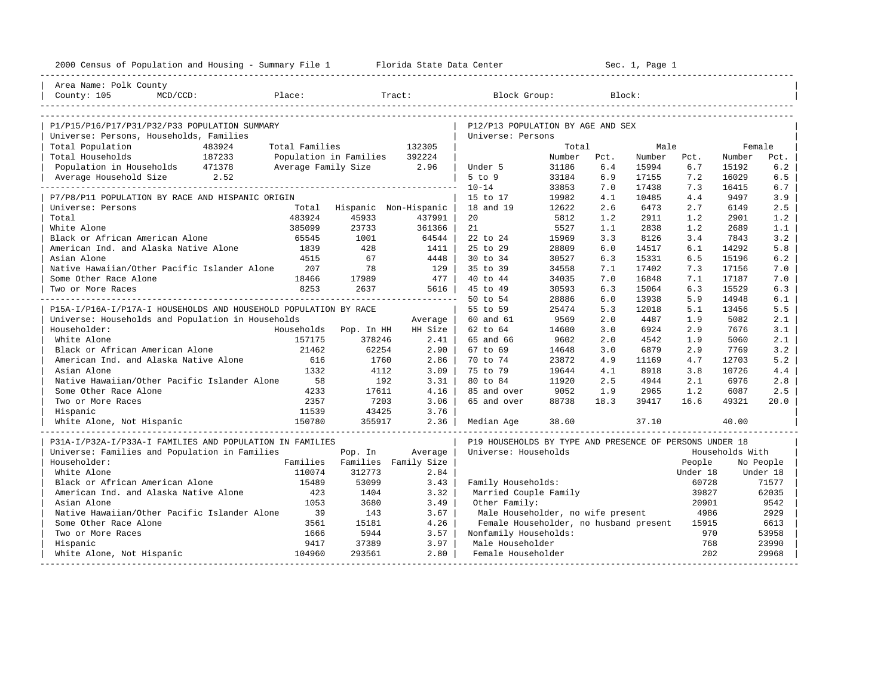| 2000 Census of Population and Housing - Summary File 1 Florida State Data Center |                |                               |         |                                                         |                |            | Sec. 1, Page 1 |            |                 |            |
|----------------------------------------------------------------------------------|----------------|-------------------------------|---------|---------------------------------------------------------|----------------|------------|----------------|------------|-----------------|------------|
| Area Name: Polk County                                                           |                |                               |         |                                                         |                |            |                |            |                 |            |
| Place:<br>County: 105<br>$MCD/CCD$ :                                             |                |                               | Tract:  | Block Group:                                            |                |            | Block:         |            |                 |            |
|                                                                                  |                |                               |         |                                                         |                |            |                |            |                 |            |
| P1/P15/P16/P17/P31/P32/P33 POPULATION SUMMARY                                    |                |                               |         | P12/P13 POPULATION BY AGE AND SEX                       |                |            |                |            |                 |            |
| Universe: Persons, Households, Families                                          |                |                               |         | Universe: Persons                                       |                |            |                |            |                 |            |
| Total Population<br>483924                                                       | Total Families |                               | 132305  |                                                         | Total          |            | Male           |            | Female          |            |
| 187233<br>Total Households                                                       |                | Population in Families        | 392224  |                                                         | Number         | Pct.       | Number         | Pct.       | Number          | Pct.       |
| Population in Households 471378                                                  |                | Average Family Size 2.96      |         | Under 5                                                 | 31186          | 6.4        | 15994          | 6.7        | 15192           | 6.2        |
| Average Household Size 2.52                                                      |                |                               |         | $5$ to $9$<br>$10 - 14$                                 | 33184<br>33853 | 6.9<br>7.0 | 17155<br>17438 | 7.2<br>7.3 | 16029<br>16415  | 6.5<br>6.7 |
| P7/P8/P11 POPULATION BY RACE AND HISPANIC ORIGIN                                 |                |                               |         | 15 to 17                                                | 19982          | 4.1        | 10485          | 4.4        | 9497            | 3.9        |
| Universe: Persons                                                                | Total          | Hispanic Non-Hispanic         |         | 18 and 19                                               | 12622          | 2.6        | 6473           | 2.7        | 6149            | 2.5        |
| Total                                                                            | 483924         | 45933                         | 437991  | 20                                                      | 5812           | 1.2        | 2911           | 1.2        | 2901            | 1.2        |
| White Alone                                                                      | 385099         | 23733                         | 361366  | 21                                                      | 5527           | 1.1        | 2838           | 1.2        | 2689            | 1.1        |
| Black or African American Alone                                                  | 65545          | 1001                          | 64544   | 22 to 24                                                | 15969          | 3.3        | 8126           | 3.4        | 7843            | 3.2        |
| American Ind. and Alaska Native Alone                                            | 1839           | 428                           | 1411    | 25 to 29                                                | 28809          | 6.0        | 14517          | 6.1        | 14292           | 5.8        |
| Asian Alone                                                                      | 4515           | 67                            | 4448    | 30 to 34                                                | 30527          | 6.3        | 15331          | 6.5        | 15196           | 6.2        |
| Native Hawaiian/Other Pacific Islander Alone                                     | 207            | 78                            | 129     | 35 to 39                                                | 34558          | 7.1        | 17402          | 7.3        | 17156           | 7.0        |
| Some Other Race Alone                                                            | 18466          | 17989                         | 477     | 40 to 44                                                | 34035          | 7.0        | 16848          | 7.1        | 17187           | 7.0        |
| Two or More Races                                                                | 8253           | 2637                          | 5616    | 45 to 49                                                | 30593          | 6.3        | 15064          | 6.3        | 15529           | 6.3        |
|                                                                                  |                |                               |         | 50 to 54                                                | 28886          | 6.0        | 13938          | 5.9        | 14948           | 6.1        |
| P15A-I/P16A-I/P17A-I HOUSEHOLDS AND HOUSEHOLD POPULATION BY RACE                 |                |                               |         | 55 to 59                                                | 25474          | 5.3        | 12018          | 5.1        | 13456           | 5.5        |
| Universe: Households and Population in Households                                |                |                               | Average | 60 and 61                                               | 9569           | 2.0        | 4487           | 1.9        | 5082            | 2.1        |
| Householder:                                                                     |                | Households Pop. In HH         | HH Size | 62 to 64                                                | 14600          | 3.0        | 6924           | 2.9        | 7676            | 3.1        |
| White Alone                                                                      | 157175         | 378246                        | 2.41    | 65 and 66                                               | 9602           | 2.0        | 4542           | 1.9        | 5060            | 2.1        |
| Black or African American Alone                                                  | 21462          | 62254                         | $2.90$  | 67 to 69                                                | 14648          | 3.0        | 6879           | 2.9        | 7769            | 3.2        |
| American Ind. and Alaska Native Alone                                            | 616            | 1760                          | 2.86    | 70 to 74                                                | 23872          | 4.9        | 11169          | 4.7        | 12703           | 5.2        |
| Asian Alone                                                                      | 1332           | 4112                          | 3.09    | 75 to 79                                                | 19644          | 4.1        | 8918           | 3.8        | 10726           | 4.4        |
| Native Hawaiian/Other Pacific Islander Alone                                     | 58             | 192                           | 3.31    | 80 to 84                                                | 11920          | 2.5        | 4944           | 2.1        | 6976            | 2.8        |
| Some Other Race Alone                                                            | 4233           | 17611                         | 4.16    | 85 and over                                             | 9052           | 1.9        | 2965           | 1.2        | 6087            | 2.5        |
| Two or More Races                                                                | 2357           | 7203                          | 3.06    | 65 and over                                             | 88738          | 18.3       | 39417          | 16.6       | 49321           | 20.0       |
| Hispanic                                                                         | 11539          | 43425                         | 3.76    |                                                         |                |            |                |            |                 |            |
| White Alone, Not Hispanic                                                        | 150780         | 355917                        | 2.36    | Median Age                                              | 38.60          |            | 37.10          |            | 40.00           |            |
| P31A-I/P32A-I/P33A-I FAMILIES AND POPULATION IN FAMILIES                         |                |                               |         | P19 HOUSEHOLDS BY TYPE AND PRESENCE OF PERSONS UNDER 18 |                |            |                |            |                 |            |
| Universe: Families and Population in Families                                    |                | Pop. In                       | Average | Universe: Households                                    |                |            |                |            | Households With |            |
| Householder:                                                                     |                | Families Families Family Size |         |                                                         |                |            |                | People     |                 | No People  |
| White Alone                                                                      | 110074         | 312773                        | 2.84    |                                                         |                |            |                | Under 18   |                 | Under 18   |
| Black or African American Alone                                                  | 15489          | 53099                         | 3.43    | Family Households:                                      |                |            |                | 60728      |                 | 71577      |
| American Ind. and Alaska Native Alone                                            | 423            | 1404                          | 3.32    | Married Couple Family                                   |                |            |                | 39827      |                 | 62035      |
| Asian Alone                                                                      | 1053           | 3680                          | 3.49    | Other Family:                                           |                |            |                | 20901      |                 | 9542       |
| Native Hawaiian/Other Pacific Islander Alone                                     | 39             | 143                           | 3.67    | Male Householder, no wife present                       |                |            |                | 4986       |                 | 2929       |
| Some Other Race Alone                                                            | 3561           | 15181                         | 4.26    | Female Householder, no husband present                  |                |            |                | 15915      |                 | 6613       |
| Two or More Races                                                                | 1666           | 5944                          | 3.57    | Nonfamily Households:                                   |                |            |                | 970        |                 | 53958      |
| Hispanic                                                                         | 9417           | 37389                         | 3.97    | Male Householder                                        |                |            |                | 768        |                 | 23990      |
| White Alone, Not Hispanic                                                        | 104960         | 293561                        | 2.80    | Female Householder                                      |                |            |                | 202        |                 | 29968      |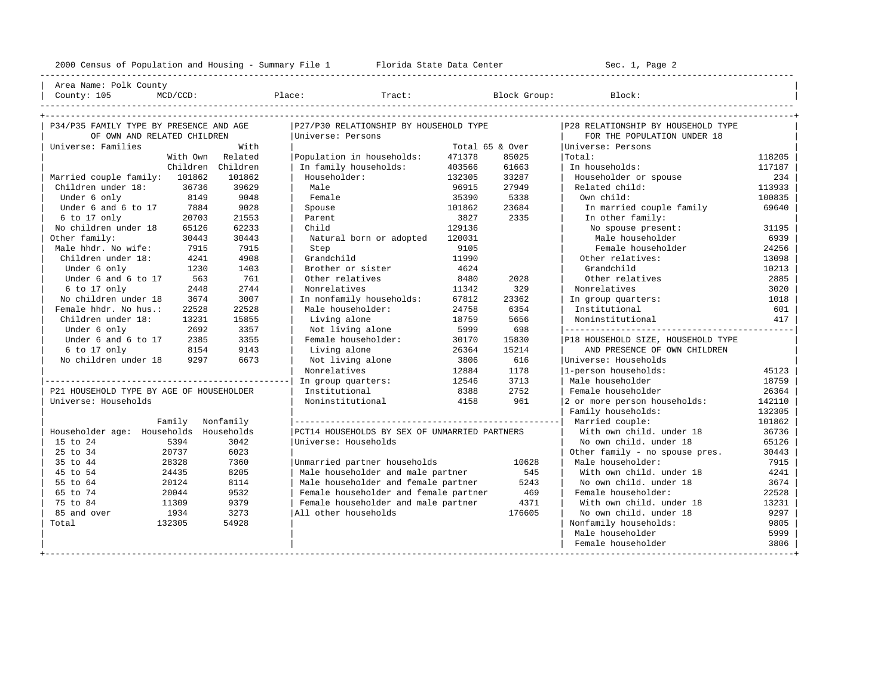---------------------------------------------------------------------------------------------------------------------------------------------------- | Area Name: Polk County | | County: 105 MCD/CCD: Place: Tract: Block Group: Block: | ----------------------------------------------------------------------------------------------------------------------------------------------------

| P34/P35 FAMILY TYPE BY PRESENCE AND AGE  |           | P27/P30 RELATIONSHIP BY HOUSEHOLD TYPE        |                 |        | P28 RELATIONSHIP BY HOUSEHOLD TYPE |        |
|------------------------------------------|-----------|-----------------------------------------------|-----------------|--------|------------------------------------|--------|
| OF OWN AND RELATED CHILDREN              |           | Universe: Persons                             |                 |        | FOR THE POPULATION UNDER 18        |        |
| Universe: Families                       | With      |                                               | Total 65 & Over |        | Universe: Persons                  |        |
| With Own                                 | Related   | Population in households:                     | 471378          | 85025  | Total:                             | 118205 |
| Children Children                        |           | In family households:                         | 403566          | 61663  | In households:                     | 117187 |
| Married couple family: 101862            | 101862    | Householder:                                  | 132305          | 33287  | Householder or spouse              | 234    |
| Children under 18:<br>36736              | 39629     | Male                                          | 96915           | 27949  | Related child:                     | 113933 |
| 8149<br>Under 6 only                     | 9048      | Female                                        | 35390           | 5338   | Own child:                         | 100835 |
| Under 6 and 6 to 17<br>7884              | 9028      | Spouse                                        | 101862          | 23684  | In married couple family           | 69640  |
| $6$ to 17 only<br>20703                  | 21553     | Parent                                        | 3827            | 2335   | In other family:                   |        |
| No children under 18<br>65126            | 62233     | Child                                         | 129136          |        | No spouse present:                 | 31195  |
| Other family:<br>30443                   | 30443     | Natural born or adopted                       | 120031          |        | Male householder                   | 6939   |
| Male hhdr. No wife:<br>7915              | 7915      | Step                                          | 9105            |        | Female householder                 | 24256  |
| Children under 18:<br>4241               | 4908      | Grandchild                                    | 11990           |        | Other relatives:                   | 13098  |
| Under 6 only<br>1230                     | 1403      | Brother or sister                             | 4624            |        | Grandchild                         | 10213  |
| Under 6 and 6 to 17<br>563               | 761       | Other relatives                               | 8480            | 2028   | Other relatives                    | 2885   |
| 6 to 17 only<br>2448                     | 2744      | Nonrelatives                                  | 11342           | 329    | Nonrelatives                       | 3020   |
| No children under 18<br>3674             | 3007      | In nonfamily households:                      | 67812           | 23362  | In group quarters:                 | 1018   |
| Female hhdr. No hus.:<br>22528           | 22528     | Male householder:                             | 24758           | 6354   | Institutional                      | 601    |
| Children under 18:<br>13231              | 15855     | Living alone                                  | 18759           | 5656   | Noninstitutional                   | 417    |
| Under 6 only<br>2692                     | 3357      | Not living alone                              | 5999            | 698    |                                    |        |
| Under 6 and 6 to 17<br>2385              | 3355      | Female householder:                           | 30170           | 15830  | P18 HOUSEHOLD SIZE, HOUSEHOLD TYPE |        |
| 6 to 17 only<br>8154                     | 9143      | Living alone                                  | 26364           | 15214  | AND PRESENCE OF OWN CHILDREN       |        |
| No children under 18<br>9297             | 6673      | Not living alone                              | 3806            | 616    | Universe: Households               |        |
|                                          |           | Nonrelatives                                  | 12884           | 1178   | 1-person households:               | 45123  |
|                                          |           | In group quarters:                            | 12546           | 3713   | Male householder                   | 18759  |
| P21 HOUSEHOLD TYPE BY AGE OF HOUSEHOLDER |           | Institutional                                 | 8388            | 2752   | Female householder                 | 26364  |
| Universe: Households                     |           | Noninstitutional                              | 4158            | 961    | 2 or more person households:       | 142110 |
|                                          |           |                                               |                 |        | Family households:                 | 132305 |
| Family                                   | Nonfamily |                                               |                 |        | Married couple:                    | 101862 |
| Householder age: Households Households   |           | PCT14 HOUSEHOLDS BY SEX OF UNMARRIED PARTNERS |                 |        | With own child. under 18           | 36736  |
| 15 to 24<br>5394                         | 3042      | Universe: Households                          |                 |        | No own child, under 18             | 65126  |
| 25 to 34<br>20737                        | 6023      |                                               |                 |        | Other family - no spouse pres.     | 30443  |
| 35 to 44<br>28328                        | 7360      | Unmarried partner households                  |                 | 10628  | Male householder:                  | 7915   |
| 45 to 54<br>24435                        | 8205      | Male householder and male partner             |                 | 545    | With own child, under 18           | 4241   |
| 20124<br>55 to 64                        | 8114      | Male householder and female partner           |                 | 5243   | No own child. under 18             | 3674   |
| 65 to 74<br>20044                        | 9532      | Female householder and female partner         |                 | 469    | Female householder:                | 22528  |
| 75 to 84<br>11309                        | 9379      | Female householder and male partner           |                 | 4371   | With own child, under 18           | 13231  |
| 85 and over<br>1934                      | 3273      | All other households                          |                 | 176605 | No own child, under 18             | 9297   |
| 132305<br>Total                          | 54928     |                                               |                 |        | Nonfamily households:              | 9805   |
|                                          |           |                                               |                 |        | Male householder                   | 5999   |
|                                          |           |                                               |                 |        | Female householder                 | 3806   |
|                                          |           |                                               |                 |        |                                    |        |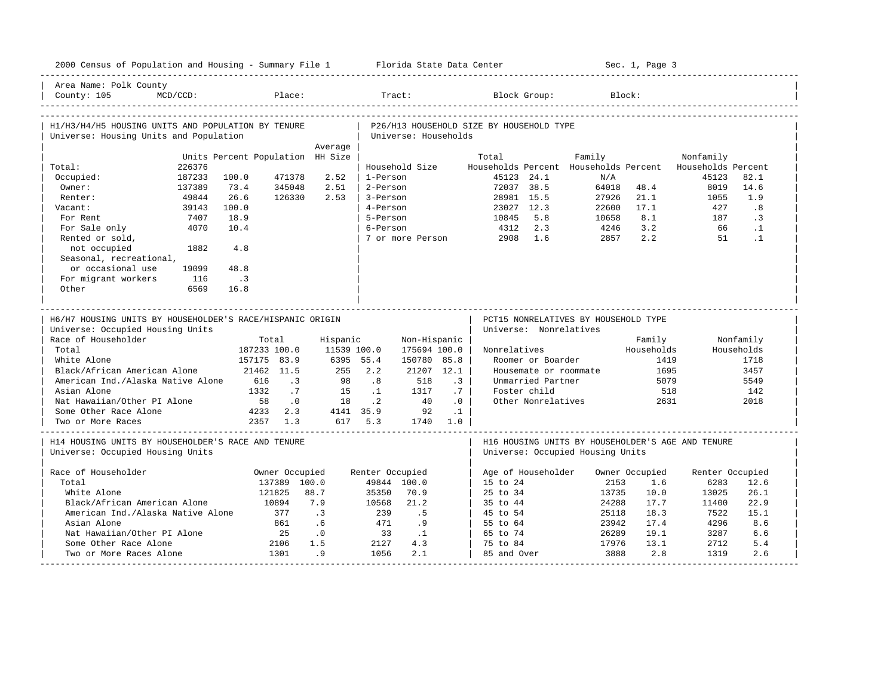|                                                                   | 2000 Census of Population and Housing - Summary File 1 Florida State Data Center |                                  |                         |                 |                 |                      |           |                                          |                                            |                                                   | Sec. 1, Page 3 |                                 |              |
|-------------------------------------------------------------------|----------------------------------------------------------------------------------|----------------------------------|-------------------------|-----------------|-----------------|----------------------|-----------|------------------------------------------|--------------------------------------------|---------------------------------------------------|----------------|---------------------------------|--------------|
| Area Name: Polk County<br>County: 105                             | $MCD/CCD$ :                                                                      |                                  | Place:                  |                 |                 | Tract:               |           |                                          | Block Group:                               |                                                   | Block:         |                                 |              |
| H1/H3/H4/H5 HOUSING UNITS AND POPULATION BY TENURE                |                                                                                  |                                  |                         |                 |                 |                      |           | P26/H13 HOUSEHOLD SIZE BY HOUSEHOLD TYPE |                                            |                                                   |                |                                 |              |
| Universe: Housing Units and Population                            |                                                                                  |                                  |                         |                 |                 | Universe: Households |           |                                          |                                            |                                                   |                |                                 |              |
|                                                                   |                                                                                  |                                  |                         | Average         |                 |                      |           |                                          |                                            |                                                   |                |                                 |              |
|                                                                   | 226376                                                                           | Units Percent Population HH Size |                         |                 |                 | Household Size       |           | Total                                    |                                            | Family<br>Households Percent Households Percent   |                | Nonfamily<br>Households Percent |              |
| Total:<br>Occupied:                                               | 187233                                                                           | 100.0                            | 471378                  | 2.52            | 1-Person        |                      |           |                                          | 45123 24.1                                 | N/A                                               |                | 45123                           | 82.1         |
| Owner:                                                            | 137389                                                                           | 73.4                             | 345048                  | 2.51            | 2-Person        |                      |           | 72037 38.5                               |                                            | 64018                                             | 48.4           | 8019                            | 14.6         |
| Renter:                                                           | 49844                                                                            | 26.6                             | 126330                  | 2.53            | 3-Person        |                      |           |                                          | 28981 15.5                                 | 27926                                             | 21.1           | 1055                            | 1.9          |
| Vacant:                                                           | 39143                                                                            | 100.0                            |                         |                 | 4-Person        |                      |           |                                          | 23027 12.3                                 | 22600                                             | 17.1           | 427                             | .8           |
| For Rent                                                          | 7407                                                                             | 18.9                             |                         |                 | 5-Person        |                      |           | 10845                                    | 5.8                                        | 10658                                             | 8.1            | 187                             | $\cdot$ 3    |
| For Sale only                                                     | 4070                                                                             | 10.4                             |                         |                 | 6-Person        |                      |           | 4312                                     | 2.3                                        | 4246                                              | 3.2            | 66                              | $\cdot$ 1    |
| Rented or sold,                                                   |                                                                                  |                                  |                         |                 |                 | 7 or more Person     |           | 2908                                     | 1.6                                        | 2857                                              | 2.2            | 51                              | $\cdot$ 1    |
| not occupied                                                      | 1882                                                                             | 4.8                              |                         |                 |                 |                      |           |                                          |                                            |                                                   |                |                                 |              |
| Seasonal, recreational,                                           |                                                                                  |                                  |                         |                 |                 |                      |           |                                          |                                            |                                                   |                |                                 |              |
| or occasional use                                                 | 19099                                                                            | 48.8                             |                         |                 |                 |                      |           |                                          |                                            |                                                   |                |                                 |              |
| For migrant workers                                               | 116                                                                              | $\cdot$ 3                        |                         |                 |                 |                      |           |                                          |                                            |                                                   |                |                                 |              |
| Other                                                             | 6569                                                                             | 16.8                             |                         |                 |                 |                      |           |                                          |                                            |                                                   |                |                                 |              |
|                                                                   |                                                                                  |                                  |                         |                 |                 |                      |           |                                          |                                            |                                                   |                |                                 |              |
| H6/H7 HOUSING UNITS BY HOUSEHOLDER'S RACE/HISPANIC ORIGIN         |                                                                                  |                                  |                         |                 |                 |                      |           |                                          |                                            |                                                   |                |                                 |              |
|                                                                   |                                                                                  |                                  |                         |                 |                 |                      |           |                                          |                                            |                                                   |                |                                 |              |
|                                                                   |                                                                                  |                                  |                         |                 |                 |                      |           |                                          |                                            | PCT15 NONRELATIVES BY HOUSEHOLD TYPE              |                |                                 |              |
| Universe: Occupied Housing Units                                  |                                                                                  |                                  |                         |                 |                 |                      |           |                                          | Universe: Nonrelatives                     |                                                   |                |                                 |              |
| Race of Householder                                               |                                                                                  |                                  | Total                   | Hispanic        |                 | Non-Hispanic         |           |                                          |                                            |                                                   | Family         |                                 | Nonfamily    |
| Total                                                             |                                                                                  | 187233 100.0                     |                         | 11539 100.0     |                 | 175694 100.0         |           | Nonrelatives                             |                                            |                                                   | Households     |                                 | Households   |
| White Alone                                                       |                                                                                  | 157175 83.9                      |                         | 6395 55.4       | 2.2             | 150780 85.8          |           |                                          | Roomer or Boarder                          |                                                   | 1419           |                                 | 1718         |
| Black/African American Alone<br>American Ind./Alaska Native Alone |                                                                                  | 616                              | 21462 11.5<br>$\cdot$ 3 | 255<br>98       | .8              | 21207 12.1<br>518    | $\cdot$ 3 |                                          | Housemate or roommate<br>Unmarried Partner |                                                   | 1695<br>5079   |                                 | 3457<br>5549 |
| Asian Alone                                                       |                                                                                  | 1332                             | .7                      | 1.5             | $\cdot$ 1       | 1317                 | .7        |                                          | Foster child                               |                                                   | 518            |                                 | 142          |
| Nat Hawaiian/Other PI Alone                                       |                                                                                  | 58                               | .0                      | 18              | $\cdot$ 2       | 40                   | .0        |                                          | Other Nonrelatives                         |                                                   | 2631           |                                 | 2018         |
| Some Other Race Alone                                             |                                                                                  | 4233                             | 2.3                     | 4141 35.9       |                 | 92                   | $\cdot$ 1 |                                          |                                            |                                                   |                |                                 |              |
| Two or More Races                                                 |                                                                                  |                                  | 2357 1.3                |                 | 617 5.3         | 1740 1.0             |           |                                          |                                            |                                                   |                |                                 |              |
|                                                                   |                                                                                  |                                  |                         |                 |                 |                      |           |                                          |                                            |                                                   |                |                                 |              |
| H14 HOUSING UNITS BY HOUSEHOLDER'S RACE AND TENURE                |                                                                                  |                                  |                         |                 |                 |                      |           |                                          |                                            | H16 HOUSING UNITS BY HOUSEHOLDER'S AGE AND TENURE |                |                                 |              |
| Universe: Occupied Housing Units                                  |                                                                                  |                                  |                         |                 |                 |                      |           |                                          |                                            | Universe: Occupied Housing Units                  |                |                                 |              |
|                                                                   |                                                                                  |                                  |                         |                 |                 |                      |           |                                          |                                            |                                                   |                |                                 |              |
| Race of Householder                                               |                                                                                  |                                  | Owner Occupied          |                 | Renter Occupied |                      |           |                                          | Age of Householder                         |                                                   | Owner Occupied | Renter Occupied                 |              |
| Total                                                             |                                                                                  |                                  | 137389 100.0            |                 |                 | 49844 100.0          |           | 15 to 24                                 |                                            | 2153                                              | 1.6            | 6283                            | 12.6         |
| White Alone<br>Black/African American Alone                       |                                                                                  |                                  | 121825<br>10894         | 88.7<br>7.9     | 35350<br>10568  | 70.9<br>21.2         |           | 25 to 34<br>35 to 44                     |                                            | 13735<br>24288                                    | 10.0<br>17.7   | 13025<br>11400                  | 26.1<br>22.9 |
|                                                                   |                                                                                  |                                  | 377                     |                 | 239             | . 5                  |           |                                          |                                            |                                                   | 18.3           | 7522                            | 15.1         |
| American Ind./Alaska Native Alone<br>Asian Alone                  |                                                                                  |                                  | 861                     | $\cdot$ 3<br>.6 | 471             | .9                   |           | 45 to 54<br>55 to 64                     |                                            | 25118<br>23942                                    | 17.4           | 4296                            | 8.6          |
| Nat Hawaiian/Other PI Alone                                       |                                                                                  |                                  | 25                      | $\cdot$ 0       | 33              | $\cdot$ 1            |           | 65 to 74                                 |                                            | 26289                                             | 19.1           | 3287                            | 6.6          |
| Some Other Race Alone                                             |                                                                                  |                                  | 2106                    | 1.5             | 2127            | 4.3                  |           | 75 to 84                                 |                                            | 17976                                             | 13.1           | 2712                            | 5.4          |
| Two or More Races Alone                                           |                                                                                  |                                  | 1301                    | .9              | 1056            | 2.1                  |           | 85 and Over                              |                                            | 3888                                              | 2.8            | 1319                            | 2.6          |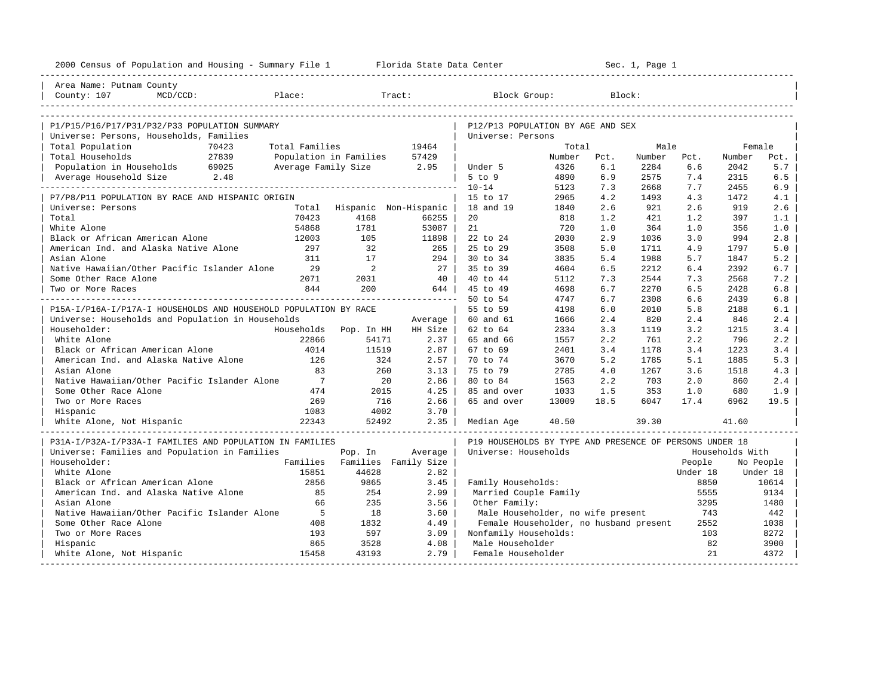| 2000 Census of Population and Housing - Summary File 1 Florida State Data Center |                |                          |                               |                                                         |              |            | Sec. 1, Page 1 |            |                 |            |
|----------------------------------------------------------------------------------|----------------|--------------------------|-------------------------------|---------------------------------------------------------|--------------|------------|----------------|------------|-----------------|------------|
| Area Name: Putnam County                                                         |                |                          |                               |                                                         |              |            |                |            |                 |            |
| Place:<br>County: 107<br>$MCD/CCD$ :                                             |                |                          | Tract:                        | Block Group:                                            |              |            | Block:         |            |                 |            |
|                                                                                  |                |                          |                               |                                                         |              |            |                |            |                 |            |
| P1/P15/P16/P17/P31/P32/P33 POPULATION SUMMARY                                    |                |                          |                               | P12/P13 POPULATION BY AGE AND SEX                       |              |            |                |            |                 |            |
| Universe: Persons, Households, Families                                          |                |                          |                               | Universe: Persons                                       |              |            |                |            |                 |            |
| Total Population<br>70423                                                        | Total Families |                          | 19464                         |                                                         | Total        |            | Male           |            | Female          |            |
| Total Households<br>27839                                                        |                | Population in Families   | 57429                         |                                                         | Number       | Pct.       | Number         | Pct.       | Number          | Pct.       |
| Population in Households 69025<br>Average Household Size 2.48                    |                | Average Family Size 2.95 |                               | Under 5                                                 | 4326         | 6.1        | 2284           | 6.6        | 2042            | 5.7        |
|                                                                                  |                |                          |                               | $5$ to $9$<br>$10 - 14$                                 | 4890         | 6.9<br>7.3 | 2575           | 7.4<br>7.7 | 2315<br>2455    | 6.5        |
| P7/P8/P11 POPULATION BY RACE AND HISPANIC ORIGIN                                 |                |                          |                               | 15 to 17                                                | 5123<br>2965 | 4.2        | 2668<br>1493   | 4.3        | 1472            | 6.9<br>4.1 |
| Universe: Persons                                                                |                |                          | Total Hispanic Non-Hispanic   | 18 and 19                                               | 1840         | 2.6        | 921            | 2.6        | 919             | 2.6        |
| Total                                                                            | 70423          | 4168                     | 66255                         | 20                                                      | 818          | 1.2        | 421            | 1.2        | 397             | 1.1        |
| White Alone                                                                      | 54868          | 1781                     | 53087                         | 21                                                      | 720          | 1.0        | 364            | 1.0        | 356             | 1.0        |
| Black or African American Alone                                                  | 12003          | 105                      | 11898                         | 22 to 24                                                | 2030         | 2.9        | 1036           | 3.0        | 994             | 2.8        |
| American Ind. and Alaska Native Alone                                            | 297            | 32                       | 265                           | 25 to 29                                                | 3508         | 5.0        | 1711           | 4.9        | 1797            | 5.0        |
| Asian Alone                                                                      | 311            | 17                       | 294                           | 30 to 34                                                | 3835         | 5.4        | 1988           | 5.7        | 1847            | 5.2        |
| Native Hawaiian/Other Pacific Islander Alone                                     | 29             | 2                        | 27                            | 35 to 39                                                | 4604         | 6.5        | 2212           | 6.4        | 2392            | 6.7        |
| Some Other Race Alone                                                            | 2071           | 2031                     | 40                            | 40 to 44                                                | 5112         | 7.3        | 2544           | 7.3        | 2568            | 7.2        |
| Two or More Races                                                                | 844            | 200                      | 644                           | 45 to 49                                                | 4698         | 6.7        | 2270           | 6.5        | 2428            | 6.8        |
|                                                                                  |                |                          | _______________________       | 50 to 54                                                | 4747         | 6.7        | 2308           | 6.6        | 2439            | 6.8        |
| P15A-I/P16A-I/P17A-I HOUSEHOLDS AND HOUSEHOLD POPULATION BY RACE                 |                |                          |                               | 55 to 59                                                | 4198         | 6.0        | 2010           | 5.8        | 2188            | 6.1        |
| Universe: Households and Population in Households                                |                |                          | Average                       | 60 and 61                                               | 1666         | 2.4        | 820            | 2.4        | 846             | 2.4        |
| Householder:                                                                     |                | Households Pop. In HH    | HH Size                       | 62 to 64                                                | 2334         | 3.3        | 1119           | 3.2        | 1215            | 3.4        |
| White Alone                                                                      | 22866          | 54171                    | 2.37                          | 65 and 66                                               | 1557         | 2.2        | 761            | 2.2        | 796             | 2.2        |
| Black or African American Alone                                                  | 4014           | 11519                    | 2.87                          | 67 to 69                                                | 2401         | 3.4        | 1178           | 3.4        | 1223            | 3.4        |
| American Ind. and Alaska Native Alone                                            | 126            | 324                      | 2.57                          | 70 to 74                                                | 3670         | 5.2        | 1785           | 5.1        | 1885            | 5.3        |
| Asian Alone                                                                      | 83             | 260                      | 3.13                          | 75 to 79                                                | 2785         | 4.0        | 1267           | 3.6        | 1518            | 4.3        |
| Native Hawaiian/Other Pacific Islander Alone                                     | $\overline{7}$ | 20                       | 2.86                          | 80 to 84                                                | 1563         | 2.2        | 703            | 2.0        | 860             | 2.4        |
| Some Other Race Alone                                                            | 474            | 2015                     | 4.25                          | 85 and over                                             | 1033         | 1.5        | 353            | 1.0        | 680             | 1.9        |
| Two or More Races                                                                | 269            | 716                      | 2.66                          | 65 and over                                             | 13009        | 18.5       | 6047           | 17.4       | 6962            | 19.5       |
| Hispanic                                                                         | 1083           | 4002                     | 3.70                          |                                                         |              |            |                |            |                 |            |
| White Alone, Not Hispanic                                                        | 22343          | 52492                    | 2.35                          | Median Age                                              | 40.50        |            | 39.30          |            | 41.60           |            |
| P31A-I/P32A-I/P33A-I FAMILIES AND POPULATION IN FAMILIES                         |                |                          |                               | P19 HOUSEHOLDS BY TYPE AND PRESENCE OF PERSONS UNDER 18 |              |            |                |            |                 |            |
| Universe: Families and Population in Families                                    |                | Pop. In                  | Average                       | Universe: Households                                    |              |            |                |            | Households With |            |
| Householder:                                                                     |                |                          | Families Families Family Size |                                                         |              |            |                | People     |                 | No People  |
| White Alone                                                                      | 15851          | 44628                    | 2.82                          |                                                         |              |            |                | Under 18   |                 | Under 18   |
| Black or African American Alone                                                  | 2856           | 9865                     | 3.45                          | Family Households:                                      |              |            |                | 8850       |                 | 10614      |
| American Ind. and Alaska Native Alone                                            | 85             | 254                      | 2.99                          | Married Couple Family                                   |              |            |                | 5555       |                 | 9134       |
| Asian Alone                                                                      | 66             | 235                      | 3.56                          | Other Family:                                           |              |            |                | 3295       |                 | 1480       |
| Native Hawaiian/Other Pacific Islander Alone                                     | 5              | 18                       | 3.60                          | Male Householder, no wife present                       |              |            |                | 743        |                 | 442        |
| Some Other Race Alone                                                            | 408            | 1832                     | 4.49                          | Female Householder, no husband present                  |              |            |                | 2552       |                 | 1038       |
| Two or More Races                                                                | 193            | 597                      | 3.09                          | Nonfamily Households:                                   |              |            |                | 103        |                 | 8272       |
| Hispanic                                                                         | 865            | 3528                     | 4.08                          | Male Householder                                        |              |            |                | 82         |                 | 3900       |
| White Alone, Not Hispanic                                                        | 15458          | 43193                    | 2.79                          | Female Householder                                      |              |            |                | 21         |                 | 4372       |
|                                                                                  |                |                          |                               |                                                         |              |            |                |            |                 |            |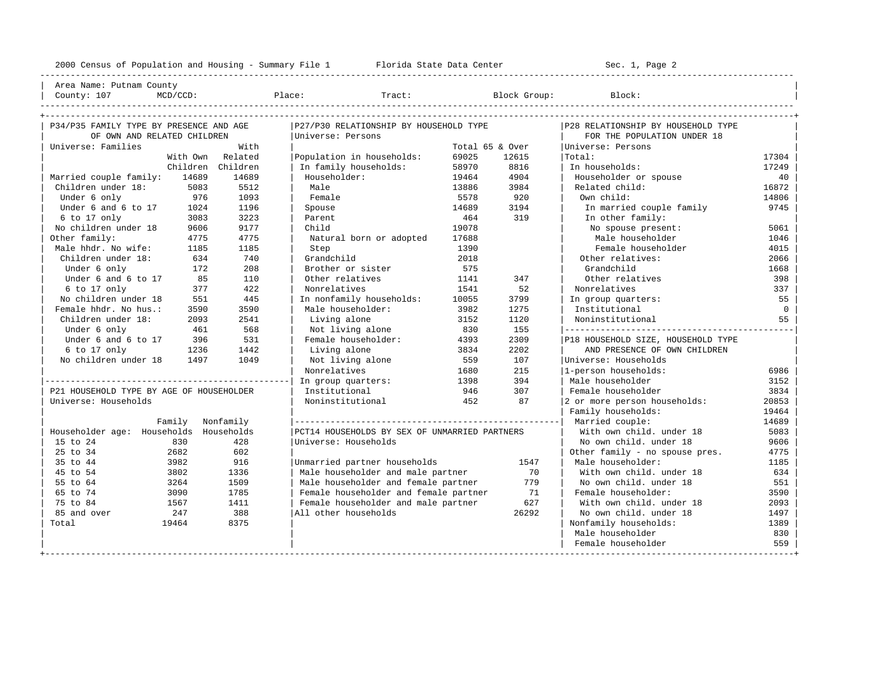| County: 107                              | MCD/CCD:         |                   | Place:                                        |       | Tract: Block Group: | Block:                                                             |          |
|------------------------------------------|------------------|-------------------|-----------------------------------------------|-------|---------------------|--------------------------------------------------------------------|----------|
| P34/P35 FAMILY TYPE BY PRESENCE AND AGE  |                  |                   | P27/P30 RELATIONSHIP BY HOUSEHOLD TYPE        |       |                     | P28 RELATIONSHIP BY HOUSEHOLD TYPE                                 |          |
| OF OWN AND RELATED CHILDREN              |                  |                   | Universe: Persons                             |       |                     | FOR THE POPULATION UNDER 18                                        |          |
| Universe: Families                       |                  | With              |                                               |       | Total 65 & Over     | Universe: Persons                                                  |          |
|                                          |                  | With Own Related  | Population in households:                     | 69025 | 12615               | Total:                                                             | 17304    |
|                                          |                  | Children Children | In family households:                         | 58970 | 8816                | In households:                                                     | 17249    |
| Married couple family: 14689             |                  | 14689             | Householder:                                  | 19464 | 4904                | Householder or spouse                                              | 40       |
| Children under 18:                       | 5083             | 5512              | Male                                          | 13886 | 3984                | Related child:                                                     | 16872    |
| Under 6 only                             | 976              | 1093              | Female                                        | 5578  | 920                 | Own child:                                                         | 14806    |
| Under 6 and 6 to 17                      | 1024             | 1196              | Spouse                                        | 14689 | 3194                | In married couple family                                           | 9745     |
| 6 to 17 only                             | 3083             | 3223              | Parent                                        | 464   | 319                 | In other family:                                                   |          |
| No children under 18                     | 9606             | 9177              | Child                                         | 19078 |                     | No spouse present:                                                 | 5061     |
| Other family:                            | 4775             | 4775              | Natural born or adopted                       | 17688 |                     | Male householder                                                   | 1046     |
| Male hhdr. No wife:                      | 1185             | 1185              | Step                                          | 1390  |                     | Female householder                                                 | 4015     |
| Children under 18:                       | 634              | 740               | Grandchild                                    | 2018  |                     | Other relatives:                                                   | 2066     |
| Under 6 only                             | 172              | 208               | Brother or sister                             | 575   |                     | Grandchild                                                         | 1668     |
| Under 6 and 6 to 17                      | 85               | 110               | Other relatives                               | 1141  | 347                 | Other relatives                                                    | 398      |
| $6$ to $17$ only                         | 377              | 422               | Nonrelatives                                  | 1541  | 52                  | Nonrelatives                                                       | 337      |
| No children under 18                     | 551              | 445               | In nonfamily households:                      | 10055 | 3799                | In group quarters:                                                 | 55       |
| Female hhdr. No hus.:                    | 3590             | 3590              | Male householder:                             | 3982  | 1275                | Institutional                                                      | $\Omega$ |
| Children under 18:                       | 2093             | 2541              | Living alone                                  | 3152  | 1120                | Noninstitutional                                                   | 55       |
|                                          | 461              | 568               | Not living alone                              | 830   | 155                 |                                                                    |          |
| Under 6 only<br>Under 6 and 6 to 17      | 396              | 531               | Female householder:                           | 4393  | 2309                |                                                                    |          |
| $6$ to 17 only                           | 1236             | 1442              | Living alone                                  |       | 2202                | P18 HOUSEHOLD SIZE, HOUSEHOLD TYPE<br>AND PRESENCE OF OWN CHILDREN |          |
|                                          |                  |                   |                                               | 3834  |                     |                                                                    |          |
| No children under 18                     | 1497             | 1049              | Not living alone                              | 559   | 107                 | Universe: Households                                               |          |
|                                          |                  |                   | Nonrelatives                                  | 1680  | 215                 | 1-person households:                                               | 6986     |
|                                          |                  |                   | In group quarters:                            | 1398  | 394                 | Male householder                                                   | 3152     |
| P21 HOUSEHOLD TYPE BY AGE OF HOUSEHOLDER |                  |                   | Institutional                                 | 946   | 307                 | Female householder                                                 | 3834     |
| Universe: Households                     |                  |                   | Noninstitutional                              | 452   | 87                  | 2 or more person households:                                       | 20853    |
|                                          |                  |                   |                                               |       |                     | Family households:                                                 | 19464    |
|                                          | Family Nonfamily |                   |                                               |       |                     |                                                                    | 14689    |
| Householder age: Households Households   |                  |                   | PCT14 HOUSEHOLDS BY SEX OF UNMARRIED PARTNERS |       |                     | With own child, under 18                                           | 5083     |
| 15 to 24                                 | 830              | 428               | Universe: Households                          |       |                     | No own child. under 18                                             | 9606     |
| 25 to 34                                 | 2682             | 602               |                                               |       |                     | Other family - no spouse pres.                                     | 4775     |
| 35 to 44                                 | 3982             | 916               | Unmarried partner households                  |       | 1547                | Male householder:                                                  | 1185     |
| 45 to 54                                 | 3802             | 1336              | Male householder and male partner             |       | 70                  | With own child, under 18                                           | 634      |
| 55 to 64                                 | 3264             | 1509              | Male householder and female partner           |       | 779                 | No own child. under 18                                             | 551      |
| 65 to 74                                 | 3090             | 1785              | Female householder and female partner         |       | 71                  | Female householder:                                                | 3590     |
| 75 to 84                                 | 1567             | 1411              | Female householder and male partner           |       | 627                 | With own child, under 18                                           | 2093     |
| 85 and over                              | 2.47             | 388               | All other households                          |       | 26292               | No own child, under 18                                             | 1497     |
| Total                                    | 19464            | 8375              |                                               |       |                     | Nonfamily households:                                              | 1389     |
|                                          |                  |                   |                                               |       |                     | Male householder                                                   | 830      |
|                                          |                  |                   |                                               |       |                     | Female householder                                                 | 559      |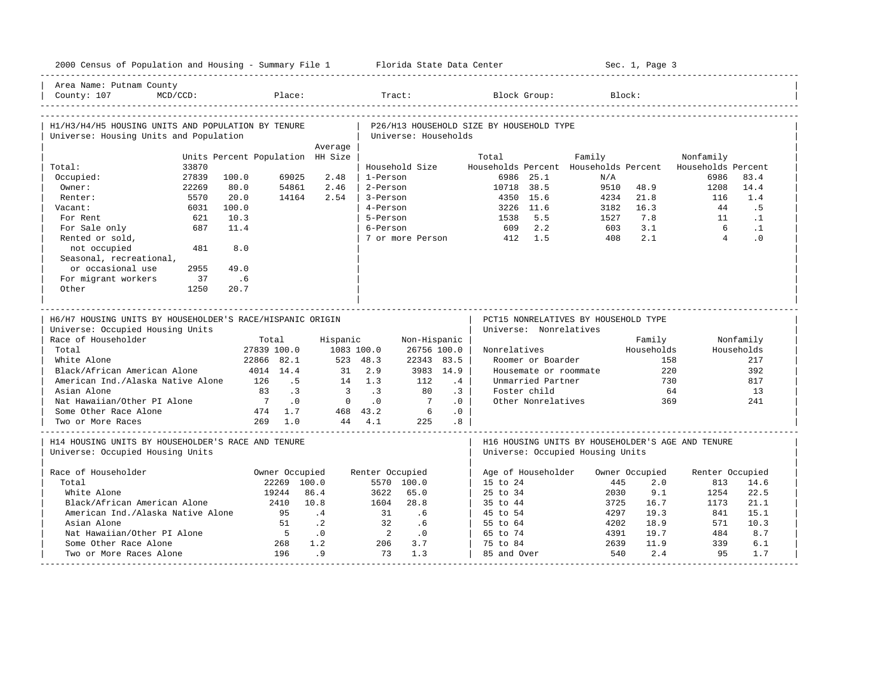| 2000 Census of Population and Housing - Summary File 1 Florida State Data Center             |                                  |                               |                         |                 |                      |                 |                                          |                                   |                                      | Sec. 1, Page 3        |                                                                  |                   |
|----------------------------------------------------------------------------------------------|----------------------------------|-------------------------------|-------------------------|-----------------|----------------------|-----------------|------------------------------------------|-----------------------------------|--------------------------------------|-----------------------|------------------------------------------------------------------|-------------------|
| Area Name: Putnam County<br>County: 107<br>$MCD/CCD$ :                                       |                                  | Place:                        |                         |                 | Tract:               |                 |                                          | Block Group:                      |                                      | Block:                |                                                                  |                   |
| H1/H3/H4/H5 HOUSING UNITS AND POPULATION BY TENURE<br>Universe: Housing Units and Population |                                  |                               |                         |                 | Universe: Households |                 | P26/H13 HOUSEHOLD SIZE BY HOUSEHOLD TYPE |                                   |                                      |                       |                                                                  |                   |
|                                                                                              |                                  |                               | Average                 |                 |                      |                 |                                          |                                   |                                      |                       |                                                                  |                   |
|                                                                                              | Units Percent Population HH Size |                               |                         |                 |                      |                 | Total                                    |                                   | Family                               |                       | Nonfamily                                                        |                   |
| 33870<br>Total:<br>Occupied:<br>27839                                                        | 100.0                            | 69025                         | 2.48                    | 1-Person        | Household Size       |                 |                                          | 6986 25.1                         | N/A                                  |                       | Households Percent Households Percent Households Percent<br>6986 | 83.4              |
| Owner:<br>22269                                                                              | 80.0                             | 54861                         | 2.46                    | 2-Person        |                      |                 | 10718 38.5                               |                                   | 9510                                 | 48.9                  | 1208                                                             | 14.4              |
| 5570<br>Renter:                                                                              | 20.0                             | 14164                         | 2.54                    | 3-Person        |                      |                 | 4350                                     | 15.6                              | 4234                                 | 21.8                  | 116                                                              | 1.4               |
| 6031<br>Vacant:                                                                              | 100.0                            |                               |                         | 4-Person        |                      |                 |                                          | 3226 11.6                         | 3182                                 | 16.3                  | 44                                                               | . 5               |
| For Rent<br>621                                                                              | 10.3                             |                               |                         | 5-Person        |                      |                 | 1538                                     | 5.5                               | 1527                                 | 7.8                   | 11                                                               | $\cdot$ 1         |
| 687<br>For Sale only                                                                         | 11.4                             |                               |                         | 6-Person        |                      |                 | 609                                      | 2.2                               | 603                                  | 3.1                   | 6                                                                | $\cdot$ 1         |
| Rented or sold,                                                                              |                                  |                               |                         |                 | 7 or more Person     |                 | 412                                      | 1.5                               | 408                                  | 2.1                   | $\overline{4}$                                                   | .0                |
| not occupied<br>481                                                                          | 8.0                              |                               |                         |                 |                      |                 |                                          |                                   |                                      |                       |                                                                  |                   |
| Seasonal, recreational,                                                                      |                                  |                               |                         |                 |                      |                 |                                          |                                   |                                      |                       |                                                                  |                   |
| or occasional use<br>2955                                                                    | 49.0                             |                               |                         |                 |                      |                 |                                          |                                   |                                      |                       |                                                                  |                   |
| For migrant workers<br>37                                                                    | .6                               |                               |                         |                 |                      |                 |                                          |                                   |                                      |                       |                                                                  |                   |
| Other<br>1250                                                                                | 20.7                             |                               |                         |                 |                      |                 |                                          |                                   |                                      |                       |                                                                  |                   |
|                                                                                              |                                  |                               |                         |                 |                      |                 |                                          |                                   |                                      |                       |                                                                  |                   |
|                                                                                              |                                  |                               |                         |                 |                      |                 |                                          |                                   |                                      |                       |                                                                  |                   |
| H6/H7 HOUSING UNITS BY HOUSEHOLDER'S RACE/HISPANIC ORIGIN                                    |                                  |                               |                         |                 |                      |                 |                                          |                                   | PCT15 NONRELATIVES BY HOUSEHOLD TYPE |                       |                                                                  |                   |
| Universe: Occupied Housing Units                                                             |                                  |                               |                         |                 |                      |                 |                                          | Universe: Nonrelatives            |                                      |                       |                                                                  |                   |
| Race of Householder                                                                          |                                  | Total                         | Hispanic                |                 | Non-Hispanic         |                 |                                          |                                   |                                      | Family                |                                                                  | Nonfamily         |
| Total<br>White Alone                                                                         |                                  | 27839 100.0                   | 1083 100.0              | 523 48.3        | 26756 100.0          |                 | Nonrelatives                             |                                   |                                      | Households            | 158                                                              | Households<br>217 |
|                                                                                              |                                  | 22866 82.1                    | 31                      | 2.9             | 22343 83.5           |                 |                                          | Roomer or Boarder                 |                                      |                       | 220                                                              | 392               |
| Black/African American Alone                                                                 |                                  | 4014 14.4<br>126<br>.5        |                         | 14 1.3          | 112                  | 3983 14.9<br>.4 |                                          |                                   | Housemate or roommate                |                       | 730                                                              |                   |
| American Ind./Alaska Native Alone<br>Asian Alone                                             |                                  | $\cdot$ 3<br>83               | $\overline{\mathbf{3}}$ | $\cdot$ 3       | 80                   | $\cdot$ 3       |                                          | Unmarried Partner<br>Foster child |                                      |                       | 64                                                               | 817<br>13         |
| Nat Hawaiian/Other PI Alone                                                                  |                                  | $7\phantom{0}$<br>$\cdot$ 0   | $\overline{0}$          | $\cdot$ 0       | $\overline{7}$       | .0              |                                          | Other Nonrelatives                |                                      |                       | 369                                                              | 241               |
| Some Other Race Alone                                                                        |                                  | 474 1.7                       |                         | 468 43.2        | 6                    | .0              |                                          |                                   |                                      |                       |                                                                  |                   |
| Two or More Races                                                                            |                                  | 269 1.0                       |                         | 44 4.1          | 225                  | .8              |                                          |                                   |                                      |                       |                                                                  |                   |
| H14 HOUSING UNITS BY HOUSEHOLDER'S RACE AND TENURE<br>Universe: Occupied Housing Units       |                                  |                               |                         |                 |                      |                 |                                          |                                   | Universe: Occupied Housing Units     |                       | H16 HOUSING UNITS BY HOUSEHOLDER'S AGE AND TENURE                |                   |
|                                                                                              |                                  |                               |                         |                 |                      |                 |                                          |                                   |                                      |                       |                                                                  |                   |
| Race of Householder<br>Total                                                                 |                                  | Owner Occupied<br>22269 100.0 |                         | Renter Occupied | 5570 100.0           |                 |                                          | Age of Householder                | 445                                  | Owner Occupied<br>2.0 | Renter Occupied<br>813                                           |                   |
| White Alone                                                                                  |                                  | 19244                         | 86.4                    | 3622            | 65.0                 |                 | 15 to 24<br>$25$ to $34$                 |                                   | 2030                                 | 9.1                   | 1254                                                             | 14.6<br>22.5      |
| Black/African American Alone                                                                 |                                  | 2410                          | 10.8                    | 1604            | 28.8                 |                 | 35 to 44                                 |                                   | 3725                                 | 16.7                  | 1173                                                             | 21.1              |
| American Ind./Alaska Native Alone                                                            |                                  | 95                            | $\cdot$ 4               | 31              | .6                   |                 | 45 to 54                                 |                                   | 4297                                 | 19.3                  | 841                                                              | 15.1              |
| Asian Alone                                                                                  |                                  | 51                            | $\cdot$ . 2             | 32              | .6                   |                 | 55 to 64                                 |                                   | 4202                                 | 18.9                  | 571                                                              | 10.3              |
| Nat Hawaiian/Other PI Alone                                                                  |                                  | $5^{\circ}$                   | $\cdot$ 0               | $\overline{2}$  | $\cdot$ 0            |                 | 65 to 74                                 |                                   | 4391                                 | 19.7                  | 484                                                              | 8.7               |
| Some Other Race Alone                                                                        |                                  | 268                           | 1.2                     | 206             | 3.7                  |                 | 75 to 84                                 |                                   | 2639                                 | 11.9                  | 339                                                              | 6.1               |
| Two or More Races Alone                                                                      |                                  | 196                           | .9                      | 73              | 1.3                  |                 | 85 and Over                              |                                   | 540                                  | 2.4                   | 95                                                               | 1.7               |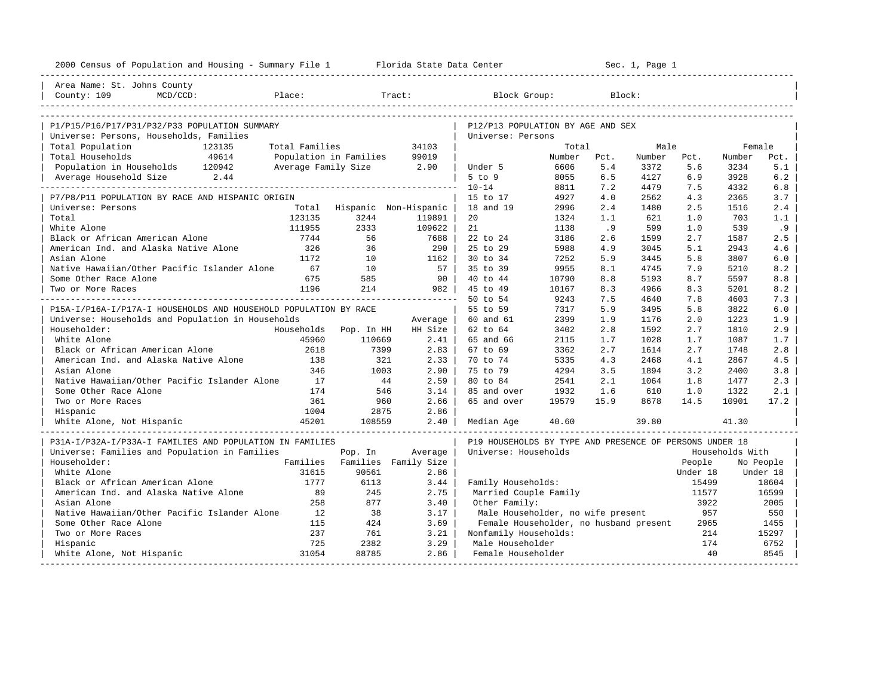| ---------------------<br>Area Name: St. Johns County<br>County: 109<br>MCD/CCD:<br>Place:<br>Tract:<br>Block Group:<br>Block:<br>P1/P15/P16/P17/P31/P32/P33 POPULATION SUMMARY<br>P12/P13 POPULATION BY AGE AND SEX<br>Universe: Persons, Households, Families<br>Universe: Persons<br>Total Population<br>123135<br>Total Families<br>34103<br>Total<br>Male<br>Female<br>Total Households<br>49614<br>Population in Families<br>99019<br>Number<br>Number<br>Pct.<br>Number<br>Pct.<br>Pct.<br>Population in Households 120942<br>Average Family Size<br>2.90<br>Under 5<br>6606<br>5.4<br>3372<br>5.6<br>3234<br>5.1<br>$5$ to $9$<br>6.2<br>Average Household Size<br>2.44<br>8055<br>6.5<br>4127<br>6.9<br>3928<br>$10 - 14$<br>8811<br>7.2<br>4479<br>7.5<br>4332<br>6.8<br>P7/P8/P11 POPULATION BY RACE AND HISPANIC ORIGIN<br>4927<br>4.0<br>2562<br>4.3<br>2365<br>3.7<br>15 to 17<br>Universe: Persons<br>Hispanic Non-Hispanic<br>18 and 19<br>2996<br>2.4<br>1480<br>2.5<br>1516<br>2.4<br>Total<br>Total<br>123135<br>3244<br>119891<br>20<br>1324<br>1.1<br>621<br>703<br>1.0<br>1.1<br>2333<br>White Alone<br>111955<br>109622<br>21<br>1138<br>.9<br>599<br>539<br>.9<br>1.0<br>Black or African American Alone<br>7744<br>56<br>7688<br>22 to 24<br>3186<br>2.6<br>1599<br>2.7<br>1587<br>2.5<br>American Ind. and Alaska Native Alone<br>326<br>36<br>290<br>25 to 29<br>5988<br>4.9<br>3045<br>2943<br>4.6<br>5.1<br>Asian Alone<br>1172<br>10<br>1162<br>30 to 34<br>7252<br>5.9<br>3445<br>5.8<br>3807<br>6.0<br>Native Hawaiian/Other Pacific Islander Alone<br>67<br>10<br>57<br>35 to 39<br>9955<br>4745<br>8.1<br>7.9<br>5210<br>8.2<br>Some Other Race Alone<br>675<br>585<br>90<br>40 to 44<br>10790<br>8.8<br>5193<br>8.8<br>8.7<br>5597<br>1196<br>214<br>45 to 49<br>10167<br>4966<br>982<br>8.3<br>8.3<br>5201<br>8.2<br>Two or More Races<br>50 to 54<br>9243<br>7.5<br>4640<br>7.3<br>7.8<br>4603 |
|------------------------------------------------------------------------------------------------------------------------------------------------------------------------------------------------------------------------------------------------------------------------------------------------------------------------------------------------------------------------------------------------------------------------------------------------------------------------------------------------------------------------------------------------------------------------------------------------------------------------------------------------------------------------------------------------------------------------------------------------------------------------------------------------------------------------------------------------------------------------------------------------------------------------------------------------------------------------------------------------------------------------------------------------------------------------------------------------------------------------------------------------------------------------------------------------------------------------------------------------------------------------------------------------------------------------------------------------------------------------------------------------------------------------------------------------------------------------------------------------------------------------------------------------------------------------------------------------------------------------------------------------------------------------------------------------------------------------------------------------------------------------------------------------------------------------------------------------------------------------------------------------------------------------------------|
|                                                                                                                                                                                                                                                                                                                                                                                                                                                                                                                                                                                                                                                                                                                                                                                                                                                                                                                                                                                                                                                                                                                                                                                                                                                                                                                                                                                                                                                                                                                                                                                                                                                                                                                                                                                                                                                                                                                                    |
|                                                                                                                                                                                                                                                                                                                                                                                                                                                                                                                                                                                                                                                                                                                                                                                                                                                                                                                                                                                                                                                                                                                                                                                                                                                                                                                                                                                                                                                                                                                                                                                                                                                                                                                                                                                                                                                                                                                                    |
|                                                                                                                                                                                                                                                                                                                                                                                                                                                                                                                                                                                                                                                                                                                                                                                                                                                                                                                                                                                                                                                                                                                                                                                                                                                                                                                                                                                                                                                                                                                                                                                                                                                                                                                                                                                                                                                                                                                                    |
|                                                                                                                                                                                                                                                                                                                                                                                                                                                                                                                                                                                                                                                                                                                                                                                                                                                                                                                                                                                                                                                                                                                                                                                                                                                                                                                                                                                                                                                                                                                                                                                                                                                                                                                                                                                                                                                                                                                                    |
|                                                                                                                                                                                                                                                                                                                                                                                                                                                                                                                                                                                                                                                                                                                                                                                                                                                                                                                                                                                                                                                                                                                                                                                                                                                                                                                                                                                                                                                                                                                                                                                                                                                                                                                                                                                                                                                                                                                                    |
|                                                                                                                                                                                                                                                                                                                                                                                                                                                                                                                                                                                                                                                                                                                                                                                                                                                                                                                                                                                                                                                                                                                                                                                                                                                                                                                                                                                                                                                                                                                                                                                                                                                                                                                                                                                                                                                                                                                                    |
|                                                                                                                                                                                                                                                                                                                                                                                                                                                                                                                                                                                                                                                                                                                                                                                                                                                                                                                                                                                                                                                                                                                                                                                                                                                                                                                                                                                                                                                                                                                                                                                                                                                                                                                                                                                                                                                                                                                                    |
|                                                                                                                                                                                                                                                                                                                                                                                                                                                                                                                                                                                                                                                                                                                                                                                                                                                                                                                                                                                                                                                                                                                                                                                                                                                                                                                                                                                                                                                                                                                                                                                                                                                                                                                                                                                                                                                                                                                                    |
|                                                                                                                                                                                                                                                                                                                                                                                                                                                                                                                                                                                                                                                                                                                                                                                                                                                                                                                                                                                                                                                                                                                                                                                                                                                                                                                                                                                                                                                                                                                                                                                                                                                                                                                                                                                                                                                                                                                                    |
|                                                                                                                                                                                                                                                                                                                                                                                                                                                                                                                                                                                                                                                                                                                                                                                                                                                                                                                                                                                                                                                                                                                                                                                                                                                                                                                                                                                                                                                                                                                                                                                                                                                                                                                                                                                                                                                                                                                                    |
|                                                                                                                                                                                                                                                                                                                                                                                                                                                                                                                                                                                                                                                                                                                                                                                                                                                                                                                                                                                                                                                                                                                                                                                                                                                                                                                                                                                                                                                                                                                                                                                                                                                                                                                                                                                                                                                                                                                                    |
|                                                                                                                                                                                                                                                                                                                                                                                                                                                                                                                                                                                                                                                                                                                                                                                                                                                                                                                                                                                                                                                                                                                                                                                                                                                                                                                                                                                                                                                                                                                                                                                                                                                                                                                                                                                                                                                                                                                                    |
|                                                                                                                                                                                                                                                                                                                                                                                                                                                                                                                                                                                                                                                                                                                                                                                                                                                                                                                                                                                                                                                                                                                                                                                                                                                                                                                                                                                                                                                                                                                                                                                                                                                                                                                                                                                                                                                                                                                                    |
|                                                                                                                                                                                                                                                                                                                                                                                                                                                                                                                                                                                                                                                                                                                                                                                                                                                                                                                                                                                                                                                                                                                                                                                                                                                                                                                                                                                                                                                                                                                                                                                                                                                                                                                                                                                                                                                                                                                                    |
|                                                                                                                                                                                                                                                                                                                                                                                                                                                                                                                                                                                                                                                                                                                                                                                                                                                                                                                                                                                                                                                                                                                                                                                                                                                                                                                                                                                                                                                                                                                                                                                                                                                                                                                                                                                                                                                                                                                                    |
|                                                                                                                                                                                                                                                                                                                                                                                                                                                                                                                                                                                                                                                                                                                                                                                                                                                                                                                                                                                                                                                                                                                                                                                                                                                                                                                                                                                                                                                                                                                                                                                                                                                                                                                                                                                                                                                                                                                                    |
|                                                                                                                                                                                                                                                                                                                                                                                                                                                                                                                                                                                                                                                                                                                                                                                                                                                                                                                                                                                                                                                                                                                                                                                                                                                                                                                                                                                                                                                                                                                                                                                                                                                                                                                                                                                                                                                                                                                                    |
|                                                                                                                                                                                                                                                                                                                                                                                                                                                                                                                                                                                                                                                                                                                                                                                                                                                                                                                                                                                                                                                                                                                                                                                                                                                                                                                                                                                                                                                                                                                                                                                                                                                                                                                                                                                                                                                                                                                                    |
|                                                                                                                                                                                                                                                                                                                                                                                                                                                                                                                                                                                                                                                                                                                                                                                                                                                                                                                                                                                                                                                                                                                                                                                                                                                                                                                                                                                                                                                                                                                                                                                                                                                                                                                                                                                                                                                                                                                                    |
|                                                                                                                                                                                                                                                                                                                                                                                                                                                                                                                                                                                                                                                                                                                                                                                                                                                                                                                                                                                                                                                                                                                                                                                                                                                                                                                                                                                                                                                                                                                                                                                                                                                                                                                                                                                                                                                                                                                                    |
| P15A-I/P16A-I/P17A-I HOUSEHOLDS AND HOUSEHOLD POPULATION BY RACE<br>5.9<br>3495<br>6.0<br>55 to 59<br>7317<br>5.8<br>3822                                                                                                                                                                                                                                                                                                                                                                                                                                                                                                                                                                                                                                                                                                                                                                                                                                                                                                                                                                                                                                                                                                                                                                                                                                                                                                                                                                                                                                                                                                                                                                                                                                                                                                                                                                                                          |
| Universe: Households and Population in Households<br>2399<br>1.9<br>1.9<br>60 and 61<br>1176<br>2.0<br>1223<br>Average                                                                                                                                                                                                                                                                                                                                                                                                                                                                                                                                                                                                                                                                                                                                                                                                                                                                                                                                                                                                                                                                                                                                                                                                                                                                                                                                                                                                                                                                                                                                                                                                                                                                                                                                                                                                             |
| 1592<br>2.9<br>Householder:<br>Households<br>Pop. In HH<br>HH Size<br>62 to 64<br>3402<br>2.8<br>2.7<br>1810                                                                                                                                                                                                                                                                                                                                                                                                                                                                                                                                                                                                                                                                                                                                                                                                                                                                                                                                                                                                                                                                                                                                                                                                                                                                                                                                                                                                                                                                                                                                                                                                                                                                                                                                                                                                                       |
| White Alone<br>45960<br>110669<br>2.41<br>65 and 66<br>2115<br>1.7<br>1028<br>1.7<br>1087<br>1.7                                                                                                                                                                                                                                                                                                                                                                                                                                                                                                                                                                                                                                                                                                                                                                                                                                                                                                                                                                                                                                                                                                                                                                                                                                                                                                                                                                                                                                                                                                                                                                                                                                                                                                                                                                                                                                   |
| Black or African American Alone<br>2618<br>7399<br>2.83<br>2.7<br>67 to 69<br>3362<br>1614<br>2.7<br>1748<br>2.8                                                                                                                                                                                                                                                                                                                                                                                                                                                                                                                                                                                                                                                                                                                                                                                                                                                                                                                                                                                                                                                                                                                                                                                                                                                                                                                                                                                                                                                                                                                                                                                                                                                                                                                                                                                                                   |
| American Ind. and Alaska Native Alone<br>138<br>4.3<br>321<br>2.33<br>70 to 74<br>5335<br>2468<br>4.1<br>2867<br>4.5                                                                                                                                                                                                                                                                                                                                                                                                                                                                                                                                                                                                                                                                                                                                                                                                                                                                                                                                                                                                                                                                                                                                                                                                                                                                                                                                                                                                                                                                                                                                                                                                                                                                                                                                                                                                               |
| 346<br>2.90<br>4294<br>Asian Alone<br>1003<br>75 to 79<br>3.5<br>1894<br>3.2<br>3.8<br>2400                                                                                                                                                                                                                                                                                                                                                                                                                                                                                                                                                                                                                                                                                                                                                                                                                                                                                                                                                                                                                                                                                                                                                                                                                                                                                                                                                                                                                                                                                                                                                                                                                                                                                                                                                                                                                                        |
| Native Hawaiian/Other Pacific Islander Alone<br>44<br>2.59<br>2.1<br>17<br>80 to 84<br>2541<br>1064<br>1.8<br>1477<br>2.3                                                                                                                                                                                                                                                                                                                                                                                                                                                                                                                                                                                                                                                                                                                                                                                                                                                                                                                                                                                                                                                                                                                                                                                                                                                                                                                                                                                                                                                                                                                                                                                                                                                                                                                                                                                                          |
| 610<br>Some Other Race Alone<br>174<br>546<br>3.14<br>85 and over<br>1932<br>1.6<br>1.0<br>2.1<br>1322                                                                                                                                                                                                                                                                                                                                                                                                                                                                                                                                                                                                                                                                                                                                                                                                                                                                                                                                                                                                                                                                                                                                                                                                                                                                                                                                                                                                                                                                                                                                                                                                                                                                                                                                                                                                                             |
| 361<br>2.66<br>15.9<br>8678<br>Two or More Races<br>960<br>65 and over<br>19579<br>14.5<br>10901<br>17.2                                                                                                                                                                                                                                                                                                                                                                                                                                                                                                                                                                                                                                                                                                                                                                                                                                                                                                                                                                                                                                                                                                                                                                                                                                                                                                                                                                                                                                                                                                                                                                                                                                                                                                                                                                                                                           |
| 1004<br>2.86<br>2875<br>Hispanic                                                                                                                                                                                                                                                                                                                                                                                                                                                                                                                                                                                                                                                                                                                                                                                                                                                                                                                                                                                                                                                                                                                                                                                                                                                                                                                                                                                                                                                                                                                                                                                                                                                                                                                                                                                                                                                                                                   |
| 45201<br>White Alone, Not Hispanic<br>108559<br>2.40<br>40.60<br>39.80<br>41.30<br>Median Age                                                                                                                                                                                                                                                                                                                                                                                                                                                                                                                                                                                                                                                                                                                                                                                                                                                                                                                                                                                                                                                                                                                                                                                                                                                                                                                                                                                                                                                                                                                                                                                                                                                                                                                                                                                                                                      |
| P19 HOUSEHOLDS BY TYPE AND PRESENCE OF PERSONS UNDER 18<br>P31A-I/P32A-I/P33A-I FAMILIES AND POPULATION IN FAMILIES                                                                                                                                                                                                                                                                                                                                                                                                                                                                                                                                                                                                                                                                                                                                                                                                                                                                                                                                                                                                                                                                                                                                                                                                                                                                                                                                                                                                                                                                                                                                                                                                                                                                                                                                                                                                                |
| Universe: Families and Population in Families<br>Universe: Households<br>Pop. In<br>Average<br>Households With                                                                                                                                                                                                                                                                                                                                                                                                                                                                                                                                                                                                                                                                                                                                                                                                                                                                                                                                                                                                                                                                                                                                                                                                                                                                                                                                                                                                                                                                                                                                                                                                                                                                                                                                                                                                                     |
| Families<br>Householder:<br>Families<br>Family Size<br>People<br>No People                                                                                                                                                                                                                                                                                                                                                                                                                                                                                                                                                                                                                                                                                                                                                                                                                                                                                                                                                                                                                                                                                                                                                                                                                                                                                                                                                                                                                                                                                                                                                                                                                                                                                                                                                                                                                                                         |
| White Alone<br>31615<br>90561<br>2.86<br>Under 18<br>Under 18                                                                                                                                                                                                                                                                                                                                                                                                                                                                                                                                                                                                                                                                                                                                                                                                                                                                                                                                                                                                                                                                                                                                                                                                                                                                                                                                                                                                                                                                                                                                                                                                                                                                                                                                                                                                                                                                      |
| Black or African American Alone<br>1777<br>6113<br>3.44<br>Family Households:<br>15499<br>18604                                                                                                                                                                                                                                                                                                                                                                                                                                                                                                                                                                                                                                                                                                                                                                                                                                                                                                                                                                                                                                                                                                                                                                                                                                                                                                                                                                                                                                                                                                                                                                                                                                                                                                                                                                                                                                    |
| American Ind. and Alaska Native Alone<br>89<br>245<br>2.75<br>Married Couple Family<br>16599<br>11577                                                                                                                                                                                                                                                                                                                                                                                                                                                                                                                                                                                                                                                                                                                                                                                                                                                                                                                                                                                                                                                                                                                                                                                                                                                                                                                                                                                                                                                                                                                                                                                                                                                                                                                                                                                                                              |
| Asian Alone<br>258<br>877<br>3.40<br>2005<br>Other Family:<br>3922                                                                                                                                                                                                                                                                                                                                                                                                                                                                                                                                                                                                                                                                                                                                                                                                                                                                                                                                                                                                                                                                                                                                                                                                                                                                                                                                                                                                                                                                                                                                                                                                                                                                                                                                                                                                                                                                 |
| Native Hawaiian/Other Pacific Islander Alone<br>38<br>957<br>550<br>12<br>3.17<br>Male Householder, no wife present                                                                                                                                                                                                                                                                                                                                                                                                                                                                                                                                                                                                                                                                                                                                                                                                                                                                                                                                                                                                                                                                                                                                                                                                                                                                                                                                                                                                                                                                                                                                                                                                                                                                                                                                                                                                                |
| 115<br>424<br>3.69<br>Female Householder, no husband present<br>Some Other Race Alone<br>2965<br>1455                                                                                                                                                                                                                                                                                                                                                                                                                                                                                                                                                                                                                                                                                                                                                                                                                                                                                                                                                                                                                                                                                                                                                                                                                                                                                                                                                                                                                                                                                                                                                                                                                                                                                                                                                                                                                              |
| 237<br>761<br>3.21<br>214<br>15297<br>Two or More Races<br>Nonfamily Households:                                                                                                                                                                                                                                                                                                                                                                                                                                                                                                                                                                                                                                                                                                                                                                                                                                                                                                                                                                                                                                                                                                                                                                                                                                                                                                                                                                                                                                                                                                                                                                                                                                                                                                                                                                                                                                                   |
| 725<br>2382<br>3.29<br>174<br>6752<br>Male Householder<br>Hispanic                                                                                                                                                                                                                                                                                                                                                                                                                                                                                                                                                                                                                                                                                                                                                                                                                                                                                                                                                                                                                                                                                                                                                                                                                                                                                                                                                                                                                                                                                                                                                                                                                                                                                                                                                                                                                                                                 |
| 31054<br>40<br>8545<br>88785<br>2.86<br>White Alone, Not Hispanic<br>Female Householder                                                                                                                                                                                                                                                                                                                                                                                                                                                                                                                                                                                                                                                                                                                                                                                                                                                                                                                                                                                                                                                                                                                                                                                                                                                                                                                                                                                                                                                                                                                                                                                                                                                                                                                                                                                                                                            |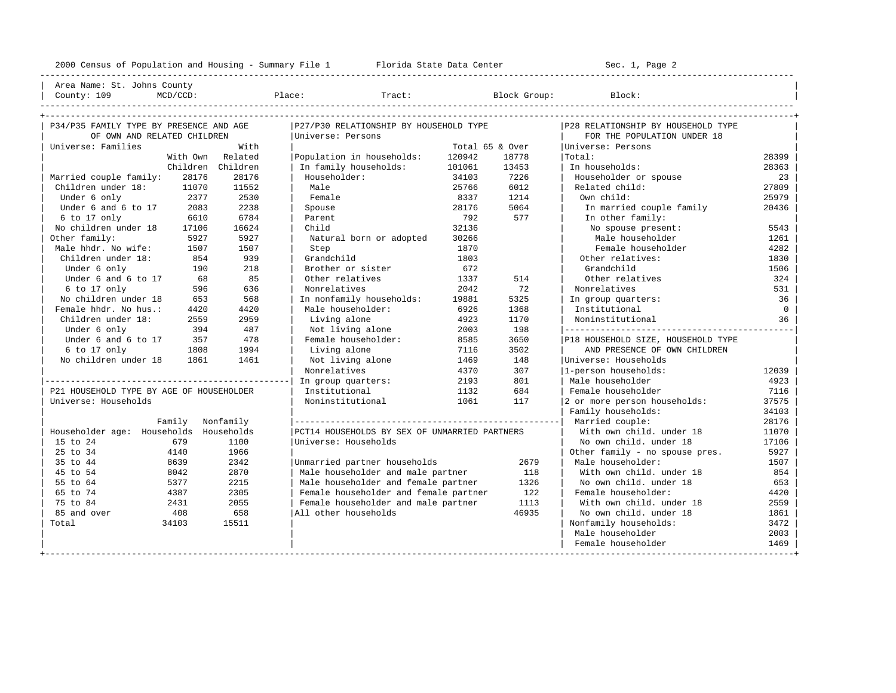---------------------------------------------------------------------------------------------------------------------------------------------------- | Area Name: St. Johns County | | County: 109 MCD/CCD: Place: Tract: Block Group: Block: | ---------------------------------------------------------------------------------------------------------------------------------------------------- +---------------------------------------------------------------------------------------------------------------------------------------------------+

| P34/P35 FAMILY TYPE BY PRESENCE AND AGE  |                   | P27/P30 RELATIONSHIP BY HOUSEHOLD TYPE        |                 |       | P28 RELATIONSHIP BY HOUSEHOLD TYPE |                |
|------------------------------------------|-------------------|-----------------------------------------------|-----------------|-------|------------------------------------|----------------|
| OF OWN AND RELATED CHILDREN              |                   | Universe: Persons                             |                 |       | FOR THE POPULATION UNDER 18        |                |
| Universe: Families                       | With              |                                               | Total 65 & Over |       | Universe: Persons                  |                |
| With Own                                 | Related           | Population in households:                     | 120942          | 18778 | Total:                             | 28399          |
|                                          | Children Children | In family households:                         | 101061          | 13453 | In households:                     | 28363          |
| 28176<br>Married couple family:          | 28176             | Householder:                                  | 34103           | 7226  | Householder or spouse              | 23             |
| Children under 18:<br>11070              | 11552             | Male                                          | 25766           | 6012  | Related child:                     | 27809          |
| Under 6 only<br>2377                     | 2530              | Female                                        | 8337            | 1214  | Own child:                         | 25979          |
| Under 6 and 6 to 17<br>2083              | 2238              | Spouse                                        | 28176           | 5064  | In married couple family           | 20436          |
| 6 to 17 only<br>6610                     | 6784              | Parent                                        | 792             | 577   | In other family:                   |                |
| No children under 18<br>17106            | 16624             | Child                                         | 32136           |       | No spouse present:                 | 5543           |
| Other family:<br>5927                    | 5927              | Natural born or adopted                       | 30266           |       | Male householder                   | 1261           |
| Male hhdr. No wife:<br>1507              | 1507              | Step                                          | 1870            |       | Female householder                 | 4282           |
| Children under 18:<br>854                | 939               | Grandchild                                    | 1803            |       | Other relatives:                   | 1830           |
| Under 6 only<br>190                      | 218               | Brother or sister                             | 672             |       | Grandchild                         | 1506           |
| Under 6 and 6 to 17<br>68                | 85                | Other relatives                               | 1337            | 514   | Other relatives                    | 324            |
| 6 to 17 only<br>596                      | 636               | Nonrelatives                                  | 2042            | 72    | Nonrelatives                       | 531            |
| No children under 18<br>653              | 568               | In nonfamily households:                      | 19881           | 5325  | In group quarters:                 | 36             |
| Female hhdr. No hus.:<br>4420            | 4420              | Male householder:                             | 6926            | 1368  | Institutional                      | $\overline{0}$ |
| Children under 18:<br>2559               | 2959              | Living alone                                  | 4923            | 1170  | Noninstitutional                   | 36             |
| Under 6 only<br>394                      | 487               | Not living alone                              | 2003            | 198   |                                    |                |
| Under 6 and 6 to 17<br>357               | 478               | Female householder:                           | 8585            | 3650  | P18 HOUSEHOLD SIZE, HOUSEHOLD TYPE |                |
| 6 to 17 only<br>1808                     | 1994              | Living alone                                  | 7116            | 3502  | AND PRESENCE OF OWN CHILDREN       |                |
| No children under 18<br>1861             | 1461              | Not living alone                              | 1469            | 148   | Universe: Households               |                |
|                                          |                   | Nonrelatives                                  | 4370            | 307   | 1-person households:               | 12039          |
|                                          |                   | In group quarters:                            | 2193            | 801   | Male householder                   | 4923           |
| P21 HOUSEHOLD TYPE BY AGE OF HOUSEHOLDER |                   | Institutional                                 | 1132            | 684   | Female householder                 | 7116           |
| Universe: Households                     |                   | Noninstitutional                              | 1061            | 117   | 2 or more person households:       | 37575          |
|                                          |                   |                                               |                 |       | Family households:                 | 34103          |
| Family                                   | Nonfamily         |                                               |                 |       | Married couple:                    | 28176          |
| Householder age: Households              | Households        | PCT14 HOUSEHOLDS BY SEX OF UNMARRIED PARTNERS |                 |       | With own child, under 18           | 11070          |
| 15 to 24<br>679                          | 1100              | Universe: Households                          |                 |       | No own child, under 18             | 17106          |
| 25 to 34<br>4140                         | 1966              |                                               |                 |       | Other family - no spouse pres.     | 5927           |
| 35 to 44<br>8639                         | 2342              | Unmarried partner households                  |                 | 2679  | Male householder:                  | 1507           |
| 45 to 54<br>8042                         | 2870              | Male householder and male partner             |                 | 118   | With own child, under 18           | 854            |
| 55 to 64<br>5377                         | 2215              | Male householder and female partner           |                 | 1326  | No own child, under 18             | 653            |
| 65 to 74<br>4387                         | 2305              | Female householder and female partner         |                 | 122   | Female householder:                | 4420           |
| 75 to 84<br>2431                         | 2055              | Female householder and male partner           |                 | 1113  | With own child, under 18           | 2559           |
| 85 and over<br>408                       | 658               | All other households                          |                 | 46935 | No own child, under 18             | 1861           |
| Total<br>34103                           | 15511             |                                               |                 |       | Nonfamily households:              | 3472           |
|                                          |                   |                                               |                 |       | Male householder                   | 2003           |
|                                          |                   |                                               |                 |       | Female householder                 | 1469           |
|                                          |                   |                                               |                 |       |                                    |                |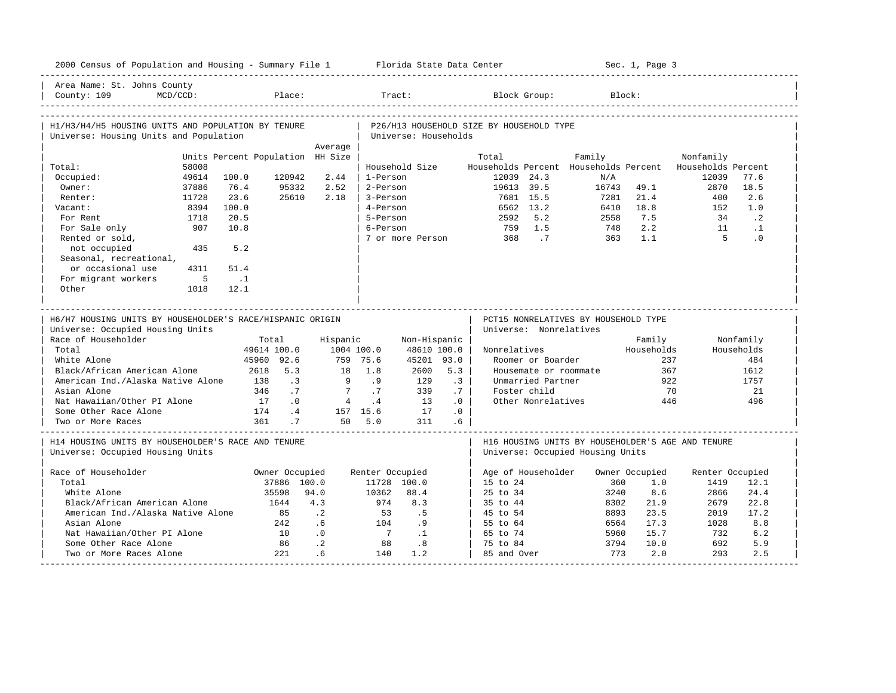| 2000 Census of Population and Housing - Summary File 1 Florida State Data Center                                     |             |                                  |                |                |                 |                      |                 |                                          |                    |                                                                                                                            | Sec. 1, Page 3 |                    |             |
|----------------------------------------------------------------------------------------------------------------------|-------------|----------------------------------|----------------|----------------|-----------------|----------------------|-----------------|------------------------------------------|--------------------|----------------------------------------------------------------------------------------------------------------------------|----------------|--------------------|-------------|
| Area Name: St. Johns County<br>County: 109                                                                           | $MCD/CCD$ : |                                  | Place:         |                | Tract:          |                      |                 |                                          | Block Group:       | Block:                                                                                                                     |                |                    |             |
| H1/H3/H4/H5 HOUSING UNITS AND POPULATION BY TENURE<br>Universe: Housing Units and Population                         |             |                                  |                |                |                 | Universe: Households |                 | P26/H13 HOUSEHOLD SIZE BY HOUSEHOLD TYPE |                    |                                                                                                                            |                |                    |             |
|                                                                                                                      |             |                                  |                | Average        |                 |                      |                 |                                          |                    |                                                                                                                            |                |                    |             |
|                                                                                                                      |             | Units Percent Population HH Size |                |                |                 |                      |                 | Total                                    |                    | Family                                                                                                                     |                | Nonfamily          |             |
| Total:                                                                                                               | 58008       |                                  |                |                |                 | Household Size       |                 | Households Percent                       |                    | Households Percent                                                                                                         |                | Households Percent |             |
| Occupied:                                                                                                            | 49614       | 100.0                            | 120942         | 2.44           | 1-Person        |                      |                 | 12039 24.3                               |                    | N/A                                                                                                                        |                | 12039              | 77.6        |
| Owner:                                                                                                               | 37886       | 76.4                             | 95332          | 2.52           | 2-Person        |                      |                 | 19613 39.5                               | 7681 15.5          | 16743                                                                                                                      | 49.1<br>21.4   | 2870               | 18.5<br>2.6 |
| Renter:                                                                                                              | 11728       | 23.6                             | 25610          | 2.18           | 3-Person        |                      |                 |                                          |                    | 7281                                                                                                                       |                | 400                |             |
| Vacant:                                                                                                              | 8394        | 100.0                            |                |                | 4-Person        |                      |                 |                                          | 6562 13.2          | 6410                                                                                                                       | 18.8           | 152                | 1.0         |
| For Rent                                                                                                             | 1718        | 20.5                             |                |                | 5-Person        |                      |                 | 2592                                     | 5.2                | 2558                                                                                                                       | 7.5            | 34                 | $\cdot$ 2   |
| For Sale only                                                                                                        | 907         | 10.8                             |                |                | 6-Person        |                      |                 |                                          | 759 1.5            | 748                                                                                                                        | 2.2            | 11                 | $\cdot$ 1   |
| Rented or sold,                                                                                                      |             |                                  |                |                |                 |                      |                 | 7 or more Person 368                     | $\overline{7}$     | 363                                                                                                                        | 1.1            | $5^{\circ}$        | $\cdot$ 0   |
| not occupied                                                                                                         | 435         | 5.2                              |                |                |                 |                      |                 |                                          |                    |                                                                                                                            |                |                    |             |
| Seasonal, recreational,                                                                                              |             |                                  |                |                |                 |                      |                 |                                          |                    |                                                                                                                            |                |                    |             |
| or occasional use                                                                                                    | 4311        | 51.4                             |                |                |                 |                      |                 |                                          |                    |                                                                                                                            |                |                    |             |
| For migrant workers                                                                                                  | $5^{\circ}$ | $\ldots$                         |                |                |                 |                      |                 |                                          |                    |                                                                                                                            |                |                    |             |
| Other                                                                                                                | 1018        | 12.1                             |                |                |                 |                      |                 |                                          |                    |                                                                                                                            |                |                    |             |
| H6/H7 HOUSING UNITS BY HOUSEHOLDER'S RACE/HISPANIC ORIGIN<br>Universe: Occupied Housing Units<br>Race of Householder |             |                                  | Total          | Hispanic       |                 | Non-Hispanic         |                 | Universe: Nonrelatives                   |                    | PCT15 NONRELATIVES BY HOUSEHOLD TYPE                                                                                       | Family         |                    | Nonfamily   |
| Total                                                                                                                |             |                                  | 49614 100.0    |                | 1004 100.0      | 48610 100.0          |                 | Nonrelatives                             |                    |                                                                                                                            | Households     |                    | Households  |
| White Alone                                                                                                          |             |                                  | 45960 92.6     |                | 759 75.6        | 45201 93.0           |                 |                                          | Roomer or Boarder  |                                                                                                                            |                | 237                | 484         |
| Black/African American Alone                                                                                         |             |                                  | 2618 5.3       |                | 18 1.8          | 2600                 | 5.3             |                                          |                    | Housemate or roommate                                                                                                      |                | 367                | 1612        |
| American Ind./Alaska Native Alone                                                                                    |             | 138                              | $\cdot$ 3      | $\overline{9}$ | .9              | 129                  | .3              |                                          | Unmarried Partner  |                                                                                                                            |                | 922                | 1757        |
| Asian Alone                                                                                                          |             | 346                              | .7             |                | .7              | 339                  | .7              |                                          | Foster child       |                                                                                                                            |                | 70                 | 21          |
| Nat Hawaiian/Other PI Alone                                                                                          |             | 17                               | $\cdot$ 0      | 4              | $\cdot$ 4       | 13                   | .0              |                                          | Other Nonrelatives |                                                                                                                            |                | 446                | 496         |
| Some Other Race Alone                                                                                                |             | 174                              | $\cdot$ 4      |                | 157 15.6        | 17                   | .0              |                                          |                    |                                                                                                                            |                |                    |             |
| Two or More Races                                                                                                    |             |                                  | 361.7          |                | 50 5.0          | 311                  | .6 <sub>5</sub> |                                          |                    |                                                                                                                            |                |                    |             |
| H14 HOUSING UNITS BY HOUSEHOLDER'S RACE AND TENURE<br>Universe: Occupied Housing Units                               |             |                                  |                |                |                 |                      |                 |                                          |                    | _________________________________<br>H16 HOUSING UNITS BY HOUSEHOLDER'S AGE AND TENURE<br>Universe: Occupied Housing Units |                |                    |             |
| Race of Householder                                                                                                  |             |                                  | Owner Occupied |                | Renter Occupied |                      |                 | Age of Householder                       |                    |                                                                                                                            | Owner Occupied | Renter Occupied    |             |
| Total                                                                                                                |             |                                  | 37886 100.0    |                |                 | 11728 100.0          |                 | 15 to 24                                 |                    | 360                                                                                                                        | 1.0            | 1419               | 12.1        |
| White Alone                                                                                                          |             |                                  | 35598          | 94.0           | 10362           | 88.4                 |                 | 25 to 34                                 |                    | 3240                                                                                                                       | 8.6            | 2866               | 24.4        |
| Black/African American Alone                                                                                         |             |                                  | 1644           | 4.3            | 974             | 8.3                  |                 | 35 to 44                                 |                    | 8302                                                                                                                       | 21.9           | 2679               | 22.8        |
| American Ind./Alaska Native Alone                                                                                    |             |                                  | 85             | $\cdot$ . 2    | 53              | .5                   |                 | 45 to 54                                 |                    | 8893                                                                                                                       | 23.5           | 2019               | 17.2        |
| Asian Alone                                                                                                          |             |                                  | 242            | .6             | 104             | 9                    |                 | 55 to 64                                 |                    | 6564                                                                                                                       | 17.3           | 1028               | 8.8         |
| Nat Hawaiian/Other PI Alone                                                                                          |             |                                  | 10             | .0             | $\overline{7}$  | $\cdot$ 1            |                 | 65 to 74                                 |                    | 5960                                                                                                                       | 15.7           | 732                | 6.2         |
| Some Other Race Alone                                                                                                |             |                                  | 86             | $\cdot$ 2      | 88              | .8                   |                 | 75 to 84                                 |                    | 3794                                                                                                                       | 10.0           | 692                | 5.9         |
| Two or More Races Alone                                                                                              |             |                                  | 221            | .6             | 140             | 1.2                  |                 | 85 and Over                              |                    | 773                                                                                                                        | 2.0            | 293                | 2.5         |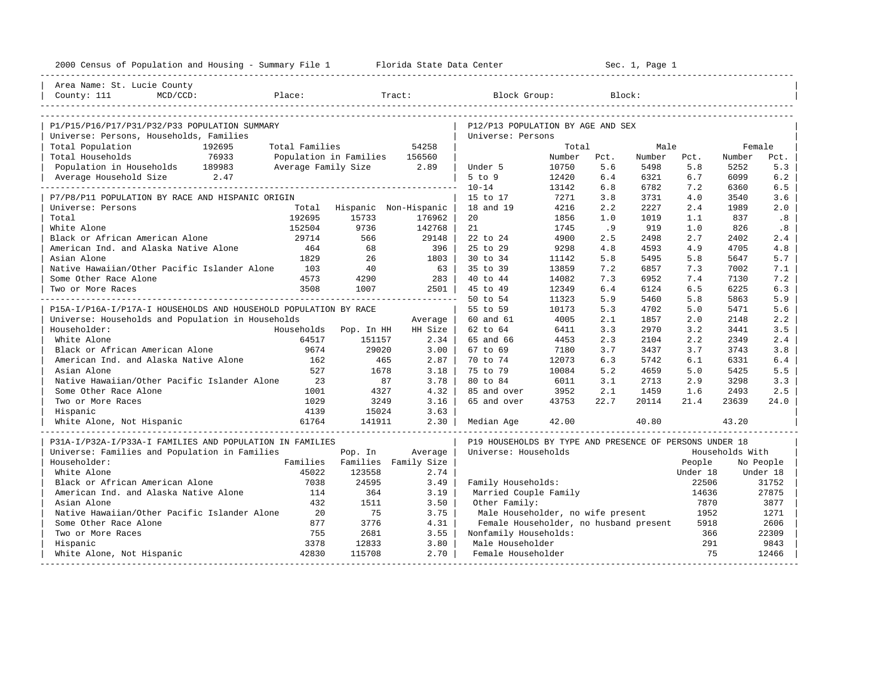| 2000 Census of Population and Housing - Summary File 1 Florida State Data Center |                |                               |                             |                                                         |        |        | Sec. 1, Page 1 |          |                 |           |
|----------------------------------------------------------------------------------|----------------|-------------------------------|-----------------------------|---------------------------------------------------------|--------|--------|----------------|----------|-----------------|-----------|
| Area Name: St. Lucie County                                                      |                |                               |                             |                                                         |        |        |                |          |                 |           |
| County: 111<br>$MCD/CCD$ :                                                       | Place:         |                               | Tract:                      | Block Group:                                            |        | Block: |                |          |                 |           |
| P1/P15/P16/P17/P31/P32/P33 POPULATION SUMMARY                                    |                |                               |                             | P12/P13 POPULATION BY AGE AND SEX                       |        |        |                |          |                 |           |
| Universe: Persons, Households, Families                                          |                |                               |                             | Universe: Persons                                       |        |        |                |          |                 |           |
| Total Population<br>192695                                                       | Total Families |                               | 54258                       |                                                         | Total  |        | Male           |          | Female          |           |
| Total Households<br>76933                                                        |                | Population in Families 156560 |                             |                                                         | Number | Pct.   | Number         | Pct.     | Number          | Pct.      |
| Population in Households 189983                                                  |                | Average Family Size 2.89      |                             | Under 5                                                 | 10750  | 5.6    | 5498           | 5.8      | 5252            | 5.3       |
| Average Household Size 2.47                                                      |                |                               |                             | $5$ to $9$                                              | 12420  | 6.4    | 6321           | 6.7      | 6099            | 6.2       |
|                                                                                  |                |                               |                             | $10 - 14$                                               | 13142  | 6.8    | 6782           | 7.2      | 6360            | 6.5       |
| P7/P8/P11 POPULATION BY RACE AND HISPANIC ORIGIN                                 |                |                               |                             | 15 to 17                                                | 7271   | 3.8    | 3731           | 4.0      | 3540            | 3.6       |
| Universe: Persons                                                                |                |                               | Total Hispanic Non-Hispanic | 18 and 19                                               | 4216   | 2.2    | 2227           | 2.4      | 1989            | 2.0       |
| Total                                                                            | 192695         | 15733                         | 176962                      | 20                                                      | 1856   | 1.0    | 1019           | 1.1      | 837             | .8        |
| White Alone                                                                      | 152504         | 9736                          | 142768                      | 21                                                      | 1745   | .9     | 919            | 1.0      | 826             | .8        |
| Black or African American Alone                                                  | 29714          | 566                           | 29148                       | 22 to 24                                                | 4900   | 2.5    | 2498           | 2.7      | 2402            | 2.4       |
| American Ind. and Alaska Native Alone                                            | 464            | 68                            | 396                         | 25 to 29                                                | 9298   | 4.8    | 4593           | 4.9      | 4705            | 4.8       |
| Asian Alone                                                                      | 1829           | 26                            | 1803                        | 30 to 34                                                | 11142  | 5.8    | 5495           | 5.8      | 5647            | 5.7       |
| Native Hawaiian/Other Pacific Islander Alone                                     | 103            | 40                            | 63                          | 35 to 39                                                | 13859  | 7.2    | 6857           | 7.3      | 7002            | 7.1       |
| Some Other Race Alone                                                            | 4573           | 4290                          | 283                         | 40 to 44                                                | 14082  | 7.3    | 6952           | 7.4      | 7130            | 7.2       |
| Two or More Races                                                                | 3508           | 1007                          | 2501 l                      | 45 to 49                                                | 12349  | 6.4    | 6124           | 6.5      | 6225            | 6.3       |
|                                                                                  |                |                               |                             | 50 to 54                                                | 11323  | 5.9    | 5460           | 5.8      | 5863            | 5.9       |
| P15A-I/P16A-I/P17A-I HOUSEHOLDS AND HOUSEHOLD POPULATION BY RACE                 |                |                               |                             | 55 to 59                                                | 10173  | 5.3    | 4702           | 5.0      | 5471            | 5.6       |
| Universe: Households and Population in Households                                |                |                               | Average                     | 60 and 61                                               | 4005   | 2.1    | 1857           | 2.0      | 2148            | 2.2       |
| Householder:                                                                     | Households     | Pop. In HH                    | HH Size                     | 62 to 64                                                | 6411   | 3.3    | 2970           | 3.2      | 3441            | 3.5       |
| White Alone                                                                      | 64517          | 151157                        | 2.34                        | 65 and 66                                               | 4453   | 2.3    | 2104           | 2.2      | 2349            | 2.4       |
| Black or African American Alone                                                  | 9674           | 29020                         | 3.00                        | 67 to 69                                                | 7180   | 3.7    | 3437           | 3.7      | 3743            | 3.8       |
| American Ind. and Alaska Native Alone                                            | 162            | 465                           | 2.87                        | 70 to 74                                                | 12073  | 6.3    | 5742           | 6.1      | 6331            | 6.4       |
| Asian Alone                                                                      | 527            | 1678                          | 3.18                        | 75 to 79                                                | 10084  | 5.2    | 4659           | 5.0      | 5425            | 5.5       |
| Native Hawaiian/Other Pacific Islander Alone                                     | 23             | 87                            | 3.78                        | 80 to 84                                                | 6011   | 3.1    | 2713           | 2.9      | 3298            | 3.3       |
| Some Other Race Alone                                                            | 1001           | 4327                          | 4.32                        | 85 and over                                             | 3952   | 2.1    | 1459           | 1.6      | 2493            | 2.5       |
| Two or More Races                                                                | 1029           | 3249                          | 3.16                        | 65 and over                                             | 43753  | 22.7   | 20114          | 21.4     | 23639           | 24.0      |
| Hispanic                                                                         | 4139           | 15024                         | 3.63                        |                                                         |        |        |                |          |                 |           |
| White Alone, Not Hispanic                                                        |                |                               |                             | Median Age                                              | 42.00  |        | 40.80          |          | 43.20           |           |
| P31A-I/P32A-I/P33A-I FAMILIES AND POPULATION IN FAMILIES                         |                |                               |                             | P19 HOUSEHOLDS BY TYPE AND PRESENCE OF PERSONS UNDER 18 |        |        |                |          |                 |           |
| Universe: Families and Population in Families                                    |                | Pop. In                       | Average                     | Universe: Households                                    |        |        |                |          | Households With |           |
| Householder:                                                                     | Families       |                               | Families Family Size        |                                                         |        |        |                | People   |                 | No People |
| White Alone                                                                      | 45022          | 123558                        | 2.74                        |                                                         |        |        |                | Under 18 |                 | Under 18  |
| Black or African American Alone                                                  | 7038           | 24595                         | 3.49                        | Family Households:                                      |        |        |                | 22506    |                 | 31752     |
| American Ind. and Alaska Native Alone                                            | 114            | 364                           | 3.19                        | Married Couple Family                                   |        |        |                | 14636    |                 | 27875     |
| Asian Alone                                                                      | 432            | 1511                          | 3.50                        | Other Family:                                           |        |        |                | 7870     |                 | 3877      |
| Native Hawaiian/Other Pacific Islander Alone                                     | 20             | 75                            | 3.75                        | Male Householder, no wife present                       |        |        |                | 1952     |                 | 1271      |
| Some Other Race Alone                                                            | 877            | 3776                          | 4.31                        | Female Householder, no husband present                  |        |        |                | 5918     |                 | 2606      |
| Two or More Races                                                                | 755            | 2681                          | 3.55                        | Nonfamily Households:                                   |        |        |                | 366      |                 | 22309     |
| Hispanic                                                                         | 3378           | 12833                         | 3.80                        | Male Householder                                        |        |        |                | 291      |                 | 9843      |
| White Alone, Not Hispanic                                                        | 42830          | 115708                        | 2.70                        | Female Householder                                      |        |        |                | 75       |                 | 12466     |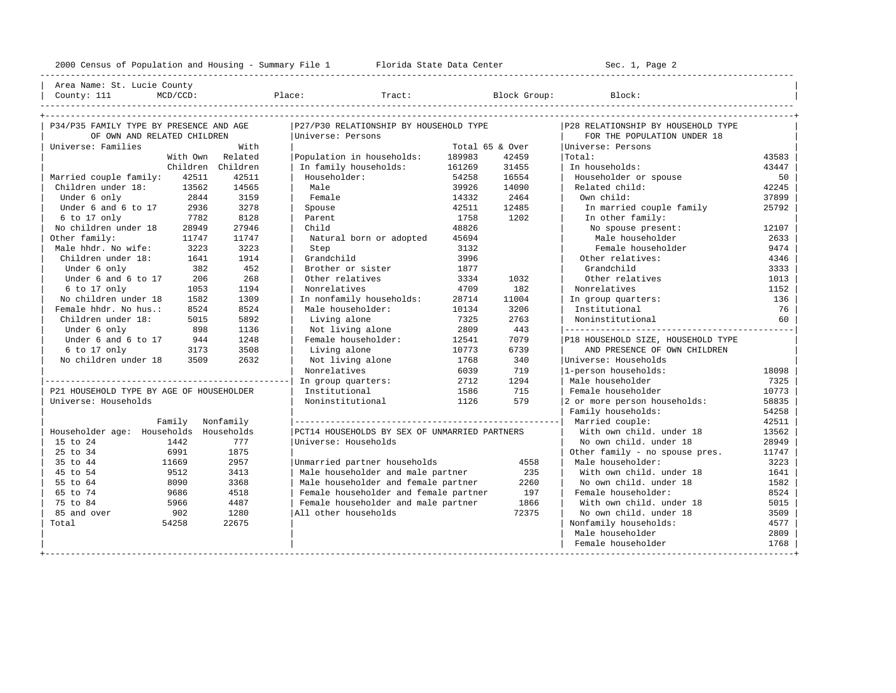---------------------------------------------------------------------------------------------------------------------------------------------------- | Area Name: St. Lucie County | | County: 111 MCD/CCD: Place: Tract: Block Group: Block: | ----------------------------------------------------------------------------------------------------------------------------------------------------

| P34/P35 FAMILY TYPE BY PRESENCE AND AGE  |       | P27/P30 RELATIONSHIP BY HOUSEHOLD TYPE        |                 |       | P28 RELATIONSHIP BY HOUSEHOLD TYPE |       |  |  |
|------------------------------------------|-------|-----------------------------------------------|-----------------|-------|------------------------------------|-------|--|--|
| OF OWN AND RELATED CHILDREN              |       | Universe: Persons                             |                 |       | FOR THE POPULATION UNDER 18        |       |  |  |
| Universe: Families                       | With  |                                               | Total 65 & Over |       | Universe: Persons                  |       |  |  |
| With Own Related                         |       | Population in households:                     | 189983          | 42459 | Total:                             | 43583 |  |  |
| Children Children                        |       | In family households:                         | 161269          | 31455 | In households:                     | 43447 |  |  |
| Married couple family:<br>42511          | 42511 | Householder:                                  | 54258           | 16554 | Householder or spouse              | 50    |  |  |
| Children under 18:<br>13562              | 14565 | Male                                          | 39926           | 14090 | Related child:                     | 42245 |  |  |
| 2844<br>Under 6 only                     | 3159  | Female                                        | 14332           | 2464  | Own child:                         | 37899 |  |  |
| Under 6 and 6 to 17<br>2936              | 3278  | Spouse                                        | 42511           | 12485 | In married couple family           | 25792 |  |  |
| 6 to 17 only<br>7782                     | 8128  | Parent                                        | 1758            | 1202  | In other family:                   |       |  |  |
| No children under 18<br>28949            | 27946 | Child                                         | 48826           |       | No spouse present:                 | 12107 |  |  |
| Other family:<br>11747                   | 11747 | Natural born or adopted                       | 45694           |       | Male householder                   | 2633  |  |  |
| Male hhdr. No wife:<br>3223              | 3223  | Step                                          | 3132            |       | Female householder                 | 9474  |  |  |
| Children under 18:<br>1641               | 1914  | Grandchild                                    | 3996            |       | Other relatives:                   | 4346  |  |  |
| Under 6 only<br>382                      | 452   | Brother or sister                             | 1877            |       | Grandchild                         | 3333  |  |  |
| Under 6 and 6 to 17<br>206               | 268   | Other relatives                               | 3334            | 1032  | Other relatives                    | 1013  |  |  |
| 6 to 17 only<br>1053                     | 1194  | Nonrelatives                                  | 4709            | 182   | Nonrelatives                       | 1152  |  |  |
| No children under 18<br>1582             | 1309  | In nonfamily households:                      | 28714           | 11004 | In group quarters:                 | 136   |  |  |
| Female hhdr. No hus.:<br>8524            | 8524  | Male householder:                             | 10134           | 3206  | Institutional                      | 76    |  |  |
| Children under 18:<br>5015               | 5892  | Living alone                                  | 7325            | 2763  | Noninstitutional                   | 60    |  |  |
| Under 6 only<br>898                      | 1136  | Not living alone                              | 2809            | 443   |                                    |       |  |  |
| Under 6 and 6 to 17<br>944               | 1248  | Female householder:                           | 12541           | 7079  | P18 HOUSEHOLD SIZE, HOUSEHOLD TYPE |       |  |  |
| 6 to 17 only<br>3173                     | 3508  | Living alone                                  | 10773           | 6739  | AND PRESENCE OF OWN CHILDREN       |       |  |  |
| No children under 18<br>3509             | 2632  | Not living alone                              | 1768            | 340   | Winiverse: Households              |       |  |  |
|                                          |       | Nonrelatives                                  | 6039            | 719   | 1-person households:               | 18098 |  |  |
|                                          |       | In group quarters:                            | 2712            | 1294  | Male householder                   | 7325  |  |  |
| P21 HOUSEHOLD TYPE BY AGE OF HOUSEHOLDER |       | Institutional                                 | 1586            | 715   | Female householder                 | 10773 |  |  |
| Universe: Households                     |       | Noninstitutional                              | 1126            | 579   | 2 or more person households:       | 58835 |  |  |
|                                          |       |                                               |                 |       | Family households:                 | 54258 |  |  |
| Family Nonfamily                         |       |                                               |                 |       | Married couple:                    | 42511 |  |  |
| Householder age: Households Households   |       | PCT14 HOUSEHOLDS BY SEX OF UNMARRIED PARTNERS |                 |       | With own child, under 18           | 13562 |  |  |
| 15 to 24<br>1442                         | 777   | Universe: Households                          |                 |       | No own child, under 18             | 28949 |  |  |
| 25 to 34<br>6991                         | 1875  |                                               |                 |       | Other family - no spouse pres.     | 11747 |  |  |
| 35 to 44<br>11669                        | 2957  | Unmarried partner households                  |                 | 4558  | Male householder:                  | 3223  |  |  |
| 45 to 54<br>9512                         | 3413  | Male householder and male partner             |                 | 235   | With own child, under 18           | 1641  |  |  |
| 55 to 64<br>8090                         | 3368  | Male householder and female partner           |                 | 2260  | No own child, under 18             | 1582  |  |  |
| 65 to 74<br>9686                         | 4518  | Female householder and female partner         |                 | 197   | Female householder:                | 8524  |  |  |
| 75 to 84<br>5966                         | 4487  | Female householder and male partner           |                 | 1866  | With own child, under 18           | 5015  |  |  |
| 85 and over<br>902                       | 1280  | All other households                          |                 | 72375 | No own child, under 18             | 3509  |  |  |
| Total<br>54258                           | 22675 |                                               |                 |       | Nonfamily households:              | 4577  |  |  |
|                                          |       |                                               |                 |       | Male householder                   | 2809  |  |  |
|                                          |       |                                               |                 |       | Female householder                 | 1768  |  |  |
|                                          |       |                                               |                 |       |                                    |       |  |  |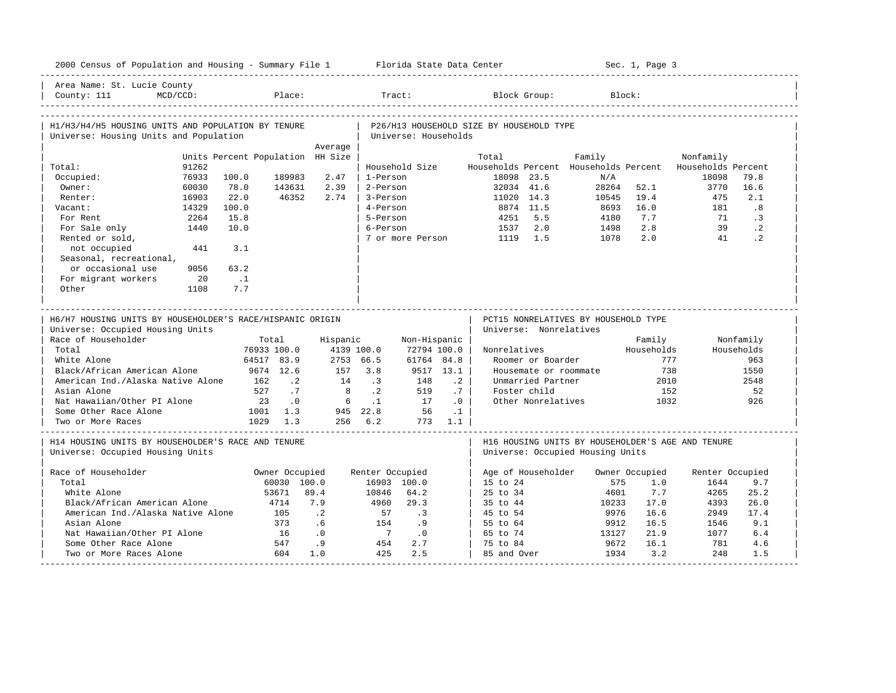| 2000 Census of Population and Housing - Summary File 1 Florida State Data Center                            |             |                                  |                      |                     |                     |                          |           |                                          |                        |                                      | Sec. 1, Page 3 |                                                   |            |
|-------------------------------------------------------------------------------------------------------------|-------------|----------------------------------|----------------------|---------------------|---------------------|--------------------------|-----------|------------------------------------------|------------------------|--------------------------------------|----------------|---------------------------------------------------|------------|
| Area Name: St. Lucie County<br>County: 111                                                                  | $MCD/CCD$ : |                                  | Place:               |                     |                     | Tract:                   |           |                                          | Block Group:           |                                      | Block:         |                                                   |            |
| H1/H3/H4/H5 HOUSING UNITS AND POPULATION BY TENURE<br>Universe: Housing Units and Population                |             |                                  |                      | Average             |                     | Universe: Households     |           | P26/H13 HOUSEHOLD SIZE BY HOUSEHOLD TYPE |                        |                                      |                |                                                   |            |
|                                                                                                             |             | Units Percent Population HH Size |                      |                     |                     |                          |           | Total                                    |                        | Family                               |                | Nonfamily                                         |            |
| Total:                                                                                                      | 91262       |                                  |                      |                     |                     | Household Size           |           | Households Percent                       |                        | Households Percent                   |                | Households Percent                                |            |
| Occupied:                                                                                                   | 76933       | 100.0                            | 189983               | 2.47                | 1-Person            |                          |           | 18098 23.5                               |                        | N/A                                  |                | 18098                                             | 79.8       |
| Owner:                                                                                                      | 60030       | 78.0                             | 143631               | 2.39                | 2-Person            |                          |           |                                          | 32034 41.6             | 28264                                | 52.1           | 3770                                              | 16.6       |
| Renter:                                                                                                     | 16903       | 22.0                             | 46352                | 2.74                | 3-Person            |                          |           | 11020 14.3                               |                        | 10545                                | 19.4           | 475                                               | 2.1        |
| Vacant:                                                                                                     | 14329       | 100.0                            |                      |                     | 4-Person            |                          |           |                                          | 8874 11.5              | 8693                                 | 16.0           | 181                                               | .8         |
| For Rent                                                                                                    | 2264        | 15.8                             |                      |                     | 5-Person            |                          |           | 4251                                     | 5.5                    | 4180                                 | 7.7            | 71                                                | $\cdot$ 3  |
| For Sale only                                                                                               | 1440        | 10.0                             |                      |                     | 6-Person            |                          |           | 1537                                     | 2.0                    | 1498                                 | 2.8            | 39                                                | $\cdot$ 2  |
| Rented or sold,                                                                                             |             |                                  |                      |                     |                     |                          |           | 7 or more Person 1119 1.5                |                        | 1078                                 | 2.0            | 41                                                | $\cdot$ 2  |
| not occupied                                                                                                | 441         | 3.1                              |                      |                     |                     |                          |           |                                          |                        |                                      |                |                                                   |            |
| Seasonal, recreational,                                                                                     |             |                                  |                      |                     |                     |                          |           |                                          |                        |                                      |                |                                                   |            |
| or occasional use                                                                                           | 9056        | 63.2                             |                      |                     |                     |                          |           |                                          |                        |                                      |                |                                                   |            |
| For migrant workers                                                                                         | 20          | $\ldots$ 1                       |                      |                     |                     |                          |           |                                          |                        |                                      |                |                                                   |            |
| Other                                                                                                       | 1108        | 7.7                              |                      |                     |                     |                          |           |                                          |                        |                                      |                |                                                   |            |
| H6/H7 HOUSING UNITS BY HOUSEHOLDER'S RACE/HISPANIC ORIGIN                                                   |             |                                  |                      |                     |                     |                          |           |                                          |                        | PCT15 NONRELATIVES BY HOUSEHOLD TYPE |                |                                                   |            |
| Universe: Occupied Housing Units                                                                            |             |                                  |                      |                     |                     |                          |           |                                          | Universe: Nonrelatives |                                      |                |                                                   |            |
| Race of Householder                                                                                         |             |                                  | Total                | Hispanic            |                     | Non-Hispanic             |           |                                          |                        |                                      | Family         |                                                   | Nonfamily  |
| Total                                                                                                       |             |                                  | 76933 100.0          |                     | 4139 100.0          | 72794 100.0              |           | Nonrelatives                             |                        |                                      | Households     |                                                   | Households |
| White Alone                                                                                                 |             |                                  | 64517 83.9           |                     | 2753 66.5           | 61764 84.8               |           |                                          | Roomer or Boarder      |                                      |                | 777                                               | 963        |
| Black/African American Alone                                                                                |             |                                  | 9674 12.6            |                     | 157 3.8             |                          | 9517 13.1 |                                          |                        | Housemate or roommate                |                | 738                                               | 1550       |
| American Ind./Alaska Native Alone                                                                           |             | 162                              | $\cdot$ 2            | 14<br>$\mathcal{R}$ | $\cdot$ 3           | 148                      | $\cdot$ 2 |                                          | Unmarried Partner      |                                      | 2010           |                                                   | 2548       |
| Asian Alone                                                                                                 |             | 527                              | .7                   |                     | $\cdot$ 2           | 519                      | .7        |                                          | Foster child           |                                      | 152            |                                                   | 52         |
| Nat Hawaiian/Other PI Alone                                                                                 |             | 23                               | $\cdot$ 0            | 6                   | $\cdots$            | 17                       | $\cdot$ 0 |                                          | Other Nonrelatives     |                                      | 1032           |                                                   | 926        |
| Some Other Race Alone                                                                                       |             |                                  | 1001 1.3<br>1029 1.3 |                     | 945 22.8<br>256 6.2 | 56                       | $\cdot$ 1 |                                          |                        |                                      |                |                                                   |            |
| Two or More Races<br>H14 HOUSING UNITS BY HOUSEHOLDER'S RACE AND TENURE<br>Universe: Occupied Housing Units |             |                                  |                      |                     |                     |                          | 773 1.1   |                                          |                        | Universe: Occupied Housing Units     |                | H16 HOUSING UNITS BY HOUSEHOLDER'S AGE AND TENURE |            |
| Race of Householder                                                                                         |             |                                  | Owner Occupied       |                     | Renter Occupied     |                          |           |                                          | Age of Householder     |                                      | Owner Occupied | Renter Occupied                                   |            |
| Total                                                                                                       |             |                                  | 60030 100.0          |                     |                     | 16903 100.0              |           | 15 to 24                                 |                        | 575                                  | 1.0            | 1644                                              | 9.7        |
| White Alone                                                                                                 |             |                                  | 53671                | 89.4                | 10846               | 64.2                     |           | 25 to 34                                 |                        | 4601                                 | 7.7            | 4265                                              | 25.2       |
| Black/African American Alone                                                                                |             |                                  | 4714                 | 7.9                 | 4960                | 29.3                     |           | 35 to 44                                 |                        | 10233                                | 17.0           | 4393                                              | 26.0       |
| American Ind./Alaska Native Alone                                                                           |             |                                  | 105                  | $\cdot$ . 2         | 57                  | $\overline{\phantom{a}}$ |           | 45 to 54                                 |                        | 9976                                 | 16.6           | 2949                                              | 17.4       |
| Asian Alone                                                                                                 |             |                                  | 373                  | .6                  | 154                 | .9                       |           | 55 to 64                                 |                        | 9912                                 | 16.5           | 1546                                              | 9.1        |
| Nat Hawaiian/Other PI Alone                                                                                 |             |                                  | 16                   | $\cdot$ 0           | $\overline{7}$      | $\overline{0}$ .         |           | 65 to 74                                 |                        | 13127                                | 21.9           | 1077                                              | 6.4        |
| Some Other Race Alone                                                                                       |             |                                  | 547                  | .9                  | 454                 | 2.7                      |           | 75 to 84                                 |                        | 9672                                 | 16.1           | 781                                               | 4.6        |
| Two or More Races Alone                                                                                     |             |                                  | 604                  | 1.0                 | 425                 | 2.5                      |           | 85 and Over                              |                        | 1934                                 | 3.2            | 248                                               | 1.5        |
|                                                                                                             |             |                                  |                      |                     |                     |                          |           |                                          |                        |                                      |                |                                                   |            |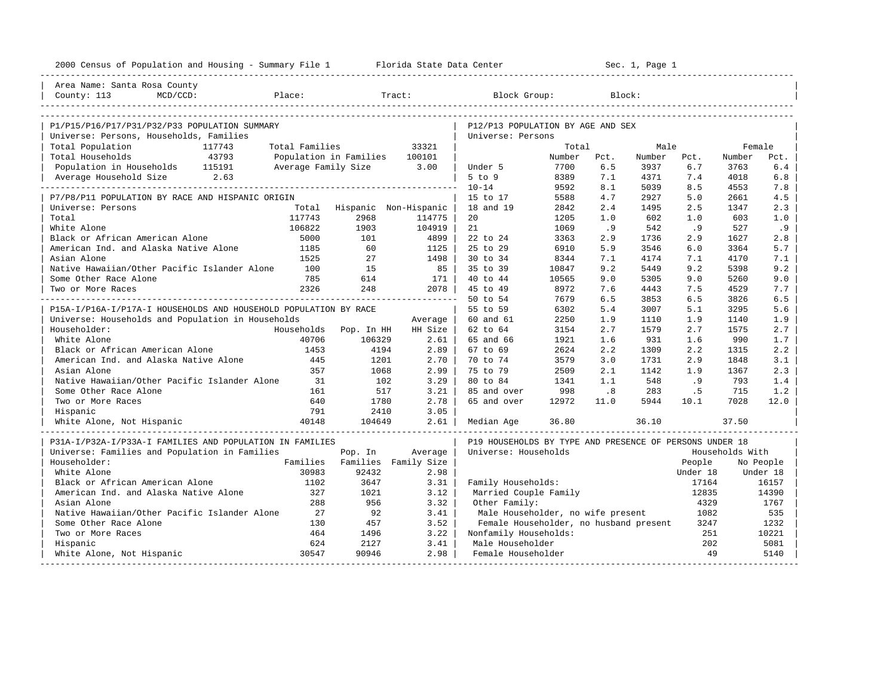| 2000 Census of Population and Housing - Summary File 1 Florida State Data Center |                     |                        |                       |                                                         | --------------------- |                             | Sec. 1, Page 1 |          |                 |           |
|----------------------------------------------------------------------------------|---------------------|------------------------|-----------------------|---------------------------------------------------------|-----------------------|-----------------------------|----------------|----------|-----------------|-----------|
| Area Name: Santa Rosa County                                                     |                     |                        |                       |                                                         |                       |                             |                |          |                 |           |
| County: 113<br>MCD/CCD:                                                          | Place:              |                        | Tract:                | Block Group:                                            |                       |                             | Block:         |          |                 |           |
| P1/P15/P16/P17/P31/P32/P33 POPULATION SUMMARY                                    |                     |                        |                       | P12/P13 POPULATION BY AGE AND SEX                       |                       |                             |                |          |                 |           |
| Universe: Persons, Households, Families                                          |                     |                        |                       | Universe: Persons                                       |                       |                             |                |          |                 |           |
| Total Population<br>117743                                                       | Total Families      |                        | 33321                 |                                                         | Total                 |                             | Male           |          | Female          |           |
| 43793<br>Total Households                                                        |                     | Population in Families | 100101                |                                                         | Number                | Pct.                        | Number         | Pct.     | Number          | Pct.      |
| Population in Households 115191                                                  | Average Family Size |                        | 3.00                  | Under 5                                                 | 7700                  | 6.5                         | 3937           | 6.7      | 3763            | 6.4       |
| 2.63<br>Average Household Size                                                   |                     |                        |                       | $5$ to $9$                                              | 8389                  | 7.1                         | 4371           | 7.4      | 4018            | 6.8       |
|                                                                                  |                     |                        |                       | $10 - 14$                                               | 9592                  | 8.1                         | 5039           | 8.5      | 4553            | 7.8       |
| P7/P8/P11 POPULATION BY RACE AND HISPANIC ORIGIN                                 |                     |                        |                       | 15 to 17                                                | 5588                  | 4.7                         | 2927           | 5.0      | 2661            | 4.5       |
| Universe: Persons                                                                | Total               |                        | Hispanic Non-Hispanic | 18 and 19                                               | 2842                  | 2.4                         | 1495           | 2.5      | 1347            | 2.3       |
| Total                                                                            | 117743              | 2968                   | 114775                | 20                                                      | 1205                  | 1.0                         | 602            | 1.0      | 603             | 1.0       |
| White Alone                                                                      | 106822              | 1903                   | 104919                | 21                                                      | 1069                  | .9                          | 542            | .9       | 527             | .9        |
| Black or African American Alone                                                  | 5000                | 101                    | 4899                  | 22 to 24                                                | 3363                  | 2.9                         | 1736           | 2.9      | 1627            | 2.8       |
| American Ind. and Alaska Native Alone                                            | 1185                | 60                     | 1125                  | 25 to 29                                                | 6910                  | 5.9                         | 3546           | 6.0      | 3364            | 5.7       |
| Asian Alone                                                                      | 1525                | 27                     | 1498                  | 30 to 34                                                | 8344                  | 7.1                         | 4174           | 7.1      | 4170            | 7.1       |
| Native Hawaiian/Other Pacific Islander Alone                                     | 100                 | 15                     | 85                    | 35 to 39                                                | 10847                 | 9.2                         | 5449           | 9.2      | 5398            | 9.2       |
| Some Other Race Alone                                                            | 785                 | 614                    | 171                   | 40 to 44                                                | 10565                 | 9.0                         | 5305           | 9.0      | 5260            | 9.0       |
| Two or More Races                                                                | 2326                | 248                    | 2078                  | 45 to 49                                                | 8972                  | 7.6                         | 4443           | 7.5      | 4529            | 7.7       |
|                                                                                  |                     |                        |                       | 50 to 54                                                | 7679                  | 6.5                         | 3853           | 6.5      | 3826            | 6.5       |
| P15A-I/P16A-I/P17A-I HOUSEHOLDS AND HOUSEHOLD POPULATION BY RACE                 |                     |                        |                       | 55 to 59                                                | 6302                  | 5.4                         | 3007           | 5.1      | 3295            | 5.6       |
| Universe: Households and Population in Households                                |                     |                        | Average               | 60 and 61                                               | 2250                  | 1.9                         | 1110           | 1.9      | 1140            | 1.9       |
| Householder:                                                                     | Households          | Pop. In HH             | HH Size               | 62 to 64                                                | 3154                  | 2.7                         | 1579           | 2.7      | 1575            | 2.7       |
| White Alone                                                                      | 40706               | 106329                 | 2.61                  | 65 and 66                                               | 1921                  | 1.6                         | 931            | 1.6      | 990             | 1.7       |
| Black or African American Alone                                                  | 1453                | 4194                   | 2.89                  | 67 to 69                                                | 2624                  | 2.2                         | 1309           | 2.2      | 1315            | 2.2       |
| American Ind. and Alaska Native Alone                                            | 445                 | 1201                   | 2.70                  | 70 to 74                                                | 3579                  | 3.0                         | 1731           | 2.9      | 1848            | 3.1       |
| Asian Alone                                                                      | 357                 | 1068                   | 2.99                  | 75 to 79                                                | 2509                  | 2.1                         | 1142           | 1.9      | 1367            | 2.3       |
| Native Hawaiian/Other Pacific Islander Alone                                     | 31                  | 102                    | 3.29                  | 80 to 84                                                | 1341                  | 1.1                         | 548            | .9       | 793             | 1.4       |
| Some Other Race Alone                                                            | 161                 | 517                    | 3.21                  | 85 and over                                             | 998                   | $\overline{\phantom{0}}$ .8 | 283            | .5       | 715             | 1.2       |
| Two or More Races                                                                | 640                 | 1780                   | 2.78                  | 65 and over                                             | 12972                 | 11.0                        | 5944           | 10.1     | 7028            | 12.0      |
| Hispanic                                                                         | 791                 | 2410                   | 3.05                  |                                                         |                       |                             |                |          |                 |           |
| White Alone, Not Hispanic                                                        | 40148               | 104649                 | 2.61                  | Median Age                                              | 36.80                 |                             | 36.10          |          | 37.50           |           |
| P31A-I/P32A-I/P33A-I FAMILIES AND POPULATION IN FAMILIES                         |                     |                        |                       | P19 HOUSEHOLDS BY TYPE AND PRESENCE OF PERSONS UNDER 18 |                       |                             |                |          |                 |           |
| Universe: Families and Population in Families                                    |                     | Pop. In                | Average               | Universe: Households                                    |                       |                             |                |          | Households With |           |
| Householder:                                                                     | Families            |                        | Families Family Size  |                                                         |                       |                             |                | People   |                 | No People |
| White Alone                                                                      | 30983               | 92432                  | 2.98                  |                                                         |                       |                             |                | Under 18 |                 | Under 18  |
| Black or African American Alone                                                  | 1102                | 3647                   | 3.31                  | Family Households:                                      |                       |                             |                | 17164    |                 | 16157     |
| American Ind. and Alaska Native Alone                                            | 327                 | 1021                   | 3.12                  | Married Couple Family                                   |                       |                             |                | 12835    |                 | 14390     |
| Asian Alone                                                                      | 288                 | 956                    | 3.32                  | Other Family:                                           |                       |                             |                | 4329     |                 | 1767      |
| Native Hawaiian/Other Pacific Islander Alone                                     | 27                  | 92                     | 3.41                  | Male Householder, no wife present                       |                       |                             |                | 1082     |                 | 535       |
| Some Other Race Alone                                                            | 130                 | 457                    | 3.52                  | Female Householder, no husband present                  |                       |                             |                | 3247     |                 | 1232      |
| Two or More Races                                                                | 464                 | 1496                   | 3.22                  | Nonfamily Households:                                   |                       |                             |                | 251      |                 | 10221     |
| Hispanic                                                                         | 624                 | 2127                   | 3.41                  | Male Householder                                        |                       |                             |                | 202      |                 | 5081      |
| White Alone, Not Hispanic                                                        | 30547               | 90946                  | 2.98                  | Female Householder                                      |                       |                             |                | 49       |                 | 5140      |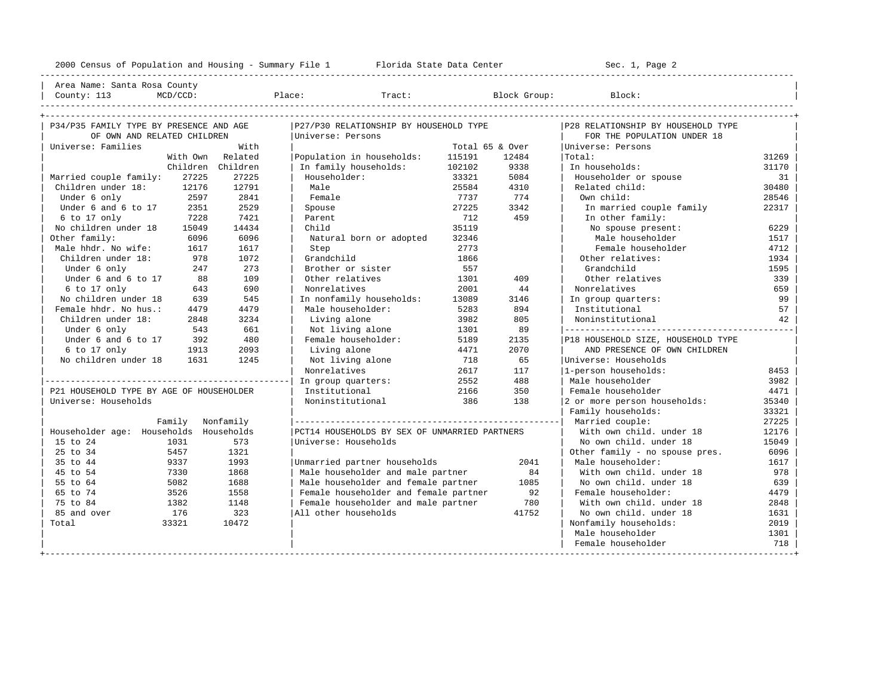---------------------------------------------------------------------------------------------------------------------------------------------------- | Area Name: Santa Rosa County | | County: 113 MCD/CCD: Place: Tract: Block Group: Block: | ----------------------------------------------------------------------------------------------------------------------------------------------------

| P34/P35 FAMILY TYPE BY PRESENCE AND AGE  |                   | P27/P30 RELATIONSHIP BY HOUSEHOLD TYPE        |        |                 | P28 RELATIONSHIP BY HOUSEHOLD TYPE |       |
|------------------------------------------|-------------------|-----------------------------------------------|--------|-----------------|------------------------------------|-------|
| OF OWN AND RELATED CHILDREN              |                   | Universe: Persons                             |        |                 | FOR THE POPULATION UNDER 18        |       |
| Universe: Families                       | With              |                                               |        | Total 65 & Over | Universe: Persons                  |       |
|                                          | With Own Related  | Population in households:                     | 115191 | 12484           | Total:                             | 31269 |
|                                          | Children Children | In family households:                         | 102102 | 9338            | In households:                     | 31170 |
| Married couple family:<br>27225          | 27225             | Householder:                                  | 33321  | 5084            | Householder or spouse              | 31    |
| Children under 18:<br>12176              | 12791             | Male                                          | 25584  | 4310            | Related child:                     | 30480 |
| 2597<br>Under 6 only                     | 2841              | Female                                        | 7737   | 774             | Own child:                         | 28546 |
| Under 6 and 6 to 17<br>2351              | 2529              | Spouse                                        | 27225  | 3342            | In married couple family           | 22317 |
| $6$ to 17 only<br>7228                   | 7421              | Parent                                        | 712    | 459             | In other family:                   |       |
| No children under 18<br>15049            | 14434             | Child                                         | 35119  |                 | No spouse present:                 | 6229  |
| Other family:<br>6096                    | 6096              | Natural born or adopted                       | 32346  |                 | Male householder                   | 1517  |
| Male hhdr. No wife:<br>1617              | 1617              | Step                                          | 2773   |                 | Female householder                 | 4712  |
| Children under 18:<br>978                | 1072              | Grandchild                                    | 1866   |                 | Other relatives:                   | 1934  |
| Under 6 only<br>247                      | 273               | Brother or sister                             | 557    |                 | Grandchild                         | 1595  |
| Under 6 and 6 to 17<br>88                | 109               | Other relatives                               | 1301   | 409             | Other relatives                    | 339   |
| 6 to 17 only<br>643                      | 690               | Nonrelatives                                  | 2001   | 44              | Nonrelatives                       | 659   |
| No children under 18<br>639              | 545               | In nonfamily households:                      | 13089  | 3146            | In group quarters:                 | 99    |
| Female hhdr. No hus.:<br>4479            | 4479              | Male householder:                             | 5283   | 894             | Institutional                      | 57    |
| Children under 18:<br>2848               | 3234              | Living alone                                  | 3982   | 805             | Noninstitutional                   | 42    |
| Under 6 only<br>543                      | 661               | Not living alone                              | 1301   | 89              |                                    |       |
| Under 6 and 6 to 17<br>392               | 480               | Female householder:                           | 5189   | 2135            | P18 HOUSEHOLD SIZE, HOUSEHOLD TYPE |       |
| 6 to 17 only<br>1913                     | 2093              | Living alone                                  | 4471   | 2070            | AND PRESENCE OF OWN CHILDREN       |       |
| No children under 18<br>1631             | 1245              | Not living alone                              | 718    | 65              | Universe: Households               |       |
|                                          |                   | Nonrelatives                                  | 2617   | 117             | 1-person households:               | 8453  |
|                                          |                   | In group quarters:                            | 2552   | 488             | Male householder                   | 3982  |
| P21 HOUSEHOLD TYPE BY AGE OF HOUSEHOLDER |                   | Institutional                                 | 2166   | 350             | Female householder                 | 4471  |
| Universe: Households                     |                   | Noninstitutional                              | 386    | 138             | 2 or more person households:       | 35340 |
|                                          |                   |                                               |        |                 | Family households:                 | 33321 |
|                                          | Family Nonfamily  |                                               |        |                 | Married couple:                    | 27225 |
| Householder age: Households Households   |                   | PCT14 HOUSEHOLDS BY SEX OF UNMARRIED PARTNERS |        |                 | With own child, under 18           | 12176 |
| 15 to 24<br>1031                         | 573               | Universe: Households                          |        |                 | No own child, under 18             | 15049 |
| 25 to 34<br>5457                         | 1321              |                                               |        |                 | Other family - no spouse pres.     | 6096  |
| 35 to 44<br>9337                         | 1993              | Unmarried partner households                  |        | 2041            | Male householder:                  | 1617  |
| 45 to 54<br>7330                         | 1868              | Male householder and male partner             |        | 84              | With own child, under 18           | 978   |
| 55 to 64<br>5082                         | 1688              | Male householder and female partner           |        | 1085            | No own child, under 18             | 639   |
| 65 to 74<br>3526                         | 1558              | Female householder and female partner         |        | 92              | Female householder:                | 4479  |
| 75 to 84<br>1382                         | 1148              | Female householder and male partner           |        | 780             | With own child, under 18           | 2848  |
| 85 and over<br>176                       | 323               | All other households                          |        | 41752           | No own child, under 18             | 1631  |
| Total<br>33321                           | 10472             |                                               |        |                 | Nonfamily households:              | 2019  |
|                                          |                   |                                               |        |                 | Male householder                   | 1301  |
|                                          |                   |                                               |        |                 | Female householder                 | 718   |
|                                          |                   |                                               |        |                 |                                    |       |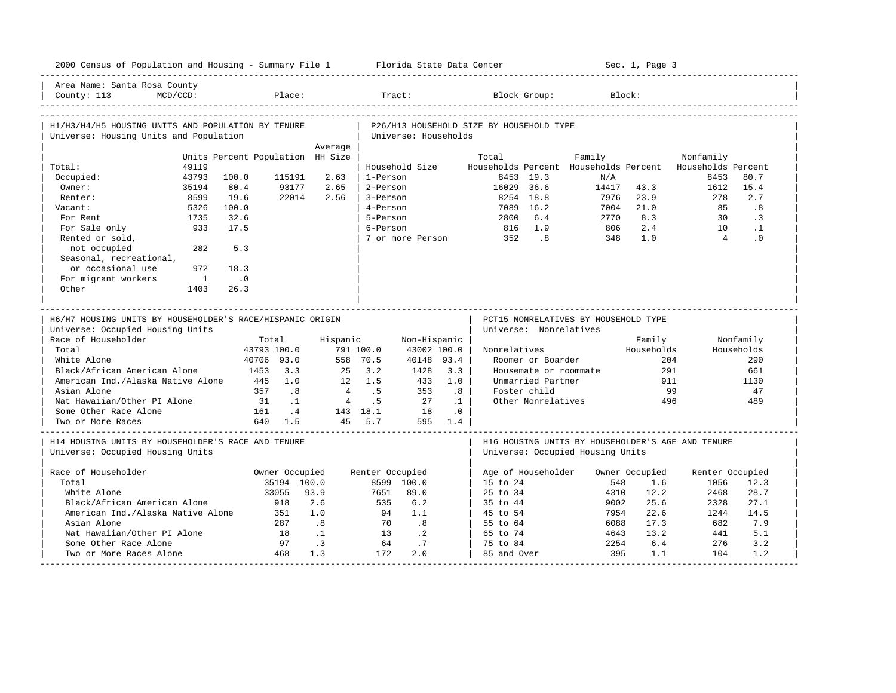| 2000 Census of Population and Housing - Summary File 1 Florida State Data Center              |                |                             |                      |                                  |                 |                             |                                |                                          |                                    |                                       | Sec. 1, Page 3 |                                                   |            |
|-----------------------------------------------------------------------------------------------|----------------|-----------------------------|----------------------|----------------------------------|-----------------|-----------------------------|--------------------------------|------------------------------------------|------------------------------------|---------------------------------------|----------------|---------------------------------------------------|------------|
| Area Name: Santa Rosa County<br>County: 113                                                   | $MCD/CCD$ :    |                             | Place:               |                                  | Tract:          |                             |                                |                                          | Block Group:                       |                                       | Block:         |                                                   |            |
|                                                                                               |                |                             |                      |                                  |                 |                             |                                |                                          |                                    |                                       |                |                                                   |            |
| H1/H3/H4/H5 HOUSING UNITS AND POPULATION BY TENURE                                            |                |                             |                      |                                  |                 | Universe: Households        |                                | P26/H13 HOUSEHOLD SIZE BY HOUSEHOLD TYPE |                                    |                                       |                |                                                   |            |
| Universe: Housing Units and Population                                                        |                |                             |                      | Average                          |                 |                             |                                |                                          |                                    |                                       |                |                                                   |            |
|                                                                                               |                |                             |                      | Units Percent Population HH Size |                 |                             |                                | Total                                    |                                    | Family                                |                | Nonfamily                                         |            |
| Total:                                                                                        | 49119          |                             |                      |                                  |                 | Household Size              |                                |                                          |                                    | Households Percent Households Percent |                | Households Percent                                |            |
| Occupied:                                                                                     | 43793          | 100.0                       | 115191               | 2.63                             | 1-Person        |                             |                                |                                          | 8453 19.3                          | N/A                                   |                | 8453                                              | 80.7       |
| Owner:                                                                                        | 35194          | 80.4                        | 93177                | 2.65                             | 2-Person        |                             |                                | 16029 36.6                               |                                    | 14417                                 | 43.3           | 1612                                              | 15.4       |
| Renter:                                                                                       | 8599           | 19.6                        | 22014                | 2.56                             | 3-Person        |                             |                                |                                          | 8254 18.8                          | 7976                                  | 23.9           | 278                                               | 2.7        |
| Vacant:                                                                                       | 5326           | 100.0                       |                      |                                  | 4-Person        |                             |                                |                                          | 7089 16.2                          | 7004                                  | 21.0           | 85                                                | .8         |
| For Rent                                                                                      | 1735           | 32.6                        |                      |                                  | 5-Person        |                             |                                | 2800                                     | 6.4                                | 2770                                  | 8.3            | 30                                                | $\cdot$ 3  |
| For Sale only                                                                                 | 933            | 17.5                        |                      |                                  | 6-Person        |                             |                                | 816                                      | 1.9                                | 806                                   | 2.4            | 10                                                | $\cdot$ 1  |
| Rented or sold,                                                                               |                |                             |                      |                                  |                 |                             |                                | 7 or more Person 352 .8                  |                                    | 348                                   | 1.0            | $\overline{4}$                                    | $\cdot$ 0  |
| not occupied                                                                                  | 282            | 5.3                         |                      |                                  |                 |                             |                                |                                          |                                    |                                       |                |                                                   |            |
| Seasonal, recreational,                                                                       |                |                             |                      |                                  |                 |                             |                                |                                          |                                    |                                       |                |                                                   |            |
| or occasional use                                                                             | 972            | 18.3                        |                      |                                  |                 |                             |                                |                                          |                                    |                                       |                |                                                   |            |
| For migrant workers                                                                           | $\overline{1}$ | $\overline{\phantom{0}}$ .0 |                      |                                  |                 |                             |                                |                                          |                                    |                                       |                |                                                   |            |
| Other                                                                                         | 1403           | 26.3                        |                      |                                  |                 |                             |                                |                                          |                                    |                                       |                |                                                   |            |
| H6/H7 HOUSING UNITS BY HOUSEHOLDER'S RACE/HISPANIC ORIGIN<br>Universe: Occupied Housing Units |                |                             |                      |                                  |                 |                             |                                |                                          | Universe: Nonrelatives             | PCT15 NONRELATIVES BY HOUSEHOLD TYPE  |                |                                                   |            |
| Race of Householder                                                                           |                |                             | Total                | Hispanic                         |                 | Non-Hispanic                |                                |                                          |                                    |                                       | Family         |                                                   | Nonfamily  |
| Total                                                                                         |                |                             | 43793 100.0          |                                  | 791 100.0       | 43002 100.0                 |                                | Nonrelatives                             |                                    |                                       | Households     |                                                   | Households |
| White Alone                                                                                   |                |                             | 40706 93.0           |                                  | 558 70.5        | 40148 93.4                  |                                |                                          | Roomer or Boarder                  |                                       |                | 204                                               | 290        |
| Black/African American Alone                                                                  |                |                             | 1453 3.3             | 25                               | 3.2             | 1428                        | 3.3                            |                                          |                                    | Housemate or roommate                 |                | 291                                               | 661        |
| American Ind./Alaska Native Alone                                                             |                |                             | 445 1.0<br>357 .8    | $\overline{4}$                   | 12 1.5          | 433                         | 1.0                            |                                          | Unmarried Partner                  |                                       |                | 911                                               | 1130       |
| Asian Alone<br>Nat Hawaiian/Other PI Alone                                                    |                |                             |                      |                                  | .5<br>4.5       | 353<br>27                   | .8                             |                                          | Foster child<br>Other Nonrelatives |                                       |                | 99<br>496                                         | 47<br>489  |
| Some Other Race Alone                                                                         |                | 31                          | $\ldots$ 1<br>161 .4 |                                  | 143 18.1        | 18                          | $\ldots$ 1<br>$\overline{0}$ . |                                          |                                    |                                       |                |                                                   |            |
| Two or More Races                                                                             |                |                             | 640 1.5              |                                  | 45 5.7          |                             | 595 1.4                        |                                          |                                    |                                       |                |                                                   |            |
| H14 HOUSING UNITS BY HOUSEHOLDER'S RACE AND TENURE<br>Universe: Occupied Housing Units        |                |                             |                      |                                  |                 |                             |                                |                                          |                                    | Universe: Occupied Housing Units      |                | H16 HOUSING UNITS BY HOUSEHOLDER'S AGE AND TENURE |            |
| Race of Householder                                                                           |                |                             | Owner Occupied       |                                  | Renter Occupied |                             |                                |                                          | Age of Householder                 |                                       | Owner Occupied | Renter Occupied                                   |            |
| Total                                                                                         |                |                             | 35194 100.0          |                                  |                 | 8599 100.0                  |                                | 15 to 24                                 |                                    | 548                                   | 1.6            | 1056                                              | 12.3       |
| White Alone                                                                                   |                |                             | 33055                | 93.9                             | 7651            | 89.0                        |                                | 25 to 34                                 |                                    | 4310                                  | 12.2           | 2468                                              | 28.7       |
| Black/African American Alone                                                                  |                |                             | 918                  | 2.6                              | 535             | 6.2                         |                                | 35 to 44                                 |                                    | 9002                                  | 25.6           | 2328                                              | 27.1       |
| American Ind./Alaska Native Alone                                                             |                |                             | 351                  | 1.0                              | 94              | 1.1                         |                                | 45 to 54                                 |                                    | 7954                                  | 22.6           | 1244                                              | 14.5       |
| Asian Alone                                                                                   |                |                             | 287                  | 8 <sup>18</sup>                  | 70              | $\overline{\phantom{0}}$ .8 |                                | 55 to 64                                 |                                    | 6088                                  | 17.3           | 682                                               | 7.9        |
| Nat Hawaiian/Other PI Alone                                                                   |                |                             | 18                   | $\ldots$ 1                       | 1.3             | $\cdot$ 2                   |                                | 65 to 74                                 |                                    | 4643                                  | 13.2           | 441                                               | 5.1        |
| Some Other Race Alone                                                                         |                |                             | 97                   | $\cdot$ 3                        | 64              | .7                          |                                | 75 to 84                                 |                                    | 2254                                  | 6.4            | 276                                               | 3.2        |
| Two or More Races Alone                                                                       |                |                             | 468                  | 1.3                              | 172             | 2.0                         |                                | 85 and Over                              |                                    | 395                                   | 1.1            | 104                                               | 1.2        |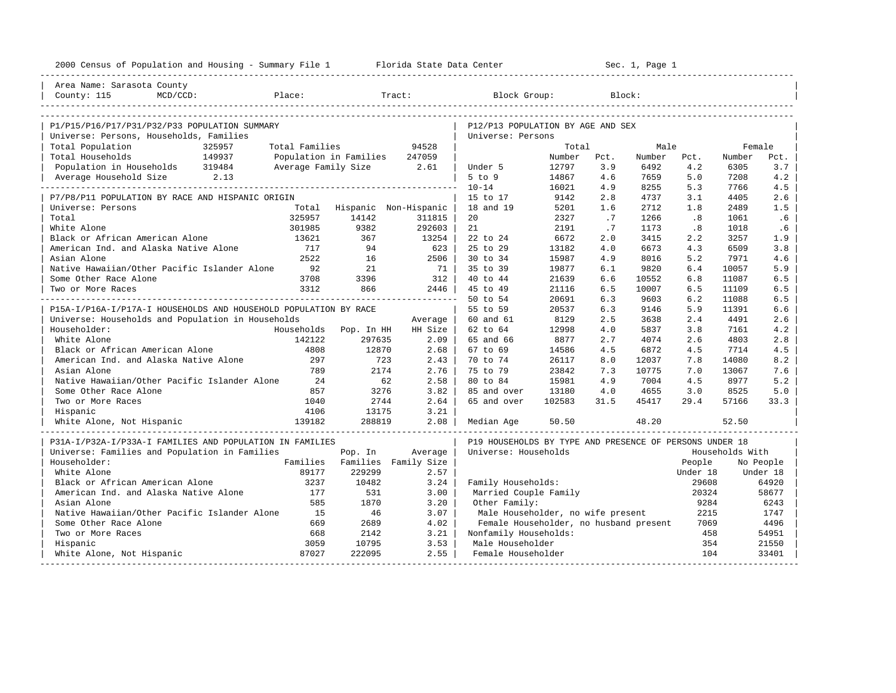| 2000 Census of Population and Housing - Summary File 1 Florida State Data Center |                      |                               |                 |                                                         |               |            | Sec. 1, Page 1 |            |                 |            |
|----------------------------------------------------------------------------------|----------------------|-------------------------------|-----------------|---------------------------------------------------------|---------------|------------|----------------|------------|-----------------|------------|
| Area Name: Sarasota County                                                       |                      |                               |                 |                                                         |               |            |                |            |                 |            |
| County: 115<br>MCD/CCD:<br>Place:                                                |                      |                               | Tract:          | Block Group:                                            |               |            | Block:         |            |                 |            |
| P1/P15/P16/P17/P31/P32/P33 POPULATION SUMMARY                                    |                      |                               |                 | P12/P13 POPULATION BY AGE AND SEX                       |               |            |                |            |                 |            |
| Universe: Persons, Households, Families                                          |                      |                               |                 | Universe: Persons                                       |               |            |                |            |                 |            |
| Total Population<br>325957                                                       | Total Families       |                               | 94528           |                                                         | Total         |            | Male           |            | Female          |            |
| 149937<br>Total Households                                                       |                      | Population in Families        | 247059          |                                                         | Number        | Pct.       | Number         | Pct.       | Number          | Pct.       |
| Population in Households 319484                                                  |                      | Average Family Size 2.61      |                 | Under 5                                                 | 12797         | 3.9        | 6492           | 4.2        | 6305            | 3.7        |
| Average Household Size 2.13                                                      |                      |                               |                 | $5$ to $9$                                              | 14867         | 4.6        | 7659           | 5.0        | 7208            | 4.2        |
| . _ _ _ _ _ _ _ _ _ _ _ _ _ _ _ _ _ _                                            |                      |                               |                 | $10 - 14$                                               | 16021         | 4.9        | 8255           | 5.3        | 7766            | 4.5        |
| P7/P8/P11 POPULATION BY RACE AND HISPANIC ORIGIN                                 |                      |                               |                 | 15 to 17                                                | 9142          | 2.8        | 4737           | 3.1        | 4405            | 2.6        |
| Universe: Persons                                                                |                      | Total Hispanic Non-Hispanic   |                 | 18 and 19                                               | 5201          | 1.6        | 2712           | 1.8        | 2489            | 1.5        |
| Total                                                                            | 325957               | 14142                         | 311815          | 20                                                      | 2327          | $\cdot$ 7  | 1266           | .8         | 1061            | .6         |
| White Alone                                                                      | 301985               | 9382                          | 292603          | 21                                                      | 2191          | .7         | 1173           | .8         | 1018            | .6         |
| Black or African American Alone                                                  | 13621                | 367                           | 13254           | 22 to 24                                                | 6672          | 2.0        | 3415           | 2.2        | 3257            | 1.9        |
| American Ind. and Alaska Native Alone                                            | 717                  | 94                            | 623             | 25 to 29                                                | 13182         | 4.0        | 6673           | 4.3        | 6509            | 3.8        |
| Asian Alone                                                                      | 2522                 | 16                            | 2506            | 30 to 34                                                | 15987         | 4.9        | 8016           | 5.2        | 7971            | 4.6        |
| Native Hawaiian/Other Pacific Islander Alone                                     | 92                   | 21                            | 71              | 35 to 39                                                | 19877         | 6.1        | 9820           | 6.4        | 10057           | 5.9        |
| Some Other Race Alone                                                            | 3708                 | 3396                          | 312             | 40 to 44                                                | 21639         | 6.6        | 10552          | 6.8        | 11087           | 6.5        |
| Two or More Races                                                                | 3312                 | 866                           | 2446            | 45 to 49                                                | 21116         | 6.5        | 10007          | 6.5        | 11109           | 6.5        |
|                                                                                  |                      |                               |                 | 50 to 54                                                | 20691         | 6.3        | 9603           | 6.2        | 11088           | 6.5        |
| P15A-I/P16A-I/P17A-I HOUSEHOLDS AND HOUSEHOLD POPULATION BY RACE                 |                      |                               |                 | 55 to 59                                                | 20537         | 6.3        | 9146           | 5.9        | 11391           | 6.6        |
| Universe: Households and Population in Households                                |                      |                               | Average         | 60 and 61                                               | 8129          | 2.5        | 3638           | 2.4        | 4491            | 2.6        |
| Householder:<br>White Alone                                                      | Households<br>142122 | Pop. In HH<br>297635          | HH Size<br>2.09 | 62 to 64                                                | 12998<br>8877 | 4.0        | 5837           | 3.8        | 7161            | 4.2        |
| Black or African American Alone                                                  | 4808                 | 12870                         | 2.68            | 65 and 66<br>67 to 69                                   | 14586         | 2.7<br>4.5 | 4074<br>6872   | 2.6<br>4.5 | 4803<br>7714    | 2.8<br>4.5 |
| American Ind. and Alaska Native Alone                                            | 297                  | 723                           | 2.43            | 70 to 74                                                | 26117         | 8.0        | 12037          | 7.8        | 14080           | 8.2        |
| Asian Alone                                                                      | 789                  | 2174                          | 2.76            | 75 to 79                                                | 23842         | 7.3        | 10775          | 7.0        | 13067           | 7.6        |
| Native Hawaiian/Other Pacific Islander Alone                                     | 24                   | 62                            | 2.58            | 80 to 84                                                | 15981         | 4.9        | 7004           | 4.5        | 8977            | 5.2        |
| Some Other Race Alone                                                            | 857                  | 3276                          | 3.82            | 85 and over                                             | 13180         | 4.0        | 4655           | 3.0        | 8525            | 5.0        |
| Two or More Races                                                                | 1040                 | 2744                          | 2.64            | 65 and over                                             | 102583        | 31.5       | 45417          | 29.4       | 57166           | 33.3       |
| Hispanic                                                                         | 4106                 | 13175                         | 3.21            |                                                         |               |            |                |            |                 |            |
| 139182<br>White Alone, Not Hispanic                                              |                      | 288819                        | 2.08            | Median Age                                              | 50.50         |            | 48.20          |            | 52.50           |            |
| P31A-I/P32A-I/P33A-I FAMILIES AND POPULATION IN FAMILIES                         |                      |                               |                 | P19 HOUSEHOLDS BY TYPE AND PRESENCE OF PERSONS UNDER 18 |               |            |                |            |                 |            |
| Universe: Families and Population in Families                                    |                      | Pop. In                       | Average         | Universe: Households                                    |               |            |                |            | Households With |            |
| Householder:                                                                     |                      | Families Families Family Size |                 |                                                         |               |            |                | People     |                 | No People  |
| White Alone                                                                      | 89177                | 229299                        | 2.57            |                                                         |               |            |                | Under 18   |                 | Under 18   |
| Black or African American Alone                                                  | 3237                 | 10482                         | 3.24            | Family Households:                                      |               |            |                | 29608      |                 | 64920      |
| American Ind. and Alaska Native Alone                                            | 177                  | 531                           | 3.00            | Married Couple Family                                   |               |            |                | 20324      |                 | 58677      |
| Asian Alone                                                                      | 585                  | 1870                          | 3.20            | Other Family:                                           |               |            |                | 9284       |                 | 6243       |
| Native Hawaiian/Other Pacific Islander Alone                                     | 15                   | 46                            | 3.07            | Male Householder, no wife present                       |               |            |                | 2215       |                 | 1747       |
| Some Other Race Alone                                                            | 669                  | 2689                          | 4.02            | Female Householder, no husband present                  |               |            |                | 7069       |                 | 4496       |
| Two or More Races                                                                | 668                  | 2142                          | 3.21            | Nonfamily Households:                                   |               |            |                | 458        |                 | 54951      |
| Hispanic                                                                         | 3059                 | 10795                         | 3.53            | Male Householder                                        |               |            |                | 354        |                 | 21550      |
| White Alone, Not Hispanic<br>-----------------------                             | 87027                | 222095                        | 2.55            | Female Householder                                      |               |            |                | 104        |                 | 33401      |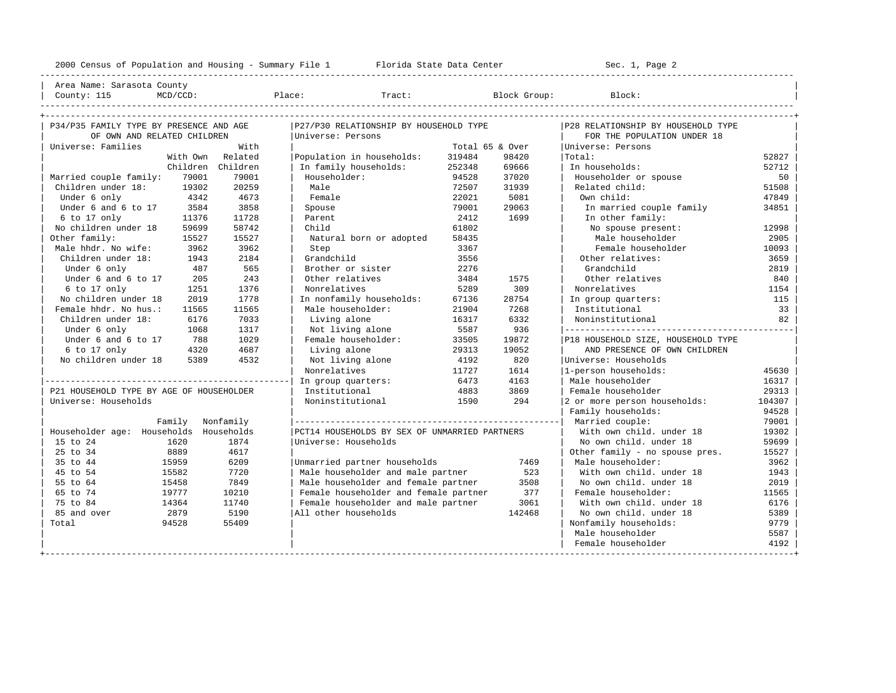---------------------------------------------------------------------------------------------------------------------------------------------------- | Area Name: Sarasota County | | County: 115 MCD/CCD: Place: Tract: Block Group: Block: | ----------------------------------------------------------------------------------------------------------------------------------------------------

| P34/P35 FAMILY TYPE BY PRESENCE AND AGE  |           | P27/P30 RELATIONSHIP BY HOUSEHOLD TYPE        |                 |        | P28 RELATIONSHIP BY HOUSEHOLD TYPE |        |
|------------------------------------------|-----------|-----------------------------------------------|-----------------|--------|------------------------------------|--------|
| OF OWN AND RELATED CHILDREN              |           | Universe: Persons                             |                 |        | FOR THE POPULATION UNDER 18        |        |
| Universe: Families                       | With      |                                               | Total 65 & Over |        | Universe: Persons                  |        |
| With Own                                 | Related   | Population in households:                     | 319484          | 98420  | Total:                             | 52827  |
| Children Children                        |           | In family households:                         | 252348          | 69666  | In households:                     | 52712  |
| Married couple family:<br>79001          | 79001     | Householder:                                  | 94528           | 37020  | Householder or spouse              | 50     |
| Children under 18:<br>19302              | 20259     | Male                                          | 72507           | 31939  | Related child:                     | 51508  |
| 4342<br>Under 6 only                     | 4673      | Female                                        | 22021           | 5081   | Own child:                         | 47849  |
| Under 6 and 6 to 17<br>3584              | 3858      | Spouse                                        | 79001           | 29063  | In married couple family           | 34851  |
| 6 to 17 only<br>11376                    | 11728     | Parent                                        | 2412            | 1699   | In other family:                   |        |
| No children under 18<br>59699            | 58742     | Child                                         | 61802           |        | No spouse present:                 | 12998  |
| Other family:<br>15527                   | 15527     | Natural born or adopted                       | 58435           |        | Male householder                   | 2905   |
| Male hhdr. No wife:<br>3962              | 3962      | Step                                          | 3367            |        | Female householder                 | 10093  |
| Children under 18:<br>1943               | 2184      | Grandchild                                    | 3556            |        | Other relatives:                   | 3659   |
| Under 6 only<br>487                      | 565       | Brother or sister                             | 2276            |        | Grandchild                         | 2819   |
| Under 6 and 6 to 17<br>205               | 243       | Other relatives                               | 3484            | 1575   | Other relatives                    | 840    |
| 6 to 17 only<br>1251                     | 1376      | Nonrelatives                                  | 5289            | 309    | Nonrelatives                       | 1154   |
| No children under 18<br>2019             | 1778      | In nonfamily households:                      | 67136           | 28754  | In group quarters:                 | 115    |
| Female hhdr. No hus.:<br>11565           | 11565     | Male householder:                             | 21904           | 7268   | Institutional                      | 33     |
| Children under 18:<br>6176               | 7033      | Living alone                                  | 16317           | 6332   | Noninstitutional                   | 82     |
| Under 6 only<br>1068                     | 1317      | Not living alone                              | 5587            | 936    |                                    |        |
| Under 6 and 6 to 17<br>788               | 1029      | Female householder:                           | 33505           | 19872  | P18 HOUSEHOLD SIZE, HOUSEHOLD TYPE |        |
| 6 to 17 only<br>4320                     | 4687      | Living alone                                  | 29313           | 19052  | AND PRESENCE OF OWN CHILDREN       |        |
| No children under 18<br>5389             | 4532      | Not living alone                              | 4192            | 820    | Universe: Households               |        |
|                                          |           | Nonrelatives                                  | 11727           | 1614   | 1-person households:               | 45630  |
|                                          |           | In group quarters:                            | 6473            | 4163   | Male householder                   | 16317  |
| P21 HOUSEHOLD TYPE BY AGE OF HOUSEHOLDER |           | Institutional                                 | 4883            | 3869   | Female householder                 | 29313  |
| Universe: Households                     |           | Noninstitutional                              | 1590            | 294    | 2 or more person households:       | 104307 |
|                                          |           |                                               |                 |        | Family households:                 | 94528  |
| Family                                   | Nonfamily |                                               |                 |        | Married couple:                    | 79001  |
| Householder age: Households Households   |           | PCT14 HOUSEHOLDS BY SEX OF UNMARRIED PARTNERS |                 |        | With own child, under 18           | 19302  |
| 15 to 24<br>1620                         | 1874      | Universe: Households                          |                 |        | No own child, under 18             | 59699  |
| 25 to 34<br>8889                         | 4617      |                                               |                 |        | Other family - no spouse pres.     | 15527  |
| 35 to 44<br>15959                        | 6209      | Unmarried partner households                  |                 | 7469   | Male householder:                  | 3962   |
| 15582<br>45 to 54                        | 7720      | Male householder and male partner             |                 | 523    | With own child, under 18           | 1943   |
| 55 to 64<br>15458                        | 7849      | Male householder and female partner           |                 | 3508   | No own child. under 18             | 2019   |
| 65 to 74<br>19777                        | 10210     | Female householder and female partner         |                 | 377    | Female householder:                | 11565  |
| 75 to 84<br>14364                        | 11740     | Female householder and male partner           |                 | 3061   | With own child, under 18           | 6176   |
| 85 and over<br>2879                      | 5190      | All other households                          |                 | 142468 | No own child, under 18             | 5389   |
| 94528<br>Total                           | 55409     |                                               |                 |        | Nonfamily households:              | 9779   |
|                                          |           |                                               |                 |        | Male householder                   | 5587   |
|                                          |           |                                               |                 |        | Female householder                 | 4192   |
|                                          |           |                                               |                 |        |                                    |        |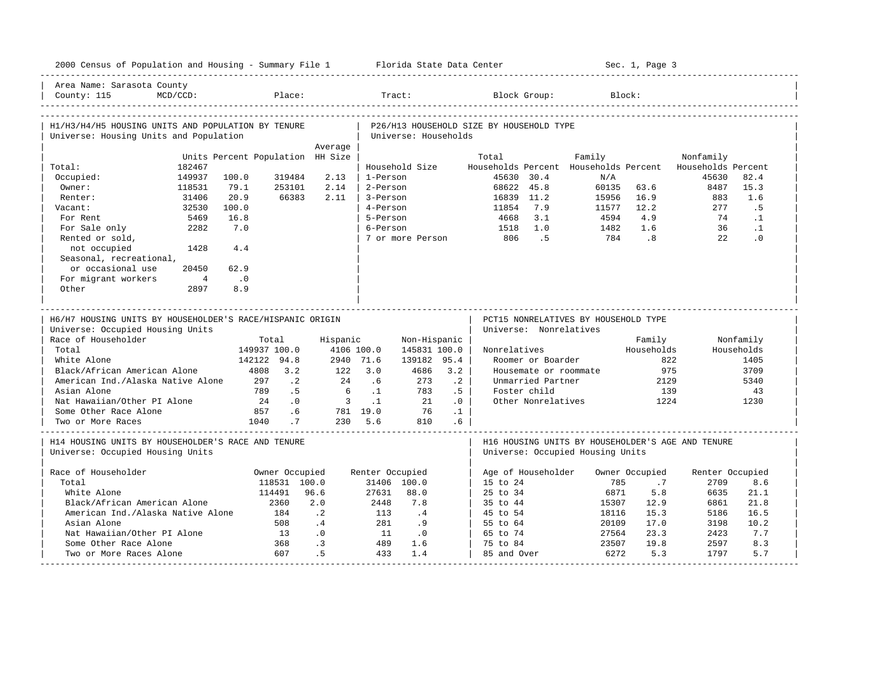| 2000 Census of Population and Housing - Summary File 1 Florida State Data Center              |                |                                  |                                |                            |                 |                               |           |                                          |                        |                                                                                       | Sec. 1, Page 3              |                         |            |
|-----------------------------------------------------------------------------------------------|----------------|----------------------------------|--------------------------------|----------------------------|-----------------|-------------------------------|-----------|------------------------------------------|------------------------|---------------------------------------------------------------------------------------|-----------------------------|-------------------------|------------|
| Area Name: Sarasota County<br>County: 115                                                     | $MCD/CCD$ :    |                                  | Place:                         |                            |                 | Tract:                        |           |                                          | Block Group:           |                                                                                       | Block:                      |                         |            |
| H1/H3/H4/H5 HOUSING UNITS AND POPULATION BY TENURE<br>Universe: Housing Units and Population  |                |                                  |                                |                            |                 | Universe: Households          |           | P26/H13 HOUSEHOLD SIZE BY HOUSEHOLD TYPE |                        |                                                                                       |                             |                         |            |
|                                                                                               |                |                                  |                                | Average                    |                 |                               |           |                                          |                        |                                                                                       |                             |                         |            |
|                                                                                               |                | Units Percent Population HH Size |                                |                            |                 |                               |           | Total                                    |                        | Family                                                                                |                             | Nonfamily               |            |
| Total:                                                                                        | 182467         |                                  |                                |                            |                 | Household Size                |           | Households Percent                       |                        | Households Percent                                                                    |                             | Households Percent      |            |
| Occupied:                                                                                     | 149937         | 100.0                            | 319484                         | 2.13                       | 1-Person        |                               |           |                                          | 45630 30.4             | N/A                                                                                   |                             | 45630                   | 82.4       |
| Owner:                                                                                        | 118531         | 79.1                             | 253101                         | 2.14                       | 2-Person        |                               |           |                                          | 68622 45.8             | 60135                                                                                 | 63.6                        | 8487                    | 15.3       |
| Renter:                                                                                       | 31406          | 20.9                             | 66383                          | 2.11                       | 3-Person        |                               |           | 16839 11.2                               |                        | 15956                                                                                 | 16.9                        | 883                     | 1.6        |
| Vacant:                                                                                       | 32530          | 100.0                            |                                |                            | 4-Person        |                               |           | 11854                                    | 7.9                    | 11577                                                                                 | 12.2                        | 277                     | .5         |
| For Rent                                                                                      | 5469           | 16.8                             |                                |                            | 5-Person        |                               |           | 4668                                     | 3.1                    | 4594                                                                                  | 4.9                         | 74                      | $\cdot$ 1  |
| For Sale only                                                                                 | 2282           | 7.0                              |                                |                            | 6-Person        |                               |           | 1518                                     | 1.0                    | 1482                                                                                  | 1.6                         | 36                      | $\cdot$ 1  |
| Rented or sold,                                                                               |                |                                  |                                |                            |                 | 7 or more Person              |           | 806                                      | .5                     | 784                                                                                   | $\overline{\phantom{0}}$ .8 | 2.2                     | $\cdot$ 0  |
| not occupied                                                                                  | 1428           | 4.4                              |                                |                            |                 |                               |           |                                          |                        |                                                                                       |                             |                         |            |
| Seasonal, recreational,                                                                       |                |                                  |                                |                            |                 |                               |           |                                          |                        |                                                                                       |                             |                         |            |
| or occasional use                                                                             | 20450          | 62.9                             |                                |                            |                 |                               |           |                                          |                        |                                                                                       |                             |                         |            |
| For migrant workers                                                                           | $\overline{4}$ | $\cdot$ 0                        |                                |                            |                 |                               |           |                                          |                        |                                                                                       |                             |                         |            |
| Other                                                                                         | 2897           | 8.9                              |                                |                            |                 |                               |           |                                          |                        |                                                                                       |                             |                         |            |
| H6/H7 HOUSING UNITS BY HOUSEHOLDER'S RACE/HISPANIC ORIGIN<br>Universe: Occupied Housing Units |                |                                  |                                |                            |                 | _____________________________ |           |                                          | Universe: Nonrelatives | PCT15 NONRELATIVES BY HOUSEHOLD TYPE                                                  |                             |                         |            |
| Race of Householder                                                                           |                |                                  | Total                          | Hispanic                   |                 | Non-Hispanic                  |           |                                          |                        |                                                                                       | Family                      |                         | Nonfamily  |
| Total                                                                                         |                |                                  | 149937 100.0                   |                            | 4106 100.0      | 145831 100.0                  |           | Nonrelatives                             |                        |                                                                                       | Households                  |                         | Households |
| White Alone                                                                                   |                |                                  | 142122 94.8                    |                            | 2940 71.6       | 139182 95.4                   |           |                                          | Roomer or Boarder      |                                                                                       |                             | 822                     | 1405       |
| Black/African American Alone                                                                  |                |                                  | 4808 3.2                       |                            | $122$ $3.0$     | 4686                          | 3.2       |                                          |                        | Housemate or roommate                                                                 | 975                         |                         | 3709       |
| American Ind./Alaska Native Alone                                                             |                | 297                              | $\cdot$ 2                      | 24                         | .6              | 273                           | $\cdot$ 2 |                                          | Unmarried Partner      |                                                                                       | 2129                        |                         | 5340       |
| Asian Alone                                                                                   |                | 789                              | .5                             | 6                          | $\ldots$        | 783                           | .5        |                                          | Foster child           |                                                                                       | 139                         |                         | 43         |
| Nat Hawaiian/Other PI Alone                                                                   |                | 24                               | $\overline{0}$ .               | $\overline{\phantom{a}}$ 3 | $\ldots$        | 21                            | .0        |                                          | Other Nonrelatives     |                                                                                       | 1224                        |                         | 1230       |
| Some Other Race Alone                                                                         |                | 857                              | .6                             |                            | 781 19.0        | 76                            | $\cdot$ 1 |                                          |                        |                                                                                       |                             |                         |            |
| Two or More Races                                                                             |                | 1040                             | .7                             |                            | 230 5.6         | 810                           | .6        |                                          |                        |                                                                                       |                             |                         |            |
| H14 HOUSING UNITS BY HOUSEHOLDER'S RACE AND TENURE<br>Universe: Occupied Housing Units        |                |                                  |                                |                            |                 |                               |           |                                          |                        | H16 HOUSING UNITS BY HOUSEHOLDER'S AGE AND TENURE<br>Universe: Occupied Housing Units |                             |                         |            |
| Race of Householder                                                                           |                |                                  |                                |                            |                 |                               |           |                                          | Age of Householder     |                                                                                       |                             |                         |            |
| Total                                                                                         |                |                                  | Owner Occupied<br>118531 100.0 |                            | Renter Occupied | 31406 100.0                   |           | 15 to 24                                 |                        | 785                                                                                   | Owner Occupied<br>.7        | Renter Occupied<br>2709 | 8.6        |
| White Alone                                                                                   |                |                                  | 114491                         | 96.6                       | 27631           | 88.0                          |           | 25 to 34                                 |                        | 6871                                                                                  | 5.8                         | 6635                    | 21.1       |
| Black/African American Alone                                                                  |                |                                  | 2360                           | 2.0                        | 2448            | 7.8                           |           | 35 to 44                                 |                        | 15307                                                                                 | 12.9                        | 6861                    | 21.8       |
| American Ind./Alaska Native Alone                                                             |                |                                  | 184                            | $\overline{2}$             | 113             | $\overline{4}$                |           | 45 to 54                                 |                        | 18116                                                                                 | 15.3                        | 5186                    | 16.5       |
| Asian Alone                                                                                   |                |                                  | 508                            | $\cdot$ 4                  | 281             | .9                            |           | 55 to 64                                 |                        | 20109                                                                                 | 17.0                        | 3198                    | 10.2       |
| Nat Hawaiian/Other PI Alone                                                                   |                |                                  | 13                             | .0                         | 11              | $\overline{\phantom{0}}$ .0   |           | 65 to 74                                 |                        | 27564                                                                                 | 23.3                        | 2423                    | 7.7        |
| Some Other Race Alone                                                                         |                |                                  | 368                            | $\cdot$ 3                  | 489             | 1.6                           |           | 75 to 84                                 |                        | 23507                                                                                 | 19.8                        | 2597                    | 8.3        |
|                                                                                               |                |                                  | 607                            | .5 <sub>5</sub>            | 433             | 1.4                           |           | 85 and Over                              |                        | 6272                                                                                  | 5.3                         | 1797                    | 5.7        |
| Two or More Races Alone                                                                       |                |                                  |                                |                            |                 |                               |           |                                          |                        |                                                                                       |                             |                         |            |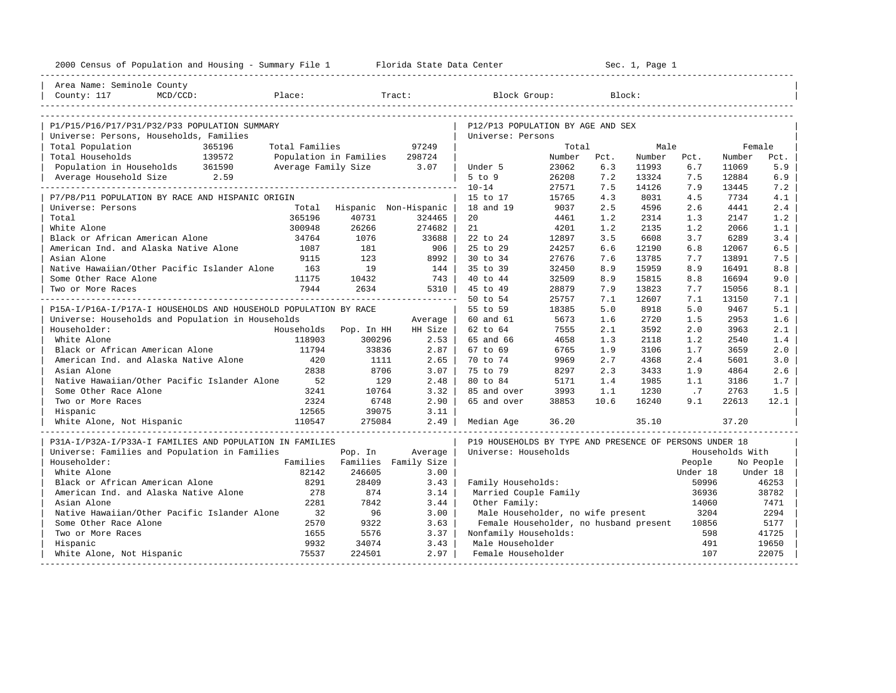| 2000 Census of Population and Housing - Summary File 1 Florida State Data Center |                |                               |                      |                                                         |        |        | Sec. 1, Page 1 |          |                 |           |
|----------------------------------------------------------------------------------|----------------|-------------------------------|----------------------|---------------------------------------------------------|--------|--------|----------------|----------|-----------------|-----------|
| Area Name: Seminole County                                                       |                |                               |                      |                                                         |        |        |                |          |                 |           |
| Place:<br>County: 117<br>$MCD/CCD$ :                                             |                |                               | Tract:               | Block Group:                                            |        | Block: |                |          |                 |           |
|                                                                                  |                |                               |                      |                                                         |        |        |                |          |                 |           |
| P1/P15/P16/P17/P31/P32/P33 POPULATION SUMMARY                                    |                |                               |                      | P12/P13 POPULATION BY AGE AND SEX                       |        |        |                |          |                 |           |
| Universe: Persons, Households, Families<br>Total Population<br>365196            | Total Families |                               | 97249                | Universe: Persons                                       | Total  |        | Male           |          | Female          |           |
| 139572<br>Total Households                                                       |                | Population in Families 298724 |                      |                                                         | Number | Pct.   | Number         | Pct.     | Number          | Pct.      |
| Population in Households 361590                                                  |                | Average Family Size 3.07      |                      | Under 5                                                 | 23062  | 6.3    | 11993          | 6.7      | 11069           | 5.9       |
| Average Household Size 2.59                                                      |                |                               |                      | $5$ to $9$                                              | 26208  | 7.2    | 13324          | 7.5      | 12884           | 6.9       |
|                                                                                  |                |                               |                      | $10 - 14$                                               | 27571  | 7.5    | 14126          | 7.9      | 13445           | 7.2       |
| P7/P8/P11 POPULATION BY RACE AND HISPANIC ORIGIN                                 |                |                               |                      | 15 to 17                                                | 15765  | 4.3    | 8031           | 4.5      | 7734            | 4.1       |
| Universe: Persons                                                                |                | Total Hispanic Non-Hispanic   |                      | 18 and 19                                               | 9037   | 2.5    | 4596           | 2.6      | 4441            | 2.4       |
| Total                                                                            | 365196         | 40731                         | 324465               | 20                                                      | 4461   | 1.2    | 2314           | 1.3      | 2147            | 1.2       |
| White Alone                                                                      | 300948         | 26266                         | 274682               | 21                                                      | 4201   | 1.2    | 2135           | 1.2      | 2066            | 1.1       |
| Black or African American Alone                                                  | 34764          | 1076                          | 33688                | 22 to 24                                                | 12897  | 3.5    | 6608           | 3.7      | 6289            | 3.4       |
| American Ind. and Alaska Native Alone                                            | 1087           | 181                           | 906 l                | 25 to 29                                                | 24257  | 6.6    | 12190          | 6.8      | 12067           | 6.5       |
| Asian Alone                                                                      | 9115           | 123                           | 8992                 | 30 to 34                                                | 27676  | 7.6    | 13785          | 7.7      | 13891           | 7.5       |
| Native Hawaiian/Other Pacific Islander Alone                                     | 163            | 19                            | 144                  | 35 to 39                                                | 32450  | 8.9    | 15959          | 8.9      | 16491           | 8.8       |
| Some Other Race Alone                                                            | 11175          | 10432                         | 743                  | 40 to 44                                                | 32509  | 8.9    | 15815          | 8.8      | 16694           | 9.0       |
| Two or More Races                                                                | 7944           | 2634                          | 5310                 | 45 to 49                                                | 28879  | 7.9    | 13823          | 7.7      | 15056           | 8.1       |
|                                                                                  |                |                               |                      | 50 to 54                                                | 25757  | 7.1    | 12607          | 7.1      | 13150           | 7.1       |
| P15A-I/P16A-I/P17A-I HOUSEHOLDS AND HOUSEHOLD POPULATION BY RACE                 |                |                               |                      | 55 to 59                                                | 18385  | 5.0    | 8918           | 5.0      | 9467            | 5.1       |
| Universe: Households and Population in Households                                |                |                               | Average              | 60 and 61                                               | 5673   | 1.6    | 2720           | 1.5      | 2953            | 1.6       |
| Householder:                                                                     | Households     | Pop. In HH                    | HH Size              | 62 to 64                                                | 7555   | 2.1    | 3592           | 2.0      | 3963            | 2.1       |
| White Alone                                                                      | 118903         | 300296                        | 2.53                 | 65 and 66                                               | 4658   | 1.3    | 2118           | 1.2      | 2540            | 1.4       |
| Black or African American Alone                                                  | 11794          | 33836                         | $2.87$               | 67 to 69                                                | 6765   | 1.9    | 3106           | 1.7      | 3659            | 2.0       |
| American Ind. and Alaska Native Alone                                            | 420            | 1111                          | $2.65$               | 70 to 74                                                | 9969   | 2.7    | 4368           | 2.4      | 5601            | 3.0       |
| Asian Alone                                                                      | 2838           | 8706                          | 3.07                 | 75 to 79                                                | 8297   | 2.3    | 3433           | 1.9      | 4864            | 2.6       |
| Native Hawaiian/Other Pacific Islander Alone                                     | 52             | 129                           | 2.48                 | 80 to 84                                                | 5171   | 1.4    | 1985           | 1.1      | 3186            | 1.7       |
| Some Other Race Alone                                                            | 3241           | 10764                         | 3.32                 | 85 and over                                             | 3993   | 1.1    | 1230           | .7       | 2763            | 1.5       |
| Two or More Races                                                                | 2324           | 6748                          | 2.90                 | 65 and over                                             | 38853  | 10.6   | 16240          | 9.1      | 22613           | 12.1      |
| Hispanic                                                                         | 12565          | 39075                         | 3.11                 |                                                         |        |        |                |          |                 |           |
| 110547<br>White Alone, Not Hispanic                                              |                | 275084                        | 2.49                 | Median Age                                              | 36.20  |        | 35.10          |          | 37.20           |           |
| P31A-I/P32A-I/P33A-I FAMILIES AND POPULATION IN FAMILIES                         |                |                               |                      | P19 HOUSEHOLDS BY TYPE AND PRESENCE OF PERSONS UNDER 18 |        |        |                |          |                 |           |
| Universe: Families and Population in Families                                    |                | Pop. In                       | Average              | Universe: Households                                    |        |        |                |          | Households With |           |
| Householder:                                                                     | Families       |                               | Families Family Size |                                                         |        |        |                | People   |                 | No People |
| White Alone                                                                      | 82142          | 246605                        | 3.00                 |                                                         |        |        |                | Under 18 |                 | Under 18  |
| Black or African American Alone                                                  | 8291           | 28409                         | 3.43                 | Family Households:                                      |        |        |                | 50996    |                 | 46253     |
| American Ind. and Alaska Native Alone                                            | 278            | 874                           | 3.14                 | Married Couple Family                                   |        |        |                | 36936    |                 | 38782     |
| Asian Alone                                                                      | 2281           | 7842                          | 3.44                 | Other Family:                                           |        |        |                | 14060    |                 | 7471      |
| Native Hawaiian/Other Pacific Islander Alone                                     | 32             | 96                            | 3.00                 | Male Householder, no wife present                       |        |        |                | 3204     |                 | 2294      |
| Some Other Race Alone                                                            | 2570           | 9322                          | 3.63                 | Female Householder, no husband present                  |        |        |                | 10856    |                 | 5177      |
| Two or More Races                                                                | 1655           | 5576                          | 3.37                 | Nonfamily Households:                                   |        |        |                | 598      |                 | 41725     |
| Hispanic                                                                         | 9932           | 34074                         | 3.43                 | Male Householder                                        |        |        |                | 491      |                 | 19650     |
| White Alone, Not Hispanic                                                        | 75537          | 224501                        | 2.97                 | Female Householder                                      |        |        |                | 107      |                 | 22075     |
|                                                                                  |                |                               |                      |                                                         |        |        |                |          |                 |           |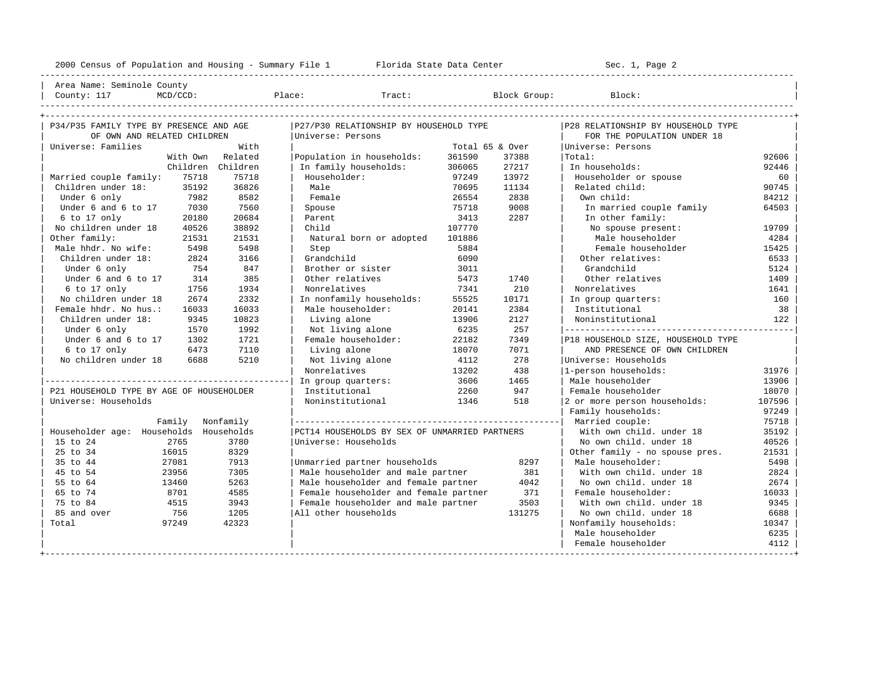---------------------------------------------------------------------------------------------------------------------------------------------------- | Area Name: Seminole County | | County: 117 MCD/CCD: Place: Tract: Block Group: Block: | ----------------------------------------------------------------------------------------------------------------------------------------------------

| P34/P35 FAMILY TYPE BY PRESENCE AND AGE  |           | P27/P30 RELATIONSHIP BY HOUSEHOLD TYPE        |                 |        | P28 RELATIONSHIP BY HOUSEHOLD TYPE |        |
|------------------------------------------|-----------|-----------------------------------------------|-----------------|--------|------------------------------------|--------|
| OF OWN AND RELATED CHILDREN              |           | Universe: Persons                             |                 |        | FOR THE POPULATION UNDER 18        |        |
| Universe: Families                       | With      |                                               | Total 65 & Over |        | Universe: Persons                  |        |
| With Own                                 | Related   | Population in households:                     | 361590          | 37388  | Total:                             | 92606  |
| Children Children                        |           | In family households:                         | 306065          | 27217  | In households:                     | 92446  |
| 75718<br>Married couple family:          | 75718     | Householder:                                  | 97249           | 13972  | Householder or spouse              | 60     |
| Children under 18:<br>35192              | 36826     | Male                                          | 70695           | 11134  | Related child:                     | 90745  |
| Under 6 only<br>7982                     | 8582      | Female                                        | 26554           | 2838   | Own child:                         | 84212  |
| Under 6 and 6 to 17<br>7030              | 7560      | Spouse                                        | 75718           | 9008   | In married couple family           | 64503  |
| 6 to 17 only<br>20180                    | 20684     | Parent                                        | 3413            | 2287   | In other family:                   |        |
| No children under 18<br>40526            | 38892     | Child                                         | 107770          |        | No spouse present:                 | 19709  |
| Other family:<br>21531                   | 21531     | Natural born or adopted                       | 101886          |        | Male householder                   | 4284   |
| Male hhdr. No wife:<br>5498              | 5498      | Step                                          | 5884            |        | Female householder                 | 15425  |
| Children under 18:<br>2824               | 3166      | Grandchild                                    | 6090            |        | Other relatives:                   | 6533   |
| Under 6 only<br>754                      | 847       | Brother or sister                             | 3011            |        | Grandchild                         | 5124   |
| Under 6 and 6 to 17<br>314               | 385       | Other relatives                               | 5473            | 1740   | Other relatives                    | 1409   |
| 6 to 17 only<br>1756                     | 1934      | Nonrelatives                                  | 7341            | 210    | Nonrelatives                       | 1641   |
| No children under 18<br>2674             | 2332      | In nonfamily households:                      | 55525           | 10171  | In group quarters:                 | 160    |
| Female hhdr. No hus.:<br>16033           | 16033     | Male householder:                             | 20141           | 2384   | Institutional                      | 38     |
| Children under 18:<br>9345               | 10823     | Living alone                                  | 13906           | 2127   | Noninstitutional                   | 122    |
| Under 6 only<br>1570                     | 1992      | Not living alone                              | 6235            | 257    |                                    |        |
| Under 6 and 6 to 17<br>1302              | 1721      | Female householder:                           | 22182           | 7349   | P18 HOUSEHOLD SIZE, HOUSEHOLD TYPE |        |
| 6 to 17 only<br>6473                     | 7110      | Living alone                                  | 18070           | 7071   | AND PRESENCE OF OWN CHILDREN       |        |
| No children under 18<br>6688             | 5210      | Not living alone                              | 4112            | 278    | Universe: Households               |        |
|                                          |           | Nonrelatives                                  | 13202           | 438    | 1-person households:               | 31976  |
|                                          |           | In group quarters:                            | 3606            | 1465   | Male householder                   | 13906  |
| P21 HOUSEHOLD TYPE BY AGE OF HOUSEHOLDER |           | Institutional                                 | 2260            | 947    | Female householder                 | 18070  |
| Universe: Households                     |           | Noninstitutional                              | 1346            | 518    | 2 or more person households:       | 107596 |
|                                          |           |                                               |                 |        | Family households:                 | 97249  |
| Family                                   | Nonfamily |                                               |                 |        | Married couple:                    | 75718  |
| Householder age: Households Households   |           | PCT14 HOUSEHOLDS BY SEX OF UNMARRIED PARTNERS |                 |        | With own child. under 18           | 35192  |
| 15 to 24<br>2765                         | 3780      | Universe: Households                          |                 |        | No own child, under 18             | 40526  |
| 25 to 34<br>16015                        | 8329      |                                               |                 |        | Other family - no spouse pres.     | 21531  |
| 35 to 44<br>27081                        | 7913      | Unmarried partner households                  |                 | 8297   | Male householder:                  | 5498   |
| 23956<br>45 to 54                        | 7305      | Male householder and male partner             |                 | 381    | With own child, under 18           | 2824   |
| 55 to 64<br>13460                        | 5263      | Male householder and female partner           |                 | 4042   | No own child. under 18             | 2674   |
| 65 to 74<br>8701                         | 4585      | Female householder and female partner         |                 | 371    | Female householder:                | 16033  |
| 75 to 84<br>4515                         | 3943      | Female householder and male partner           |                 | 3503   | With own child, under 18           | 9345   |
| 85 and over<br>756                       | 1205      | All other households                          |                 | 131275 | No own child, under 18             | 6688   |
| 97249<br>Total                           | 42323     |                                               |                 |        | Nonfamily households:              | 10347  |
|                                          |           |                                               |                 |        | Male householder                   | 6235   |
|                                          |           |                                               |                 |        | Female householder                 | 4112   |
|                                          |           |                                               |                 |        |                                    |        |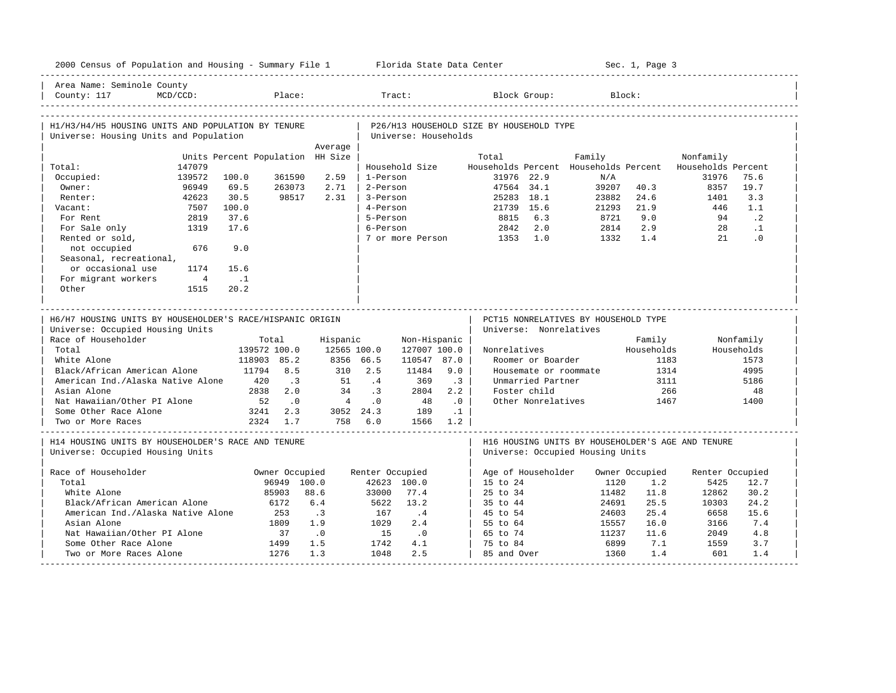|                                                                                                                                                                              |                                   |                                  |                                                            |                                      |                                                | 2000 Census of Population and Housing - Summary File 1 Florida State Data Center      |                                               |                                                        |                                                                                       | Sec. 1, Page 3                                    |                    |                                                  |
|------------------------------------------------------------------------------------------------------------------------------------------------------------------------------|-----------------------------------|----------------------------------|------------------------------------------------------------|--------------------------------------|------------------------------------------------|---------------------------------------------------------------------------------------|-----------------------------------------------|--------------------------------------------------------|---------------------------------------------------------------------------------------|---------------------------------------------------|--------------------|--------------------------------------------------|
| Area Name: Seminole County<br>County: 117                                                                                                                                    | $MCD/CCD$ :                       |                                  | Place:                                                     |                                      |                                                | Tract:                                                                                |                                               | Block Group:                                           |                                                                                       | Block:                                            |                    |                                                  |
|                                                                                                                                                                              |                                   |                                  |                                                            |                                      |                                                |                                                                                       |                                               |                                                        |                                                                                       |                                                   |                    |                                                  |
| H1/H3/H4/H5 HOUSING UNITS AND POPULATION BY TENURE<br>Universe: Housing Units and Population                                                                                 |                                   |                                  |                                                            |                                      |                                                | P26/H13 HOUSEHOLD SIZE BY HOUSEHOLD TYPE<br>Universe: Households                      |                                               |                                                        |                                                                                       |                                                   |                    |                                                  |
|                                                                                                                                                                              |                                   | Units Percent Population HH Size |                                                            | Average                              |                                                |                                                                                       | Total                                         |                                                        | Family                                                                                |                                                   | Nonfamily          |                                                  |
| Total:                                                                                                                                                                       | 147079                            |                                  |                                                            |                                      |                                                | Household Size                                                                        |                                               |                                                        | Households Percent Households Percent                                                 |                                                   | Households Percent |                                                  |
| Occupied:                                                                                                                                                                    | 139572                            | 100.0                            | 361590                                                     | 2.59                                 | 1-Person                                       |                                                                                       |                                               | 31976 22.9                                             | N/A                                                                                   |                                                   | 31976              | 75.6                                             |
| Owner:                                                                                                                                                                       | 96949                             | 69.5                             | 263073                                                     | 2.71                                 | 2-Person                                       |                                                                                       |                                               | 47564 34.1                                             | 39207                                                                                 | 40.3                                              | 8357               | 19.7                                             |
| Renter:                                                                                                                                                                      | 42623                             | 30.5                             | 98517                                                      | 2.31                                 | 3-Person                                       |                                                                                       |                                               | 25283 18.1                                             | 23882                                                                                 | 24.6                                              | 1401               | 3.3                                              |
| Vacant:                                                                                                                                                                      | 7507                              | 100.0                            |                                                            |                                      | 4-Person                                       |                                                                                       |                                               | 21739 15.6                                             | 21293                                                                                 | 21.9                                              | 446                | 1.1                                              |
| For Rent                                                                                                                                                                     | 2819                              | 37.6                             |                                                            |                                      | 5-Person                                       |                                                                                       | 8815                                          | 6.3                                                    | 8721                                                                                  | 9.0                                               | 94                 | $\cdot$ 2                                        |
| For Sale only                                                                                                                                                                | 1319                              | 17.6                             |                                                            |                                      | 6-Person                                       |                                                                                       | 2842                                          | 2.0                                                    | 2814                                                                                  | 2.9                                               | 28                 | $\cdot$ 1                                        |
| Rented or sold,                                                                                                                                                              |                                   |                                  |                                                            |                                      |                                                | 7 or more Person 1353 1.0                                                             |                                               |                                                        | 1332                                                                                  | 1.4                                               | 21                 | $\cdot$ 0                                        |
| not occupied                                                                                                                                                                 | 676                               | 9.0                              |                                                            |                                      |                                                |                                                                                       |                                               |                                                        |                                                                                       |                                                   |                    |                                                  |
| Seasonal, recreational,                                                                                                                                                      |                                   |                                  |                                                            |                                      |                                                |                                                                                       |                                               |                                                        |                                                                                       |                                                   |                    |                                                  |
| or occasional use                                                                                                                                                            | 1174                              | 15.6                             |                                                            |                                      |                                                |                                                                                       |                                               |                                                        |                                                                                       |                                                   |                    |                                                  |
|                                                                                                                                                                              |                                   |                                  |                                                            |                                      |                                                |                                                                                       |                                               |                                                        |                                                                                       |                                                   |                    |                                                  |
| For migrant workers                                                                                                                                                          | $\overline{4}$                    | $\ldots$ 1                       |                                                            |                                      |                                                |                                                                                       |                                               |                                                        |                                                                                       |                                                   |                    |                                                  |
| Other                                                                                                                                                                        | 1515                              | 20.2                             |                                                            |                                      |                                                |                                                                                       |                                               |                                                        |                                                                                       |                                                   |                    |                                                  |
| H6/H7 HOUSING UNITS BY HOUSEHOLDER'S RACE/HISPANIC ORIGIN<br>Universe: Occupied Housing Units<br>Race of Householder<br>Total<br>White Alone<br>Black/African American Alone |                                   |                                  | Total<br>139572 100.0<br>118903 85.2                       | Hispanic<br>12565 100.0<br>8356 66.5 |                                                | Non-Hispanic<br>127007 100.0                                                          |                                               | Universe: Nonrelatives                                 | PCT15 NONRELATIVES BY HOUSEHOLD TYPE                                                  | Family                                            |                    | Nonfamily                                        |
| Asian Alone<br>Nat Hawaiian/Other PI Alone<br>Some Other Race Alone<br>Two or More Races                                                                                     | American Ind./Alaska Native Alone | 11794 8.5<br>420<br>2838<br>52   | $\overline{3}$<br>2.0<br>$\cdot$ 0<br>3241 2.3<br>2324 1.7 | 310 2.5<br>51<br>34<br>$4 \qquad .0$ | $\cdot$ 4<br>$\cdot$ 3<br>3052 24.3<br>758 6.0 | 110547 87.0<br>11484<br>9.0<br>369<br>2804<br>$\overline{0}$<br>48<br>189<br>1566 1.2 | Nonrelatives<br>$\cdot$ 3<br>2.2<br>$\cdot$ 1 | Roomer or Boarder<br>Unmarried Partner<br>Foster child | Housemate or roommate<br>Other Nonrelatives                                           | Households<br>1183<br>1314<br>3111<br>266<br>1467 |                    | Households<br>1573<br>4995<br>5186<br>48<br>1400 |
| H14 HOUSING UNITS BY HOUSEHOLDER'S RACE AND TENURE<br>Universe: Occupied Housing Units                                                                                       |                                   |                                  |                                                            |                                      |                                                |                                                                                       |                                               |                                                        | H16 HOUSING UNITS BY HOUSEHOLDER'S AGE AND TENURE<br>Universe: Occupied Housing Units |                                                   |                    |                                                  |
| Race of Householder                                                                                                                                                          |                                   |                                  | Owner Occupied                                             |                                      | Renter Occupied                                |                                                                                       | Age of Householder                            |                                                        |                                                                                       | Owner Occupied                                    | Renter Occupied    |                                                  |
| Total                                                                                                                                                                        |                                   |                                  | 96949 100.0                                                |                                      |                                                | 42623 100.0                                                                           | $15$ to $24$                                  |                                                        | 1120                                                                                  | 1.2                                               | 5425               | 12.7                                             |
| White Alone                                                                                                                                                                  |                                   |                                  | 85903                                                      | 88.6                                 | 33000                                          | 77.4                                                                                  | 25 to 34                                      |                                                        | 11482                                                                                 | 11.8                                              | 12862              | 30.2                                             |
| Black/African American Alone                                                                                                                                                 |                                   |                                  | 6172                                                       | 6.4                                  | 5622                                           | 13.2                                                                                  | 35 to 44                                      |                                                        | 24691                                                                                 | 25.5                                              | 10303              | 24.2                                             |
| American Ind./Alaska Native Alone                                                                                                                                            |                                   |                                  | 253                                                        | $\cdot$ 3                            | 167                                            | $\cdot$ 4                                                                             | 45 to 54                                      |                                                        | 24603                                                                                 | 25.4                                              | 6658               | 15.6                                             |
| Asian Alone                                                                                                                                                                  |                                   |                                  | 1809                                                       | 1.9                                  | 1029                                           | 2.4                                                                                   | 55 to 64                                      |                                                        | 15557                                                                                 | 16.0                                              | 3166               | 7.4                                              |
| Nat Hawaiian/Other PI Alone                                                                                                                                                  |                                   |                                  | 37                                                         | $\cdot$ 0                            | 15                                             | $\overline{0}$ .                                                                      | 65 to 74                                      |                                                        | 11237                                                                                 | 11.6                                              | 2049               | 4.8                                              |
| Some Other Race Alone                                                                                                                                                        |                                   |                                  | 1499                                                       | 1.5                                  | 1742                                           | 4.1                                                                                   | 75 to 84                                      |                                                        | 6899                                                                                  | 7.1                                               | 1559               | 3.7                                              |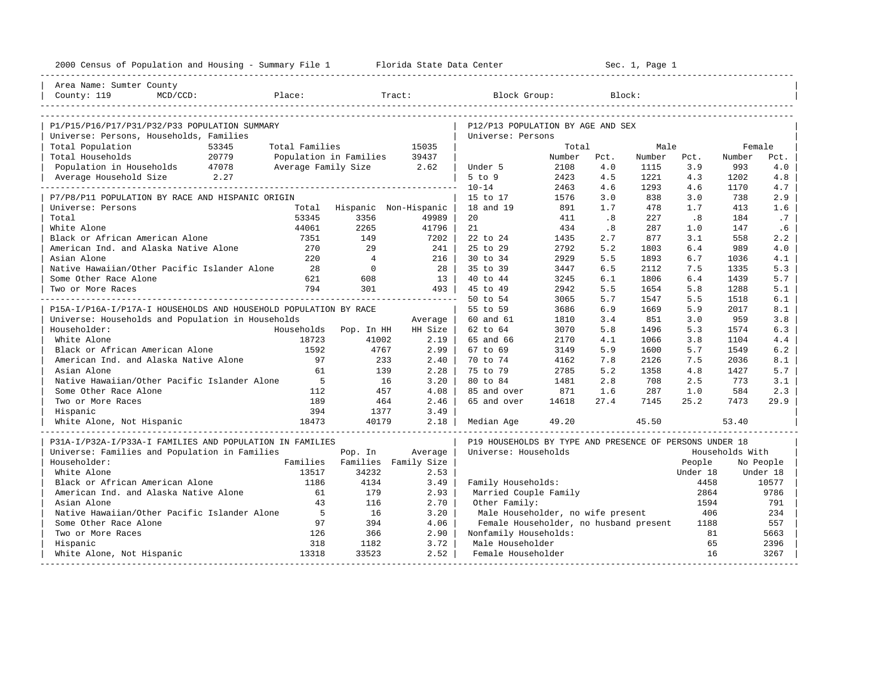| Area Name: Sumter County                                                                               |                       |                               |                                                         |        |                             |             |          |                 |           |
|--------------------------------------------------------------------------------------------------------|-----------------------|-------------------------------|---------------------------------------------------------|--------|-----------------------------|-------------|----------|-----------------|-----------|
|                                                                                                        |                       |                               |                                                         |        |                             |             |          |                 |           |
| Place:<br>County: 119<br>$MCD/CCD$ :                                                                   |                       | Tract:                        | Block Group:                                            |        |                             | Block:      |          |                 |           |
|                                                                                                        |                       |                               |                                                         |        |                             |             |          |                 |           |
| P1/P15/P16/P17/P31/P32/P33 POPULATION SUMMARY                                                          |                       |                               | P12/P13 POPULATION BY AGE AND SEX                       |        |                             |             |          |                 |           |
| Universe: Persons, Households, Families                                                                |                       |                               | Universe: Persons                                       |        |                             |             |          |                 |           |
| Total Population<br>53345<br>Total Families                                                            |                       | 15035                         |                                                         | Total  |                             | Male        |          | Female          |           |
| Total Households 20779<br>Population in Households 47078<br>Total Households<br>Population in Families |                       | 39437                         |                                                         | Number | Pct.                        | Number Pct. |          | Number          | Pct.      |
| Average Family Size 2.62                                                                               |                       |                               | Under 5                                                 | 2108   | 4.0                         | 1115        | 3.9      | 993             | 4.0       |
| Average Household Size 2.27                                                                            |                       |                               | $5$ to $9$                                              | 2423   | 4.5                         | 1221        | 4.3      | 1202            | 4.8       |
|                                                                                                        |                       |                               | $10 - 14$                                               | 2463   | 4.6                         | 1293        | 4.6      | 1170            | 4.7       |
| P7/P8/P11 POPULATION BY RACE AND HISPANIC ORIGIN                                                       |                       |                               | 15 to 17                                                | 1576   | 3.0                         | 838         | 3.0      | 738             | 2.9       |
| Universe: Persons<br>Total                                                                             |                       | Hispanic Non-Hispanic         | 18 and 19                                               | 891    | 1.7                         | 478         | 1.7      | 413             | 1.6       |
| 53345<br>Total                                                                                         | 3356                  | 49989                         | 20                                                      | 411    | $\overline{\phantom{0}}$ .8 | 227         | .8       | 184             | .7        |
| White Alone<br>44061                                                                                   | 2265                  | 41796                         | 21                                                      | 434    | .8                          | 287         | 1.0      | 147             | .6        |
| Black or African American Alone<br>7351                                                                | 149                   | 7202                          | 22 to 24                                                | 1435   | 2.7                         | 877         | 3.1      | 558             | 2.2       |
| American Ind. and Alaska Native Alone<br>270                                                           | 29                    | $241$                         | 25 to 29                                                | 2792   | 5.2                         | 1803        | 6.4      | 989             | 4.0       |
| Asian Alone<br>2.20                                                                                    | $\overline{4}$        | 216                           | 30 to 34                                                | 2929   | 5.5                         | 1893        | 6.7      | 1036            | 4.1       |
| Native Hawaiian/Other Pacific Islander Alone<br>28                                                     | $\overline{0}$        | 28 l                          | 35 to 39                                                | 3447   | 6.5                         | 2112        | 7.5      | 1335            | 5.3       |
| Some Other Race Alone<br>621                                                                           | 608                   | 13 <sup>1</sup>               | 40 to 44                                                | 3245   | 6.1                         | 1806        | 6.4      | 1439            | 5.7       |
| 794<br>Two or More Races                                                                               | 301                   | 493                           | 45 to 49                                                | 2942   | 5.5                         | 1654        | 5.8      | 1288            | 5.1       |
|                                                                                                        |                       |                               | 50 to 54                                                | 3065   | 5.7                         | 1547        | 5.5      | 1518            | 6.1       |
| P15A-I/P16A-I/P17A-I HOUSEHOLDS AND HOUSEHOLD POPULATION BY RACE                                       |                       |                               | 55 to 59                                                | 3686   | 6.9                         | 1669        | 5.9      | 2017            | 8.1       |
| Universe: Households and Population in Households                                                      |                       | Average                       | 60 and 61                                               | 1810   | 3.4                         | 851         | 3.0      | 959             | 3.8       |
| Householder:                                                                                           | Households Pop. In HH | HH Size                       | 62 to 64                                                | 3070   | 5.8                         | 1496        | 5.3      | 1574            | 6.3       |
| White Alone<br>18723                                                                                   | 41002                 | $2.19$                        | 65 and 66                                               | 2170   | 4.1                         | 1066        | 3.8      | 1104            | 4.4       |
| Black or African American Alone<br>1592                                                                | 4767                  | $2.99$                        | 67 to 69                                                | 3149   | 5.9                         | 1600        | 5.7      | 1549            | 6.2       |
| American Ind. and Alaska Native Alone<br>97                                                            | 233                   | 2.40                          | 70 to 74                                                | 4162   | 7.8                         | 2126        | 7.5      | 2036            | 8.1       |
| 61<br>Asian Alone                                                                                      | 139                   | 2.28                          | 75 to 79                                                | 2785   | 5.2                         | 1358        | 4.8      | 1427            | 5.7       |
| Native Hawaiian/Other Pacific Islander Alone<br>$5^{\circ}$                                            | 16                    | 3.20                          | 80 to 84                                                | 1481   | 2.8                         | 708         | 2.5      | 773             | 3.1       |
| Some Other Race Alone<br>112                                                                           | 457                   | 4.08                          | 85 and over                                             | 871    | 1.6                         | 287         | 1.0      | 584             | 2.3       |
| Two or More Races<br>189                                                                               | 464                   | 2.46                          | 65 and over                                             | 14618  | 27.4                        | 7145        | 25.2     | 7473            | 29.9      |
| 394<br>Hispanic                                                                                        | 1377                  | 3.49                          |                                                         |        |                             |             |          |                 |           |
| 18473<br>White Alone, Not Hispanic                                                                     | 40179                 | 2.18                          | Median Age                                              | 49.20  |                             | 45.50       |          | 53.40           |           |
| P31A-I/P32A-I/P33A-I FAMILIES AND POPULATION IN FAMILIES                                               |                       |                               | P19 HOUSEHOLDS BY TYPE AND PRESENCE OF PERSONS UNDER 18 |        |                             |             |          |                 |           |
| Universe: Families and Population in Families                                                          | Pop. In               | Average                       | Universe: Households                                    |        |                             |             |          | Households With |           |
| Householder:                                                                                           |                       | Families Families Family Size |                                                         |        |                             |             | People   |                 | No People |
| 13517<br>White Alone                                                                                   | 34232                 | 2.53                          |                                                         |        |                             |             | Under 18 |                 | Under 18  |
| Black or African American Alone<br>1186                                                                | 4134                  | 3.49                          | Family Households:                                      |        |                             |             | 4458     |                 | 10577     |
| American Ind. and Alaska Native Alone<br>61                                                            | 179                   | 2.93                          | Married Couple Family                                   |        |                             |             | 2864     |                 | 9786      |
| Asian Alone<br>43                                                                                      | 116                   | 2.70                          | Other Family:                                           |        |                             |             | 1594     |                 | 791       |
| 5<br>Native Hawaiian/Other Pacific Islander Alone                                                      | 16                    | 3.20                          | Male Householder, no wife present                       |        |                             |             | 406      |                 | 234       |
| Some Other Race Alone<br>97                                                                            | 394                   | 4.06                          | Female Householder, no husband present                  |        |                             |             | 1188     |                 | 557       |
| Two or More Races<br>126                                                                               | 366                   | 2.90                          | Nonfamily Households:                                   |        |                             |             | 81       |                 | 5663      |
| Hispanic<br>318                                                                                        | 1182                  | 3.72                          | Male Householder                                        |        |                             |             | 65       |                 | 2396      |
| White Alone, Not Hispanic<br>13318                                                                     | 33523                 | 2.52                          | Female Householder                                      |        |                             |             | 16       |                 | 3267      |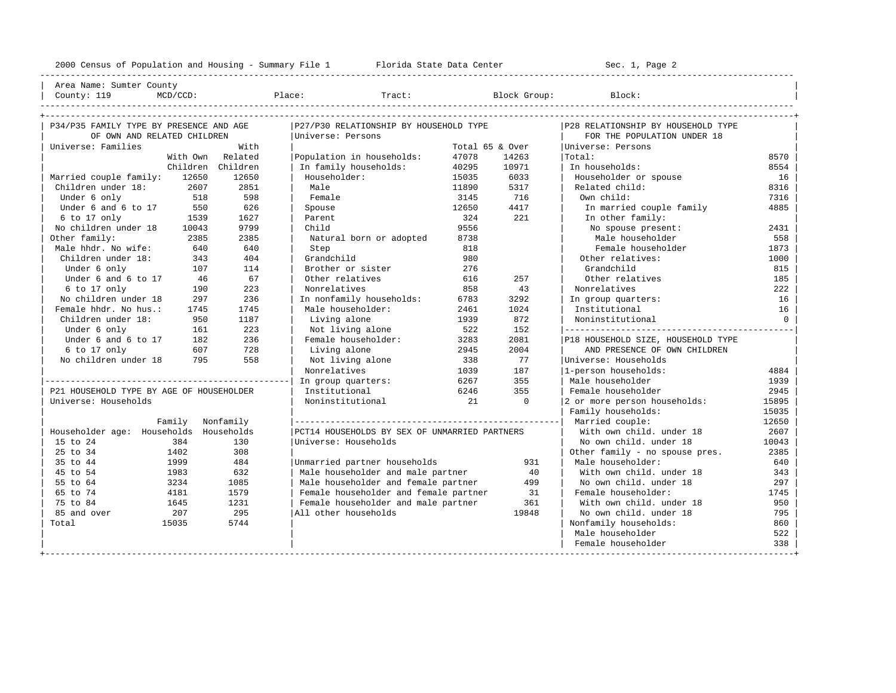---------------------------------------------------------------------------------------------------------------------------------------------------- | Area Name: Sumter County | | County: 119 MCD/CCD: Place: Tract: Block Group: Block: | ---------------------------------------------------------------------------------------------------------------------------------------------------- +---------------------------------------------------------------------------------------------------------------------------------------------------+

| P34/P35 FAMILY TYPE BY PRESENCE AND AGE  |          |                  | P27/P30 RELATIONSHIP BY HOUSEHOLD TYPE        |       |                 | P28 RELATIONSHIP BY HOUSEHOLD TYPE  |          |
|------------------------------------------|----------|------------------|-----------------------------------------------|-------|-----------------|-------------------------------------|----------|
| OF OWN AND RELATED CHILDREN              |          |                  | Universe: Persons                             |       |                 | FOR THE POPULATION UNDER 18         |          |
| Universe: Families                       |          | With             |                                               |       | Total 65 & Over | Universe: Persons                   |          |
|                                          |          | With Own Related | Population in households:                     | 47078 | 14263           | Total:                              | 8570     |
|                                          | Children | Children         | In family households:                         | 40295 | 10971           | In households:                      | 8554     |
| Married couple family:                   | 12650    | 12650            | Householder:                                  | 15035 | 6033            | Householder or spouse               | 16       |
| Children under 18: 2607                  |          | 2851             | Male                                          | 11890 | 5317            | Related child:                      | 8316     |
| Under 6 only                             | 518      | 598              | Female                                        | 3145  | 716             | Own child:                          | 7316     |
| Under 6 and 6 to 17                      | 550      | 626              | Spouse                                        | 12650 | 4417            | In married couple family            | 4885     |
| $6$ to 17 only                           | 1539     | 1627             | Parent                                        | 324   | 221             | In other family:                    |          |
| No children under 18                     | 10043    | 9799             | Child                                         | 9556  |                 | No spouse present:                  | 2431     |
| Other family:                            | 2385     | 2385             | Natural born or adopted                       | 8738  |                 | Male householder                    | 558      |
| Male hhdr. No wife:                      | 640      | 640              | Step                                          | 818   |                 | Female householder                  | 1873     |
| Children under 18:                       | 343      | 404              | Grandchild                                    | 980   |                 | Other relatives:                    | 1000     |
| Under 6 only                             | 107      | 114              | Brother or sister                             | 276   |                 | Grandchild                          | 815      |
| Under 6 and 6 to 17                      | 46       | 67               | Other relatives                               | 616   | 257             | Other relatives                     | 185      |
| 6 to 17 only                             | 190      | 223              | Nonrelatives                                  | 858   | 43              | Nonrelatives                        | 222      |
| No children under 18                     | 297      | 236              | In nonfamily households:                      | 6783  | 3292            | In group quarters:                  | 16       |
| Female hhdr. No hus.:                    | 1745     | 1745             | Male householder:                             | 2461  | 1024            | Institutional                       | 16       |
| Children under 18:                       | 950      | 1187             | Living alone                                  | 1939  | 872             | Noninstitutional                    | $\Omega$ |
| Under 6 only                             | 161      | 223              | Not living alone                              | 522   | 152             |                                     |          |
| Under 6 and 6 to 17                      | 182      | 236              | Female householder:                           | 3283  | 2081            | P18 HOUSEHOLD SIZE, HOUSEHOLD TYPE  |          |
| 6 to 17 only                             | 607      | 728              | Living alone                                  | 2945  | 2004            | AND PRESENCE OF OWN CHILDREN        |          |
| No children under 18                     | 795      | 558              | Not living alone                              | 338   | 77              | Universe: Households                |          |
|                                          |          |                  | Nonrelatives                                  | 1039  | 187             | 1-person households:                | 4884     |
|                                          |          |                  | In group quarters:                            | 6267  | 355             | Male householder                    | 1939     |
| P21 HOUSEHOLD TYPE BY AGE OF HOUSEHOLDER |          |                  | Institutional                                 | 6246  | 355             | Female householder                  | 2945     |
| Universe: Households                     |          |                  | Noninstitutional                              | 21    | $\Omega$        | 2 or more person households:        | 15895    |
|                                          |          |                  |                                               |       |                 | Family households:                  | 15035    |
|                                          | Family   | Nonfamily        |                                               |       |                 | Married couple:                     | 12650    |
| Householder age: Households Households   |          |                  | PCT14 HOUSEHOLDS BY SEX OF UNMARRIED PARTNERS |       |                 | With own child, under 18            | 2607     |
| 15 to 24                                 | 384      | 130              | Universe: Households                          |       |                 | No own child, under 18              | 10043    |
| 25 to 34                                 | 1402     | 308              |                                               |       |                 | Other family - no spouse pres.      | 2385     |
| 35 to 44                                 | 1999     | 484              | Unmarried partner households                  |       | 931             | Male householder:                   | 640      |
| 45 to 54                                 | 1983     | 632              | Male householder and male partner             |       | 40              | With own child, under 18            | 343      |
| 55 to 64                                 | 3234     | 1085             | Male householder and female partner           |       | 499             | No own child, under 18              | 297      |
| 65 to 74                                 | 4181     | 1579             | Female householder and female partner         |       | 31              | Female householder:                 | 1745     |
| 75 to 84                                 | 1645     | 1231             | Female householder and male partner           |       | 361             | With own child, under 18            | 950      |
| 85 and over                              | 207      | 295              | All other households                          |       | 19848           | No own child. under 18              | 795      |
| Total                                    | 15035    | 5744             |                                               |       |                 | Nonfamily households:               | 860      |
|                                          |          |                  |                                               |       |                 | Male householder                    | 522      |
|                                          |          |                  |                                               |       |                 | Female householder                  | 338      |
|                                          |          |                  |                                               |       |                 | ___________________________________ |          |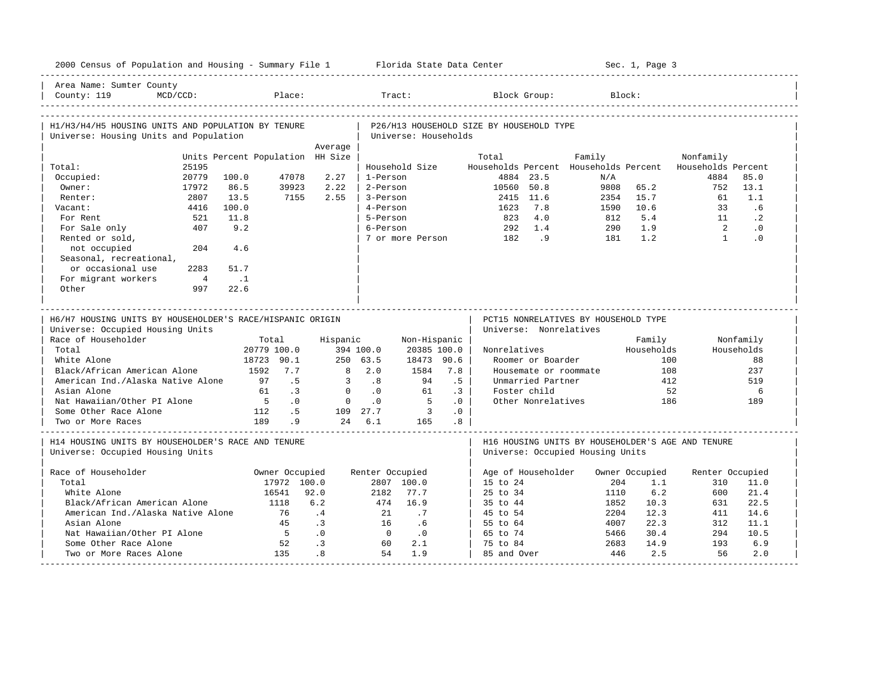| 2000 Census of Population and Housing - Summary File 1 Florida State Data Center             |                                  |                               |                 |                 |                      |           |                                          |                        |                                      |             | Sec. 1, Page 3        |                                                          |            |
|----------------------------------------------------------------------------------------------|----------------------------------|-------------------------------|-----------------|-----------------|----------------------|-----------|------------------------------------------|------------------------|--------------------------------------|-------------|-----------------------|----------------------------------------------------------|------------|
| Area Name: Sumter County<br>County: 119<br>$MCD/CCD$ :                                       |                                  | Place:                        |                 |                 | Tract:               |           |                                          | Block Group:           |                                      | Block:      |                       |                                                          |            |
| H1/H3/H4/H5 HOUSING UNITS AND POPULATION BY TENURE<br>Universe: Housing Units and Population |                                  |                               |                 |                 | Universe: Households |           | P26/H13 HOUSEHOLD SIZE BY HOUSEHOLD TYPE |                        |                                      |             |                       |                                                          |            |
|                                                                                              |                                  |                               | Average         |                 |                      |           |                                          |                        |                                      |             |                       |                                                          |            |
|                                                                                              | Units Percent Population HH Size |                               |                 |                 |                      |           | Total                                    |                        | Family                               |             |                       | Nonfamily                                                |            |
| 25195<br>Total:                                                                              |                                  |                               |                 |                 | Household Size       |           |                                          |                        |                                      |             |                       | Households Percent Households Percent Households Percent |            |
| Occupied:<br>20779                                                                           | 100.0                            | 47078                         | 2.27            | 1-Person        |                      |           |                                          | 4884 23.5              |                                      | N/A         |                       | 4884                                                     | 85.0       |
| Owner:<br>17972                                                                              | 86.5                             | 39923                         | 2.22            | 2-Person        |                      |           | 10560                                    | 50.8                   |                                      | 9808        | 65.2                  | 752                                                      | 13.1       |
| 2807<br>Renter:                                                                              | 13.5                             | 7155                          | 2.55            | 3-Person        |                      |           |                                          | 2415 11.6              |                                      | 2354        | 15.7                  | 61                                                       | 1.1        |
| 4416<br>Vacant:                                                                              | 100.0                            |                               |                 | 4-Person        |                      |           | 1623                                     | 7.8                    |                                      | 1590        | 10.6                  | 33                                                       | .6         |
| For Rent<br>521                                                                              | 11.8                             |                               |                 | 5-Person        |                      |           | 823                                      | 4.0                    |                                      | 812         | 5.4                   | 11                                                       | $\cdot$ 2  |
| 407<br>For Sale only                                                                         | 9.2                              |                               |                 | 6-Person        |                      |           | 292                                      | 1.4                    |                                      | 290         | 1.9                   | $\overline{2}$                                           | $\cdot$ 0  |
| Rented or sold,                                                                              |                                  |                               |                 |                 | 7 or more Person     |           | 182                                      | 9 <sup>1</sup>         |                                      | 181         | 1.2                   | $\overline{1}$                                           | .0         |
| not occupied<br>204                                                                          | 4.6                              |                               |                 |                 |                      |           |                                          |                        |                                      |             |                       |                                                          |            |
| Seasonal, recreational,                                                                      |                                  |                               |                 |                 |                      |           |                                          |                        |                                      |             |                       |                                                          |            |
| or occasional use<br>2283                                                                    | 51.7                             |                               |                 |                 |                      |           |                                          |                        |                                      |             |                       |                                                          |            |
| For migrant workers<br>$\overline{4}$                                                        | $\ldots$ 1                       |                               |                 |                 |                      |           |                                          |                        |                                      |             |                       |                                                          |            |
| Other<br>997                                                                                 | 22.6                             |                               |                 |                 |                      |           |                                          |                        |                                      |             |                       |                                                          |            |
|                                                                                              |                                  |                               |                 |                 |                      |           |                                          |                        |                                      |             |                       |                                                          |            |
|                                                                                              |                                  |                               |                 |                 |                      |           |                                          |                        |                                      |             |                       |                                                          |            |
|                                                                                              |                                  |                               |                 |                 |                      |           |                                          |                        |                                      |             |                       |                                                          |            |
| H6/H7 HOUSING UNITS BY HOUSEHOLDER'S RACE/HISPANIC ORIGIN                                    |                                  |                               |                 |                 |                      |           |                                          |                        | PCT15 NONRELATIVES BY HOUSEHOLD TYPE |             |                       |                                                          |            |
| Universe: Occupied Housing Units                                                             |                                  |                               |                 |                 |                      |           |                                          | Universe: Nonrelatives |                                      |             |                       |                                                          |            |
| Race of Householder                                                                          | Total                            |                               | Hispanic        |                 | Non-Hispanic         |           |                                          |                        |                                      |             | Family                |                                                          | Nonfamily  |
| Total                                                                                        | 20779 100.0                      |                               |                 | 394 100.0       | 20385 100.0          |           | Nonrelatives                             |                        |                                      |             | Households            |                                                          | Households |
| White Alone                                                                                  | 18723 90.1                       |                               |                 | 250, 63.5       | 18473 90.6           |           |                                          | Roomer or Boarder      |                                      |             | 100                   |                                                          | 88         |
| Black/African American Alone                                                                 | 1592 7.7                         |                               | 8               | 2.0             | 1584                 | 7.8       |                                          |                        | Housemate or roommate                |             | 108                   |                                                          | 237        |
| American Ind./Alaska Native Alone                                                            | 97                               | .5                            | 3               | .8              | 94                   | .5        |                                          | Unmarried Partner      |                                      |             | 412                   |                                                          | 519        |
| Asian Alone                                                                                  | 61                               | $\cdot$ 3                     | $\mathbf{0}$    | $\cdot$ 0       | 61                   | $\cdot$ 3 |                                          | Foster child           |                                      |             | 52                    |                                                          | 6          |
| Nat Hawaiian/Other PI Alone                                                                  | $5^{\circ}$                      | $\cdot$ 0                     | $\overline{0}$  | $\cdot$ 0       | $5^{\circ}$          | $\cdot$ 0 |                                          | Other Nonrelatives     |                                      |             | 186                   |                                                          | 189        |
| Some Other Race Alone                                                                        | 112                              | .5                            |                 | 109 27.7        | $\sim$ 3             | .0        |                                          |                        |                                      |             |                       |                                                          |            |
| Two or More Races                                                                            | 189                              | .9                            |                 | 24 6.1          | 165                  | .8        |                                          |                        |                                      |             |                       |                                                          |            |
|                                                                                              |                                  |                               |                 |                 |                      |           |                                          |                        |                                      |             |                       |                                                          |            |
| H14 HOUSING UNITS BY HOUSEHOLDER'S RACE AND TENURE                                           |                                  |                               |                 |                 |                      |           |                                          |                        |                                      |             |                       | H16 HOUSING UNITS BY HOUSEHOLDER'S AGE AND TENURE        |            |
| Universe: Occupied Housing Units                                                             |                                  |                               |                 |                 |                      |           |                                          |                        | Universe: Occupied Housing Units     |             |                       |                                                          |            |
| Race of Householder                                                                          |                                  |                               |                 |                 |                      |           |                                          |                        |                                      |             |                       |                                                          |            |
| Total                                                                                        |                                  | Owner Occupied<br>17972 100.0 |                 | Renter Occupied | 2807 100.0           |           | $15$ to $24$                             | Age of Householder     |                                      | 204         | Owner Occupied<br>1.1 | Renter Occupied<br>310                                   | 11.0       |
| White Alone                                                                                  | 16541                            |                               | 92.0            | 2182            | 77.7                 |           | $25$ to $34$                             |                        |                                      | 1110        | 6.2                   | 600                                                      | 21.4       |
|                                                                                              |                                  |                               |                 |                 |                      |           |                                          |                        |                                      |             |                       |                                                          |            |
| Black/African American Alone                                                                 | 1118<br>76                       |                               | 6.2             | 474             | 16.9                 |           | 35 to 44                                 |                        |                                      | 1852        | 10.3                  | 631                                                      | 22.5       |
| American Ind./Alaska Native Alone                                                            |                                  |                               | .4              | 21              | .7                   |           | 45 to 54                                 |                        |                                      | 2204        | 12.3                  | 411                                                      | 14.6       |
| Asian Alone                                                                                  |                                  | 45                            | $\cdot$ 3       | 16              | .6                   |           | 55 to 64                                 |                        |                                      | 4007        | 22.3                  | 312                                                      | 11.1       |
| Nat Hawaiian/Other PI Alone                                                                  |                                  | $5^{\circ}$                   | .0              | $\bigcirc$      | $\cdot$ 0<br>2.1     |           | 65 to 74                                 |                        |                                      | 5466        | 30.4                  | 294<br>193                                               | 10.5       |
| Some Other Race Alone<br>Two or More Races Alone                                             |                                  | 52<br>135                     | $\cdot$ 3<br>.8 | 60<br>54        | 1.9                  |           | 75 to 84<br>85 and Over                  |                        |                                      | 2683<br>446 | 14.9<br>2.5           | 56                                                       | 6.9<br>2.0 |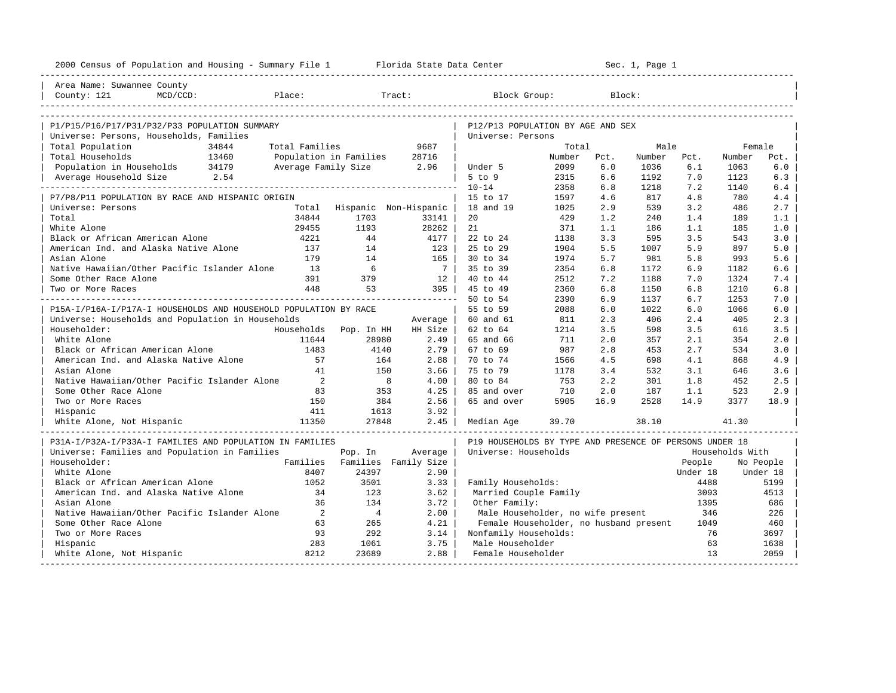| 2000 Census of Population and Housing - Summary File 1 Florida State Data Center         |                        |                |                       |                                                         | ---------------------- |      | Sec. 1, Page 1 |          |                 |           |
|------------------------------------------------------------------------------------------|------------------------|----------------|-----------------------|---------------------------------------------------------|------------------------|------|----------------|----------|-----------------|-----------|
| Area Name: Suwannee County                                                               |                        |                |                       |                                                         |                        |      |                |          |                 |           |
| County: 121<br>MCD/CCD:                                                                  | Place:                 |                | Tract:                | Block Group:                                            |                        |      | Block:         |          |                 |           |
|                                                                                          |                        |                |                       |                                                         |                        |      |                |          |                 |           |
| P1/P15/P16/P17/P31/P32/P33 POPULATION SUMMARY<br>Universe: Persons, Households, Families |                        |                |                       | P12/P13 POPULATION BY AGE AND SEX<br>Universe: Persons  |                        |      |                |          |                 |           |
| Total Population<br>34844                                                                | Total Families         |                | 9687                  |                                                         | Total                  |      | Male           |          | Female          |           |
| Total Households<br>13460                                                                | Population in Families |                | 28716                 |                                                         | Number                 | Pct. | Number         | Pct.     | Number          | Pct.      |
| Population in Households<br>34179                                                        | Average Family Size    |                | 2.96                  | Under 5                                                 | 2099                   | 6.0  | 1036           | 6.1      | 1063            | 6.0       |
| 2.54<br>Average Household Size                                                           |                        |                |                       | $5$ to $9$                                              | 2315                   | 6.6  | 1192           | 7.0      | 1123            | 6.3       |
|                                                                                          |                        |                |                       | $10 - 14$                                               | 2358                   | 6.8  | 1218           | 7.2      | 1140            | 6.4       |
| P7/P8/P11 POPULATION BY RACE AND HISPANIC ORIGIN                                         |                        |                |                       | 15 to 17                                                | 1597                   | 4.6  | 817            | 4.8      | 780             | 4.4       |
| Universe: Persons                                                                        | Total                  |                | Hispanic Non-Hispanic | 18 and 19                                               | 1025                   | 2.9  | 539            | 3.2      | 486             | 2.7       |
| Total                                                                                    | 34844                  | 1703           | 33141                 | 20                                                      | 429                    | 1.2  | 240            | 1.4      | 189             | 1.1       |
| White Alone                                                                              | 29455                  | 1193           | 28262                 | 21                                                      | 371                    | 1.1  | 186            | 1.1      | 185             | 1.0       |
| Black or African American Alone                                                          | 4221                   | 44             | 4177                  | 22 to 24                                                | 1138                   | 3.3  | 595            | 3.5      | 543             | 3.0       |
| American Ind. and Alaska Native Alone                                                    | 137                    | 14             | 123                   | 25 to 29                                                | 1904                   | 5.5  | 1007           | 5.9      | 897             | 5.0       |
| Asian Alone                                                                              | 179                    | 14             | 165                   | 30 to 34                                                | 1974                   | 5.7  | 981            | 5.8      | 993             | 5.6       |
| Native Hawaiian/Other Pacific Islander Alone                                             | 13                     | 6              | $\overline{7}$        | 35 to 39                                                | 2354                   | 6.8  | 1172           | 6.9      | 1182            | 6.6       |
| Some Other Race Alone                                                                    | 391                    | 379            | 12                    | 40 to 44                                                | 2512                   | 7.2  | 1188           | 7.0      | 1324            | 7.4       |
| Two or More Races                                                                        | 448                    | 53             | 395                   | 45 to 49                                                | 2360                   | 6.8  | 1150           | 6.8      | 1210            | 6.8       |
|                                                                                          |                        |                |                       | 50 to 54                                                | 2390                   | 6.9  | 1137           | 6.7      | 1253            | 7.0       |
| P15A-I/P16A-I/P17A-I HOUSEHOLDS AND HOUSEHOLD POPULATION BY RACE                         |                        |                |                       | 55 to 59                                                | 2088                   | 6.0  | 1022           | 6.0      | 1066            | 6.0       |
| Universe: Households and Population in Households                                        |                        |                | Average               | 60 and 61                                               | 811                    | 2.3  | 406            | 2.4      | 405             | 2.3       |
| Householder:                                                                             | Households             | Pop. In HH     | HH Size               | 62 to 64                                                | 1214                   | 3.5  | 598            | 3.5      | 616             | 3.5       |
| White Alone                                                                              | 11644                  | 28980          | 2.49                  | 65 and 66                                               | 711                    | 2.0  | 357            | 2.1      | 354             | 2.0       |
| Black or African American Alone                                                          | 1483                   | 4140           | 2.79                  | 67 to 69                                                | 987                    | 2.8  | 453            | 2.7      | 534             | 3.0       |
| American Ind. and Alaska Native Alone                                                    | 57                     | 164            | 2.88                  | 70 to 74                                                | 1566                   | 4.5  | 698            | 4.1      | 868             | 4.9       |
| Asian Alone                                                                              | 41                     | 150            | 3.66                  | 75 to 79                                                | 1178                   | 3.4  | 532            | 3.1      | 646             | 3.6       |
| Native Hawaiian/Other Pacific Islander Alone                                             | 2                      | 8              | 4.00                  | 80 to 84                                                | 753                    | 2.2  | 301            | 1.8      | 452             | 2.5       |
| Some Other Race Alone                                                                    | 83                     | 353            | 4.25                  | 85 and over                                             | 710                    | 2.0  | 187            | 1.1      | 523             | 2.9       |
| Two or More Races                                                                        | 150                    | 384            | 2.56                  | 65 and over                                             | 5905                   | 16.9 | 2528           | 14.9     | 3377            | 18.9      |
| Hispanic                                                                                 | 411                    | 1613           | 3.92                  |                                                         |                        |      |                |          |                 |           |
| White Alone, Not Hispanic                                                                | 11350                  | 27848          | 2.45                  | Median Age                                              | 39.70                  |      | 38.10          |          | 41.30           |           |
| P31A-I/P32A-I/P33A-I FAMILIES AND POPULATION IN FAMILIES                                 |                        |                |                       | P19 HOUSEHOLDS BY TYPE AND PRESENCE OF PERSONS UNDER 18 |                        |      |                |          |                 |           |
| Universe: Families and Population in Families                                            |                        | Pop. In        | Average               | Universe: Households                                    |                        |      |                |          | Households With |           |
| Householder:                                                                             | Families               |                | Families Family Size  |                                                         |                        |      |                | People   |                 | No People |
| White Alone                                                                              | 8407                   | 24397          | 2.90                  |                                                         |                        |      |                | Under 18 |                 | Under 18  |
| Black or African American Alone                                                          | 1052                   | 3501           | 3.33                  | Family Households:                                      |                        |      |                | 4488     |                 | 5199      |
| American Ind. and Alaska Native Alone                                                    | 34                     | 123            | 3.62                  | Married Couple Family                                   |                        |      |                | 3093     |                 | 4513      |
| Asian Alone                                                                              | 36                     | 134            | 3.72                  | Other Family:                                           |                        |      |                | 1395     |                 | 686       |
| Native Hawaiian/Other Pacific Islander Alone                                             | 2                      | $\overline{4}$ | 2.00                  | Male Householder, no wife present                       |                        |      |                | 346      |                 | 226       |
| Some Other Race Alone                                                                    | 63                     | 265            | 4.21                  | Female Householder, no husband present                  |                        |      |                | 1049     |                 | 460       |
| Two or More Races                                                                        | 93                     | 292            | 3.14                  | Nonfamily Households:                                   |                        |      |                | 76       |                 | 3697      |
| Hispanic                                                                                 | 283                    | 1061           | 3.75                  | Male Householder                                        |                        |      |                | 63       |                 | 1638      |
| White Alone, Not Hispanic                                                                | 8212                   | 23689          | 2.88                  | Female Householder                                      |                        |      |                | 13       |                 | 2059      |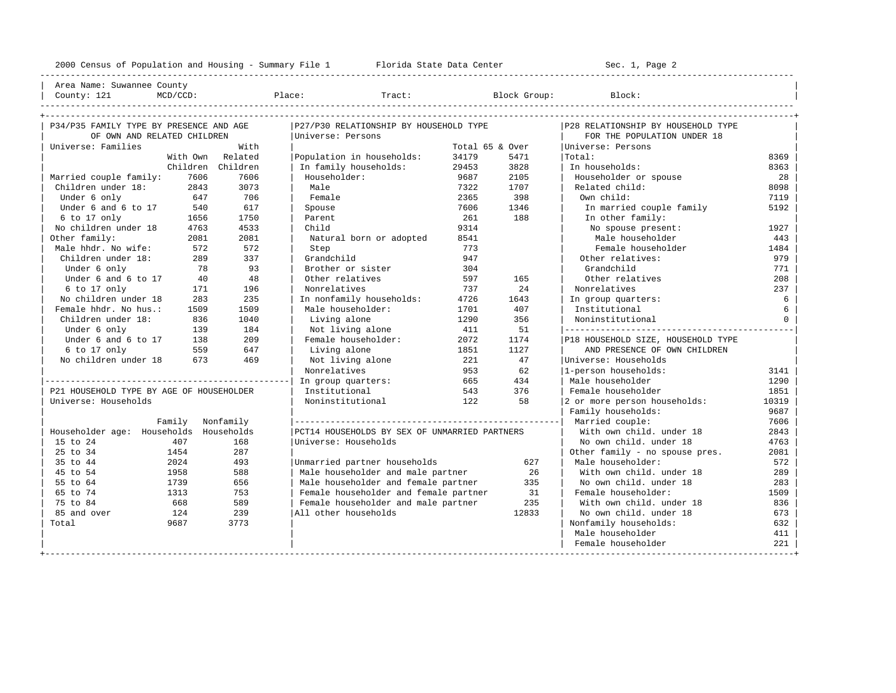---------------------------------------------------------------------------------------------------------------------------------------------------- | Area Name: Suwannee County | | County: 121 MCD/CCD: Place: Tract: Block Group: Block: | ----------------------------------------------------------------------------------------------------------------------------------------------------

| P34/P35 FAMILY TYPE BY PRESENCE AND AGE  |                   | P27/P30 RELATIONSHIP BY HOUSEHOLD TYPE        |                 |       | P28 RELATIONSHIP BY HOUSEHOLD TYPE |          |
|------------------------------------------|-------------------|-----------------------------------------------|-----------------|-------|------------------------------------|----------|
| OF OWN AND RELATED CHILDREN              |                   | Universe: Persons                             |                 |       | FOR THE POPULATION UNDER 18        |          |
| Universe: Families                       | With              |                                               | Total 65 & Over |       | Universe: Persons                  |          |
|                                          | With Own Related  | Population in households:                     | 34179           | 5471  | Total:                             | 8369     |
|                                          | Children Children | In family households:                         | 29453           | 3828  | In households:                     | 8363     |
| Married couple family:<br>7606           | 7606              | Householder:                                  | 9687            | 2105  | Householder or spouse              | 28       |
| Children under 18:<br>2843               | 3073              | Male                                          | 7322            | 1707  | Related child:                     | 8098     |
| Under 6 only<br>647                      | 706               | Female                                        | 2365            | 398   | Own child:                         | 7119     |
| Under 6 and 6 to 17<br>540               | 617               | Spouse                                        | 7606            | 1346  | In married couple family           | 5192     |
| 6 to 17 only<br>1656                     | 1750              | Parent                                        | 261             | 188   | In other family:                   |          |
| No children under 18<br>4763             | 4533              | Child                                         | 9314            |       | No spouse present:                 | 1927     |
| Other family:<br>2081                    | 2081              | Natural born or adopted                       | 8541            |       | Male householder                   | 443      |
| Male hhdr. No wife:<br>572               | 572               | Step                                          | 773             |       | Female householder                 | 1484     |
| Children under 18:<br>289                | 337               | Grandchild                                    | 947             |       | Other relatives:                   | 979      |
| 78<br>Under 6 only                       | 93                | Brother or sister                             | 304             |       | Grandchild                         | 771      |
| Under 6 and 6 to 17<br>40                | 48                | Other relatives                               | 597             | 165   | Other relatives                    | 208      |
| 6 to 17 only<br>171                      | 196               | Nonrelatives                                  | 737             | 24    | Nonrelatives                       | 237      |
| No children under 18<br>283              | 235               | In nonfamily households:                      | 4726            | 1643  | In group quarters:                 | 6        |
| Female hhdr. No hus.:<br>1509            | 1509              | Male householder:                             | 1701            | 407   | Institutional                      | 6        |
| Children under 18:<br>836                | 1040              | Living alone                                  | 1290            | 356   | Noninstitutional                   | $\Omega$ |
| Under 6 only<br>139                      | 184               | Not living alone                              | 411             | 51    |                                    |          |
| Under 6 and 6 to 17<br>138               | 209               | Female householder:                           | 2072            | 1174  | P18 HOUSEHOLD SIZE, HOUSEHOLD TYPE |          |
| 6 to 17 only<br>559                      | 647               | Living alone                                  | 1851            | 1127  | AND PRESENCE OF OWN CHILDREN       |          |
| No children under 18<br>673              | 469               | Not living alone                              | 221             | 47    | Universe: Households               |          |
|                                          |                   | Nonrelatives                                  | 953             | 62    | 1-person households:               | 3141     |
|                                          |                   | In group quarters:                            | 665             | 434   | Male householder                   | 1290     |
| P21 HOUSEHOLD TYPE BY AGE OF HOUSEHOLDER |                   | Institutional                                 | 543             | 376   | Female householder                 | 1851     |
| Universe: Households                     |                   | Noninstitutional                              | 122             | 58    | 2 or more person households:       | 10319    |
|                                          |                   |                                               |                 |       | Family households:                 | 9687     |
| Family Nonfamily                         |                   |                                               |                 |       | Married couple:                    | 7606     |
| Householder age: Households Households   |                   | PCT14 HOUSEHOLDS BY SEX OF UNMARRIED PARTNERS |                 |       | With own child, under 18           | 2843     |
| 15 to 24<br>407                          | 168               | Universe: Households                          |                 |       | No own child, under 18             | 4763     |
| 25 to 34<br>1454                         | 287               |                                               |                 |       | Other family - no spouse pres.     | 2081     |
| 35 to 44<br>2024                         | 493               | Unmarried partner households                  |                 | 627   | Male householder:                  | 572      |
| 45 to 54<br>1958                         | 588               | Male householder and male partner             |                 | 26    | With own child, under 18           | 289      |
| 55 to 64<br>1739                         | 656               | Male householder and female partner           |                 | 335   | No own child. under 18             | 283      |
| 65 to 74<br>1313                         | 753               | Female householder and female partner         |                 | 31    | Female householder:                | 1509     |
| 75 to 84<br>668                          | 589               | Female householder and male partner           |                 | 235   | With own child, under 18           | 836      |
| 85 and over<br>124                       | 239               | All other households                          |                 | 12833 | No own child, under 18             | 673      |
| Total<br>9687                            | 3773              |                                               |                 |       | Nonfamily households:              | 632      |
|                                          |                   |                                               |                 |       | Male householder                   | 411      |
|                                          |                   |                                               |                 |       | Female householder                 | 221      |
|                                          |                   |                                               |                 |       |                                    |          |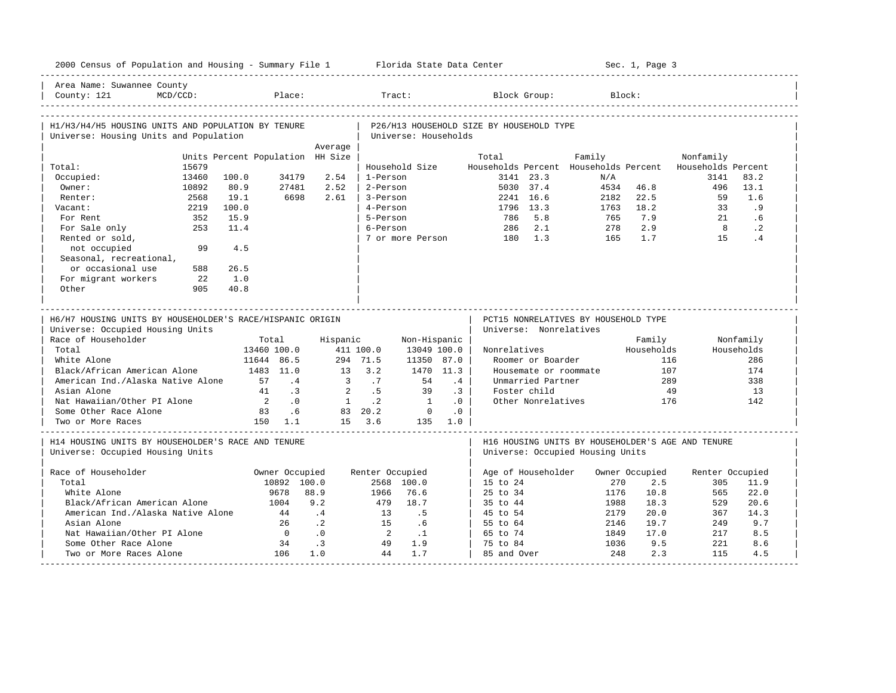|                                                                                                                              |                              |                                  |                      |                  |                      | 2000 Census of Population and Housing - Summary File 1 Florida State Data Center |                                          |                        |                                                                                       | Sec. 1, Page 3 |                    |            |
|------------------------------------------------------------------------------------------------------------------------------|------------------------------|----------------------------------|----------------------|------------------|----------------------|----------------------------------------------------------------------------------|------------------------------------------|------------------------|---------------------------------------------------------------------------------------|----------------|--------------------|------------|
| Area Name: Suwannee County<br>County: 121                                                                                    | $MCD/CCD$ :                  |                                  | Place:               |                  | Tract:               |                                                                                  |                                          | Block Group:           | Block:                                                                                |                |                    |            |
| H1/H3/H4/H5 HOUSING UNITS AND POPULATION BY TENURE<br>Universe: Housing Units and Population                                 |                              |                                  |                      |                  |                      | Universe: Households                                                             | P26/H13 HOUSEHOLD SIZE BY HOUSEHOLD TYPE |                        |                                                                                       |                |                    |            |
|                                                                                                                              |                              |                                  |                      | Average          |                      |                                                                                  |                                          |                        |                                                                                       |                |                    |            |
|                                                                                                                              |                              | Units Percent Population HH Size |                      |                  |                      |                                                                                  | Total                                    |                        | Family                                                                                |                | Nonfamily          |            |
| Total:                                                                                                                       | 15679                        |                                  |                      |                  |                      | Household Size                                                                   |                                          |                        | Households Percent Households Percent                                                 |                | Households Percent | 83.2       |
| Occupied:<br>Owner:                                                                                                          | 13460<br>10892               | 100.0<br>80.9                    | 34179<br>27481       | 2.54<br>2.52     | 1-Person<br>2-Person |                                                                                  |                                          | 3141 23.3<br>5030 37.4 | N/A<br>4534                                                                           | 46.8           | 3141<br>496        | 13.1       |
| Renter:                                                                                                                      | 2568                         | 19.1                             | 6698                 | 2.61             | 3-Person             |                                                                                  |                                          | 2241 16.6              | 2182                                                                                  | 22.5           | 59                 | 1.6        |
| Vacant:                                                                                                                      | 2219                         | 100.0                            |                      |                  | 4-Person             |                                                                                  |                                          | 1796 13.3              | 1763                                                                                  | 18.2           | 33                 | .9         |
| For Rent                                                                                                                     | 352                          | 15.9                             |                      |                  | 5-Person             |                                                                                  | 786                                      | 5.8                    | 765                                                                                   | 7.9            | 21                 | .6         |
| For Sale only                                                                                                                | 253                          | 11.4                             |                      |                  | 6-Person             |                                                                                  |                                          | 286 2.1                | 278                                                                                   | 2.9            | 8 <sup>8</sup>     | $\cdot$ 2  |
| Rented or sold,                                                                                                              |                              |                                  |                      |                  |                      |                                                                                  | 7 or more Person 180 1.3                 |                        | 165                                                                                   | 1.7            | 15                 | .4         |
| not occupied                                                                                                                 | 99                           | 4.5                              |                      |                  |                      |                                                                                  |                                          |                        |                                                                                       |                |                    |            |
|                                                                                                                              |                              |                                  |                      |                  |                      |                                                                                  |                                          |                        |                                                                                       |                |                    |            |
| Seasonal, recreational,<br>or occasional use                                                                                 | 588                          | 26.5                             |                      |                  |                      |                                                                                  |                                          |                        |                                                                                       |                |                    |            |
| For migrant workers                                                                                                          | 22                           | 1.0                              |                      |                  |                      |                                                                                  |                                          |                        |                                                                                       |                |                    |            |
| Other                                                                                                                        | 905                          | 40.8                             |                      |                  |                      |                                                                                  |                                          |                        |                                                                                       |                |                    |            |
|                                                                                                                              |                              |                                  |                      |                  |                      |                                                                                  |                                          |                        |                                                                                       |                |                    |            |
| H6/H7 HOUSING UNITS BY HOUSEHOLDER'S RACE/HISPANIC ORIGIN<br>Universe: Occupied Housing Units                                |                              |                                  |                      |                  |                      |                                                                                  |                                          | Universe: Nonrelatives | PCT15 NONRELATIVES BY HOUSEHOLD TYPE                                                  |                |                    |            |
| Race of Householder                                                                                                          |                              |                                  | Total                | Hispanic         |                      | Non-Hispanic                                                                     |                                          |                        |                                                                                       | Family         |                    | Nonfamily  |
| Total                                                                                                                        |                              |                                  | 13460 100.0          |                  | 411 100.0            | 13049 100.0                                                                      | Nonrelatives                             |                        |                                                                                       | Households     |                    |            |
| White Alone                                                                                                                  |                              |                                  | 11644 86.5           |                  | 294 71.5             |                                                                                  |                                          |                        |                                                                                       |                |                    | Households |
|                                                                                                                              |                              |                                  |                      |                  |                      | 11350 87.0                                                                       |                                          | Roomer or Boarder      |                                                                                       | 116            |                    | 286        |
|                                                                                                                              | Black/African American Alone |                                  | 1483 11.0            |                  | $13 \quad 3.2$       | 1470 11.3                                                                        |                                          |                        | Housemate or roommate                                                                 | 107            |                    | 174        |
| American Ind./Alaska Native Alone                                                                                            |                              |                                  | 57 .4                |                  | $3 \t 7$             | 54                                                                               | .4                                       | Unmarried Partner      |                                                                                       | 289            |                    | 338        |
| Asian Alone                                                                                                                  |                              |                                  | 41 .3                | $\overline{2}$   | .5                   | 39                                                                               | .3 <sup>1</sup>                          | Foster child           |                                                                                       | 49             |                    | 13         |
| Nat Hawaiian/Other PI Alone                                                                                                  |                              |                                  | $2 \qquad \qquad .0$ |                  | 1 .2                 | $\overline{1}$                                                                   | .0                                       | Other Nonrelatives     |                                                                                       | 176            |                    | 142        |
| Some Other Race Alone                                                                                                        |                              |                                  | 83.6                 |                  | 83 20.2              | $\overline{0}$                                                                   | .0                                       |                        |                                                                                       |                |                    |            |
| Two or More Races                                                                                                            |                              | 150 1.1                          |                      |                  | $15 \quad 3.6$       | 135 1.0                                                                          |                                          |                        |                                                                                       |                |                    |            |
|                                                                                                                              |                              |                                  |                      |                  |                      |                                                                                  |                                          |                        | H16 HOUSING UNITS BY HOUSEHOLDER'S AGE AND TENURE<br>Universe: Occupied Housing Units |                |                    |            |
|                                                                                                                              |                              |                                  | Owner Occupied       |                  | Renter Occupied      |                                                                                  |                                          | Age of Householder     |                                                                                       | Owner Occupied | Renter Occupied    |            |
| Total                                                                                                                        |                              |                                  | 10892 100.0          |                  |                      | 2568 100.0                                                                       | 15 to 24                                 |                        | 270                                                                                   | 2.5            | 305                | 11.9       |
| White Alone                                                                                                                  |                              |                                  | 9678                 | 88.9             | 1966                 | 76.6                                                                             | 25 to 34                                 |                        | 1176                                                                                  | 10.8           | 565                | 22.0       |
| Black/African American Alone                                                                                                 |                              |                                  | 1004                 | 9.2              | 479                  | 18.7                                                                             | 35 to 44                                 |                        | 1988                                                                                  | 18.3           | 529                | 20.6       |
| American Ind./Alaska Native Alone                                                                                            |                              |                                  | 44                   | $\cdot$ 4        | 13                   | .5                                                                               |                                          |                        | 2179                                                                                  | 20.0           | 367                | 14.3       |
| H14 HOUSING UNITS BY HOUSEHOLDER'S RACE AND TENURE<br>Universe: Occupied Housing Units<br>Race of Householder<br>Asian Alone |                              |                                  | 26                   | $\cdot$ . 2      | 15                   | .6                                                                               | 45 to 54<br>55 to 64                     |                        | 2146                                                                                  | 19.7           | 249                | 9.7        |
| Nat Hawaiian/Other PI Alone                                                                                                  |                              |                                  | $\overline{0}$       | $\overline{0}$ . | $\overline{2}$       | $\ldots$                                                                         | 65 to 74                                 |                        | 1849                                                                                  | 17.0           | 217                | 8.5        |
| Some Other Race Alone                                                                                                        |                              |                                  | 34                   | $\cdot$ 3        | 49                   | 1.9                                                                              | 75 to 84                                 |                        | 1036                                                                                  | 9.5            | 221                | 8.6        |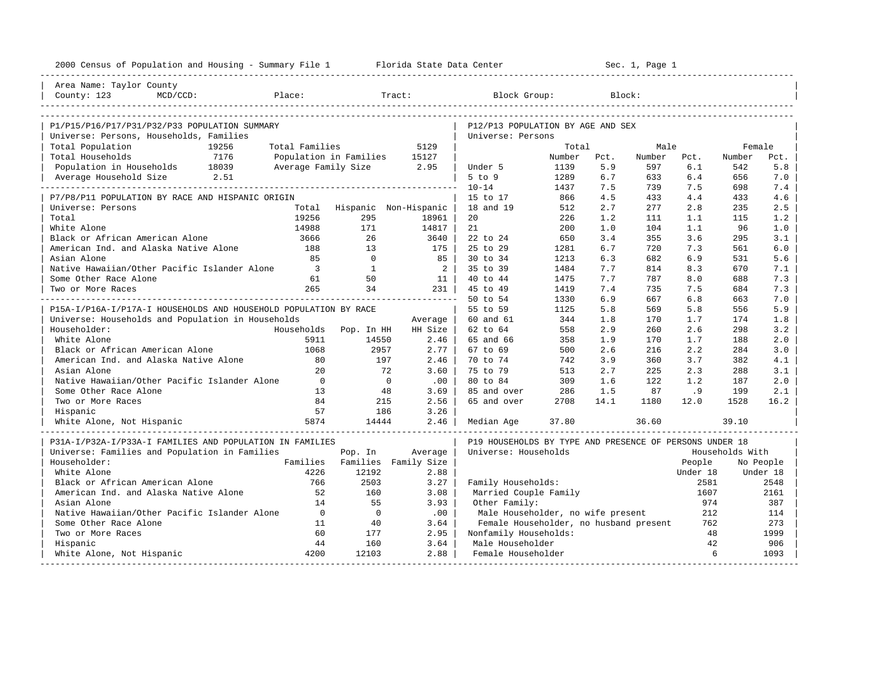| 2000 Census of Population and Housing - Summary File 1 Florida State Data Center |                     | ---------------------------------- |             |                                                         |        |      | Sec. 1, Page 1 |          |                 |           |
|----------------------------------------------------------------------------------|---------------------|------------------------------------|-------------|---------------------------------------------------------|--------|------|----------------|----------|-----------------|-----------|
| Area Name: Taylor County                                                         |                     |                                    |             |                                                         |        |      |                |          |                 |           |
| County: 123<br>$MCD/CCD$ :                                                       | Place:              |                                    | Tract:      | Block Group:                                            |        |      | Block:         |          |                 |           |
|                                                                                  |                     |                                    |             |                                                         |        |      |                |          |                 |           |
|                                                                                  |                     |                                    |             |                                                         |        |      |                |          |                 |           |
| P1/P15/P16/P17/P31/P32/P33 POPULATION SUMMARY                                    |                     |                                    |             | P12/P13 POPULATION BY AGE AND SEX                       |        |      |                |          |                 |           |
| Universe: Persons, Households, Families<br>Total Population<br>19256             | Total Families      |                                    | 5129        | Universe: Persons                                       | Total  |      | Male           |          | Female          |           |
| Total Households<br>7176                                                         |                     | Population in Families             | 15127       |                                                         | Number | Pct. | Number         | Pct.     | Number          | Pct.      |
| Population in Households 18039                                                   | Average Family Size |                                    | 2.95        | Under 5                                                 | 1139   | 5.9  | 597            | 6.1      | 542             | 5.8       |
| 2.51<br>Average Household Size                                                   |                     |                                    |             | $5$ to $9$                                              | 1289   | 6.7  | 633            | 6.4      | 656             | 7.0       |
|                                                                                  |                     |                                    |             | $10 - 14$                                               | 1437   | 7.5  | 739            | 7.5      | 698             | 7.4       |
| P7/P8/P11 POPULATION BY RACE AND HISPANIC ORIGIN                                 |                     |                                    |             | 15 to 17                                                | 866    | 4.5  | 433            | 4.4      | 433             | 4.6       |
| Universe: Persons                                                                | Total               | Hispanic Non-Hispanic              |             | 18 and 19                                               | 512    | 2.7  | 277            | 2.8      | 235             | 2.5       |
| Total                                                                            | 19256               | 295                                | 18961       | 20                                                      | 226    | 1.2  | 111            | 1.1      | 115             | 1.2       |
| White Alone                                                                      | 14988               | 171                                | 14817       | 21                                                      | 200    | 1.0  | 104            | 1.1      | 96              | 1.0       |
| Black or African American Alone                                                  | 3666                | 26                                 | 3640        | 22 to 24                                                | 650    | 3.4  | 355            | 3.6      | 295             | 3.1       |
| American Ind. and Alaska Native Alone                                            | 188                 | 13                                 | 175         | 25 to 29                                                | 1281   | 6.7  | 720            | 7.3      | 561             | 6.0       |
| Asian Alone                                                                      | 85                  | $\Omega$                           | 85          | 30 to 34                                                | 1213   | 6.3  | 682            | 6.9      | 531             | 5.6       |
| Native Hawaiian/Other Pacific Islander Alone                                     | $\overline{3}$      | $\mathbf{1}$                       | $2 \mid$    | 35 to 39                                                | 1484   | 7.7  | 814            | 8.3      | 670             | 7.1       |
| Some Other Race Alone                                                            | 61                  | 50                                 | 11          | 40 to 44                                                | 1475   | 7.7  | 787            | 8.0      | 688             | 7.3       |
| Two or More Races                                                                | 265                 | 34                                 | 231         | 45 to 49                                                | 1419   | 7.4  | 735            | 7.5      | 684             | 7.3       |
|                                                                                  |                     |                                    |             | 50 to 54                                                | 1330   | 6.9  | 667            | 6.8      | 663             | 7.0       |
| P15A-I/P16A-I/P17A-I HOUSEHOLDS AND HOUSEHOLD POPULATION BY RACE                 |                     |                                    |             | 55 to 59                                                | 1125   | 5.8  | 569            | 5.8      | 556             | 5.9       |
| Universe: Households and Population in Households                                |                     |                                    | Average     | 60 and 61                                               | 344    | 1.8  | 170            | 1.7      | 174             | 1.8       |
| Householder:                                                                     | Households          | Pop. In HH                         | HH Size     | 62 to 64                                                | 558    | 2.9  | 260            | 2.6      | 298             | 3.2       |
| White Alone                                                                      | 5911                | 14550                              | 2.46        | 65 and 66                                               | 358    | 1.9  | 170            | 1.7      | 188             | 2.0       |
| Black or African American Alone                                                  | 1068                | 2957                               | $2.77 \;  $ | 67 to 69                                                | 500    | 2.6  | 216            | 2.2      | 284             | 3.0       |
| American Ind. and Alaska Native Alone                                            | 80                  | 197                                | 2.46        | 70 to 74                                                | 742    | 3.9  | 360            | 3.7      | 382             | 4.1       |
| Asian Alone                                                                      | $20^{\circ}$        | 72                                 | 3.60        | 75 to 79                                                | 513    | 2.7  | 225            | 2.3      | 288             | 3.1       |
| Native Hawaiian/Other Pacific Islander Alone                                     | $\Omega$            | $\overline{0}$                     | .00         | 80 to 84                                                | 309    | 1.6  | 122            | 1.2      | 187             | 2.0       |
| Some Other Race Alone                                                            | 13                  | 48                                 | 3.69        | 85 and over                                             | 286    | 1.5  | 87             | .9       | 199             | 2.1       |
| Two or More Races                                                                | 84                  | 215                                | 2.56        | 65 and over                                             | 2708   | 14.1 | 1180           | 12.0     | 1528            | 16.2      |
| Hispanic                                                                         | 57                  | 186                                | 3.26        |                                                         |        |      |                |          |                 |           |
| White Alone, Not Hispanic                                                        | 5874                | 14444                              | 2.46        | Median Age                                              | 37.80  |      | 36.60          |          | 39.10           |           |
|                                                                                  |                     |                                    |             |                                                         |        |      |                |          |                 |           |
| P31A-I/P32A-I/P33A-I FAMILIES AND POPULATION IN FAMILIES                         |                     |                                    |             | P19 HOUSEHOLDS BY TYPE AND PRESENCE OF PERSONS UNDER 18 |        |      |                |          |                 |           |
| Universe: Families and Population in Families                                    |                     | Pop. In                            | Average     | Universe: Households                                    |        |      |                |          | Households With |           |
| Householder:                                                                     |                     | Families Families Family Size      |             |                                                         |        |      |                | People   |                 | No People |
| White Alone                                                                      | 4226                | 12192                              | 2.88        |                                                         |        |      |                | Under 18 |                 | Under 18  |
| Black or African American Alone                                                  | 766                 | 2503                               | 3.27        | Family Households:                                      |        |      |                | 2581     |                 | 2548      |
| American Ind. and Alaska Native Alone                                            | 52                  | 160                                | 3.08        | Married Couple Family                                   |        |      |                | 1607     |                 | 2161      |
| Asian Alone                                                                      | 14                  | 55                                 | 3.93        | Other Family:                                           |        |      |                | 974      |                 | 387       |
| Native Hawaiian/Other Pacific Islander Alone                                     | $\overline{0}$      | $\overline{0}$                     | .00         | Male Householder, no wife present                       |        |      |                | 212      |                 | 114       |
| Some Other Race Alone                                                            | 11                  | 40                                 | 3.64        | Female Householder, no husband present                  |        |      |                | 762      |                 | 273       |
| Two or More Races                                                                | 60                  | 177                                | 2.95        | Nonfamily Households:                                   |        |      |                | 48       |                 | 1999      |
| Hispanic                                                                         | 44                  | 160                                | 3.64        | Male Householder                                        |        |      |                | 42       |                 | 906       |
| White Alone, Not Hispanic                                                        | 4200                | 12103                              | 2.88        | Female Householder                                      |        |      |                | 6        |                 | 1093      |
|                                                                                  |                     |                                    |             |                                                         |        |      |                |          |                 |           |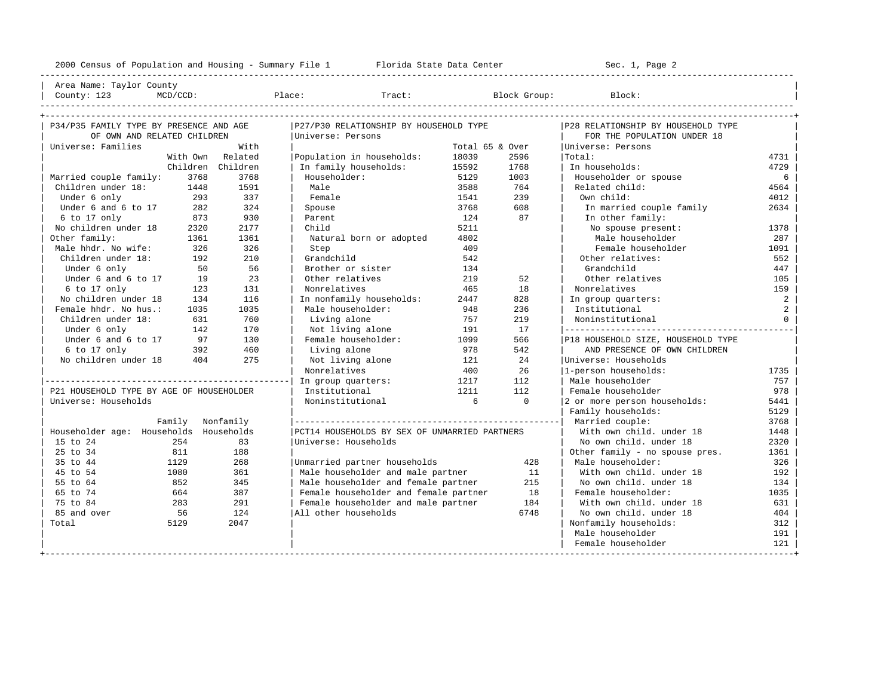2000 Census of Population and Housing - Summary File 1 Florida State Data Center Sec. 1, Page 2 ---------------------------------------------------------------------------------------------------------------------------------------------------- Area Name: Taylor County | County: 123 MCD/CCD: Place: Tract: Block Group: Block: | ---------------------------------------------------------------------------------------------------------------------------------------------------- +---------------------------------------------------------------------------------------------------------------------------------------------------+ | P34/P35 FAMILY TYPE BY PRESENCE AND AGE |P27/P30 RELATIONSHIP BY HOUSEHOLD TYPE |P28 RELATIONSHIP BY HOUSEHOLD TYPE | | OF OWN AND RELATED CHILDREN |Universe: Persons | FOR THE POPULATION UNDER 18 | | Universe: Families With | Total 65 & Over |Universe: Persons | With Own Related | Population in households: 18039 2596 | Total: 4731 4731<br>Children Children | Infamily households: 15592 1768 | Infouseholds: 4729 | Children Children | In family households: 15592 1768 | In households: 4729 | | Married couple family: 3768 3768 | Householder: 5129 1003 | Householder or spouse 6 | | Children under 18: 1448 1591 | Male 19: 1448 1591 | Male 1548 3588 764 | Related child: 1541 1540 1664 1664<br>| Under 6 only 1938 137 | Temale 1541 239 | Own child: 1541 1540 1681 1691 1691 1692 1692 1694 1692 1694 1692 | Under 6 only 293 337 | Female 1541 239 | Own child: 4012 | | Under 6 and 6 to 17  $\begin{array}{l|ccc} 2634 & 324 & 500 \end{array}$  Spouse 3768 608 | In married couple family 2634<br>
124 87 | In other family: % | 6 to 17 only 1873 930 | Parent 124 87 | In other family:<br>No children under 18 2320 2177 | Child 1321 5211 | No spouse present: No children under 18 2320 2177 | Child 5211 5211 No spouse present: 1378 0ther family: 1361 1361 | Natural born or adopted 1802 | Male householder 287 | Male hhdr. No wife: 326 326 | Step 409 | Female householder 1091 | | Children under 18: 192 210 | Grandchild 542 | Other relatives: 552 | Under 6 only 50 56 | Brother or sister 134 17 | Grandchild 147<br>19 105 105 | Under 6 and 6 to 17 19 23 | Other relatives 219 52 | Other relatives 105 Under 6 and 6 to 17 19 23 | Other relatives 219 52 | Other relatives 105 | 6 to 17 only 123 131 | Nonrelatives 465 18 | Nonrelatives 159 | | No children under 18 134 116 | In nonfamily households: 2447 828 | In group quarters: 2 | | Female hhdr. No hus.: 1035 1035 | Male householder: 948 236 | Institutional 2 | | Children under 18: 631 760 | Living alone 757 219 | Noninstitutional 0 | | Under 6 only 142 170 | Not living alone 191 17 |---------------------------------------------| | Under 6 and 6 to 17 97 130 | Female householder: 1099 566 |P18 HOUSEHOLD SIZE, HOUSEHOLD TYPE |  $\begin{array}{ccccccccccccc} 6 & to & 17 & on 1y & & 392 & & 460 & & | & Living alone & & 978 & & 542 & & | & & \text{AND PRESENCE OF OWN CHILDREN} \\ \text{No children under 18} & & & 404 & & 275 & & | & \text{Not living alone} & & & 121 & & 24 & & | \text{Universe: Households} & & & & \end{array}$ No children under 18  $\begin{array}{l}\n 404 \\
 405 \\
 \end{array}$  100  $\begin{array}{l}\n 121 \\
 400 \\
 \end{array}$  26  $\begin{array}{l}\n 121 \text{miverse: Households:}\n 122 \end{array}$ Nonrelatives 1735 1999 100 26 |1-person households: |------------------------------------------------| In group quarters: 1217 112 | Male householder 757 | | P21 HOUSEHOLD TYPE BY AGE OF HOUSEHOLDER | Institutional 1211 112 | Female householder 978 | | Universe: Households | Noninstitutional | Noninstitutional | 6 0 |2 or more person households: 5441 | 5441 | Universe: Households: 5441 | 5441 | 5441 | 5441 | 5441 | 5441 | 5441 | 5441 | 5441 | 5441 | 5441 | 5441 | 55441 Family households: 5129 | Family Nonfamily |----------------------------------------------------| Married couple: 3768 | | Householder age: Households Households |PCT14 HOUSEHOLDS BY SEX OF UNMARRIED PARTNERS | With own child. under 18 1448 | | 15 to 24 254 254 83 | Universe: Households | No own child. under 18 2320<br>| 25 to 34 311 188 | 254 254 256 256 257 268 269 261 262 264 265 266 267 268 269 264 265 266 278 278 278 278 2

| 25 to 34 811 188 | | Other family - no spouse pres. 1361 | % 129 129 1366 15 and the partner households 128 | Male householder: 326 326 1326<br>192 192 192 192 | Male householder and male partner 11 | With own child. under 18 | 45 to 54 1080 361 | Male householder and male partner 11 | With own child. under 18 192 | | 55 to 64 852 345 | Male householder and female partner 215 | No own child. under 18 134 | | 664 587 | Female householder and female partner 18 | Female householder: 1035<br>| 1035 | Female householder and male partner 18 | With own child. under 18 631<br>| 124 | All other households 6748 | No own child. under 18 404 | 75 to 84 283 291 | Female householder and male partner 184 | With own child. under 18 631 | 124 |All other households 6748 | No own child. under 18 | Total 5129 2047 | | Nonfamily households: 312 |

+---------------------------------------------------------------------------------------------------------------------------------------------------+

| Male householder 191 | Female householder | 121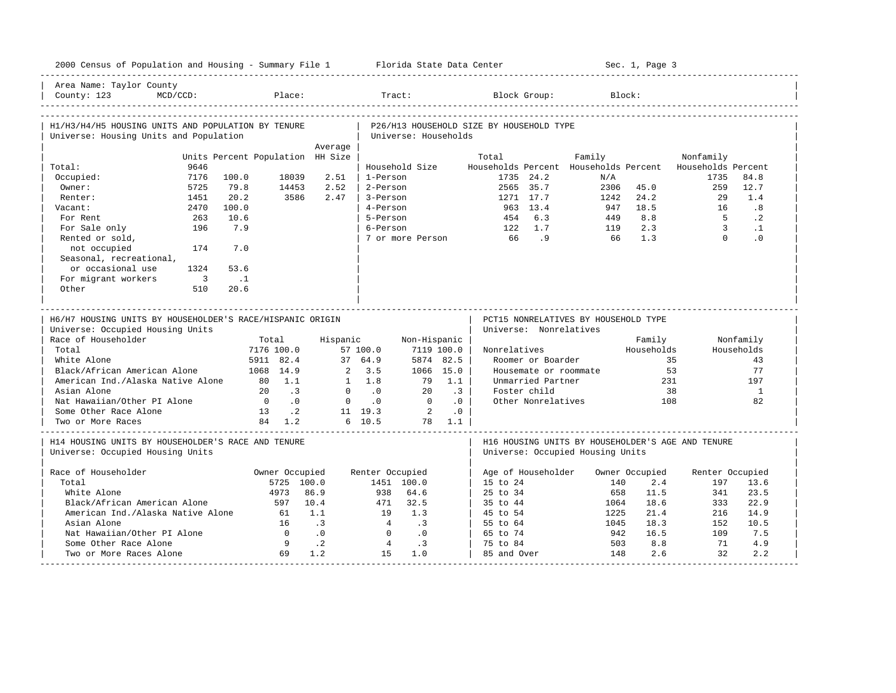| 2000 Census of Population and Housing - Summary File 1 Florida State Data Center              |                                              |                             |                                     |                              |                                          |                           |                                                                                       | Sec. 1, Page 3   |                     |                       |
|-----------------------------------------------------------------------------------------------|----------------------------------------------|-----------------------------|-------------------------------------|------------------------------|------------------------------------------|---------------------------|---------------------------------------------------------------------------------------|------------------|---------------------|-----------------------|
| Area Name: Taylor County<br>County: 123<br>$MCD/CCD$ :                                        | Place:                                       |                             | Tract:                              |                              |                                          | Block Group:              |                                                                                       | Block:           |                     |                       |
| H1/H3/H4/H5 HOUSING UNITS AND POPULATION BY TENURE<br>Universe: Housing Units and Population  |                                              |                             | Universe: Households                |                              | P26/H13 HOUSEHOLD SIZE BY HOUSEHOLD TYPE |                           |                                                                                       |                  |                     |                       |
|                                                                                               |                                              | Average                     |                                     |                              |                                          |                           |                                                                                       |                  |                     |                       |
|                                                                                               | Units Percent Population HH Size             |                             |                                     |                              | Total                                    |                           | Family                                                                                |                  | Nonfamily           |                       |
| Total:<br>9646                                                                                |                                              |                             | Household Size                      |                              |                                          |                           | Households Percent Households Percent                                                 |                  | Households Percent  |                       |
| Occupied:<br>7176                                                                             | 100.0<br>18039                               | 2.51                        | 1-Person                            |                              |                                          | 1735 24.2                 | N/A                                                                                   |                  | 1735                | 84.8                  |
| Owner:<br>5725                                                                                | 79.8<br>14453                                | 2.52                        | 2-Person                            |                              |                                          | 2565 35.7                 | 2306                                                                                  | 45.0             | 259<br>29           | 12.7                  |
| 1451<br>Renter:                                                                               | 20.2<br>3586                                 | 2.47                        | 3-Person                            |                              |                                          | 1271 17.7                 | 1242                                                                                  | 24.2             |                     | 1.4                   |
| Vacant:<br>2470                                                                               | 100.0                                        |                             | 4-Person                            |                              |                                          | 963 13.4                  | 947                                                                                   | 18.5<br>8.8      | 16                  | .8                    |
| For Rent<br>263                                                                               | 10.6<br>7.9                                  |                             | 5-Person                            |                              | 454                                      | 6.3                       | 449                                                                                   | 2.3              | -5<br>$\mathcal{R}$ | $\cdot$ 2             |
| For Sale only<br>196                                                                          |                                              |                             | 6-Person                            |                              | 66                                       | 122 1.7<br>$\overline{9}$ | 119<br>66                                                                             | 1.3              | $\cap$              | $\cdot$ 1<br>$\Omega$ |
| Rented or sold,<br>not occupied<br>174<br>Seasonal, recreational,                             | 7.0                                          |                             | 7 or more Person                    |                              |                                          |                           |                                                                                       |                  |                     |                       |
| or occasional use<br>1324                                                                     | 53.6                                         |                             |                                     |                              |                                          |                           |                                                                                       |                  |                     |                       |
| For migrant workers<br>$\overline{\phantom{a}}$                                               | $\ldots$ 1                                   |                             |                                     |                              |                                          |                           |                                                                                       |                  |                     |                       |
| Other<br>510                                                                                  | 20.6                                         |                             |                                     |                              |                                          |                           |                                                                                       |                  |                     |                       |
| H6/H7 HOUSING UNITS BY HOUSEHOLDER'S RACE/HISPANIC ORIGIN<br>Universe: Occupied Housing Units |                                              |                             |                                     |                              |                                          | Universe: Nonrelatives    | PCT15 NONRELATIVES BY HOUSEHOLD TYPE                                                  |                  |                     |                       |
| Race of Householder                                                                           | Total                                        | Hispanic                    |                                     | Non-Hispanic                 |                                          |                           |                                                                                       | Family           |                     | Nonfamily             |
| Total<br>White Alone                                                                          | 7176 100.0<br>5911 82.4                      | 37 64.9                     | 57 100.0                            | 7119 100.0<br>5874 82.5      | Nonrelatives                             | Roomer or Boarder         |                                                                                       | Households<br>35 |                     | Households<br>43      |
| Black/African American Alone                                                                  | 1068 14.9                                    |                             | 2, 3.5                              | 1066 15.0                    |                                          | Housemate or roommate     |                                                                                       | 53               |                     | 77                    |
| American Ind./Alaska Native Alone                                                             | 80 1.1                                       |                             | $1 \t1.8$                           | 79<br>1.1                    |                                          | Unmarried Partner         |                                                                                       | 231              |                     | 197                   |
| Asian Alone                                                                                   | $\overline{\phantom{a}}$<br>20               | $\circ$                     | $\overline{\phantom{0}}$ .0         | 20<br>$\cdot$ 3              |                                          | Foster child              |                                                                                       | 38               |                     | $\mathbf{1}$          |
| Nat Hawaiian/Other PI Alone                                                                   | $\overline{0}$<br>$\overline{\phantom{0}}$ . | $\circ$                     | $\cdot$ 0                           | $\Omega$<br>$\cdot$ 0        |                                          | Other Nonrelatives        |                                                                                       | 108              |                     | 82                    |
| Some Other Race Alone                                                                         | $\cdot$ . 2<br>13                            |                             | $\overline{\phantom{a}}$<br>11 19.3 | $\cdot$ 0                    |                                          |                           |                                                                                       |                  |                     |                       |
| Two or More Races                                                                             | 84 1.2                                       |                             | 6 10.5                              | 78 1.1                       |                                          |                           |                                                                                       |                  |                     |                       |
|                                                                                               |                                              |                             |                                     |                              |                                          |                           |                                                                                       |                  |                     |                       |
| H14 HOUSING UNITS BY HOUSEHOLDER'S RACE AND TENURE<br>Universe: Occupied Housing Units        |                                              |                             |                                     |                              |                                          |                           | H16 HOUSING UNITS BY HOUSEHOLDER'S AGE AND TENURE<br>Universe: Occupied Housing Units |                  |                     |                       |
|                                                                                               |                                              |                             |                                     |                              |                                          |                           |                                                                                       |                  |                     |                       |
| Race of Householder                                                                           | Owner Occupied                               |                             | Renter Occupied                     |                              |                                          | Age of Householder        |                                                                                       | Owner Occupied   | Renter Occupied     |                       |
| Total<br>White Alone                                                                          | 5725 100.0<br>4973                           | 86.9                        | 1451 100.0<br>938<br>64.6           |                              | 15 to 24                                 |                           | 140<br>658                                                                            | 2.4<br>11.5      | 197<br>341          | 13.6<br>23.5          |
| Black/African American Alone                                                                  | 597                                          | 10.4                        | 32.5<br>471                         |                              | 25 to 34                                 |                           | 1064                                                                                  | 18.6             | 333                 |                       |
|                                                                                               | 61                                           | 1.1                         | 19                                  | 1.3                          | 35 to 44<br>45 to 54                     |                           |                                                                                       | 21.4             | 216                 | 22.9                  |
| American Ind./Alaska Native Alone<br>Asian Alone                                              | 16                                           | $\overline{\phantom{a}}$ .3 | $\overline{4}$                      | $\overline{\phantom{a}}$ . 3 |                                          |                           | 1225<br>1045                                                                          | 18.3             | 152                 | 14.9<br>10.5          |
| Nat Hawaiian/Other PI Alone                                                                   | $\Omega$                                     | $\cdot$ 0                   | $\Omega$                            | $\cdot$ 0                    | 55 to 64<br>65 to 74                     |                           | 942                                                                                   | 16.5             | 109                 | 7.5                   |
| Some Other Race Alone                                                                         | 9                                            | $\cdot$ . 2                 | $\overline{4}$                      | $\cdot$ 3                    | 75 to 84                                 |                           | 503                                                                                   | 8.8              | 71                  | 4.9                   |
| Two or More Races Alone                                                                       | 69                                           | 1.2                         | 1.5                                 | 1.0                          | 85 and Over                              |                           | 148                                                                                   | 2.6              | 32                  | 2.2                   |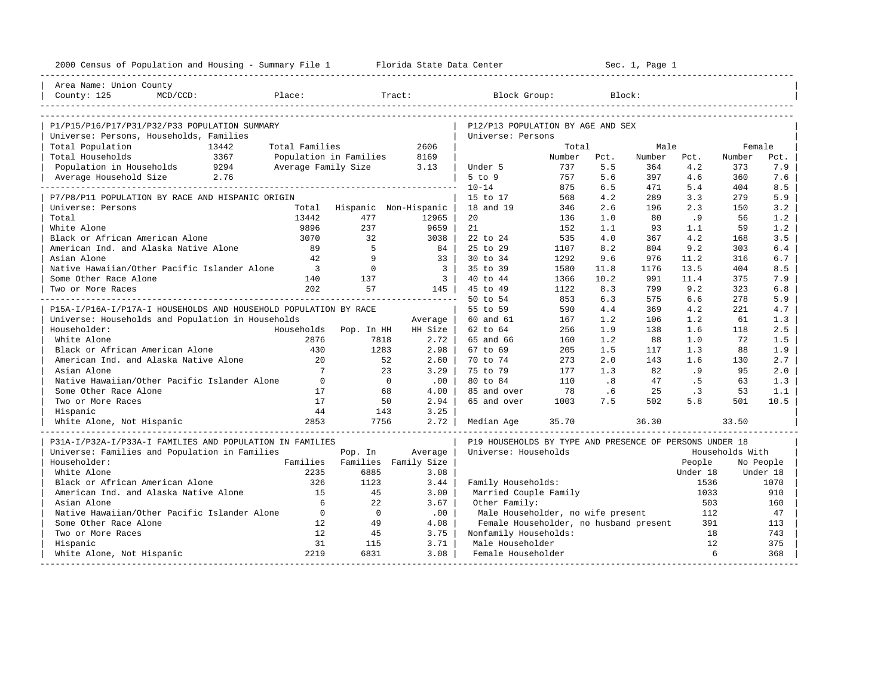| 2000 Census of Population and Housing - Summary File 1 Florida State Data Center         |                         |                               |                             |                                                         |        |                             | Sec. 1, Page 1 |          |                 |           |
|------------------------------------------------------------------------------------------|-------------------------|-------------------------------|-----------------------------|---------------------------------------------------------|--------|-----------------------------|----------------|----------|-----------------|-----------|
| Area Name: Union County<br>County: 125<br>$MCD/CCD$ :                                    | external place:         |                               | Tract:                      | Block Group:                                            |        |                             | Block:         |          |                 |           |
|                                                                                          |                         |                               |                             |                                                         |        |                             |                |          |                 |           |
| P1/P15/P16/P17/P31/P32/P33 POPULATION SUMMARY<br>Universe: Persons, Households, Families |                         |                               |                             | P12/P13 POPULATION BY AGE AND SEX<br>Universe: Persons  |        |                             |                |          |                 |           |
| Total Population<br>13442                                                                | Total Families          |                               | 2606                        |                                                         | Total  |                             | Male           |          | Female          |           |
| Total Households<br>3367                                                                 | Population in Families  |                               | 8169                        |                                                         | Number | Pct.                        | Number         | Pct.     | Number          | Pct.      |
| 9294<br>Population in Households                                                         | Average Family Size     |                               | 3.13<br>$\sim$              | Under 5                                                 | 737    | 5.5                         | 364            | 4.2      | 373             | 7.9       |
| Average Household Size 2.76                                                              |                         |                               |                             | 5 to 9                                                  | 757    | 5.6                         | 397            | 4.6      | 360             | 7.6       |
|                                                                                          |                         |                               |                             | $10 - 14$                                               | 875    | 6.5                         | 471            | 5.4      | 404             | 8.5       |
| P7/P8/P11 POPULATION BY RACE AND HISPANIC ORIGIN                                         |                         |                               |                             | 15 to 17                                                | 568    | 4.2                         | 289            | 3.3      | 279             | 5.9       |
| Universe: Persons                                                                        |                         |                               | Total Hispanic Non-Hispanic | 18 and 19                                               | 346    | 2.6                         | 196            | 2.3      | 150             | 3.2       |
| Total                                                                                    | 13442                   | 477                           | 12965                       | 20                                                      | 136    | 1.0                         | 80             | .9       | 56              | 1.2       |
| White Alone                                                                              | 9896                    | 237                           | 9659                        | 21                                                      | 152    | 1.1                         | 93             | 1.1      | 59              | 1.2       |
| Black or African American Alone                                                          | 3070                    | 32                            | 3038                        | 22 to 24                                                | 535    | 4.0                         | 367            | 4.2      | 168             | 3.5       |
| American Ind. and Alaska Native Alone                                                    | 89                      | $5^{\circ}$                   | 84                          | 25 to 29                                                | 1107   | 8.2                         | 804            | 9.2      | 303             | 6.4       |
| Asian Alone                                                                              | 42                      | - 9                           | $33 \mid$                   | 30 to 34                                                | 1292   | 9.6                         | 976            | 11.2     | 316             | 6.7       |
| Native Hawaiian/Other Pacific Islander Alone                                             | $\overline{\mathbf{3}}$ | $\overline{0}$                | $\overline{\phantom{a}3}$   | 35 to 39                                                | 1580   | 11.8                        | 1176           | 13.5     | 404             | 8.5       |
| Some Other Race Alone                                                                    | 140                     | 137                           | $\overline{\phantom{a}3}$   | 40 to 44                                                | 1366   | 10.2                        | 991            | 11.4     | 375             | 7.9       |
| Two or More Races                                                                        | 202                     | 57                            |                             | 145 45 to 49                                            | 1122   | 8.3                         | 799            | 9.2      | 323             | 6.8       |
|                                                                                          |                         |                               |                             | 50 to 54                                                | 853    | 6.3                         | 575            | 6.6      | 278             | 5.9       |
| P15A-I/P16A-I/P17A-I HOUSEHOLDS AND HOUSEHOLD POPULATION BY RACE                         |                         |                               |                             | 55 to 59                                                | 590    | 4.4                         | 369            | 4.2      | 221             | 4.7       |
| Universe: Households and Population in Households                                        |                         |                               |                             | 60 and 61                                               | 167    | 1.2                         | 106            | 1.2      | 61              | 1.3       |
|                                                                                          |                         |                               | Average                     |                                                         | 256    | 1.9                         | 138            | 1.6      | 118             |           |
| Householder:<br>White Alone                                                              | Households<br>2876      | Pop. In HH<br>7818            | HH Size  <br>$2.72$         | 62 to 64<br>65 and 66                                   | 160    | 1.2                         | 88             | 1.0      | 72              | 2.5       |
| Black or African American Alone                                                          | 430                     |                               |                             |                                                         |        |                             |                |          |                 | 1.5       |
| American Ind. and Alaska Native Alone                                                    | 20                      | 1283                          | 2.98                        | 67 to 69                                                | 205    | 1.5                         | 117<br>143     | 1.3      | 88              | 1.9       |
|                                                                                          | $7^{\circ}$             | 52                            | $2.60$                      | 70 to 74                                                | 273    | 2.0                         |                | 1.6      | 130             | 2.7       |
| Asian Alone                                                                              |                         | 23                            | $3.29$                      | 75 to 79                                                | 177    | 1.3                         | 82             | .9       | 95              | 2.0       |
| Native Hawaiian/Other Pacific Islander Alone                                             | $\bigcirc$              | $\overline{0}$                | .00                         | 80 to 84                                                | 110    | $\overline{\phantom{0}}$ .8 | 47             | . 5      | 63              | 1.3       |
| Some Other Race Alone                                                                    | 17                      | 68                            | 4.00                        | 85 and over                                             | 78     | .6                          | 25             | .3       | 53              | 1.1       |
| Two or More Races                                                                        | 17                      | 50                            | 2.94                        | 65 and over                                             | 1003   | 7.5                         | 502            | 5.8      | 501             | 10.5      |
| Hispanic                                                                                 | 44                      | 143                           | 3.25                        |                                                         |        |                             |                |          |                 |           |
| White Alone, Not Hispanic                                                                | 2853                    | 7756                          | 2.72                        | Median Age                                              | 35.70  |                             | 36.30          |          | 33.50           |           |
|                                                                                          |                         |                               |                             |                                                         |        |                             |                |          |                 |           |
| P31A-I/P32A-I/P33A-I FAMILIES AND POPULATION IN FAMILIES                                 |                         |                               |                             | P19 HOUSEHOLDS BY TYPE AND PRESENCE OF PERSONS UNDER 18 |        |                             |                |          |                 |           |
| Universe: Families and Population in Families                                            |                         | Pop. In                       | Average                     | Universe: Households                                    |        |                             |                |          | Households With |           |
| Householder:                                                                             |                         | Families Families Family Size |                             |                                                         |        |                             |                | People   |                 | No People |
| White Alone                                                                              | 2235                    | 6885                          | 3.08                        |                                                         |        |                             |                | Under 18 |                 | Under 18  |
| Black or African American Alone                                                          | 326                     | 1123                          | 3.44                        | Family Households:                                      |        |                             |                | 1536     |                 | 1070      |
| American Ind. and Alaska Native Alone                                                    | 15                      | 45                            | 3.00                        | Married Couple Family                                   |        |                             |                | 1033     |                 | 910       |
| Asian Alone                                                                              | 6                       | 22                            | 3.67                        | Other Family:                                           |        |                             |                | 503      |                 | 160       |
| Native Hawaiian/Other Pacific Islander Alone                                             | $\overline{0}$          | $\overline{0}$                | .00                         | Male Householder, no wife present                       |        |                             |                | 112      |                 | 47        |
| Some Other Race Alone                                                                    | 12                      | 49                            | 4.08                        | Female Householder, no husband present                  |        |                             |                | 391      |                 | 113       |
| Two or More Races                                                                        | 12                      | 45                            | 3.75                        | Nonfamily Households:                                   |        |                             |                | 18       |                 | 743       |
| Hispanic                                                                                 | 31                      | 115                           | 3.71                        | Male Householder                                        |        |                             |                | 12       |                 | 375       |
| White Alone, Not Hispanic                                                                | 2219                    | 6831                          | 3.08                        | Female Householder                                      |        |                             |                | 6        |                 | 368       |
|                                                                                          |                         |                               |                             |                                                         |        |                             |                |          |                 |           |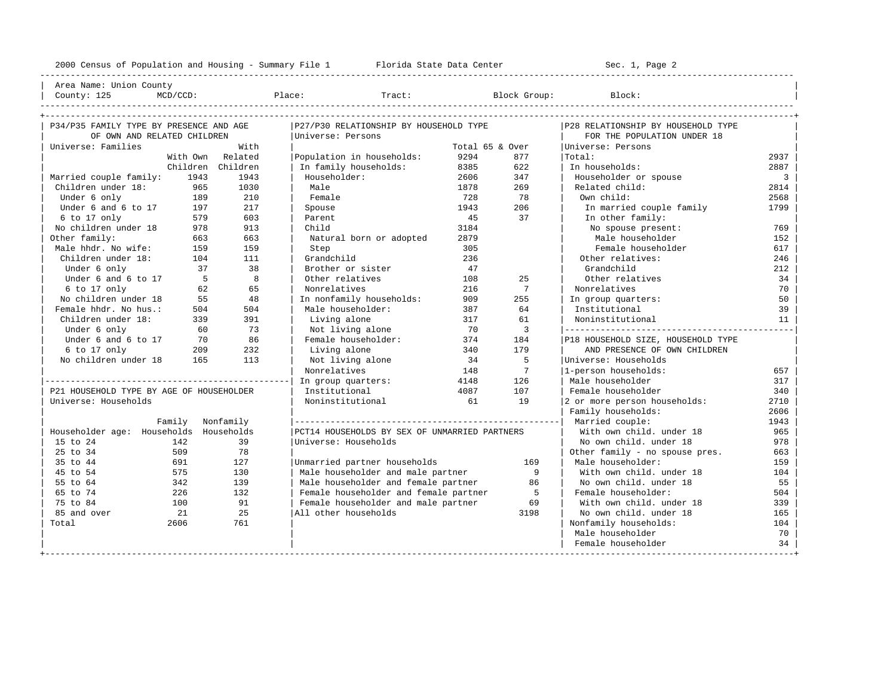---------------------------------------------------------------------------------------------------------------------------------------------------- | Area Name: Union County | | County: 125 MCD/CCD: Place: Tract: Block Group: Block: | ----------------------------------------------------------------------------------------------------------------------------------------------------

| P34/P35 FAMILY TYPE BY PRESENCE AND AGE  |                  |                   | P27/P30 RELATIONSHIP BY HOUSEHOLD TYPE        |                 |                 | P28 RELATIONSHIP BY HOUSEHOLD TYPE |                |
|------------------------------------------|------------------|-------------------|-----------------------------------------------|-----------------|-----------------|------------------------------------|----------------|
| OF OWN AND RELATED CHILDREN              |                  |                   | Universe: Persons                             |                 |                 | FOR THE POPULATION UNDER 18        |                |
| Universe: Families                       |                  | With              |                                               | Total 65 & Over |                 | Universe: Persons                  |                |
|                                          |                  | With Own Related  | Population in households:                     | 9294            | 877             | Total:                             | 2937           |
|                                          |                  | Children Children | In family households:                         | 8385            | 622             | In households:                     | 2887           |
| Married couple family:                   | 1943             | 1943              | Householder:                                  | 2606            | 347             | Householder or spouse              | $\overline{3}$ |
| Children under 18:                       | 965              | 1030              | Male                                          | 1878            | 269             | Related child:                     | 2814           |
| Under 6 only                             | 189              | 210               | Female                                        | 728             | 78              | Own child:                         | 2568           |
| Under 6 and 6 to 17                      | 197              | 217               | Spouse                                        | 1943            | 206             | In married couple family           | 1799           |
| 6 to 17 only                             | 579              | 603               | Parent                                        | 45              | 37              | In other family:                   |                |
| No children under 18                     | 978              | 913               | Child                                         | 3184            |                 | No spouse present:                 | 769            |
| Other family:                            | 663              | 663               | Natural born or adopted                       | 2879            |                 | Male householder                   | 152            |
| Male hhdr. No wife:                      | 159              | 159               | Step                                          | 305             |                 | Female householder                 | 617            |
| Children under 18:                       | 104              | 111               | Grandchild                                    | 236             |                 | Other relatives:                   | 246            |
| Under 6 only                             | 37               | 38                | Brother or sister                             | 47              |                 | Grandchild                         | 212            |
| Under 6 and 6 to 17                      | - 5              | $\mathbf{8}$      | Other relatives                               | 108             | 2.5             | Other relatives                    | 34             |
| 6 to 17 only                             | 62               | 65                | Nonrelatives                                  | 216             | $7\phantom{.0}$ | Nonrelatives                       | 70             |
| No children under 18                     | 55               | 48                | In nonfamily households:                      | 909             | 255             | In group quarters:                 | 50             |
| Female hhdr. No hus.:                    | 504              | 504               | Male householder:                             | 387             | 64              | Institutional                      | 39             |
| Children under 18:                       | 339              | 391               | Living alone                                  | 317             | 61              | Noninstitutional                   | 11             |
| Under 6 only                             | 60               | 73                | Not living alone                              | 70              | 3               |                                    |                |
| Under 6 and 6 to 17                      | 70               | 86                | Female householder:                           | 374             | 184             | P18 HOUSEHOLD SIZE, HOUSEHOLD TYPE |                |
| 6 to 17 only                             | 209              | 232               | Living alone                                  | 340             | 179             | AND PRESENCE OF OWN CHILDREN       |                |
| No children under 18                     | 165              | 113               | Not living alone                              | 34              | $\overline{5}$  | Universe: Households               |                |
|                                          |                  |                   | Nonrelatives                                  | 148             | $\overline{7}$  | 1-person households:               | 657            |
|                                          |                  |                   | In group quarters:                            | 4148            | 126             | Male householder                   | 317            |
| P21 HOUSEHOLD TYPE BY AGE OF HOUSEHOLDER |                  |                   | Institutional                                 | 4087            | 107             | Female householder                 | 340            |
| Universe: Households                     |                  |                   | Noninstitutional                              | 61              | 19              | 2 or more person households:       | 2710           |
|                                          |                  |                   |                                               |                 |                 | Family households:                 | 2606           |
|                                          | Family Nonfamily |                   |                                               |                 |                 | Married couple:                    | 1943           |
| Householder age: Households Households   |                  |                   | PCT14 HOUSEHOLDS BY SEX OF UNMARRIED PARTNERS |                 |                 | With own child, under 18           | 965            |
| 15 to 24                                 | 142              | 39                | Universe: Households                          |                 |                 | No own child, under 18             | 978            |
| 25 to 34                                 | 509              | 78                |                                               |                 |                 | Other family - no spouse pres.     | 663            |
| 35 to 44                                 | 691              | 127               | Unmarried partner households                  |                 | 169             | Male householder:                  | 159            |
| 45 to 54                                 | 575              | 130               | Male householder and male partner             |                 | 9               | With own child, under 18           | 104            |
| 55 to 64                                 | 342              | 139               | Male householder and female partner           |                 | 86              | No own child. under 18             | 55             |
| 65 to 74                                 | 226              | 132               | Female householder and female partner         |                 | $5^{\circ}$     | Female householder:                | 504            |
| 75 to 84                                 | 100              | 91                | Female householder and male partner           |                 | 69              | With own child, under 18           | 339            |
| 85 and over                              | 21               | 25                | All other households                          |                 | 3198            | No own child, under 18             | 165            |
| Total                                    | 2606             | 761               |                                               |                 |                 | Nonfamily households:              | 104            |
|                                          |                  |                   |                                               |                 |                 | Male householder                   | 70             |
|                                          |                  |                   |                                               |                 |                 | Female householder                 | 34             |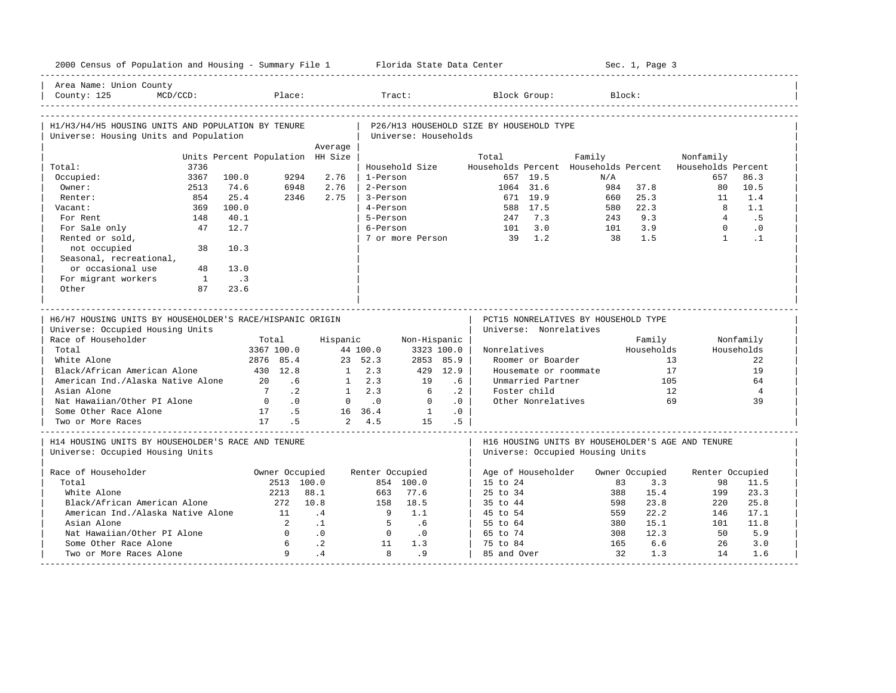| 2000 Census of Population and Housing - Summary File 1 Florida State Data Center             |                                  |                                  |                 |                      |           |                                          |                                      |        |           | Sec. 1, Page 3 |                                                                 |                |
|----------------------------------------------------------------------------------------------|----------------------------------|----------------------------------|-----------------|----------------------|-----------|------------------------------------------|--------------------------------------|--------|-----------|----------------|-----------------------------------------------------------------|----------------|
| Area Name: Union County<br>County: 125<br>$MCD/CCD$ :                                        | Place:                           |                                  | Tract:          |                      |           |                                          | Block Group:                         |        | Block:    |                |                                                                 |                |
| H1/H3/H4/H5 HOUSING UNITS AND POPULATION BY TENURE<br>Universe: Housing Units and Population |                                  |                                  |                 | Universe: Households |           | P26/H13 HOUSEHOLD SIZE BY HOUSEHOLD TYPE |                                      |        |           |                |                                                                 |                |
|                                                                                              |                                  | Average                          |                 |                      |           |                                          |                                      |        |           |                |                                                                 |                |
|                                                                                              | Units Percent Population HH Size |                                  |                 |                      |           | Total                                    |                                      | Family |           |                | Nonfamily                                                       |                |
| 3736<br>Total:<br>3367                                                                       | 100.0<br>9294                    | 2.76                             | 1-Person        | Household Size       |           |                                          | 657 19.5                             |        | N/A       |                | Households Percent Households Percent Households Percent<br>657 | 86.3           |
| Occupied:<br>Owner:                                                                          | 74.6<br>6948                     | 2.76                             | 2-Person        |                      |           |                                          | 1064 31.6                            |        | 984       | 37.8           | 80                                                              | 10.5           |
| 2513<br>854<br>Renter:                                                                       | 25.4<br>2346                     | 2.75                             | 3-Person        |                      |           |                                          | 671 19.9                             |        | 660       | 25.3           | 11                                                              | 1.4            |
| 369<br>Vacant:                                                                               | 100.0                            |                                  | 4-Person        |                      |           |                                          | 588 17.5                             |        | 580       | 22.3           | $\overline{8}$                                                  | 1.1            |
| For Rent<br>148                                                                              | 40.1                             |                                  | 5-Person        |                      |           | 247                                      | 7.3                                  |        | 243       | 9.3            | $\overline{4}$                                                  | . 5            |
| 47<br>For Sale only                                                                          | 12.7                             |                                  | 6-Person        |                      |           | 101                                      | 3.0                                  |        | 101       | 3.9            | $\Omega$                                                        | $\cdot$ 0      |
| Rented or sold,                                                                              |                                  |                                  |                 | 7 or more Person     |           | 39                                       | 1.2                                  |        | 38        | 1.5            | $\mathbf{1}$                                                    | $\cdot$ 1      |
| not occupied<br>38<br>Seasonal, recreational,                                                | 10.3                             |                                  |                 |                      |           |                                          |                                      |        |           |                |                                                                 |                |
| or occasional use<br>48                                                                      | 13.0                             |                                  |                 |                      |           |                                          |                                      |        |           |                |                                                                 |                |
| For migrant workers<br>$\mathbf{1}$                                                          | $\overline{\phantom{a}}$         |                                  |                 |                      |           |                                          |                                      |        |           |                |                                                                 |                |
| Other<br>87                                                                                  | 23.6                             |                                  |                 |                      |           |                                          |                                      |        |           |                |                                                                 |                |
|                                                                                              |                                  |                                  |                 |                      |           |                                          |                                      |        |           |                |                                                                 |                |
|                                                                                              |                                  |                                  |                 |                      |           |                                          |                                      |        |           |                |                                                                 |                |
| H6/H7 HOUSING UNITS BY HOUSEHOLDER'S RACE/HISPANIC ORIGIN                                    |                                  |                                  |                 |                      |           |                                          | PCT15 NONRELATIVES BY HOUSEHOLD TYPE |        |           |                |                                                                 |                |
| Universe: Occupied Housing Units                                                             |                                  |                                  |                 |                      |           |                                          | Universe: Nonrelatives               |        |           |                |                                                                 |                |
| Race of Householder                                                                          | Total                            | Hispanic                         |                 | Non-Hispanic         |           |                                          |                                      |        |           | Family         |                                                                 | Nonfamily      |
| Total                                                                                        | 3367 100.0                       |                                  | 44 100.0        | 3323 100.0           |           | Nonrelatives                             |                                      |        |           | Households     |                                                                 | Households     |
| White Alone                                                                                  | 2876 85.4                        |                                  | 23, 52, 3       | 2853 85.9            |           |                                          | Roomer or Boarder                    |        |           |                | 13                                                              | 2.2.           |
| Black/African American Alone                                                                 | 430 12.8                         |                                  | $1 \t 2.3$      |                      | 429 12.9  |                                          | Housemate or roommate                |        |           | 17             |                                                                 | 19             |
| American Ind./Alaska Native Alone                                                            | 20<br>.6                         |                                  | $1 \t 2.3$      | 19                   | $.6\,$    |                                          | Unmarried Partner                    |        |           | 105            |                                                                 | 64             |
| Asian Alone                                                                                  | $\cdot$ 2<br>$7\phantom{0}$      |                                  | $1 \t 2.3$      | 6                    | $\cdot$ 2 |                                          | Foster child                         |        |           | 12             |                                                                 | $\overline{4}$ |
| Nat Hawaiian/Other PI Alone                                                                  | $\overline{0}$<br>$\cdot$ 0      |                                  | $0 \qquad .0$   | $\Omega$             | $\cdot$ 0 |                                          | Other Nonrelatives                   |        |           |                | 69                                                              | 39             |
| Some Other Race Alone                                                                        | 17 .5                            |                                  | 16 36.4         | $\overline{1}$       | .0        |                                          |                                      |        |           |                |                                                                 |                |
| Two or More Races                                                                            | 17<br>.5                         |                                  | 2, 4.5          | 1.5                  | .5        |                                          |                                      |        |           |                |                                                                 |                |
| H14 HOUSING UNITS BY HOUSEHOLDER'S RACE AND TENURE                                           |                                  |                                  |                 |                      |           |                                          |                                      |        |           |                | H16 HOUSING UNITS BY HOUSEHOLDER'S AGE AND TENURE               |                |
| Universe: Occupied Housing Units                                                             |                                  |                                  |                 |                      |           |                                          | Universe: Occupied Housing Units     |        |           |                |                                                                 |                |
| Race of Householder                                                                          | Owner Occupied                   |                                  | Renter Occupied |                      |           | Age of Householder                       |                                      |        |           | Owner Occupied | Renter Occupied                                                 |                |
| Total                                                                                        | 2513 100.0                       |                                  |                 | 854 100.0            |           | 15 to 24                                 |                                      |        | 83        | 3.3            | 98                                                              | 11.5           |
| White Alone                                                                                  | 2213                             | 88.1                             | 663             | 77.6                 |           | $25 \text{ to } 34$                      |                                      |        | 388       | 15.4           | 199                                                             | 23.3           |
| Black/African American Alone                                                                 | 272                              | 10.8                             |                 | 158 18.5             |           | 35 to 44                                 |                                      |        | 598       | 23.8           | 220                                                             | 25.8           |
| American Ind./Alaska Native Alone                                                            | 11                               | .4                               | - 9             | 1.1                  |           | 45 to 54                                 |                                      |        | 559       | 22.2           | 146                                                             | 17.1           |
| Asian Alone                                                                                  | $\overline{2}$                   | $\cdot$ 1                        | $-5$            | .6                   |           | 55 to 64                                 |                                      |        | 380       | 15.1           | 101                                                             | 11.8           |
| Nat Hawaiian/Other PI Alone                                                                  | $\Omega$                         | $\overline{0}$                   | $\overline{0}$  | $\cdot$ 0            |           | 65 to 74                                 |                                      |        | 308       | 12.3           | 50                                                              | 5.9            |
| Some Other Race Alone<br>Two or More Races Alone                                             | 6<br>Q                           | $\overline{\phantom{0}}$ .<br>.4 | 11<br>8         | 1.3<br>.9            |           | 75 to 84<br>85 and Over                  |                                      |        | 165<br>32 | 6.6<br>1.3     | 26<br>14                                                        | 3.0<br>1.6     |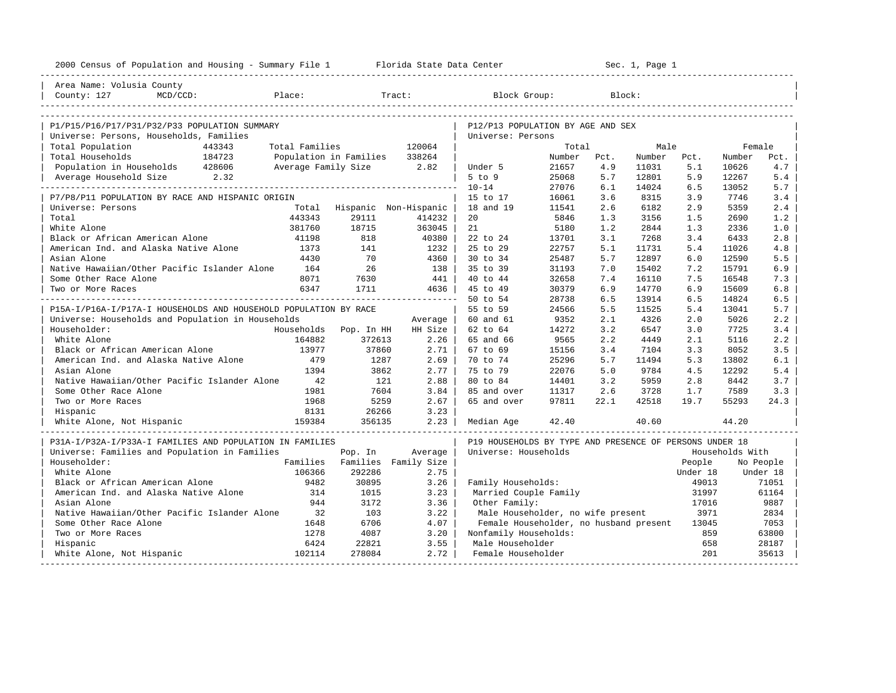| 2000 Census of Population and Housing - Summary File 1 Florida State Data Center |                |                               |         |                                                         | ---------------------- |      | Sec. 1, Page 1 |          |                 |           |
|----------------------------------------------------------------------------------|----------------|-------------------------------|---------|---------------------------------------------------------|------------------------|------|----------------|----------|-----------------|-----------|
| Area Name: Volusia County                                                        |                |                               |         |                                                         |                        |      |                |          |                 |           |
| County: 127<br>$MCD/CCD$ :                                                       | Place:         |                               | Tract:  | Block Group:                                            |                        |      | Block:         |          |                 |           |
|                                                                                  |                |                               |         |                                                         |                        |      |                |          |                 |           |
| P1/P15/P16/P17/P31/P32/P33 POPULATION SUMMARY                                    |                |                               |         | P12/P13 POPULATION BY AGE AND SEX                       |                        |      |                |          |                 |           |
| Universe: Persons, Households, Families                                          |                |                               |         | Universe: Persons                                       |                        |      |                |          |                 |           |
| Total Population<br>443343                                                       | Total Families |                               | 120064  |                                                         | Total                  |      | Male           |          | Female          |           |
| 184723<br>Total Households                                                       |                | Population in Families        | 338264  |                                                         | Number                 | Pct. | Number         | Pct.     | Number          | Pct.      |
| Population in Households 428606                                                  |                | Average Family Size 2.82      |         | Under 5                                                 | 21657                  | 4.9  | 11031          | 5.1      | 10626           | 4.7       |
| Average Household Size 2.32                                                      |                |                               |         | $5$ to $9$                                              | 25068                  | 5.7  | 12801          | 5.9      | 12267           | 5.4       |
|                                                                                  |                |                               |         | $10 - 14$                                               | 27076                  | 6.1  | 14024          | 6.5      | 13052           | 5.7       |
| P7/P8/P11 POPULATION BY RACE AND HISPANIC ORIGIN                                 |                |                               |         | 15 to 17                                                | 16061                  | 3.6  | 8315           | 3.9      | 7746            | 3.4       |
| Universe: Persons                                                                | Total          | Hispanic Non-Hispanic         |         | 18 and 19                                               | 11541                  | 2.6  | 6182           | 2.9      | 5359            | 2.4       |
| Total                                                                            | 443343         | 29111                         | 414232  | 20                                                      | 5846                   | 1.3  | 3156           | 1.5      | 2690            | 1.2       |
| White Alone                                                                      | 381760         | 18715                         | 363045  | 21                                                      | 5180                   | 1.2  | 2844           | 1.3      | 2336            | 1.0       |
| Black or African American Alone                                                  | 41198          | 818                           | 40380   | 22 to 24                                                | 13701                  | 3.1  | 7268           | 3.4      | 6433            | 2.8       |
| American Ind. and Alaska Native Alone                                            | 1373           | 141                           | 1232    | 25 to 29                                                | 22757                  | 5.1  | 11731          | 5.4      | 11026           | 4.8       |
| Asian Alone                                                                      | 4430           | 70                            | 4360    | 30 to 34                                                | 25487                  | 5.7  | 12897          | 6.0      | 12590           | 5.5       |
| Native Hawaiian/Other Pacific Islander Alone                                     | 164            | 26                            | 138     | 35 to 39                                                | 31193                  | 7.0  | 15402          | 7.2      | 15791           | 6.9       |
| Some Other Race Alone                                                            | 8071           | 7630                          | 441     | 40 to 44                                                | 32658                  | 7.4  | 16110          | 7.5      | 16548           | 7.3       |
| Two or More Races                                                                | 6347           | 1711                          | 4636    | 45 to 49                                                | 30379                  | 6.9  | 14770          | 6.9      | 15609           | 6.8       |
|                                                                                  |                |                               |         | 50 to 54                                                | 28738                  | 6.5  | 13914          | 6.5      | 14824           | 6.5       |
| P15A-I/P16A-I/P17A-I HOUSEHOLDS AND HOUSEHOLD POPULATION BY RACE                 |                |                               |         | 55 to 59                                                | 24566                  | 5.5  | 11525          | 5.4      | 13041           | 5.7       |
| Universe: Households and Population in Households                                |                |                               | Average | 60 and 61                                               | 9352                   | 2.1  | 4326           | 2.0      | 5026            | 2.2       |
| Householder:                                                                     | Households     | Pop. In HH                    | HH Size | 62 to 64                                                | 14272                  | 3.2  | 6547           | 3.0      | 7725            | 3.4       |
| White Alone                                                                      | 164882         | 372613                        | 2.26    | 65 and 66                                               | 9565                   | 2.2  | 4449           | 2.1      | 5116            | 2.2       |
| Black or African American Alone                                                  | 13977          | 37860                         | 2.71    | 67 to 69                                                | 15156                  | 3.4  | 7104           | 3.3      | 8052            | 3.5       |
| American Ind. and Alaska Native Alone                                            | 479            | 1287                          | 2.69    | 70 to 74                                                | 25296                  | 5.7  | 11494          | 5.3      | 13802           | 6.1       |
| Asian Alone                                                                      | 1394           | 3862                          | 2.77    | 75 to 79                                                | 22076                  | 5.0  | 9784           | 4.5      | 12292           | 5.4       |
| Native Hawaiian/Other Pacific Islander Alone                                     | 42             | 121                           | 2.88    | 80 to 84                                                | 14401                  | 3.2  | 5959           | 2.8      | 8442            | 3.7       |
| Some Other Race Alone                                                            | 1981           | 7604                          | 3.84    | 85 and over                                             | 11317                  | 2.6  | 3728           | 1.7      | 7589            | 3.3       |
| Two or More Races                                                                | 1968           | 5259                          | 2.67    | 65 and over                                             | 97811                  | 22.1 | 42518          | 19.7     | 55293           | 24.3      |
| Hispanic                                                                         | 8131           | 26266                         | 3.23    |                                                         |                        |      |                |          |                 |           |
| White Alone, Not Hispanic                                                        | 159384         | 356135                        | 2.23    | Median Age                                              | 42.40                  |      | 40.60          |          | 44.20           |           |
| P31A-I/P32A-I/P33A-I FAMILIES AND POPULATION IN FAMILIES                         |                |                               |         | P19 HOUSEHOLDS BY TYPE AND PRESENCE OF PERSONS UNDER 18 |                        |      |                |          |                 |           |
| Universe: Families and Population in Families                                    |                | Pop. In                       | Average | Universe: Households                                    |                        |      |                |          | Households With |           |
| Householder:                                                                     |                | Families Families Family Size |         |                                                         |                        |      |                | People   |                 | No People |
| White Alone                                                                      | 106366         | 292286                        | 2.75    |                                                         |                        |      |                | Under 18 |                 | Under 18  |
| Black or African American Alone                                                  | 9482           | 30895                         | 3.26    | Family Households:                                      |                        |      |                | 49013    |                 | 71051     |
| American Ind. and Alaska Native Alone                                            | 314            | 1015                          | 3.23    | Married Couple Family                                   |                        |      |                | 31997    |                 | 61164     |
| Asian Alone                                                                      | 944            | 3172                          | 3.36    | Other Family:                                           |                        |      |                | 17016    |                 | 9887      |
| Native Hawaiian/Other Pacific Islander Alone                                     | 32             | 103                           | 3.22    | Male Householder, no wife present                       |                        |      |                | 3971     |                 | 2834      |
| Some Other Race Alone                                                            | 1648           | 6706                          | 4.07    | Female Householder, no husband present                  |                        |      |                | 13045    |                 | 7053      |
| Two or More Races                                                                | 1278           | 4087                          | 3.20    | Nonfamily Households:                                   |                        |      |                | 859      |                 | 63800     |
| Hispanic                                                                         | 6424           | 22821                         | 3.55    | Male Householder                                        |                        |      |                | 658      |                 | 28187     |
| White Alone, Not Hispanic                                                        | 102114         | 278084                        | 2.72    | Female Householder                                      |                        |      |                | 201      |                 | 35613     |
|                                                                                  |                |                               |         |                                                         |                        |      |                |          |                 |           |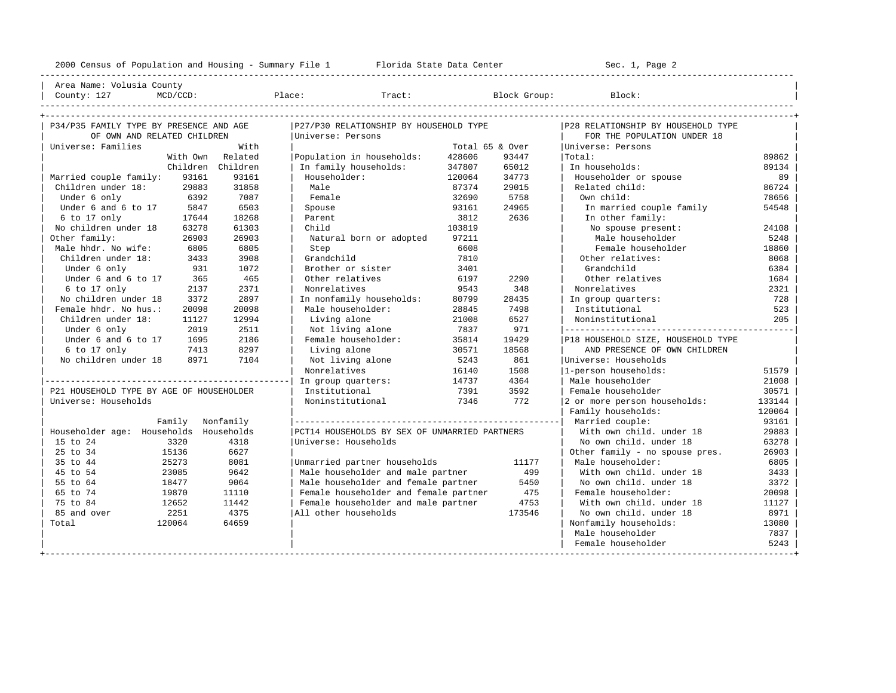---------------------------------------------------------------------------------------------------------------------------------------------------- Area Name: Volusia County | County: 127 MCD/CCD: Place: Tract: Block Group: Block: Block:

| P34/P35 FAMILY TYPE BY PRESENCE AND AGE  |                   | P27/P30 RELATIONSHIP BY HOUSEHOLD TYPE        |        |                 | P28 RELATIONSHIP BY HOUSEHOLD TYPE |        |
|------------------------------------------|-------------------|-----------------------------------------------|--------|-----------------|------------------------------------|--------|
| OF OWN AND RELATED CHILDREN              |                   | Universe: Persons                             |        |                 | FOR THE POPULATION UNDER 18        |        |
| Universe: Families                       | With              |                                               |        | Total 65 & Over | Universe: Persons                  |        |
| With Own                                 | Related           | Population in households:                     | 428606 | 93447           | Total:                             | 89862  |
|                                          | Children Children | In family households:                         | 347807 | 65012           | In households:                     | 89134  |
| Married couple family:<br>93161          | 93161             | Householder:                                  | 120064 | 34773           | Householder or spouse              | 89     |
| Children under 18:<br>29883              | 31858             | Male                                          | 87374  | 29015           | Related child:                     | 86724  |
| Under 6 only<br>6392                     | 7087              | Female                                        | 32690  | 5758            | Own child:                         | 78656  |
| Under 6 and 6 to 17<br>5847              | 6503              | Spouse                                        | 93161  | 24965           | In married couple family           | 54548  |
| $6$ to $17$ only<br>17644                | 18268             | Parent                                        | 3812   | 2636            | In other family:                   |        |
| No children under 18<br>63278            | 61303             | Child                                         | 103819 |                 | No spouse present:                 | 24108  |
| Other family:<br>26903                   | 26903             | Natural born or adopted                       | 97211  |                 | Male householder                   | 5248   |
| Male hhdr. No wife:<br>6805              | 6805              | Step                                          | 6608   |                 | Female householder                 | 18860  |
| Children under 18:<br>3433               | 3908              | Grandchild                                    | 7810   |                 | Other relatives:                   | 8068   |
| Under 6 only<br>931                      | 1072              | Brother or sister                             | 3401   |                 | Grandchild                         | 6384   |
| Under 6 and 6 to 17<br>365               | 465               | Other relatives                               | 6197   | 2290            | Other relatives                    | 1684   |
| 6 to 17 only<br>2137                     | 2371              | Nonrelatives                                  | 9543   | 348             | Nonrelatives                       | 2321   |
| No children under 18<br>3372             | 2897              | In nonfamily households:                      | 80799  | 28435           | In group quarters:                 | 728    |
| Female hhdr. No hus.:<br>20098           | 20098             | Male householder:                             | 28845  | 7498            | Institutional                      | 523    |
| Children under 18:<br>11127              | 12994             | Living alone                                  | 21008  | 6527            | Noninstitutional                   | 205    |
| Under 6 only<br>2019                     | 2511              | Not living alone                              | 7837   | 971             |                                    |        |
| Under 6 and 6 to 17<br>1695              | 2186              | Female householder:                           | 35814  | 19429           | P18 HOUSEHOLD SIZE, HOUSEHOLD TYPE |        |
| 6 to 17 only<br>7413                     | 8297              | Living alone                                  | 30571  | 18568           | AND PRESENCE OF OWN CHILDREN       |        |
| No children under 18<br>8971             | 7104              | Not living alone                              | 5243   | 861             | Universe: Households               |        |
|                                          |                   | Nonrelatives                                  | 16140  | 1508            | 1-person households:               | 51579  |
|                                          |                   | In group quarters:                            | 14737  | 4364            | Male householder                   | 21008  |
| P21 HOUSEHOLD TYPE BY AGE OF HOUSEHOLDER |                   | Institutional                                 | 7391   | 3592            | Female householder                 | 30571  |
| Universe: Households                     |                   | Noninstitutional                              | 7346   | 772             | 2 or more person households:       | 133144 |
|                                          |                   |                                               |        |                 | Family households:                 | 120064 |
| Family                                   | Nonfamily         |                                               |        |                 | Married couple:                    | 93161  |
| Householder age: Households              | Households        | PCT14 HOUSEHOLDS BY SEX OF UNMARRIED PARTNERS |        |                 | With own child, under 18           | 29883  |
| 15 to 24<br>3320                         | 4318              | Universe: Households                          |        |                 | No own child. under 18             | 63278  |
| 25 to 34<br>15136                        | 6627              |                                               |        |                 | Other family - no spouse pres.     | 26903  |
| 35 to 44<br>25273                        | 8081              | Unmarried partner households                  |        | 11177           | Male householder:                  | 6805   |
| 45 to 54<br>23085                        | 9642              | Male householder and male partner             |        | 499             | With own child, under 18           | 3433   |
| 55 to 64<br>18477                        | 9064              | Male householder and female partner           |        | 5450            | No own child, under 18             | 3372   |
| 65 to 74<br>19870                        | 11110             | Female householder and female partner         |        | 475             | Female householder:                | 20098  |
| 75 to 84<br>12652                        | 11442             | Female householder and male partner           |        | 4753            | With own child, under 18           | 11127  |
| 2251<br>85 and over                      | 4375              | All other households                          |        | 173546          | No own child. under 18             | 8971   |
| Total<br>120064                          | 64659             |                                               |        |                 | Nonfamily households:              | 13080  |
|                                          |                   |                                               |        |                 | Male householder                   | 7837   |
|                                          |                   |                                               |        |                 | Female householder                 | 5243   |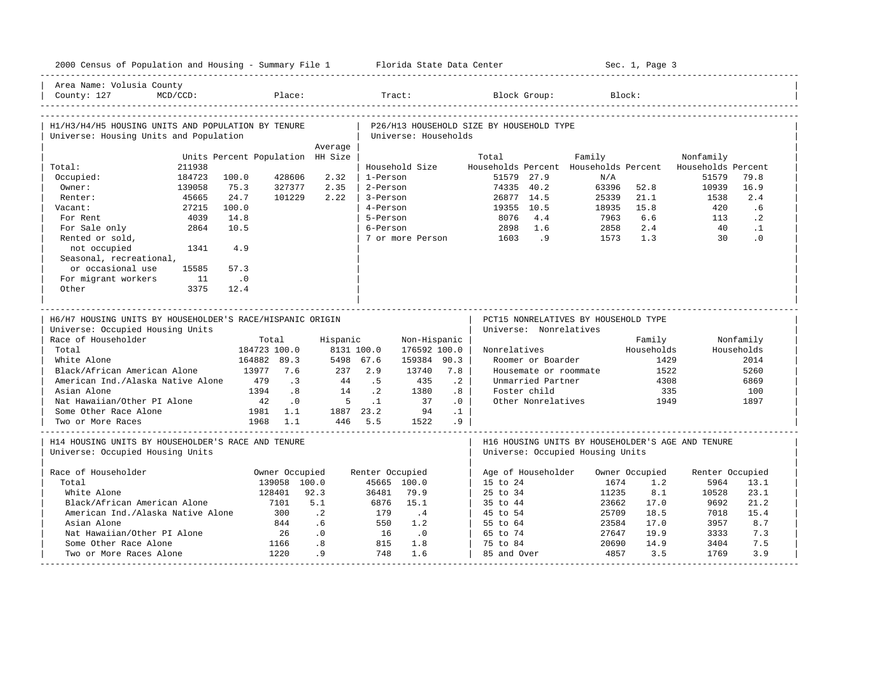| 2000 Census of Population and Housing - Summary File 1 Florida State Data Center                                                                                                      |                                   |                                                               |                                                      |                                                                           |                                                           |                                                                                         |                                                 |                                          |                                                                              |                                                                                       | Sec. 1, Page 3                                              |                             |                                                                |
|---------------------------------------------------------------------------------------------------------------------------------------------------------------------------------------|-----------------------------------|---------------------------------------------------------------|------------------------------------------------------|---------------------------------------------------------------------------|-----------------------------------------------------------|-----------------------------------------------------------------------------------------|-------------------------------------------------|------------------------------------------|------------------------------------------------------------------------------|---------------------------------------------------------------------------------------|-------------------------------------------------------------|-----------------------------|----------------------------------------------------------------|
| Area Name: Volusia County<br>County: 127                                                                                                                                              | $MCD/CCD$ :                       |                                                               | Place:                                               |                                                                           | Tract:                                                    |                                                                                         |                                                 |                                          | Block Group:                                                                 | Block:                                                                                |                                                             |                             |                                                                |
| H1/H3/H4/H5 HOUSING UNITS AND POPULATION BY TENURE<br>Universe: Housing Units and Population                                                                                          |                                   |                                                               |                                                      |                                                                           |                                                           | Universe: Households                                                                    |                                                 | P26/H13 HOUSEHOLD SIZE BY HOUSEHOLD TYPE |                                                                              |                                                                                       |                                                             |                             |                                                                |
|                                                                                                                                                                                       |                                   |                                                               |                                                      | Average                                                                   |                                                           |                                                                                         |                                                 |                                          |                                                                              |                                                                                       |                                                             |                             |                                                                |
|                                                                                                                                                                                       |                                   | Units Percent Population HH Size                              |                                                      |                                                                           |                                                           |                                                                                         |                                                 | Total                                    |                                                                              | Family                                                                                |                                                             | Nonfamily                   |                                                                |
| Total:                                                                                                                                                                                | 211938<br>184723                  | 100.0                                                         | 428606                                               | 2.32                                                                      | 1-Person                                                  | Household Size                                                                          |                                                 | Households Percent<br>51579 27.9         |                                                                              | Households Percent<br>N/A                                                             |                                                             | Households Percent<br>51579 | 79.8                                                           |
| Occupied:<br>Owner:                                                                                                                                                                   | 139058                            | 75.3                                                          | 327377                                               | 2.35                                                                      | 2-Person                                                  |                                                                                         |                                                 | 74335 40.2                               |                                                                              | 63396                                                                                 | 52.8                                                        | 10939                       | 16.9                                                           |
| Renter:                                                                                                                                                                               |                                   | 24.7                                                          |                                                      | 2.22                                                                      | 3-Person                                                  |                                                                                         |                                                 | 26877 14.5                               |                                                                              | 25339                                                                                 | 21.1                                                        | 1538                        | 2.4                                                            |
| Vacant:                                                                                                                                                                               | 45665                             | 100.0                                                         | 101229                                               |                                                                           | 4-Person                                                  |                                                                                         |                                                 |                                          |                                                                              |                                                                                       | 15.8                                                        | 420                         | .6                                                             |
|                                                                                                                                                                                       | 27215                             |                                                               |                                                      |                                                                           |                                                           |                                                                                         |                                                 | 19355 10.5                               |                                                                              | 18935                                                                                 |                                                             |                             |                                                                |
| For Rent                                                                                                                                                                              | 4039                              | 14.8                                                          |                                                      |                                                                           | 5-Person                                                  |                                                                                         |                                                 | 8076                                     | 4.4                                                                          | 7963                                                                                  | 6.6                                                         | 113                         | $\cdot$ 2                                                      |
| For Sale only                                                                                                                                                                         | 2864                              | 10.5                                                          |                                                      |                                                                           | 6-Person                                                  |                                                                                         |                                                 | 2898                                     | 1.6                                                                          | 2858                                                                                  | 2.4                                                         | 40                          | $\cdot$ 1                                                      |
| Rented or sold,                                                                                                                                                                       |                                   | 4.9                                                           |                                                      |                                                                           |                                                           |                                                                                         |                                                 | 7 or more Person 1603                    | .9                                                                           | 1573                                                                                  | 1.3                                                         | 30                          | $\cdot$ 0                                                      |
| not occupied                                                                                                                                                                          | 1341                              |                                                               |                                                      |                                                                           |                                                           |                                                                                         |                                                 |                                          |                                                                              |                                                                                       |                                                             |                             |                                                                |
| Seasonal, recreational,                                                                                                                                                               |                                   |                                                               |                                                      |                                                                           |                                                           |                                                                                         |                                                 |                                          |                                                                              |                                                                                       |                                                             |                             |                                                                |
| or occasional use                                                                                                                                                                     | 15585                             | 57.3                                                          |                                                      |                                                                           |                                                           |                                                                                         |                                                 |                                          |                                                                              |                                                                                       |                                                             |                             |                                                                |
| For migrant workers                                                                                                                                                                   | 11                                | $\cdot$ 0                                                     |                                                      |                                                                           |                                                           |                                                                                         |                                                 |                                          |                                                                              |                                                                                       |                                                             |                             |                                                                |
| Other                                                                                                                                                                                 | 3375                              | 12.4                                                          |                                                      |                                                                           |                                                           |                                                                                         |                                                 |                                          |                                                                              |                                                                                       |                                                             |                             |                                                                |
| H6/H7 HOUSING UNITS BY HOUSEHOLDER'S RACE/HISPANIC ORIGIN<br>Universe: Occupied Housing Units<br>Race of Householder                                                                  |                                   | Total                                                         |                                                      |                                                                           |                                                           |                                                                                         |                                                 |                                          | Universe: Nonrelatives                                                       | PCT15 NONRELATIVES BY HOUSEHOLD TYPE                                                  |                                                             |                             |                                                                |
| Total<br>White Alone<br>Black/African American Alone<br>American Ind./Alaska Native Alone<br>Asian Alone<br>Nat Hawaiian/Other PI Alone<br>Some Other Race Alone<br>Two or More Races |                                   | 184723 100.0<br>164882 89.3<br>13977 7.6<br>479<br>1394<br>42 | $\cdot$ 3<br>.8<br>$\cdot$ 0<br>1981 1.1<br>1968 1.1 | Hispanic<br>8131 100.0<br>5498 67.6<br>44<br>14<br>$5^{\circ}$<br>446 5.5 | $237$ $2.9$<br>.5<br>$\cdot$ 2<br>$\ldots$ 1<br>1887 23.2 | Non-Hispanic<br>176592 100.0<br>159384 90.3<br>13740<br>435<br>1380<br>37<br>94<br>1522 | 7.8<br>$\cdot$ 2<br>.8<br>.0<br>$\cdot$ 1<br>.9 | Nonrelatives                             | Roomer or Boarder<br>Unmarried Partner<br>Foster child<br>Other Nonrelatives | Housemate or roommate                                                                 | Family<br>Households<br>1429<br>1522<br>4308<br>335<br>1949 |                             | Nonfamily<br>Households<br>2014<br>5260<br>6869<br>100<br>1897 |
| H14 HOUSING UNITS BY HOUSEHOLDER'S RACE AND TENURE<br>Universe: Occupied Housing Units                                                                                                |                                   |                                                               |                                                      |                                                                           |                                                           |                                                                                         |                                                 |                                          |                                                                              | H16 HOUSING UNITS BY HOUSEHOLDER'S AGE AND TENURE<br>Universe: Occupied Housing Units |                                                             |                             |                                                                |
| Race of Householder                                                                                                                                                                   |                                   |                                                               |                                                      |                                                                           |                                                           |                                                                                         |                                                 |                                          |                                                                              |                                                                                       |                                                             |                             |                                                                |
| Total                                                                                                                                                                                 |                                   |                                                               | Owner Occupied<br>139058 100.0                       |                                                                           | Renter Occupied                                           | 45665 100.0                                                                             |                                                 | Age of Householder<br>15 to 24           |                                                                              | 1674                                                                                  | Owner Occupied<br>1.2                                       | Renter Occupied<br>5964     | 13.1                                                           |
| White Alone                                                                                                                                                                           |                                   |                                                               | 128401                                               | 92.3                                                                      | 36481                                                     | 79.9                                                                                    |                                                 | 25 to 34                                 |                                                                              | 11235                                                                                 | 8.1                                                         | 10528                       | 23.1                                                           |
| Black/African American Alone                                                                                                                                                          |                                   |                                                               | 7101                                                 | 5.1                                                                       | 6876                                                      | 15.1                                                                                    |                                                 | 35 to 44                                 |                                                                              | 23662                                                                                 | 17.0                                                        | 9692                        | 21.2                                                           |
|                                                                                                                                                                                       | American Ind./Alaska Native Alone |                                                               | 300                                                  | $\cdot$ . 2                                                               | 179                                                       | $\cdot$ 4                                                                               |                                                 | 45 to 54                                 |                                                                              | 25709                                                                                 | 18.5                                                        | 7018                        | 15.4                                                           |
|                                                                                                                                                                                       |                                   |                                                               |                                                      |                                                                           |                                                           |                                                                                         |                                                 |                                          |                                                                              |                                                                                       |                                                             |                             |                                                                |
| Asian Alone                                                                                                                                                                           |                                   |                                                               | 844                                                  | .6                                                                        | 550                                                       | 1.2                                                                                     |                                                 | 55 to 64                                 |                                                                              | 23584                                                                                 | 17.0                                                        | 3957                        | 8.7                                                            |
| Nat Hawaiian/Other PI Alone<br>Some Other Race Alone                                                                                                                                  |                                   |                                                               | 26<br>1166                                           | .0<br>.8                                                                  | 16<br>815                                                 | $\overline{0}$<br>1.8                                                                   |                                                 | 65 to 74<br>75 to 84                     |                                                                              | 27647<br>20690                                                                        | 19.9<br>14.9                                                | 3333<br>3404                | 7.3<br>7.5                                                     |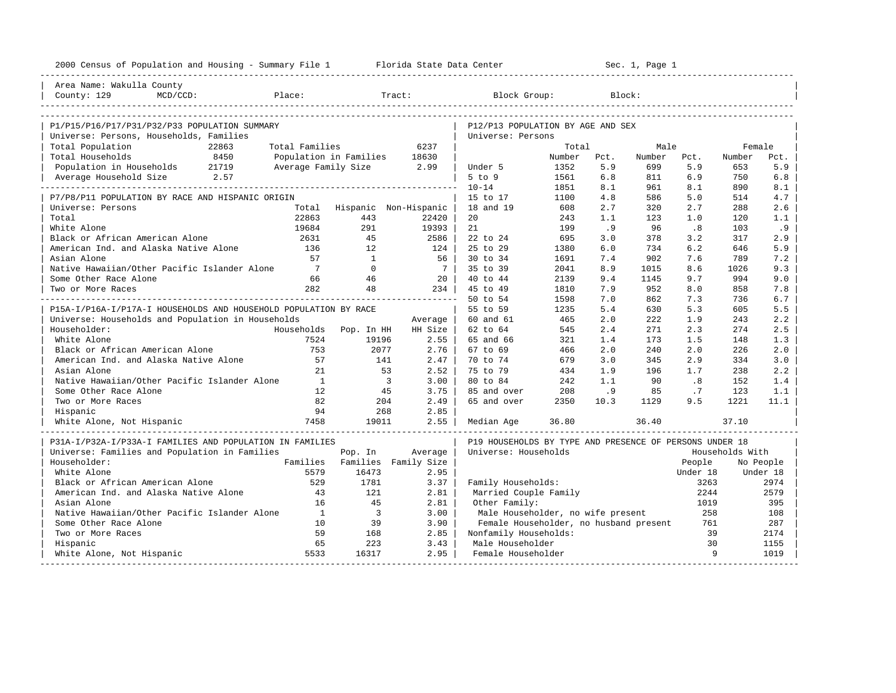| 2000 Census of Population and Housing - Summary File 1 Florida State Data Center |                              |                               |                             |                                                         |        |      | Sec. 1, Page 1 |          |                 |           |
|----------------------------------------------------------------------------------|------------------------------|-------------------------------|-----------------------------|---------------------------------------------------------|--------|------|----------------|----------|-----------------|-----------|
| Area Name: Wakulla County                                                        |                              |                               |                             |                                                         |        |      |                |          |                 |           |
|                                                                                  |                              |                               |                             |                                                         |        |      |                |          |                 |           |
|                                                                                  |                              |                               |                             |                                                         |        |      |                |          |                 |           |
|                                                                                  |                              |                               |                             |                                                         |        |      |                |          |                 |           |
| P1/P15/P16/P17/P31/P32/P33 POPULATION SUMMARY                                    |                              |                               |                             | P12/P13 POPULATION BY AGE AND SEX                       |        |      |                |          |                 |           |
| Universe: Persons, Households, Families<br>22863<br>Total Population             | Total Families               |                               | 6237                        | Universe: Persons                                       | Total  |      | Male           |          | Female          |           |
| Total Households<br>8450                                                         | Population in Families 18630 |                               |                             |                                                         | Number | Pct. | Number         | Pct.     | Number          | Pct.      |
| Population in Households 21719                                                   | Average Family Size 2.99     |                               |                             | Under 5                                                 | 1352   | 5.9  | 699            | 5.9      | 653             | 5.9       |
| Average Household Size 2.57                                                      |                              |                               |                             | $5$ to $9$                                              | 1561   | 6.8  | 811            | 6.9      | 750             | 6.8       |
|                                                                                  |                              |                               |                             | $10 - 14$                                               | 1851   | 8.1  | 961            | 8.1      | 890             | 8.1       |
| P7/P8/P11 POPULATION BY RACE AND HISPANIC ORIGIN                                 |                              |                               |                             | 15 to 17                                                | 1100   | 4.8  | 586            | 5.0      | 514             | 4.7       |
| Universe: Persons                                                                |                              |                               | Total Hispanic Non-Hispanic | 18 and 19                                               | 608    | 2.7  | 320            | 2.7      | 288             | 2.6       |
| Total                                                                            | 22863                        | 443                           | 22420                       | 20                                                      | 243    | 1.1  | 123            | 1.0      | 120             | 1.1       |
| White Alone                                                                      | 19684                        | 291                           | 19393                       | 21                                                      | 199    | .9   | 96             | .8       | 103             | .9        |
| Black or African American Alone                                                  | 2631                         | 45                            | 2586                        | 22 to 24                                                | 695    | 3.0  | 378            | 3.2      | 317             | 2.9       |
| American Ind. and Alaska Native Alone                                            | 136                          | 12                            | 124                         | 25 to 29                                                | 1380   | 6.0  | 734            | 6.2      | 646             | 5.9       |
| Asian Alone                                                                      | 57                           | $\overline{1}$                | 56                          | 30 to 34                                                | 1691   | 7.4  | 902            | 7.6      | 789             | 7.2       |
| Native Hawaiian/Other Pacific Islander Alone                                     | $7\phantom{0}$               | $\Omega$                      | 7 <sup>1</sup>              | 35 to 39                                                | 2041   | 8.9  | 1015           | 8.6      | 1026            | 9.3       |
| Some Other Race Alone                                                            | 66                           | 46                            | 20                          | 40 to 44                                                | 2139   | 9.4  | 1145           | 9.7      | 994             | 9.0       |
| Two or More Races                                                                | 282                          | 48                            | 234                         | 45 to 49                                                | 1810   | 7.9  | 952            | 8.0      | 858             | 7.8       |
|                                                                                  |                              |                               |                             | 50 to 54                                                | 1598   | 7.0  | 862            | 7.3      | 736             | 6.7       |
| P15A-I/P16A-I/P17A-I HOUSEHOLDS AND HOUSEHOLD POPULATION BY RACE                 |                              |                               |                             | 55 to 59                                                | 1235   | 5.4  | 630            | 5.3      | 605             | 5.5       |
| Universe: Households and Population in Households                                |                              |                               | Average                     | 60 and 61                                               | 465    | 2.0  | 222            | 1.9      | 243             | 2.2       |
| Householder:                                                                     | Households Pop. In HH        |                               | HH Size                     | 62 to 64                                                | 545    | 2.4  | 271            | 2.3      | 274             | 2.5       |
| White Alone                                                                      | 7524                         | 19196                         | 2.55                        | 65 and 66                                               | 321    | 1.4  | 173            | 1.5      | 148             | 1.3       |
| Black or African American Alone                                                  | 753                          | 2077                          | 2.76                        | 67 to 69                                                | 466    | 2.0  | 240            | 2.0      | 226             | 2.0       |
| American Ind. and Alaska Native Alone                                            | 57                           | 141                           | 2.47                        | 70 to 74                                                | 679    | 3.0  | 345            | 2.9      | 334             | 3.0       |
| Asian Alone                                                                      | 21                           | 53                            | 2.52                        | 75 to 79                                                | 434    | 1.9  | 196            | 1.7      | 238             | 2.2       |
| Native Hawaiian/Other Pacific Islander Alone                                     | $\mathbf{1}$                 | $\overline{\mathbf{3}}$       | 3.00                        | 80 to 84                                                | 242    | 1.1  | 90             | .8       | 152             | 1.4       |
| Some Other Race Alone                                                            | 12                           | 45                            | 3.75                        | 85 and over                                             | 208    | .9   | 85             | .7       | 123             | 1.1       |
| Two or More Races                                                                | 82                           | 204                           | 2.49                        | 65 and over                                             | 2350   | 10.3 | 1129           | 9.5      | 1221            | 11.1      |
| Hispanic                                                                         | 94                           | 268                           | 2.85                        |                                                         |        |      |                |          |                 |           |
| White Alone, Not Hispanic                                                        | 7458                         | 19011                         | 2.55                        | Median Age                                              | 36.80  |      | 36.40          |          | 37.10           |           |
| P31A-I/P32A-I/P33A-I FAMILIES AND POPULATION IN FAMILIES                         |                              |                               |                             | P19 HOUSEHOLDS BY TYPE AND PRESENCE OF PERSONS UNDER 18 |        |      |                |          |                 |           |
| Universe: Families and Population in Families                                    |                              | Pop. In                       | Average                     | Universe: Households                                    |        |      |                |          | Households With |           |
| Householder:                                                                     |                              | Families Families Family Size |                             |                                                         |        |      |                | People   |                 | No People |
| White Alone                                                                      | 5579                         | 16473                         | 2.95                        |                                                         |        |      |                | Under 18 |                 | Under 18  |
| Black or African American Alone                                                  | 529                          | 1781                          | 3.37                        | Family Households:                                      |        |      |                | 3263     |                 | 2974      |
| American Ind. and Alaska Native Alone                                            | 43                           | 121                           | 2.81                        | Married Couple Family                                   |        |      |                | 2244     |                 | 2579      |
| Asian Alone                                                                      | 16                           | 45                            | 2.81                        | Other Family:                                           |        |      |                | 1019     |                 | 395       |
| Native Hawaiian/Other Pacific Islander Alone                                     | $\mathbf{1}$                 | $\overline{\mathbf{3}}$       | 3.00                        | Male Householder, no wife present                       |        |      |                | 258      |                 | 108       |
| Some Other Race Alone                                                            | 10                           | 39                            | 3.90                        | Female Householder, no husband present                  |        |      |                | 761      |                 | 287       |
| Two or More Races                                                                | 59                           | 168                           | 2.85                        | Nonfamily Households:                                   |        |      |                | 39       |                 | 2174      |
| Hispanic                                                                         | 65                           | 223                           | 3.43                        | Male Householder                                        |        |      |                | 30       |                 | 1155      |
| White Alone, Not Hispanic                                                        | 5533                         | 16317                         | 2.95                        | Female Householder                                      |        |      |                | 9        |                 | 1019      |
|                                                                                  |                              |                               |                             |                                                         |        |      |                |          |                 |           |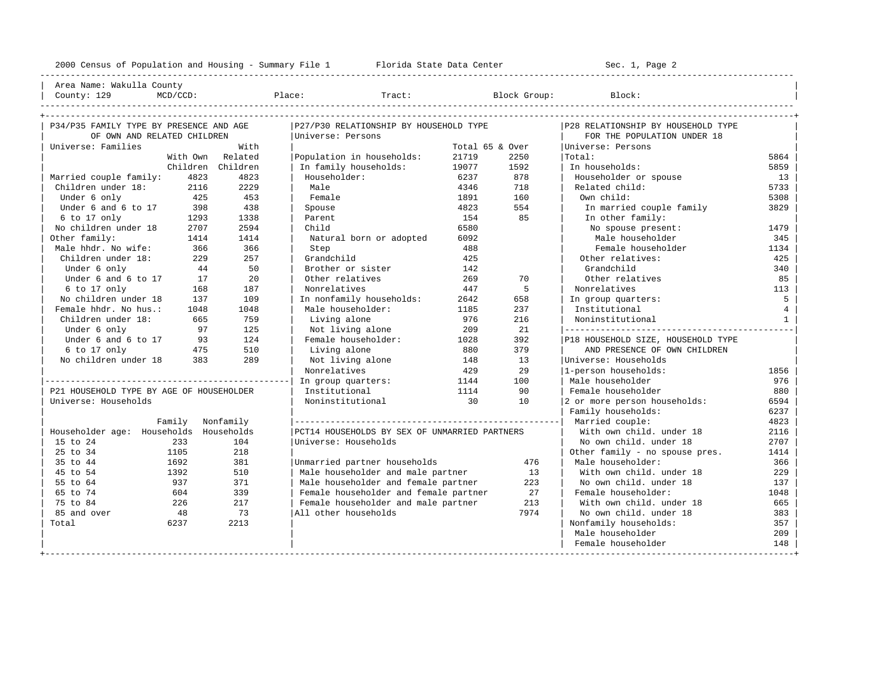| Area Name: Wakulla County | | County: 129 MCD/CCD: Place: Tract: Block Group: Block: |

----------------------------------------------------------------------------------------------------------------------------------------------------

| P34/P35 FAMILY TYPE BY PRESENCE AND AGE  |                   | P27/P30 RELATIONSHIP BY HOUSEHOLD TYPE        |                 |      | P28 RELATIONSHIP BY HOUSEHOLD TYPE |                 |
|------------------------------------------|-------------------|-----------------------------------------------|-----------------|------|------------------------------------|-----------------|
| OF OWN AND RELATED CHILDREN              |                   | Universe: Persons                             |                 |      | FOR THE POPULATION UNDER 18        |                 |
| Universe: Families                       | With              |                                               | Total 65 & Over |      | Universe: Persons                  |                 |
|                                          | With Own Related  | Population in households:                     | 21719           | 2250 | Total:                             | 5864            |
|                                          | Children Children | In family households:                         | 19077           | 1592 | In households:                     | 5859            |
| Married couple family:<br>4823           | 4823              | Householder:                                  | 6237            | 878  | Householder or spouse              | 13              |
| Children under 18:<br>2116               | 2229              | Male                                          | 4346            | 718  | Related child:                     | 5733            |
| Under 6 only<br>425                      | 453               | Female                                        | 1891            | 160  | Own child:                         | 5308            |
| Under 6 and 6 to 17<br>398               | 438               | Spouse                                        | 4823            | 554  | In married couple family           | 3829            |
| $6$ to 17 only<br>1293                   | 1338              | Parent                                        | 154             | 85   | In other family:                   |                 |
| No children under 18<br>2707             | 2594              | Child                                         | 6580            |      | No spouse present:                 | 1479            |
| Other family:<br>1414                    | 1414              | Natural born or adopted                       | 6092            |      | Male householder                   | 345             |
| Male hhdr. No wife:<br>366               | 366               | Step                                          | 488             |      | Female householder                 | 1134            |
| Children under 18:<br>229                | 257               | Grandchild                                    | 425             |      | Other relatives:                   | 425             |
| Under 6 only<br>44                       | 50                | Brother or sister                             | 142             |      | Grandchild                         | 340             |
| Under 6 and 6 to 17<br>17                | 2.0               | Other relatives                               | 269             | 70   | Other relatives                    | 85              |
| 6 to 17 only<br>168                      | 187               | Nonrelatives                                  | 447             | 5    | Nonrelatives                       | 113             |
| No children under 18<br>137              | 109               | In nonfamily households:                      | 2642            | 658  | In group quarters:                 | 5               |
| Female hhdr. No hus.:<br>1048            | 1048              | Male householder:                             | 1185            | 237  | Institutional                      | $4\overline{ }$ |
| Children under 18:<br>665                | 759               | Living alone                                  | 976             | 216  | Noninstitutional                   | 1               |
| 97<br>Under 6 only                       | 125               | Not living alone                              | 209             | 21   |                                    |                 |
| Under 6 and 6 to 17<br>93                | 124               | Female householder:                           | 1028            | 392  | P18 HOUSEHOLD SIZE, HOUSEHOLD TYPE |                 |
| 6 to 17 only<br>475                      | 510               | Living alone                                  | 880             | 379  | AND PRESENCE OF OWN CHILDREN       |                 |
| 383<br>No children under 18              | 289               | Not living alone                              | 148             | 1.3  | Universe: Households               |                 |
|                                          |                   | Nonrelatives                                  | 429             | 2.9  | 1-person households:               | 1856            |
|                                          |                   | In group quarters:                            | 1144            | 100  | Male householder                   | 976             |
| P21 HOUSEHOLD TYPE BY AGE OF HOUSEHOLDER |                   | Institutional                                 | 1114            | 90   | Female householder                 | 880             |
| Universe: Households                     |                   | Noninstitutional                              | 30              | 10   | 2 or more person households:       | 6594            |
|                                          |                   |                                               |                 |      | Family households:                 | 6237            |
| Family Nonfamily                         |                   |                                               |                 |      | Married couple:                    | 4823            |
| Householder age: Households Households   |                   | PCT14 HOUSEHOLDS BY SEX OF UNMARRIED PARTNERS |                 |      | With own child, under 18           | 2116            |
| 233<br>15 to 24                          | 104               | Universe: Households                          |                 |      | No own child, under 18             | 2707            |
| 25 to 34<br>1105                         | 218               |                                               |                 |      | Other family - no spouse pres.     | 1414            |
| 35 to 44<br>1692                         | 381               | Unmarried partner households                  |                 | 476  | Male householder:                  | 366             |
| 45 to 54<br>1392                         | 510               | Male householder and male partner             |                 | 13   | With own child, under 18           | 229             |
| 55 to 64<br>937                          | 371               | Male householder and female partner           |                 | 223  | No own child, under 18             | 137             |
| 65 to 74<br>604                          | 339               | Female householder and female partner         |                 | 27   | Female householder:                | 1048            |
| 75 to 84<br>226                          | 217               | Female householder and male partner           |                 | 213  | With own child, under 18           | 665             |
| 85 and over<br>48                        | 73                | All other households                          |                 | 7974 | No own child, under 18             | 383             |
| Total<br>6237                            | 2213              |                                               |                 |      | Nonfamily households:              | 357             |
|                                          |                   |                                               |                 |      | Male householder                   | 209             |
|                                          |                   |                                               |                 |      | Female householder                 | 148             |
|                                          |                   |                                               |                 |      |                                    |                 |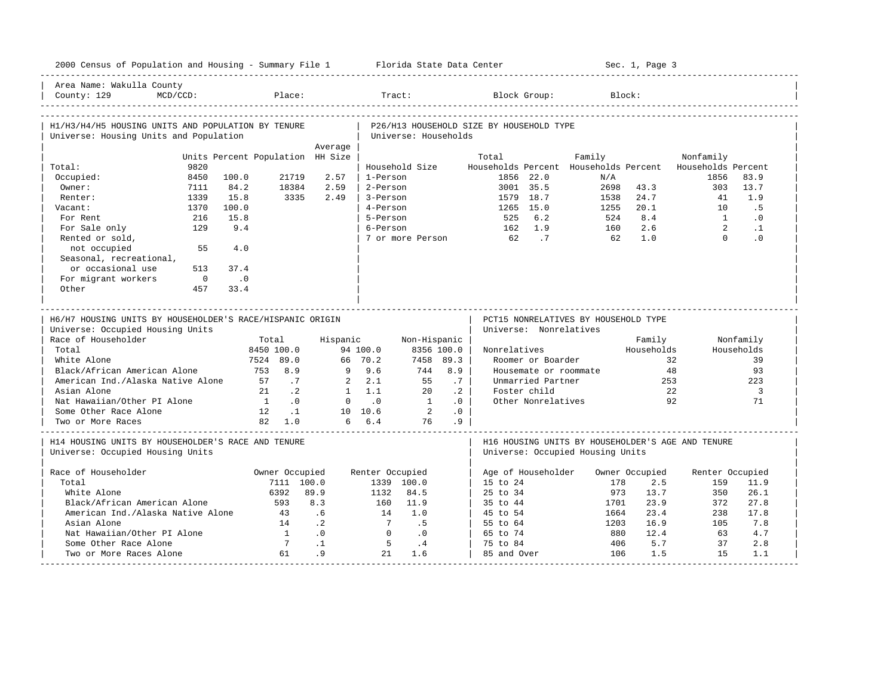| Area Name: Wakulla County<br>Place:<br>Block Group:<br>MCD/CCD:<br>Block:<br>Tract:<br>H1/H3/H4/H5 HOUSING UNITS AND POPULATION BY TENURE<br>P26/H13 HOUSEHOLD SIZE BY HOUSEHOLD TYPE<br>Universe: Housing Units and Population<br>Universe: Households<br>Average<br>Units Percent Population HH Size<br>Family<br>Total<br>Nonfamily<br>Total:<br>9820<br>Household Size<br>Households Percent Households Percent<br>Households Percent<br>8450<br>21719<br>2.57<br>1-Person<br>1856 22.0<br>1856<br>83.9<br>Occupied:<br>100.0<br>N/A<br>84.2<br>2.59<br>3001 35.5<br>2698<br>43.3<br>13.7<br>Owner:<br>7111<br>18384<br>2-Person<br>303<br>3335<br>2.49<br>1579 18.7<br>24.7<br>1.9<br>Renter:<br>1339<br>15.8<br>3-Person<br>1538<br>41<br>1265 15.0<br>Vacant:<br>1370<br>100.0<br>4-Person<br>1255<br>20.1<br>10<br>.5<br>8.4<br>216<br>15.8<br>5-Person<br>525<br>6.2<br>524<br>$\sim$ 1<br>$\cdot$ 0<br>For Rent<br>$\overline{2}$<br>For Sale only<br>129<br>9.4<br>6-Person<br>162 1.9<br>160<br>2.6<br>$\cdot$ 1<br>$\Omega$<br>Rented or sold,<br>$62 \qquad \qquad .7$<br>62<br>1.0<br>$\cdot$ 0<br>7 or more Person<br>not occupied<br>55<br>4.0<br>Seasonal, recreational,<br>or occasional use<br>513<br>37.4<br>For migrant workers<br>$\overline{0}$<br>$\overline{\phantom{0}}$ .0<br>Other<br>457<br>33.4<br>H6/H7 HOUSING UNITS BY HOUSEHOLDER'S RACE/HISPANIC ORIGIN<br>PCT15 NONRELATIVES BY HOUSEHOLD TYPE<br>Universe: Nonrelatives<br>Universe: Occupied Housing Units<br>Nonfamily<br>Hispanic<br>Non-Hispanic<br>Family<br>Total<br>8356 100.0<br>Households<br>Households<br>8450 100.0<br>94 100.0<br>Nonrelatives<br>66 70.2<br>7524 89.0<br>7458 89.3<br>Roomer or Boarder<br>32<br>39<br>$9 \t 9.6$<br>Black/African American Alone<br>753 8.9<br>744<br>8.9<br>Housemate or roommate<br>48<br>93<br>American Ind./Alaska Native Alone<br>2.1<br>57<br>.7<br>$2^{\circ}$<br>.7<br>Unmarried Partner<br>253<br>223<br>55<br>$1 \quad 1.1$<br>21<br>$\cdot$ . 2<br>20<br>$\cdot$ 2<br>Foster child<br>2.2<br>3<br>Nat Hawaiian/Other PI Alone<br>$1 \qquad .0$<br>$0 \qquad .0$<br>$\overline{1}$<br>.0<br>Other Nonrelatives<br>92<br>71<br>$\overline{2}$<br>Some Other Race Alone<br>.0<br>12 .1<br>10 10.6<br>82 1.0<br>6 6.4<br>.9<br>76<br>H14 HOUSING UNITS BY HOUSEHOLDER'S RACE AND TENURE<br>H16 HOUSING UNITS BY HOUSEHOLDER'S AGE AND TENURE<br>Universe: Occupied Housing Units<br>Universe: Occupied Housing Units<br>Owner Occupied<br>Renter Occupied<br>Age of Householder<br>Owner Occupied<br>Renter Occupied<br>7111 100.0<br>2.5<br>11.9<br>1339 100.0<br>15 to 24<br>178<br>159<br>89.9<br>25 to 34<br>26.1<br>White Alone<br>6392<br>1132<br>84.5<br>973<br>13.7<br>350<br>Black/African American Alone<br>8.3<br>11.9<br>35 to 44<br>23.9<br>372<br>27.8<br>593<br>160<br>1701<br>American Ind./Alaska Native Alone<br>.6<br>1.0<br>45 to 54<br>23.4<br>17.8<br>43<br>14<br>1664<br>238<br>$7\overline{ }$<br>.5<br>16.9<br>Asian Alone<br>14<br>$\cdot$ 2<br>55 to 64<br>1203<br>105<br>7.8<br>.0<br>Nat Hawaiian/Other PI Alone<br>$\overline{1}$<br>$\Omega$<br>$\cdot$ 0<br>65 to 74<br>880<br>12.4<br>4.7<br>63<br>$7^{\circ}$<br>$\cdot$ 1<br>5<br>Some Other Race Alone<br>$\cdot$ 4<br>75 to 84<br>406<br>5.7<br>37<br>2.8 | 2000 Census of Population and Housing - Summary File 1 Florida State Data Center |  |    |    |    |     |  |     | Sec. 1, Page 3 |    |     |
|--------------------------------------------------------------------------------------------------------------------------------------------------------------------------------------------------------------------------------------------------------------------------------------------------------------------------------------------------------------------------------------------------------------------------------------------------------------------------------------------------------------------------------------------------------------------------------------------------------------------------------------------------------------------------------------------------------------------------------------------------------------------------------------------------------------------------------------------------------------------------------------------------------------------------------------------------------------------------------------------------------------------------------------------------------------------------------------------------------------------------------------------------------------------------------------------------------------------------------------------------------------------------------------------------------------------------------------------------------------------------------------------------------------------------------------------------------------------------------------------------------------------------------------------------------------------------------------------------------------------------------------------------------------------------------------------------------------------------------------------------------------------------------------------------------------------------------------------------------------------------------------------------------------------------------------------------------------------------------------------------------------------------------------------------------------------------------------------------------------------------------------------------------------------------------------------------------------------------------------------------------------------------------------------------------------------------------------------------------------------------------------------------------------------------------------------------------------------------------------------------------------------------------------------------------------------------------------------------------------------------------------------------------------------------------------------------------------------------------------------------------------------------------------------------------------------------------------------------------------------------------------------------------------------------------------------------------------------------------------------------------------------------------------------------------------------------------------------------------------------------------------------------------------------------------------------------------------------------------------------------------------------------------------------|----------------------------------------------------------------------------------|--|----|----|----|-----|--|-----|----------------|----|-----|
|                                                                                                                                                                                                                                                                                                                                                                                                                                                                                                                                                                                                                                                                                                                                                                                                                                                                                                                                                                                                                                                                                                                                                                                                                                                                                                                                                                                                                                                                                                                                                                                                                                                                                                                                                                                                                                                                                                                                                                                                                                                                                                                                                                                                                                                                                                                                                                                                                                                                                                                                                                                                                                                                                                                                                                                                                                                                                                                                                                                                                                                                                                                                                                                                                                                                                            | County: 129                                                                      |  |    |    |    |     |  |     |                |    |     |
|                                                                                                                                                                                                                                                                                                                                                                                                                                                                                                                                                                                                                                                                                                                                                                                                                                                                                                                                                                                                                                                                                                                                                                                                                                                                                                                                                                                                                                                                                                                                                                                                                                                                                                                                                                                                                                                                                                                                                                                                                                                                                                                                                                                                                                                                                                                                                                                                                                                                                                                                                                                                                                                                                                                                                                                                                                                                                                                                                                                                                                                                                                                                                                                                                                                                                            |                                                                                  |  |    |    |    |     |  |     |                |    |     |
|                                                                                                                                                                                                                                                                                                                                                                                                                                                                                                                                                                                                                                                                                                                                                                                                                                                                                                                                                                                                                                                                                                                                                                                                                                                                                                                                                                                                                                                                                                                                                                                                                                                                                                                                                                                                                                                                                                                                                                                                                                                                                                                                                                                                                                                                                                                                                                                                                                                                                                                                                                                                                                                                                                                                                                                                                                                                                                                                                                                                                                                                                                                                                                                                                                                                                            |                                                                                  |  |    |    |    |     |  |     |                |    |     |
|                                                                                                                                                                                                                                                                                                                                                                                                                                                                                                                                                                                                                                                                                                                                                                                                                                                                                                                                                                                                                                                                                                                                                                                                                                                                                                                                                                                                                                                                                                                                                                                                                                                                                                                                                                                                                                                                                                                                                                                                                                                                                                                                                                                                                                                                                                                                                                                                                                                                                                                                                                                                                                                                                                                                                                                                                                                                                                                                                                                                                                                                                                                                                                                                                                                                                            |                                                                                  |  |    |    |    |     |  |     |                |    |     |
|                                                                                                                                                                                                                                                                                                                                                                                                                                                                                                                                                                                                                                                                                                                                                                                                                                                                                                                                                                                                                                                                                                                                                                                                                                                                                                                                                                                                                                                                                                                                                                                                                                                                                                                                                                                                                                                                                                                                                                                                                                                                                                                                                                                                                                                                                                                                                                                                                                                                                                                                                                                                                                                                                                                                                                                                                                                                                                                                                                                                                                                                                                                                                                                                                                                                                            |                                                                                  |  |    |    |    |     |  |     |                |    |     |
|                                                                                                                                                                                                                                                                                                                                                                                                                                                                                                                                                                                                                                                                                                                                                                                                                                                                                                                                                                                                                                                                                                                                                                                                                                                                                                                                                                                                                                                                                                                                                                                                                                                                                                                                                                                                                                                                                                                                                                                                                                                                                                                                                                                                                                                                                                                                                                                                                                                                                                                                                                                                                                                                                                                                                                                                                                                                                                                                                                                                                                                                                                                                                                                                                                                                                            |                                                                                  |  |    |    |    |     |  |     |                |    |     |
|                                                                                                                                                                                                                                                                                                                                                                                                                                                                                                                                                                                                                                                                                                                                                                                                                                                                                                                                                                                                                                                                                                                                                                                                                                                                                                                                                                                                                                                                                                                                                                                                                                                                                                                                                                                                                                                                                                                                                                                                                                                                                                                                                                                                                                                                                                                                                                                                                                                                                                                                                                                                                                                                                                                                                                                                                                                                                                                                                                                                                                                                                                                                                                                                                                                                                            |                                                                                  |  |    |    |    |     |  |     |                |    |     |
|                                                                                                                                                                                                                                                                                                                                                                                                                                                                                                                                                                                                                                                                                                                                                                                                                                                                                                                                                                                                                                                                                                                                                                                                                                                                                                                                                                                                                                                                                                                                                                                                                                                                                                                                                                                                                                                                                                                                                                                                                                                                                                                                                                                                                                                                                                                                                                                                                                                                                                                                                                                                                                                                                                                                                                                                                                                                                                                                                                                                                                                                                                                                                                                                                                                                                            |                                                                                  |  |    |    |    |     |  |     |                |    |     |
|                                                                                                                                                                                                                                                                                                                                                                                                                                                                                                                                                                                                                                                                                                                                                                                                                                                                                                                                                                                                                                                                                                                                                                                                                                                                                                                                                                                                                                                                                                                                                                                                                                                                                                                                                                                                                                                                                                                                                                                                                                                                                                                                                                                                                                                                                                                                                                                                                                                                                                                                                                                                                                                                                                                                                                                                                                                                                                                                                                                                                                                                                                                                                                                                                                                                                            |                                                                                  |  |    |    |    |     |  |     |                |    |     |
|                                                                                                                                                                                                                                                                                                                                                                                                                                                                                                                                                                                                                                                                                                                                                                                                                                                                                                                                                                                                                                                                                                                                                                                                                                                                                                                                                                                                                                                                                                                                                                                                                                                                                                                                                                                                                                                                                                                                                                                                                                                                                                                                                                                                                                                                                                                                                                                                                                                                                                                                                                                                                                                                                                                                                                                                                                                                                                                                                                                                                                                                                                                                                                                                                                                                                            |                                                                                  |  |    |    |    |     |  |     |                |    |     |
|                                                                                                                                                                                                                                                                                                                                                                                                                                                                                                                                                                                                                                                                                                                                                                                                                                                                                                                                                                                                                                                                                                                                                                                                                                                                                                                                                                                                                                                                                                                                                                                                                                                                                                                                                                                                                                                                                                                                                                                                                                                                                                                                                                                                                                                                                                                                                                                                                                                                                                                                                                                                                                                                                                                                                                                                                                                                                                                                                                                                                                                                                                                                                                                                                                                                                            |                                                                                  |  |    |    |    |     |  |     |                |    |     |
|                                                                                                                                                                                                                                                                                                                                                                                                                                                                                                                                                                                                                                                                                                                                                                                                                                                                                                                                                                                                                                                                                                                                                                                                                                                                                                                                                                                                                                                                                                                                                                                                                                                                                                                                                                                                                                                                                                                                                                                                                                                                                                                                                                                                                                                                                                                                                                                                                                                                                                                                                                                                                                                                                                                                                                                                                                                                                                                                                                                                                                                                                                                                                                                                                                                                                            |                                                                                  |  |    |    |    |     |  |     |                |    |     |
|                                                                                                                                                                                                                                                                                                                                                                                                                                                                                                                                                                                                                                                                                                                                                                                                                                                                                                                                                                                                                                                                                                                                                                                                                                                                                                                                                                                                                                                                                                                                                                                                                                                                                                                                                                                                                                                                                                                                                                                                                                                                                                                                                                                                                                                                                                                                                                                                                                                                                                                                                                                                                                                                                                                                                                                                                                                                                                                                                                                                                                                                                                                                                                                                                                                                                            |                                                                                  |  |    |    |    |     |  |     |                |    |     |
|                                                                                                                                                                                                                                                                                                                                                                                                                                                                                                                                                                                                                                                                                                                                                                                                                                                                                                                                                                                                                                                                                                                                                                                                                                                                                                                                                                                                                                                                                                                                                                                                                                                                                                                                                                                                                                                                                                                                                                                                                                                                                                                                                                                                                                                                                                                                                                                                                                                                                                                                                                                                                                                                                                                                                                                                                                                                                                                                                                                                                                                                                                                                                                                                                                                                                            |                                                                                  |  |    |    |    |     |  |     |                |    |     |
|                                                                                                                                                                                                                                                                                                                                                                                                                                                                                                                                                                                                                                                                                                                                                                                                                                                                                                                                                                                                                                                                                                                                                                                                                                                                                                                                                                                                                                                                                                                                                                                                                                                                                                                                                                                                                                                                                                                                                                                                                                                                                                                                                                                                                                                                                                                                                                                                                                                                                                                                                                                                                                                                                                                                                                                                                                                                                                                                                                                                                                                                                                                                                                                                                                                                                            |                                                                                  |  |    |    |    |     |  |     |                |    |     |
|                                                                                                                                                                                                                                                                                                                                                                                                                                                                                                                                                                                                                                                                                                                                                                                                                                                                                                                                                                                                                                                                                                                                                                                                                                                                                                                                                                                                                                                                                                                                                                                                                                                                                                                                                                                                                                                                                                                                                                                                                                                                                                                                                                                                                                                                                                                                                                                                                                                                                                                                                                                                                                                                                                                                                                                                                                                                                                                                                                                                                                                                                                                                                                                                                                                                                            |                                                                                  |  |    |    |    |     |  |     |                |    |     |
|                                                                                                                                                                                                                                                                                                                                                                                                                                                                                                                                                                                                                                                                                                                                                                                                                                                                                                                                                                                                                                                                                                                                                                                                                                                                                                                                                                                                                                                                                                                                                                                                                                                                                                                                                                                                                                                                                                                                                                                                                                                                                                                                                                                                                                                                                                                                                                                                                                                                                                                                                                                                                                                                                                                                                                                                                                                                                                                                                                                                                                                                                                                                                                                                                                                                                            |                                                                                  |  |    |    |    |     |  |     |                |    |     |
|                                                                                                                                                                                                                                                                                                                                                                                                                                                                                                                                                                                                                                                                                                                                                                                                                                                                                                                                                                                                                                                                                                                                                                                                                                                                                                                                                                                                                                                                                                                                                                                                                                                                                                                                                                                                                                                                                                                                                                                                                                                                                                                                                                                                                                                                                                                                                                                                                                                                                                                                                                                                                                                                                                                                                                                                                                                                                                                                                                                                                                                                                                                                                                                                                                                                                            |                                                                                  |  |    |    |    |     |  |     |                |    |     |
|                                                                                                                                                                                                                                                                                                                                                                                                                                                                                                                                                                                                                                                                                                                                                                                                                                                                                                                                                                                                                                                                                                                                                                                                                                                                                                                                                                                                                                                                                                                                                                                                                                                                                                                                                                                                                                                                                                                                                                                                                                                                                                                                                                                                                                                                                                                                                                                                                                                                                                                                                                                                                                                                                                                                                                                                                                                                                                                                                                                                                                                                                                                                                                                                                                                                                            | Race of Householder<br>Total<br>White Alone<br>Asian Alone<br>Two or More Races  |  |    |    |    |     |  |     |                |    |     |
|                                                                                                                                                                                                                                                                                                                                                                                                                                                                                                                                                                                                                                                                                                                                                                                                                                                                                                                                                                                                                                                                                                                                                                                                                                                                                                                                                                                                                                                                                                                                                                                                                                                                                                                                                                                                                                                                                                                                                                                                                                                                                                                                                                                                                                                                                                                                                                                                                                                                                                                                                                                                                                                                                                                                                                                                                                                                                                                                                                                                                                                                                                                                                                                                                                                                                            |                                                                                  |  |    |    |    |     |  |     |                |    |     |
|                                                                                                                                                                                                                                                                                                                                                                                                                                                                                                                                                                                                                                                                                                                                                                                                                                                                                                                                                                                                                                                                                                                                                                                                                                                                                                                                                                                                                                                                                                                                                                                                                                                                                                                                                                                                                                                                                                                                                                                                                                                                                                                                                                                                                                                                                                                                                                                                                                                                                                                                                                                                                                                                                                                                                                                                                                                                                                                                                                                                                                                                                                                                                                                                                                                                                            | Race of Householder                                                              |  |    |    |    |     |  |     |                |    |     |
|                                                                                                                                                                                                                                                                                                                                                                                                                                                                                                                                                                                                                                                                                                                                                                                                                                                                                                                                                                                                                                                                                                                                                                                                                                                                                                                                                                                                                                                                                                                                                                                                                                                                                                                                                                                                                                                                                                                                                                                                                                                                                                                                                                                                                                                                                                                                                                                                                                                                                                                                                                                                                                                                                                                                                                                                                                                                                                                                                                                                                                                                                                                                                                                                                                                                                            | Total                                                                            |  |    |    |    |     |  |     |                |    |     |
|                                                                                                                                                                                                                                                                                                                                                                                                                                                                                                                                                                                                                                                                                                                                                                                                                                                                                                                                                                                                                                                                                                                                                                                                                                                                                                                                                                                                                                                                                                                                                                                                                                                                                                                                                                                                                                                                                                                                                                                                                                                                                                                                                                                                                                                                                                                                                                                                                                                                                                                                                                                                                                                                                                                                                                                                                                                                                                                                                                                                                                                                                                                                                                                                                                                                                            |                                                                                  |  |    |    |    |     |  |     |                |    |     |
|                                                                                                                                                                                                                                                                                                                                                                                                                                                                                                                                                                                                                                                                                                                                                                                                                                                                                                                                                                                                                                                                                                                                                                                                                                                                                                                                                                                                                                                                                                                                                                                                                                                                                                                                                                                                                                                                                                                                                                                                                                                                                                                                                                                                                                                                                                                                                                                                                                                                                                                                                                                                                                                                                                                                                                                                                                                                                                                                                                                                                                                                                                                                                                                                                                                                                            |                                                                                  |  |    |    |    |     |  |     |                |    |     |
|                                                                                                                                                                                                                                                                                                                                                                                                                                                                                                                                                                                                                                                                                                                                                                                                                                                                                                                                                                                                                                                                                                                                                                                                                                                                                                                                                                                                                                                                                                                                                                                                                                                                                                                                                                                                                                                                                                                                                                                                                                                                                                                                                                                                                                                                                                                                                                                                                                                                                                                                                                                                                                                                                                                                                                                                                                                                                                                                                                                                                                                                                                                                                                                                                                                                                            |                                                                                  |  |    |    |    |     |  |     |                |    |     |
|                                                                                                                                                                                                                                                                                                                                                                                                                                                                                                                                                                                                                                                                                                                                                                                                                                                                                                                                                                                                                                                                                                                                                                                                                                                                                                                                                                                                                                                                                                                                                                                                                                                                                                                                                                                                                                                                                                                                                                                                                                                                                                                                                                                                                                                                                                                                                                                                                                                                                                                                                                                                                                                                                                                                                                                                                                                                                                                                                                                                                                                                                                                                                                                                                                                                                            |                                                                                  |  |    |    |    |     |  |     |                |    |     |
|                                                                                                                                                                                                                                                                                                                                                                                                                                                                                                                                                                                                                                                                                                                                                                                                                                                                                                                                                                                                                                                                                                                                                                                                                                                                                                                                                                                                                                                                                                                                                                                                                                                                                                                                                                                                                                                                                                                                                                                                                                                                                                                                                                                                                                                                                                                                                                                                                                                                                                                                                                                                                                                                                                                                                                                                                                                                                                                                                                                                                                                                                                                                                                                                                                                                                            |                                                                                  |  |    |    |    |     |  |     |                |    |     |
|                                                                                                                                                                                                                                                                                                                                                                                                                                                                                                                                                                                                                                                                                                                                                                                                                                                                                                                                                                                                                                                                                                                                                                                                                                                                                                                                                                                                                                                                                                                                                                                                                                                                                                                                                                                                                                                                                                                                                                                                                                                                                                                                                                                                                                                                                                                                                                                                                                                                                                                                                                                                                                                                                                                                                                                                                                                                                                                                                                                                                                                                                                                                                                                                                                                                                            |                                                                                  |  |    |    |    |     |  |     |                |    |     |
| 85 and Over                                                                                                                                                                                                                                                                                                                                                                                                                                                                                                                                                                                                                                                                                                                                                                                                                                                                                                                                                                                                                                                                                                                                                                                                                                                                                                                                                                                                                                                                                                                                                                                                                                                                                                                                                                                                                                                                                                                                                                                                                                                                                                                                                                                                                                                                                                                                                                                                                                                                                                                                                                                                                                                                                                                                                                                                                                                                                                                                                                                                                                                                                                                                                                                                                                                                                | Two or More Races Alone                                                          |  | 61 | .9 | 21 | 1.6 |  | 106 | 1.5            | 15 | 1.1 |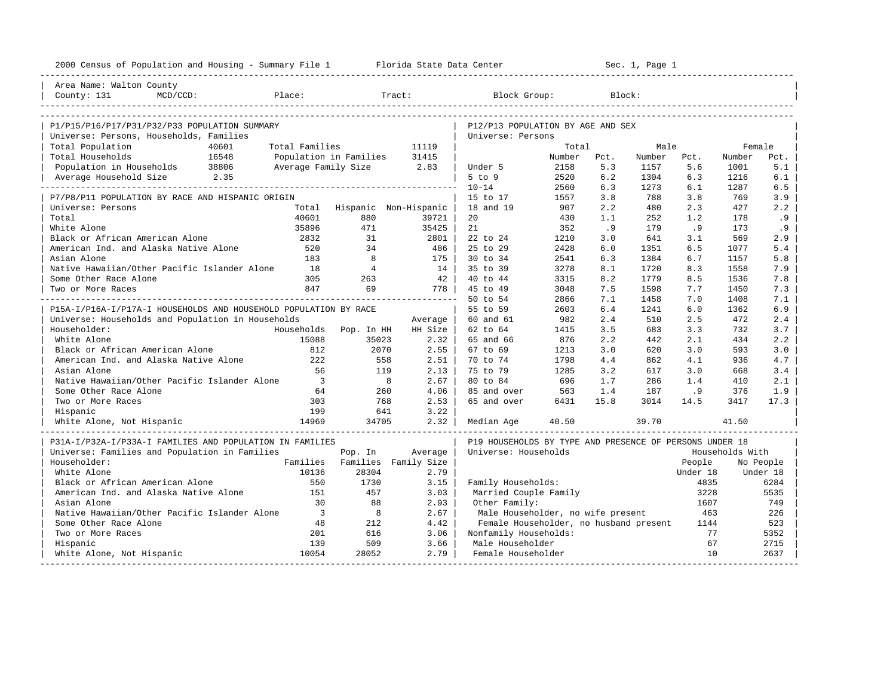| 2000 Census of Population and Housing - Summary File 1 Florida State Data Center |                                          |                               |         |                                                         |                 |             | Sec. 1, Page 1 |          |                  |           |
|----------------------------------------------------------------------------------|------------------------------------------|-------------------------------|---------|---------------------------------------------------------|-----------------|-------------|----------------|----------|------------------|-----------|
| Area Name: Walton County                                                         |                                          |                               |         |                                                         |                 |             |                |          |                  |           |
| County: 131<br>$MCD/CCD$ :                                                       | Place:                                   |                               | Tract:  | Block Group:                                            |                 |             | Block:         |          |                  |           |
|                                                                                  |                                          |                               |         |                                                         |                 |             |                |          |                  |           |
| P1/P15/P16/P17/P31/P32/P33 POPULATION SUMMARY                                    |                                          |                               |         | P12/P13 POPULATION BY AGE AND SEX                       |                 |             |                |          |                  |           |
| Universe: Persons, Households, Families<br>40601                                 |                                          |                               | 11119   | Universe: Persons                                       |                 |             |                |          |                  |           |
| Total Population<br>Total Households                                             | Total Families<br>Population in Families |                               | 31415   |                                                         | Total<br>Number |             | Male<br>Number | Pct.     | Female<br>Number | Pct.      |
| 16548<br>Population in Households 38806                                          | Average Family Size                      |                               | 2.83    | Under 5                                                 | 2158            | Pct.<br>5.3 | 1157           | 5.6      | 1001             | 5.1       |
| Average Household Size 2.35                                                      |                                          |                               |         | $5$ to $9$                                              | 2520            | 6.2         | 1304           | 6.3      | 1216             | 6.1       |
|                                                                                  |                                          |                               |         | $10 - 14$                                               | 2560            | 6.3         | 1273           | 6.1      | 1287             | 6.5       |
| P7/P8/P11 POPULATION BY RACE AND HISPANIC ORIGIN                                 |                                          |                               |         | 15 to 17                                                | 1557            | 3.8         | 788            | 3.8      | 769              | 3.9       |
| Universe: Persons                                                                | Total                                    | Hispanic Non-Hispanic         |         | 18 and 19                                               | 907             | 2.2         | 480            | 2.3      | 427              | 2.2       |
| Total                                                                            | 40601                                    | 880                           | 39721   | 20                                                      | 430             | 1.1         | 252            | 1.2      | 178              | .9        |
| White Alone                                                                      | 35896                                    | 471                           | 35425   | 21                                                      | 352             | .9          | 179            | . 9      | 173              | . 9       |
| Black or African American Alone                                                  | 2832                                     | 31                            | 2801    | 22 to 24                                                | 1210            | 3.0         | 641            | 3.1      | 569              | 2.9       |
| American Ind. and Alaska Native Alone                                            | 520                                      | 34                            | 486     | 25 to 29                                                | 2428            | 6.0         | 1351           | 6.5      | 1077             | 5.4       |
| Asian Alone                                                                      | 183                                      | 8                             | 175     | 30 to 34                                                | 2541            | 6.3         | 1384           | 6.7      | 1157             | 5.8       |
| Native Hawaiian/Other Pacific Islander Alone                                     | 18                                       | $\overline{4}$                | 14      | 35 to 39                                                | 3278            | 8.1         | 1720           | 8.3      | 1558             | 7.9       |
| Some Other Race Alone                                                            | 305                                      | 263                           | 42      | 40 to 44                                                | 3315            | 8.2         | 1779           | 8.5      | 1536             | 7.8       |
| Two or More Races                                                                | 847                                      | 69                            | 778     | 45 to 49                                                | 3048            | 7.5         | 1598           | 7.7      | 1450             | 7.3       |
|                                                                                  |                                          |                               |         | 50 to 54                                                | 2866            | 7.1         | 1458           | 7.0      | 1408             | 7.1       |
| P15A-I/P16A-I/P17A-I HOUSEHOLDS AND HOUSEHOLD POPULATION BY RACE                 |                                          |                               |         | 55 to 59                                                | 2603            | 6.4         | 1241           | 6.0      | 1362             | 6.9       |
| Universe: Households and Population in Households                                |                                          |                               | Average | 60 and 61                                               | 982             | 2.4         | 510            | 2.5      | 472              | 2.4       |
| Householder:                                                                     | Households                               | Pop. In HH                    | HH Size | 62 to 64                                                | 1415            | 3.5         | 683            | 3.3      | 732              | 3.7       |
| White Alone                                                                      | 15088                                    | 35023                         | 2.32    | 65 and 66                                               | 876             | 2.2         | 442            | 2.1      | 434              | 2.2       |
| Black or African American Alone                                                  | 812                                      | 2070                          | $2.55$  | 67 to 69                                                | 1213            | 3.0         | 620            | 3.0      | 593              | 3.0       |
| American Ind. and Alaska Native Alone                                            | 222                                      | 558                           | 2.51    | 70 to 74                                                | 1798            | 4.4         | 862            | 4.1      | 936              | 4.7       |
| Asian Alone                                                                      | 56                                       | 119                           | 2.13    | 75 to 79                                                | 1285            | 3.2         | 617            | 3.0      | 668              | 3.4       |
| Native Hawaiian/Other Pacific Islander Alone                                     | $\overline{\phantom{a}}$                 | 8                             | 2.67    | 80 to 84                                                | 696             | 1.7         | 286            | 1.4      | 410              | 2.1       |
| Some Other Race Alone                                                            | 64                                       | 260                           | 4.06    | 85 and over                                             | 563             | 1.4         | 187            | .9       | 376              | 1.9       |
| Two or More Races                                                                | 303                                      | 768                           | 2.53    | 65 and over                                             | 6431            | 15.8        | 3014           | 14.5     | 3417             | 17.3      |
| Hispanic                                                                         | 199                                      | 641                           | 3.22    |                                                         |                 |             |                |          |                  |           |
| White Alone, Not Hispanic                                                        | 14969                                    | 34705                         | 2.32    | Median Age                                              | 40.50           |             | 39.70          |          | 41.50            |           |
| P31A-I/P32A-I/P33A-I FAMILIES AND POPULATION IN FAMILIES                         |                                          |                               |         | P19 HOUSEHOLDS BY TYPE AND PRESENCE OF PERSONS UNDER 18 |                 |             |                |          |                  |           |
| Universe: Families and Population in Families                                    |                                          | Pop. In                       | Average | Universe: Households                                    |                 |             |                |          | Households With  |           |
| Householder:                                                                     |                                          | Families Families Family Size |         |                                                         |                 |             |                | People   |                  | No People |
| White Alone                                                                      | 10136                                    | 28304                         | 2.79    |                                                         |                 |             |                | Under 18 |                  | Under 18  |
| Black or African American Alone                                                  | 550                                      | 1730                          | 3.15    | Family Households:                                      |                 |             |                | 4835     |                  | 6284      |
| American Ind. and Alaska Native Alone                                            | 151                                      | 457                           | 3.03    | Married Couple Family                                   |                 |             |                | 3228     |                  | 5535      |
| Asian Alone                                                                      | 30                                       | 88                            | 2.93    | Other Family:                                           |                 |             |                | 1607     |                  | 749       |
| Native Hawaiian/Other Pacific Islander Alone                                     | $\overline{\mathbf{3}}$                  | 8                             | 2.67    | Male Householder, no wife present                       |                 |             |                | 463      |                  | 226       |
| Some Other Race Alone                                                            | 48                                       | 212                           | 4.42    | Female Householder, no husband present                  |                 |             |                | 1144     |                  | 523       |
| Two or More Races                                                                | 201                                      | 616                           | 3.06    | Nonfamily Households:                                   |                 |             |                | 77       |                  | 5352      |
| Hispanic                                                                         | 139                                      | 509                           | 3.66    | Male Householder                                        |                 |             |                | 67       |                  | 2715      |
| White Alone, Not Hispanic                                                        | 10054                                    | 28052                         | 2.79    | Female Householder                                      |                 |             |                | 10       |                  | 2637      |
|                                                                                  |                                          |                               |         |                                                         |                 |             |                |          |                  |           |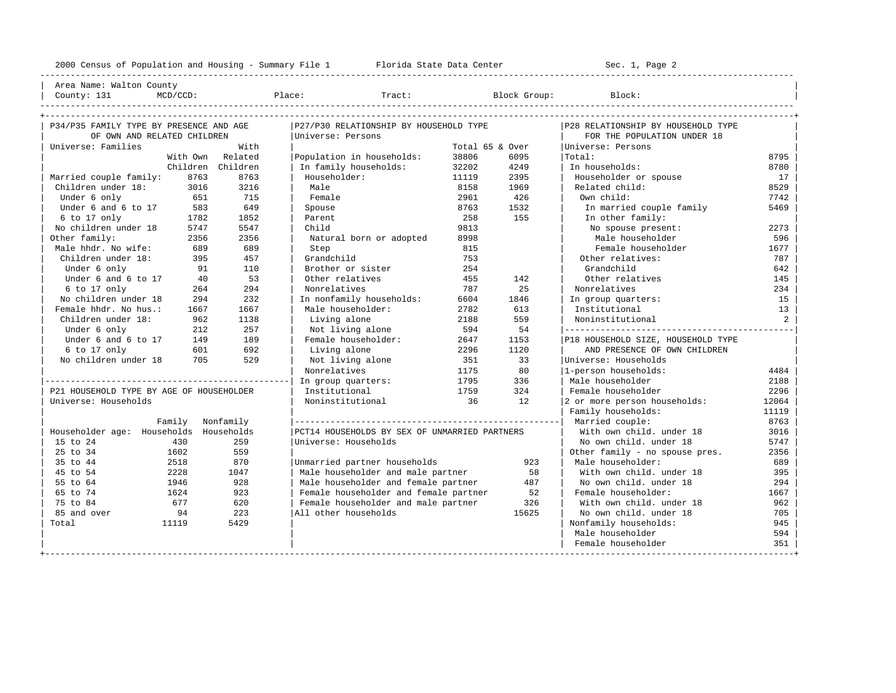---------------------------------------------------------------------------------------------------------------------------------------------------- | Area Name: Walton County | | County: 131 MCD/CCD: Place: Tract: Block Group: Block: |

| P34/P35 FAMILY TYPE BY PRESENCE AND AGE  |          |                   | P27/P30 RELATIONSHIP BY HOUSEHOLD TYPE        |                 |       | P28 RELATIONSHIP BY HOUSEHOLD TYPE |       |
|------------------------------------------|----------|-------------------|-----------------------------------------------|-----------------|-------|------------------------------------|-------|
| OF OWN AND RELATED CHILDREN              |          |                   | Universe: Persons                             |                 |       | FOR THE POPULATION UNDER 18        |       |
| Universe: Families                       |          | With              |                                               | Total 65 & Over |       | Universe: Persons                  |       |
|                                          | With Own | Related           | Population in households:                     | 38806           | 6095  | Total:                             | 8795  |
|                                          |          | Children Children | In family households:                         | 32202           | 4249  | In households:                     | 8780  |
| Married couple family:                   | 8763     | 8763              | Householder:                                  | 11119           | 2395  | Householder or spouse              | 17    |
| Children under 18:                       | 3016     | 3216              | Male                                          | 8158            | 1969  | Related child:                     | 8529  |
| Under 6 only                             | 651      | 715               | Female                                        | 2961            | 426   | Own child:                         | 7742  |
| Under 6 and 6 to 17                      | 583      | 649               | Spouse                                        | 8763            | 1532  | In married couple family           | 5469  |
| 6 to 17 only                             | 1782     | 1852              | Parent                                        | 258             | 155   | In other family:                   |       |
| No children under 18                     | 5747     | 5547              | Child                                         | 9813            |       | No spouse present:                 | 2273  |
| Other family:                            | 2356     | 2356              | Natural born or adopted                       | 8998            |       | Male householder                   | 596   |
| Male hhdr. No wife:                      | 689      | 689               | Step                                          | 815             |       | Female householder                 | 1677  |
| Children under 18:                       | 395      | 457               | Grandchild                                    | 753             |       | Other relatives:                   | 787   |
| Under 6 only                             | 91       | 110               | Brother or sister                             | 254             |       | Grandchild                         | 642   |
| Under 6 and 6 to 17                      | 40       | 53                | Other relatives                               | 455             | 142   | Other relatives                    | 145   |
| 6 to 17 only                             | 264      | 294               | Nonrelatives                                  | 787             | 25    | Nonrelatives                       | 234   |
| No children under 18                     | 294      | 232               | In nonfamily households:                      | 6604            | 1846  | In group quarters:                 | 15    |
| Female hhdr. No hus.:                    | 1667     | 1667              | Male householder:                             | 2782            | 613   | Institutional                      | 13    |
| Children under 18:                       | 962      | 1138              | Living alone                                  | 2188            | 559   | Noninstitutional                   | 2     |
| Under 6 only                             | 212      | 257               | Not living alone                              | 594             | 54    |                                    |       |
| Under 6 and 6 to 17                      | 149      | 189               | Female householder:                           | 2647            | 1153  | P18 HOUSEHOLD SIZE, HOUSEHOLD TYPE |       |
| 6 to 17 only                             | 601      | 692               | Living alone                                  | 2296            | 1120  | AND PRESENCE OF OWN CHILDREN       |       |
| No children under 18                     | 705      | 529               | Not living alone                              | 351             | 33    | Universe: Households               |       |
|                                          |          |                   | Nonrelatives                                  | 1175            | 80    | 1-person households:               | 4484  |
|                                          |          |                   | In group quarters:                            | 1795            | 336   | Male householder                   | 2188  |
| P21 HOUSEHOLD TYPE BY AGE OF HOUSEHOLDER |          |                   | Institutional                                 | 1759            | 324   | Female householder                 | 2296  |
| Universe: Households                     |          |                   | Noninstitutional                              | 36              | 12    | 2 or more person households:       | 12064 |
|                                          |          |                   |                                               |                 |       | Family households:                 | 11119 |
|                                          |          | Family Nonfamily  |                                               |                 |       | Married couple:                    | 8763  |
| Householder age: Households Households   |          |                   | PCT14 HOUSEHOLDS BY SEX OF UNMARRIED PARTNERS |                 |       | With own child, under 18           | 3016  |
| 15 to 24<br>430                          |          | 259               | Universe: Households                          |                 |       | No own child, under 18             | 5747  |
| 25 to 34<br>1602                         |          | 559               |                                               |                 |       | Other family - no spouse pres.     | 2356  |
| 35 to 44<br>2518                         |          | 870               | Unmarried partner households                  |                 | 923   | Male householder:                  | 689   |
| 45 to 54<br>2228                         |          | 1047              | Male householder and male partner             |                 | 58    | With own child, under 18           | 395   |
| 55 to 64<br>1946                         |          | 928               | Male householder and female partner           |                 | 487   | No own child, under 18             | 294   |
| 65 to 74<br>1624                         |          | 923               | Female householder and female partner         |                 | 52    | Female householder:                | 1667  |
| 75 to 84<br>677                          |          | 620               | Female householder and male partner           |                 | 326   | With own child, under 18           | 962   |
| 85 and over<br>94                        |          | 223               | All other households                          |                 | 15625 | No own child, under 18             | 705   |
| Total<br>11119                           |          | 5429              |                                               |                 |       | Nonfamily households:              | 945   |
|                                          |          |                   |                                               |                 |       | Male householder                   | 594   |
|                                          |          |                   |                                               |                 |       | Female householder                 | 351   |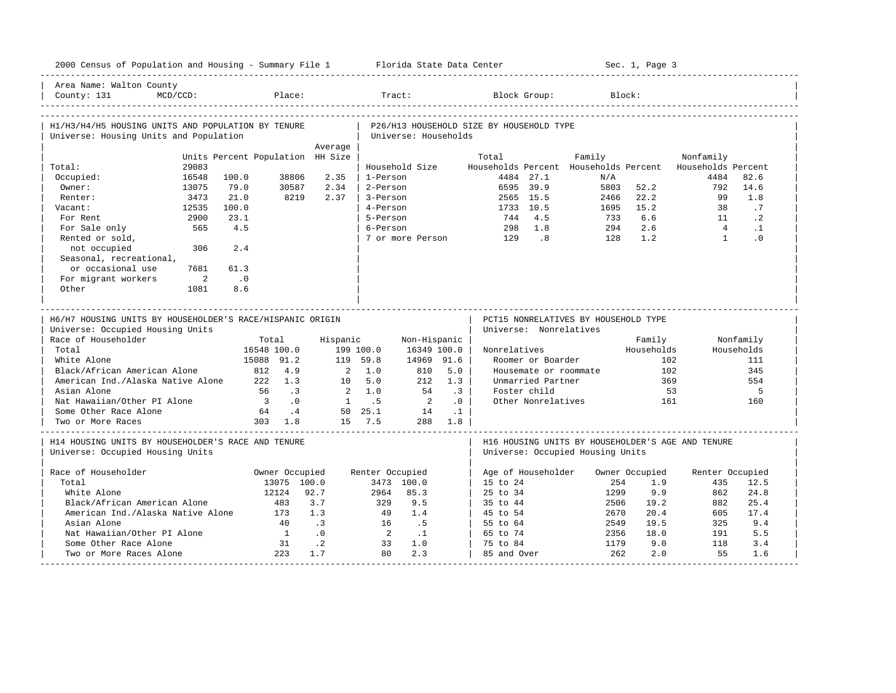| 2000 Census of Population and Housing - Summary File 1 Florida State Data Center             |                                  |                |                          |                      |                      |           |                                          |                        |                                       | Sec. 1, Page 3                       |                                                   |                 |
|----------------------------------------------------------------------------------------------|----------------------------------|----------------|--------------------------|----------------------|----------------------|-----------|------------------------------------------|------------------------|---------------------------------------|--------------------------------------|---------------------------------------------------|-----------------|
| Area Name: Walton County<br>County: 131<br>MCD/CCD:                                          |                                  | Place:         |                          |                      | Tract:               |           |                                          | Block Group:           |                                       | Block:                               |                                                   |                 |
| H1/H3/H4/H5 HOUSING UNITS AND POPULATION BY TENURE<br>Universe: Housing Units and Population |                                  |                |                          |                      | Universe: Households |           | P26/H13 HOUSEHOLD SIZE BY HOUSEHOLD TYPE |                        |                                       |                                      |                                                   |                 |
|                                                                                              |                                  |                | Average                  |                      |                      |           |                                          |                        |                                       |                                      |                                                   |                 |
|                                                                                              | Units Percent Population HH Size |                |                          |                      |                      |           | Total                                    |                        | Family                                |                                      | Nonfamily                                         |                 |
| Total:<br>29083                                                                              |                                  |                |                          |                      | Household Size       |           |                                          | 4484 27.1              | Households Percent Households Percent |                                      | Households Percent                                | 82.6            |
| Occupied:<br>16548<br>Owner:                                                                 | 100.0<br>79.0                    | 38806<br>30587 | 2.35<br>2.34             | 1-Person<br>2-Person |                      |           |                                          | 6595 39.9              | N/A<br>5803                           | 52.2                                 | 4484<br>792                                       | 14.6            |
| 13075<br>3473<br>Renter:                                                                     | 21.0                             | 8219           | 2.37                     | 3-Person             |                      |           |                                          | 2565 15.5              | 2466                                  | 22.2                                 | 99                                                | 1.8             |
|                                                                                              |                                  |                |                          | 4-Person             |                      |           |                                          |                        |                                       |                                      | 38                                                |                 |
| Vacant:<br>12535<br>For Rent<br>2900                                                         | 100.0<br>23.1                    |                |                          | 5-Person             |                      |           | 744                                      | 1733 10.5<br>4.5       | 1695<br>733                           | 15.2<br>6.6                          | 11                                                | .7<br>$\cdot$ 2 |
| 565                                                                                          | 4.5                              |                |                          | 6-Person             |                      |           | 298                                      | 1.8                    | 294                                   | 2.6                                  | $\overline{4}$                                    | $\cdot$ 1       |
| For Sale only<br>Rented or sold,                                                             |                                  |                |                          |                      | 7 or more Person     |           | 129                                      | 8 <sup>1</sup>         | 128                                   | 1.2                                  | $\overline{1}$                                    | $\Omega$        |
| not occupied<br>306                                                                          | 2.4                              |                |                          |                      |                      |           |                                          |                        |                                       |                                      |                                                   |                 |
| Seasonal, recreational,                                                                      |                                  |                |                          |                      |                      |           |                                          |                        |                                       |                                      |                                                   |                 |
| or occasional use<br>7681                                                                    | 61.3                             |                |                          |                      |                      |           |                                          |                        |                                       |                                      |                                                   |                 |
| For migrant workers<br>$\overline{\phantom{a}}$                                              | $\cdot$ 0                        |                |                          |                      |                      |           |                                          |                        |                                       |                                      |                                                   |                 |
| Other<br>1081                                                                                | 8.6                              |                |                          |                      |                      |           |                                          |                        |                                       |                                      |                                                   |                 |
|                                                                                              |                                  |                |                          |                      |                      |           |                                          |                        |                                       |                                      |                                                   |                 |
| H6/H7 HOUSING UNITS BY HOUSEHOLDER'S RACE/HISPANIC ORIGIN                                    |                                  |                |                          |                      |                      |           |                                          |                        |                                       | PCT15 NONRELATIVES BY HOUSEHOLD TYPE |                                                   |                 |
| Universe: Occupied Housing Units                                                             |                                  |                |                          |                      |                      |           |                                          | Universe: Nonrelatives |                                       |                                      |                                                   |                 |
| Race of Householder                                                                          |                                  | Total          | Hispanic                 |                      | Non-Hispanic         |           |                                          |                        |                                       | Family                               |                                                   | Nonfamily       |
| Total                                                                                        |                                  | 16548 100.0    |                          | 199 100.0            | 16349 100.0          |           | Nonrelatives                             |                        |                                       | Households                           |                                                   | Households      |
| White Alone                                                                                  |                                  | 15088 91.2     |                          | 119 59.8             | 14969 91.6           |           |                                          | Roomer or Boarder      |                                       |                                      | 102                                               | 111             |
| Black/African American Alone                                                                 | 812                              | 4.9            |                          | $2 \quad 1.0$        | 810                  | 5.0       |                                          | Housemate or roommate  |                                       |                                      | 102                                               | 345             |
| American Ind./Alaska Native Alone                                                            |                                  | 1.3<br>222     | 10                       | 5.0                  | 212                  | 1.3       |                                          | Unmarried Partner      |                                       |                                      | 369                                               | 554             |
| Asian Alone                                                                                  | 56                               | $\cdot$ 3      |                          | $2 \quad 1.0$        | 54                   | $\cdot$ 3 |                                          | Foster child           |                                       |                                      | 53                                                | 5               |
| Nat Hawaiian/Other PI Alone                                                                  | $\overline{\phantom{a}}$         | .0             |                          | 1 .5                 | $\overline{2}$       | $\cdot$ 0 |                                          | Other Nonrelatives     |                                       | 161                                  |                                                   | 160             |
| Some Other Race Alone                                                                        | 64                               | $\cdot$ 4      |                          | 50 25.1              | 14                   | $\cdot$ 1 |                                          |                        |                                       |                                      |                                                   |                 |
| Two or More Races                                                                            |                                  | 303 1.8        |                          | 15 7.5               |                      | 288 1.8   |                                          |                        |                                       |                                      |                                                   |                 |
| H14 HOUSING UNITS BY HOUSEHOLDER'S RACE AND TENURE<br>Universe: Occupied Housing Units       |                                  |                |                          |                      |                      |           |                                          |                        | Universe: Occupied Housing Units      |                                      | H16 HOUSING UNITS BY HOUSEHOLDER'S AGE AND TENURE |                 |
|                                                                                              |                                  |                |                          |                      |                      |           |                                          |                        |                                       |                                      |                                                   |                 |
| Race of Householder<br>Total                                                                 |                                  | Owner Occupied |                          | Renter Occupied      |                      |           |                                          | Age of Householder     | 254                                   | Owner Occupied<br>1.9                | Renter Occupied<br>435                            | 12.5            |
| White Alone                                                                                  |                                  | 13075 100.0    | 92.7                     | 2964                 | 3473 100.0<br>85.3   |           | 15 to 24                                 |                        | 1299                                  | 9.9                                  | 862                                               | 24.8            |
| Black/African American Alone                                                                 |                                  | 12124<br>483   | 3.7                      | 329                  | 9.5                  |           | 25 to 34                                 |                        | 2506                                  | 19.2                                 | 882                                               |                 |
|                                                                                              |                                  | 173            | 1.3                      | - 49                 | 1.4                  |           | 35 to 44<br>45 to 54                     |                        | 2670                                  | 20.4                                 | 605                                               | 25.4<br>17.4    |
| American Ind./Alaska Native Alone<br>Asian Alone                                             |                                  | 40             | $\overline{\phantom{a}}$ | 16                   |                      |           | 55 to 64                                 |                        | 2549                                  | 19.5                                 | 325                                               | 9.4             |
| Nat Hawaiian/Other PI Alone                                                                  |                                  | $\overline{1}$ | $\cdot$ 0                | $\overline{2}$       | .5<br>$\cdot$ 1      |           | 65 to 74                                 |                        | 2356                                  | 18.0                                 | 191                                               | 5.5             |
| Some Other Race Alone                                                                        |                                  | 31             | $\cdot$ 2                | 33                   | 1.0                  |           | 75 to 84                                 |                        | 1179                                  | 9.0                                  | 118                                               | 3.4             |
| Two or More Races Alone                                                                      |                                  | 223            | 1.7                      | 80                   | 2.3                  |           | 85 and Over                              |                        | 262                                   | 2.0                                  | 55                                                | 1.6             |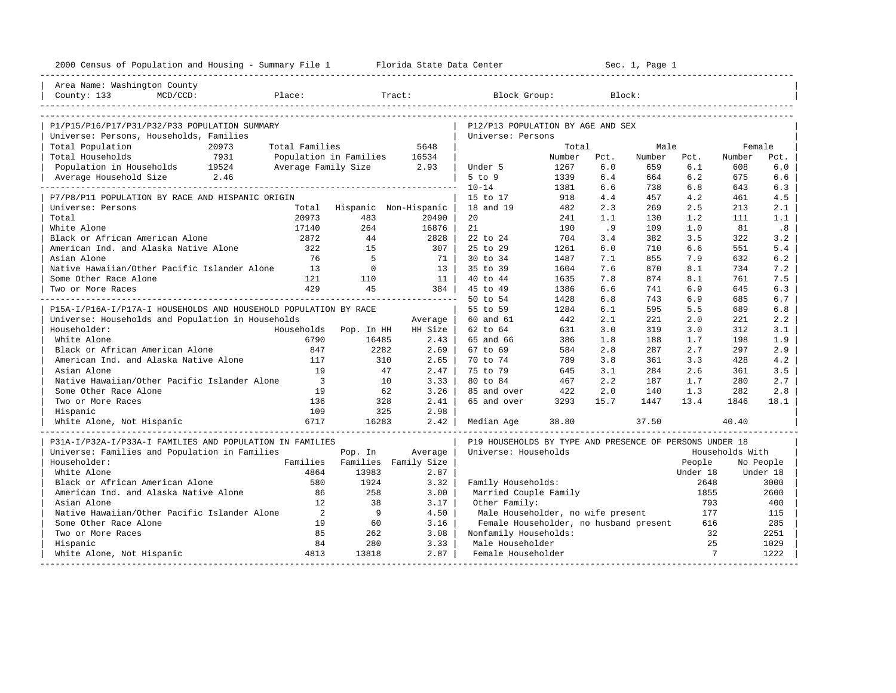| 2000 Census of Population and Housing - Summary File 1 Florida State Data Center |                          |                             |                      |                                                         |        |      | Sec. 1, Page 1 |          |                 |           |
|----------------------------------------------------------------------------------|--------------------------|-----------------------------|----------------------|---------------------------------------------------------|--------|------|----------------|----------|-----------------|-----------|
| Area Name: Washington County                                                     |                          |                             |                      |                                                         |        |      |                |          |                 |           |
| County: 133<br>MCD/CCD:                                                          | Place:                   |                             | Tract:               | Block Group:                                            |        |      | Block:         |          |                 |           |
|                                                                                  |                          |                             |                      |                                                         |        |      |                |          |                 |           |
| P1/P15/P16/P17/P31/P32/P33 POPULATION SUMMARY                                    |                          |                             |                      | P12/P13 POPULATION BY AGE AND SEX                       |        |      |                |          |                 |           |
| Universe: Persons, Households, Families                                          |                          |                             |                      | Universe: Persons                                       |        |      |                |          |                 |           |
| Total Population<br>20973                                                        | Total Families           |                             | 5648                 |                                                         | Total  |      | Male           |          | Female          |           |
| Total Households<br>7931                                                         | Population in Families   |                             | 16534                |                                                         | Number | Pct. | Number         | Pct.     | Number          | Pct.      |
| Population in Households 19524                                                   | Average Family Size 2.93 |                             |                      | Under 5                                                 | 1267   | 6.0  | 659            | 6.1      | 608             | 6.0       |
| Average Household Size 2.46                                                      |                          |                             |                      | 5 to 9                                                  | 1339   | 6.4  | 664            | 6.2      | 675             | 6.6       |
|                                                                                  |                          |                             |                      | $10 - 14$                                               | 1381   | 6.6  | 738            | 6.8      | 643             | 6.3       |
| P7/P8/P11 POPULATION BY RACE AND HISPANIC ORIGIN                                 |                          |                             |                      | 15 to 17                                                | 918    | 4.4  | 457            | 4.2      | 461             | 4.5       |
| Universe: Persons                                                                |                          | Total Hispanic Non-Hispanic |                      | 18 and 19                                               | 482    | 2.3  | 269            | 2.5      | 213             | 2.1       |
| Total                                                                            | 20973                    | 483                         | 20490                | 20                                                      | 241    | 1.1  | 130            | 1.2      | 111             | 1.1       |
| White Alone                                                                      | 17140                    | 264                         | 16876                | 21                                                      | 190    | .9   | 109            | 1.0      | 81              | .8        |
| Black or African American Alone                                                  | 2872                     | 44                          | 2828                 | 22 to 24                                                | 704    | 3.4  | 382            | 3.5      | 322             | 3.2       |
| American Ind. and Alaska Native Alone                                            | 322                      | 1.5                         | 307                  | 25 to 29                                                | 1261   | 6.0  | 710            | 6.6      | 551             | 5.4       |
| Asian Alone                                                                      | 76                       | $-5$                        | 71                   | 30 to 34                                                | 1487   | 7.1  | 855            | 7.9      | 632             | 6.2       |
| Native Hawaiian/Other Pacific Islander Alone                                     | 13                       | $\Omega$                    | 13                   | 35 to 39                                                | 1604   | 7.6  | 870            | 8.1      | 734             | 7.2       |
| Some Other Race Alone                                                            | 121                      | 110                         | 11                   | 40 to 44                                                | 1635   | 7.8  | 874            | 8.1      | 761             | 7.5       |
| Two or More Races                                                                | 429                      | 45                          | 384                  | 45 to 49                                                | 1386   | 6.6  | 741            | 6.9      | 645             | 6.3       |
|                                                                                  |                          |                             |                      | 50 to 54                                                | 1428   | 6.8  | 743            | 6.9      | 685             | 6.7       |
| P15A-I/P16A-I/P17A-I HOUSEHOLDS AND HOUSEHOLD POPULATION BY RACE                 |                          |                             |                      | 55 to 59                                                | 1284   | 6.1  | 595            | 5.5      | 689             | 6.8       |
| Universe: Households and Population in Households                                |                          |                             | Average              | 60 and 61                                               | 442    | 2.1  | 221            | 2.0      | 221             | 2.2       |
| Householder:                                                                     | Households               | Pop. In HH                  | HH Size              | 62 to 64                                                | 631    | 3.0  | 319            | 3.0      | 312             | 3.1       |
| White Alone                                                                      | 6790                     | 16485                       | 2.43                 | 65 and 66                                               | 386    | 1.8  | 188            | 1.7      | 198             | 1.9       |
| Black or African American Alone                                                  | 847                      | 2282                        | 2.69                 | 67 to 69                                                | 584    | 2.8  | 287            | 2.7      | 297             | 2.9       |
| American Ind. and Alaska Native Alone                                            | 117                      | 310                         | 2.65                 | 70 to 74                                                | 789    | 3.8  | 361            | 3.3      | 428             | 4.2       |
| Asian Alone                                                                      | 19                       | 47                          | 2.47                 | 75 to 79                                                | 645    | 3.1  | 284            | 2.6      | 361             | 3.5       |
| Native Hawaiian/Other Pacific Islander Alone                                     | $\overline{\phantom{a}}$ | 10                          | 3.33                 | 80 to 84                                                | 467    | 2.2  | 187            | 1.7      | 280             | 2.7       |
| Some Other Race Alone                                                            | 19                       | 62                          | 3.26                 | 85 and over                                             | 422    | 2.0  | 140            | 1.3      | 282             | 2.8       |
| Two or More Races                                                                | 136                      | 328                         | 2.41                 | 65 and over                                             | 3293   | 15.7 | 1447           | 13.4     | 1846            | 18.1      |
| Hispanic                                                                         | 109                      | 325                         | 2.98                 |                                                         |        |      |                |          |                 |           |
| White Alone, Not Hispanic                                                        | 6717                     | 16283                       | 2.42                 | Median Age                                              | 38.80  |      | 37.50          |          | 40.40           |           |
| P31A-I/P32A-I/P33A-I FAMILIES AND POPULATION IN FAMILIES                         |                          |                             |                      | P19 HOUSEHOLDS BY TYPE AND PRESENCE OF PERSONS UNDER 18 |        |      |                |          |                 |           |
| Universe: Families and Population in Families                                    |                          | Pop. In                     | Average              | Universe: Households                                    |        |      |                |          | Households With |           |
| Householder:                                                                     | Families                 |                             | Families Family Size |                                                         |        |      |                | People   |                 | No People |
| White Alone                                                                      | 4864                     | 13983                       | 2.87                 |                                                         |        |      |                | Under 18 |                 | Under 18  |
| Black or African American Alone                                                  | 580                      | 1924                        | 3.32                 | Family Households:                                      |        |      |                | 2648     |                 | 3000      |
| American Ind. and Alaska Native Alone                                            | 86                       | 258                         | 3.00                 | Married Couple Family                                   |        |      |                | 1855     |                 | 2600      |
| Asian Alone                                                                      | 12                       | 38                          | 3.17                 | Other Family:                                           |        |      |                | 793      |                 | 400       |
| Native Hawaiian/Other Pacific Islander Alone                                     | $\overline{2}$           | $\overline{9}$              | 4.50                 | Male Householder, no wife present                       |        |      |                | 177      |                 | 115       |
| Some Other Race Alone                                                            | 19                       | 60                          | 3.16                 | Female Householder, no husband present                  |        |      |                | 616      |                 | 285       |
| Two or More Races                                                                | 85                       | 262                         | 3.08                 | Nonfamily Households:                                   |        |      |                | 32       |                 | 2251      |
| Hispanic                                                                         | 84                       | 280                         | 3.33                 | Male Householder                                        |        |      |                | 25       |                 | 1029      |
| White Alone, Not Hispanic                                                        | 4813                     | 13818                       | 2.87                 | Female Householder                                      |        |      |                | 7        |                 | 1222      |
|                                                                                  | -----------------------  |                             |                      |                                                         |        |      |                |          |                 |           |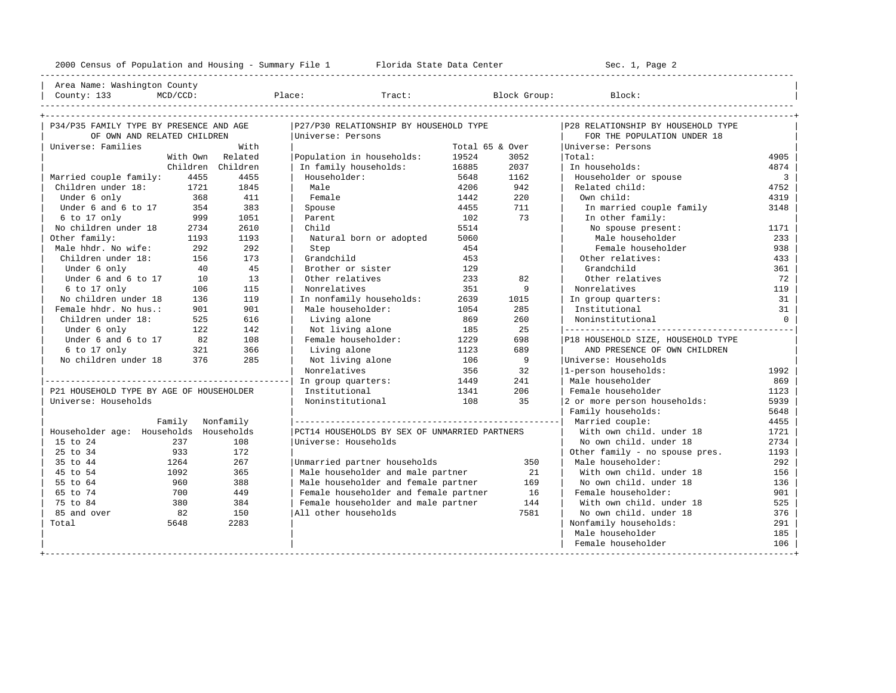---------------------------------------------------------------------------------------------------------------------------------------------------- | Area Name: Washington County | | County: 133 MCD/CCD: Place: Tract: Block Group: Block: | ----------------------------------------------------------------------------------------------------------------------------------------------------

| P34/P35 FAMILY TYPE BY PRESENCE AND AGE  |      | P27/P30 RELATIONSHIP BY HOUSEHOLD TYPE        |                 |      | P28 RELATIONSHIP BY HOUSEHOLD TYPE |                         |
|------------------------------------------|------|-----------------------------------------------|-----------------|------|------------------------------------|-------------------------|
| OF OWN AND RELATED CHILDREN              |      | Universe: Persons                             |                 |      | FOR THE POPULATION UNDER 18        |                         |
| Universe: Families                       | With |                                               | Total 65 & Over |      | Universe: Persons                  |                         |
| With Own Related                         |      | Population in households:                     | 19524           | 3052 | Total:                             | 4905                    |
| Children Children                        |      | In family households:                         | 16885           | 2037 | In households:                     | 4874                    |
| Married couple family:<br>4455           | 4455 | Householder:                                  | 5648            | 1162 | Householder or spouse              | $\overline{\mathbf{3}}$ |
| Children under 18:<br>1721               | 1845 | Male                                          | 4206            | 942  | Related child:                     | 4752                    |
| Under 6 only<br>368                      | 411  | Female                                        | 1442            | 220  | Own child:                         | 4319                    |
| Under 6 and 6 to 17<br>354               | 383  | Spouse                                        | 4455            | 711  | In married couple family           | 3148                    |
| 6 to 17 only<br>999                      | 1051 | Parent                                        | 102             | 73   | In other family:                   |                         |
| No children under 18<br>2734             | 2610 | Child                                         | 5514            |      | No spouse present:                 | 1171                    |
| Other family:<br>1193                    | 1193 | Natural born or adopted                       | 5060            |      | Male householder                   | 233                     |
| Male hhdr. No wife:<br>292               | 292  | Step                                          | 454             |      | Female householder                 | 938                     |
| Children under 18:<br>156                | 173  | Grandchild                                    | 453             |      | Other relatives:                   | 433                     |
| 40<br>Under 6 only                       | 45   | Brother or sister                             | 129             |      | Grandchild                         | 361                     |
| Under 6 and 6 to 17<br>10                | 13   | Other relatives                               | 233             | 82   | Other relatives                    | 72                      |
| 6 to 17 only<br>106                      | 115  | Nonrelatives                                  | 351             | 9    | Nonrelatives                       | 119                     |
| No children under 18<br>136              | 119  | In nonfamily households:                      | 2639            | 1015 | In group quarters:                 | 31                      |
| Female hhdr. No hus.:<br>901             | 901  | Male householder:                             | 1054            | 285  | Institutional                      | 31                      |
| Children under 18:<br>525                | 616  | Living alone                                  | 869             | 260  | Noninstitutional                   | $\overline{0}$          |
| Under 6 only<br>122                      | 142  | Not living alone                              | 185             | 25   |                                    |                         |
| Under 6 and 6 to 17<br>82                | 108  | Female householder:                           | 1229            | 698  | P18 HOUSEHOLD SIZE, HOUSEHOLD TYPE |                         |
| 6 to 17 only<br>321<br>376               | 366  | Living alone                                  | 1123            | 689  | AND PRESENCE OF OWN CHILDREN       |                         |
| No children under 18                     | 285  | Not living alone                              | 106             | 9    | Universe: Households               |                         |
|                                          |      | Nonrelatives                                  | 356             | 32   | 1-person households:               | 1992                    |
|                                          |      | In group quarters:                            | 1449            | 241  | Male householder                   | 869                     |
| P21 HOUSEHOLD TYPE BY AGE OF HOUSEHOLDER |      | Institutional                                 | 1341            | 206  | Female householder                 | 1123                    |
| Universe: Households                     |      | Noninstitutional                              | 108             | 35   | 2 or more person households:       | 5939                    |
|                                          |      |                                               |                 |      | Family households:                 | 5648                    |
| Family Nonfamily                         |      |                                               |                 |      | Married couple:                    | 4455                    |
| Householder age: Households Households   |      | PCT14 HOUSEHOLDS BY SEX OF UNMARRIED PARTNERS |                 |      | With own child, under 18           | 1721                    |
| 15 to 24<br>237                          | 108  | Universe: Households                          |                 |      | No own child, under 18             | 2734                    |
| 25 to 34<br>933                          | 172  |                                               |                 |      | Other family - no spouse pres.     | 1193                    |
| 35 to 44<br>1264                         | 267  | Unmarried partner households                  |                 | 350  | Male householder:                  | 292                     |
| 45 to 54<br>1092                         | 365  | Male householder and male partner             |                 | 21   | With own child, under 18           | 156                     |
| 55 to 64<br>960                          | 388  | Male householder and female partner           |                 | 169  | No own child. under 18             | 136                     |
| 65 to 74<br>700                          | 449  | Female householder and female partner         |                 | 16   | Female householder:                | 901                     |
| 75 to 84<br>380                          | 384  | Female householder and male partner           |                 | 144  | With own child. under 18           | 525                     |
| 85 and over<br>82                        | 150  | All other households                          |                 | 7581 | No own child, under 18             | 376                     |
| Total<br>5648                            | 2283 |                                               |                 |      | Nonfamily households:              | 291                     |
|                                          |      |                                               |                 |      | Male householder                   | 185                     |
|                                          |      |                                               |                 |      | Female householder                 | 106                     |
|                                          |      |                                               |                 |      |                                    |                         |